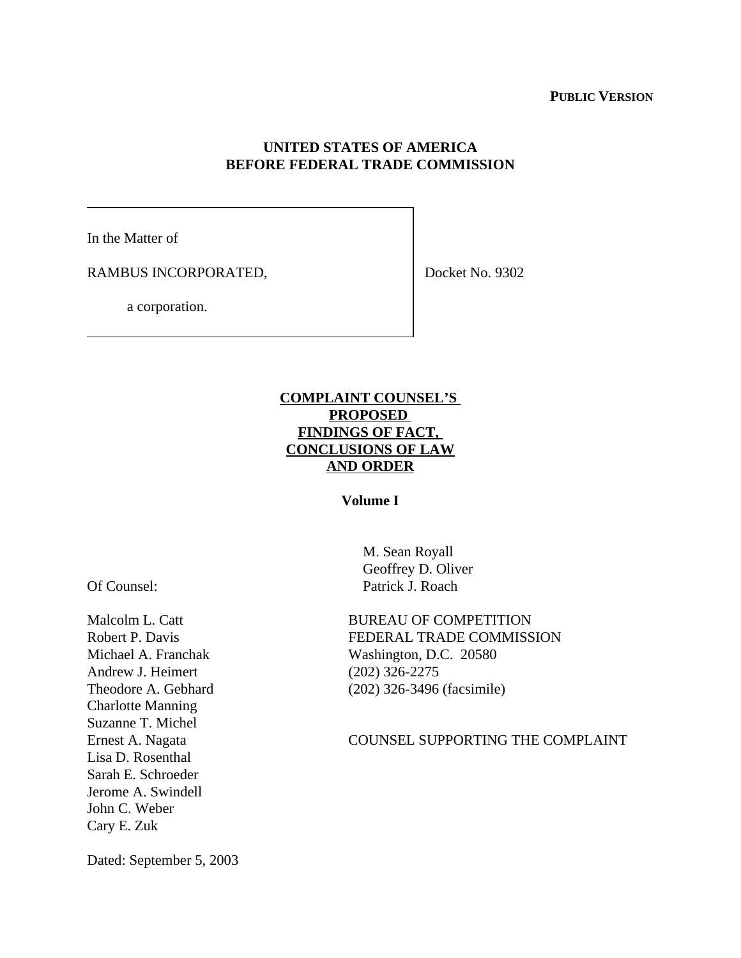#### **PUBLIC VERSION**

## **UNITED STATES OF AMERICA BEFORE FEDERAL TRADE COMMISSION**

In the Matter of

RAMBUS INCORPORATED,

Docket No. 9302

a corporation.

# **COMPLAINT COUNSEL'S PROPOSED FINDINGS OF FACT, CONCLUSIONS OF LAW AND ORDER**

## **Volume I**

Of Counsel:

Malcolm L. Catt Robert P. Davis Michael A. Franchak Andrew J. Heimert Theodore A. Gebhard Charlotte Manning Suzanne T. Michel Ernest A. Nagata Lisa D. Rosenthal Sarah E. Schroeder Jerome A. Swindell John C. Weber Cary E. Zuk

 M. Sean Royall Geoffrey D. Oliver Patrick J. Roach

BUREAU OF COMPETITION FEDERAL TRADE COMMISSION Washington, D.C. 20580 (202) 326-2275 (202) 326-3496 (facsimile)

#### COUNSEL SUPPORTING THE COMPLAINT

Dated: September 5, 2003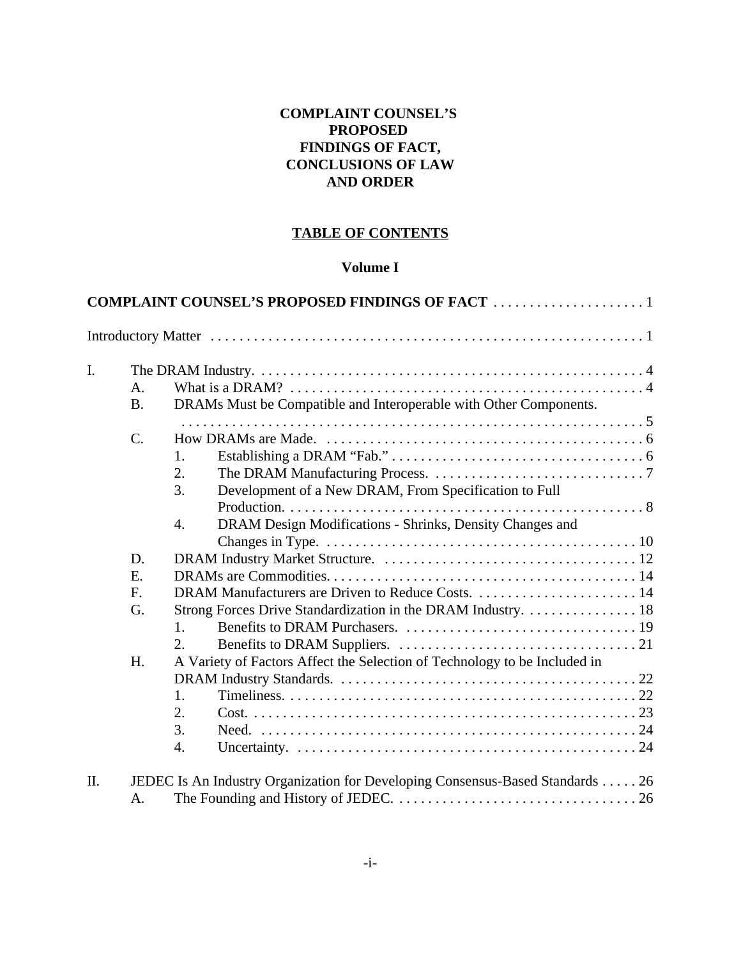# **COMPLAINT COUNSEL'S PROPOSED FINDINGS OF FACT, CONCLUSIONS OF LAW AND ORDER**

# **TABLE OF CONTENTS**

# **Volume I**

| I. |             |                                                                           |  |
|----|-------------|---------------------------------------------------------------------------|--|
|    | $A_{\cdot}$ |                                                                           |  |
|    | <b>B.</b>   | DRAMs Must be Compatible and Interoperable with Other Components.         |  |
|    |             |                                                                           |  |
|    | $C_{\cdot}$ |                                                                           |  |
|    |             | 1.                                                                        |  |
|    |             | 2.<br>3.                                                                  |  |
|    |             | Development of a New DRAM, From Specification to Full                     |  |
|    |             | DRAM Design Modifications - Shrinks, Density Changes and<br>4.            |  |
|    |             |                                                                           |  |
|    | D.          |                                                                           |  |
|    | E.          |                                                                           |  |
|    | F.          |                                                                           |  |
|    | G.          | Strong Forces Drive Standardization in the DRAM Industry. 18              |  |
|    |             | 1.                                                                        |  |
|    |             | 2.                                                                        |  |
|    | H.          | A Variety of Factors Affect the Selection of Technology to be Included in |  |
|    |             |                                                                           |  |
|    |             | 1.                                                                        |  |
|    |             | 2.                                                                        |  |
|    |             | 3.                                                                        |  |
|    |             | $\overline{4}$ .                                                          |  |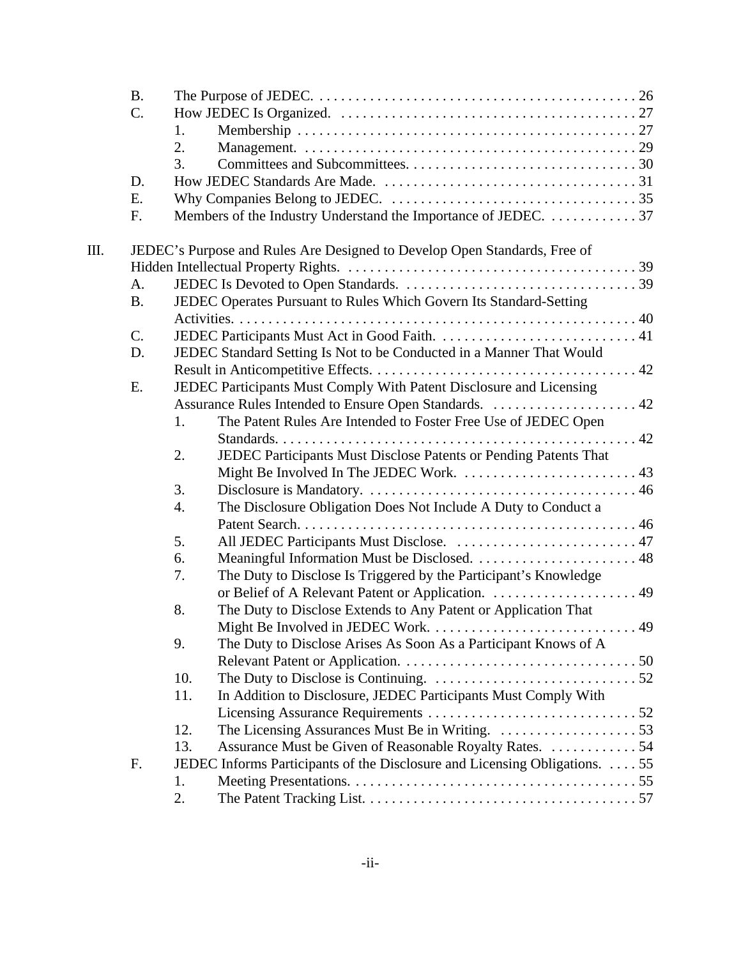|    | <b>B.</b> |     |                                                                                                      |             |
|----|-----------|-----|------------------------------------------------------------------------------------------------------|-------------|
|    | C.        |     |                                                                                                      |             |
|    |           | 1.  |                                                                                                      |             |
|    |           | 2.  |                                                                                                      |             |
|    |           | 3.  |                                                                                                      |             |
|    | D.        |     |                                                                                                      |             |
|    | Ε.        |     |                                                                                                      |             |
|    | F.        |     | Members of the Industry Understand the Importance of JEDEC. 37                                       |             |
| Ш. |           |     | JEDEC's Purpose and Rules Are Designed to Develop Open Standards, Free of                            |             |
|    |           |     |                                                                                                      |             |
|    | A.        |     |                                                                                                      |             |
|    | <b>B.</b> |     | JEDEC Operates Pursuant to Rules Which Govern Its Standard-Setting                                   |             |
|    |           |     |                                                                                                      |             |
|    | C.        |     |                                                                                                      |             |
|    | D.        |     | JEDEC Standard Setting Is Not to be Conducted in a Manner That Would                                 |             |
|    |           |     |                                                                                                      |             |
|    | E.        |     | JEDEC Participants Must Comply With Patent Disclosure and Licensing                                  |             |
|    |           |     |                                                                                                      |             |
|    |           | 1.  | The Patent Rules Are Intended to Foster Free Use of JEDEC Open                                       |             |
|    |           |     |                                                                                                      |             |
|    |           | 2.  | JEDEC Participants Must Disclose Patents or Pending Patents That                                     |             |
|    |           |     |                                                                                                      |             |
|    |           | 3.  |                                                                                                      |             |
|    |           | 4.  | The Disclosure Obligation Does Not Include A Duty to Conduct a                                       |             |
|    |           |     |                                                                                                      |             |
|    |           | 5.  | All JEDEC Participants Must Disclose.  47                                                            |             |
|    |           | 6.  |                                                                                                      |             |
|    |           | 7.  | The Duty to Disclose Is Triggered by the Participant's Knowledge                                     |             |
|    |           |     |                                                                                                      |             |
|    |           | 8.  | The Duty to Disclose Extends to Any Patent or Application That                                       |             |
|    |           |     | Might Be Involved in JEDEC Work.                                                                     | $\ldots$ 49 |
|    |           | 9.  | The Duty to Disclose Arises As Soon As a Participant Knows of A                                      |             |
|    |           |     |                                                                                                      |             |
|    |           | 10. | The Duty to Disclose is Continuing. $\dots \dots \dots \dots \dots \dots \dots \dots \dots \dots 52$ |             |
|    |           | 11. | In Addition to Disclosure, JEDEC Participants Must Comply With                                       |             |
|    |           |     |                                                                                                      |             |
|    |           | 12. |                                                                                                      |             |
|    |           | 13. | Assurance Must be Given of Reasonable Royalty Rates. 54                                              |             |
|    | F.        |     | JEDEC Informs Participants of the Disclosure and Licensing Obligations.  55                          |             |
|    |           | 1.  |                                                                                                      |             |
|    |           | 2.  |                                                                                                      |             |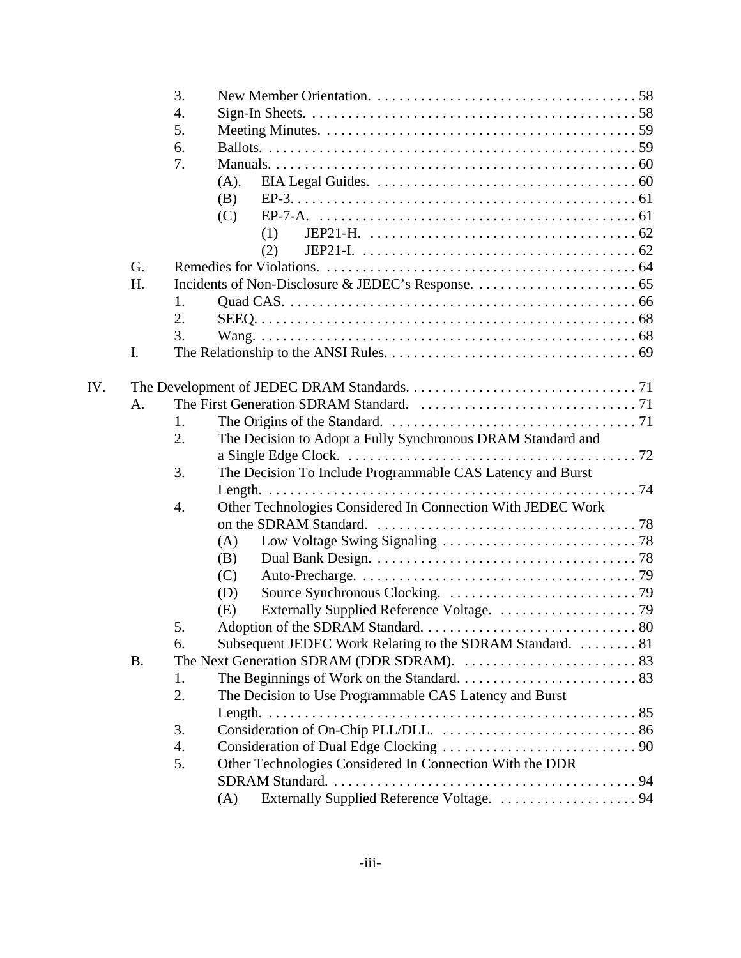|     |           | 3. |                                                             |
|-----|-----------|----|-------------------------------------------------------------|
|     |           | 4. |                                                             |
|     |           | 5. |                                                             |
|     |           | 6. |                                                             |
|     |           | 7. |                                                             |
|     |           |    | (A).                                                        |
|     |           |    | (B)                                                         |
|     |           |    | (C)                                                         |
|     |           |    | (1)                                                         |
|     |           |    | (2)                                                         |
|     | G.        |    |                                                             |
|     | H.        |    |                                                             |
|     |           | 1. |                                                             |
|     |           | 2. |                                                             |
|     |           | 3. |                                                             |
|     | I.        |    |                                                             |
|     |           |    |                                                             |
| IV. |           |    |                                                             |
|     | A.        |    |                                                             |
|     |           | 1. |                                                             |
|     |           | 2. | The Decision to Adopt a Fully Synchronous DRAM Standard and |
|     |           |    |                                                             |
|     |           | 3. | The Decision To Include Programmable CAS Latency and Burst  |
|     |           |    |                                                             |
|     |           | 4. | Other Technologies Considered In Connection With JEDEC Work |
|     |           |    |                                                             |
|     |           |    | (A)                                                         |
|     |           |    | (B)<br>(C)                                                  |
|     |           |    | (D)                                                         |
|     |           |    | (E)                                                         |
|     |           | 5  |                                                             |
|     |           | 6. | Subsequent JEDEC Work Relating to the SDRAM Standard. 81    |
|     | <b>B.</b> |    |                                                             |
|     |           | 1. |                                                             |
|     |           | 2. | The Decision to Use Programmable CAS Latency and Burst      |
|     |           |    |                                                             |
|     |           | 3. |                                                             |
|     |           | 4. |                                                             |
|     |           | 5. | Other Technologies Considered In Connection With the DDR    |
|     |           |    |                                                             |
|     |           |    | Externally Supplied Reference Voltage.  94<br>(A)           |
|     |           |    |                                                             |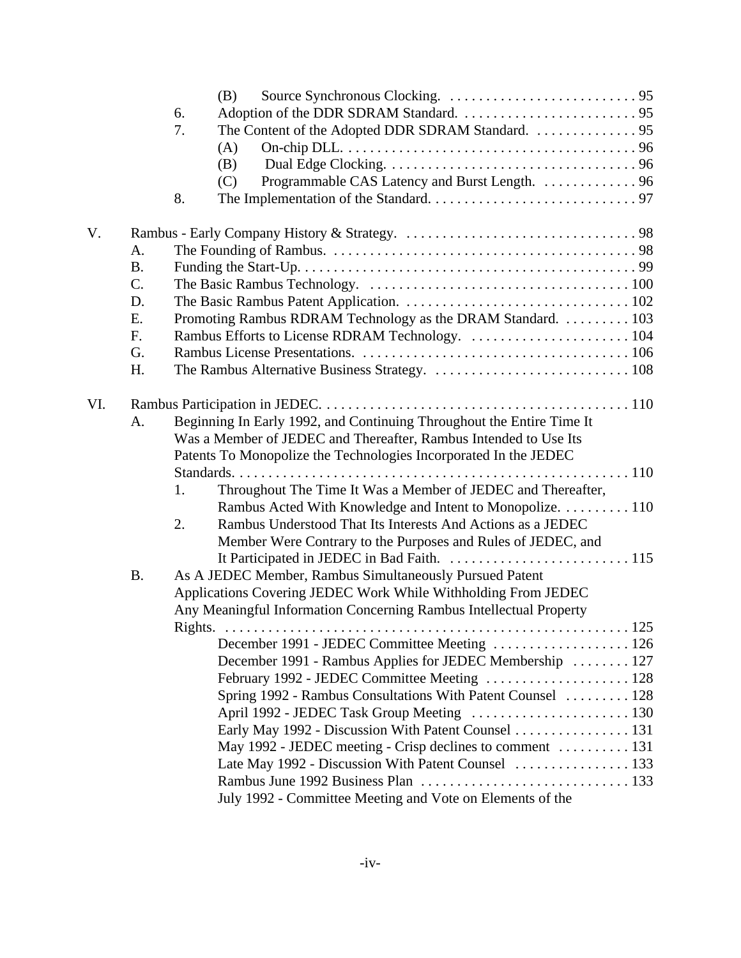|     |           |         | (B)                                                                   |     |  |  |
|-----|-----------|---------|-----------------------------------------------------------------------|-----|--|--|
|     |           | 6.      |                                                                       |     |  |  |
|     |           | 7.      |                                                                       |     |  |  |
|     |           |         | (A)                                                                   |     |  |  |
|     |           |         | (B)                                                                   |     |  |  |
|     |           |         | Programmable CAS Latency and Burst Length. 96<br>(C)                  |     |  |  |
|     |           | 8.      |                                                                       |     |  |  |
| V.  |           |         |                                                                       |     |  |  |
|     | A.        |         |                                                                       |     |  |  |
|     | <b>B.</b> |         |                                                                       |     |  |  |
|     | C.        |         |                                                                       |     |  |  |
|     | D.        |         |                                                                       |     |  |  |
|     | E.        |         | Promoting Rambus RDRAM Technology as the DRAM Standard. 103           |     |  |  |
|     | F.        |         | Rambus Efforts to License RDRAM Technology.  104                      |     |  |  |
|     | G.        |         |                                                                       |     |  |  |
|     | H.        |         |                                                                       |     |  |  |
| VI. |           |         |                                                                       |     |  |  |
|     | A.        |         | Beginning In Early 1992, and Continuing Throughout the Entire Time It |     |  |  |
|     |           |         | Was a Member of JEDEC and Thereafter, Rambus Intended to Use Its      |     |  |  |
|     |           |         | Patents To Monopolize the Technologies Incorporated In the JEDEC      |     |  |  |
|     |           |         |                                                                       |     |  |  |
|     |           | 1.      | Throughout The Time It Was a Member of JEDEC and Thereafter,          |     |  |  |
|     |           |         | Rambus Acted With Knowledge and Intent to Monopolize. 110             |     |  |  |
|     |           | 2.      | Rambus Understood That Its Interests And Actions as a JEDEC           |     |  |  |
|     |           |         | Member Were Contrary to the Purposes and Rules of JEDEC, and          |     |  |  |
|     |           |         |                                                                       |     |  |  |
|     | <b>B.</b> |         | As A JEDEC Member, Rambus Simultaneously Pursued Patent               |     |  |  |
|     |           |         | Applications Covering JEDEC Work While Withholding From JEDEC         |     |  |  |
|     |           |         | Any Meaningful Information Concerning Rambus Intellectual Property    |     |  |  |
|     |           | Rights. |                                                                       | 125 |  |  |
|     |           |         | December 1991 - JEDEC Committee Meeting  126                          |     |  |  |
|     |           |         | December 1991 - Rambus Applies for JEDEC Membership  127              |     |  |  |
|     |           |         | February 1992 - JEDEC Committee Meeting  128                          |     |  |  |
|     |           |         | Spring 1992 - Rambus Consultations With Patent Counsel  128           |     |  |  |
|     |           |         | April 1992 - JEDEC Task Group Meeting  130                            |     |  |  |
|     |           |         | Early May 1992 - Discussion With Patent Counsel  131                  |     |  |  |
|     |           |         | May 1992 - JEDEC meeting - Crisp declines to comment  131             |     |  |  |
|     |           |         | Late May 1992 - Discussion With Patent Counsel  133                   |     |  |  |
|     |           |         |                                                                       |     |  |  |
|     |           |         | July 1992 - Committee Meeting and Vote on Elements of the             |     |  |  |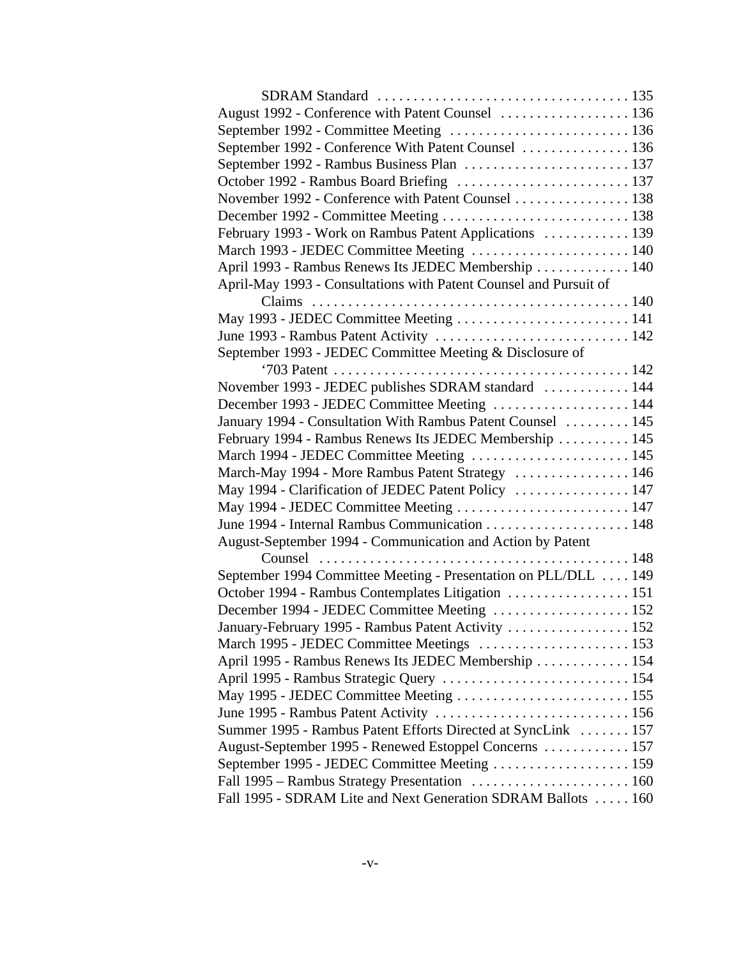| August 1992 - Conference with Patent Counsel  136                 |  |
|-------------------------------------------------------------------|--|
| September 1992 - Committee Meeting  136                           |  |
| September 1992 - Conference With Patent Counsel  136              |  |
|                                                                   |  |
| October 1992 - Rambus Board Briefing  137                         |  |
| November 1992 - Conference with Patent Counsel  138               |  |
|                                                                   |  |
| February 1993 - Work on Rambus Patent Applications  139           |  |
| March 1993 - JEDEC Committee Meeting  140                         |  |
| April 1993 - Rambus Renews Its JEDEC Membership  140              |  |
| April-May 1993 - Consultations with Patent Counsel and Pursuit of |  |
|                                                                   |  |
| May 1993 - JEDEC Committee Meeting  141                           |  |
|                                                                   |  |
| September 1993 - JEDEC Committee Meeting & Disclosure of          |  |
|                                                                   |  |
| November 1993 - JEDEC publishes SDRAM standard  144               |  |
| December 1993 - JEDEC Committee Meeting  144                      |  |
| January 1994 - Consultation With Rambus Patent Counsel  145       |  |
| February 1994 - Rambus Renews Its JEDEC Membership  145           |  |
| March 1994 - JEDEC Committee Meeting  145                         |  |
| March-May 1994 - More Rambus Patent Strategy  146                 |  |
| May 1994 - Clarification of JEDEC Patent Policy  147              |  |
| May 1994 - JEDEC Committee Meeting  147                           |  |
|                                                                   |  |
| August-September 1994 - Communication and Action by Patent        |  |
|                                                                   |  |
| September 1994 Committee Meeting - Presentation on PLL/DLL  149   |  |
|                                                                   |  |
| December 1994 - JEDEC Committee Meeting  152                      |  |
| January-February 1995 - Rambus Patent Activity  152               |  |
| March 1995 - JEDEC Committee Meetings  153                        |  |
| April 1995 - Rambus Renews Its JEDEC Membership  154              |  |
| April 1995 - Rambus Strategic Query  154                          |  |
| May 1995 - JEDEC Committee Meeting  155                           |  |
|                                                                   |  |
| Summer 1995 - Rambus Patent Efforts Directed at SyncLink  157     |  |
| August-September 1995 - Renewed Estoppel Concerns  157            |  |
|                                                                   |  |
|                                                                   |  |
| Fall 1995 - SDRAM Lite and Next Generation SDRAM Ballots  160     |  |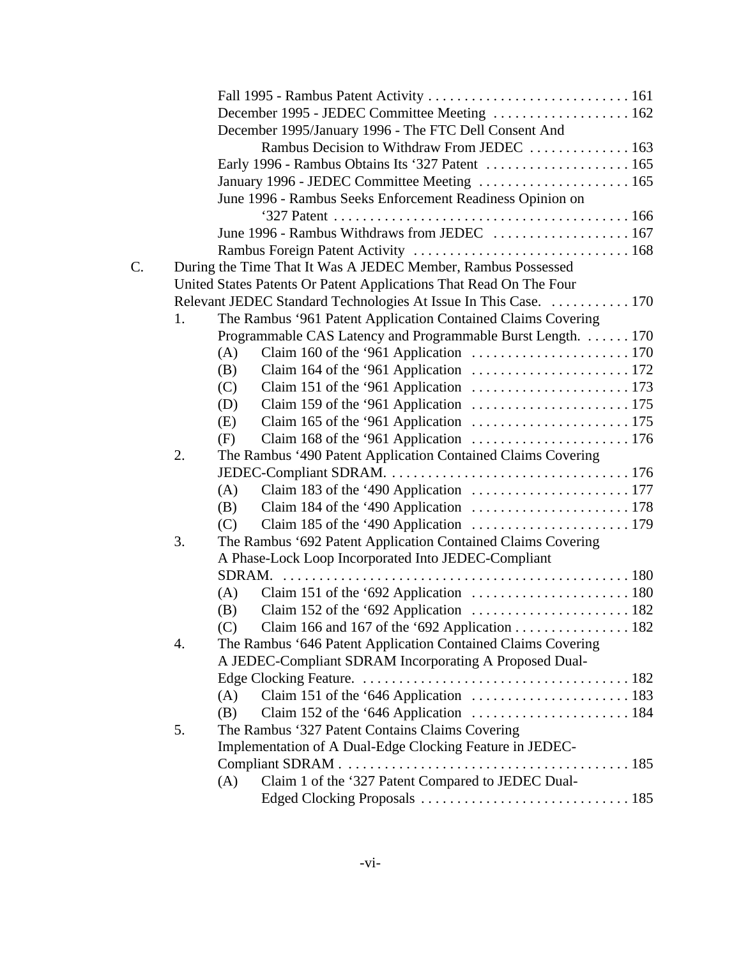|    |    | December 1995 - JEDEC Committee Meeting  162                                                    |  |
|----|----|-------------------------------------------------------------------------------------------------|--|
|    |    | December 1995/January 1996 - The FTC Dell Consent And                                           |  |
|    |    | Rambus Decision to Withdraw From JEDEC  163                                                     |  |
|    |    |                                                                                                 |  |
|    |    | January 1996 - JEDEC Committee Meeting  165                                                     |  |
|    |    | June 1996 - Rambus Seeks Enforcement Readiness Opinion on                                       |  |
|    |    |                                                                                                 |  |
|    |    | June 1996 - Rambus Withdraws from JEDEC  167                                                    |  |
|    |    |                                                                                                 |  |
| C. |    | During the Time That It Was A JEDEC Member, Rambus Possessed                                    |  |
|    |    | United States Patents Or Patent Applications That Read On The Four                              |  |
|    |    | Relevant JEDEC Standard Technologies At Issue In This Case.  170                                |  |
|    | 1. | The Rambus '961 Patent Application Contained Claims Covering                                    |  |
|    |    | Programmable CAS Latency and Programmable Burst Length. 170                                     |  |
|    |    | Claim 160 of the '961 Application $\ldots \ldots \ldots \ldots \ldots \ldots \ldots 170$<br>(A) |  |
|    |    | (B)                                                                                             |  |
|    |    | Claim 151 of the '961 Application $\ldots \ldots \ldots \ldots \ldots \ldots \ldots 173$<br>(C) |  |
|    |    | (D)                                                                                             |  |
|    |    | (E)                                                                                             |  |
|    |    | (F)                                                                                             |  |
|    | 2. | The Rambus '490 Patent Application Contained Claims Covering                                    |  |
|    |    |                                                                                                 |  |
|    |    | Claim 183 of the '490 Application $\ldots \ldots \ldots \ldots \ldots \ldots \ldots 177$<br>(A) |  |
|    |    | Claim 184 of the '490 Application $\ldots \ldots \ldots \ldots \ldots \ldots \ldots 178$<br>(B) |  |
|    |    | Claim 185 of the '490 Application $\ldots \ldots \ldots \ldots \ldots \ldots \ldots 179$<br>(C) |  |
|    | 3. | The Rambus '692 Patent Application Contained Claims Covering                                    |  |
|    |    | A Phase-Lock Loop Incorporated Into JEDEC-Compliant                                             |  |
|    |    | SDRAM.                                                                                          |  |
|    |    | Claim 151 of the '692 Application $\ldots \ldots \ldots \ldots \ldots \ldots \ldots 180$<br>(A) |  |
|    |    | Claim 152 of the '692 Application $\ldots \ldots \ldots \ldots \ldots \ldots \ldots 182$<br>(B) |  |
|    |    | (C) Claim 166 and 167 of the '692 Application 182                                               |  |
|    | 4. | The Rambus '646 Patent Application Contained Claims Covering                                    |  |
|    |    | A JEDEC-Compliant SDRAM Incorporating A Proposed Dual-                                          |  |
|    |    |                                                                                                 |  |
|    |    | (A)                                                                                             |  |
|    |    | Claim 152 of the '646 Application $\ldots \ldots \ldots \ldots \ldots \ldots \ldots 184$<br>(B) |  |
|    | 5. | The Rambus '327 Patent Contains Claims Covering                                                 |  |
|    |    | Implementation of A Dual-Edge Clocking Feature in JEDEC-                                        |  |
|    |    |                                                                                                 |  |
|    |    | Claim 1 of the '327 Patent Compared to JEDEC Dual-<br>(A)                                       |  |
|    |    |                                                                                                 |  |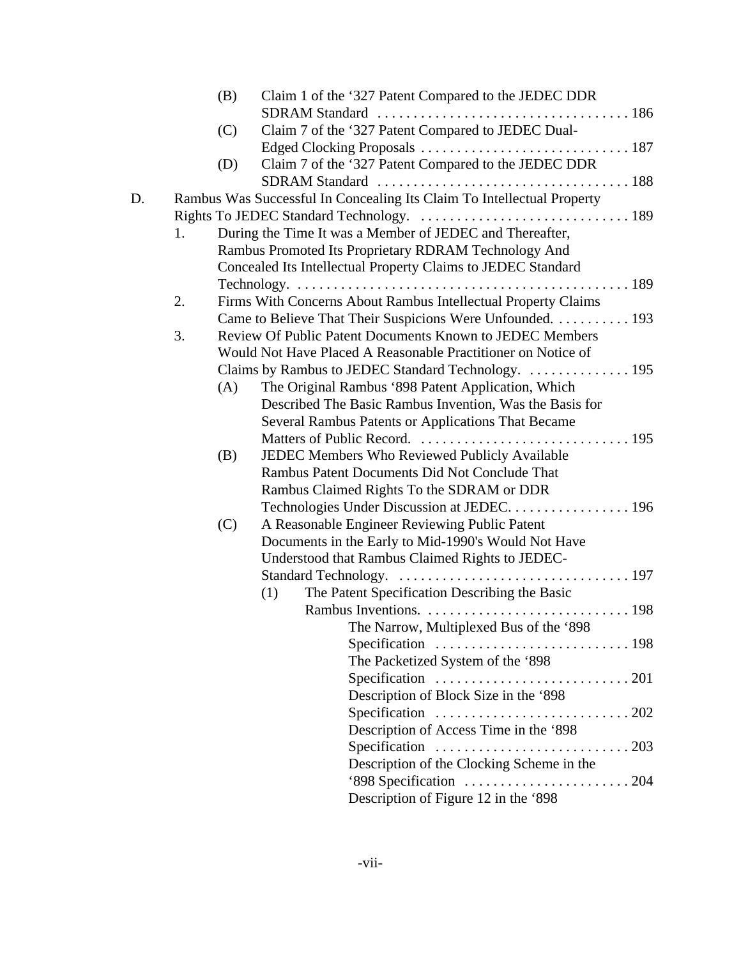|    |    | (B) | Claim 1 of the '327 Patent Compared to the JEDEC DDR                        |
|----|----|-----|-----------------------------------------------------------------------------|
|    |    |     |                                                                             |
|    |    | (C) | Claim 7 of the '327 Patent Compared to JEDEC Dual-                          |
|    |    |     |                                                                             |
|    |    | (D) | Claim 7 of the '327 Patent Compared to the JEDEC DDR                        |
|    |    |     |                                                                             |
| D. |    |     | Rambus Was Successful In Concealing Its Claim To Intellectual Property      |
|    |    |     |                                                                             |
|    | 1. |     | During the Time It was a Member of JEDEC and Thereafter,                    |
|    |    |     | Rambus Promoted Its Proprietary RDRAM Technology And                        |
|    |    |     | Concealed Its Intellectual Property Claims to JEDEC Standard                |
|    |    |     |                                                                             |
|    | 2. |     | Firms With Concerns About Rambus Intellectual Property Claims               |
|    |    |     | Came to Believe That Their Suspicions Were Unfounded. 193                   |
|    | 3. |     | Review Of Public Patent Documents Known to JEDEC Members                    |
|    |    |     | Would Not Have Placed A Reasonable Practitioner on Notice of                |
|    |    |     | Claims by Rambus to JEDEC Standard Technology.  195                         |
|    |    | (A) | The Original Rambus '898 Patent Application, Which                          |
|    |    |     | Described The Basic Rambus Invention, Was the Basis for                     |
|    |    |     | Several Rambus Patents or Applications That Became                          |
|    |    |     |                                                                             |
|    |    | (B) | JEDEC Members Who Reviewed Publicly Available                               |
|    |    |     | Rambus Patent Documents Did Not Conclude That                               |
|    |    |     | Rambus Claimed Rights To the SDRAM or DDR                                   |
|    |    |     | Technologies Under Discussion at JEDEC. 196                                 |
|    |    | (C) | A Reasonable Engineer Reviewing Public Patent                               |
|    |    |     | Documents in the Early to Mid-1990's Would Not Have                         |
|    |    |     | Understood that Rambus Claimed Rights to JEDEC-                             |
|    |    |     |                                                                             |
|    |    |     | The Patent Specification Describing the Basic<br>(1)                        |
|    |    |     |                                                                             |
|    |    |     | The Narrow, Multiplexed Bus of the '898                                     |
|    |    |     |                                                                             |
|    |    |     | The Packetized System of the '898                                           |
|    |    |     | Specification $\ldots \ldots \ldots \ldots \ldots \ldots \ldots \ldots 201$ |
|    |    |     | Description of Block Size in the '898                                       |
|    |    |     |                                                                             |
|    |    |     | Description of Access Time in the '898                                      |
|    |    |     | Specification $\ldots \ldots \ldots \ldots \ldots \ldots \ldots \ldots 203$ |
|    |    |     | Description of the Clocking Scheme in the                                   |
|    |    |     |                                                                             |
|    |    |     |                                                                             |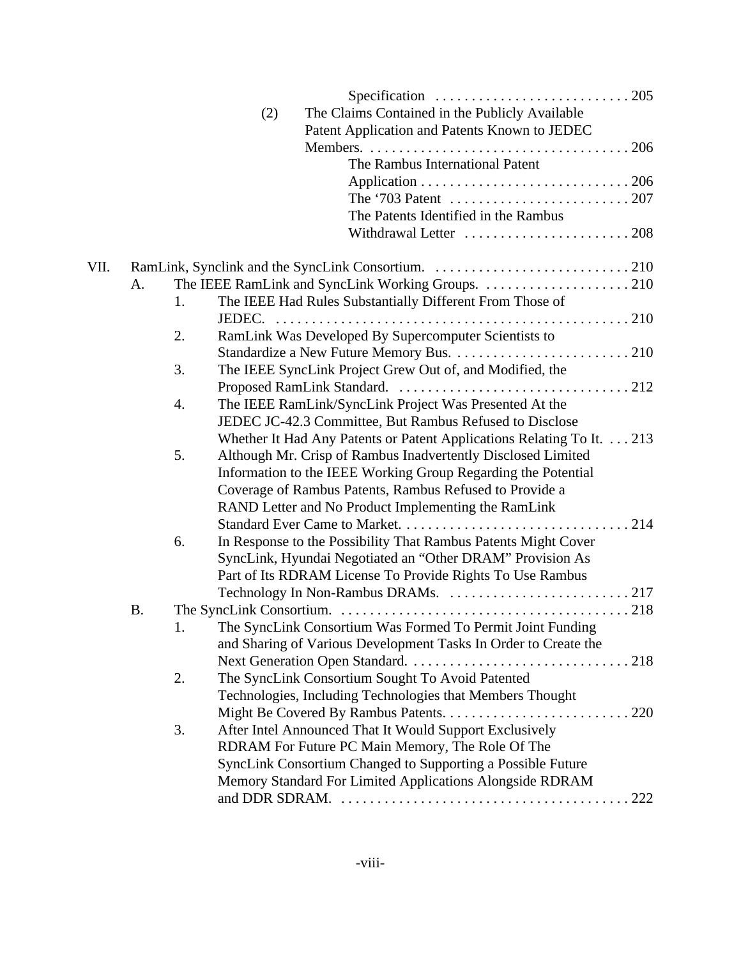|      |           |    | Specification $\ldots \ldots \ldots \ldots \ldots \ldots \ldots \ldots \ldots 205$ |
|------|-----------|----|------------------------------------------------------------------------------------|
|      |           |    | The Claims Contained in the Publicly Available<br>(2)                              |
|      |           |    | Patent Application and Patents Known to JEDEC                                      |
|      |           |    |                                                                                    |
|      |           |    | The Rambus International Patent                                                    |
|      |           |    |                                                                                    |
|      |           |    |                                                                                    |
|      |           |    | The Patents Identified in the Rambus                                               |
|      |           |    |                                                                                    |
|      |           |    |                                                                                    |
| VII. |           |    |                                                                                    |
|      | A.        |    |                                                                                    |
|      |           | 1. | The IEEE Had Rules Substantially Different From Those of                           |
|      |           |    |                                                                                    |
|      |           | 2. | RamLink Was Developed By Supercomputer Scientists to                               |
|      |           |    |                                                                                    |
|      |           | 3. | The IEEE SyncLink Project Grew Out of, and Modified, the                           |
|      |           |    |                                                                                    |
|      |           | 4. | The IEEE RamLink/SyncLink Project Was Presented At the                             |
|      |           |    | JEDEC JC-42.3 Committee, But Rambus Refused to Disclose                            |
|      |           |    | Whether It Had Any Patents or Patent Applications Relating To It. 213              |
|      |           | 5. | Although Mr. Crisp of Rambus Inadvertently Disclosed Limited                       |
|      |           |    | Information to the IEEE Working Group Regarding the Potential                      |
|      |           |    | Coverage of Rambus Patents, Rambus Refused to Provide a                            |
|      |           |    | RAND Letter and No Product Implementing the RamLink                                |
|      |           |    |                                                                                    |
|      |           | 6. | In Response to the Possibility That Rambus Patents Might Cover                     |
|      |           |    | SyncLink, Hyundai Negotiated an "Other DRAM" Provision As                          |
|      |           |    | Part of Its RDRAM License To Provide Rights To Use Rambus                          |
|      |           |    |                                                                                    |
|      | <b>B.</b> |    |                                                                                    |
|      |           | 1. | The SyncLink Consortium Was Formed To Permit Joint Funding                         |
|      |           |    | and Sharing of Various Development Tasks In Order to Create the                    |
|      |           |    |                                                                                    |
|      |           | 2. | The SyncLink Consortium Sought To Avoid Patented                                   |
|      |           |    | Technologies, Including Technologies that Members Thought                          |
|      |           |    |                                                                                    |
|      |           | 3. | After Intel Announced That It Would Support Exclusively                            |
|      |           |    | RDRAM For Future PC Main Memory, The Role Of The                                   |
|      |           |    | SyncLink Consortium Changed to Supporting a Possible Future                        |
|      |           |    | Memory Standard For Limited Applications Alongside RDRAM                           |
|      |           |    |                                                                                    |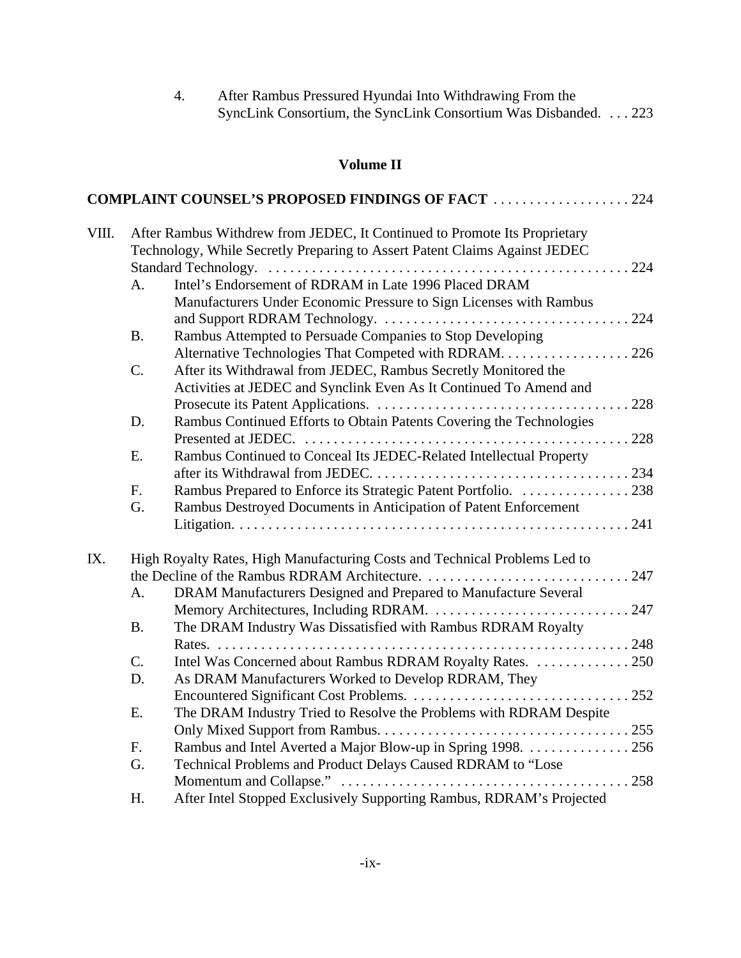| 4. | After Rambus Pressured Hyundai Into Withdrawing From the        |  |  |  |  |  |
|----|-----------------------------------------------------------------|--|--|--|--|--|
|    | SyncLink Consortium, the SyncLink Consortium Was Disbanded. 223 |  |  |  |  |  |

# **Volume II**

|       |                                                                           | <b>COMPLAINT COUNSEL'S PROPOSED FINDINGS OF FACT 224</b>                   |  |  |  |  |  |
|-------|---------------------------------------------------------------------------|----------------------------------------------------------------------------|--|--|--|--|--|
| VIII. | After Rambus Withdrew from JEDEC, It Continued to Promote Its Proprietary |                                                                            |  |  |  |  |  |
|       |                                                                           | Technology, While Secretly Preparing to Assert Patent Claims Against JEDEC |  |  |  |  |  |
|       |                                                                           |                                                                            |  |  |  |  |  |
|       | A.                                                                        | Intel's Endorsement of RDRAM in Late 1996 Placed DRAM                      |  |  |  |  |  |
|       |                                                                           | Manufacturers Under Economic Pressure to Sign Licenses with Rambus         |  |  |  |  |  |
|       |                                                                           |                                                                            |  |  |  |  |  |
|       | <b>B.</b>                                                                 | Rambus Attempted to Persuade Companies to Stop Developing                  |  |  |  |  |  |
|       |                                                                           | Alternative Technologies That Competed with RDRAM. 226                     |  |  |  |  |  |
|       | C.                                                                        | After its Withdrawal from JEDEC, Rambus Secretly Monitored the             |  |  |  |  |  |
|       |                                                                           | Activities at JEDEC and Synclink Even As It Continued To Amend and         |  |  |  |  |  |
|       |                                                                           |                                                                            |  |  |  |  |  |
|       | D.                                                                        | Rambus Continued Efforts to Obtain Patents Covering the Technologies       |  |  |  |  |  |
|       |                                                                           |                                                                            |  |  |  |  |  |
|       | Ε.                                                                        | Rambus Continued to Conceal Its JEDEC-Related Intellectual Property        |  |  |  |  |  |
|       |                                                                           |                                                                            |  |  |  |  |  |
|       | F.                                                                        | Rambus Prepared to Enforce its Strategic Patent Portfolio. 238             |  |  |  |  |  |
|       | G.                                                                        | Rambus Destroyed Documents in Anticipation of Patent Enforcement           |  |  |  |  |  |
|       |                                                                           |                                                                            |  |  |  |  |  |
| IX.   |                                                                           | High Royalty Rates, High Manufacturing Costs and Technical Problems Led to |  |  |  |  |  |
|       |                                                                           |                                                                            |  |  |  |  |  |
|       | A.                                                                        | DRAM Manufacturers Designed and Prepared to Manufacture Several            |  |  |  |  |  |
|       |                                                                           |                                                                            |  |  |  |  |  |
|       | <b>B.</b>                                                                 | The DRAM Industry Was Dissatisfied with Rambus RDRAM Royalty               |  |  |  |  |  |
|       |                                                                           |                                                                            |  |  |  |  |  |
|       | $C$ .                                                                     | Intel Was Concerned about Rambus RDRAM Royalty Rates. 250                  |  |  |  |  |  |
|       | D.                                                                        | As DRAM Manufacturers Worked to Develop RDRAM, They                        |  |  |  |  |  |
|       |                                                                           |                                                                            |  |  |  |  |  |
|       | Ε.                                                                        | The DRAM Industry Tried to Resolve the Problems with RDRAM Despite         |  |  |  |  |  |
|       |                                                                           |                                                                            |  |  |  |  |  |
|       | F.                                                                        | Rambus and Intel Averted a Major Blow-up in Spring 1998. 256               |  |  |  |  |  |
|       | G.                                                                        | Technical Problems and Product Delays Caused RDRAM to "Lose                |  |  |  |  |  |
|       |                                                                           |                                                                            |  |  |  |  |  |
|       | H.                                                                        | After Intel Stopped Exclusively Supporting Rambus, RDRAM's Projected       |  |  |  |  |  |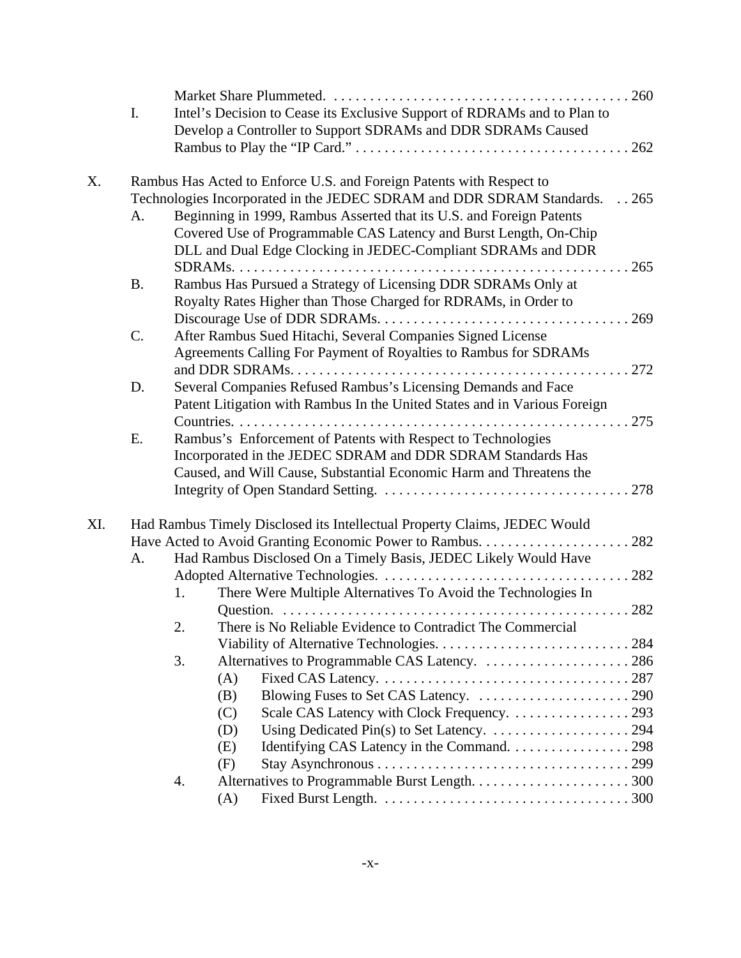|     | I.        |    | Intel's Decision to Cease its Exclusive Support of RDRAMs and to Plan to  |        |
|-----|-----------|----|---------------------------------------------------------------------------|--------|
|     |           |    | Develop a Controller to Support SDRAMs and DDR SDRAMs Caused              |        |
|     |           |    |                                                                           |        |
| X.  |           |    | Rambus Has Acted to Enforce U.S. and Foreign Patents with Respect to      |        |
|     |           |    | Technologies Incorporated in the JEDEC SDRAM and DDR SDRAM Standards.     | . .265 |
|     | A.        |    | Beginning in 1999, Rambus Asserted that its U.S. and Foreign Patents      |        |
|     |           |    | Covered Use of Programmable CAS Latency and Burst Length, On-Chip         |        |
|     |           |    | DLL and Dual Edge Clocking in JEDEC-Compliant SDRAMs and DDR              |        |
|     |           |    |                                                                           |        |
|     | <b>B.</b> |    | Rambus Has Pursued a Strategy of Licensing DDR SDRAMs Only at             |        |
|     |           |    | Royalty Rates Higher than Those Charged for RDRAMs, in Order to           |        |
|     |           |    |                                                                           |        |
|     | C.        |    | After Rambus Sued Hitachi, Several Companies Signed License               |        |
|     |           |    | Agreements Calling For Payment of Royalties to Rambus for SDRAMs          |        |
|     |           |    |                                                                           |        |
|     | D.        |    |                                                                           |        |
|     |           |    | Several Companies Refused Rambus's Licensing Demands and Face             |        |
|     |           |    | Patent Litigation with Rambus In the United States and in Various Foreign |        |
|     | E.        |    | Rambus's Enforcement of Patents with Respect to Technologies              |        |
|     |           |    | Incorporated in the JEDEC SDRAM and DDR SDRAM Standards Has               |        |
|     |           |    | Caused, and Will Cause, Substantial Economic Harm and Threatens the       |        |
|     |           |    |                                                                           |        |
|     |           |    |                                                                           |        |
| XI. |           |    | Had Rambus Timely Disclosed its Intellectual Property Claims, JEDEC Would |        |
|     |           |    |                                                                           |        |
|     | A.        |    | Had Rambus Disclosed On a Timely Basis, JEDEC Likely Would Have           |        |
|     |           |    |                                                                           |        |
|     |           | 1. | There Were Multiple Alternatives To Avoid the Technologies In             |        |
|     |           |    |                                                                           |        |
|     |           |    | There is No Reliable Evidence to Contradict The Commercial                |        |
|     |           |    |                                                                           |        |
|     |           | 3. | Alternatives to Programmable CAS Latency. 286                             |        |
|     |           |    | (A)                                                                       |        |
|     |           |    | (B)                                                                       |        |
|     |           |    | (C)                                                                       |        |
|     |           |    | (D)                                                                       |        |
|     |           |    | (E)                                                                       |        |
|     |           |    | (F)                                                                       |        |
|     |           | 4. |                                                                           |        |
|     |           |    | (A)                                                                       |        |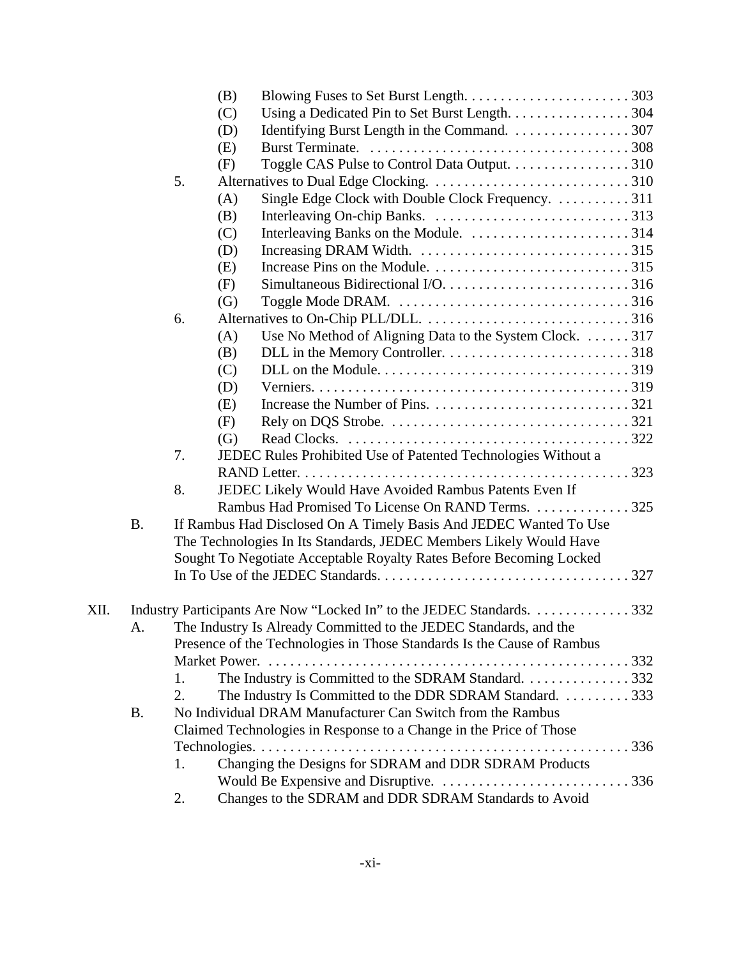|      |           |    | (B) |                                                                        |  |
|------|-----------|----|-----|------------------------------------------------------------------------|--|
|      |           |    | (C) | Using a Dedicated Pin to Set Burst Length. 304                         |  |
|      |           |    | (D) | Identifying Burst Length in the Command. 307                           |  |
|      |           |    | (E) |                                                                        |  |
|      |           |    | (F) | Toggle CAS Pulse to Control Data Output. 310                           |  |
|      |           | 5. |     |                                                                        |  |
|      |           |    | (A) | Single Edge Clock with Double Clock Frequency. 311                     |  |
|      |           |    | (B) |                                                                        |  |
|      |           |    | (C) |                                                                        |  |
|      |           |    | (D) |                                                                        |  |
|      |           |    | (E) |                                                                        |  |
|      |           |    | (F) |                                                                        |  |
|      |           |    | (G) |                                                                        |  |
|      |           | 6. |     |                                                                        |  |
|      |           |    | (A) | Use No Method of Aligning Data to the System Clock. 317                |  |
|      |           |    | (B) |                                                                        |  |
|      |           |    | (C) |                                                                        |  |
|      |           |    | (D) |                                                                        |  |
|      |           |    | (E) |                                                                        |  |
|      |           |    | (F) |                                                                        |  |
|      |           |    | (G) |                                                                        |  |
|      |           | 7. |     | JEDEC Rules Prohibited Use of Patented Technologies Without a          |  |
|      |           |    |     |                                                                        |  |
|      |           | 8. |     | JEDEC Likely Would Have Avoided Rambus Patents Even If                 |  |
|      |           |    |     | Rambus Had Promised To License On RAND Terms. 325                      |  |
|      | <b>B.</b> |    |     | If Rambus Had Disclosed On A Timely Basis And JEDEC Wanted To Use      |  |
|      |           |    |     | The Technologies In Its Standards, JEDEC Members Likely Would Have     |  |
|      |           |    |     | Sought To Negotiate Acceptable Royalty Rates Before Becoming Locked    |  |
|      |           |    |     |                                                                        |  |
| XII. |           |    |     | Industry Participants Are Now "Locked In" to the JEDEC Standards. 332  |  |
|      | A.        |    |     | The Industry Is Already Committed to the JEDEC Standards, and the      |  |
|      |           |    |     | Presence of the Technologies in Those Standards Is the Cause of Rambus |  |
|      |           |    |     |                                                                        |  |
|      |           | 1. |     | The Industry is Committed to the SDRAM Standard. 332                   |  |
|      |           | 2. |     | The Industry Is Committed to the DDR SDRAM Standard. 333               |  |
|      | <b>B.</b> |    |     | No Individual DRAM Manufacturer Can Switch from the Rambus             |  |
|      |           |    |     | Claimed Technologies in Response to a Change in the Price of Those     |  |
|      |           |    |     |                                                                        |  |
|      |           | 1. |     | Changing the Designs for SDRAM and DDR SDRAM Products                  |  |
|      |           |    |     |                                                                        |  |
|      |           | 2. |     | Changes to the SDRAM and DDR SDRAM Standards to Avoid                  |  |
|      |           |    |     |                                                                        |  |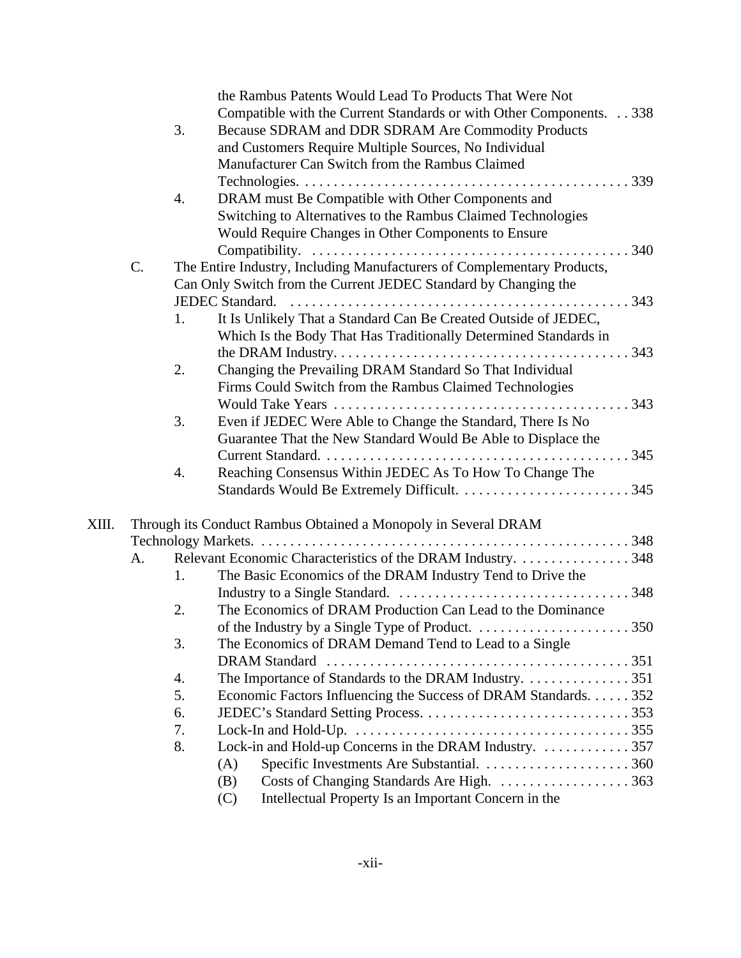|       |    |    | the Rambus Patents Would Lead To Products That Were Not                 |                     |
|-------|----|----|-------------------------------------------------------------------------|---------------------|
|       |    |    | Compatible with the Current Standards or with Other Components. 338     |                     |
|       |    | 3. | Because SDRAM and DDR SDRAM Are Commodity Products                      |                     |
|       |    |    | and Customers Require Multiple Sources, No Individual                   |                     |
|       |    |    | Manufacturer Can Switch from the Rambus Claimed                         |                     |
|       |    |    |                                                                         |                     |
|       |    | 4. | DRAM must Be Compatible with Other Components and                       |                     |
|       |    |    | Switching to Alternatives to the Rambus Claimed Technologies            |                     |
|       |    |    | Would Require Changes in Other Components to Ensure                     |                     |
|       |    |    |                                                                         |                     |
|       | C. |    | The Entire Industry, Including Manufacturers of Complementary Products, |                     |
|       |    |    | Can Only Switch from the Current JEDEC Standard by Changing the         |                     |
|       |    |    |                                                                         |                     |
|       |    | 1. | It Is Unlikely That a Standard Can Be Created Outside of JEDEC,         |                     |
|       |    |    | Which Is the Body That Has Traditionally Determined Standards in        |                     |
|       |    |    |                                                                         |                     |
|       |    | 2. | Changing the Prevailing DRAM Standard So That Individual                |                     |
|       |    |    | Firms Could Switch from the Rambus Claimed Technologies                 |                     |
|       |    |    |                                                                         |                     |
|       |    | 3. | Even if JEDEC Were Able to Change the Standard, There Is No             |                     |
|       |    |    | Guarantee That the New Standard Would Be Able to Displace the           |                     |
|       |    |    |                                                                         |                     |
|       |    |    |                                                                         |                     |
|       |    | 4. | Reaching Consensus Within JEDEC As To How To Change The                 |                     |
|       |    |    |                                                                         |                     |
| XIII. |    |    | Through its Conduct Rambus Obtained a Monopoly in Several DRAM          |                     |
|       |    |    |                                                                         |                     |
|       | А. |    | Relevant Economic Characteristics of the DRAM Industry. 348             |                     |
|       |    | 1. | The Basic Economics of the DRAM Industry Tend to Drive the              |                     |
|       |    |    |                                                                         |                     |
|       |    | 2. | The Economics of DRAM Production Can Lead to the Dominance              |                     |
|       |    |    | of the Industry by a Single Type of Product.                            | $\ldots \ldots 350$ |
|       |    | 3. | The Economics of DRAM Demand Tend to Lead to a Single                   |                     |
|       |    |    | <b>DRAM Standard</b>                                                    |                     |
|       |    | 4. | The Importance of Standards to the DRAM Industry. 351                   |                     |
|       |    | 5. | Economic Factors Influencing the Success of DRAM Standards. 352         |                     |
|       |    | 6. |                                                                         |                     |
|       |    | 7. |                                                                         |                     |
|       |    | 8. | Lock-in and Hold-up Concerns in the DRAM Industry.  357                 |                     |
|       |    |    | (A)                                                                     |                     |
|       |    |    | (B)                                                                     |                     |
|       |    |    |                                                                         |                     |
|       |    |    | Intellectual Property Is an Important Concern in the<br>(C)             |                     |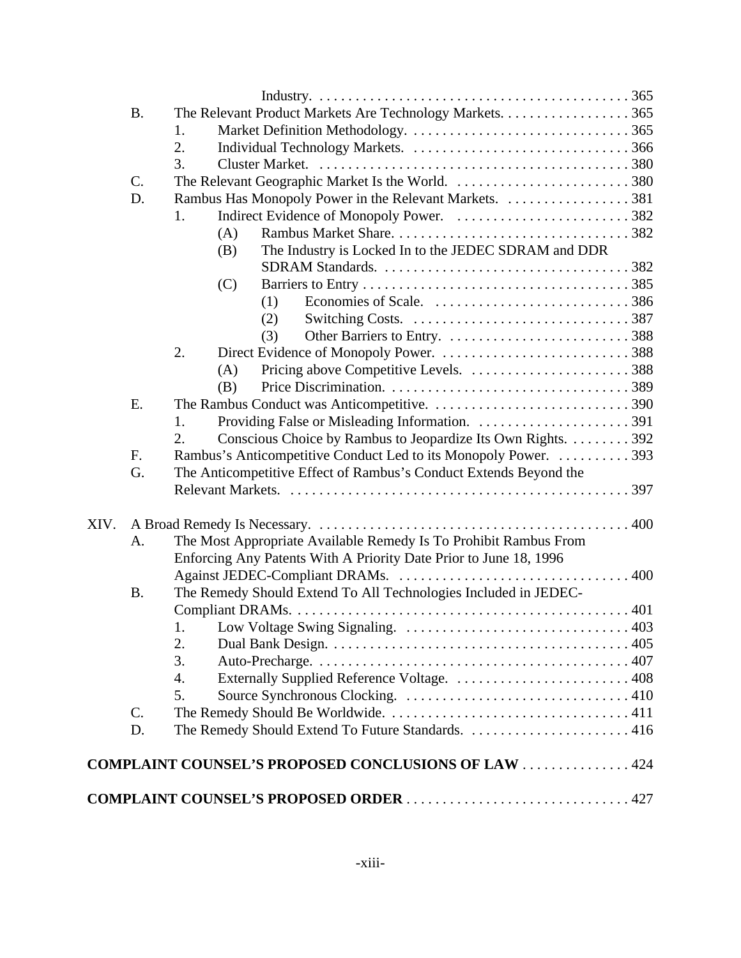|      | <b>B.</b> | The Relevant Product Markets Are Technology Markets. 365           |     |  |  |  |  |
|------|-----------|--------------------------------------------------------------------|-----|--|--|--|--|
|      |           | 1.                                                                 |     |  |  |  |  |
|      |           | 2.                                                                 |     |  |  |  |  |
|      |           | 3.                                                                 |     |  |  |  |  |
|      | C.        | The Relevant Geographic Market Is the World. 380                   |     |  |  |  |  |
|      | D.        |                                                                    |     |  |  |  |  |
|      |           | 1.                                                                 |     |  |  |  |  |
|      |           | (A)                                                                |     |  |  |  |  |
|      |           | The Industry is Locked In to the JEDEC SDRAM and DDR<br>(B)        |     |  |  |  |  |
|      |           |                                                                    |     |  |  |  |  |
|      |           | (C)                                                                |     |  |  |  |  |
|      |           | (1)                                                                |     |  |  |  |  |
|      |           | (2)                                                                |     |  |  |  |  |
|      |           | (3)                                                                |     |  |  |  |  |
|      |           | 2.                                                                 |     |  |  |  |  |
|      |           | (A)                                                                |     |  |  |  |  |
|      |           | (B)                                                                |     |  |  |  |  |
|      | Ε.        |                                                                    |     |  |  |  |  |
|      |           | 1.                                                                 |     |  |  |  |  |
|      |           | Conscious Choice by Rambus to Jeopardize Its Own Rights. 392<br>2. |     |  |  |  |  |
|      | F.        | Rambus's Anticompetitive Conduct Led to its Monopoly Power.  393   |     |  |  |  |  |
|      | G.        | The Anticompetitive Effect of Rambus's Conduct Extends Beyond the  |     |  |  |  |  |
|      |           |                                                                    |     |  |  |  |  |
|      |           |                                                                    |     |  |  |  |  |
| XIV. |           |                                                                    |     |  |  |  |  |
|      | A.        | The Most Appropriate Available Remedy Is To Prohibit Rambus From   |     |  |  |  |  |
|      |           | Enforcing Any Patents With A Priority Date Prior to June 18, 1996  |     |  |  |  |  |
|      |           |                                                                    |     |  |  |  |  |
|      | <b>B.</b> | The Remedy Should Extend To All Technologies Included in JEDEC-    |     |  |  |  |  |
|      |           |                                                                    |     |  |  |  |  |
|      |           | 1. Low Voltage Swing Signaling.                                    | 403 |  |  |  |  |
|      |           | 2.                                                                 |     |  |  |  |  |
|      |           | 3.                                                                 |     |  |  |  |  |
|      |           | 4.                                                                 |     |  |  |  |  |
|      |           | 5.                                                                 |     |  |  |  |  |
|      | C.        |                                                                    |     |  |  |  |  |
|      | D.        |                                                                    |     |  |  |  |  |
|      |           | <b>COMPLAINT COUNSEL'S PROPOSED CONCLUSIONS OF LAW 424</b>         |     |  |  |  |  |
|      |           |                                                                    |     |  |  |  |  |
|      |           |                                                                    |     |  |  |  |  |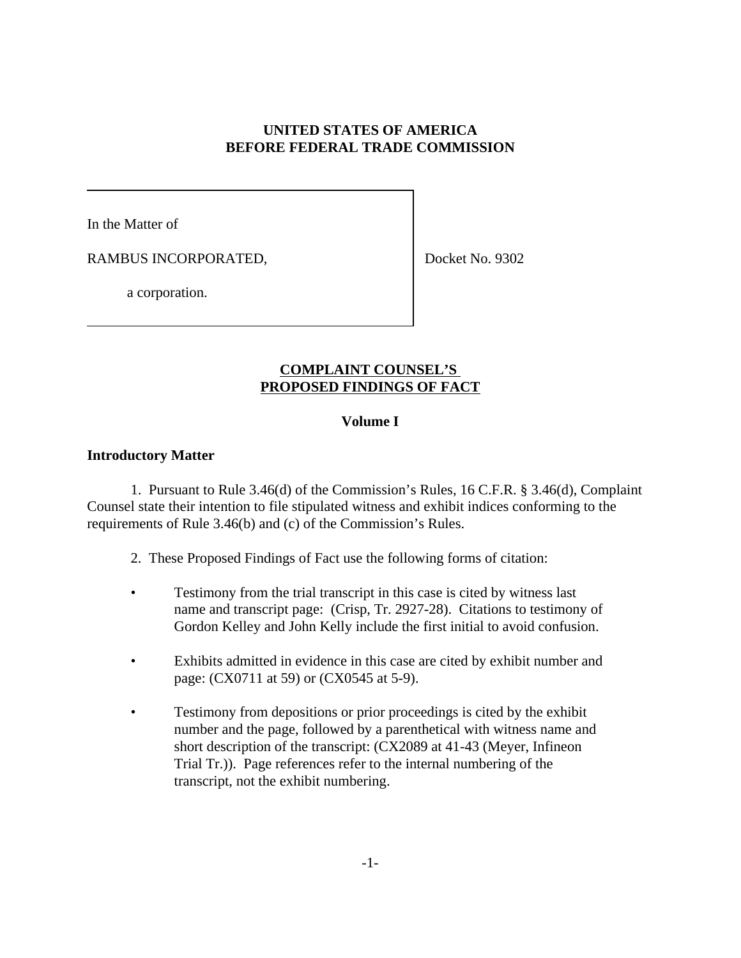## **UNITED STATES OF AMERICA BEFORE FEDERAL TRADE COMMISSION**

In the Matter of

RAMBUS INCORPORATED,

Docket No. 9302

a corporation.

# **COMPLAINT COUNSEL'S PROPOSED FINDINGS OF FACT**

# **Volume I**

## **Introductory Matter**

1. Pursuant to Rule 3.46(d) of the Commission's Rules, 16 C.F.R. § 3.46(d), Complaint Counsel state their intention to file stipulated witness and exhibit indices conforming to the requirements of Rule 3.46(b) and (c) of the Commission's Rules.

2. These Proposed Findings of Fact use the following forms of citation:

- Testimony from the trial transcript in this case is cited by witness last name and transcript page: (Crisp, Tr. 2927-28). Citations to testimony of Gordon Kelley and John Kelly include the first initial to avoid confusion.
- Exhibits admitted in evidence in this case are cited by exhibit number and page: (CX0711 at 59) or (CX0545 at 5-9).
- Testimony from depositions or prior proceedings is cited by the exhibit number and the page, followed by a parenthetical with witness name and short description of the transcript: (CX2089 at 41-43 (Meyer, Infineon Trial Tr.)). Page references refer to the internal numbering of the transcript, not the exhibit numbering.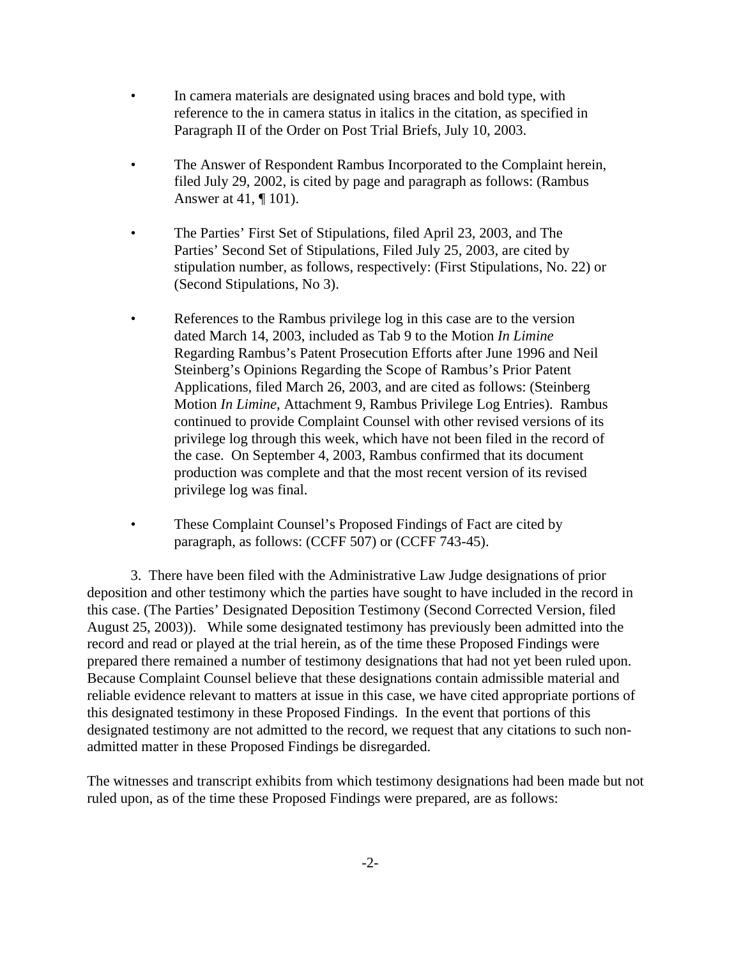- In camera materials are designated using braces and bold type, with reference to the in camera status in italics in the citation, as specified in Paragraph II of the Order on Post Trial Briefs, July 10, 2003.
- The Answer of Respondent Rambus Incorporated to the Complaint herein, filed July 29, 2002, is cited by page and paragraph as follows: (Rambus Answer at 41, ¶ 101).
- The Parties' First Set of Stipulations, filed April 23, 2003, and The Parties' Second Set of Stipulations, Filed July 25, 2003, are cited by stipulation number, as follows, respectively: (First Stipulations, No. 22) or (Second Stipulations, No 3).
- References to the Rambus privilege log in this case are to the version dated March 14, 2003, included as Tab 9 to the Motion *In Limine* Regarding Rambus's Patent Prosecution Efforts after June 1996 and Neil Steinberg's Opinions Regarding the Scope of Rambus's Prior Patent Applications, filed March 26, 2003, and are cited as follows: (Steinberg Motion *In Limine*, Attachment 9, Rambus Privilege Log Entries). Rambus continued to provide Complaint Counsel with other revised versions of its privilege log through this week, which have not been filed in the record of the case. On September 4, 2003, Rambus confirmed that its document production was complete and that the most recent version of its revised privilege log was final.
- These Complaint Counsel's Proposed Findings of Fact are cited by paragraph, as follows: (CCFF 507) or (CCFF 743-45).

3. There have been filed with the Administrative Law Judge designations of prior deposition and other testimony which the parties have sought to have included in the record in this case. (The Parties' Designated Deposition Testimony (Second Corrected Version, filed August 25, 2003)). While some designated testimony has previously been admitted into the record and read or played at the trial herein, as of the time these Proposed Findings were prepared there remained a number of testimony designations that had not yet been ruled upon. Because Complaint Counsel believe that these designations contain admissible material and reliable evidence relevant to matters at issue in this case, we have cited appropriate portions of this designated testimony in these Proposed Findings. In the event that portions of this designated testimony are not admitted to the record, we request that any citations to such nonadmitted matter in these Proposed Findings be disregarded.

The witnesses and transcript exhibits from which testimony designations had been made but not ruled upon, as of the time these Proposed Findings were prepared, are as follows: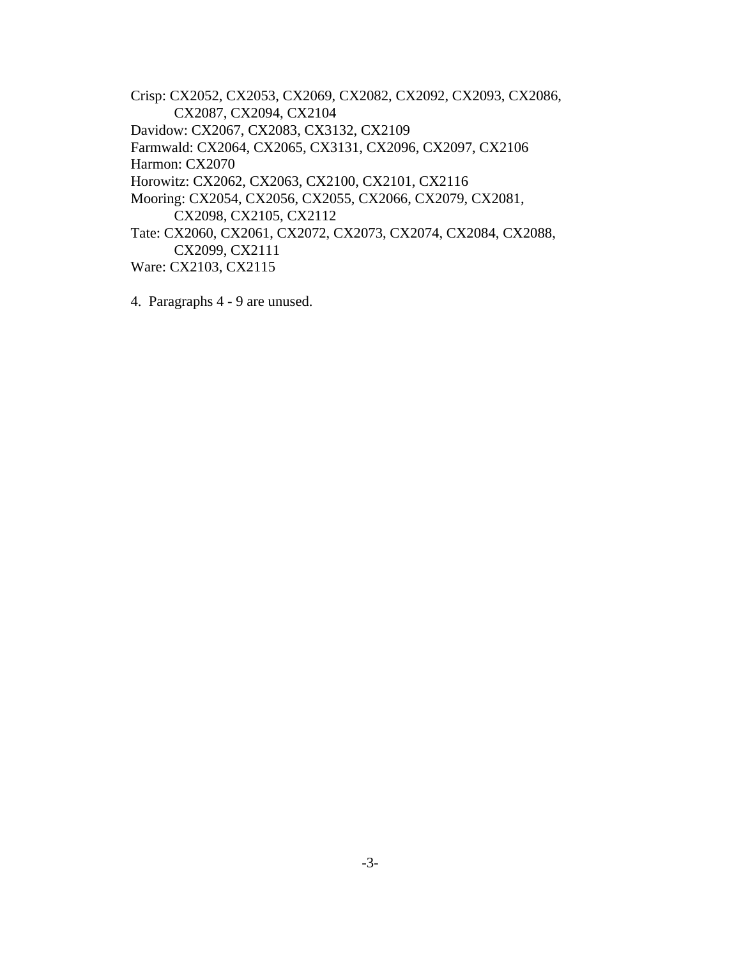Crisp: CX2052, CX2053, CX2069, CX2082, CX2092, CX2093, CX2086, CX2087, CX2094, CX2104 Davidow: CX2067, CX2083, CX3132, CX2109 Farmwald: CX2064, CX2065, CX3131, CX2096, CX2097, CX2106 Harmon: CX2070 Horowitz: CX2062, CX2063, CX2100, CX2101, CX2116 Mooring: CX2054, CX2056, CX2055, CX2066, CX2079, CX2081, CX2098, CX2105, CX2112 Tate: CX2060, CX2061, CX2072, CX2073, CX2074, CX2084, CX2088, CX2099, CX2111 Ware: CX2103, CX2115

4. Paragraphs 4 - 9 are unused.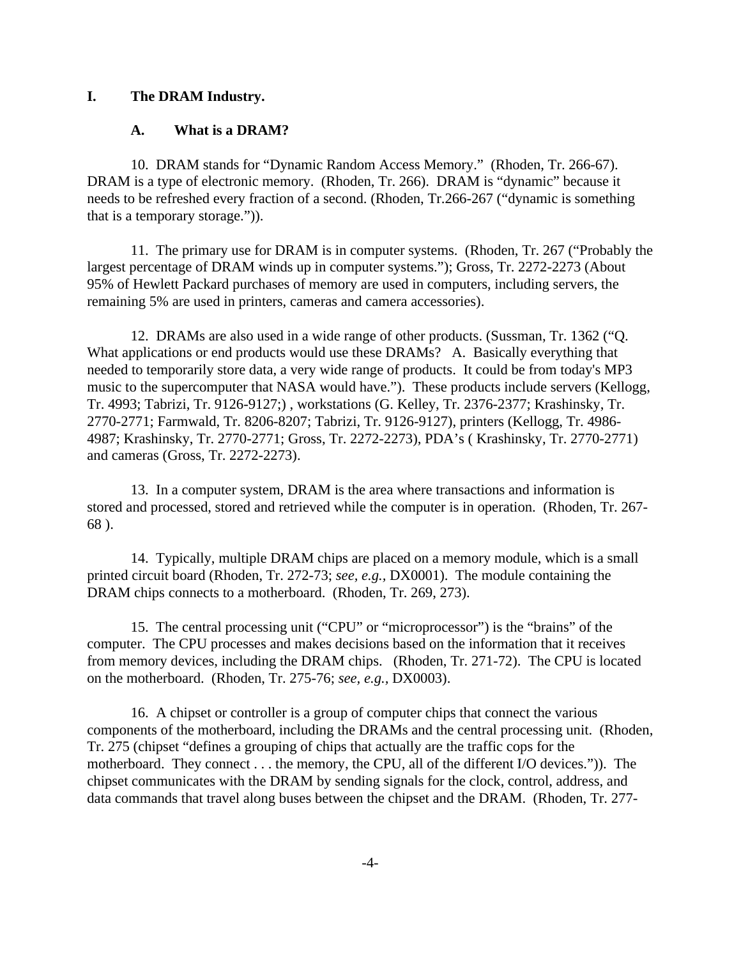#### **I. The DRAM Industry.**

### **A. What is a DRAM?**

10. DRAM stands for "Dynamic Random Access Memory." (Rhoden, Tr. 266-67). DRAM is a type of electronic memory. (Rhoden, Tr. 266). DRAM is "dynamic" because it needs to be refreshed every fraction of a second. (Rhoden, Tr.266-267 ("dynamic is something that is a temporary storage.")).

11. The primary use for DRAM is in computer systems. (Rhoden, Tr. 267 ("Probably the largest percentage of DRAM winds up in computer systems."); Gross, Tr. 2272-2273 (About 95% of Hewlett Packard purchases of memory are used in computers, including servers, the remaining 5% are used in printers, cameras and camera accessories).

12. DRAMs are also used in a wide range of other products. (Sussman, Tr. 1362 ("Q. What applications or end products would use these DRAMs? A. Basically everything that needed to temporarily store data, a very wide range of products. It could be from today's MP3 music to the supercomputer that NASA would have."). These products include servers (Kellogg, Tr. 4993; Tabrizi, Tr. 9126-9127;) , workstations (G. Kelley, Tr. 2376-2377; Krashinsky, Tr. 2770-2771; Farmwald, Tr. 8206-8207; Tabrizi, Tr. 9126-9127), printers (Kellogg, Tr. 4986- 4987; Krashinsky, Tr. 2770-2771; Gross, Tr. 2272-2273), PDA's ( Krashinsky, Tr. 2770-2771) and cameras (Gross, Tr. 2272-2273).

13. In a computer system, DRAM is the area where transactions and information is stored and processed, stored and retrieved while the computer is in operation. (Rhoden, Tr. 267- 68 ).

14. Typically, multiple DRAM chips are placed on a memory module, which is a small printed circuit board (Rhoden, Tr. 272-73; *see, e.g.,* DX0001). The module containing the DRAM chips connects to a motherboard. (Rhoden, Tr. 269, 273).

15. The central processing unit ("CPU" or "microprocessor") is the "brains" of the computer. The CPU processes and makes decisions based on the information that it receives from memory devices, including the DRAM chips. (Rhoden, Tr. 271-72). The CPU is located on the motherboard. (Rhoden, Tr. 275-76; *see, e.g.,* DX0003).

16. A chipset or controller is a group of computer chips that connect the various components of the motherboard, including the DRAMs and the central processing unit. (Rhoden, Tr. 275 (chipset "defines a grouping of chips that actually are the traffic cops for the motherboard. They connect . . . the memory, the CPU, all of the different I/O devices.")). The chipset communicates with the DRAM by sending signals for the clock, control, address, and data commands that travel along buses between the chipset and the DRAM. (Rhoden, Tr. 277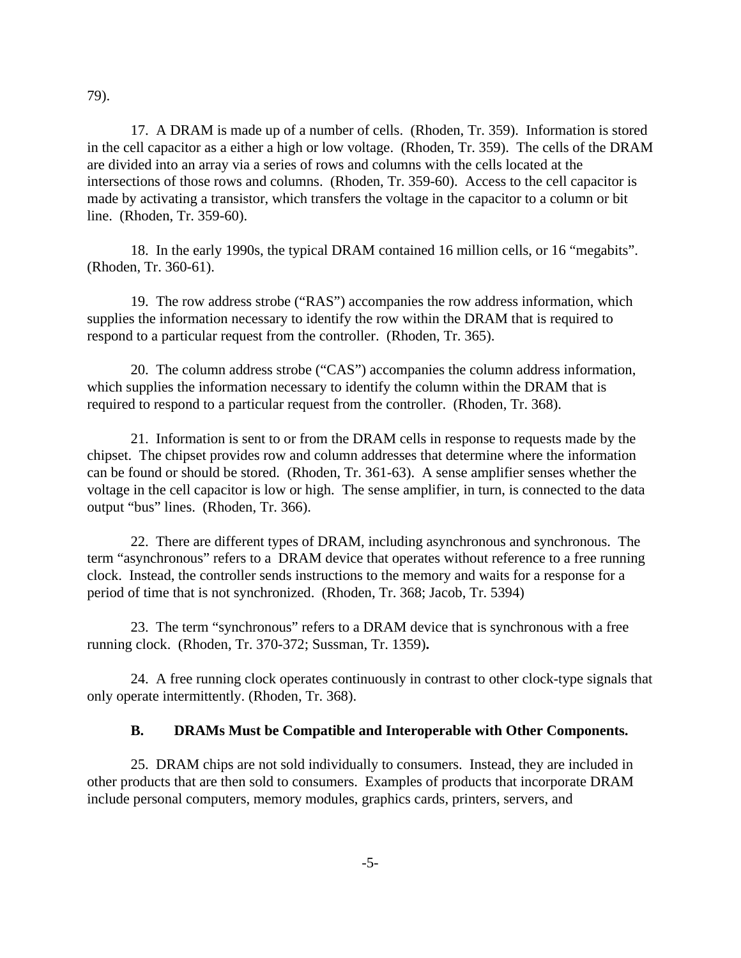79).

17. A DRAM is made up of a number of cells. (Rhoden, Tr. 359). Information is stored in the cell capacitor as a either a high or low voltage. (Rhoden, Tr. 359). The cells of the DRAM are divided into an array via a series of rows and columns with the cells located at the intersections of those rows and columns. (Rhoden, Tr. 359-60). Access to the cell capacitor is made by activating a transistor, which transfers the voltage in the capacitor to a column or bit line. (Rhoden, Tr. 359-60).

18. In the early 1990s, the typical DRAM contained 16 million cells, or 16 "megabits". (Rhoden, Tr. 360-61).

19. The row address strobe ("RAS") accompanies the row address information, which supplies the information necessary to identify the row within the DRAM that is required to respond to a particular request from the controller. (Rhoden, Tr. 365).

20. The column address strobe ("CAS") accompanies the column address information, which supplies the information necessary to identify the column within the DRAM that is required to respond to a particular request from the controller. (Rhoden, Tr. 368).

21. Information is sent to or from the DRAM cells in response to requests made by the chipset. The chipset provides row and column addresses that determine where the information can be found or should be stored. (Rhoden, Tr. 361-63). A sense amplifier senses whether the voltage in the cell capacitor is low or high. The sense amplifier, in turn, is connected to the data output "bus" lines. (Rhoden, Tr. 366).

22. There are different types of DRAM, including asynchronous and synchronous. The term "asynchronous" refers to a DRAM device that operates without reference to a free running clock. Instead, the controller sends instructions to the memory and waits for a response for a period of time that is not synchronized. (Rhoden, Tr. 368; Jacob, Tr. 5394)

23. The term "synchronous" refers to a DRAM device that is synchronous with a free running clock. (Rhoden, Tr. 370-372; Sussman, Tr. 1359)**.** 

24. A free running clock operates continuously in contrast to other clock-type signals that only operate intermittently. (Rhoden, Tr. 368).

## **B. DRAMs Must be Compatible and Interoperable with Other Components.**

25. DRAM chips are not sold individually to consumers. Instead, they are included in other products that are then sold to consumers. Examples of products that incorporate DRAM include personal computers, memory modules, graphics cards, printers, servers, and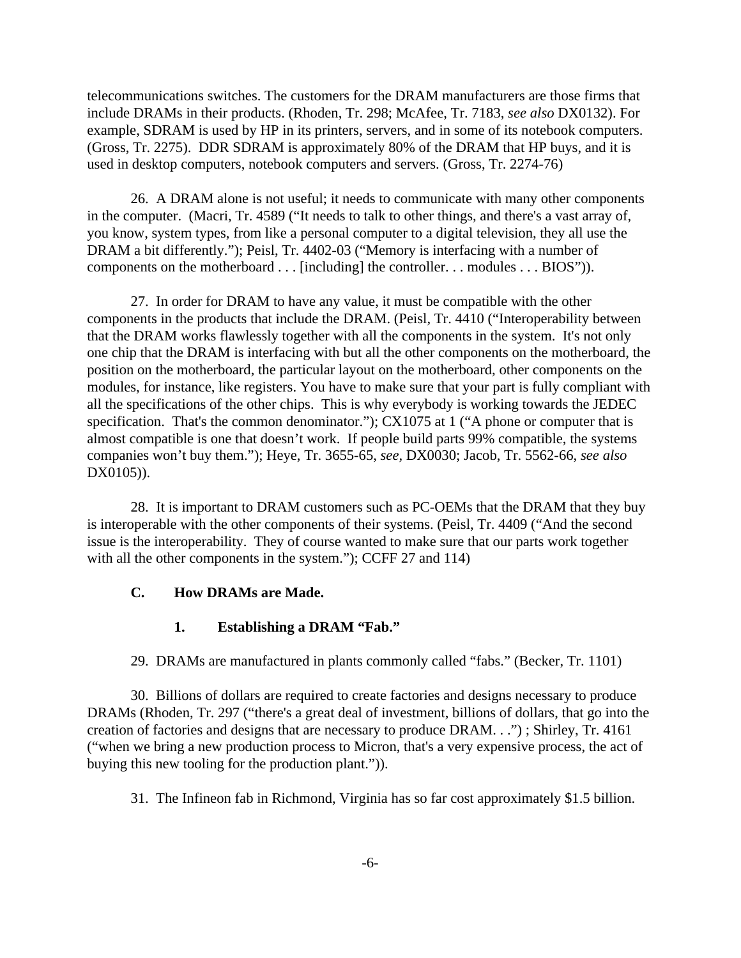telecommunications switches. The customers for the DRAM manufacturers are those firms that include DRAMs in their products. (Rhoden, Tr. 298; McAfee, Tr. 7183, *see also* DX0132). For example, SDRAM is used by HP in its printers, servers, and in some of its notebook computers. (Gross, Tr. 2275). DDR SDRAM is approximately 80% of the DRAM that HP buys, and it is used in desktop computers, notebook computers and servers. (Gross, Tr. 2274-76)

26. A DRAM alone is not useful; it needs to communicate with many other components in the computer. (Macri, Tr. 4589 ("It needs to talk to other things, and there's a vast array of, you know, system types, from like a personal computer to a digital television, they all use the DRAM a bit differently."); Peisl, Tr. 4402-03 ("Memory is interfacing with a number of components on the motherboard . . . [including] the controller. . . modules . . . BIOS")).

27. In order for DRAM to have any value, it must be compatible with the other components in the products that include the DRAM. (Peisl, Tr. 4410 ("Interoperability between that the DRAM works flawlessly together with all the components in the system. It's not only one chip that the DRAM is interfacing with but all the other components on the motherboard, the position on the motherboard, the particular layout on the motherboard, other components on the modules, for instance, like registers. You have to make sure that your part is fully compliant with all the specifications of the other chips. This is why everybody is working towards the JEDEC specification. That's the common denominator."); CX1075 at 1 ("A phone or computer that is almost compatible is one that doesn't work. If people build parts 99% compatible, the systems companies won't buy them."); Heye, Tr. 3655-65, *see,* DX0030; Jacob, Tr. 5562-66, *see also* DX0105)).

28. It is important to DRAM customers such as PC-OEMs that the DRAM that they buy is interoperable with the other components of their systems. (Peisl, Tr. 4409 ("And the second issue is the interoperability. They of course wanted to make sure that our parts work together with all the other components in the system."); CCFF 27 and 114)

## **C. How DRAMs are Made.**

#### **1. Establishing a DRAM "Fab."**

29. DRAMs are manufactured in plants commonly called "fabs." (Becker, Tr. 1101)

30. Billions of dollars are required to create factories and designs necessary to produce DRAMs (Rhoden, Tr. 297 ("there's a great deal of investment, billions of dollars, that go into the creation of factories and designs that are necessary to produce DRAM. . .") ; Shirley, Tr. 4161 ("when we bring a new production process to Micron, that's a very expensive process, the act of buying this new tooling for the production plant.")).

31. The Infineon fab in Richmond, Virginia has so far cost approximately \$1.5 billion.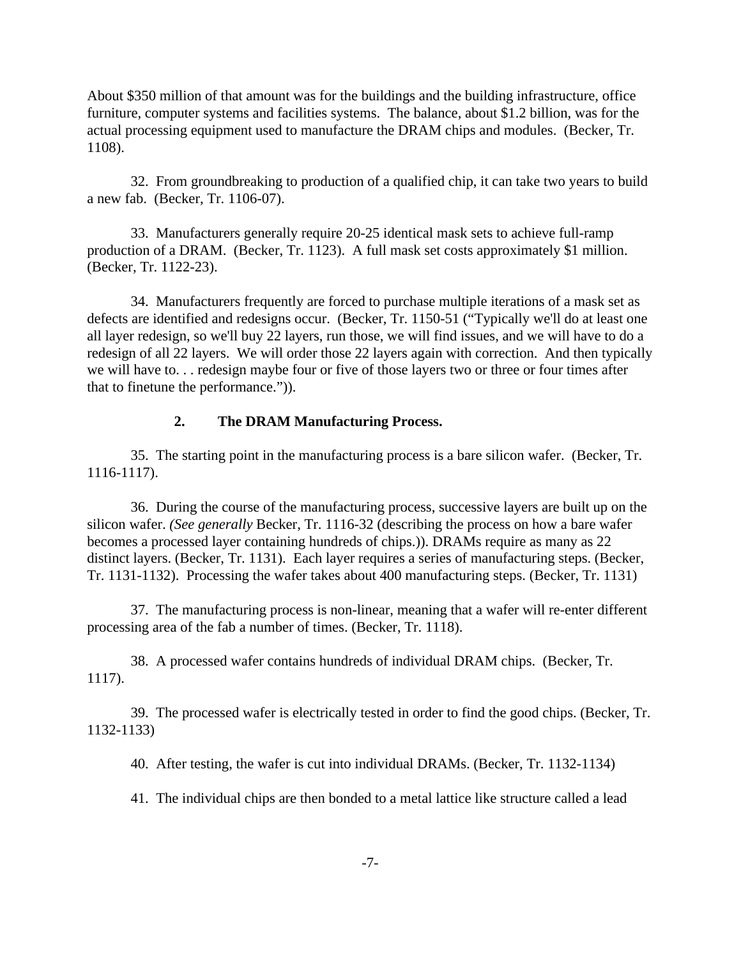About \$350 million of that amount was for the buildings and the building infrastructure, office furniture, computer systems and facilities systems. The balance, about \$1.2 billion, was for the actual processing equipment used to manufacture the DRAM chips and modules. (Becker, Tr. 1108).

32. From groundbreaking to production of a qualified chip, it can take two years to build a new fab. (Becker, Tr. 1106-07).

33. Manufacturers generally require 20-25 identical mask sets to achieve full-ramp production of a DRAM. (Becker, Tr. 1123). A full mask set costs approximately \$1 million. (Becker, Tr. 1122-23).

34. Manufacturers frequently are forced to purchase multiple iterations of a mask set as defects are identified and redesigns occur. (Becker, Tr. 1150-51 ("Typically we'll do at least one all layer redesign, so we'll buy 22 layers, run those, we will find issues, and we will have to do a redesign of all 22 layers. We will order those 22 layers again with correction. And then typically we will have to. . . redesign maybe four or five of those layers two or three or four times after that to finetune the performance.")).

## **2. The DRAM Manufacturing Process.**

35. The starting point in the manufacturing process is a bare silicon wafer. (Becker, Tr. 1116-1117).

36. During the course of the manufacturing process, successive layers are built up on the silicon wafer. *(See generally* Becker, Tr. 1116-32 (describing the process on how a bare wafer becomes a processed layer containing hundreds of chips.)). DRAMs require as many as 22 distinct layers. (Becker, Tr. 1131). Each layer requires a series of manufacturing steps. (Becker, Tr. 1131-1132). Processing the wafer takes about 400 manufacturing steps. (Becker, Tr. 1131)

37. The manufacturing process is non-linear, meaning that a wafer will re-enter different processing area of the fab a number of times. (Becker, Tr. 1118).

38. A processed wafer contains hundreds of individual DRAM chips. (Becker, Tr. 1117).

39. The processed wafer is electrically tested in order to find the good chips. (Becker, Tr. 1132-1133)

40. After testing, the wafer is cut into individual DRAMs. (Becker, Tr. 1132-1134)

41. The individual chips are then bonded to a metal lattice like structure called a lead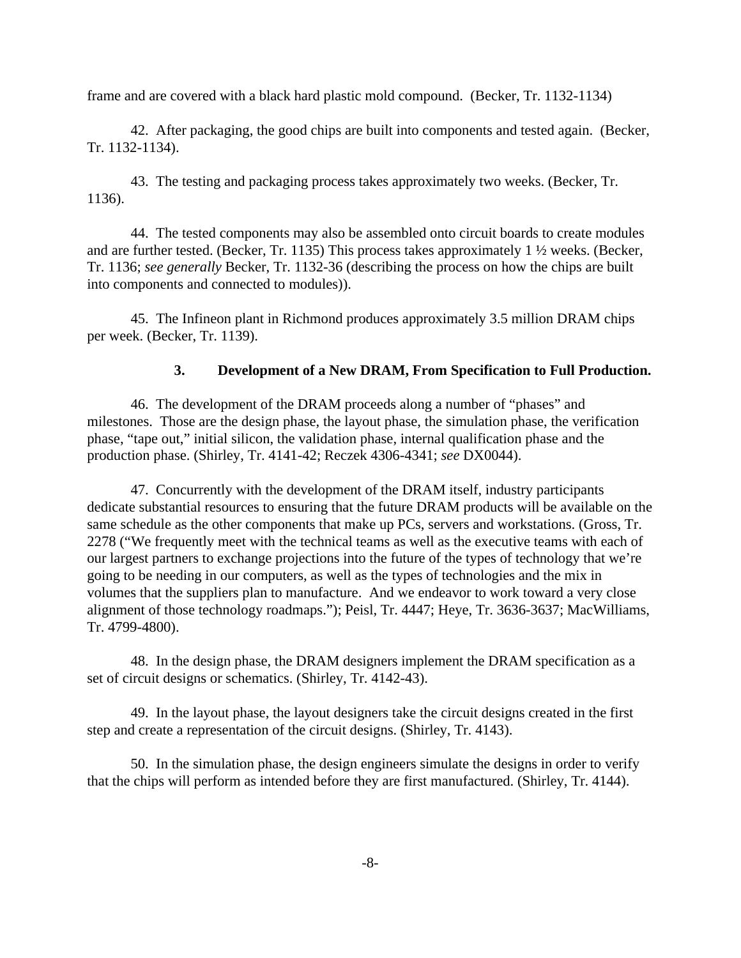frame and are covered with a black hard plastic mold compound. (Becker, Tr. 1132-1134)

42. After packaging, the good chips are built into components and tested again. (Becker, Tr. 1132-1134).

43. The testing and packaging process takes approximately two weeks. (Becker, Tr. 1136).

44. The tested components may also be assembled onto circuit boards to create modules and are further tested. (Becker, Tr. 1135) This process takes approximately 1 ½ weeks. (Becker, Tr. 1136; *see generally* Becker, Tr. 1132-36 (describing the process on how the chips are built into components and connected to modules)).

45. The Infineon plant in Richmond produces approximately 3.5 million DRAM chips per week. (Becker, Tr. 1139).

#### **3. Development of a New DRAM, From Specification to Full Production.**

46. The development of the DRAM proceeds along a number of "phases" and milestones. Those are the design phase, the layout phase, the simulation phase, the verification phase, "tape out," initial silicon, the validation phase, internal qualification phase and the production phase. (Shirley, Tr. 4141-42; Reczek 4306-4341; *see* DX0044).

47. Concurrently with the development of the DRAM itself, industry participants dedicate substantial resources to ensuring that the future DRAM products will be available on the same schedule as the other components that make up PCs, servers and workstations. (Gross, Tr. 2278 ("We frequently meet with the technical teams as well as the executive teams with each of our largest partners to exchange projections into the future of the types of technology that we're going to be needing in our computers, as well as the types of technologies and the mix in volumes that the suppliers plan to manufacture. And we endeavor to work toward a very close alignment of those technology roadmaps."); Peisl, Tr. 4447; Heye, Tr. 3636-3637; MacWilliams, Tr. 4799-4800).

48. In the design phase, the DRAM designers implement the DRAM specification as a set of circuit designs or schematics. (Shirley, Tr. 4142-43).

49. In the layout phase, the layout designers take the circuit designs created in the first step and create a representation of the circuit designs. (Shirley, Tr. 4143).

50. In the simulation phase, the design engineers simulate the designs in order to verify that the chips will perform as intended before they are first manufactured. (Shirley, Tr. 4144).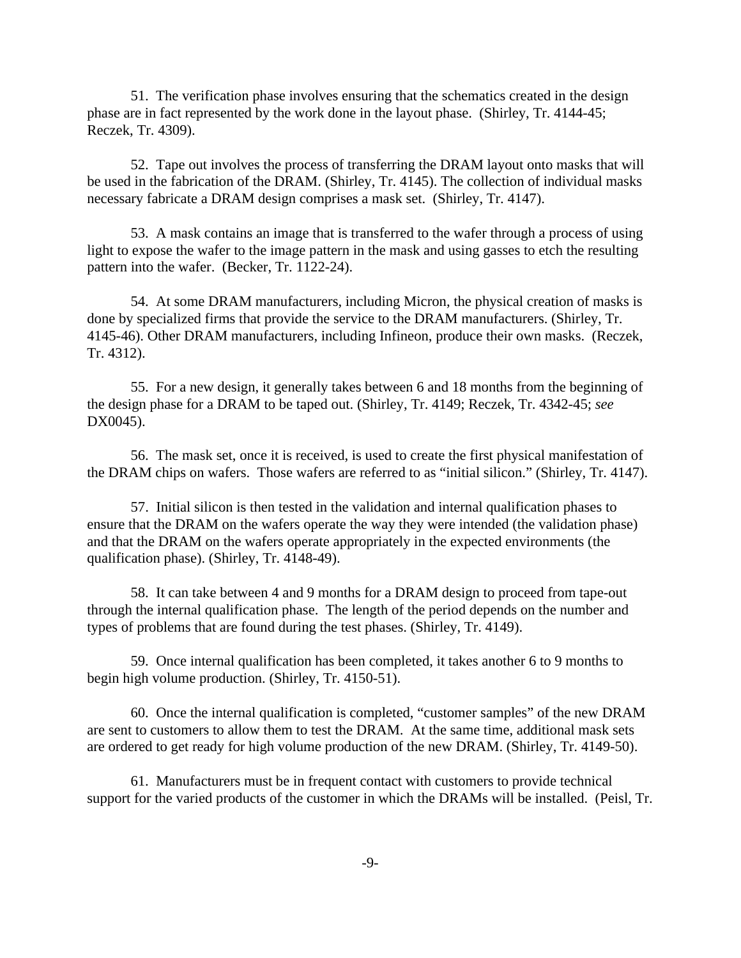51. The verification phase involves ensuring that the schematics created in the design phase are in fact represented by the work done in the layout phase. (Shirley, Tr. 4144-45; Reczek, Tr. 4309).

52. Tape out involves the process of transferring the DRAM layout onto masks that will be used in the fabrication of the DRAM. (Shirley, Tr. 4145). The collection of individual masks necessary fabricate a DRAM design comprises a mask set. (Shirley, Tr. 4147).

53. A mask contains an image that is transferred to the wafer through a process of using light to expose the wafer to the image pattern in the mask and using gasses to etch the resulting pattern into the wafer. (Becker, Tr. 1122-24).

54. At some DRAM manufacturers, including Micron, the physical creation of masks is done by specialized firms that provide the service to the DRAM manufacturers. (Shirley, Tr. 4145-46). Other DRAM manufacturers, including Infineon, produce their own masks. (Reczek, Tr. 4312).

55. For a new design, it generally takes between 6 and 18 months from the beginning of the design phase for a DRAM to be taped out. (Shirley, Tr. 4149; Reczek, Tr. 4342-45; *see* DX0045).

56. The mask set, once it is received, is used to create the first physical manifestation of the DRAM chips on wafers. Those wafers are referred to as "initial silicon." (Shirley, Tr. 4147).

57. Initial silicon is then tested in the validation and internal qualification phases to ensure that the DRAM on the wafers operate the way they were intended (the validation phase) and that the DRAM on the wafers operate appropriately in the expected environments (the qualification phase). (Shirley, Tr. 4148-49).

58. It can take between 4 and 9 months for a DRAM design to proceed from tape-out through the internal qualification phase. The length of the period depends on the number and types of problems that are found during the test phases. (Shirley, Tr. 4149).

59. Once internal qualification has been completed, it takes another 6 to 9 months to begin high volume production. (Shirley, Tr. 4150-51).

60. Once the internal qualification is completed, "customer samples" of the new DRAM are sent to customers to allow them to test the DRAM. At the same time, additional mask sets are ordered to get ready for high volume production of the new DRAM. (Shirley, Tr. 4149-50).

61. Manufacturers must be in frequent contact with customers to provide technical support for the varied products of the customer in which the DRAMs will be installed. (Peisl, Tr.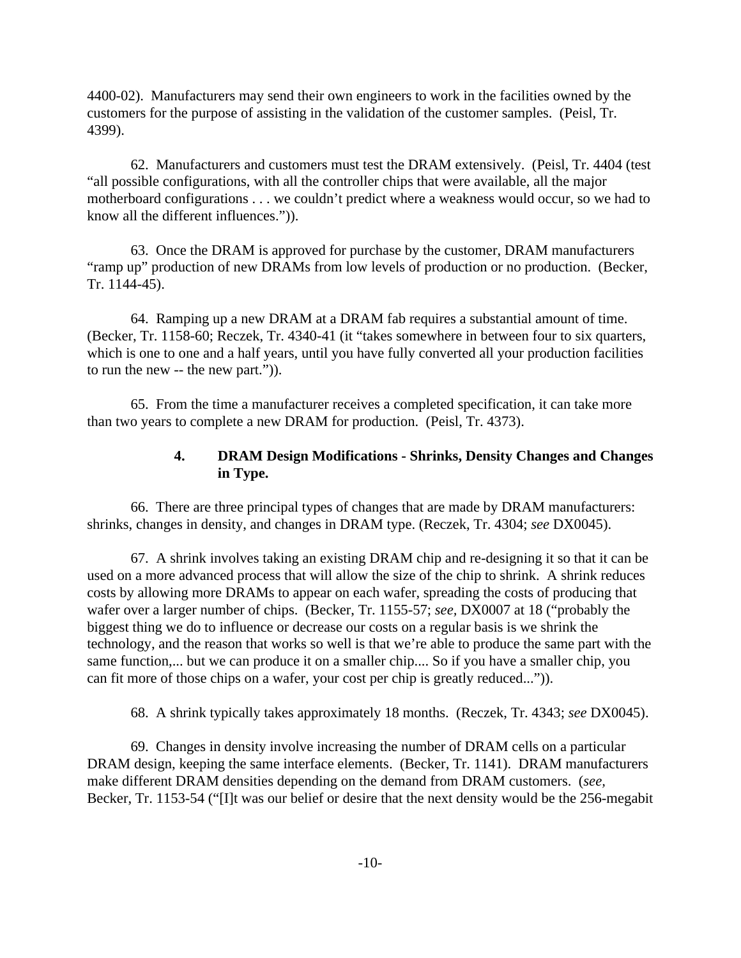4400-02). Manufacturers may send their own engineers to work in the facilities owned by the customers for the purpose of assisting in the validation of the customer samples. (Peisl, Tr. 4399).

62. Manufacturers and customers must test the DRAM extensively. (Peisl, Tr. 4404 (test "all possible configurations, with all the controller chips that were available, all the major motherboard configurations . . . we couldn't predict where a weakness would occur, so we had to know all the different influences.")).

63. Once the DRAM is approved for purchase by the customer, DRAM manufacturers "ramp up" production of new DRAMs from low levels of production or no production. (Becker, Tr. 1144-45).

64. Ramping up a new DRAM at a DRAM fab requires a substantial amount of time. (Becker, Tr. 1158-60; Reczek, Tr. 4340-41 (it "takes somewhere in between four to six quarters, which is one to one and a half years, until you have fully converted all your production facilities to run the new -- the new part.")).

65. From the time a manufacturer receives a completed specification, it can take more than two years to complete a new DRAM for production. (Peisl, Tr. 4373).

# **4. DRAM Design Modifications - Shrinks, Density Changes and Changes in Type.**

66. There are three principal types of changes that are made by DRAM manufacturers: shrinks, changes in density, and changes in DRAM type. (Reczek, Tr. 4304; *see* DX0045).

67. A shrink involves taking an existing DRAM chip and re-designing it so that it can be used on a more advanced process that will allow the size of the chip to shrink. A shrink reduces costs by allowing more DRAMs to appear on each wafer, spreading the costs of producing that wafer over a larger number of chips. (Becker, Tr. 1155-57; *see,* DX0007 at 18 ("probably the biggest thing we do to influence or decrease our costs on a regular basis is we shrink the technology, and the reason that works so well is that we're able to produce the same part with the same function,... but we can produce it on a smaller chip.... So if you have a smaller chip, you can fit more of those chips on a wafer, your cost per chip is greatly reduced...")).

68. A shrink typically takes approximately 18 months. (Reczek, Tr. 4343; *see* DX0045).

69. Changes in density involve increasing the number of DRAM cells on a particular DRAM design, keeping the same interface elements. (Becker, Tr. 1141). DRAM manufacturers make different DRAM densities depending on the demand from DRAM customers. (*see,* Becker, Tr. 1153-54 ("[I]t was our belief or desire that the next density would be the 256-megabit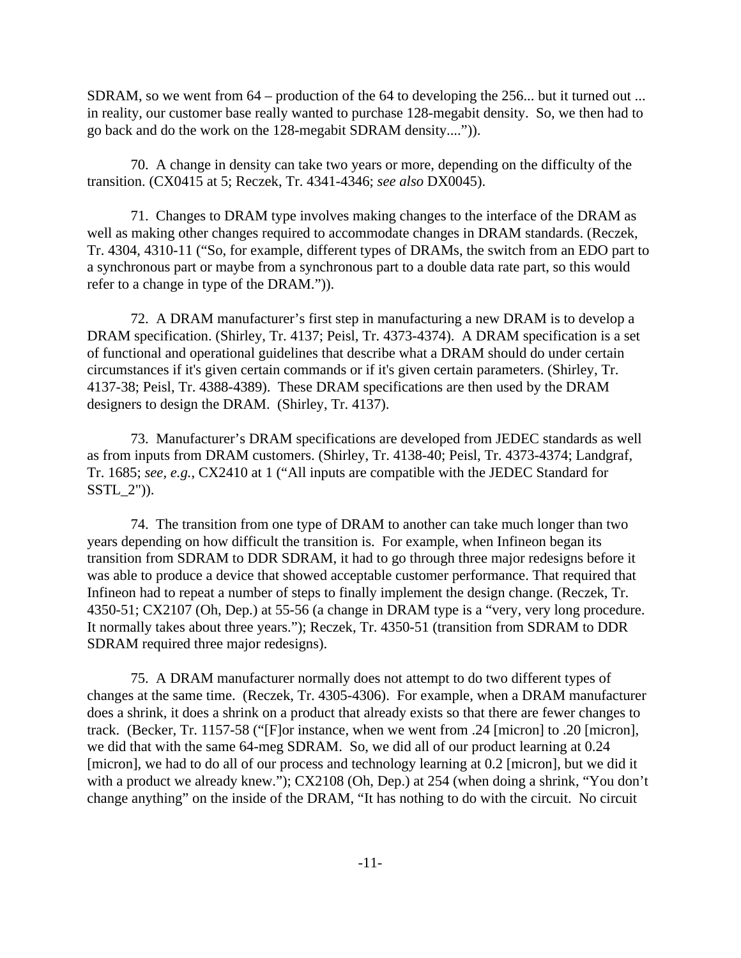SDRAM, so we went from 64 – production of the 64 to developing the 256... but it turned out ... in reality, our customer base really wanted to purchase 128-megabit density. So, we then had to go back and do the work on the 128-megabit SDRAM density....")).

70. A change in density can take two years or more, depending on the difficulty of the transition. (CX0415 at 5; Reczek, Tr. 4341-4346; *see also* DX0045).

71. Changes to DRAM type involves making changes to the interface of the DRAM as well as making other changes required to accommodate changes in DRAM standards. (Reczek, Tr. 4304, 4310-11 ("So, for example, different types of DRAMs, the switch from an EDO part to a synchronous part or maybe from a synchronous part to a double data rate part, so this would refer to a change in type of the DRAM.")).

72. A DRAM manufacturer's first step in manufacturing a new DRAM is to develop a DRAM specification. (Shirley, Tr. 4137; Peisl, Tr. 4373-4374). A DRAM specification is a set of functional and operational guidelines that describe what a DRAM should do under certain circumstances if it's given certain commands or if it's given certain parameters. (Shirley, Tr. 4137-38; Peisl, Tr. 4388-4389). These DRAM specifications are then used by the DRAM designers to design the DRAM. (Shirley, Tr. 4137).

73. Manufacturer's DRAM specifications are developed from JEDEC standards as well as from inputs from DRAM customers. (Shirley, Tr. 4138-40; Peisl, Tr. 4373-4374; Landgraf, Tr. 1685; *see, e.g.*, CX2410 at 1 ("All inputs are compatible with the JEDEC Standard for SSTL\_2")).

74. The transition from one type of DRAM to another can take much longer than two years depending on how difficult the transition is. For example, when Infineon began its transition from SDRAM to DDR SDRAM, it had to go through three major redesigns before it was able to produce a device that showed acceptable customer performance. That required that Infineon had to repeat a number of steps to finally implement the design change. (Reczek, Tr. 4350-51; CX2107 (Oh, Dep.) at 55-56 (a change in DRAM type is a "very, very long procedure. It normally takes about three years."); Reczek, Tr. 4350-51 (transition from SDRAM to DDR SDRAM required three major redesigns).

75. A DRAM manufacturer normally does not attempt to do two different types of changes at the same time. (Reczek, Tr. 4305-4306). For example, when a DRAM manufacturer does a shrink, it does a shrink on a product that already exists so that there are fewer changes to track. (Becker, Tr. 1157-58 ("[F]or instance, when we went from .24 [micron] to .20 [micron], we did that with the same 64-meg SDRAM. So, we did all of our product learning at 0.24 [micron], we had to do all of our process and technology learning at 0.2 [micron], but we did it with a product we already knew."); CX2108 (Oh, Dep.) at 254 (when doing a shrink, "You don't change anything" on the inside of the DRAM, "It has nothing to do with the circuit. No circuit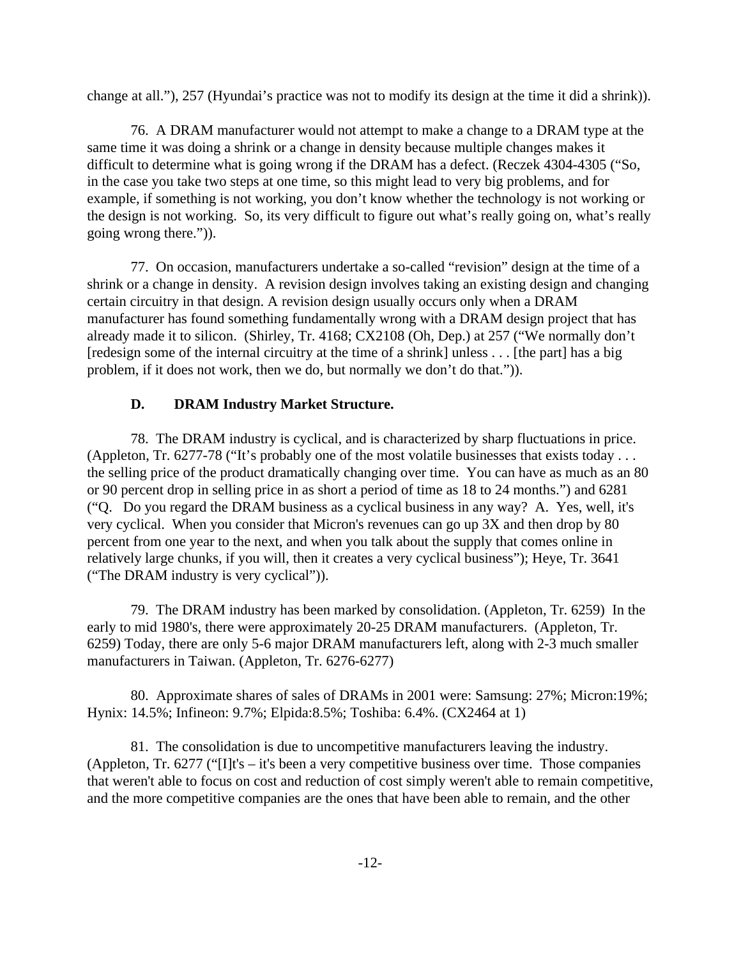change at all."), 257 (Hyundai's practice was not to modify its design at the time it did a shrink)).

76. A DRAM manufacturer would not attempt to make a change to a DRAM type at the same time it was doing a shrink or a change in density because multiple changes makes it difficult to determine what is going wrong if the DRAM has a defect. (Reczek 4304-4305 ("So, in the case you take two steps at one time, so this might lead to very big problems, and for example, if something is not working, you don't know whether the technology is not working or the design is not working. So, its very difficult to figure out what's really going on, what's really going wrong there.")).

77. On occasion, manufacturers undertake a so-called "revision" design at the time of a shrink or a change in density. A revision design involves taking an existing design and changing certain circuitry in that design. A revision design usually occurs only when a DRAM manufacturer has found something fundamentally wrong with a DRAM design project that has already made it to silicon. (Shirley, Tr. 4168; CX2108 (Oh, Dep.) at 257 ("We normally don't [redesign some of the internal circuitry at the time of a shrink] unless . . . [the part] has a big problem, if it does not work, then we do, but normally we don't do that.")).

## **D. DRAM Industry Market Structure.**

78. The DRAM industry is cyclical, and is characterized by sharp fluctuations in price. (Appleton, Tr. 6277-78 ("It's probably one of the most volatile businesses that exists today . . . the selling price of the product dramatically changing over time. You can have as much as an 80 or 90 percent drop in selling price in as short a period of time as 18 to 24 months.") and 6281 ("Q. Do you regard the DRAM business as a cyclical business in any way? A. Yes, well, it's very cyclical. When you consider that Micron's revenues can go up 3X and then drop by 80 percent from one year to the next, and when you talk about the supply that comes online in relatively large chunks, if you will, then it creates a very cyclical business"); Heye, Tr. 3641 ("The DRAM industry is very cyclical")).

79. The DRAM industry has been marked by consolidation. (Appleton, Tr. 6259) In the early to mid 1980's, there were approximately 20-25 DRAM manufacturers. (Appleton, Tr. 6259) Today, there are only 5-6 major DRAM manufacturers left, along with 2-3 much smaller manufacturers in Taiwan. (Appleton, Tr. 6276-6277)

80. Approximate shares of sales of DRAMs in 2001 were: Samsung: 27%; Micron:19%; Hynix: 14.5%; Infineon: 9.7%; Elpida:8.5%; Toshiba: 6.4%. (CX2464 at 1)

81. The consolidation is due to uncompetitive manufacturers leaving the industry. (Appleton, Tr. 6277 ("[I]t's – it's been a very competitive business over time. Those companies that weren't able to focus on cost and reduction of cost simply weren't able to remain competitive, and the more competitive companies are the ones that have been able to remain, and the other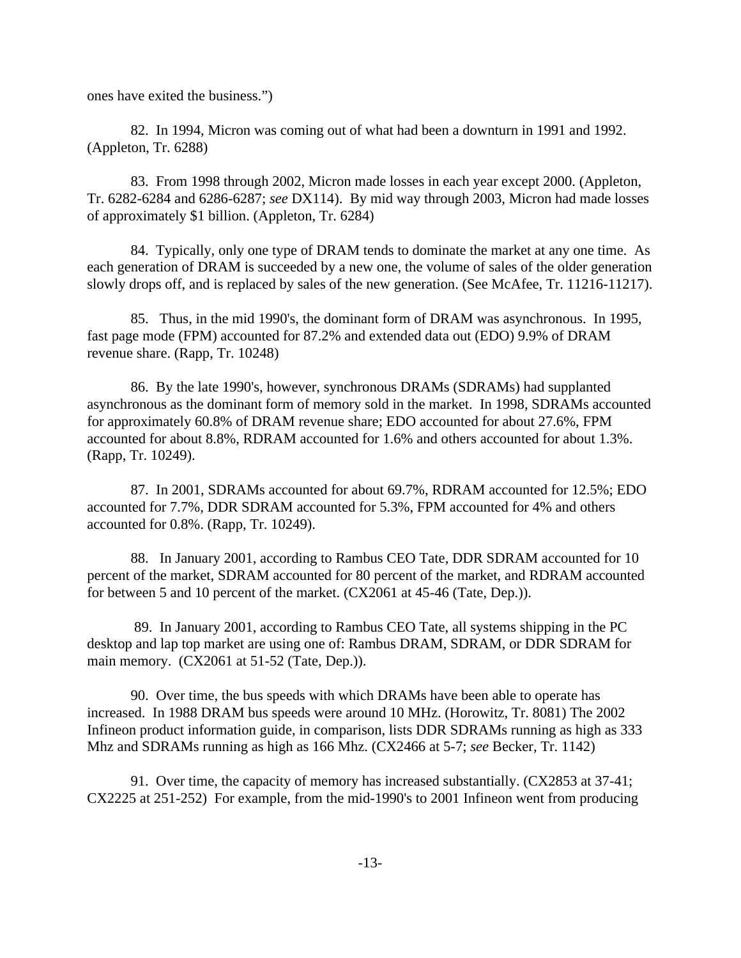ones have exited the business.")

82. In 1994, Micron was coming out of what had been a downturn in 1991 and 1992. (Appleton, Tr. 6288)

83. From 1998 through 2002, Micron made losses in each year except 2000. (Appleton, Tr. 6282-6284 and 6286-6287; *see* DX114). By mid way through 2003, Micron had made losses of approximately \$1 billion. (Appleton, Tr. 6284)

84. Typically, only one type of DRAM tends to dominate the market at any one time. As each generation of DRAM is succeeded by a new one, the volume of sales of the older generation slowly drops off, and is replaced by sales of the new generation. (See McAfee, Tr. 11216-11217).

85. Thus, in the mid 1990's, the dominant form of DRAM was asynchronous. In 1995, fast page mode (FPM) accounted for 87.2% and extended data out (EDO) 9.9% of DRAM revenue share. (Rapp, Tr. 10248)

86. By the late 1990's, however, synchronous DRAMs (SDRAMs) had supplanted asynchronous as the dominant form of memory sold in the market. In 1998, SDRAMs accounted for approximately 60.8% of DRAM revenue share; EDO accounted for about 27.6%, FPM accounted for about 8.8%, RDRAM accounted for 1.6% and others accounted for about 1.3%. (Rapp, Tr. 10249).

87. In 2001, SDRAMs accounted for about 69.7%, RDRAM accounted for 12.5%; EDO accounted for 7.7%, DDR SDRAM accounted for 5.3%, FPM accounted for 4% and others accounted for 0.8%. (Rapp, Tr. 10249).

88. In January 2001, according to Rambus CEO Tate, DDR SDRAM accounted for 10 percent of the market, SDRAM accounted for 80 percent of the market, and RDRAM accounted for between 5 and 10 percent of the market. (CX2061 at 45-46 (Tate, Dep.)).

 89. In January 2001, according to Rambus CEO Tate, all systems shipping in the PC desktop and lap top market are using one of: Rambus DRAM, SDRAM, or DDR SDRAM for main memory. (CX2061 at 51-52 (Tate, Dep.)).

90. Over time, the bus speeds with which DRAMs have been able to operate has increased. In 1988 DRAM bus speeds were around 10 MHz. (Horowitz, Tr. 8081) The 2002 Infineon product information guide, in comparison, lists DDR SDRAMs running as high as 333 Mhz and SDRAMs running as high as 166 Mhz. (CX2466 at 5-7; *see* Becker, Tr. 1142)

91. Over time, the capacity of memory has increased substantially. (CX2853 at 37-41; CX2225 at 251-252) For example, from the mid-1990's to 2001 Infineon went from producing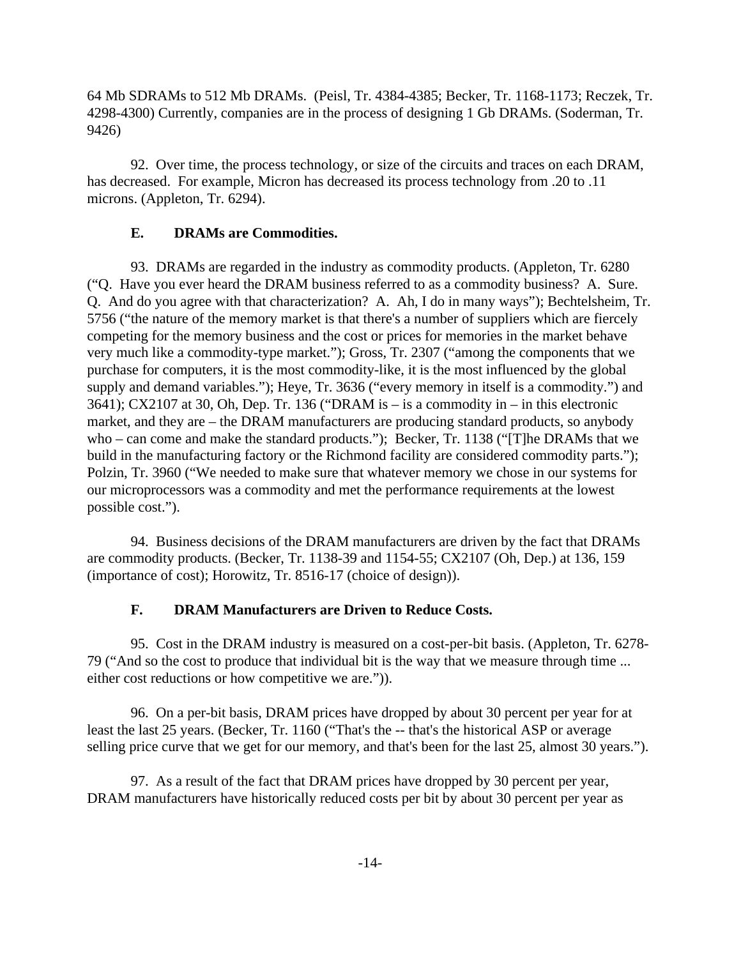64 Mb SDRAMs to 512 Mb DRAMs. (Peisl, Tr. 4384-4385; Becker, Tr. 1168-1173; Reczek, Tr. 4298-4300) Currently, companies are in the process of designing 1 Gb DRAMs. (Soderman, Tr. 9426)

92. Over time, the process technology, or size of the circuits and traces on each DRAM, has decreased. For example, Micron has decreased its process technology from .20 to .11 microns. (Appleton, Tr. 6294).

### **E. DRAMs are Commodities.**

93. DRAMs are regarded in the industry as commodity products. (Appleton, Tr. 6280 ("Q. Have you ever heard the DRAM business referred to as a commodity business? A. Sure. Q. And do you agree with that characterization? A. Ah, I do in many ways"); Bechtelsheim, Tr. 5756 ("the nature of the memory market is that there's a number of suppliers which are fiercely competing for the memory business and the cost or prices for memories in the market behave very much like a commodity-type market."); Gross, Tr. 2307 ("among the components that we purchase for computers, it is the most commodity-like, it is the most influenced by the global supply and demand variables."); Heye, Tr. 3636 ("every memory in itself is a commodity.") and 3641); CX2107 at 30, Oh, Dep. Tr. 136 ("DRAM is – is a commodity in – in this electronic market, and they are – the DRAM manufacturers are producing standard products, so anybody who – can come and make the standard products."); Becker, Tr. 1138 ("[T]he DRAMs that we build in the manufacturing factory or the Richmond facility are considered commodity parts."); Polzin, Tr. 3960 ("We needed to make sure that whatever memory we chose in our systems for our microprocessors was a commodity and met the performance requirements at the lowest possible cost.").

94. Business decisions of the DRAM manufacturers are driven by the fact that DRAMs are commodity products. (Becker, Tr. 1138-39 and 1154-55; CX2107 (Oh, Dep.) at 136, 159 (importance of cost); Horowitz, Tr. 8516-17 (choice of design)).

#### **F. DRAM Manufacturers are Driven to Reduce Costs.**

95. Cost in the DRAM industry is measured on a cost-per-bit basis. (Appleton, Tr. 6278- 79 ("And so the cost to produce that individual bit is the way that we measure through time ... either cost reductions or how competitive we are.")).

96. On a per-bit basis, DRAM prices have dropped by about 30 percent per year for at least the last 25 years. (Becker, Tr. 1160 ("That's the -- that's the historical ASP or average selling price curve that we get for our memory, and that's been for the last 25, almost 30 years.").

97. As a result of the fact that DRAM prices have dropped by 30 percent per year, DRAM manufacturers have historically reduced costs per bit by about 30 percent per year as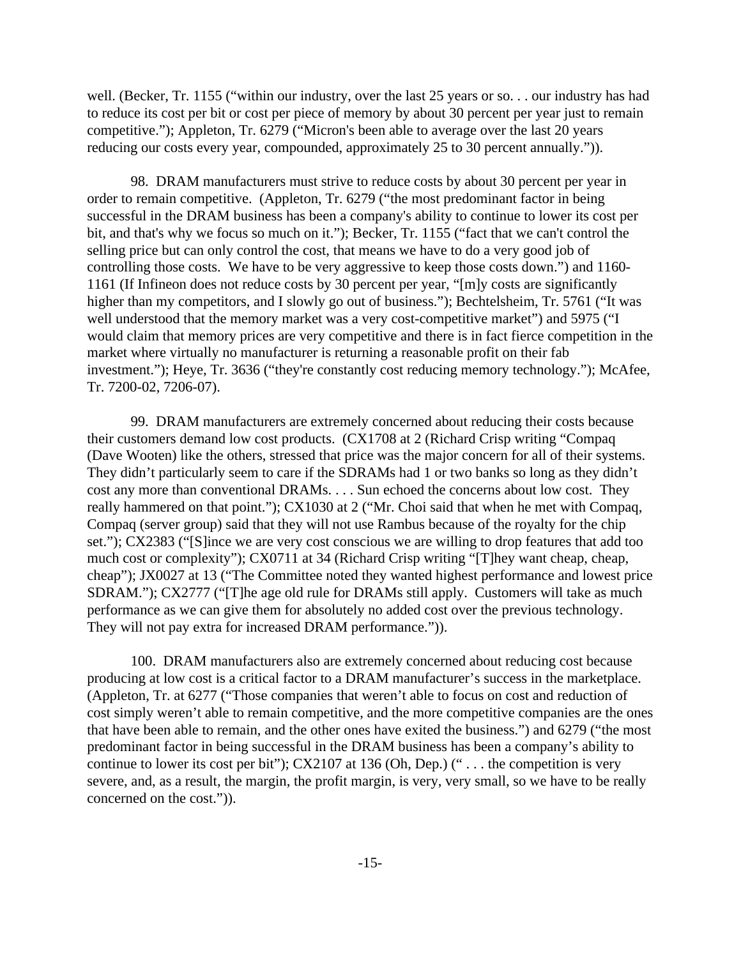well. (Becker, Tr. 1155 ("within our industry, over the last 25 years or so. . . our industry has had to reduce its cost per bit or cost per piece of memory by about 30 percent per year just to remain competitive."); Appleton, Tr. 6279 ("Micron's been able to average over the last 20 years reducing our costs every year, compounded, approximately 25 to 30 percent annually.")).

98. DRAM manufacturers must strive to reduce costs by about 30 percent per year in order to remain competitive. (Appleton, Tr. 6279 ("the most predominant factor in being successful in the DRAM business has been a company's ability to continue to lower its cost per bit, and that's why we focus so much on it."); Becker, Tr. 1155 ("fact that we can't control the selling price but can only control the cost, that means we have to do a very good job of controlling those costs. We have to be very aggressive to keep those costs down.") and 1160- 1161 (If Infineon does not reduce costs by 30 percent per year, "[m]y costs are significantly higher than my competitors, and I slowly go out of business."); Bechtelsheim, Tr. 5761 ("It was well understood that the memory market was a very cost-competitive market") and 5975 ("I would claim that memory prices are very competitive and there is in fact fierce competition in the market where virtually no manufacturer is returning a reasonable profit on their fab investment."); Heye, Tr. 3636 ("they're constantly cost reducing memory technology."); McAfee, Tr. 7200-02, 7206-07).

99. DRAM manufacturers are extremely concerned about reducing their costs because their customers demand low cost products. (CX1708 at 2 (Richard Crisp writing "Compaq (Dave Wooten) like the others, stressed that price was the major concern for all of their systems. They didn't particularly seem to care if the SDRAMs had 1 or two banks so long as they didn't cost any more than conventional DRAMs. . . . Sun echoed the concerns about low cost. They really hammered on that point."); CX1030 at 2 ("Mr. Choi said that when he met with Compaq, Compaq (server group) said that they will not use Rambus because of the royalty for the chip set."); CX2383 ("[S]ince we are very cost conscious we are willing to drop features that add too much cost or complexity"); CX0711 at 34 (Richard Crisp writing "[T]hey want cheap, cheap, cheap"); JX0027 at 13 ("The Committee noted they wanted highest performance and lowest price SDRAM."); CX2777 ("[T]he age old rule for DRAMs still apply. Customers will take as much performance as we can give them for absolutely no added cost over the previous technology. They will not pay extra for increased DRAM performance.")).

100. DRAM manufacturers also are extremely concerned about reducing cost because producing at low cost is a critical factor to a DRAM manufacturer's success in the marketplace. (Appleton, Tr. at 6277 ("Those companies that weren't able to focus on cost and reduction of cost simply weren't able to remain competitive, and the more competitive companies are the ones that have been able to remain, and the other ones have exited the business.") and 6279 ("the most predominant factor in being successful in the DRAM business has been a company's ability to continue to lower its cost per bit"); CX2107 at 136 (Oh, Dep.) (" . . . the competition is very severe, and, as a result, the margin, the profit margin, is very, very small, so we have to be really concerned on the cost.")).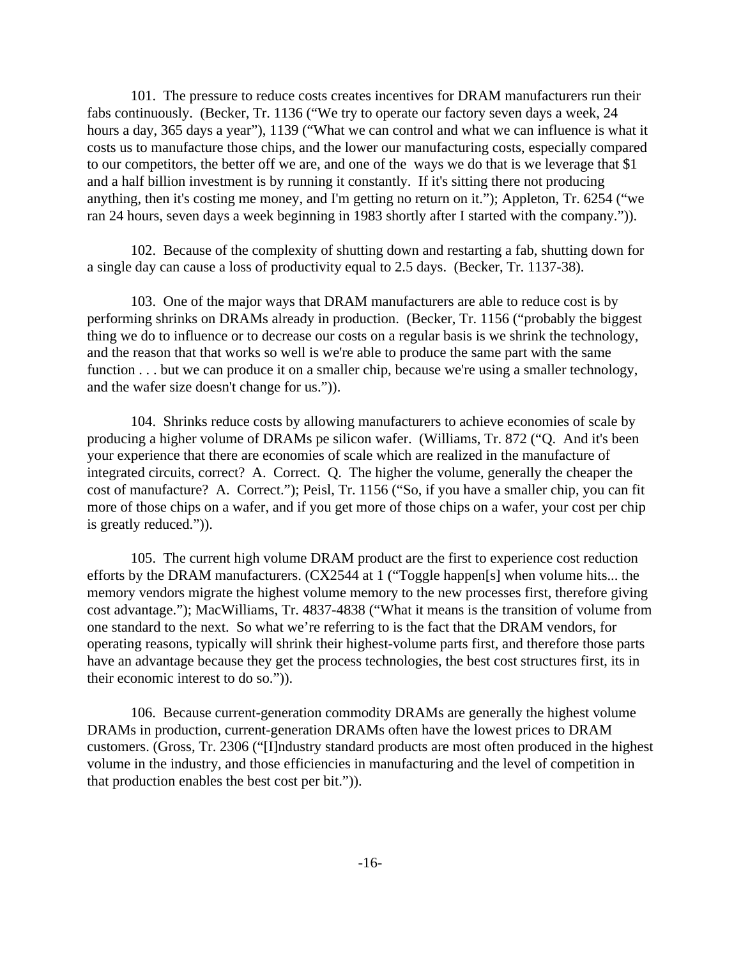101. The pressure to reduce costs creates incentives for DRAM manufacturers run their fabs continuously. (Becker, Tr. 1136 ("We try to operate our factory seven days a week, 24 hours a day, 365 days a year"), 1139 ("What we can control and what we can influence is what it costs us to manufacture those chips, and the lower our manufacturing costs, especially compared to our competitors, the better off we are, and one of the ways we do that is we leverage that \$1 and a half billion investment is by running it constantly. If it's sitting there not producing anything, then it's costing me money, and I'm getting no return on it."); Appleton, Tr. 6254 ("we ran 24 hours, seven days a week beginning in 1983 shortly after I started with the company.")).

102. Because of the complexity of shutting down and restarting a fab, shutting down for a single day can cause a loss of productivity equal to 2.5 days. (Becker, Tr. 1137-38).

103. One of the major ways that DRAM manufacturers are able to reduce cost is by performing shrinks on DRAMs already in production. (Becker, Tr. 1156 ("probably the biggest thing we do to influence or to decrease our costs on a regular basis is we shrink the technology, and the reason that that works so well is we're able to produce the same part with the same function . . . but we can produce it on a smaller chip, because we're using a smaller technology, and the wafer size doesn't change for us.")).

104. Shrinks reduce costs by allowing manufacturers to achieve economies of scale by producing a higher volume of DRAMs pe silicon wafer. (Williams, Tr. 872 ("Q. And it's been your experience that there are economies of scale which are realized in the manufacture of integrated circuits, correct? A. Correct. Q. The higher the volume, generally the cheaper the cost of manufacture? A. Correct."); Peisl, Tr. 1156 ("So, if you have a smaller chip, you can fit more of those chips on a wafer, and if you get more of those chips on a wafer, your cost per chip is greatly reduced.")).

105. The current high volume DRAM product are the first to experience cost reduction efforts by the DRAM manufacturers. (CX2544 at 1 ("Toggle happen[s] when volume hits... the memory vendors migrate the highest volume memory to the new processes first, therefore giving cost advantage."); MacWilliams, Tr. 4837-4838 ("What it means is the transition of volume from one standard to the next. So what we're referring to is the fact that the DRAM vendors, for operating reasons, typically will shrink their highest-volume parts first, and therefore those parts have an advantage because they get the process technologies, the best cost structures first, its in their economic interest to do so.")).

106. Because current-generation commodity DRAMs are generally the highest volume DRAMs in production, current-generation DRAMs often have the lowest prices to DRAM customers. (Gross, Tr. 2306 ("[I]ndustry standard products are most often produced in the highest volume in the industry, and those efficiencies in manufacturing and the level of competition in that production enables the best cost per bit.")).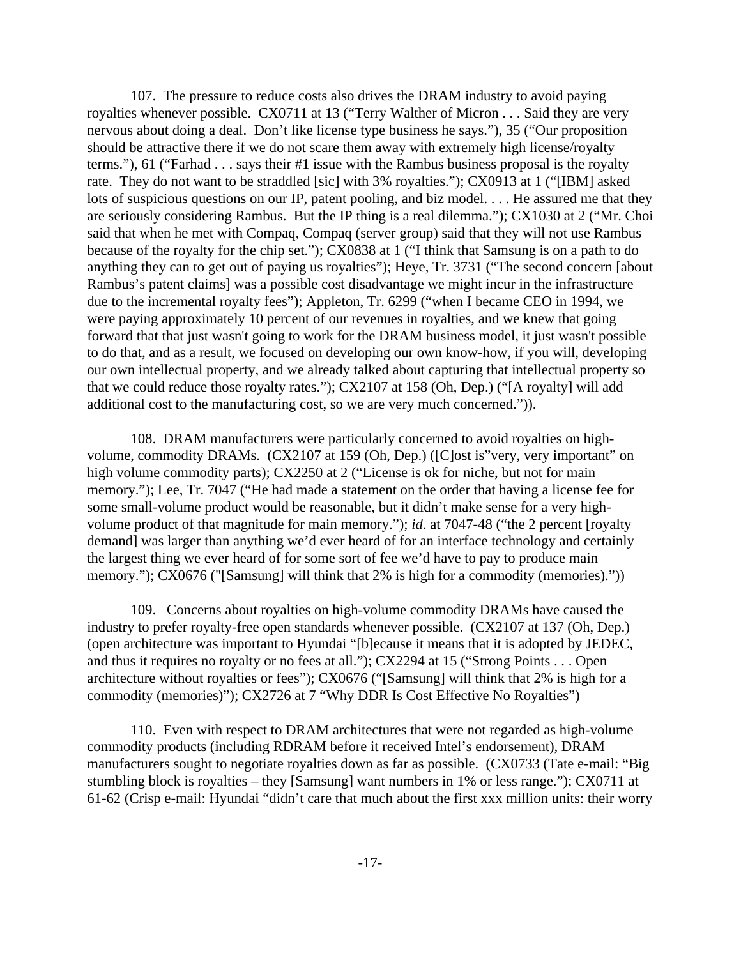107. The pressure to reduce costs also drives the DRAM industry to avoid paying royalties whenever possible. CX0711 at 13 ("Terry Walther of Micron . . . Said they are very nervous about doing a deal. Don't like license type business he says."), 35 ("Our proposition should be attractive there if we do not scare them away with extremely high license/royalty terms."), 61 ("Farhad . . . says their #1 issue with the Rambus business proposal is the royalty rate. They do not want to be straddled [sic] with 3% royalties."); CX0913 at 1 ("[IBM] asked lots of suspicious questions on our IP, patent pooling, and biz model. . . . He assured me that they are seriously considering Rambus. But the IP thing is a real dilemma."); CX1030 at 2 ("Mr. Choi said that when he met with Compaq, Compaq (server group) said that they will not use Rambus because of the royalty for the chip set."); CX0838 at 1 ("I think that Samsung is on a path to do anything they can to get out of paying us royalties"); Heye, Tr. 3731 ("The second concern [about Rambus's patent claims] was a possible cost disadvantage we might incur in the infrastructure due to the incremental royalty fees"); Appleton, Tr. 6299 ("when I became CEO in 1994, we were paying approximately 10 percent of our revenues in royalties, and we knew that going forward that that just wasn't going to work for the DRAM business model, it just wasn't possible to do that, and as a result, we focused on developing our own know-how, if you will, developing our own intellectual property, and we already talked about capturing that intellectual property so that we could reduce those royalty rates."); CX2107 at 158 (Oh, Dep.) ("[A royalty] will add additional cost to the manufacturing cost, so we are very much concerned.")).

108. DRAM manufacturers were particularly concerned to avoid royalties on highvolume, commodity DRAMs. (CX2107 at 159 (Oh, Dep.) ([C]ost is"very, very important" on high volume commodity parts); CX2250 at 2 ("License is ok for niche, but not for main memory."); Lee, Tr. 7047 ("He had made a statement on the order that having a license fee for some small-volume product would be reasonable, but it didn't make sense for a very highvolume product of that magnitude for main memory."); *id*. at 7047-48 ("the 2 percent [royalty demand] was larger than anything we'd ever heard of for an interface technology and certainly the largest thing we ever heard of for some sort of fee we'd have to pay to produce main memory."); CX0676 ("[Samsung] will think that 2% is high for a commodity (memories)."))

109. Concerns about royalties on high-volume commodity DRAMs have caused the industry to prefer royalty-free open standards whenever possible. (CX2107 at 137 (Oh, Dep.) (open architecture was important to Hyundai "[b]ecause it means that it is adopted by JEDEC, and thus it requires no royalty or no fees at all."); CX2294 at 15 ("Strong Points . . . Open architecture without royalties or fees"); CX0676 ("[Samsung] will think that 2% is high for a commodity (memories)"); CX2726 at 7 "Why DDR Is Cost Effective No Royalties")

110. Even with respect to DRAM architectures that were not regarded as high-volume commodity products (including RDRAM before it received Intel's endorsement), DRAM manufacturers sought to negotiate royalties down as far as possible. (CX0733 (Tate e-mail: "Big stumbling block is royalties – they [Samsung] want numbers in 1% or less range."); CX0711 at 61-62 (Crisp e-mail: Hyundai "didn't care that much about the first xxx million units: their worry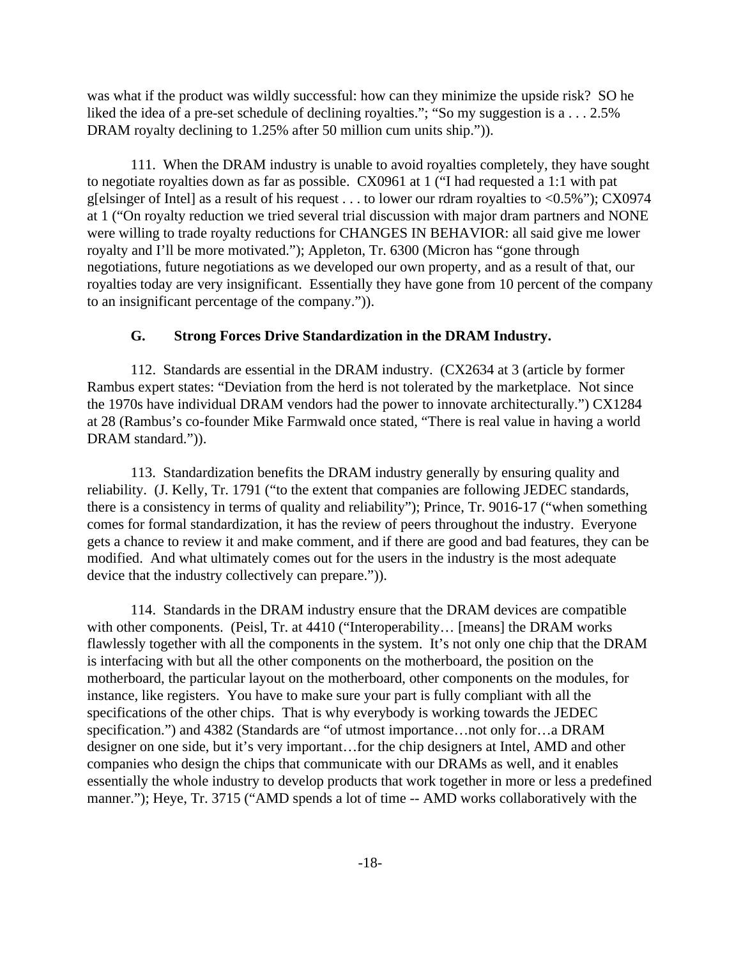was what if the product was wildly successful: how can they minimize the upside risk? SO he liked the idea of a pre-set schedule of declining royalties."; "So my suggestion is a . . . 2.5% DRAM royalty declining to 1.25% after 50 million cum units ship.").

111. When the DRAM industry is unable to avoid royalties completely, they have sought to negotiate royalties down as far as possible. CX0961 at 1 ("I had requested a 1:1 with pat g[elsinger of Intel] as a result of his request . . . to lower our rdram royalties to <0.5%"); CX0974 at 1 ("On royalty reduction we tried several trial discussion with major dram partners and NONE were willing to trade royalty reductions for CHANGES IN BEHAVIOR: all said give me lower royalty and I'll be more motivated."); Appleton, Tr. 6300 (Micron has "gone through negotiations, future negotiations as we developed our own property, and as a result of that, our royalties today are very insignificant. Essentially they have gone from 10 percent of the company to an insignificant percentage of the company.")).

## **G. Strong Forces Drive Standardization in the DRAM Industry.**

112. Standards are essential in the DRAM industry. (CX2634 at 3 (article by former Rambus expert states: "Deviation from the herd is not tolerated by the marketplace. Not since the 1970s have individual DRAM vendors had the power to innovate architecturally.") CX1284 at 28 (Rambus's co-founder Mike Farmwald once stated, "There is real value in having a world DRAM standard.")).

113. Standardization benefits the DRAM industry generally by ensuring quality and reliability. (J. Kelly, Tr. 1791 ("to the extent that companies are following JEDEC standards, there is a consistency in terms of quality and reliability"); Prince, Tr. 9016-17 ("when something comes for formal standardization, it has the review of peers throughout the industry. Everyone gets a chance to review it and make comment, and if there are good and bad features, they can be modified. And what ultimately comes out for the users in the industry is the most adequate device that the industry collectively can prepare.")).

114. Standards in the DRAM industry ensure that the DRAM devices are compatible with other components. (Peisl, Tr. at 4410 ("Interoperability... [means] the DRAM works flawlessly together with all the components in the system. It's not only one chip that the DRAM is interfacing with but all the other components on the motherboard, the position on the motherboard, the particular layout on the motherboard, other components on the modules, for instance, like registers. You have to make sure your part is fully compliant with all the specifications of the other chips. That is why everybody is working towards the JEDEC specification.") and 4382 (Standards are "of utmost importance...not only for...a DRAM designer on one side, but it's very important…for the chip designers at Intel, AMD and other companies who design the chips that communicate with our DRAMs as well, and it enables essentially the whole industry to develop products that work together in more or less a predefined manner."); Heye, Tr. 3715 ("AMD spends a lot of time -- AMD works collaboratively with the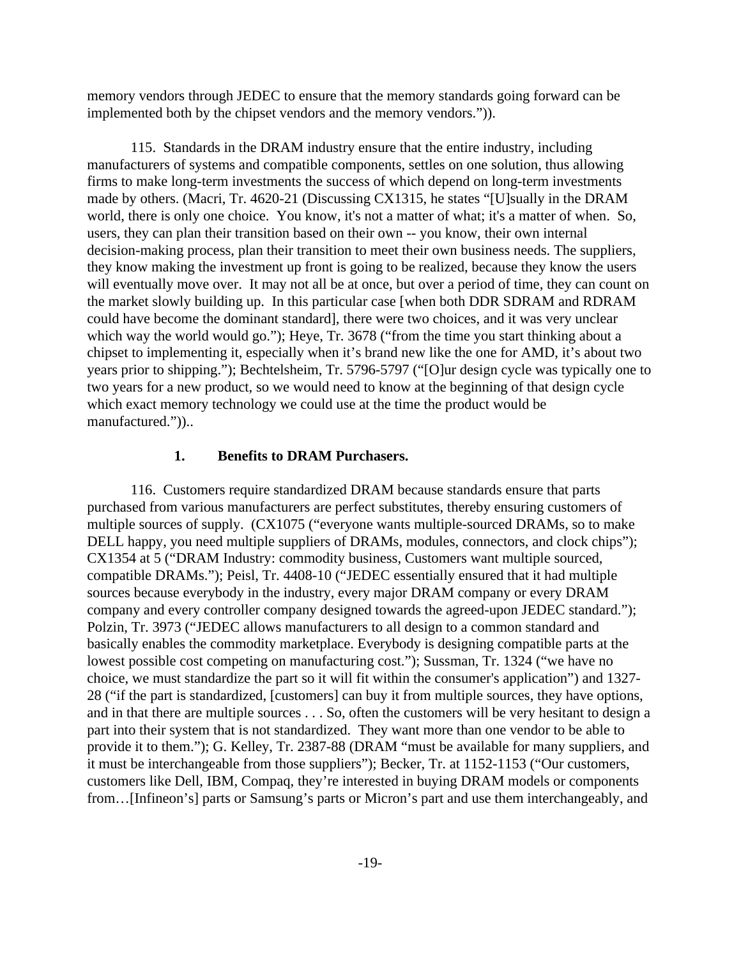memory vendors through JEDEC to ensure that the memory standards going forward can be implemented both by the chipset vendors and the memory vendors.")).

115. Standards in the DRAM industry ensure that the entire industry, including manufacturers of systems and compatible components, settles on one solution, thus allowing firms to make long-term investments the success of which depend on long-term investments made by others. (Macri, Tr. 4620-21 (Discussing CX1315, he states "[U]sually in the DRAM world, there is only one choice. You know, it's not a matter of what; it's a matter of when. So, users, they can plan their transition based on their own -- you know, their own internal decision-making process, plan their transition to meet their own business needs. The suppliers, they know making the investment up front is going to be realized, because they know the users will eventually move over. It may not all be at once, but over a period of time, they can count on the market slowly building up. In this particular case [when both DDR SDRAM and RDRAM could have become the dominant standard], there were two choices, and it was very unclear which way the world would go."); Heye, Tr. 3678 ("from the time you start thinking about a chipset to implementing it, especially when it's brand new like the one for AMD, it's about two years prior to shipping."); Bechtelsheim, Tr. 5796-5797 ("[O]ur design cycle was typically one to two years for a new product, so we would need to know at the beginning of that design cycle which exact memory technology we could use at the time the product would be manufactured."))..

#### **1. Benefits to DRAM Purchasers.**

116. Customers require standardized DRAM because standards ensure that parts purchased from various manufacturers are perfect substitutes, thereby ensuring customers of multiple sources of supply. (CX1075 ("everyone wants multiple-sourced DRAMs, so to make DELL happy, you need multiple suppliers of DRAMs, modules, connectors, and clock chips"); CX1354 at 5 ("DRAM Industry: commodity business, Customers want multiple sourced, compatible DRAMs."); Peisl, Tr. 4408-10 ("JEDEC essentially ensured that it had multiple sources because everybody in the industry, every major DRAM company or every DRAM company and every controller company designed towards the agreed-upon JEDEC standard."); Polzin, Tr. 3973 ("JEDEC allows manufacturers to all design to a common standard and basically enables the commodity marketplace. Everybody is designing compatible parts at the lowest possible cost competing on manufacturing cost."); Sussman, Tr. 1324 ("we have no choice, we must standardize the part so it will fit within the consumer's application") and 1327- 28 ("if the part is standardized, [customers] can buy it from multiple sources, they have options, and in that there are multiple sources . . . So, often the customers will be very hesitant to design a part into their system that is not standardized. They want more than one vendor to be able to provide it to them."); G. Kelley, Tr. 2387-88 (DRAM "must be available for many suppliers, and it must be interchangeable from those suppliers"); Becker, Tr. at 1152-1153 ("Our customers, customers like Dell, IBM, Compaq, they're interested in buying DRAM models or components from…[Infineon's] parts or Samsung's parts or Micron's part and use them interchangeably, and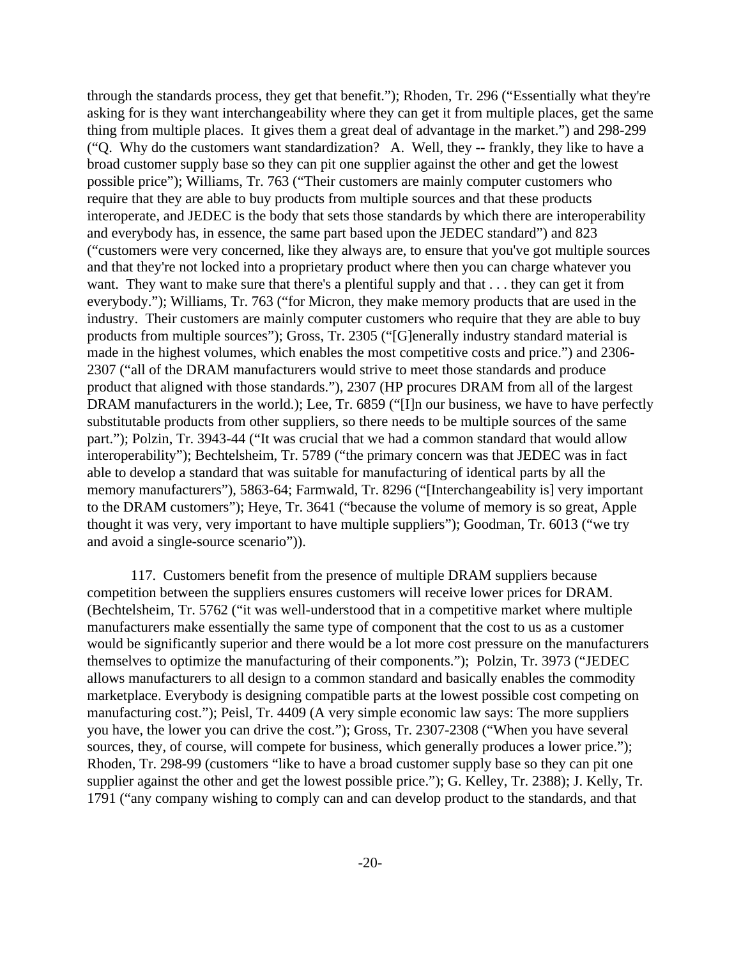through the standards process, they get that benefit."); Rhoden, Tr. 296 ("Essentially what they're asking for is they want interchangeability where they can get it from multiple places, get the same thing from multiple places. It gives them a great deal of advantage in the market.") and 298-299 ("Q. Why do the customers want standardization? A. Well, they -- frankly, they like to have a broad customer supply base so they can pit one supplier against the other and get the lowest possible price"); Williams, Tr. 763 ("Their customers are mainly computer customers who require that they are able to buy products from multiple sources and that these products interoperate, and JEDEC is the body that sets those standards by which there are interoperability and everybody has, in essence, the same part based upon the JEDEC standard") and 823 ("customers were very concerned, like they always are, to ensure that you've got multiple sources and that they're not locked into a proprietary product where then you can charge whatever you want. They want to make sure that there's a plentiful supply and that . . . they can get it from everybody."); Williams, Tr. 763 ("for Micron, they make memory products that are used in the industry. Their customers are mainly computer customers who require that they are able to buy products from multiple sources"); Gross, Tr. 2305 ("[G]enerally industry standard material is made in the highest volumes, which enables the most competitive costs and price.") and 2306- 2307 ("all of the DRAM manufacturers would strive to meet those standards and produce product that aligned with those standards."), 2307 (HP procures DRAM from all of the largest DRAM manufacturers in the world.); Lee, Tr. 6859 ("I]n our business, we have to have perfectly substitutable products from other suppliers, so there needs to be multiple sources of the same part."); Polzin, Tr. 3943-44 ("It was crucial that we had a common standard that would allow interoperability"); Bechtelsheim, Tr. 5789 ("the primary concern was that JEDEC was in fact able to develop a standard that was suitable for manufacturing of identical parts by all the memory manufacturers"), 5863-64; Farmwald, Tr. 8296 ("[Interchangeability is] very important to the DRAM customers"); Heye, Tr. 3641 ("because the volume of memory is so great, Apple thought it was very, very important to have multiple suppliers"); Goodman, Tr. 6013 ("we try and avoid a single-source scenario")).

117. Customers benefit from the presence of multiple DRAM suppliers because competition between the suppliers ensures customers will receive lower prices for DRAM. (Bechtelsheim, Tr. 5762 ("it was well-understood that in a competitive market where multiple manufacturers make essentially the same type of component that the cost to us as a customer would be significantly superior and there would be a lot more cost pressure on the manufacturers themselves to optimize the manufacturing of their components."); Polzin, Tr. 3973 ("JEDEC allows manufacturers to all design to a common standard and basically enables the commodity marketplace. Everybody is designing compatible parts at the lowest possible cost competing on manufacturing cost."); Peisl, Tr. 4409 (A very simple economic law says: The more suppliers you have, the lower you can drive the cost."); Gross, Tr. 2307-2308 ("When you have several sources, they, of course, will compete for business, which generally produces a lower price."); Rhoden, Tr. 298-99 (customers "like to have a broad customer supply base so they can pit one supplier against the other and get the lowest possible price."); G. Kelley, Tr. 2388); J. Kelly, Tr. 1791 ("any company wishing to comply can and can develop product to the standards, and that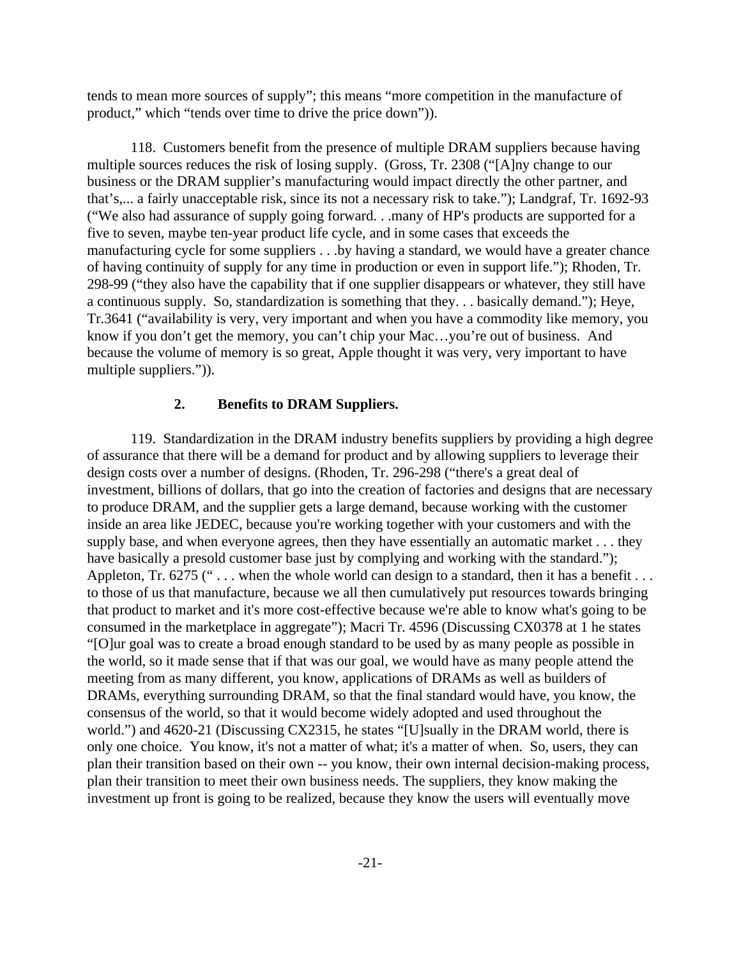tends to mean more sources of supply"; this means "more competition in the manufacture of product," which "tends over time to drive the price down")).

118. Customers benefit from the presence of multiple DRAM suppliers because having multiple sources reduces the risk of losing supply. (Gross, Tr. 2308 ("[A]ny change to our business or the DRAM supplier's manufacturing would impact directly the other partner, and that's,... a fairly unacceptable risk, since its not a necessary risk to take."); Landgraf, Tr. 1692-93 ("We also had assurance of supply going forward. . .many of HP's products are supported for a five to seven, maybe ten-year product life cycle, and in some cases that exceeds the manufacturing cycle for some suppliers . . .by having a standard, we would have a greater chance of having continuity of supply for any time in production or even in support life."); Rhoden, Tr. 298-99 ("they also have the capability that if one supplier disappears or whatever, they still have a continuous supply. So, standardization is something that they. . . basically demand."); Heye, Tr.3641 ("availability is very, very important and when you have a commodity like memory, you know if you don't get the memory, you can't chip your Mac...you're out of business. And because the volume of memory is so great, Apple thought it was very, very important to have multiple suppliers.")).

#### **2. Benefits to DRAM Suppliers.**

119. Standardization in the DRAM industry benefits suppliers by providing a high degree of assurance that there will be a demand for product and by allowing suppliers to leverage their design costs over a number of designs. (Rhoden, Tr. 296-298 ("there's a great deal of investment, billions of dollars, that go into the creation of factories and designs that are necessary to produce DRAM, and the supplier gets a large demand, because working with the customer inside an area like JEDEC, because you're working together with your customers and with the supply base, and when everyone agrees, then they have essentially an automatic market . . . they have basically a presold customer base just by complying and working with the standard."); Appleton, Tr. 6275 ("... when the whole world can design to a standard, then it has a benefit... to those of us that manufacture, because we all then cumulatively put resources towards bringing that product to market and it's more cost-effective because we're able to know what's going to be consumed in the marketplace in aggregate"); Macri Tr. 4596 (Discussing CX0378 at 1 he states "[O]ur goal was to create a broad enough standard to be used by as many people as possible in the world, so it made sense that if that was our goal, we would have as many people attend the meeting from as many different, you know, applications of DRAMs as well as builders of DRAMs, everything surrounding DRAM, so that the final standard would have, you know, the consensus of the world, so that it would become widely adopted and used throughout the world.") and 4620-21 (Discussing CX2315, he states "[U]sually in the DRAM world, there is only one choice. You know, it's not a matter of what; it's a matter of when. So, users, they can plan their transition based on their own -- you know, their own internal decision-making process, plan their transition to meet their own business needs. The suppliers, they know making the investment up front is going to be realized, because they know the users will eventually move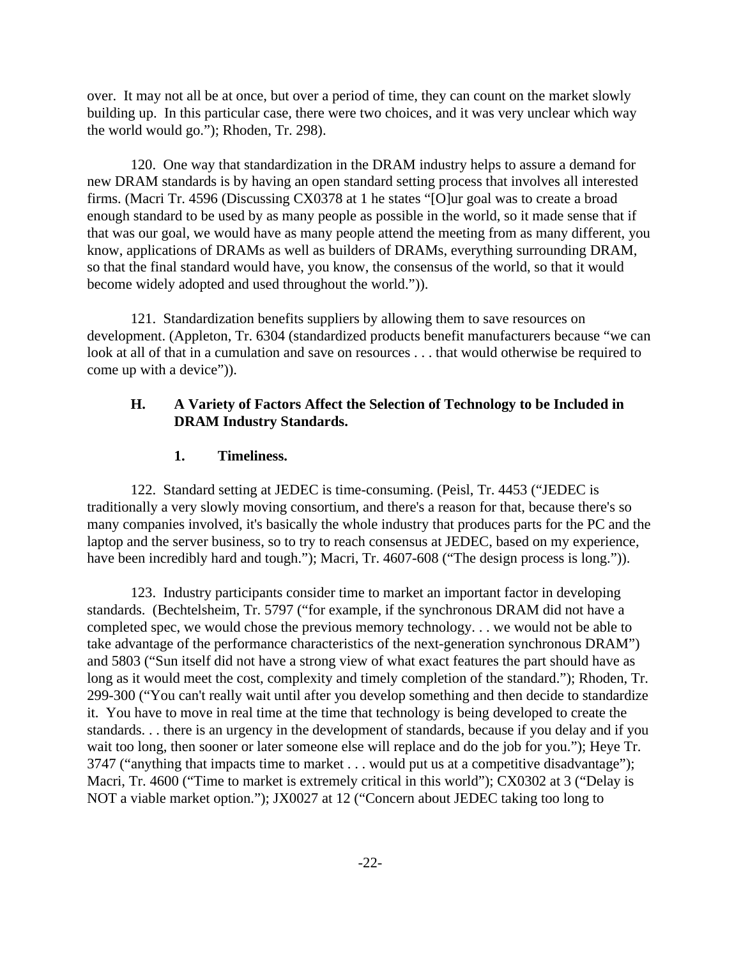over. It may not all be at once, but over a period of time, they can count on the market slowly building up. In this particular case, there were two choices, and it was very unclear which way the world would go."); Rhoden, Tr. 298).

120. One way that standardization in the DRAM industry helps to assure a demand for new DRAM standards is by having an open standard setting process that involves all interested firms. (Macri Tr. 4596 (Discussing CX0378 at 1 he states "[O]ur goal was to create a broad enough standard to be used by as many people as possible in the world, so it made sense that if that was our goal, we would have as many people attend the meeting from as many different, you know, applications of DRAMs as well as builders of DRAMs, everything surrounding DRAM, so that the final standard would have, you know, the consensus of the world, so that it would become widely adopted and used throughout the world.")).

121. Standardization benefits suppliers by allowing them to save resources on development. (Appleton, Tr. 6304 (standardized products benefit manufacturers because "we can look at all of that in a cumulation and save on resources . . . that would otherwise be required to come up with a device")).

## **H. A Variety of Factors Affect the Selection of Technology to be Included in DRAM Industry Standards.**

## **1. Timeliness.**

122. Standard setting at JEDEC is time-consuming. (Peisl, Tr. 4453 ("JEDEC is traditionally a very slowly moving consortium, and there's a reason for that, because there's so many companies involved, it's basically the whole industry that produces parts for the PC and the laptop and the server business, so to try to reach consensus at JEDEC, based on my experience, have been incredibly hard and tough."); Macri, Tr. 4607-608 ("The design process is long.")).

123. Industry participants consider time to market an important factor in developing standards. (Bechtelsheim, Tr. 5797 ("for example, if the synchronous DRAM did not have a completed spec, we would chose the previous memory technology. . . we would not be able to take advantage of the performance characteristics of the next-generation synchronous DRAM") and 5803 ("Sun itself did not have a strong view of what exact features the part should have as long as it would meet the cost, complexity and timely completion of the standard."); Rhoden, Tr. 299-300 ("You can't really wait until after you develop something and then decide to standardize it. You have to move in real time at the time that technology is being developed to create the standards. . . there is an urgency in the development of standards, because if you delay and if you wait too long, then sooner or later someone else will replace and do the job for you."); Heye Tr. 3747 ("anything that impacts time to market . . . would put us at a competitive disadvantage"); Macri, Tr. 4600 ("Time to market is extremely critical in this world"); CX0302 at 3 ("Delay is NOT a viable market option."); JX0027 at 12 ("Concern about JEDEC taking too long to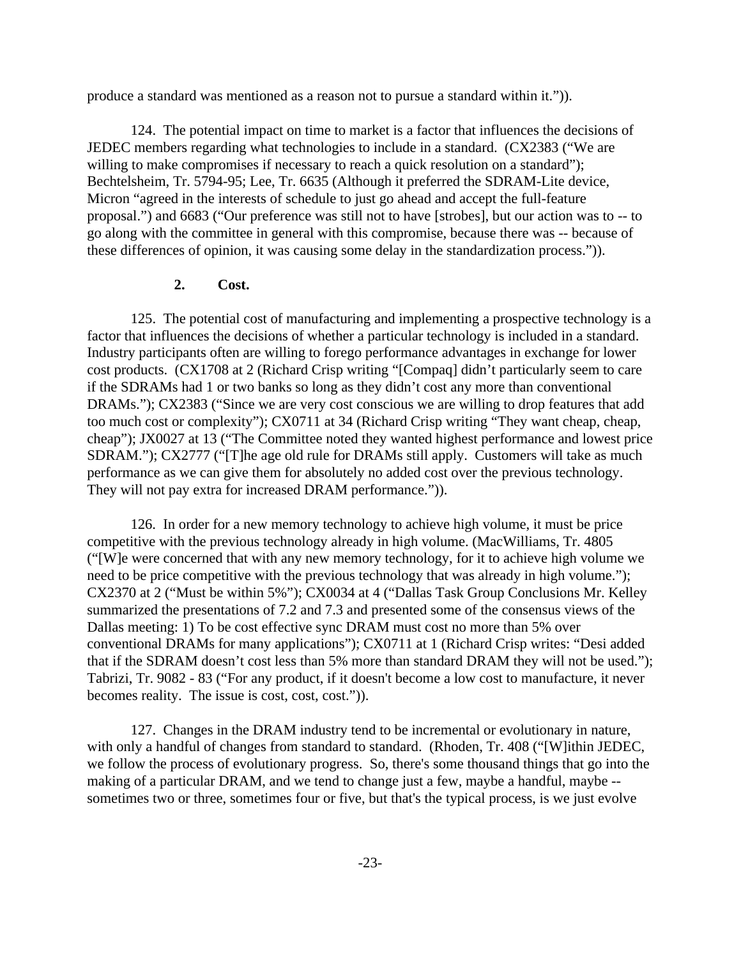produce a standard was mentioned as a reason not to pursue a standard within it.")).

124. The potential impact on time to market is a factor that influences the decisions of JEDEC members regarding what technologies to include in a standard. (CX2383 ("We are willing to make compromises if necessary to reach a quick resolution on a standard"); Bechtelsheim, Tr. 5794-95; Lee, Tr. 6635 (Although it preferred the SDRAM-Lite device, Micron "agreed in the interests of schedule to just go ahead and accept the full-feature proposal.") and 6683 ("Our preference was still not to have [strobes], but our action was to -- to go along with the committee in general with this compromise, because there was -- because of these differences of opinion, it was causing some delay in the standardization process.")).

#### **2. Cost.**

125. The potential cost of manufacturing and implementing a prospective technology is a factor that influences the decisions of whether a particular technology is included in a standard. Industry participants often are willing to forego performance advantages in exchange for lower cost products. (CX1708 at 2 (Richard Crisp writing "[Compaq] didn't particularly seem to care if the SDRAMs had 1 or two banks so long as they didn't cost any more than conventional DRAMs."); CX2383 ("Since we are very cost conscious we are willing to drop features that add too much cost or complexity"); CX0711 at 34 (Richard Crisp writing "They want cheap, cheap, cheap"); JX0027 at 13 ("The Committee noted they wanted highest performance and lowest price SDRAM."); CX2777 ("[T]he age old rule for DRAMs still apply. Customers will take as much performance as we can give them for absolutely no added cost over the previous technology. They will not pay extra for increased DRAM performance.")).

126. In order for a new memory technology to achieve high volume, it must be price competitive with the previous technology already in high volume. (MacWilliams, Tr. 4805 ("[W]e were concerned that with any new memory technology, for it to achieve high volume we need to be price competitive with the previous technology that was already in high volume."); CX2370 at 2 ("Must be within 5%"); CX0034 at 4 ("Dallas Task Group Conclusions Mr. Kelley summarized the presentations of 7.2 and 7.3 and presented some of the consensus views of the Dallas meeting: 1) To be cost effective sync DRAM must cost no more than 5% over conventional DRAMs for many applications"); CX0711 at 1 (Richard Crisp writes: "Desi added that if the SDRAM doesn't cost less than 5% more than standard DRAM they will not be used."); Tabrizi, Tr. 9082 - 83 ("For any product, if it doesn't become a low cost to manufacture, it never becomes reality. The issue is cost, cost, cost.")).

127. Changes in the DRAM industry tend to be incremental or evolutionary in nature, with only a handful of changes from standard to standard. (Rhoden, Tr. 408 ("[W]ithin JEDEC, we follow the process of evolutionary progress. So, there's some thousand things that go into the making of a particular DRAM, and we tend to change just a few, maybe a handful, maybe - sometimes two or three, sometimes four or five, but that's the typical process, is we just evolve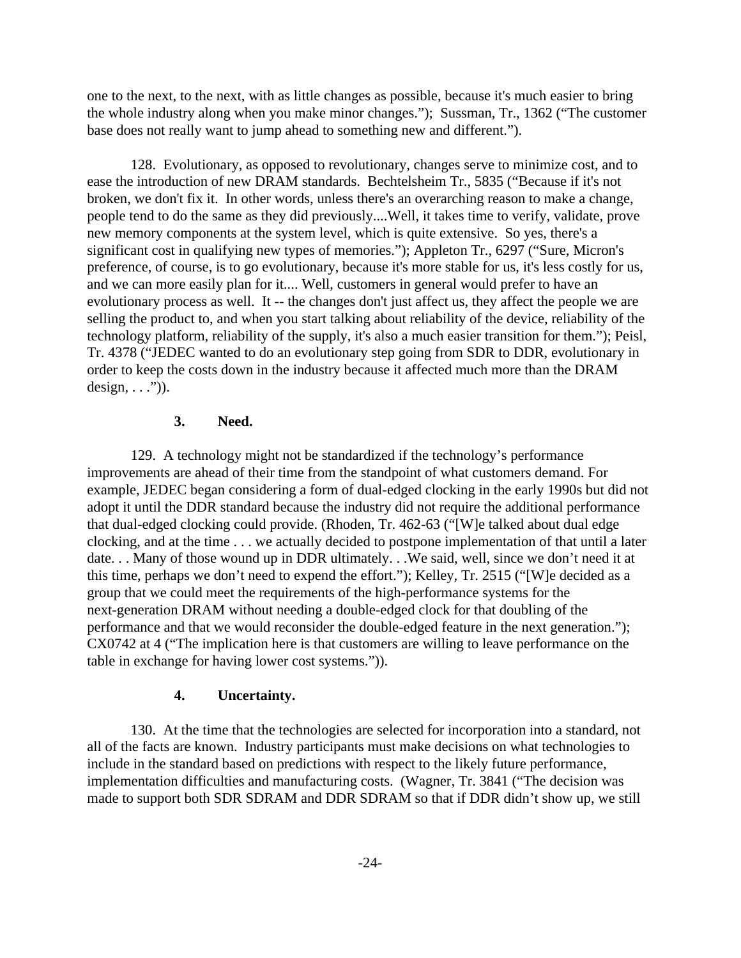one to the next, to the next, with as little changes as possible, because it's much easier to bring the whole industry along when you make minor changes."); Sussman, Tr., 1362 ("The customer base does not really want to jump ahead to something new and different.").

128. Evolutionary, as opposed to revolutionary, changes serve to minimize cost, and to ease the introduction of new DRAM standards. Bechtelsheim Tr., 5835 ("Because if it's not broken, we don't fix it. In other words, unless there's an overarching reason to make a change, people tend to do the same as they did previously....Well, it takes time to verify, validate, prove new memory components at the system level, which is quite extensive. So yes, there's a significant cost in qualifying new types of memories."); Appleton Tr., 6297 ("Sure, Micron's preference, of course, is to go evolutionary, because it's more stable for us, it's less costly for us, and we can more easily plan for it.... Well, customers in general would prefer to have an evolutionary process as well. It -- the changes don't just affect us, they affect the people we are selling the product to, and when you start talking about reliability of the device, reliability of the technology platform, reliability of the supply, it's also a much easier transition for them."); Peisl, Tr. 4378 ("JEDEC wanted to do an evolutionary step going from SDR to DDR, evolutionary in order to keep the costs down in the industry because it affected much more than the DRAM  $design, \ldots$ ")).

### **3. Need.**

129. A technology might not be standardized if the technology's performance improvements are ahead of their time from the standpoint of what customers demand. For example, JEDEC began considering a form of dual-edged clocking in the early 1990s but did not adopt it until the DDR standard because the industry did not require the additional performance that dual-edged clocking could provide. (Rhoden, Tr. 462-63 ("[W]e talked about dual edge clocking, and at the time . . . we actually decided to postpone implementation of that until a later date... Many of those wound up in DDR ultimately... We said, well, since we don't need it at this time, perhaps we don't need to expend the effort."); Kelley, Tr. 2515 ("[W]e decided as a group that we could meet the requirements of the high-performance systems for the next-generation DRAM without needing a double-edged clock for that doubling of the performance and that we would reconsider the double-edged feature in the next generation."); CX0742 at 4 ("The implication here is that customers are willing to leave performance on the table in exchange for having lower cost systems.")).

#### **4. Uncertainty.**

130. At the time that the technologies are selected for incorporation into a standard, not all of the facts are known. Industry participants must make decisions on what technologies to include in the standard based on predictions with respect to the likely future performance, implementation difficulties and manufacturing costs. (Wagner, Tr. 3841 ("The decision was made to support both SDR SDRAM and DDR SDRAM so that if DDR didn't show up, we still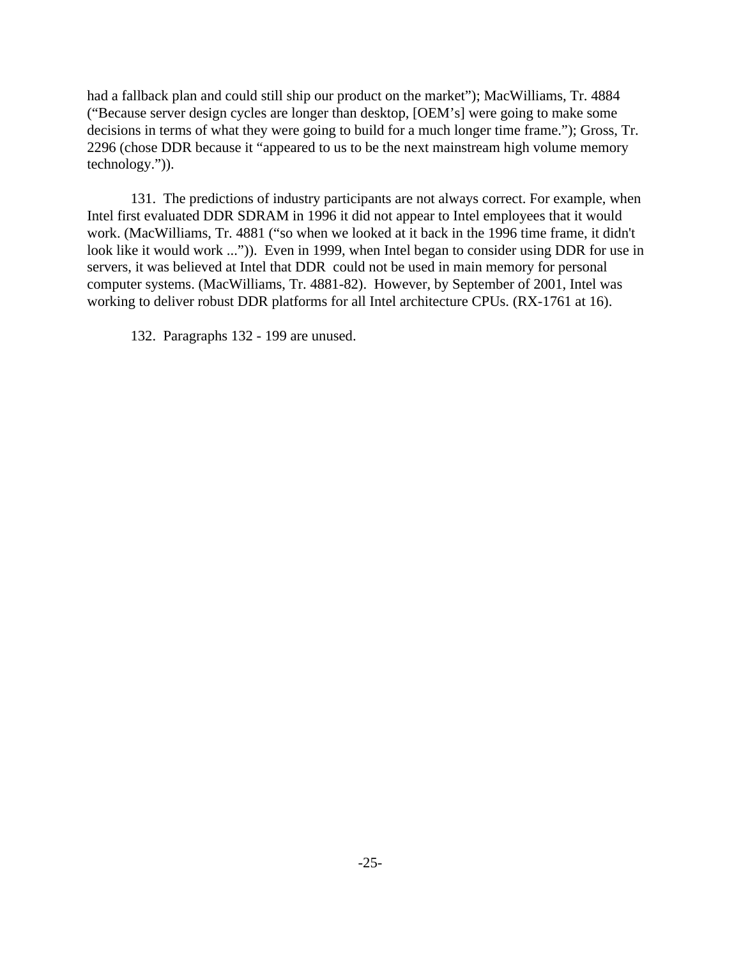had a fallback plan and could still ship our product on the market"); MacWilliams, Tr. 4884 ("Because server design cycles are longer than desktop, [OEM's] were going to make some decisions in terms of what they were going to build for a much longer time frame."); Gross, Tr. 2296 (chose DDR because it "appeared to us to be the next mainstream high volume memory technology.")).

131. The predictions of industry participants are not always correct. For example, when Intel first evaluated DDR SDRAM in 1996 it did not appear to Intel employees that it would work. (MacWilliams, Tr. 4881 ("so when we looked at it back in the 1996 time frame, it didn't look like it would work ...")). Even in 1999, when Intel began to consider using DDR for use in servers, it was believed at Intel that DDR could not be used in main memory for personal computer systems. (MacWilliams, Tr. 4881-82). However, by September of 2001, Intel was working to deliver robust DDR platforms for all Intel architecture CPUs. (RX-1761 at 16).

132. Paragraphs 132 - 199 are unused.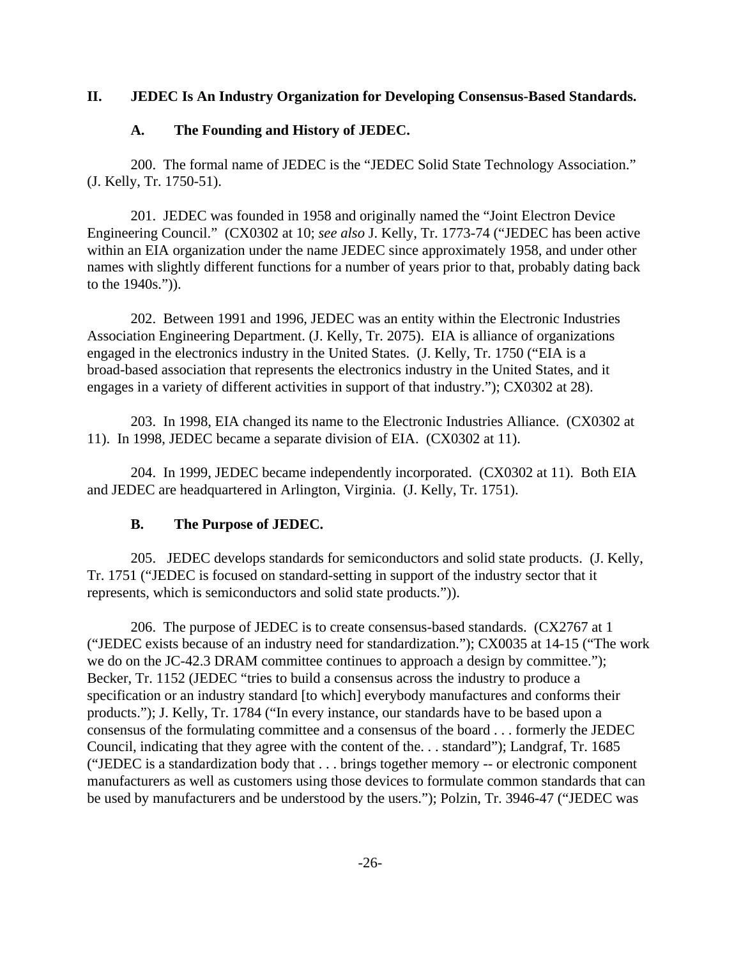# **II. JEDEC Is An Industry Organization for Developing Consensus-Based Standards.**

# **A. The Founding and History of JEDEC.**

200. The formal name of JEDEC is the "JEDEC Solid State Technology Association." (J. Kelly, Tr. 1750-51).

201. JEDEC was founded in 1958 and originally named the "Joint Electron Device Engineering Council." (CX0302 at 10; *see also* J. Kelly, Tr. 1773-74 ("JEDEC has been active within an EIA organization under the name JEDEC since approximately 1958, and under other names with slightly different functions for a number of years prior to that, probably dating back to the 1940s.")).

202. Between 1991 and 1996, JEDEC was an entity within the Electronic Industries Association Engineering Department. (J. Kelly, Tr. 2075). EIA is alliance of organizations engaged in the electronics industry in the United States. (J. Kelly, Tr. 1750 ("EIA is a broad-based association that represents the electronics industry in the United States, and it engages in a variety of different activities in support of that industry."); CX0302 at 28).

203. In 1998, EIA changed its name to the Electronic Industries Alliance. (CX0302 at 11). In 1998, JEDEC became a separate division of EIA. (CX0302 at 11).

204. In 1999, JEDEC became independently incorporated. (CX0302 at 11). Both EIA and JEDEC are headquartered in Arlington, Virginia. (J. Kelly, Tr. 1751).

# **B. The Purpose of JEDEC.**

205. JEDEC develops standards for semiconductors and solid state products. (J. Kelly, Tr. 1751 ("JEDEC is focused on standard-setting in support of the industry sector that it represents, which is semiconductors and solid state products.")).

206. The purpose of JEDEC is to create consensus-based standards. (CX2767 at 1 ("JEDEC exists because of an industry need for standardization."); CX0035 at 14-15 ("The work we do on the JC-42.3 DRAM committee continues to approach a design by committee."); Becker, Tr. 1152 (JEDEC "tries to build a consensus across the industry to produce a specification or an industry standard [to which] everybody manufactures and conforms their products."); J. Kelly, Tr. 1784 ("In every instance, our standards have to be based upon a consensus of the formulating committee and a consensus of the board . . . formerly the JEDEC Council, indicating that they agree with the content of the. . . standard"); Landgraf, Tr. 1685 ("JEDEC is a standardization body that . . . brings together memory -- or electronic component manufacturers as well as customers using those devices to formulate common standards that can be used by manufacturers and be understood by the users."); Polzin, Tr. 3946-47 ("JEDEC was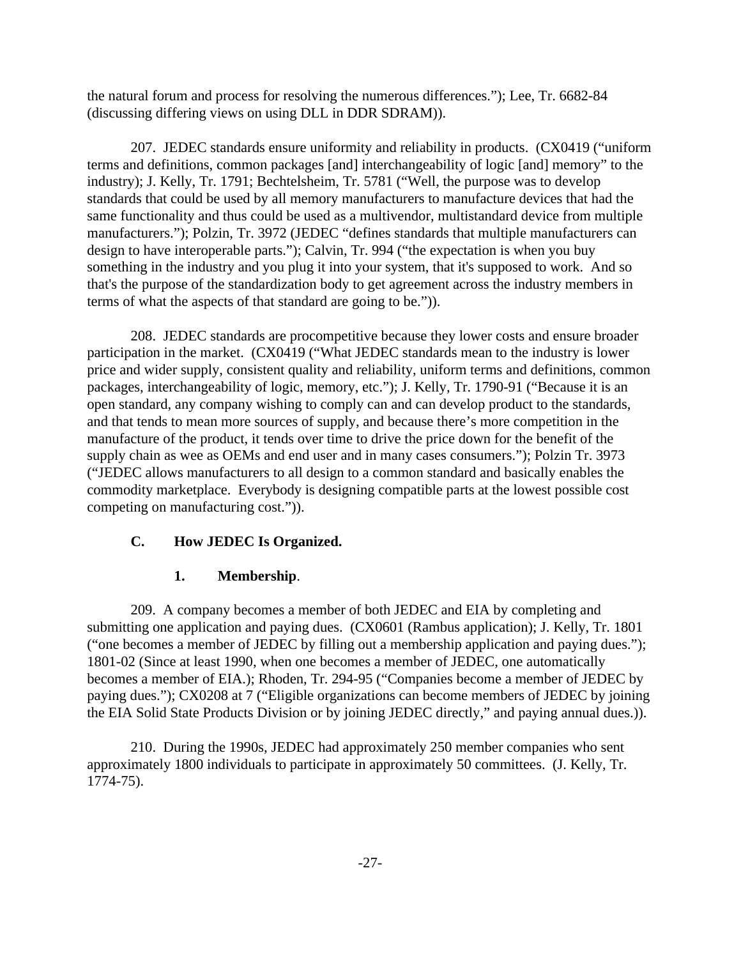the natural forum and process for resolving the numerous differences."); Lee, Tr. 6682-84 (discussing differing views on using DLL in DDR SDRAM)).

207. JEDEC standards ensure uniformity and reliability in products. (CX0419 ("uniform terms and definitions, common packages [and] interchangeability of logic [and] memory" to the industry); J. Kelly, Tr. 1791; Bechtelsheim, Tr. 5781 ("Well, the purpose was to develop standards that could be used by all memory manufacturers to manufacture devices that had the same functionality and thus could be used as a multivendor, multistandard device from multiple manufacturers."); Polzin, Tr. 3972 (JEDEC "defines standards that multiple manufacturers can design to have interoperable parts."); Calvin, Tr. 994 ("the expectation is when you buy something in the industry and you plug it into your system, that it's supposed to work. And so that's the purpose of the standardization body to get agreement across the industry members in terms of what the aspects of that standard are going to be.")).

208. JEDEC standards are procompetitive because they lower costs and ensure broader participation in the market. (CX0419 ("What JEDEC standards mean to the industry is lower price and wider supply, consistent quality and reliability, uniform terms and definitions, common packages, interchangeability of logic, memory, etc."); J. Kelly, Tr. 1790-91 ("Because it is an open standard, any company wishing to comply can and can develop product to the standards, and that tends to mean more sources of supply, and because there's more competition in the manufacture of the product, it tends over time to drive the price down for the benefit of the supply chain as wee as OEMs and end user and in many cases consumers."); Polzin Tr. 3973 ("JEDEC allows manufacturers to all design to a common standard and basically enables the commodity marketplace. Everybody is designing compatible parts at the lowest possible cost competing on manufacturing cost.")).

# **C. How JEDEC Is Organized.**

# **1. Membership**.

209. A company becomes a member of both JEDEC and EIA by completing and submitting one application and paying dues. (CX0601 (Rambus application); J. Kelly, Tr. 1801 ("one becomes a member of JEDEC by filling out a membership application and paying dues."); 1801-02 (Since at least 1990, when one becomes a member of JEDEC, one automatically becomes a member of EIA.); Rhoden, Tr. 294-95 ("Companies become a member of JEDEC by paying dues."); CX0208 at 7 ("Eligible organizations can become members of JEDEC by joining the EIA Solid State Products Division or by joining JEDEC directly," and paying annual dues.)).

210. During the 1990s, JEDEC had approximately 250 member companies who sent approximately 1800 individuals to participate in approximately 50 committees. (J. Kelly, Tr. 1774-75).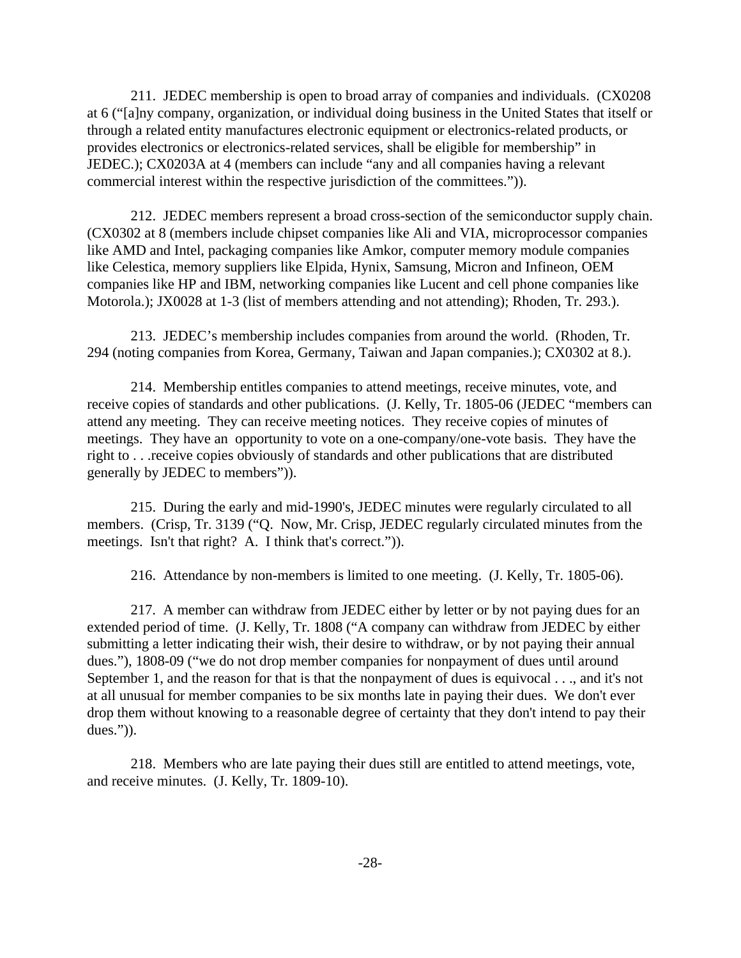211. JEDEC membership is open to broad array of companies and individuals. (CX0208 at 6 ("[a]ny company, organization, or individual doing business in the United States that itself or through a related entity manufactures electronic equipment or electronics-related products, or provides electronics or electronics-related services, shall be eligible for membership" in JEDEC.); CX0203A at 4 (members can include "any and all companies having a relevant commercial interest within the respective jurisdiction of the committees.")).

212. JEDEC members represent a broad cross-section of the semiconductor supply chain. (CX0302 at 8 (members include chipset companies like Ali and VIA, microprocessor companies like AMD and Intel, packaging companies like Amkor, computer memory module companies like Celestica, memory suppliers like Elpida, Hynix, Samsung, Micron and Infineon, OEM companies like HP and IBM, networking companies like Lucent and cell phone companies like Motorola.); JX0028 at 1-3 (list of members attending and not attending); Rhoden, Tr. 293.).

213. JEDEC's membership includes companies from around the world. (Rhoden, Tr. 294 (noting companies from Korea, Germany, Taiwan and Japan companies.); CX0302 at 8.).

214. Membership entitles companies to attend meetings, receive minutes, vote, and receive copies of standards and other publications. (J. Kelly, Tr. 1805-06 (JEDEC "members can attend any meeting. They can receive meeting notices. They receive copies of minutes of meetings. They have an opportunity to vote on a one-company/one-vote basis. They have the right to . . .receive copies obviously of standards and other publications that are distributed generally by JEDEC to members")).

215. During the early and mid-1990's, JEDEC minutes were regularly circulated to all members. (Crisp, Tr. 3139 ("Q. Now, Mr. Crisp, JEDEC regularly circulated minutes from the meetings. Isn't that right? A. I think that's correct.")).

216. Attendance by non-members is limited to one meeting. (J. Kelly, Tr. 1805-06).

217. A member can withdraw from JEDEC either by letter or by not paying dues for an extended period of time. (J. Kelly, Tr. 1808 ("A company can withdraw from JEDEC by either submitting a letter indicating their wish, their desire to withdraw, or by not paying their annual dues."), 1808-09 ("we do not drop member companies for nonpayment of dues until around September 1, and the reason for that is that the nonpayment of dues is equivocal . . ., and it's not at all unusual for member companies to be six months late in paying their dues. We don't ever drop them without knowing to a reasonable degree of certainty that they don't intend to pay their dues.")).

218. Members who are late paying their dues still are entitled to attend meetings, vote, and receive minutes. (J. Kelly, Tr. 1809-10).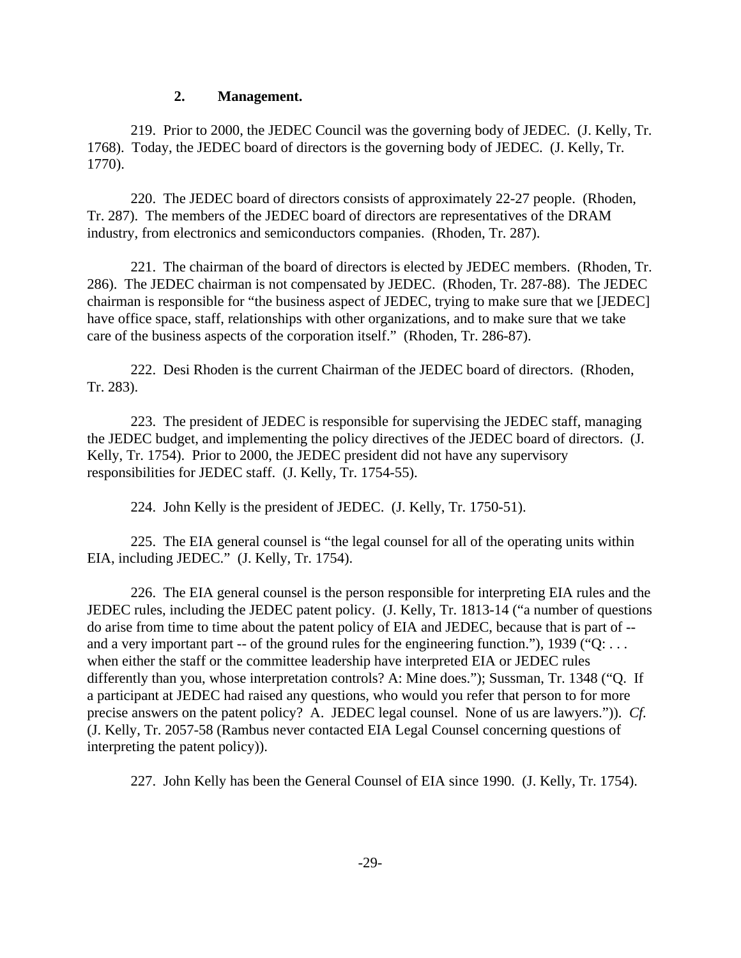### **2. Management.**

219. Prior to 2000, the JEDEC Council was the governing body of JEDEC. (J. Kelly, Tr. 1768). Today, the JEDEC board of directors is the governing body of JEDEC. (J. Kelly, Tr. 1770).

220. The JEDEC board of directors consists of approximately 22-27 people. (Rhoden, Tr. 287). The members of the JEDEC board of directors are representatives of the DRAM industry, from electronics and semiconductors companies. (Rhoden, Tr. 287).

221. The chairman of the board of directors is elected by JEDEC members. (Rhoden, Tr. 286). The JEDEC chairman is not compensated by JEDEC. (Rhoden, Tr. 287-88). The JEDEC chairman is responsible for "the business aspect of JEDEC, trying to make sure that we [JEDEC] have office space, staff, relationships with other organizations, and to make sure that we take care of the business aspects of the corporation itself." (Rhoden, Tr. 286-87).

222. Desi Rhoden is the current Chairman of the JEDEC board of directors. (Rhoden, Tr. 283).

223. The president of JEDEC is responsible for supervising the JEDEC staff, managing the JEDEC budget, and implementing the policy directives of the JEDEC board of directors. (J. Kelly, Tr. 1754). Prior to 2000, the JEDEC president did not have any supervisory responsibilities for JEDEC staff. (J. Kelly, Tr. 1754-55).

224. John Kelly is the president of JEDEC. (J. Kelly, Tr. 1750-51).

225. The EIA general counsel is "the legal counsel for all of the operating units within EIA, including JEDEC." (J. Kelly, Tr. 1754).

226. The EIA general counsel is the person responsible for interpreting EIA rules and the JEDEC rules, including the JEDEC patent policy. (J. Kelly, Tr. 1813-14 ("a number of questions do arise from time to time about the patent policy of EIA and JEDEC, because that is part of - and a very important part -- of the ground rules for the engineering function."), 1939 ("Q: ... when either the staff or the committee leadership have interpreted EIA or JEDEC rules differently than you, whose interpretation controls? A: Mine does."); Sussman, Tr. 1348 ("Q. If a participant at JEDEC had raised any questions, who would you refer that person to for more precise answers on the patent policy? A. JEDEC legal counsel. None of us are lawyers.")). *Cf.* (J. Kelly, Tr. 2057-58 (Rambus never contacted EIA Legal Counsel concerning questions of interpreting the patent policy)).

227. John Kelly has been the General Counsel of EIA since 1990. (J. Kelly, Tr. 1754).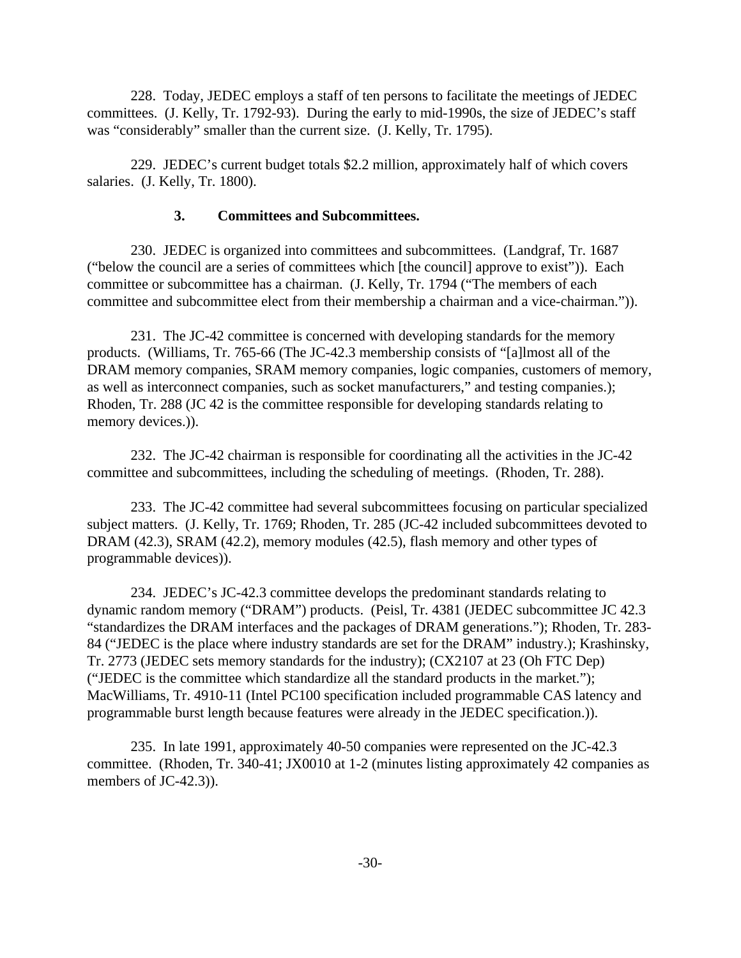228. Today, JEDEC employs a staff of ten persons to facilitate the meetings of JEDEC committees. (J. Kelly, Tr. 1792-93). During the early to mid-1990s, the size of JEDEC's staff was "considerably" smaller than the current size. (J. Kelly, Tr. 1795).

229. JEDEC's current budget totals \$2.2 million, approximately half of which covers salaries. (J. Kelly, Tr. 1800).

# **3. Committees and Subcommittees.**

230. JEDEC is organized into committees and subcommittees. (Landgraf, Tr. 1687 ("below the council are a series of committees which [the council] approve to exist")). Each committee or subcommittee has a chairman. (J. Kelly, Tr. 1794 ("The members of each committee and subcommittee elect from their membership a chairman and a vice-chairman.")).

231. The JC-42 committee is concerned with developing standards for the memory products. (Williams, Tr. 765-66 (The JC-42.3 membership consists of "[a]lmost all of the DRAM memory companies, SRAM memory companies, logic companies, customers of memory, as well as interconnect companies, such as socket manufacturers," and testing companies.); Rhoden, Tr. 288 (JC 42 is the committee responsible for developing standards relating to memory devices.)).

232. The JC-42 chairman is responsible for coordinating all the activities in the JC-42 committee and subcommittees, including the scheduling of meetings. (Rhoden, Tr. 288).

233. The JC-42 committee had several subcommittees focusing on particular specialized subject matters. (J. Kelly, Tr. 1769; Rhoden, Tr. 285 (JC-42 included subcommittees devoted to DRAM (42.3), SRAM (42.2), memory modules (42.5), flash memory and other types of programmable devices)).

234. JEDEC's JC-42.3 committee develops the predominant standards relating to dynamic random memory ("DRAM") products. (Peisl, Tr. 4381 (JEDEC subcommittee JC 42.3 "standardizes the DRAM interfaces and the packages of DRAM generations."); Rhoden, Tr. 283- 84 ("JEDEC is the place where industry standards are set for the DRAM" industry.); Krashinsky, Tr. 2773 (JEDEC sets memory standards for the industry); (CX2107 at 23 (Oh FTC Dep) ("JEDEC is the committee which standardize all the standard products in the market."); MacWilliams, Tr. 4910-11 (Intel PC100 specification included programmable CAS latency and programmable burst length because features were already in the JEDEC specification.)).

235. In late 1991, approximately 40-50 companies were represented on the JC-42.3 committee. (Rhoden, Tr. 340-41; JX0010 at 1-2 (minutes listing approximately 42 companies as members of JC-42.3)).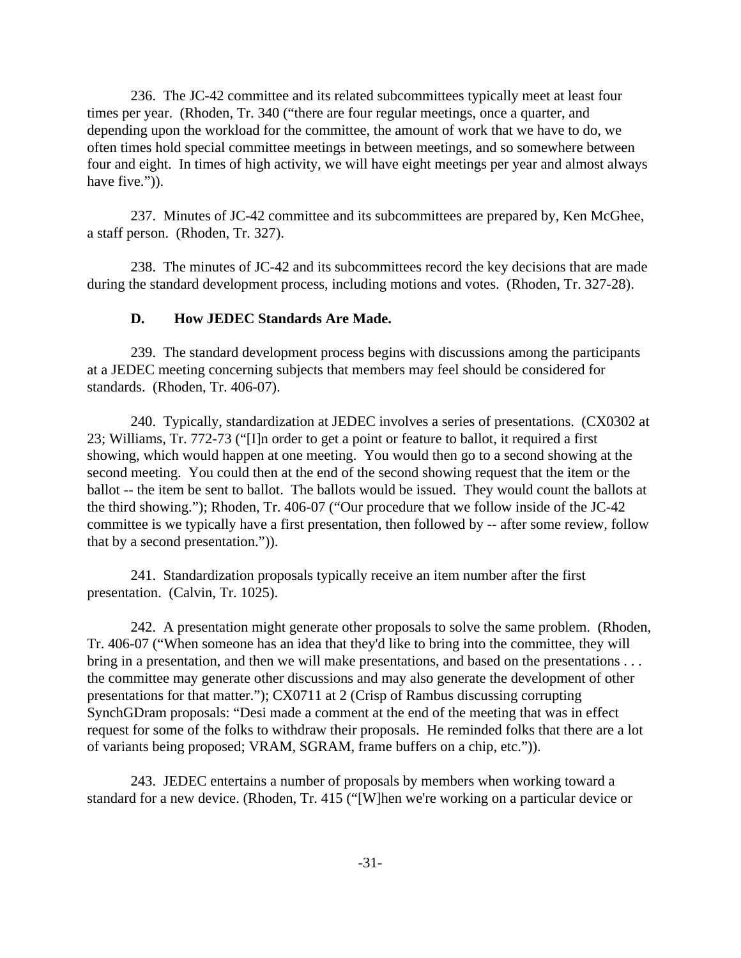236. The JC-42 committee and its related subcommittees typically meet at least four times per year. (Rhoden, Tr. 340 ("there are four regular meetings, once a quarter, and depending upon the workload for the committee, the amount of work that we have to do, we often times hold special committee meetings in between meetings, and so somewhere between four and eight. In times of high activity, we will have eight meetings per year and almost always have five.")).

237. Minutes of JC-42 committee and its subcommittees are prepared by, Ken McGhee, a staff person. (Rhoden, Tr. 327).

238. The minutes of JC-42 and its subcommittees record the key decisions that are made during the standard development process, including motions and votes. (Rhoden, Tr. 327-28).

#### **D. How JEDEC Standards Are Made.**

239. The standard development process begins with discussions among the participants at a JEDEC meeting concerning subjects that members may feel should be considered for standards. (Rhoden, Tr. 406-07).

240. Typically, standardization at JEDEC involves a series of presentations. (CX0302 at 23; Williams, Tr. 772-73 ("[I]n order to get a point or feature to ballot, it required a first showing, which would happen at one meeting. You would then go to a second showing at the second meeting. You could then at the end of the second showing request that the item or the ballot -- the item be sent to ballot. The ballots would be issued. They would count the ballots at the third showing."); Rhoden, Tr. 406-07 ("Our procedure that we follow inside of the JC-42 committee is we typically have a first presentation, then followed by -- after some review, follow that by a second presentation.")).

241. Standardization proposals typically receive an item number after the first presentation. (Calvin, Tr. 1025).

242. A presentation might generate other proposals to solve the same problem. (Rhoden, Tr. 406-07 ("When someone has an idea that they'd like to bring into the committee, they will bring in a presentation, and then we will make presentations, and based on the presentations . . . the committee may generate other discussions and may also generate the development of other presentations for that matter."); CX0711 at 2 (Crisp of Rambus discussing corrupting SynchGDram proposals: "Desi made a comment at the end of the meeting that was in effect request for some of the folks to withdraw their proposals. He reminded folks that there are a lot of variants being proposed; VRAM, SGRAM, frame buffers on a chip, etc.")).

243. JEDEC entertains a number of proposals by members when working toward a standard for a new device. (Rhoden, Tr. 415 ("[W]hen we're working on a particular device or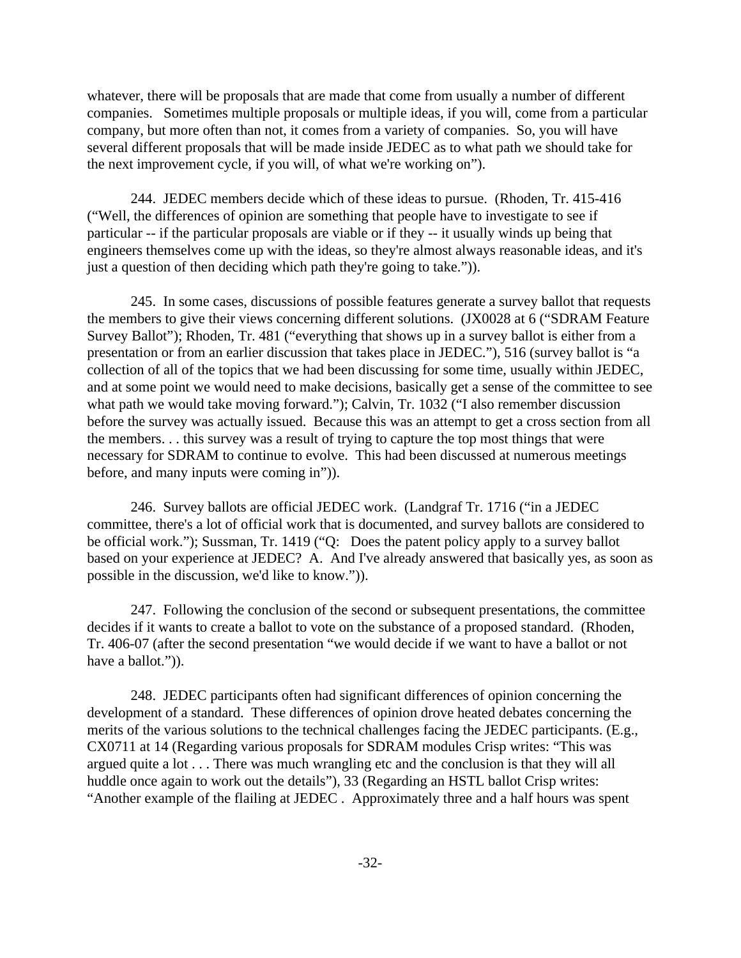whatever, there will be proposals that are made that come from usually a number of different companies. Sometimes multiple proposals or multiple ideas, if you will, come from a particular company, but more often than not, it comes from a variety of companies. So, you will have several different proposals that will be made inside JEDEC as to what path we should take for the next improvement cycle, if you will, of what we're working on").

244. JEDEC members decide which of these ideas to pursue. (Rhoden, Tr. 415-416 ("Well, the differences of opinion are something that people have to investigate to see if particular -- if the particular proposals are viable or if they -- it usually winds up being that engineers themselves come up with the ideas, so they're almost always reasonable ideas, and it's just a question of then deciding which path they're going to take.")).

245. In some cases, discussions of possible features generate a survey ballot that requests the members to give their views concerning different solutions. (JX0028 at 6 ("SDRAM Feature Survey Ballot"); Rhoden, Tr. 481 ("everything that shows up in a survey ballot is either from a presentation or from an earlier discussion that takes place in JEDEC."), 516 (survey ballot is "a collection of all of the topics that we had been discussing for some time, usually within JEDEC, and at some point we would need to make decisions, basically get a sense of the committee to see what path we would take moving forward."); Calvin, Tr. 1032 ("I also remember discussion before the survey was actually issued. Because this was an attempt to get a cross section from all the members. . . this survey was a result of trying to capture the top most things that were necessary for SDRAM to continue to evolve. This had been discussed at numerous meetings before, and many inputs were coming in")).

246. Survey ballots are official JEDEC work. (Landgraf Tr. 1716 ("in a JEDEC committee, there's a lot of official work that is documented, and survey ballots are considered to be official work."); Sussman, Tr. 1419 ("Q: Does the patent policy apply to a survey ballot based on your experience at JEDEC? A. And I've already answered that basically yes, as soon as possible in the discussion, we'd like to know.")).

247. Following the conclusion of the second or subsequent presentations, the committee decides if it wants to create a ballot to vote on the substance of a proposed standard. (Rhoden, Tr. 406-07 (after the second presentation "we would decide if we want to have a ballot or not have a ballot.")).

248. JEDEC participants often had significant differences of opinion concerning the development of a standard. These differences of opinion drove heated debates concerning the merits of the various solutions to the technical challenges facing the JEDEC participants. (E.g., CX0711 at 14 (Regarding various proposals for SDRAM modules Crisp writes: "This was argued quite a lot . . . There was much wrangling etc and the conclusion is that they will all huddle once again to work out the details"), 33 (Regarding an HSTL ballot Crisp writes: "Another example of the flailing at JEDEC . Approximately three and a half hours was spent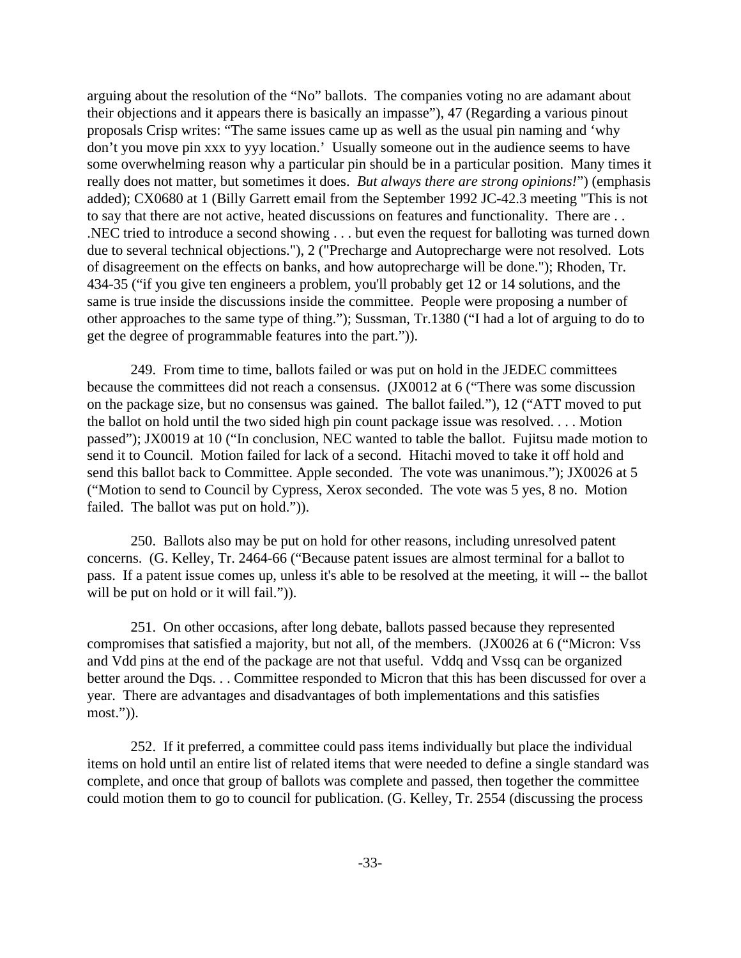arguing about the resolution of the "No" ballots. The companies voting no are adamant about their objections and it appears there is basically an impasse"), 47 (Regarding a various pinout proposals Crisp writes: "The same issues came up as well as the usual pin naming and 'why don't you move pin xxx to yyy location.' Usually someone out in the audience seems to have some overwhelming reason why a particular pin should be in a particular position. Many times it really does not matter, but sometimes it does. *But always there are strong opinions!*") (emphasis added); CX0680 at 1 (Billy Garrett email from the September 1992 JC-42.3 meeting "This is not to say that there are not active, heated discussions on features and functionality. There are . . .NEC tried to introduce a second showing . . . but even the request for balloting was turned down due to several technical objections."), 2 ("Precharge and Autoprecharge were not resolved. Lots of disagreement on the effects on banks, and how autoprecharge will be done."); Rhoden, Tr. 434-35 ("if you give ten engineers a problem, you'll probably get 12 or 14 solutions, and the same is true inside the discussions inside the committee. People were proposing a number of other approaches to the same type of thing."); Sussman, Tr.1380 ("I had a lot of arguing to do to get the degree of programmable features into the part.")).

249. From time to time, ballots failed or was put on hold in the JEDEC committees because the committees did not reach a consensus. (JX0012 at 6 ("There was some discussion on the package size, but no consensus was gained. The ballot failed."), 12 ("ATT moved to put the ballot on hold until the two sided high pin count package issue was resolved. . . . Motion passed"); JX0019 at 10 ("In conclusion, NEC wanted to table the ballot. Fujitsu made motion to send it to Council. Motion failed for lack of a second. Hitachi moved to take it off hold and send this ballot back to Committee. Apple seconded. The vote was unanimous."); JX0026 at 5 ("Motion to send to Council by Cypress, Xerox seconded. The vote was 5 yes, 8 no. Motion failed. The ballot was put on hold.")).

250. Ballots also may be put on hold for other reasons, including unresolved patent concerns. (G. Kelley, Tr. 2464-66 ("Because patent issues are almost terminal for a ballot to pass. If a patent issue comes up, unless it's able to be resolved at the meeting, it will -- the ballot will be put on hold or it will fail.").

251. On other occasions, after long debate, ballots passed because they represented compromises that satisfied a majority, but not all, of the members. (JX0026 at 6 ("Micron: Vss and Vdd pins at the end of the package are not that useful. Vddq and Vssq can be organized better around the Dqs. . . Committee responded to Micron that this has been discussed for over a year. There are advantages and disadvantages of both implementations and this satisfies most.")).

252. If it preferred, a committee could pass items individually but place the individual items on hold until an entire list of related items that were needed to define a single standard was complete, and once that group of ballots was complete and passed, then together the committee could motion them to go to council for publication. (G. Kelley, Tr. 2554 (discussing the process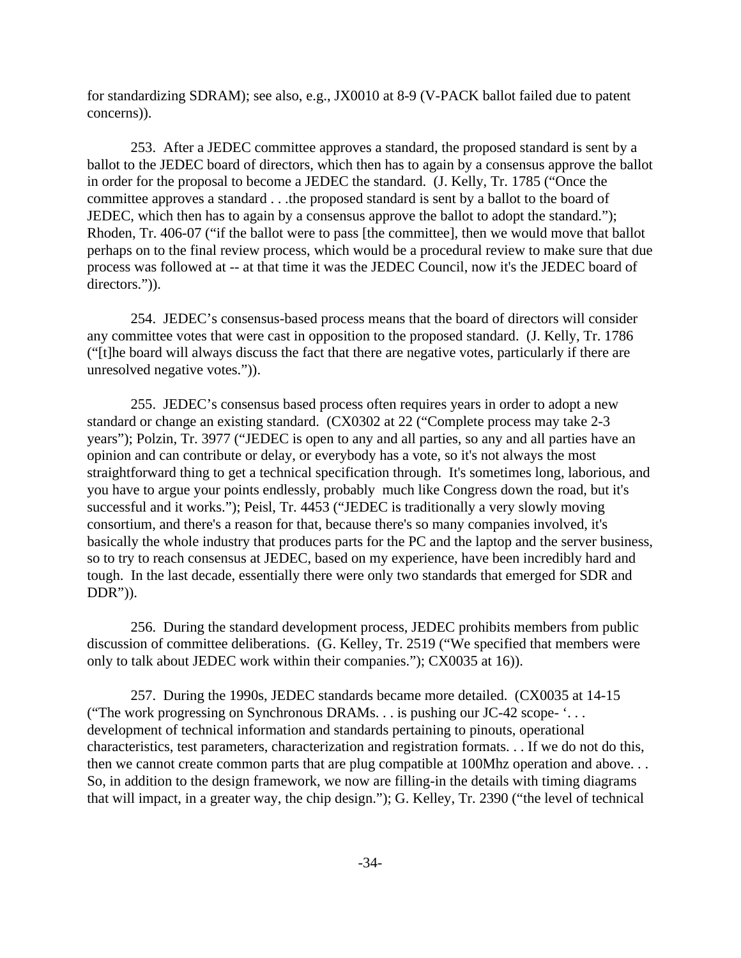for standardizing SDRAM); see also, e.g., JX0010 at 8-9 (V-PACK ballot failed due to patent concerns)).

253. After a JEDEC committee approves a standard, the proposed standard is sent by a ballot to the JEDEC board of directors, which then has to again by a consensus approve the ballot in order for the proposal to become a JEDEC the standard. (J. Kelly, Tr. 1785 ("Once the committee approves a standard . . .the proposed standard is sent by a ballot to the board of JEDEC, which then has to again by a consensus approve the ballot to adopt the standard."); Rhoden, Tr. 406-07 ("if the ballot were to pass [the committee], then we would move that ballot perhaps on to the final review process, which would be a procedural review to make sure that due process was followed at -- at that time it was the JEDEC Council, now it's the JEDEC board of directors.")).

254. JEDEC's consensus-based process means that the board of directors will consider any committee votes that were cast in opposition to the proposed standard. (J. Kelly, Tr. 1786 ("[t]he board will always discuss the fact that there are negative votes, particularly if there are unresolved negative votes.")).

255. JEDEC's consensus based process often requires years in order to adopt a new standard or change an existing standard. (CX0302 at 22 ("Complete process may take 2-3 years"); Polzin, Tr. 3977 ("JEDEC is open to any and all parties, so any and all parties have an opinion and can contribute or delay, or everybody has a vote, so it's not always the most straightforward thing to get a technical specification through. It's sometimes long, laborious, and you have to argue your points endlessly, probably much like Congress down the road, but it's successful and it works."); Peisl, Tr. 4453 ("JEDEC is traditionally a very slowly moving consortium, and there's a reason for that, because there's so many companies involved, it's basically the whole industry that produces parts for the PC and the laptop and the server business, so to try to reach consensus at JEDEC, based on my experience, have been incredibly hard and tough. In the last decade, essentially there were only two standards that emerged for SDR and DDR")).

256. During the standard development process, JEDEC prohibits members from public discussion of committee deliberations. (G. Kelley, Tr. 2519 ("We specified that members were only to talk about JEDEC work within their companies."); CX0035 at 16)).

257. During the 1990s, JEDEC standards became more detailed. (CX0035 at 14-15 ("The work progressing on Synchronous DRAMs. . . is pushing our JC-42 scope- '. . . development of technical information and standards pertaining to pinouts, operational characteristics, test parameters, characterization and registration formats. . . If we do not do this, then we cannot create common parts that are plug compatible at 100Mhz operation and above... So, in addition to the design framework, we now are filling-in the details with timing diagrams that will impact, in a greater way, the chip design."); G. Kelley, Tr. 2390 ("the level of technical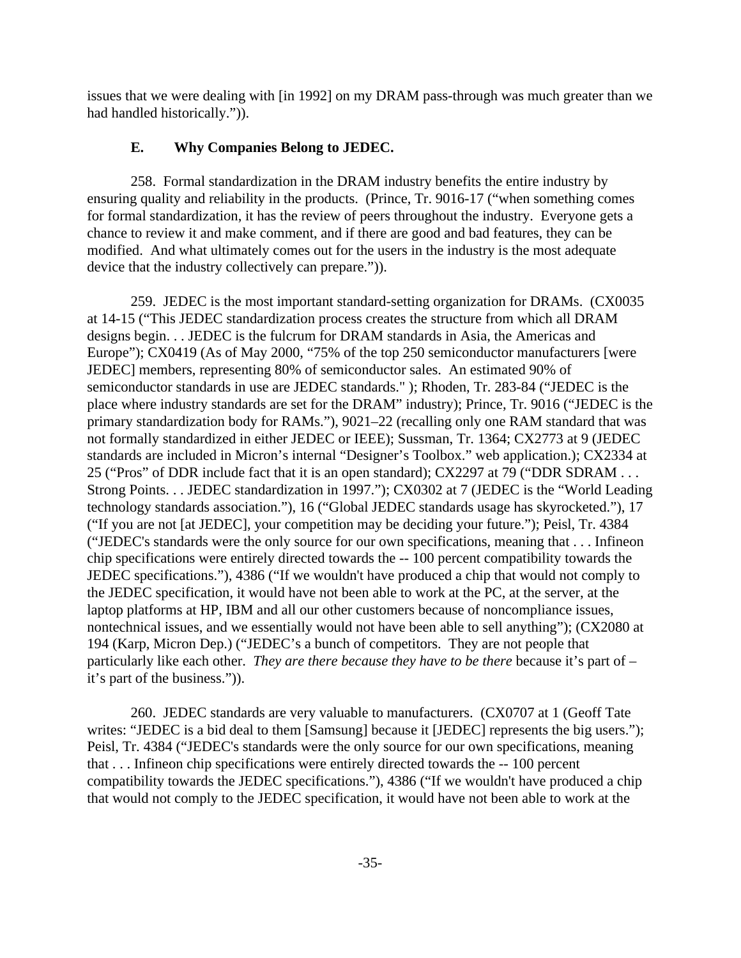issues that we were dealing with [in 1992] on my DRAM pass-through was much greater than we had handled historically.")).

# **E. Why Companies Belong to JEDEC.**

258. Formal standardization in the DRAM industry benefits the entire industry by ensuring quality and reliability in the products. (Prince, Tr. 9016-17 ("when something comes for formal standardization, it has the review of peers throughout the industry. Everyone gets a chance to review it and make comment, and if there are good and bad features, they can be modified. And what ultimately comes out for the users in the industry is the most adequate device that the industry collectively can prepare.")).

259. JEDEC is the most important standard-setting organization for DRAMs. (CX0035 at 14-15 ("This JEDEC standardization process creates the structure from which all DRAM designs begin. . . JEDEC is the fulcrum for DRAM standards in Asia, the Americas and Europe"); CX0419 (As of May 2000, "75% of the top 250 semiconductor manufacturers [were JEDEC] members, representing 80% of semiconductor sales. An estimated 90% of semiconductor standards in use are JEDEC standards." ); Rhoden, Tr. 283-84 ("JEDEC is the place where industry standards are set for the DRAM" industry); Prince, Tr. 9016 ("JEDEC is the primary standardization body for RAMs."), 9021–22 (recalling only one RAM standard that was not formally standardized in either JEDEC or IEEE); Sussman, Tr. 1364; CX2773 at 9 (JEDEC standards are included in Micron's internal "Designer's Toolbox." web application.); CX2334 at 25 ("Pros" of DDR include fact that it is an open standard); CX2297 at 79 ("DDR SDRAM . . . Strong Points. . . JEDEC standardization in 1997."); CX0302 at 7 (JEDEC is the "World Leading technology standards association."), 16 ("Global JEDEC standards usage has skyrocketed."), 17 ("If you are not [at JEDEC], your competition may be deciding your future."); Peisl, Tr. 4384 ("JEDEC's standards were the only source for our own specifications, meaning that . . . Infineon chip specifications were entirely directed towards the -- 100 percent compatibility towards the JEDEC specifications."), 4386 ("If we wouldn't have produced a chip that would not comply to the JEDEC specification, it would have not been able to work at the PC, at the server, at the laptop platforms at HP, IBM and all our other customers because of noncompliance issues, nontechnical issues, and we essentially would not have been able to sell anything"); (CX2080 at 194 (Karp, Micron Dep.) ("JEDEC's a bunch of competitors. They are not people that particularly like each other. *They are there because they have to be there* because it's part of – it's part of the business.")).

260. JEDEC standards are very valuable to manufacturers. (CX0707 at 1 (Geoff Tate writes: "JEDEC is a bid deal to them [Samsung] because it [JEDEC] represents the big users."); Peisl, Tr. 4384 ("JEDEC's standards were the only source for our own specifications, meaning that . . . Infineon chip specifications were entirely directed towards the -- 100 percent compatibility towards the JEDEC specifications."), 4386 ("If we wouldn't have produced a chip that would not comply to the JEDEC specification, it would have not been able to work at the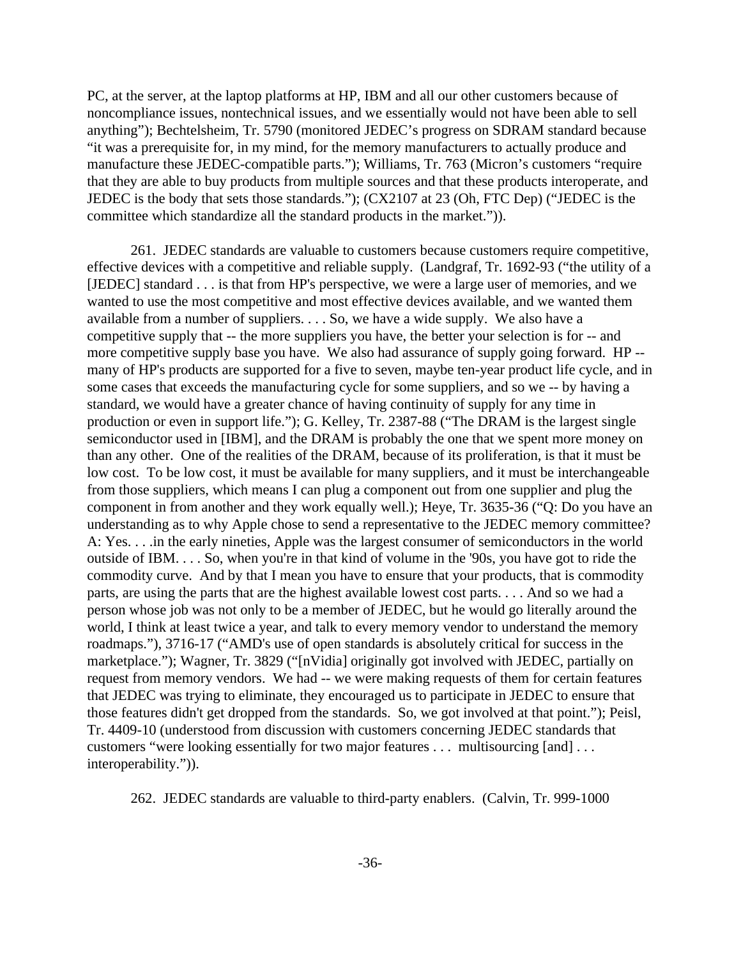PC, at the server, at the laptop platforms at HP, IBM and all our other customers because of noncompliance issues, nontechnical issues, and we essentially would not have been able to sell anything"); Bechtelsheim, Tr. 5790 (monitored JEDEC's progress on SDRAM standard because "it was a prerequisite for, in my mind, for the memory manufacturers to actually produce and manufacture these JEDEC-compatible parts."); Williams, Tr. 763 (Micron's customers "require that they are able to buy products from multiple sources and that these products interoperate, and JEDEC is the body that sets those standards."); (CX2107 at 23 (Oh, FTC Dep) ("JEDEC is the committee which standardize all the standard products in the market.")).

261. JEDEC standards are valuable to customers because customers require competitive, effective devices with a competitive and reliable supply. (Landgraf, Tr. 1692-93 ("the utility of a [JEDEC] standard . . . is that from HP's perspective, we were a large user of memories, and we wanted to use the most competitive and most effective devices available, and we wanted them available from a number of suppliers. . . . So, we have a wide supply. We also have a competitive supply that -- the more suppliers you have, the better your selection is for -- and more competitive supply base you have. We also had assurance of supply going forward. HP - many of HP's products are supported for a five to seven, maybe ten-year product life cycle, and in some cases that exceeds the manufacturing cycle for some suppliers, and so we -- by having a standard, we would have a greater chance of having continuity of supply for any time in production or even in support life."); G. Kelley, Tr. 2387-88 ("The DRAM is the largest single semiconductor used in [IBM], and the DRAM is probably the one that we spent more money on than any other. One of the realities of the DRAM, because of its proliferation, is that it must be low cost. To be low cost, it must be available for many suppliers, and it must be interchangeable from those suppliers, which means I can plug a component out from one supplier and plug the component in from another and they work equally well.); Heye, Tr. 3635-36 ("Q: Do you have an understanding as to why Apple chose to send a representative to the JEDEC memory committee? A: Yes. . . .in the early nineties, Apple was the largest consumer of semiconductors in the world outside of IBM. . . . So, when you're in that kind of volume in the '90s, you have got to ride the commodity curve. And by that I mean you have to ensure that your products, that is commodity parts, are using the parts that are the highest available lowest cost parts. . . . And so we had a person whose job was not only to be a member of JEDEC, but he would go literally around the world, I think at least twice a year, and talk to every memory vendor to understand the memory roadmaps."), 3716-17 ("AMD's use of open standards is absolutely critical for success in the marketplace."); Wagner, Tr. 3829 ("[nVidia] originally got involved with JEDEC, partially on request from memory vendors. We had -- we were making requests of them for certain features that JEDEC was trying to eliminate, they encouraged us to participate in JEDEC to ensure that those features didn't get dropped from the standards. So, we got involved at that point."); Peisl, Tr. 4409-10 (understood from discussion with customers concerning JEDEC standards that customers "were looking essentially for two major features . . . multisourcing [and] . . . interoperability.")).

262. JEDEC standards are valuable to third-party enablers. (Calvin, Tr. 999-1000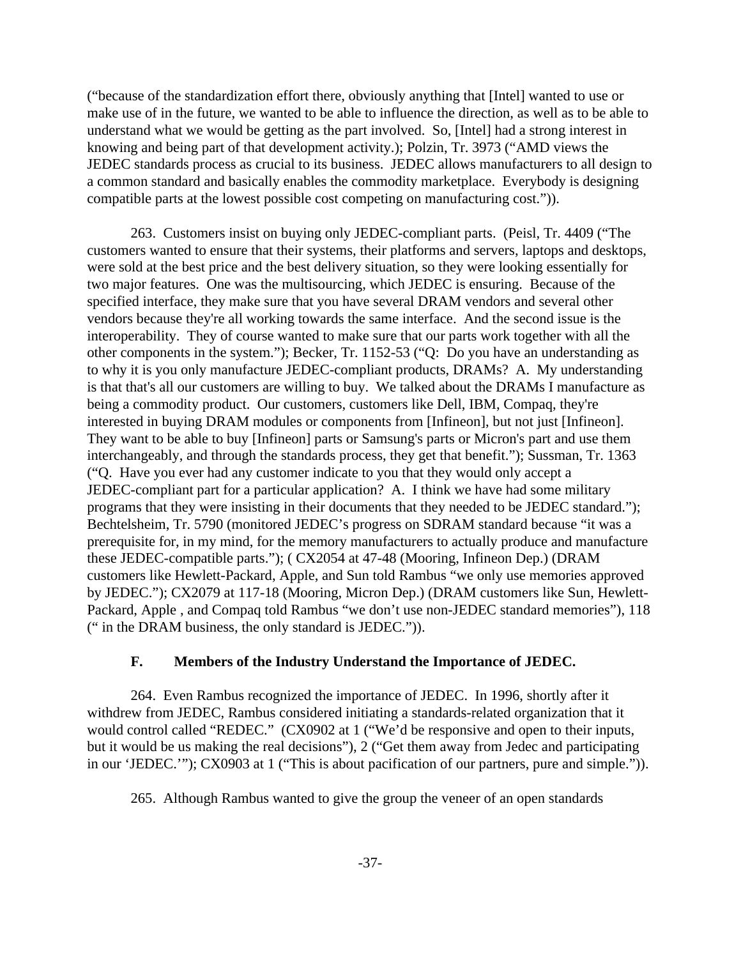("because of the standardization effort there, obviously anything that [Intel] wanted to use or make use of in the future, we wanted to be able to influence the direction, as well as to be able to understand what we would be getting as the part involved. So, [Intel] had a strong interest in knowing and being part of that development activity.); Polzin, Tr. 3973 ("AMD views the JEDEC standards process as crucial to its business. JEDEC allows manufacturers to all design to a common standard and basically enables the commodity marketplace. Everybody is designing compatible parts at the lowest possible cost competing on manufacturing cost.")).

263. Customers insist on buying only JEDEC-compliant parts. (Peisl, Tr. 4409 ("The customers wanted to ensure that their systems, their platforms and servers, laptops and desktops, were sold at the best price and the best delivery situation, so they were looking essentially for two major features. One was the multisourcing, which JEDEC is ensuring. Because of the specified interface, they make sure that you have several DRAM vendors and several other vendors because they're all working towards the same interface. And the second issue is the interoperability. They of course wanted to make sure that our parts work together with all the other components in the system."); Becker, Tr. 1152-53 ("Q: Do you have an understanding as to why it is you only manufacture JEDEC-compliant products, DRAMs? A. My understanding is that that's all our customers are willing to buy. We talked about the DRAMs I manufacture as being a commodity product. Our customers, customers like Dell, IBM, Compaq, they're interested in buying DRAM modules or components from [Infineon], but not just [Infineon]. They want to be able to buy [Infineon] parts or Samsung's parts or Micron's part and use them interchangeably, and through the standards process, they get that benefit."); Sussman, Tr. 1363 ("Q. Have you ever had any customer indicate to you that they would only accept a JEDEC-compliant part for a particular application? A. I think we have had some military programs that they were insisting in their documents that they needed to be JEDEC standard."); Bechtelsheim, Tr. 5790 (monitored JEDEC's progress on SDRAM standard because "it was a prerequisite for, in my mind, for the memory manufacturers to actually produce and manufacture these JEDEC-compatible parts."); ( CX2054 at 47-48 (Mooring, Infineon Dep.) (DRAM customers like Hewlett-Packard, Apple, and Sun told Rambus "we only use memories approved by JEDEC."); CX2079 at 117-18 (Mooring, Micron Dep.) (DRAM customers like Sun, Hewlett-Packard, Apple , and Compaq told Rambus "we don't use non-JEDEC standard memories"), 118 (" in the DRAM business, the only standard is JEDEC.")).

# **F. Members of the Industry Understand the Importance of JEDEC.**

264. Even Rambus recognized the importance of JEDEC. In 1996, shortly after it withdrew from JEDEC, Rambus considered initiating a standards-related organization that it would control called "REDEC." (CX0902 at 1 ("We'd be responsive and open to their inputs, but it would be us making the real decisions"), 2 ("Get them away from Jedec and participating in our 'JEDEC.'"); CX0903 at 1 ("This is about pacification of our partners, pure and simple.")).

265. Although Rambus wanted to give the group the veneer of an open standards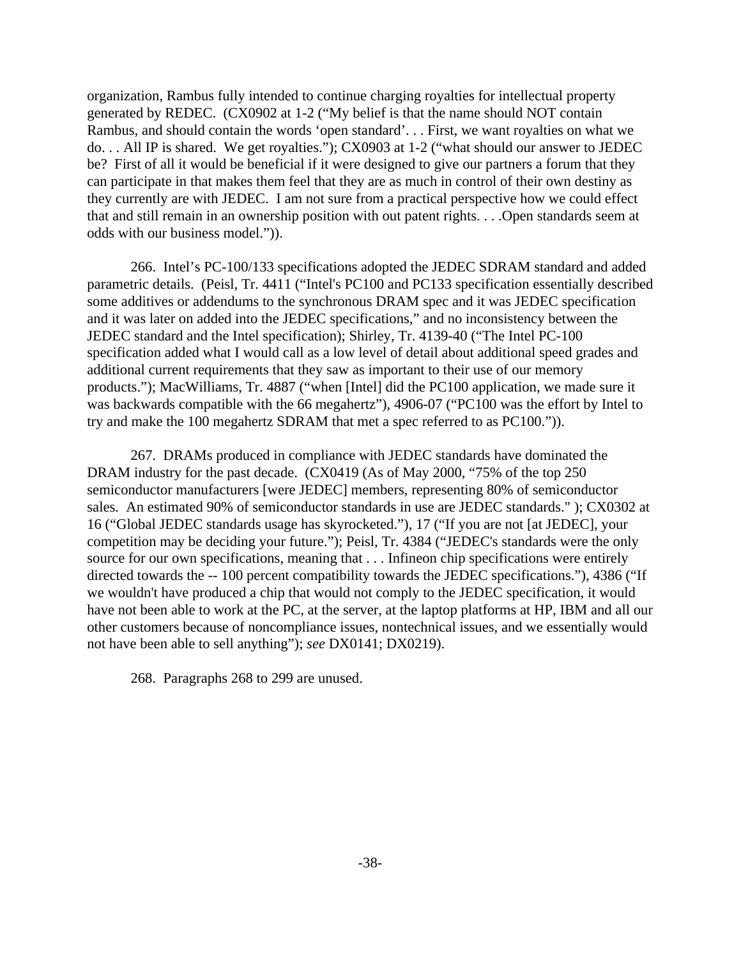organization, Rambus fully intended to continue charging royalties for intellectual property generated by REDEC. (CX0902 at 1-2 ("My belief is that the name should NOT contain Rambus, and should contain the words 'open standard'. . . First, we want royalties on what we do. . . All IP is shared. We get royalties."); CX0903 at 1-2 ("what should our answer to JEDEC be? First of all it would be beneficial if it were designed to give our partners a forum that they can participate in that makes them feel that they are as much in control of their own destiny as they currently are with JEDEC. I am not sure from a practical perspective how we could effect that and still remain in an ownership position with out patent rights. . . .Open standards seem at odds with our business model.")).

266. Intel's PC-100/133 specifications adopted the JEDEC SDRAM standard and added parametric details. (Peisl, Tr. 4411 ("Intel's PC100 and PC133 specification essentially described some additives or addendums to the synchronous DRAM spec and it was JEDEC specification and it was later on added into the JEDEC specifications," and no inconsistency between the JEDEC standard and the Intel specification); Shirley, Tr. 4139-40 ("The Intel PC-100 specification added what I would call as a low level of detail about additional speed grades and additional current requirements that they saw as important to their use of our memory products."); MacWilliams, Tr. 4887 ("when [Intel] did the PC100 application, we made sure it was backwards compatible with the 66 megahertz"), 4906-07 ("PC100 was the effort by Intel to try and make the 100 megahertz SDRAM that met a spec referred to as PC100.")).

267. DRAMs produced in compliance with JEDEC standards have dominated the DRAM industry for the past decade. (CX0419 (As of May 2000, "75% of the top 250) semiconductor manufacturers [were JEDEC] members, representing 80% of semiconductor sales. An estimated 90% of semiconductor standards in use are JEDEC standards." ); CX0302 at 16 ("Global JEDEC standards usage has skyrocketed."), 17 ("If you are not [at JEDEC], your competition may be deciding your future."); Peisl, Tr. 4384 ("JEDEC's standards were the only source for our own specifications, meaning that . . . Infineon chip specifications were entirely directed towards the -- 100 percent compatibility towards the JEDEC specifications."), 4386 ("If we wouldn't have produced a chip that would not comply to the JEDEC specification, it would have not been able to work at the PC, at the server, at the laptop platforms at HP, IBM and all our other customers because of noncompliance issues, nontechnical issues, and we essentially would not have been able to sell anything"); *see* DX0141; DX0219).

268. Paragraphs 268 to 299 are unused.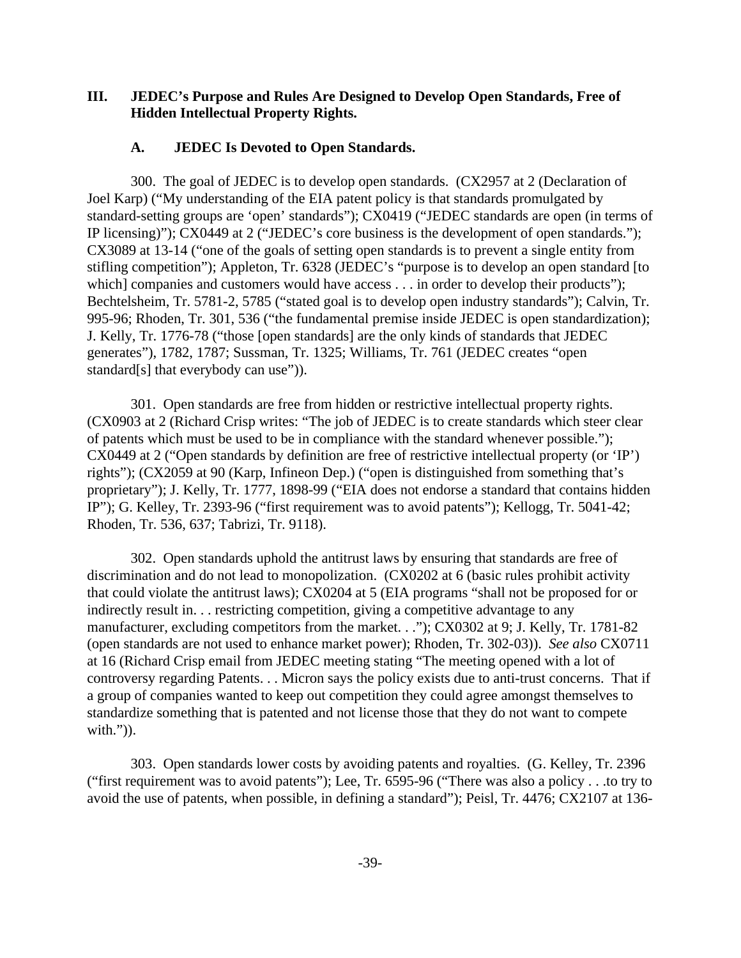# **III. JEDEC's Purpose and Rules Are Designed to Develop Open Standards, Free of Hidden Intellectual Property Rights.**

# **A. JEDEC Is Devoted to Open Standards.**

300. The goal of JEDEC is to develop open standards. (CX2957 at 2 (Declaration of Joel Karp) ("My understanding of the EIA patent policy is that standards promulgated by standard-setting groups are 'open' standards"); CX0419 ("JEDEC standards are open (in terms of IP licensing)"); CX0449 at 2 ("JEDEC's core business is the development of open standards."); CX3089 at 13-14 ("one of the goals of setting open standards is to prevent a single entity from stifling competition"); Appleton, Tr. 6328 (JEDEC's "purpose is to develop an open standard [to which] companies and customers would have access . . . in order to develop their products"); Bechtelsheim, Tr. 5781-2, 5785 ("stated goal is to develop open industry standards"); Calvin, Tr. 995-96; Rhoden, Tr. 301, 536 ("the fundamental premise inside JEDEC is open standardization); J. Kelly, Tr. 1776-78 ("those [open standards] are the only kinds of standards that JEDEC generates"), 1782, 1787; Sussman, Tr. 1325; Williams, Tr. 761 (JEDEC creates "open standard[s] that everybody can use")).

301. Open standards are free from hidden or restrictive intellectual property rights. (CX0903 at 2 (Richard Crisp writes: "The job of JEDEC is to create standards which steer clear of patents which must be used to be in compliance with the standard whenever possible."); CX0449 at 2 ("Open standards by definition are free of restrictive intellectual property (or 'IP') rights"); (CX2059 at 90 (Karp, Infineon Dep.) ("open is distinguished from something that's proprietary"); J. Kelly, Tr. 1777, 1898-99 ("EIA does not endorse a standard that contains hidden IP"); G. Kelley, Tr. 2393-96 ("first requirement was to avoid patents"); Kellogg, Tr. 5041-42; Rhoden, Tr. 536, 637; Tabrizi, Tr. 9118).

302. Open standards uphold the antitrust laws by ensuring that standards are free of discrimination and do not lead to monopolization. (CX0202 at 6 (basic rules prohibit activity that could violate the antitrust laws); CX0204 at 5 (EIA programs "shall not be proposed for or indirectly result in. . . restricting competition, giving a competitive advantage to any manufacturer, excluding competitors from the market. . ."); CX0302 at 9; J. Kelly, Tr. 1781-82 (open standards are not used to enhance market power); Rhoden, Tr. 302-03)). *See also* CX0711 at 16 (Richard Crisp email from JEDEC meeting stating "The meeting opened with a lot of controversy regarding Patents. . . Micron says the policy exists due to anti-trust concerns. That if a group of companies wanted to keep out competition they could agree amongst themselves to standardize something that is patented and not license those that they do not want to compete with.")).

303. Open standards lower costs by avoiding patents and royalties. (G. Kelley, Tr. 2396 ("first requirement was to avoid patents"); Lee, Tr. 6595-96 ("There was also a policy . . .to try to avoid the use of patents, when possible, in defining a standard"); Peisl, Tr. 4476; CX2107 at 136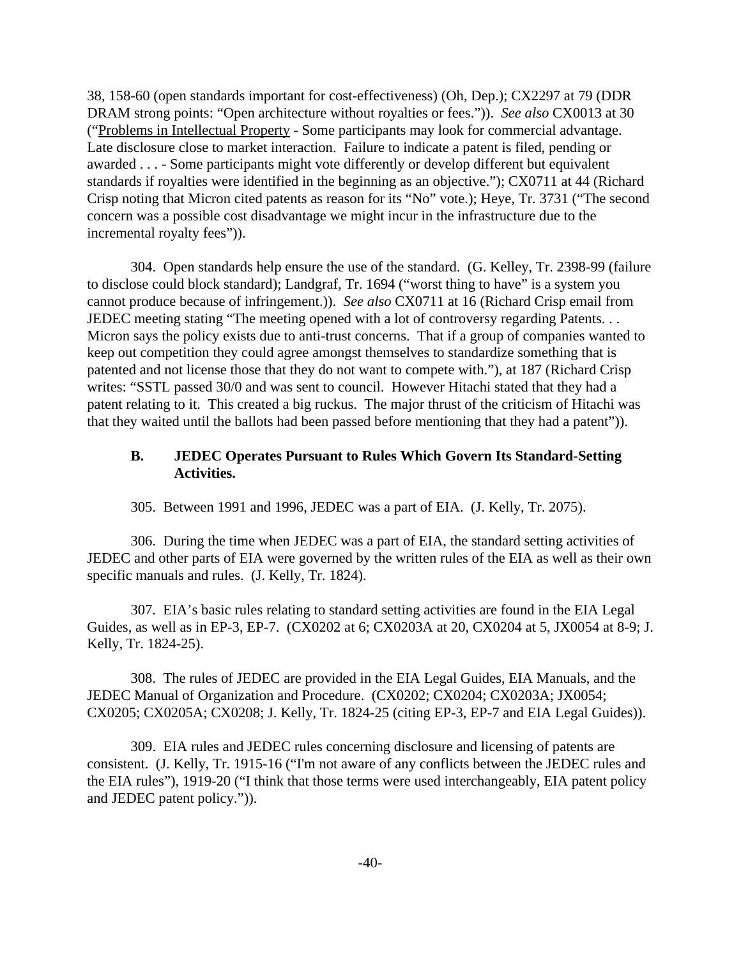38, 158-60 (open standards important for cost-effectiveness) (Oh, Dep.); CX2297 at 79 (DDR DRAM strong points: "Open architecture without royalties or fees.")). *See also* CX0013 at 30 ("Problems in Intellectual Property - Some participants may look for commercial advantage. Late disclosure close to market interaction. Failure to indicate a patent is filed, pending or awarded . . . - Some participants might vote differently or develop different but equivalent standards if royalties were identified in the beginning as an objective."); CX0711 at 44 (Richard Crisp noting that Micron cited patents as reason for its "No" vote.); Heye, Tr. 3731 ("The second concern was a possible cost disadvantage we might incur in the infrastructure due to the incremental royalty fees")).

304. Open standards help ensure the use of the standard. (G. Kelley, Tr. 2398-99 (failure to disclose could block standard); Landgraf, Tr. 1694 ("worst thing to have" is a system you cannot produce because of infringement.)). *See also* CX0711 at 16 (Richard Crisp email from JEDEC meeting stating "The meeting opened with a lot of controversy regarding Patents... Micron says the policy exists due to anti-trust concerns. That if a group of companies wanted to keep out competition they could agree amongst themselves to standardize something that is patented and not license those that they do not want to compete with."), at 187 (Richard Crisp writes: "SSTL passed 30/0 and was sent to council. However Hitachi stated that they had a patent relating to it. This created a big ruckus. The major thrust of the criticism of Hitachi was that they waited until the ballots had been passed before mentioning that they had a patent")).

# **B. JEDEC Operates Pursuant to Rules Which Govern Its Standard-Setting Activities.**

305. Between 1991 and 1996, JEDEC was a part of EIA. (J. Kelly, Tr. 2075).

306. During the time when JEDEC was a part of EIA, the standard setting activities of JEDEC and other parts of EIA were governed by the written rules of the EIA as well as their own specific manuals and rules. (J. Kelly, Tr. 1824).

307. EIA's basic rules relating to standard setting activities are found in the EIA Legal Guides, as well as in EP-3, EP-7. (CX0202 at 6; CX0203A at 20, CX0204 at 5, JX0054 at 8-9; J. Kelly, Tr. 1824-25).

308. The rules of JEDEC are provided in the EIA Legal Guides, EIA Manuals, and the JEDEC Manual of Organization and Procedure. (CX0202; CX0204; CX0203A; JX0054; CX0205; CX0205A; CX0208; J. Kelly, Tr. 1824-25 (citing EP-3, EP-7 and EIA Legal Guides)).

309. EIA rules and JEDEC rules concerning disclosure and licensing of patents are consistent. (J. Kelly, Tr. 1915-16 ("I'm not aware of any conflicts between the JEDEC rules and the EIA rules"), 1919-20 ("I think that those terms were used interchangeably, EIA patent policy and JEDEC patent policy.")).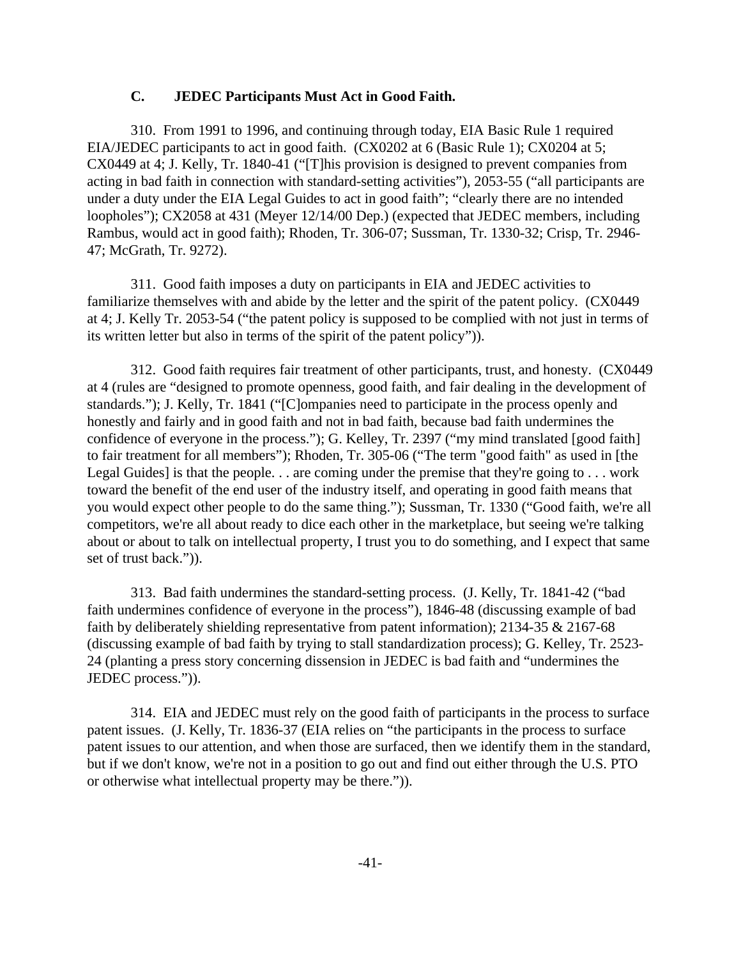# **C. JEDEC Participants Must Act in Good Faith.**

310. From 1991 to 1996, and continuing through today, EIA Basic Rule 1 required EIA/JEDEC participants to act in good faith. (CX0202 at 6 (Basic Rule 1); CX0204 at 5; CX0449 at 4; J. Kelly, Tr. 1840-41 ("[T]his provision is designed to prevent companies from acting in bad faith in connection with standard-setting activities"), 2053-55 ("all participants are under a duty under the EIA Legal Guides to act in good faith"; "clearly there are no intended loopholes"); CX2058 at 431 (Meyer 12/14/00 Dep.) (expected that JEDEC members, including Rambus, would act in good faith); Rhoden, Tr. 306-07; Sussman, Tr. 1330-32; Crisp, Tr. 2946- 47; McGrath, Tr. 9272).

311. Good faith imposes a duty on participants in EIA and JEDEC activities to familiarize themselves with and abide by the letter and the spirit of the patent policy. (CX0449 at 4; J. Kelly Tr. 2053-54 ("the patent policy is supposed to be complied with not just in terms of its written letter but also in terms of the spirit of the patent policy")).

312. Good faith requires fair treatment of other participants, trust, and honesty. (CX0449 at 4 (rules are "designed to promote openness, good faith, and fair dealing in the development of standards."); J. Kelly, Tr. 1841 ("[C]ompanies need to participate in the process openly and honestly and fairly and in good faith and not in bad faith, because bad faith undermines the confidence of everyone in the process."); G. Kelley, Tr. 2397 ("my mind translated [good faith] to fair treatment for all members"); Rhoden, Tr. 305-06 ("The term "good faith" as used in [the Legal Guides] is that the people.  $\ldots$  are coming under the premise that they're going to  $\ldots$  work toward the benefit of the end user of the industry itself, and operating in good faith means that you would expect other people to do the same thing."); Sussman, Tr. 1330 ("Good faith, we're all competitors, we're all about ready to dice each other in the marketplace, but seeing we're talking about or about to talk on intellectual property, I trust you to do something, and I expect that same set of trust back.")).

313. Bad faith undermines the standard-setting process. (J. Kelly, Tr. 1841-42 ("bad faith undermines confidence of everyone in the process"), 1846-48 (discussing example of bad faith by deliberately shielding representative from patent information); 2134-35 & 2167-68 (discussing example of bad faith by trying to stall standardization process); G. Kelley, Tr. 2523- 24 (planting a press story concerning dissension in JEDEC is bad faith and "undermines the JEDEC process.")).

314. EIA and JEDEC must rely on the good faith of participants in the process to surface patent issues. (J. Kelly, Tr. 1836-37 (EIA relies on "the participants in the process to surface patent issues to our attention, and when those are surfaced, then we identify them in the standard, but if we don't know, we're not in a position to go out and find out either through the U.S. PTO or otherwise what intellectual property may be there.")).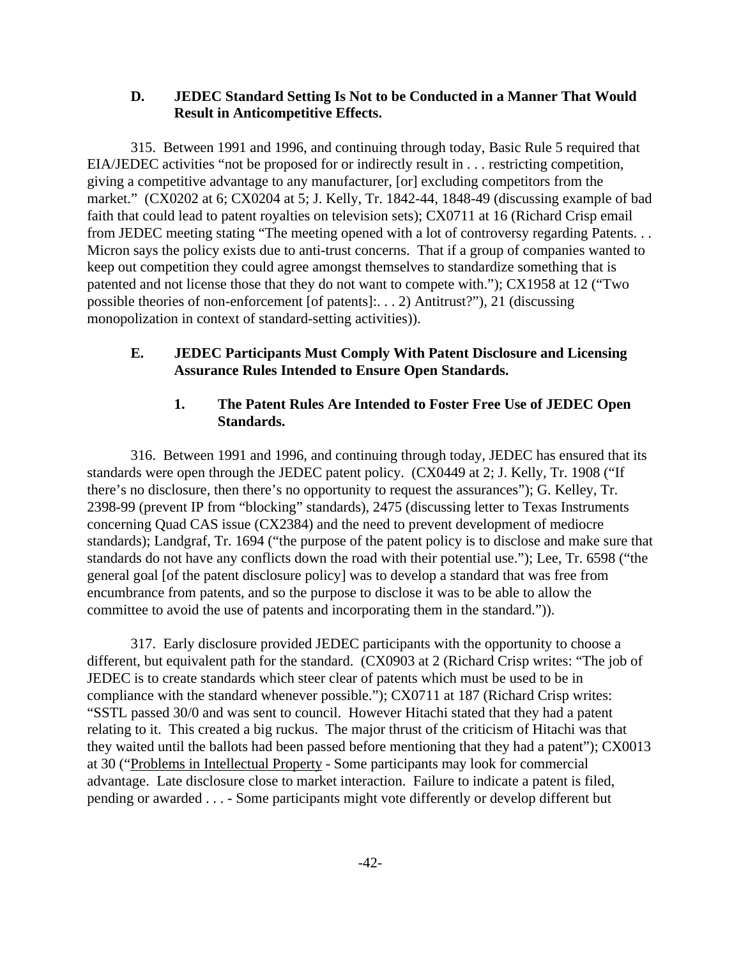# **D. JEDEC Standard Setting Is Not to be Conducted in a Manner That Would Result in Anticompetitive Effects.**

315. Between 1991 and 1996, and continuing through today, Basic Rule 5 required that EIA/JEDEC activities "not be proposed for or indirectly result in . . . restricting competition, giving a competitive advantage to any manufacturer, [or] excluding competitors from the market." (CX0202 at 6; CX0204 at 5; J. Kelly, Tr. 1842-44, 1848-49 (discussing example of bad faith that could lead to patent royalties on television sets); CX0711 at 16 (Richard Crisp email from JEDEC meeting stating "The meeting opened with a lot of controversy regarding Patents. . . Micron says the policy exists due to anti-trust concerns. That if a group of companies wanted to keep out competition they could agree amongst themselves to standardize something that is patented and not license those that they do not want to compete with."); CX1958 at 12 ("Two possible theories of non-enforcement [of patents]:. . . 2) Antitrust?"), 21 (discussing monopolization in context of standard-setting activities)).

# **E. JEDEC Participants Must Comply With Patent Disclosure and Licensing Assurance Rules Intended to Ensure Open Standards.**

# **1. The Patent Rules Are Intended to Foster Free Use of JEDEC Open Standards.**

316. Between 1991 and 1996, and continuing through today, JEDEC has ensured that its standards were open through the JEDEC patent policy. (CX0449 at 2; J. Kelly, Tr. 1908 ("If there's no disclosure, then there's no opportunity to request the assurances"); G. Kelley, Tr. 2398-99 (prevent IP from "blocking" standards), 2475 (discussing letter to Texas Instruments concerning Quad CAS issue (CX2384) and the need to prevent development of mediocre standards); Landgraf, Tr. 1694 ("the purpose of the patent policy is to disclose and make sure that standards do not have any conflicts down the road with their potential use."); Lee, Tr. 6598 ("the general goal [of the patent disclosure policy] was to develop a standard that was free from encumbrance from patents, and so the purpose to disclose it was to be able to allow the committee to avoid the use of patents and incorporating them in the standard.")).

317. Early disclosure provided JEDEC participants with the opportunity to choose a different, but equivalent path for the standard. (CX0903 at 2 (Richard Crisp writes: "The job of JEDEC is to create standards which steer clear of patents which must be used to be in compliance with the standard whenever possible."); CX0711 at 187 (Richard Crisp writes: "SSTL passed 30/0 and was sent to council. However Hitachi stated that they had a patent relating to it. This created a big ruckus. The major thrust of the criticism of Hitachi was that they waited until the ballots had been passed before mentioning that they had a patent"); CX0013 at 30 ("Problems in Intellectual Property - Some participants may look for commercial advantage. Late disclosure close to market interaction. Failure to indicate a patent is filed, pending or awarded . . . - Some participants might vote differently or develop different but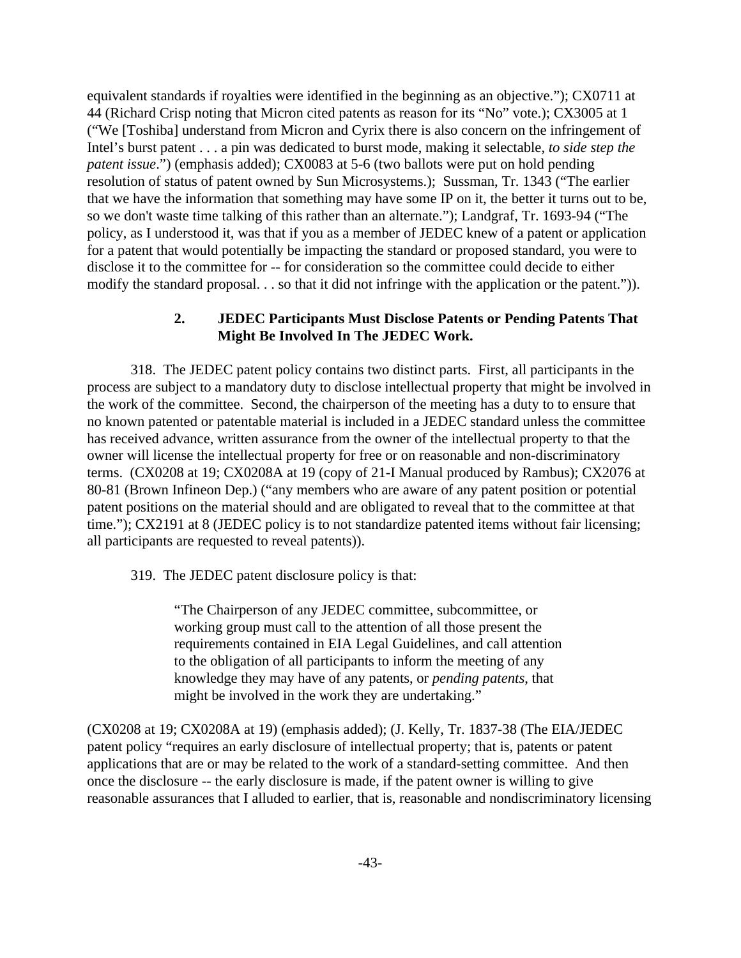equivalent standards if royalties were identified in the beginning as an objective."); CX0711 at 44 (Richard Crisp noting that Micron cited patents as reason for its "No" vote.); CX3005 at 1 ("We [Toshiba] understand from Micron and Cyrix there is also concern on the infringement of Intel's burst patent . . . a pin was dedicated to burst mode, making it selectable, *to side step the patent issue*.") (emphasis added); CX0083 at 5-6 (two ballots were put on hold pending resolution of status of patent owned by Sun Microsystems.); Sussman, Tr. 1343 ("The earlier that we have the information that something may have some IP on it, the better it turns out to be, so we don't waste time talking of this rather than an alternate."); Landgraf, Tr. 1693-94 ("The policy, as I understood it, was that if you as a member of JEDEC knew of a patent or application for a patent that would potentially be impacting the standard or proposed standard, you were to disclose it to the committee for -- for consideration so the committee could decide to either modify the standard proposal. . . so that it did not infringe with the application or the patent.")).

# **2. JEDEC Participants Must Disclose Patents or Pending Patents That Might Be Involved In The JEDEC Work.**

318. The JEDEC patent policy contains two distinct parts. First, all participants in the process are subject to a mandatory duty to disclose intellectual property that might be involved in the work of the committee. Second, the chairperson of the meeting has a duty to to ensure that no known patented or patentable material is included in a JEDEC standard unless the committee has received advance, written assurance from the owner of the intellectual property to that the owner will license the intellectual property for free or on reasonable and non-discriminatory terms. (CX0208 at 19; CX0208A at 19 (copy of 21-I Manual produced by Rambus); CX2076 at 80-81 (Brown Infineon Dep.) ("any members who are aware of any patent position or potential patent positions on the material should and are obligated to reveal that to the committee at that time."); CX2191 at 8 (JEDEC policy is to not standardize patented items without fair licensing; all participants are requested to reveal patents)).

319. The JEDEC patent disclosure policy is that:

"The Chairperson of any JEDEC committee, subcommittee, or working group must call to the attention of all those present the requirements contained in EIA Legal Guidelines, and call attention to the obligation of all participants to inform the meeting of any knowledge they may have of any patents, or *pending patents*, that might be involved in the work they are undertaking."

(CX0208 at 19; CX0208A at 19) (emphasis added); (J. Kelly, Tr. 1837-38 (The EIA/JEDEC patent policy "requires an early disclosure of intellectual property; that is, patents or patent applications that are or may be related to the work of a standard-setting committee. And then once the disclosure -- the early disclosure is made, if the patent owner is willing to give reasonable assurances that I alluded to earlier, that is, reasonable and nondiscriminatory licensing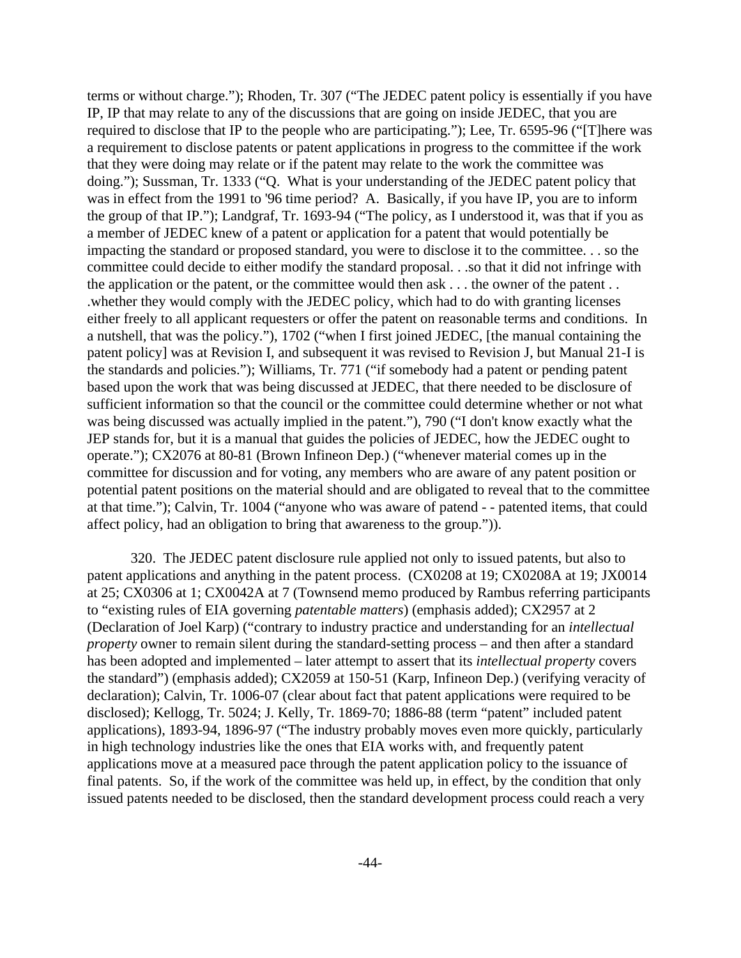terms or without charge."); Rhoden, Tr. 307 ("The JEDEC patent policy is essentially if you have IP, IP that may relate to any of the discussions that are going on inside JEDEC, that you are required to disclose that IP to the people who are participating."); Lee, Tr. 6595-96 ("[T]here was a requirement to disclose patents or patent applications in progress to the committee if the work that they were doing may relate or if the patent may relate to the work the committee was doing."); Sussman, Tr. 1333 ("Q. What is your understanding of the JEDEC patent policy that was in effect from the 1991 to '96 time period? A. Basically, if you have IP, you are to inform the group of that IP."); Landgraf, Tr. 1693-94 ("The policy, as I understood it, was that if you as a member of JEDEC knew of a patent or application for a patent that would potentially be impacting the standard or proposed standard, you were to disclose it to the committee. . . so the committee could decide to either modify the standard proposal. . .so that it did not infringe with the application or the patent, or the committee would then ask . . . the owner of the patent . . .whether they would comply with the JEDEC policy, which had to do with granting licenses either freely to all applicant requesters or offer the patent on reasonable terms and conditions. In a nutshell, that was the policy."), 1702 ("when I first joined JEDEC, [the manual containing the patent policy] was at Revision I, and subsequent it was revised to Revision J, but Manual 21-I is the standards and policies."); Williams, Tr. 771 ("if somebody had a patent or pending patent based upon the work that was being discussed at JEDEC, that there needed to be disclosure of sufficient information so that the council or the committee could determine whether or not what was being discussed was actually implied in the patent."), 790 ("I don't know exactly what the JEP stands for, but it is a manual that guides the policies of JEDEC, how the JEDEC ought to operate."); CX2076 at 80-81 (Brown Infineon Dep.) ("whenever material comes up in the committee for discussion and for voting, any members who are aware of any patent position or potential patent positions on the material should and are obligated to reveal that to the committee at that time."); Calvin, Tr. 1004 ("anyone who was aware of patend - - patented items, that could affect policy, had an obligation to bring that awareness to the group.")).

320. The JEDEC patent disclosure rule applied not only to issued patents, but also to patent applications and anything in the patent process. (CX0208 at 19; CX0208A at 19; JX0014 at 25; CX0306 at 1; CX0042A at 7 (Townsend memo produced by Rambus referring participants to "existing rules of EIA governing *patentable matters*) (emphasis added); CX2957 at 2 (Declaration of Joel Karp) ("contrary to industry practice and understanding for an *intellectual property* owner to remain silent during the standard-setting process – and then after a standard has been adopted and implemented – later attempt to assert that its *intellectual property* covers the standard") (emphasis added); CX2059 at 150-51 (Karp, Infineon Dep.) (verifying veracity of declaration); Calvin, Tr. 1006-07 (clear about fact that patent applications were required to be disclosed); Kellogg, Tr. 5024; J. Kelly, Tr. 1869-70; 1886-88 (term "patent" included patent applications), 1893-94, 1896-97 ("The industry probably moves even more quickly, particularly in high technology industries like the ones that EIA works with, and frequently patent applications move at a measured pace through the patent application policy to the issuance of final patents. So, if the work of the committee was held up, in effect, by the condition that only issued patents needed to be disclosed, then the standard development process could reach a very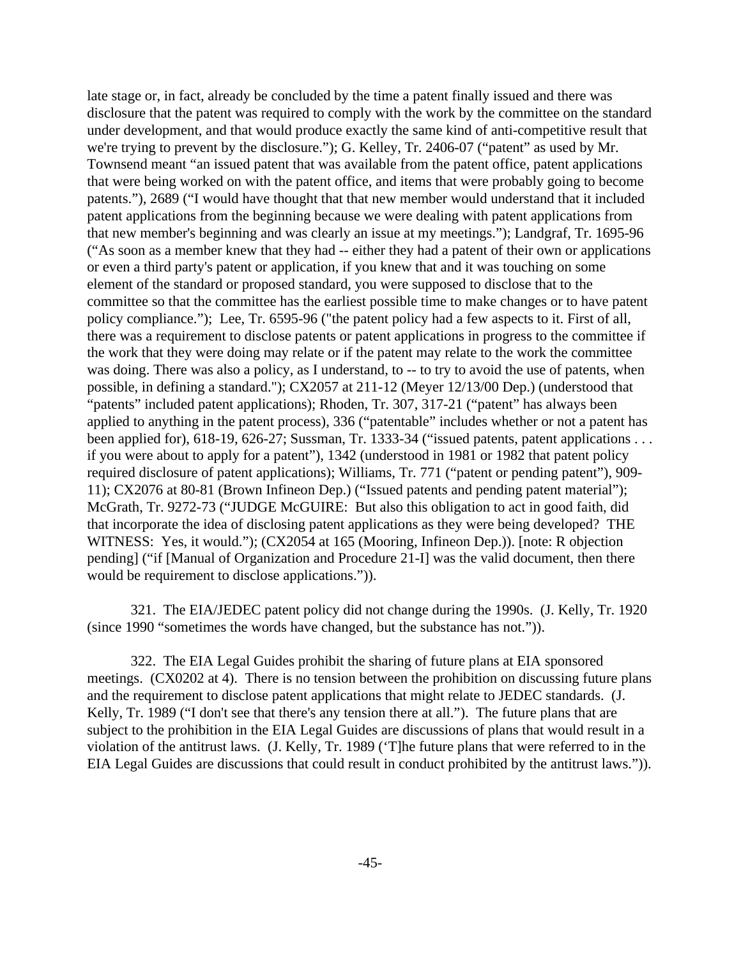late stage or, in fact, already be concluded by the time a patent finally issued and there was disclosure that the patent was required to comply with the work by the committee on the standard under development, and that would produce exactly the same kind of anti-competitive result that we're trying to prevent by the disclosure."); G. Kelley, Tr. 2406-07 ("patent" as used by Mr. Townsend meant "an issued patent that was available from the patent office, patent applications that were being worked on with the patent office, and items that were probably going to become patents."), 2689 ("I would have thought that that new member would understand that it included patent applications from the beginning because we were dealing with patent applications from that new member's beginning and was clearly an issue at my meetings."); Landgraf, Tr. 1695-96 ("As soon as a member knew that they had -- either they had a patent of their own or applications or even a third party's patent or application, if you knew that and it was touching on some element of the standard or proposed standard, you were supposed to disclose that to the committee so that the committee has the earliest possible time to make changes or to have patent policy compliance."); Lee, Tr. 6595-96 ("the patent policy had a few aspects to it. First of all, there was a requirement to disclose patents or patent applications in progress to the committee if the work that they were doing may relate or if the patent may relate to the work the committee was doing. There was also a policy, as I understand, to -- to try to avoid the use of patents, when possible, in defining a standard."); CX2057 at 211-12 (Meyer 12/13/00 Dep.) (understood that "patents" included patent applications); Rhoden, Tr. 307, 317-21 ("patent" has always been applied to anything in the patent process), 336 ("patentable" includes whether or not a patent has been applied for), 618-19, 626-27; Sussman, Tr. 1333-34 ("issued patents, patent applications . . . if you were about to apply for a patent"), 1342 (understood in 1981 or 1982 that patent policy required disclosure of patent applications); Williams, Tr. 771 ("patent or pending patent"), 909- 11); CX2076 at 80-81 (Brown Infineon Dep.) ("Issued patents and pending patent material"); McGrath, Tr. 9272-73 ("JUDGE McGUIRE: But also this obligation to act in good faith, did that incorporate the idea of disclosing patent applications as they were being developed? THE WITNESS: Yes, it would."); (CX2054 at 165 (Mooring, Infineon Dep.)). [note: R objection pending] ("if [Manual of Organization and Procedure 21-I] was the valid document, then there would be requirement to disclose applications.")).

321. The EIA/JEDEC patent policy did not change during the 1990s. (J. Kelly, Tr. 1920 (since 1990 "sometimes the words have changed, but the substance has not.")).

322. The EIA Legal Guides prohibit the sharing of future plans at EIA sponsored meetings. (CX0202 at 4). There is no tension between the prohibition on discussing future plans and the requirement to disclose patent applications that might relate to JEDEC standards. (J. Kelly, Tr. 1989 ("I don't see that there's any tension there at all."). The future plans that are subject to the prohibition in the EIA Legal Guides are discussions of plans that would result in a violation of the antitrust laws. (J. Kelly, Tr. 1989 ('T]he future plans that were referred to in the EIA Legal Guides are discussions that could result in conduct prohibited by the antitrust laws.")).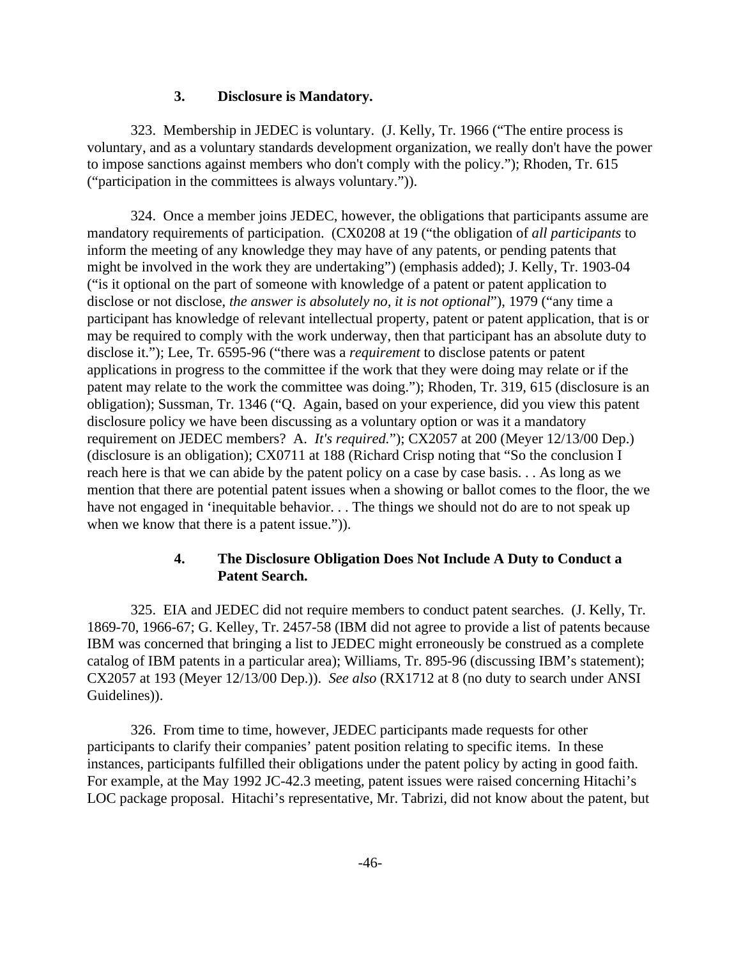### **3. Disclosure is Mandatory.**

323. Membership in JEDEC is voluntary. (J. Kelly, Tr. 1966 ("The entire process is voluntary, and as a voluntary standards development organization, we really don't have the power to impose sanctions against members who don't comply with the policy."); Rhoden, Tr. 615 ("participation in the committees is always voluntary.")).

324. Once a member joins JEDEC, however, the obligations that participants assume are mandatory requirements of participation. (CX0208 at 19 ("the obligation of *all participants* to inform the meeting of any knowledge they may have of any patents, or pending patents that might be involved in the work they are undertaking") (emphasis added); J. Kelly, Tr. 1903-04 ("is it optional on the part of someone with knowledge of a patent or patent application to disclose or not disclose, *the answer is absolutely no, it is not optional*"), 1979 ("any time a participant has knowledge of relevant intellectual property, patent or patent application, that is or may be required to comply with the work underway, then that participant has an absolute duty to disclose it."); Lee, Tr. 6595-96 ("there was a *requirement* to disclose patents or patent applications in progress to the committee if the work that they were doing may relate or if the patent may relate to the work the committee was doing."); Rhoden, Tr. 319, 615 (disclosure is an obligation); Sussman, Tr. 1346 ("Q. Again, based on your experience, did you view this patent disclosure policy we have been discussing as a voluntary option or was it a mandatory requirement on JEDEC members? A. *It's required.*"); CX2057 at 200 (Meyer 12/13/00 Dep.) (disclosure is an obligation); CX0711 at 188 (Richard Crisp noting that "So the conclusion I reach here is that we can abide by the patent policy on a case by case basis. . . As long as we mention that there are potential patent issues when a showing or ballot comes to the floor, the we have not engaged in 'inequitable behavior. . . The things we should not do are to not speak up when we know that there is a patent issue.").

# **4. The Disclosure Obligation Does Not Include A Duty to Conduct a Patent Search.**

325. EIA and JEDEC did not require members to conduct patent searches. (J. Kelly, Tr. 1869-70, 1966-67; G. Kelley, Tr. 2457-58 (IBM did not agree to provide a list of patents because IBM was concerned that bringing a list to JEDEC might erroneously be construed as a complete catalog of IBM patents in a particular area); Williams, Tr. 895-96 (discussing IBM's statement); CX2057 at 193 (Meyer 12/13/00 Dep.)). *See also* (RX1712 at 8 (no duty to search under ANSI Guidelines)).

326. From time to time, however, JEDEC participants made requests for other participants to clarify their companies' patent position relating to specific items. In these instances, participants fulfilled their obligations under the patent policy by acting in good faith. For example, at the May 1992 JC-42.3 meeting, patent issues were raised concerning Hitachi's LOC package proposal. Hitachi's representative, Mr. Tabrizi, did not know about the patent, but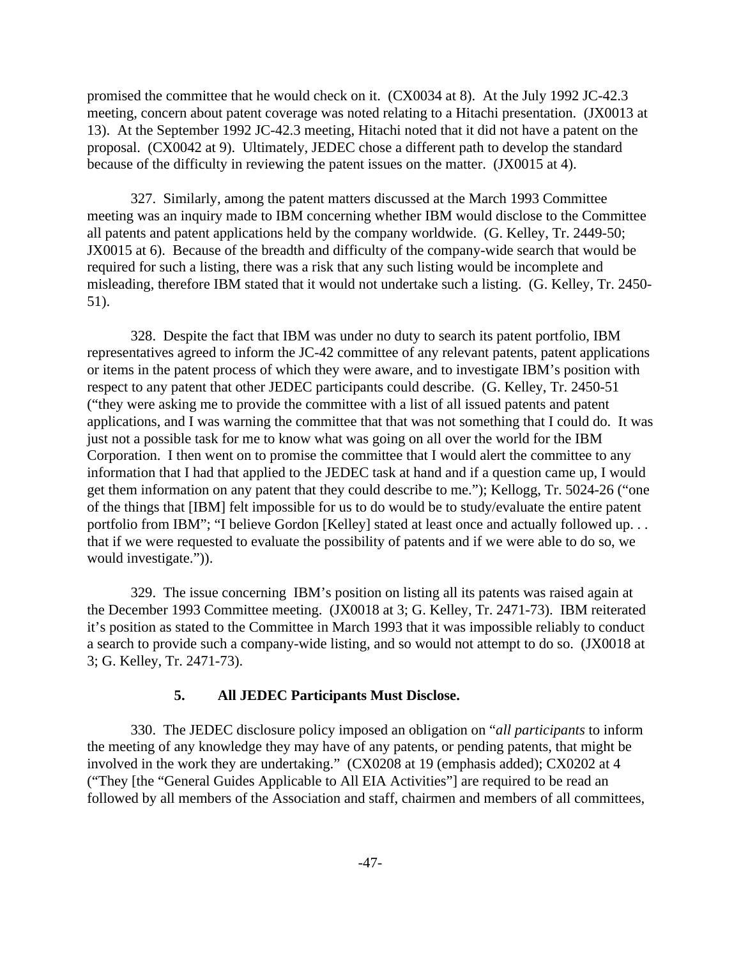promised the committee that he would check on it. (CX0034 at 8). At the July 1992 JC-42.3 meeting, concern about patent coverage was noted relating to a Hitachi presentation. (JX0013 at 13). At the September 1992 JC-42.3 meeting, Hitachi noted that it did not have a patent on the proposal. (CX0042 at 9). Ultimately, JEDEC chose a different path to develop the standard because of the difficulty in reviewing the patent issues on the matter. (JX0015 at 4).

327. Similarly, among the patent matters discussed at the March 1993 Committee meeting was an inquiry made to IBM concerning whether IBM would disclose to the Committee all patents and patent applications held by the company worldwide. (G. Kelley, Tr. 2449-50; JX0015 at 6). Because of the breadth and difficulty of the company-wide search that would be required for such a listing, there was a risk that any such listing would be incomplete and misleading, therefore IBM stated that it would not undertake such a listing. (G. Kelley, Tr. 2450- 51).

328. Despite the fact that IBM was under no duty to search its patent portfolio, IBM representatives agreed to inform the JC-42 committee of any relevant patents, patent applications or items in the patent process of which they were aware, and to investigate IBM's position with respect to any patent that other JEDEC participants could describe. (G. Kelley, Tr. 2450-51 ("they were asking me to provide the committee with a list of all issued patents and patent applications, and I was warning the committee that that was not something that I could do. It was just not a possible task for me to know what was going on all over the world for the IBM Corporation. I then went on to promise the committee that I would alert the committee to any information that I had that applied to the JEDEC task at hand and if a question came up, I would get them information on any patent that they could describe to me."); Kellogg, Tr. 5024-26 ("one of the things that [IBM] felt impossible for us to do would be to study/evaluate the entire patent portfolio from IBM"; "I believe Gordon [Kelley] stated at least once and actually followed up. . . that if we were requested to evaluate the possibility of patents and if we were able to do so, we would investigate.")).

329. The issue concerning IBM's position on listing all its patents was raised again at the December 1993 Committee meeting. (JX0018 at 3; G. Kelley, Tr. 2471-73). IBM reiterated it's position as stated to the Committee in March 1993 that it was impossible reliably to conduct a search to provide such a company-wide listing, and so would not attempt to do so. (JX0018 at 3; G. Kelley, Tr. 2471-73).

#### **5. All JEDEC Participants Must Disclose.**

330. The JEDEC disclosure policy imposed an obligation on "*all participants* to inform the meeting of any knowledge they may have of any patents, or pending patents, that might be involved in the work they are undertaking." (CX0208 at 19 (emphasis added); CX0202 at 4 ("They [the "General Guides Applicable to All EIA Activities"] are required to be read an followed by all members of the Association and staff, chairmen and members of all committees,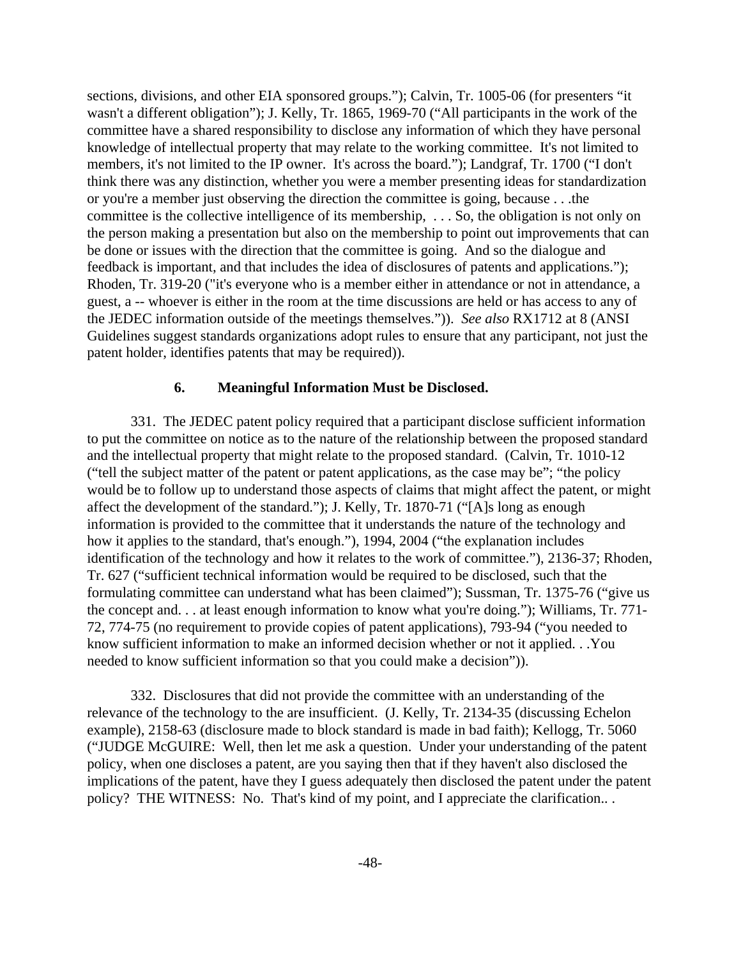sections, divisions, and other EIA sponsored groups."); Calvin, Tr. 1005-06 (for presenters "it wasn't a different obligation"); J. Kelly, Tr. 1865, 1969-70 ("All participants in the work of the committee have a shared responsibility to disclose any information of which they have personal knowledge of intellectual property that may relate to the working committee. It's not limited to members, it's not limited to the IP owner. It's across the board."); Landgraf, Tr. 1700 ("I don't think there was any distinction, whether you were a member presenting ideas for standardization or you're a member just observing the direction the committee is going, because . . .the committee is the collective intelligence of its membership, . . . So, the obligation is not only on the person making a presentation but also on the membership to point out improvements that can be done or issues with the direction that the committee is going. And so the dialogue and feedback is important, and that includes the idea of disclosures of patents and applications."); Rhoden, Tr. 319-20 ("it's everyone who is a member either in attendance or not in attendance, a guest, a -- whoever is either in the room at the time discussions are held or has access to any of the JEDEC information outside of the meetings themselves.")). *See also* RX1712 at 8 (ANSI Guidelines suggest standards organizations adopt rules to ensure that any participant, not just the patent holder, identifies patents that may be required)).

#### **6. Meaningful Information Must be Disclosed.**

331. The JEDEC patent policy required that a participant disclose sufficient information to put the committee on notice as to the nature of the relationship between the proposed standard and the intellectual property that might relate to the proposed standard. (Calvin, Tr. 1010-12 ("tell the subject matter of the patent or patent applications, as the case may be"; "the policy would be to follow up to understand those aspects of claims that might affect the patent, or might affect the development of the standard."); J. Kelly, Tr. 1870-71 ("[A]s long as enough information is provided to the committee that it understands the nature of the technology and how it applies to the standard, that's enough."), 1994, 2004 ("the explanation includes identification of the technology and how it relates to the work of committee."), 2136-37; Rhoden, Tr. 627 ("sufficient technical information would be required to be disclosed, such that the formulating committee can understand what has been claimed"); Sussman, Tr. 1375-76 ("give us the concept and. . . at least enough information to know what you're doing."); Williams, Tr. 771- 72, 774-75 (no requirement to provide copies of patent applications), 793-94 ("you needed to know sufficient information to make an informed decision whether or not it applied. . .You needed to know sufficient information so that you could make a decision")).

332. Disclosures that did not provide the committee with an understanding of the relevance of the technology to the are insufficient. (J. Kelly, Tr. 2134-35 (discussing Echelon example), 2158-63 (disclosure made to block standard is made in bad faith); Kellogg, Tr. 5060 ("JUDGE McGUIRE: Well, then let me ask a question. Under your understanding of the patent policy, when one discloses a patent, are you saying then that if they haven't also disclosed the implications of the patent, have they I guess adequately then disclosed the patent under the patent policy? THE WITNESS: No. That's kind of my point, and I appreciate the clarification.. .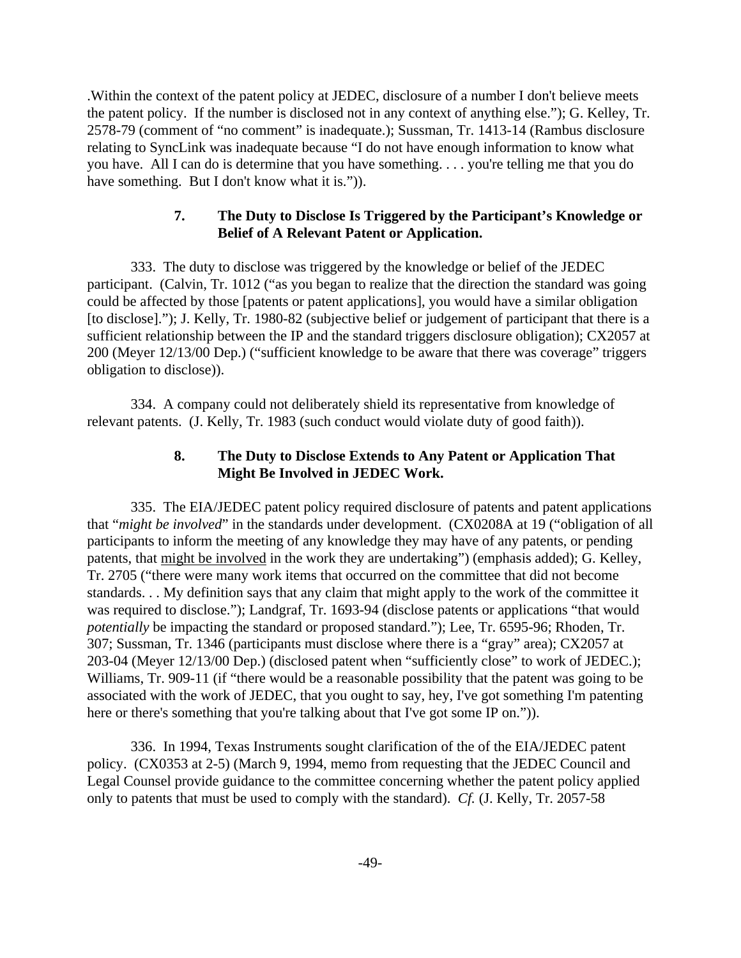.Within the context of the patent policy at JEDEC, disclosure of a number I don't believe meets the patent policy. If the number is disclosed not in any context of anything else."); G. Kelley, Tr. 2578-79 (comment of "no comment" is inadequate.); Sussman, Tr. 1413-14 (Rambus disclosure relating to SyncLink was inadequate because "I do not have enough information to know what you have. All I can do is determine that you have something. . . . you're telling me that you do have something. But I don't know what it is.").

# **7. The Duty to Disclose Is Triggered by the Participant's Knowledge or Belief of A Relevant Patent or Application.**

333. The duty to disclose was triggered by the knowledge or belief of the JEDEC participant. (Calvin, Tr. 1012 ("as you began to realize that the direction the standard was going could be affected by those [patents or patent applications], you would have a similar obligation [to disclose]."); J. Kelly, Tr. 1980-82 (subjective belief or judgement of participant that there is a sufficient relationship between the IP and the standard triggers disclosure obligation); CX2057 at 200 (Meyer 12/13/00 Dep.) ("sufficient knowledge to be aware that there was coverage" triggers obligation to disclose)).

334. A company could not deliberately shield its representative from knowledge of relevant patents. (J. Kelly, Tr. 1983 (such conduct would violate duty of good faith)).

# **8. The Duty to Disclose Extends to Any Patent or Application That Might Be Involved in JEDEC Work.**

335. The EIA/JEDEC patent policy required disclosure of patents and patent applications that "*might be involved*" in the standards under development. (CX0208A at 19 ("obligation of all participants to inform the meeting of any knowledge they may have of any patents, or pending patents, that might be involved in the work they are undertaking") (emphasis added); G. Kelley, Tr. 2705 ("there were many work items that occurred on the committee that did not become standards. . . My definition says that any claim that might apply to the work of the committee it was required to disclose."); Landgraf, Tr. 1693-94 (disclose patents or applications "that would *potentially* be impacting the standard or proposed standard."); Lee, Tr. 6595-96; Rhoden, Tr. 307; Sussman, Tr. 1346 (participants must disclose where there is a "gray" area); CX2057 at 203-04 (Meyer 12/13/00 Dep.) (disclosed patent when "sufficiently close" to work of JEDEC.); Williams, Tr. 909-11 (if "there would be a reasonable possibility that the patent was going to be associated with the work of JEDEC, that you ought to say, hey, I've got something I'm patenting here or there's something that you're talking about that I've got some IP on.").

336. In 1994, Texas Instruments sought clarification of the of the EIA/JEDEC patent policy. (CX0353 at 2-5) (March 9, 1994, memo from requesting that the JEDEC Council and Legal Counsel provide guidance to the committee concerning whether the patent policy applied only to patents that must be used to comply with the standard). *Cf.* (J. Kelly, Tr. 2057-58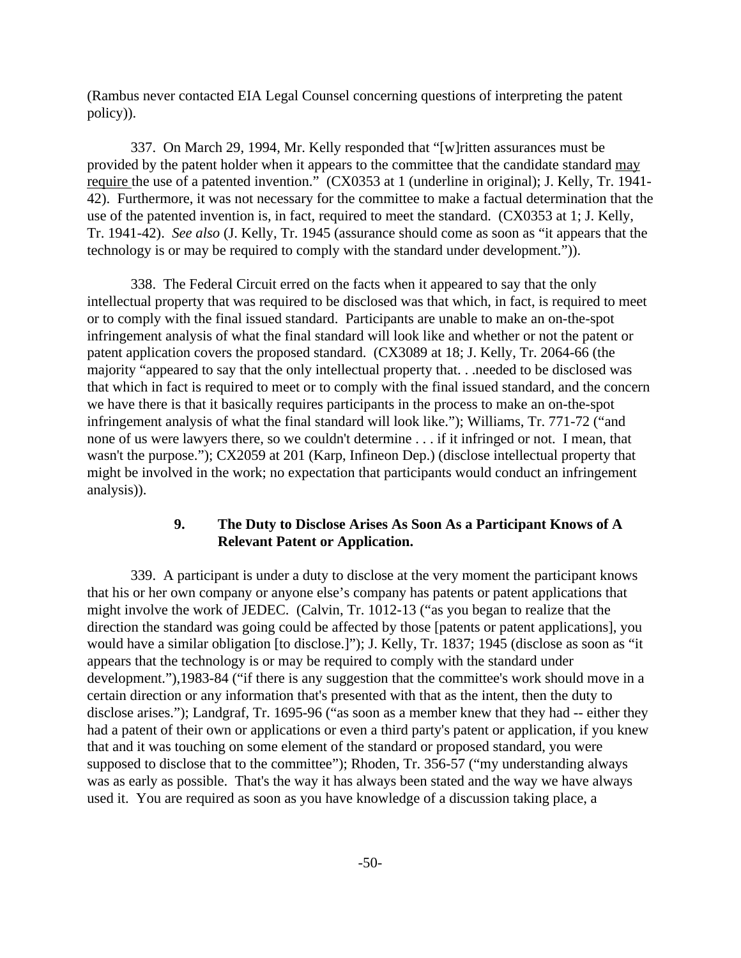(Rambus never contacted EIA Legal Counsel concerning questions of interpreting the patent policy)).

337. On March 29, 1994, Mr. Kelly responded that "[w]ritten assurances must be provided by the patent holder when it appears to the committee that the candidate standard may require the use of a patented invention." (CX0353 at 1 (underline in original); J. Kelly, Tr. 1941- 42). Furthermore, it was not necessary for the committee to make a factual determination that the use of the patented invention is, in fact, required to meet the standard. (CX0353 at 1; J. Kelly, Tr. 1941-42). *See also* (J. Kelly, Tr. 1945 (assurance should come as soon as "it appears that the technology is or may be required to comply with the standard under development.")).

338. The Federal Circuit erred on the facts when it appeared to say that the only intellectual property that was required to be disclosed was that which, in fact, is required to meet or to comply with the final issued standard. Participants are unable to make an on-the-spot infringement analysis of what the final standard will look like and whether or not the patent or patent application covers the proposed standard. (CX3089 at 18; J. Kelly, Tr. 2064-66 (the majority "appeared to say that the only intellectual property that. . .needed to be disclosed was that which in fact is required to meet or to comply with the final issued standard, and the concern we have there is that it basically requires participants in the process to make an on-the-spot infringement analysis of what the final standard will look like."); Williams, Tr. 771-72 ("and none of us were lawyers there, so we couldn't determine . . . if it infringed or not. I mean, that wasn't the purpose."); CX2059 at 201 (Karp, Infineon Dep.) (disclose intellectual property that might be involved in the work; no expectation that participants would conduct an infringement analysis)).

# **9. The Duty to Disclose Arises As Soon As a Participant Knows of A Relevant Patent or Application.**

339. A participant is under a duty to disclose at the very moment the participant knows that his or her own company or anyone else's company has patents or patent applications that might involve the work of JEDEC. (Calvin, Tr. 1012-13 ("as you began to realize that the direction the standard was going could be affected by those [patents or patent applications], you would have a similar obligation [to disclose.]"); J. Kelly, Tr. 1837; 1945 (disclose as soon as "it appears that the technology is or may be required to comply with the standard under development."),1983-84 ("if there is any suggestion that the committee's work should move in a certain direction or any information that's presented with that as the intent, then the duty to disclose arises."); Landgraf, Tr. 1695-96 ("as soon as a member knew that they had -- either they had a patent of their own or applications or even a third party's patent or application, if you knew that and it was touching on some element of the standard or proposed standard, you were supposed to disclose that to the committee"); Rhoden, Tr. 356-57 ("my understanding always was as early as possible. That's the way it has always been stated and the way we have always used it. You are required as soon as you have knowledge of a discussion taking place, a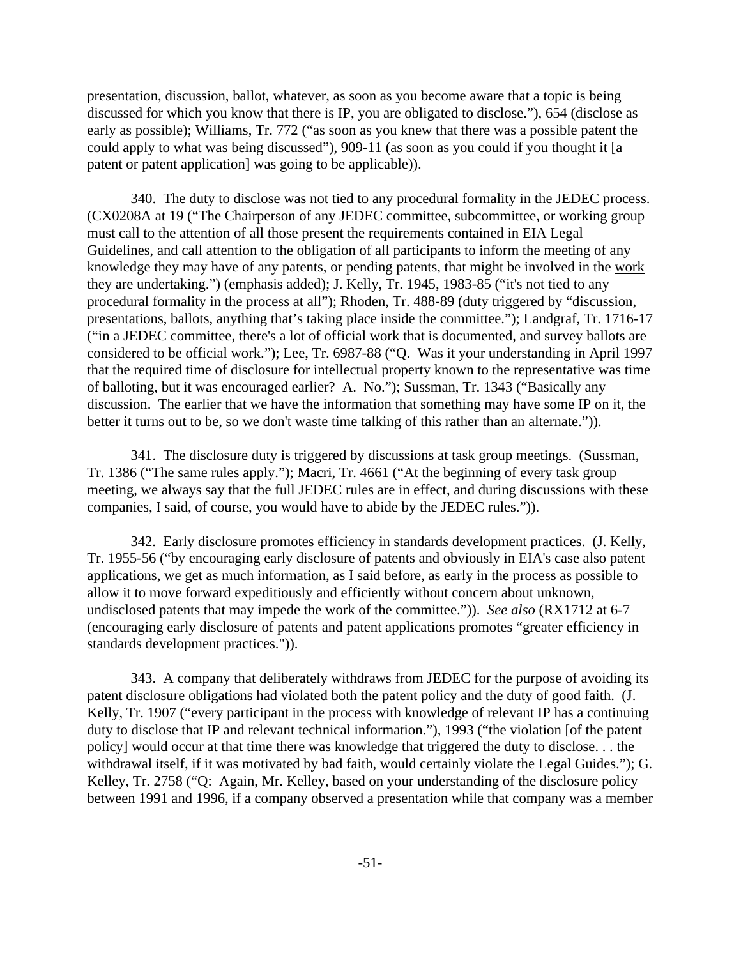presentation, discussion, ballot, whatever, as soon as you become aware that a topic is being discussed for which you know that there is IP, you are obligated to disclose."), 654 (disclose as early as possible); Williams, Tr. 772 ("as soon as you knew that there was a possible patent the could apply to what was being discussed"), 909-11 (as soon as you could if you thought it [a patent or patent application] was going to be applicable)).

340. The duty to disclose was not tied to any procedural formality in the JEDEC process. (CX0208A at 19 ("The Chairperson of any JEDEC committee, subcommittee, or working group must call to the attention of all those present the requirements contained in EIA Legal Guidelines, and call attention to the obligation of all participants to inform the meeting of any knowledge they may have of any patents, or pending patents, that might be involved in the work they are undertaking.") (emphasis added); J. Kelly, Tr. 1945, 1983-85 ("it's not tied to any procedural formality in the process at all"); Rhoden, Tr. 488-89 (duty triggered by "discussion, presentations, ballots, anything that's taking place inside the committee."); Landgraf, Tr. 1716-17 ("in a JEDEC committee, there's a lot of official work that is documented, and survey ballots are considered to be official work."); Lee, Tr. 6987-88 ("Q. Was it your understanding in April 1997 that the required time of disclosure for intellectual property known to the representative was time of balloting, but it was encouraged earlier? A. No."); Sussman, Tr. 1343 ("Basically any discussion. The earlier that we have the information that something may have some IP on it, the better it turns out to be, so we don't waste time talking of this rather than an alternate.")).

341. The disclosure duty is triggered by discussions at task group meetings. (Sussman, Tr. 1386 ("The same rules apply."); Macri, Tr. 4661 ("At the beginning of every task group meeting, we always say that the full JEDEC rules are in effect, and during discussions with these companies, I said, of course, you would have to abide by the JEDEC rules.")).

342. Early disclosure promotes efficiency in standards development practices. (J. Kelly, Tr. 1955-56 ("by encouraging early disclosure of patents and obviously in EIA's case also patent applications, we get as much information, as I said before, as early in the process as possible to allow it to move forward expeditiously and efficiently without concern about unknown, undisclosed patents that may impede the work of the committee.")). *See also* (RX1712 at 6-7 (encouraging early disclosure of patents and patent applications promotes "greater efficiency in standards development practices.")).

343. A company that deliberately withdraws from JEDEC for the purpose of avoiding its patent disclosure obligations had violated both the patent policy and the duty of good faith. (J. Kelly, Tr. 1907 ("every participant in the process with knowledge of relevant IP has a continuing duty to disclose that IP and relevant technical information."), 1993 ("the violation [of the patent policy] would occur at that time there was knowledge that triggered the duty to disclose. . . the withdrawal itself, if it was motivated by bad faith, would certainly violate the Legal Guides."); G. Kelley, Tr. 2758 ("Q: Again, Mr. Kelley, based on your understanding of the disclosure policy between 1991 and 1996, if a company observed a presentation while that company was a member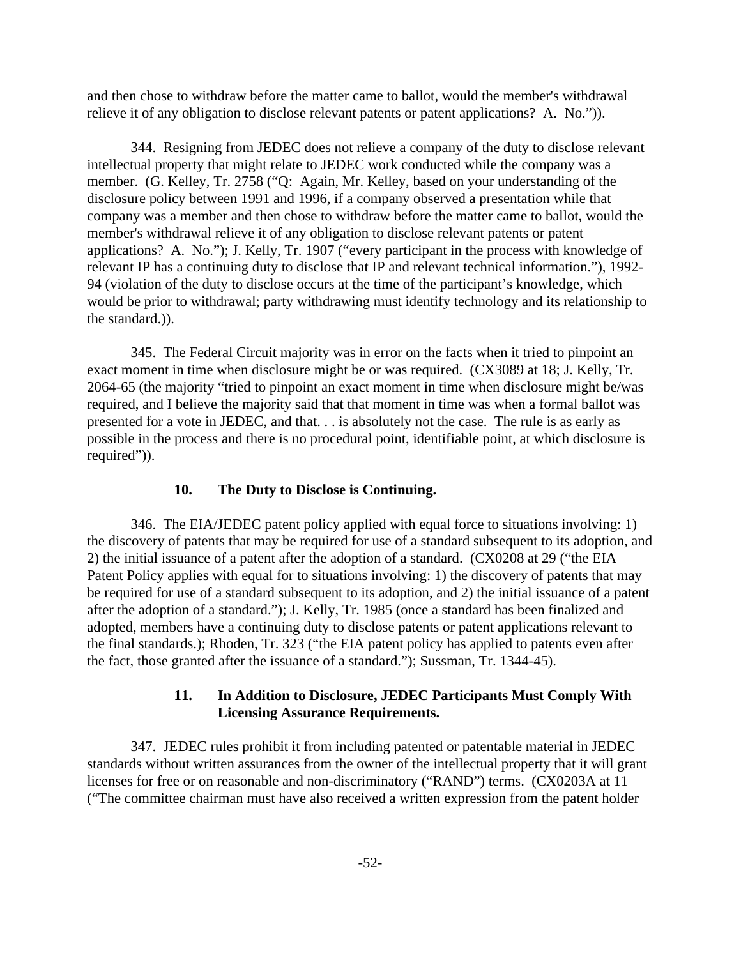and then chose to withdraw before the matter came to ballot, would the member's withdrawal relieve it of any obligation to disclose relevant patents or patent applications? A. No.")).

344. Resigning from JEDEC does not relieve a company of the duty to disclose relevant intellectual property that might relate to JEDEC work conducted while the company was a member. (G. Kelley, Tr. 2758 ("Q: Again, Mr. Kelley, based on your understanding of the disclosure policy between 1991 and 1996, if a company observed a presentation while that company was a member and then chose to withdraw before the matter came to ballot, would the member's withdrawal relieve it of any obligation to disclose relevant patents or patent applications? A. No."); J. Kelly, Tr. 1907 ("every participant in the process with knowledge of relevant IP has a continuing duty to disclose that IP and relevant technical information."), 1992- 94 (violation of the duty to disclose occurs at the time of the participant's knowledge, which would be prior to withdrawal; party withdrawing must identify technology and its relationship to the standard.)).

345. The Federal Circuit majority was in error on the facts when it tried to pinpoint an exact moment in time when disclosure might be or was required. (CX3089 at 18; J. Kelly, Tr. 2064-65 (the majority "tried to pinpoint an exact moment in time when disclosure might be/was required, and I believe the majority said that that moment in time was when a formal ballot was presented for a vote in JEDEC, and that. . . is absolutely not the case. The rule is as early as possible in the process and there is no procedural point, identifiable point, at which disclosure is required")).

#### **10. The Duty to Disclose is Continuing.**

346. The EIA/JEDEC patent policy applied with equal force to situations involving: 1) the discovery of patents that may be required for use of a standard subsequent to its adoption, and 2) the initial issuance of a patent after the adoption of a standard. (CX0208 at 29 ("the EIA Patent Policy applies with equal for to situations involving: 1) the discovery of patents that may be required for use of a standard subsequent to its adoption, and 2) the initial issuance of a patent after the adoption of a standard."); J. Kelly, Tr. 1985 (once a standard has been finalized and adopted, members have a continuing duty to disclose patents or patent applications relevant to the final standards.); Rhoden, Tr. 323 ("the EIA patent policy has applied to patents even after the fact, those granted after the issuance of a standard."); Sussman, Tr. 1344-45).

# **11. In Addition to Disclosure, JEDEC Participants Must Comply With Licensing Assurance Requirements.**

347. JEDEC rules prohibit it from including patented or patentable material in JEDEC standards without written assurances from the owner of the intellectual property that it will grant licenses for free or on reasonable and non-discriminatory ("RAND") terms. (CX0203A at 11 ("The committee chairman must have also received a written expression from the patent holder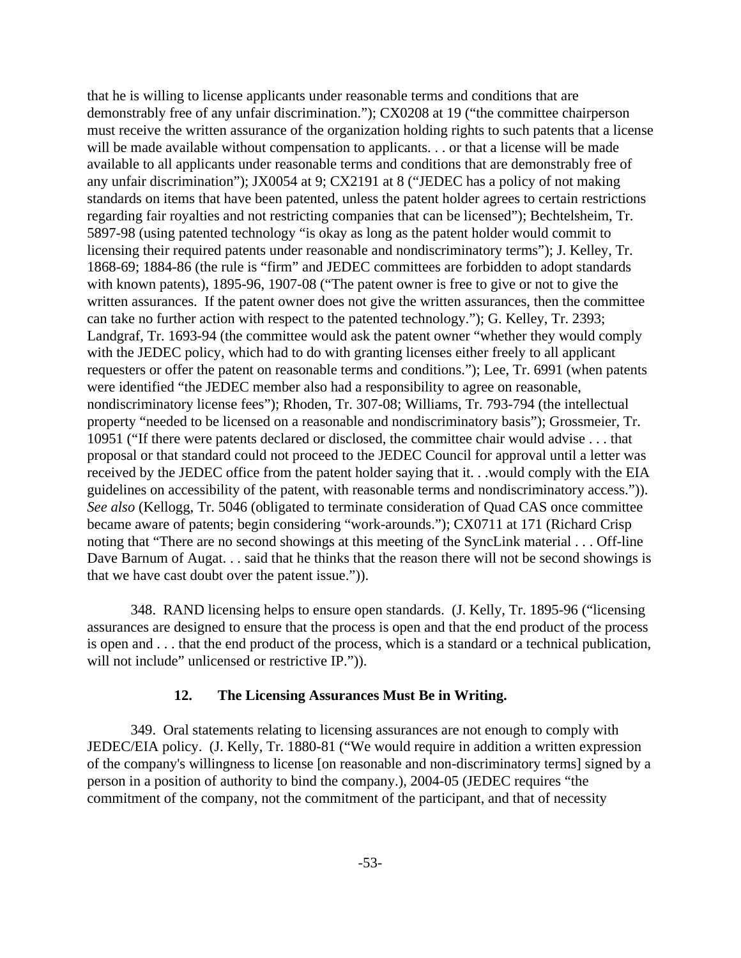that he is willing to license applicants under reasonable terms and conditions that are demonstrably free of any unfair discrimination."); CX0208 at 19 ("the committee chairperson must receive the written assurance of the organization holding rights to such patents that a license will be made available without compensation to applicants. . . or that a license will be made available to all applicants under reasonable terms and conditions that are demonstrably free of any unfair discrimination"); JX0054 at 9; CX2191 at 8 ("JEDEC has a policy of not making standards on items that have been patented, unless the patent holder agrees to certain restrictions regarding fair royalties and not restricting companies that can be licensed"); Bechtelsheim, Tr. 5897-98 (using patented technology "is okay as long as the patent holder would commit to licensing their required patents under reasonable and nondiscriminatory terms"); J. Kelley, Tr. 1868-69; 1884-86 (the rule is "firm" and JEDEC committees are forbidden to adopt standards with known patents), 1895-96, 1907-08 ("The patent owner is free to give or not to give the written assurances. If the patent owner does not give the written assurances, then the committee can take no further action with respect to the patented technology."); G. Kelley, Tr. 2393; Landgraf, Tr. 1693-94 (the committee would ask the patent owner "whether they would comply with the JEDEC policy, which had to do with granting licenses either freely to all applicant requesters or offer the patent on reasonable terms and conditions."); Lee, Tr. 6991 (when patents were identified "the JEDEC member also had a responsibility to agree on reasonable, nondiscriminatory license fees"); Rhoden, Tr. 307-08; Williams, Tr. 793-794 (the intellectual property "needed to be licensed on a reasonable and nondiscriminatory basis"); Grossmeier, Tr. 10951 ("If there were patents declared or disclosed, the committee chair would advise . . . that proposal or that standard could not proceed to the JEDEC Council for approval until a letter was received by the JEDEC office from the patent holder saying that it. . .would comply with the EIA guidelines on accessibility of the patent, with reasonable terms and nondiscriminatory access.")). *See also* (Kellogg, Tr. 5046 (obligated to terminate consideration of Quad CAS once committee became aware of patents; begin considering "work-arounds."); CX0711 at 171 (Richard Crisp noting that "There are no second showings at this meeting of the SyncLink material . . . Off-line Dave Barnum of Augat. . . said that he thinks that the reason there will not be second showings is that we have cast doubt over the patent issue.")).

348. RAND licensing helps to ensure open standards. (J. Kelly, Tr. 1895-96 ("licensing assurances are designed to ensure that the process is open and that the end product of the process is open and . . . that the end product of the process, which is a standard or a technical publication, will not include" unlicensed or restrictive IP.")).

#### **12. The Licensing Assurances Must Be in Writing.**

349. Oral statements relating to licensing assurances are not enough to comply with JEDEC/EIA policy. (J. Kelly, Tr. 1880-81 ("We would require in addition a written expression of the company's willingness to license [on reasonable and non-discriminatory terms] signed by a person in a position of authority to bind the company.), 2004-05 (JEDEC requires "the commitment of the company, not the commitment of the participant, and that of necessity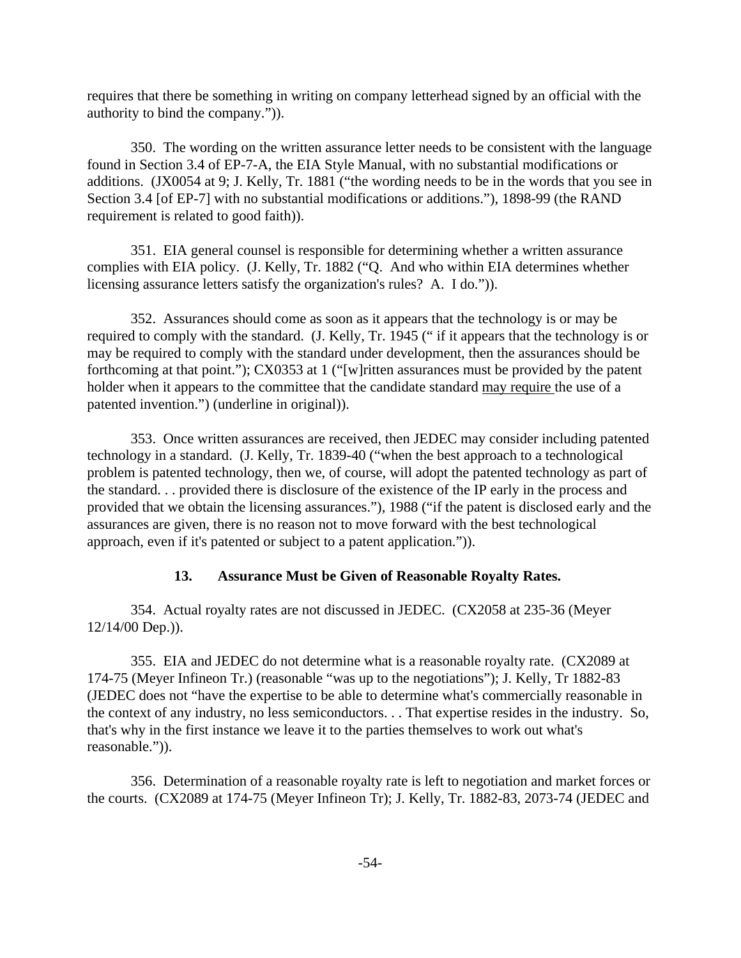requires that there be something in writing on company letterhead signed by an official with the authority to bind the company.")).

350. The wording on the written assurance letter needs to be consistent with the language found in Section 3.4 of EP-7-A, the EIA Style Manual, with no substantial modifications or additions. (JX0054 at 9; J. Kelly, Tr. 1881 ("the wording needs to be in the words that you see in Section 3.4 [of EP-7] with no substantial modifications or additions."), 1898-99 (the RAND requirement is related to good faith)).

351. EIA general counsel is responsible for determining whether a written assurance complies with EIA policy. (J. Kelly, Tr. 1882 ("Q. And who within EIA determines whether licensing assurance letters satisfy the organization's rules? A. I do.")).

352. Assurances should come as soon as it appears that the technology is or may be required to comply with the standard. (J. Kelly, Tr. 1945 (" if it appears that the technology is or may be required to comply with the standard under development, then the assurances should be forthcoming at that point."); CX0353 at 1 ("[w]ritten assurances must be provided by the patent holder when it appears to the committee that the candidate standard may require the use of a patented invention.") (underline in original)).

353. Once written assurances are received, then JEDEC may consider including patented technology in a standard. (J. Kelly, Tr. 1839-40 ("when the best approach to a technological problem is patented technology, then we, of course, will adopt the patented technology as part of the standard. . . provided there is disclosure of the existence of the IP early in the process and provided that we obtain the licensing assurances."), 1988 ("if the patent is disclosed early and the assurances are given, there is no reason not to move forward with the best technological approach, even if it's patented or subject to a patent application.")).

# **13. Assurance Must be Given of Reasonable Royalty Rates.**

354. Actual royalty rates are not discussed in JEDEC. (CX2058 at 235-36 (Meyer 12/14/00 Dep.)).

355. EIA and JEDEC do not determine what is a reasonable royalty rate. (CX2089 at 174-75 (Meyer Infineon Tr.) (reasonable "was up to the negotiations"); J. Kelly, Tr 1882-83 (JEDEC does not "have the expertise to be able to determine what's commercially reasonable in the context of any industry, no less semiconductors. . . That expertise resides in the industry. So, that's why in the first instance we leave it to the parties themselves to work out what's reasonable.")).

356. Determination of a reasonable royalty rate is left to negotiation and market forces or the courts. (CX2089 at 174-75 (Meyer Infineon Tr); J. Kelly, Tr. 1882-83, 2073-74 (JEDEC and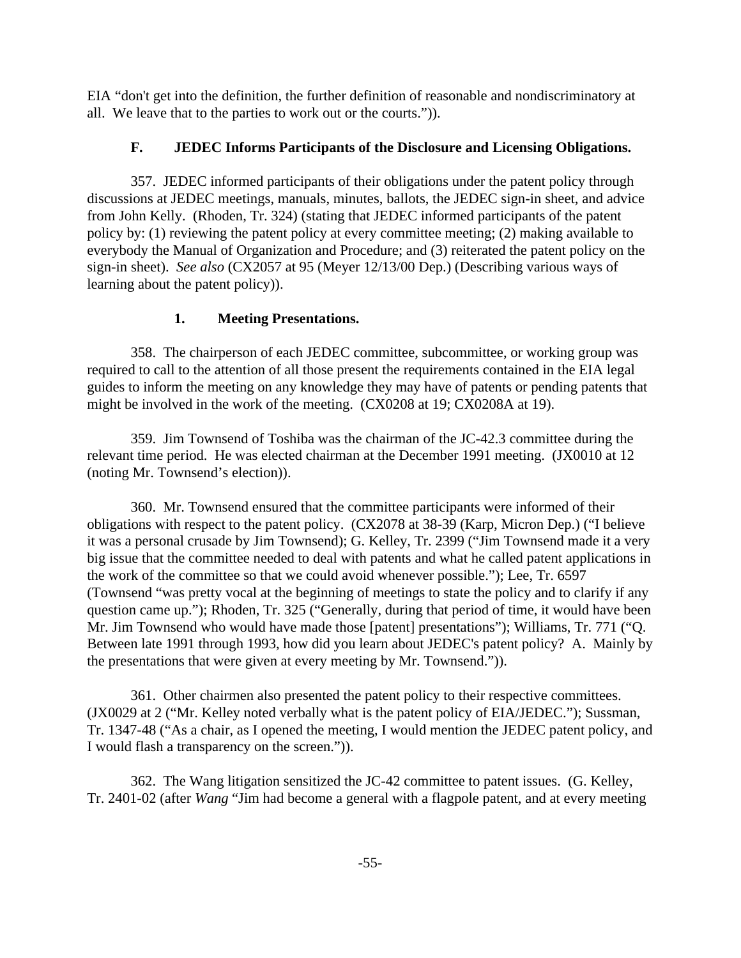EIA "don't get into the definition, the further definition of reasonable and nondiscriminatory at all. We leave that to the parties to work out or the courts.")).

# **F. JEDEC Informs Participants of the Disclosure and Licensing Obligations.**

357. JEDEC informed participants of their obligations under the patent policy through discussions at JEDEC meetings, manuals, minutes, ballots, the JEDEC sign-in sheet, and advice from John Kelly. (Rhoden, Tr. 324) (stating that JEDEC informed participants of the patent policy by: (1) reviewing the patent policy at every committee meeting; (2) making available to everybody the Manual of Organization and Procedure; and (3) reiterated the patent policy on the sign-in sheet). *See also* (CX2057 at 95 (Meyer 12/13/00 Dep.) (Describing various ways of learning about the patent policy)).

# **1. Meeting Presentations.**

358. The chairperson of each JEDEC committee, subcommittee, or working group was required to call to the attention of all those present the requirements contained in the EIA legal guides to inform the meeting on any knowledge they may have of patents or pending patents that might be involved in the work of the meeting. (CX0208 at 19; CX0208A at 19).

359. Jim Townsend of Toshiba was the chairman of the JC-42.3 committee during the relevant time period. He was elected chairman at the December 1991 meeting. (JX0010 at 12 (noting Mr. Townsend's election)).

360. Mr. Townsend ensured that the committee participants were informed of their obligations with respect to the patent policy. (CX2078 at 38-39 (Karp, Micron Dep.) ("I believe it was a personal crusade by Jim Townsend); G. Kelley, Tr. 2399 ("Jim Townsend made it a very big issue that the committee needed to deal with patents and what he called patent applications in the work of the committee so that we could avoid whenever possible."); Lee, Tr. 6597 (Townsend "was pretty vocal at the beginning of meetings to state the policy and to clarify if any question came up."); Rhoden, Tr. 325 ("Generally, during that period of time, it would have been Mr. Jim Townsend who would have made those [patent] presentations"); Williams, Tr. 771 ("Q. Between late 1991 through 1993, how did you learn about JEDEC's patent policy? A. Mainly by the presentations that were given at every meeting by Mr. Townsend.")).

361. Other chairmen also presented the patent policy to their respective committees. (JX0029 at 2 ("Mr. Kelley noted verbally what is the patent policy of EIA/JEDEC."); Sussman, Tr. 1347-48 ("As a chair, as I opened the meeting, I would mention the JEDEC patent policy, and I would flash a transparency on the screen.")).

362. The Wang litigation sensitized the JC-42 committee to patent issues. (G. Kelley, Tr. 2401-02 (after *Wang* "Jim had become a general with a flagpole patent, and at every meeting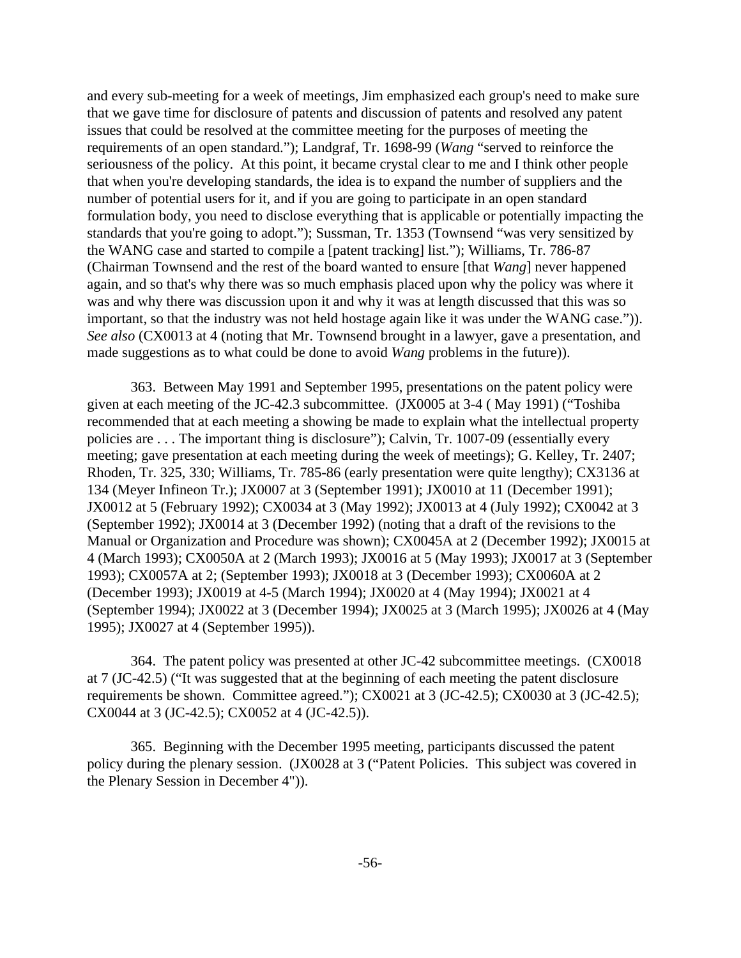and every sub-meeting for a week of meetings, Jim emphasized each group's need to make sure that we gave time for disclosure of patents and discussion of patents and resolved any patent issues that could be resolved at the committee meeting for the purposes of meeting the requirements of an open standard."); Landgraf, Tr. 1698-99 (*Wang* "served to reinforce the seriousness of the policy. At this point, it became crystal clear to me and I think other people that when you're developing standards, the idea is to expand the number of suppliers and the number of potential users for it, and if you are going to participate in an open standard formulation body, you need to disclose everything that is applicable or potentially impacting the standards that you're going to adopt."); Sussman, Tr. 1353 (Townsend "was very sensitized by the WANG case and started to compile a [patent tracking] list."); Williams, Tr. 786-87 (Chairman Townsend and the rest of the board wanted to ensure [that *Wang*] never happened again, and so that's why there was so much emphasis placed upon why the policy was where it was and why there was discussion upon it and why it was at length discussed that this was so important, so that the industry was not held hostage again like it was under the WANG case.")). *See also* (CX0013 at 4 (noting that Mr. Townsend brought in a lawyer, gave a presentation, and made suggestions as to what could be done to avoid *Wang* problems in the future)).

363. Between May 1991 and September 1995, presentations on the patent policy were given at each meeting of the JC-42.3 subcommittee. (JX0005 at 3-4 ( May 1991) ("Toshiba recommended that at each meeting a showing be made to explain what the intellectual property policies are . . . The important thing is disclosure"); Calvin, Tr. 1007-09 (essentially every meeting; gave presentation at each meeting during the week of meetings); G. Kelley, Tr. 2407; Rhoden, Tr. 325, 330; Williams, Tr. 785-86 (early presentation were quite lengthy); CX3136 at 134 (Meyer Infineon Tr.); JX0007 at 3 (September 1991); JX0010 at 11 (December 1991); JX0012 at 5 (February 1992); CX0034 at 3 (May 1992); JX0013 at 4 (July 1992); CX0042 at 3 (September 1992); JX0014 at 3 (December 1992) (noting that a draft of the revisions to the Manual or Organization and Procedure was shown); CX0045A at 2 (December 1992); JX0015 at 4 (March 1993); CX0050A at 2 (March 1993); JX0016 at 5 (May 1993); JX0017 at 3 (September 1993); CX0057A at 2; (September 1993); JX0018 at 3 (December 1993); CX0060A at 2 (December 1993); JX0019 at 4-5 (March 1994); JX0020 at 4 (May 1994); JX0021 at 4 (September 1994); JX0022 at 3 (December 1994); JX0025 at 3 (March 1995); JX0026 at 4 (May 1995); JX0027 at 4 (September 1995)).

364. The patent policy was presented at other JC-42 subcommittee meetings. (CX0018 at 7 (JC-42.5) ("It was suggested that at the beginning of each meeting the patent disclosure requirements be shown. Committee agreed."); CX0021 at 3 (JC-42.5); CX0030 at 3 (JC-42.5); CX0044 at 3 (JC-42.5); CX0052 at 4 (JC-42.5)).

365. Beginning with the December 1995 meeting, participants discussed the patent policy during the plenary session. (JX0028 at 3 ("Patent Policies. This subject was covered in the Plenary Session in December 4")).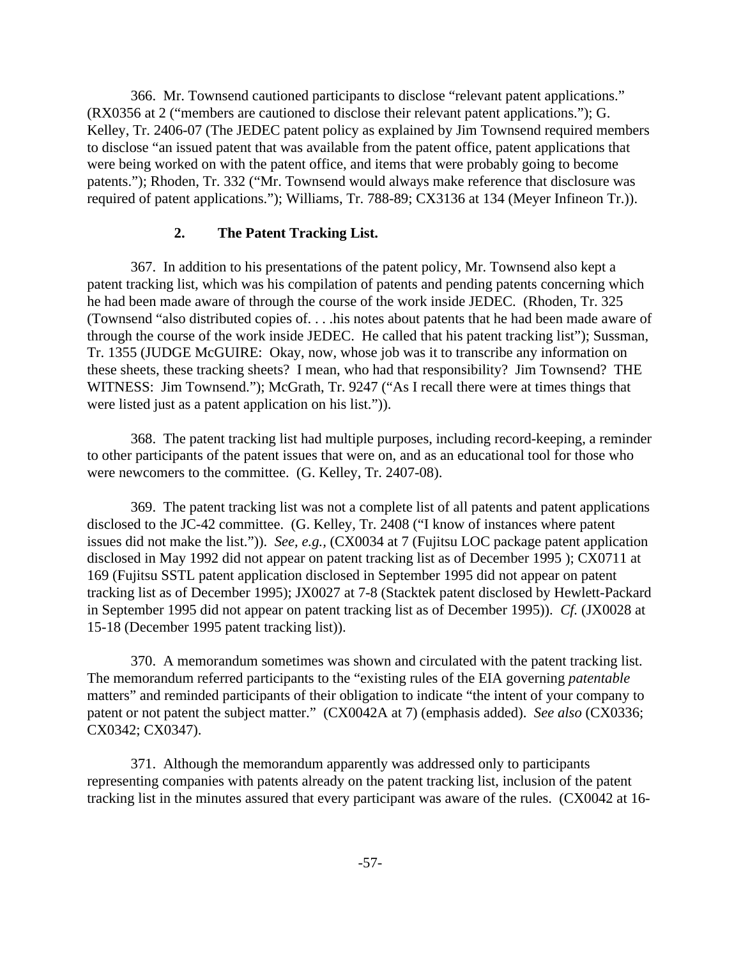366. Mr. Townsend cautioned participants to disclose "relevant patent applications." (RX0356 at 2 ("members are cautioned to disclose their relevant patent applications."); G. Kelley, Tr. 2406-07 (The JEDEC patent policy as explained by Jim Townsend required members to disclose "an issued patent that was available from the patent office, patent applications that were being worked on with the patent office, and items that were probably going to become patents."); Rhoden, Tr. 332 ("Mr. Townsend would always make reference that disclosure was required of patent applications."); Williams, Tr. 788-89; CX3136 at 134 (Meyer Infineon Tr.)).

# **2. The Patent Tracking List.**

367. In addition to his presentations of the patent policy, Mr. Townsend also kept a patent tracking list, which was his compilation of patents and pending patents concerning which he had been made aware of through the course of the work inside JEDEC. (Rhoden, Tr. 325 (Townsend "also distributed copies of. . . .his notes about patents that he had been made aware of through the course of the work inside JEDEC. He called that his patent tracking list"); Sussman, Tr. 1355 (JUDGE McGUIRE: Okay, now, whose job was it to transcribe any information on these sheets, these tracking sheets? I mean, who had that responsibility? Jim Townsend? THE WITNESS: Jim Townsend."); McGrath, Tr. 9247 ("As I recall there were at times things that were listed just as a patent application on his list.")).

368. The patent tracking list had multiple purposes, including record-keeping, a reminder to other participants of the patent issues that were on, and as an educational tool for those who were newcomers to the committee. (G. Kelley, Tr. 2407-08).

369. The patent tracking list was not a complete list of all patents and patent applications disclosed to the JC-42 committee. (G. Kelley, Tr. 2408 ("I know of instances where patent issues did not make the list.")). *See, e.g.,* (CX0034 at 7 (Fujitsu LOC package patent application disclosed in May 1992 did not appear on patent tracking list as of December 1995 ); CX0711 at 169 (Fujitsu SSTL patent application disclosed in September 1995 did not appear on patent tracking list as of December 1995); JX0027 at 7-8 (Stacktek patent disclosed by Hewlett-Packard in September 1995 did not appear on patent tracking list as of December 1995)). *Cf.* (JX0028 at 15-18 (December 1995 patent tracking list)).

370. A memorandum sometimes was shown and circulated with the patent tracking list. The memorandum referred participants to the "existing rules of the EIA governing *patentable* matters" and reminded participants of their obligation to indicate "the intent of your company to patent or not patent the subject matter." (CX0042A at 7) (emphasis added). *See also* (CX0336; CX0342; CX0347).

371. Although the memorandum apparently was addressed only to participants representing companies with patents already on the patent tracking list, inclusion of the patent tracking list in the minutes assured that every participant was aware of the rules. (CX0042 at 16-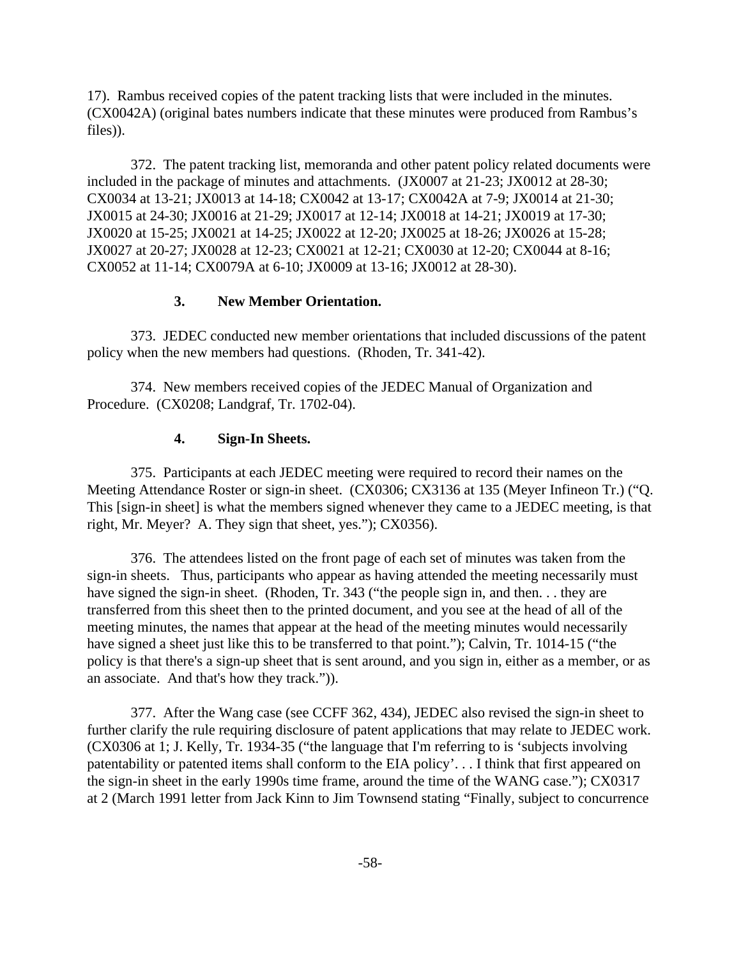17). Rambus received copies of the patent tracking lists that were included in the minutes. (CX0042A) (original bates numbers indicate that these minutes were produced from Rambus's files)).

372. The patent tracking list, memoranda and other patent policy related documents were included in the package of minutes and attachments. (JX0007 at 21-23; JX0012 at 28-30; CX0034 at 13-21; JX0013 at 14-18; CX0042 at 13-17; CX0042A at 7-9; JX0014 at 21-30; JX0015 at 24-30; JX0016 at 21-29; JX0017 at 12-14; JX0018 at 14-21; JX0019 at 17-30; JX0020 at 15-25; JX0021 at 14-25; JX0022 at 12-20; JX0025 at 18-26; JX0026 at 15-28; JX0027 at 20-27; JX0028 at 12-23; CX0021 at 12-21; CX0030 at 12-20; CX0044 at 8-16; CX0052 at 11-14; CX0079A at 6-10; JX0009 at 13-16; JX0012 at 28-30).

# **3. New Member Orientation.**

373. JEDEC conducted new member orientations that included discussions of the patent policy when the new members had questions. (Rhoden, Tr. 341-42).

374. New members received copies of the JEDEC Manual of Organization and Procedure. (CX0208; Landgraf, Tr. 1702-04).

## **4. Sign-In Sheets.**

375. Participants at each JEDEC meeting were required to record their names on the Meeting Attendance Roster or sign-in sheet. (CX0306; CX3136 at 135 (Meyer Infineon Tr.) ("Q. This [sign-in sheet] is what the members signed whenever they came to a JEDEC meeting, is that right, Mr. Meyer? A. They sign that sheet, yes."); CX0356).

376. The attendees listed on the front page of each set of minutes was taken from the sign-in sheets. Thus, participants who appear as having attended the meeting necessarily must have signed the sign-in sheet. (Rhoden, Tr. 343 ("the people sign in, and then. . . they are transferred from this sheet then to the printed document, and you see at the head of all of the meeting minutes, the names that appear at the head of the meeting minutes would necessarily have signed a sheet just like this to be transferred to that point."); Calvin, Tr. 1014-15 ("the policy is that there's a sign-up sheet that is sent around, and you sign in, either as a member, or as an associate. And that's how they track.")).

377. After the Wang case (see CCFF 362, 434), JEDEC also revised the sign-in sheet to further clarify the rule requiring disclosure of patent applications that may relate to JEDEC work. (CX0306 at 1; J. Kelly, Tr. 1934-35 ("the language that I'm referring to is 'subjects involving patentability or patented items shall conform to the EIA policy'. . . I think that first appeared on the sign-in sheet in the early 1990s time frame, around the time of the WANG case."); CX0317 at 2 (March 1991 letter from Jack Kinn to Jim Townsend stating "Finally, subject to concurrence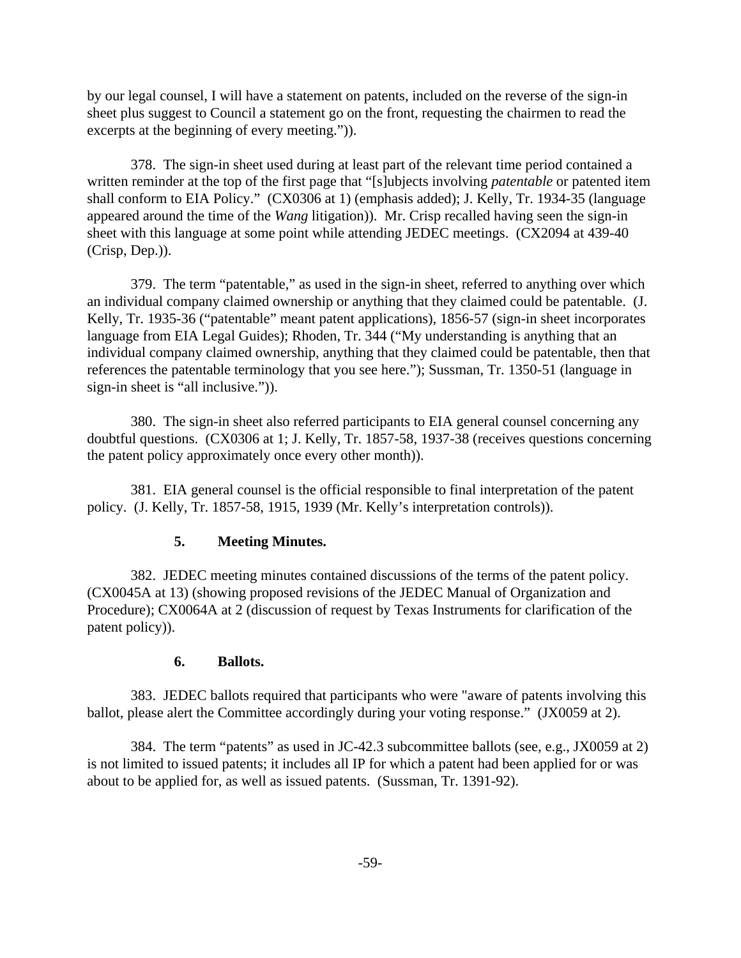by our legal counsel, I will have a statement on patents, included on the reverse of the sign-in sheet plus suggest to Council a statement go on the front, requesting the chairmen to read the excerpts at the beginning of every meeting.")).

378. The sign-in sheet used during at least part of the relevant time period contained a written reminder at the top of the first page that "[s]ubjects involving *patentable* or patented item shall conform to EIA Policy." (CX0306 at 1) (emphasis added); J. Kelly, Tr. 1934-35 (language appeared around the time of the *Wang* litigation)). Mr. Crisp recalled having seen the sign-in sheet with this language at some point while attending JEDEC meetings. (CX2094 at 439-40 (Crisp, Dep.)).

379. The term "patentable," as used in the sign-in sheet, referred to anything over which an individual company claimed ownership or anything that they claimed could be patentable. (J. Kelly, Tr. 1935-36 ("patentable" meant patent applications), 1856-57 (sign-in sheet incorporates language from EIA Legal Guides); Rhoden, Tr. 344 ("My understanding is anything that an individual company claimed ownership, anything that they claimed could be patentable, then that references the patentable terminology that you see here."); Sussman, Tr. 1350-51 (language in sign-in sheet is "all inclusive.")).

380. The sign-in sheet also referred participants to EIA general counsel concerning any doubtful questions. (CX0306 at 1; J. Kelly, Tr. 1857-58, 1937-38 (receives questions concerning the patent policy approximately once every other month)).

381. EIA general counsel is the official responsible to final interpretation of the patent policy. (J. Kelly, Tr. 1857-58, 1915, 1939 (Mr. Kelly's interpretation controls)).

## **5. Meeting Minutes.**

382. JEDEC meeting minutes contained discussions of the terms of the patent policy. (CX0045A at 13) (showing proposed revisions of the JEDEC Manual of Organization and Procedure); CX0064A at 2 (discussion of request by Texas Instruments for clarification of the patent policy)).

## **6. Ballots.**

383. JEDEC ballots required that participants who were "aware of patents involving this ballot, please alert the Committee accordingly during your voting response." (JX0059 at 2).

384. The term "patents" as used in JC-42.3 subcommittee ballots (see, e.g., JX0059 at 2) is not limited to issued patents; it includes all IP for which a patent had been applied for or was about to be applied for, as well as issued patents. (Sussman, Tr. 1391-92).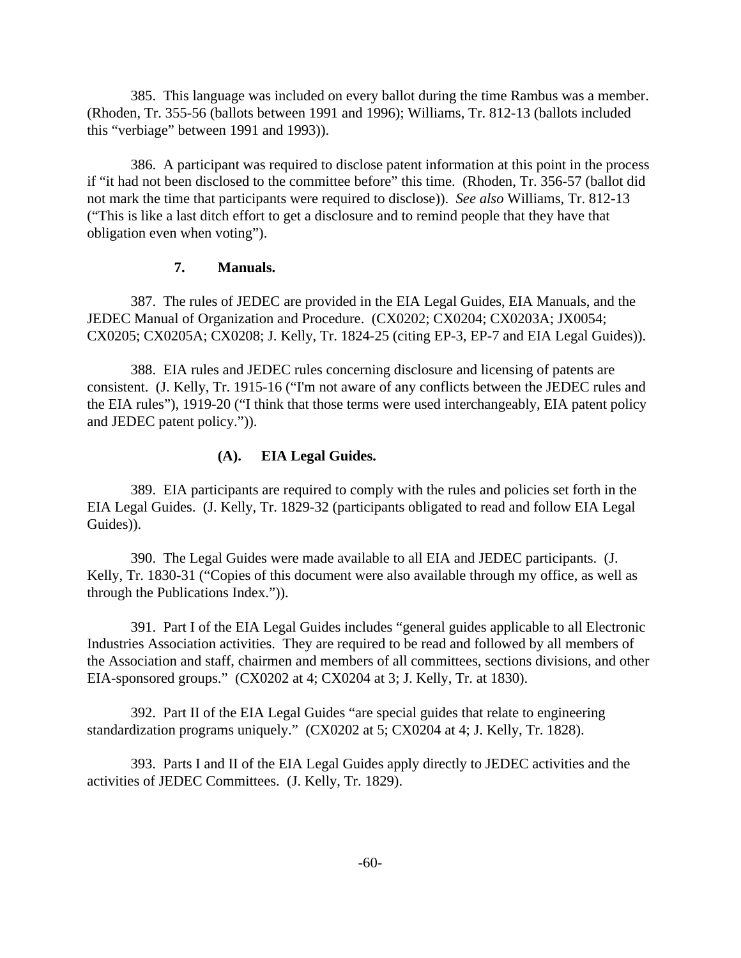385. This language was included on every ballot during the time Rambus was a member. (Rhoden, Tr. 355-56 (ballots between 1991 and 1996); Williams, Tr. 812-13 (ballots included this "verbiage" between 1991 and 1993)).

386. A participant was required to disclose patent information at this point in the process if "it had not been disclosed to the committee before" this time. (Rhoden, Tr. 356-57 (ballot did not mark the time that participants were required to disclose)). *See also* Williams, Tr. 812-13 ("This is like a last ditch effort to get a disclosure and to remind people that they have that obligation even when voting").

## **7. Manuals.**

387. The rules of JEDEC are provided in the EIA Legal Guides, EIA Manuals, and the JEDEC Manual of Organization and Procedure. (CX0202; CX0204; CX0203A; JX0054; CX0205; CX0205A; CX0208; J. Kelly, Tr. 1824-25 (citing EP-3, EP-7 and EIA Legal Guides)).

388. EIA rules and JEDEC rules concerning disclosure and licensing of patents are consistent. (J. Kelly, Tr. 1915-16 ("I'm not aware of any conflicts between the JEDEC rules and the EIA rules"), 1919-20 ("I think that those terms were used interchangeably, EIA patent policy and JEDEC patent policy.")).

# **(A). EIA Legal Guides.**

389. EIA participants are required to comply with the rules and policies set forth in the EIA Legal Guides. (J. Kelly, Tr. 1829-32 (participants obligated to read and follow EIA Legal Guides)).

390. The Legal Guides were made available to all EIA and JEDEC participants. (J. Kelly, Tr. 1830-31 ("Copies of this document were also available through my office, as well as through the Publications Index.")).

391. Part I of the EIA Legal Guides includes "general guides applicable to all Electronic Industries Association activities. They are required to be read and followed by all members of the Association and staff, chairmen and members of all committees, sections divisions, and other EIA-sponsored groups." (CX0202 at 4; CX0204 at 3; J. Kelly, Tr. at 1830).

392. Part II of the EIA Legal Guides "are special guides that relate to engineering standardization programs uniquely." (CX0202 at 5; CX0204 at 4; J. Kelly, Tr. 1828).

393. Parts I and II of the EIA Legal Guides apply directly to JEDEC activities and the activities of JEDEC Committees. (J. Kelly, Tr. 1829).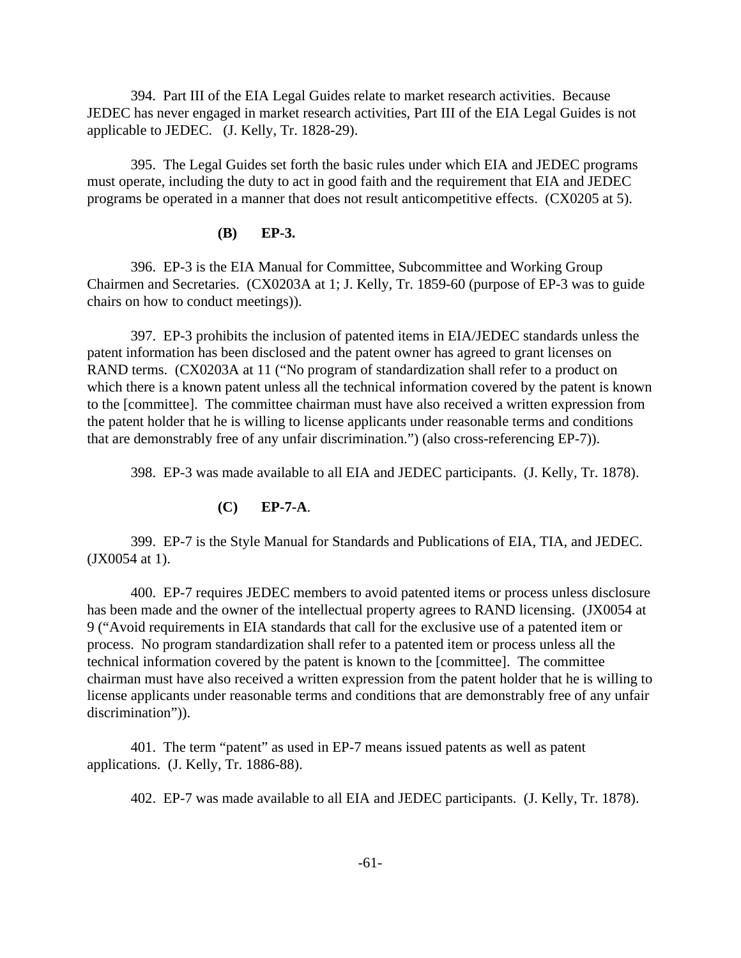394. Part III of the EIA Legal Guides relate to market research activities. Because JEDEC has never engaged in market research activities, Part III of the EIA Legal Guides is not applicable to JEDEC. (J. Kelly, Tr. 1828-29).

395. The Legal Guides set forth the basic rules under which EIA and JEDEC programs must operate, including the duty to act in good faith and the requirement that EIA and JEDEC programs be operated in a manner that does not result anticompetitive effects. (CX0205 at 5).

### **(B) EP-3.**

396. EP-3 is the EIA Manual for Committee, Subcommittee and Working Group Chairmen and Secretaries. (CX0203A at 1; J. Kelly, Tr. 1859-60 (purpose of EP-3 was to guide chairs on how to conduct meetings)).

397. EP-3 prohibits the inclusion of patented items in EIA/JEDEC standards unless the patent information has been disclosed and the patent owner has agreed to grant licenses on RAND terms. (CX0203A at 11 ("No program of standardization shall refer to a product on which there is a known patent unless all the technical information covered by the patent is known to the [committee]. The committee chairman must have also received a written expression from the patent holder that he is willing to license applicants under reasonable terms and conditions that are demonstrably free of any unfair discrimination.") (also cross-referencing EP-7)).

398. EP-3 was made available to all EIA and JEDEC participants. (J. Kelly, Tr. 1878).

## **(C) EP-7-A**.

399. EP-7 is the Style Manual for Standards and Publications of EIA, TIA, and JEDEC. (JX0054 at 1).

400. EP-7 requires JEDEC members to avoid patented items or process unless disclosure has been made and the owner of the intellectual property agrees to RAND licensing. (JX0054 at 9 ("Avoid requirements in EIA standards that call for the exclusive use of a patented item or process. No program standardization shall refer to a patented item or process unless all the technical information covered by the patent is known to the [committee]. The committee chairman must have also received a written expression from the patent holder that he is willing to license applicants under reasonable terms and conditions that are demonstrably free of any unfair discrimination")).

401. The term "patent" as used in EP-7 means issued patents as well as patent applications. (J. Kelly, Tr. 1886-88).

402. EP-7 was made available to all EIA and JEDEC participants. (J. Kelly, Tr. 1878).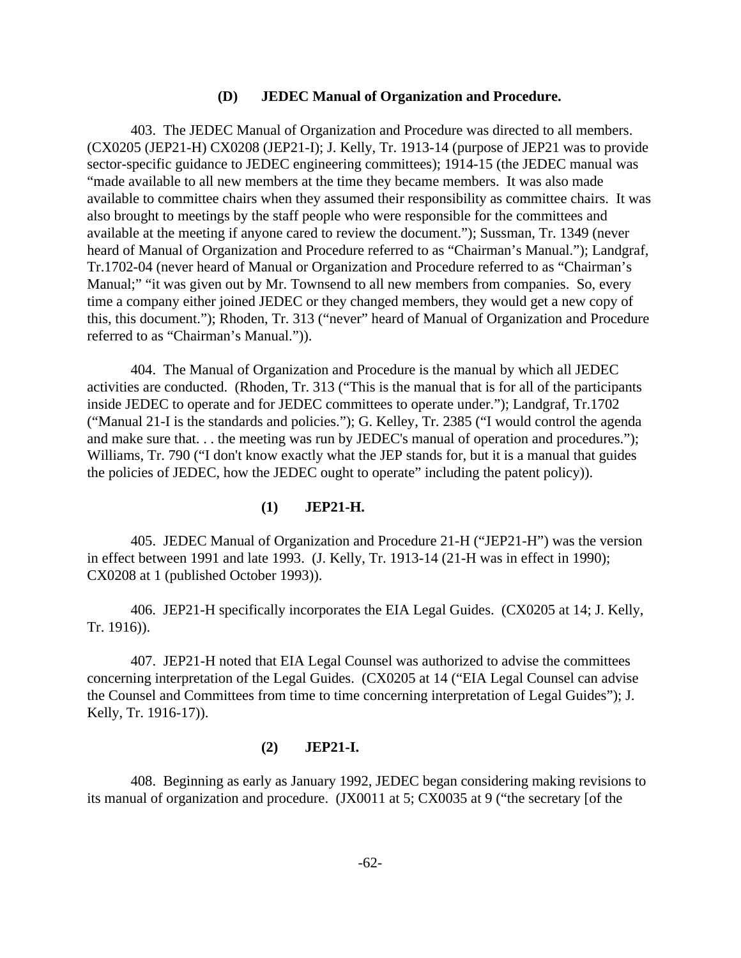#### **(D) JEDEC Manual of Organization and Procedure.**

403. The JEDEC Manual of Organization and Procedure was directed to all members. (CX0205 (JEP21-H) CX0208 (JEP21-I); J. Kelly, Tr. 1913-14 (purpose of JEP21 was to provide sector-specific guidance to JEDEC engineering committees); 1914-15 (the JEDEC manual was "made available to all new members at the time they became members. It was also made available to committee chairs when they assumed their responsibility as committee chairs. It was also brought to meetings by the staff people who were responsible for the committees and available at the meeting if anyone cared to review the document."); Sussman, Tr. 1349 (never heard of Manual of Organization and Procedure referred to as "Chairman's Manual."); Landgraf, Tr.1702-04 (never heard of Manual or Organization and Procedure referred to as "Chairman's Manual;" "it was given out by Mr. Townsend to all new members from companies. So, every time a company either joined JEDEC or they changed members, they would get a new copy of this, this document."); Rhoden, Tr. 313 ("never" heard of Manual of Organization and Procedure referred to as "Chairman's Manual.")).

404. The Manual of Organization and Procedure is the manual by which all JEDEC activities are conducted. (Rhoden, Tr. 313 ("This is the manual that is for all of the participants inside JEDEC to operate and for JEDEC committees to operate under."); Landgraf, Tr.1702 ("Manual 21-I is the standards and policies."); G. Kelley, Tr. 2385 ("I would control the agenda and make sure that. . . the meeting was run by JEDEC's manual of operation and procedures."); Williams, Tr. 790 ("I don't know exactly what the JEP stands for, but it is a manual that guides the policies of JEDEC, how the JEDEC ought to operate" including the patent policy)).

#### **(1) JEP21-H.**

405. JEDEC Manual of Organization and Procedure 21-H ("JEP21-H") was the version in effect between 1991 and late 1993. (J. Kelly, Tr. 1913-14 (21-H was in effect in 1990); CX0208 at 1 (published October 1993)).

406. JEP21-H specifically incorporates the EIA Legal Guides. (CX0205 at 14; J. Kelly, Tr. 1916)).

407. JEP21-H noted that EIA Legal Counsel was authorized to advise the committees concerning interpretation of the Legal Guides. (CX0205 at 14 ("EIA Legal Counsel can advise the Counsel and Committees from time to time concerning interpretation of Legal Guides"); J. Kelly, Tr. 1916-17)).

#### **(2) JEP21-I.**

408. Beginning as early as January 1992, JEDEC began considering making revisions to its manual of organization and procedure. (JX0011 at 5; CX0035 at 9 ("the secretary [of the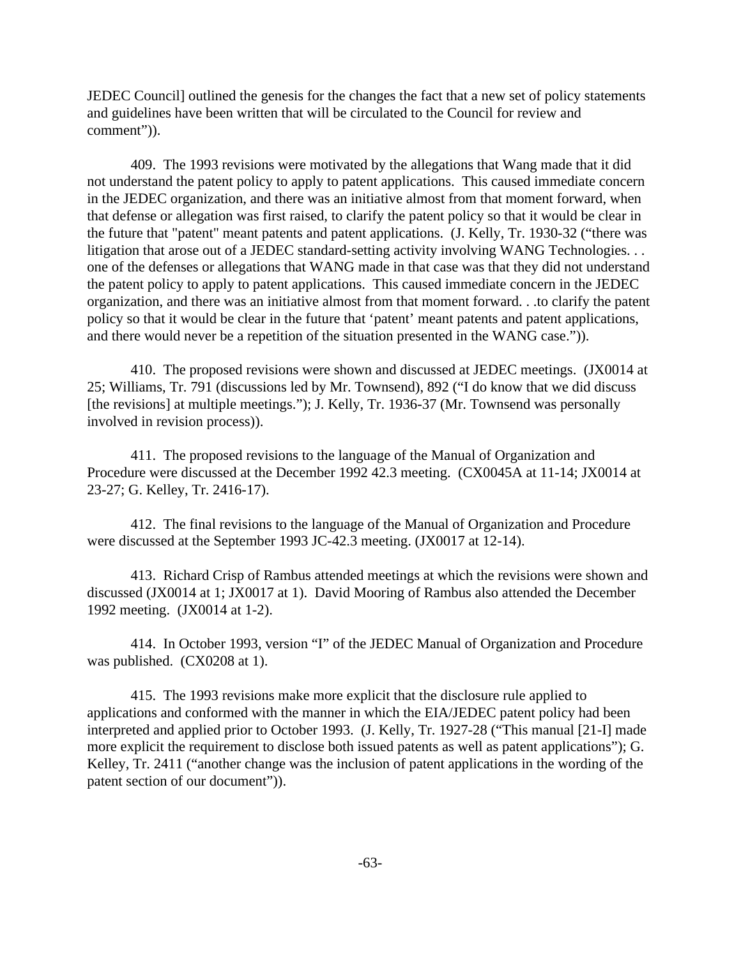JEDEC Council] outlined the genesis for the changes the fact that a new set of policy statements and guidelines have been written that will be circulated to the Council for review and comment")).

409. The 1993 revisions were motivated by the allegations that Wang made that it did not understand the patent policy to apply to patent applications. This caused immediate concern in the JEDEC organization, and there was an initiative almost from that moment forward, when that defense or allegation was first raised, to clarify the patent policy so that it would be clear in the future that "patent" meant patents and patent applications. (J. Kelly, Tr. 1930-32 ("there was litigation that arose out of a JEDEC standard-setting activity involving WANG Technologies. . . one of the defenses or allegations that WANG made in that case was that they did not understand the patent policy to apply to patent applications. This caused immediate concern in the JEDEC organization, and there was an initiative almost from that moment forward. . .to clarify the patent policy so that it would be clear in the future that 'patent' meant patents and patent applications, and there would never be a repetition of the situation presented in the WANG case.")).

410. The proposed revisions were shown and discussed at JEDEC meetings. (JX0014 at 25; Williams, Tr. 791 (discussions led by Mr. Townsend), 892 ("I do know that we did discuss [the revisions] at multiple meetings."); J. Kelly, Tr. 1936-37 (Mr. Townsend was personally involved in revision process)).

411. The proposed revisions to the language of the Manual of Organization and Procedure were discussed at the December 1992 42.3 meeting. (CX0045A at 11-14; JX0014 at 23-27; G. Kelley, Tr. 2416-17).

412. The final revisions to the language of the Manual of Organization and Procedure were discussed at the September 1993 JC-42.3 meeting. (JX0017 at 12-14).

413. Richard Crisp of Rambus attended meetings at which the revisions were shown and discussed (JX0014 at 1; JX0017 at 1). David Mooring of Rambus also attended the December 1992 meeting. (JX0014 at 1-2).

414. In October 1993, version "I" of the JEDEC Manual of Organization and Procedure was published. (CX0208 at 1).

415. The 1993 revisions make more explicit that the disclosure rule applied to applications and conformed with the manner in which the EIA/JEDEC patent policy had been interpreted and applied prior to October 1993. (J. Kelly, Tr. 1927-28 ("This manual [21-I] made more explicit the requirement to disclose both issued patents as well as patent applications"); G. Kelley, Tr. 2411 ("another change was the inclusion of patent applications in the wording of the patent section of our document")).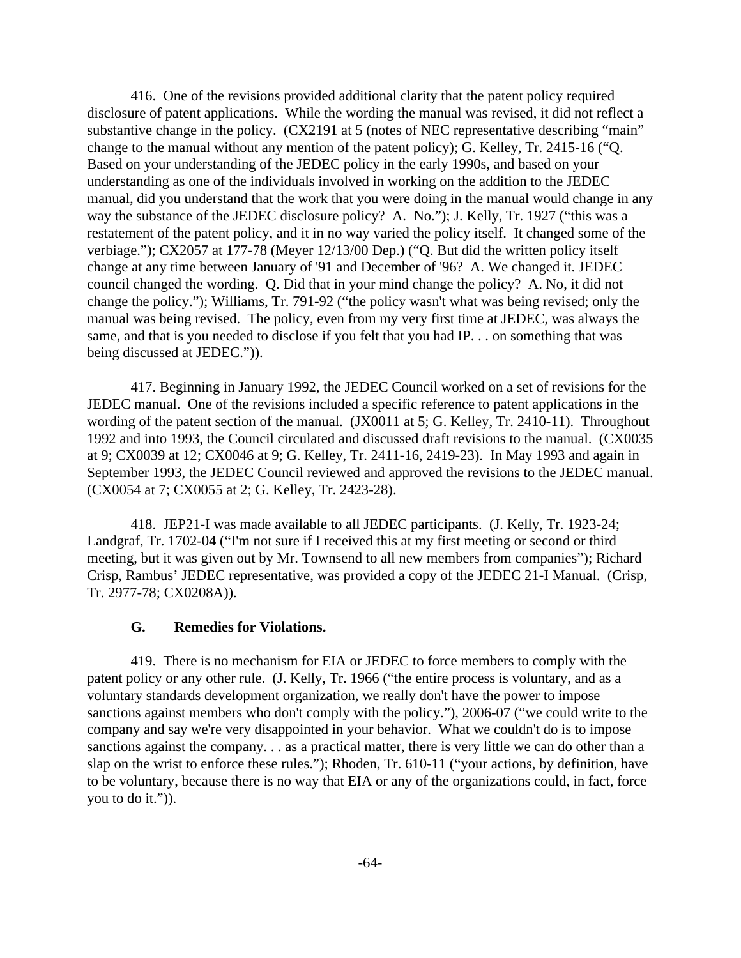416. One of the revisions provided additional clarity that the patent policy required disclosure of patent applications. While the wording the manual was revised, it did not reflect a substantive change in the policy. (CX2191 at 5 (notes of NEC representative describing "main" change to the manual without any mention of the patent policy); G. Kelley, Tr. 2415-16 ("Q. Based on your understanding of the JEDEC policy in the early 1990s, and based on your understanding as one of the individuals involved in working on the addition to the JEDEC manual, did you understand that the work that you were doing in the manual would change in any way the substance of the JEDEC disclosure policy? A. No."); J. Kelly, Tr. 1927 ("this was a restatement of the patent policy, and it in no way varied the policy itself. It changed some of the verbiage."); CX2057 at 177-78 (Meyer 12/13/00 Dep.) ("Q. But did the written policy itself change at any time between January of '91 and December of '96? A. We changed it. JEDEC council changed the wording. Q. Did that in your mind change the policy? A. No, it did not change the policy."); Williams, Tr. 791-92 ("the policy wasn't what was being revised; only the manual was being revised. The policy, even from my very first time at JEDEC, was always the same, and that is you needed to disclose if you felt that you had IP. . . on something that was being discussed at JEDEC.")).

417. Beginning in January 1992, the JEDEC Council worked on a set of revisions for the JEDEC manual. One of the revisions included a specific reference to patent applications in the wording of the patent section of the manual. (JX0011 at 5; G. Kelley, Tr. 2410-11). Throughout 1992 and into 1993, the Council circulated and discussed draft revisions to the manual. (CX0035 at 9; CX0039 at 12; CX0046 at 9; G. Kelley, Tr. 2411-16, 2419-23). In May 1993 and again in September 1993, the JEDEC Council reviewed and approved the revisions to the JEDEC manual. (CX0054 at 7; CX0055 at 2; G. Kelley, Tr. 2423-28).

418. JEP21-I was made available to all JEDEC participants. (J. Kelly, Tr. 1923-24; Landgraf, Tr. 1702-04 ("I'm not sure if I received this at my first meeting or second or third meeting, but it was given out by Mr. Townsend to all new members from companies"); Richard Crisp, Rambus' JEDEC representative, was provided a copy of the JEDEC 21-I Manual. (Crisp, Tr. 2977-78; CX0208A)).

### **G. Remedies for Violations.**

419. There is no mechanism for EIA or JEDEC to force members to comply with the patent policy or any other rule. (J. Kelly, Tr. 1966 ("the entire process is voluntary, and as a voluntary standards development organization, we really don't have the power to impose sanctions against members who don't comply with the policy."), 2006-07 ("we could write to the company and say we're very disappointed in your behavior. What we couldn't do is to impose sanctions against the company. . . as a practical matter, there is very little we can do other than a slap on the wrist to enforce these rules."); Rhoden, Tr. 610-11 ("your actions, by definition, have to be voluntary, because there is no way that EIA or any of the organizations could, in fact, force you to do it.")).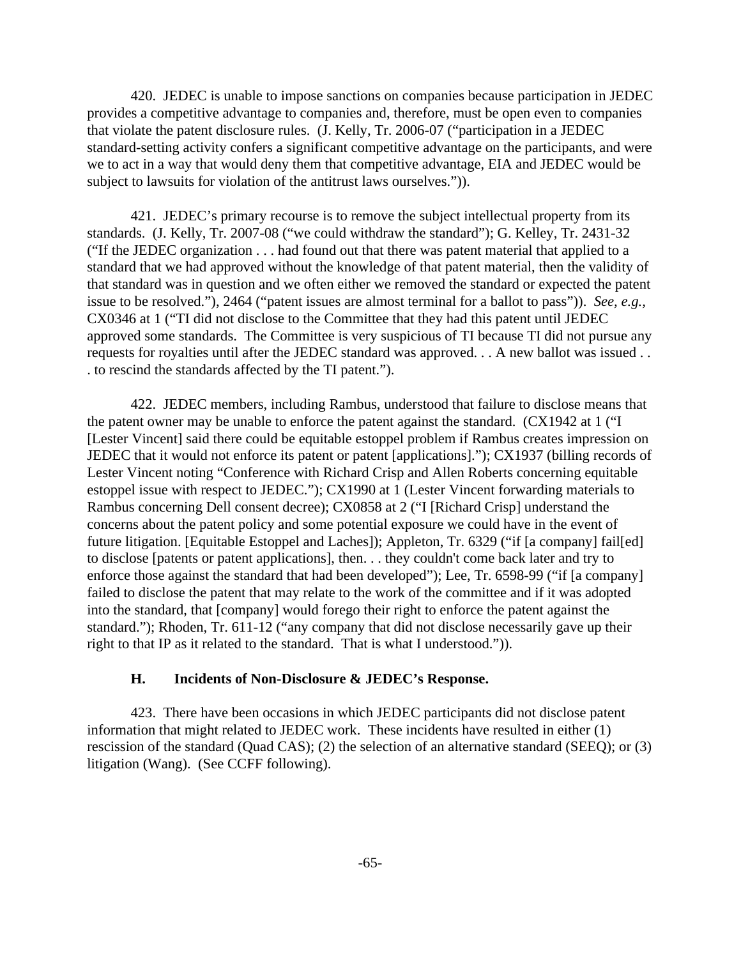420. JEDEC is unable to impose sanctions on companies because participation in JEDEC provides a competitive advantage to companies and, therefore, must be open even to companies that violate the patent disclosure rules. (J. Kelly, Tr. 2006-07 ("participation in a JEDEC standard-setting activity confers a significant competitive advantage on the participants, and were we to act in a way that would deny them that competitive advantage, EIA and JEDEC would be subject to lawsuits for violation of the antitrust laws ourselves.")).

421. JEDEC's primary recourse is to remove the subject intellectual property from its standards. (J. Kelly, Tr. 2007-08 ("we could withdraw the standard"); G. Kelley, Tr. 2431-32 ("If the JEDEC organization . . . had found out that there was patent material that applied to a standard that we had approved without the knowledge of that patent material, then the validity of that standard was in question and we often either we removed the standard or expected the patent issue to be resolved."), 2464 ("patent issues are almost terminal for a ballot to pass")). *See, e.g.,* CX0346 at 1 ("TI did not disclose to the Committee that they had this patent until JEDEC approved some standards. The Committee is very suspicious of TI because TI did not pursue any requests for royalties until after the JEDEC standard was approved. . . A new ballot was issued . . . to rescind the standards affected by the TI patent.").

422. JEDEC members, including Rambus, understood that failure to disclose means that the patent owner may be unable to enforce the patent against the standard. (CX1942 at 1 ("I [Lester Vincent] said there could be equitable estoppel problem if Rambus creates impression on JEDEC that it would not enforce its patent or patent [applications]."); CX1937 (billing records of Lester Vincent noting "Conference with Richard Crisp and Allen Roberts concerning equitable estoppel issue with respect to JEDEC."); CX1990 at 1 (Lester Vincent forwarding materials to Rambus concerning Dell consent decree); CX0858 at 2 ("I [Richard Crisp] understand the concerns about the patent policy and some potential exposure we could have in the event of future litigation. [Equitable Estoppel and Laches]); Appleton, Tr. 6329 ("if [a company] fail[ed] to disclose [patents or patent applications], then. . . they couldn't come back later and try to enforce those against the standard that had been developed"); Lee, Tr. 6598-99 ("if [a company] failed to disclose the patent that may relate to the work of the committee and if it was adopted into the standard, that [company] would forego their right to enforce the patent against the standard."); Rhoden, Tr. 611-12 ("any company that did not disclose necessarily gave up their right to that IP as it related to the standard. That is what I understood.")).

## **H. Incidents of Non-Disclosure & JEDEC's Response.**

423. There have been occasions in which JEDEC participants did not disclose patent information that might related to JEDEC work. These incidents have resulted in either (1) rescission of the standard (Quad CAS); (2) the selection of an alternative standard (SEEQ); or (3) litigation (Wang). (See CCFF following).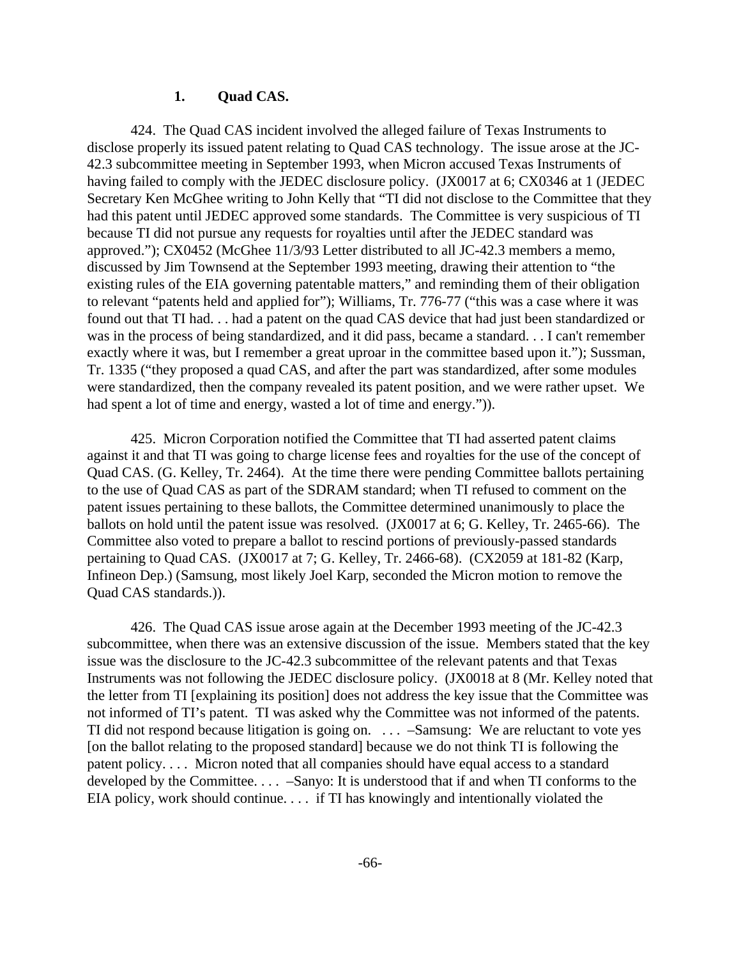#### **1. Quad CAS.**

424. The Quad CAS incident involved the alleged failure of Texas Instruments to disclose properly its issued patent relating to Quad CAS technology. The issue arose at the JC-42.3 subcommittee meeting in September 1993, when Micron accused Texas Instruments of having failed to comply with the JEDEC disclosure policy. (JX0017 at 6; CX0346 at 1 (JEDEC Secretary Ken McGhee writing to John Kelly that "TI did not disclose to the Committee that they had this patent until JEDEC approved some standards. The Committee is very suspicious of TI because TI did not pursue any requests for royalties until after the JEDEC standard was approved."); CX0452 (McGhee 11/3/93 Letter distributed to all JC-42.3 members a memo, discussed by Jim Townsend at the September 1993 meeting, drawing their attention to "the existing rules of the EIA governing patentable matters," and reminding them of their obligation to relevant "patents held and applied for"); Williams, Tr. 776-77 ("this was a case where it was found out that TI had. . . had a patent on the quad CAS device that had just been standardized or was in the process of being standardized, and it did pass, became a standard. . . I can't remember exactly where it was, but I remember a great uproar in the committee based upon it."); Sussman, Tr. 1335 ("they proposed a quad CAS, and after the part was standardized, after some modules were standardized, then the company revealed its patent position, and we were rather upset. We had spent a lot of time and energy, wasted a lot of time and energy.")).

425. Micron Corporation notified the Committee that TI had asserted patent claims against it and that TI was going to charge license fees and royalties for the use of the concept of Quad CAS. (G. Kelley, Tr. 2464). At the time there were pending Committee ballots pertaining to the use of Quad CAS as part of the SDRAM standard; when TI refused to comment on the patent issues pertaining to these ballots, the Committee determined unanimously to place the ballots on hold until the patent issue was resolved. (JX0017 at 6; G. Kelley, Tr. 2465-66). The Committee also voted to prepare a ballot to rescind portions of previously-passed standards pertaining to Quad CAS. (JX0017 at 7; G. Kelley, Tr. 2466-68). (CX2059 at 181-82 (Karp, Infineon Dep.) (Samsung, most likely Joel Karp, seconded the Micron motion to remove the Quad CAS standards.)).

426. The Quad CAS issue arose again at the December 1993 meeting of the JC-42.3 subcommittee, when there was an extensive discussion of the issue. Members stated that the key issue was the disclosure to the JC-42.3 subcommittee of the relevant patents and that Texas Instruments was not following the JEDEC disclosure policy. (JX0018 at 8 (Mr. Kelley noted that the letter from TI [explaining its position] does not address the key issue that the Committee was not informed of TI's patent. TI was asked why the Committee was not informed of the patents. TI did not respond because litigation is going on. . . . –Samsung: We are reluctant to vote yes [on the ballot relating to the proposed standard] because we do not think TI is following the patent policy. . . . Micron noted that all companies should have equal access to a standard developed by the Committee. . . . –Sanyo: It is understood that if and when TI conforms to the EIA policy, work should continue. . . . if TI has knowingly and intentionally violated the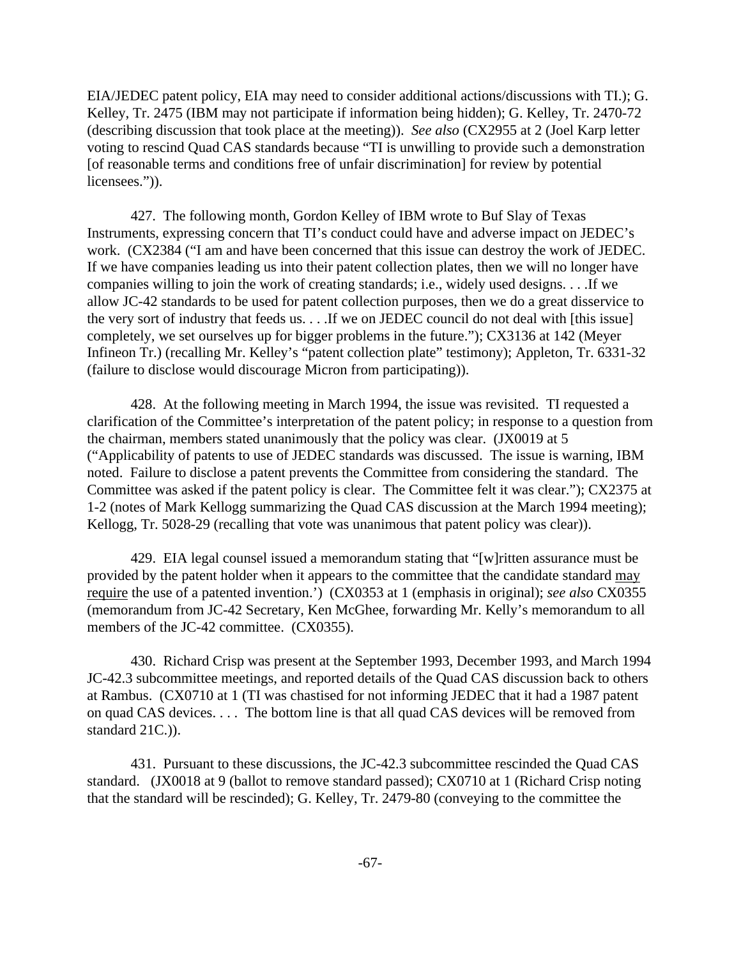EIA/JEDEC patent policy, EIA may need to consider additional actions/discussions with TI.); G. Kelley, Tr. 2475 (IBM may not participate if information being hidden); G. Kelley, Tr. 2470-72 (describing discussion that took place at the meeting)). *See also* (CX2955 at 2 (Joel Karp letter voting to rescind Quad CAS standards because "TI is unwilling to provide such a demonstration [of reasonable terms and conditions free of unfair discrimination] for review by potential licensees.")).

427. The following month, Gordon Kelley of IBM wrote to Buf Slay of Texas Instruments, expressing concern that TI's conduct could have and adverse impact on JEDEC's work. (CX2384 ("I am and have been concerned that this issue can destroy the work of JEDEC. If we have companies leading us into their patent collection plates, then we will no longer have companies willing to join the work of creating standards; i.e., widely used designs. . . .If we allow JC-42 standards to be used for patent collection purposes, then we do a great disservice to the very sort of industry that feeds us. . . .If we on JEDEC council do not deal with [this issue] completely, we set ourselves up for bigger problems in the future."); CX3136 at 142 (Meyer Infineon Tr.) (recalling Mr. Kelley's "patent collection plate" testimony); Appleton, Tr. 6331-32 (failure to disclose would discourage Micron from participating)).

428. At the following meeting in March 1994, the issue was revisited. TI requested a clarification of the Committee's interpretation of the patent policy; in response to a question from the chairman, members stated unanimously that the policy was clear. (JX0019 at 5 ("Applicability of patents to use of JEDEC standards was discussed. The issue is warning, IBM noted. Failure to disclose a patent prevents the Committee from considering the standard. The Committee was asked if the patent policy is clear. The Committee felt it was clear."); CX2375 at 1-2 (notes of Mark Kellogg summarizing the Quad CAS discussion at the March 1994 meeting); Kellogg, Tr. 5028-29 (recalling that vote was unanimous that patent policy was clear)).

429. EIA legal counsel issued a memorandum stating that "[w]ritten assurance must be provided by the patent holder when it appears to the committee that the candidate standard may require the use of a patented invention.') (CX0353 at 1 (emphasis in original); *see also* CX0355 (memorandum from JC-42 Secretary, Ken McGhee, forwarding Mr. Kelly's memorandum to all members of the JC-42 committee. (CX0355).

430. Richard Crisp was present at the September 1993, December 1993, and March 1994 JC-42.3 subcommittee meetings, and reported details of the Quad CAS discussion back to others at Rambus. (CX0710 at 1 (TI was chastised for not informing JEDEC that it had a 1987 patent on quad CAS devices. . . . The bottom line is that all quad CAS devices will be removed from standard 21C.)).

431. Pursuant to these discussions, the JC-42.3 subcommittee rescinded the Quad CAS standard. (JX0018 at 9 (ballot to remove standard passed); CX0710 at 1 (Richard Crisp noting that the standard will be rescinded); G. Kelley, Tr. 2479-80 (conveying to the committee the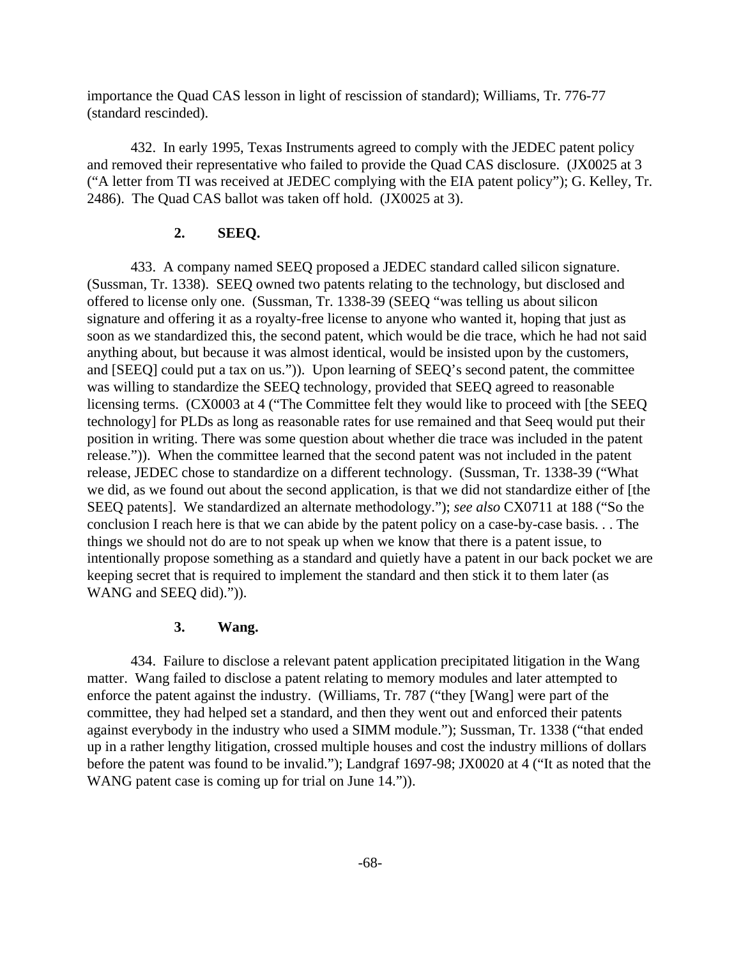importance the Quad CAS lesson in light of rescission of standard); Williams, Tr. 776-77 (standard rescinded).

432. In early 1995, Texas Instruments agreed to comply with the JEDEC patent policy and removed their representative who failed to provide the Quad CAS disclosure. (JX0025 at 3 ("A letter from TI was received at JEDEC complying with the EIA patent policy"); G. Kelley, Tr. 2486). The Quad CAS ballot was taken off hold. (JX0025 at 3).

### **2. SEEQ.**

433. A company named SEEQ proposed a JEDEC standard called silicon signature. (Sussman, Tr. 1338). SEEQ owned two patents relating to the technology, but disclosed and offered to license only one. (Sussman, Tr. 1338-39 (SEEQ "was telling us about silicon signature and offering it as a royalty-free license to anyone who wanted it, hoping that just as soon as we standardized this, the second patent, which would be die trace, which he had not said anything about, but because it was almost identical, would be insisted upon by the customers, and [SEEQ] could put a tax on us.")). Upon learning of SEEQ's second patent, the committee was willing to standardize the SEEQ technology, provided that SEEQ agreed to reasonable licensing terms. (CX0003 at 4 ("The Committee felt they would like to proceed with [the SEEQ technology] for PLDs as long as reasonable rates for use remained and that Seeq would put their position in writing. There was some question about whether die trace was included in the patent release.")). When the committee learned that the second patent was not included in the patent release, JEDEC chose to standardize on a different technology. (Sussman, Tr. 1338-39 ("What we did, as we found out about the second application, is that we did not standardize either of [the SEEQ patents]. We standardized an alternate methodology."); *see also* CX0711 at 188 ("So the conclusion I reach here is that we can abide by the patent policy on a case-by-case basis. . . The things we should not do are to not speak up when we know that there is a patent issue, to intentionally propose something as a standard and quietly have a patent in our back pocket we are keeping secret that is required to implement the standard and then stick it to them later (as WANG and SEEQ did).")).

### **3. Wang.**

434. Failure to disclose a relevant patent application precipitated litigation in the Wang matter. Wang failed to disclose a patent relating to memory modules and later attempted to enforce the patent against the industry. (Williams, Tr. 787 ("they [Wang] were part of the committee, they had helped set a standard, and then they went out and enforced their patents against everybody in the industry who used a SIMM module."); Sussman, Tr. 1338 ("that ended up in a rather lengthy litigation, crossed multiple houses and cost the industry millions of dollars before the patent was found to be invalid."); Landgraf 1697-98; JX0020 at 4 ("It as noted that the WANG patent case is coming up for trial on June 14.").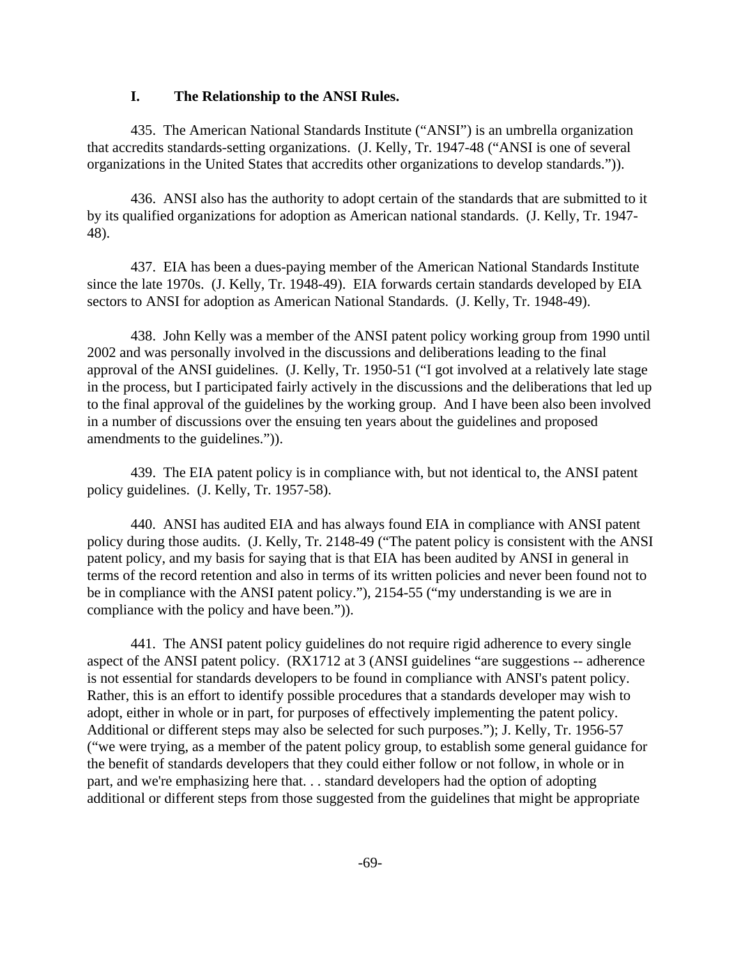### **I. The Relationship to the ANSI Rules.**

435. The American National Standards Institute ("ANSI") is an umbrella organization that accredits standards-setting organizations. (J. Kelly, Tr. 1947-48 ("ANSI is one of several organizations in the United States that accredits other organizations to develop standards.")).

436. ANSI also has the authority to adopt certain of the standards that are submitted to it by its qualified organizations for adoption as American national standards. (J. Kelly, Tr. 1947- 48).

437. EIA has been a dues-paying member of the American National Standards Institute since the late 1970s. (J. Kelly, Tr. 1948-49). EIA forwards certain standards developed by EIA sectors to ANSI for adoption as American National Standards. (J. Kelly, Tr. 1948-49).

438. John Kelly was a member of the ANSI patent policy working group from 1990 until 2002 and was personally involved in the discussions and deliberations leading to the final approval of the ANSI guidelines. (J. Kelly, Tr. 1950-51 ("I got involved at a relatively late stage in the process, but I participated fairly actively in the discussions and the deliberations that led up to the final approval of the guidelines by the working group. And I have been also been involved in a number of discussions over the ensuing ten years about the guidelines and proposed amendments to the guidelines.")).

439. The EIA patent policy is in compliance with, but not identical to, the ANSI patent policy guidelines. (J. Kelly, Tr. 1957-58).

440. ANSI has audited EIA and has always found EIA in compliance with ANSI patent policy during those audits. (J. Kelly, Tr. 2148-49 ("The patent policy is consistent with the ANSI patent policy, and my basis for saying that is that EIA has been audited by ANSI in general in terms of the record retention and also in terms of its written policies and never been found not to be in compliance with the ANSI patent policy."), 2154-55 ("my understanding is we are in compliance with the policy and have been.")).

441. The ANSI patent policy guidelines do not require rigid adherence to every single aspect of the ANSI patent policy. (RX1712 at 3 (ANSI guidelines "are suggestions -- adherence is not essential for standards developers to be found in compliance with ANSI's patent policy. Rather, this is an effort to identify possible procedures that a standards developer may wish to adopt, either in whole or in part, for purposes of effectively implementing the patent policy. Additional or different steps may also be selected for such purposes."); J. Kelly, Tr. 1956-57 ("we were trying, as a member of the patent policy group, to establish some general guidance for the benefit of standards developers that they could either follow or not follow, in whole or in part, and we're emphasizing here that. . . standard developers had the option of adopting additional or different steps from those suggested from the guidelines that might be appropriate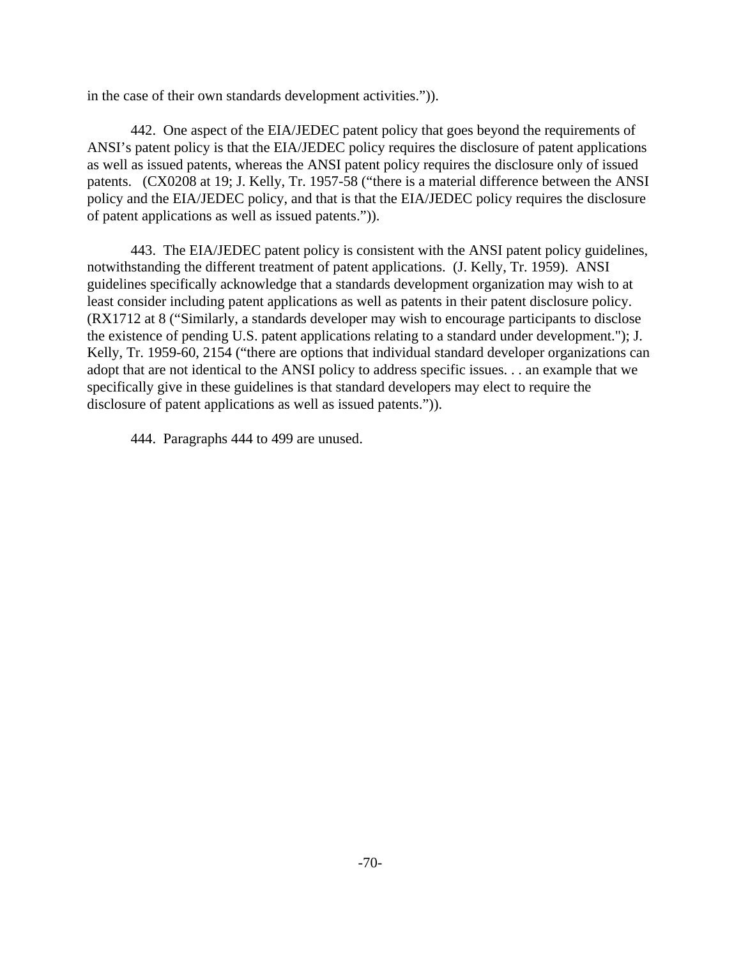in the case of their own standards development activities.")).

442. One aspect of the EIA/JEDEC patent policy that goes beyond the requirements of ANSI's patent policy is that the EIA/JEDEC policy requires the disclosure of patent applications as well as issued patents, whereas the ANSI patent policy requires the disclosure only of issued patents. (CX0208 at 19; J. Kelly, Tr. 1957-58 ("there is a material difference between the ANSI policy and the EIA/JEDEC policy, and that is that the EIA/JEDEC policy requires the disclosure of patent applications as well as issued patents.")).

443. The EIA/JEDEC patent policy is consistent with the ANSI patent policy guidelines, notwithstanding the different treatment of patent applications. (J. Kelly, Tr. 1959). ANSI guidelines specifically acknowledge that a standards development organization may wish to at least consider including patent applications as well as patents in their patent disclosure policy. (RX1712 at 8 ("Similarly, a standards developer may wish to encourage participants to disclose the existence of pending U.S. patent applications relating to a standard under development."); J. Kelly, Tr. 1959-60, 2154 ("there are options that individual standard developer organizations can adopt that are not identical to the ANSI policy to address specific issues. . . an example that we specifically give in these guidelines is that standard developers may elect to require the disclosure of patent applications as well as issued patents.")).

444. Paragraphs 444 to 499 are unused.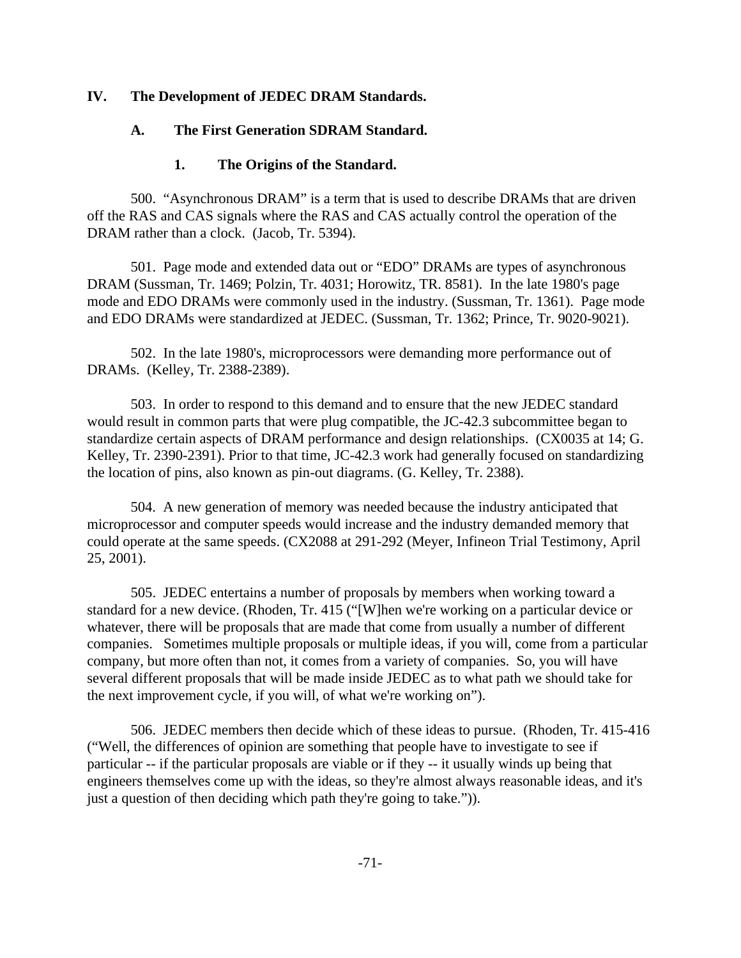# **IV. The Development of JEDEC DRAM Standards.**

# **A. The First Generation SDRAM Standard.**

# **1. The Origins of the Standard.**

500. "Asynchronous DRAM" is a term that is used to describe DRAMs that are driven off the RAS and CAS signals where the RAS and CAS actually control the operation of the DRAM rather than a clock. (Jacob, Tr. 5394).

501. Page mode and extended data out or "EDO" DRAMs are types of asynchronous DRAM (Sussman, Tr. 1469; Polzin, Tr. 4031; Horowitz, TR. 8581). In the late 1980's page mode and EDO DRAMs were commonly used in the industry. (Sussman, Tr. 1361). Page mode and EDO DRAMs were standardized at JEDEC. (Sussman, Tr. 1362; Prince, Tr. 9020-9021).

502. In the late 1980's, microprocessors were demanding more performance out of DRAMs. (Kelley, Tr. 2388-2389).

503. In order to respond to this demand and to ensure that the new JEDEC standard would result in common parts that were plug compatible, the JC-42.3 subcommittee began to standardize certain aspects of DRAM performance and design relationships. (CX0035 at 14; G. Kelley, Tr. 2390-2391). Prior to that time, JC-42.3 work had generally focused on standardizing the location of pins, also known as pin-out diagrams. (G. Kelley, Tr. 2388).

504. A new generation of memory was needed because the industry anticipated that microprocessor and computer speeds would increase and the industry demanded memory that could operate at the same speeds. (CX2088 at 291-292 (Meyer, Infineon Trial Testimony, April 25, 2001).

505. JEDEC entertains a number of proposals by members when working toward a standard for a new device. (Rhoden, Tr. 415 ("[W]hen we're working on a particular device or whatever, there will be proposals that are made that come from usually a number of different companies. Sometimes multiple proposals or multiple ideas, if you will, come from a particular company, but more often than not, it comes from a variety of companies. So, you will have several different proposals that will be made inside JEDEC as to what path we should take for the next improvement cycle, if you will, of what we're working on").

506. JEDEC members then decide which of these ideas to pursue. (Rhoden, Tr. 415-416 ("Well, the differences of opinion are something that people have to investigate to see if particular -- if the particular proposals are viable or if they -- it usually winds up being that engineers themselves come up with the ideas, so they're almost always reasonable ideas, and it's just a question of then deciding which path they're going to take.")).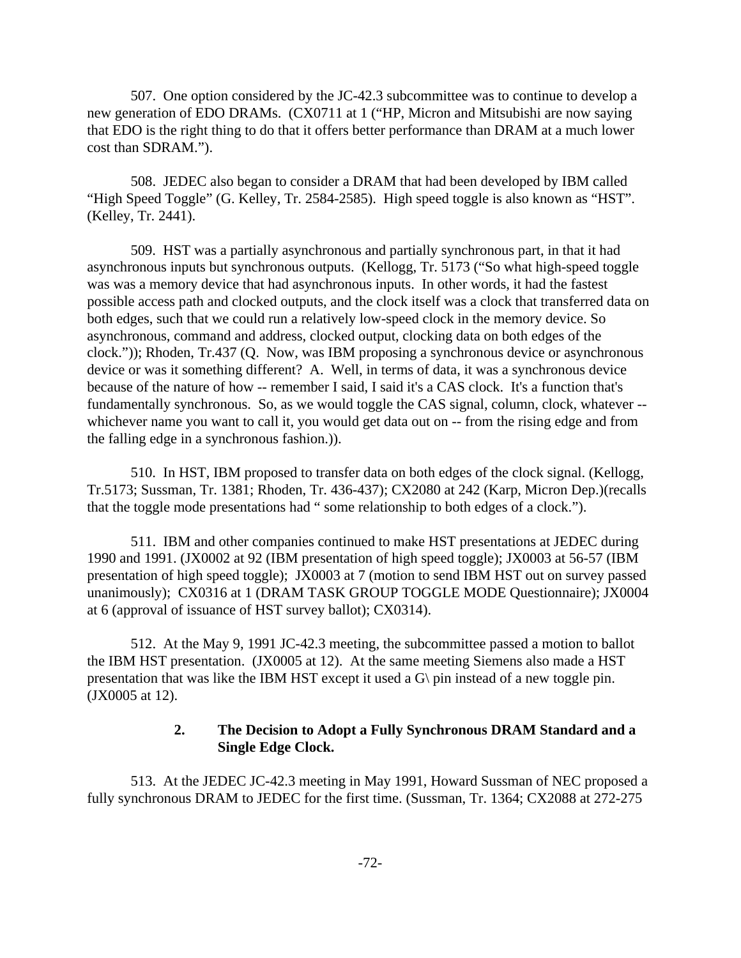507. One option considered by the JC-42.3 subcommittee was to continue to develop a new generation of EDO DRAMs. (CX0711 at 1 ("HP, Micron and Mitsubishi are now saying that EDO is the right thing to do that it offers better performance than DRAM at a much lower cost than SDRAM.").

508. JEDEC also began to consider a DRAM that had been developed by IBM called "High Speed Toggle" (G. Kelley, Tr. 2584-2585). High speed toggle is also known as "HST". (Kelley, Tr. 2441).

509. HST was a partially asynchronous and partially synchronous part, in that it had asynchronous inputs but synchronous outputs. (Kellogg, Tr. 5173 ("So what high-speed toggle was was a memory device that had asynchronous inputs. In other words, it had the fastest possible access path and clocked outputs, and the clock itself was a clock that transferred data on both edges, such that we could run a relatively low-speed clock in the memory device. So asynchronous, command and address, clocked output, clocking data on both edges of the clock.")); Rhoden, Tr.437 (Q. Now, was IBM proposing a synchronous device or asynchronous device or was it something different? A. Well, in terms of data, it was a synchronous device because of the nature of how -- remember I said, I said it's a CAS clock. It's a function that's fundamentally synchronous. So, as we would toggle the CAS signal, column, clock, whatever - whichever name you want to call it, you would get data out on -- from the rising edge and from the falling edge in a synchronous fashion.)).

510. In HST, IBM proposed to transfer data on both edges of the clock signal. (Kellogg, Tr.5173; Sussman, Tr. 1381; Rhoden, Tr. 436-437); CX2080 at 242 (Karp, Micron Dep.)(recalls that the toggle mode presentations had " some relationship to both edges of a clock.").

511. IBM and other companies continued to make HST presentations at JEDEC during 1990 and 1991. (JX0002 at 92 (IBM presentation of high speed toggle); JX0003 at 56-57 (IBM presentation of high speed toggle); JX0003 at 7 (motion to send IBM HST out on survey passed unanimously); CX0316 at 1 (DRAM TASK GROUP TOGGLE MODE Questionnaire); JX0004 at 6 (approval of issuance of HST survey ballot); CX0314).

512. At the May 9, 1991 JC-42.3 meeting, the subcommittee passed a motion to ballot the IBM HST presentation. (JX0005 at 12). At the same meeting Siemens also made a HST presentation that was like the IBM HST except it used a G\ pin instead of a new toggle pin. (JX0005 at 12).

## **2. The Decision to Adopt a Fully Synchronous DRAM Standard and a Single Edge Clock.**

513. At the JEDEC JC-42.3 meeting in May 1991, Howard Sussman of NEC proposed a fully synchronous DRAM to JEDEC for the first time. (Sussman, Tr. 1364; CX2088 at 272-275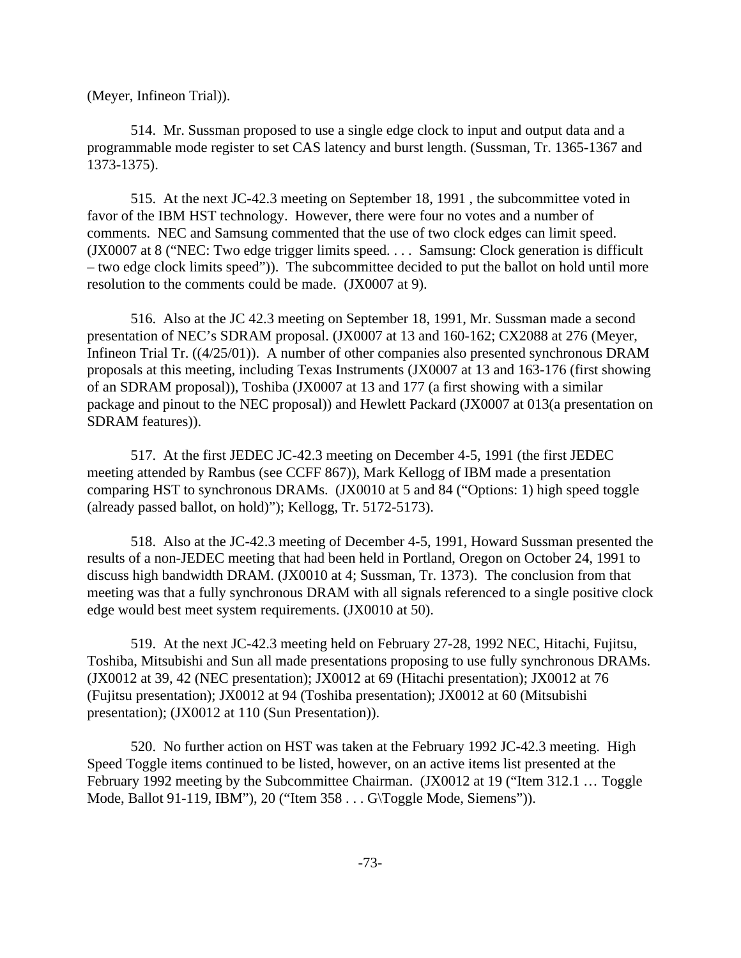(Meyer, Infineon Trial)).

514. Mr. Sussman proposed to use a single edge clock to input and output data and a programmable mode register to set CAS latency and burst length. (Sussman, Tr. 1365-1367 and 1373-1375).

515. At the next JC-42.3 meeting on September 18, 1991 , the subcommittee voted in favor of the IBM HST technology. However, there were four no votes and a number of comments. NEC and Samsung commented that the use of two clock edges can limit speed. (JX0007 at 8 ("NEC: Two edge trigger limits speed. . . . Samsung: Clock generation is difficult – two edge clock limits speed")). The subcommittee decided to put the ballot on hold until more resolution to the comments could be made. (JX0007 at 9).

516. Also at the JC 42.3 meeting on September 18, 1991, Mr. Sussman made a second presentation of NEC's SDRAM proposal. (JX0007 at 13 and 160-162; CX2088 at 276 (Meyer, Infineon Trial Tr. ((4/25/01)). A number of other companies also presented synchronous DRAM proposals at this meeting, including Texas Instruments (JX0007 at 13 and 163-176 (first showing of an SDRAM proposal)), Toshiba (JX0007 at 13 and 177 (a first showing with a similar package and pinout to the NEC proposal)) and Hewlett Packard (JX0007 at 013(a presentation on SDRAM features)).

517. At the first JEDEC JC-42.3 meeting on December 4-5, 1991 (the first JEDEC meeting attended by Rambus (see CCFF 867)), Mark Kellogg of IBM made a presentation comparing HST to synchronous DRAMs. (JX0010 at 5 and 84 ("Options: 1) high speed toggle (already passed ballot, on hold)"); Kellogg, Tr. 5172-5173).

518. Also at the JC-42.3 meeting of December 4-5, 1991, Howard Sussman presented the results of a non-JEDEC meeting that had been held in Portland, Oregon on October 24, 1991 to discuss high bandwidth DRAM. (JX0010 at 4; Sussman, Tr. 1373). The conclusion from that meeting was that a fully synchronous DRAM with all signals referenced to a single positive clock edge would best meet system requirements. (JX0010 at 50).

519. At the next JC-42.3 meeting held on February 27-28, 1992 NEC, Hitachi, Fujitsu, Toshiba, Mitsubishi and Sun all made presentations proposing to use fully synchronous DRAMs. (JX0012 at 39, 42 (NEC presentation); JX0012 at 69 (Hitachi presentation); JX0012 at 76 (Fujitsu presentation); JX0012 at 94 (Toshiba presentation); JX0012 at 60 (Mitsubishi presentation); (JX0012 at 110 (Sun Presentation)).

520. No further action on HST was taken at the February 1992 JC-42.3 meeting. High Speed Toggle items continued to be listed, however, on an active items list presented at the February 1992 meeting by the Subcommittee Chairman. (JX0012 at 19 ("Item 312.1 … Toggle Mode, Ballot 91-119, IBM"), 20 ("Item 358 . . . G\Toggle Mode, Siemens")).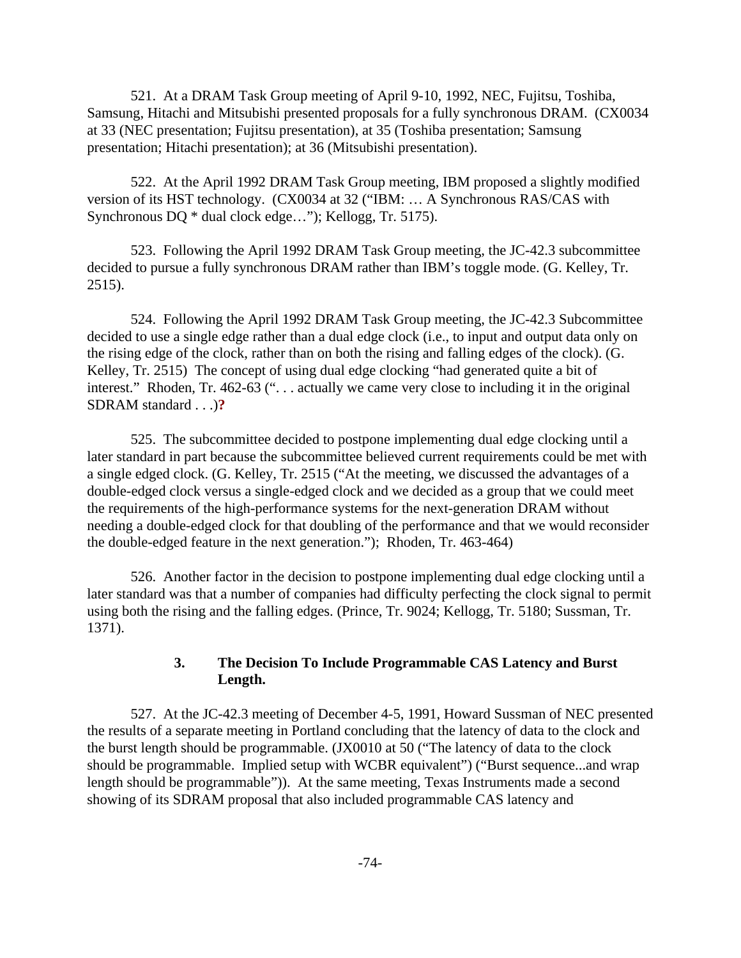521. At a DRAM Task Group meeting of April 9-10, 1992, NEC, Fujitsu, Toshiba, Samsung, Hitachi and Mitsubishi presented proposals for a fully synchronous DRAM. (CX0034 at 33 (NEC presentation; Fujitsu presentation), at 35 (Toshiba presentation; Samsung presentation; Hitachi presentation); at 36 (Mitsubishi presentation).

522. At the April 1992 DRAM Task Group meeting, IBM proposed a slightly modified version of its HST technology. (CX0034 at 32 ("IBM: … A Synchronous RAS/CAS with Synchronous DQ \* dual clock edge…"); Kellogg, Tr. 5175).

523. Following the April 1992 DRAM Task Group meeting, the JC-42.3 subcommittee decided to pursue a fully synchronous DRAM rather than IBM's toggle mode. (G. Kelley, Tr. 2515).

524. Following the April 1992 DRAM Task Group meeting, the JC-42.3 Subcommittee decided to use a single edge rather than a dual edge clock (i.e., to input and output data only on the rising edge of the clock, rather than on both the rising and falling edges of the clock). (G. Kelley, Tr. 2515) The concept of using dual edge clocking "had generated quite a bit of interest." Rhoden, Tr. 462-63 (". . . actually we came very close to including it in the original SDRAM standard . . .)**?** 

525. The subcommittee decided to postpone implementing dual edge clocking until a later standard in part because the subcommittee believed current requirements could be met with a single edged clock. (G. Kelley, Tr. 2515 ("At the meeting, we discussed the advantages of a double-edged clock versus a single-edged clock and we decided as a group that we could meet the requirements of the high-performance systems for the next-generation DRAM without needing a double-edged clock for that doubling of the performance and that we would reconsider the double-edged feature in the next generation."); Rhoden, Tr. 463-464)

526. Another factor in the decision to postpone implementing dual edge clocking until a later standard was that a number of companies had difficulty perfecting the clock signal to permit using both the rising and the falling edges. (Prince, Tr. 9024; Kellogg, Tr. 5180; Sussman, Tr. 1371).

# **3. The Decision To Include Programmable CAS Latency and Burst Length.**

527. At the JC-42.3 meeting of December 4-5, 1991, Howard Sussman of NEC presented the results of a separate meeting in Portland concluding that the latency of data to the clock and the burst length should be programmable. (JX0010 at 50 ("The latency of data to the clock should be programmable. Implied setup with WCBR equivalent") ("Burst sequence...and wrap length should be programmable")). At the same meeting, Texas Instruments made a second showing of its SDRAM proposal that also included programmable CAS latency and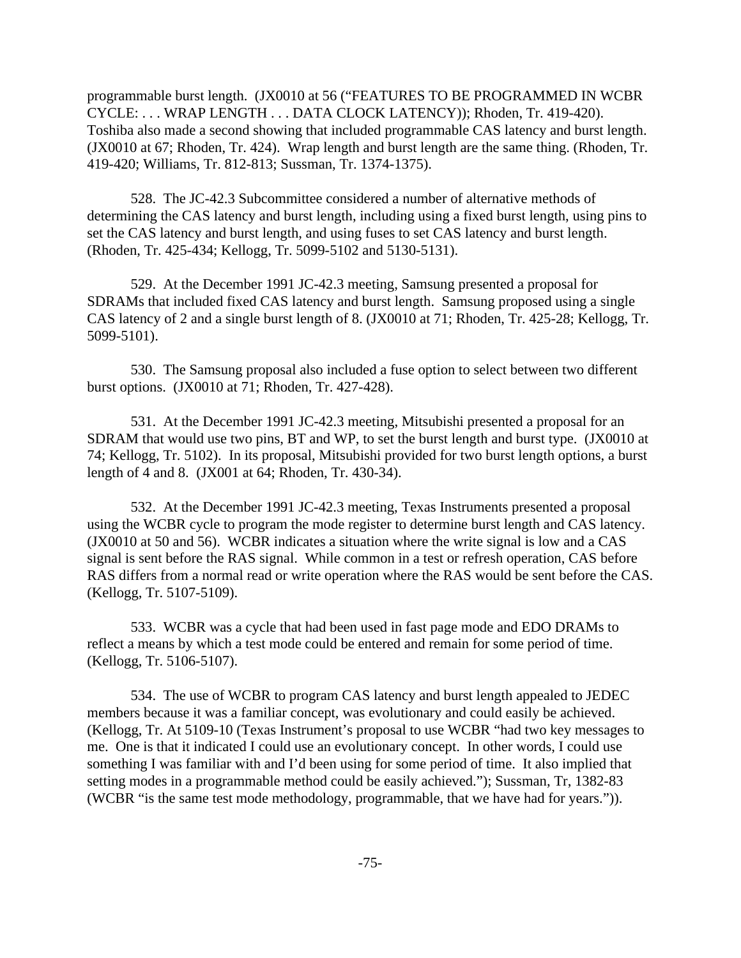programmable burst length. (JX0010 at 56 ("FEATURES TO BE PROGRAMMED IN WCBR CYCLE: . . . WRAP LENGTH . . . DATA CLOCK LATENCY)); Rhoden, Tr. 419-420). Toshiba also made a second showing that included programmable CAS latency and burst length. (JX0010 at 67; Rhoden, Tr. 424). Wrap length and burst length are the same thing. (Rhoden, Tr. 419-420; Williams, Tr. 812-813; Sussman, Tr. 1374-1375).

528. The JC-42.3 Subcommittee considered a number of alternative methods of determining the CAS latency and burst length, including using a fixed burst length, using pins to set the CAS latency and burst length, and using fuses to set CAS latency and burst length. (Rhoden, Tr. 425-434; Kellogg, Tr. 5099-5102 and 5130-5131).

529. At the December 1991 JC-42.3 meeting, Samsung presented a proposal for SDRAMs that included fixed CAS latency and burst length. Samsung proposed using a single CAS latency of 2 and a single burst length of 8. (JX0010 at 71; Rhoden, Tr. 425-28; Kellogg, Tr. 5099-5101).

530. The Samsung proposal also included a fuse option to select between two different burst options. (JX0010 at 71; Rhoden, Tr. 427-428).

531. At the December 1991 JC-42.3 meeting, Mitsubishi presented a proposal for an SDRAM that would use two pins, BT and WP, to set the burst length and burst type. (JX0010 at 74; Kellogg, Tr. 5102). In its proposal, Mitsubishi provided for two burst length options, a burst length of 4 and 8. (JX001 at 64; Rhoden, Tr. 430-34).

532. At the December 1991 JC-42.3 meeting, Texas Instruments presented a proposal using the WCBR cycle to program the mode register to determine burst length and CAS latency. (JX0010 at 50 and 56). WCBR indicates a situation where the write signal is low and a CAS signal is sent before the RAS signal. While common in a test or refresh operation, CAS before RAS differs from a normal read or write operation where the RAS would be sent before the CAS. (Kellogg, Tr. 5107-5109).

533. WCBR was a cycle that had been used in fast page mode and EDO DRAMs to reflect a means by which a test mode could be entered and remain for some period of time. (Kellogg, Tr. 5106-5107).

534. The use of WCBR to program CAS latency and burst length appealed to JEDEC members because it was a familiar concept, was evolutionary and could easily be achieved. (Kellogg, Tr. At 5109-10 (Texas Instrument's proposal to use WCBR "had two key messages to me. One is that it indicated I could use an evolutionary concept. In other words, I could use something I was familiar with and I'd been using for some period of time. It also implied that setting modes in a programmable method could be easily achieved."); Sussman, Tr, 1382-83 (WCBR "is the same test mode methodology, programmable, that we have had for years.")).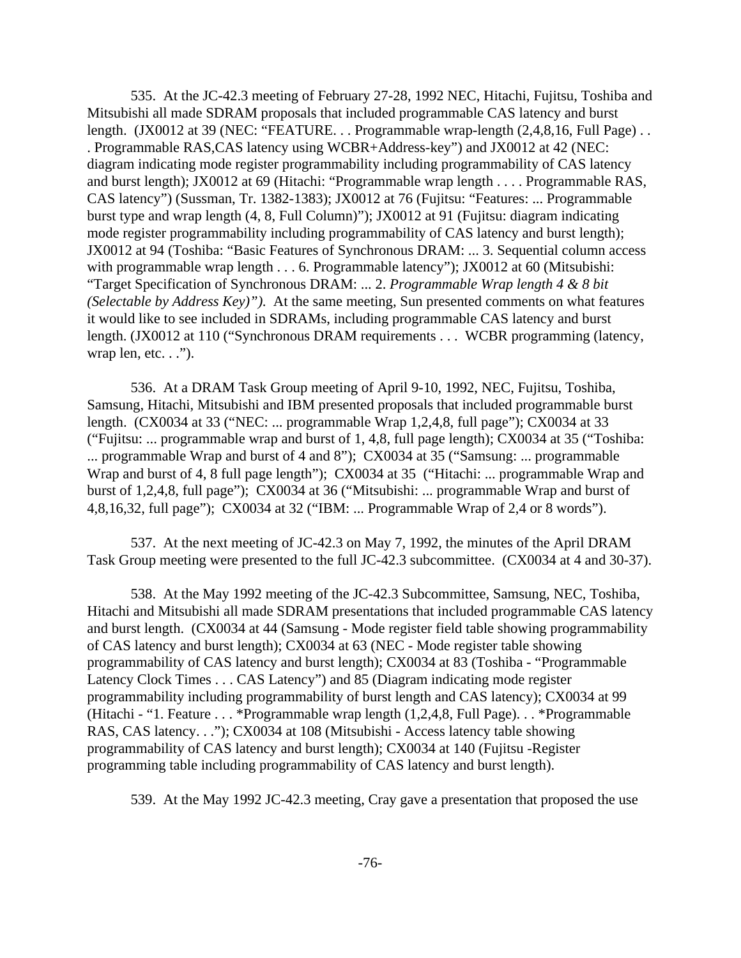535. At the JC-42.3 meeting of February 27-28, 1992 NEC, Hitachi, Fujitsu, Toshiba and Mitsubishi all made SDRAM proposals that included programmable CAS latency and burst length. (JX0012 at 39 (NEC: "FEATURE... Programmable wrap-length (2,4,8,16, Full Page)... . Programmable RAS,CAS latency using WCBR+Address-key") and JX0012 at 42 (NEC: diagram indicating mode register programmability including programmability of CAS latency and burst length); JX0012 at 69 (Hitachi: "Programmable wrap length . . . . Programmable RAS, CAS latency") (Sussman, Tr. 1382-1383); JX0012 at 76 (Fujitsu: "Features: ... Programmable burst type and wrap length (4, 8, Full Column)"); JX0012 at 91 (Fujitsu: diagram indicating mode register programmability including programmability of CAS latency and burst length); JX0012 at 94 (Toshiba: "Basic Features of Synchronous DRAM: ... 3. Sequential column access with programmable wrap length . . . 6. Programmable latency"); JX0012 at 60 (Mitsubishi: "Target Specification of Synchronous DRAM: ... 2. *Programmable Wrap length 4 & 8 bit (Selectable by Address Key)")*. At the same meeting, Sun presented comments on what features it would like to see included in SDRAMs, including programmable CAS latency and burst length. (JX0012 at 110 ("Synchronous DRAM requirements . . . WCBR programming (latency, wrap len, etc. . .").

536. At a DRAM Task Group meeting of April 9-10, 1992, NEC, Fujitsu, Toshiba, Samsung, Hitachi, Mitsubishi and IBM presented proposals that included programmable burst length. (CX0034 at 33 ("NEC: ... programmable Wrap 1,2,4,8, full page"); CX0034 at 33 ("Fujitsu: ... programmable wrap and burst of 1, 4,8, full page length); CX0034 at 35 ("Toshiba: ... programmable Wrap and burst of 4 and 8"); CX0034 at 35 ("Samsung: ... programmable Wrap and burst of 4, 8 full page length"); CX0034 at 35 ("Hitachi: ... programmable Wrap and burst of 1,2,4,8, full page"); CX0034 at 36 ("Mitsubishi: ... programmable Wrap and burst of 4,8,16,32, full page"); CX0034 at 32 ("IBM: ... Programmable Wrap of 2,4 or 8 words").

537. At the next meeting of JC-42.3 on May 7, 1992, the minutes of the April DRAM Task Group meeting were presented to the full JC-42.3 subcommittee. (CX0034 at 4 and 30-37).

538. At the May 1992 meeting of the JC-42.3 Subcommittee, Samsung, NEC, Toshiba, Hitachi and Mitsubishi all made SDRAM presentations that included programmable CAS latency and burst length. (CX0034 at 44 (Samsung - Mode register field table showing programmability of CAS latency and burst length); CX0034 at 63 (NEC - Mode register table showing programmability of CAS latency and burst length); CX0034 at 83 (Toshiba - "Programmable Latency Clock Times . . . CAS Latency") and 85 (Diagram indicating mode register programmability including programmability of burst length and CAS latency); CX0034 at 99 (Hitachi - "1. Feature . . . \*Programmable wrap length (1,2,4,8, Full Page). . . \*Programmable RAS, CAS latency. . ."); CX0034 at 108 (Mitsubishi - Access latency table showing programmability of CAS latency and burst length); CX0034 at 140 (Fujitsu -Register programming table including programmability of CAS latency and burst length).

539. At the May 1992 JC-42.3 meeting, Cray gave a presentation that proposed the use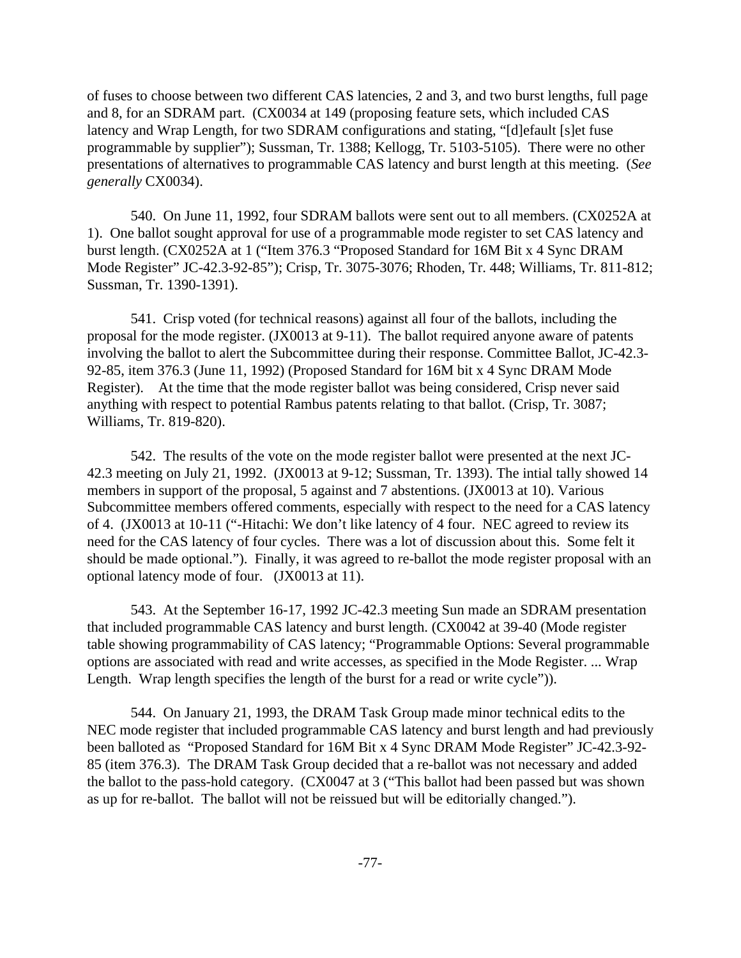of fuses to choose between two different CAS latencies, 2 and 3, and two burst lengths, full page and 8, for an SDRAM part. (CX0034 at 149 (proposing feature sets, which included CAS latency and Wrap Length, for two SDRAM configurations and stating, "[d]efault [s]et fuse programmable by supplier"); Sussman, Tr. 1388; Kellogg, Tr. 5103-5105). There were no other presentations of alternatives to programmable CAS latency and burst length at this meeting. (*See generally* CX0034).

540. On June 11, 1992, four SDRAM ballots were sent out to all members. (CX0252A at 1).One ballot sought approval for use of a programmable mode register to set CAS latency and burst length. (CX0252A at 1 ("Item 376.3 "Proposed Standard for 16M Bit x 4 Sync DRAM Mode Register" JC-42.3-92-85"); Crisp, Tr. 3075-3076; Rhoden, Tr. 448; Williams, Tr. 811-812; Sussman, Tr. 1390-1391).

541. Crisp voted (for technical reasons) against all four of the ballots, including the proposal for the mode register. (JX0013 at 9-11). The ballot required anyone aware of patents involving the ballot to alert the Subcommittee during their response. Committee Ballot, JC-42.3- 92-85, item 376.3 (June 11, 1992) (Proposed Standard for 16M bit x 4 Sync DRAM Mode Register). At the time that the mode register ballot was being considered, Crisp never said anything with respect to potential Rambus patents relating to that ballot. (Crisp, Tr. 3087; Williams, Tr. 819-820).

542. The results of the vote on the mode register ballot were presented at the next JC-42.3 meeting on July 21, 1992. (JX0013 at 9-12; Sussman, Tr. 1393). The intial tally showed 14 members in support of the proposal, 5 against and 7 abstentions. (JX0013 at 10). Various Subcommittee members offered comments, especially with respect to the need for a CAS latency of 4. (JX0013 at 10-11 ("-Hitachi: We don't like latency of 4 four. NEC agreed to review its need for the CAS latency of four cycles. There was a lot of discussion about this. Some felt it should be made optional."). Finally, it was agreed to re-ballot the mode register proposal with an optional latency mode of four. (JX0013 at 11).

543. At the September 16-17, 1992 JC-42.3 meeting Sun made an SDRAM presentation that included programmable CAS latency and burst length. (CX0042 at 39-40 (Mode register table showing programmability of CAS latency; "Programmable Options: Several programmable options are associated with read and write accesses, as specified in the Mode Register. ... Wrap Length. Wrap length specifies the length of the burst for a read or write cycle").

544. On January 21, 1993, the DRAM Task Group made minor technical edits to the NEC mode register that included programmable CAS latency and burst length and had previously been balloted as "Proposed Standard for 16M Bit x 4 Sync DRAM Mode Register" JC-42.3-92- 85 (item 376.3). The DRAM Task Group decided that a re-ballot was not necessary and added the ballot to the pass-hold category. (CX0047 at 3 ("This ballot had been passed but was shown as up for re-ballot. The ballot will not be reissued but will be editorially changed.").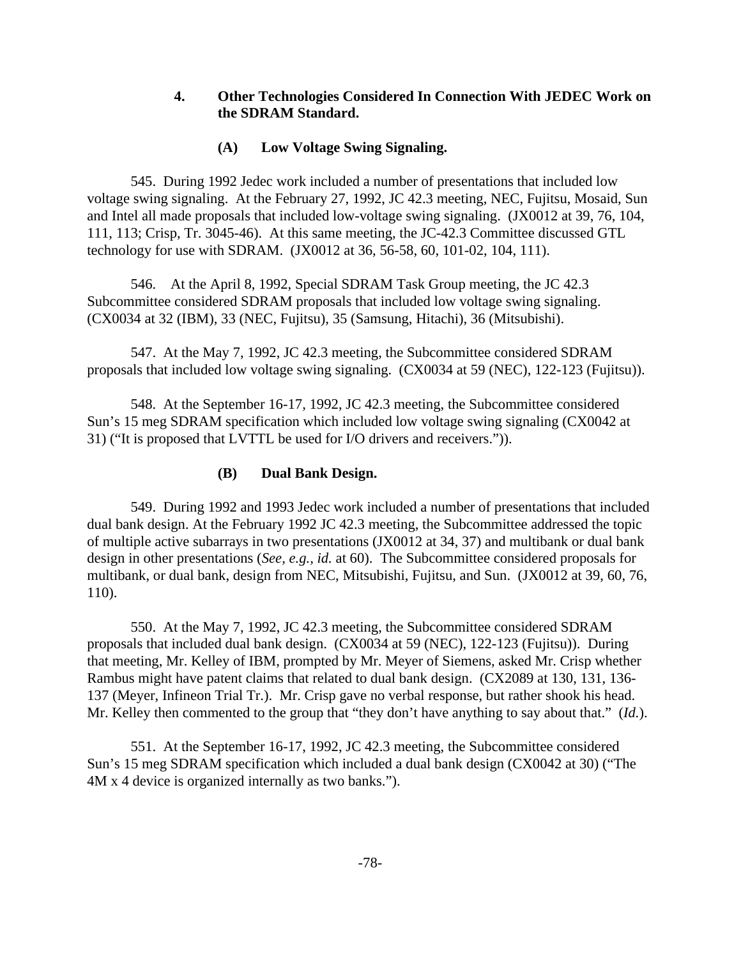# **4. Other Technologies Considered In Connection With JEDEC Work on the SDRAM Standard.**

# **(A) Low Voltage Swing Signaling.**

545. During 1992 Jedec work included a number of presentations that included low voltage swing signaling. At the February 27, 1992, JC 42.3 meeting, NEC, Fujitsu, Mosaid, Sun and Intel all made proposals that included low-voltage swing signaling. (JX0012 at 39, 76, 104, 111, 113; Crisp, Tr. 3045-46). At this same meeting, the JC-42.3 Committee discussed GTL technology for use with SDRAM. (JX0012 at 36, 56-58, 60, 101-02, 104, 111).

546. At the April 8, 1992, Special SDRAM Task Group meeting, the JC 42.3 Subcommittee considered SDRAM proposals that included low voltage swing signaling. (CX0034 at 32 (IBM), 33 (NEC, Fujitsu), 35 (Samsung, Hitachi), 36 (Mitsubishi).

547. At the May 7, 1992, JC 42.3 meeting, the Subcommittee considered SDRAM proposals that included low voltage swing signaling. (CX0034 at 59 (NEC), 122-123 (Fujitsu)).

548. At the September 16-17, 1992, JC 42.3 meeting, the Subcommittee considered Sun's 15 meg SDRAM specification which included low voltage swing signaling (CX0042 at 31) ("It is proposed that LVTTL be used for I/O drivers and receivers.")).

## **(B) Dual Bank Design.**

549. During 1992 and 1993 Jedec work included a number of presentations that included dual bank design. At the February 1992 JC 42.3 meeting, the Subcommittee addressed the topic of multiple active subarrays in two presentations (JX0012 at 34, 37) and multibank or dual bank design in other presentations (*See, e.g., id.* at 60). The Subcommittee considered proposals for multibank, or dual bank, design from NEC, Mitsubishi, Fujitsu, and Sun. (JX0012 at 39, 60, 76, 110).

550. At the May 7, 1992, JC 42.3 meeting, the Subcommittee considered SDRAM proposals that included dual bank design. (CX0034 at 59 (NEC), 122-123 (Fujitsu)). During that meeting, Mr. Kelley of IBM, prompted by Mr. Meyer of Siemens, asked Mr. Crisp whether Rambus might have patent claims that related to dual bank design. (CX2089 at 130, 131, 136- 137 (Meyer, Infineon Trial Tr.). Mr. Crisp gave no verbal response, but rather shook his head. Mr. Kelley then commented to the group that "they don't have anything to say about that." (*Id.*).

551. At the September 16-17, 1992, JC 42.3 meeting, the Subcommittee considered Sun's 15 meg SDRAM specification which included a dual bank design (CX0042 at 30) ("The 4M x 4 device is organized internally as two banks.").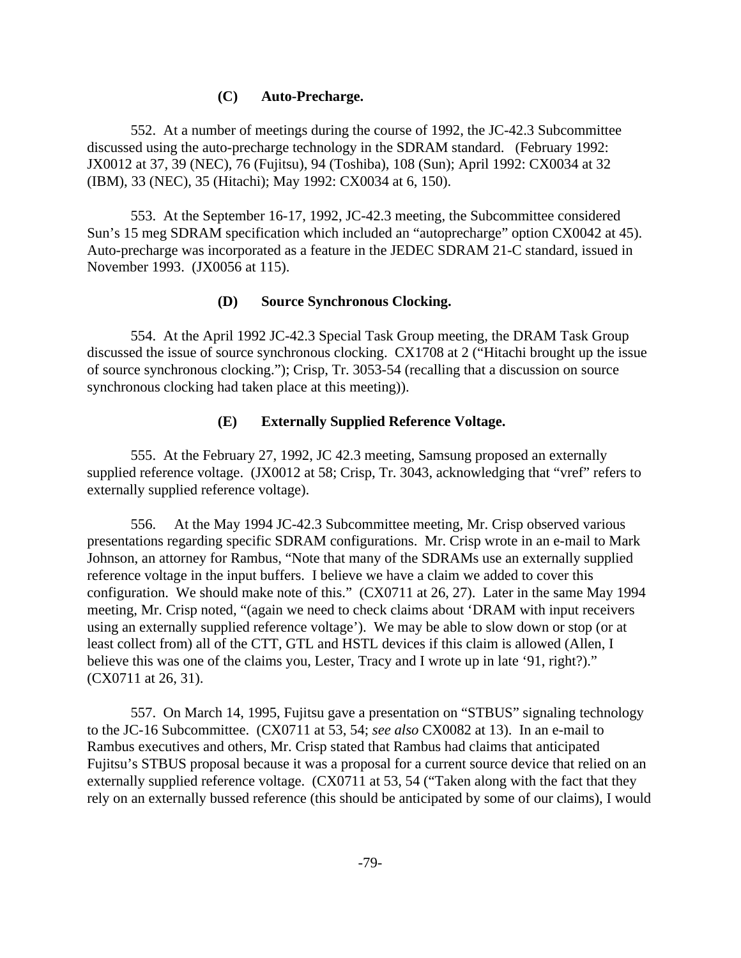### **(C) Auto-Precharge.**

552. At a number of meetings during the course of 1992, the JC-42.3 Subcommittee discussed using the auto-precharge technology in the SDRAM standard. (February 1992: JX0012 at 37, 39 (NEC), 76 (Fujitsu), 94 (Toshiba), 108 (Sun); April 1992: CX0034 at 32 (IBM), 33 (NEC), 35 (Hitachi); May 1992: CX0034 at 6, 150).

553. At the September 16-17, 1992, JC-42.3 meeting, the Subcommittee considered Sun's 15 meg SDRAM specification which included an "autoprecharge" option CX0042 at 45). Auto-precharge was incorporated as a feature in the JEDEC SDRAM 21-C standard, issued in November 1993. (JX0056 at 115).

### **(D) Source Synchronous Clocking.**

554. At the April 1992 JC-42.3 Special Task Group meeting, the DRAM Task Group discussed the issue of source synchronous clocking. CX1708 at 2 ("Hitachi brought up the issue of source synchronous clocking."); Crisp, Tr. 3053-54 (recalling that a discussion on source synchronous clocking had taken place at this meeting)).

### **(E) Externally Supplied Reference Voltage.**

555. At the February 27, 1992, JC 42.3 meeting, Samsung proposed an externally supplied reference voltage. (JX0012 at 58; Crisp, Tr. 3043, acknowledging that "vref" refers to externally supplied reference voltage).

556. At the May 1994 JC-42.3 Subcommittee meeting, Mr. Crisp observed various presentations regarding specific SDRAM configurations. Mr. Crisp wrote in an e-mail to Mark Johnson, an attorney for Rambus, "Note that many of the SDRAMs use an externally supplied reference voltage in the input buffers. I believe we have a claim we added to cover this configuration. We should make note of this." (CX0711 at 26, 27). Later in the same May 1994 meeting, Mr. Crisp noted, "(again we need to check claims about 'DRAM with input receivers using an externally supplied reference voltage'). We may be able to slow down or stop (or at least collect from) all of the CTT, GTL and HSTL devices if this claim is allowed (Allen, I believe this was one of the claims you, Lester, Tracy and I wrote up in late '91, right?)." (CX0711 at 26, 31).

557. On March 14, 1995, Fujitsu gave a presentation on "STBUS" signaling technology to the JC-16 Subcommittee. (CX0711 at 53, 54; *see also* CX0082 at 13). In an e-mail to Rambus executives and others, Mr. Crisp stated that Rambus had claims that anticipated Fujitsu's STBUS proposal because it was a proposal for a current source device that relied on an externally supplied reference voltage. (CX0711 at 53, 54 ("Taken along with the fact that they rely on an externally bussed reference (this should be anticipated by some of our claims), I would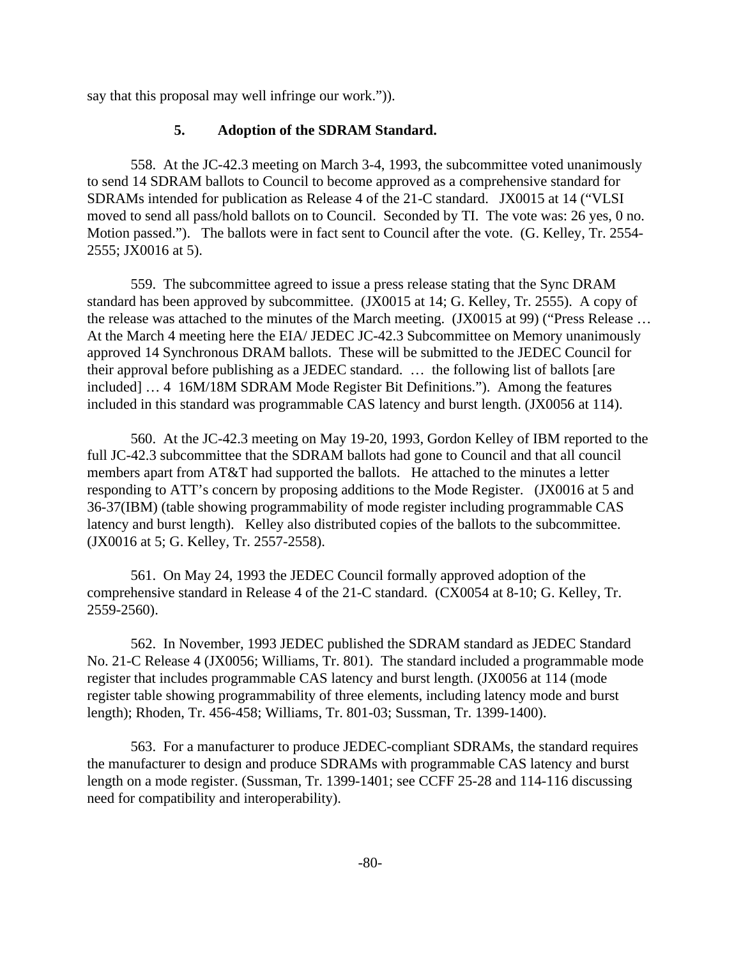say that this proposal may well infringe our work.")).

## **5. Adoption of the SDRAM Standard.**

558. At the JC-42.3 meeting on March 3-4, 1993, the subcommittee voted unanimously to send 14 SDRAM ballots to Council to become approved as a comprehensive standard for SDRAMs intended for publication as Release 4 of the 21-C standard. JX0015 at 14 ("VLSI moved to send all pass/hold ballots on to Council. Seconded by TI. The vote was: 26 yes, 0 no. Motion passed."). The ballots were in fact sent to Council after the vote. (G. Kelley, Tr. 2554- 2555; JX0016 at 5).

559. The subcommittee agreed to issue a press release stating that the Sync DRAM standard has been approved by subcommittee. (JX0015 at 14; G. Kelley, Tr. 2555). A copy of the release was attached to the minutes of the March meeting. (JX0015 at 99) ("Press Release … At the March 4 meeting here the EIA/ JEDEC JC-42.3 Subcommittee on Memory unanimously approved 14 Synchronous DRAM ballots. These will be submitted to the JEDEC Council for their approval before publishing as a JEDEC standard. … the following list of ballots [are included] … 4 16M/18M SDRAM Mode Register Bit Definitions."). Among the features included in this standard was programmable CAS latency and burst length. (JX0056 at 114).

560. At the JC-42.3 meeting on May 19-20, 1993, Gordon Kelley of IBM reported to the full JC-42.3 subcommittee that the SDRAM ballots had gone to Council and that all council members apart from AT&T had supported the ballots. He attached to the minutes a letter responding to ATT's concern by proposing additions to the Mode Register. (JX0016 at 5 and 36-37(IBM) (table showing programmability of mode register including programmable CAS latency and burst length). Kelley also distributed copies of the ballots to the subcommittee. (JX0016 at 5; G. Kelley, Tr. 2557-2558).

561. On May 24, 1993 the JEDEC Council formally approved adoption of the comprehensive standard in Release 4 of the 21-C standard. (CX0054 at 8-10; G. Kelley, Tr. 2559-2560).

562. In November, 1993 JEDEC published the SDRAM standard as JEDEC Standard No. 21-C Release 4 (JX0056; Williams, Tr. 801). The standard included a programmable mode register that includes programmable CAS latency and burst length. (JX0056 at 114 (mode register table showing programmability of three elements, including latency mode and burst length); Rhoden, Tr. 456-458; Williams, Tr. 801-03; Sussman, Tr. 1399-1400).

563. For a manufacturer to produce JEDEC-compliant SDRAMs, the standard requires the manufacturer to design and produce SDRAMs with programmable CAS latency and burst length on a mode register. (Sussman, Tr. 1399-1401; see CCFF 25-28 and 114-116 discussing need for compatibility and interoperability).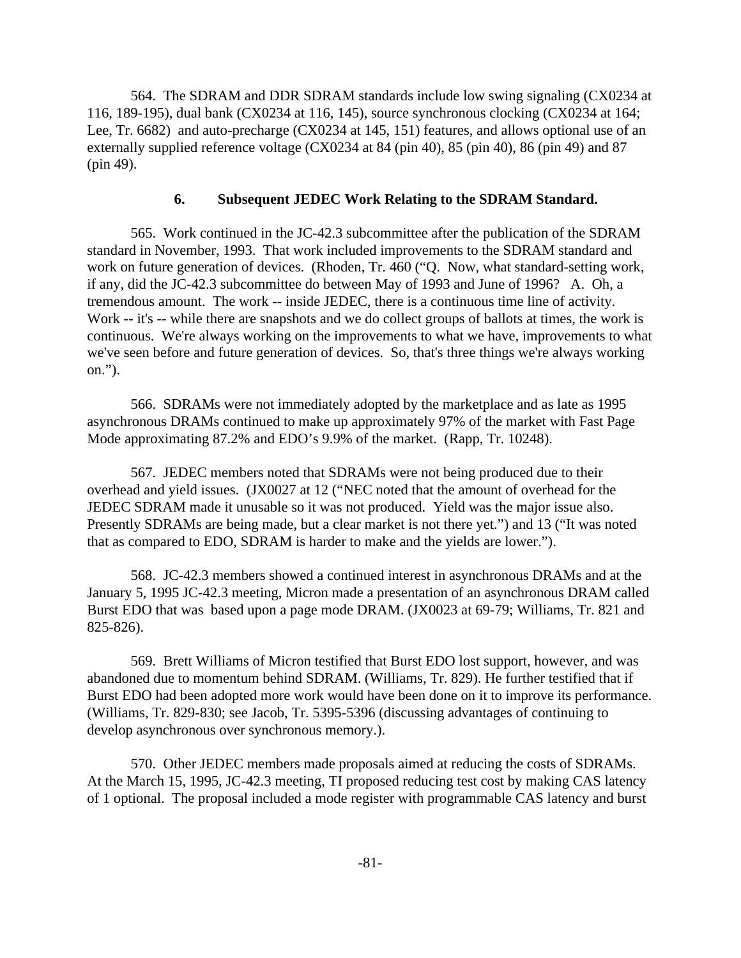564. The SDRAM and DDR SDRAM standards include low swing signaling (CX0234 at 116, 189-195), dual bank (CX0234 at 116, 145), source synchronous clocking (CX0234 at 164; Lee, Tr. 6682) and auto-precharge (CX0234 at 145, 151) features, and allows optional use of an externally supplied reference voltage (CX0234 at 84 (pin 40), 85 (pin 40), 86 (pin 49) and 87 (pin 49).

# **6. Subsequent JEDEC Work Relating to the SDRAM Standard.**

565. Work continued in the JC-42.3 subcommittee after the publication of the SDRAM standard in November, 1993. That work included improvements to the SDRAM standard and work on future generation of devices. (Rhoden, Tr. 460 ("Q. Now, what standard-setting work, if any, did the JC-42.3 subcommittee do between May of 1993 and June of 1996? A. Oh, a tremendous amount. The work -- inside JEDEC, there is a continuous time line of activity. Work -- it's -- while there are snapshots and we do collect groups of ballots at times, the work is continuous. We're always working on the improvements to what we have, improvements to what we've seen before and future generation of devices. So, that's three things we're always working on.").

566. SDRAMs were not immediately adopted by the marketplace and as late as 1995 asynchronous DRAMs continued to make up approximately 97% of the market with Fast Page Mode approximating 87.2% and EDO's 9.9% of the market. (Rapp, Tr. 10248).

567. JEDEC members noted that SDRAMs were not being produced due to their overhead and yield issues. (JX0027 at 12 ("NEC noted that the amount of overhead for the JEDEC SDRAM made it unusable so it was not produced. Yield was the major issue also. Presently SDRAMs are being made, but a clear market is not there yet.") and 13 ("It was noted that as compared to EDO, SDRAM is harder to make and the yields are lower.").

568. JC-42.3 members showed a continued interest in asynchronous DRAMs and at the January 5, 1995 JC-42.3 meeting, Micron made a presentation of an asynchronous DRAM called Burst EDO that was based upon a page mode DRAM. (JX0023 at 69-79; Williams, Tr. 821 and 825-826).

569. Brett Williams of Micron testified that Burst EDO lost support, however, and was abandoned due to momentum behind SDRAM. (Williams, Tr. 829). He further testified that if Burst EDO had been adopted more work would have been done on it to improve its performance. (Williams, Tr. 829-830; see Jacob, Tr. 5395-5396 (discussing advantages of continuing to develop asynchronous over synchronous memory.).

570. Other JEDEC members made proposals aimed at reducing the costs of SDRAMs. At the March 15, 1995, JC-42.3 meeting, TI proposed reducing test cost by making CAS latency of 1 optional. The proposal included a mode register with programmable CAS latency and burst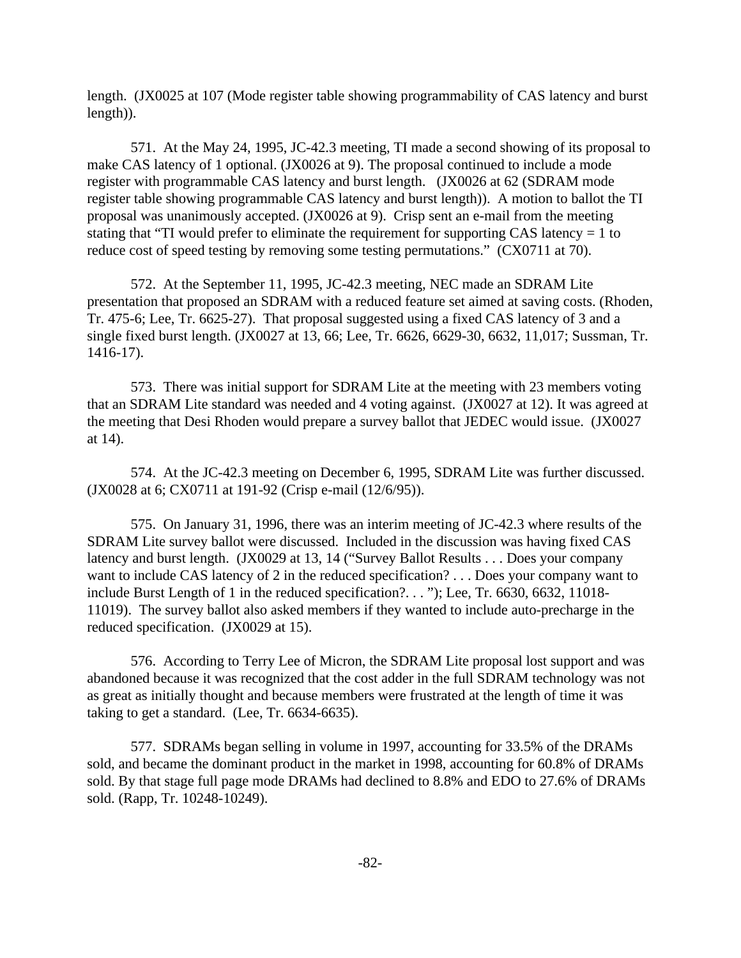length. (JX0025 at 107 (Mode register table showing programmability of CAS latency and burst length)).

571. At the May 24, 1995, JC-42.3 meeting, TI made a second showing of its proposal to make CAS latency of 1 optional. (JX0026 at 9). The proposal continued to include a mode register with programmable CAS latency and burst length. (JX0026 at 62 (SDRAM mode register table showing programmable CAS latency and burst length)). A motion to ballot the TI proposal was unanimously accepted. (JX0026 at 9). Crisp sent an e-mail from the meeting stating that "TI would prefer to eliminate the requirement for supporting CAS latency = 1 to reduce cost of speed testing by removing some testing permutations." (CX0711 at 70).

572. At the September 11, 1995, JC-42.3 meeting, NEC made an SDRAM Lite presentation that proposed an SDRAM with a reduced feature set aimed at saving costs. (Rhoden, Tr. 475-6; Lee, Tr. 6625-27). That proposal suggested using a fixed CAS latency of 3 and a single fixed burst length. (JX0027 at 13, 66; Lee, Tr. 6626, 6629-30, 6632, 11,017; Sussman, Tr. 1416-17).

573. There was initial support for SDRAM Lite at the meeting with 23 members voting that an SDRAM Lite standard was needed and 4 voting against. (JX0027 at 12). It was agreed at the meeting that Desi Rhoden would prepare a survey ballot that JEDEC would issue. (JX0027 at 14).

574. At the JC-42.3 meeting on December 6, 1995, SDRAM Lite was further discussed. (JX0028 at 6; CX0711 at 191-92 (Crisp e-mail (12/6/95)).

575. On January 31, 1996, there was an interim meeting of JC-42.3 where results of the SDRAM Lite survey ballot were discussed. Included in the discussion was having fixed CAS latency and burst length. (JX0029 at 13, 14 ("Survey Ballot Results . . . Does your company want to include CAS latency of 2 in the reduced specification? . . . Does your company want to include Burst Length of 1 in the reduced specification?. . . "); Lee, Tr. 6630, 6632, 11018- 11019). The survey ballot also asked members if they wanted to include auto-precharge in the reduced specification. (JX0029 at 15).

576. According to Terry Lee of Micron, the SDRAM Lite proposal lost support and was abandoned because it was recognized that the cost adder in the full SDRAM technology was not as great as initially thought and because members were frustrated at the length of time it was taking to get a standard. (Lee, Tr. 6634-6635).

577. SDRAMs began selling in volume in 1997, accounting for 33.5% of the DRAMs sold, and became the dominant product in the market in 1998, accounting for 60.8% of DRAMs sold. By that stage full page mode DRAMs had declined to 8.8% and EDO to 27.6% of DRAMs sold. (Rapp, Tr. 10248-10249).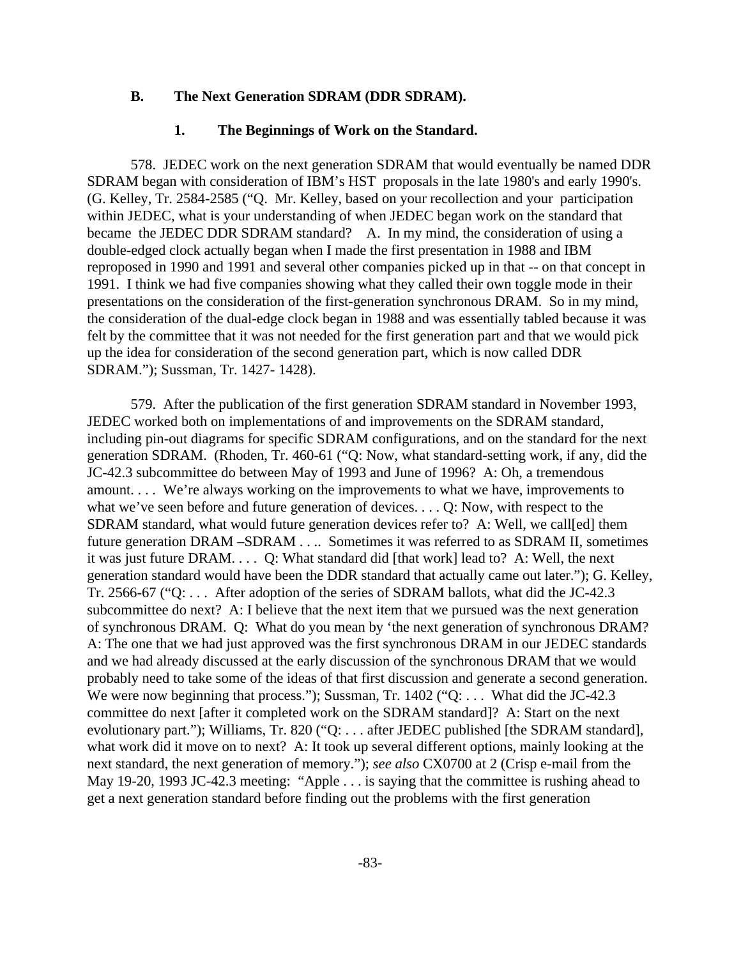### **B. The Next Generation SDRAM (DDR SDRAM).**

#### **1. The Beginnings of Work on the Standard.**

578. JEDEC work on the next generation SDRAM that would eventually be named DDR SDRAM began with consideration of IBM's HST proposals in the late 1980's and early 1990's. (G. Kelley, Tr. 2584-2585 ("Q. Mr. Kelley, based on your recollection and your participation within JEDEC, what is your understanding of when JEDEC began work on the standard that became the JEDEC DDR SDRAM standard? A. In my mind, the consideration of using a double-edged clock actually began when I made the first presentation in 1988 and IBM reproposed in 1990 and 1991 and several other companies picked up in that -- on that concept in 1991. I think we had five companies showing what they called their own toggle mode in their presentations on the consideration of the first-generation synchronous DRAM. So in my mind, the consideration of the dual-edge clock began in 1988 and was essentially tabled because it was felt by the committee that it was not needed for the first generation part and that we would pick up the idea for consideration of the second generation part, which is now called DDR SDRAM."); Sussman, Tr. 1427- 1428).

579. After the publication of the first generation SDRAM standard in November 1993, JEDEC worked both on implementations of and improvements on the SDRAM standard, including pin-out diagrams for specific SDRAM configurations, and on the standard for the next generation SDRAM. (Rhoden, Tr. 460-61 ("Q: Now, what standard-setting work, if any, did the JC-42.3 subcommittee do between May of 1993 and June of 1996? A: Oh, a tremendous amount. . . . We're always working on the improvements to what we have, improvements to what we've seen before and future generation of devices. . . . Q: Now, with respect to the SDRAM standard, what would future generation devices refer to? A: Well, we call[ed] them future generation DRAM – SDRAM . . .. Sometimes it was referred to as SDRAM II, sometimes it was just future DRAM. . . . Q: What standard did [that work] lead to? A: Well, the next generation standard would have been the DDR standard that actually came out later."); G. Kelley, Tr. 2566-67 ("Q: . . . After adoption of the series of SDRAM ballots, what did the JC-42.3 subcommittee do next? A: I believe that the next item that we pursued was the next generation of synchronous DRAM. Q: What do you mean by 'the next generation of synchronous DRAM? A: The one that we had just approved was the first synchronous DRAM in our JEDEC standards and we had already discussed at the early discussion of the synchronous DRAM that we would probably need to take some of the ideas of that first discussion and generate a second generation. We were now beginning that process."); Sussman, Tr. 1402 ("Q: . . . What did the JC-42.3 committee do next [after it completed work on the SDRAM standard]? A: Start on the next evolutionary part."); Williams, Tr. 820 ("Q: . . . after JEDEC published [the SDRAM standard], what work did it move on to next? A: It took up several different options, mainly looking at the next standard, the next generation of memory."); *see also* CX0700 at 2 (Crisp e-mail from the May 19-20, 1993 JC-42.3 meeting: "Apple . . . is saying that the committee is rushing ahead to get a next generation standard before finding out the problems with the first generation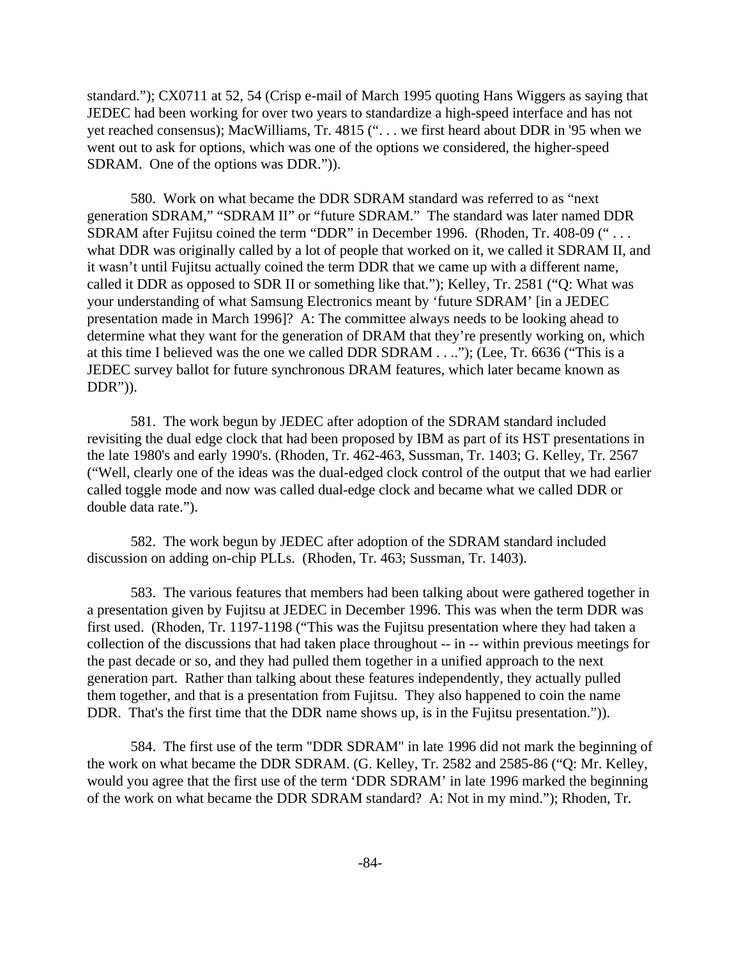standard."); CX0711 at 52, 54 (Crisp e-mail of March 1995 quoting Hans Wiggers as saying that JEDEC had been working for over two years to standardize a high-speed interface and has not yet reached consensus); MacWilliams, Tr. 4815 (". . . we first heard about DDR in '95 when we went out to ask for options, which was one of the options we considered, the higher-speed SDRAM. One of the options was DDR.")).

580. Work on what became the DDR SDRAM standard was referred to as "next generation SDRAM," "SDRAM II" or "future SDRAM." The standard was later named DDR SDRAM after Fujitsu coined the term "DDR" in December 1996. (Rhoden, Tr. 408-09 (" . . . what DDR was originally called by a lot of people that worked on it, we called it SDRAM II, and it wasn't until Fujitsu actually coined the term DDR that we came up with a different name, called it DDR as opposed to SDR II or something like that."); Kelley, Tr. 2581 ("Q: What was your understanding of what Samsung Electronics meant by 'future SDRAM' [in a JEDEC presentation made in March 1996]? A: The committee always needs to be looking ahead to determine what they want for the generation of DRAM that they're presently working on, which at this time I believed was the one we called DDR SDRAM . . .."); (Lee, Tr. 6636 ("This is a JEDEC survey ballot for future synchronous DRAM features, which later became known as  $DDR$ ")).

581. The work begun by JEDEC after adoption of the SDRAM standard included revisiting the dual edge clock that had been proposed by IBM as part of its HST presentations in the late 1980's and early 1990's. (Rhoden, Tr. 462-463, Sussman, Tr. 1403; G. Kelley, Tr. 2567 ("Well, clearly one of the ideas was the dual-edged clock control of the output that we had earlier called toggle mode and now was called dual-edge clock and became what we called DDR or double data rate.").

582. The work begun by JEDEC after adoption of the SDRAM standard included discussion on adding on-chip PLLs. (Rhoden, Tr. 463; Sussman, Tr. 1403).

583. The various features that members had been talking about were gathered together in a presentation given by Fujitsu at JEDEC in December 1996. This was when the term DDR was first used. (Rhoden, Tr. 1197-1198 ("This was the Fujitsu presentation where they had taken a collection of the discussions that had taken place throughout -- in -- within previous meetings for the past decade or so, and they had pulled them together in a unified approach to the next generation part. Rather than talking about these features independently, they actually pulled them together, and that is a presentation from Fujitsu. They also happened to coin the name DDR. That's the first time that the DDR name shows up, is in the Fujitsu presentation.").

584. The first use of the term "DDR SDRAM" in late 1996 did not mark the beginning of the work on what became the DDR SDRAM. (G. Kelley, Tr. 2582 and 2585-86 ("Q: Mr. Kelley, would you agree that the first use of the term 'DDR SDRAM' in late 1996 marked the beginning of the work on what became the DDR SDRAM standard? A: Not in my mind."); Rhoden, Tr.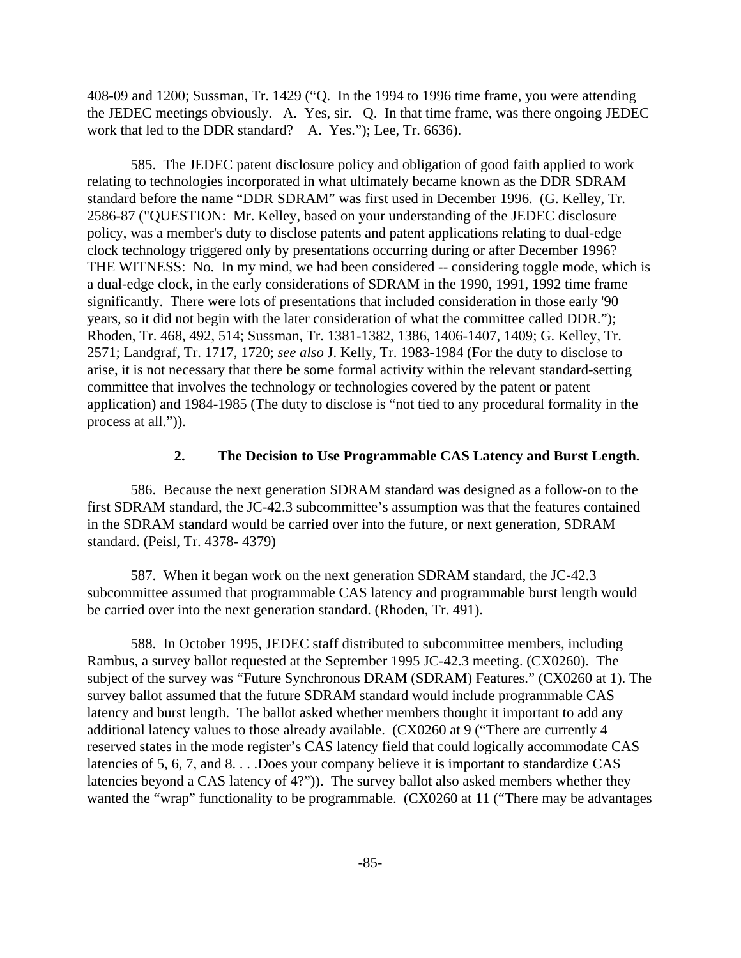408-09 and 1200; Sussman, Tr. 1429 ("Q. In the 1994 to 1996 time frame, you were attending the JEDEC meetings obviously. A. Yes, sir. Q. In that time frame, was there ongoing JEDEC work that led to the DDR standard? A. Yes."); Lee, Tr. 6636).

585. The JEDEC patent disclosure policy and obligation of good faith applied to work relating to technologies incorporated in what ultimately became known as the DDR SDRAM standard before the name "DDR SDRAM" was first used in December 1996. (G. Kelley, Tr. 2586-87 ("QUESTION: Mr. Kelley, based on your understanding of the JEDEC disclosure policy, was a member's duty to disclose patents and patent applications relating to dual-edge clock technology triggered only by presentations occurring during or after December 1996? THE WITNESS: No. In my mind, we had been considered -- considering toggle mode, which is a dual-edge clock, in the early considerations of SDRAM in the 1990, 1991, 1992 time frame significantly. There were lots of presentations that included consideration in those early '90 years, so it did not begin with the later consideration of what the committee called DDR."); Rhoden, Tr. 468, 492, 514; Sussman, Tr. 1381-1382, 1386, 1406-1407, 1409; G. Kelley, Tr. 2571; Landgraf, Tr. 1717, 1720; *see also* J. Kelly, Tr. 1983-1984 (For the duty to disclose to arise, it is not necessary that there be some formal activity within the relevant standard-setting committee that involves the technology or technologies covered by the patent or patent application) and 1984-1985 (The duty to disclose is "not tied to any procedural formality in the process at all.")).

### **2. The Decision to Use Programmable CAS Latency and Burst Length.**

586. Because the next generation SDRAM standard was designed as a follow-on to the first SDRAM standard, the JC-42.3 subcommittee's assumption was that the features contained in the SDRAM standard would be carried over into the future, or next generation, SDRAM standard. (Peisl, Tr. 4378- 4379)

587. When it began work on the next generation SDRAM standard, the JC-42.3 subcommittee assumed that programmable CAS latency and programmable burst length would be carried over into the next generation standard. (Rhoden, Tr. 491).

588. In October 1995, JEDEC staff distributed to subcommittee members, including Rambus, a survey ballot requested at the September 1995 JC-42.3 meeting. (CX0260). The subject of the survey was "Future Synchronous DRAM (SDRAM) Features." (CX0260 at 1). The survey ballot assumed that the future SDRAM standard would include programmable CAS latency and burst length. The ballot asked whether members thought it important to add any additional latency values to those already available. (CX0260 at 9 ("There are currently 4 reserved states in the mode register's CAS latency field that could logically accommodate CAS latencies of 5, 6, 7, and 8. . . .Does your company believe it is important to standardize CAS latencies beyond a CAS latency of 4?")). The survey ballot also asked members whether they wanted the "wrap" functionality to be programmable. (CX0260 at 11 ("There may be advantages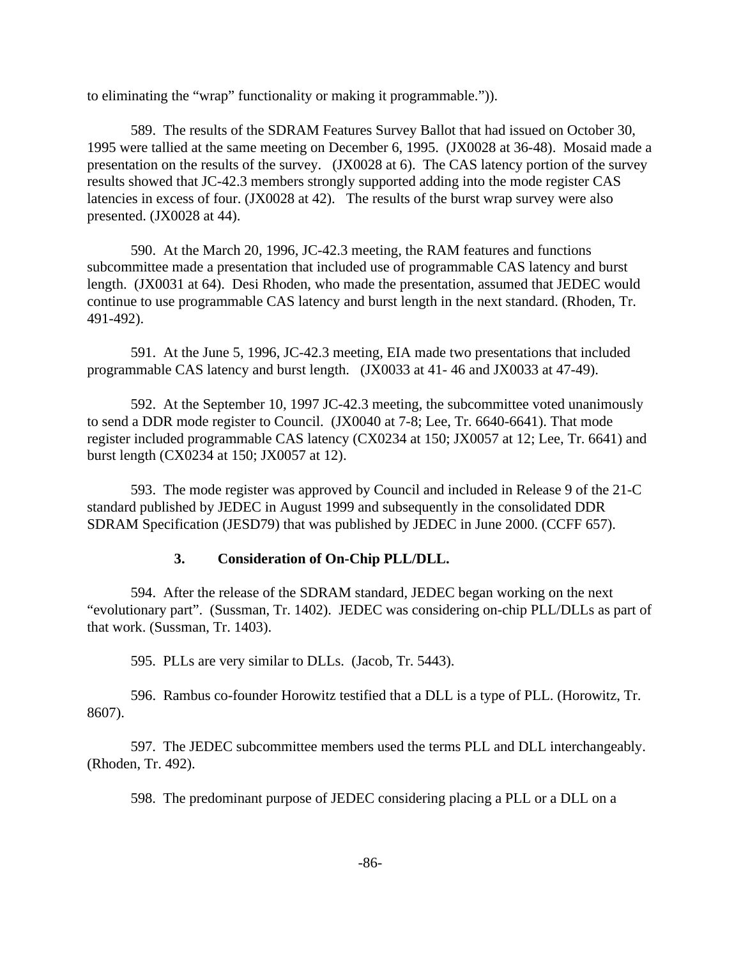to eliminating the "wrap" functionality or making it programmable.")).

589. The results of the SDRAM Features Survey Ballot that had issued on October 30, 1995 were tallied at the same meeting on December 6, 1995. (JX0028 at 36-48). Mosaid made a presentation on the results of the survey. (JX0028 at 6). The CAS latency portion of the survey results showed that JC-42.3 members strongly supported adding into the mode register CAS latencies in excess of four. (JX0028 at 42). The results of the burst wrap survey were also presented. (JX0028 at 44).

590. At the March 20, 1996, JC-42.3 meeting, the RAM features and functions subcommittee made a presentation that included use of programmable CAS latency and burst length. (JX0031 at 64). Desi Rhoden, who made the presentation, assumed that JEDEC would continue to use programmable CAS latency and burst length in the next standard. (Rhoden, Tr. 491-492).

591. At the June 5, 1996, JC-42.3 meeting, EIA made two presentations that included programmable CAS latency and burst length. (JX0033 at 41- 46 and JX0033 at 47-49).

592. At the September 10, 1997 JC-42.3 meeting, the subcommittee voted unanimously to send a DDR mode register to Council. (JX0040 at 7-8; Lee, Tr. 6640-6641). That mode register included programmable CAS latency (CX0234 at 150; JX0057 at 12; Lee, Tr. 6641) and burst length (CX0234 at 150; JX0057 at 12).

593. The mode register was approved by Council and included in Release 9 of the 21-C standard published by JEDEC in August 1999 and subsequently in the consolidated DDR SDRAM Specification (JESD79) that was published by JEDEC in June 2000. (CCFF 657).

## **3. Consideration of On-Chip PLL/DLL.**

594. After the release of the SDRAM standard, JEDEC began working on the next "evolutionary part". (Sussman, Tr. 1402). JEDEC was considering on-chip PLL/DLLs as part of that work. (Sussman, Tr. 1403).

595. PLLs are very similar to DLLs. (Jacob, Tr. 5443).

596. Rambus co-founder Horowitz testified that a DLL is a type of PLL. (Horowitz, Tr. 8607).

597. The JEDEC subcommittee members used the terms PLL and DLL interchangeably. (Rhoden, Tr. 492).

598. The predominant purpose of JEDEC considering placing a PLL or a DLL on a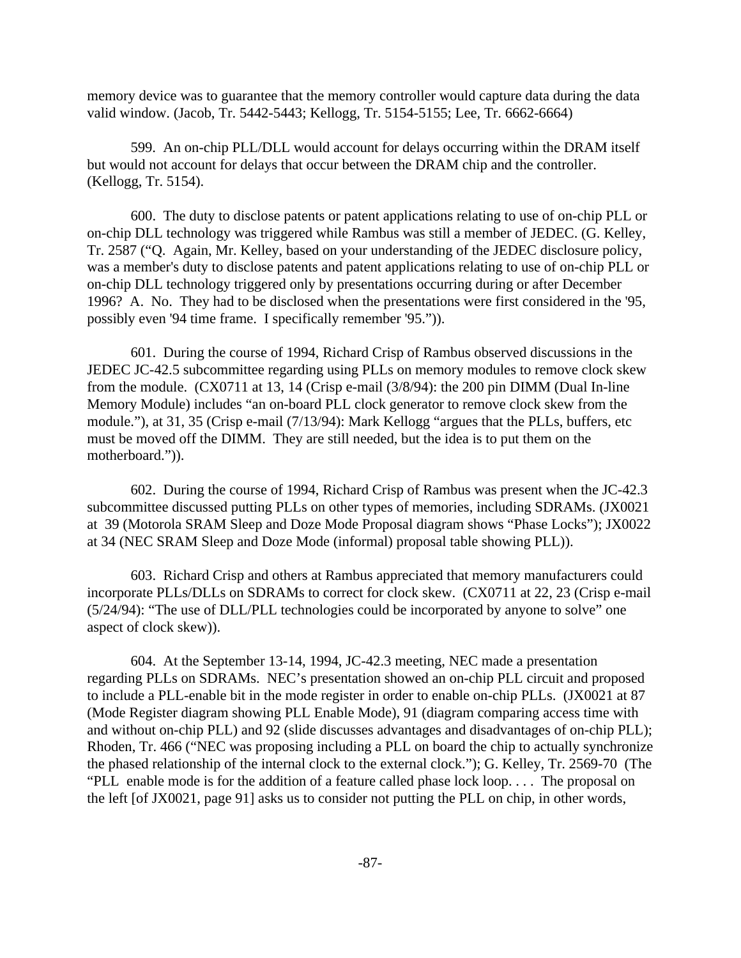memory device was to guarantee that the memory controller would capture data during the data valid window. (Jacob, Tr. 5442-5443; Kellogg, Tr. 5154-5155; Lee, Tr. 6662-6664)

599. An on-chip PLL/DLL would account for delays occurring within the DRAM itself but would not account for delays that occur between the DRAM chip and the controller. (Kellogg, Tr. 5154).

600. The duty to disclose patents or patent applications relating to use of on-chip PLL or on-chip DLL technology was triggered while Rambus was still a member of JEDEC. (G. Kelley, Tr. 2587 ("Q. Again, Mr. Kelley, based on your understanding of the JEDEC disclosure policy, was a member's duty to disclose patents and patent applications relating to use of on-chip PLL or on-chip DLL technology triggered only by presentations occurring during or after December 1996? A. No. They had to be disclosed when the presentations were first considered in the '95, possibly even '94 time frame. I specifically remember '95.")).

601. During the course of 1994, Richard Crisp of Rambus observed discussions in the JEDEC JC-42.5 subcommittee regarding using PLLs on memory modules to remove clock skew from the module. (CX0711 at 13, 14 (Crisp e-mail (3/8/94): the 200 pin DIMM (Dual In-line Memory Module) includes "an on-board PLL clock generator to remove clock skew from the module."), at 31, 35 (Crisp e-mail (7/13/94): Mark Kellogg "argues that the PLLs, buffers, etc must be moved off the DIMM. They are still needed, but the idea is to put them on the motherboard.")).

602. During the course of 1994, Richard Crisp of Rambus was present when the JC-42.3 subcommittee discussed putting PLLs on other types of memories, including SDRAMs. (JX0021 at 39 (Motorola SRAM Sleep and Doze Mode Proposal diagram shows "Phase Locks"); JX0022 at 34 (NEC SRAM Sleep and Doze Mode (informal) proposal table showing PLL)).

603. Richard Crisp and others at Rambus appreciated that memory manufacturers could incorporate PLLs/DLLs on SDRAMs to correct for clock skew. (CX0711 at 22, 23 (Crisp e-mail (5/24/94): "The use of DLL/PLL technologies could be incorporated by anyone to solve" one aspect of clock skew)).

604. At the September 13-14, 1994, JC-42.3 meeting, NEC made a presentation regarding PLLs on SDRAMs. NEC's presentation showed an on-chip PLL circuit and proposed to include a PLL-enable bit in the mode register in order to enable on-chip PLLs. (JX0021 at 87 (Mode Register diagram showing PLL Enable Mode), 91 (diagram comparing access time with and without on-chip PLL) and 92 (slide discusses advantages and disadvantages of on-chip PLL); Rhoden, Tr. 466 ("NEC was proposing including a PLL on board the chip to actually synchronize the phased relationship of the internal clock to the external clock."); G. Kelley, Tr. 2569-70 (The "PLL enable mode is for the addition of a feature called phase lock loop. . . . The proposal on the left [of JX0021, page 91] asks us to consider not putting the PLL on chip, in other words,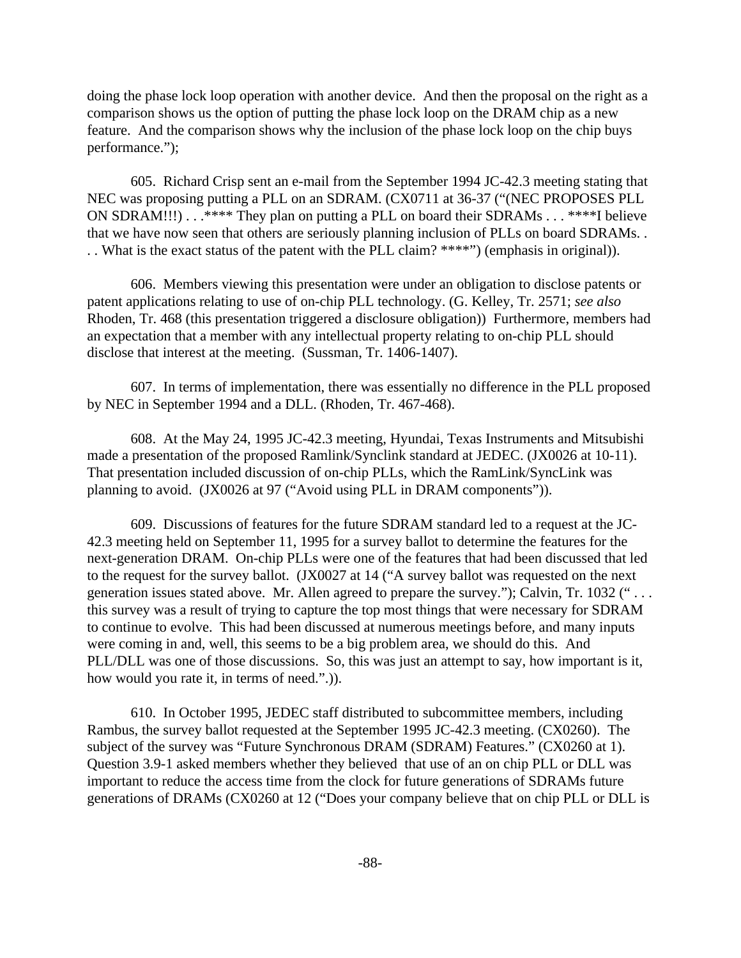doing the phase lock loop operation with another device. And then the proposal on the right as a comparison shows us the option of putting the phase lock loop on the DRAM chip as a new feature. And the comparison shows why the inclusion of the phase lock loop on the chip buys performance.");

605. Richard Crisp sent an e-mail from the September 1994 JC-42.3 meeting stating that NEC was proposing putting a PLL on an SDRAM. (CX0711 at 36-37 ("(NEC PROPOSES PLL ON SDRAM!!!) . . .\*\*\*\* They plan on putting a PLL on board their SDRAMs . . . \*\*\*\*I believe that we have now seen that others are seriously planning inclusion of PLLs on board SDRAMs. . . . What is the exact status of the patent with the PLL claim? \*\*\*\*") (emphasis in original)).

606. Members viewing this presentation were under an obligation to disclose patents or patent applications relating to use of on-chip PLL technology. (G. Kelley, Tr. 2571; *see also* Rhoden, Tr. 468 (this presentation triggered a disclosure obligation)) Furthermore, members had an expectation that a member with any intellectual property relating to on-chip PLL should disclose that interest at the meeting. (Sussman, Tr. 1406-1407).

607. In terms of implementation, there was essentially no difference in the PLL proposed by NEC in September 1994 and a DLL. (Rhoden, Tr. 467-468).

608. At the May 24, 1995 JC-42.3 meeting, Hyundai, Texas Instruments and Mitsubishi made a presentation of the proposed Ramlink/Synclink standard at JEDEC. (JX0026 at 10-11). That presentation included discussion of on-chip PLLs, which the RamLink/SyncLink was planning to avoid. (JX0026 at 97 ("Avoid using PLL in DRAM components")).

609. Discussions of features for the future SDRAM standard led to a request at the JC-42.3 meeting held on September 11, 1995 for a survey ballot to determine the features for the next-generation DRAM. On-chip PLLs were one of the features that had been discussed that led to the request for the survey ballot. (JX0027 at 14 ("A survey ballot was requested on the next generation issues stated above. Mr. Allen agreed to prepare the survey."); Calvin, Tr. 1032 (" . . . this survey was a result of trying to capture the top most things that were necessary for SDRAM to continue to evolve. This had been discussed at numerous meetings before, and many inputs were coming in and, well, this seems to be a big problem area, we should do this. And PLL/DLL was one of those discussions. So, this was just an attempt to say, how important is it, how would you rate it, in terms of need.".)).

610. In October 1995, JEDEC staff distributed to subcommittee members, including Rambus, the survey ballot requested at the September 1995 JC-42.3 meeting. (CX0260). The subject of the survey was "Future Synchronous DRAM (SDRAM) Features." (CX0260 at 1). Question 3.9-1 asked members whether they believed that use of an on chip PLL or DLL was important to reduce the access time from the clock for future generations of SDRAMs future generations of DRAMs (CX0260 at 12 ("Does your company believe that on chip PLL or DLL is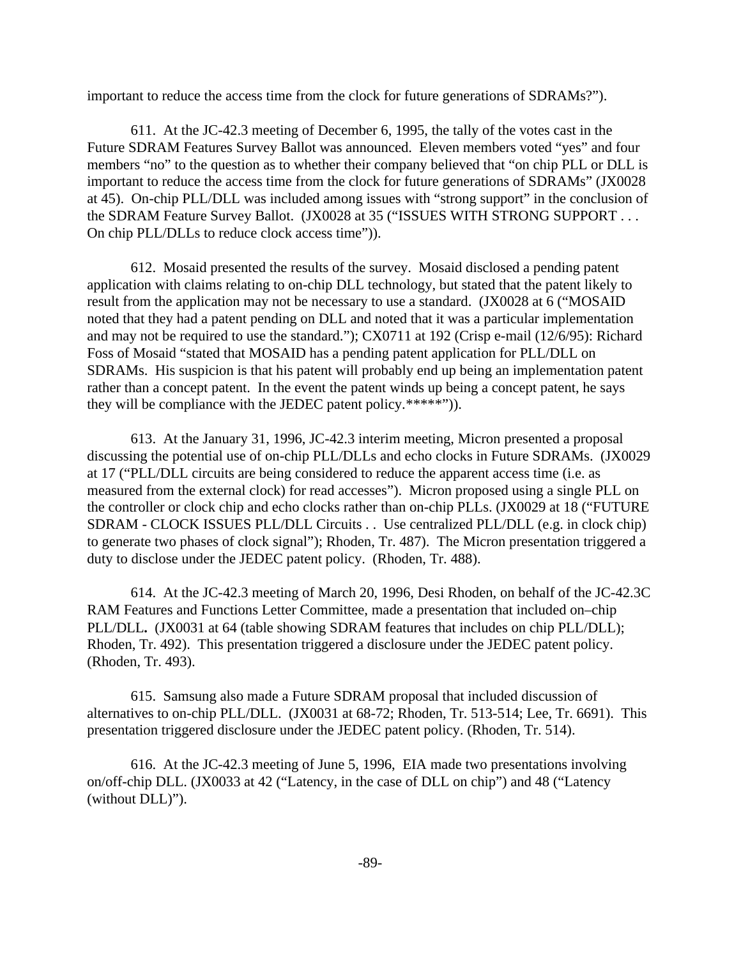important to reduce the access time from the clock for future generations of SDRAMs?").

611. At the JC-42.3 meeting of December 6, 1995, the tally of the votes cast in the Future SDRAM Features Survey Ballot was announced. Eleven members voted "yes" and four members "no" to the question as to whether their company believed that "on chip PLL or DLL is important to reduce the access time from the clock for future generations of SDRAMs" (JX0028 at 45). On-chip PLL/DLL was included among issues with "strong support" in the conclusion of the SDRAM Feature Survey Ballot.(JX0028 at 35 ("ISSUES WITH STRONG SUPPORT . . . On chip PLL/DLLs to reduce clock access time")).

612. Mosaid presented the results of the survey. Mosaid disclosed a pending patent application with claims relating to on-chip DLL technology, but stated that the patent likely to result from the application may not be necessary to use a standard. (JX0028 at 6 ("MOSAID noted that they had a patent pending on DLL and noted that it was a particular implementation and may not be required to use the standard."); CX0711 at 192 (Crisp e-mail (12/6/95): Richard Foss of Mosaid "stated that MOSAID has a pending patent application for PLL/DLL on SDRAMs. His suspicion is that his patent will probably end up being an implementation patent rather than a concept patent. In the event the patent winds up being a concept patent, he says they will be compliance with the JEDEC patent policy.\*\*\*\*\*")).

613. At the January 31, 1996, JC-42.3 interim meeting, Micron presented a proposal discussing the potential use of on-chip PLL/DLLs and echo clocks in Future SDRAMs. (JX0029 at 17 ("PLL/DLL circuits are being considered to reduce the apparent access time (i.e. as measured from the external clock) for read accesses"). Micron proposed using a single PLL on the controller or clock chip and echo clocks rather than on-chip PLLs. (JX0029 at 18 ("FUTURE SDRAM - CLOCK ISSUES PLL/DLL Circuits . . Use centralized PLL/DLL (e.g. in clock chip) to generate two phases of clock signal"); Rhoden, Tr. 487). The Micron presentation triggered a duty to disclose under the JEDEC patent policy. (Rhoden, Tr. 488).

614. At the JC-42.3 meeting of March 20, 1996, Desi Rhoden, on behalf of the JC-42.3C RAM Features and Functions Letter Committee, made a presentation that included on–chip PLL/DLL**.** (JX0031 at 64 (table showing SDRAM features that includes on chip PLL/DLL); Rhoden, Tr. 492). This presentation triggered a disclosure under the JEDEC patent policy. (Rhoden, Tr. 493).

615. Samsung also made a Future SDRAM proposal that included discussion of alternatives to on-chip PLL/DLL. (JX0031 at 68-72; Rhoden, Tr. 513-514; Lee, Tr. 6691). This presentation triggered disclosure under the JEDEC patent policy. (Rhoden, Tr. 514).

616. At the JC-42.3 meeting of June 5, 1996, EIA made two presentations involving on/off-chip DLL. (JX0033 at 42 ("Latency, in the case of DLL on chip") and 48 ("Latency (without DLL)").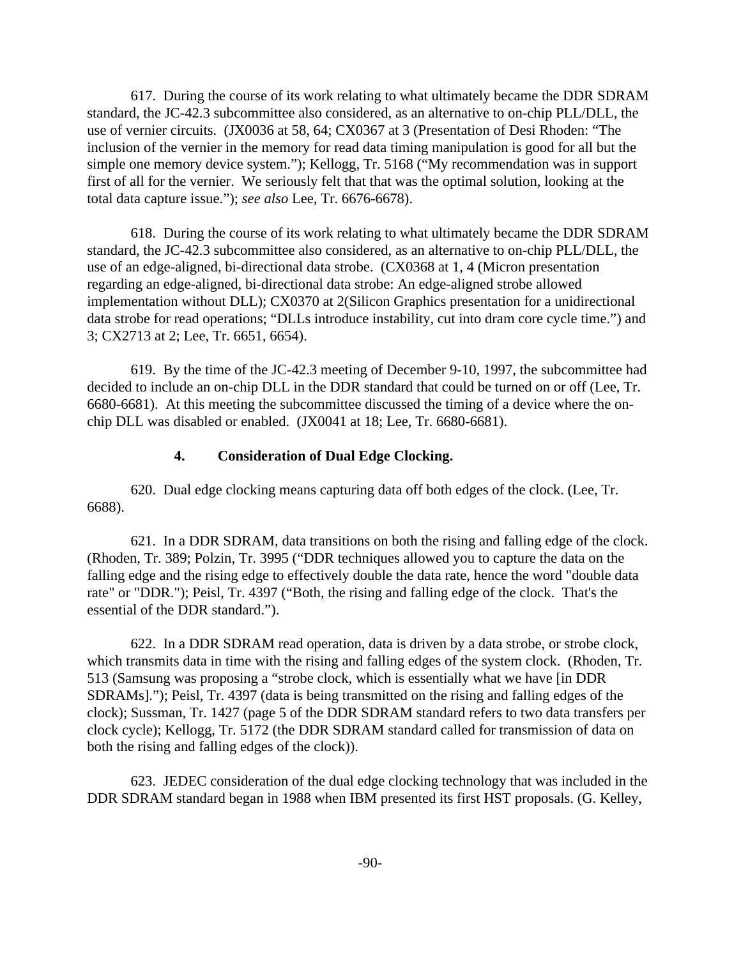617. During the course of its work relating to what ultimately became the DDR SDRAM standard, the JC-42.3 subcommittee also considered, as an alternative to on-chip PLL/DLL, the use of vernier circuits. (JX0036 at 58, 64; CX0367 at 3 (Presentation of Desi Rhoden: "The inclusion of the vernier in the memory for read data timing manipulation is good for all but the simple one memory device system."); Kellogg, Tr. 5168 ("My recommendation was in support first of all for the vernier. We seriously felt that that was the optimal solution, looking at the total data capture issue."); *see also* Lee, Tr. 6676-6678).

618. During the course of its work relating to what ultimately became the DDR SDRAM standard, the JC-42.3 subcommittee also considered, as an alternative to on-chip PLL/DLL, the use of an edge-aligned, bi-directional data strobe. (CX0368 at 1, 4 (Micron presentation regarding an edge-aligned, bi-directional data strobe: An edge-aligned strobe allowed implementation without DLL); CX0370 at 2(Silicon Graphics presentation for a unidirectional data strobe for read operations; "DLLs introduce instability, cut into dram core cycle time.") and 3; CX2713 at 2; Lee, Tr. 6651, 6654).

619. By the time of the JC-42.3 meeting of December 9-10, 1997, the subcommittee had decided to include an on-chip DLL in the DDR standard that could be turned on or off (Lee, Tr. 6680-6681). At this meeting the subcommittee discussed the timing of a device where the onchip DLL was disabled or enabled. (JX0041 at 18; Lee, Tr. 6680-6681).

## **4. Consideration of Dual Edge Clocking.**

620. Dual edge clocking means capturing data off both edges of the clock. (Lee, Tr. 6688).

621. In a DDR SDRAM, data transitions on both the rising and falling edge of the clock. (Rhoden, Tr. 389; Polzin, Tr. 3995 ("DDR techniques allowed you to capture the data on the falling edge and the rising edge to effectively double the data rate, hence the word "double data rate" or "DDR."); Peisl, Tr. 4397 ("Both, the rising and falling edge of the clock. That's the essential of the DDR standard.").

622. In a DDR SDRAM read operation, data is driven by a data strobe, or strobe clock, which transmits data in time with the rising and falling edges of the system clock. (Rhoden, Tr. 513 (Samsung was proposing a "strobe clock, which is essentially what we have [in DDR SDRAMs]."); Peisl, Tr. 4397 (data is being transmitted on the rising and falling edges of the clock); Sussman, Tr. 1427 (page 5 of the DDR SDRAM standard refers to two data transfers per clock cycle); Kellogg, Tr. 5172 (the DDR SDRAM standard called for transmission of data on both the rising and falling edges of the clock)).

623. JEDEC consideration of the dual edge clocking technology that was included in the DDR SDRAM standard began in 1988 when IBM presented its first HST proposals. (G. Kelley,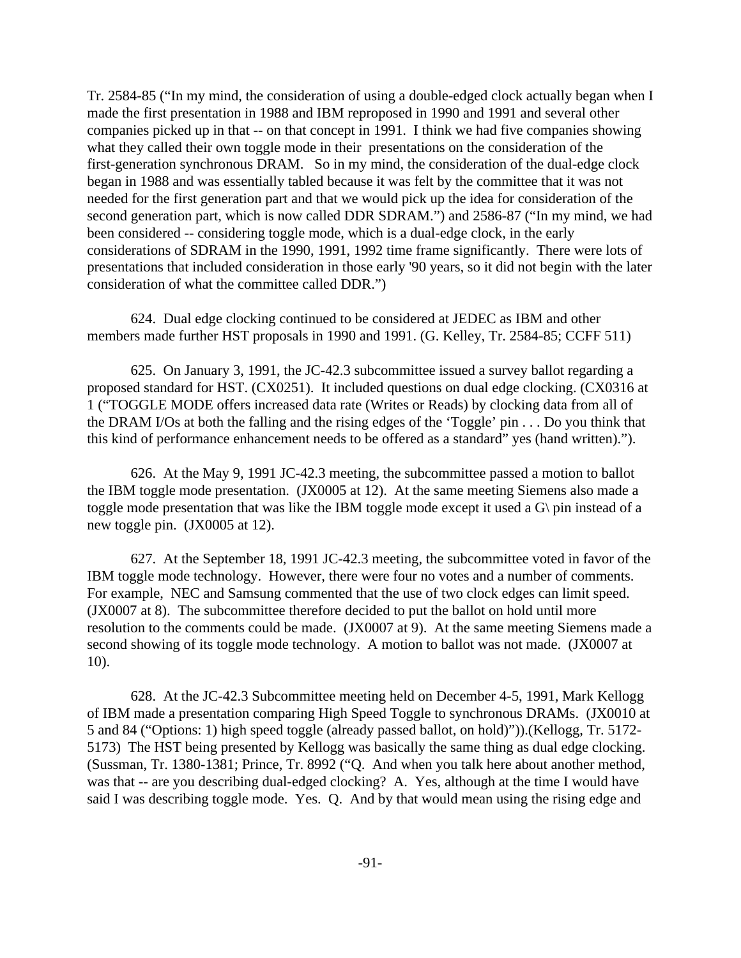Tr. 2584-85 ("In my mind, the consideration of using a double-edged clock actually began when I made the first presentation in 1988 and IBM reproposed in 1990 and 1991 and several other companies picked up in that -- on that concept in 1991. I think we had five companies showing what they called their own toggle mode in their presentations on the consideration of the first-generation synchronous DRAM. So in my mind, the consideration of the dual-edge clock began in 1988 and was essentially tabled because it was felt by the committee that it was not needed for the first generation part and that we would pick up the idea for consideration of the second generation part, which is now called DDR SDRAM.") and 2586-87 ("In my mind, we had been considered -- considering toggle mode, which is a dual-edge clock, in the early considerations of SDRAM in the 1990, 1991, 1992 time frame significantly. There were lots of presentations that included consideration in those early '90 years, so it did not begin with the later consideration of what the committee called DDR.")

624. Dual edge clocking continued to be considered at JEDEC as IBM and other members made further HST proposals in 1990 and 1991. (G. Kelley, Tr. 2584-85; CCFF 511)

625. On January 3, 1991, the JC-42.3 subcommittee issued a survey ballot regarding a proposed standard for HST. (CX0251). It included questions on dual edge clocking. (CX0316 at 1 ("TOGGLE MODE offers increased data rate (Writes or Reads) by clocking data from all of the DRAM I/Os at both the falling and the rising edges of the 'Toggle' pin . . . Do you think that this kind of performance enhancement needs to be offered as a standard" yes (hand written).").

626. At the May 9, 1991 JC-42.3 meeting, the subcommittee passed a motion to ballot the IBM toggle mode presentation. (JX0005 at 12). At the same meeting Siemens also made a toggle mode presentation that was like the IBM toggle mode except it used a G\ pin instead of a new toggle pin. (JX0005 at 12).

627. At the September 18, 1991 JC-42.3 meeting, the subcommittee voted in favor of the IBM toggle mode technology. However, there were four no votes and a number of comments. For example, NEC and Samsung commented that the use of two clock edges can limit speed. (JX0007 at 8). The subcommittee therefore decided to put the ballot on hold until more resolution to the comments could be made. (JX0007 at 9). At the same meeting Siemens made a second showing of its toggle mode technology. A motion to ballot was not made. (JX0007 at 10).

628. At the JC-42.3 Subcommittee meeting held on December 4-5, 1991, Mark Kellogg of IBM made a presentation comparing High Speed Toggle to synchronous DRAMs. (JX0010 at 5 and 84 ("Options: 1) high speed toggle (already passed ballot, on hold)")).(Kellogg, Tr. 5172- 5173) The HST being presented by Kellogg was basically the same thing as dual edge clocking. (Sussman, Tr. 1380-1381; Prince, Tr. 8992 ("Q. And when you talk here about another method, was that -- are you describing dual-edged clocking? A. Yes, although at the time I would have said I was describing toggle mode. Yes. Q. And by that would mean using the rising edge and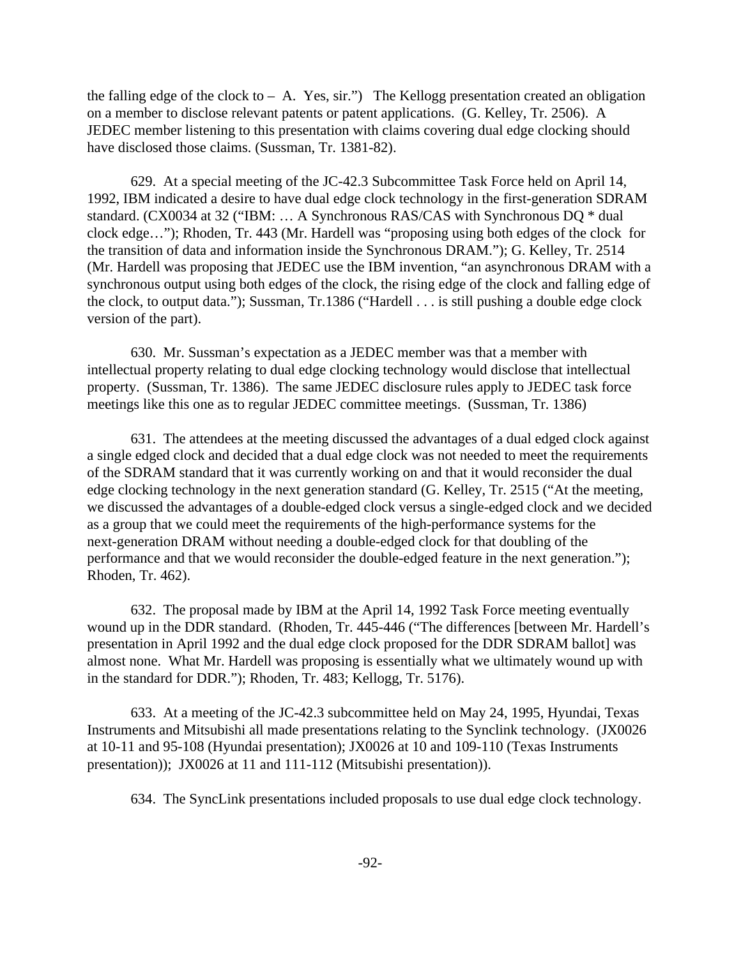the falling edge of the clock to  $-$  A. Yes, sir.") The Kellogg presentation created an obligation on a member to disclose relevant patents or patent applications. (G. Kelley, Tr. 2506). A JEDEC member listening to this presentation with claims covering dual edge clocking should have disclosed those claims. (Sussman, Tr. 1381-82).

629. At a special meeting of the JC-42.3 Subcommittee Task Force held on April 14, 1992, IBM indicated a desire to have dual edge clock technology in the first-generation SDRAM standard. (CX0034 at 32 ("IBM: … A Synchronous RAS/CAS with Synchronous DQ \* dual clock edge…"); Rhoden, Tr. 443 (Mr. Hardell was "proposing using both edges of the clock for the transition of data and information inside the Synchronous DRAM."); G. Kelley, Tr. 2514 (Mr. Hardell was proposing that JEDEC use the IBM invention, "an asynchronous DRAM with a synchronous output using both edges of the clock, the rising edge of the clock and falling edge of the clock, to output data."); Sussman, Tr.1386 ("Hardell . . . is still pushing a double edge clock version of the part).

630. Mr. Sussman's expectation as a JEDEC member was that a member with intellectual property relating to dual edge clocking technology would disclose that intellectual property. (Sussman, Tr. 1386). The same JEDEC disclosure rules apply to JEDEC task force meetings like this one as to regular JEDEC committee meetings. (Sussman, Tr. 1386)

631. The attendees at the meeting discussed the advantages of a dual edged clock against a single edged clock and decided that a dual edge clock was not needed to meet the requirements of the SDRAM standard that it was currently working on and that it would reconsider the dual edge clocking technology in the next generation standard (G. Kelley, Tr. 2515 ("At the meeting, we discussed the advantages of a double-edged clock versus a single-edged clock and we decided as a group that we could meet the requirements of the high-performance systems for the next-generation DRAM without needing a double-edged clock for that doubling of the performance and that we would reconsider the double-edged feature in the next generation."); Rhoden, Tr. 462).

632. The proposal made by IBM at the April 14, 1992 Task Force meeting eventually wound up in the DDR standard. (Rhoden, Tr. 445-446 ("The differences [between Mr. Hardell's presentation in April 1992 and the dual edge clock proposed for the DDR SDRAM ballot] was almost none. What Mr. Hardell was proposing is essentially what we ultimately wound up with in the standard for DDR."); Rhoden, Tr. 483; Kellogg, Tr. 5176).

633. At a meeting of the JC-42.3 subcommittee held on May 24, 1995, Hyundai, Texas Instruments and Mitsubishi all made presentations relating to the Synclink technology. (JX0026 at 10-11 and 95-108 (Hyundai presentation); JX0026 at 10 and 109-110 (Texas Instruments presentation)); JX0026 at 11 and 111-112 (Mitsubishi presentation)).

634. The SyncLink presentations included proposals to use dual edge clock technology.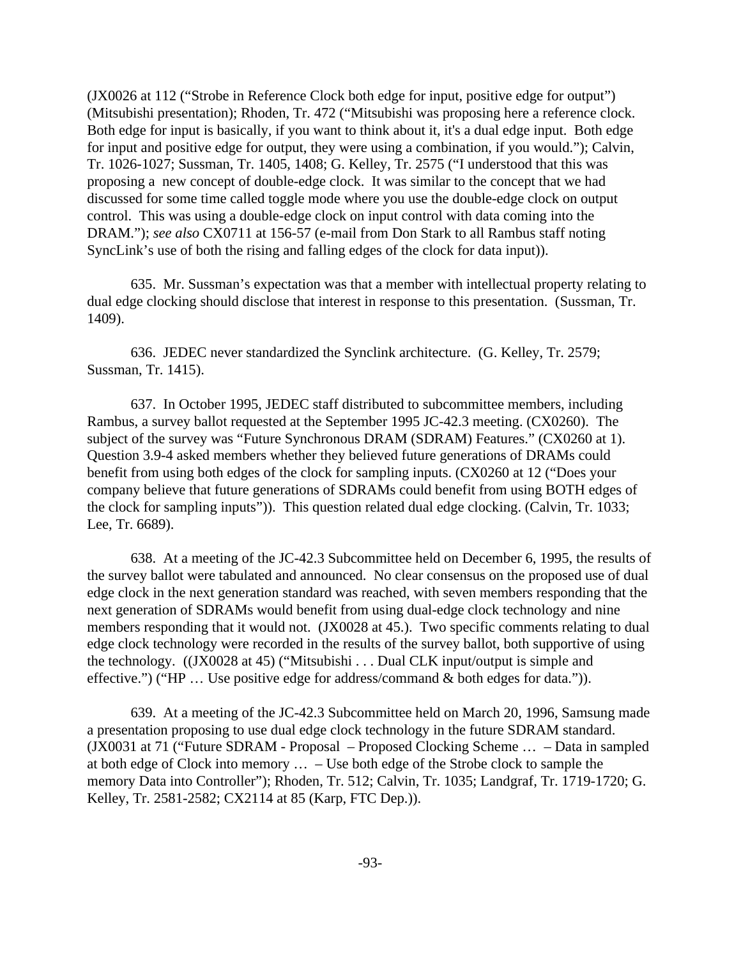(JX0026 at 112 ("Strobe in Reference Clock both edge for input, positive edge for output") (Mitsubishi presentation); Rhoden, Tr. 472 ("Mitsubishi was proposing here a reference clock. Both edge for input is basically, if you want to think about it, it's a dual edge input. Both edge for input and positive edge for output, they were using a combination, if you would."); Calvin, Tr. 1026-1027; Sussman, Tr. 1405, 1408; G. Kelley, Tr. 2575 ("I understood that this was proposing a new concept of double-edge clock. It was similar to the concept that we had discussed for some time called toggle mode where you use the double-edge clock on output control. This was using a double-edge clock on input control with data coming into the DRAM."); *see also* CX0711 at 156-57 (e-mail from Don Stark to all Rambus staff noting SyncLink's use of both the rising and falling edges of the clock for data input)).

635. Mr. Sussman's expectation was that a member with intellectual property relating to dual edge clocking should disclose that interest in response to this presentation. (Sussman, Tr. 1409).

636. JEDEC never standardized the Synclink architecture. (G. Kelley, Tr. 2579; Sussman, Tr. 1415).

637. In October 1995, JEDEC staff distributed to subcommittee members, including Rambus, a survey ballot requested at the September 1995 JC-42.3 meeting. (CX0260). The subject of the survey was "Future Synchronous DRAM (SDRAM) Features." (CX0260 at 1). Question 3.9-4 asked members whether they believed future generations of DRAMs could benefit from using both edges of the clock for sampling inputs. (CX0260 at 12 ("Does your company believe that future generations of SDRAMs could benefit from using BOTH edges of the clock for sampling inputs")). This question related dual edge clocking. (Calvin, Tr. 1033; Lee, Tr. 6689).

638. At a meeting of the JC-42.3 Subcommittee held on December 6, 1995, the results of the survey ballot were tabulated and announced. No clear consensus on the proposed use of dual edge clock in the next generation standard was reached, with seven members responding that the next generation of SDRAMs would benefit from using dual-edge clock technology and nine members responding that it would not. (JX0028 at 45.). Two specific comments relating to dual edge clock technology were recorded in the results of the survey ballot, both supportive of using the technology.((JX0028 at 45) ("Mitsubishi . . . Dual CLK input/output is simple and effective.") ("HP … Use positive edge for address/command & both edges for data.")).

639. At a meeting of the JC-42.3 Subcommittee held on March 20, 1996, Samsung made a presentation proposing to use dual edge clock technology in the future SDRAM standard. (JX0031 at 71 ("Future SDRAM - Proposal – Proposed Clocking Scheme … – Data in sampled at both edge of Clock into memory … – Use both edge of the Strobe clock to sample the memory Data into Controller"); Rhoden, Tr. 512; Calvin, Tr. 1035; Landgraf, Tr. 1719-1720; G. Kelley, Tr. 2581-2582; CX2114 at 85 (Karp, FTC Dep.)).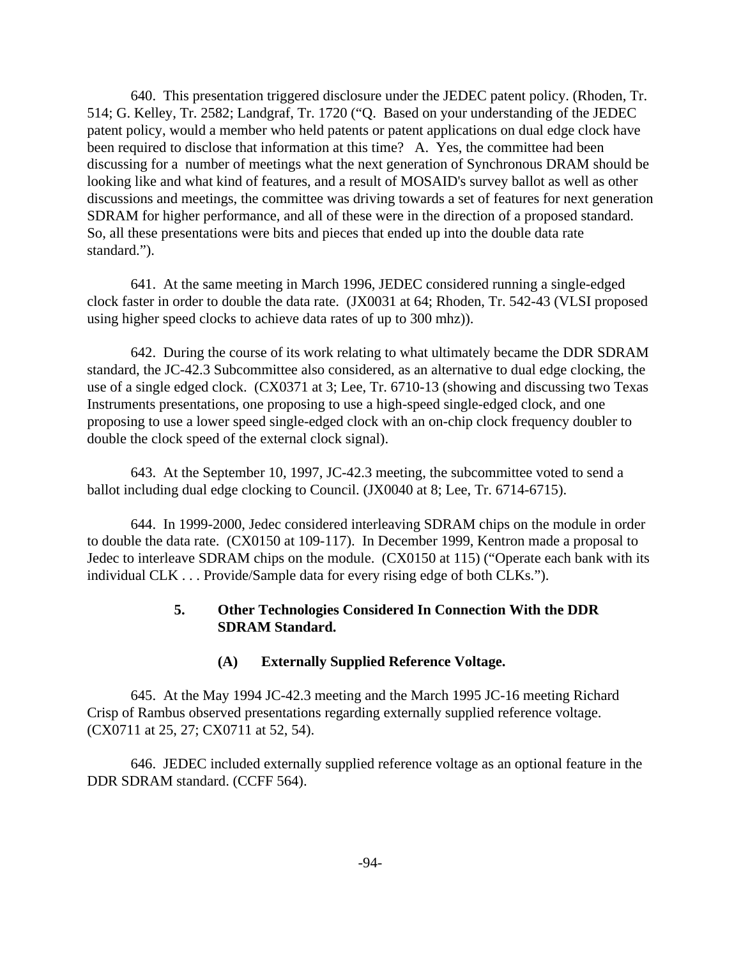640. This presentation triggered disclosure under the JEDEC patent policy. (Rhoden, Tr. 514; G. Kelley, Tr. 2582; Landgraf, Tr. 1720 ("Q. Based on your understanding of the JEDEC patent policy, would a member who held patents or patent applications on dual edge clock have been required to disclose that information at this time? A. Yes, the committee had been discussing for a number of meetings what the next generation of Synchronous DRAM should be looking like and what kind of features, and a result of MOSAID's survey ballot as well as other discussions and meetings, the committee was driving towards a set of features for next generation SDRAM for higher performance, and all of these were in the direction of a proposed standard. So, all these presentations were bits and pieces that ended up into the double data rate standard.").

641. At the same meeting in March 1996, JEDEC considered running a single-edged clock faster in order to double the data rate. (JX0031 at 64; Rhoden, Tr. 542-43 (VLSI proposed using higher speed clocks to achieve data rates of up to 300 mhz)).

642. During the course of its work relating to what ultimately became the DDR SDRAM standard, the JC-42.3 Subcommittee also considered, as an alternative to dual edge clocking, the use of a single edged clock. (CX0371 at 3; Lee, Tr. 6710-13 (showing and discussing two Texas Instruments presentations, one proposing to use a high-speed single-edged clock, and one proposing to use a lower speed single-edged clock with an on-chip clock frequency doubler to double the clock speed of the external clock signal).

643. At the September 10, 1997, JC-42.3 meeting, the subcommittee voted to send a ballot including dual edge clocking to Council. (JX0040 at 8; Lee, Tr. 6714-6715).

644. In 1999-2000, Jedec considered interleaving SDRAM chips on the module in order to double the data rate. (CX0150 at 109-117). In December 1999, Kentron made a proposal to Jedec to interleave SDRAM chips on the module. (CX0150 at 115) ("Operate each bank with its individual CLK . . . Provide/Sample data for every rising edge of both CLKs.").

# **5. Other Technologies Considered In Connection With the DDR SDRAM Standard.**

# **(A) Externally Supplied Reference Voltage.**

645. At the May 1994 JC-42.3 meeting and the March 1995 JC-16 meeting Richard Crisp of Rambus observed presentations regarding externally supplied reference voltage. (CX0711 at 25, 27; CX0711 at 52, 54).

646. JEDEC included externally supplied reference voltage as an optional feature in the DDR SDRAM standard. (CCFF 564).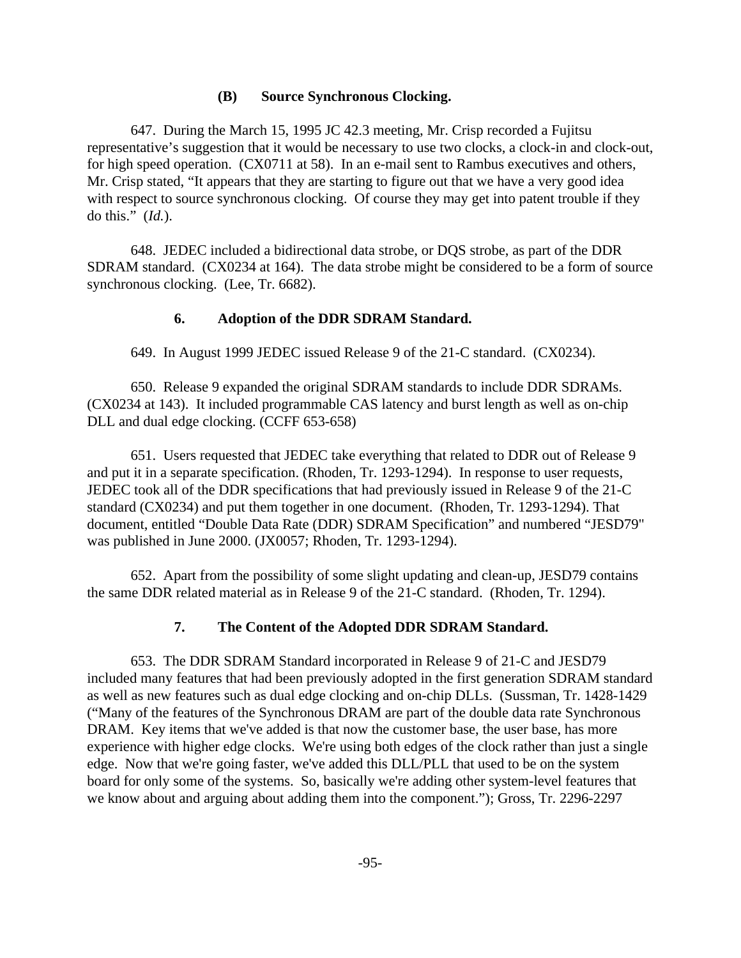#### **(B) Source Synchronous Clocking.**

647. During the March 15, 1995 JC 42.3 meeting, Mr. Crisp recorded a Fujitsu representative's suggestion that it would be necessary to use two clocks, a clock-in and clock-out, for high speed operation. (CX0711 at 58). In an e-mail sent to Rambus executives and others, Mr. Crisp stated, "It appears that they are starting to figure out that we have a very good idea with respect to source synchronous clocking. Of course they may get into patent trouble if they do this." (*Id.*).

648. JEDEC included a bidirectional data strobe, or DQS strobe, as part of the DDR SDRAM standard. (CX0234 at 164). The data strobe might be considered to be a form of source synchronous clocking. (Lee, Tr. 6682).

#### **6. Adoption of the DDR SDRAM Standard.**

649. In August 1999 JEDEC issued Release 9 of the 21-C standard. (CX0234).

650. Release 9 expanded the original SDRAM standards to include DDR SDRAMs. (CX0234 at 143). It included programmable CAS latency and burst length as well as on-chip DLL and dual edge clocking. (CCFF 653-658)

651. Users requested that JEDEC take everything that related to DDR out of Release 9 and put it in a separate specification. (Rhoden, Tr. 1293-1294). In response to user requests, JEDEC took all of the DDR specifications that had previously issued in Release 9 of the 21-C standard (CX0234) and put them together in one document. (Rhoden, Tr. 1293-1294). That document, entitled "Double Data Rate (DDR) SDRAM Specification" and numbered "JESD79" was published in June 2000. (JX0057; Rhoden, Tr. 1293-1294).

652. Apart from the possibility of some slight updating and clean-up, JESD79 contains the same DDR related material as in Release 9 of the 21-C standard. (Rhoden, Tr. 1294).

# **7. The Content of the Adopted DDR SDRAM Standard.**

653. The DDR SDRAM Standard incorporated in Release 9 of 21-C and JESD79 included many features that had been previously adopted in the first generation SDRAM standard as well as new features such as dual edge clocking and on-chip DLLs. (Sussman, Tr. 1428-1429 ("Many of the features of the Synchronous DRAM are part of the double data rate Synchronous DRAM. Key items that we've added is that now the customer base, the user base, has more experience with higher edge clocks. We're using both edges of the clock rather than just a single edge. Now that we're going faster, we've added this DLL/PLL that used to be on the system board for only some of the systems. So, basically we're adding other system-level features that we know about and arguing about adding them into the component."); Gross, Tr. 2296-2297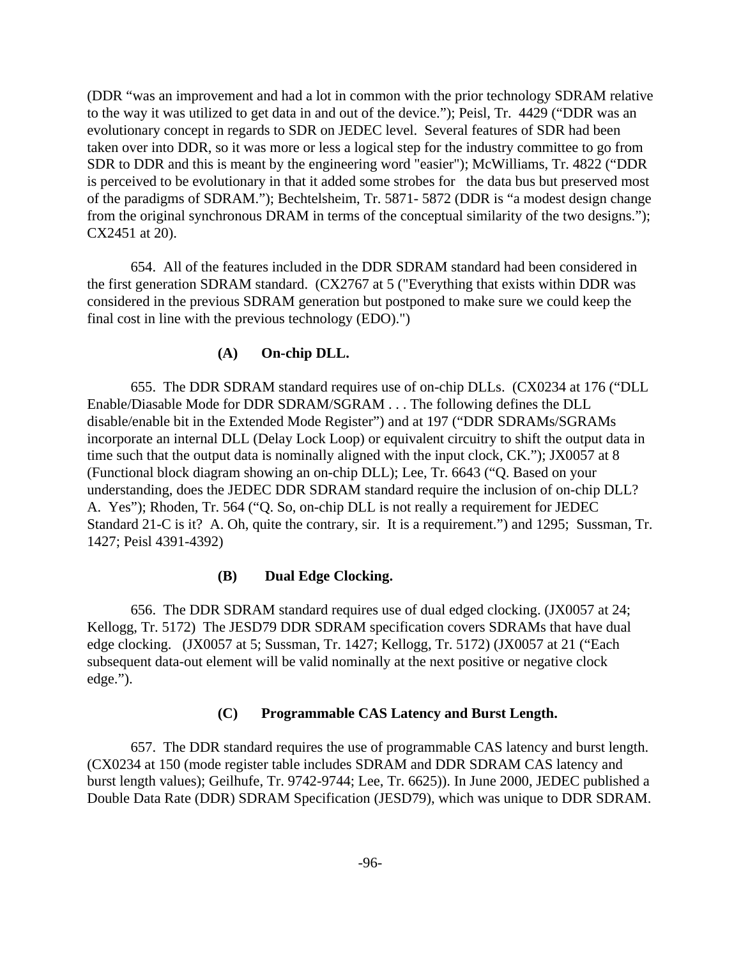(DDR "was an improvement and had a lot in common with the prior technology SDRAM relative to the way it was utilized to get data in and out of the device."); Peisl, Tr. 4429 ("DDR was an evolutionary concept in regards to SDR on JEDEC level. Several features of SDR had been taken over into DDR, so it was more or less a logical step for the industry committee to go from SDR to DDR and this is meant by the engineering word "easier"); McWilliams, Tr. 4822 ("DDR is perceived to be evolutionary in that it added some strobes for the data bus but preserved most of the paradigms of SDRAM."); Bechtelsheim, Tr. 5871- 5872 (DDR is "a modest design change from the original synchronous DRAM in terms of the conceptual similarity of the two designs."); CX2451 at 20).

654. All of the features included in the DDR SDRAM standard had been considered in the first generation SDRAM standard. (CX2767 at 5 ("Everything that exists within DDR was considered in the previous SDRAM generation but postponed to make sure we could keep the final cost in line with the previous technology (EDO).")

#### **(A) On-chip DLL.**

655. The DDR SDRAM standard requires use of on-chip DLLs. (CX0234 at 176 ("DLL Enable/Diasable Mode for DDR SDRAM/SGRAM . . . The following defines the DLL disable/enable bit in the Extended Mode Register") and at 197 ("DDR SDRAMs/SGRAMs incorporate an internal DLL (Delay Lock Loop) or equivalent circuitry to shift the output data in time such that the output data is nominally aligned with the input clock, CK."); JX0057 at 8 (Functional block diagram showing an on-chip DLL); Lee, Tr. 6643 ("Q. Based on your understanding, does the JEDEC DDR SDRAM standard require the inclusion of on-chip DLL? A. Yes"); Rhoden, Tr. 564 ("Q. So, on-chip DLL is not really a requirement for JEDEC Standard 21-C is it? A. Oh, quite the contrary, sir. It is a requirement.") and 1295; Sussman, Tr. 1427; Peisl 4391-4392)

#### **(B) Dual Edge Clocking.**

656. The DDR SDRAM standard requires use of dual edged clocking. (JX0057 at 24; Kellogg, Tr. 5172) The JESD79 DDR SDRAM specification covers SDRAMs that have dual edge clocking. (JX0057 at 5; Sussman, Tr. 1427; Kellogg, Tr. 5172) (JX0057 at 21 ("Each subsequent data-out element will be valid nominally at the next positive or negative clock edge.").

#### **(C) Programmable CAS Latency and Burst Length.**

657. The DDR standard requires the use of programmable CAS latency and burst length. (CX0234 at 150 (mode register table includes SDRAM and DDR SDRAM CAS latency and burst length values); Geilhufe, Tr. 9742-9744; Lee, Tr. 6625)). In June 2000, JEDEC published a Double Data Rate (DDR) SDRAM Specification (JESD79), which was unique to DDR SDRAM.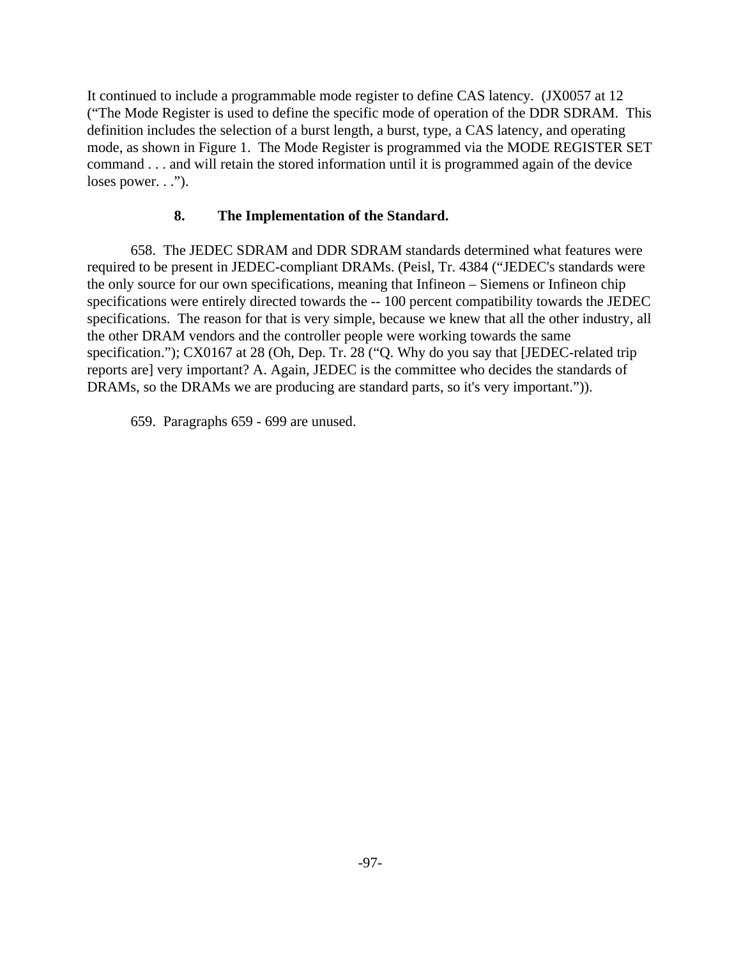It continued to include a programmable mode register to define CAS latency. (JX0057 at 12 ("The Mode Register is used to define the specific mode of operation of the DDR SDRAM. This definition includes the selection of a burst length, a burst, type, a CAS latency, and operating mode, as shown in Figure 1. The Mode Register is programmed via the MODE REGISTER SET command . . . and will retain the stored information until it is programmed again of the device loses power. . .").

# **8. The Implementation of the Standard.**

658. The JEDEC SDRAM and DDR SDRAM standards determined what features were required to be present in JEDEC-compliant DRAMs. (Peisl, Tr. 4384 ("JEDEC's standards were the only source for our own specifications, meaning that Infineon – Siemens or Infineon chip specifications were entirely directed towards the -- 100 percent compatibility towards the JEDEC specifications. The reason for that is very simple, because we knew that all the other industry, all the other DRAM vendors and the controller people were working towards the same specification."); CX0167 at 28 (Oh, Dep. Tr. 28 ("Q. Why do you say that [JEDEC-related trip reports are] very important? A. Again, JEDEC is the committee who decides the standards of DRAMs, so the DRAMs we are producing are standard parts, so it's very important.")).

659. Paragraphs 659 - 699 are unused.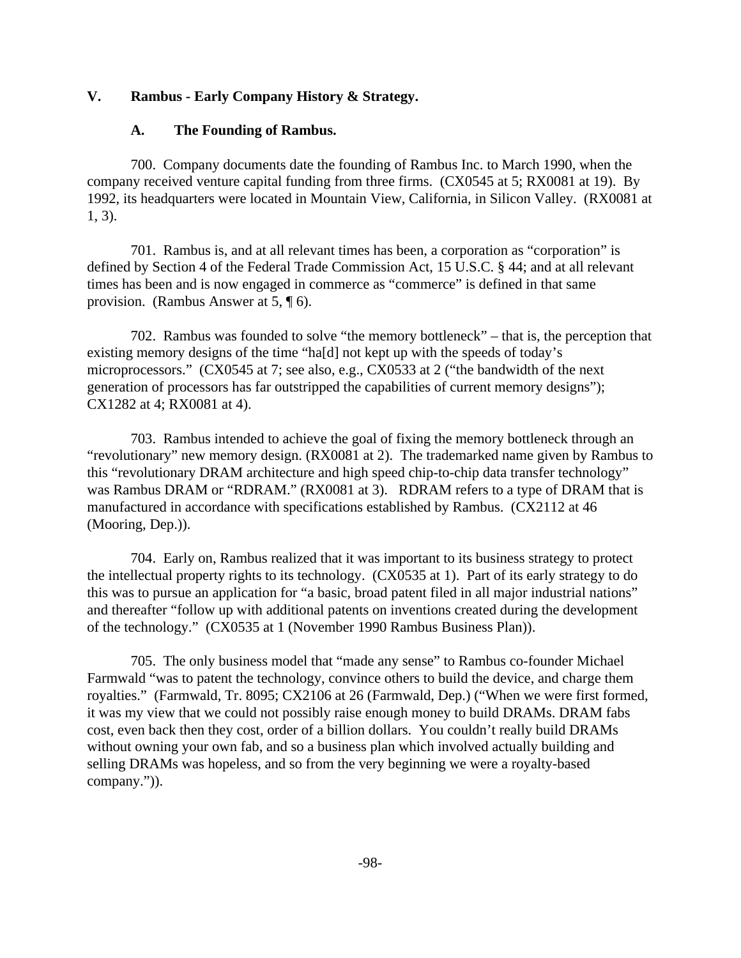#### **V. Rambus - Early Company History & Strategy.**

#### **A. The Founding of Rambus.**

700. Company documents date the founding of Rambus Inc. to March 1990, when the company received venture capital funding from three firms. (CX0545 at 5; RX0081 at 19). By 1992, its headquarters were located in Mountain View, California, in Silicon Valley. (RX0081 at 1, 3).

701. Rambus is, and at all relevant times has been, a corporation as "corporation" is defined by Section 4 of the Federal Trade Commission Act, 15 U.S.C. § 44; and at all relevant times has been and is now engaged in commerce as "commerce" is defined in that same provision. (Rambus Answer at 5, ¶ 6).

702. Rambus was founded to solve "the memory bottleneck" – that is, the perception that existing memory designs of the time "ha[d] not kept up with the speeds of today's microprocessors." (CX0545 at 7; see also, e.g., CX0533 at 2 ("the bandwidth of the next generation of processors has far outstripped the capabilities of current memory designs"); CX1282 at 4; RX0081 at 4).

703. Rambus intended to achieve the goal of fixing the memory bottleneck through an "revolutionary" new memory design. (RX0081 at 2). The trademarked name given by Rambus to this "revolutionary DRAM architecture and high speed chip-to-chip data transfer technology" was Rambus DRAM or "RDRAM." (RX0081 at 3). RDRAM refers to a type of DRAM that is manufactured in accordance with specifications established by Rambus. (CX2112 at 46 (Mooring, Dep.)).

704. Early on, Rambus realized that it was important to its business strategy to protect the intellectual property rights to its technology. (CX0535 at 1). Part of its early strategy to do this was to pursue an application for "a basic, broad patent filed in all major industrial nations" and thereafter "follow up with additional patents on inventions created during the development of the technology." (CX0535 at 1 (November 1990 Rambus Business Plan)).

705. The only business model that "made any sense" to Rambus co-founder Michael Farmwald "was to patent the technology, convince others to build the device, and charge them royalties." (Farmwald, Tr. 8095; CX2106 at 26 (Farmwald, Dep.) ("When we were first formed, it was my view that we could not possibly raise enough money to build DRAMs. DRAM fabs cost, even back then they cost, order of a billion dollars. You couldn't really build DRAMs without owning your own fab, and so a business plan which involved actually building and selling DRAMs was hopeless, and so from the very beginning we were a royalty-based company.")).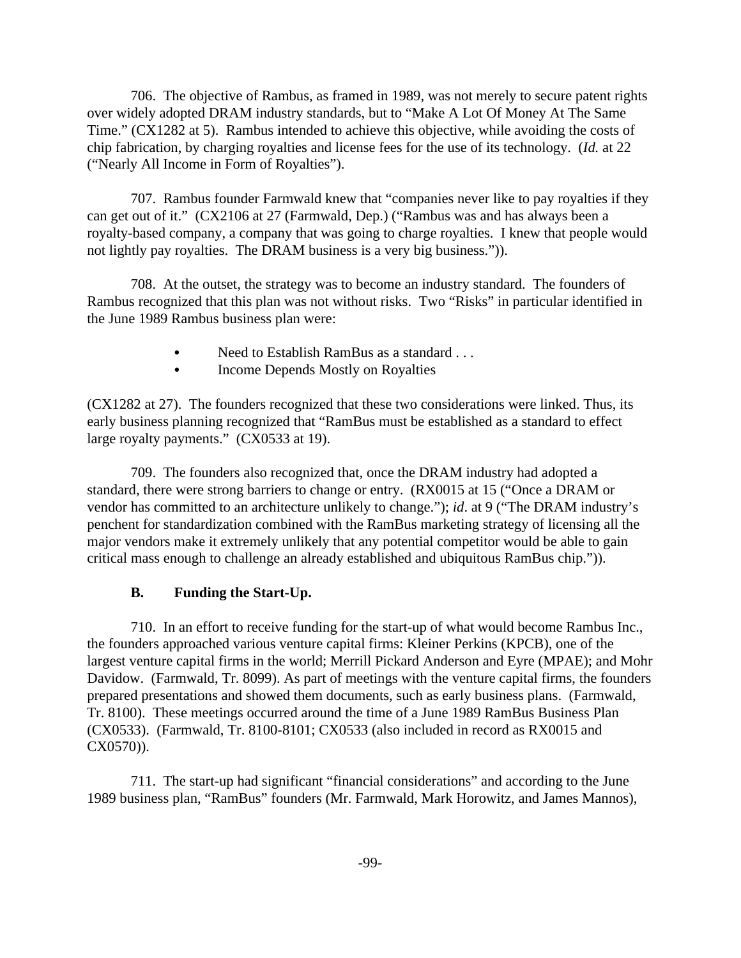706. The objective of Rambus, as framed in 1989, was not merely to secure patent rights over widely adopted DRAM industry standards, but to "Make A Lot Of Money At The Same Time." (CX1282 at 5). Rambus intended to achieve this objective, while avoiding the costs of chip fabrication, by charging royalties and license fees for the use of its technology. (*Id.* at 22 ("Nearly All Income in Form of Royalties").

707. Rambus founder Farmwald knew that "companies never like to pay royalties if they can get out of it." (CX2106 at 27 (Farmwald, Dep.) ("Rambus was and has always been a royalty-based company, a company that was going to charge royalties. I knew that people would not lightly pay royalties. The DRAM business is a very big business.")).

708. At the outset, the strategy was to become an industry standard. The founders of Rambus recognized that this plan was not without risks. Two "Risks" in particular identified in the June 1989 Rambus business plan were:

- Need to Establish RamBus as a standard . . .
- Income Depends Mostly on Royalties

(CX1282 at 27). The founders recognized that these two considerations were linked. Thus, its early business planning recognized that "RamBus must be established as a standard to effect large royalty payments." (CX0533 at 19).

709. The founders also recognized that, once the DRAM industry had adopted a standard, there were strong barriers to change or entry. (RX0015 at 15 ("Once a DRAM or vendor has committed to an architecture unlikely to change."); *id*. at 9 ("The DRAM industry's penchent for standardization combined with the RamBus marketing strategy of licensing all the major vendors make it extremely unlikely that any potential competitor would be able to gain critical mass enough to challenge an already established and ubiquitous RamBus chip.")).

# **B. Funding the Start-Up.**

710. In an effort to receive funding for the start-up of what would become Rambus Inc., the founders approached various venture capital firms: Kleiner Perkins (KPCB), one of the largest venture capital firms in the world; Merrill Pickard Anderson and Eyre (MPAE); and Mohr Davidow. (Farmwald, Tr. 8099). As part of meetings with the venture capital firms, the founders prepared presentations and showed them documents, such as early business plans. (Farmwald, Tr. 8100). These meetings occurred around the time of a June 1989 RamBus Business Plan (CX0533). (Farmwald, Tr. 8100-8101; CX0533 (also included in record as RX0015 and CX0570)).

711. The start-up had significant "financial considerations" and according to the June 1989 business plan, "RamBus" founders (Mr. Farmwald, Mark Horowitz, and James Mannos),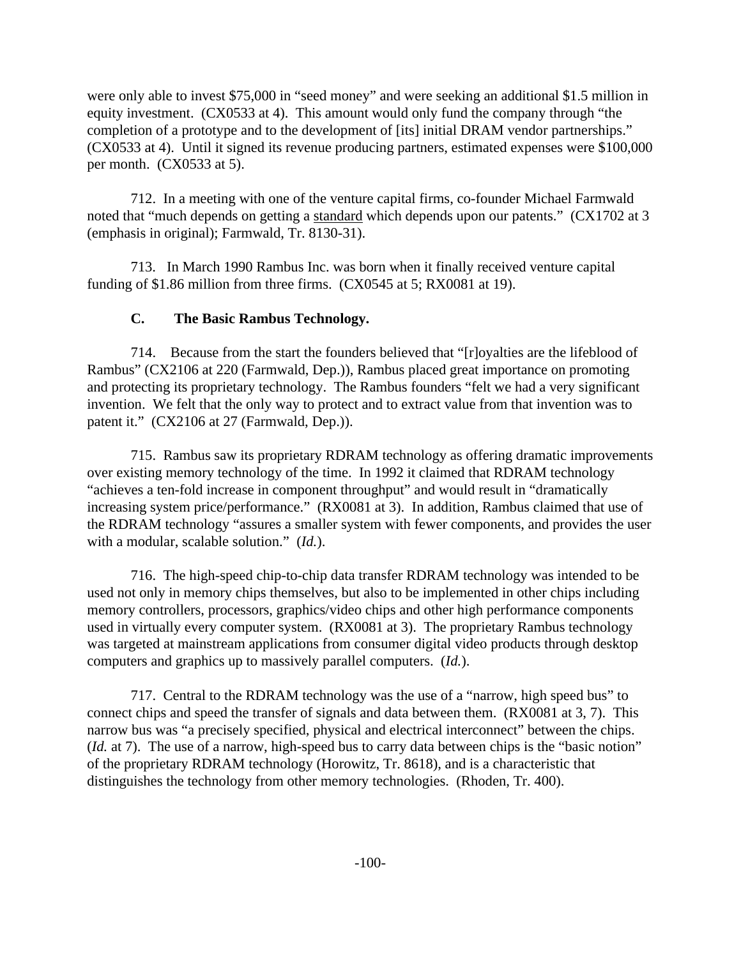were only able to invest \$75,000 in "seed money" and were seeking an additional \$1.5 million in equity investment. (CX0533 at 4). This amount would only fund the company through "the completion of a prototype and to the development of [its] initial DRAM vendor partnerships." (CX0533 at 4). Until it signed its revenue producing partners, estimated expenses were \$100,000 per month. (CX0533 at 5).

712. In a meeting with one of the venture capital firms, co-founder Michael Farmwald noted that "much depends on getting a standard which depends upon our patents." (CX1702 at 3 (emphasis in original); Farmwald, Tr. 8130-31).

713. In March 1990 Rambus Inc. was born when it finally received venture capital funding of \$1.86 million from three firms. (CX0545 at 5; RX0081 at 19).

# **C. The Basic Rambus Technology.**

714. Because from the start the founders believed that "[r]oyalties are the lifeblood of Rambus" (CX2106 at 220 (Farmwald, Dep.)), Rambus placed great importance on promoting and protecting its proprietary technology. The Rambus founders "felt we had a very significant invention. We felt that the only way to protect and to extract value from that invention was to patent it." (CX2106 at 27 (Farmwald, Dep.)).

715. Rambus saw its proprietary RDRAM technology as offering dramatic improvements over existing memory technology of the time. In 1992 it claimed that RDRAM technology "achieves a ten-fold increase in component throughput" and would result in "dramatically increasing system price/performance." (RX0081 at 3). In addition, Rambus claimed that use of the RDRAM technology "assures a smaller system with fewer components, and provides the user with a modular, scalable solution." (*Id.*).

716. The high-speed chip-to-chip data transfer RDRAM technology was intended to be used not only in memory chips themselves, but also to be implemented in other chips including memory controllers, processors, graphics/video chips and other high performance components used in virtually every computer system. (RX0081 at 3). The proprietary Rambus technology was targeted at mainstream applications from consumer digital video products through desktop computers and graphics up to massively parallel computers. (*Id.*).

717. Central to the RDRAM technology was the use of a "narrow, high speed bus" to connect chips and speed the transfer of signals and data between them. (RX0081 at 3, 7). This narrow bus was "a precisely specified, physical and electrical interconnect" between the chips. (*Id.* at 7). The use of a narrow, high-speed bus to carry data between chips is the "basic notion" of the proprietary RDRAM technology (Horowitz, Tr. 8618), and is a characteristic that distinguishes the technology from other memory technologies. (Rhoden, Tr. 400).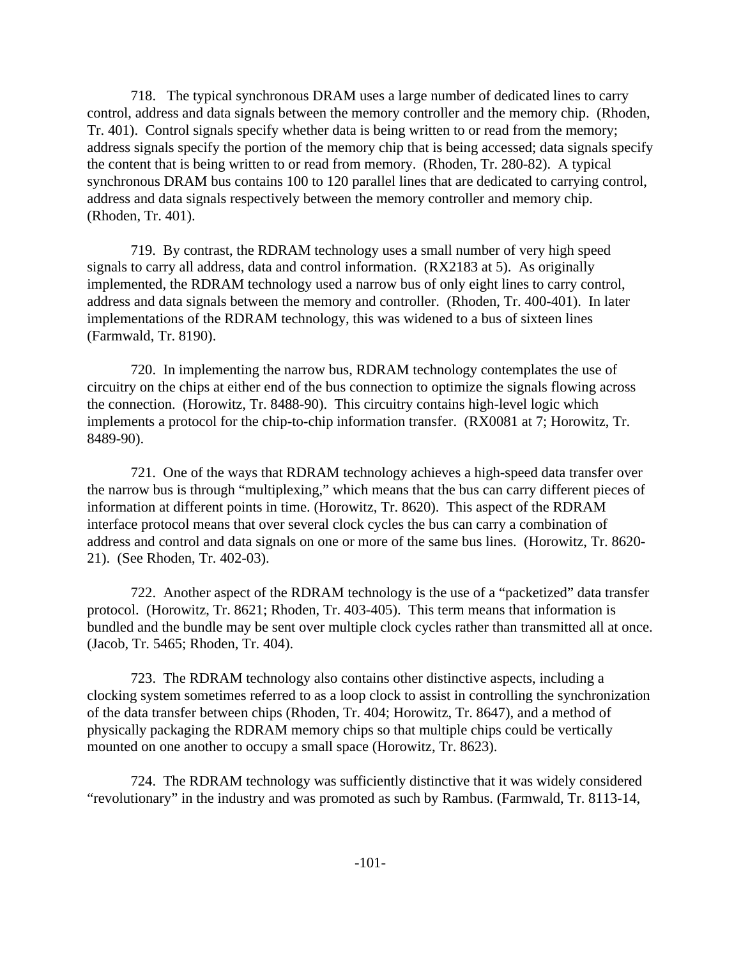718. The typical synchronous DRAM uses a large number of dedicated lines to carry control, address and data signals between the memory controller and the memory chip. (Rhoden, Tr. 401). Control signals specify whether data is being written to or read from the memory; address signals specify the portion of the memory chip that is being accessed; data signals specify the content that is being written to or read from memory. (Rhoden, Tr. 280-82). A typical synchronous DRAM bus contains 100 to 120 parallel lines that are dedicated to carrying control, address and data signals respectively between the memory controller and memory chip. (Rhoden, Tr. 401).

719. By contrast, the RDRAM technology uses a small number of very high speed signals to carry all address, data and control information. (RX2183 at 5). As originally implemented, the RDRAM technology used a narrow bus of only eight lines to carry control, address and data signals between the memory and controller. (Rhoden, Tr. 400-401). In later implementations of the RDRAM technology, this was widened to a bus of sixteen lines (Farmwald, Tr. 8190).

720. In implementing the narrow bus, RDRAM technology contemplates the use of circuitry on the chips at either end of the bus connection to optimize the signals flowing across the connection. (Horowitz, Tr. 8488-90). This circuitry contains high-level logic which implements a protocol for the chip-to-chip information transfer. (RX0081 at 7; Horowitz, Tr. 8489-90).

721. One of the ways that RDRAM technology achieves a high-speed data transfer over the narrow bus is through "multiplexing," which means that the bus can carry different pieces of information at different points in time. (Horowitz, Tr. 8620). This aspect of the RDRAM interface protocol means that over several clock cycles the bus can carry a combination of address and control and data signals on one or more of the same bus lines. (Horowitz, Tr. 8620- 21). (See Rhoden, Tr. 402-03).

722. Another aspect of the RDRAM technology is the use of a "packetized" data transfer protocol. (Horowitz, Tr. 8621; Rhoden, Tr. 403-405). This term means that information is bundled and the bundle may be sent over multiple clock cycles rather than transmitted all at once. (Jacob, Tr. 5465; Rhoden, Tr. 404).

723. The RDRAM technology also contains other distinctive aspects, including a clocking system sometimes referred to as a loop clock to assist in controlling the synchronization of the data transfer between chips (Rhoden, Tr. 404; Horowitz, Tr. 8647), and a method of physically packaging the RDRAM memory chips so that multiple chips could be vertically mounted on one another to occupy a small space (Horowitz, Tr. 8623).

724. The RDRAM technology was sufficiently distinctive that it was widely considered "revolutionary" in the industry and was promoted as such by Rambus. (Farmwald, Tr. 8113-14,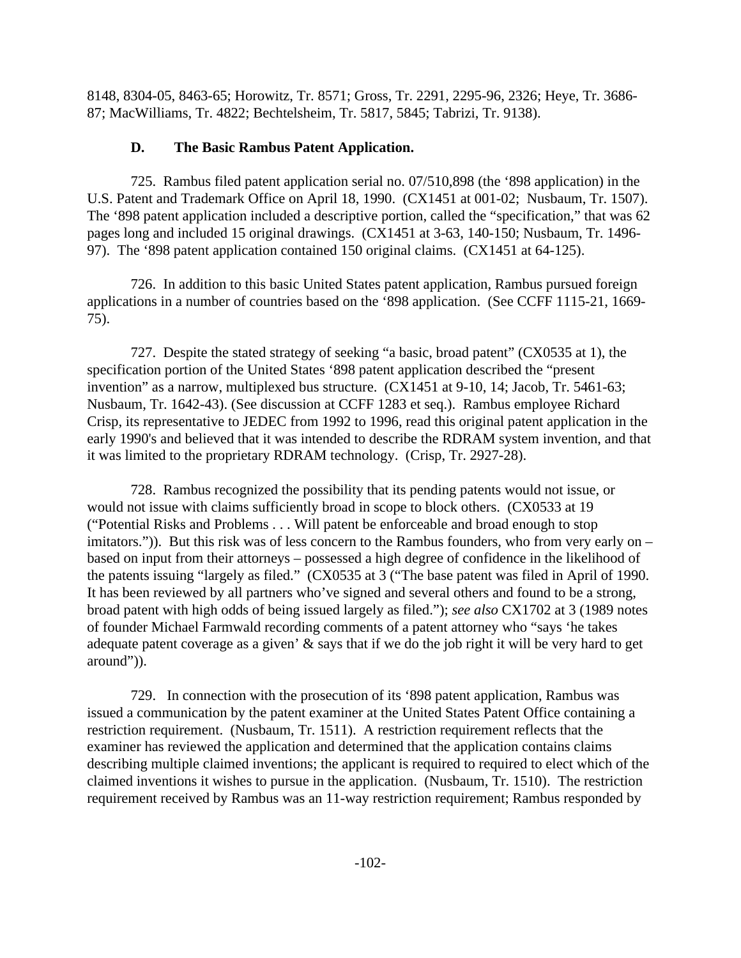8148, 8304-05, 8463-65; Horowitz, Tr. 8571; Gross, Tr. 2291, 2295-96, 2326; Heye, Tr. 3686- 87; MacWilliams, Tr. 4822; Bechtelsheim, Tr. 5817, 5845; Tabrizi, Tr. 9138).

## **D. The Basic Rambus Patent Application.**

725. Rambus filed patent application serial no. 07/510,898 (the '898 application) in the U.S. Patent and Trademark Office on April 18, 1990. (CX1451 at 001-02; Nusbaum, Tr. 1507). The '898 patent application included a descriptive portion, called the "specification," that was 62 pages long and included 15 original drawings. (CX1451 at 3-63, 140-150; Nusbaum, Tr. 1496- 97). The '898 patent application contained 150 original claims. (CX1451 at 64-125).

726. In addition to this basic United States patent application, Rambus pursued foreign applications in a number of countries based on the '898 application. (See CCFF 1115-21, 1669- 75).

727. Despite the stated strategy of seeking "a basic, broad patent" (CX0535 at 1), the specification portion of the United States '898 patent application described the "present invention" as a narrow, multiplexed bus structure. (CX1451 at 9-10, 14; Jacob, Tr. 5461-63; Nusbaum, Tr. 1642-43). (See discussion at CCFF 1283 et seq.). Rambus employee Richard Crisp, its representative to JEDEC from 1992 to 1996, read this original patent application in the early 1990's and believed that it was intended to describe the RDRAM system invention, and that it was limited to the proprietary RDRAM technology. (Crisp, Tr. 2927-28).

728. Rambus recognized the possibility that its pending patents would not issue, or would not issue with claims sufficiently broad in scope to block others. (CX0533 at 19 ("Potential Risks and Problems . . . Will patent be enforceable and broad enough to stop imitators.")). But this risk was of less concern to the Rambus founders, who from very early on – based on input from their attorneys – possessed a high degree of confidence in the likelihood of the patents issuing "largely as filed." (CX0535 at 3 ("The base patent was filed in April of 1990. It has been reviewed by all partners who've signed and several others and found to be a strong, broad patent with high odds of being issued largely as filed."); *see also* CX1702 at 3 (1989 notes of founder Michael Farmwald recording comments of a patent attorney who "says 'he takes adequate patent coverage as a given' & says that if we do the job right it will be very hard to get around")).

729. In connection with the prosecution of its '898 patent application, Rambus was issued a communication by the patent examiner at the United States Patent Office containing a restriction requirement. (Nusbaum, Tr. 1511). A restriction requirement reflects that the examiner has reviewed the application and determined that the application contains claims describing multiple claimed inventions; the applicant is required to required to elect which of the claimed inventions it wishes to pursue in the application. (Nusbaum, Tr. 1510). The restriction requirement received by Rambus was an 11-way restriction requirement; Rambus responded by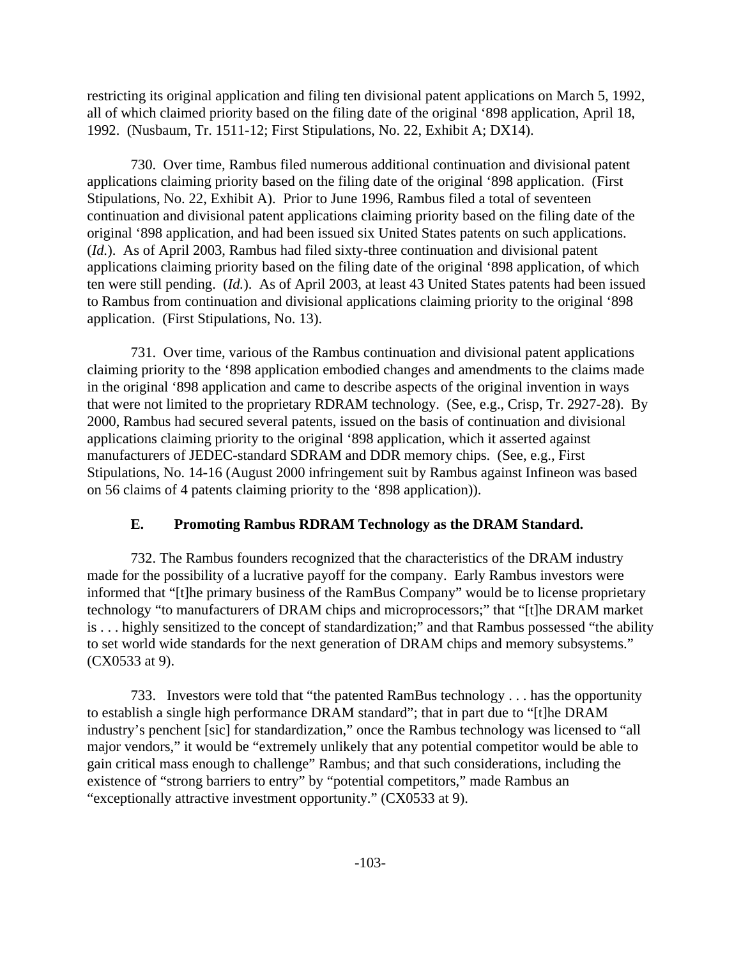restricting its original application and filing ten divisional patent applications on March 5, 1992, all of which claimed priority based on the filing date of the original '898 application, April 18, 1992. (Nusbaum, Tr. 1511-12; First Stipulations, No. 22, Exhibit A; DX14).

730. Over time, Rambus filed numerous additional continuation and divisional patent applications claiming priority based on the filing date of the original '898 application. (First Stipulations, No. 22, Exhibit A). Prior to June 1996, Rambus filed a total of seventeen continuation and divisional patent applications claiming priority based on the filing date of the original '898 application, and had been issued six United States patents on such applications. (*Id.*). As of April 2003, Rambus had filed sixty-three continuation and divisional patent applications claiming priority based on the filing date of the original '898 application, of which ten were still pending. (*Id.*). As of April 2003, at least 43 United States patents had been issued to Rambus from continuation and divisional applications claiming priority to the original '898 application. (First Stipulations, No. 13).

731. Over time, various of the Rambus continuation and divisional patent applications claiming priority to the '898 application embodied changes and amendments to the claims made in the original '898 application and came to describe aspects of the original invention in ways that were not limited to the proprietary RDRAM technology. (See, e.g., Crisp, Tr. 2927-28). By 2000, Rambus had secured several patents, issued on the basis of continuation and divisional applications claiming priority to the original '898 application, which it asserted against manufacturers of JEDEC-standard SDRAM and DDR memory chips. (See, e.g., First Stipulations, No. 14-16 (August 2000 infringement suit by Rambus against Infineon was based on 56 claims of 4 patents claiming priority to the '898 application)).

#### **E. Promoting Rambus RDRAM Technology as the DRAM Standard.**

732. The Rambus founders recognized that the characteristics of the DRAM industry made for the possibility of a lucrative payoff for the company. Early Rambus investors were informed that "[t]he primary business of the RamBus Company" would be to license proprietary technology "to manufacturers of DRAM chips and microprocessors;" that "[t]he DRAM market is . . . highly sensitized to the concept of standardization;" and that Rambus possessed "the ability to set world wide standards for the next generation of DRAM chips and memory subsystems." (CX0533 at 9).

733. Investors were told that "the patented RamBus technology . . . has the opportunity to establish a single high performance DRAM standard"; that in part due to "[t]he DRAM industry's penchent [sic] for standardization," once the Rambus technology was licensed to "all major vendors," it would be "extremely unlikely that any potential competitor would be able to gain critical mass enough to challenge" Rambus; and that such considerations, including the existence of "strong barriers to entry" by "potential competitors," made Rambus an "exceptionally attractive investment opportunity." (CX0533 at 9).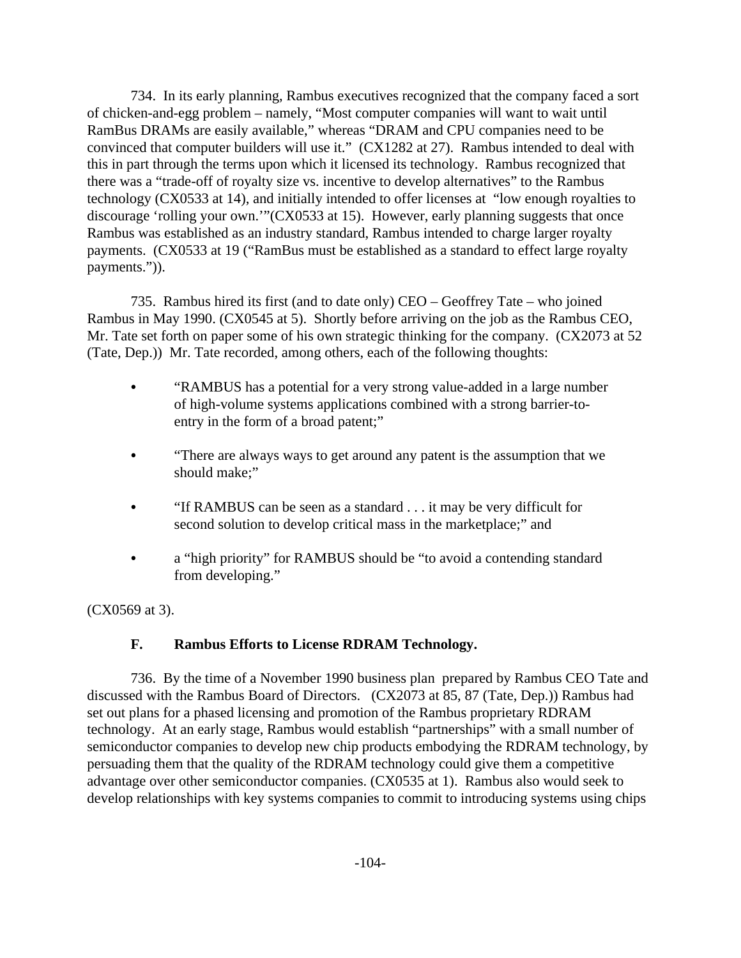734. In its early planning, Rambus executives recognized that the company faced a sort of chicken-and-egg problem – namely, "Most computer companies will want to wait until RamBus DRAMs are easily available," whereas "DRAM and CPU companies need to be convinced that computer builders will use it." (CX1282 at 27). Rambus intended to deal with this in part through the terms upon which it licensed its technology. Rambus recognized that there was a "trade-off of royalty size vs. incentive to develop alternatives" to the Rambus technology (CX0533 at 14), and initially intended to offer licenses at "low enough royalties to discourage 'rolling your own.'"(CX0533 at 15). However, early planning suggests that once Rambus was established as an industry standard, Rambus intended to charge larger royalty payments. (CX0533 at 19 ("RamBus must be established as a standard to effect large royalty payments.")).

735. Rambus hired its first (and to date only) CEO – Geoffrey Tate – who joined Rambus in May 1990. (CX0545 at 5). Shortly before arriving on the job as the Rambus CEO, Mr. Tate set forth on paper some of his own strategic thinking for the company. (CX2073 at 52 (Tate, Dep.)) Mr. Tate recorded, among others, each of the following thoughts:

- "RAMBUS has a potential for a very strong value-added in a large number of high-volume systems applications combined with a strong barrier-toentry in the form of a broad patent;"
- "There are always ways to get around any patent is the assumption that we should make;"
- $\bullet$  "If RAMBUS can be seen as a standard . . . it may be very difficult for second solution to develop critical mass in the marketplace;" and
- a "high priority" for RAMBUS should be "to avoid a contending standard from developing."

(CX0569 at 3).

# **F. Rambus Efforts to License RDRAM Technology.**

736. By the time of a November 1990 business plan prepared by Rambus CEO Tate and discussed with the Rambus Board of Directors. (CX2073 at 85, 87 (Tate, Dep.)) Rambus had set out plans for a phased licensing and promotion of the Rambus proprietary RDRAM technology. At an early stage, Rambus would establish "partnerships" with a small number of semiconductor companies to develop new chip products embodying the RDRAM technology, by persuading them that the quality of the RDRAM technology could give them a competitive advantage over other semiconductor companies. (CX0535 at 1). Rambus also would seek to develop relationships with key systems companies to commit to introducing systems using chips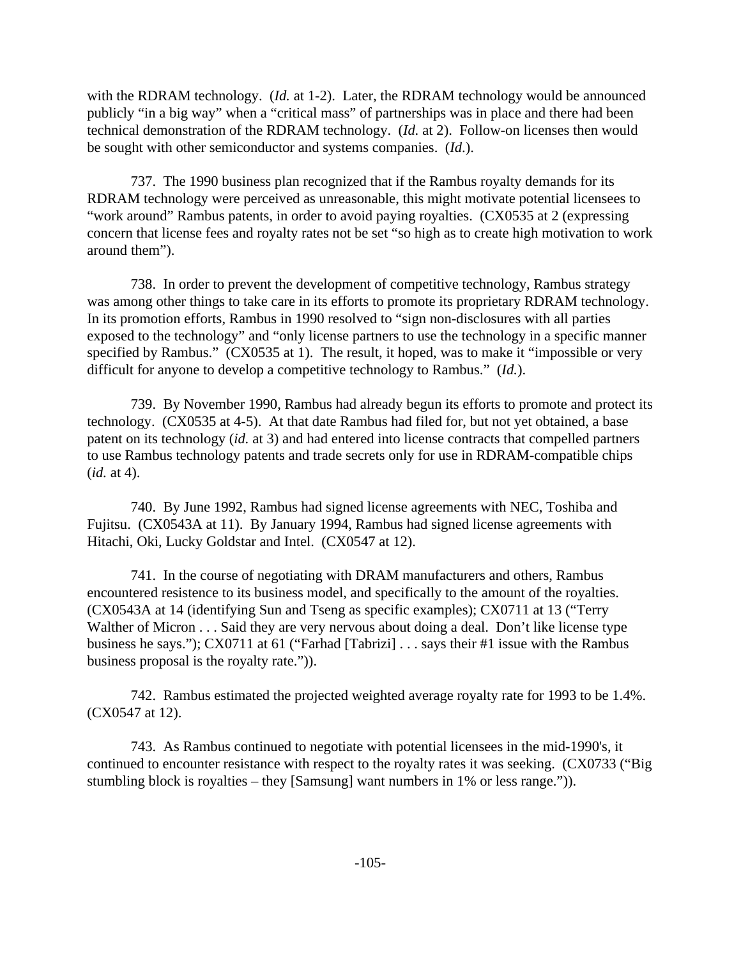with the RDRAM technology. (*Id.* at 1-2). Later, the RDRAM technology would be announced publicly "in a big way" when a "critical mass" of partnerships was in place and there had been technical demonstration of the RDRAM technology. (*Id.* at 2). Follow-on licenses then would be sought with other semiconductor and systems companies. (*Id*.).

737. The 1990 business plan recognized that if the Rambus royalty demands for its RDRAM technology were perceived as unreasonable, this might motivate potential licensees to "work around" Rambus patents, in order to avoid paying royalties. (CX0535 at 2 (expressing concern that license fees and royalty rates not be set "so high as to create high motivation to work around them").

738. In order to prevent the development of competitive technology, Rambus strategy was among other things to take care in its efforts to promote its proprietary RDRAM technology. In its promotion efforts, Rambus in 1990 resolved to "sign non-disclosures with all parties exposed to the technology" and "only license partners to use the technology in a specific manner specified by Rambus." (CX0535 at 1). The result, it hoped, was to make it "impossible or very difficult for anyone to develop a competitive technology to Rambus." (*Id.*).

739. By November 1990, Rambus had already begun its efforts to promote and protect its technology. (CX0535 at 4-5). At that date Rambus had filed for, but not yet obtained, a base patent on its technology (*id.* at 3) and had entered into license contracts that compelled partners to use Rambus technology patents and trade secrets only for use in RDRAM-compatible chips (*id.* at 4).

740. By June 1992, Rambus had signed license agreements with NEC, Toshiba and Fujitsu. (CX0543A at 11). By January 1994, Rambus had signed license agreements with Hitachi, Oki, Lucky Goldstar and Intel. (CX0547 at 12).

741. In the course of negotiating with DRAM manufacturers and others, Rambus encountered resistence to its business model, and specifically to the amount of the royalties. (CX0543A at 14 (identifying Sun and Tseng as specific examples); CX0711 at 13 ("Terry Walther of Micron . . . Said they are very nervous about doing a deal. Don't like license type business he says."); CX0711 at 61 ("Farhad [Tabrizi] . . . says their #1 issue with the Rambus business proposal is the royalty rate.")).

742. Rambus estimated the projected weighted average royalty rate for 1993 to be 1.4%. (CX0547 at 12).

743. As Rambus continued to negotiate with potential licensees in the mid-1990's, it continued to encounter resistance with respect to the royalty rates it was seeking. (CX0733 ("Big stumbling block is royalties – they [Samsung] want numbers in 1% or less range.")).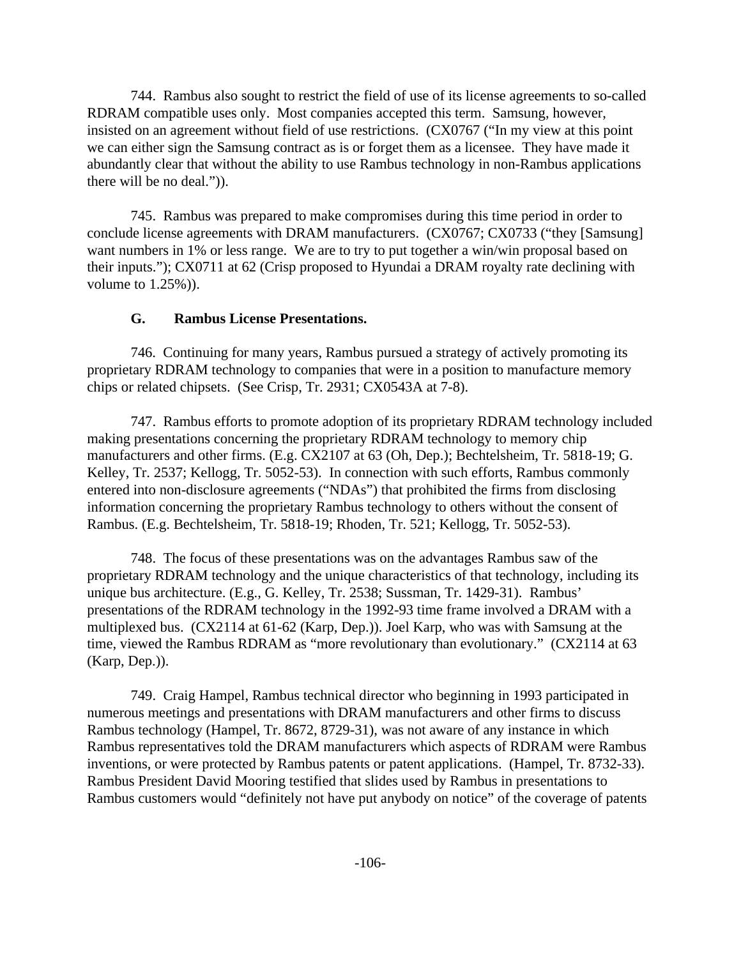744. Rambus also sought to restrict the field of use of its license agreements to so-called RDRAM compatible uses only. Most companies accepted this term. Samsung, however, insisted on an agreement without field of use restrictions. (CX0767 ("In my view at this point we can either sign the Samsung contract as is or forget them as a licensee. They have made it abundantly clear that without the ability to use Rambus technology in non-Rambus applications there will be no deal.")).

745. Rambus was prepared to make compromises during this time period in order to conclude license agreements with DRAM manufacturers. (CX0767; CX0733 ("they [Samsung] want numbers in 1% or less range. We are to try to put together a win/win proposal based on their inputs."); CX0711 at 62 (Crisp proposed to Hyundai a DRAM royalty rate declining with volume to 1.25%)).

#### **G. Rambus License Presentations.**

746. Continuing for many years, Rambus pursued a strategy of actively promoting its proprietary RDRAM technology to companies that were in a position to manufacture memory chips or related chipsets. (See Crisp, Tr. 2931; CX0543A at 7-8).

747. Rambus efforts to promote adoption of its proprietary RDRAM technology included making presentations concerning the proprietary RDRAM technology to memory chip manufacturers and other firms. (E.g. CX2107 at 63 (Oh, Dep.); Bechtelsheim, Tr. 5818-19; G. Kelley, Tr. 2537; Kellogg, Tr. 5052-53). In connection with such efforts, Rambus commonly entered into non-disclosure agreements ("NDAs") that prohibited the firms from disclosing information concerning the proprietary Rambus technology to others without the consent of Rambus. (E.g. Bechtelsheim, Tr. 5818-19; Rhoden, Tr. 521; Kellogg, Tr. 5052-53).

748. The focus of these presentations was on the advantages Rambus saw of the proprietary RDRAM technology and the unique characteristics of that technology, including its unique bus architecture. (E.g., G. Kelley, Tr. 2538; Sussman, Tr. 1429-31). Rambus' presentations of the RDRAM technology in the 1992-93 time frame involved a DRAM with a multiplexed bus. (CX2114 at 61-62 (Karp, Dep.)). Joel Karp, who was with Samsung at the time, viewed the Rambus RDRAM as "more revolutionary than evolutionary." (CX2114 at 63 (Karp, Dep.)).

749. Craig Hampel, Rambus technical director who beginning in 1993 participated in numerous meetings and presentations with DRAM manufacturers and other firms to discuss Rambus technology (Hampel, Tr. 8672, 8729-31), was not aware of any instance in which Rambus representatives told the DRAM manufacturers which aspects of RDRAM were Rambus inventions, or were protected by Rambus patents or patent applications. (Hampel, Tr. 8732-33). Rambus President David Mooring testified that slides used by Rambus in presentations to Rambus customers would "definitely not have put anybody on notice" of the coverage of patents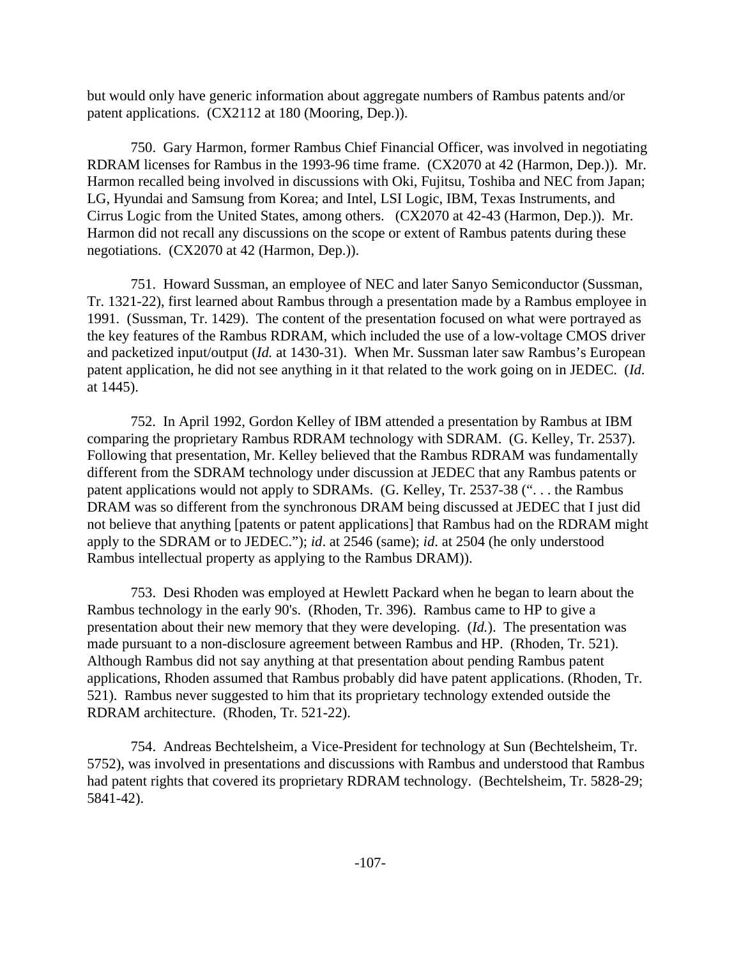but would only have generic information about aggregate numbers of Rambus patents and/or patent applications. (CX2112 at 180 (Mooring, Dep.)).

750. Gary Harmon, former Rambus Chief Financial Officer, was involved in negotiating RDRAM licenses for Rambus in the 1993-96 time frame. (CX2070 at 42 (Harmon, Dep.)). Mr. Harmon recalled being involved in discussions with Oki, Fujitsu, Toshiba and NEC from Japan; LG, Hyundai and Samsung from Korea; and Intel, LSI Logic, IBM, Texas Instruments, and Cirrus Logic from the United States, among others. (CX2070 at 42-43 (Harmon, Dep.)). Mr. Harmon did not recall any discussions on the scope or extent of Rambus patents during these negotiations. (CX2070 at 42 (Harmon, Dep.)).

751. Howard Sussman, an employee of NEC and later Sanyo Semiconductor (Sussman, Tr. 1321-22), first learned about Rambus through a presentation made by a Rambus employee in 1991. (Sussman, Tr. 1429). The content of the presentation focused on what were portrayed as the key features of the Rambus RDRAM, which included the use of a low-voltage CMOS driver and packetized input/output (*Id.* at 1430-31). When Mr. Sussman later saw Rambus's European patent application, he did not see anything in it that related to the work going on in JEDEC. (*Id*. at 1445).

752. In April 1992, Gordon Kelley of IBM attended a presentation by Rambus at IBM comparing the proprietary Rambus RDRAM technology with SDRAM. (G. Kelley, Tr. 2537). Following that presentation, Mr. Kelley believed that the Rambus RDRAM was fundamentally different from the SDRAM technology under discussion at JEDEC that any Rambus patents or patent applications would not apply to SDRAMs. (G. Kelley, Tr. 2537-38 (". . . the Rambus DRAM was so different from the synchronous DRAM being discussed at JEDEC that I just did not believe that anything [patents or patent applications] that Rambus had on the RDRAM might apply to the SDRAM or to JEDEC."); *id*. at 2546 (same); *id*. at 2504 (he only understood Rambus intellectual property as applying to the Rambus DRAM)).

753. Desi Rhoden was employed at Hewlett Packard when he began to learn about the Rambus technology in the early 90's. (Rhoden, Tr. 396). Rambus came to HP to give a presentation about their new memory that they were developing. (*Id.*). The presentation was made pursuant to a non-disclosure agreement between Rambus and HP. (Rhoden, Tr. 521). Although Rambus did not say anything at that presentation about pending Rambus patent applications, Rhoden assumed that Rambus probably did have patent applications. (Rhoden, Tr. 521). Rambus never suggested to him that its proprietary technology extended outside the RDRAM architecture. (Rhoden, Tr. 521-22).

754. Andreas Bechtelsheim, a Vice-President for technology at Sun (Bechtelsheim, Tr. 5752), was involved in presentations and discussions with Rambus and understood that Rambus had patent rights that covered its proprietary RDRAM technology. (Bechtelsheim, Tr. 5828-29; 5841-42).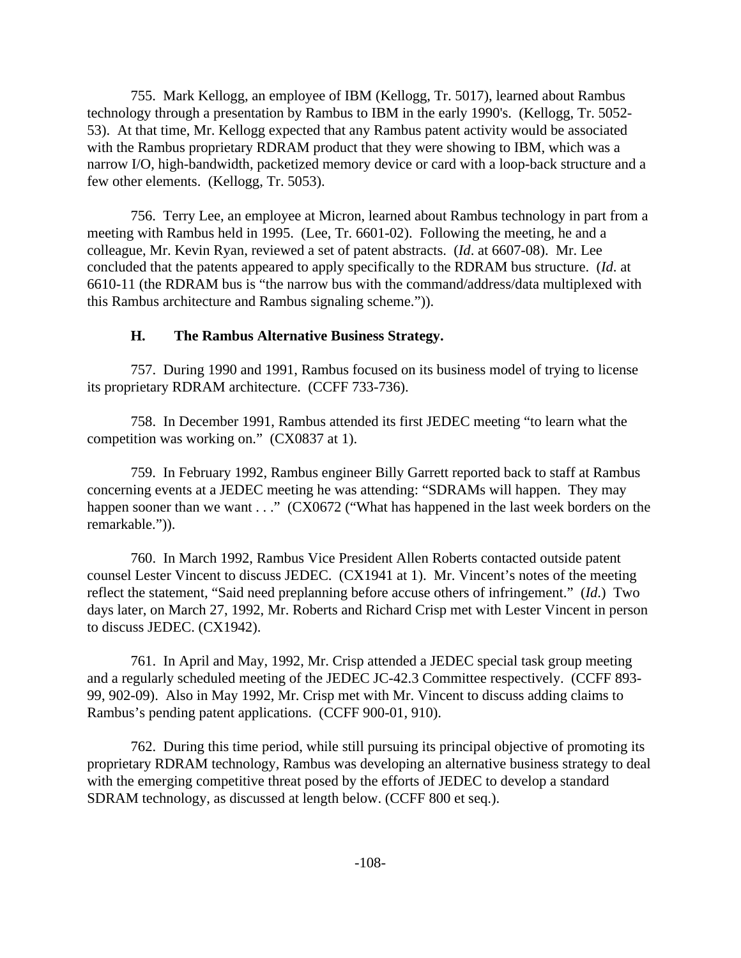755. Mark Kellogg, an employee of IBM (Kellogg, Tr. 5017), learned about Rambus technology through a presentation by Rambus to IBM in the early 1990's. (Kellogg, Tr. 5052- 53). At that time, Mr. Kellogg expected that any Rambus patent activity would be associated with the Rambus proprietary RDRAM product that they were showing to IBM, which was a narrow I/O, high-bandwidth, packetized memory device or card with a loop-back structure and a few other elements. (Kellogg, Tr. 5053).

756. Terry Lee, an employee at Micron, learned about Rambus technology in part from a meeting with Rambus held in 1995. (Lee, Tr. 6601-02). Following the meeting, he and a colleague, Mr. Kevin Ryan, reviewed a set of patent abstracts. (*Id*. at 6607-08). Mr. Lee concluded that the patents appeared to apply specifically to the RDRAM bus structure. (*Id*. at 6610-11 (the RDRAM bus is "the narrow bus with the command/address/data multiplexed with this Rambus architecture and Rambus signaling scheme.")).

#### **H. The Rambus Alternative Business Strategy.**

757. During 1990 and 1991, Rambus focused on its business model of trying to license its proprietary RDRAM architecture. (CCFF 733-736).

758. In December 1991, Rambus attended its first JEDEC meeting "to learn what the competition was working on." (CX0837 at 1).

759. In February 1992, Rambus engineer Billy Garrett reported back to staff at Rambus concerning events at a JEDEC meeting he was attending: "SDRAMs will happen. They may happen sooner than we want . . ." (CX0672 ("What has happened in the last week borders on the remarkable.")).

760. In March 1992, Rambus Vice President Allen Roberts contacted outside patent counsel Lester Vincent to discuss JEDEC. (CX1941 at 1). Mr. Vincent's notes of the meeting reflect the statement, "Said need preplanning before accuse others of infringement." (*Id*.) Two days later, on March 27, 1992, Mr. Roberts and Richard Crisp met with Lester Vincent in person to discuss JEDEC. (CX1942).

761. In April and May, 1992, Mr. Crisp attended a JEDEC special task group meeting and a regularly scheduled meeting of the JEDEC JC-42.3 Committee respectively. (CCFF 893- 99, 902-09). Also in May 1992, Mr. Crisp met with Mr. Vincent to discuss adding claims to Rambus's pending patent applications. (CCFF 900-01, 910).

762. During this time period, while still pursuing its principal objective of promoting its proprietary RDRAM technology, Rambus was developing an alternative business strategy to deal with the emerging competitive threat posed by the efforts of JEDEC to develop a standard SDRAM technology, as discussed at length below. (CCFF 800 et seq.).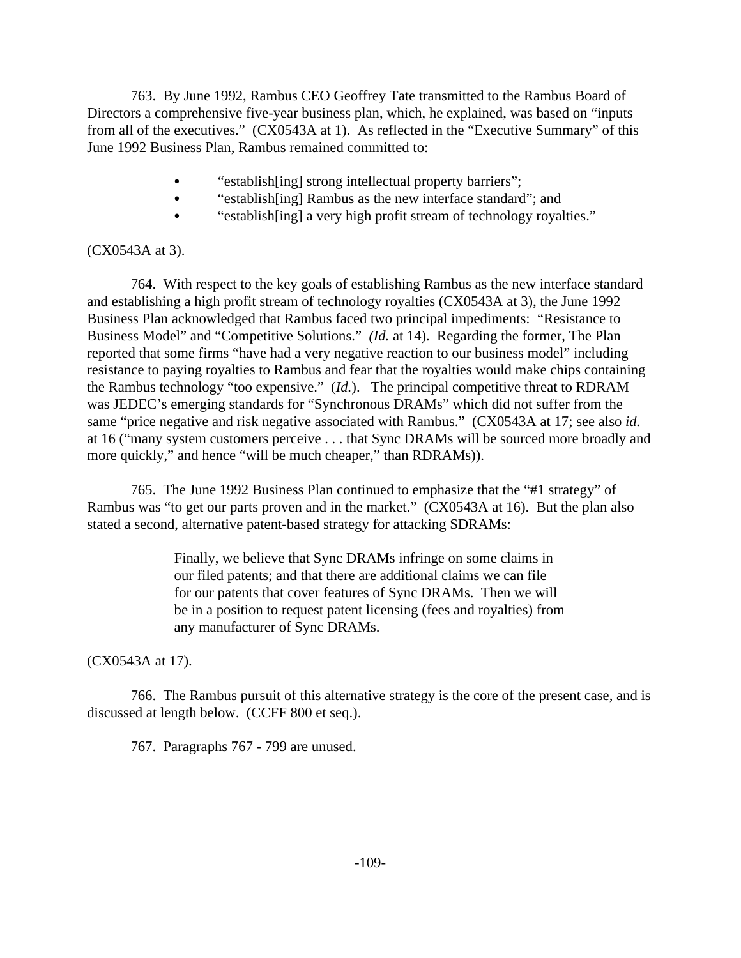763. By June 1992, Rambus CEO Geoffrey Tate transmitted to the Rambus Board of Directors a comprehensive five-year business plan, which, he explained, was based on "inputs from all of the executives." (CX0543A at 1). As reflected in the "Executive Summary" of this June 1992 Business Plan, Rambus remained committed to:

- "establish [ing] strong intellectual property barriers";
- "establish[ing] Rambus as the new interface standard"; and
- "establish[ing] a very high profit stream of technology royalties."

#### (CX0543A at 3).

764. With respect to the key goals of establishing Rambus as the new interface standard and establishing a high profit stream of technology royalties (CX0543A at 3), the June 1992 Business Plan acknowledged that Rambus faced two principal impediments: "Resistance to Business Model" and "Competitive Solutions." *(Id.* at 14). Regarding the former, The Plan reported that some firms "have had a very negative reaction to our business model" including resistance to paying royalties to Rambus and fear that the royalties would make chips containing the Rambus technology "too expensive." (*Id.*). The principal competitive threat to RDRAM was JEDEC's emerging standards for "Synchronous DRAMs" which did not suffer from the same "price negative and risk negative associated with Rambus." (CX0543A at 17; see also *id.* at 16 ("many system customers perceive . . . that Sync DRAMs will be sourced more broadly and more quickly," and hence "will be much cheaper," than RDRAMs)).

765. The June 1992 Business Plan continued to emphasize that the "#1 strategy" of Rambus was "to get our parts proven and in the market." (CX0543A at 16). But the plan also stated a second, alternative patent-based strategy for attacking SDRAMs:

> Finally, we believe that Sync DRAMs infringe on some claims in our filed patents; and that there are additional claims we can file for our patents that cover features of Sync DRAMs. Then we will be in a position to request patent licensing (fees and royalties) from any manufacturer of Sync DRAMs.

(CX0543A at 17).

766. The Rambus pursuit of this alternative strategy is the core of the present case, and is discussed at length below. (CCFF 800 et seq.).

767. Paragraphs 767 - 799 are unused.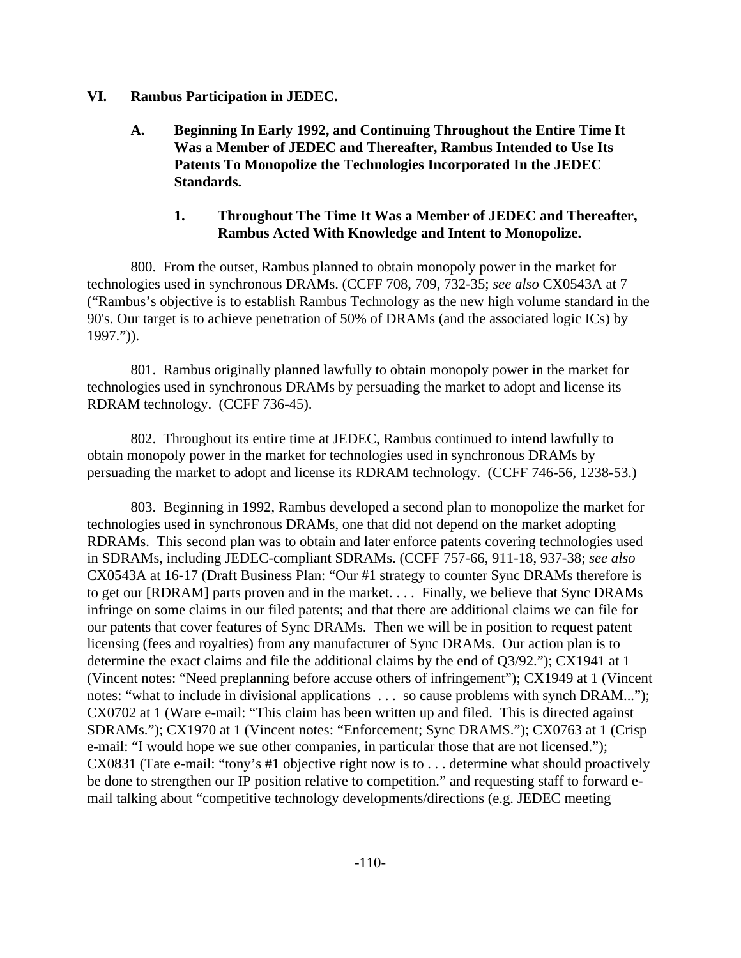#### **VI. Rambus Participation in JEDEC.**

**A. Beginning In Early 1992, and Continuing Throughout the Entire Time It Was a Member of JEDEC and Thereafter, Rambus Intended to Use Its Patents To Monopolize the Technologies Incorporated In the JEDEC Standards.**

## **1. Throughout The Time It Was a Member of JEDEC and Thereafter, Rambus Acted With Knowledge and Intent to Monopolize.**

800. From the outset, Rambus planned to obtain monopoly power in the market for technologies used in synchronous DRAMs. (CCFF 708, 709, 732-35; *see also* CX0543A at 7 ("Rambus's objective is to establish Rambus Technology as the new high volume standard in the 90's. Our target is to achieve penetration of 50% of DRAMs (and the associated logic ICs) by 1997.")).

801. Rambus originally planned lawfully to obtain monopoly power in the market for technologies used in synchronous DRAMs by persuading the market to adopt and license its RDRAM technology. (CCFF 736-45).

802. Throughout its entire time at JEDEC, Rambus continued to intend lawfully to obtain monopoly power in the market for technologies used in synchronous DRAMs by persuading the market to adopt and license its RDRAM technology. (CCFF 746-56, 1238-53.)

803. Beginning in 1992, Rambus developed a second plan to monopolize the market for technologies used in synchronous DRAMs, one that did not depend on the market adopting RDRAMs. This second plan was to obtain and later enforce patents covering technologies used in SDRAMs, including JEDEC-compliant SDRAMs. (CCFF 757-66, 911-18, 937-38; *see also* CX0543A at 16-17 (Draft Business Plan: "Our #1 strategy to counter Sync DRAMs therefore is to get our [RDRAM] parts proven and in the market. . . . Finally, we believe that Sync DRAMs infringe on some claims in our filed patents; and that there are additional claims we can file for our patents that cover features of Sync DRAMs. Then we will be in position to request patent licensing (fees and royalties) from any manufacturer of Sync DRAMs. Our action plan is to determine the exact claims and file the additional claims by the end of Q3/92."); CX1941 at 1 (Vincent notes: "Need preplanning before accuse others of infringement"); CX1949 at 1 (Vincent notes: "what to include in divisional applications . . . so cause problems with synch DRAM..."); CX0702 at 1 (Ware e-mail: "This claim has been written up and filed. This is directed against SDRAMs."); CX1970 at 1 (Vincent notes: "Enforcement; Sync DRAMS."); CX0763 at 1 (Crisp e-mail: "I would hope we sue other companies, in particular those that are not licensed."); CX0831 (Tate e-mail: "tony's #1 objective right now is to . . . determine what should proactively be done to strengthen our IP position relative to competition." and requesting staff to forward email talking about "competitive technology developments/directions (e.g. JEDEC meeting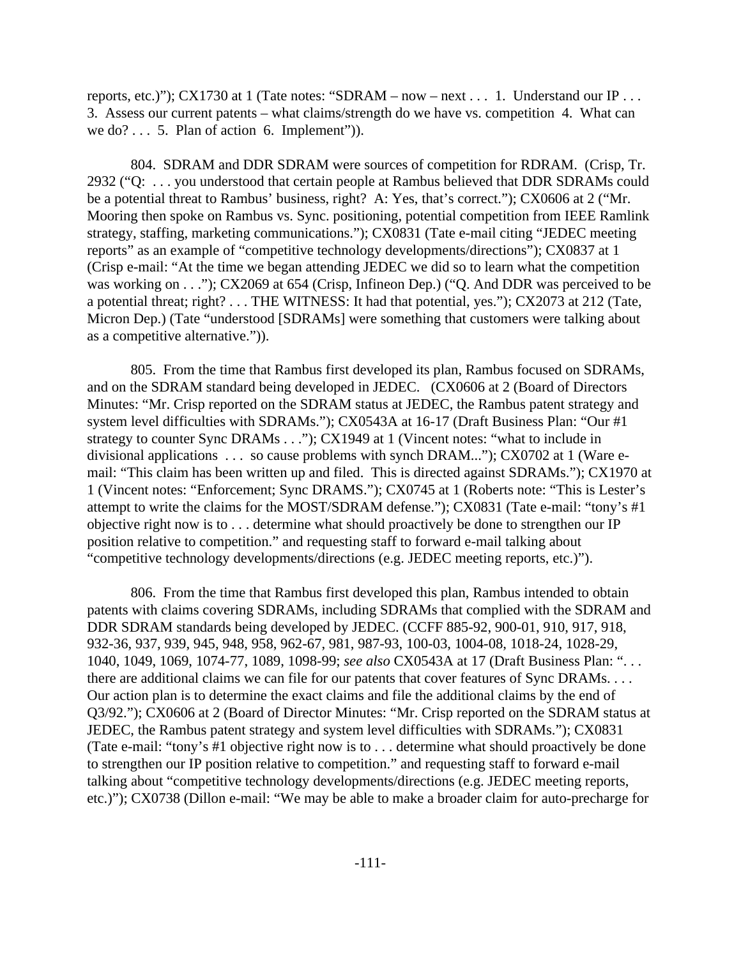reports, etc.)"); CX1730 at 1 (Tate notes: "SDRAM – now – next . . . 1. Understand our IP . . . 3. Assess our current patents – what claims/strength do we have vs. competition 4. What can we do? . . . 5. Plan of action 6. Implement").

804. SDRAM and DDR SDRAM were sources of competition for RDRAM. (Crisp, Tr. 2932 ("Q: . . . you understood that certain people at Rambus believed that DDR SDRAMs could be a potential threat to Rambus' business, right? A: Yes, that's correct."); CX0606 at 2 ("Mr. Mooring then spoke on Rambus vs. Sync. positioning, potential competition from IEEE Ramlink strategy, staffing, marketing communications."); CX0831 (Tate e-mail citing "JEDEC meeting reports" as an example of "competitive technology developments/directions"); CX0837 at 1 (Crisp e-mail: "At the time we began attending JEDEC we did so to learn what the competition was working on . . ."); CX2069 at 654 (Crisp, Infineon Dep.) ("Q. And DDR was perceived to be a potential threat; right? . . . THE WITNESS: It had that potential, yes."); CX2073 at 212 (Tate, Micron Dep.) (Tate "understood [SDRAMs] were something that customers were talking about as a competitive alternative.")).

805. From the time that Rambus first developed its plan, Rambus focused on SDRAMs, and on the SDRAM standard being developed in JEDEC. (CX0606 at 2 (Board of Directors Minutes: "Mr. Crisp reported on the SDRAM status at JEDEC, the Rambus patent strategy and system level difficulties with SDRAMs."); CX0543A at 16-17 (Draft Business Plan: "Our #1 strategy to counter Sync DRAMs . . ."); CX1949 at 1 (Vincent notes: "what to include in divisional applications . . . so cause problems with synch DRAM..."); CX0702 at 1 (Ware email: "This claim has been written up and filed. This is directed against SDRAMs."); CX1970 at 1 (Vincent notes: "Enforcement; Sync DRAMS."); CX0745 at 1 (Roberts note: "This is Lester's attempt to write the claims for the MOST/SDRAM defense."); CX0831 (Tate e-mail: "tony's #1 objective right now is to . . . determine what should proactively be done to strengthen our IP position relative to competition." and requesting staff to forward e-mail talking about "competitive technology developments/directions (e.g. JEDEC meeting reports, etc.)").

806. From the time that Rambus first developed this plan, Rambus intended to obtain patents with claims covering SDRAMs, including SDRAMs that complied with the SDRAM and DDR SDRAM standards being developed by JEDEC. (CCFF 885-92, 900-01, 910, 917, 918, 932-36, 937, 939, 945, 948, 958, 962-67, 981, 987-93, 100-03, 1004-08, 1018-24, 1028-29, 1040, 1049, 1069, 1074-77, 1089, 1098-99; *see also* CX0543A at 17 (Draft Business Plan: ". . . there are additional claims we can file for our patents that cover features of Sync DRAMs. . . . Our action plan is to determine the exact claims and file the additional claims by the end of Q3/92."); CX0606 at 2 (Board of Director Minutes: "Mr. Crisp reported on the SDRAM status at JEDEC, the Rambus patent strategy and system level difficulties with SDRAMs."); CX0831 (Tate e-mail: "tony's #1 objective right now is to . . . determine what should proactively be done to strengthen our IP position relative to competition." and requesting staff to forward e-mail talking about "competitive technology developments/directions (e.g. JEDEC meeting reports, etc.)"); CX0738 (Dillon e-mail: "We may be able to make a broader claim for auto-precharge for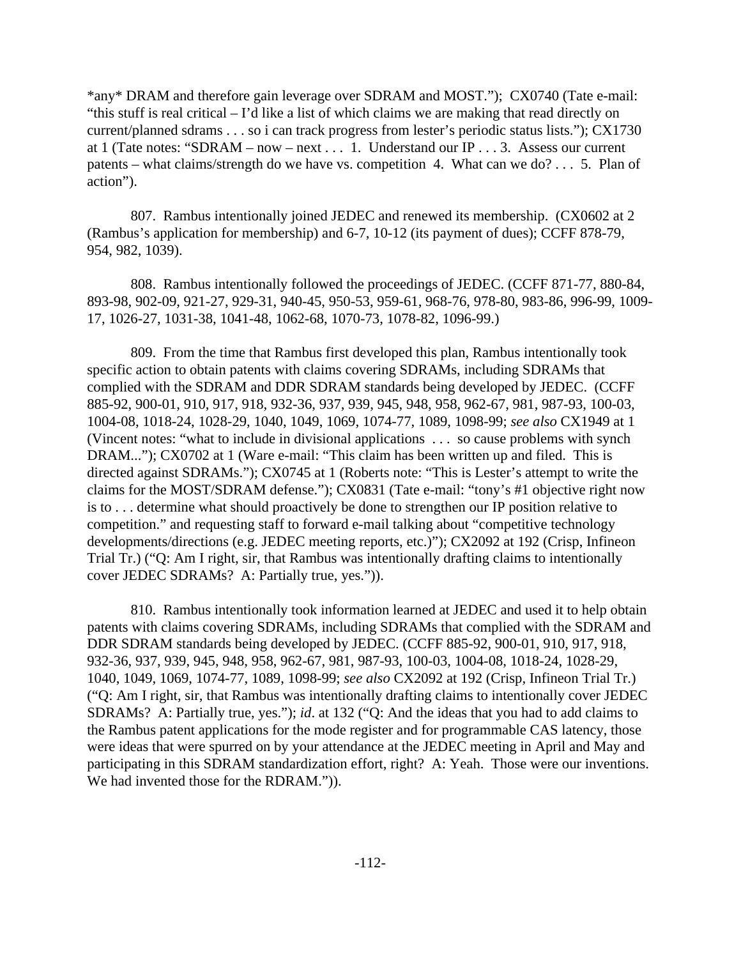\*any\* DRAM and therefore gain leverage over SDRAM and MOST."); CX0740 (Tate e-mail: "this stuff is real critical – I'd like a list of which claims we are making that read directly on current/planned sdrams . . . so i can track progress from lester's periodic status lists."); CX1730 at 1 (Tate notes: "SDRAM – now – next . . . 1. Understand our IP . . . 3. Assess our current patents – what claims/strength do we have vs. competition 4. What can we do? . . . 5. Plan of action").

807. Rambus intentionally joined JEDEC and renewed its membership. (CX0602 at 2 (Rambus's application for membership) and 6-7, 10-12 (its payment of dues); CCFF 878-79, 954, 982, 1039).

808. Rambus intentionally followed the proceedings of JEDEC. (CCFF 871-77, 880-84, 893-98, 902-09, 921-27, 929-31, 940-45, 950-53, 959-61, 968-76, 978-80, 983-86, 996-99, 1009- 17, 1026-27, 1031-38, 1041-48, 1062-68, 1070-73, 1078-82, 1096-99.)

809. From the time that Rambus first developed this plan, Rambus intentionally took specific action to obtain patents with claims covering SDRAMs, including SDRAMs that complied with the SDRAM and DDR SDRAM standards being developed by JEDEC. (CCFF 885-92, 900-01, 910, 917, 918, 932-36, 937, 939, 945, 948, 958, 962-67, 981, 987-93, 100-03, 1004-08, 1018-24, 1028-29, 1040, 1049, 1069, 1074-77, 1089, 1098-99; *see also* CX1949 at 1 (Vincent notes: "what to include in divisional applications . . . so cause problems with synch DRAM..."); CX0702 at 1 (Ware e-mail: "This claim has been written up and filed. This is directed against SDRAMs."); CX0745 at 1 (Roberts note: "This is Lester's attempt to write the claims for the MOST/SDRAM defense."); CX0831 (Tate e-mail: "tony's #1 objective right now is to . . . determine what should proactively be done to strengthen our IP position relative to competition." and requesting staff to forward e-mail talking about "competitive technology developments/directions (e.g. JEDEC meeting reports, etc.)"); CX2092 at 192 (Crisp, Infineon Trial Tr.) ("Q: Am I right, sir, that Rambus was intentionally drafting claims to intentionally cover JEDEC SDRAMs? A: Partially true, yes.")).

810. Rambus intentionally took information learned at JEDEC and used it to help obtain patents with claims covering SDRAMs, including SDRAMs that complied with the SDRAM and DDR SDRAM standards being developed by JEDEC. (CCFF 885-92, 900-01, 910, 917, 918, 932-36, 937, 939, 945, 948, 958, 962-67, 981, 987-93, 100-03, 1004-08, 1018-24, 1028-29, 1040, 1049, 1069, 1074-77, 1089, 1098-99; *see also* CX2092 at 192 (Crisp, Infineon Trial Tr.) ("Q: Am I right, sir, that Rambus was intentionally drafting claims to intentionally cover JEDEC SDRAMs? A: Partially true, yes."); *id*. at 132 ("Q: And the ideas that you had to add claims to the Rambus patent applications for the mode register and for programmable CAS latency, those were ideas that were spurred on by your attendance at the JEDEC meeting in April and May and participating in this SDRAM standardization effort, right? A: Yeah. Those were our inventions. We had invented those for the RDRAM.")).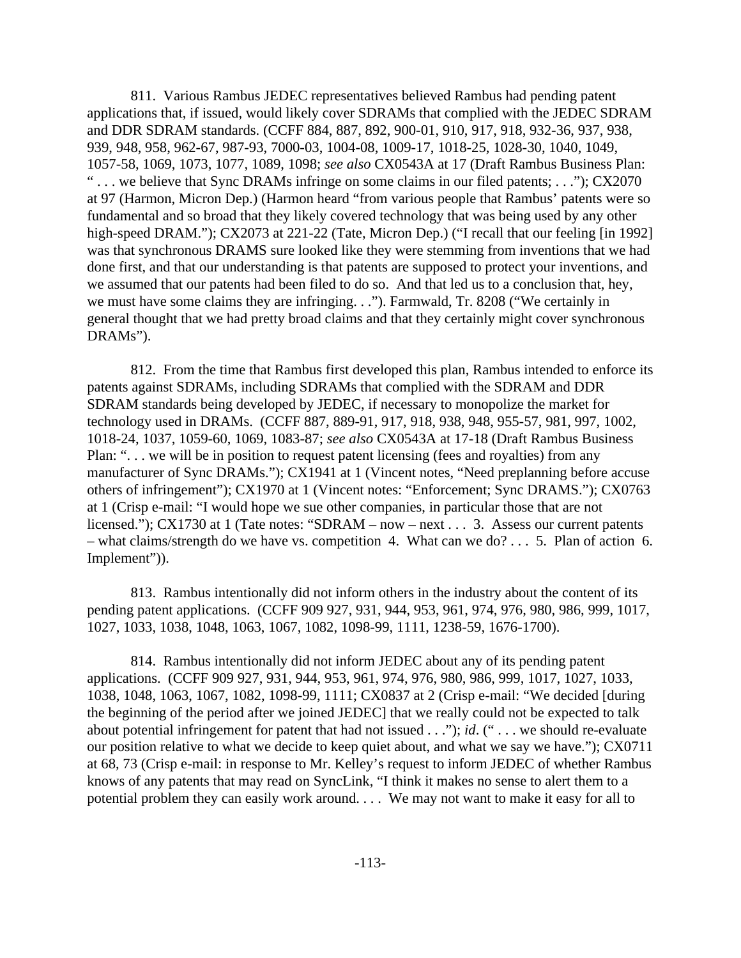811. Various Rambus JEDEC representatives believed Rambus had pending patent applications that, if issued, would likely cover SDRAMs that complied with the JEDEC SDRAM and DDR SDRAM standards. (CCFF 884, 887, 892, 900-01, 910, 917, 918, 932-36, 937, 938, 939, 948, 958, 962-67, 987-93, 7000-03, 1004-08, 1009-17, 1018-25, 1028-30, 1040, 1049, 1057-58, 1069, 1073, 1077, 1089, 1098; *see also* CX0543A at 17 (Draft Rambus Business Plan: " . . . we believe that Sync DRAMs infringe on some claims in our filed patents; . . ."); CX2070 at 97 (Harmon, Micron Dep.) (Harmon heard "from various people that Rambus' patents were so fundamental and so broad that they likely covered technology that was being used by any other high-speed DRAM."); CX2073 at 221-22 (Tate, Micron Dep.) ("I recall that our feeling [in 1992] was that synchronous DRAMS sure looked like they were stemming from inventions that we had done first, and that our understanding is that patents are supposed to protect your inventions, and we assumed that our patents had been filed to do so. And that led us to a conclusion that, hey, we must have some claims they are infringing. . ."). Farmwald, Tr. 8208 ("We certainly in general thought that we had pretty broad claims and that they certainly might cover synchronous DRAMs").

812. From the time that Rambus first developed this plan, Rambus intended to enforce its patents against SDRAMs, including SDRAMs that complied with the SDRAM and DDR SDRAM standards being developed by JEDEC, if necessary to monopolize the market for technology used in DRAMs. (CCFF 887, 889-91, 917, 918, 938, 948, 955-57, 981, 997, 1002, 1018-24, 1037, 1059-60, 1069, 1083-87; *see also* CX0543A at 17-18 (Draft Rambus Business Plan: "... we will be in position to request patent licensing (fees and royalties) from any manufacturer of Sync DRAMs."); CX1941 at 1 (Vincent notes, "Need preplanning before accuse others of infringement"); CX1970 at 1 (Vincent notes: "Enforcement; Sync DRAMS."); CX0763 at 1 (Crisp e-mail: "I would hope we sue other companies, in particular those that are not licensed."); CX1730 at 1 (Tate notes: "SDRAM – now – next . . . 3. Assess our current patents – what claims/strength do we have vs. competition 4. What can we do? . . . 5. Plan of action 6. Implement")).

813. Rambus intentionally did not inform others in the industry about the content of its pending patent applications. (CCFF 909 927, 931, 944, 953, 961, 974, 976, 980, 986, 999, 1017, 1027, 1033, 1038, 1048, 1063, 1067, 1082, 1098-99, 1111, 1238-59, 1676-1700).

814. Rambus intentionally did not inform JEDEC about any of its pending patent applications. (CCFF 909 927, 931, 944, 953, 961, 974, 976, 980, 986, 999, 1017, 1027, 1033, 1038, 1048, 1063, 1067, 1082, 1098-99, 1111; CX0837 at 2 (Crisp e-mail: "We decided [during the beginning of the period after we joined JEDEC] that we really could not be expected to talk about potential infringement for patent that had not issued . . ."); *id*. (" . . . we should re-evaluate our position relative to what we decide to keep quiet about, and what we say we have."); CX0711 at 68, 73 (Crisp e-mail: in response to Mr. Kelley's request to inform JEDEC of whether Rambus knows of any patents that may read on SyncLink, "I think it makes no sense to alert them to a potential problem they can easily work around. . . . We may not want to make it easy for all to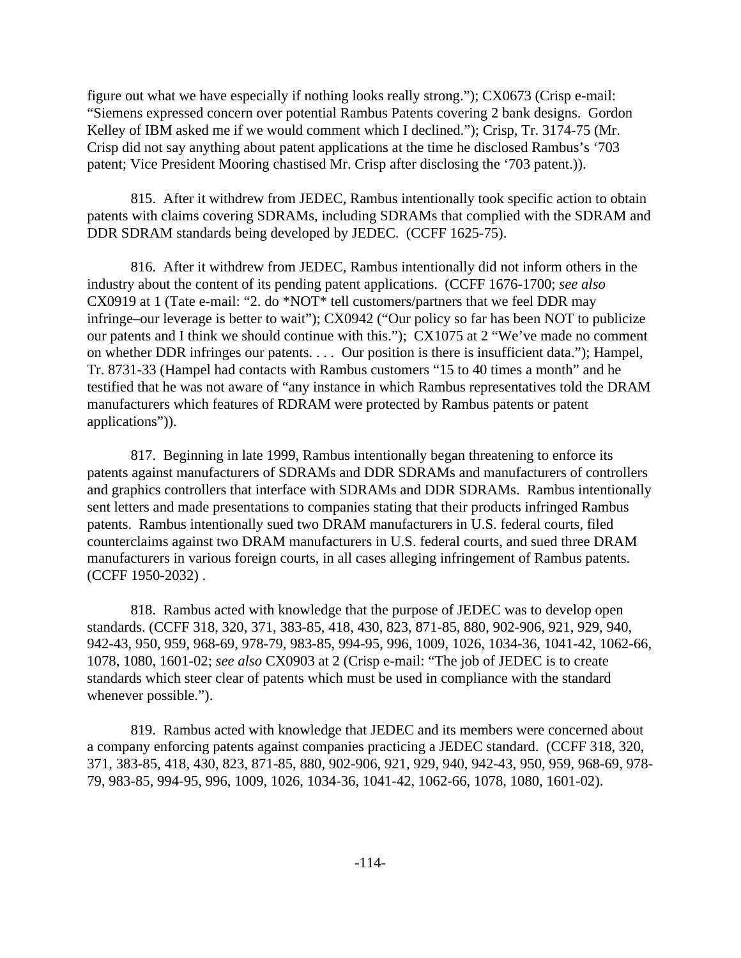figure out what we have especially if nothing looks really strong."); CX0673 (Crisp e-mail: "Siemens expressed concern over potential Rambus Patents covering 2 bank designs. Gordon Kelley of IBM asked me if we would comment which I declined."); Crisp, Tr. 3174-75 (Mr. Crisp did not say anything about patent applications at the time he disclosed Rambus's '703 patent; Vice President Mooring chastised Mr. Crisp after disclosing the '703 patent.)).

815. After it withdrew from JEDEC, Rambus intentionally took specific action to obtain patents with claims covering SDRAMs, including SDRAMs that complied with the SDRAM and DDR SDRAM standards being developed by JEDEC. (CCFF 1625-75).

816. After it withdrew from JEDEC, Rambus intentionally did not inform others in the industry about the content of its pending patent applications. (CCFF 1676-1700; *see also* CX0919 at 1 (Tate e-mail: "2. do \*NOT\* tell customers/partners that we feel DDR may infringe–our leverage is better to wait"); CX0942 ("Our policy so far has been NOT to publicize our patents and I think we should continue with this."); CX1075 at 2 "We've made no comment on whether DDR infringes our patents. . . . Our position is there is insufficient data."); Hampel, Tr. 8731-33 (Hampel had contacts with Rambus customers "15 to 40 times a month" and he testified that he was not aware of "any instance in which Rambus representatives told the DRAM manufacturers which features of RDRAM were protected by Rambus patents or patent applications")).

817. Beginning in late 1999, Rambus intentionally began threatening to enforce its patents against manufacturers of SDRAMs and DDR SDRAMs and manufacturers of controllers and graphics controllers that interface with SDRAMs and DDR SDRAMs. Rambus intentionally sent letters and made presentations to companies stating that their products infringed Rambus patents. Rambus intentionally sued two DRAM manufacturers in U.S. federal courts, filed counterclaims against two DRAM manufacturers in U.S. federal courts, and sued three DRAM manufacturers in various foreign courts, in all cases alleging infringement of Rambus patents. (CCFF 1950-2032) .

818. Rambus acted with knowledge that the purpose of JEDEC was to develop open standards. (CCFF 318, 320, 371, 383-85, 418, 430, 823, 871-85, 880, 902-906, 921, 929, 940, 942-43, 950, 959, 968-69, 978-79, 983-85, 994-95, 996, 1009, 1026, 1034-36, 1041-42, 1062-66, 1078, 1080, 1601-02; *see also* CX0903 at 2 (Crisp e-mail: "The job of JEDEC is to create standards which steer clear of patents which must be used in compliance with the standard whenever possible.").

819. Rambus acted with knowledge that JEDEC and its members were concerned about a company enforcing patents against companies practicing a JEDEC standard. (CCFF 318, 320, 371, 383-85, 418, 430, 823, 871-85, 880, 902-906, 921, 929, 940, 942-43, 950, 959, 968-69, 978- 79, 983-85, 994-95, 996, 1009, 1026, 1034-36, 1041-42, 1062-66, 1078, 1080, 1601-02).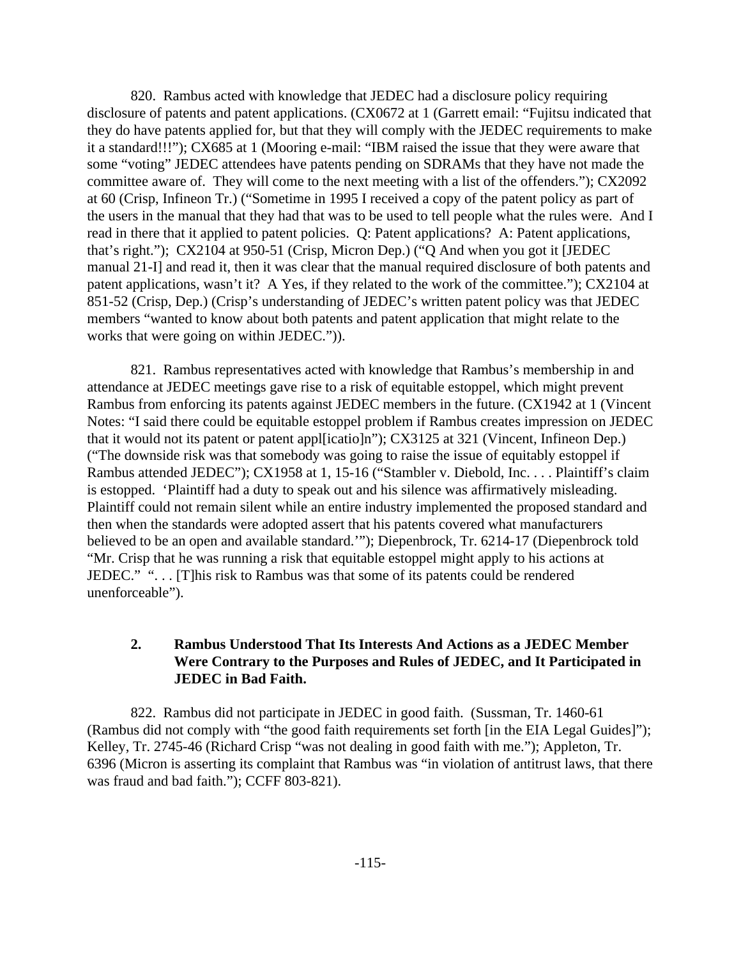820. Rambus acted with knowledge that JEDEC had a disclosure policy requiring disclosure of patents and patent applications. (CX0672 at 1 (Garrett email: "Fujitsu indicated that they do have patents applied for, but that they will comply with the JEDEC requirements to make it a standard!!!"); CX685 at 1 (Mooring e-mail: "IBM raised the issue that they were aware that some "voting" JEDEC attendees have patents pending on SDRAMs that they have not made the committee aware of. They will come to the next meeting with a list of the offenders."); CX2092 at 60 (Crisp, Infineon Tr.) ("Sometime in 1995 I received a copy of the patent policy as part of the users in the manual that they had that was to be used to tell people what the rules were. And I read in there that it applied to patent policies. Q: Patent applications? A: Patent applications, that's right."); CX2104 at 950-51 (Crisp, Micron Dep.) ("Q And when you got it [JEDEC manual 21-I] and read it, then it was clear that the manual required disclosure of both patents and patent applications, wasn't it? A Yes, if they related to the work of the committee."); CX2104 at 851-52 (Crisp, Dep.) (Crisp's understanding of JEDEC's written patent policy was that JEDEC members "wanted to know about both patents and patent application that might relate to the works that were going on within JEDEC.")).

821. Rambus representatives acted with knowledge that Rambus's membership in and attendance at JEDEC meetings gave rise to a risk of equitable estoppel, which might prevent Rambus from enforcing its patents against JEDEC members in the future. (CX1942 at 1 (Vincent Notes: "I said there could be equitable estoppel problem if Rambus creates impression on JEDEC that it would not its patent or patent appl[icatio]n"); CX3125 at 321 (Vincent, Infineon Dep.) ("The downside risk was that somebody was going to raise the issue of equitably estoppel if Rambus attended JEDEC"); CX1958 at 1, 15-16 ("Stambler v. Diebold, Inc. . . . Plaintiff's claim is estopped. 'Plaintiff had a duty to speak out and his silence was affirmatively misleading. Plaintiff could not remain silent while an entire industry implemented the proposed standard and then when the standards were adopted assert that his patents covered what manufacturers believed to be an open and available standard.'"); Diepenbrock, Tr. 6214-17 (Diepenbrock told "Mr. Crisp that he was running a risk that equitable estoppel might apply to his actions at JEDEC." ". . . [T]his risk to Rambus was that some of its patents could be rendered unenforceable").

## **2. Rambus Understood That Its Interests And Actions as a JEDEC Member Were Contrary to the Purposes and Rules of JEDEC, and It Participated in JEDEC in Bad Faith.**

822. Rambus did not participate in JEDEC in good faith. (Sussman, Tr. 1460-61 (Rambus did not comply with "the good faith requirements set forth [in the EIA Legal Guides]"); Kelley, Tr. 2745-46 (Richard Crisp "was not dealing in good faith with me."); Appleton, Tr. 6396 (Micron is asserting its complaint that Rambus was "in violation of antitrust laws, that there was fraud and bad faith."); CCFF 803-821).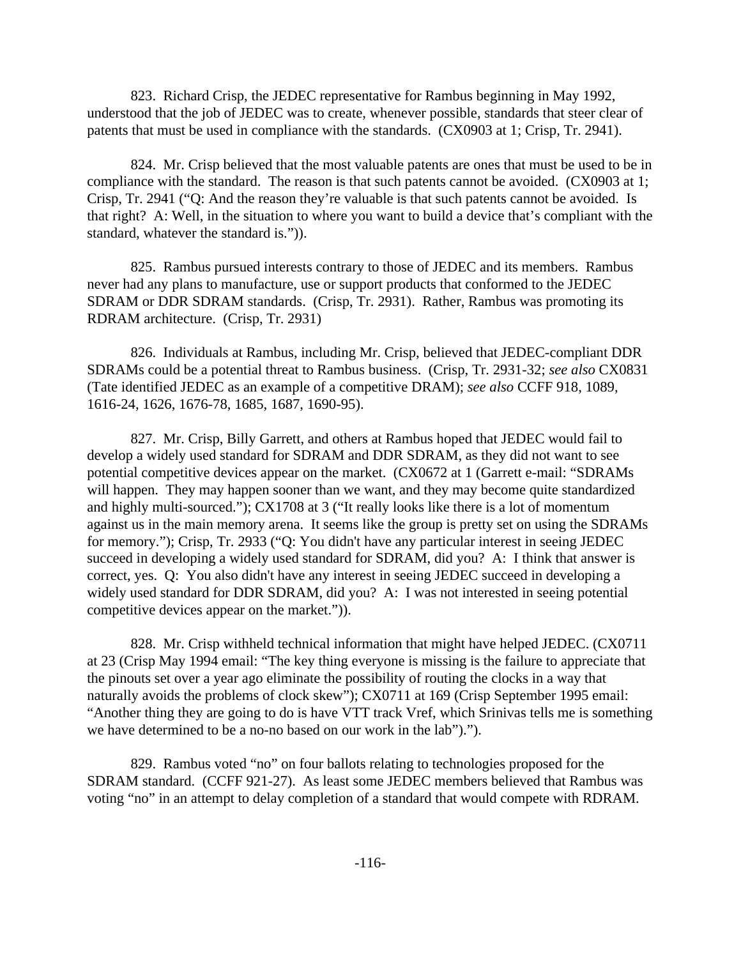823. Richard Crisp, the JEDEC representative for Rambus beginning in May 1992, understood that the job of JEDEC was to create, whenever possible, standards that steer clear of patents that must be used in compliance with the standards. (CX0903 at 1; Crisp, Tr. 2941).

824. Mr. Crisp believed that the most valuable patents are ones that must be used to be in compliance with the standard. The reason is that such patents cannot be avoided. (CX0903 at 1; Crisp, Tr. 2941 ("Q: And the reason they're valuable is that such patents cannot be avoided. Is that right? A: Well, in the situation to where you want to build a device that's compliant with the standard, whatever the standard is.")).

825. Rambus pursued interests contrary to those of JEDEC and its members. Rambus never had any plans to manufacture, use or support products that conformed to the JEDEC SDRAM or DDR SDRAM standards. (Crisp, Tr. 2931). Rather, Rambus was promoting its RDRAM architecture. (Crisp, Tr. 2931)

826. Individuals at Rambus, including Mr. Crisp, believed that JEDEC-compliant DDR SDRAMs could be a potential threat to Rambus business. (Crisp, Tr. 2931-32; *see also* CX0831 (Tate identified JEDEC as an example of a competitive DRAM); *see also* CCFF 918, 1089, 1616-24, 1626, 1676-78, 1685, 1687, 1690-95).

827. Mr. Crisp, Billy Garrett, and others at Rambus hoped that JEDEC would fail to develop a widely used standard for SDRAM and DDR SDRAM, as they did not want to see potential competitive devices appear on the market. (CX0672 at 1 (Garrett e-mail: "SDRAMs will happen. They may happen sooner than we want, and they may become quite standardized and highly multi-sourced."); CX1708 at 3 ("It really looks like there is a lot of momentum against us in the main memory arena. It seems like the group is pretty set on using the SDRAMs for memory."); Crisp, Tr. 2933 ("Q: You didn't have any particular interest in seeing JEDEC succeed in developing a widely used standard for SDRAM, did you? A: I think that answer is correct, yes. Q: You also didn't have any interest in seeing JEDEC succeed in developing a widely used standard for DDR SDRAM, did you? A: I was not interested in seeing potential competitive devices appear on the market.")).

828. Mr. Crisp withheld technical information that might have helped JEDEC. (CX0711 at 23 (Crisp May 1994 email: "The key thing everyone is missing is the failure to appreciate that the pinouts set over a year ago eliminate the possibility of routing the clocks in a way that naturally avoids the problems of clock skew"); CX0711 at 169 (Crisp September 1995 email: "Another thing they are going to do is have VTT track Vref, which Srinivas tells me is something we have determined to be a no-no based on our work in the lab").").

829. Rambus voted "no" on four ballots relating to technologies proposed for the SDRAM standard. (CCFF 921-27). As least some JEDEC members believed that Rambus was voting "no" in an attempt to delay completion of a standard that would compete with RDRAM.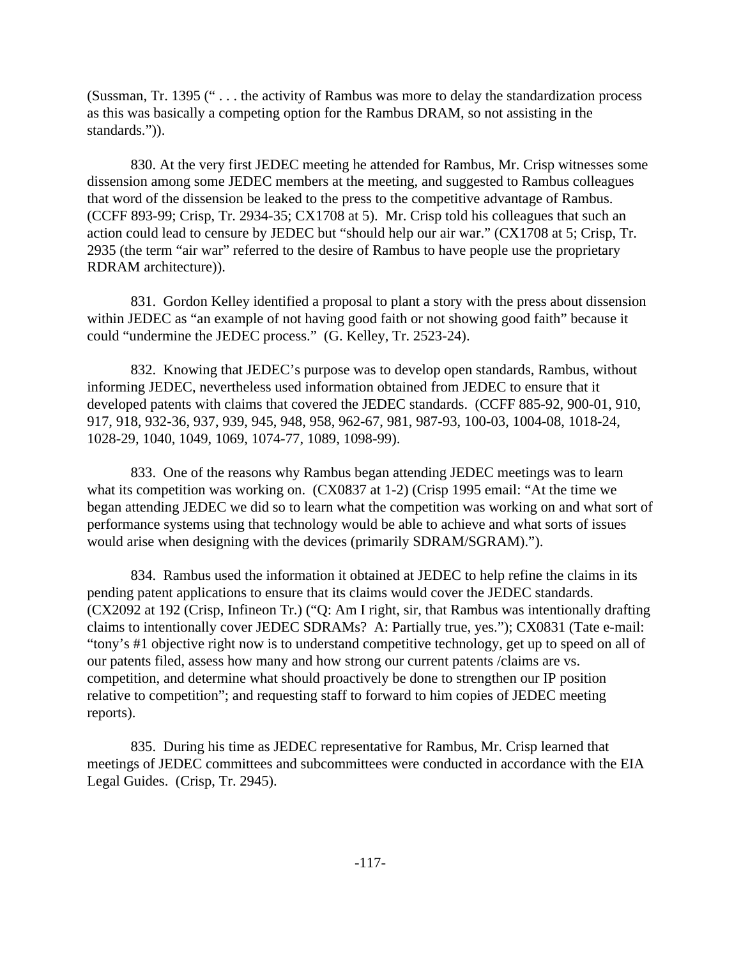(Sussman, Tr. 1395 (" . . . the activity of Rambus was more to delay the standardization process as this was basically a competing option for the Rambus DRAM, so not assisting in the standards.")).

830. At the very first JEDEC meeting he attended for Rambus, Mr. Crisp witnesses some dissension among some JEDEC members at the meeting, and suggested to Rambus colleagues that word of the dissension be leaked to the press to the competitive advantage of Rambus. (CCFF 893-99; Crisp, Tr. 2934-35; CX1708 at 5). Mr. Crisp told his colleagues that such an action could lead to censure by JEDEC but "should help our air war." (CX1708 at 5; Crisp, Tr. 2935 (the term "air war" referred to the desire of Rambus to have people use the proprietary RDRAM architecture)).

831. Gordon Kelley identified a proposal to plant a story with the press about dissension within JEDEC as "an example of not having good faith or not showing good faith" because it could "undermine the JEDEC process." (G. Kelley, Tr. 2523-24).

832. Knowing that JEDEC's purpose was to develop open standards, Rambus, without informing JEDEC, nevertheless used information obtained from JEDEC to ensure that it developed patents with claims that covered the JEDEC standards. (CCFF 885-92, 900-01, 910, 917, 918, 932-36, 937, 939, 945, 948, 958, 962-67, 981, 987-93, 100-03, 1004-08, 1018-24, 1028-29, 1040, 1049, 1069, 1074-77, 1089, 1098-99).

833. One of the reasons why Rambus began attending JEDEC meetings was to learn what its competition was working on. (CX0837 at 1-2) (Crisp 1995 email: "At the time we began attending JEDEC we did so to learn what the competition was working on and what sort of performance systems using that technology would be able to achieve and what sorts of issues would arise when designing with the devices (primarily SDRAM/SGRAM).").

834. Rambus used the information it obtained at JEDEC to help refine the claims in its pending patent applications to ensure that its claims would cover the JEDEC standards. (CX2092 at 192 (Crisp, Infineon Tr.) ("Q: Am I right, sir, that Rambus was intentionally drafting claims to intentionally cover JEDEC SDRAMs? A: Partially true, yes."); CX0831 (Tate e-mail: "tony's #1 objective right now is to understand competitive technology, get up to speed on all of our patents filed, assess how many and how strong our current patents /claims are vs. competition, and determine what should proactively be done to strengthen our IP position relative to competition"; and requesting staff to forward to him copies of JEDEC meeting reports).

835. During his time as JEDEC representative for Rambus, Mr. Crisp learned that meetings of JEDEC committees and subcommittees were conducted in accordance with the EIA Legal Guides. (Crisp, Tr. 2945).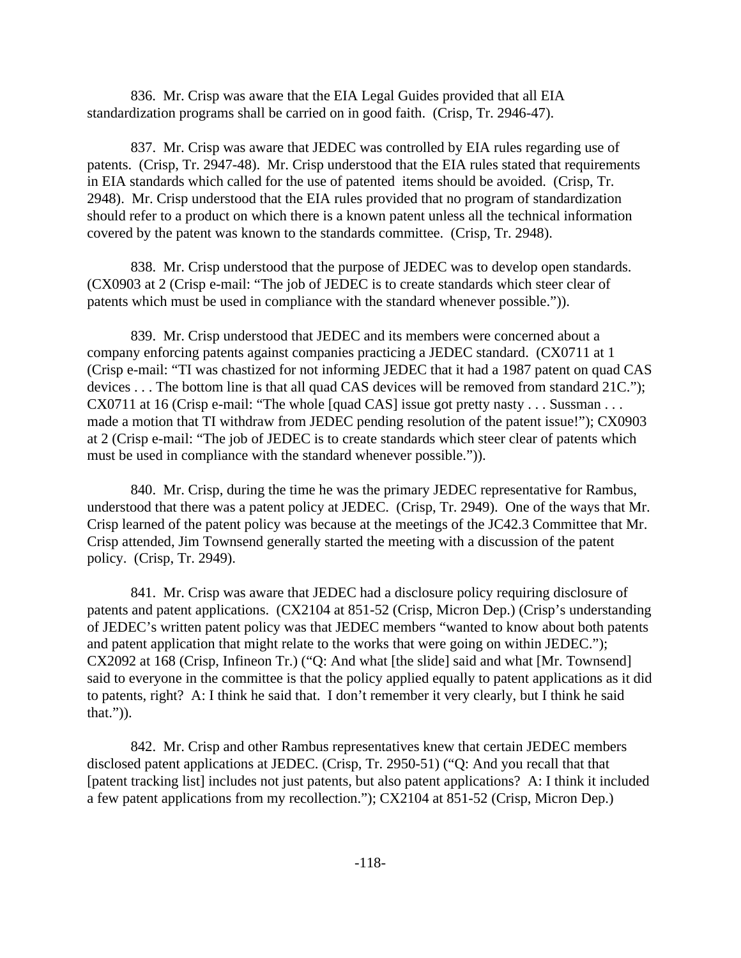836. Mr. Crisp was aware that the EIA Legal Guides provided that all EIA standardization programs shall be carried on in good faith. (Crisp, Tr. 2946-47).

837. Mr. Crisp was aware that JEDEC was controlled by EIA rules regarding use of patents. (Crisp, Tr. 2947-48). Mr. Crisp understood that the EIA rules stated that requirements in EIA standards which called for the use of patented items should be avoided. (Crisp, Tr. 2948). Mr. Crisp understood that the EIA rules provided that no program of standardization should refer to a product on which there is a known patent unless all the technical information covered by the patent was known to the standards committee. (Crisp, Tr. 2948).

838. Mr. Crisp understood that the purpose of JEDEC was to develop open standards. (CX0903 at 2 (Crisp e-mail: "The job of JEDEC is to create standards which steer clear of patents which must be used in compliance with the standard whenever possible.")).

839. Mr. Crisp understood that JEDEC and its members were concerned about a company enforcing patents against companies practicing a JEDEC standard. (CX0711 at 1 (Crisp e-mail: "TI was chastized for not informing JEDEC that it had a 1987 patent on quad CAS devices . . . The bottom line is that all quad CAS devices will be removed from standard 21C."); CX0711 at 16 (Crisp e-mail: "The whole [quad CAS] issue got pretty nasty . . . Sussman . . . made a motion that TI withdraw from JEDEC pending resolution of the patent issue!"); CX0903 at 2 (Crisp e-mail: "The job of JEDEC is to create standards which steer clear of patents which must be used in compliance with the standard whenever possible.")).

840. Mr. Crisp, during the time he was the primary JEDEC representative for Rambus, understood that there was a patent policy at JEDEC. (Crisp, Tr. 2949). One of the ways that Mr. Crisp learned of the patent policy was because at the meetings of the JC42.3 Committee that Mr. Crisp attended, Jim Townsend generally started the meeting with a discussion of the patent policy. (Crisp, Tr. 2949).

841. Mr. Crisp was aware that JEDEC had a disclosure policy requiring disclosure of patents and patent applications. (CX2104 at 851-52 (Crisp, Micron Dep.) (Crisp's understanding of JEDEC's written patent policy was that JEDEC members "wanted to know about both patents and patent application that might relate to the works that were going on within JEDEC."); CX2092 at 168 (Crisp, Infineon Tr.) ("Q: And what [the slide] said and what [Mr. Townsend] said to everyone in the committee is that the policy applied equally to patent applications as it did to patents, right? A: I think he said that. I don't remember it very clearly, but I think he said that.")).

842. Mr. Crisp and other Rambus representatives knew that certain JEDEC members disclosed patent applications at JEDEC. (Crisp, Tr. 2950-51) ("Q: And you recall that that [patent tracking list] includes not just patents, but also patent applications? A: I think it included a few patent applications from my recollection."); CX2104 at 851-52 (Crisp, Micron Dep.)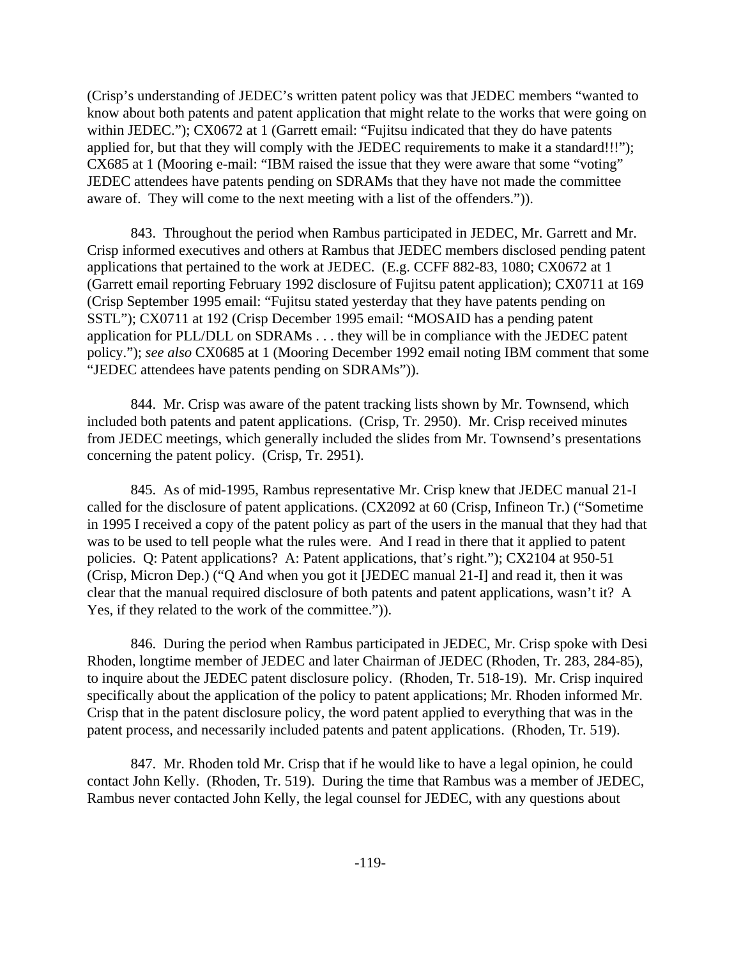(Crisp's understanding of JEDEC's written patent policy was that JEDEC members "wanted to know about both patents and patent application that might relate to the works that were going on within JEDEC."); CX0672 at 1 (Garrett email: "Fujitsu indicated that they do have patents applied for, but that they will comply with the JEDEC requirements to make it a standard!!!"); CX685 at 1 (Mooring e-mail: "IBM raised the issue that they were aware that some "voting" JEDEC attendees have patents pending on SDRAMs that they have not made the committee aware of. They will come to the next meeting with a list of the offenders.")).

843. Throughout the period when Rambus participated in JEDEC, Mr. Garrett and Mr. Crisp informed executives and others at Rambus that JEDEC members disclosed pending patent applications that pertained to the work at JEDEC. (E.g. CCFF 882-83, 1080; CX0672 at 1 (Garrett email reporting February 1992 disclosure of Fujitsu patent application); CX0711 at 169 (Crisp September 1995 email: "Fujitsu stated yesterday that they have patents pending on SSTL"); CX0711 at 192 (Crisp December 1995 email: "MOSAID has a pending patent application for PLL/DLL on SDRAMs . . . they will be in compliance with the JEDEC patent policy."); *see also* CX0685 at 1 (Mooring December 1992 email noting IBM comment that some "JEDEC attendees have patents pending on SDRAMs")).

844. Mr. Crisp was aware of the patent tracking lists shown by Mr. Townsend, which included both patents and patent applications. (Crisp, Tr. 2950). Mr. Crisp received minutes from JEDEC meetings, which generally included the slides from Mr. Townsend's presentations concerning the patent policy. (Crisp, Tr. 2951).

845. As of mid-1995, Rambus representative Mr. Crisp knew that JEDEC manual 21-I called for the disclosure of patent applications. (CX2092 at 60 (Crisp, Infineon Tr.) ("Sometime in 1995 I received a copy of the patent policy as part of the users in the manual that they had that was to be used to tell people what the rules were. And I read in there that it applied to patent policies. Q: Patent applications? A: Patent applications, that's right."); CX2104 at 950-51 (Crisp, Micron Dep.) ("Q And when you got it [JEDEC manual 21-I] and read it, then it was clear that the manual required disclosure of both patents and patent applications, wasn't it? A Yes, if they related to the work of the committee.")).

846. During the period when Rambus participated in JEDEC, Mr. Crisp spoke with Desi Rhoden, longtime member of JEDEC and later Chairman of JEDEC (Rhoden, Tr. 283, 284-85), to inquire about the JEDEC patent disclosure policy. (Rhoden, Tr. 518-19). Mr. Crisp inquired specifically about the application of the policy to patent applications; Mr. Rhoden informed Mr. Crisp that in the patent disclosure policy, the word patent applied to everything that was in the patent process, and necessarily included patents and patent applications. (Rhoden, Tr. 519).

847. Mr. Rhoden told Mr. Crisp that if he would like to have a legal opinion, he could contact John Kelly. (Rhoden, Tr. 519). During the time that Rambus was a member of JEDEC, Rambus never contacted John Kelly, the legal counsel for JEDEC, with any questions about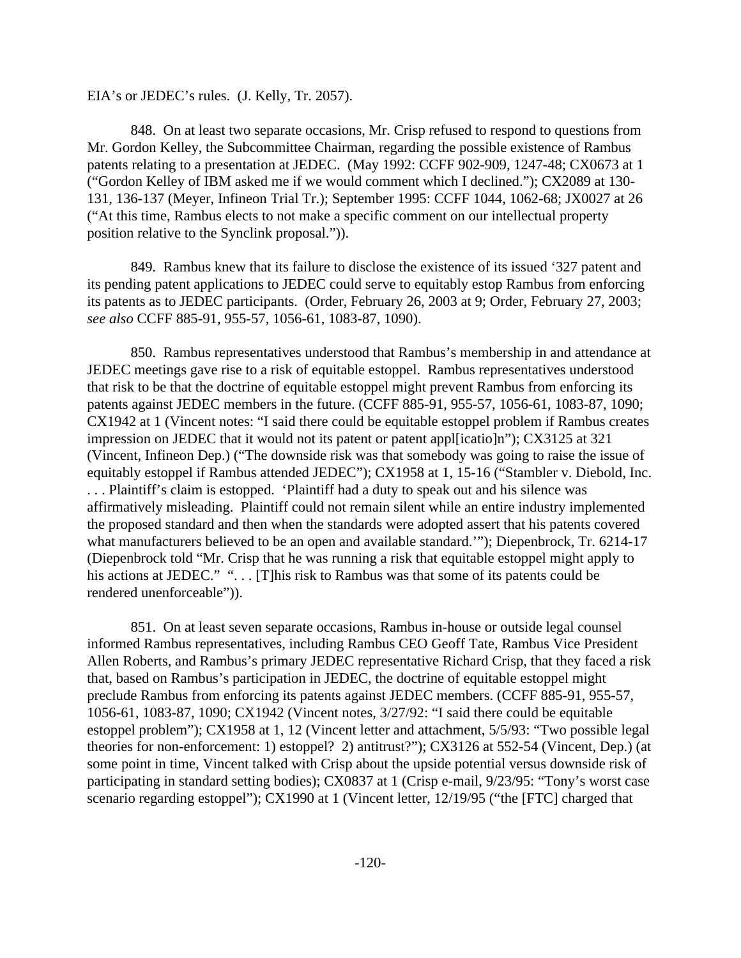#### EIA's or JEDEC's rules. (J. Kelly, Tr. 2057).

848. On at least two separate occasions, Mr. Crisp refused to respond to questions from Mr. Gordon Kelley, the Subcommittee Chairman, regarding the possible existence of Rambus patents relating to a presentation at JEDEC. (May 1992: CCFF 902-909, 1247-48; CX0673 at 1 ("Gordon Kelley of IBM asked me if we would comment which I declined."); CX2089 at 130- 131, 136-137 (Meyer, Infineon Trial Tr.); September 1995: CCFF 1044, 1062-68; JX0027 at 26 ("At this time, Rambus elects to not make a specific comment on our intellectual property position relative to the Synclink proposal.")).

849. Rambus knew that its failure to disclose the existence of its issued '327 patent and its pending patent applications to JEDEC could serve to equitably estop Rambus from enforcing its patents as to JEDEC participants. (Order, February 26, 2003 at 9; Order, February 27, 2003; *see also* CCFF 885-91, 955-57, 1056-61, 1083-87, 1090).

850. Rambus representatives understood that Rambus's membership in and attendance at JEDEC meetings gave rise to a risk of equitable estoppel. Rambus representatives understood that risk to be that the doctrine of equitable estoppel might prevent Rambus from enforcing its patents against JEDEC members in the future. (CCFF 885-91, 955-57, 1056-61, 1083-87, 1090; CX1942 at 1 (Vincent notes: "I said there could be equitable estoppel problem if Rambus creates impression on JEDEC that it would not its patent or patent appl[icatio]n"); CX3125 at 321 (Vincent, Infineon Dep.) ("The downside risk was that somebody was going to raise the issue of equitably estoppel if Rambus attended JEDEC"); CX1958 at 1, 15-16 ("Stambler v. Diebold, Inc. . . . Plaintiff's claim is estopped. 'Plaintiff had a duty to speak out and his silence was affirmatively misleading. Plaintiff could not remain silent while an entire industry implemented the proposed standard and then when the standards were adopted assert that his patents covered what manufacturers believed to be an open and available standard.'"); Diepenbrock, Tr. 6214-17 (Diepenbrock told "Mr. Crisp that he was running a risk that equitable estoppel might apply to his actions at JEDEC." "... [T]his risk to Rambus was that some of its patents could be rendered unenforceable")).

851. On at least seven separate occasions, Rambus in-house or outside legal counsel informed Rambus representatives, including Rambus CEO Geoff Tate, Rambus Vice President Allen Roberts, and Rambus's primary JEDEC representative Richard Crisp, that they faced a risk that, based on Rambus's participation in JEDEC, the doctrine of equitable estoppel might preclude Rambus from enforcing its patents against JEDEC members. (CCFF 885-91, 955-57, 1056-61, 1083-87, 1090; CX1942 (Vincent notes, 3/27/92: "I said there could be equitable estoppel problem"); CX1958 at 1, 12 (Vincent letter and attachment, 5/5/93: "Two possible legal theories for non-enforcement: 1) estoppel? 2) antitrust?"); CX3126 at 552-54 (Vincent, Dep.) (at some point in time, Vincent talked with Crisp about the upside potential versus downside risk of participating in standard setting bodies); CX0837 at 1 (Crisp e-mail, 9/23/95: "Tony's worst case scenario regarding estoppel"); CX1990 at 1 (Vincent letter, 12/19/95 ("the [FTC] charged that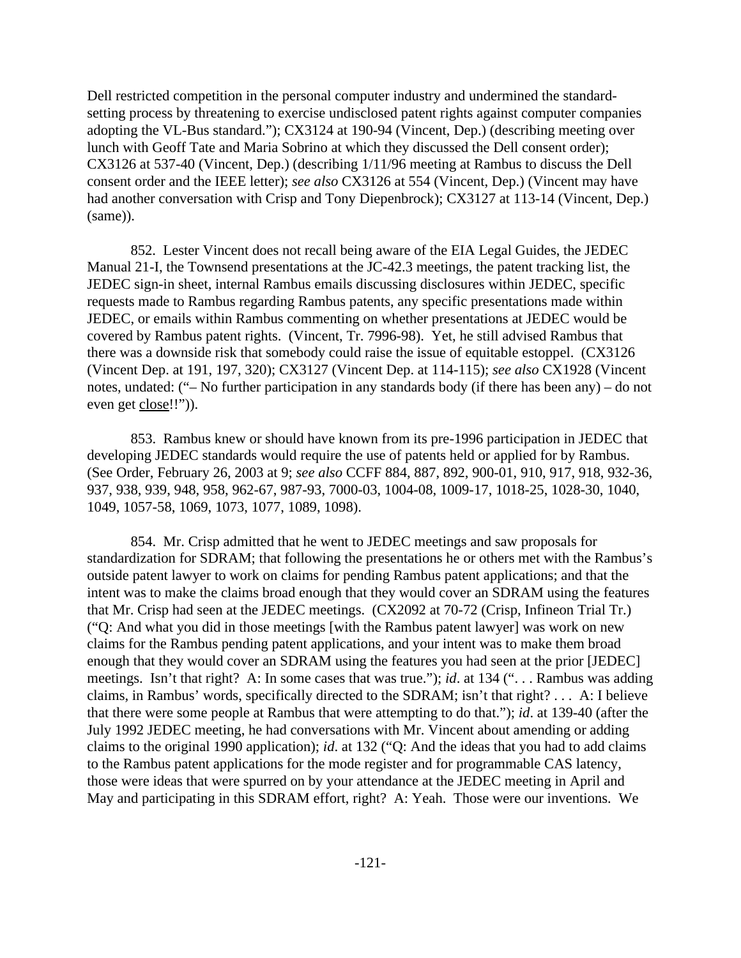Dell restricted competition in the personal computer industry and undermined the standardsetting process by threatening to exercise undisclosed patent rights against computer companies adopting the VL-Bus standard."); CX3124 at 190-94 (Vincent, Dep.) (describing meeting over lunch with Geoff Tate and Maria Sobrino at which they discussed the Dell consent order); CX3126 at 537-40 (Vincent, Dep.) (describing 1/11/96 meeting at Rambus to discuss the Dell consent order and the IEEE letter); *see also* CX3126 at 554 (Vincent, Dep.) (Vincent may have had another conversation with Crisp and Tony Diepenbrock); CX3127 at 113-14 (Vincent, Dep.) (same)).

852. Lester Vincent does not recall being aware of the EIA Legal Guides, the JEDEC Manual 21-I, the Townsend presentations at the JC-42.3 meetings, the patent tracking list, the JEDEC sign-in sheet, internal Rambus emails discussing disclosures within JEDEC, specific requests made to Rambus regarding Rambus patents, any specific presentations made within JEDEC, or emails within Rambus commenting on whether presentations at JEDEC would be covered by Rambus patent rights. (Vincent, Tr. 7996-98). Yet, he still advised Rambus that there was a downside risk that somebody could raise the issue of equitable estoppel. (CX3126 (Vincent Dep. at 191, 197, 320); CX3127 (Vincent Dep. at 114-115); *see also* CX1928 (Vincent notes, undated: ("– No further participation in any standards body (if there has been any) – do not even get close!!")).

853. Rambus knew or should have known from its pre-1996 participation in JEDEC that developing JEDEC standards would require the use of patents held or applied for by Rambus. (See Order, February 26, 2003 at 9; *see also* CCFF 884, 887, 892, 900-01, 910, 917, 918, 932-36, 937, 938, 939, 948, 958, 962-67, 987-93, 7000-03, 1004-08, 1009-17, 1018-25, 1028-30, 1040, 1049, 1057-58, 1069, 1073, 1077, 1089, 1098).

854. Mr. Crisp admitted that he went to JEDEC meetings and saw proposals for standardization for SDRAM; that following the presentations he or others met with the Rambus's outside patent lawyer to work on claims for pending Rambus patent applications; and that the intent was to make the claims broad enough that they would cover an SDRAM using the features that Mr. Crisp had seen at the JEDEC meetings. (CX2092 at 70-72 (Crisp, Infineon Trial Tr.) ("Q: And what you did in those meetings [with the Rambus patent lawyer] was work on new claims for the Rambus pending patent applications, and your intent was to make them broad enough that they would cover an SDRAM using the features you had seen at the prior [JEDEC] meetings. Isn't that right? A: In some cases that was true."); *id*. at 134 (". . . Rambus was adding claims, in Rambus' words, specifically directed to the SDRAM; isn't that right? . . . A: I believe that there were some people at Rambus that were attempting to do that."); *id*. at 139-40 (after the July 1992 JEDEC meeting, he had conversations with Mr. Vincent about amending or adding claims to the original 1990 application); *id*. at 132 ("Q: And the ideas that you had to add claims to the Rambus patent applications for the mode register and for programmable CAS latency, those were ideas that were spurred on by your attendance at the JEDEC meeting in April and May and participating in this SDRAM effort, right? A: Yeah. Those were our inventions. We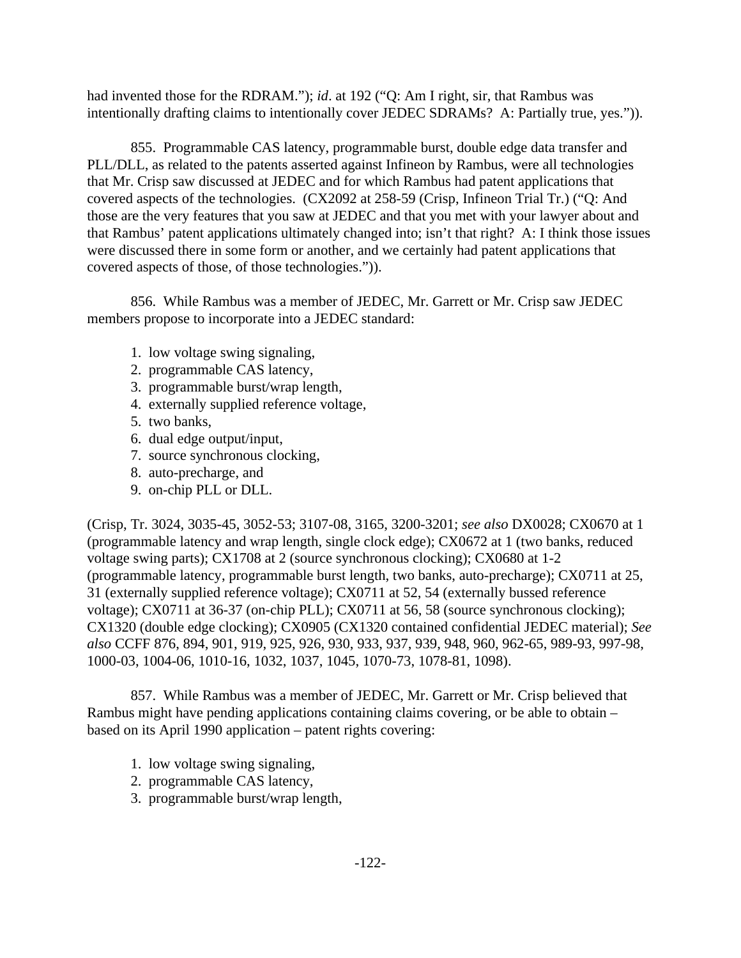had invented those for the RDRAM."); *id*. at 192 ("Q: Am I right, sir, that Rambus was intentionally drafting claims to intentionally cover JEDEC SDRAMs? A: Partially true, yes.")).

855. Programmable CAS latency, programmable burst, double edge data transfer and PLL/DLL, as related to the patents asserted against Infineon by Rambus, were all technologies that Mr. Crisp saw discussed at JEDEC and for which Rambus had patent applications that covered aspects of the technologies. (CX2092 at 258-59 (Crisp, Infineon Trial Tr.) ("Q: And those are the very features that you saw at JEDEC and that you met with your lawyer about and that Rambus' patent applications ultimately changed into; isn't that right? A: I think those issues were discussed there in some form or another, and we certainly had patent applications that covered aspects of those, of those technologies.")).

856. While Rambus was a member of JEDEC, Mr. Garrett or Mr. Crisp saw JEDEC members propose to incorporate into a JEDEC standard:

- 1. low voltage swing signaling,
- 2. programmable CAS latency,
- 3. programmable burst/wrap length,
- 4. externally supplied reference voltage,
- 5. two banks,
- 6. dual edge output/input,
- 7. source synchronous clocking,
- 8. auto-precharge, and
- 9. on-chip PLL or DLL.

(Crisp, Tr. 3024, 3035-45, 3052-53; 3107-08, 3165, 3200-3201; *see also* DX0028; CX0670 at 1 (programmable latency and wrap length, single clock edge); CX0672 at 1 (two banks, reduced voltage swing parts); CX1708 at 2 (source synchronous clocking); CX0680 at 1-2 (programmable latency, programmable burst length, two banks, auto-precharge); CX0711 at 25, 31 (externally supplied reference voltage); CX0711 at 52, 54 (externally bussed reference voltage); CX0711 at 36-37 (on-chip PLL); CX0711 at 56, 58 (source synchronous clocking); CX1320 (double edge clocking); CX0905 (CX1320 contained confidential JEDEC material); *See also* CCFF 876, 894, 901, 919, 925, 926, 930, 933, 937, 939, 948, 960, 962-65, 989-93, 997-98, 1000-03, 1004-06, 1010-16, 1032, 1037, 1045, 1070-73, 1078-81, 1098).

857. While Rambus was a member of JEDEC, Mr. Garrett or Mr. Crisp believed that Rambus might have pending applications containing claims covering, or be able to obtain – based on its April 1990 application – patent rights covering:

- 1. low voltage swing signaling,
- 2. programmable CAS latency,
- 3. programmable burst/wrap length,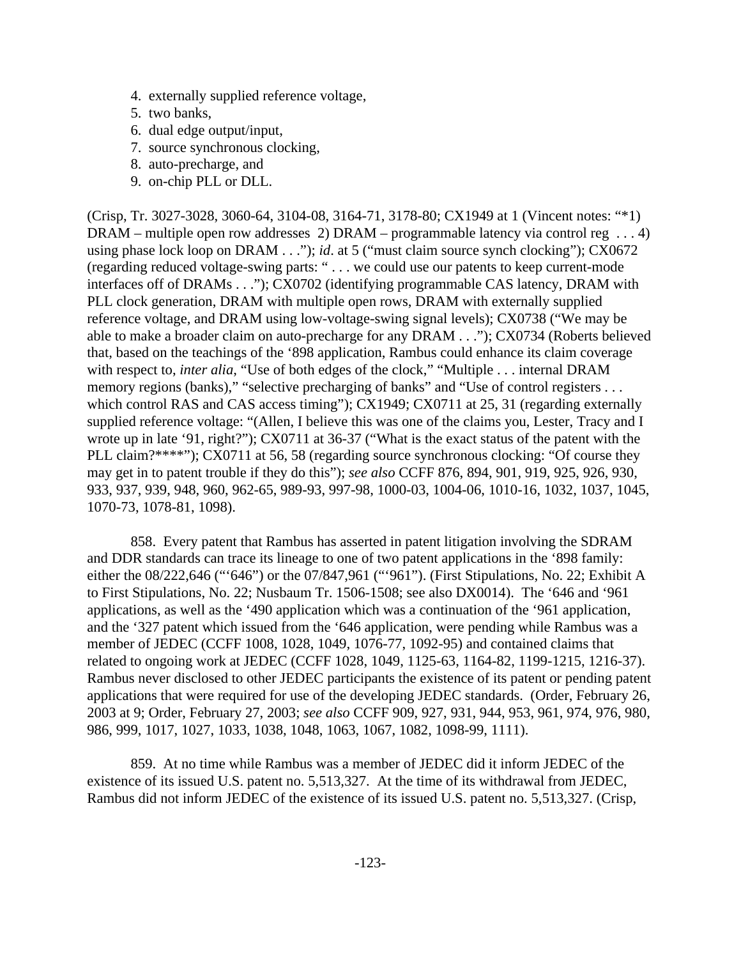- 4. externally supplied reference voltage,
- 5. two banks,
- 6. dual edge output/input,
- 7. source synchronous clocking,
- 8. auto-precharge, and
- 9. on-chip PLL or DLL.

(Crisp, Tr. 3027-3028, 3060-64, 3104-08, 3164-71, 3178-80; CX1949 at 1 (Vincent notes: "\*1) DRAM – multiple open row addresses 2) DRAM – programmable latency via control reg . . . 4) using phase lock loop on DRAM . . ."); *id.* at 5 ("must claim source synch clocking"); CX0672 (regarding reduced voltage-swing parts: " . . . we could use our patents to keep current-mode interfaces off of DRAMs . . ."); CX0702 (identifying programmable CAS latency, DRAM with PLL clock generation, DRAM with multiple open rows, DRAM with externally supplied reference voltage, and DRAM using low-voltage-swing signal levels); CX0738 ("We may be able to make a broader claim on auto-precharge for any DRAM . . ."); CX0734 (Roberts believed that, based on the teachings of the '898 application, Rambus could enhance its claim coverage with respect to, *inter alia*, "Use of both edges of the clock," "Multiple . . . internal DRAM memory regions (banks)," "selective precharging of banks" and "Use of control registers ... which control RAS and CAS access timing"); CX1949; CX0711 at 25, 31 (regarding externally supplied reference voltage: "(Allen, I believe this was one of the claims you, Lester, Tracy and I wrote up in late '91, right?"); CX0711 at 36-37 ("What is the exact status of the patent with the PLL claim?\*\*\*\*"); CX0711 at 56, 58 (regarding source synchronous clocking: "Of course they may get in to patent trouble if they do this"); *see also* CCFF 876, 894, 901, 919, 925, 926, 930, 933, 937, 939, 948, 960, 962-65, 989-93, 997-98, 1000-03, 1004-06, 1010-16, 1032, 1037, 1045, 1070-73, 1078-81, 1098).

858. Every patent that Rambus has asserted in patent litigation involving the SDRAM and DDR standards can trace its lineage to one of two patent applications in the '898 family: either the 08/222,646 ("'646") or the 07/847,961 ("'961"). (First Stipulations, No. 22; Exhibit A to First Stipulations, No. 22; Nusbaum Tr. 1506-1508; see also DX0014). The '646 and '961 applications, as well as the '490 application which was a continuation of the '961 application, and the '327 patent which issued from the '646 application, were pending while Rambus was a member of JEDEC (CCFF 1008, 1028, 1049, 1076-77, 1092-95) and contained claims that related to ongoing work at JEDEC (CCFF 1028, 1049, 1125-63, 1164-82, 1199-1215, 1216-37). Rambus never disclosed to other JEDEC participants the existence of its patent or pending patent applications that were required for use of the developing JEDEC standards. (Order, February 26, 2003 at 9; Order, February 27, 2003; *see also* CCFF 909, 927, 931, 944, 953, 961, 974, 976, 980, 986, 999, 1017, 1027, 1033, 1038, 1048, 1063, 1067, 1082, 1098-99, 1111).

859. At no time while Rambus was a member of JEDEC did it inform JEDEC of the existence of its issued U.S. patent no. 5,513,327. At the time of its withdrawal from JEDEC, Rambus did not inform JEDEC of the existence of its issued U.S. patent no. 5,513,327. (Crisp,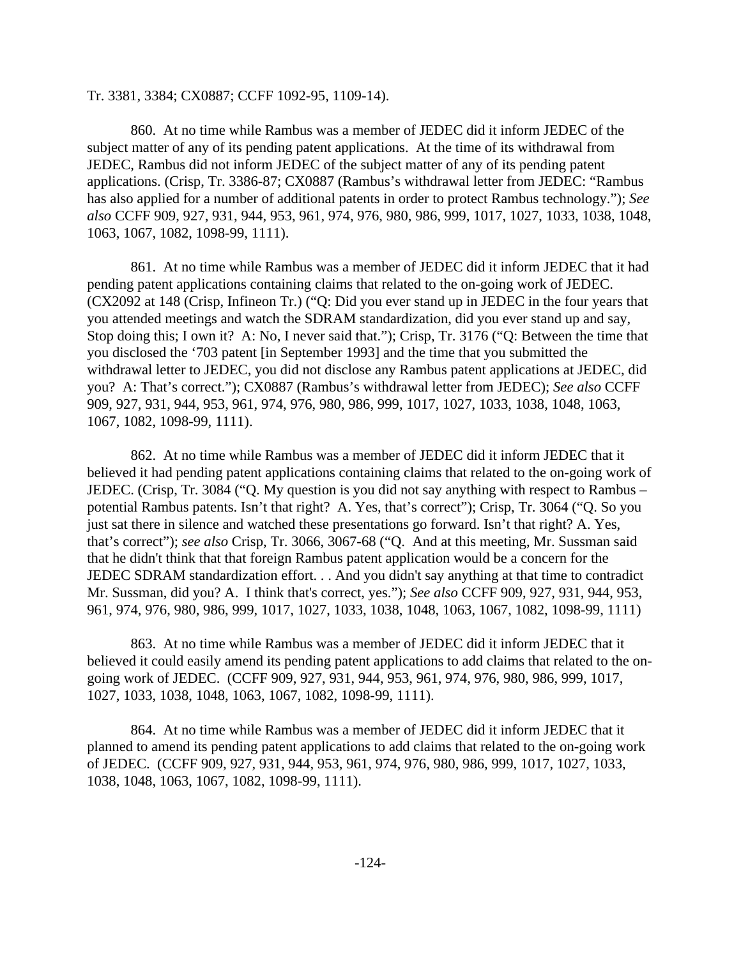Tr. 3381, 3384; CX0887; CCFF 1092-95, 1109-14).

860. At no time while Rambus was a member of JEDEC did it inform JEDEC of the subject matter of any of its pending patent applications. At the time of its withdrawal from JEDEC, Rambus did not inform JEDEC of the subject matter of any of its pending patent applications. (Crisp, Tr. 3386-87; CX0887 (Rambus's withdrawal letter from JEDEC: "Rambus has also applied for a number of additional patents in order to protect Rambus technology."); *See also* CCFF 909, 927, 931, 944, 953, 961, 974, 976, 980, 986, 999, 1017, 1027, 1033, 1038, 1048, 1063, 1067, 1082, 1098-99, 1111).

861. At no time while Rambus was a member of JEDEC did it inform JEDEC that it had pending patent applications containing claims that related to the on-going work of JEDEC. (CX2092 at 148 (Crisp, Infineon Tr.) ("Q: Did you ever stand up in JEDEC in the four years that you attended meetings and watch the SDRAM standardization, did you ever stand up and say, Stop doing this; I own it? A: No, I never said that."); Crisp, Tr. 3176 ("Q: Between the time that you disclosed the '703 patent [in September 1993] and the time that you submitted the withdrawal letter to JEDEC, you did not disclose any Rambus patent applications at JEDEC, did you? A: That's correct."); CX0887 (Rambus's withdrawal letter from JEDEC); *See also* CCFF 909, 927, 931, 944, 953, 961, 974, 976, 980, 986, 999, 1017, 1027, 1033, 1038, 1048, 1063, 1067, 1082, 1098-99, 1111).

862. At no time while Rambus was a member of JEDEC did it inform JEDEC that it believed it had pending patent applications containing claims that related to the on-going work of JEDEC. (Crisp, Tr. 3084 ("Q. My question is you did not say anything with respect to Rambus – potential Rambus patents. Isn't that right? A. Yes, that's correct"); Crisp, Tr. 3064 ("Q. So you just sat there in silence and watched these presentations go forward. Isn't that right? A. Yes, that's correct"); *see also* Crisp, Tr. 3066, 3067-68 ("Q. And at this meeting, Mr. Sussman said that he didn't think that that foreign Rambus patent application would be a concern for the JEDEC SDRAM standardization effort. . . And you didn't say anything at that time to contradict Mr. Sussman, did you? A. I think that's correct, yes."); *See also* CCFF 909, 927, 931, 944, 953, 961, 974, 976, 980, 986, 999, 1017, 1027, 1033, 1038, 1048, 1063, 1067, 1082, 1098-99, 1111)

863. At no time while Rambus was a member of JEDEC did it inform JEDEC that it believed it could easily amend its pending patent applications to add claims that related to the ongoing work of JEDEC. (CCFF 909, 927, 931, 944, 953, 961, 974, 976, 980, 986, 999, 1017, 1027, 1033, 1038, 1048, 1063, 1067, 1082, 1098-99, 1111).

864. At no time while Rambus was a member of JEDEC did it inform JEDEC that it planned to amend its pending patent applications to add claims that related to the on-going work of JEDEC. (CCFF 909, 927, 931, 944, 953, 961, 974, 976, 980, 986, 999, 1017, 1027, 1033, 1038, 1048, 1063, 1067, 1082, 1098-99, 1111).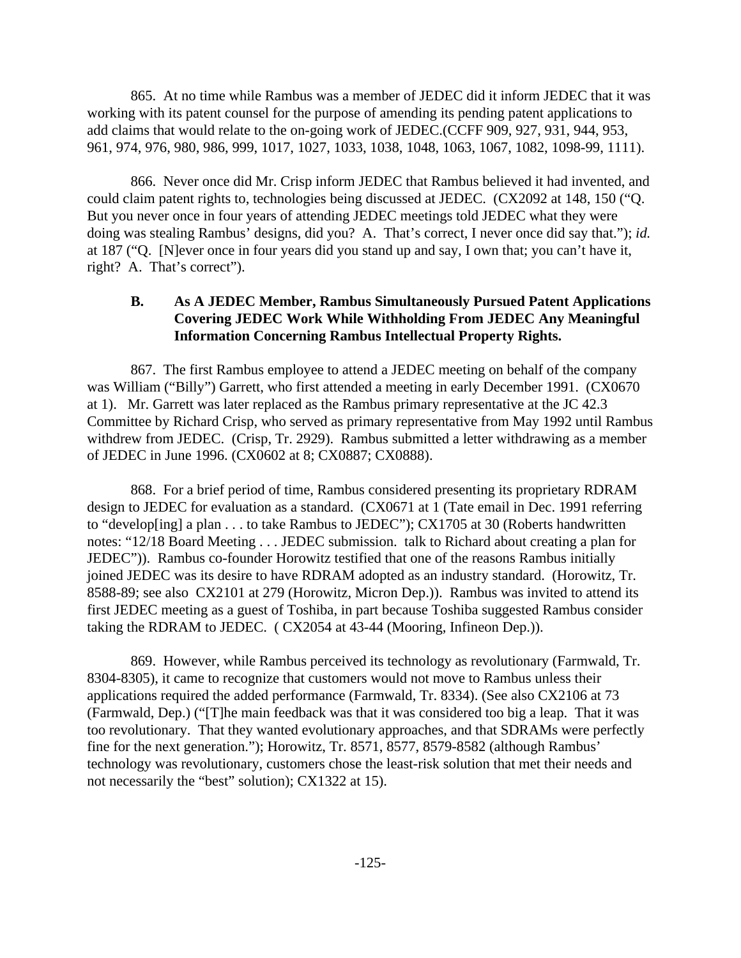865. At no time while Rambus was a member of JEDEC did it inform JEDEC that it was working with its patent counsel for the purpose of amending its pending patent applications to add claims that would relate to the on-going work of JEDEC.(CCFF 909, 927, 931, 944, 953, 961, 974, 976, 980, 986, 999, 1017, 1027, 1033, 1038, 1048, 1063, 1067, 1082, 1098-99, 1111).

866. Never once did Mr. Crisp inform JEDEC that Rambus believed it had invented, and could claim patent rights to, technologies being discussed at JEDEC. (CX2092 at 148, 150 ("Q. But you never once in four years of attending JEDEC meetings told JEDEC what they were doing was stealing Rambus' designs, did you? A. That's correct, I never once did say that."); *id.* at 187 ("Q. [N]ever once in four years did you stand up and say, I own that; you can't have it, right? A. That's correct").

#### **B. As A JEDEC Member, Rambus Simultaneously Pursued Patent Applications Covering JEDEC Work While Withholding From JEDEC Any Meaningful Information Concerning Rambus Intellectual Property Rights.**

867. The first Rambus employee to attend a JEDEC meeting on behalf of the company was William ("Billy") Garrett, who first attended a meeting in early December 1991. (CX0670 at 1). Mr. Garrett was later replaced as the Rambus primary representative at the JC 42.3 Committee by Richard Crisp, who served as primary representative from May 1992 until Rambus withdrew from JEDEC. (Crisp, Tr. 2929). Rambus submitted a letter withdrawing as a member of JEDEC in June 1996. (CX0602 at 8; CX0887; CX0888).

868. For a brief period of time, Rambus considered presenting its proprietary RDRAM design to JEDEC for evaluation as a standard. (CX0671 at 1 (Tate email in Dec. 1991 referring to "develop[ing] a plan . . . to take Rambus to JEDEC"); CX1705 at 30 (Roberts handwritten notes: "12/18 Board Meeting . . . JEDEC submission. talk to Richard about creating a plan for JEDEC")). Rambus co-founder Horowitz testified that one of the reasons Rambus initially joined JEDEC was its desire to have RDRAM adopted as an industry standard. (Horowitz, Tr. 8588-89; see also CX2101 at 279 (Horowitz, Micron Dep.)). Rambus was invited to attend its first JEDEC meeting as a guest of Toshiba, in part because Toshiba suggested Rambus consider taking the RDRAM to JEDEC. ( CX2054 at 43-44 (Mooring, Infineon Dep.)).

869. However, while Rambus perceived its technology as revolutionary (Farmwald, Tr. 8304-8305), it came to recognize that customers would not move to Rambus unless their applications required the added performance (Farmwald, Tr. 8334). (See also CX2106 at 73 (Farmwald, Dep.) ("[T]he main feedback was that it was considered too big a leap. That it was too revolutionary. That they wanted evolutionary approaches, and that SDRAMs were perfectly fine for the next generation."); Horowitz, Tr. 8571, 8577, 8579-8582 (although Rambus' technology was revolutionary, customers chose the least-risk solution that met their needs and not necessarily the "best" solution); CX1322 at 15).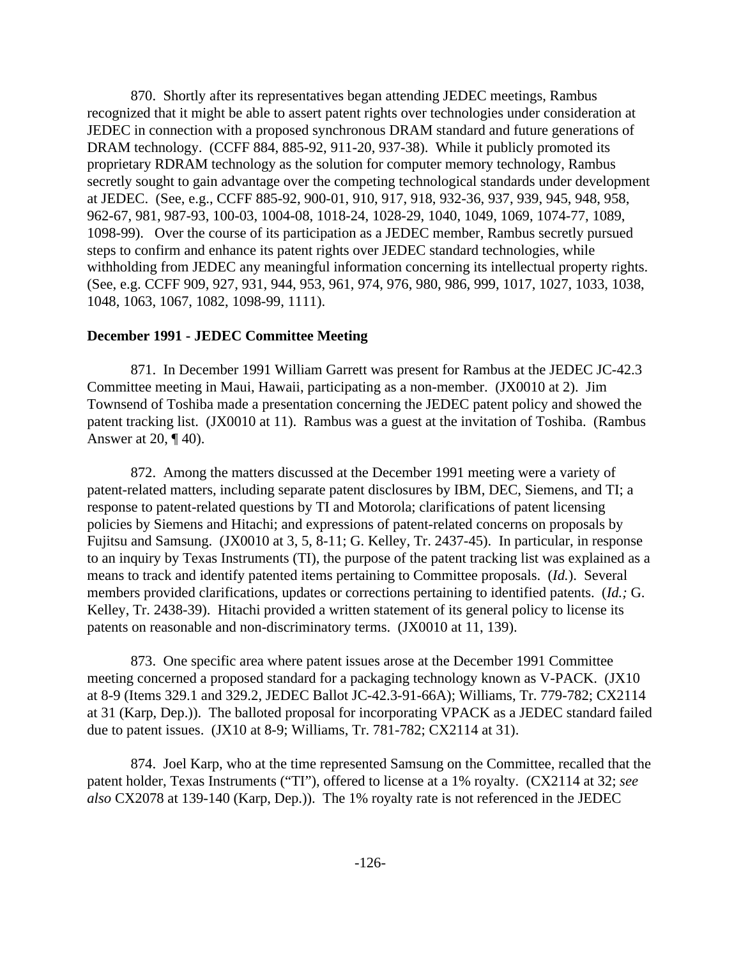870. Shortly after its representatives began attending JEDEC meetings, Rambus recognized that it might be able to assert patent rights over technologies under consideration at JEDEC in connection with a proposed synchronous DRAM standard and future generations of DRAM technology. (CCFF 884, 885-92, 911-20, 937-38). While it publicly promoted its proprietary RDRAM technology as the solution for computer memory technology, Rambus secretly sought to gain advantage over the competing technological standards under development at JEDEC. (See, e.g., CCFF 885-92, 900-01, 910, 917, 918, 932-36, 937, 939, 945, 948, 958, 962-67, 981, 987-93, 100-03, 1004-08, 1018-24, 1028-29, 1040, 1049, 1069, 1074-77, 1089, 1098-99). Over the course of its participation as a JEDEC member, Rambus secretly pursued steps to confirm and enhance its patent rights over JEDEC standard technologies, while withholding from JEDEC any meaningful information concerning its intellectual property rights. (See, e.g. CCFF 909, 927, 931, 944, 953, 961, 974, 976, 980, 986, 999, 1017, 1027, 1033, 1038, 1048, 1063, 1067, 1082, 1098-99, 1111).

#### **December 1991 - JEDEC Committee Meeting**

871. In December 1991 William Garrett was present for Rambus at the JEDEC JC-42.3 Committee meeting in Maui, Hawaii, participating as a non-member. (JX0010 at 2). Jim Townsend of Toshiba made a presentation concerning the JEDEC patent policy and showed the patent tracking list. (JX0010 at 11). Rambus was a guest at the invitation of Toshiba. (Rambus Answer at 20, ¶ 40).

872. Among the matters discussed at the December 1991 meeting were a variety of patent-related matters, including separate patent disclosures by IBM, DEC, Siemens, and TI; a response to patent-related questions by TI and Motorola; clarifications of patent licensing policies by Siemens and Hitachi; and expressions of patent-related concerns on proposals by Fujitsu and Samsung. (JX0010 at 3, 5, 8-11; G. Kelley, Tr. 2437-45). In particular, in response to an inquiry by Texas Instruments (TI), the purpose of the patent tracking list was explained as a means to track and identify patented items pertaining to Committee proposals. (*Id.*). Several members provided clarifications, updates or corrections pertaining to identified patents. (*Id.;* G. Kelley, Tr. 2438-39). Hitachi provided a written statement of its general policy to license its patents on reasonable and non-discriminatory terms. (JX0010 at 11, 139).

873. One specific area where patent issues arose at the December 1991 Committee meeting concerned a proposed standard for a packaging technology known as V-PACK. (JX10 at 8-9 (Items 329.1 and 329.2, JEDEC Ballot JC-42.3-91-66A); Williams, Tr. 779-782; CX2114 at 31 (Karp, Dep.)). The balloted proposal for incorporating VPACK as a JEDEC standard failed due to patent issues. (JX10 at 8-9; Williams, Tr. 781-782; CX2114 at 31).

874. Joel Karp, who at the time represented Samsung on the Committee, recalled that the patent holder, Texas Instruments ("TI"), offered to license at a 1% royalty. (CX2114 at 32; *see also* CX2078 at 139-140 (Karp, Dep.)). The 1% royalty rate is not referenced in the JEDEC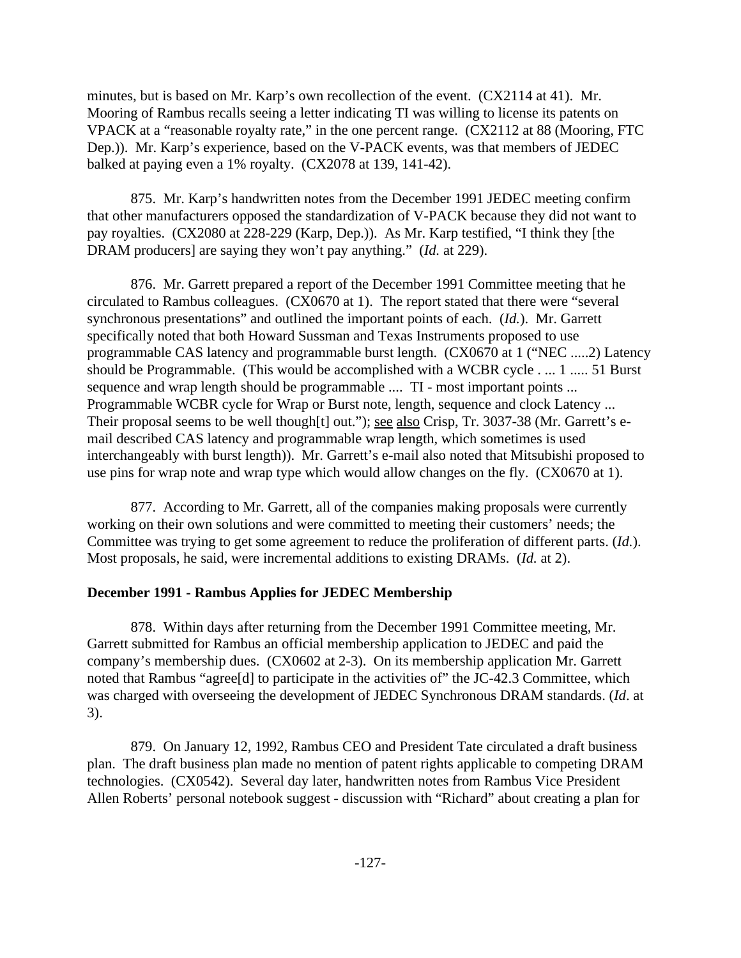minutes, but is based on Mr. Karp's own recollection of the event. (CX2114 at 41). Mr. Mooring of Rambus recalls seeing a letter indicating TI was willing to license its patents on VPACK at a "reasonable royalty rate," in the one percent range. (CX2112 at 88 (Mooring, FTC Dep.)). Mr. Karp's experience, based on the V-PACK events, was that members of JEDEC balked at paying even a 1% royalty. (CX2078 at 139, 141-42).

875. Mr. Karp's handwritten notes from the December 1991 JEDEC meeting confirm that other manufacturers opposed the standardization of V-PACK because they did not want to pay royalties. (CX2080 at 228-229 (Karp, Dep.)). As Mr. Karp testified, "I think they [the DRAM producers] are saying they won't pay anything." (*Id.* at 229).

876. Mr. Garrett prepared a report of the December 1991 Committee meeting that he circulated to Rambus colleagues. (CX0670 at 1). The report stated that there were "several synchronous presentations" and outlined the important points of each. (*Id.*). Mr. Garrett specifically noted that both Howard Sussman and Texas Instruments proposed to use programmable CAS latency and programmable burst length. (CX0670 at 1 ("NEC .....2) Latency should be Programmable. (This would be accomplished with a WCBR cycle . ... 1 ..... 51 Burst sequence and wrap length should be programmable .... TI - most important points ... Programmable WCBR cycle for Wrap or Burst note, length, sequence and clock Latency ... Their proposal seems to be well though[t] out."); <u>see also</u> Crisp, Tr. 3037-38 (Mr. Garrett's email described CAS latency and programmable wrap length, which sometimes is used interchangeably with burst length)). Mr. Garrett's e-mail also noted that Mitsubishi proposed to use pins for wrap note and wrap type which would allow changes on the fly. (CX0670 at 1).

877. According to Mr. Garrett, all of the companies making proposals were currently working on their own solutions and were committed to meeting their customers' needs; the Committee was trying to get some agreement to reduce the proliferation of different parts. (*Id.*). Most proposals, he said, were incremental additions to existing DRAMs. (*Id.* at 2).

#### **December 1991 - Rambus Applies for JEDEC Membership**

878. Within days after returning from the December 1991 Committee meeting, Mr. Garrett submitted for Rambus an official membership application to JEDEC and paid the company's membership dues. (CX0602 at 2-3). On its membership application Mr. Garrett noted that Rambus "agree<sup>[d]</sup> to participate in the activities of" the JC-42.3 Committee, which was charged with overseeing the development of JEDEC Synchronous DRAM standards. (*Id*. at 3).

879. On January 12, 1992, Rambus CEO and President Tate circulated a draft business plan. The draft business plan made no mention of patent rights applicable to competing DRAM technologies. (CX0542). Several day later, handwritten notes from Rambus Vice President Allen Roberts' personal notebook suggest - discussion with "Richard" about creating a plan for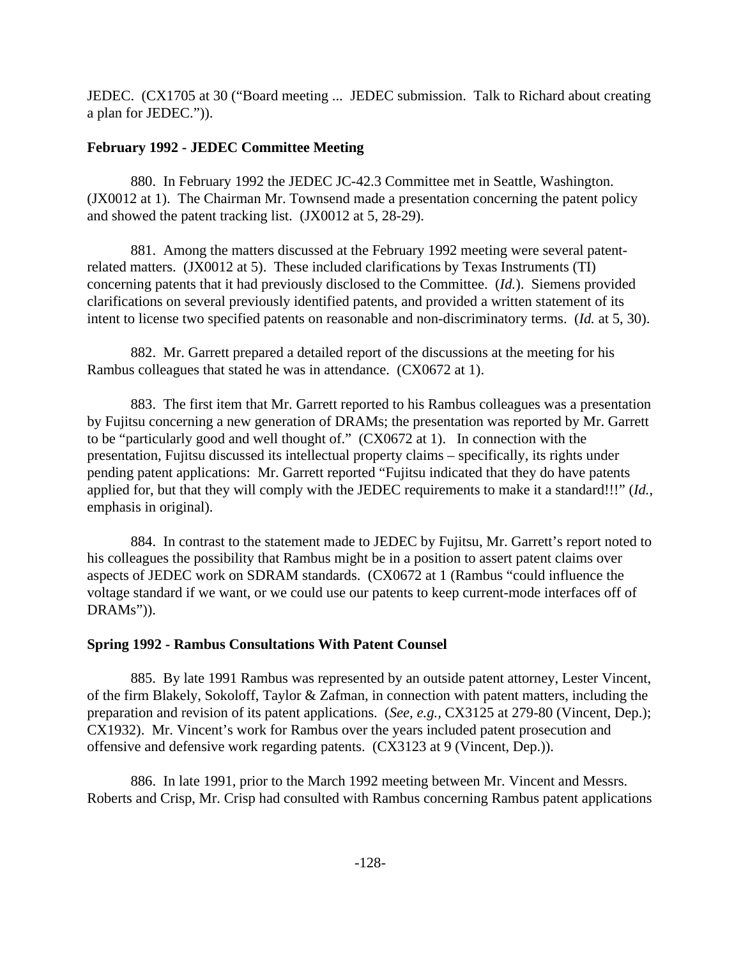JEDEC. (CX1705 at 30 ("Board meeting ... JEDEC submission. Talk to Richard about creating a plan for JEDEC.")).

#### **February 1992 - JEDEC Committee Meeting**

880. In February 1992 the JEDEC JC-42.3 Committee met in Seattle, Washington. (JX0012 at 1). The Chairman Mr. Townsend made a presentation concerning the patent policy and showed the patent tracking list. (JX0012 at 5, 28-29).

881. Among the matters discussed at the February 1992 meeting were several patentrelated matters. (JX0012 at 5). These included clarifications by Texas Instruments (TI) concerning patents that it had previously disclosed to the Committee. (*Id.*). Siemens provided clarifications on several previously identified patents, and provided a written statement of its intent to license two specified patents on reasonable and non-discriminatory terms. (*Id.* at 5, 30).

882. Mr. Garrett prepared a detailed report of the discussions at the meeting for his Rambus colleagues that stated he was in attendance. (CX0672 at 1).

883. The first item that Mr. Garrett reported to his Rambus colleagues was a presentation by Fujitsu concerning a new generation of DRAMs; the presentation was reported by Mr. Garrett to be "particularly good and well thought of." (CX0672 at 1). In connection with the presentation, Fujitsu discussed its intellectual property claims – specifically, its rights under pending patent applications: Mr. Garrett reported "Fujitsu indicated that they do have patents applied for, but that they will comply with the JEDEC requirements to make it a standard!!!" (*Id.*, emphasis in original).

884. In contrast to the statement made to JEDEC by Fujitsu, Mr. Garrett's report noted to his colleagues the possibility that Rambus might be in a position to assert patent claims over aspects of JEDEC work on SDRAM standards. (CX0672 at 1 (Rambus "could influence the voltage standard if we want, or we could use our patents to keep current-mode interfaces off of DRAMs")).

# **Spring 1992 - Rambus Consultations With Patent Counsel**

885. By late 1991 Rambus was represented by an outside patent attorney, Lester Vincent, of the firm Blakely, Sokoloff, Taylor & Zafman, in connection with patent matters, including the preparation and revision of its patent applications. (*See, e.g.,* CX3125 at 279-80 (Vincent, Dep.); CX1932). Mr. Vincent's work for Rambus over the years included patent prosecution and offensive and defensive work regarding patents. (CX3123 at 9 (Vincent, Dep.)).

886. In late 1991, prior to the March 1992 meeting between Mr. Vincent and Messrs. Roberts and Crisp, Mr. Crisp had consulted with Rambus concerning Rambus patent applications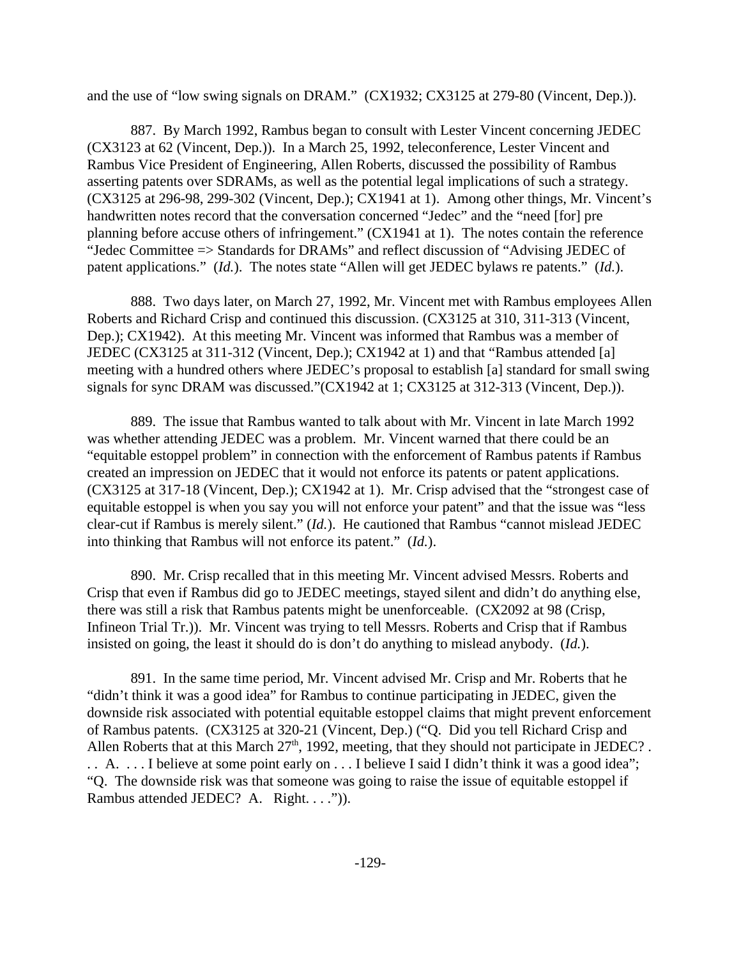and the use of "low swing signals on DRAM." (CX1932; CX3125 at 279-80 (Vincent, Dep.)).

887. By March 1992, Rambus began to consult with Lester Vincent concerning JEDEC (CX3123 at 62 (Vincent, Dep.)). In a March 25, 1992, teleconference, Lester Vincent and Rambus Vice President of Engineering, Allen Roberts, discussed the possibility of Rambus asserting patents over SDRAMs, as well as the potential legal implications of such a strategy. (CX3125 at 296-98, 299-302 (Vincent, Dep.); CX1941 at 1). Among other things, Mr. Vincent's handwritten notes record that the conversation concerned "Jedec" and the "need [for] pre planning before accuse others of infringement." (CX1941 at 1). The notes contain the reference "Jedec Committee => Standards for DRAMs" and reflect discussion of "Advising JEDEC of patent applications." (*Id.*). The notes state "Allen will get JEDEC bylaws re patents." (*Id.*).

888. Two days later, on March 27, 1992, Mr. Vincent met with Rambus employees Allen Roberts and Richard Crisp and continued this discussion. (CX3125 at 310, 311-313 (Vincent, Dep.); CX1942). At this meeting Mr. Vincent was informed that Rambus was a member of JEDEC (CX3125 at 311-312 (Vincent, Dep.); CX1942 at 1) and that "Rambus attended [a] meeting with a hundred others where JEDEC's proposal to establish [a] standard for small swing signals for sync DRAM was discussed."(CX1942 at 1; CX3125 at 312-313 (Vincent, Dep.)).

889. The issue that Rambus wanted to talk about with Mr. Vincent in late March 1992 was whether attending JEDEC was a problem. Mr. Vincent warned that there could be an "equitable estoppel problem" in connection with the enforcement of Rambus patents if Rambus created an impression on JEDEC that it would not enforce its patents or patent applications. (CX3125 at 317-18 (Vincent, Dep.); CX1942 at 1). Mr. Crisp advised that the "strongest case of equitable estoppel is when you say you will not enforce your patent" and that the issue was "less clear-cut if Rambus is merely silent." (*Id.*). He cautioned that Rambus "cannot mislead JEDEC into thinking that Rambus will not enforce its patent." (*Id.*).

890. Mr. Crisp recalled that in this meeting Mr. Vincent advised Messrs. Roberts and Crisp that even if Rambus did go to JEDEC meetings, stayed silent and didn't do anything else, there was still a risk that Rambus patents might be unenforceable. (CX2092 at 98 (Crisp, Infineon Trial Tr.)). Mr. Vincent was trying to tell Messrs. Roberts and Crisp that if Rambus insisted on going, the least it should do is don't do anything to mislead anybody. (*Id.*).

891. In the same time period, Mr. Vincent advised Mr. Crisp and Mr. Roberts that he "didn't think it was a good idea" for Rambus to continue participating in JEDEC, given the downside risk associated with potential equitable estoppel claims that might prevent enforcement of Rambus patents. (CX3125 at 320-21 (Vincent, Dep.) ("Q. Did you tell Richard Crisp and Allen Roberts that at this March  $27<sup>th</sup>$ , 1992, meeting, that they should not participate in JEDEC?. . . A. . . . I believe at some point early on . . . I believe I said I didn't think it was a good idea"; "Q. The downside risk was that someone was going to raise the issue of equitable estoppel if Rambus attended JEDEC? A. Right. . . .")).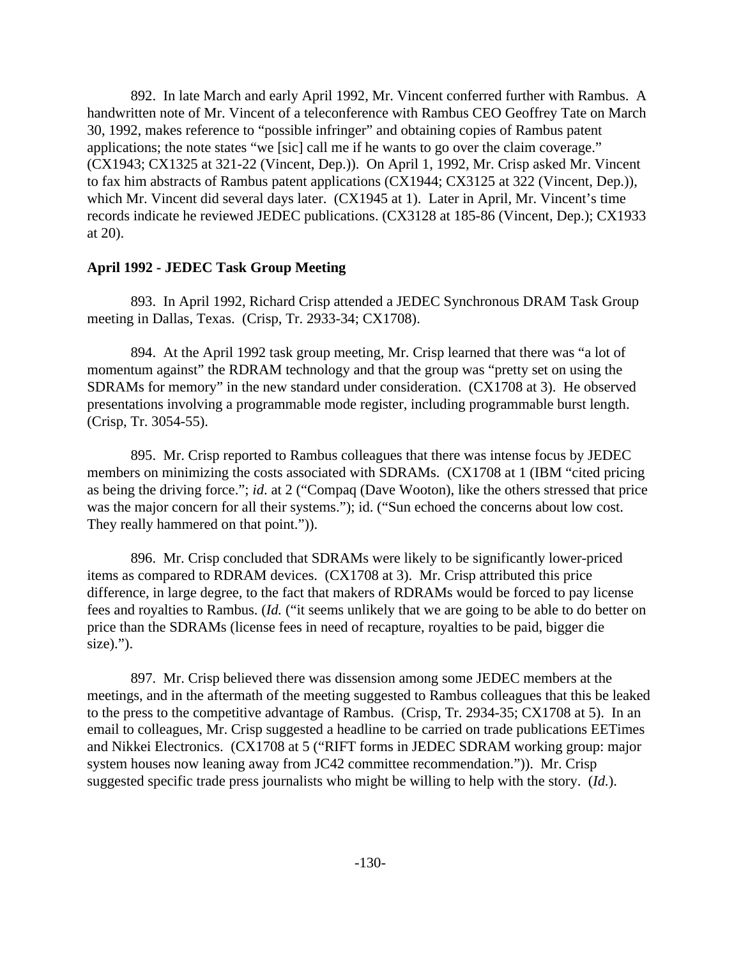892. In late March and early April 1992, Mr. Vincent conferred further with Rambus. A handwritten note of Mr. Vincent of a teleconference with Rambus CEO Geoffrey Tate on March 30, 1992, makes reference to "possible infringer" and obtaining copies of Rambus patent applications; the note states "we [sic] call me if he wants to go over the claim coverage." (CX1943; CX1325 at 321-22 (Vincent, Dep.)). On April 1, 1992, Mr. Crisp asked Mr. Vincent to fax him abstracts of Rambus patent applications (CX1944; CX3125 at 322 (Vincent, Dep.)), which Mr. Vincent did several days later. (CX1945 at 1). Later in April, Mr. Vincent's time records indicate he reviewed JEDEC publications. (CX3128 at 185-86 (Vincent, Dep.); CX1933 at 20).

#### **April 1992 - JEDEC Task Group Meeting**

893. In April 1992, Richard Crisp attended a JEDEC Synchronous DRAM Task Group meeting in Dallas, Texas. (Crisp, Tr. 2933-34; CX1708).

894. At the April 1992 task group meeting, Mr. Crisp learned that there was "a lot of momentum against" the RDRAM technology and that the group was "pretty set on using the SDRAMs for memory" in the new standard under consideration. (CX1708 at 3). He observed presentations involving a programmable mode register, including programmable burst length. (Crisp, Tr. 3054-55).

895. Mr. Crisp reported to Rambus colleagues that there was intense focus by JEDEC members on minimizing the costs associated with SDRAMs. (CX1708 at 1 (IBM "cited pricing as being the driving force."; *id*. at 2 ("Compaq (Dave Wooton), like the others stressed that price was the major concern for all their systems."); id. ("Sun echoed the concerns about low cost. They really hammered on that point.")).

896. Mr. Crisp concluded that SDRAMs were likely to be significantly lower-priced items as compared to RDRAM devices. (CX1708 at 3). Mr. Crisp attributed this price difference, in large degree, to the fact that makers of RDRAMs would be forced to pay license fees and royalties to Rambus. (*Id.* ("it seems unlikely that we are going to be able to do better on price than the SDRAMs (license fees in need of recapture, royalties to be paid, bigger die  $size).$ ").

897. Mr. Crisp believed there was dissension among some JEDEC members at the meetings, and in the aftermath of the meeting suggested to Rambus colleagues that this be leaked to the press to the competitive advantage of Rambus. (Crisp, Tr. 2934-35; CX1708 at 5). In an email to colleagues, Mr. Crisp suggested a headline to be carried on trade publications EETimes and Nikkei Electronics. (CX1708 at 5 ("RIFT forms in JEDEC SDRAM working group: major system houses now leaning away from JC42 committee recommendation.")). Mr. Crisp suggested specific trade press journalists who might be willing to help with the story. (*Id.*).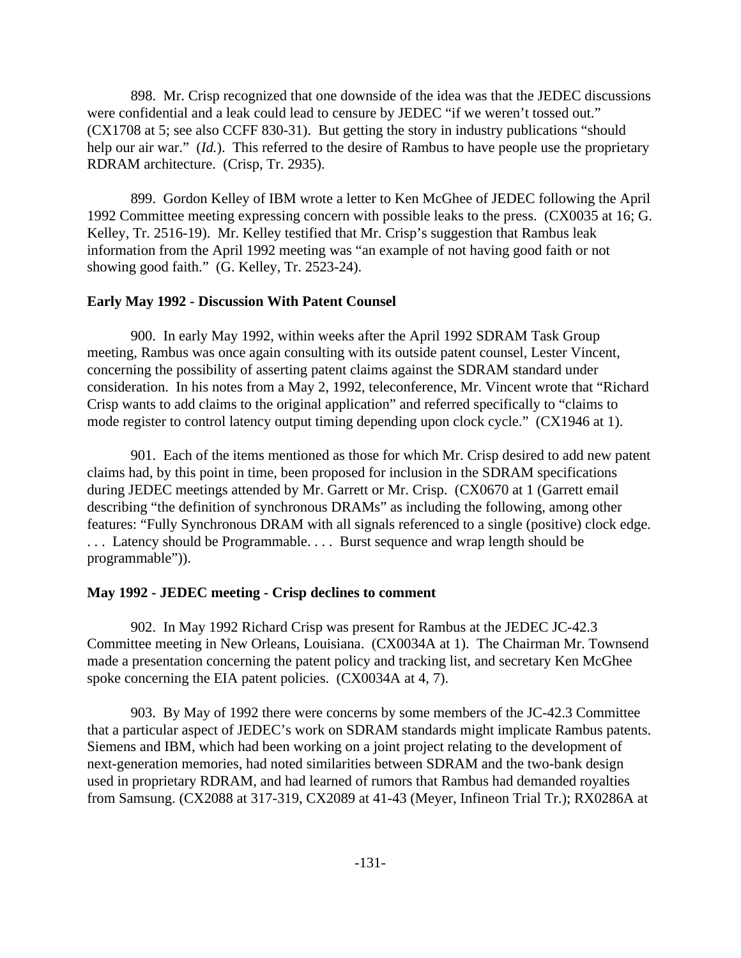898. Mr. Crisp recognized that one downside of the idea was that the JEDEC discussions were confidential and a leak could lead to censure by JEDEC "if we weren't tossed out." (CX1708 at 5; see also CCFF 830-31). But getting the story in industry publications "should help our air war." (*Id.*). This referred to the desire of Rambus to have people use the proprietary RDRAM architecture. (Crisp, Tr. 2935).

899. Gordon Kelley of IBM wrote a letter to Ken McGhee of JEDEC following the April 1992 Committee meeting expressing concern with possible leaks to the press. (CX0035 at 16; G. Kelley, Tr. 2516-19). Mr. Kelley testified that Mr. Crisp's suggestion that Rambus leak information from the April 1992 meeting was "an example of not having good faith or not showing good faith." (G. Kelley, Tr. 2523-24).

#### **Early May 1992 - Discussion With Patent Counsel**

900. In early May 1992, within weeks after the April 1992 SDRAM Task Group meeting, Rambus was once again consulting with its outside patent counsel, Lester Vincent, concerning the possibility of asserting patent claims against the SDRAM standard under consideration. In his notes from a May 2, 1992, teleconference, Mr. Vincent wrote that "Richard Crisp wants to add claims to the original application" and referred specifically to "claims to mode register to control latency output timing depending upon clock cycle." (CX1946 at 1).

901. Each of the items mentioned as those for which Mr. Crisp desired to add new patent claims had, by this point in time, been proposed for inclusion in the SDRAM specifications during JEDEC meetings attended by Mr. Garrett or Mr. Crisp. (CX0670 at 1 (Garrett email describing "the definition of synchronous DRAMs" as including the following, among other features: "Fully Synchronous DRAM with all signals referenced to a single (positive) clock edge. ... Latency should be Programmable.... Burst sequence and wrap length should be programmable")).

#### **May 1992 - JEDEC meeting - Crisp declines to comment**

902. In May 1992 Richard Crisp was present for Rambus at the JEDEC JC-42.3 Committee meeting in New Orleans, Louisiana. (CX0034A at 1). The Chairman Mr. Townsend made a presentation concerning the patent policy and tracking list, and secretary Ken McGhee spoke concerning the EIA patent policies. (CX0034A at 4, 7).

903. By May of 1992 there were concerns by some members of the JC-42.3 Committee that a particular aspect of JEDEC's work on SDRAM standards might implicate Rambus patents. Siemens and IBM, which had been working on a joint project relating to the development of next-generation memories, had noted similarities between SDRAM and the two-bank design used in proprietary RDRAM, and had learned of rumors that Rambus had demanded royalties from Samsung. (CX2088 at 317-319, CX2089 at 41-43 (Meyer, Infineon Trial Tr.); RX0286A at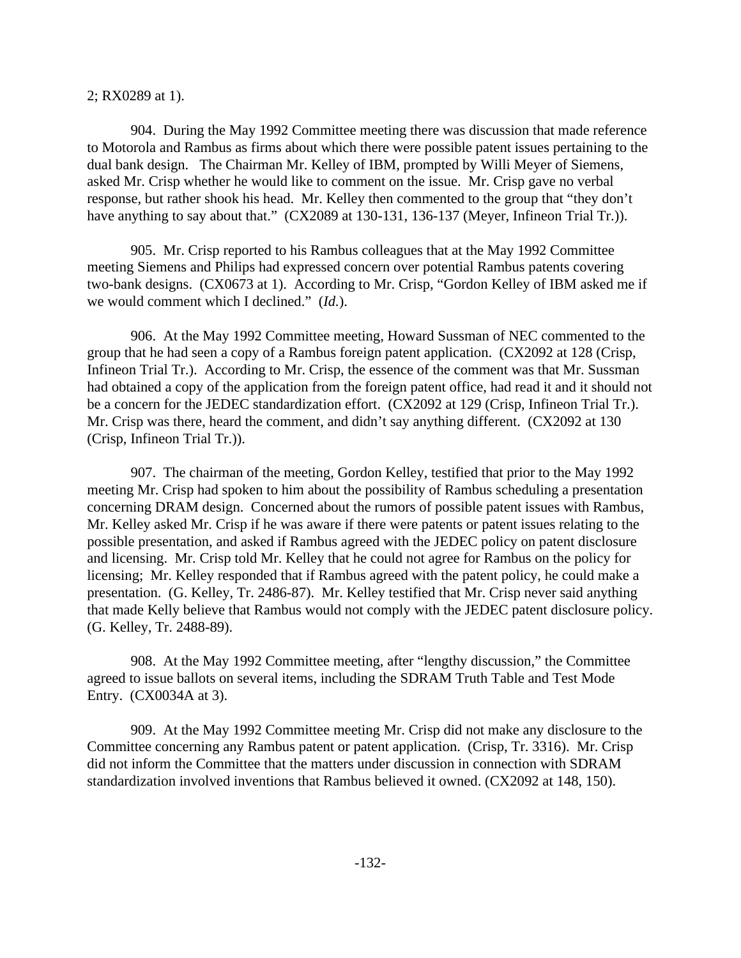#### 2; RX0289 at 1).

904. During the May 1992 Committee meeting there was discussion that made reference to Motorola and Rambus as firms about which there were possible patent issues pertaining to the dual bank design. The Chairman Mr. Kelley of IBM, prompted by Willi Meyer of Siemens, asked Mr. Crisp whether he would like to comment on the issue. Mr. Crisp gave no verbal response, but rather shook his head. Mr. Kelley then commented to the group that "they don't have anything to say about that." (CX2089 at 130-131, 136-137 (Meyer, Infineon Trial Tr.)).

905. Mr. Crisp reported to his Rambus colleagues that at the May 1992 Committee meeting Siemens and Philips had expressed concern over potential Rambus patents covering two-bank designs. (CX0673 at 1). According to Mr. Crisp, "Gordon Kelley of IBM asked me if we would comment which I declined." (*Id.*).

906. At the May 1992 Committee meeting, Howard Sussman of NEC commented to the group that he had seen a copy of a Rambus foreign patent application. (CX2092 at 128 (Crisp, Infineon Trial Tr.). According to Mr. Crisp, the essence of the comment was that Mr. Sussman had obtained a copy of the application from the foreign patent office, had read it and it should not be a concern for the JEDEC standardization effort. (CX2092 at 129 (Crisp, Infineon Trial Tr.). Mr. Crisp was there, heard the comment, and didn't say anything different. (CX2092 at 130) (Crisp, Infineon Trial Tr.)).

907. The chairman of the meeting, Gordon Kelley, testified that prior to the May 1992 meeting Mr. Crisp had spoken to him about the possibility of Rambus scheduling a presentation concerning DRAM design. Concerned about the rumors of possible patent issues with Rambus, Mr. Kelley asked Mr. Crisp if he was aware if there were patents or patent issues relating to the possible presentation, and asked if Rambus agreed with the JEDEC policy on patent disclosure and licensing. Mr. Crisp told Mr. Kelley that he could not agree for Rambus on the policy for licensing; Mr. Kelley responded that if Rambus agreed with the patent policy, he could make a presentation. (G. Kelley, Tr. 2486-87). Mr. Kelley testified that Mr. Crisp never said anything that made Kelly believe that Rambus would not comply with the JEDEC patent disclosure policy. (G. Kelley, Tr. 2488-89).

908. At the May 1992 Committee meeting, after "lengthy discussion," the Committee agreed to issue ballots on several items, including the SDRAM Truth Table and Test Mode Entry. (CX0034A at 3).

909. At the May 1992 Committee meeting Mr. Crisp did not make any disclosure to the Committee concerning any Rambus patent or patent application. (Crisp, Tr. 3316). Mr. Crisp did not inform the Committee that the matters under discussion in connection with SDRAM standardization involved inventions that Rambus believed it owned. (CX2092 at 148, 150).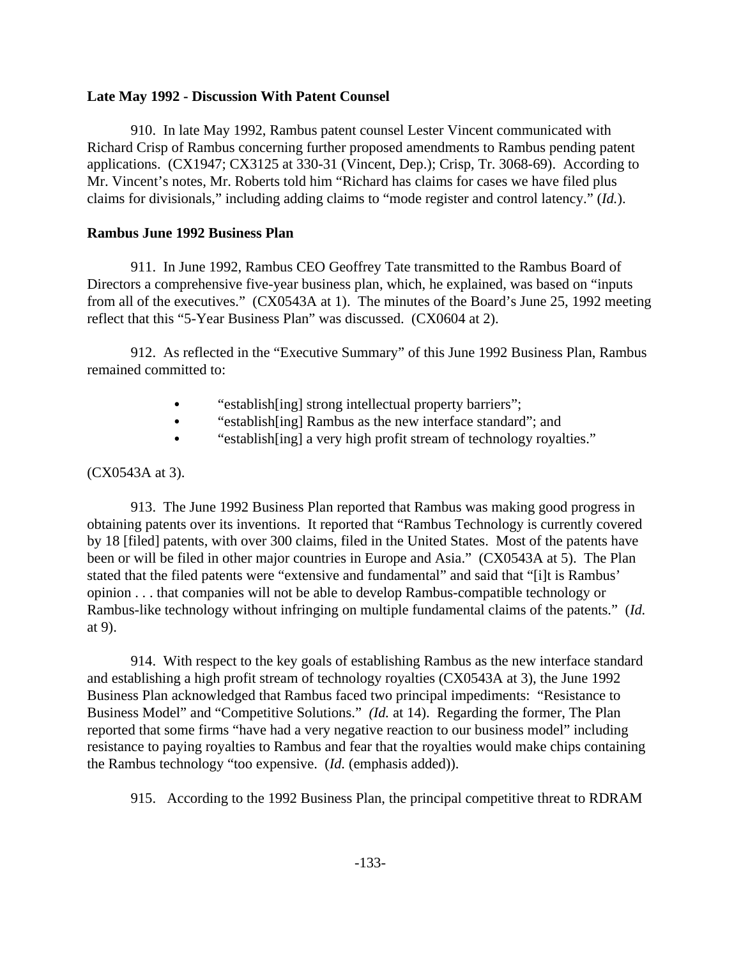### **Late May 1992 - Discussion With Patent Counsel**

910. In late May 1992, Rambus patent counsel Lester Vincent communicated with Richard Crisp of Rambus concerning further proposed amendments to Rambus pending patent applications. (CX1947; CX3125 at 330-31 (Vincent, Dep.); Crisp, Tr. 3068-69). According to Mr. Vincent's notes, Mr. Roberts told him "Richard has claims for cases we have filed plus claims for divisionals," including adding claims to "mode register and control latency." (*Id.*).

# **Rambus June 1992 Business Plan**

911. In June 1992, Rambus CEO Geoffrey Tate transmitted to the Rambus Board of Directors a comprehensive five-year business plan, which, he explained, was based on "inputs from all of the executives." (CX0543A at 1). The minutes of the Board's June 25, 1992 meeting reflect that this "5-Year Business Plan" was discussed. (CX0604 at 2).

912. As reflected in the "Executive Summary" of this June 1992 Business Plan, Rambus remained committed to:

- "establish[ing] strong intellectual property barriers";
- "establish[ing] Rambus as the new interface standard"; and
- "establish[ing] a very high profit stream of technology royalties."

# (CX0543A at 3).

913. The June 1992 Business Plan reported that Rambus was making good progress in obtaining patents over its inventions. It reported that "Rambus Technology is currently covered by 18 [filed] patents, with over 300 claims, filed in the United States. Most of the patents have been or will be filed in other major countries in Europe and Asia." (CX0543A at 5). The Plan stated that the filed patents were "extensive and fundamental" and said that "[i]t is Rambus' opinion . . . that companies will not be able to develop Rambus-compatible technology or Rambus-like technology without infringing on multiple fundamental claims of the patents." (*Id.* at 9).

914. With respect to the key goals of establishing Rambus as the new interface standard and establishing a high profit stream of technology royalties (CX0543A at 3), the June 1992 Business Plan acknowledged that Rambus faced two principal impediments: "Resistance to Business Model" and "Competitive Solutions." *(Id.* at 14). Regarding the former, The Plan reported that some firms "have had a very negative reaction to our business model" including resistance to paying royalties to Rambus and fear that the royalties would make chips containing the Rambus technology "too expensive. (*Id.* (emphasis added)).

915. According to the 1992 Business Plan, the principal competitive threat to RDRAM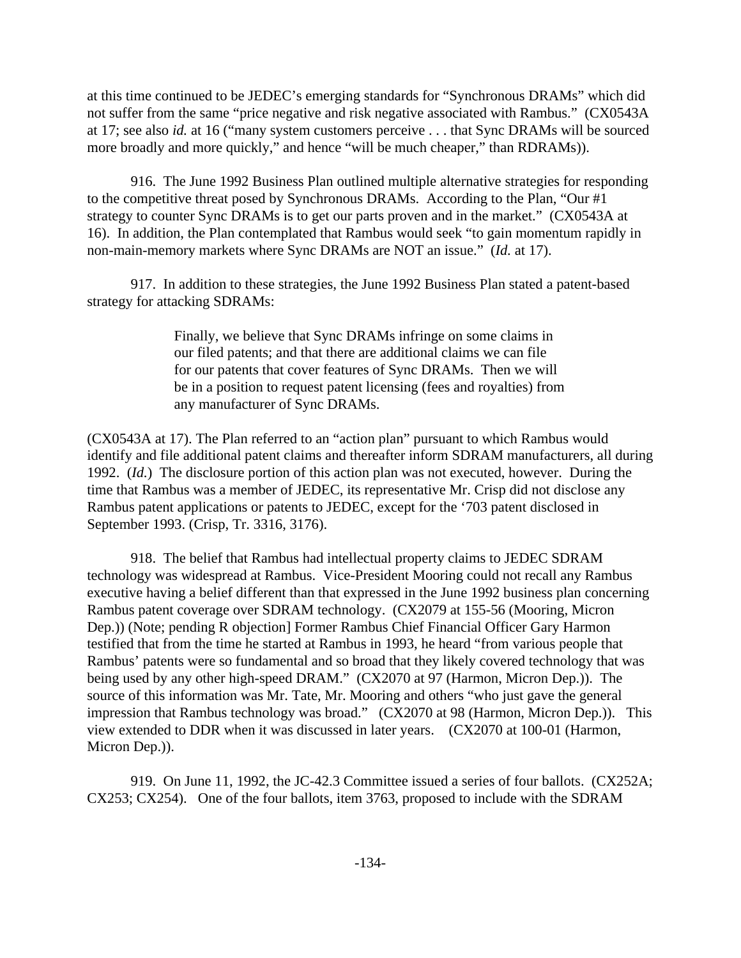at this time continued to be JEDEC's emerging standards for "Synchronous DRAMs" which did not suffer from the same "price negative and risk negative associated with Rambus." (CX0543A at 17; see also *id.* at 16 ("many system customers perceive . . . that Sync DRAMs will be sourced more broadly and more quickly," and hence "will be much cheaper," than RDRAMs)).

916. The June 1992 Business Plan outlined multiple alternative strategies for responding to the competitive threat posed by Synchronous DRAMs. According to the Plan, "Our #1 strategy to counter Sync DRAMs is to get our parts proven and in the market." (CX0543A at 16). In addition, the Plan contemplated that Rambus would seek "to gain momentum rapidly in non-main-memory markets where Sync DRAMs are NOT an issue." (*Id.* at 17).

917. In addition to these strategies, the June 1992 Business Plan stated a patent-based strategy for attacking SDRAMs:

> Finally, we believe that Sync DRAMs infringe on some claims in our filed patents; and that there are additional claims we can file for our patents that cover features of Sync DRAMs. Then we will be in a position to request patent licensing (fees and royalties) from any manufacturer of Sync DRAMs.

(CX0543A at 17). The Plan referred to an "action plan" pursuant to which Rambus would identify and file additional patent claims and thereafter inform SDRAM manufacturers, all during 1992. (*Id.*) The disclosure portion of this action plan was not executed, however. During the time that Rambus was a member of JEDEC, its representative Mr. Crisp did not disclose any Rambus patent applications or patents to JEDEC, except for the '703 patent disclosed in September 1993. (Crisp, Tr. 3316, 3176).

918. The belief that Rambus had intellectual property claims to JEDEC SDRAM technology was widespread at Rambus. Vice-President Mooring could not recall any Rambus executive having a belief different than that expressed in the June 1992 business plan concerning Rambus patent coverage over SDRAM technology. (CX2079 at 155-56 (Mooring, Micron Dep.)) (Note; pending R objection] Former Rambus Chief Financial Officer Gary Harmon testified that from the time he started at Rambus in 1993, he heard "from various people that Rambus' patents were so fundamental and so broad that they likely covered technology that was being used by any other high-speed DRAM." (CX2070 at 97 (Harmon, Micron Dep.)). The source of this information was Mr. Tate, Mr. Mooring and others "who just gave the general impression that Rambus technology was broad." (CX2070 at 98 (Harmon, Micron Dep.)). This view extended to DDR when it was discussed in later years. (CX2070 at 100-01 (Harmon, Micron Dep.)).

919. On June 11, 1992, the JC-42.3 Committee issued a series of four ballots. (CX252A; CX253; CX254). One of the four ballots, item 3763, proposed to include with the SDRAM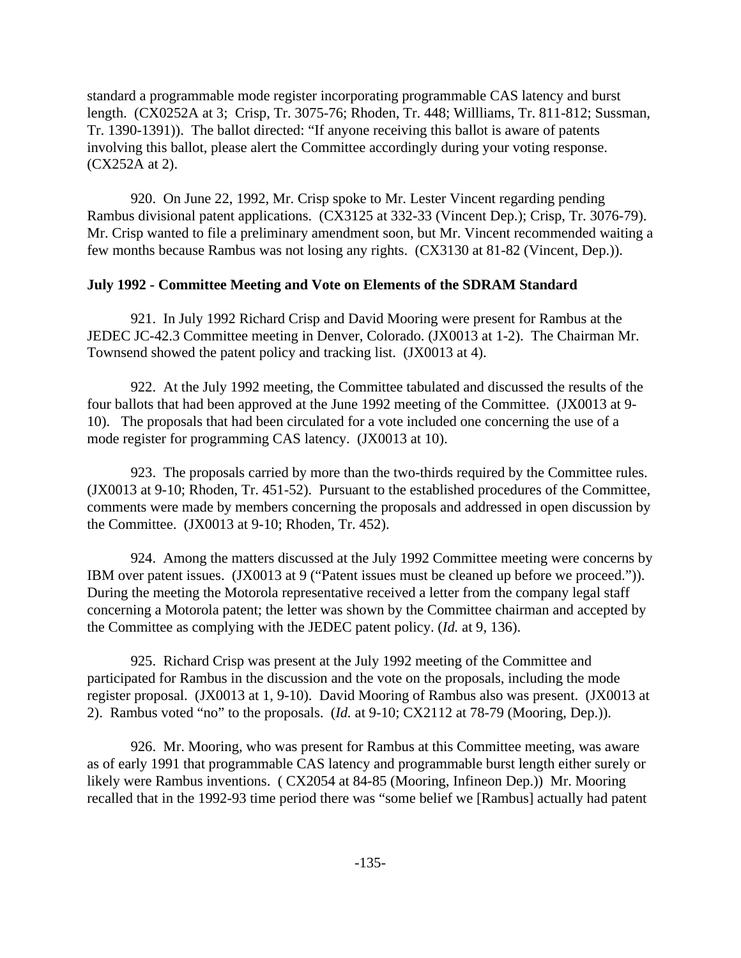standard a programmable mode register incorporating programmable CAS latency and burst length. (CX0252A at 3; Crisp, Tr. 3075-76; Rhoden, Tr. 448; Willliams, Tr. 811-812; Sussman, Tr. 1390-1391)). The ballot directed: "If anyone receiving this ballot is aware of patents involving this ballot, please alert the Committee accordingly during your voting response. (CX252A at 2).

920. On June 22, 1992, Mr. Crisp spoke to Mr. Lester Vincent regarding pending Rambus divisional patent applications. (CX3125 at 332-33 (Vincent Dep.); Crisp, Tr. 3076-79). Mr. Crisp wanted to file a preliminary amendment soon, but Mr. Vincent recommended waiting a few months because Rambus was not losing any rights. (CX3130 at 81-82 (Vincent, Dep.)).

## **July 1992 - Committee Meeting and Vote on Elements of the SDRAM Standard**

921. In July 1992 Richard Crisp and David Mooring were present for Rambus at the JEDEC JC-42.3 Committee meeting in Denver, Colorado. (JX0013 at 1-2). The Chairman Mr. Townsend showed the patent policy and tracking list. (JX0013 at 4).

922. At the July 1992 meeting, the Committee tabulated and discussed the results of the four ballots that had been approved at the June 1992 meeting of the Committee. (JX0013 at 9- 10). The proposals that had been circulated for a vote included one concerning the use of a mode register for programming CAS latency. (JX0013 at 10).

923. The proposals carried by more than the two-thirds required by the Committee rules. (JX0013 at 9-10; Rhoden, Tr. 451-52). Pursuant to the established procedures of the Committee, comments were made by members concerning the proposals and addressed in open discussion by the Committee. (JX0013 at 9-10; Rhoden, Tr. 452).

924. Among the matters discussed at the July 1992 Committee meeting were concerns by IBM over patent issues. (JX0013 at 9 ("Patent issues must be cleaned up before we proceed.")). During the meeting the Motorola representative received a letter from the company legal staff concerning a Motorola patent; the letter was shown by the Committee chairman and accepted by the Committee as complying with the JEDEC patent policy. (*Id.* at 9, 136).

925. Richard Crisp was present at the July 1992 meeting of the Committee and participated for Rambus in the discussion and the vote on the proposals, including the mode register proposal. (JX0013 at 1, 9-10). David Mooring of Rambus also was present. (JX0013 at 2). Rambus voted "no" to the proposals. (*Id.* at 9-10; CX2112 at 78-79 (Mooring, Dep.)).

926. Mr. Mooring, who was present for Rambus at this Committee meeting, was aware as of early 1991 that programmable CAS latency and programmable burst length either surely or likely were Rambus inventions. ( CX2054 at 84-85 (Mooring, Infineon Dep.)) Mr. Mooring recalled that in the 1992-93 time period there was "some belief we [Rambus] actually had patent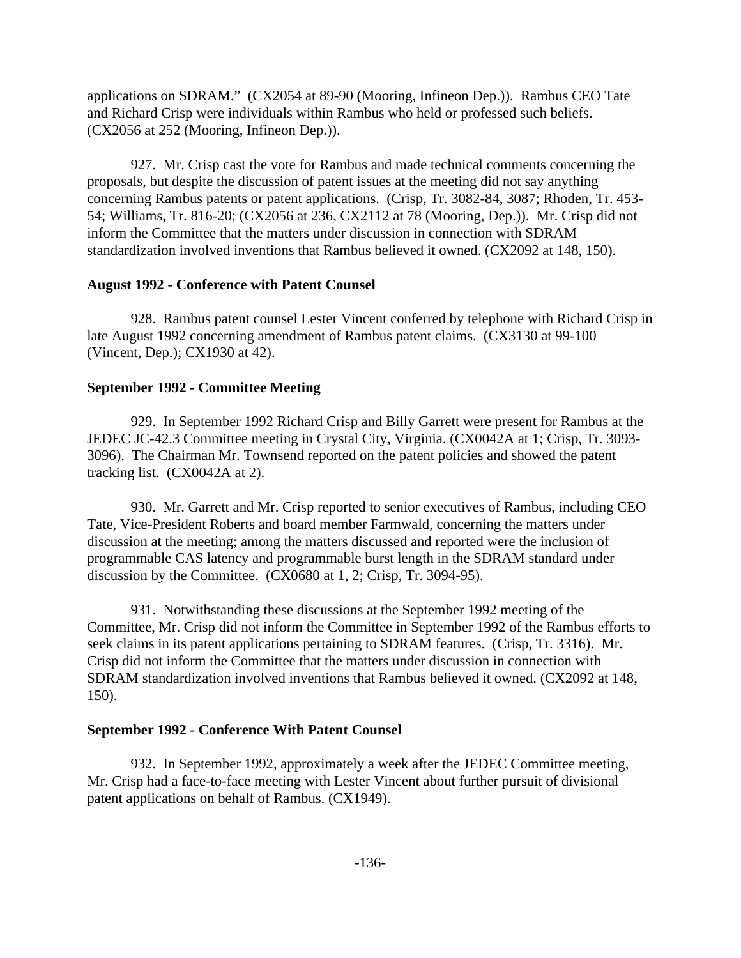applications on SDRAM." (CX2054 at 89-90 (Mooring, Infineon Dep.)). Rambus CEO Tate and Richard Crisp were individuals within Rambus who held or professed such beliefs. (CX2056 at 252 (Mooring, Infineon Dep.)).

927. Mr. Crisp cast the vote for Rambus and made technical comments concerning the proposals, but despite the discussion of patent issues at the meeting did not say anything concerning Rambus patents or patent applications. (Crisp, Tr. 3082-84, 3087; Rhoden, Tr. 453- 54; Williams, Tr. 816-20; (CX2056 at 236, CX2112 at 78 (Mooring, Dep.)). Mr. Crisp did not inform the Committee that the matters under discussion in connection with SDRAM standardization involved inventions that Rambus believed it owned. (CX2092 at 148, 150).

### **August 1992 - Conference with Patent Counsel**

928. Rambus patent counsel Lester Vincent conferred by telephone with Richard Crisp in late August 1992 concerning amendment of Rambus patent claims. (CX3130 at 99-100 (Vincent, Dep.); CX1930 at 42).

## **September 1992 - Committee Meeting**

929. In September 1992 Richard Crisp and Billy Garrett were present for Rambus at the JEDEC JC-42.3 Committee meeting in Crystal City, Virginia. (CX0042A at 1; Crisp, Tr. 3093- 3096). The Chairman Mr. Townsend reported on the patent policies and showed the patent tracking list. (CX0042A at 2).

930. Mr. Garrett and Mr. Crisp reported to senior executives of Rambus, including CEO Tate, Vice-President Roberts and board member Farmwald, concerning the matters under discussion at the meeting; among the matters discussed and reported were the inclusion of programmable CAS latency and programmable burst length in the SDRAM standard under discussion by the Committee. (CX0680 at 1, 2; Crisp, Tr. 3094-95).

931. Notwithstanding these discussions at the September 1992 meeting of the Committee, Mr. Crisp did not inform the Committee in September 1992 of the Rambus efforts to seek claims in its patent applications pertaining to SDRAM features. (Crisp, Tr. 3316). Mr. Crisp did not inform the Committee that the matters under discussion in connection with SDRAM standardization involved inventions that Rambus believed it owned. (CX2092 at 148, 150).

# **September 1992 - Conference With Patent Counsel**

932. In September 1992, approximately a week after the JEDEC Committee meeting, Mr. Crisp had a face-to-face meeting with Lester Vincent about further pursuit of divisional patent applications on behalf of Rambus. (CX1949).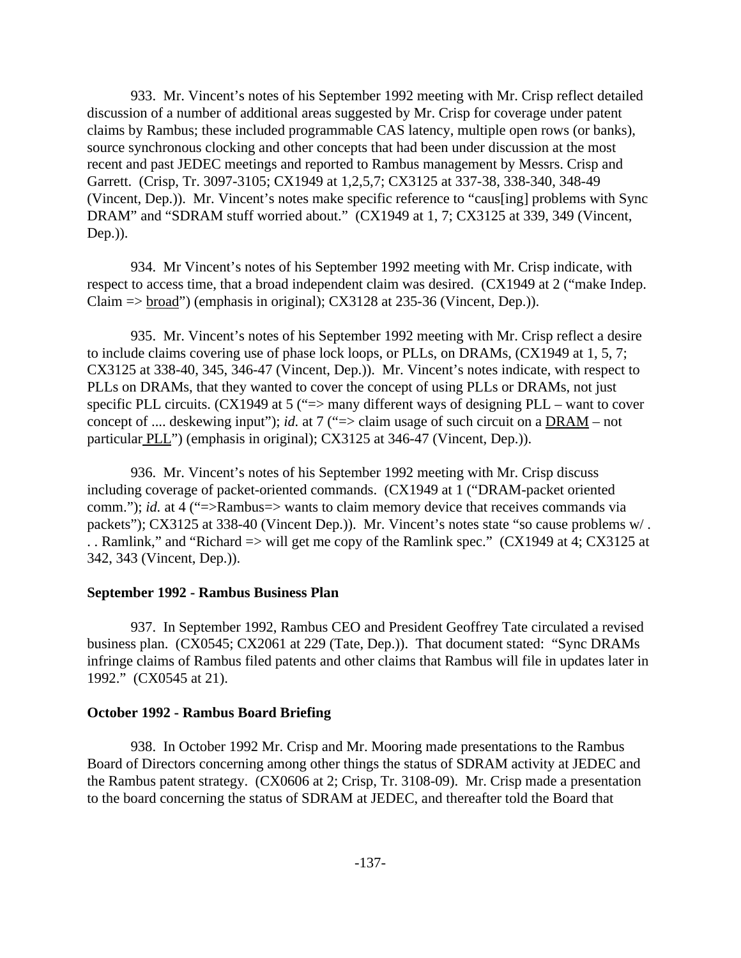933. Mr. Vincent's notes of his September 1992 meeting with Mr. Crisp reflect detailed discussion of a number of additional areas suggested by Mr. Crisp for coverage under patent claims by Rambus; these included programmable CAS latency, multiple open rows (or banks), source synchronous clocking and other concepts that had been under discussion at the most recent and past JEDEC meetings and reported to Rambus management by Messrs. Crisp and Garrett. (Crisp, Tr. 3097-3105; CX1949 at 1,2,5,7; CX3125 at 337-38, 338-340, 348-49 (Vincent, Dep.)). Mr. Vincent's notes make specific reference to "caus[ing] problems with Sync DRAM" and "SDRAM stuff worried about." (CX1949 at 1, 7; CX3125 at 339, 349 (Vincent, Dep.)).

934. Mr Vincent's notes of his September 1992 meeting with Mr. Crisp indicate, with respect to access time, that a broad independent claim was desired. (CX1949 at 2 ("make Indep. Claim  $\Rightarrow$  broad") (emphasis in original); CX3128 at 235-36 (Vincent, Dep.)).

935. Mr. Vincent's notes of his September 1992 meeting with Mr. Crisp reflect a desire to include claims covering use of phase lock loops, or PLLs, on DRAMs, (CX1949 at 1, 5, 7; CX3125 at 338-40, 345, 346-47 (Vincent, Dep.)). Mr. Vincent's notes indicate, with respect to PLLs on DRAMs, that they wanted to cover the concept of using PLLs or DRAMs, not just specific PLL circuits. (CX1949 at 5 ("=> many different ways of designing PLL – want to cover concept of .... deskewing input"); *id.* at 7 ("=> claim usage of such circuit on a DRAM – not particular PLL") (emphasis in original); CX3125 at 346-47 (Vincent, Dep.)).

936. Mr. Vincent's notes of his September 1992 meeting with Mr. Crisp discuss including coverage of packet-oriented commands. (CX1949 at 1 ("DRAM-packet oriented comm."); *id.* at 4 ("=>Rambus=> wants to claim memory device that receives commands via packets"); CX3125 at 338-40 (Vincent Dep.)). Mr. Vincent's notes state "so cause problems w/. . . Ramlink," and "Richard => will get me copy of the Ramlink spec." (CX1949 at 4; CX3125 at 342, 343 (Vincent, Dep.)).

### **September 1992 - Rambus Business Plan**

937. In September 1992, Rambus CEO and President Geoffrey Tate circulated a revised business plan. (CX0545; CX2061 at 229 (Tate, Dep.)). That document stated: "Sync DRAMs infringe claims of Rambus filed patents and other claims that Rambus will file in updates later in 1992." (CX0545 at 21).

#### **October 1992 - Rambus Board Briefing**

938. In October 1992 Mr. Crisp and Mr. Mooring made presentations to the Rambus Board of Directors concerning among other things the status of SDRAM activity at JEDEC and the Rambus patent strategy. (CX0606 at 2; Crisp, Tr. 3108-09). Mr. Crisp made a presentation to the board concerning the status of SDRAM at JEDEC, and thereafter told the Board that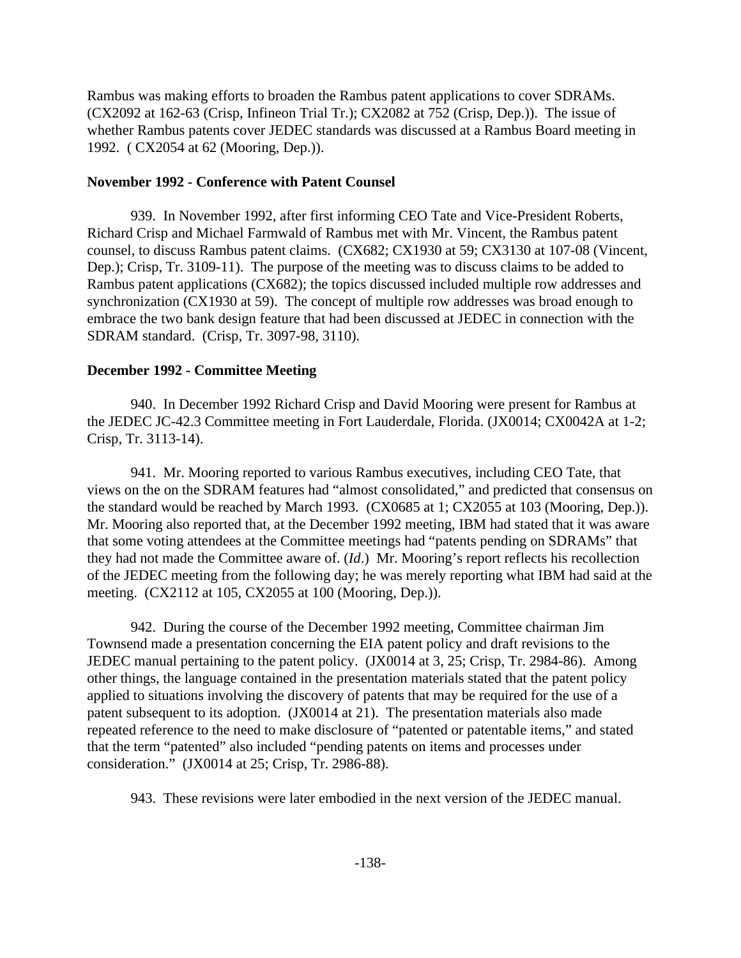Rambus was making efforts to broaden the Rambus patent applications to cover SDRAMs. (CX2092 at 162-63 (Crisp, Infineon Trial Tr.); CX2082 at 752 (Crisp, Dep.)). The issue of whether Rambus patents cover JEDEC standards was discussed at a Rambus Board meeting in 1992. ( CX2054 at 62 (Mooring, Dep.)).

#### **November 1992 - Conference with Patent Counsel**

939. In November 1992, after first informing CEO Tate and Vice-President Roberts, Richard Crisp and Michael Farmwald of Rambus met with Mr. Vincent, the Rambus patent counsel, to discuss Rambus patent claims. (CX682; CX1930 at 59; CX3130 at 107-08 (Vincent, Dep.); Crisp, Tr. 3109-11). The purpose of the meeting was to discuss claims to be added to Rambus patent applications (CX682); the topics discussed included multiple row addresses and synchronization (CX1930 at 59). The concept of multiple row addresses was broad enough to embrace the two bank design feature that had been discussed at JEDEC in connection with the SDRAM standard. (Crisp, Tr. 3097-98, 3110).

## **December 1992 - Committee Meeting**

940. In December 1992 Richard Crisp and David Mooring were present for Rambus at the JEDEC JC-42.3 Committee meeting in Fort Lauderdale, Florida. (JX0014; CX0042A at 1-2; Crisp, Tr. 3113-14).

941. Mr. Mooring reported to various Rambus executives, including CEO Tate, that views on the on the SDRAM features had "almost consolidated," and predicted that consensus on the standard would be reached by March 1993. (CX0685 at 1; CX2055 at 103 (Mooring, Dep.)). Mr. Mooring also reported that, at the December 1992 meeting, IBM had stated that it was aware that some voting attendees at the Committee meetings had "patents pending on SDRAMs" that they had not made the Committee aware of. (*Id*.) Mr. Mooring's report reflects his recollection of the JEDEC meeting from the following day; he was merely reporting what IBM had said at the meeting. (CX2112 at 105, CX2055 at 100 (Mooring, Dep.)).

942. During the course of the December 1992 meeting, Committee chairman Jim Townsend made a presentation concerning the EIA patent policy and draft revisions to the JEDEC manual pertaining to the patent policy. (JX0014 at 3, 25; Crisp, Tr. 2984-86). Among other things, the language contained in the presentation materials stated that the patent policy applied to situations involving the discovery of patents that may be required for the use of a patent subsequent to its adoption. (JX0014 at 21). The presentation materials also made repeated reference to the need to make disclosure of "patented or patentable items," and stated that the term "patented" also included "pending patents on items and processes under consideration." (JX0014 at 25; Crisp, Tr. 2986-88).

943. These revisions were later embodied in the next version of the JEDEC manual.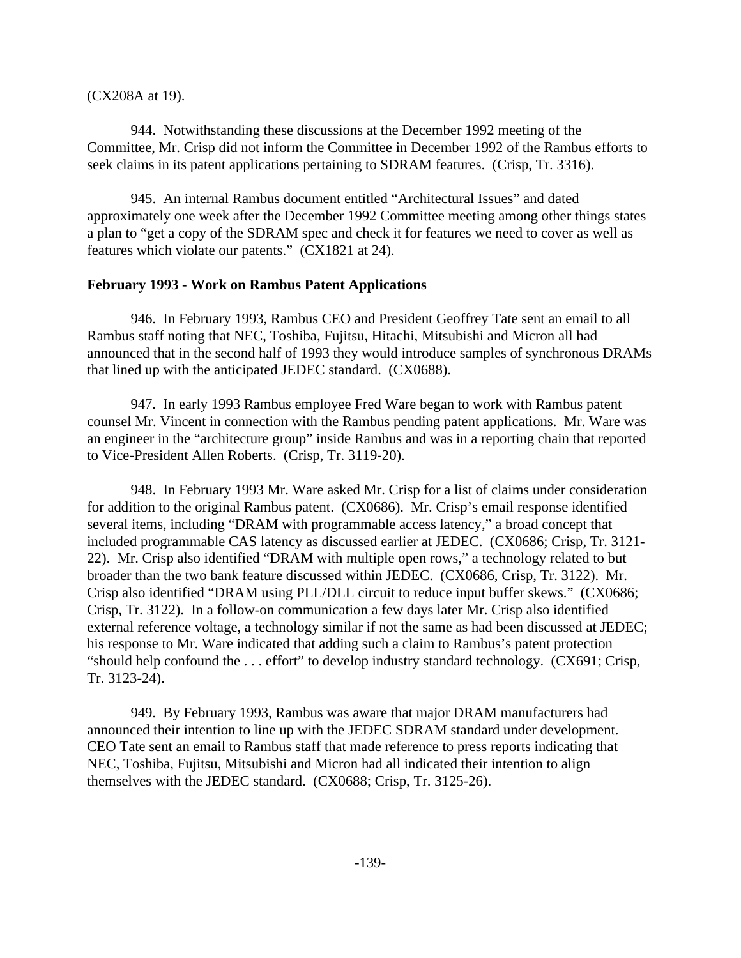(CX208A at 19).

944. Notwithstanding these discussions at the December 1992 meeting of the Committee, Mr. Crisp did not inform the Committee in December 1992 of the Rambus efforts to seek claims in its patent applications pertaining to SDRAM features. (Crisp, Tr. 3316).

945. An internal Rambus document entitled "Architectural Issues" and dated approximately one week after the December 1992 Committee meeting among other things states a plan to "get a copy of the SDRAM spec and check it for features we need to cover as well as features which violate our patents." (CX1821 at 24).

### **February 1993 - Work on Rambus Patent Applications**

946. In February 1993, Rambus CEO and President Geoffrey Tate sent an email to all Rambus staff noting that NEC, Toshiba, Fujitsu, Hitachi, Mitsubishi and Micron all had announced that in the second half of 1993 they would introduce samples of synchronous DRAMs that lined up with the anticipated JEDEC standard. (CX0688).

947. In early 1993 Rambus employee Fred Ware began to work with Rambus patent counsel Mr. Vincent in connection with the Rambus pending patent applications. Mr. Ware was an engineer in the "architecture group" inside Rambus and was in a reporting chain that reported to Vice-President Allen Roberts. (Crisp, Tr. 3119-20).

948. In February 1993 Mr. Ware asked Mr. Crisp for a list of claims under consideration for addition to the original Rambus patent. (CX0686). Mr. Crisp's email response identified several items, including "DRAM with programmable access latency," a broad concept that included programmable CAS latency as discussed earlier at JEDEC. (CX0686; Crisp, Tr. 3121- 22). Mr. Crisp also identified "DRAM with multiple open rows," a technology related to but broader than the two bank feature discussed within JEDEC. (CX0686, Crisp, Tr. 3122). Mr. Crisp also identified "DRAM using PLL/DLL circuit to reduce input buffer skews." (CX0686; Crisp, Tr. 3122). In a follow-on communication a few days later Mr. Crisp also identified external reference voltage, a technology similar if not the same as had been discussed at JEDEC; his response to Mr. Ware indicated that adding such a claim to Rambus's patent protection "should help confound the . . . effort" to develop industry standard technology. (CX691; Crisp, Tr. 3123-24).

949. By February 1993, Rambus was aware that major DRAM manufacturers had announced their intention to line up with the JEDEC SDRAM standard under development. CEO Tate sent an email to Rambus staff that made reference to press reports indicating that NEC, Toshiba, Fujitsu, Mitsubishi and Micron had all indicated their intention to align themselves with the JEDEC standard. (CX0688; Crisp, Tr. 3125-26).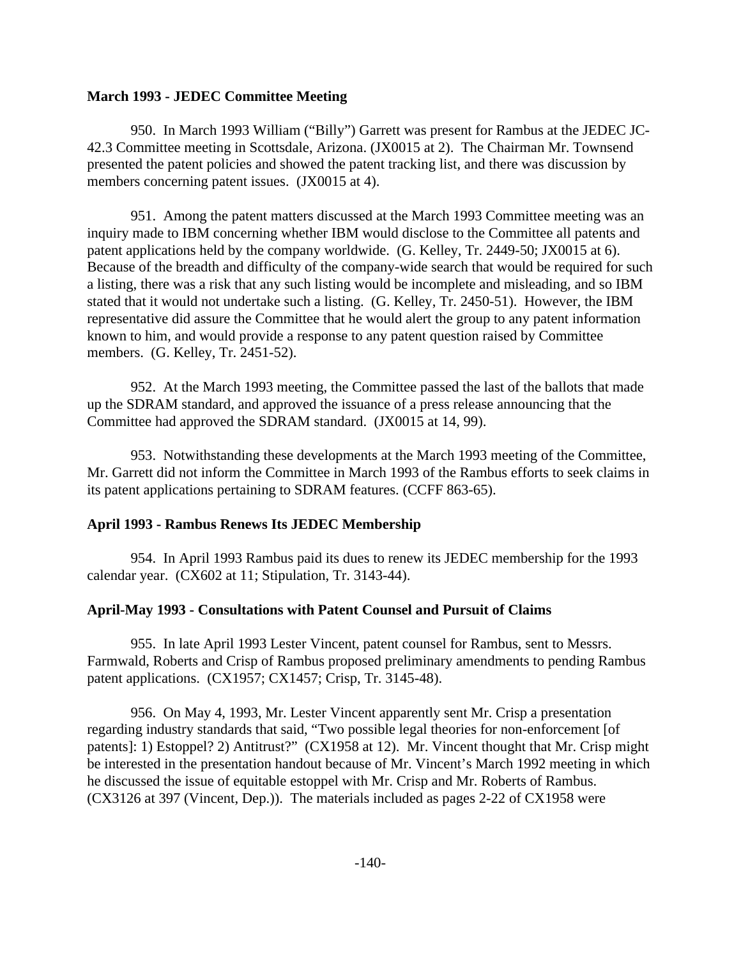### **March 1993 - JEDEC Committee Meeting**

950. In March 1993 William ("Billy") Garrett was present for Rambus at the JEDEC JC-42.3 Committee meeting in Scottsdale, Arizona. (JX0015 at 2). The Chairman Mr. Townsend presented the patent policies and showed the patent tracking list, and there was discussion by members concerning patent issues. (JX0015 at 4).

951. Among the patent matters discussed at the March 1993 Committee meeting was an inquiry made to IBM concerning whether IBM would disclose to the Committee all patents and patent applications held by the company worldwide. (G. Kelley, Tr. 2449-50; JX0015 at 6). Because of the breadth and difficulty of the company-wide search that would be required for such a listing, there was a risk that any such listing would be incomplete and misleading, and so IBM stated that it would not undertake such a listing. (G. Kelley, Tr. 2450-51). However, the IBM representative did assure the Committee that he would alert the group to any patent information known to him, and would provide a response to any patent question raised by Committee members. (G. Kelley, Tr. 2451-52).

952. At the March 1993 meeting, the Committee passed the last of the ballots that made up the SDRAM standard, and approved the issuance of a press release announcing that the Committee had approved the SDRAM standard. (JX0015 at 14, 99).

953. Notwithstanding these developments at the March 1993 meeting of the Committee, Mr. Garrett did not inform the Committee in March 1993 of the Rambus efforts to seek claims in its patent applications pertaining to SDRAM features. (CCFF 863-65).

# **April 1993 - Rambus Renews Its JEDEC Membership**

954. In April 1993 Rambus paid its dues to renew its JEDEC membership for the 1993 calendar year. (CX602 at 11; Stipulation, Tr. 3143-44).

# **April-May 1993 - Consultations with Patent Counsel and Pursuit of Claims**

955. In late April 1993 Lester Vincent, patent counsel for Rambus, sent to Messrs. Farmwald, Roberts and Crisp of Rambus proposed preliminary amendments to pending Rambus patent applications. (CX1957; CX1457; Crisp, Tr. 3145-48).

956. On May 4, 1993, Mr. Lester Vincent apparently sent Mr. Crisp a presentation regarding industry standards that said, "Two possible legal theories for non-enforcement [of patents]: 1) Estoppel? 2) Antitrust?" (CX1958 at 12). Mr. Vincent thought that Mr. Crisp might be interested in the presentation handout because of Mr. Vincent's March 1992 meeting in which he discussed the issue of equitable estoppel with Mr. Crisp and Mr. Roberts of Rambus. (CX3126 at 397 (Vincent, Dep.)). The materials included as pages 2-22 of CX1958 were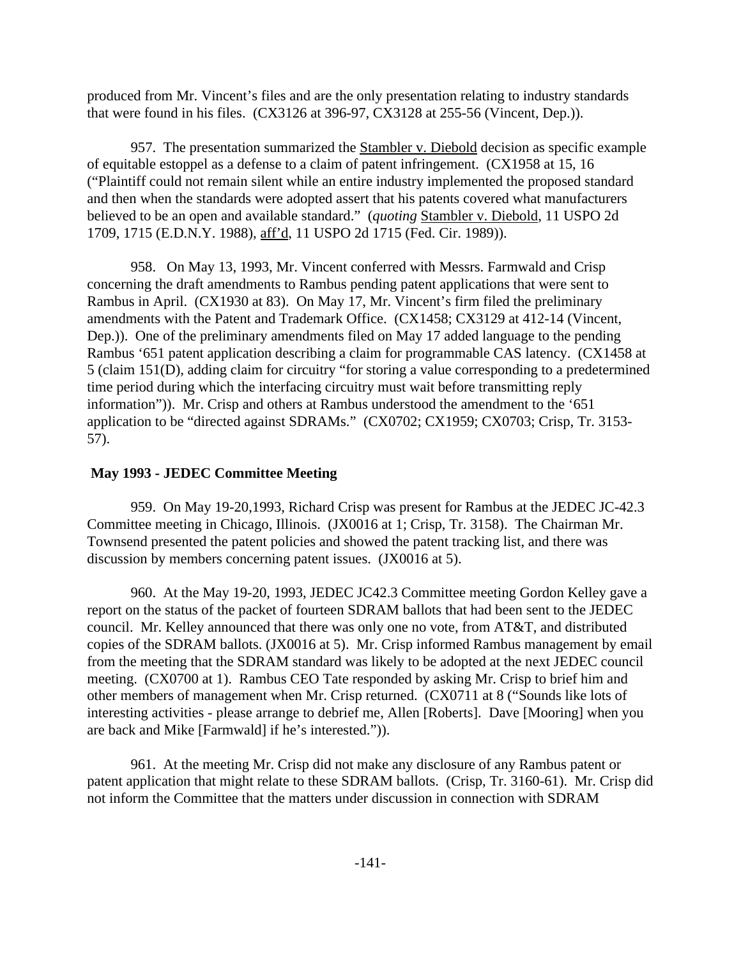produced from Mr. Vincent's files and are the only presentation relating to industry standards that were found in his files. (CX3126 at 396-97, CX3128 at 255-56 (Vincent, Dep.)).

957. The presentation summarized the Stambler v. Diebold decision as specific example of equitable estoppel as a defense to a claim of patent infringement. (CX1958 at 15, 16 ("Plaintiff could not remain silent while an entire industry implemented the proposed standard and then when the standards were adopted assert that his patents covered what manufacturers believed to be an open and available standard." (*quoting* Stambler v. Diebold, 11 USPO 2d 1709, 1715 (E.D.N.Y. 1988), aff'd, 11 USPO 2d 1715 (Fed. Cir. 1989)).

958. On May 13, 1993, Mr. Vincent conferred with Messrs. Farmwald and Crisp concerning the draft amendments to Rambus pending patent applications that were sent to Rambus in April. (CX1930 at 83). On May 17, Mr. Vincent's firm filed the preliminary amendments with the Patent and Trademark Office. (CX1458; CX3129 at 412-14 (Vincent, Dep.)). One of the preliminary amendments filed on May 17 added language to the pending Rambus '651 patent application describing a claim for programmable CAS latency. (CX1458 at 5 (claim 151(D), adding claim for circuitry "for storing a value corresponding to a predetermined time period during which the interfacing circuitry must wait before transmitting reply information")). Mr. Crisp and others at Rambus understood the amendment to the '651 application to be "directed against SDRAMs." (CX0702; CX1959; CX0703; Crisp, Tr. 3153- 57).

# **May 1993 - JEDEC Committee Meeting**

959. On May 19-20,1993, Richard Crisp was present for Rambus at the JEDEC JC-42.3 Committee meeting in Chicago, Illinois. (JX0016 at 1; Crisp, Tr. 3158). The Chairman Mr. Townsend presented the patent policies and showed the patent tracking list, and there was discussion by members concerning patent issues. (JX0016 at 5).

960. At the May 19-20, 1993, JEDEC JC42.3 Committee meeting Gordon Kelley gave a report on the status of the packet of fourteen SDRAM ballots that had been sent to the JEDEC council. Mr. Kelley announced that there was only one no vote, from AT&T, and distributed copies of the SDRAM ballots. (JX0016 at 5). Mr. Crisp informed Rambus management by email from the meeting that the SDRAM standard was likely to be adopted at the next JEDEC council meeting. (CX0700 at 1). Rambus CEO Tate responded by asking Mr. Crisp to brief him and other members of management when Mr. Crisp returned. (CX0711 at 8 ("Sounds like lots of interesting activities - please arrange to debrief me, Allen [Roberts]. Dave [Mooring] when you are back and Mike [Farmwald] if he's interested.")).

961. At the meeting Mr. Crisp did not make any disclosure of any Rambus patent or patent application that might relate to these SDRAM ballots. (Crisp, Tr. 3160-61). Mr. Crisp did not inform the Committee that the matters under discussion in connection with SDRAM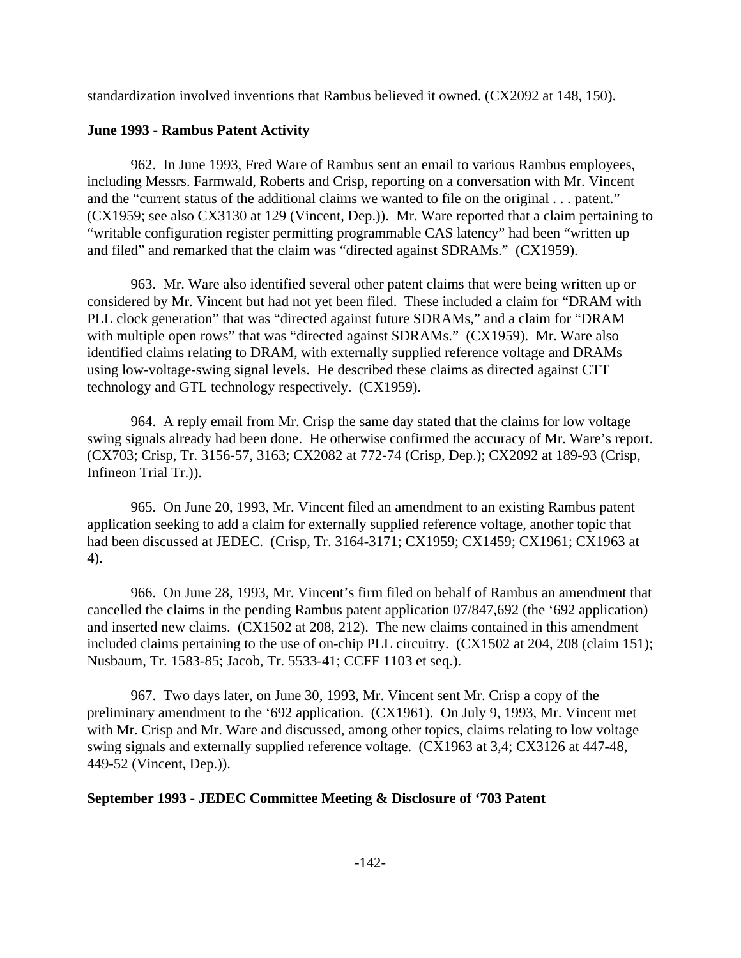standardization involved inventions that Rambus believed it owned. (CX2092 at 148, 150).

# **June 1993 - Rambus Patent Activity**

962. In June 1993, Fred Ware of Rambus sent an email to various Rambus employees, including Messrs. Farmwald, Roberts and Crisp, reporting on a conversation with Mr. Vincent and the "current status of the additional claims we wanted to file on the original . . . patent." (CX1959; see also CX3130 at 129 (Vincent, Dep.)). Mr. Ware reported that a claim pertaining to "writable configuration register permitting programmable CAS latency" had been "written up and filed" and remarked that the claim was "directed against SDRAMs." (CX1959).

963. Mr. Ware also identified several other patent claims that were being written up or considered by Mr. Vincent but had not yet been filed. These included a claim for "DRAM with PLL clock generation" that was "directed against future SDRAMs," and a claim for "DRAM with multiple open rows" that was "directed against SDRAMs." (CX1959). Mr. Ware also identified claims relating to DRAM, with externally supplied reference voltage and DRAMs using low-voltage-swing signal levels. He described these claims as directed against CTT technology and GTL technology respectively. (CX1959).

964. A reply email from Mr. Crisp the same day stated that the claims for low voltage swing signals already had been done. He otherwise confirmed the accuracy of Mr. Ware's report. (CX703; Crisp, Tr. 3156-57, 3163; CX2082 at 772-74 (Crisp, Dep.); CX2092 at 189-93 (Crisp, Infineon Trial Tr.)).

965. On June 20, 1993, Mr. Vincent filed an amendment to an existing Rambus patent application seeking to add a claim for externally supplied reference voltage, another topic that had been discussed at JEDEC. (Crisp, Tr. 3164-3171; CX1959; CX1459; CX1961; CX1963 at 4).

966. On June 28, 1993, Mr. Vincent's firm filed on behalf of Rambus an amendment that cancelled the claims in the pending Rambus patent application 07/847,692 (the '692 application) and inserted new claims. (CX1502 at 208, 212). The new claims contained in this amendment included claims pertaining to the use of on-chip PLL circuitry. (CX1502 at 204, 208 (claim 151); Nusbaum, Tr. 1583-85; Jacob, Tr. 5533-41; CCFF 1103 et seq.).

967. Two days later, on June 30, 1993, Mr. Vincent sent Mr. Crisp a copy of the preliminary amendment to the '692 application. (CX1961). On July 9, 1993, Mr. Vincent met with Mr. Crisp and Mr. Ware and discussed, among other topics, claims relating to low voltage swing signals and externally supplied reference voltage. (CX1963 at 3,4; CX3126 at 447-48, 449-52 (Vincent, Dep.)).

# **September 1993 - JEDEC Committee Meeting & Disclosure of '703 Patent**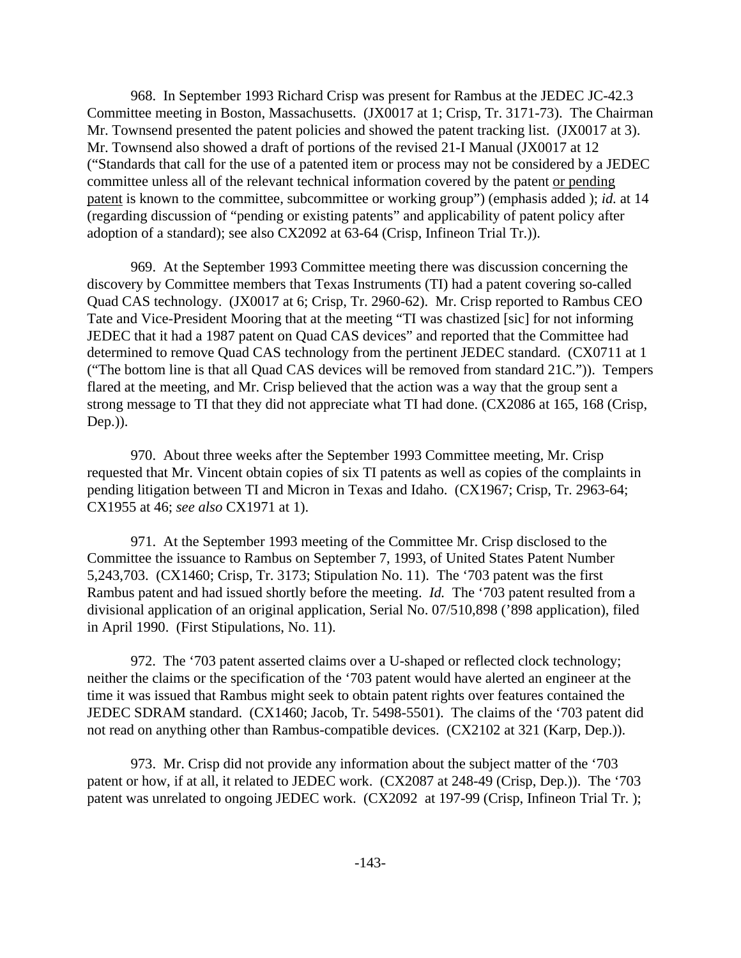968. In September 1993 Richard Crisp was present for Rambus at the JEDEC JC-42.3 Committee meeting in Boston, Massachusetts. (JX0017 at 1; Crisp, Tr. 3171-73). The Chairman Mr. Townsend presented the patent policies and showed the patent tracking list. (JX0017 at 3). Mr. Townsend also showed a draft of portions of the revised 21-I Manual (JX0017 at 12 ("Standards that call for the use of a patented item or process may not be considered by a JEDEC committee unless all of the relevant technical information covered by the patent or pending patent is known to the committee, subcommittee or working group") (emphasis added ); *id.* at 14 (regarding discussion of "pending or existing patents" and applicability of patent policy after adoption of a standard); see also CX2092 at 63-64 (Crisp, Infineon Trial Tr.)).

969. At the September 1993 Committee meeting there was discussion concerning the discovery by Committee members that Texas Instruments (TI) had a patent covering so-called Quad CAS technology. (JX0017 at 6; Crisp, Tr. 2960-62). Mr. Crisp reported to Rambus CEO Tate and Vice-President Mooring that at the meeting "TI was chastized [sic] for not informing JEDEC that it had a 1987 patent on Quad CAS devices" and reported that the Committee had determined to remove Quad CAS technology from the pertinent JEDEC standard. (CX0711 at 1 ("The bottom line is that all Quad CAS devices will be removed from standard 21C.")). Tempers flared at the meeting, and Mr. Crisp believed that the action was a way that the group sent a strong message to TI that they did not appreciate what TI had done. (CX2086 at 165, 168 (Crisp, Dep.)).

970. About three weeks after the September 1993 Committee meeting, Mr. Crisp requested that Mr. Vincent obtain copies of six TI patents as well as copies of the complaints in pending litigation between TI and Micron in Texas and Idaho. (CX1967; Crisp, Tr. 2963-64; CX1955 at 46; *see also* CX1971 at 1).

971. At the September 1993 meeting of the Committee Mr. Crisp disclosed to the Committee the issuance to Rambus on September 7, 1993, of United States Patent Number 5,243,703. (CX1460; Crisp, Tr. 3173; Stipulation No. 11). The '703 patent was the first Rambus patent and had issued shortly before the meeting. *Id.* The '703 patent resulted from a divisional application of an original application, Serial No. 07/510,898 ('898 application), filed in April 1990. (First Stipulations, No. 11).

972. The '703 patent asserted claims over a U-shaped or reflected clock technology; neither the claims or the specification of the '703 patent would have alerted an engineer at the time it was issued that Rambus might seek to obtain patent rights over features contained the JEDEC SDRAM standard. (CX1460; Jacob, Tr. 5498-5501). The claims of the '703 patent did not read on anything other than Rambus-compatible devices. (CX2102 at 321 (Karp, Dep.)).

973. Mr. Crisp did not provide any information about the subject matter of the '703 patent or how, if at all, it related to JEDEC work. (CX2087 at 248-49 (Crisp, Dep.)). The '703 patent was unrelated to ongoing JEDEC work. (CX2092 at 197-99 (Crisp, Infineon Trial Tr.);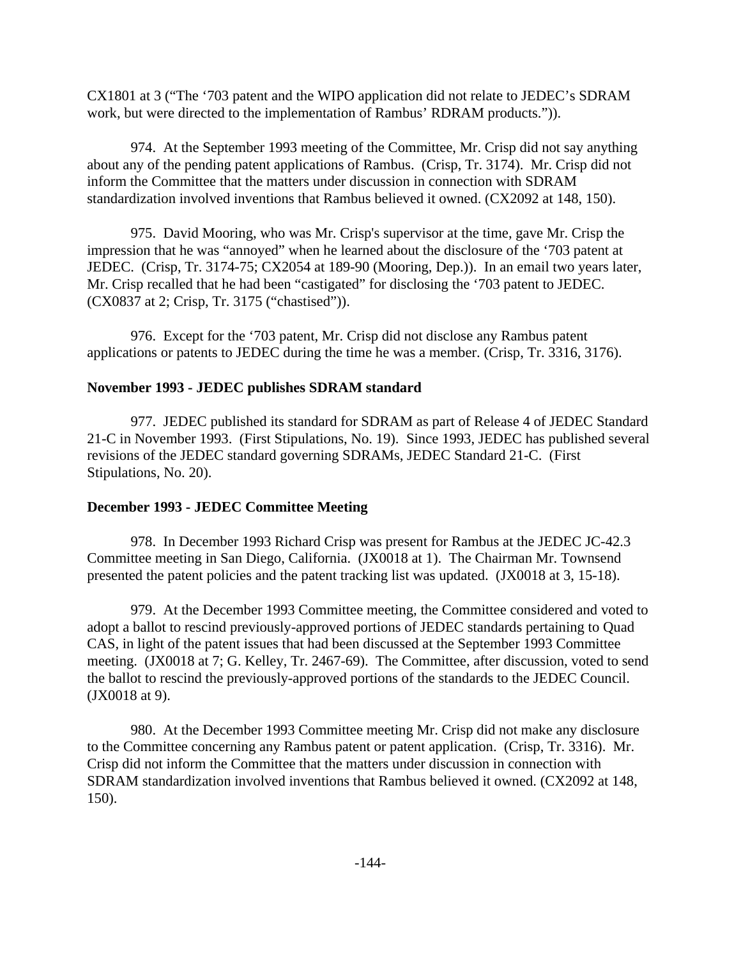CX1801 at 3 ("The '703 patent and the WIPO application did not relate to JEDEC's SDRAM work, but were directed to the implementation of Rambus' RDRAM products.")).

974. At the September 1993 meeting of the Committee, Mr. Crisp did not say anything about any of the pending patent applications of Rambus. (Crisp, Tr. 3174). Mr. Crisp did not inform the Committee that the matters under discussion in connection with SDRAM standardization involved inventions that Rambus believed it owned. (CX2092 at 148, 150).

975. David Mooring, who was Mr. Crisp's supervisor at the time, gave Mr. Crisp the impression that he was "annoyed" when he learned about the disclosure of the '703 patent at JEDEC. (Crisp, Tr. 3174-75; CX2054 at 189-90 (Mooring, Dep.)). In an email two years later, Mr. Crisp recalled that he had been "castigated" for disclosing the '703 patent to JEDEC. (CX0837 at 2; Crisp, Tr. 3175 ("chastised")).

976. Except for the '703 patent, Mr. Crisp did not disclose any Rambus patent applications or patents to JEDEC during the time he was a member. (Crisp, Tr. 3316, 3176).

## **November 1993 - JEDEC publishes SDRAM standard**

977. JEDEC published its standard for SDRAM as part of Release 4 of JEDEC Standard 21-C in November 1993. (First Stipulations, No. 19). Since 1993, JEDEC has published several revisions of the JEDEC standard governing SDRAMs, JEDEC Standard 21-C. (First Stipulations, No. 20).

# **December 1993 - JEDEC Committee Meeting**

978. In December 1993 Richard Crisp was present for Rambus at the JEDEC JC-42.3 Committee meeting in San Diego, California. (JX0018 at 1). The Chairman Mr. Townsend presented the patent policies and the patent tracking list was updated. (JX0018 at 3, 15-18).

979. At the December 1993 Committee meeting, the Committee considered and voted to adopt a ballot to rescind previously-approved portions of JEDEC standards pertaining to Quad CAS, in light of the patent issues that had been discussed at the September 1993 Committee meeting. (JX0018 at 7; G. Kelley, Tr. 2467-69). The Committee, after discussion, voted to send the ballot to rescind the previously-approved portions of the standards to the JEDEC Council. (JX0018 at 9).

980. At the December 1993 Committee meeting Mr. Crisp did not make any disclosure to the Committee concerning any Rambus patent or patent application. (Crisp, Tr. 3316). Mr. Crisp did not inform the Committee that the matters under discussion in connection with SDRAM standardization involved inventions that Rambus believed it owned. (CX2092 at 148, 150).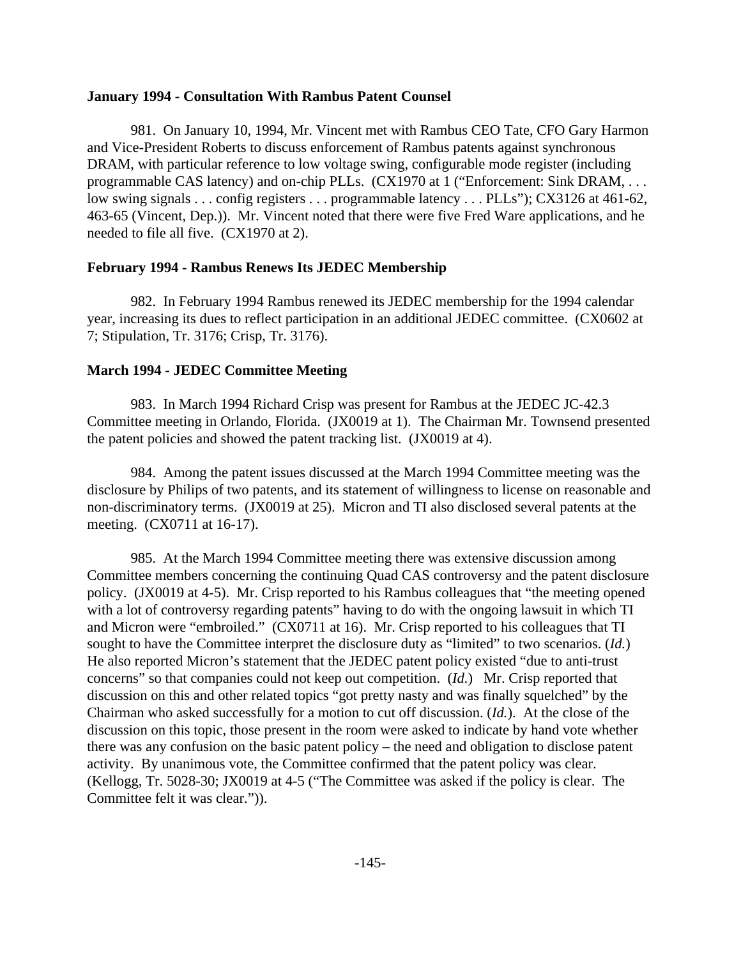#### **January 1994 - Consultation With Rambus Patent Counsel**

981. On January 10, 1994, Mr. Vincent met with Rambus CEO Tate, CFO Gary Harmon and Vice-President Roberts to discuss enforcement of Rambus patents against synchronous DRAM, with particular reference to low voltage swing, configurable mode register (including programmable CAS latency) and on-chip PLLs. (CX1970 at 1 ("Enforcement: Sink DRAM, . . . low swing signals . . . config registers . . . programmable latency . . . PLLs"); CX3126 at 461-62, 463-65 (Vincent, Dep.)). Mr. Vincent noted that there were five Fred Ware applications, and he needed to file all five. (CX1970 at 2).

#### **February 1994 - Rambus Renews Its JEDEC Membership**

982. In February 1994 Rambus renewed its JEDEC membership for the 1994 calendar year, increasing its dues to reflect participation in an additional JEDEC committee. (CX0602 at 7; Stipulation, Tr. 3176; Crisp, Tr. 3176).

#### **March 1994 - JEDEC Committee Meeting**

983. In March 1994 Richard Crisp was present for Rambus at the JEDEC JC-42.3 Committee meeting in Orlando, Florida. (JX0019 at 1). The Chairman Mr. Townsend presented the patent policies and showed the patent tracking list. (JX0019 at 4).

984. Among the patent issues discussed at the March 1994 Committee meeting was the disclosure by Philips of two patents, and its statement of willingness to license on reasonable and non-discriminatory terms. (JX0019 at 25). Micron and TI also disclosed several patents at the meeting. (CX0711 at 16-17).

985. At the March 1994 Committee meeting there was extensive discussion among Committee members concerning the continuing Quad CAS controversy and the patent disclosure policy. (JX0019 at 4-5). Mr. Crisp reported to his Rambus colleagues that "the meeting opened with a lot of controversy regarding patents" having to do with the ongoing lawsuit in which TI and Micron were "embroiled." (CX0711 at 16). Mr. Crisp reported to his colleagues that TI sought to have the Committee interpret the disclosure duty as "limited" to two scenarios. (*Id.*) He also reported Micron's statement that the JEDEC patent policy existed "due to anti-trust concerns" so that companies could not keep out competition. (*Id.*) Mr. Crisp reported that discussion on this and other related topics "got pretty nasty and was finally squelched" by the Chairman who asked successfully for a motion to cut off discussion. (*Id.*). At the close of the discussion on this topic, those present in the room were asked to indicate by hand vote whether there was any confusion on the basic patent policy – the need and obligation to disclose patent activity. By unanimous vote, the Committee confirmed that the patent policy was clear. (Kellogg, Tr. 5028-30; JX0019 at 4-5 ("The Committee was asked if the policy is clear. The Committee felt it was clear.")).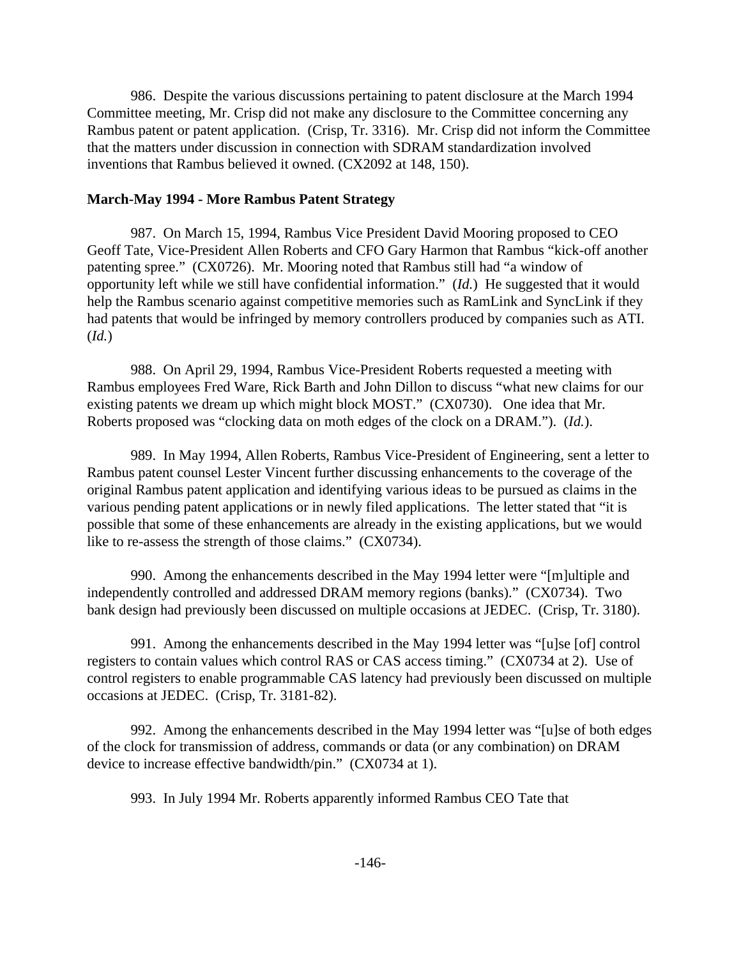986. Despite the various discussions pertaining to patent disclosure at the March 1994 Committee meeting, Mr. Crisp did not make any disclosure to the Committee concerning any Rambus patent or patent application. (Crisp, Tr. 3316). Mr. Crisp did not inform the Committee that the matters under discussion in connection with SDRAM standardization involved inventions that Rambus believed it owned. (CX2092 at 148, 150).

#### **March-May 1994 - More Rambus Patent Strategy**

987. On March 15, 1994, Rambus Vice President David Mooring proposed to CEO Geoff Tate, Vice-President Allen Roberts and CFO Gary Harmon that Rambus "kick-off another patenting spree." (CX0726). Mr. Mooring noted that Rambus still had "a window of opportunity left while we still have confidential information." (*Id.*) He suggested that it would help the Rambus scenario against competitive memories such as RamLink and SyncLink if they had patents that would be infringed by memory controllers produced by companies such as ATI. (*Id.*)

988. On April 29, 1994, Rambus Vice-President Roberts requested a meeting with Rambus employees Fred Ware, Rick Barth and John Dillon to discuss "what new claims for our existing patents we dream up which might block MOST." (CX0730). One idea that Mr. Roberts proposed was "clocking data on moth edges of the clock on a DRAM."). (*Id.*).

989. In May 1994, Allen Roberts, Rambus Vice-President of Engineering, sent a letter to Rambus patent counsel Lester Vincent further discussing enhancements to the coverage of the original Rambus patent application and identifying various ideas to be pursued as claims in the various pending patent applications or in newly filed applications. The letter stated that "it is possible that some of these enhancements are already in the existing applications, but we would like to re-assess the strength of those claims." (CX0734).

990. Among the enhancements described in the May 1994 letter were "[m]ultiple and independently controlled and addressed DRAM memory regions (banks)." (CX0734). Two bank design had previously been discussed on multiple occasions at JEDEC. (Crisp, Tr. 3180).

991. Among the enhancements described in the May 1994 letter was "[u]se [of] control registers to contain values which control RAS or CAS access timing." (CX0734 at 2). Use of control registers to enable programmable CAS latency had previously been discussed on multiple occasions at JEDEC. (Crisp, Tr. 3181-82).

992. Among the enhancements described in the May 1994 letter was "[u]se of both edges of the clock for transmission of address, commands or data (or any combination) on DRAM device to increase effective bandwidth/pin." (CX0734 at 1).

993. In July 1994 Mr. Roberts apparently informed Rambus CEO Tate that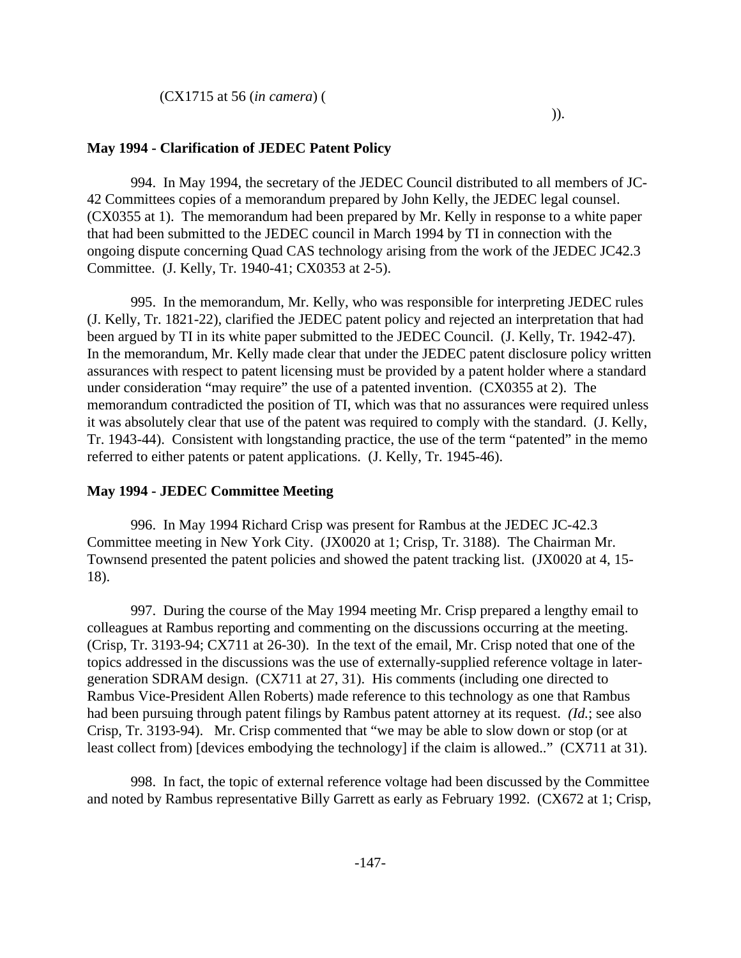## **May 1994 - Clarification of JEDEC Patent Policy**

994. In May 1994, the secretary of the JEDEC Council distributed to all members of JC-42 Committees copies of a memorandum prepared by John Kelly, the JEDEC legal counsel. (CX0355 at 1). The memorandum had been prepared by Mr. Kelly in response to a white paper that had been submitted to the JEDEC council in March 1994 by TI in connection with the ongoing dispute concerning Quad CAS technology arising from the work of the JEDEC JC42.3 Committee. (J. Kelly, Tr. 1940-41; CX0353 at 2-5).

995. In the memorandum, Mr. Kelly, who was responsible for interpreting JEDEC rules (J. Kelly, Tr. 1821-22), clarified the JEDEC patent policy and rejected an interpretation that had been argued by TI in its white paper submitted to the JEDEC Council. (J. Kelly, Tr. 1942-47). In the memorandum, Mr. Kelly made clear that under the JEDEC patent disclosure policy written assurances with respect to patent licensing must be provided by a patent holder where a standard under consideration "may require" the use of a patented invention. (CX0355 at 2). The memorandum contradicted the position of TI, which was that no assurances were required unless it was absolutely clear that use of the patent was required to comply with the standard. (J. Kelly, Tr. 1943-44). Consistent with longstanding practice, the use of the term "patented" in the memo referred to either patents or patent applications. (J. Kelly, Tr. 1945-46).

#### **May 1994 - JEDEC Committee Meeting**

996. In May 1994 Richard Crisp was present for Rambus at the JEDEC JC-42.3 Committee meeting in New York City. (JX0020 at 1; Crisp, Tr. 3188). The Chairman Mr. Townsend presented the patent policies and showed the patent tracking list. (JX0020 at 4, 15- 18).

997. During the course of the May 1994 meeting Mr. Crisp prepared a lengthy email to colleagues at Rambus reporting and commenting on the discussions occurring at the meeting. (Crisp, Tr. 3193-94; CX711 at 26-30). In the text of the email, Mr. Crisp noted that one of the topics addressed in the discussions was the use of externally-supplied reference voltage in latergeneration SDRAM design. (CX711 at 27, 31). His comments (including one directed to Rambus Vice-President Allen Roberts) made reference to this technology as one that Rambus had been pursuing through patent filings by Rambus patent attorney at its request. *(Id.*; see also Crisp, Tr. 3193-94). Mr. Crisp commented that "we may be able to slow down or stop (or at least collect from) [devices embodying the technology] if the claim is allowed.." (CX711 at 31).

998. In fact, the topic of external reference voltage had been discussed by the Committee and noted by Rambus representative Billy Garrett as early as February 1992. (CX672 at 1; Crisp,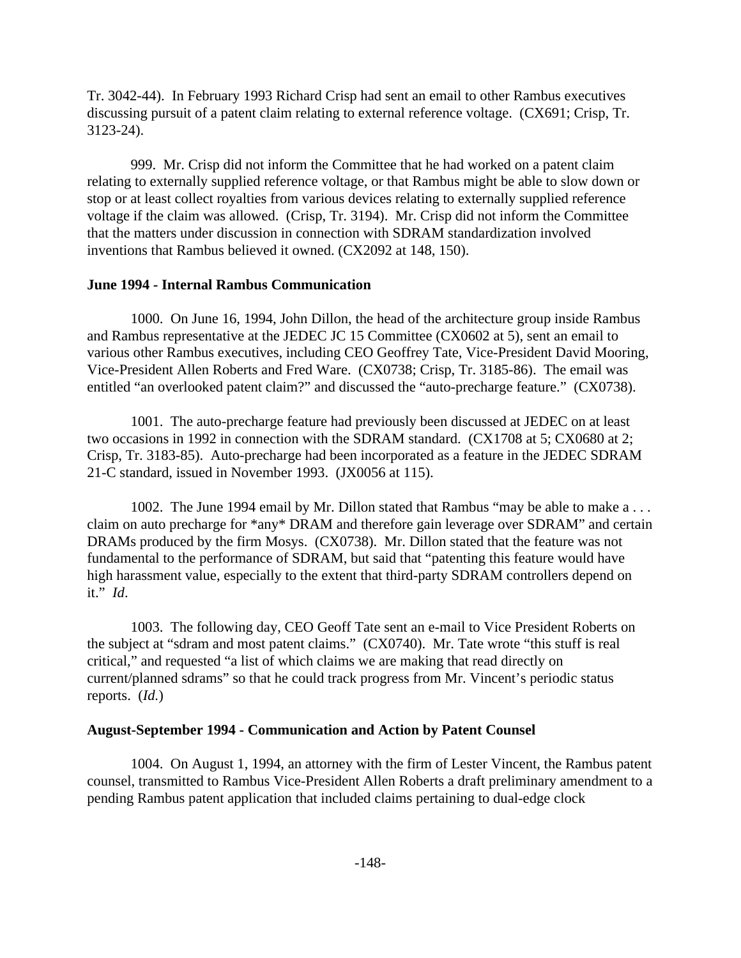Tr. 3042-44). In February 1993 Richard Crisp had sent an email to other Rambus executives discussing pursuit of a patent claim relating to external reference voltage. (CX691; Crisp, Tr. 3123-24).

999. Mr. Crisp did not inform the Committee that he had worked on a patent claim relating to externally supplied reference voltage, or that Rambus might be able to slow down or stop or at least collect royalties from various devices relating to externally supplied reference voltage if the claim was allowed. (Crisp, Tr. 3194). Mr. Crisp did not inform the Committee that the matters under discussion in connection with SDRAM standardization involved inventions that Rambus believed it owned. (CX2092 at 148, 150).

## **June 1994 - Internal Rambus Communication**

1000. On June 16, 1994, John Dillon, the head of the architecture group inside Rambus and Rambus representative at the JEDEC JC 15 Committee (CX0602 at 5), sent an email to various other Rambus executives, including CEO Geoffrey Tate, Vice-President David Mooring, Vice-President Allen Roberts and Fred Ware. (CX0738; Crisp, Tr. 3185-86). The email was entitled "an overlooked patent claim?" and discussed the "auto-precharge feature." (CX0738).

1001. The auto-precharge feature had previously been discussed at JEDEC on at least two occasions in 1992 in connection with the SDRAM standard. (CX1708 at 5; CX0680 at 2; Crisp, Tr. 3183-85). Auto-precharge had been incorporated as a feature in the JEDEC SDRAM 21-C standard, issued in November 1993. (JX0056 at 115).

1002. The June 1994 email by Mr. Dillon stated that Rambus "may be able to make a . . . claim on auto precharge for \*any\* DRAM and therefore gain leverage over SDRAM" and certain DRAMs produced by the firm Mosys. (CX0738). Mr. Dillon stated that the feature was not fundamental to the performance of SDRAM, but said that "patenting this feature would have high harassment value, especially to the extent that third-party SDRAM controllers depend on it." *Id*.

1003. The following day, CEO Geoff Tate sent an e-mail to Vice President Roberts on the subject at "sdram and most patent claims." (CX0740). Mr. Tate wrote "this stuff is real critical," and requested "a list of which claims we are making that read directly on current/planned sdrams" so that he could track progress from Mr. Vincent's periodic status reports. (*Id.*)

#### **August-September 1994 - Communication and Action by Patent Counsel**

1004. On August 1, 1994, an attorney with the firm of Lester Vincent, the Rambus patent counsel, transmitted to Rambus Vice-President Allen Roberts a draft preliminary amendment to a pending Rambus patent application that included claims pertaining to dual-edge clock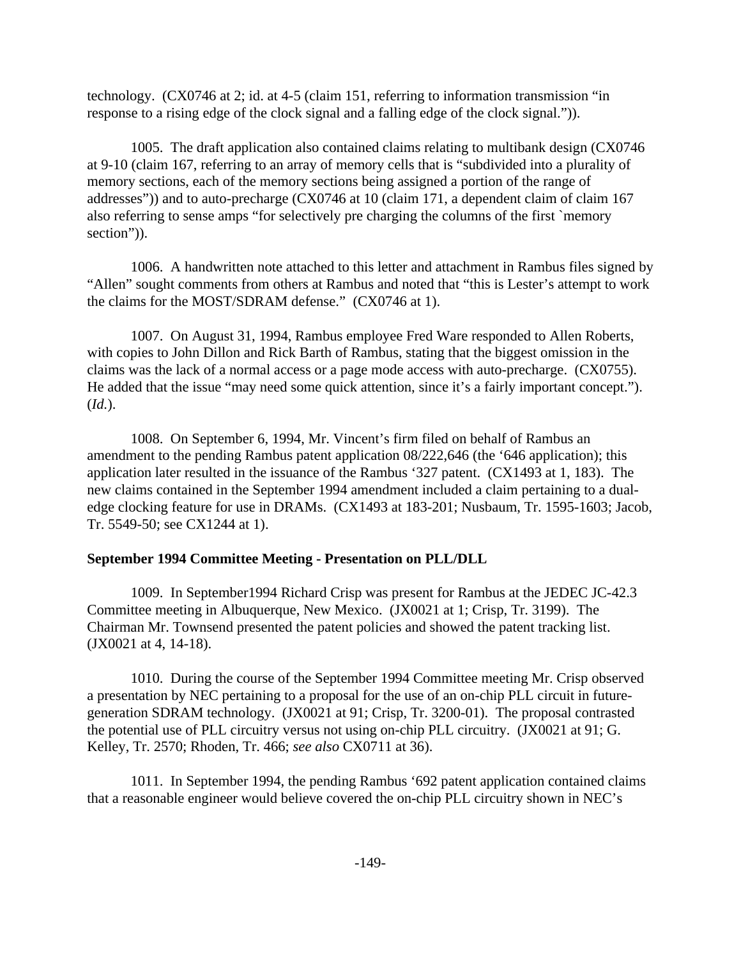technology. (CX0746 at 2; id. at 4-5 (claim 151, referring to information transmission "in response to a rising edge of the clock signal and a falling edge of the clock signal.")).

1005. The draft application also contained claims relating to multibank design (CX0746 at 9-10 (claim 167, referring to an array of memory cells that is "subdivided into a plurality of memory sections, each of the memory sections being assigned a portion of the range of addresses")) and to auto-precharge (CX0746 at 10 (claim 171, a dependent claim of claim 167 also referring to sense amps "for selectively pre charging the columns of the first `memory section")).

1006. A handwritten note attached to this letter and attachment in Rambus files signed by "Allen" sought comments from others at Rambus and noted that "this is Lester's attempt to work the claims for the MOST/SDRAM defense." (CX0746 at 1).

1007. On August 31, 1994, Rambus employee Fred Ware responded to Allen Roberts, with copies to John Dillon and Rick Barth of Rambus, stating that the biggest omission in the claims was the lack of a normal access or a page mode access with auto-precharge. (CX0755). He added that the issue "may need some quick attention, since it's a fairly important concept."). (*Id.*).

1008. On September 6, 1994, Mr. Vincent's firm filed on behalf of Rambus an amendment to the pending Rambus patent application 08/222,646 (the '646 application); this application later resulted in the issuance of the Rambus '327 patent. (CX1493 at 1, 183). The new claims contained in the September 1994 amendment included a claim pertaining to a dualedge clocking feature for use in DRAMs. (CX1493 at 183-201; Nusbaum, Tr. 1595-1603; Jacob, Tr. 5549-50; see CX1244 at 1).

# **September 1994 Committee Meeting - Presentation on PLL/DLL**

1009. In September1994 Richard Crisp was present for Rambus at the JEDEC JC-42.3 Committee meeting in Albuquerque, New Mexico. (JX0021 at 1; Crisp, Tr. 3199). The Chairman Mr. Townsend presented the patent policies and showed the patent tracking list. (JX0021 at 4, 14-18).

1010. During the course of the September 1994 Committee meeting Mr. Crisp observed a presentation by NEC pertaining to a proposal for the use of an on-chip PLL circuit in futuregeneration SDRAM technology. (JX0021 at 91; Crisp, Tr. 3200-01). The proposal contrasted the potential use of PLL circuitry versus not using on-chip PLL circuitry. (JX0021 at 91; G. Kelley, Tr. 2570; Rhoden, Tr. 466; *see also* CX0711 at 36).

1011. In September 1994, the pending Rambus '692 patent application contained claims that a reasonable engineer would believe covered the on-chip PLL circuitry shown in NEC's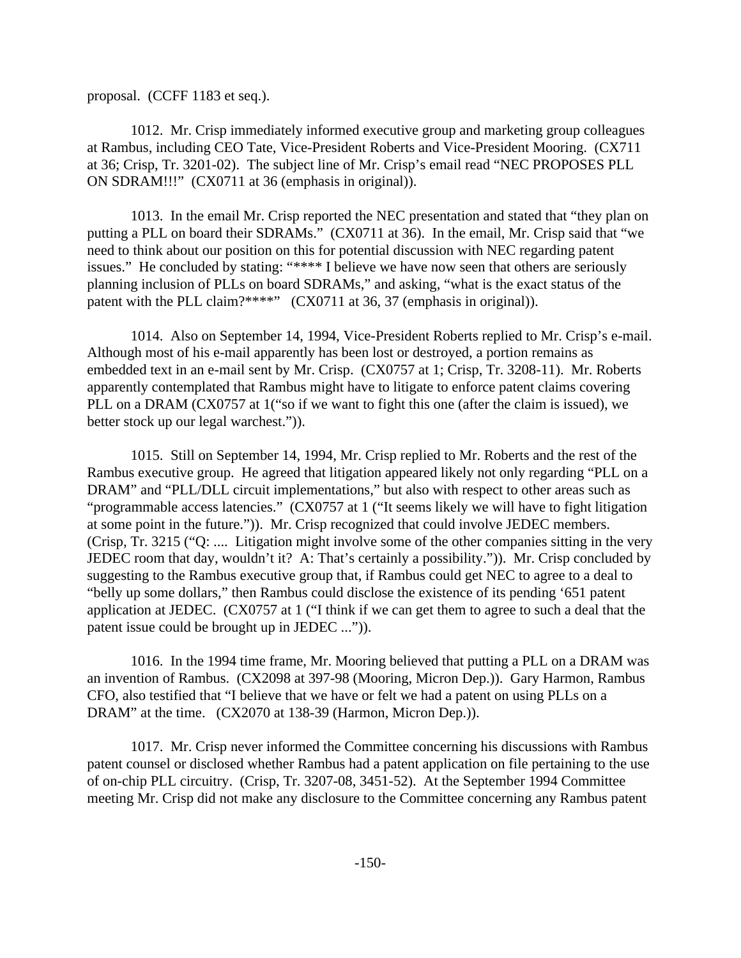proposal. (CCFF 1183 et seq.).

1012. Mr. Crisp immediately informed executive group and marketing group colleagues at Rambus, including CEO Tate, Vice-President Roberts and Vice-President Mooring. (CX711 at 36; Crisp, Tr. 3201-02). The subject line of Mr. Crisp's email read "NEC PROPOSES PLL ON SDRAM!!!" (CX0711 at 36 (emphasis in original)).

1013. In the email Mr. Crisp reported the NEC presentation and stated that "they plan on putting a PLL on board their SDRAMs." (CX0711 at 36). In the email, Mr. Crisp said that "we need to think about our position on this for potential discussion with NEC regarding patent issues." He concluded by stating: "\*\*\*\* I believe we have now seen that others are seriously planning inclusion of PLLs on board SDRAMs," and asking, "what is the exact status of the patent with the PLL claim?\*\*\*\*" (CX0711 at 36, 37 (emphasis in original)).

1014. Also on September 14, 1994, Vice-President Roberts replied to Mr. Crisp's e-mail. Although most of his e-mail apparently has been lost or destroyed, a portion remains as embedded text in an e-mail sent by Mr. Crisp. (CX0757 at 1; Crisp, Tr. 3208-11). Mr. Roberts apparently contemplated that Rambus might have to litigate to enforce patent claims covering PLL on a DRAM (CX0757 at 1<sup>\*</sup> o if we want to fight this one (after the claim is issued), we better stock up our legal warchest.")).

1015. Still on September 14, 1994, Mr. Crisp replied to Mr. Roberts and the rest of the Rambus executive group. He agreed that litigation appeared likely not only regarding "PLL on a DRAM" and "PLL/DLL circuit implementations," but also with respect to other areas such as "programmable access latencies." (CX0757 at 1 ("It seems likely we will have to fight litigation at some point in the future.")). Mr. Crisp recognized that could involve JEDEC members. (Crisp, Tr. 3215 ("Q: .... Litigation might involve some of the other companies sitting in the very JEDEC room that day, wouldn't it? A: That's certainly a possibility.")). Mr. Crisp concluded by suggesting to the Rambus executive group that, if Rambus could get NEC to agree to a deal to "belly up some dollars," then Rambus could disclose the existence of its pending '651 patent application at JEDEC. (CX0757 at 1 ("I think if we can get them to agree to such a deal that the patent issue could be brought up in JEDEC ...")).

1016. In the 1994 time frame, Mr. Mooring believed that putting a PLL on a DRAM was an invention of Rambus. (CX2098 at 397-98 (Mooring, Micron Dep.)). Gary Harmon, Rambus CFO, also testified that "I believe that we have or felt we had a patent on using PLLs on a DRAM" at the time. (CX2070 at 138-39 (Harmon, Micron Dep.)).

1017. Mr. Crisp never informed the Committee concerning his discussions with Rambus patent counsel or disclosed whether Rambus had a patent application on file pertaining to the use of on-chip PLL circuitry. (Crisp, Tr. 3207-08, 3451-52). At the September 1994 Committee meeting Mr. Crisp did not make any disclosure to the Committee concerning any Rambus patent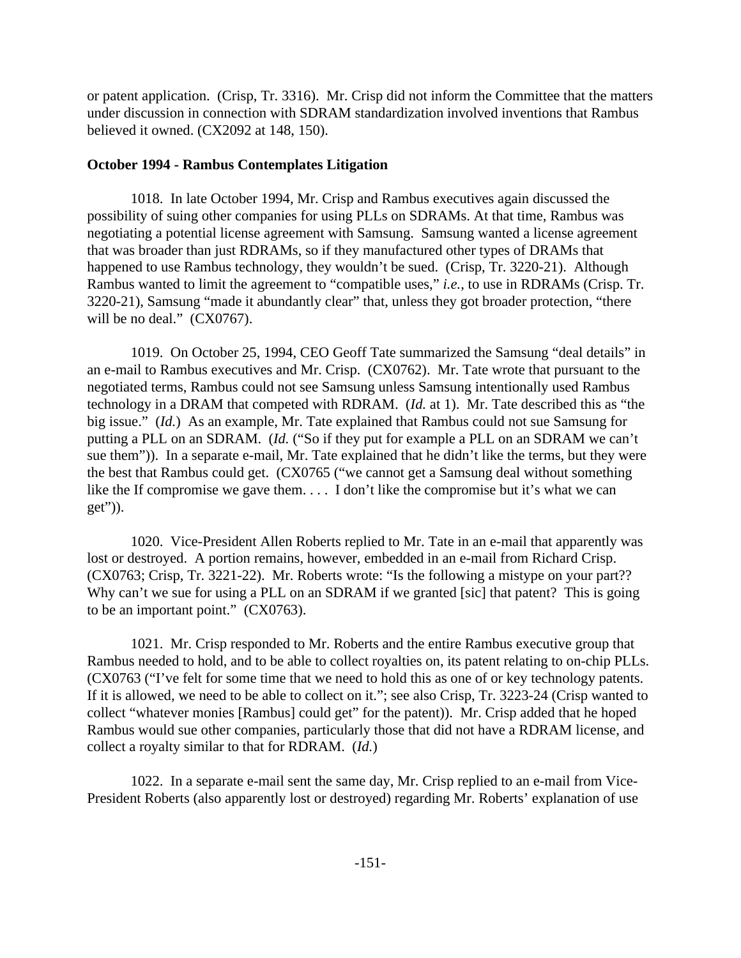or patent application. (Crisp, Tr. 3316). Mr. Crisp did not inform the Committee that the matters under discussion in connection with SDRAM standardization involved inventions that Rambus believed it owned. (CX2092 at 148, 150).

# **October 1994 - Rambus Contemplates Litigation**

1018. In late October 1994, Mr. Crisp and Rambus executives again discussed the possibility of suing other companies for using PLLs on SDRAMs. At that time, Rambus was negotiating a potential license agreement with Samsung. Samsung wanted a license agreement that was broader than just RDRAMs, so if they manufactured other types of DRAMs that happened to use Rambus technology, they wouldn't be sued. (Crisp, Tr. 3220-21). Although Rambus wanted to limit the agreement to "compatible uses," *i.e.*, to use in RDRAMs (Crisp. Tr. 3220-21), Samsung "made it abundantly clear" that, unless they got broader protection, "there will be no deal." (CX0767).

1019. On October 25, 1994, CEO Geoff Tate summarized the Samsung "deal details" in an e-mail to Rambus executives and Mr. Crisp. (CX0762). Mr. Tate wrote that pursuant to the negotiated terms, Rambus could not see Samsung unless Samsung intentionally used Rambus technology in a DRAM that competed with RDRAM. (*Id.* at 1). Mr. Tate described this as "the big issue." (*Id.*) As an example, Mr. Tate explained that Rambus could not sue Samsung for putting a PLL on an SDRAM. (*Id.* ("So if they put for example a PLL on an SDRAM we can't sue them")). In a separate e-mail, Mr. Tate explained that he didn't like the terms, but they were the best that Rambus could get. (CX0765 ("we cannot get a Samsung deal without something like the If compromise we gave them. . . . I don't like the compromise but it's what we can get")).

1020. Vice-President Allen Roberts replied to Mr. Tate in an e-mail that apparently was lost or destroyed. A portion remains, however, embedded in an e-mail from Richard Crisp. (CX0763; Crisp, Tr. 3221-22). Mr. Roberts wrote: "Is the following a mistype on your part?? Why can't we sue for using a PLL on an SDRAM if we granted [sic] that patent? This is going to be an important point." (CX0763).

1021. Mr. Crisp responded to Mr. Roberts and the entire Rambus executive group that Rambus needed to hold, and to be able to collect royalties on, its patent relating to on-chip PLLs. (CX0763 ("I've felt for some time that we need to hold this as one of or key technology patents. If it is allowed, we need to be able to collect on it."; see also Crisp, Tr. 3223-24 (Crisp wanted to collect "whatever monies [Rambus] could get" for the patent)). Mr. Crisp added that he hoped Rambus would sue other companies, particularly those that did not have a RDRAM license, and collect a royalty similar to that for RDRAM. (*Id.*)

1022. In a separate e-mail sent the same day, Mr. Crisp replied to an e-mail from Vice-President Roberts (also apparently lost or destroyed) regarding Mr. Roberts' explanation of use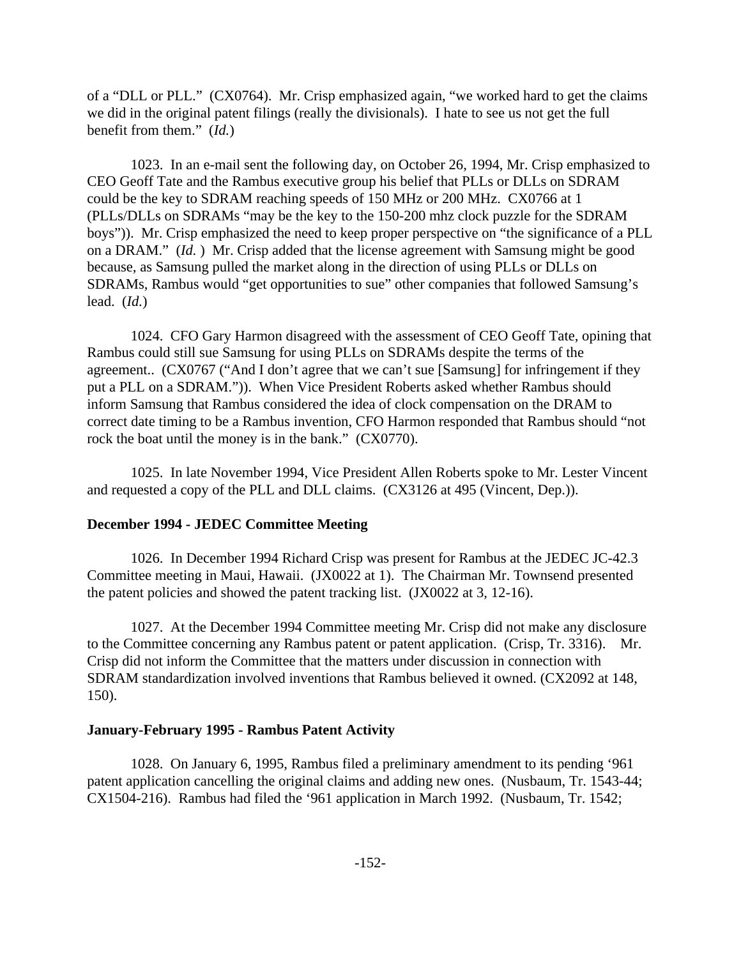of a "DLL or PLL." (CX0764). Mr. Crisp emphasized again, "we worked hard to get the claims we did in the original patent filings (really the divisionals). I hate to see us not get the full benefit from them." (*Id.*)

1023. In an e-mail sent the following day, on October 26, 1994, Mr. Crisp emphasized to CEO Geoff Tate and the Rambus executive group his belief that PLLs or DLLs on SDRAM could be the key to SDRAM reaching speeds of 150 MHz or 200 MHz. CX0766 at 1 (PLLs/DLLs on SDRAMs "may be the key to the 150-200 mhz clock puzzle for the SDRAM boys")). Mr. Crisp emphasized the need to keep proper perspective on "the significance of a PLL on a DRAM." (*Id.* ) Mr. Crisp added that the license agreement with Samsung might be good because, as Samsung pulled the market along in the direction of using PLLs or DLLs on SDRAMs, Rambus would "get opportunities to sue" other companies that followed Samsung's lead. (*Id.*)

1024. CFO Gary Harmon disagreed with the assessment of CEO Geoff Tate, opining that Rambus could still sue Samsung for using PLLs on SDRAMs despite the terms of the agreement.. (CX0767 ("And I don't agree that we can't sue [Samsung] for infringement if they put a PLL on a SDRAM.")). When Vice President Roberts asked whether Rambus should inform Samsung that Rambus considered the idea of clock compensation on the DRAM to correct date timing to be a Rambus invention, CFO Harmon responded that Rambus should "not rock the boat until the money is in the bank." (CX0770).

1025. In late November 1994, Vice President Allen Roberts spoke to Mr. Lester Vincent and requested a copy of the PLL and DLL claims. (CX3126 at 495 (Vincent, Dep.)).

#### **December 1994 - JEDEC Committee Meeting**

1026. In December 1994 Richard Crisp was present for Rambus at the JEDEC JC-42.3 Committee meeting in Maui, Hawaii. (JX0022 at 1). The Chairman Mr. Townsend presented the patent policies and showed the patent tracking list. (JX0022 at 3, 12-16).

1027. At the December 1994 Committee meeting Mr. Crisp did not make any disclosure to the Committee concerning any Rambus patent or patent application. (Crisp, Tr. 3316). Mr. Crisp did not inform the Committee that the matters under discussion in connection with SDRAM standardization involved inventions that Rambus believed it owned. (CX2092 at 148, 150).

#### **January-February 1995 - Rambus Patent Activity**

1028. On January 6, 1995, Rambus filed a preliminary amendment to its pending '961 patent application cancelling the original claims and adding new ones. (Nusbaum, Tr. 1543-44; CX1504-216). Rambus had filed the '961 application in March 1992. (Nusbaum, Tr. 1542;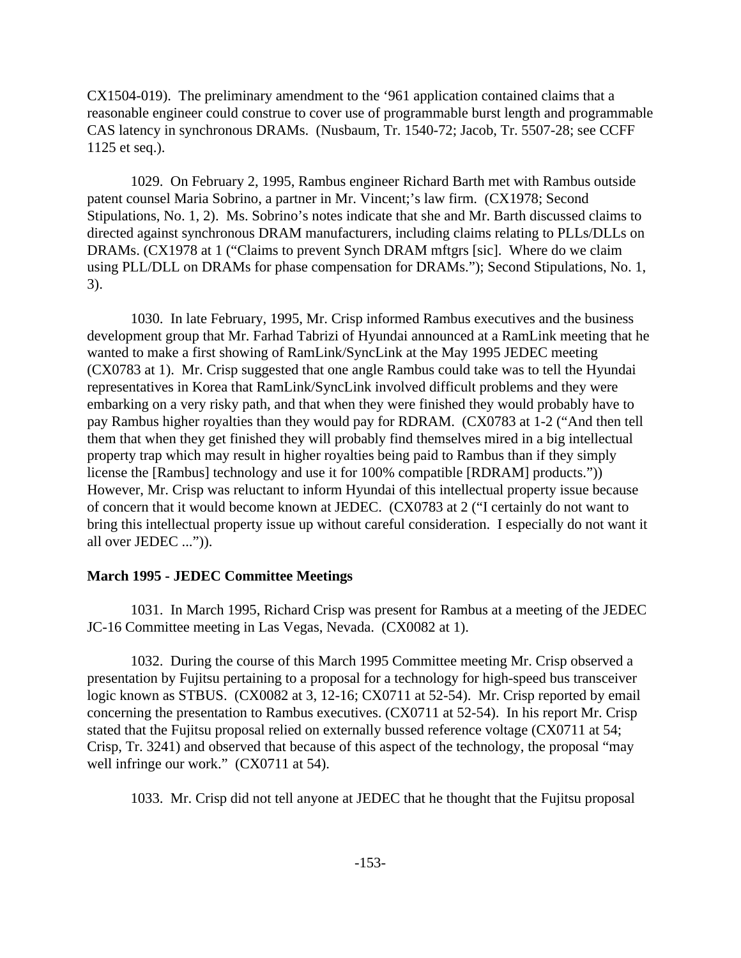CX1504-019). The preliminary amendment to the '961 application contained claims that a reasonable engineer could construe to cover use of programmable burst length and programmable CAS latency in synchronous DRAMs. (Nusbaum, Tr. 1540-72; Jacob, Tr. 5507-28; see CCFF 1125 et seq.).

1029. On February 2, 1995, Rambus engineer Richard Barth met with Rambus outside patent counsel Maria Sobrino, a partner in Mr. Vincent;'s law firm. (CX1978; Second Stipulations, No. 1, 2). Ms. Sobrino's notes indicate that she and Mr. Barth discussed claims to directed against synchronous DRAM manufacturers, including claims relating to PLLs/DLLs on DRAMs. (CX1978 at 1 ("Claims to prevent Synch DRAM mftgrs [sic]. Where do we claim using PLL/DLL on DRAMs for phase compensation for DRAMs."); Second Stipulations, No. 1, 3).

1030. In late February, 1995, Mr. Crisp informed Rambus executives and the business development group that Mr. Farhad Tabrizi of Hyundai announced at a RamLink meeting that he wanted to make a first showing of RamLink/SyncLink at the May 1995 JEDEC meeting (CX0783 at 1). Mr. Crisp suggested that one angle Rambus could take was to tell the Hyundai representatives in Korea that RamLink/SyncLink involved difficult problems and they were embarking on a very risky path, and that when they were finished they would probably have to pay Rambus higher royalties than they would pay for RDRAM. (CX0783 at 1-2 ("And then tell them that when they get finished they will probably find themselves mired in a big intellectual property trap which may result in higher royalties being paid to Rambus than if they simply license the [Rambus] technology and use it for 100% compatible [RDRAM] products.")) However, Mr. Crisp was reluctant to inform Hyundai of this intellectual property issue because of concern that it would become known at JEDEC. (CX0783 at 2 ("I certainly do not want to bring this intellectual property issue up without careful consideration. I especially do not want it all over JEDEC ...")).

### **March 1995 - JEDEC Committee Meetings**

1031. In March 1995, Richard Crisp was present for Rambus at a meeting of the JEDEC JC-16 Committee meeting in Las Vegas, Nevada. (CX0082 at 1).

1032. During the course of this March 1995 Committee meeting Mr. Crisp observed a presentation by Fujitsu pertaining to a proposal for a technology for high-speed bus transceiver logic known as STBUS. (CX0082 at 3, 12-16; CX0711 at 52-54). Mr. Crisp reported by email concerning the presentation to Rambus executives. (CX0711 at 52-54). In his report Mr. Crisp stated that the Fujitsu proposal relied on externally bussed reference voltage (CX0711 at 54; Crisp, Tr. 3241) and observed that because of this aspect of the technology, the proposal "may well infringe our work." (CX0711 at 54).

1033. Mr. Crisp did not tell anyone at JEDEC that he thought that the Fujitsu proposal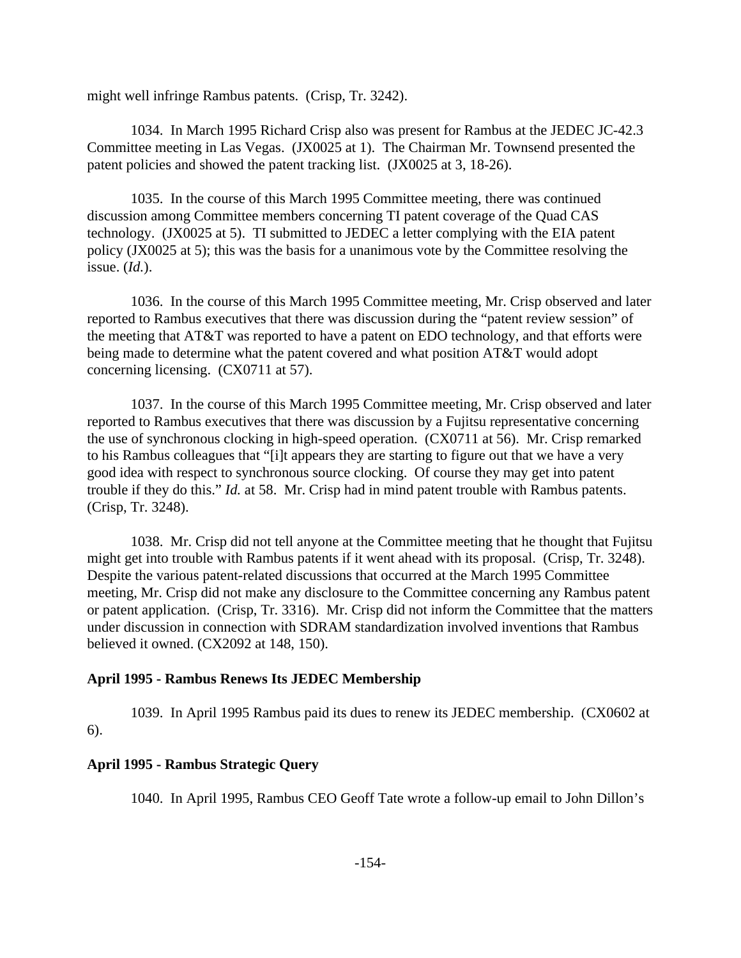might well infringe Rambus patents. (Crisp, Tr. 3242).

1034. In March 1995 Richard Crisp also was present for Rambus at the JEDEC JC-42.3 Committee meeting in Las Vegas. (JX0025 at 1). The Chairman Mr. Townsend presented the patent policies and showed the patent tracking list. (JX0025 at 3, 18-26).

1035. In the course of this March 1995 Committee meeting, there was continued discussion among Committee members concerning TI patent coverage of the Quad CAS technology. (JX0025 at 5). TI submitted to JEDEC a letter complying with the EIA patent policy (JX0025 at 5); this was the basis for a unanimous vote by the Committee resolving the issue. (*Id.*).

1036. In the course of this March 1995 Committee meeting, Mr. Crisp observed and later reported to Rambus executives that there was discussion during the "patent review session" of the meeting that AT&T was reported to have a patent on EDO technology, and that efforts were being made to determine what the patent covered and what position AT&T would adopt concerning licensing. (CX0711 at 57).

1037. In the course of this March 1995 Committee meeting, Mr. Crisp observed and later reported to Rambus executives that there was discussion by a Fujitsu representative concerning the use of synchronous clocking in high-speed operation. (CX0711 at 56). Mr. Crisp remarked to his Rambus colleagues that "[i]t appears they are starting to figure out that we have a very good idea with respect to synchronous source clocking. Of course they may get into patent trouble if they do this." *Id.* at 58. Mr. Crisp had in mind patent trouble with Rambus patents. (Crisp, Tr. 3248).

1038. Mr. Crisp did not tell anyone at the Committee meeting that he thought that Fujitsu might get into trouble with Rambus patents if it went ahead with its proposal. (Crisp, Tr. 3248). Despite the various patent-related discussions that occurred at the March 1995 Committee meeting, Mr. Crisp did not make any disclosure to the Committee concerning any Rambus patent or patent application. (Crisp, Tr. 3316). Mr. Crisp did not inform the Committee that the matters under discussion in connection with SDRAM standardization involved inventions that Rambus believed it owned. (CX2092 at 148, 150).

### **April 1995 - Rambus Renews Its JEDEC Membership**

1039. In April 1995 Rambus paid its dues to renew its JEDEC membership. (CX0602 at 6).

## **April 1995 - Rambus Strategic Query**

1040. In April 1995, Rambus CEO Geoff Tate wrote a follow-up email to John Dillon's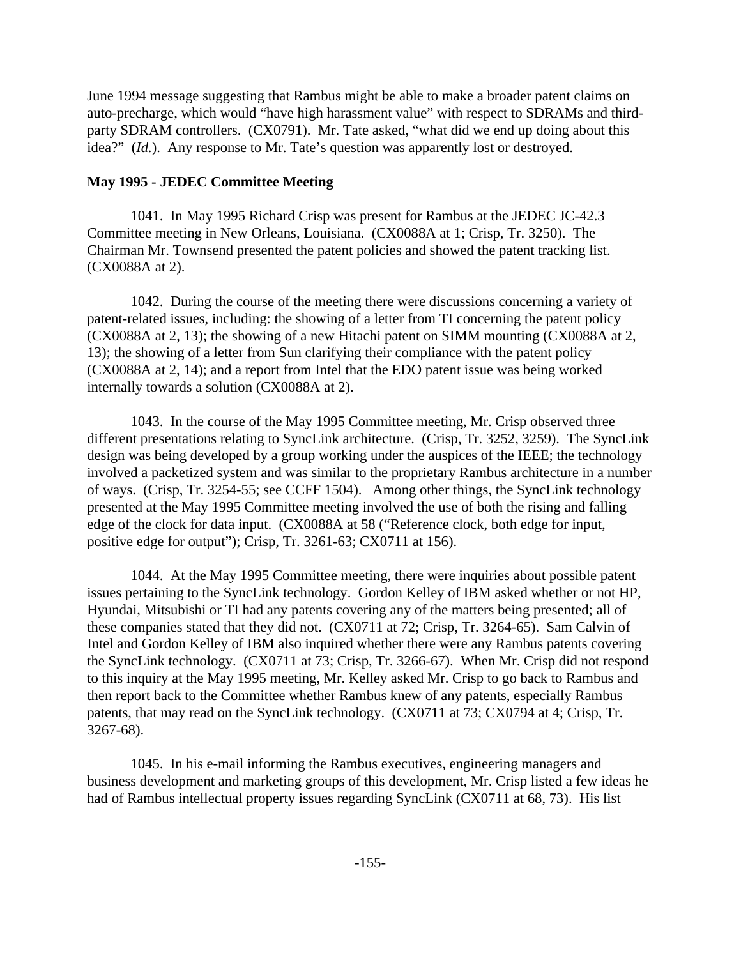June 1994 message suggesting that Rambus might be able to make a broader patent claims on auto-precharge, which would "have high harassment value" with respect to SDRAMs and thirdparty SDRAM controllers. (CX0791). Mr. Tate asked, "what did we end up doing about this idea?" (*Id.*). Any response to Mr. Tate's question was apparently lost or destroyed.

## **May 1995 - JEDEC Committee Meeting**

1041. In May 1995 Richard Crisp was present for Rambus at the JEDEC JC-42.3 Committee meeting in New Orleans, Louisiana. (CX0088A at 1; Crisp, Tr. 3250). The Chairman Mr. Townsend presented the patent policies and showed the patent tracking list. (CX0088A at 2).

1042. During the course of the meeting there were discussions concerning a variety of patent-related issues, including: the showing of a letter from TI concerning the patent policy (CX0088A at 2, 13); the showing of a new Hitachi patent on SIMM mounting (CX0088A at 2, 13); the showing of a letter from Sun clarifying their compliance with the patent policy (CX0088A at 2, 14); and a report from Intel that the EDO patent issue was being worked internally towards a solution (CX0088A at 2).

1043. In the course of the May 1995 Committee meeting, Mr. Crisp observed three different presentations relating to SyncLink architecture. (Crisp, Tr. 3252, 3259). The SyncLink design was being developed by a group working under the auspices of the IEEE; the technology involved a packetized system and was similar to the proprietary Rambus architecture in a number of ways. (Crisp, Tr. 3254-55; see CCFF 1504). Among other things, the SyncLink technology presented at the May 1995 Committee meeting involved the use of both the rising and falling edge of the clock for data input. (CX0088A at 58 ("Reference clock, both edge for input, positive edge for output"); Crisp, Tr. 3261-63; CX0711 at 156).

1044. At the May 1995 Committee meeting, there were inquiries about possible patent issues pertaining to the SyncLink technology. Gordon Kelley of IBM asked whether or not HP, Hyundai, Mitsubishi or TI had any patents covering any of the matters being presented; all of these companies stated that they did not. (CX0711 at 72; Crisp, Tr. 3264-65). Sam Calvin of Intel and Gordon Kelley of IBM also inquired whether there were any Rambus patents covering the SyncLink technology. (CX0711 at 73; Crisp, Tr. 3266-67). When Mr. Crisp did not respond to this inquiry at the May 1995 meeting, Mr. Kelley asked Mr. Crisp to go back to Rambus and then report back to the Committee whether Rambus knew of any patents, especially Rambus patents, that may read on the SyncLink technology. (CX0711 at 73; CX0794 at 4; Crisp, Tr. 3267-68).

1045. In his e-mail informing the Rambus executives, engineering managers and business development and marketing groups of this development, Mr. Crisp listed a few ideas he had of Rambus intellectual property issues regarding SyncLink (CX0711 at 68, 73). His list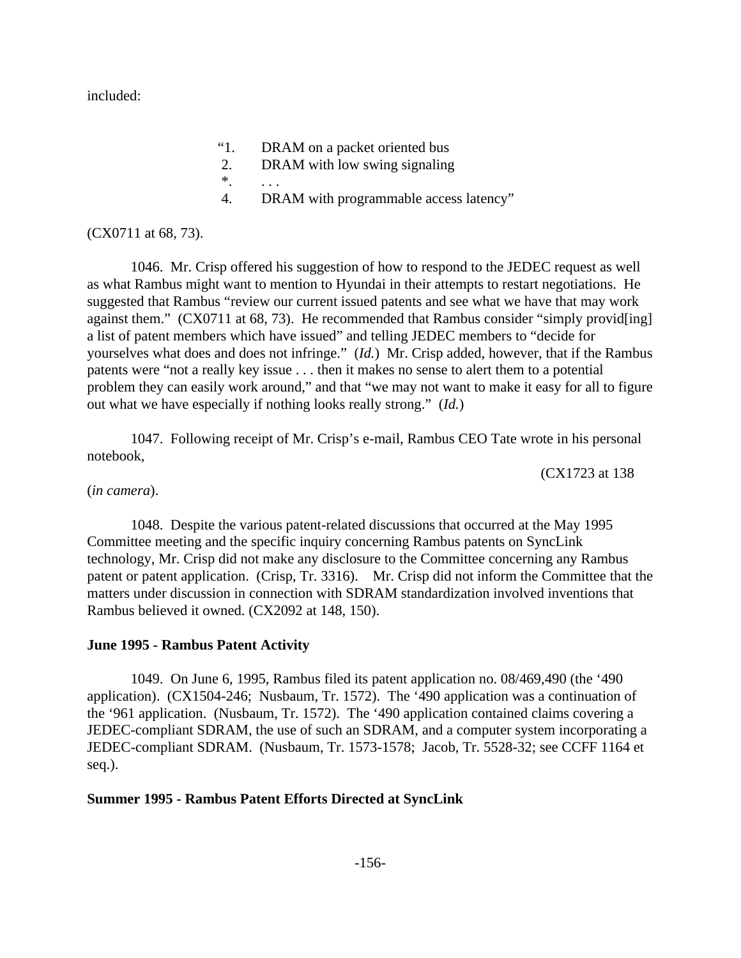included:

- "1. DRAM on a packet oriented bus
- 2. DRAM with low swing signaling
- \*. . . .
- 4. DRAM with programmable access latency"

(CX0711 at 68, 73).

1046. Mr. Crisp offered his suggestion of how to respond to the JEDEC request as well as what Rambus might want to mention to Hyundai in their attempts to restart negotiations. He suggested that Rambus "review our current issued patents and see what we have that may work against them." (CX0711 at 68, 73). He recommended that Rambus consider "simply providently" a list of patent members which have issued" and telling JEDEC members to "decide for yourselves what does and does not infringe." (*Id.*) Mr. Crisp added, however, that if the Rambus patents were "not a really key issue . . . then it makes no sense to alert them to a potential problem they can easily work around," and that "we may not want to make it easy for all to figure out what we have especially if nothing looks really strong." (*Id.*)

1047. Following receipt of Mr. Crisp's e-mail, Rambus CEO Tate wrote in his personal notebook,

(CX1723 at 138

(*in camera*).

1048. Despite the various patent-related discussions that occurred at the May 1995 Committee meeting and the specific inquiry concerning Rambus patents on SyncLink technology, Mr. Crisp did not make any disclosure to the Committee concerning any Rambus patent or patent application. (Crisp, Tr. 3316). Mr. Crisp did not inform the Committee that the matters under discussion in connection with SDRAM standardization involved inventions that Rambus believed it owned. (CX2092 at 148, 150).

### **June 1995 - Rambus Patent Activity**

1049. On June 6, 1995, Rambus filed its patent application no. 08/469,490 (the '490 application). (CX1504-246; Nusbaum, Tr. 1572). The '490 application was a continuation of the '961 application. (Nusbaum, Tr. 1572). The '490 application contained claims covering a JEDEC-compliant SDRAM, the use of such an SDRAM, and a computer system incorporating a JEDEC-compliant SDRAM. (Nusbaum, Tr. 1573-1578; Jacob, Tr. 5528-32; see CCFF 1164 et seq.).

### **Summer 1995 - Rambus Patent Efforts Directed at SyncLink**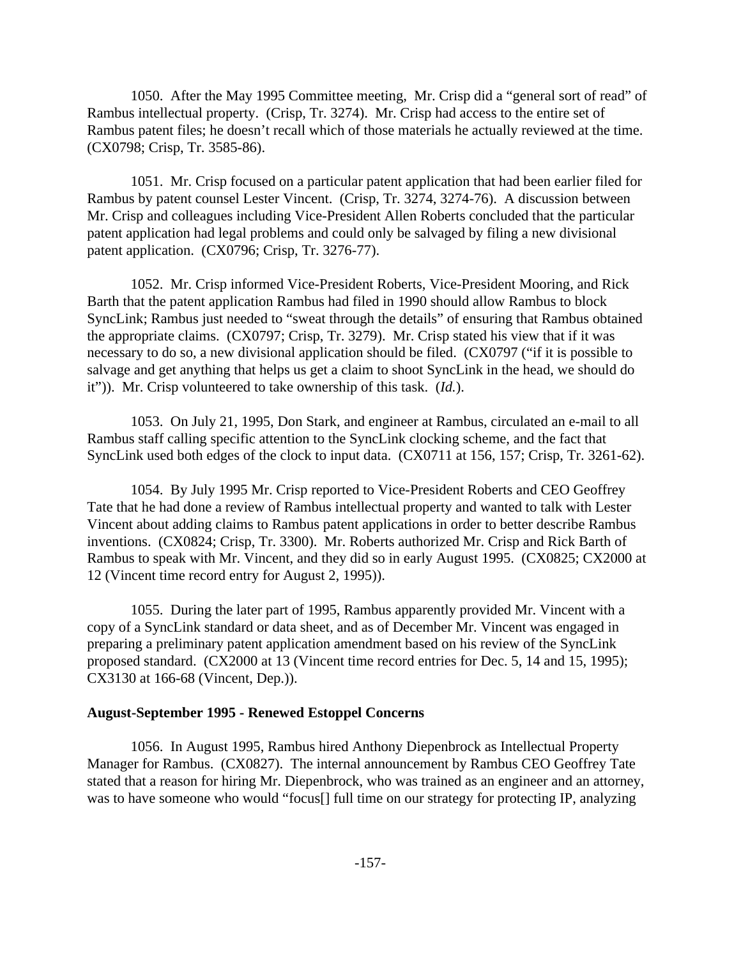1050. After the May 1995 Committee meeting, Mr. Crisp did a "general sort of read" of Rambus intellectual property. (Crisp, Tr. 3274). Mr. Crisp had access to the entire set of Rambus patent files; he doesn't recall which of those materials he actually reviewed at the time. (CX0798; Crisp, Tr. 3585-86).

1051. Mr. Crisp focused on a particular patent application that had been earlier filed for Rambus by patent counsel Lester Vincent. (Crisp, Tr. 3274, 3274-76). A discussion between Mr. Crisp and colleagues including Vice-President Allen Roberts concluded that the particular patent application had legal problems and could only be salvaged by filing a new divisional patent application. (CX0796; Crisp, Tr. 3276-77).

1052. Mr. Crisp informed Vice-President Roberts, Vice-President Mooring, and Rick Barth that the patent application Rambus had filed in 1990 should allow Rambus to block SyncLink; Rambus just needed to "sweat through the details" of ensuring that Rambus obtained the appropriate claims. (CX0797; Crisp, Tr. 3279). Mr. Crisp stated his view that if it was necessary to do so, a new divisional application should be filed. (CX0797 ("if it is possible to salvage and get anything that helps us get a claim to shoot SyncLink in the head, we should do it")). Mr. Crisp volunteered to take ownership of this task. (*Id.*).

1053. On July 21, 1995, Don Stark, and engineer at Rambus, circulated an e-mail to all Rambus staff calling specific attention to the SyncLink clocking scheme, and the fact that SyncLink used both edges of the clock to input data. (CX0711 at 156, 157; Crisp, Tr. 3261-62).

1054. By July 1995 Mr. Crisp reported to Vice-President Roberts and CEO Geoffrey Tate that he had done a review of Rambus intellectual property and wanted to talk with Lester Vincent about adding claims to Rambus patent applications in order to better describe Rambus inventions. (CX0824; Crisp, Tr. 3300). Mr. Roberts authorized Mr. Crisp and Rick Barth of Rambus to speak with Mr. Vincent, and they did so in early August 1995. (CX0825; CX2000 at 12 (Vincent time record entry for August 2, 1995)).

1055. During the later part of 1995, Rambus apparently provided Mr. Vincent with a copy of a SyncLink standard or data sheet, and as of December Mr. Vincent was engaged in preparing a preliminary patent application amendment based on his review of the SyncLink proposed standard. (CX2000 at 13 (Vincent time record entries for Dec. 5, 14 and 15, 1995); CX3130 at 166-68 (Vincent, Dep.)).

### **August-September 1995 - Renewed Estoppel Concerns**

1056. In August 1995, Rambus hired Anthony Diepenbrock as Intellectual Property Manager for Rambus. (CX0827). The internal announcement by Rambus CEO Geoffrey Tate stated that a reason for hiring Mr. Diepenbrock, who was trained as an engineer and an attorney, was to have someone who would "focus[] full time on our strategy for protecting IP, analyzing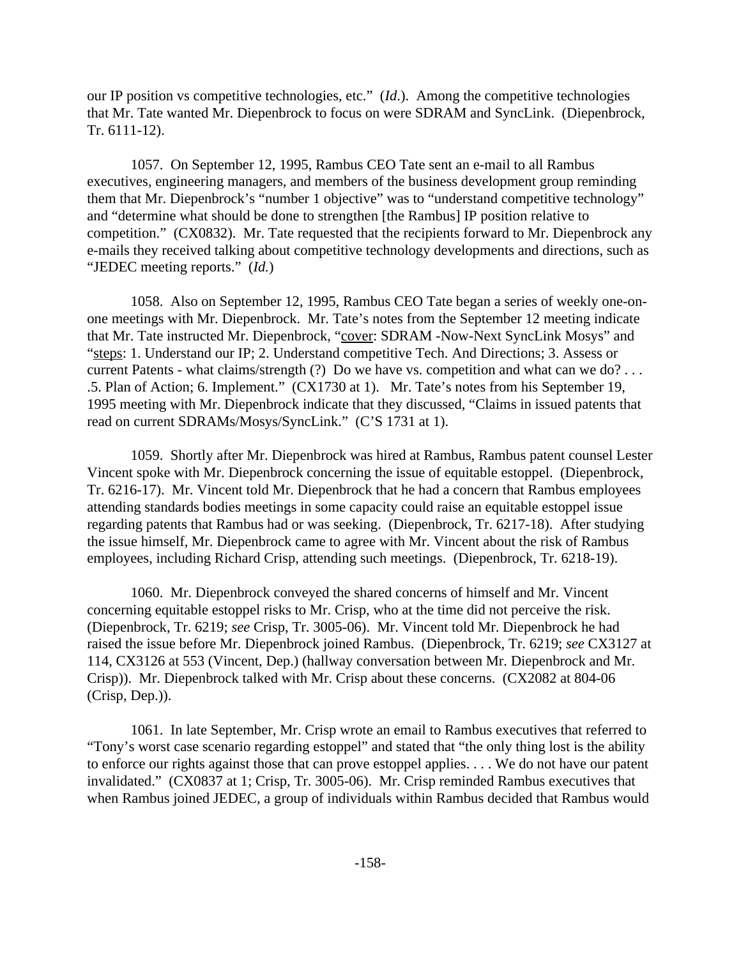our IP position vs competitive technologies, etc." (*Id*.). Among the competitive technologies that Mr. Tate wanted Mr. Diepenbrock to focus on were SDRAM and SyncLink. (Diepenbrock, Tr. 6111-12).

1057. On September 12, 1995, Rambus CEO Tate sent an e-mail to all Rambus executives, engineering managers, and members of the business development group reminding them that Mr. Diepenbrock's "number 1 objective" was to "understand competitive technology" and "determine what should be done to strengthen [the Rambus] IP position relative to competition." (CX0832). Mr. Tate requested that the recipients forward to Mr. Diepenbrock any e-mails they received talking about competitive technology developments and directions, such as "JEDEC meeting reports." (*Id.*)

1058. Also on September 12, 1995, Rambus CEO Tate began a series of weekly one-onone meetings with Mr. Diepenbrock. Mr. Tate's notes from the September 12 meeting indicate that Mr. Tate instructed Mr. Diepenbrock, "cover: SDRAM -Now-Next SyncLink Mosys" and "steps: 1. Understand our IP; 2. Understand competitive Tech. And Directions; 3. Assess or current Patents - what claims/strength (?) Do we have vs. competition and what can we do?... .5. Plan of Action; 6. Implement." (CX1730 at 1). Mr. Tate's notes from his September 19, 1995 meeting with Mr. Diepenbrock indicate that they discussed, "Claims in issued patents that read on current SDRAMs/Mosys/SyncLink." (C'S 1731 at 1).

1059. Shortly after Mr. Diepenbrock was hired at Rambus, Rambus patent counsel Lester Vincent spoke with Mr. Diepenbrock concerning the issue of equitable estoppel. (Diepenbrock, Tr. 6216-17). Mr. Vincent told Mr. Diepenbrock that he had a concern that Rambus employees attending standards bodies meetings in some capacity could raise an equitable estoppel issue regarding patents that Rambus had or was seeking. (Diepenbrock, Tr. 6217-18). After studying the issue himself, Mr. Diepenbrock came to agree with Mr. Vincent about the risk of Rambus employees, including Richard Crisp, attending such meetings. (Diepenbrock, Tr. 6218-19).

1060. Mr. Diepenbrock conveyed the shared concerns of himself and Mr. Vincent concerning equitable estoppel risks to Mr. Crisp, who at the time did not perceive the risk. (Diepenbrock, Tr. 6219; *see* Crisp, Tr. 3005-06). Mr. Vincent told Mr. Diepenbrock he had raised the issue before Mr. Diepenbrock joined Rambus. (Diepenbrock, Tr. 6219; *see* CX3127 at 114, CX3126 at 553 (Vincent, Dep.) (hallway conversation between Mr. Diepenbrock and Mr. Crisp)). Mr. Diepenbrock talked with Mr. Crisp about these concerns. (CX2082 at 804-06 (Crisp, Dep.)).

1061. In late September, Mr. Crisp wrote an email to Rambus executives that referred to "Tony's worst case scenario regarding estoppel" and stated that "the only thing lost is the ability to enforce our rights against those that can prove estoppel applies. . . . We do not have our patent invalidated." (CX0837 at 1; Crisp, Tr. 3005-06). Mr. Crisp reminded Rambus executives that when Rambus joined JEDEC, a group of individuals within Rambus decided that Rambus would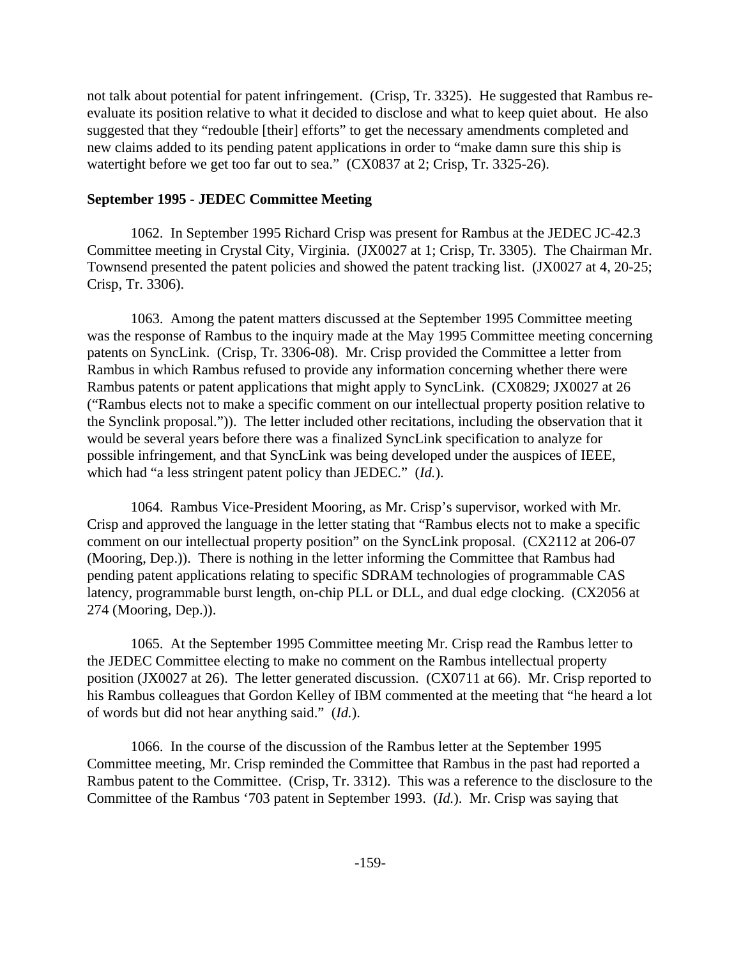not talk about potential for patent infringement. (Crisp, Tr. 3325). He suggested that Rambus reevaluate its position relative to what it decided to disclose and what to keep quiet about. He also suggested that they "redouble [their] efforts" to get the necessary amendments completed and new claims added to its pending patent applications in order to "make damn sure this ship is watertight before we get too far out to sea." (CX0837 at 2; Crisp, Tr. 3325-26).

# **September 1995 - JEDEC Committee Meeting**

1062. In September 1995 Richard Crisp was present for Rambus at the JEDEC JC-42.3 Committee meeting in Crystal City, Virginia. (JX0027 at 1; Crisp, Tr. 3305). The Chairman Mr. Townsend presented the patent policies and showed the patent tracking list. (JX0027 at 4, 20-25; Crisp, Tr. 3306).

1063. Among the patent matters discussed at the September 1995 Committee meeting was the response of Rambus to the inquiry made at the May 1995 Committee meeting concerning patents on SyncLink. (Crisp, Tr. 3306-08). Mr. Crisp provided the Committee a letter from Rambus in which Rambus refused to provide any information concerning whether there were Rambus patents or patent applications that might apply to SyncLink. (CX0829; JX0027 at 26 ("Rambus elects not to make a specific comment on our intellectual property position relative to the Synclink proposal.")). The letter included other recitations, including the observation that it would be several years before there was a finalized SyncLink specification to analyze for possible infringement, and that SyncLink was being developed under the auspices of IEEE, which had "a less stringent patent policy than JEDEC." (*Id.*).

1064. Rambus Vice-President Mooring, as Mr. Crisp's supervisor, worked with Mr. Crisp and approved the language in the letter stating that "Rambus elects not to make a specific comment on our intellectual property position" on the SyncLink proposal. (CX2112 at 206-07 (Mooring, Dep.)). There is nothing in the letter informing the Committee that Rambus had pending patent applications relating to specific SDRAM technologies of programmable CAS latency, programmable burst length, on-chip PLL or DLL, and dual edge clocking. (CX2056 at 274 (Mooring, Dep.)).

1065. At the September 1995 Committee meeting Mr. Crisp read the Rambus letter to the JEDEC Committee electing to make no comment on the Rambus intellectual property position (JX0027 at 26). The letter generated discussion. (CX0711 at 66). Mr. Crisp reported to his Rambus colleagues that Gordon Kelley of IBM commented at the meeting that "he heard a lot of words but did not hear anything said." (*Id.*).

1066. In the course of the discussion of the Rambus letter at the September 1995 Committee meeting, Mr. Crisp reminded the Committee that Rambus in the past had reported a Rambus patent to the Committee. (Crisp, Tr. 3312). This was a reference to the disclosure to the Committee of the Rambus '703 patent in September 1993. (*Id.*). Mr. Crisp was saying that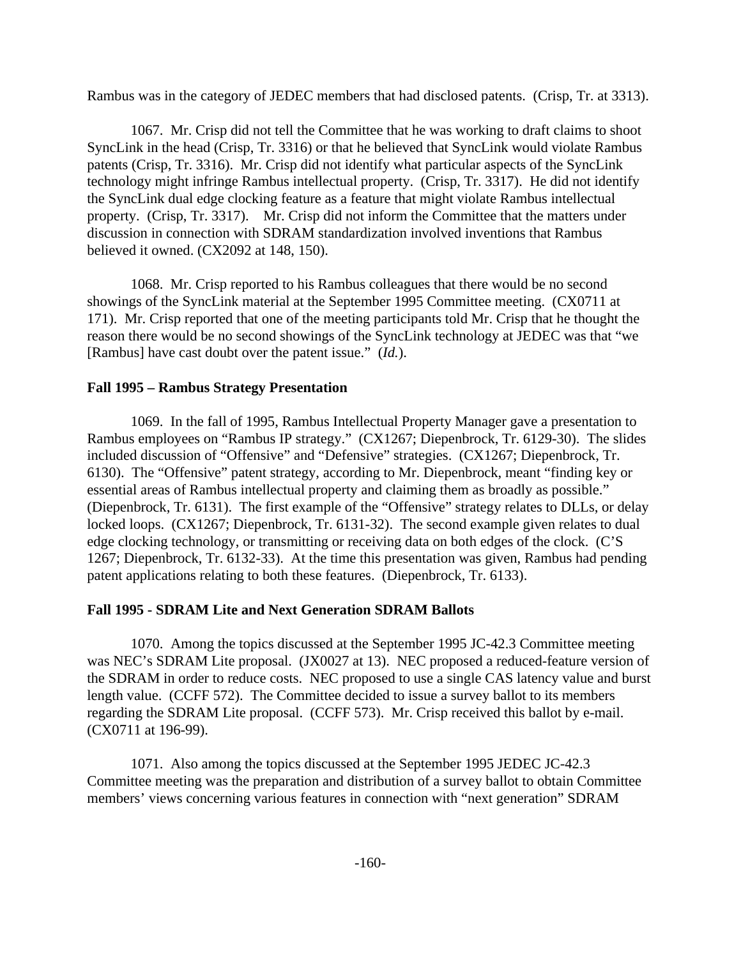Rambus was in the category of JEDEC members that had disclosed patents. (Crisp, Tr. at 3313).

1067. Mr. Crisp did not tell the Committee that he was working to draft claims to shoot SyncLink in the head (Crisp, Tr. 3316) or that he believed that SyncLink would violate Rambus patents (Crisp, Tr. 3316). Mr. Crisp did not identify what particular aspects of the SyncLink technology might infringe Rambus intellectual property. (Crisp, Tr. 3317). He did not identify the SyncLink dual edge clocking feature as a feature that might violate Rambus intellectual property. (Crisp, Tr. 3317). Mr. Crisp did not inform the Committee that the matters under discussion in connection with SDRAM standardization involved inventions that Rambus believed it owned. (CX2092 at 148, 150).

1068. Mr. Crisp reported to his Rambus colleagues that there would be no second showings of the SyncLink material at the September 1995 Committee meeting. (CX0711 at 171). Mr. Crisp reported that one of the meeting participants told Mr. Crisp that he thought the reason there would be no second showings of the SyncLink technology at JEDEC was that "we [Rambus] have cast doubt over the patent issue." (*Id.*).

# **Fall 1995 – Rambus Strategy Presentation**

1069. In the fall of 1995, Rambus Intellectual Property Manager gave a presentation to Rambus employees on "Rambus IP strategy." (CX1267; Diepenbrock, Tr. 6129-30). The slides included discussion of "Offensive" and "Defensive" strategies. (CX1267; Diepenbrock, Tr. 6130). The "Offensive" patent strategy, according to Mr. Diepenbrock, meant "finding key or essential areas of Rambus intellectual property and claiming them as broadly as possible." (Diepenbrock, Tr. 6131). The first example of the "Offensive" strategy relates to DLLs, or delay locked loops. (CX1267; Diepenbrock, Tr. 6131-32). The second example given relates to dual edge clocking technology, or transmitting or receiving data on both edges of the clock. (C'S 1267; Diepenbrock, Tr. 6132-33). At the time this presentation was given, Rambus had pending patent applications relating to both these features. (Diepenbrock, Tr. 6133).

# **Fall 1995 - SDRAM Lite and Next Generation SDRAM Ballots**

1070. Among the topics discussed at the September 1995 JC-42.3 Committee meeting was NEC's SDRAM Lite proposal. (JX0027 at 13). NEC proposed a reduced-feature version of the SDRAM in order to reduce costs. NEC proposed to use a single CAS latency value and burst length value. (CCFF 572). The Committee decided to issue a survey ballot to its members regarding the SDRAM Lite proposal. (CCFF 573). Mr. Crisp received this ballot by e-mail. (CX0711 at 196-99).

1071. Also among the topics discussed at the September 1995 JEDEC JC-42.3 Committee meeting was the preparation and distribution of a survey ballot to obtain Committee members' views concerning various features in connection with "next generation" SDRAM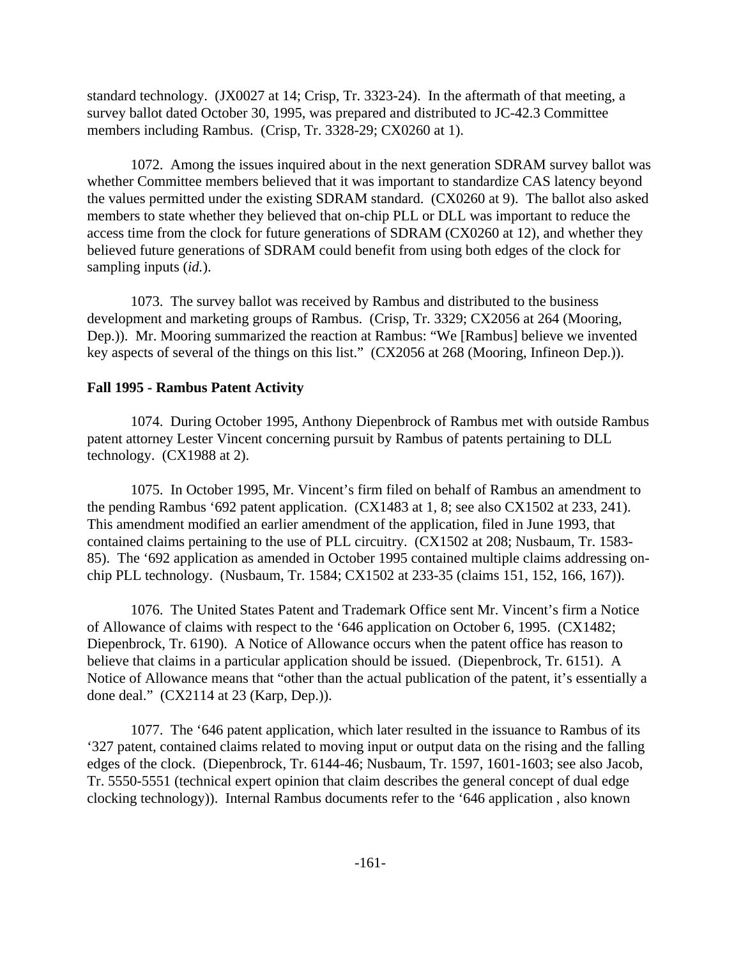standard technology. (JX0027 at 14; Crisp, Tr. 3323-24). In the aftermath of that meeting, a survey ballot dated October 30, 1995, was prepared and distributed to JC-42.3 Committee members including Rambus. (Crisp, Tr. 3328-29; CX0260 at 1).

1072. Among the issues inquired about in the next generation SDRAM survey ballot was whether Committee members believed that it was important to standardize CAS latency beyond the values permitted under the existing SDRAM standard. (CX0260 at 9). The ballot also asked members to state whether they believed that on-chip PLL or DLL was important to reduce the access time from the clock for future generations of SDRAM (CX0260 at 12), and whether they believed future generations of SDRAM could benefit from using both edges of the clock for sampling inputs (*id.*).

1073. The survey ballot was received by Rambus and distributed to the business development and marketing groups of Rambus. (Crisp, Tr. 3329; CX2056 at 264 (Mooring, Dep.)). Mr. Mooring summarized the reaction at Rambus: "We [Rambus] believe we invented key aspects of several of the things on this list." (CX2056 at 268 (Mooring, Infineon Dep.)).

## **Fall 1995 - Rambus Patent Activity**

1074. During October 1995, Anthony Diepenbrock of Rambus met with outside Rambus patent attorney Lester Vincent concerning pursuit by Rambus of patents pertaining to DLL technology. (CX1988 at 2).

1075. In October 1995, Mr. Vincent's firm filed on behalf of Rambus an amendment to the pending Rambus '692 patent application. (CX1483 at 1, 8; see also CX1502 at 233, 241). This amendment modified an earlier amendment of the application, filed in June 1993, that contained claims pertaining to the use of PLL circuitry. (CX1502 at 208; Nusbaum, Tr. 1583- 85). The '692 application as amended in October 1995 contained multiple claims addressing onchip PLL technology. (Nusbaum, Tr. 1584; CX1502 at 233-35 (claims 151, 152, 166, 167)).

1076. The United States Patent and Trademark Office sent Mr. Vincent's firm a Notice of Allowance of claims with respect to the '646 application on October 6, 1995. (CX1482; Diepenbrock, Tr. 6190). A Notice of Allowance occurs when the patent office has reason to believe that claims in a particular application should be issued. (Diepenbrock, Tr. 6151). A Notice of Allowance means that "other than the actual publication of the patent, it's essentially a done deal." (CX2114 at 23 (Karp, Dep.)).

1077. The '646 patent application, which later resulted in the issuance to Rambus of its '327 patent, contained claims related to moving input or output data on the rising and the falling edges of the clock. (Diepenbrock, Tr. 6144-46; Nusbaum, Tr. 1597, 1601-1603; see also Jacob, Tr. 5550-5551 (technical expert opinion that claim describes the general concept of dual edge clocking technology)). Internal Rambus documents refer to the '646 application , also known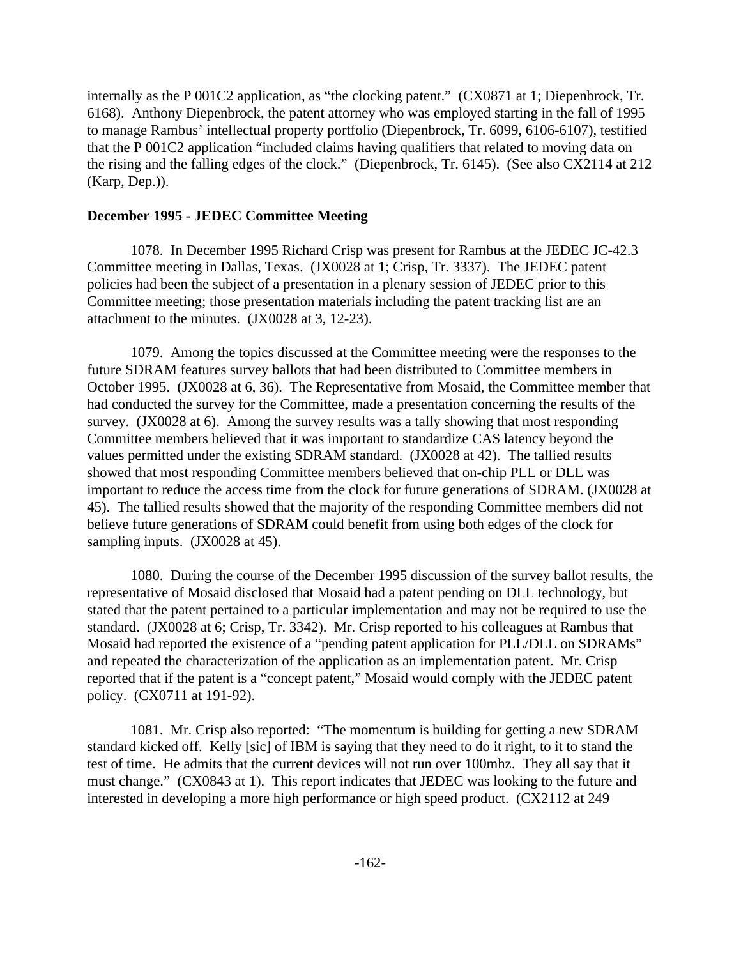internally as the P 001C2 application, as "the clocking patent." (CX0871 at 1; Diepenbrock, Tr. 6168). Anthony Diepenbrock, the patent attorney who was employed starting in the fall of 1995 to manage Rambus' intellectual property portfolio (Diepenbrock, Tr. 6099, 6106-6107), testified that the P 001C2 application "included claims having qualifiers that related to moving data on the rising and the falling edges of the clock." (Diepenbrock, Tr. 6145). (See also CX2114 at 212 (Karp, Dep.)).

## **December 1995 - JEDEC Committee Meeting**

1078. In December 1995 Richard Crisp was present for Rambus at the JEDEC JC-42.3 Committee meeting in Dallas, Texas. (JX0028 at 1; Crisp, Tr. 3337). The JEDEC patent policies had been the subject of a presentation in a plenary session of JEDEC prior to this Committee meeting; those presentation materials including the patent tracking list are an attachment to the minutes. (JX0028 at 3, 12-23).

1079. Among the topics discussed at the Committee meeting were the responses to the future SDRAM features survey ballots that had been distributed to Committee members in October 1995. (JX0028 at 6, 36). The Representative from Mosaid, the Committee member that had conducted the survey for the Committee, made a presentation concerning the results of the survey. (JX0028 at 6). Among the survey results was a tally showing that most responding Committee members believed that it was important to standardize CAS latency beyond the values permitted under the existing SDRAM standard. (JX0028 at 42). The tallied results showed that most responding Committee members believed that on-chip PLL or DLL was important to reduce the access time from the clock for future generations of SDRAM. (JX0028 at 45). The tallied results showed that the majority of the responding Committee members did not believe future generations of SDRAM could benefit from using both edges of the clock for sampling inputs. (JX0028 at 45).

1080. During the course of the December 1995 discussion of the survey ballot results, the representative of Mosaid disclosed that Mosaid had a patent pending on DLL technology, but stated that the patent pertained to a particular implementation and may not be required to use the standard. (JX0028 at 6; Crisp, Tr. 3342). Mr. Crisp reported to his colleagues at Rambus that Mosaid had reported the existence of a "pending patent application for PLL/DLL on SDRAMs" and repeated the characterization of the application as an implementation patent. Mr. Crisp reported that if the patent is a "concept patent," Mosaid would comply with the JEDEC patent policy. (CX0711 at 191-92).

1081. Mr. Crisp also reported: "The momentum is building for getting a new SDRAM standard kicked off. Kelly [sic] of IBM is saying that they need to do it right, to it to stand the test of time. He admits that the current devices will not run over 100mhz. They all say that it must change." (CX0843 at 1). This report indicates that JEDEC was looking to the future and interested in developing a more high performance or high speed product. (CX2112 at 249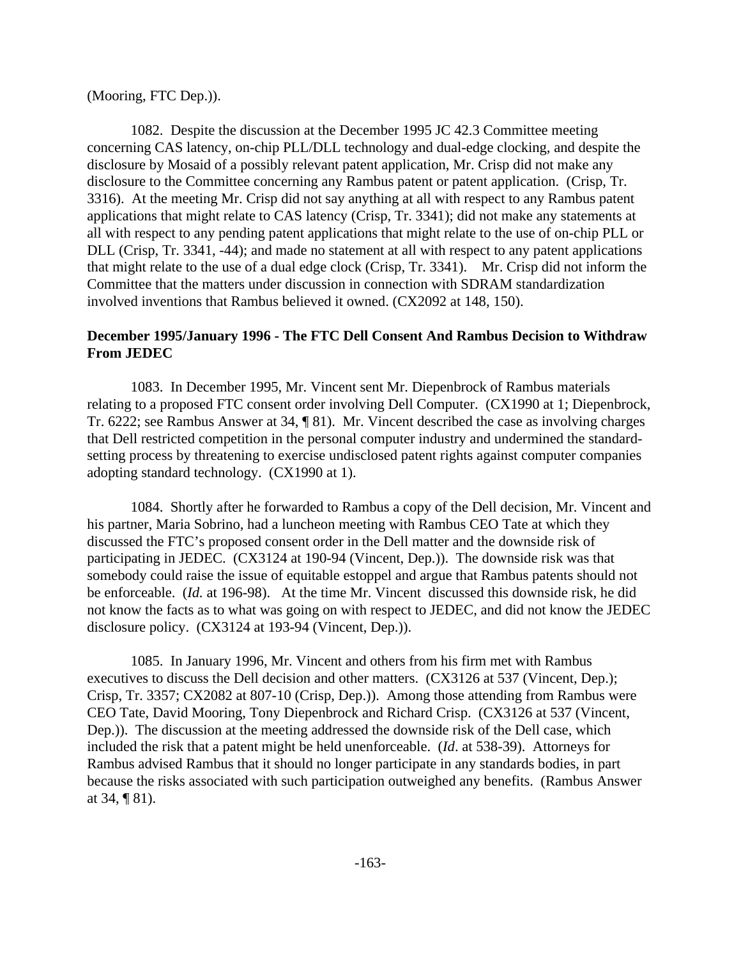### (Mooring, FTC Dep.)).

1082. Despite the discussion at the December 1995 JC 42.3 Committee meeting concerning CAS latency, on-chip PLL/DLL technology and dual-edge clocking, and despite the disclosure by Mosaid of a possibly relevant patent application, Mr. Crisp did not make any disclosure to the Committee concerning any Rambus patent or patent application. (Crisp, Tr. 3316). At the meeting Mr. Crisp did not say anything at all with respect to any Rambus patent applications that might relate to CAS latency (Crisp, Tr. 3341); did not make any statements at all with respect to any pending patent applications that might relate to the use of on-chip PLL or DLL (Crisp, Tr. 3341, -44); and made no statement at all with respect to any patent applications that might relate to the use of a dual edge clock (Crisp, Tr. 3341). Mr. Crisp did not inform the Committee that the matters under discussion in connection with SDRAM standardization involved inventions that Rambus believed it owned. (CX2092 at 148, 150).

# **December 1995/January 1996 - The FTC Dell Consent And Rambus Decision to Withdraw From JEDEC**

1083. In December 1995, Mr. Vincent sent Mr. Diepenbrock of Rambus materials relating to a proposed FTC consent order involving Dell Computer. (CX1990 at 1; Diepenbrock, Tr. 6222; see Rambus Answer at 34, ¶ 81). Mr. Vincent described the case as involving charges that Dell restricted competition in the personal computer industry and undermined the standardsetting process by threatening to exercise undisclosed patent rights against computer companies adopting standard technology. (CX1990 at 1).

1084. Shortly after he forwarded to Rambus a copy of the Dell decision, Mr. Vincent and his partner, Maria Sobrino, had a luncheon meeting with Rambus CEO Tate at which they discussed the FTC's proposed consent order in the Dell matter and the downside risk of participating in JEDEC. (CX3124 at 190-94 (Vincent, Dep.)). The downside risk was that somebody could raise the issue of equitable estoppel and argue that Rambus patents should not be enforceable. (*Id.* at 196-98). At the time Mr. Vincent discussed this downside risk, he did not know the facts as to what was going on with respect to JEDEC, and did not know the JEDEC disclosure policy. (CX3124 at 193-94 (Vincent, Dep.)).

1085. In January 1996, Mr. Vincent and others from his firm met with Rambus executives to discuss the Dell decision and other matters. (CX3126 at 537 (Vincent, Dep.); Crisp, Tr. 3357; CX2082 at 807-10 (Crisp, Dep.)). Among those attending from Rambus were CEO Tate, David Mooring, Tony Diepenbrock and Richard Crisp. (CX3126 at 537 (Vincent, Dep.)). The discussion at the meeting addressed the downside risk of the Dell case, which included the risk that a patent might be held unenforceable. (*Id*. at 538-39). Attorneys for Rambus advised Rambus that it should no longer participate in any standards bodies, in part because the risks associated with such participation outweighed any benefits. (Rambus Answer at 34, ¶ 81).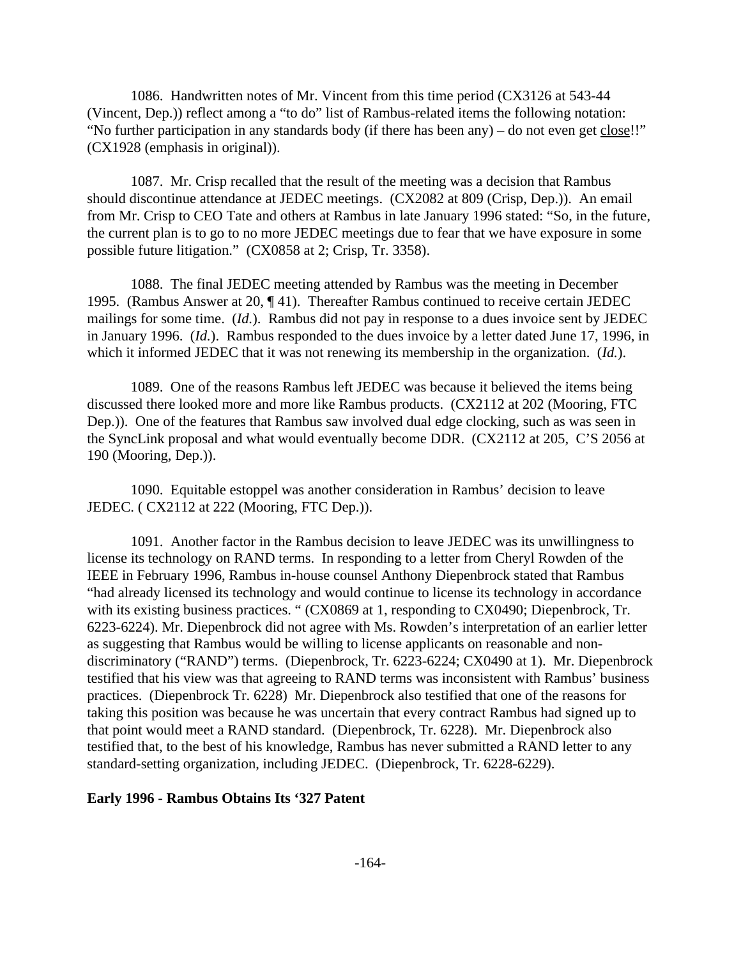1086. Handwritten notes of Mr. Vincent from this time period (CX3126 at 543-44 (Vincent, Dep.)) reflect among a "to do" list of Rambus-related items the following notation: "No further participation in any standards body (if there has been any) – do not even get close!!" (CX1928 (emphasis in original)).

1087. Mr. Crisp recalled that the result of the meeting was a decision that Rambus should discontinue attendance at JEDEC meetings. (CX2082 at 809 (Crisp, Dep.)). An email from Mr. Crisp to CEO Tate and others at Rambus in late January 1996 stated: "So, in the future, the current plan is to go to no more JEDEC meetings due to fear that we have exposure in some possible future litigation." (CX0858 at 2; Crisp, Tr. 3358).

1088. The final JEDEC meeting attended by Rambus was the meeting in December 1995. (Rambus Answer at 20, ¶ 41). Thereafter Rambus continued to receive certain JEDEC mailings for some time. (*Id.*). Rambus did not pay in response to a dues invoice sent by JEDEC in January 1996. (*Id.*). Rambus responded to the dues invoice by a letter dated June 17, 1996, in which it informed JEDEC that it was not renewing its membership in the organization. (*Id.*).

1089. One of the reasons Rambus left JEDEC was because it believed the items being discussed there looked more and more like Rambus products. (CX2112 at 202 (Mooring, FTC Dep.)). One of the features that Rambus saw involved dual edge clocking, such as was seen in the SyncLink proposal and what would eventually become DDR. (CX2112 at 205, C'S 2056 at 190 (Mooring, Dep.)).

1090. Equitable estoppel was another consideration in Rambus' decision to leave JEDEC. ( CX2112 at 222 (Mooring, FTC Dep.)).

1091. Another factor in the Rambus decision to leave JEDEC was its unwillingness to license its technology on RAND terms. In responding to a letter from Cheryl Rowden of the IEEE in February 1996, Rambus in-house counsel Anthony Diepenbrock stated that Rambus "had already licensed its technology and would continue to license its technology in accordance with its existing business practices. " (CX0869 at 1, responding to CX0490; Diepenbrock, Tr. 6223-6224). Mr. Diepenbrock did not agree with Ms. Rowden's interpretation of an earlier letter as suggesting that Rambus would be willing to license applicants on reasonable and nondiscriminatory ("RAND") terms. (Diepenbrock, Tr. 6223-6224; CX0490 at 1). Mr. Diepenbrock testified that his view was that agreeing to RAND terms was inconsistent with Rambus' business practices. (Diepenbrock Tr. 6228) Mr. Diepenbrock also testified that one of the reasons for taking this position was because he was uncertain that every contract Rambus had signed up to that point would meet a RAND standard. (Diepenbrock, Tr. 6228). Mr. Diepenbrock also testified that, to the best of his knowledge, Rambus has never submitted a RAND letter to any standard-setting organization, including JEDEC. (Diepenbrock, Tr. 6228-6229).

#### **Early 1996 - Rambus Obtains Its '327 Patent**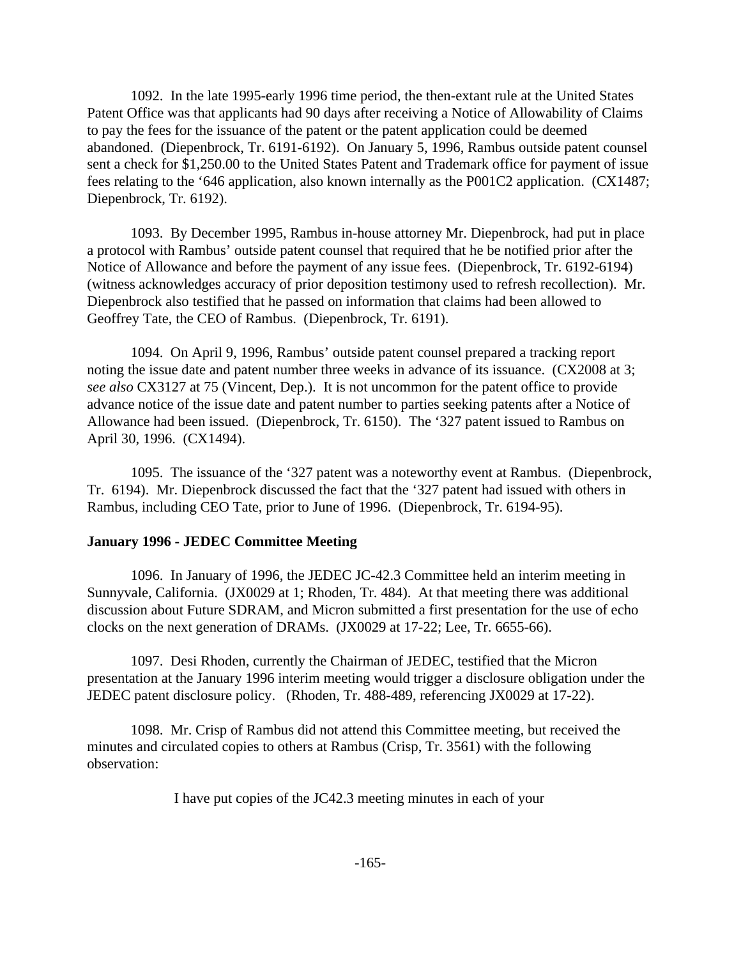1092. In the late 1995-early 1996 time period, the then-extant rule at the United States Patent Office was that applicants had 90 days after receiving a Notice of Allowability of Claims to pay the fees for the issuance of the patent or the patent application could be deemed abandoned. (Diepenbrock, Tr. 6191-6192). On January 5, 1996, Rambus outside patent counsel sent a check for \$1,250.00 to the United States Patent and Trademark office for payment of issue fees relating to the '646 application, also known internally as the P001C2 application. (CX1487; Diepenbrock, Tr. 6192).

1093. By December 1995, Rambus in-house attorney Mr. Diepenbrock, had put in place a protocol with Rambus' outside patent counsel that required that he be notified prior after the Notice of Allowance and before the payment of any issue fees. (Diepenbrock, Tr. 6192-6194) (witness acknowledges accuracy of prior deposition testimony used to refresh recollection). Mr. Diepenbrock also testified that he passed on information that claims had been allowed to Geoffrey Tate, the CEO of Rambus. (Diepenbrock, Tr. 6191).

1094. On April 9, 1996, Rambus' outside patent counsel prepared a tracking report noting the issue date and patent number three weeks in advance of its issuance. (CX2008 at 3; *see also* CX3127 at 75 (Vincent, Dep.). It is not uncommon for the patent office to provide advance notice of the issue date and patent number to parties seeking patents after a Notice of Allowance had been issued. (Diepenbrock, Tr. 6150). The '327 patent issued to Rambus on April 30, 1996. (CX1494).

1095. The issuance of the '327 patent was a noteworthy event at Rambus. (Diepenbrock, Tr. 6194). Mr. Diepenbrock discussed the fact that the '327 patent had issued with others in Rambus, including CEO Tate, prior to June of 1996. (Diepenbrock, Tr. 6194-95).

### **January 1996 - JEDEC Committee Meeting**

1096. In January of 1996, the JEDEC JC-42.3 Committee held an interim meeting in Sunnyvale, California. (JX0029 at 1; Rhoden, Tr. 484). At that meeting there was additional discussion about Future SDRAM, and Micron submitted a first presentation for the use of echo clocks on the next generation of DRAMs. (JX0029 at 17-22; Lee, Tr. 6655-66).

1097. Desi Rhoden, currently the Chairman of JEDEC, testified that the Micron presentation at the January 1996 interim meeting would trigger a disclosure obligation under the JEDEC patent disclosure policy. (Rhoden, Tr. 488-489, referencing JX0029 at 17-22).

1098. Mr. Crisp of Rambus did not attend this Committee meeting, but received the minutes and circulated copies to others at Rambus (Crisp, Tr. 3561) with the following observation:

I have put copies of the JC42.3 meeting minutes in each of your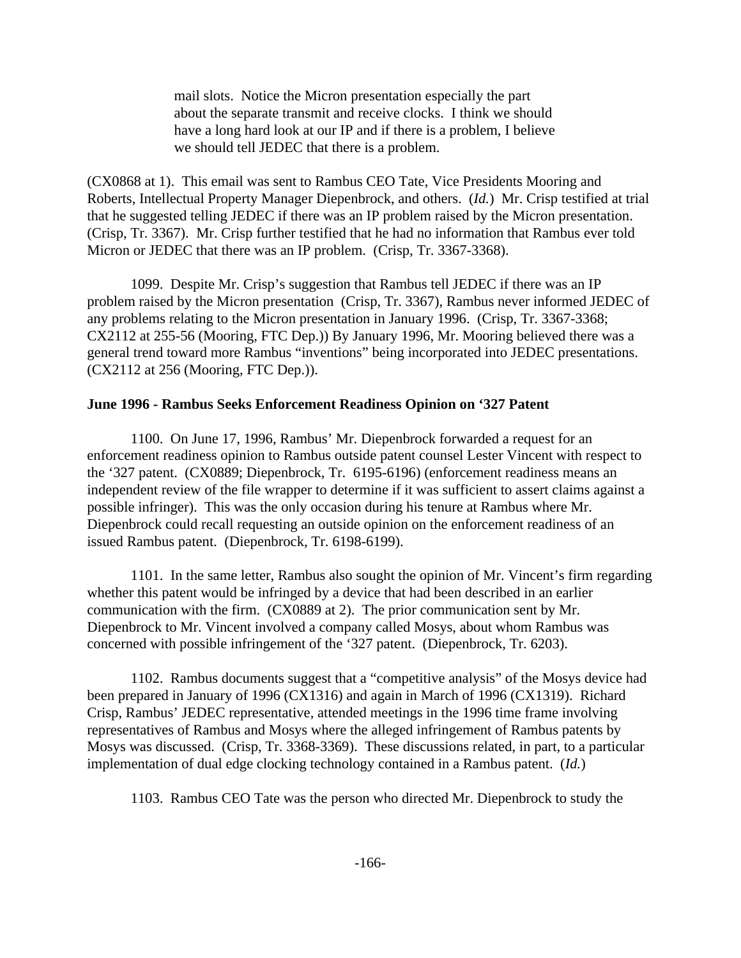mail slots. Notice the Micron presentation especially the part about the separate transmit and receive clocks. I think we should have a long hard look at our IP and if there is a problem, I believe we should tell JEDEC that there is a problem.

(CX0868 at 1). This email was sent to Rambus CEO Tate, Vice Presidents Mooring and Roberts, Intellectual Property Manager Diepenbrock, and others. (*Id.*) Mr. Crisp testified at trial that he suggested telling JEDEC if there was an IP problem raised by the Micron presentation. (Crisp, Tr. 3367). Mr. Crisp further testified that he had no information that Rambus ever told Micron or JEDEC that there was an IP problem. (Crisp, Tr. 3367-3368).

1099. Despite Mr. Crisp's suggestion that Rambus tell JEDEC if there was an IP problem raised by the Micron presentation (Crisp, Tr. 3367), Rambus never informed JEDEC of any problems relating to the Micron presentation in January 1996. (Crisp, Tr. 3367-3368; CX2112 at 255-56 (Mooring, FTC Dep.)) By January 1996, Mr. Mooring believed there was a general trend toward more Rambus "inventions" being incorporated into JEDEC presentations. (CX2112 at 256 (Mooring, FTC Dep.)).

#### **June 1996 - Rambus Seeks Enforcement Readiness Opinion on '327 Patent**

1100. On June 17, 1996, Rambus' Mr. Diepenbrock forwarded a request for an enforcement readiness opinion to Rambus outside patent counsel Lester Vincent with respect to the '327 patent. (CX0889; Diepenbrock, Tr. 6195-6196) (enforcement readiness means an independent review of the file wrapper to determine if it was sufficient to assert claims against a possible infringer). This was the only occasion during his tenure at Rambus where Mr. Diepenbrock could recall requesting an outside opinion on the enforcement readiness of an issued Rambus patent. (Diepenbrock, Tr. 6198-6199).

1101. In the same letter, Rambus also sought the opinion of Mr. Vincent's firm regarding whether this patent would be infringed by a device that had been described in an earlier communication with the firm. (CX0889 at 2). The prior communication sent by Mr. Diepenbrock to Mr. Vincent involved a company called Mosys, about whom Rambus was concerned with possible infringement of the '327 patent. (Diepenbrock, Tr. 6203).

1102. Rambus documents suggest that a "competitive analysis" of the Mosys device had been prepared in January of 1996 (CX1316) and again in March of 1996 (CX1319). Richard Crisp, Rambus' JEDEC representative, attended meetings in the 1996 time frame involving representatives of Rambus and Mosys where the alleged infringement of Rambus patents by Mosys was discussed. (Crisp, Tr. 3368-3369). These discussions related, in part, to a particular implementation of dual edge clocking technology contained in a Rambus patent. (*Id.*)

1103. Rambus CEO Tate was the person who directed Mr. Diepenbrock to study the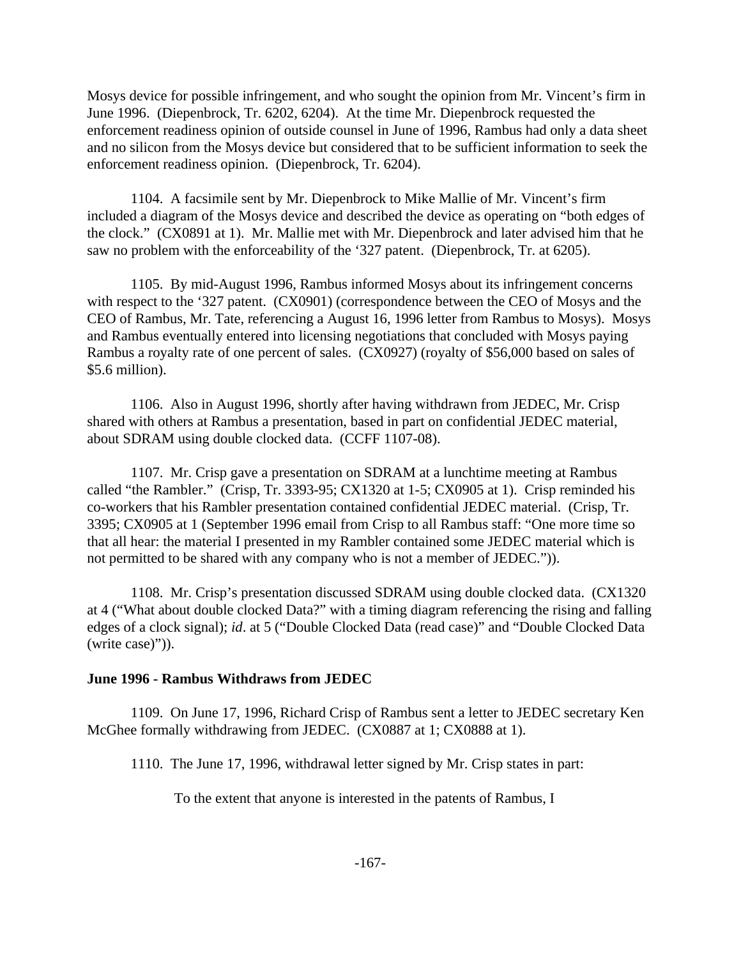Mosys device for possible infringement, and who sought the opinion from Mr. Vincent's firm in June 1996. (Diepenbrock, Tr. 6202, 6204). At the time Mr. Diepenbrock requested the enforcement readiness opinion of outside counsel in June of 1996, Rambus had only a data sheet and no silicon from the Mosys device but considered that to be sufficient information to seek the enforcement readiness opinion. (Diepenbrock, Tr. 6204).

1104. A facsimile sent by Mr. Diepenbrock to Mike Mallie of Mr. Vincent's firm included a diagram of the Mosys device and described the device as operating on "both edges of the clock." (CX0891 at 1). Mr. Mallie met with Mr. Diepenbrock and later advised him that he saw no problem with the enforceability of the '327 patent. (Diepenbrock, Tr. at 6205).

1105. By mid-August 1996, Rambus informed Mosys about its infringement concerns with respect to the '327 patent. (CX0901) (correspondence between the CEO of Mosys and the CEO of Rambus, Mr. Tate, referencing a August 16, 1996 letter from Rambus to Mosys). Mosys and Rambus eventually entered into licensing negotiations that concluded with Mosys paying Rambus a royalty rate of one percent of sales. (CX0927) (royalty of \$56,000 based on sales of \$5.6 million).

1106. Also in August 1996, shortly after having withdrawn from JEDEC, Mr. Crisp shared with others at Rambus a presentation, based in part on confidential JEDEC material, about SDRAM using double clocked data. (CCFF 1107-08).

1107. Mr. Crisp gave a presentation on SDRAM at a lunchtime meeting at Rambus called "the Rambler." (Crisp, Tr. 3393-95; CX1320 at 1-5; CX0905 at 1). Crisp reminded his co-workers that his Rambler presentation contained confidential JEDEC material. (Crisp, Tr. 3395; CX0905 at 1 (September 1996 email from Crisp to all Rambus staff: "One more time so that all hear: the material I presented in my Rambler contained some JEDEC material which is not permitted to be shared with any company who is not a member of JEDEC.")).

1108. Mr. Crisp's presentation discussed SDRAM using double clocked data. (CX1320 at 4 ("What about double clocked Data?" with a timing diagram referencing the rising and falling edges of a clock signal); *id*. at 5 ("Double Clocked Data (read case)" and "Double Clocked Data (write case)")).

### **June 1996 - Rambus Withdraws from JEDEC**

1109. On June 17, 1996, Richard Crisp of Rambus sent a letter to JEDEC secretary Ken McGhee formally withdrawing from JEDEC. (CX0887 at 1; CX0888 at 1).

1110. The June 17, 1996, withdrawal letter signed by Mr. Crisp states in part:

To the extent that anyone is interested in the patents of Rambus, I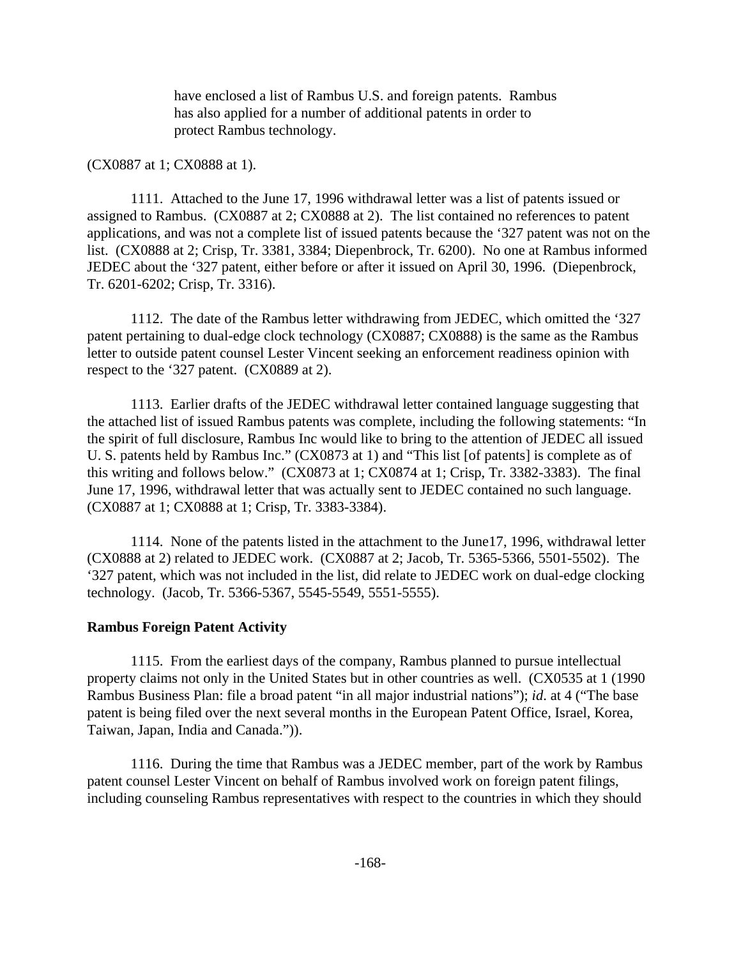have enclosed a list of Rambus U.S. and foreign patents. Rambus has also applied for a number of additional patents in order to protect Rambus technology.

### (CX0887 at 1; CX0888 at 1).

1111. Attached to the June 17, 1996 withdrawal letter was a list of patents issued or assigned to Rambus. (CX0887 at 2; CX0888 at 2). The list contained no references to patent applications, and was not a complete list of issued patents because the '327 patent was not on the list. (CX0888 at 2; Crisp, Tr. 3381, 3384; Diepenbrock, Tr. 6200). No one at Rambus informed JEDEC about the '327 patent, either before or after it issued on April 30, 1996. (Diepenbrock, Tr. 6201-6202; Crisp, Tr. 3316).

1112. The date of the Rambus letter withdrawing from JEDEC, which omitted the '327 patent pertaining to dual-edge clock technology (CX0887; CX0888) is the same as the Rambus letter to outside patent counsel Lester Vincent seeking an enforcement readiness opinion with respect to the '327 patent. (CX0889 at 2).

1113. Earlier drafts of the JEDEC withdrawal letter contained language suggesting that the attached list of issued Rambus patents was complete, including the following statements: "In the spirit of full disclosure, Rambus Inc would like to bring to the attention of JEDEC all issued U. S. patents held by Rambus Inc." (CX0873 at 1) and "This list [of patents] is complete as of this writing and follows below." (CX0873 at 1; CX0874 at 1; Crisp, Tr. 3382-3383). The final June 17, 1996, withdrawal letter that was actually sent to JEDEC contained no such language. (CX0887 at 1; CX0888 at 1; Crisp, Tr. 3383-3384).

1114. None of the patents listed in the attachment to the June17, 1996, withdrawal letter (CX0888 at 2) related to JEDEC work. (CX0887 at 2; Jacob, Tr. 5365-5366, 5501-5502). The '327 patent, which was not included in the list, did relate to JEDEC work on dual-edge clocking technology. (Jacob, Tr. 5366-5367, 5545-5549, 5551-5555).

### **Rambus Foreign Patent Activity**

1115. From the earliest days of the company, Rambus planned to pursue intellectual property claims not only in the United States but in other countries as well. (CX0535 at 1 (1990 Rambus Business Plan: file a broad patent "in all major industrial nations"); *id*. at 4 ("The base patent is being filed over the next several months in the European Patent Office, Israel, Korea, Taiwan, Japan, India and Canada.")).

1116. During the time that Rambus was a JEDEC member, part of the work by Rambus patent counsel Lester Vincent on behalf of Rambus involved work on foreign patent filings, including counseling Rambus representatives with respect to the countries in which they should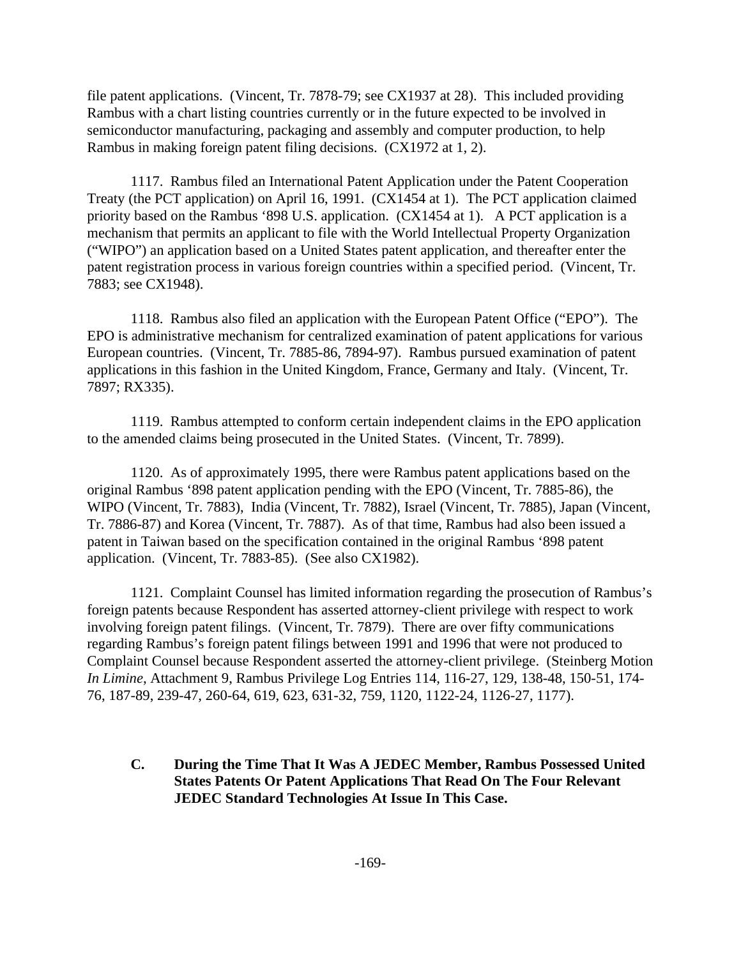file patent applications. (Vincent, Tr. 7878-79; see CX1937 at 28). This included providing Rambus with a chart listing countries currently or in the future expected to be involved in semiconductor manufacturing, packaging and assembly and computer production, to help Rambus in making foreign patent filing decisions. (CX1972 at 1, 2).

1117. Rambus filed an International Patent Application under the Patent Cooperation Treaty (the PCT application) on April 16, 1991. (CX1454 at 1). The PCT application claimed priority based on the Rambus '898 U.S. application. (CX1454 at 1). A PCT application is a mechanism that permits an applicant to file with the World Intellectual Property Organization ("WIPO") an application based on a United States patent application, and thereafter enter the patent registration process in various foreign countries within a specified period. (Vincent, Tr. 7883; see CX1948).

1118. Rambus also filed an application with the European Patent Office ("EPO"). The EPO is administrative mechanism for centralized examination of patent applications for various European countries. (Vincent, Tr. 7885-86, 7894-97). Rambus pursued examination of patent applications in this fashion in the United Kingdom, France, Germany and Italy. (Vincent, Tr. 7897; RX335).

1119. Rambus attempted to conform certain independent claims in the EPO application to the amended claims being prosecuted in the United States. (Vincent, Tr. 7899).

1120. As of approximately 1995, there were Rambus patent applications based on the original Rambus '898 patent application pending with the EPO (Vincent, Tr. 7885-86), the WIPO (Vincent, Tr. 7883), India (Vincent, Tr. 7882), Israel (Vincent, Tr. 7885), Japan (Vincent, Tr. 7886-87) and Korea (Vincent, Tr. 7887). As of that time, Rambus had also been issued a patent in Taiwan based on the specification contained in the original Rambus '898 patent application. (Vincent, Tr. 7883-85). (See also CX1982).

1121. Complaint Counsel has limited information regarding the prosecution of Rambus's foreign patents because Respondent has asserted attorney-client privilege with respect to work involving foreign patent filings. (Vincent, Tr. 7879). There are over fifty communications regarding Rambus's foreign patent filings between 1991 and 1996 that were not produced to Complaint Counsel because Respondent asserted the attorney-client privilege. (Steinberg Motion *In Limine*, Attachment 9, Rambus Privilege Log Entries 114, 116-27, 129, 138-48, 150-51, 174- 76, 187-89, 239-47, 260-64, 619, 623, 631-32, 759, 1120, 1122-24, 1126-27, 1177).

**C. During the Time That It Was A JEDEC Member, Rambus Possessed United States Patents Or Patent Applications That Read On The Four Relevant JEDEC Standard Technologies At Issue In This Case.**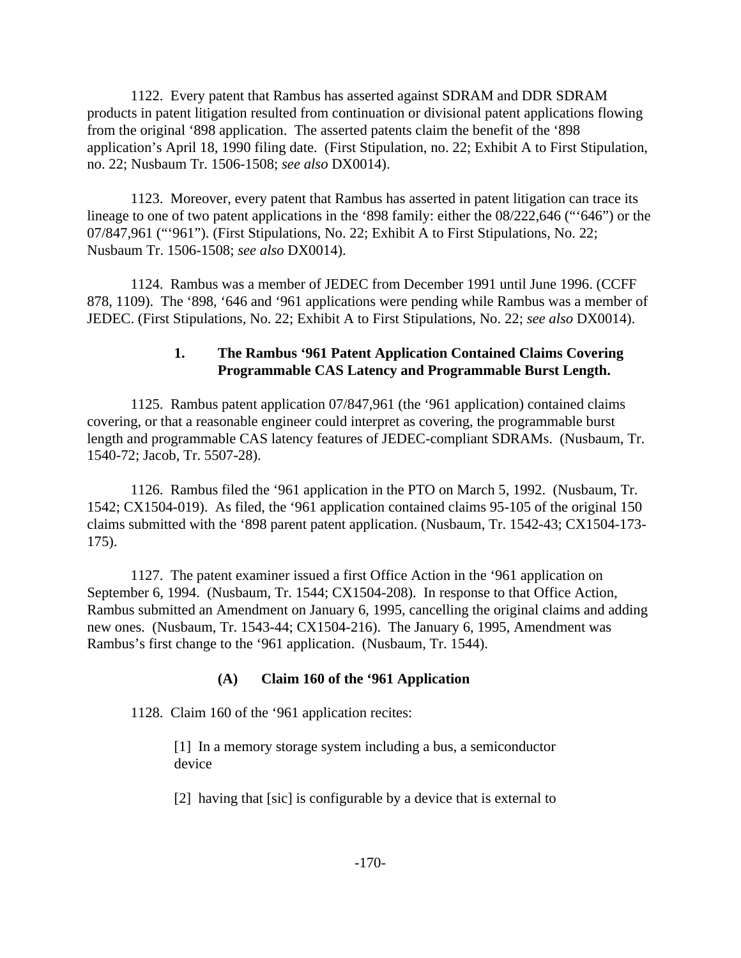1122. Every patent that Rambus has asserted against SDRAM and DDR SDRAM products in patent litigation resulted from continuation or divisional patent applications flowing from the original '898 application. The asserted patents claim the benefit of the '898 application's April 18, 1990 filing date. (First Stipulation, no. 22; Exhibit A to First Stipulation, no. 22; Nusbaum Tr. 1506-1508; *see also* DX0014).

1123. Moreover, every patent that Rambus has asserted in patent litigation can trace its lineage to one of two patent applications in the '898 family: either the 08/222,646 ("'646") or the 07/847,961 ("'961"). (First Stipulations, No. 22; Exhibit A to First Stipulations, No. 22; Nusbaum Tr. 1506-1508; *see also* DX0014).

1124. Rambus was a member of JEDEC from December 1991 until June 1996. (CCFF 878, 1109). The '898, '646 and '961 applications were pending while Rambus was a member of JEDEC. (First Stipulations, No. 22; Exhibit A to First Stipulations, No. 22; *see also* DX0014).

### **1. The Rambus '961 Patent Application Contained Claims Covering Programmable CAS Latency and Programmable Burst Length.**

1125. Rambus patent application 07/847,961 (the '961 application) contained claims covering, or that a reasonable engineer could interpret as covering, the programmable burst length and programmable CAS latency features of JEDEC-compliant SDRAMs. (Nusbaum, Tr. 1540-72; Jacob, Tr. 5507-28).

1126. Rambus filed the '961 application in the PTO on March 5, 1992. (Nusbaum, Tr. 1542; CX1504-019). As filed, the '961 application contained claims 95-105 of the original 150 claims submitted with the '898 parent patent application. (Nusbaum, Tr. 1542-43; CX1504-173- 175).

1127. The patent examiner issued a first Office Action in the '961 application on September 6, 1994. (Nusbaum, Tr. 1544; CX1504-208). In response to that Office Action, Rambus submitted an Amendment on January 6, 1995, cancelling the original claims and adding new ones. (Nusbaum, Tr. 1543-44; CX1504-216). The January 6, 1995, Amendment was Rambus's first change to the '961 application. (Nusbaum, Tr. 1544).

### **(A) Claim 160 of the '961 Application**

1128. Claim 160 of the '961 application recites:

[1] In a memory storage system including a bus, a semiconductor device

[2] having that [sic] is configurable by a device that is external to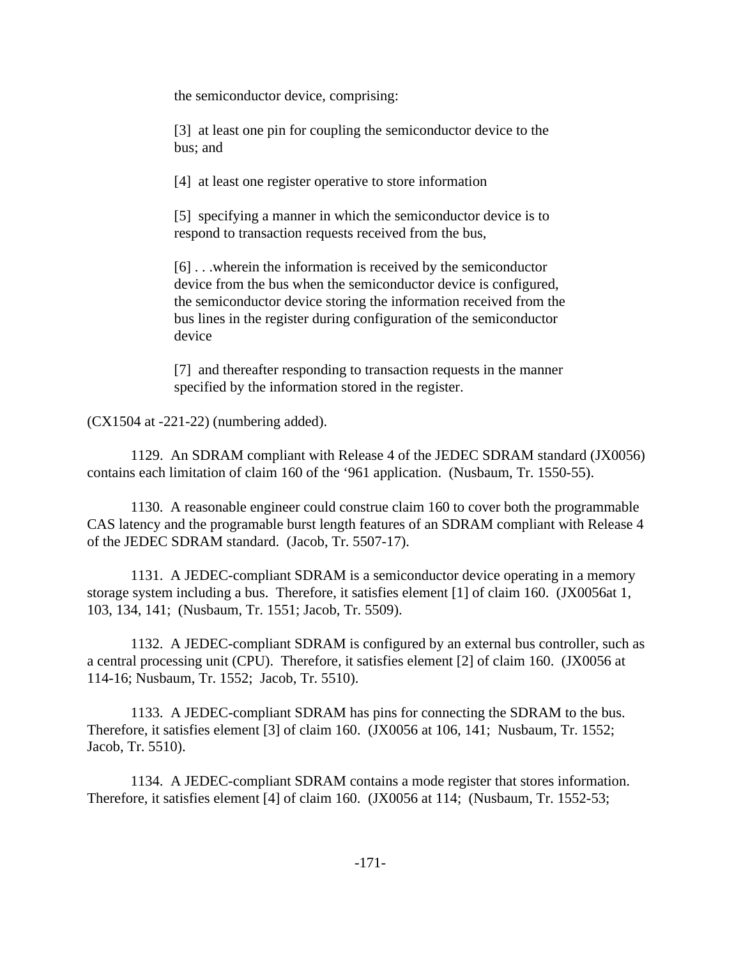the semiconductor device, comprising:

[3] at least one pin for coupling the semiconductor device to the bus; and

[4] at least one register operative to store information

[5] specifying a manner in which the semiconductor device is to respond to transaction requests received from the bus,

[6] . . .wherein the information is received by the semiconductor device from the bus when the semiconductor device is configured, the semiconductor device storing the information received from the bus lines in the register during configuration of the semiconductor device

[7] and thereafter responding to transaction requests in the manner specified by the information stored in the register.

(CX1504 at -221-22) (numbering added).

1129. An SDRAM compliant with Release 4 of the JEDEC SDRAM standard (JX0056) contains each limitation of claim 160 of the '961 application. (Nusbaum, Tr. 1550-55).

1130. A reasonable engineer could construe claim 160 to cover both the programmable CAS latency and the programable burst length features of an SDRAM compliant with Release 4 of the JEDEC SDRAM standard. (Jacob, Tr. 5507-17).

1131. A JEDEC-compliant SDRAM is a semiconductor device operating in a memory storage system including a bus. Therefore, it satisfies element [1] of claim 160. (JX0056at 1, 103, 134, 141; (Nusbaum, Tr. 1551; Jacob, Tr. 5509).

1132. A JEDEC-compliant SDRAM is configured by an external bus controller, such as a central processing unit (CPU). Therefore, it satisfies element [2] of claim 160. (JX0056 at 114-16; Nusbaum, Tr. 1552; Jacob, Tr. 5510).

1133. A JEDEC-compliant SDRAM has pins for connecting the SDRAM to the bus. Therefore, it satisfies element [3] of claim 160. (JX0056 at 106, 141; Nusbaum, Tr. 1552; Jacob, Tr. 5510).

1134. A JEDEC-compliant SDRAM contains a mode register that stores information. Therefore, it satisfies element [4] of claim 160. (JX0056 at 114; (Nusbaum, Tr. 1552-53;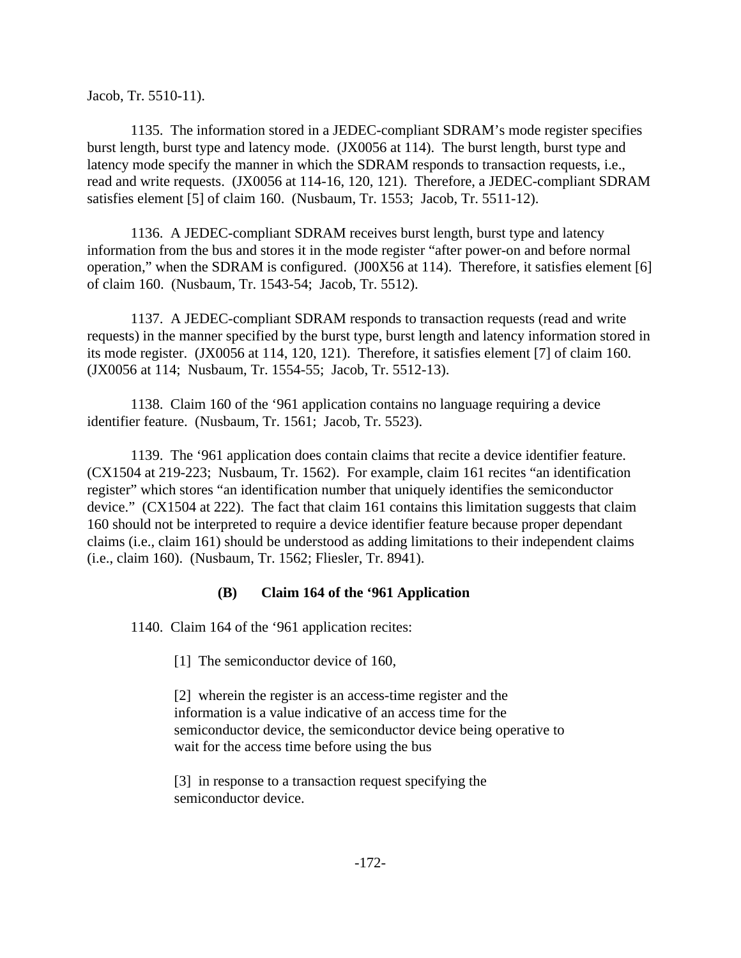Jacob, Tr. 5510-11).

1135. The information stored in a JEDEC-compliant SDRAM's mode register specifies burst length, burst type and latency mode. (JX0056 at 114). The burst length, burst type and latency mode specify the manner in which the SDRAM responds to transaction requests, i.e., read and write requests. (JX0056 at 114-16, 120, 121). Therefore, a JEDEC-compliant SDRAM satisfies element [5] of claim 160. (Nusbaum, Tr. 1553; Jacob, Tr. 5511-12).

1136. A JEDEC-compliant SDRAM receives burst length, burst type and latency information from the bus and stores it in the mode register "after power-on and before normal operation," when the SDRAM is configured. (J00X56 at 114). Therefore, it satisfies element [6] of claim 160. (Nusbaum, Tr. 1543-54; Jacob, Tr. 5512).

1137. A JEDEC-compliant SDRAM responds to transaction requests (read and write requests) in the manner specified by the burst type, burst length and latency information stored in its mode register. (JX0056 at 114, 120, 121). Therefore, it satisfies element [7] of claim 160. (JX0056 at 114; Nusbaum, Tr. 1554-55; Jacob, Tr. 5512-13).

1138. Claim 160 of the '961 application contains no language requiring a device identifier feature. (Nusbaum, Tr. 1561; Jacob, Tr. 5523).

1139. The '961 application does contain claims that recite a device identifier feature. (CX1504 at 219-223; Nusbaum, Tr. 1562). For example, claim 161 recites "an identification register" which stores "an identification number that uniquely identifies the semiconductor device." (CX1504 at 222). The fact that claim 161 contains this limitation suggests that claim 160 should not be interpreted to require a device identifier feature because proper dependant claims (i.e., claim 161) should be understood as adding limitations to their independent claims (i.e., claim 160). (Nusbaum, Tr. 1562; Fliesler, Tr. 8941).

### **(B) Claim 164 of the '961 Application**

1140. Claim 164 of the '961 application recites:

[1] The semiconductor device of 160,

[2] wherein the register is an access-time register and the information is a value indicative of an access time for the semiconductor device, the semiconductor device being operative to wait for the access time before using the bus

[3] in response to a transaction request specifying the semiconductor device.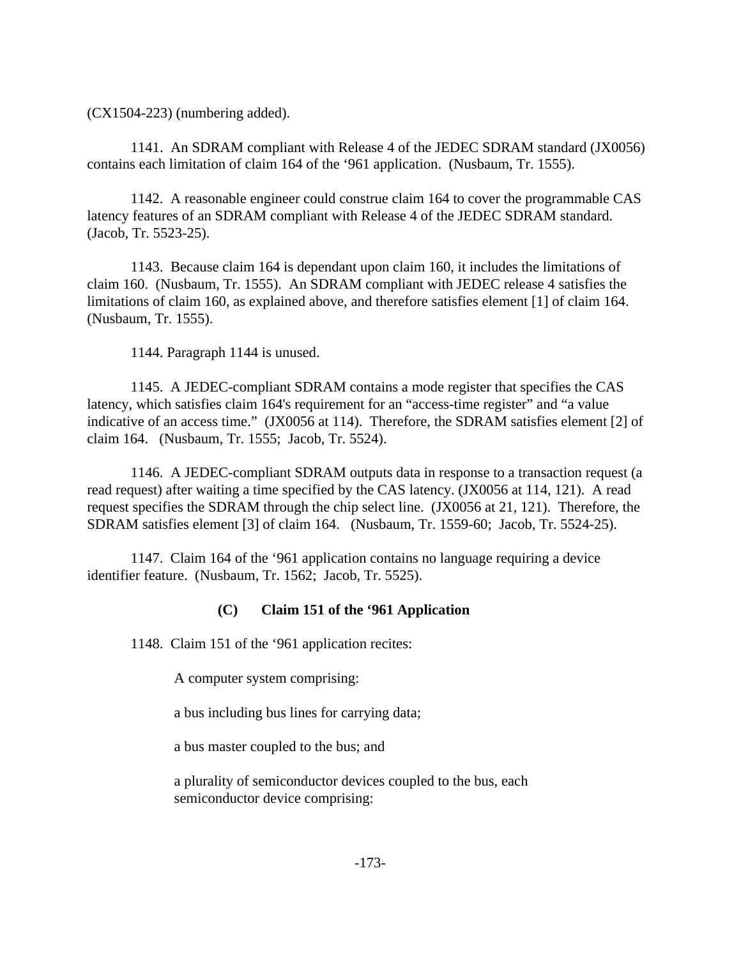(CX1504-223) (numbering added).

1141. An SDRAM compliant with Release 4 of the JEDEC SDRAM standard (JX0056) contains each limitation of claim 164 of the '961 application. (Nusbaum, Tr. 1555).

1142. A reasonable engineer could construe claim 164 to cover the programmable CAS latency features of an SDRAM compliant with Release 4 of the JEDEC SDRAM standard. (Jacob, Tr. 5523-25).

1143. Because claim 164 is dependant upon claim 160, it includes the limitations of claim 160. (Nusbaum, Tr. 1555). An SDRAM compliant with JEDEC release 4 satisfies the limitations of claim 160, as explained above, and therefore satisfies element [1] of claim 164. (Nusbaum, Tr. 1555).

1144. Paragraph 1144 is unused.

1145. A JEDEC-compliant SDRAM contains a mode register that specifies the CAS latency, which satisfies claim 164's requirement for an "access-time register" and "a value indicative of an access time." (JX0056 at 114). Therefore, the SDRAM satisfies element [2] of claim 164. (Nusbaum, Tr. 1555; Jacob, Tr. 5524).

1146. A JEDEC-compliant SDRAM outputs data in response to a transaction request (a read request) after waiting a time specified by the CAS latency. (JX0056 at 114, 121). A read request specifies the SDRAM through the chip select line. (JX0056 at 21, 121). Therefore, the SDRAM satisfies element [3] of claim 164. (Nusbaum, Tr. 1559-60; Jacob, Tr. 5524-25).

1147. Claim 164 of the '961 application contains no language requiring a device identifier feature. (Nusbaum, Tr. 1562; Jacob, Tr. 5525).

### **(C) Claim 151 of the '961 Application**

1148. Claim 151 of the '961 application recites:

A computer system comprising:

a bus including bus lines for carrying data;

a bus master coupled to the bus; and

a plurality of semiconductor devices coupled to the bus, each semiconductor device comprising: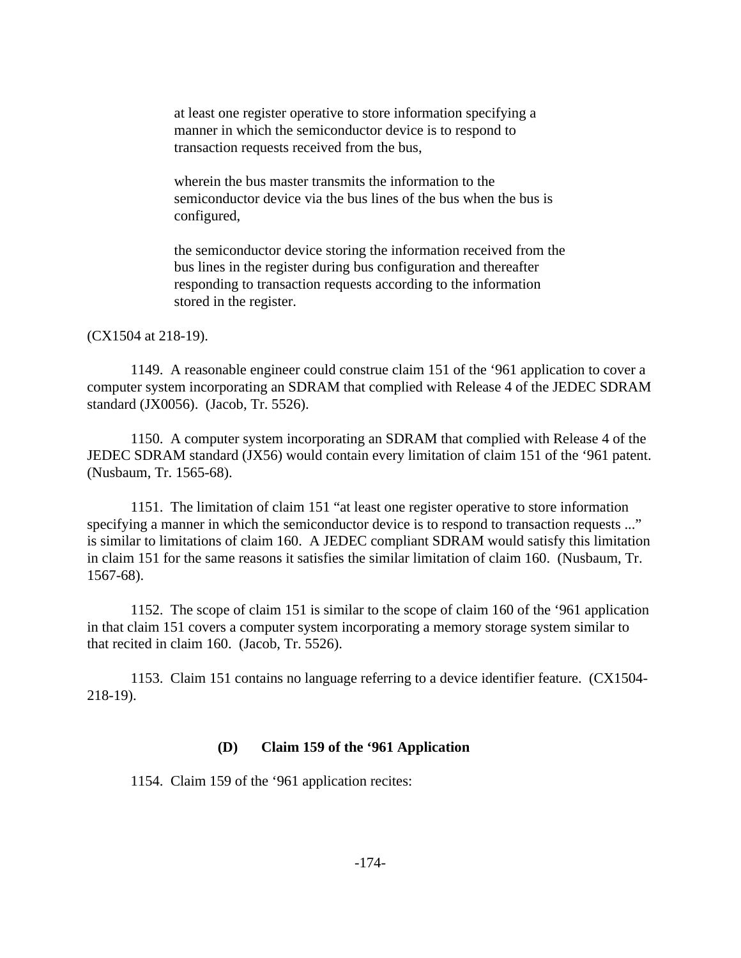at least one register operative to store information specifying a manner in which the semiconductor device is to respond to transaction requests received from the bus,

wherein the bus master transmits the information to the semiconductor device via the bus lines of the bus when the bus is configured,

the semiconductor device storing the information received from the bus lines in the register during bus configuration and thereafter responding to transaction requests according to the information stored in the register.

(CX1504 at 218-19).

1149. A reasonable engineer could construe claim 151 of the '961 application to cover a computer system incorporating an SDRAM that complied with Release 4 of the JEDEC SDRAM standard (JX0056). (Jacob, Tr. 5526).

1150. A computer system incorporating an SDRAM that complied with Release 4 of the JEDEC SDRAM standard (JX56) would contain every limitation of claim 151 of the '961 patent. (Nusbaum, Tr. 1565-68).

1151. The limitation of claim 151 "at least one register operative to store information specifying a manner in which the semiconductor device is to respond to transaction requests ..." is similar to limitations of claim 160. A JEDEC compliant SDRAM would satisfy this limitation in claim 151 for the same reasons it satisfies the similar limitation of claim 160. (Nusbaum, Tr. 1567-68).

1152. The scope of claim 151 is similar to the scope of claim 160 of the '961 application in that claim 151 covers a computer system incorporating a memory storage system similar to that recited in claim 160. (Jacob, Tr. 5526).

1153. Claim 151 contains no language referring to a device identifier feature. (CX1504- 218-19).

#### **(D) Claim 159 of the '961 Application**

1154. Claim 159 of the '961 application recites: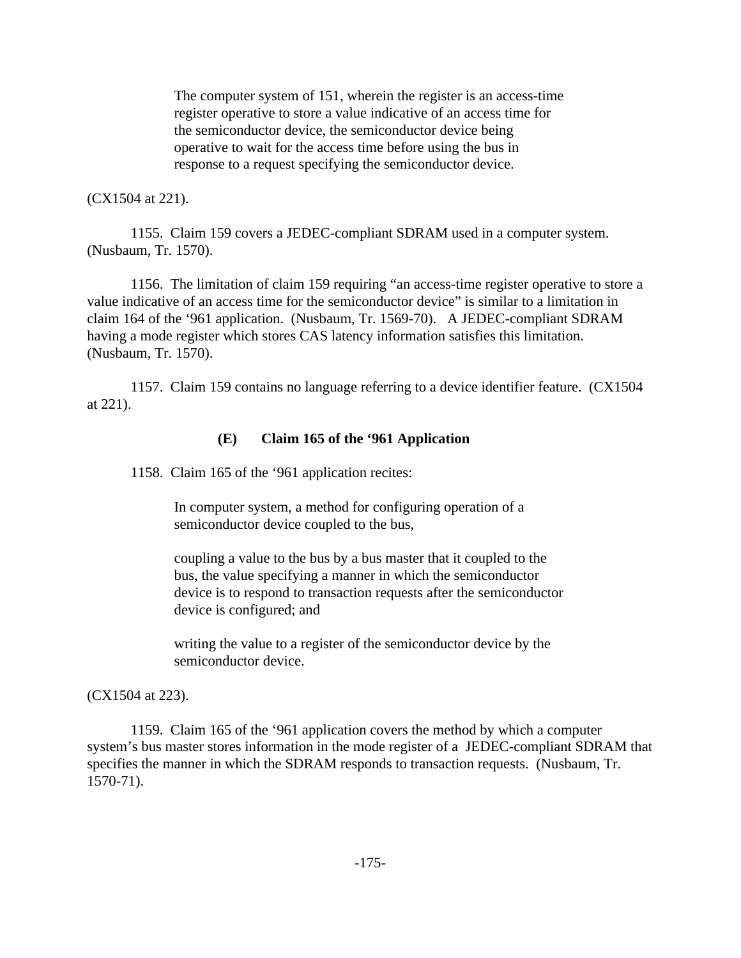The computer system of 151, wherein the register is an access-time register operative to store a value indicative of an access time for the semiconductor device, the semiconductor device being operative to wait for the access time before using the bus in response to a request specifying the semiconductor device.

#### (CX1504 at 221).

1155. Claim 159 covers a JEDEC-compliant SDRAM used in a computer system. (Nusbaum, Tr. 1570).

1156. The limitation of claim 159 requiring "an access-time register operative to store a value indicative of an access time for the semiconductor device" is similar to a limitation in claim 164 of the '961 application. (Nusbaum, Tr. 1569-70). A JEDEC-compliant SDRAM having a mode register which stores CAS latency information satisfies this limitation. (Nusbaum, Tr. 1570).

1157. Claim 159 contains no language referring to a device identifier feature. (CX1504 at 221).

### **(E) Claim 165 of the '961 Application**

1158. Claim 165 of the '961 application recites:

In computer system, a method for configuring operation of a semiconductor device coupled to the bus,

coupling a value to the bus by a bus master that it coupled to the bus, the value specifying a manner in which the semiconductor device is to respond to transaction requests after the semiconductor device is configured; and

writing the value to a register of the semiconductor device by the semiconductor device.

#### (CX1504 at 223).

1159. Claim 165 of the '961 application covers the method by which a computer system's bus master stores information in the mode register of a JEDEC-compliant SDRAM that specifies the manner in which the SDRAM responds to transaction requests. (Nusbaum, Tr. 1570-71).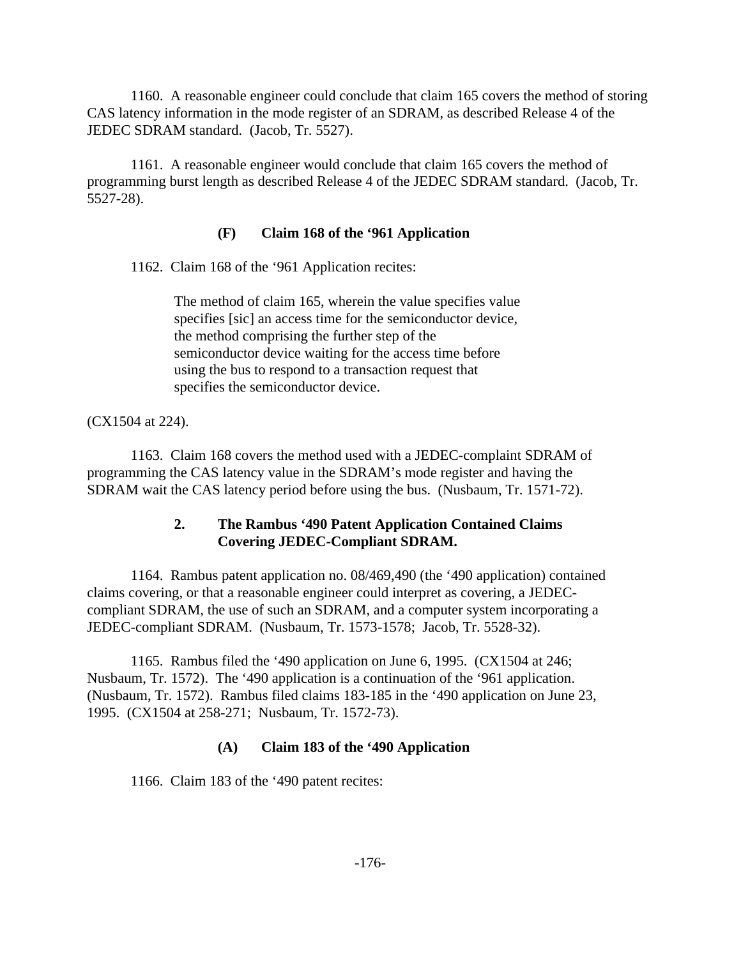1160. A reasonable engineer could conclude that claim 165 covers the method of storing CAS latency information in the mode register of an SDRAM, as described Release 4 of the JEDEC SDRAM standard. (Jacob, Tr. 5527).

1161. A reasonable engineer would conclude that claim 165 covers the method of programming burst length as described Release 4 of the JEDEC SDRAM standard. (Jacob, Tr. 5527-28).

### **(F) Claim 168 of the '961 Application**

1162. Claim 168 of the '961 Application recites:

The method of claim 165, wherein the value specifies value specifies [sic] an access time for the semiconductor device, the method comprising the further step of the semiconductor device waiting for the access time before using the bus to respond to a transaction request that specifies the semiconductor device.

(CX1504 at 224).

1163. Claim 168 covers the method used with a JEDEC-complaint SDRAM of programming the CAS latency value in the SDRAM's mode register and having the SDRAM wait the CAS latency period before using the bus. (Nusbaum, Tr. 1571-72).

## **2. The Rambus '490 Patent Application Contained Claims Covering JEDEC-Compliant SDRAM.**

1164. Rambus patent application no. 08/469,490 (the '490 application) contained claims covering, or that a reasonable engineer could interpret as covering, a JEDECcompliant SDRAM, the use of such an SDRAM, and a computer system incorporating a JEDEC-compliant SDRAM. (Nusbaum, Tr. 1573-1578; Jacob, Tr. 5528-32).

1165. Rambus filed the '490 application on June 6, 1995. (CX1504 at 246; Nusbaum, Tr. 1572). The '490 application is a continuation of the '961 application. (Nusbaum, Tr. 1572). Rambus filed claims 183-185 in the '490 application on June 23, 1995. (CX1504 at 258-271; Nusbaum, Tr. 1572-73).

### **(A) Claim 183 of the '490 Application**

1166. Claim 183 of the '490 patent recites: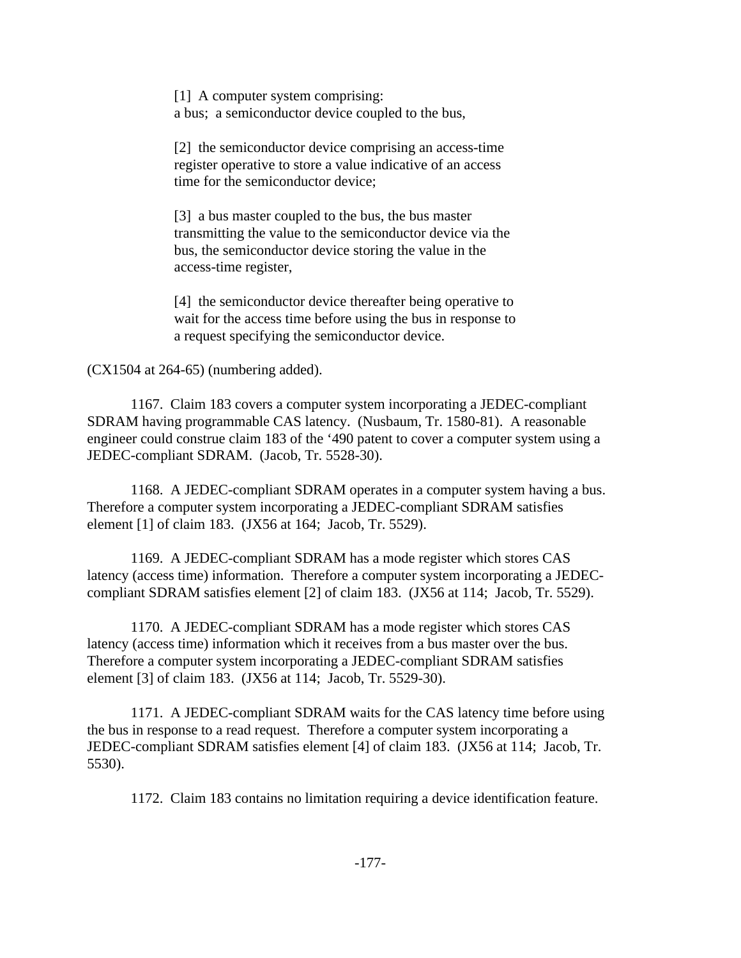[1] A computer system comprising: a bus; a semiconductor device coupled to the bus,

[2] the semiconductor device comprising an access-time register operative to store a value indicative of an access time for the semiconductor device;

[3] a bus master coupled to the bus, the bus master transmitting the value to the semiconductor device via the bus, the semiconductor device storing the value in the access-time register,

[4] the semiconductor device thereafter being operative to wait for the access time before using the bus in response to a request specifying the semiconductor device.

## (CX1504 at 264-65) (numbering added).

1167. Claim 183 covers a computer system incorporating a JEDEC-compliant SDRAM having programmable CAS latency. (Nusbaum, Tr. 1580-81). A reasonable engineer could construe claim 183 of the '490 patent to cover a computer system using a JEDEC-compliant SDRAM. (Jacob, Tr. 5528-30).

1168. A JEDEC-compliant SDRAM operates in a computer system having a bus. Therefore a computer system incorporating a JEDEC-compliant SDRAM satisfies element [1] of claim 183. (JX56 at 164; Jacob, Tr. 5529).

1169. A JEDEC-compliant SDRAM has a mode register which stores CAS latency (access time) information. Therefore a computer system incorporating a JEDECcompliant SDRAM satisfies element [2] of claim 183. (JX56 at 114; Jacob, Tr. 5529).

1170. A JEDEC-compliant SDRAM has a mode register which stores CAS latency (access time) information which it receives from a bus master over the bus. Therefore a computer system incorporating a JEDEC-compliant SDRAM satisfies element [3] of claim 183. (JX56 at 114; Jacob, Tr. 5529-30).

1171. A JEDEC-compliant SDRAM waits for the CAS latency time before using the bus in response to a read request. Therefore a computer system incorporating a JEDEC-compliant SDRAM satisfies element [4] of claim 183. (JX56 at 114; Jacob, Tr. 5530).

1172. Claim 183 contains no limitation requiring a device identification feature.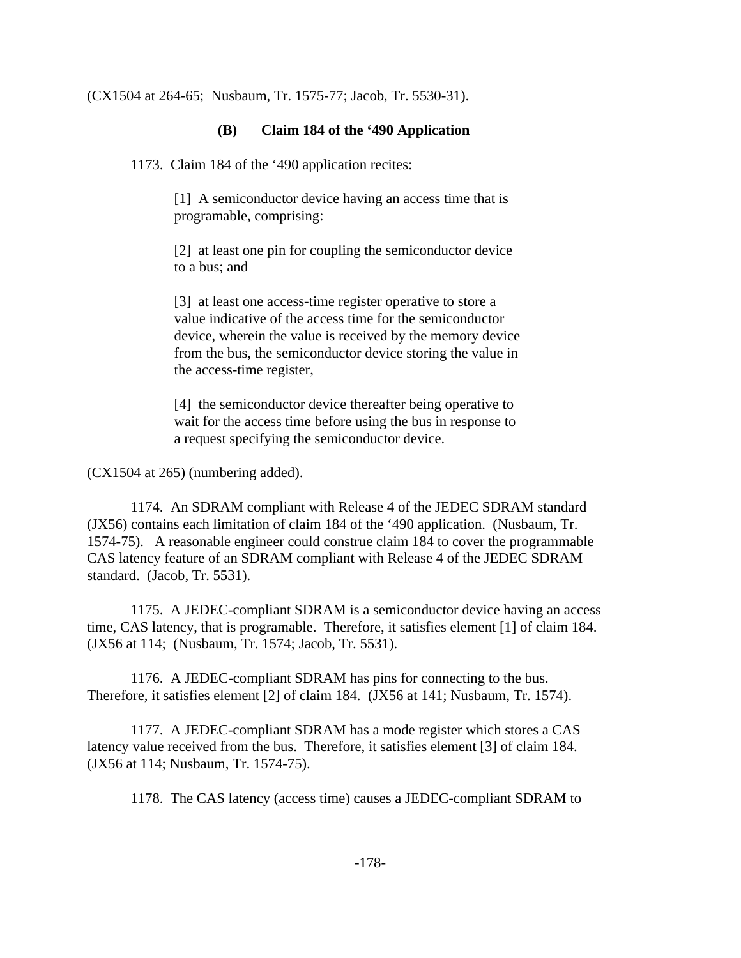(CX1504 at 264-65; Nusbaum, Tr. 1575-77; Jacob, Tr. 5530-31).

## **(B) Claim 184 of the '490 Application**

1173. Claim 184 of the '490 application recites:

[1] A semiconductor device having an access time that is programable, comprising:

[2] at least one pin for coupling the semiconductor device to a bus; and

[3] at least one access-time register operative to store a value indicative of the access time for the semiconductor device, wherein the value is received by the memory device from the bus, the semiconductor device storing the value in the access-time register,

[4] the semiconductor device thereafter being operative to wait for the access time before using the bus in response to a request specifying the semiconductor device.

(CX1504 at 265) (numbering added).

1174. An SDRAM compliant with Release 4 of the JEDEC SDRAM standard (JX56) contains each limitation of claim 184 of the '490 application. (Nusbaum, Tr. 1574-75). A reasonable engineer could construe claim 184 to cover the programmable CAS latency feature of an SDRAM compliant with Release 4 of the JEDEC SDRAM standard. (Jacob, Tr. 5531).

1175. A JEDEC-compliant SDRAM is a semiconductor device having an access time, CAS latency, that is programable. Therefore, it satisfies element [1] of claim 184. (JX56 at 114; (Nusbaum, Tr. 1574; Jacob, Tr. 5531).

1176. A JEDEC-compliant SDRAM has pins for connecting to the bus. Therefore, it satisfies element [2] of claim 184. (JX56 at 141; Nusbaum, Tr. 1574).

1177. A JEDEC-compliant SDRAM has a mode register which stores a CAS latency value received from the bus. Therefore, it satisfies element [3] of claim 184. (JX56 at 114; Nusbaum, Tr. 1574-75).

1178. The CAS latency (access time) causes a JEDEC-compliant SDRAM to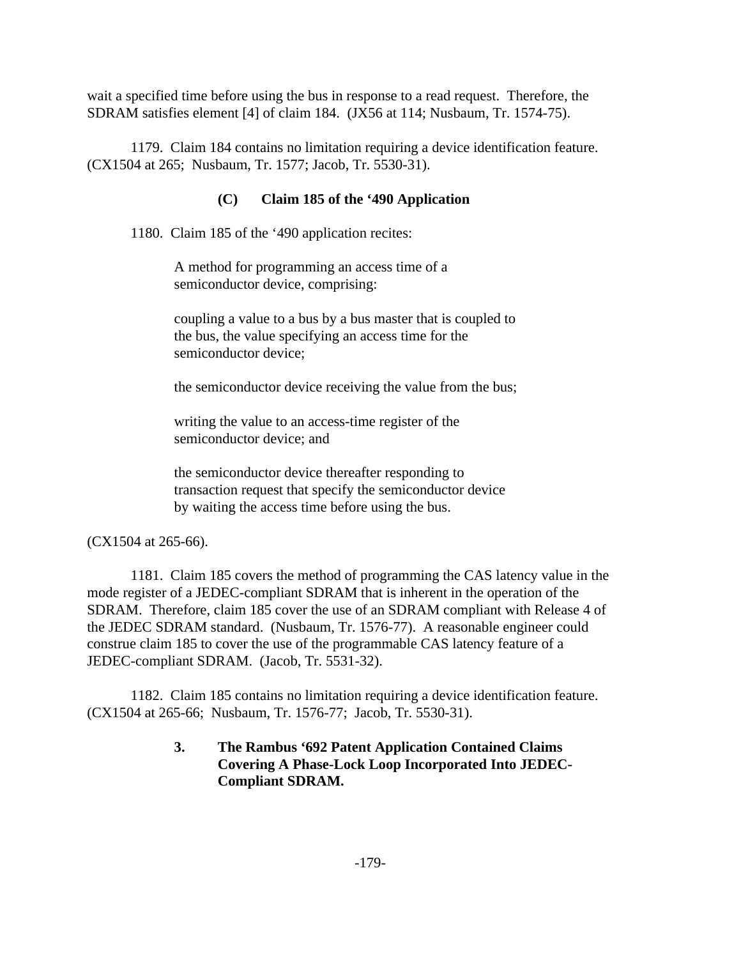wait a specified time before using the bus in response to a read request. Therefore, the SDRAM satisfies element [4] of claim 184. (JX56 at 114; Nusbaum, Tr. 1574-75).

1179. Claim 184 contains no limitation requiring a device identification feature. (CX1504 at 265; Nusbaum, Tr. 1577; Jacob, Tr. 5530-31).

## **(C) Claim 185 of the '490 Application**

1180. Claim 185 of the '490 application recites:

A method for programming an access time of a semiconductor device, comprising:

coupling a value to a bus by a bus master that is coupled to the bus, the value specifying an access time for the semiconductor device;

the semiconductor device receiving the value from the bus;

writing the value to an access-time register of the semiconductor device; and

the semiconductor device thereafter responding to transaction request that specify the semiconductor device by waiting the access time before using the bus.

(CX1504 at 265-66).

1181. Claim 185 covers the method of programming the CAS latency value in the mode register of a JEDEC-compliant SDRAM that is inherent in the operation of the SDRAM. Therefore, claim 185 cover the use of an SDRAM compliant with Release 4 of the JEDEC SDRAM standard. (Nusbaum, Tr. 1576-77). A reasonable engineer could construe claim 185 to cover the use of the programmable CAS latency feature of a JEDEC-compliant SDRAM. (Jacob, Tr. 5531-32).

1182. Claim 185 contains no limitation requiring a device identification feature. (CX1504 at 265-66; Nusbaum, Tr. 1576-77; Jacob, Tr. 5530-31).

# **3. The Rambus '692 Patent Application Contained Claims Covering A Phase-Lock Loop Incorporated Into JEDEC-Compliant SDRAM.**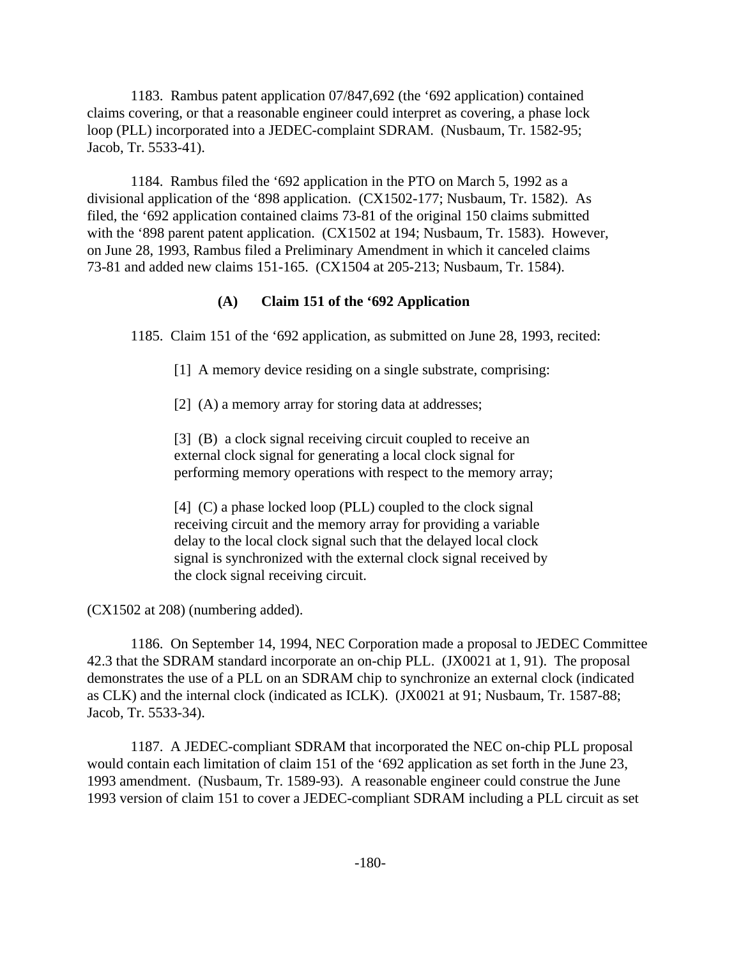1183. Rambus patent application 07/847,692 (the '692 application) contained claims covering, or that a reasonable engineer could interpret as covering, a phase lock loop (PLL) incorporated into a JEDEC-complaint SDRAM. (Nusbaum, Tr. 1582-95; Jacob, Tr. 5533-41).

1184. Rambus filed the '692 application in the PTO on March 5, 1992 as a divisional application of the '898 application. (CX1502-177; Nusbaum, Tr. 1582). As filed, the '692 application contained claims 73-81 of the original 150 claims submitted with the '898 parent patent application. (CX1502 at 194; Nusbaum, Tr. 1583). However, on June 28, 1993, Rambus filed a Preliminary Amendment in which it canceled claims 73-81 and added new claims 151-165. (CX1504 at 205-213; Nusbaum, Tr. 1584).

### **(A) Claim 151 of the '692 Application**

1185. Claim 151 of the '692 application, as submitted on June 28, 1993, recited:

[1] A memory device residing on a single substrate, comprising:

[2] (A) a memory array for storing data at addresses;

[3] (B) a clock signal receiving circuit coupled to receive an external clock signal for generating a local clock signal for performing memory operations with respect to the memory array;

[4] (C) a phase locked loop (PLL) coupled to the clock signal receiving circuit and the memory array for providing a variable delay to the local clock signal such that the delayed local clock signal is synchronized with the external clock signal received by the clock signal receiving circuit.

(CX1502 at 208) (numbering added).

1186. On September 14, 1994, NEC Corporation made a proposal to JEDEC Committee 42.3 that the SDRAM standard incorporate an on-chip PLL. (JX0021 at 1, 91). The proposal demonstrates the use of a PLL on an SDRAM chip to synchronize an external clock (indicated as CLK) and the internal clock (indicated as ICLK). (JX0021 at 91; Nusbaum, Tr. 1587-88; Jacob, Tr. 5533-34).

1187. A JEDEC-compliant SDRAM that incorporated the NEC on-chip PLL proposal would contain each limitation of claim 151 of the '692 application as set forth in the June 23, 1993 amendment. (Nusbaum, Tr. 1589-93). A reasonable engineer could construe the June 1993 version of claim 151 to cover a JEDEC-compliant SDRAM including a PLL circuit as set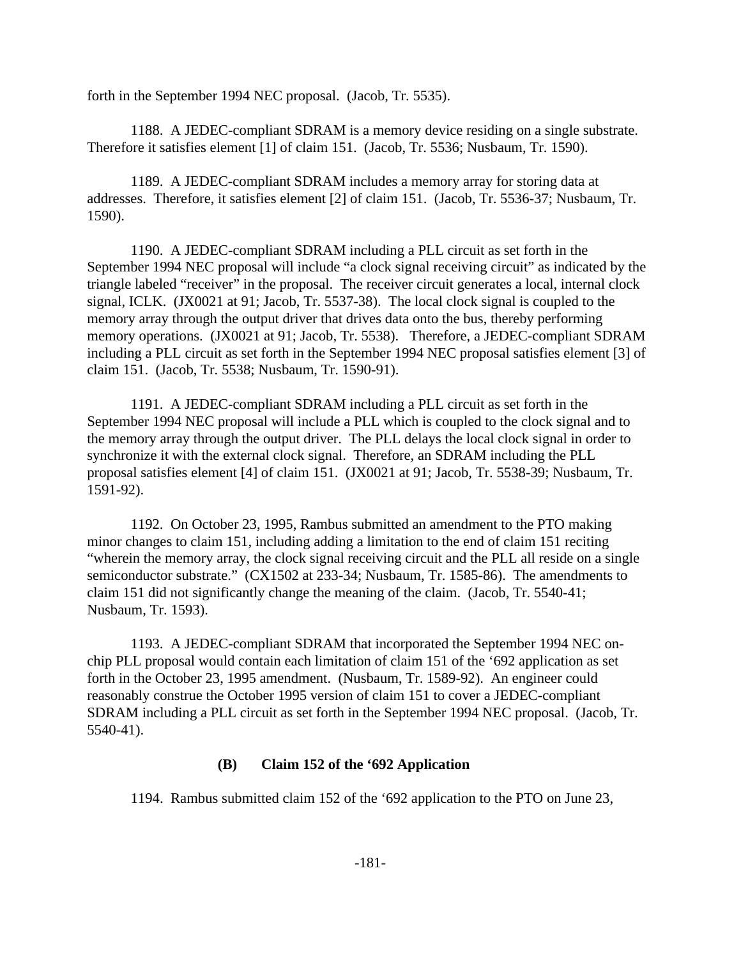forth in the September 1994 NEC proposal. (Jacob, Tr. 5535).

1188. A JEDEC-compliant SDRAM is a memory device residing on a single substrate. Therefore it satisfies element [1] of claim 151. (Jacob, Tr. 5536; Nusbaum, Tr. 1590).

1189. A JEDEC-compliant SDRAM includes a memory array for storing data at addresses. Therefore, it satisfies element [2] of claim 151. (Jacob, Tr. 5536-37; Nusbaum, Tr. 1590).

1190. A JEDEC-compliant SDRAM including a PLL circuit as set forth in the September 1994 NEC proposal will include "a clock signal receiving circuit" as indicated by the triangle labeled "receiver" in the proposal. The receiver circuit generates a local, internal clock signal, ICLK. (JX0021 at 91; Jacob, Tr. 5537-38). The local clock signal is coupled to the memory array through the output driver that drives data onto the bus, thereby performing memory operations. (JX0021 at 91; Jacob, Tr. 5538). Therefore, a JEDEC-compliant SDRAM including a PLL circuit as set forth in the September 1994 NEC proposal satisfies element [3] of claim 151. (Jacob, Tr. 5538; Nusbaum, Tr. 1590-91).

1191. A JEDEC-compliant SDRAM including a PLL circuit as set forth in the September 1994 NEC proposal will include a PLL which is coupled to the clock signal and to the memory array through the output driver. The PLL delays the local clock signal in order to synchronize it with the external clock signal. Therefore, an SDRAM including the PLL proposal satisfies element [4] of claim 151. (JX0021 at 91; Jacob, Tr. 5538-39; Nusbaum, Tr. 1591-92).

1192. On October 23, 1995, Rambus submitted an amendment to the PTO making minor changes to claim 151, including adding a limitation to the end of claim 151 reciting "wherein the memory array, the clock signal receiving circuit and the PLL all reside on a single semiconductor substrate." (CX1502 at 233-34; Nusbaum, Tr. 1585-86). The amendments to claim 151 did not significantly change the meaning of the claim. (Jacob, Tr. 5540-41; Nusbaum, Tr. 1593).

1193. A JEDEC-compliant SDRAM that incorporated the September 1994 NEC onchip PLL proposal would contain each limitation of claim 151 of the '692 application as set forth in the October 23, 1995 amendment. (Nusbaum, Tr. 1589-92). An engineer could reasonably construe the October 1995 version of claim 151 to cover a JEDEC-compliant SDRAM including a PLL circuit as set forth in the September 1994 NEC proposal. (Jacob, Tr. 5540-41).

# **(B) Claim 152 of the '692 Application**

1194. Rambus submitted claim 152 of the '692 application to the PTO on June 23,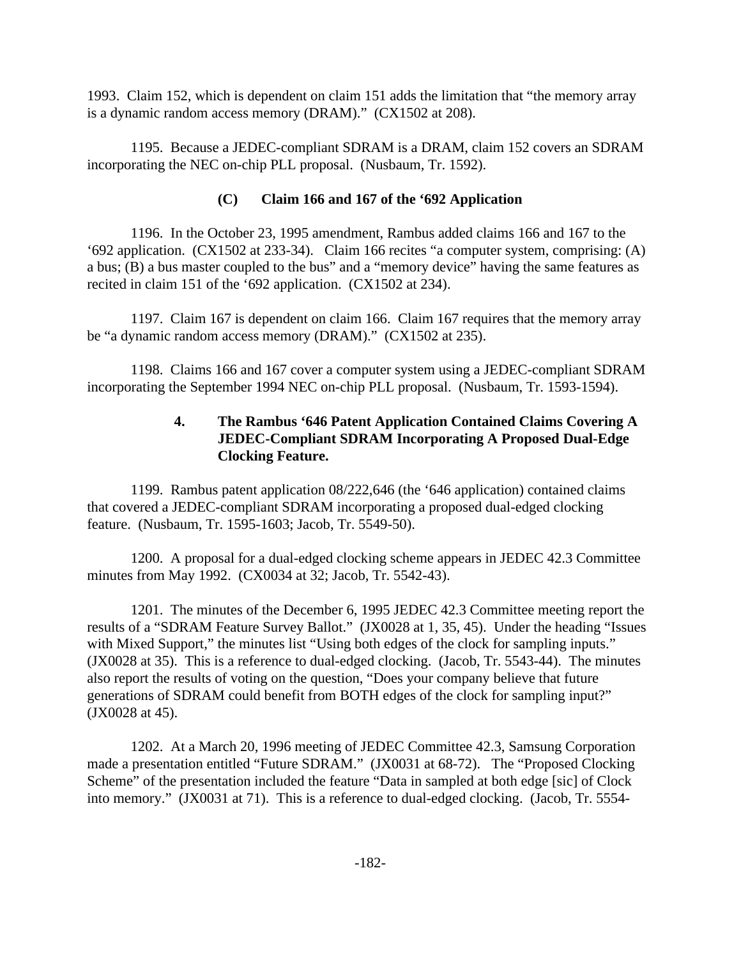1993. Claim 152, which is dependent on claim 151 adds the limitation that "the memory array is a dynamic random access memory (DRAM)." (CX1502 at 208).

1195. Because a JEDEC-compliant SDRAM is a DRAM, claim 152 covers an SDRAM incorporating the NEC on-chip PLL proposal. (Nusbaum, Tr. 1592).

# **(C) Claim 166 and 167 of the '692 Application**

1196. In the October 23, 1995 amendment, Rambus added claims 166 and 167 to the '692 application. (CX1502 at 233-34). Claim 166 recites "a computer system, comprising: (A) a bus; (B) a bus master coupled to the bus" and a "memory device" having the same features as recited in claim 151 of the '692 application. (CX1502 at 234).

1197. Claim 167 is dependent on claim 166. Claim 167 requires that the memory array be "a dynamic random access memory (DRAM)." (CX1502 at 235).

1198. Claims 166 and 167 cover a computer system using a JEDEC-compliant SDRAM incorporating the September 1994 NEC on-chip PLL proposal. (Nusbaum, Tr. 1593-1594).

# **4. The Rambus '646 Patent Application Contained Claims Covering A JEDEC-Compliant SDRAM Incorporating A Proposed Dual-Edge Clocking Feature.**

1199. Rambus patent application 08/222,646 (the '646 application) contained claims that covered a JEDEC-compliant SDRAM incorporating a proposed dual-edged clocking feature. (Nusbaum, Tr. 1595-1603; Jacob, Tr. 5549-50).

1200. A proposal for a dual-edged clocking scheme appears in JEDEC 42.3 Committee minutes from May 1992. (CX0034 at 32; Jacob, Tr. 5542-43).

1201. The minutes of the December 6, 1995 JEDEC 42.3 Committee meeting report the results of a "SDRAM Feature Survey Ballot." (JX0028 at 1, 35, 45). Under the heading "Issues with Mixed Support," the minutes list "Using both edges of the clock for sampling inputs." (JX0028 at 35). This is a reference to dual-edged clocking. (Jacob, Tr. 5543-44). The minutes also report the results of voting on the question, "Does your company believe that future generations of SDRAM could benefit from BOTH edges of the clock for sampling input?" (JX0028 at 45).

1202. At a March 20, 1996 meeting of JEDEC Committee 42.3, Samsung Corporation made a presentation entitled "Future SDRAM." (JX0031 at 68-72). The "Proposed Clocking Scheme" of the presentation included the feature "Data in sampled at both edge [sic] of Clock into memory." (JX0031 at 71). This is a reference to dual-edged clocking. (Jacob, Tr. 5554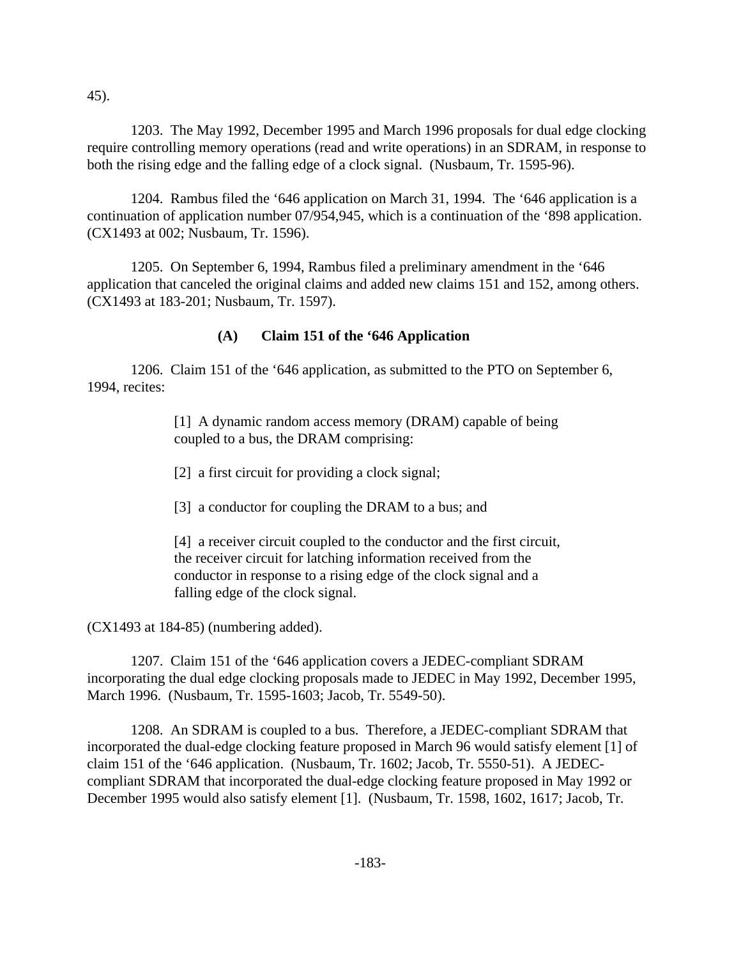45).

1203. The May 1992, December 1995 and March 1996 proposals for dual edge clocking require controlling memory operations (read and write operations) in an SDRAM, in response to both the rising edge and the falling edge of a clock signal. (Nusbaum, Tr. 1595-96).

1204. Rambus filed the '646 application on March 31, 1994. The '646 application is a continuation of application number 07/954,945, which is a continuation of the '898 application. (CX1493 at 002; Nusbaum, Tr. 1596).

1205. On September 6, 1994, Rambus filed a preliminary amendment in the '646 application that canceled the original claims and added new claims 151 and 152, among others. (CX1493 at 183-201; Nusbaum, Tr. 1597).

### **(A) Claim 151 of the '646 Application**

1206. Claim 151 of the '646 application, as submitted to the PTO on September 6, 1994, recites:

> [1] A dynamic random access memory (DRAM) capable of being coupled to a bus, the DRAM comprising:

[2] a first circuit for providing a clock signal;

[3] a conductor for coupling the DRAM to a bus; and

[4] a receiver circuit coupled to the conductor and the first circuit, the receiver circuit for latching information received from the conductor in response to a rising edge of the clock signal and a falling edge of the clock signal.

(CX1493 at 184-85) (numbering added).

1207. Claim 151 of the '646 application covers a JEDEC-compliant SDRAM incorporating the dual edge clocking proposals made to JEDEC in May 1992, December 1995, March 1996. (Nusbaum, Tr. 1595-1603; Jacob, Tr. 5549-50).

1208. An SDRAM is coupled to a bus. Therefore, a JEDEC-compliant SDRAM that incorporated the dual-edge clocking feature proposed in March 96 would satisfy element [1] of claim 151 of the '646 application. (Nusbaum, Tr. 1602; Jacob, Tr. 5550-51). A JEDECcompliant SDRAM that incorporated the dual-edge clocking feature proposed in May 1992 or December 1995 would also satisfy element [1]. (Nusbaum, Tr. 1598, 1602, 1617; Jacob, Tr.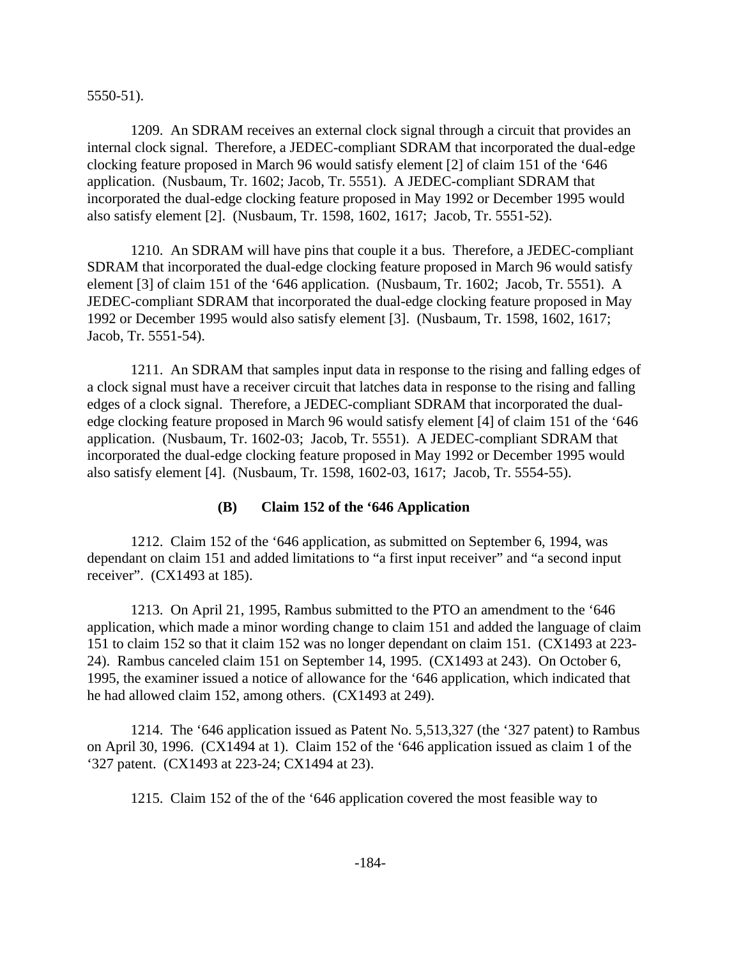5550-51).

1209. An SDRAM receives an external clock signal through a circuit that provides an internal clock signal. Therefore, a JEDEC-compliant SDRAM that incorporated the dual-edge clocking feature proposed in March 96 would satisfy element [2] of claim 151 of the '646 application. (Nusbaum, Tr. 1602; Jacob, Tr. 5551). A JEDEC-compliant SDRAM that incorporated the dual-edge clocking feature proposed in May 1992 or December 1995 would also satisfy element [2]. (Nusbaum, Tr. 1598, 1602, 1617; Jacob, Tr. 5551-52).

1210. An SDRAM will have pins that couple it a bus. Therefore, a JEDEC-compliant SDRAM that incorporated the dual-edge clocking feature proposed in March 96 would satisfy element [3] of claim 151 of the '646 application. (Nusbaum, Tr. 1602; Jacob, Tr. 5551). A JEDEC-compliant SDRAM that incorporated the dual-edge clocking feature proposed in May 1992 or December 1995 would also satisfy element [3]. (Nusbaum, Tr. 1598, 1602, 1617; Jacob, Tr. 5551-54).

1211. An SDRAM that samples input data in response to the rising and falling edges of a clock signal must have a receiver circuit that latches data in response to the rising and falling edges of a clock signal. Therefore, a JEDEC-compliant SDRAM that incorporated the dualedge clocking feature proposed in March 96 would satisfy element [4] of claim 151 of the '646 application. (Nusbaum, Tr. 1602-03; Jacob, Tr. 5551). A JEDEC-compliant SDRAM that incorporated the dual-edge clocking feature proposed in May 1992 or December 1995 would also satisfy element [4]. (Nusbaum, Tr. 1598, 1602-03, 1617; Jacob, Tr. 5554-55).

#### **(B) Claim 152 of the '646 Application**

1212. Claim 152 of the '646 application, as submitted on September 6, 1994, was dependant on claim 151 and added limitations to "a first input receiver" and "a second input receiver". (CX1493 at 185).

1213. On April 21, 1995, Rambus submitted to the PTO an amendment to the '646 application, which made a minor wording change to claim 151 and added the language of claim 151 to claim 152 so that it claim 152 was no longer dependant on claim 151. (CX1493 at 223- 24). Rambus canceled claim 151 on September 14, 1995. (CX1493 at 243). On October 6, 1995, the examiner issued a notice of allowance for the '646 application, which indicated that he had allowed claim 152, among others. (CX1493 at 249).

1214. The '646 application issued as Patent No. 5,513,327 (the '327 patent) to Rambus on April 30, 1996. (CX1494 at 1). Claim 152 of the '646 application issued as claim 1 of the '327 patent. (CX1493 at 223-24; CX1494 at 23).

1215. Claim 152 of the of the '646 application covered the most feasible way to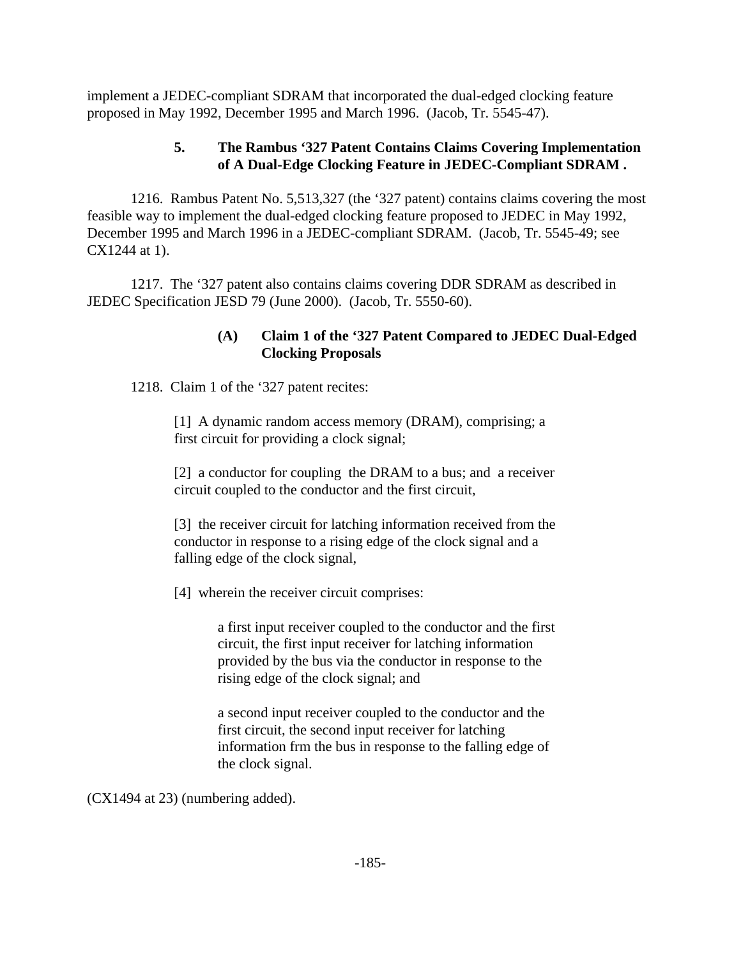implement a JEDEC-compliant SDRAM that incorporated the dual-edged clocking feature proposed in May 1992, December 1995 and March 1996. (Jacob, Tr. 5545-47).

# **5. The Rambus '327 Patent Contains Claims Covering Implementation of A Dual-Edge Clocking Feature in JEDEC-Compliant SDRAM .**

1216. Rambus Patent No. 5,513,327 (the '327 patent) contains claims covering the most feasible way to implement the dual-edged clocking feature proposed to JEDEC in May 1992, December 1995 and March 1996 in a JEDEC-compliant SDRAM. (Jacob, Tr. 5545-49; see CX1244 at 1).

1217. The '327 patent also contains claims covering DDR SDRAM as described in JEDEC Specification JESD 79 (June 2000). (Jacob, Tr. 5550-60).

# **(A) Claim 1 of the '327 Patent Compared to JEDEC Dual-Edged Clocking Proposals**

1218. Claim 1 of the '327 patent recites:

[1] A dynamic random access memory (DRAM), comprising; a first circuit for providing a clock signal;

[2] a conductor for coupling the DRAM to a bus; and a receiver circuit coupled to the conductor and the first circuit,

[3] the receiver circuit for latching information received from the conductor in response to a rising edge of the clock signal and a falling edge of the clock signal,

[4] wherein the receiver circuit comprises:

a first input receiver coupled to the conductor and the first circuit, the first input receiver for latching information provided by the bus via the conductor in response to the rising edge of the clock signal; and

a second input receiver coupled to the conductor and the first circuit, the second input receiver for latching information frm the bus in response to the falling edge of the clock signal.

(CX1494 at 23) (numbering added).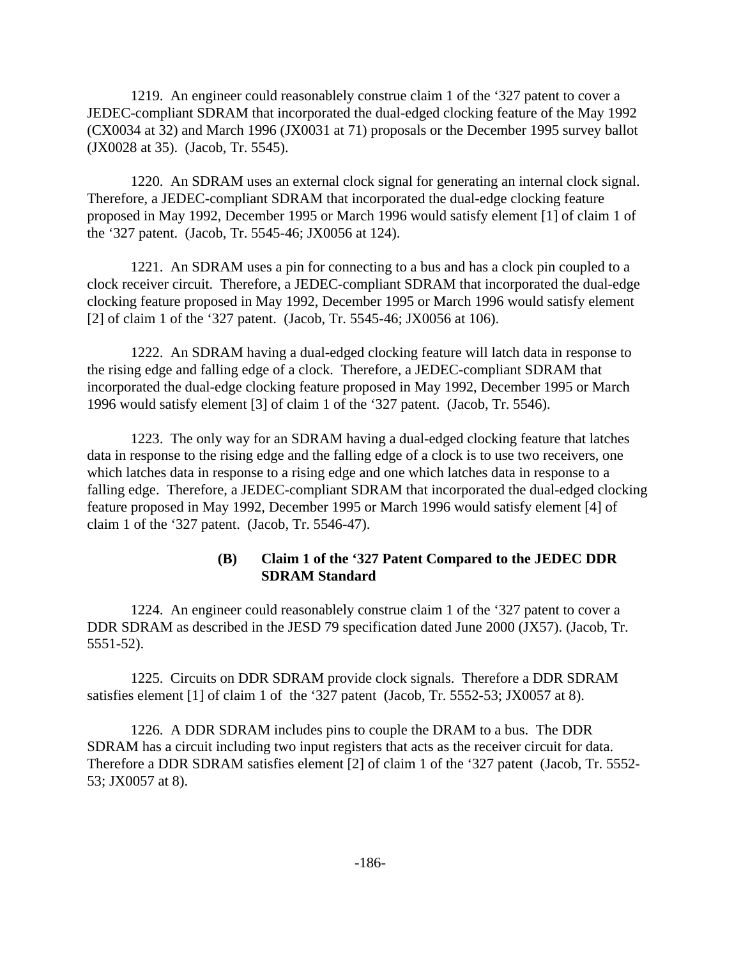1219. An engineer could reasonablely construe claim 1 of the '327 patent to cover a JEDEC-compliant SDRAM that incorporated the dual-edged clocking feature of the May 1992 (CX0034 at 32) and March 1996 (JX0031 at 71) proposals or the December 1995 survey ballot (JX0028 at 35). (Jacob, Tr. 5545).

1220. An SDRAM uses an external clock signal for generating an internal clock signal. Therefore, a JEDEC-compliant SDRAM that incorporated the dual-edge clocking feature proposed in May 1992, December 1995 or March 1996 would satisfy element [1] of claim 1 of the '327 patent. (Jacob, Tr. 5545-46; JX0056 at 124).

1221. An SDRAM uses a pin for connecting to a bus and has a clock pin coupled to a clock receiver circuit. Therefore, a JEDEC-compliant SDRAM that incorporated the dual-edge clocking feature proposed in May 1992, December 1995 or March 1996 would satisfy element [2] of claim 1 of the '327 patent. (Jacob, Tr. 5545-46; JX0056 at 106).

1222. An SDRAM having a dual-edged clocking feature will latch data in response to the rising edge and falling edge of a clock. Therefore, a JEDEC-compliant SDRAM that incorporated the dual-edge clocking feature proposed in May 1992, December 1995 or March 1996 would satisfy element [3] of claim 1 of the '327 patent. (Jacob, Tr. 5546).

1223. The only way for an SDRAM having a dual-edged clocking feature that latches data in response to the rising edge and the falling edge of a clock is to use two receivers, one which latches data in response to a rising edge and one which latches data in response to a falling edge. Therefore, a JEDEC-compliant SDRAM that incorporated the dual-edged clocking feature proposed in May 1992, December 1995 or March 1996 would satisfy element [4] of claim 1 of the '327 patent. (Jacob, Tr. 5546-47).

## **(B) Claim 1 of the '327 Patent Compared to the JEDEC DDR SDRAM Standard**

1224. An engineer could reasonablely construe claim 1 of the '327 patent to cover a DDR SDRAM as described in the JESD 79 specification dated June 2000 (JX57). (Jacob, Tr. 5551-52).

1225. Circuits on DDR SDRAM provide clock signals. Therefore a DDR SDRAM satisfies element [1] of claim 1 of the '327 patent (Jacob, Tr. 5552-53; JX0057 at 8).

1226. A DDR SDRAM includes pins to couple the DRAM to a bus. The DDR SDRAM has a circuit including two input registers that acts as the receiver circuit for data. Therefore a DDR SDRAM satisfies element [2] of claim 1 of the '327 patent (Jacob, Tr. 5552- 53; JX0057 at 8).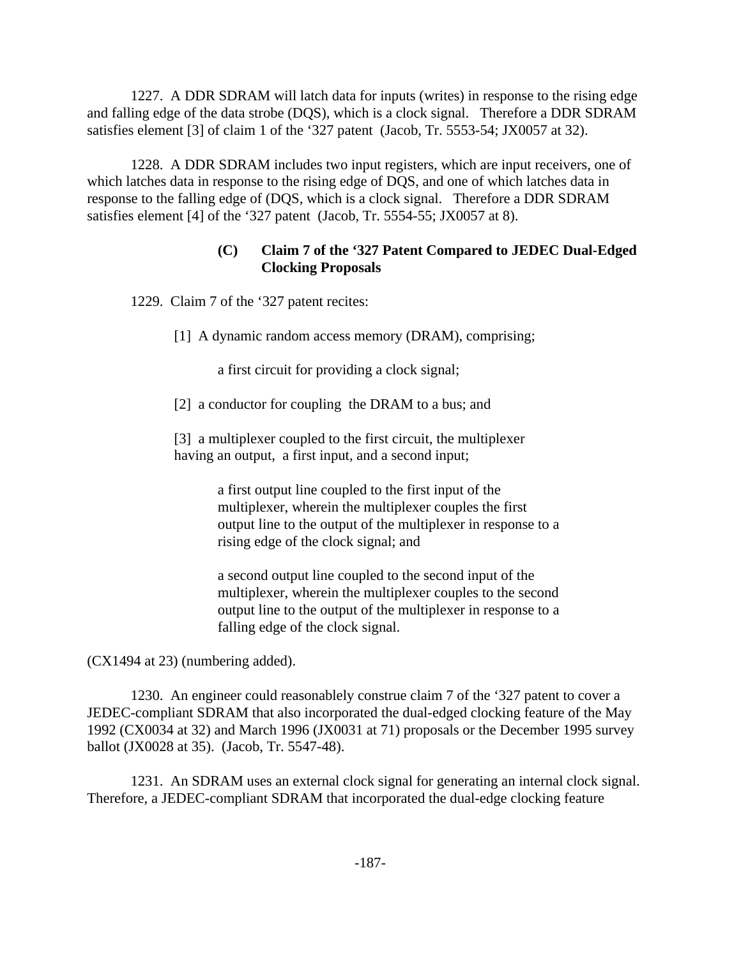1227. A DDR SDRAM will latch data for inputs (writes) in response to the rising edge and falling edge of the data strobe (DQS), which is a clock signal. Therefore a DDR SDRAM satisfies element [3] of claim 1 of the '327 patent (Jacob, Tr. 5553-54; JX0057 at 32).

1228. A DDR SDRAM includes two input registers, which are input receivers, one of which latches data in response to the rising edge of DQS, and one of which latches data in response to the falling edge of (DQS, which is a clock signal. Therefore a DDR SDRAM satisfies element [4] of the '327 patent (Jacob, Tr. 5554-55; JX0057 at 8).

# **(C) Claim 7 of the '327 Patent Compared to JEDEC Dual-Edged Clocking Proposals**

1229. Claim 7 of the '327 patent recites:

[1] A dynamic random access memory (DRAM), comprising;

a first circuit for providing a clock signal;

[2] a conductor for coupling the DRAM to a bus; and

[3] a multiplexer coupled to the first circuit, the multiplexer having an output, a first input, and a second input;

> a first output line coupled to the first input of the multiplexer, wherein the multiplexer couples the first output line to the output of the multiplexer in response to a rising edge of the clock signal; and

> a second output line coupled to the second input of the multiplexer, wherein the multiplexer couples to the second output line to the output of the multiplexer in response to a falling edge of the clock signal.

(CX1494 at 23) (numbering added).

1230. An engineer could reasonablely construe claim 7 of the '327 patent to cover a JEDEC-compliant SDRAM that also incorporated the dual-edged clocking feature of the May 1992 (CX0034 at 32) and March 1996 (JX0031 at 71) proposals or the December 1995 survey ballot (JX0028 at 35). (Jacob, Tr. 5547-48).

1231. An SDRAM uses an external clock signal for generating an internal clock signal. Therefore, a JEDEC-compliant SDRAM that incorporated the dual-edge clocking feature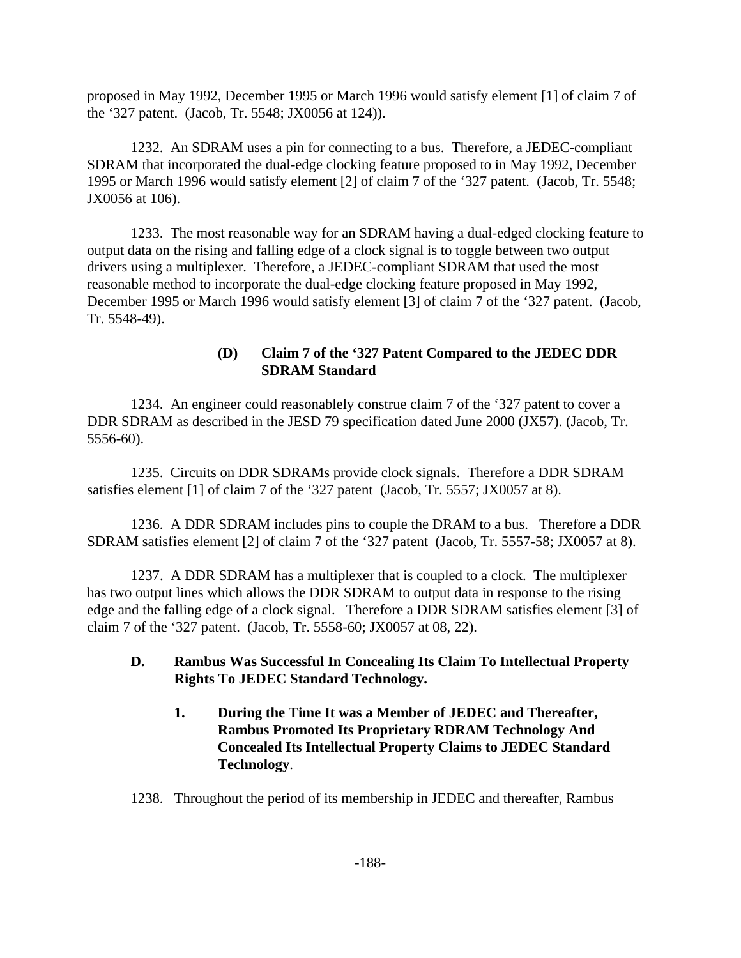proposed in May 1992, December 1995 or March 1996 would satisfy element [1] of claim 7 of the '327 patent. (Jacob, Tr. 5548; JX0056 at 124)).

1232. An SDRAM uses a pin for connecting to a bus. Therefore, a JEDEC-compliant SDRAM that incorporated the dual-edge clocking feature proposed to in May 1992, December 1995 or March 1996 would satisfy element [2] of claim 7 of the '327 patent. (Jacob, Tr. 5548; JX0056 at 106).

1233. The most reasonable way for an SDRAM having a dual-edged clocking feature to output data on the rising and falling edge of a clock signal is to toggle between two output drivers using a multiplexer. Therefore, a JEDEC-compliant SDRAM that used the most reasonable method to incorporate the dual-edge clocking feature proposed in May 1992, December 1995 or March 1996 would satisfy element [3] of claim 7 of the '327 patent. (Jacob, Tr. 5548-49).

# **(D) Claim 7 of the '327 Patent Compared to the JEDEC DDR SDRAM Standard**

1234. An engineer could reasonablely construe claim 7 of the '327 patent to cover a DDR SDRAM as described in the JESD 79 specification dated June 2000 (JX57). (Jacob, Tr. 5556-60).

1235. Circuits on DDR SDRAMs provide clock signals. Therefore a DDR SDRAM satisfies element [1] of claim 7 of the '327 patent (Jacob, Tr. 5557; JX0057 at 8).

1236. A DDR SDRAM includes pins to couple the DRAM to a bus. Therefore a DDR SDRAM satisfies element [2] of claim 7 of the '327 patent (Jacob, Tr. 5557-58; JX0057 at 8).

1237. A DDR SDRAM has a multiplexer that is coupled to a clock. The multiplexer has two output lines which allows the DDR SDRAM to output data in response to the rising edge and the falling edge of a clock signal. Therefore a DDR SDRAM satisfies element [3] of claim 7 of the '327 patent. (Jacob, Tr. 5558-60; JX0057 at 08, 22).

# **D. Rambus Was Successful In Concealing Its Claim To Intellectual Property Rights To JEDEC Standard Technology.**

**1. During the Time It was a Member of JEDEC and Thereafter, Rambus Promoted Its Proprietary RDRAM Technology And Concealed Its Intellectual Property Claims to JEDEC Standard Technology**.

1238. Throughout the period of its membership in JEDEC and thereafter, Rambus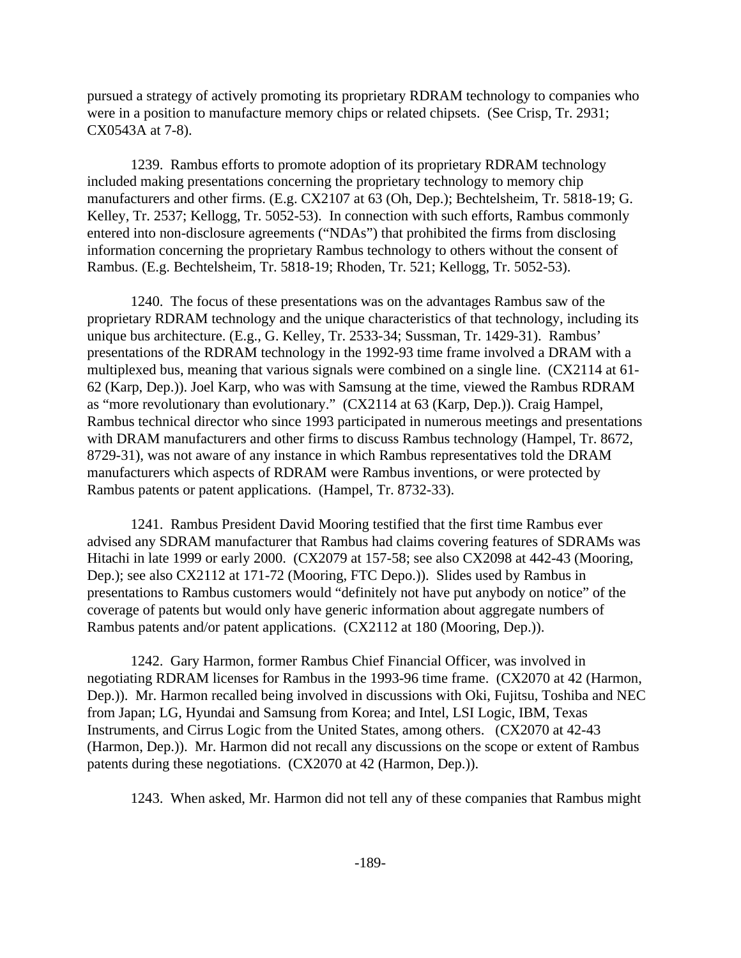pursued a strategy of actively promoting its proprietary RDRAM technology to companies who were in a position to manufacture memory chips or related chipsets. (See Crisp, Tr. 2931; CX0543A at 7-8).

1239. Rambus efforts to promote adoption of its proprietary RDRAM technology included making presentations concerning the proprietary technology to memory chip manufacturers and other firms. (E.g. CX2107 at 63 (Oh, Dep.); Bechtelsheim, Tr. 5818-19; G. Kelley, Tr. 2537; Kellogg, Tr. 5052-53). In connection with such efforts, Rambus commonly entered into non-disclosure agreements ("NDAs") that prohibited the firms from disclosing information concerning the proprietary Rambus technology to others without the consent of Rambus. (E.g. Bechtelsheim, Tr. 5818-19; Rhoden, Tr. 521; Kellogg, Tr. 5052-53).

1240. The focus of these presentations was on the advantages Rambus saw of the proprietary RDRAM technology and the unique characteristics of that technology, including its unique bus architecture. (E.g., G. Kelley, Tr. 2533-34; Sussman, Tr. 1429-31). Rambus' presentations of the RDRAM technology in the 1992-93 time frame involved a DRAM with a multiplexed bus, meaning that various signals were combined on a single line. (CX2114 at 61- 62 (Karp, Dep.)). Joel Karp, who was with Samsung at the time, viewed the Rambus RDRAM as "more revolutionary than evolutionary." (CX2114 at 63 (Karp, Dep.)). Craig Hampel, Rambus technical director who since 1993 participated in numerous meetings and presentations with DRAM manufacturers and other firms to discuss Rambus technology (Hampel, Tr. 8672, 8729-31), was not aware of any instance in which Rambus representatives told the DRAM manufacturers which aspects of RDRAM were Rambus inventions, or were protected by Rambus patents or patent applications. (Hampel, Tr. 8732-33).

1241. Rambus President David Mooring testified that the first time Rambus ever advised any SDRAM manufacturer that Rambus had claims covering features of SDRAMs was Hitachi in late 1999 or early 2000. (CX2079 at 157-58; see also CX2098 at 442-43 (Mooring, Dep.); see also CX2112 at 171-72 (Mooring, FTC Depo.)). Slides used by Rambus in presentations to Rambus customers would "definitely not have put anybody on notice" of the coverage of patents but would only have generic information about aggregate numbers of Rambus patents and/or patent applications. (CX2112 at 180 (Mooring, Dep.)).

1242. Gary Harmon, former Rambus Chief Financial Officer, was involved in negotiating RDRAM licenses for Rambus in the 1993-96 time frame. (CX2070 at 42 (Harmon, Dep.)). Mr. Harmon recalled being involved in discussions with Oki, Fujitsu, Toshiba and NEC from Japan; LG, Hyundai and Samsung from Korea; and Intel, LSI Logic, IBM, Texas Instruments, and Cirrus Logic from the United States, among others. (CX2070 at 42-43 (Harmon, Dep.)). Mr. Harmon did not recall any discussions on the scope or extent of Rambus patents during these negotiations. (CX2070 at 42 (Harmon, Dep.)).

1243. When asked, Mr. Harmon did not tell any of these companies that Rambus might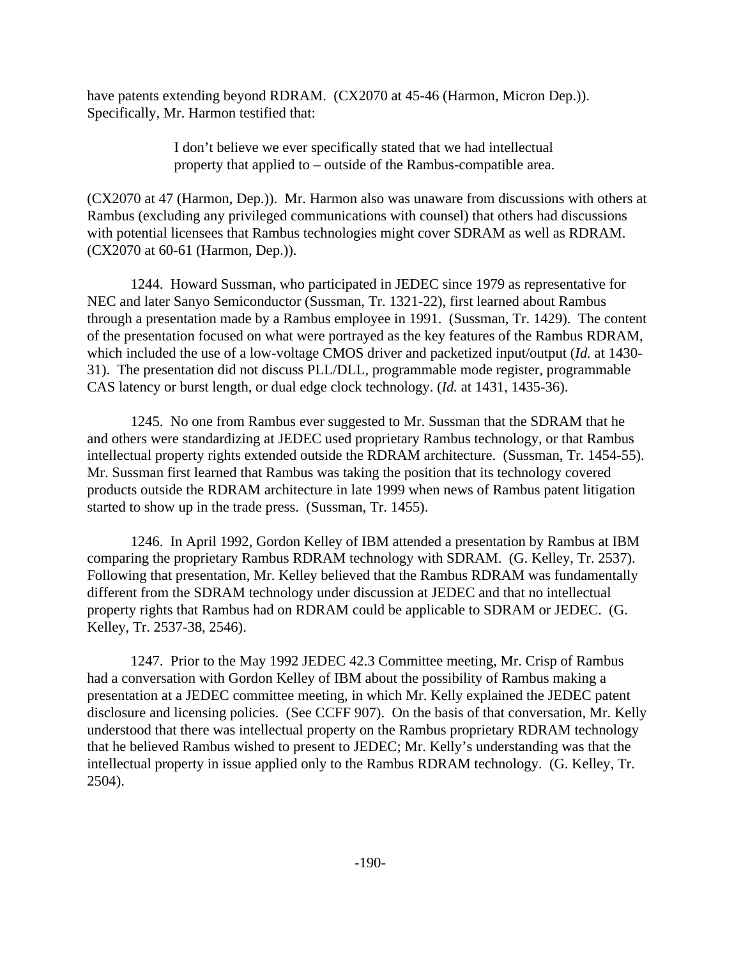have patents extending beyond RDRAM. (CX2070 at 45-46 (Harmon, Micron Dep.)). Specifically, Mr. Harmon testified that:

> I don't believe we ever specifically stated that we had intellectual property that applied to – outside of the Rambus-compatible area.

(CX2070 at 47 (Harmon, Dep.)). Mr. Harmon also was unaware from discussions with others at Rambus (excluding any privileged communications with counsel) that others had discussions with potential licensees that Rambus technologies might cover SDRAM as well as RDRAM. (CX2070 at 60-61 (Harmon, Dep.)).

1244. Howard Sussman, who participated in JEDEC since 1979 as representative for NEC and later Sanyo Semiconductor (Sussman, Tr. 1321-22), first learned about Rambus through a presentation made by a Rambus employee in 1991. (Sussman, Tr. 1429). The content of the presentation focused on what were portrayed as the key features of the Rambus RDRAM, which included the use of a low-voltage CMOS driver and packetized input/output (*Id.* at 1430- 31). The presentation did not discuss PLL/DLL, programmable mode register, programmable CAS latency or burst length, or dual edge clock technology. (*Id.* at 1431, 1435-36).

1245. No one from Rambus ever suggested to Mr. Sussman that the SDRAM that he and others were standardizing at JEDEC used proprietary Rambus technology, or that Rambus intellectual property rights extended outside the RDRAM architecture. (Sussman, Tr. 1454-55). Mr. Sussman first learned that Rambus was taking the position that its technology covered products outside the RDRAM architecture in late 1999 when news of Rambus patent litigation started to show up in the trade press. (Sussman, Tr. 1455).

1246. In April 1992, Gordon Kelley of IBM attended a presentation by Rambus at IBM comparing the proprietary Rambus RDRAM technology with SDRAM. (G. Kelley, Tr. 2537). Following that presentation, Mr. Kelley believed that the Rambus RDRAM was fundamentally different from the SDRAM technology under discussion at JEDEC and that no intellectual property rights that Rambus had on RDRAM could be applicable to SDRAM or JEDEC. (G. Kelley, Tr. 2537-38, 2546).

1247. Prior to the May 1992 JEDEC 42.3 Committee meeting, Mr. Crisp of Rambus had a conversation with Gordon Kelley of IBM about the possibility of Rambus making a presentation at a JEDEC committee meeting, in which Mr. Kelly explained the JEDEC patent disclosure and licensing policies. (See CCFF 907). On the basis of that conversation, Mr. Kelly understood that there was intellectual property on the Rambus proprietary RDRAM technology that he believed Rambus wished to present to JEDEC; Mr. Kelly's understanding was that the intellectual property in issue applied only to the Rambus RDRAM technology. (G. Kelley, Tr. 2504).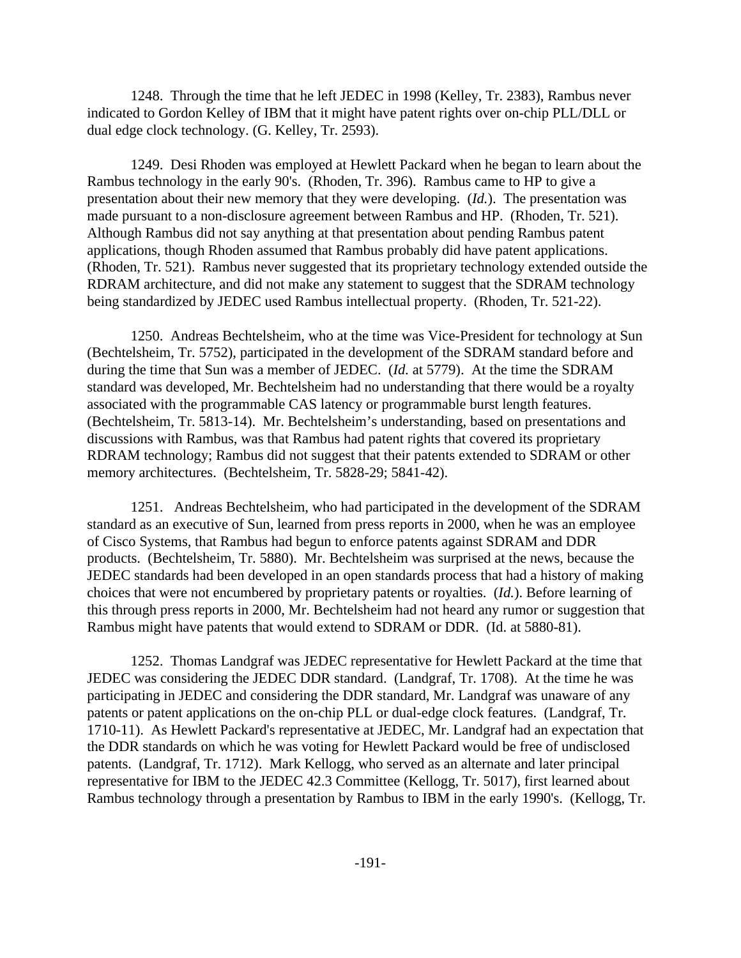1248. Through the time that he left JEDEC in 1998 (Kelley, Tr. 2383), Rambus never indicated to Gordon Kelley of IBM that it might have patent rights over on-chip PLL/DLL or dual edge clock technology. (G. Kelley, Tr. 2593).

1249. Desi Rhoden was employed at Hewlett Packard when he began to learn about the Rambus technology in the early 90's. (Rhoden, Tr. 396). Rambus came to HP to give a presentation about their new memory that they were developing. (*Id.*). The presentation was made pursuant to a non-disclosure agreement between Rambus and HP. (Rhoden, Tr. 521). Although Rambus did not say anything at that presentation about pending Rambus patent applications, though Rhoden assumed that Rambus probably did have patent applications. (Rhoden, Tr. 521). Rambus never suggested that its proprietary technology extended outside the RDRAM architecture, and did not make any statement to suggest that the SDRAM technology being standardized by JEDEC used Rambus intellectual property. (Rhoden, Tr. 521-22).

1250. Andreas Bechtelsheim, who at the time was Vice-President for technology at Sun (Bechtelsheim, Tr. 5752), participated in the development of the SDRAM standard before and during the time that Sun was a member of JEDEC. (*Id.* at 5779). At the time the SDRAM standard was developed, Mr. Bechtelsheim had no understanding that there would be a royalty associated with the programmable CAS latency or programmable burst length features. (Bechtelsheim, Tr. 5813-14). Mr. Bechtelsheim's understanding, based on presentations and discussions with Rambus, was that Rambus had patent rights that covered its proprietary RDRAM technology; Rambus did not suggest that their patents extended to SDRAM or other memory architectures. (Bechtelsheim, Tr. 5828-29; 5841-42).

1251. Andreas Bechtelsheim, who had participated in the development of the SDRAM standard as an executive of Sun, learned from press reports in 2000, when he was an employee of Cisco Systems, that Rambus had begun to enforce patents against SDRAM and DDR products. (Bechtelsheim, Tr. 5880). Mr. Bechtelsheim was surprised at the news, because the JEDEC standards had been developed in an open standards process that had a history of making choices that were not encumbered by proprietary patents or royalties. (*Id.*). Before learning of this through press reports in 2000, Mr. Bechtelsheim had not heard any rumor or suggestion that Rambus might have patents that would extend to SDRAM or DDR. (Id. at 5880-81).

1252. Thomas Landgraf was JEDEC representative for Hewlett Packard at the time that JEDEC was considering the JEDEC DDR standard. (Landgraf, Tr. 1708). At the time he was participating in JEDEC and considering the DDR standard, Mr. Landgraf was unaware of any patents or patent applications on the on-chip PLL or dual-edge clock features. (Landgraf, Tr. 1710-11). As Hewlett Packard's representative at JEDEC, Mr. Landgraf had an expectation that the DDR standards on which he was voting for Hewlett Packard would be free of undisclosed patents. (Landgraf, Tr. 1712). Mark Kellogg, who served as an alternate and later principal representative for IBM to the JEDEC 42.3 Committee (Kellogg, Tr. 5017), first learned about Rambus technology through a presentation by Rambus to IBM in the early 1990's. (Kellogg, Tr.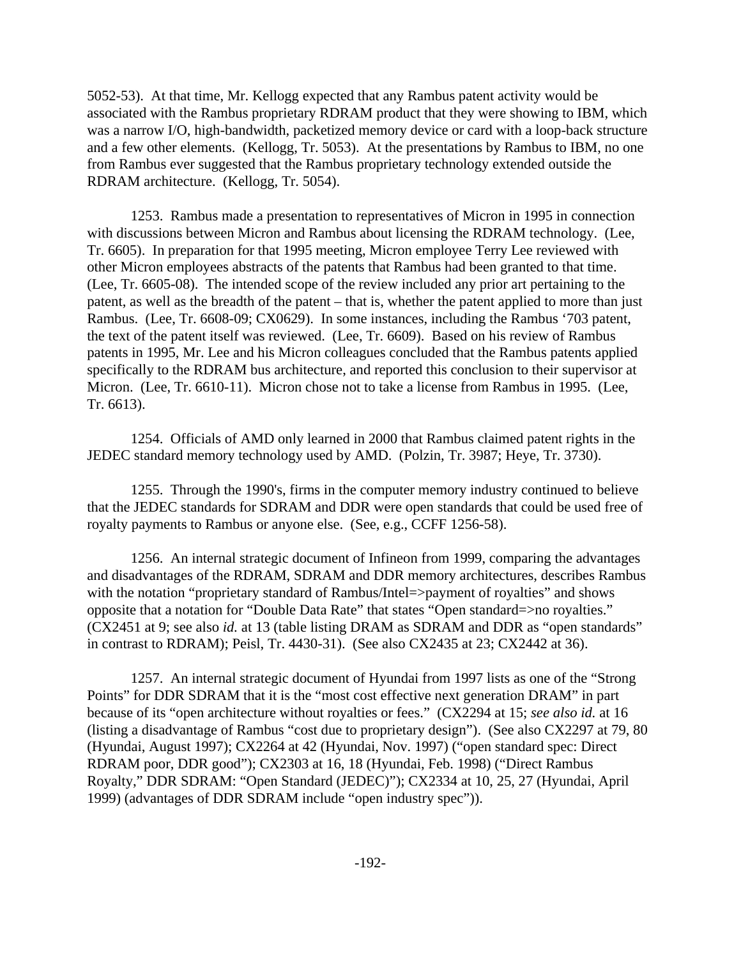5052-53). At that time, Mr. Kellogg expected that any Rambus patent activity would be associated with the Rambus proprietary RDRAM product that they were showing to IBM, which was a narrow I/O, high-bandwidth, packetized memory device or card with a loop-back structure and a few other elements. (Kellogg, Tr. 5053). At the presentations by Rambus to IBM, no one from Rambus ever suggested that the Rambus proprietary technology extended outside the RDRAM architecture. (Kellogg, Tr. 5054).

1253. Rambus made a presentation to representatives of Micron in 1995 in connection with discussions between Micron and Rambus about licensing the RDRAM technology. (Lee, Tr. 6605). In preparation for that 1995 meeting, Micron employee Terry Lee reviewed with other Micron employees abstracts of the patents that Rambus had been granted to that time. (Lee, Tr. 6605-08). The intended scope of the review included any prior art pertaining to the patent, as well as the breadth of the patent – that is, whether the patent applied to more than just Rambus. (Lee, Tr. 6608-09; CX0629). In some instances, including the Rambus '703 patent, the text of the patent itself was reviewed. (Lee, Tr. 6609). Based on his review of Rambus patents in 1995, Mr. Lee and his Micron colleagues concluded that the Rambus patents applied specifically to the RDRAM bus architecture, and reported this conclusion to their supervisor at Micron. (Lee, Tr. 6610-11). Micron chose not to take a license from Rambus in 1995. (Lee, Tr. 6613).

1254. Officials of AMD only learned in 2000 that Rambus claimed patent rights in the JEDEC standard memory technology used by AMD. (Polzin, Tr. 3987; Heye, Tr. 3730).

1255. Through the 1990's, firms in the computer memory industry continued to believe that the JEDEC standards for SDRAM and DDR were open standards that could be used free of royalty payments to Rambus or anyone else. (See, e.g., CCFF 1256-58).

1256. An internal strategic document of Infineon from 1999, comparing the advantages and disadvantages of the RDRAM, SDRAM and DDR memory architectures, describes Rambus with the notation "proprietary standard of Rambus/Intel=>payment of royalties" and shows opposite that a notation for "Double Data Rate" that states "Open standard=>no royalties." (CX2451 at 9; see also *id.* at 13 (table listing DRAM as SDRAM and DDR as "open standards" in contrast to RDRAM); Peisl, Tr. 4430-31). (See also CX2435 at 23; CX2442 at 36).

1257. An internal strategic document of Hyundai from 1997 lists as one of the "Strong Points" for DDR SDRAM that it is the "most cost effective next generation DRAM" in part because of its "open architecture without royalties or fees." (CX2294 at 15; *see also id.* at 16 (listing a disadvantage of Rambus "cost due to proprietary design"). (See also CX2297 at 79, 80 (Hyundai, August 1997); CX2264 at 42 (Hyundai, Nov. 1997) ("open standard spec: Direct RDRAM poor, DDR good"); CX2303 at 16, 18 (Hyundai, Feb. 1998) ("Direct Rambus Royalty," DDR SDRAM: "Open Standard (JEDEC)"); CX2334 at 10, 25, 27 (Hyundai, April 1999) (advantages of DDR SDRAM include "open industry spec")).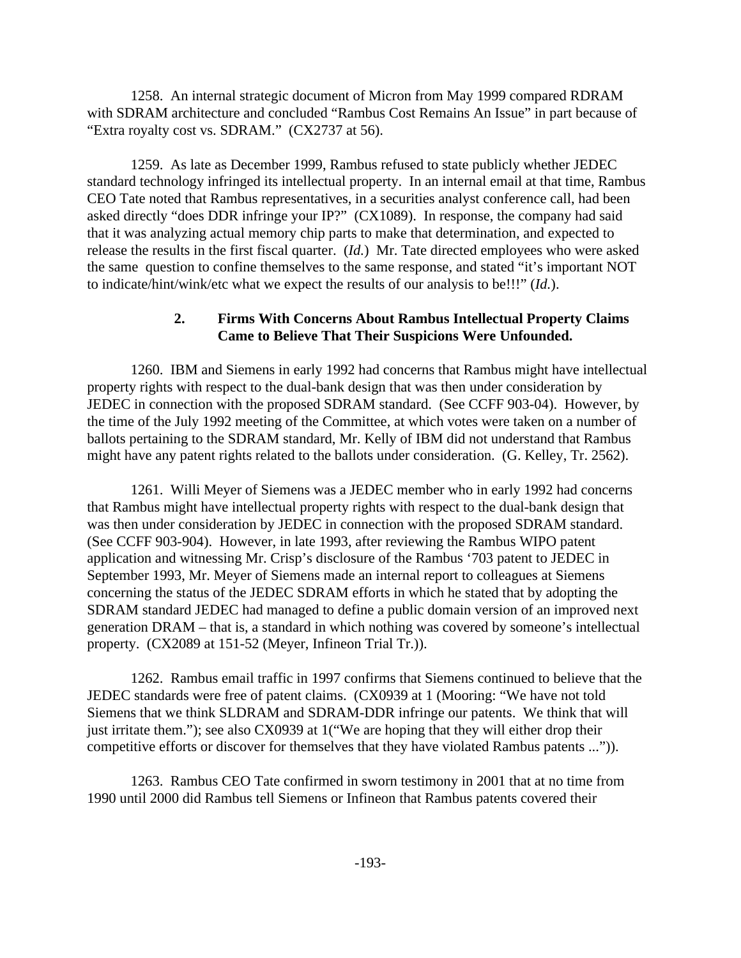1258. An internal strategic document of Micron from May 1999 compared RDRAM with SDRAM architecture and concluded "Rambus Cost Remains An Issue" in part because of "Extra royalty cost vs. SDRAM." (CX2737 at 56).

1259. As late as December 1999, Rambus refused to state publicly whether JEDEC standard technology infringed its intellectual property. In an internal email at that time, Rambus CEO Tate noted that Rambus representatives, in a securities analyst conference call, had been asked directly "does DDR infringe your IP?" (CX1089). In response, the company had said that it was analyzing actual memory chip parts to make that determination, and expected to release the results in the first fiscal quarter. (*Id.*) Mr. Tate directed employees who were asked the same question to confine themselves to the same response, and stated "it's important NOT to indicate/hint/wink/etc what we expect the results of our analysis to be!!!" (*Id.*).

## **2. Firms With Concerns About Rambus Intellectual Property Claims Came to Believe That Their Suspicions Were Unfounded.**

1260. IBM and Siemens in early 1992 had concerns that Rambus might have intellectual property rights with respect to the dual-bank design that was then under consideration by JEDEC in connection with the proposed SDRAM standard. (See CCFF 903-04). However, by the time of the July 1992 meeting of the Committee, at which votes were taken on a number of ballots pertaining to the SDRAM standard, Mr. Kelly of IBM did not understand that Rambus might have any patent rights related to the ballots under consideration. (G. Kelley, Tr. 2562).

1261. Willi Meyer of Siemens was a JEDEC member who in early 1992 had concerns that Rambus might have intellectual property rights with respect to the dual-bank design that was then under consideration by JEDEC in connection with the proposed SDRAM standard. (See CCFF 903-904). However, in late 1993, after reviewing the Rambus WIPO patent application and witnessing Mr. Crisp's disclosure of the Rambus '703 patent to JEDEC in September 1993, Mr. Meyer of Siemens made an internal report to colleagues at Siemens concerning the status of the JEDEC SDRAM efforts in which he stated that by adopting the SDRAM standard JEDEC had managed to define a public domain version of an improved next generation DRAM – that is, a standard in which nothing was covered by someone's intellectual property. (CX2089 at 151-52 (Meyer, Infineon Trial Tr.)).

1262. Rambus email traffic in 1997 confirms that Siemens continued to believe that the JEDEC standards were free of patent claims. (CX0939 at 1 (Mooring: "We have not told Siemens that we think SLDRAM and SDRAM-DDR infringe our patents. We think that will just irritate them."); see also CX0939 at 1("We are hoping that they will either drop their competitive efforts or discover for themselves that they have violated Rambus patents ...")).

1263. Rambus CEO Tate confirmed in sworn testimony in 2001 that at no time from 1990 until 2000 did Rambus tell Siemens or Infineon that Rambus patents covered their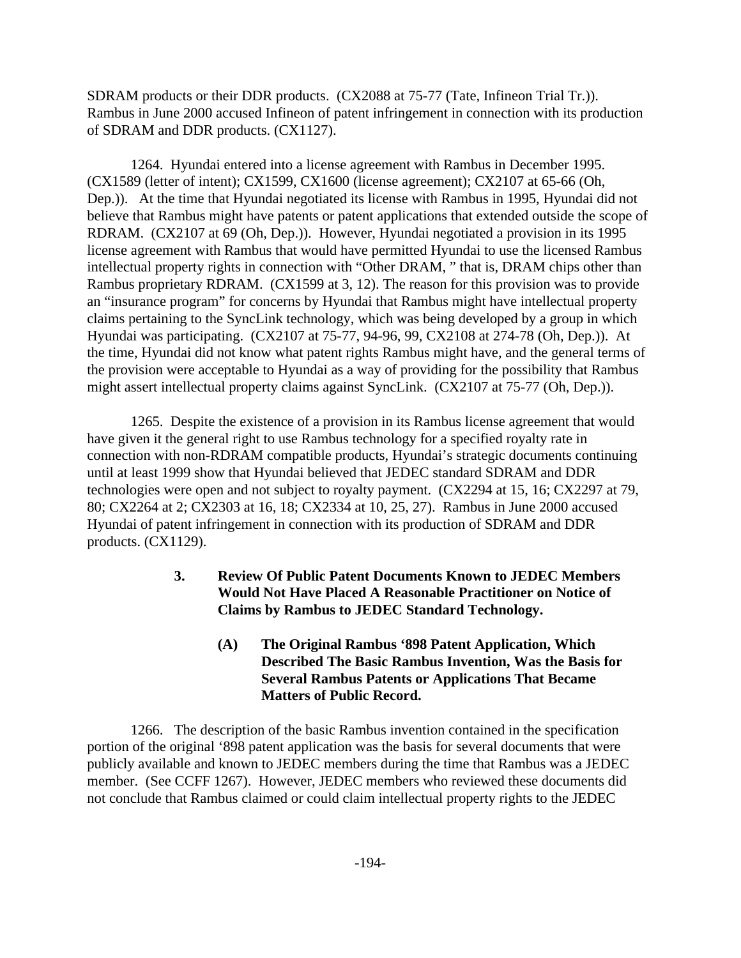SDRAM products or their DDR products. (CX2088 at 75-77 (Tate, Infineon Trial Tr.)). Rambus in June 2000 accused Infineon of patent infringement in connection with its production of SDRAM and DDR products. (CX1127).

1264. Hyundai entered into a license agreement with Rambus in December 1995. (CX1589 (letter of intent); CX1599, CX1600 (license agreement); CX2107 at 65-66 (Oh, Dep.)). At the time that Hyundai negotiated its license with Rambus in 1995, Hyundai did not believe that Rambus might have patents or patent applications that extended outside the scope of RDRAM. (CX2107 at 69 (Oh, Dep.)). However, Hyundai negotiated a provision in its 1995 license agreement with Rambus that would have permitted Hyundai to use the licensed Rambus intellectual property rights in connection with "Other DRAM, " that is, DRAM chips other than Rambus proprietary RDRAM. (CX1599 at 3, 12). The reason for this provision was to provide an "insurance program" for concerns by Hyundai that Rambus might have intellectual property claims pertaining to the SyncLink technology, which was being developed by a group in which Hyundai was participating. (CX2107 at 75-77, 94-96, 99, CX2108 at 274-78 (Oh, Dep.)). At the time, Hyundai did not know what patent rights Rambus might have, and the general terms of the provision were acceptable to Hyundai as a way of providing for the possibility that Rambus might assert intellectual property claims against SyncLink. (CX2107 at 75-77 (Oh, Dep.)).

1265. Despite the existence of a provision in its Rambus license agreement that would have given it the general right to use Rambus technology for a specified royalty rate in connection with non-RDRAM compatible products, Hyundai's strategic documents continuing until at least 1999 show that Hyundai believed that JEDEC standard SDRAM and DDR technologies were open and not subject to royalty payment. (CX2294 at 15, 16; CX2297 at 79, 80; CX2264 at 2; CX2303 at 16, 18; CX2334 at 10, 25, 27). Rambus in June 2000 accused Hyundai of patent infringement in connection with its production of SDRAM and DDR products. (CX1129).

- **3. Review Of Public Patent Documents Known to JEDEC Members Would Not Have Placed A Reasonable Practitioner on Notice of Claims by Rambus to JEDEC Standard Technology.**
	- **(A) The Original Rambus '898 Patent Application, Which Described The Basic Rambus Invention, Was the Basis for Several Rambus Patents or Applications That Became Matters of Public Record.**

1266. The description of the basic Rambus invention contained in the specification portion of the original '898 patent application was the basis for several documents that were publicly available and known to JEDEC members during the time that Rambus was a JEDEC member. (See CCFF 1267). However, JEDEC members who reviewed these documents did not conclude that Rambus claimed or could claim intellectual property rights to the JEDEC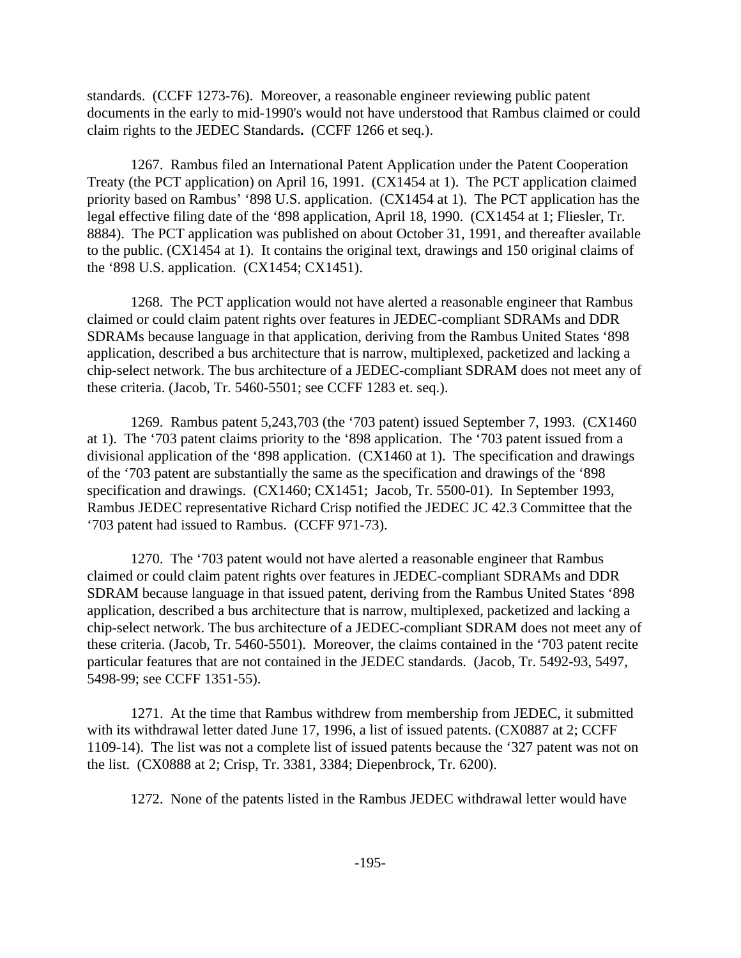standards. (CCFF 1273-76). Moreover, a reasonable engineer reviewing public patent documents in the early to mid-1990's would not have understood that Rambus claimed or could claim rights to the JEDEC Standards**.** (CCFF 1266 et seq.).

1267. Rambus filed an International Patent Application under the Patent Cooperation Treaty (the PCT application) on April 16, 1991. (CX1454 at 1). The PCT application claimed priority based on Rambus' '898 U.S. application. (CX1454 at 1). The PCT application has the legal effective filing date of the '898 application, April 18, 1990. (CX1454 at 1; Fliesler, Tr. 8884). The PCT application was published on about October 31, 1991, and thereafter available to the public. (CX1454 at 1). It contains the original text, drawings and 150 original claims of the '898 U.S. application. (CX1454; CX1451).

1268. The PCT application would not have alerted a reasonable engineer that Rambus claimed or could claim patent rights over features in JEDEC-compliant SDRAMs and DDR SDRAMs because language in that application, deriving from the Rambus United States '898 application, described a bus architecture that is narrow, multiplexed, packetized and lacking a chip-select network. The bus architecture of a JEDEC-compliant SDRAM does not meet any of these criteria. (Jacob, Tr. 5460-5501; see CCFF 1283 et. seq.).

1269. Rambus patent 5,243,703 (the '703 patent) issued September 7, 1993. (CX1460 at 1). The '703 patent claims priority to the '898 application. The '703 patent issued from a divisional application of the '898 application. (CX1460 at 1). The specification and drawings of the '703 patent are substantially the same as the specification and drawings of the '898 specification and drawings. (CX1460; CX1451; Jacob, Tr. 5500-01). In September 1993, Rambus JEDEC representative Richard Crisp notified the JEDEC JC 42.3 Committee that the '703 patent had issued to Rambus. (CCFF 971-73).

1270. The '703 patent would not have alerted a reasonable engineer that Rambus claimed or could claim patent rights over features in JEDEC-compliant SDRAMs and DDR SDRAM because language in that issued patent, deriving from the Rambus United States '898 application, described a bus architecture that is narrow, multiplexed, packetized and lacking a chip-select network. The bus architecture of a JEDEC-compliant SDRAM does not meet any of these criteria. (Jacob, Tr. 5460-5501). Moreover, the claims contained in the '703 patent recite particular features that are not contained in the JEDEC standards. (Jacob, Tr. 5492-93, 5497, 5498-99; see CCFF 1351-55).

1271. At the time that Rambus withdrew from membership from JEDEC, it submitted with its withdrawal letter dated June 17, 1996, a list of issued patents. (CX0887 at 2; CCFF 1109-14). The list was not a complete list of issued patents because the '327 patent was not on the list. (CX0888 at 2; Crisp, Tr. 3381, 3384; Diepenbrock, Tr. 6200).

1272. None of the patents listed in the Rambus JEDEC withdrawal letter would have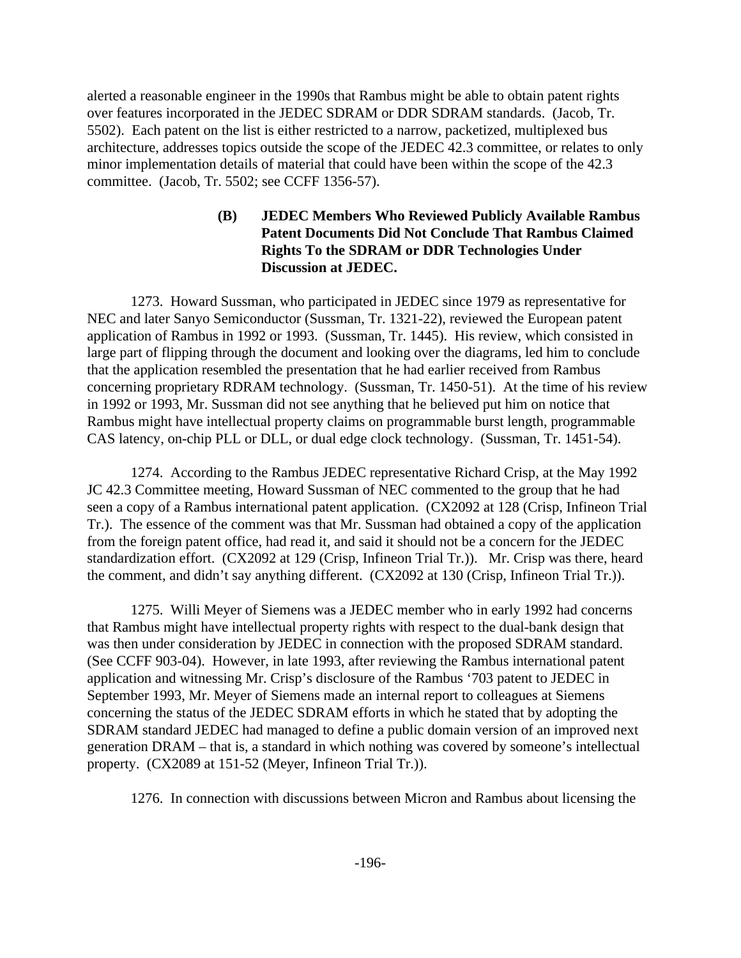alerted a reasonable engineer in the 1990s that Rambus might be able to obtain patent rights over features incorporated in the JEDEC SDRAM or DDR SDRAM standards. (Jacob, Tr. 5502). Each patent on the list is either restricted to a narrow, packetized, multiplexed bus architecture, addresses topics outside the scope of the JEDEC 42.3 committee, or relates to only minor implementation details of material that could have been within the scope of the 42.3 committee. (Jacob, Tr. 5502; see CCFF 1356-57).

## **(B) JEDEC Members Who Reviewed Publicly Available Rambus Patent Documents Did Not Conclude That Rambus Claimed Rights To the SDRAM or DDR Technologies Under Discussion at JEDEC.**

1273. Howard Sussman, who participated in JEDEC since 1979 as representative for NEC and later Sanyo Semiconductor (Sussman, Tr. 1321-22), reviewed the European patent application of Rambus in 1992 or 1993. (Sussman, Tr. 1445). His review, which consisted in large part of flipping through the document and looking over the diagrams, led him to conclude that the application resembled the presentation that he had earlier received from Rambus concerning proprietary RDRAM technology. (Sussman, Tr. 1450-51). At the time of his review in 1992 or 1993, Mr. Sussman did not see anything that he believed put him on notice that Rambus might have intellectual property claims on programmable burst length, programmable CAS latency, on-chip PLL or DLL, or dual edge clock technology. (Sussman, Tr. 1451-54).

1274. According to the Rambus JEDEC representative Richard Crisp, at the May 1992 JC 42.3 Committee meeting, Howard Sussman of NEC commented to the group that he had seen a copy of a Rambus international patent application. (CX2092 at 128 (Crisp, Infineon Trial Tr.). The essence of the comment was that Mr. Sussman had obtained a copy of the application from the foreign patent office, had read it, and said it should not be a concern for the JEDEC standardization effort. (CX2092 at 129 (Crisp, Infineon Trial Tr.)). Mr. Crisp was there, heard the comment, and didn't say anything different. (CX2092 at 130 (Crisp, Infineon Trial Tr.)).

1275. Willi Meyer of Siemens was a JEDEC member who in early 1992 had concerns that Rambus might have intellectual property rights with respect to the dual-bank design that was then under consideration by JEDEC in connection with the proposed SDRAM standard. (See CCFF 903-04). However, in late 1993, after reviewing the Rambus international patent application and witnessing Mr. Crisp's disclosure of the Rambus '703 patent to JEDEC in September 1993, Mr. Meyer of Siemens made an internal report to colleagues at Siemens concerning the status of the JEDEC SDRAM efforts in which he stated that by adopting the SDRAM standard JEDEC had managed to define a public domain version of an improved next generation DRAM – that is, a standard in which nothing was covered by someone's intellectual property. (CX2089 at 151-52 (Meyer, Infineon Trial Tr.)).

1276. In connection with discussions between Micron and Rambus about licensing the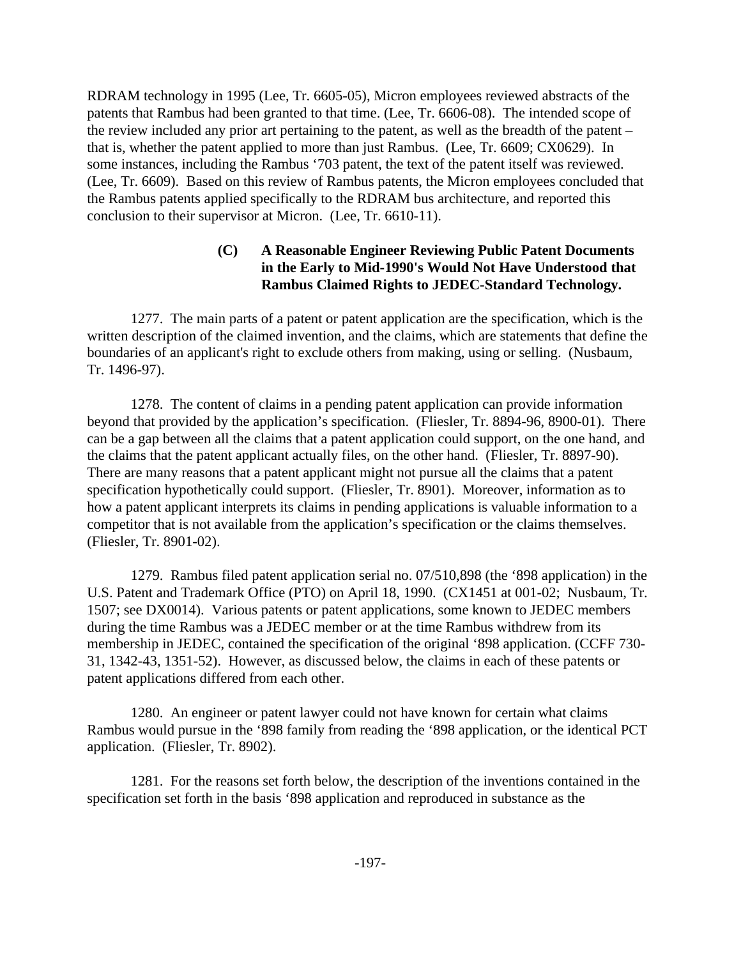RDRAM technology in 1995 (Lee, Tr. 6605-05), Micron employees reviewed abstracts of the patents that Rambus had been granted to that time. (Lee, Tr. 6606-08). The intended scope of the review included any prior art pertaining to the patent, as well as the breadth of the patent – that is, whether the patent applied to more than just Rambus. (Lee, Tr. 6609; CX0629). In some instances, including the Rambus '703 patent, the text of the patent itself was reviewed. (Lee, Tr. 6609). Based on this review of Rambus patents, the Micron employees concluded that the Rambus patents applied specifically to the RDRAM bus architecture, and reported this conclusion to their supervisor at Micron. (Lee, Tr. 6610-11).

# **(C) A Reasonable Engineer Reviewing Public Patent Documents in the Early to Mid-1990's Would Not Have Understood that Rambus Claimed Rights to JEDEC-Standard Technology.**

1277. The main parts of a patent or patent application are the specification, which is the written description of the claimed invention, and the claims, which are statements that define the boundaries of an applicant's right to exclude others from making, using or selling. (Nusbaum, Tr. 1496-97).

1278. The content of claims in a pending patent application can provide information beyond that provided by the application's specification. (Fliesler, Tr. 8894-96, 8900-01). There can be a gap between all the claims that a patent application could support, on the one hand, and the claims that the patent applicant actually files, on the other hand. (Fliesler, Tr. 8897-90). There are many reasons that a patent applicant might not pursue all the claims that a patent specification hypothetically could support. (Fliesler, Tr. 8901). Moreover, information as to how a patent applicant interprets its claims in pending applications is valuable information to a competitor that is not available from the application's specification or the claims themselves. (Fliesler, Tr. 8901-02).

1279. Rambus filed patent application serial no. 07/510,898 (the '898 application) in the U.S. Patent and Trademark Office (PTO) on April 18, 1990. (CX1451 at 001-02; Nusbaum, Tr. 1507; see DX0014). Various patents or patent applications, some known to JEDEC members during the time Rambus was a JEDEC member or at the time Rambus withdrew from its membership in JEDEC, contained the specification of the original '898 application. (CCFF 730- 31, 1342-43, 1351-52). However, as discussed below, the claims in each of these patents or patent applications differed from each other.

1280. An engineer or patent lawyer could not have known for certain what claims Rambus would pursue in the '898 family from reading the '898 application, or the identical PCT application. (Fliesler, Tr. 8902).

1281. For the reasons set forth below, the description of the inventions contained in the specification set forth in the basis '898 application and reproduced in substance as the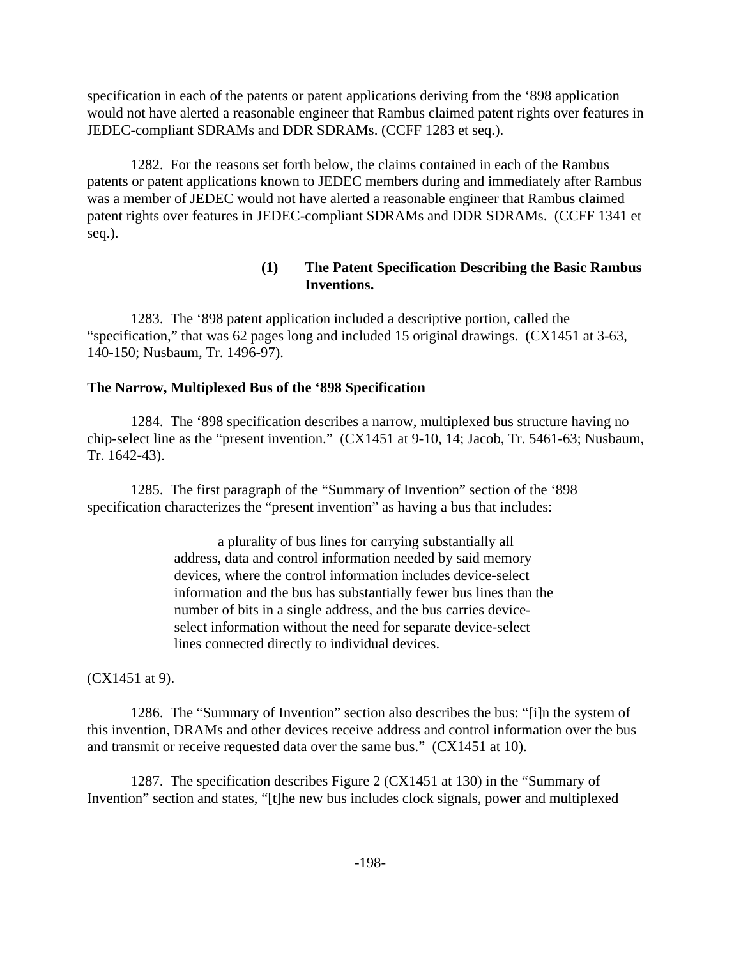specification in each of the patents or patent applications deriving from the '898 application would not have alerted a reasonable engineer that Rambus claimed patent rights over features in JEDEC-compliant SDRAMs and DDR SDRAMs. (CCFF 1283 et seq.).

1282. For the reasons set forth below, the claims contained in each of the Rambus patents or patent applications known to JEDEC members during and immediately after Rambus was a member of JEDEC would not have alerted a reasonable engineer that Rambus claimed patent rights over features in JEDEC-compliant SDRAMs and DDR SDRAMs. (CCFF 1341 et seq.).

### **(1) The Patent Specification Describing the Basic Rambus Inventions.**

1283. The '898 patent application included a descriptive portion, called the "specification," that was 62 pages long and included 15 original drawings. (CX1451 at 3-63, 140-150; Nusbaum, Tr. 1496-97).

### **The Narrow, Multiplexed Bus of the '898 Specification**

1284. The '898 specification describes a narrow, multiplexed bus structure having no chip-select line as the "present invention." (CX1451 at 9-10, 14; Jacob, Tr. 5461-63; Nusbaum, Tr. 1642-43).

1285. The first paragraph of the "Summary of Invention" section of the '898 specification characterizes the "present invention" as having a bus that includes:

> a plurality of bus lines for carrying substantially all address, data and control information needed by said memory devices, where the control information includes device-select information and the bus has substantially fewer bus lines than the number of bits in a single address, and the bus carries deviceselect information without the need for separate device-select lines connected directly to individual devices.

(CX1451 at 9).

1286. The "Summary of Invention" section also describes the bus: "[i]n the system of this invention, DRAMs and other devices receive address and control information over the bus and transmit or receive requested data over the same bus." (CX1451 at 10).

1287. The specification describes Figure 2 (CX1451 at 130) in the "Summary of Invention" section and states, "[t]he new bus includes clock signals, power and multiplexed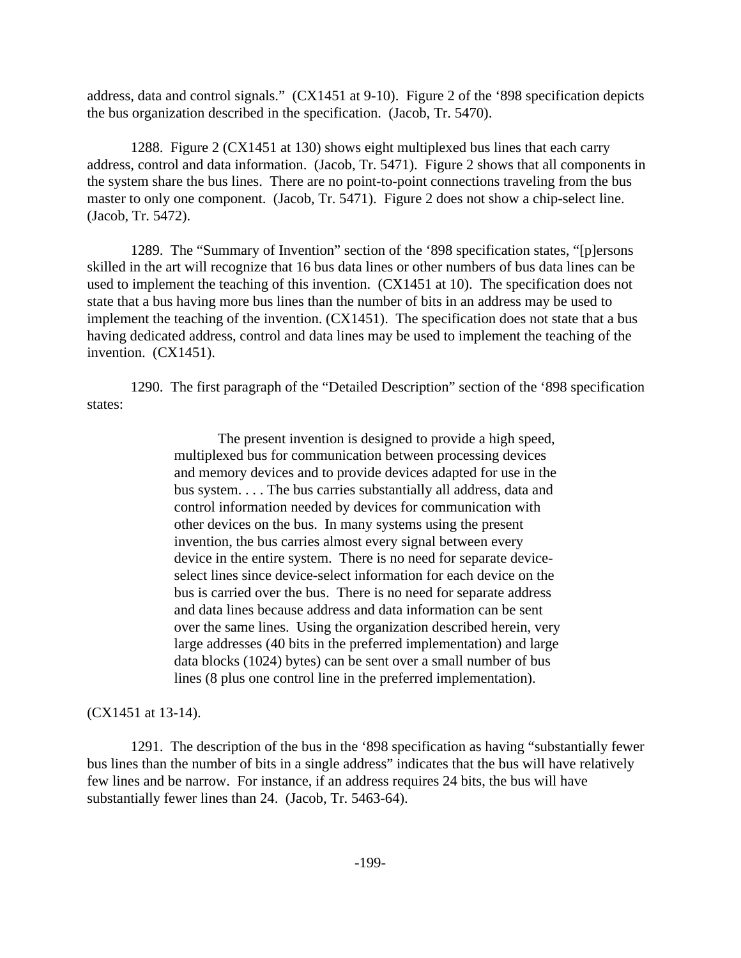address, data and control signals." (CX1451 at 9-10). Figure 2 of the '898 specification depicts the bus organization described in the specification. (Jacob, Tr. 5470).

1288. Figure 2 (CX1451 at 130) shows eight multiplexed bus lines that each carry address, control and data information. (Jacob, Tr. 5471). Figure 2 shows that all components in the system share the bus lines. There are no point-to-point connections traveling from the bus master to only one component. (Jacob, Tr. 5471). Figure 2 does not show a chip-select line. (Jacob, Tr. 5472).

1289. The "Summary of Invention" section of the '898 specification states, "[p]ersons skilled in the art will recognize that 16 bus data lines or other numbers of bus data lines can be used to implement the teaching of this invention. (CX1451 at 10). The specification does not state that a bus having more bus lines than the number of bits in an address may be used to implement the teaching of the invention. (CX1451). The specification does not state that a bus having dedicated address, control and data lines may be used to implement the teaching of the invention. (CX1451).

1290. The first paragraph of the "Detailed Description" section of the '898 specification states:

> The present invention is designed to provide a high speed, multiplexed bus for communication between processing devices and memory devices and to provide devices adapted for use in the bus system. . . . The bus carries substantially all address, data and control information needed by devices for communication with other devices on the bus. In many systems using the present invention, the bus carries almost every signal between every device in the entire system. There is no need for separate deviceselect lines since device-select information for each device on the bus is carried over the bus. There is no need for separate address and data lines because address and data information can be sent over the same lines. Using the organization described herein, very large addresses (40 bits in the preferred implementation) and large data blocks (1024) bytes) can be sent over a small number of bus lines (8 plus one control line in the preferred implementation).

(CX1451 at 13-14).

1291. The description of the bus in the '898 specification as having "substantially fewer bus lines than the number of bits in a single address" indicates that the bus will have relatively few lines and be narrow. For instance, if an address requires 24 bits, the bus will have substantially fewer lines than 24. (Jacob, Tr. 5463-64).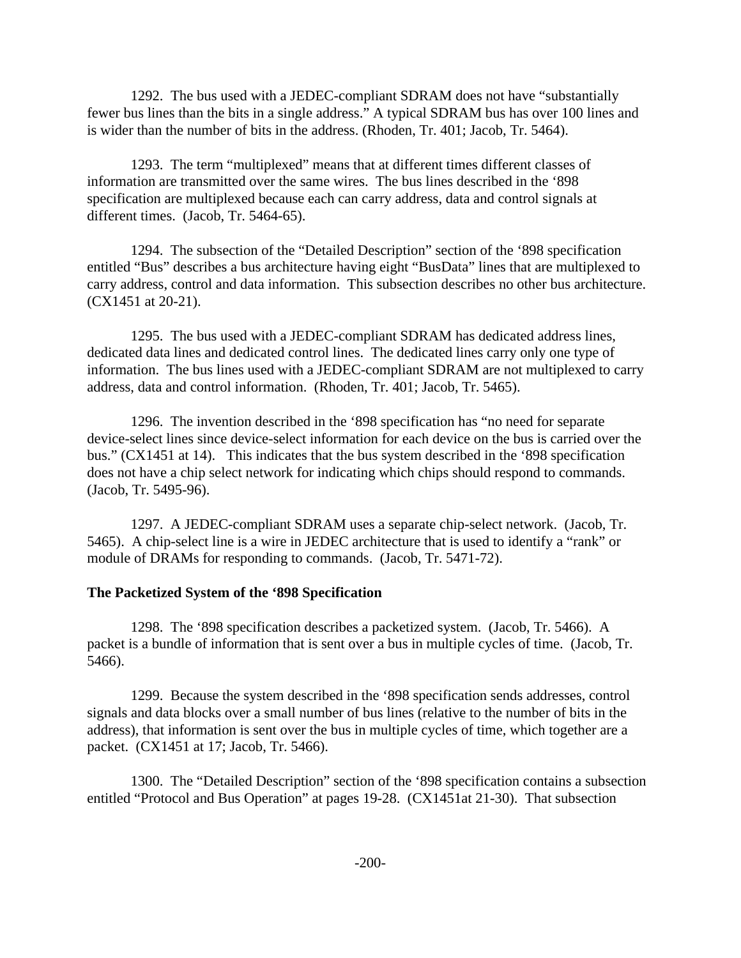1292. The bus used with a JEDEC-compliant SDRAM does not have "substantially fewer bus lines than the bits in a single address." A typical SDRAM bus has over 100 lines and is wider than the number of bits in the address. (Rhoden, Tr. 401; Jacob, Tr. 5464).

1293. The term "multiplexed" means that at different times different classes of information are transmitted over the same wires. The bus lines described in the '898 specification are multiplexed because each can carry address, data and control signals at different times. (Jacob, Tr. 5464-65).

1294. The subsection of the "Detailed Description" section of the '898 specification entitled "Bus" describes a bus architecture having eight "BusData" lines that are multiplexed to carry address, control and data information. This subsection describes no other bus architecture. (CX1451 at 20-21).

1295. The bus used with a JEDEC-compliant SDRAM has dedicated address lines, dedicated data lines and dedicated control lines. The dedicated lines carry only one type of information. The bus lines used with a JEDEC-compliant SDRAM are not multiplexed to carry address, data and control information. (Rhoden, Tr. 401; Jacob, Tr. 5465).

1296. The invention described in the '898 specification has "no need for separate device-select lines since device-select information for each device on the bus is carried over the bus." (CX1451 at 14). This indicates that the bus system described in the '898 specification does not have a chip select network for indicating which chips should respond to commands. (Jacob, Tr. 5495-96).

1297. A JEDEC-compliant SDRAM uses a separate chip-select network. (Jacob, Tr. 5465). A chip-select line is a wire in JEDEC architecture that is used to identify a "rank" or module of DRAMs for responding to commands. (Jacob, Tr. 5471-72).

### **The Packetized System of the '898 Specification**

1298. The '898 specification describes a packetized system. (Jacob, Tr. 5466). A packet is a bundle of information that is sent over a bus in multiple cycles of time. (Jacob, Tr. 5466).

1299. Because the system described in the '898 specification sends addresses, control signals and data blocks over a small number of bus lines (relative to the number of bits in the address), that information is sent over the bus in multiple cycles of time, which together are a packet. (CX1451 at 17; Jacob, Tr. 5466).

1300. The "Detailed Description" section of the '898 specification contains a subsection entitled "Protocol and Bus Operation" at pages 19-28. (CX1451at 21-30). That subsection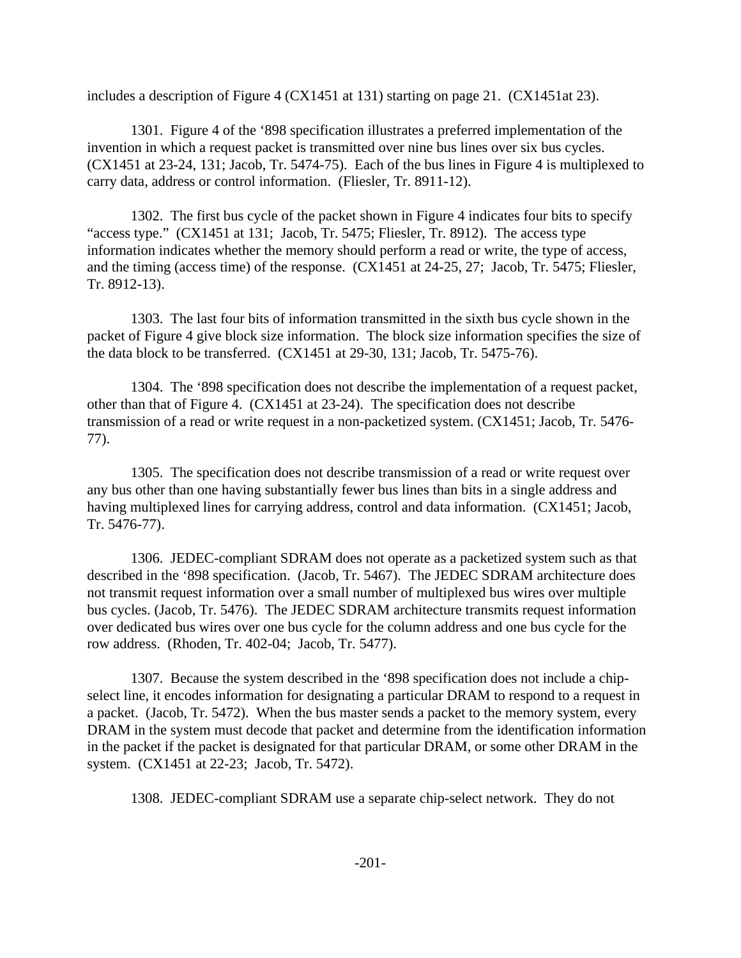includes a description of Figure 4 (CX1451 at 131) starting on page 21. (CX1451at 23).

1301. Figure 4 of the '898 specification illustrates a preferred implementation of the invention in which a request packet is transmitted over nine bus lines over six bus cycles. (CX1451 at 23-24, 131; Jacob, Tr. 5474-75). Each of the bus lines in Figure 4 is multiplexed to carry data, address or control information. (Fliesler, Tr. 8911-12).

1302. The first bus cycle of the packet shown in Figure 4 indicates four bits to specify "access type." (CX1451 at 131; Jacob, Tr. 5475; Fliesler, Tr. 8912). The access type information indicates whether the memory should perform a read or write, the type of access, and the timing (access time) of the response. (CX1451 at 24-25, 27; Jacob, Tr. 5475; Fliesler, Tr. 8912-13).

1303. The last four bits of information transmitted in the sixth bus cycle shown in the packet of Figure 4 give block size information. The block size information specifies the size of the data block to be transferred. (CX1451 at 29-30, 131; Jacob, Tr. 5475-76).

1304. The '898 specification does not describe the implementation of a request packet, other than that of Figure 4. (CX1451 at 23-24). The specification does not describe transmission of a read or write request in a non-packetized system. (CX1451; Jacob, Tr. 5476- 77).

1305. The specification does not describe transmission of a read or write request over any bus other than one having substantially fewer bus lines than bits in a single address and having multiplexed lines for carrying address, control and data information. (CX1451; Jacob, Tr. 5476-77).

1306. JEDEC-compliant SDRAM does not operate as a packetized system such as that described in the '898 specification. (Jacob, Tr. 5467). The JEDEC SDRAM architecture does not transmit request information over a small number of multiplexed bus wires over multiple bus cycles. (Jacob, Tr. 5476). The JEDEC SDRAM architecture transmits request information over dedicated bus wires over one bus cycle for the column address and one bus cycle for the row address. (Rhoden, Tr. 402-04; Jacob, Tr. 5477).

1307. Because the system described in the '898 specification does not include a chipselect line, it encodes information for designating a particular DRAM to respond to a request in a packet. (Jacob, Tr. 5472). When the bus master sends a packet to the memory system, every DRAM in the system must decode that packet and determine from the identification information in the packet if the packet is designated for that particular DRAM, or some other DRAM in the system. (CX1451 at 22-23; Jacob, Tr. 5472).

1308. JEDEC-compliant SDRAM use a separate chip-select network. They do not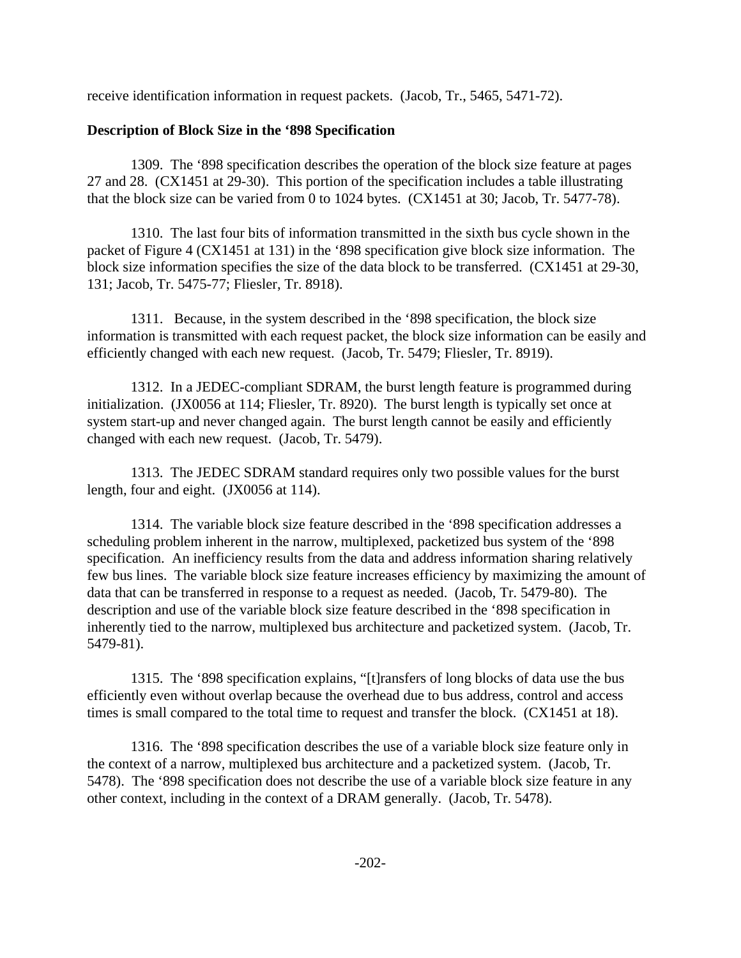receive identification information in request packets. (Jacob, Tr., 5465, 5471-72).

# **Description of Block Size in the '898 Specification**

1309. The '898 specification describes the operation of the block size feature at pages 27 and 28. (CX1451 at 29-30). This portion of the specification includes a table illustrating that the block size can be varied from 0 to 1024 bytes. (CX1451 at 30; Jacob, Tr. 5477-78).

1310. The last four bits of information transmitted in the sixth bus cycle shown in the packet of Figure 4 (CX1451 at 131) in the '898 specification give block size information. The block size information specifies the size of the data block to be transferred. (CX1451 at 29-30, 131; Jacob, Tr. 5475-77; Fliesler, Tr. 8918).

1311. Because, in the system described in the '898 specification, the block size information is transmitted with each request packet, the block size information can be easily and efficiently changed with each new request. (Jacob, Tr. 5479; Fliesler, Tr. 8919).

1312. In a JEDEC-compliant SDRAM, the burst length feature is programmed during initialization. (JX0056 at 114; Fliesler, Tr. 8920). The burst length is typically set once at system start-up and never changed again. The burst length cannot be easily and efficiently changed with each new request. (Jacob, Tr. 5479).

1313. The JEDEC SDRAM standard requires only two possible values for the burst length, four and eight. (JX0056 at 114).

1314. The variable block size feature described in the '898 specification addresses a scheduling problem inherent in the narrow, multiplexed, packetized bus system of the '898 specification. An inefficiency results from the data and address information sharing relatively few bus lines. The variable block size feature increases efficiency by maximizing the amount of data that can be transferred in response to a request as needed. (Jacob, Tr. 5479-80). The description and use of the variable block size feature described in the '898 specification in inherently tied to the narrow, multiplexed bus architecture and packetized system. (Jacob, Tr. 5479-81).

1315. The '898 specification explains, "[t]ransfers of long blocks of data use the bus efficiently even without overlap because the overhead due to bus address, control and access times is small compared to the total time to request and transfer the block. (CX1451 at 18).

1316. The '898 specification describes the use of a variable block size feature only in the context of a narrow, multiplexed bus architecture and a packetized system. (Jacob, Tr. 5478). The '898 specification does not describe the use of a variable block size feature in any other context, including in the context of a DRAM generally. (Jacob, Tr. 5478).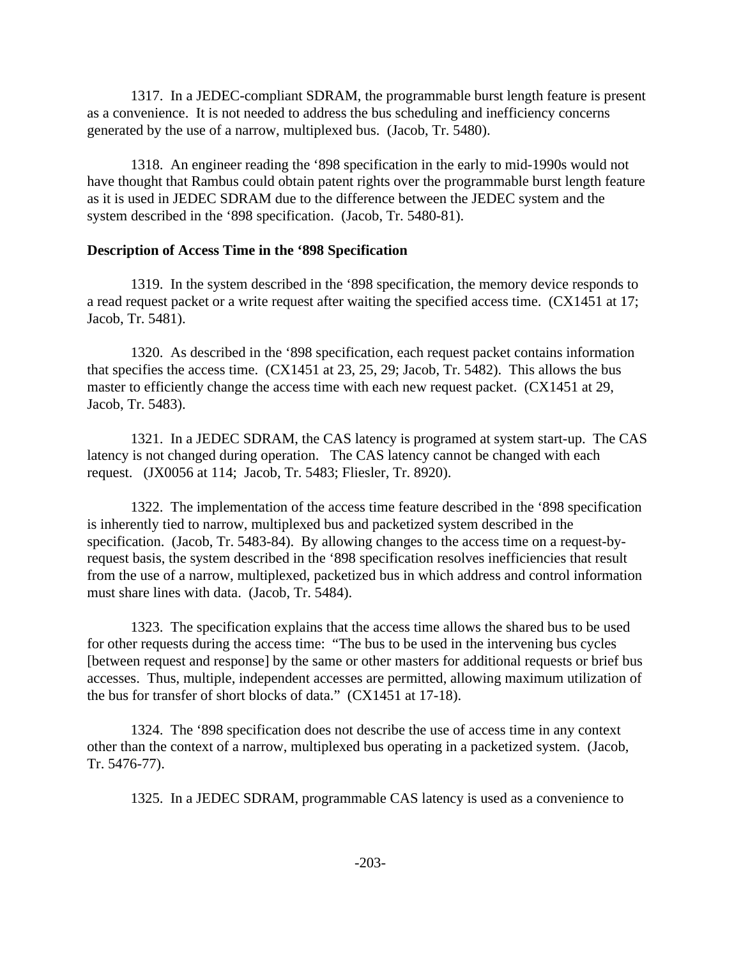1317. In a JEDEC-compliant SDRAM, the programmable burst length feature is present as a convenience. It is not needed to address the bus scheduling and inefficiency concerns generated by the use of a narrow, multiplexed bus. (Jacob, Tr. 5480).

1318. An engineer reading the '898 specification in the early to mid-1990s would not have thought that Rambus could obtain patent rights over the programmable burst length feature as it is used in JEDEC SDRAM due to the difference between the JEDEC system and the system described in the '898 specification. (Jacob, Tr. 5480-81).

### **Description of Access Time in the '898 Specification**

1319. In the system described in the '898 specification, the memory device responds to a read request packet or a write request after waiting the specified access time. (CX1451 at 17; Jacob, Tr. 5481).

1320. As described in the '898 specification, each request packet contains information that specifies the access time. (CX1451 at 23, 25, 29; Jacob, Tr. 5482). This allows the bus master to efficiently change the access time with each new request packet. (CX1451 at 29, Jacob, Tr. 5483).

1321. In a JEDEC SDRAM, the CAS latency is programed at system start-up. The CAS latency is not changed during operation. The CAS latency cannot be changed with each request. (JX0056 at 114; Jacob, Tr. 5483; Fliesler, Tr. 8920).

1322. The implementation of the access time feature described in the '898 specification is inherently tied to narrow, multiplexed bus and packetized system described in the specification. (Jacob, Tr. 5483-84). By allowing changes to the access time on a request-byrequest basis, the system described in the '898 specification resolves inefficiencies that result from the use of a narrow, multiplexed, packetized bus in which address and control information must share lines with data. (Jacob, Tr. 5484).

1323. The specification explains that the access time allows the shared bus to be used for other requests during the access time: "The bus to be used in the intervening bus cycles [between request and response] by the same or other masters for additional requests or brief bus accesses. Thus, multiple, independent accesses are permitted, allowing maximum utilization of the bus for transfer of short blocks of data." (CX1451 at 17-18).

1324. The '898 specification does not describe the use of access time in any context other than the context of a narrow, multiplexed bus operating in a packetized system. (Jacob, Tr. 5476-77).

1325. In a JEDEC SDRAM, programmable CAS latency is used as a convenience to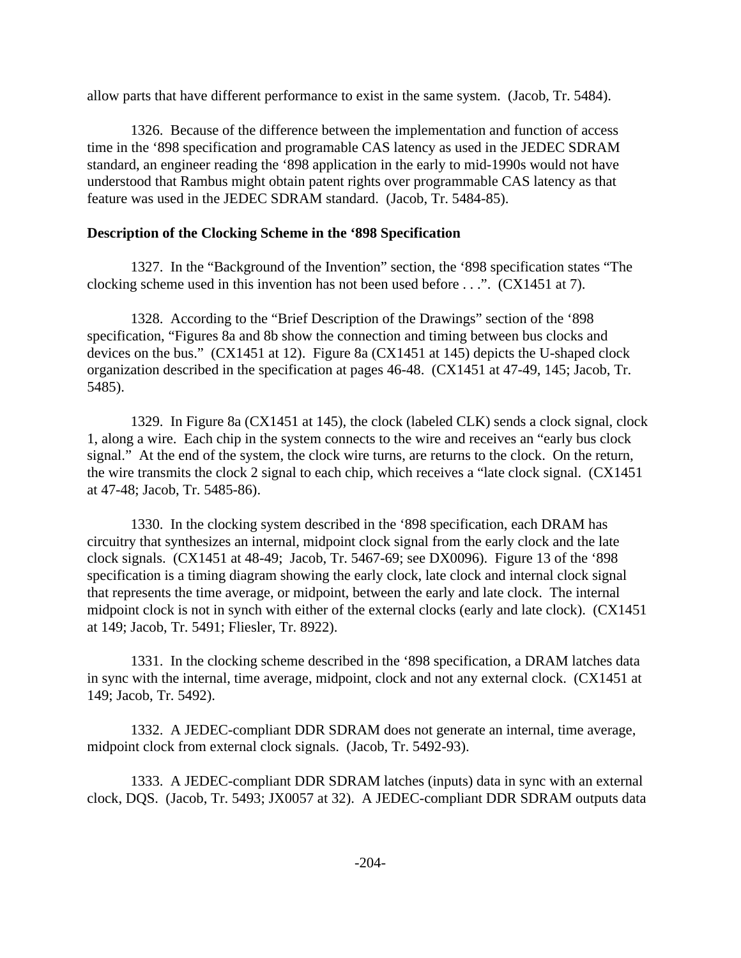allow parts that have different performance to exist in the same system. (Jacob, Tr. 5484).

1326. Because of the difference between the implementation and function of access time in the '898 specification and programable CAS latency as used in the JEDEC SDRAM standard, an engineer reading the '898 application in the early to mid-1990s would not have understood that Rambus might obtain patent rights over programmable CAS latency as that feature was used in the JEDEC SDRAM standard. (Jacob, Tr. 5484-85).

### **Description of the Clocking Scheme in the '898 Specification**

1327. In the "Background of the Invention" section, the '898 specification states "The clocking scheme used in this invention has not been used before . . .". (CX1451 at 7).

1328. According to the "Brief Description of the Drawings" section of the '898 specification, "Figures 8a and 8b show the connection and timing between bus clocks and devices on the bus." (CX1451 at 12). Figure 8a (CX1451 at 145) depicts the U-shaped clock organization described in the specification at pages 46-48. (CX1451 at 47-49, 145; Jacob, Tr. 5485).

1329. In Figure 8a (CX1451 at 145), the clock (labeled CLK) sends a clock signal, clock 1, along a wire. Each chip in the system connects to the wire and receives an "early bus clock signal." At the end of the system, the clock wire turns, are returns to the clock. On the return, the wire transmits the clock 2 signal to each chip, which receives a "late clock signal. (CX1451 at 47-48; Jacob, Tr. 5485-86).

1330. In the clocking system described in the '898 specification, each DRAM has circuitry that synthesizes an internal, midpoint clock signal from the early clock and the late clock signals. (CX1451 at 48-49; Jacob, Tr. 5467-69; see DX0096). Figure 13 of the '898 specification is a timing diagram showing the early clock, late clock and internal clock signal that represents the time average, or midpoint, between the early and late clock. The internal midpoint clock is not in synch with either of the external clocks (early and late clock). (CX1451 at 149; Jacob, Tr. 5491; Fliesler, Tr. 8922).

1331. In the clocking scheme described in the '898 specification, a DRAM latches data in sync with the internal, time average, midpoint, clock and not any external clock. (CX1451 at 149; Jacob, Tr. 5492).

1332. A JEDEC-compliant DDR SDRAM does not generate an internal, time average, midpoint clock from external clock signals. (Jacob, Tr. 5492-93).

1333. A JEDEC-compliant DDR SDRAM latches (inputs) data in sync with an external clock, DQS. (Jacob, Tr. 5493; JX0057 at 32). A JEDEC-compliant DDR SDRAM outputs data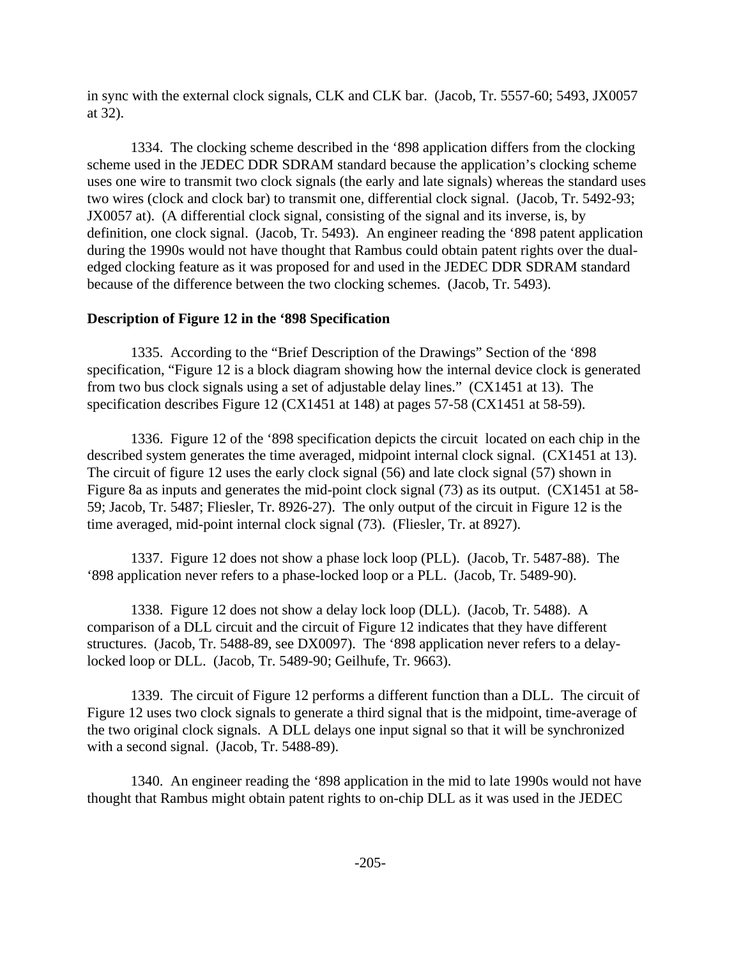in sync with the external clock signals, CLK and CLK bar. (Jacob, Tr. 5557-60; 5493, JX0057 at 32).

1334. The clocking scheme described in the '898 application differs from the clocking scheme used in the JEDEC DDR SDRAM standard because the application's clocking scheme uses one wire to transmit two clock signals (the early and late signals) whereas the standard uses two wires (clock and clock bar) to transmit one, differential clock signal. (Jacob, Tr. 5492-93; JX0057 at). (A differential clock signal, consisting of the signal and its inverse, is, by definition, one clock signal. (Jacob, Tr. 5493). An engineer reading the '898 patent application during the 1990s would not have thought that Rambus could obtain patent rights over the dualedged clocking feature as it was proposed for and used in the JEDEC DDR SDRAM standard because of the difference between the two clocking schemes. (Jacob, Tr. 5493).

### **Description of Figure 12 in the '898 Specification**

1335. According to the "Brief Description of the Drawings" Section of the '898 specification, "Figure 12 is a block diagram showing how the internal device clock is generated from two bus clock signals using a set of adjustable delay lines." (CX1451 at 13). The specification describes Figure 12 (CX1451 at 148) at pages 57-58 (CX1451 at 58-59).

1336. Figure 12 of the '898 specification depicts the circuit located on each chip in the described system generates the time averaged, midpoint internal clock signal. (CX1451 at 13). The circuit of figure 12 uses the early clock signal (56) and late clock signal (57) shown in Figure 8a as inputs and generates the mid-point clock signal (73) as its output. (CX1451 at 58- 59; Jacob, Tr. 5487; Fliesler, Tr. 8926-27). The only output of the circuit in Figure 12 is the time averaged, mid-point internal clock signal (73). (Fliesler, Tr. at 8927).

1337. Figure 12 does not show a phase lock loop (PLL). (Jacob, Tr. 5487-88). The '898 application never refers to a phase-locked loop or a PLL. (Jacob, Tr. 5489-90).

1338. Figure 12 does not show a delay lock loop (DLL). (Jacob, Tr. 5488). A comparison of a DLL circuit and the circuit of Figure 12 indicates that they have different structures. (Jacob, Tr. 5488-89, see DX0097). The '898 application never refers to a delaylocked loop or DLL. (Jacob, Tr. 5489-90; Geilhufe, Tr. 9663).

1339. The circuit of Figure 12 performs a different function than a DLL. The circuit of Figure 12 uses two clock signals to generate a third signal that is the midpoint, time-average of the two original clock signals. A DLL delays one input signal so that it will be synchronized with a second signal. (Jacob, Tr. 5488-89).

1340. An engineer reading the '898 application in the mid to late 1990s would not have thought that Rambus might obtain patent rights to on-chip DLL as it was used in the JEDEC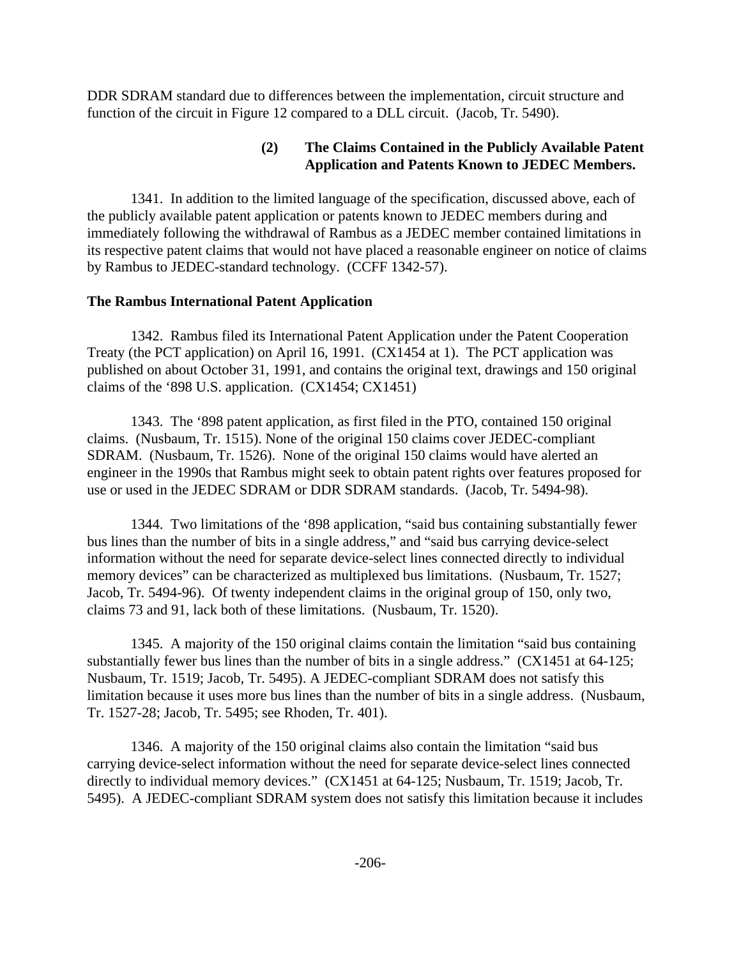DDR SDRAM standard due to differences between the implementation, circuit structure and function of the circuit in Figure 12 compared to a DLL circuit. (Jacob, Tr. 5490).

# **(2) The Claims Contained in the Publicly Available Patent Application and Patents Known to JEDEC Members.**

1341. In addition to the limited language of the specification, discussed above, each of the publicly available patent application or patents known to JEDEC members during and immediately following the withdrawal of Rambus as a JEDEC member contained limitations in its respective patent claims that would not have placed a reasonable engineer on notice of claims by Rambus to JEDEC-standard technology. (CCFF 1342-57).

### **The Rambus International Patent Application**

1342. Rambus filed its International Patent Application under the Patent Cooperation Treaty (the PCT application) on April 16, 1991. (CX1454 at 1). The PCT application was published on about October 31, 1991, and contains the original text, drawings and 150 original claims of the '898 U.S. application. (CX1454; CX1451)

1343. The '898 patent application, as first filed in the PTO, contained 150 original claims. (Nusbaum, Tr. 1515). None of the original 150 claims cover JEDEC-compliant SDRAM. (Nusbaum, Tr. 1526). None of the original 150 claims would have alerted an engineer in the 1990s that Rambus might seek to obtain patent rights over features proposed for use or used in the JEDEC SDRAM or DDR SDRAM standards. (Jacob, Tr. 5494-98).

1344. Two limitations of the '898 application, "said bus containing substantially fewer bus lines than the number of bits in a single address," and "said bus carrying device-select information without the need for separate device-select lines connected directly to individual memory devices" can be characterized as multiplexed bus limitations. (Nusbaum, Tr. 1527; Jacob, Tr. 5494-96). Of twenty independent claims in the original group of 150, only two, claims 73 and 91, lack both of these limitations. (Nusbaum, Tr. 1520).

1345. A majority of the 150 original claims contain the limitation "said bus containing substantially fewer bus lines than the number of bits in a single address." (CX1451 at 64-125; Nusbaum, Tr. 1519; Jacob, Tr. 5495). A JEDEC-compliant SDRAM does not satisfy this limitation because it uses more bus lines than the number of bits in a single address. (Nusbaum, Tr. 1527-28; Jacob, Tr. 5495; see Rhoden, Tr. 401).

1346. A majority of the 150 original claims also contain the limitation "said bus carrying device-select information without the need for separate device-select lines connected directly to individual memory devices." (CX1451 at 64-125; Nusbaum, Tr. 1519; Jacob, Tr. 5495). A JEDEC-compliant SDRAM system does not satisfy this limitation because it includes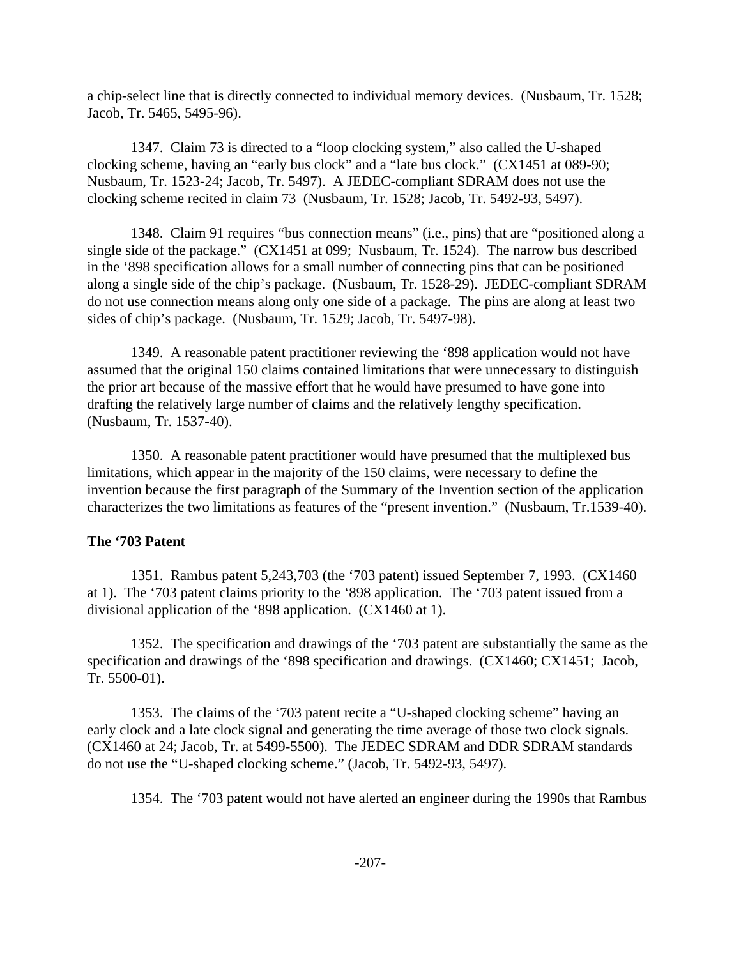a chip-select line that is directly connected to individual memory devices. (Nusbaum, Tr. 1528; Jacob, Tr. 5465, 5495-96).

1347. Claim 73 is directed to a "loop clocking system," also called the U-shaped clocking scheme, having an "early bus clock" and a "late bus clock." (CX1451 at 089-90; Nusbaum, Tr. 1523-24; Jacob, Tr. 5497). A JEDEC-compliant SDRAM does not use the clocking scheme recited in claim 73 (Nusbaum, Tr. 1528; Jacob, Tr. 5492-93, 5497).

1348. Claim 91 requires "bus connection means" (i.e., pins) that are "positioned along a single side of the package." (CX1451 at 099; Nusbaum, Tr. 1524). The narrow bus described in the '898 specification allows for a small number of connecting pins that can be positioned along a single side of the chip's package. (Nusbaum, Tr. 1528-29). JEDEC-compliant SDRAM do not use connection means along only one side of a package. The pins are along at least two sides of chip's package. (Nusbaum, Tr. 1529; Jacob, Tr. 5497-98).

1349. A reasonable patent practitioner reviewing the '898 application would not have assumed that the original 150 claims contained limitations that were unnecessary to distinguish the prior art because of the massive effort that he would have presumed to have gone into drafting the relatively large number of claims and the relatively lengthy specification. (Nusbaum, Tr. 1537-40).

1350. A reasonable patent practitioner would have presumed that the multiplexed bus limitations, which appear in the majority of the 150 claims, were necessary to define the invention because the first paragraph of the Summary of the Invention section of the application characterizes the two limitations as features of the "present invention." (Nusbaum, Tr.1539-40).

### **The '703 Patent**

1351. Rambus patent 5,243,703 (the '703 patent) issued September 7, 1993. (CX1460 at 1). The '703 patent claims priority to the '898 application. The '703 patent issued from a divisional application of the '898 application. (CX1460 at 1).

1352. The specification and drawings of the '703 patent are substantially the same as the specification and drawings of the '898 specification and drawings. (CX1460; CX1451; Jacob, Tr. 5500-01).

1353. The claims of the '703 patent recite a "U-shaped clocking scheme" having an early clock and a late clock signal and generating the time average of those two clock signals. (CX1460 at 24; Jacob, Tr. at 5499-5500). The JEDEC SDRAM and DDR SDRAM standards do not use the "U-shaped clocking scheme." (Jacob, Tr. 5492-93, 5497).

1354. The '703 patent would not have alerted an engineer during the 1990s that Rambus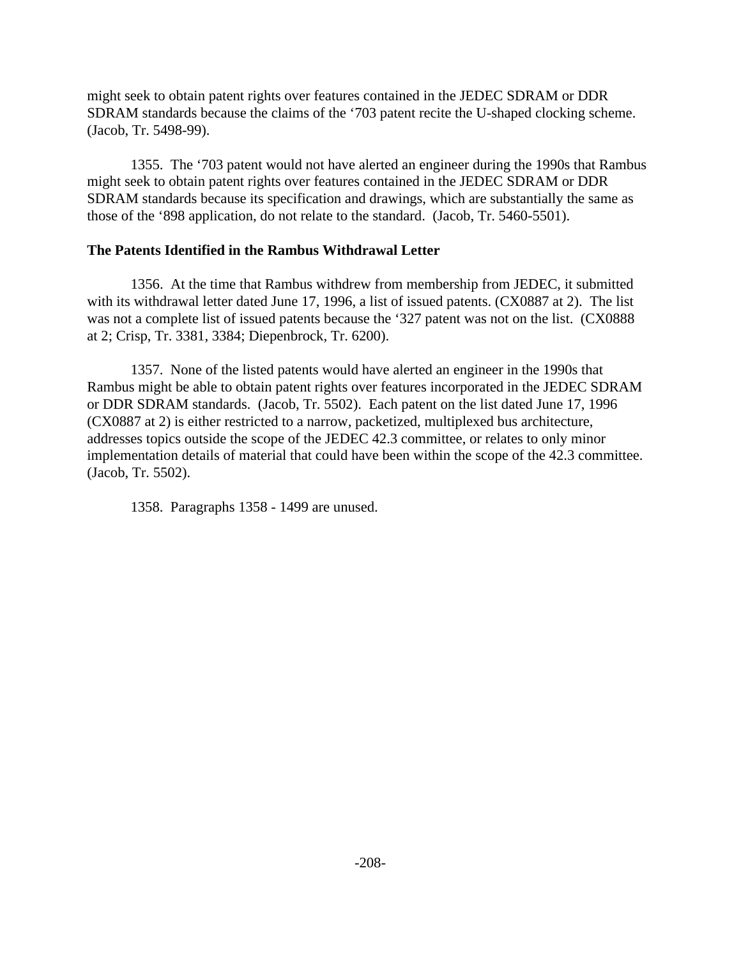might seek to obtain patent rights over features contained in the JEDEC SDRAM or DDR SDRAM standards because the claims of the '703 patent recite the U-shaped clocking scheme. (Jacob, Tr. 5498-99).

1355. The '703 patent would not have alerted an engineer during the 1990s that Rambus might seek to obtain patent rights over features contained in the JEDEC SDRAM or DDR SDRAM standards because its specification and drawings, which are substantially the same as those of the '898 application, do not relate to the standard. (Jacob, Tr. 5460-5501).

### **The Patents Identified in the Rambus Withdrawal Letter**

1356. At the time that Rambus withdrew from membership from JEDEC, it submitted with its withdrawal letter dated June 17, 1996, a list of issued patents. (CX0887 at 2). The list was not a complete list of issued patents because the '327 patent was not on the list. (CX0888 at 2; Crisp, Tr. 3381, 3384; Diepenbrock, Tr. 6200).

1357. None of the listed patents would have alerted an engineer in the 1990s that Rambus might be able to obtain patent rights over features incorporated in the JEDEC SDRAM or DDR SDRAM standards. (Jacob, Tr. 5502). Each patent on the list dated June 17, 1996 (CX0887 at 2) is either restricted to a narrow, packetized, multiplexed bus architecture, addresses topics outside the scope of the JEDEC 42.3 committee, or relates to only minor implementation details of material that could have been within the scope of the 42.3 committee. (Jacob, Tr. 5502).

1358. Paragraphs 1358 - 1499 are unused.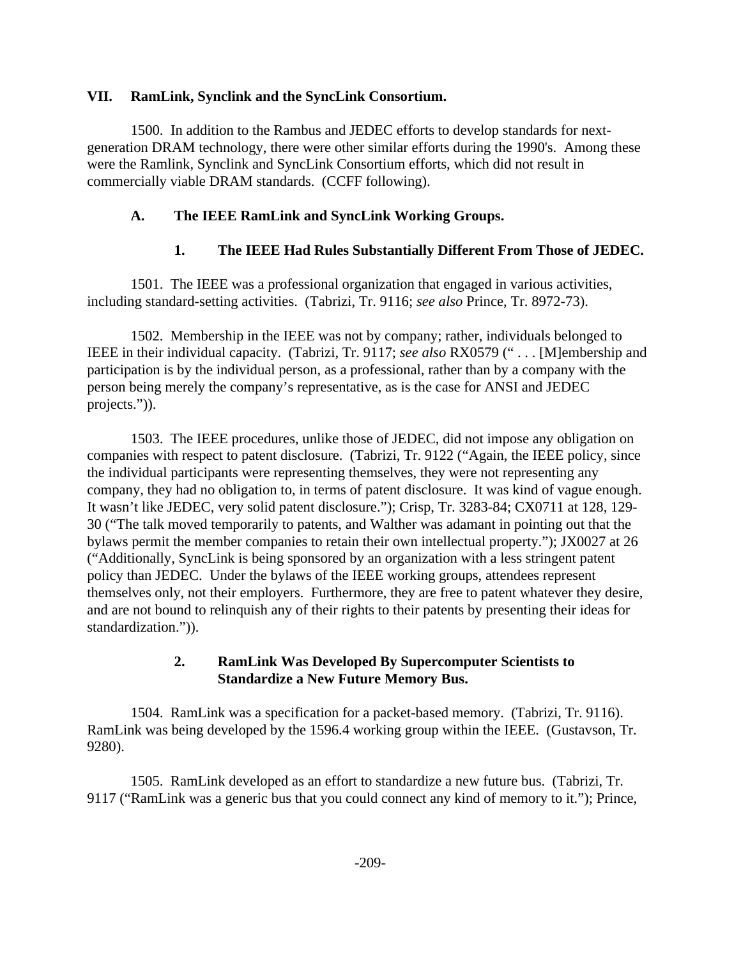### **VII. RamLink, Synclink and the SyncLink Consortium.**

1500. In addition to the Rambus and JEDEC efforts to develop standards for nextgeneration DRAM technology, there were other similar efforts during the 1990's. Among these were the Ramlink, Synclink and SyncLink Consortium efforts, which did not result in commercially viable DRAM standards. (CCFF following).

# **A. The IEEE RamLink and SyncLink Working Groups.**

# **1. The IEEE Had Rules Substantially Different From Those of JEDEC.**

1501. The IEEE was a professional organization that engaged in various activities, including standard-setting activities. (Tabrizi, Tr. 9116; *see also* Prince, Tr. 8972-73).

1502. Membership in the IEEE was not by company; rather, individuals belonged to IEEE in their individual capacity. (Tabrizi, Tr. 9117; *see also* RX0579 (" . . . [M]embership and participation is by the individual person, as a professional, rather than by a company with the person being merely the company's representative, as is the case for ANSI and JEDEC projects.")).

1503. The IEEE procedures, unlike those of JEDEC, did not impose any obligation on companies with respect to patent disclosure. (Tabrizi, Tr. 9122 ("Again, the IEEE policy, since the individual participants were representing themselves, they were not representing any company, they had no obligation to, in terms of patent disclosure. It was kind of vague enough. It wasn't like JEDEC, very solid patent disclosure."); Crisp, Tr. 3283-84; CX0711 at 128, 129- 30 ("The talk moved temporarily to patents, and Walther was adamant in pointing out that the bylaws permit the member companies to retain their own intellectual property."); JX0027 at 26 ("Additionally, SyncLink is being sponsored by an organization with a less stringent patent policy than JEDEC. Under the bylaws of the IEEE working groups, attendees represent themselves only, not their employers. Furthermore, they are free to patent whatever they desire, and are not bound to relinquish any of their rights to their patents by presenting their ideas for standardization.")).

### **2. RamLink Was Developed By Supercomputer Scientists to Standardize a New Future Memory Bus.**

1504. RamLink was a specification for a packet-based memory. (Tabrizi, Tr. 9116). RamLink was being developed by the 1596.4 working group within the IEEE. (Gustavson, Tr. 9280).

1505. RamLink developed as an effort to standardize a new future bus. (Tabrizi, Tr. 9117 ("RamLink was a generic bus that you could connect any kind of memory to it."); Prince,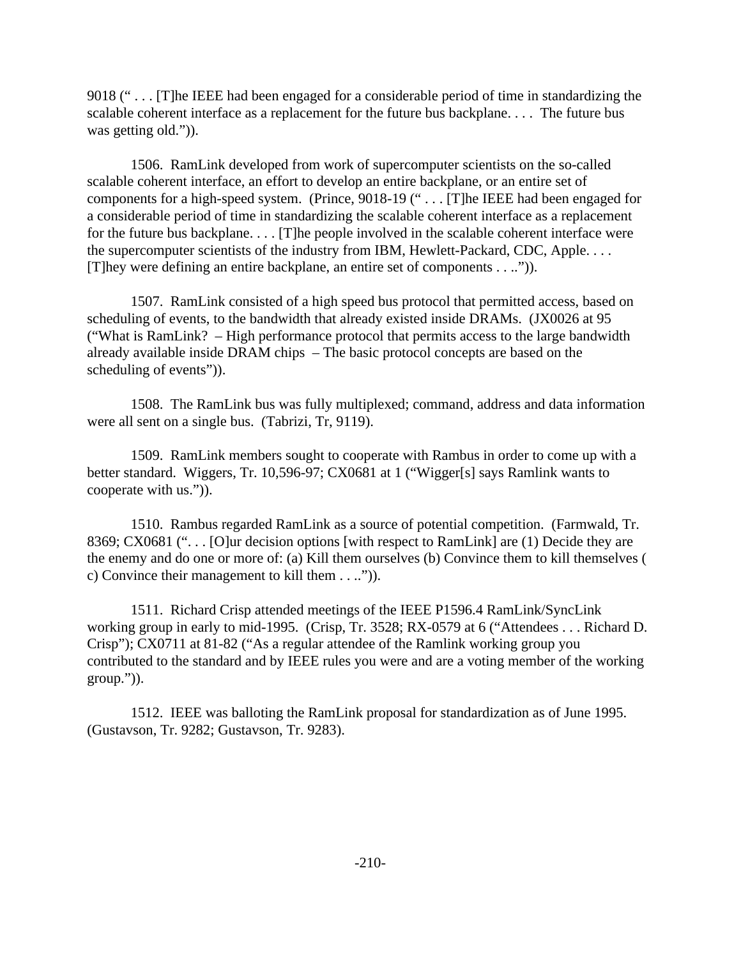9018 (" . . . [T]he IEEE had been engaged for a considerable period of time in standardizing the scalable coherent interface as a replacement for the future bus backplane. . . . The future bus was getting old.")).

1506. RamLink developed from work of supercomputer scientists on the so-called scalable coherent interface, an effort to develop an entire backplane, or an entire set of components for a high-speed system. (Prince, 9018-19 (" . . . [T]he IEEE had been engaged for a considerable period of time in standardizing the scalable coherent interface as a replacement for the future bus backplane. . . . [T]he people involved in the scalable coherent interface were the supercomputer scientists of the industry from IBM, Hewlett-Packard, CDC, Apple. . . . [T]hey were defining an entire backplane, an entire set of components . . ..")).

1507. RamLink consisted of a high speed bus protocol that permitted access, based on scheduling of events, to the bandwidth that already existed inside DRAMs. (JX0026 at 95 ("What is RamLink? – High performance protocol that permits access to the large bandwidth already available inside DRAM chips – The basic protocol concepts are based on the scheduling of events")).

1508. The RamLink bus was fully multiplexed; command, address and data information were all sent on a single bus. (Tabrizi, Tr, 9119).

1509. RamLink members sought to cooperate with Rambus in order to come up with a better standard. Wiggers, Tr. 10,596-97; CX0681 at 1 ("Wigger[s] says Ramlink wants to cooperate with us.")).

1510. Rambus regarded RamLink as a source of potential competition. (Farmwald, Tr. 8369; CX0681 ("... [O]ur decision options [with respect to RamLink] are (1) Decide they are the enemy and do one or more of: (a) Kill them ourselves (b) Convince them to kill themselves ( c) Convince their management to kill them . . ..")).

1511. Richard Crisp attended meetings of the IEEE P1596.4 RamLink/SyncLink working group in early to mid-1995. (Crisp, Tr. 3528; RX-0579 at 6 ("Attendees . . . Richard D. Crisp"); CX0711 at 81-82 ("As a regular attendee of the Ramlink working group you contributed to the standard and by IEEE rules you were and are a voting member of the working group.")).

1512. IEEE was balloting the RamLink proposal for standardization as of June 1995. (Gustavson, Tr. 9282; Gustavson, Tr. 9283).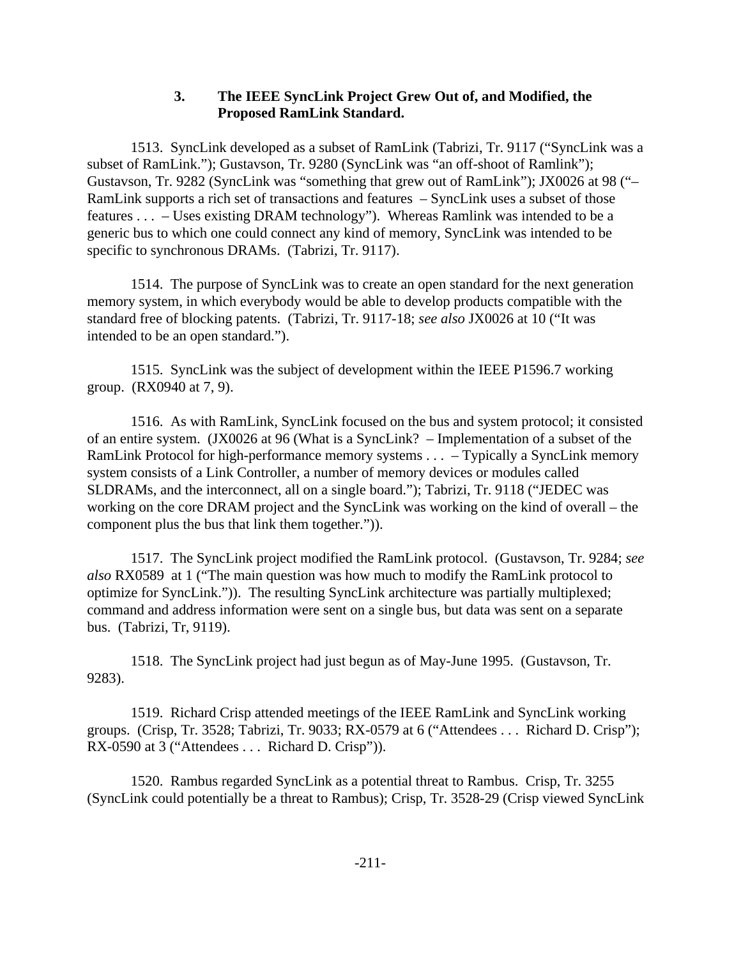### **3. The IEEE SyncLink Project Grew Out of, and Modified, the Proposed RamLink Standard.**

1513. SyncLink developed as a subset of RamLink (Tabrizi, Tr. 9117 ("SyncLink was a subset of RamLink."); Gustavson, Tr. 9280 (SyncLink was "an off-shoot of Ramlink"); Gustavson, Tr. 9282 (SyncLink was "something that grew out of RamLink"); JX0026 at 98 ("– RamLink supports a rich set of transactions and features – SyncLink uses a subset of those features . . . – Uses existing DRAM technology"). Whereas Ramlink was intended to be a generic bus to which one could connect any kind of memory, SyncLink was intended to be specific to synchronous DRAMs. (Tabrizi, Tr. 9117).

1514. The purpose of SyncLink was to create an open standard for the next generation memory system, in which everybody would be able to develop products compatible with the standard free of blocking patents. (Tabrizi, Tr. 9117-18; *see also* JX0026 at 10 ("It was intended to be an open standard.").

1515. SyncLink was the subject of development within the IEEE P1596.7 working group. (RX0940 at 7, 9).

1516. As with RamLink, SyncLink focused on the bus and system protocol; it consisted of an entire system. (JX0026 at 96 (What is a SyncLink? – Implementation of a subset of the RamLink Protocol for high-performance memory systems . . . – Typically a SyncLink memory system consists of a Link Controller, a number of memory devices or modules called SLDRAMs, and the interconnect, all on a single board."); Tabrizi, Tr. 9118 ("JEDEC was working on the core DRAM project and the SyncLink was working on the kind of overall – the component plus the bus that link them together.")).

1517. The SyncLink project modified the RamLink protocol. (Gustavson, Tr. 9284; *see also* RX0589 at 1 ("The main question was how much to modify the RamLink protocol to optimize for SyncLink.")). The resulting SyncLink architecture was partially multiplexed; command and address information were sent on a single bus, but data was sent on a separate bus. (Tabrizi, Tr, 9119).

1518. The SyncLink project had just begun as of May-June 1995. (Gustavson, Tr. 9283).

1519. Richard Crisp attended meetings of the IEEE RamLink and SyncLink working groups. (Crisp, Tr. 3528; Tabrizi, Tr. 9033; RX-0579 at 6 ("Attendees . . . Richard D. Crisp"); RX-0590 at 3 ("Attendees . . . Richard D. Crisp")).

1520. Rambus regarded SyncLink as a potential threat to Rambus. Crisp, Tr. 3255 (SyncLink could potentially be a threat to Rambus); Crisp, Tr. 3528-29 (Crisp viewed SyncLink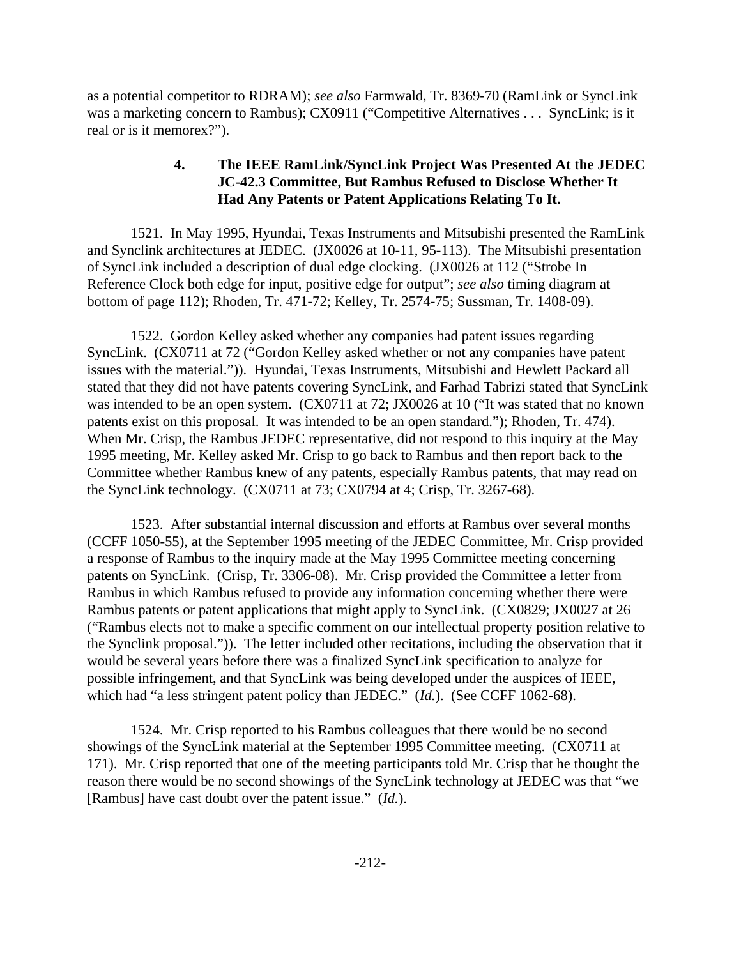as a potential competitor to RDRAM); *see also* Farmwald, Tr. 8369-70 (RamLink or SyncLink was a marketing concern to Rambus); CX0911 ("Competitive Alternatives . . . SyncLink; is it real or is it memorex?").

# **4. The IEEE RamLink/SyncLink Project Was Presented At the JEDEC JC-42.3 Committee, But Rambus Refused to Disclose Whether It Had Any Patents or Patent Applications Relating To It.**

1521. In May 1995, Hyundai, Texas Instruments and Mitsubishi presented the RamLink and Synclink architectures at JEDEC. (JX0026 at 10-11, 95-113). The Mitsubishi presentation of SyncLink included a description of dual edge clocking. (JX0026 at 112 ("Strobe In Reference Clock both edge for input, positive edge for output"; *see also* timing diagram at bottom of page 112); Rhoden, Tr. 471-72; Kelley, Tr. 2574-75; Sussman, Tr. 1408-09).

1522. Gordon Kelley asked whether any companies had patent issues regarding SyncLink. (CX0711 at 72 ("Gordon Kelley asked whether or not any companies have patent issues with the material.")). Hyundai, Texas Instruments, Mitsubishi and Hewlett Packard all stated that they did not have patents covering SyncLink, and Farhad Tabrizi stated that SyncLink was intended to be an open system. (CX0711 at 72; JX0026 at 10 ("It was stated that no known patents exist on this proposal. It was intended to be an open standard."); Rhoden, Tr. 474). When Mr. Crisp, the Rambus JEDEC representative, did not respond to this inquiry at the May 1995 meeting, Mr. Kelley asked Mr. Crisp to go back to Rambus and then report back to the Committee whether Rambus knew of any patents, especially Rambus patents, that may read on the SyncLink technology. (CX0711 at 73; CX0794 at 4; Crisp, Tr. 3267-68).

1523. After substantial internal discussion and efforts at Rambus over several months (CCFF 1050-55), at the September 1995 meeting of the JEDEC Committee, Mr. Crisp provided a response of Rambus to the inquiry made at the May 1995 Committee meeting concerning patents on SyncLink. (Crisp, Tr. 3306-08). Mr. Crisp provided the Committee a letter from Rambus in which Rambus refused to provide any information concerning whether there were Rambus patents or patent applications that might apply to SyncLink. (CX0829; JX0027 at 26 ("Rambus elects not to make a specific comment on our intellectual property position relative to the Synclink proposal.")). The letter included other recitations, including the observation that it would be several years before there was a finalized SyncLink specification to analyze for possible infringement, and that SyncLink was being developed under the auspices of IEEE, which had "a less stringent patent policy than JEDEC." (*Id.*). (See CCFF 1062-68).

1524. Mr. Crisp reported to his Rambus colleagues that there would be no second showings of the SyncLink material at the September 1995 Committee meeting. (CX0711 at 171). Mr. Crisp reported that one of the meeting participants told Mr. Crisp that he thought the reason there would be no second showings of the SyncLink technology at JEDEC was that "we [Rambus] have cast doubt over the patent issue." (*Id.*).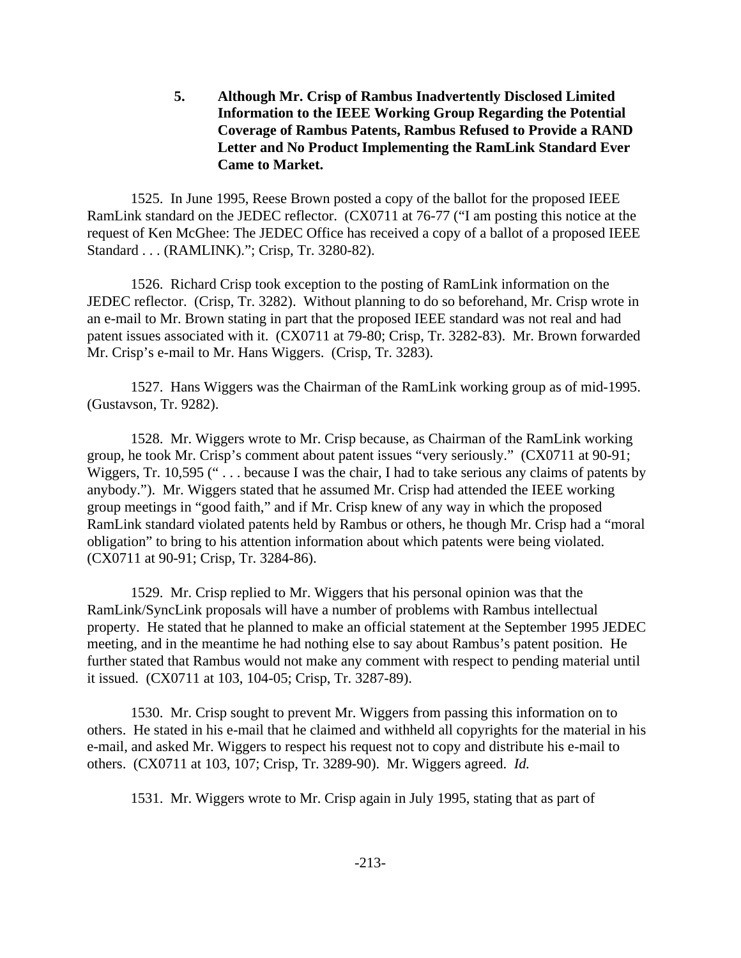**5. Although Mr. Crisp of Rambus Inadvertently Disclosed Limited Information to the IEEE Working Group Regarding the Potential Coverage of Rambus Patents, Rambus Refused to Provide a RAND Letter and No Product Implementing the RamLink Standard Ever Came to Market.** 

1525. In June 1995, Reese Brown posted a copy of the ballot for the proposed IEEE RamLink standard on the JEDEC reflector. (CX0711 at 76-77 ("I am posting this notice at the request of Ken McGhee: The JEDEC Office has received a copy of a ballot of a proposed IEEE Standard . . . (RAMLINK)."; Crisp, Tr. 3280-82).

1526. Richard Crisp took exception to the posting of RamLink information on the JEDEC reflector. (Crisp, Tr. 3282). Without planning to do so beforehand, Mr. Crisp wrote in an e-mail to Mr. Brown stating in part that the proposed IEEE standard was not real and had patent issues associated with it. (CX0711 at 79-80; Crisp, Tr. 3282-83). Mr. Brown forwarded Mr. Crisp's e-mail to Mr. Hans Wiggers. (Crisp, Tr. 3283).

1527. Hans Wiggers was the Chairman of the RamLink working group as of mid-1995. (Gustavson, Tr. 9282).

1528. Mr. Wiggers wrote to Mr. Crisp because, as Chairman of the RamLink working group, he took Mr. Crisp's comment about patent issues "very seriously." (CX0711 at 90-91; Wiggers, Tr. 10,595 ("... because I was the chair, I had to take serious any claims of patents by anybody."). Mr. Wiggers stated that he assumed Mr. Crisp had attended the IEEE working group meetings in "good faith," and if Mr. Crisp knew of any way in which the proposed RamLink standard violated patents held by Rambus or others, he though Mr. Crisp had a "moral obligation" to bring to his attention information about which patents were being violated. (CX0711 at 90-91; Crisp, Tr. 3284-86).

1529. Mr. Crisp replied to Mr. Wiggers that his personal opinion was that the RamLink/SyncLink proposals will have a number of problems with Rambus intellectual property. He stated that he planned to make an official statement at the September 1995 JEDEC meeting, and in the meantime he had nothing else to say about Rambus's patent position. He further stated that Rambus would not make any comment with respect to pending material until it issued. (CX0711 at 103, 104-05; Crisp, Tr. 3287-89).

1530. Mr. Crisp sought to prevent Mr. Wiggers from passing this information on to others. He stated in his e-mail that he claimed and withheld all copyrights for the material in his e-mail, and asked Mr. Wiggers to respect his request not to copy and distribute his e-mail to others. (CX0711 at 103, 107; Crisp, Tr. 3289-90). Mr. Wiggers agreed. *Id.*

1531. Mr. Wiggers wrote to Mr. Crisp again in July 1995, stating that as part of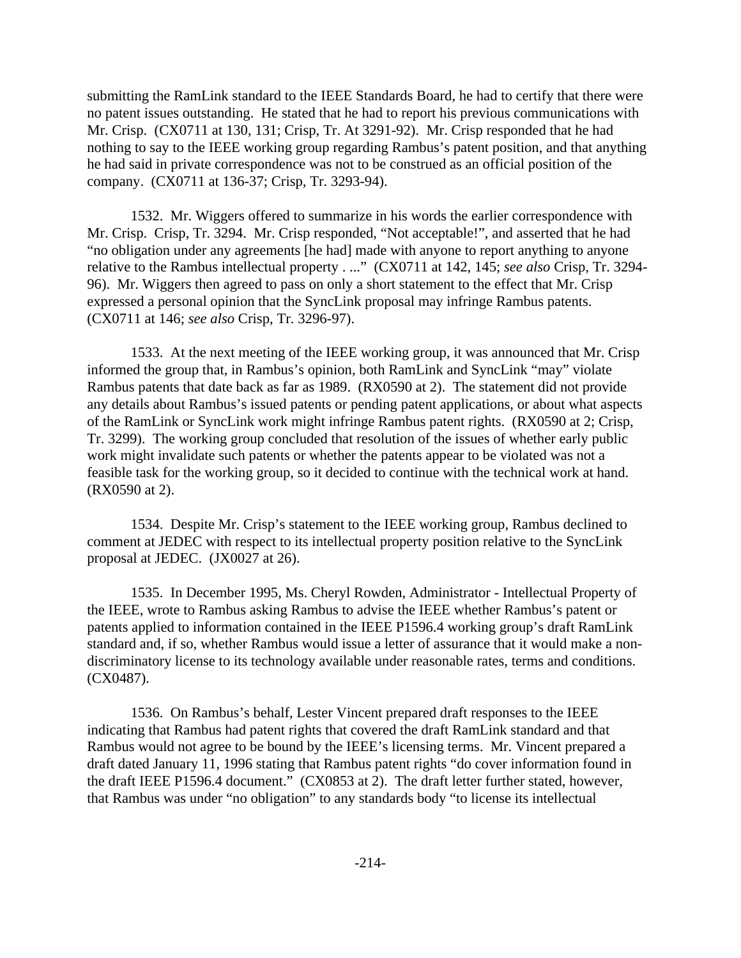submitting the RamLink standard to the IEEE Standards Board, he had to certify that there were no patent issues outstanding. He stated that he had to report his previous communications with Mr. Crisp. (CX0711 at 130, 131; Crisp, Tr. At 3291-92). Mr. Crisp responded that he had nothing to say to the IEEE working group regarding Rambus's patent position, and that anything he had said in private correspondence was not to be construed as an official position of the company. (CX0711 at 136-37; Crisp, Tr. 3293-94).

1532. Mr. Wiggers offered to summarize in his words the earlier correspondence with Mr. Crisp. Crisp, Tr. 3294. Mr. Crisp responded, "Not acceptable!", and asserted that he had "no obligation under any agreements [he had] made with anyone to report anything to anyone relative to the Rambus intellectual property . ..." (CX0711 at 142, 145; *see also* Crisp, Tr. 3294- 96). Mr. Wiggers then agreed to pass on only a short statement to the effect that Mr. Crisp expressed a personal opinion that the SyncLink proposal may infringe Rambus patents. (CX0711 at 146; *see also* Crisp, Tr. 3296-97).

1533. At the next meeting of the IEEE working group, it was announced that Mr. Crisp informed the group that, in Rambus's opinion, both RamLink and SyncLink "may" violate Rambus patents that date back as far as 1989. (RX0590 at 2). The statement did not provide any details about Rambus's issued patents or pending patent applications, or about what aspects of the RamLink or SyncLink work might infringe Rambus patent rights. (RX0590 at 2; Crisp, Tr. 3299). The working group concluded that resolution of the issues of whether early public work might invalidate such patents or whether the patents appear to be violated was not a feasible task for the working group, so it decided to continue with the technical work at hand. (RX0590 at 2).

1534. Despite Mr. Crisp's statement to the IEEE working group, Rambus declined to comment at JEDEC with respect to its intellectual property position relative to the SyncLink proposal at JEDEC. (JX0027 at 26).

1535. In December 1995, Ms. Cheryl Rowden, Administrator - Intellectual Property of the IEEE, wrote to Rambus asking Rambus to advise the IEEE whether Rambus's patent or patents applied to information contained in the IEEE P1596.4 working group's draft RamLink standard and, if so, whether Rambus would issue a letter of assurance that it would make a nondiscriminatory license to its technology available under reasonable rates, terms and conditions. (CX0487).

1536. On Rambus's behalf, Lester Vincent prepared draft responses to the IEEE indicating that Rambus had patent rights that covered the draft RamLink standard and that Rambus would not agree to be bound by the IEEE's licensing terms. Mr. Vincent prepared a draft dated January 11, 1996 stating that Rambus patent rights "do cover information found in the draft IEEE P1596.4 document." (CX0853 at 2). The draft letter further stated, however, that Rambus was under "no obligation" to any standards body "to license its intellectual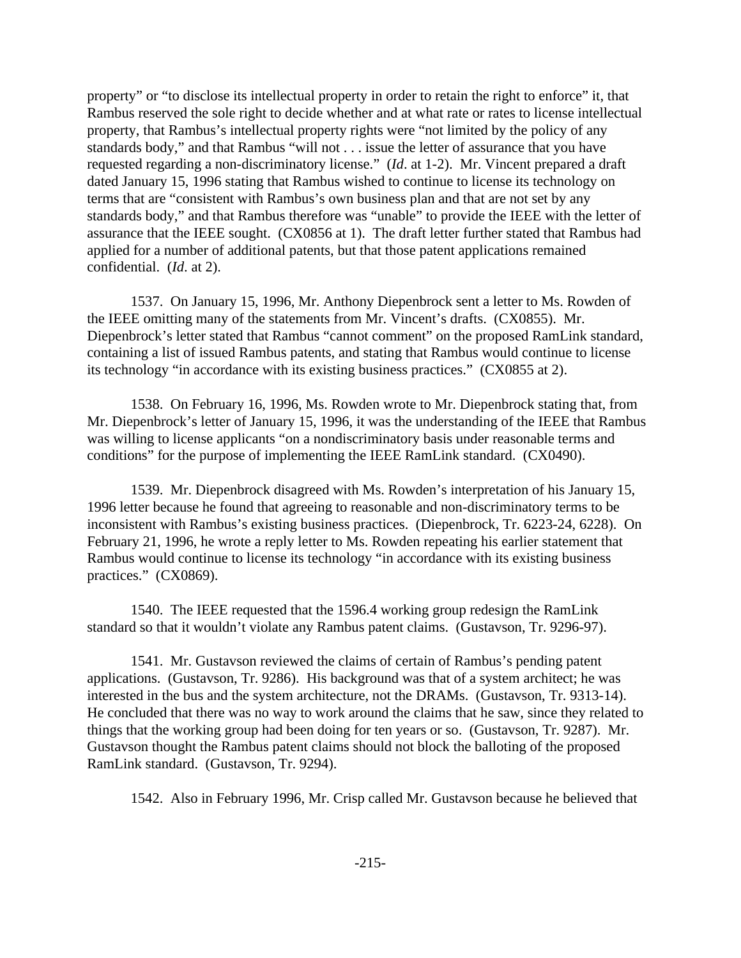property" or "to disclose its intellectual property in order to retain the right to enforce" it, that Rambus reserved the sole right to decide whether and at what rate or rates to license intellectual property, that Rambus's intellectual property rights were "not limited by the policy of any standards body," and that Rambus "will not . . . issue the letter of assurance that you have requested regarding a non-discriminatory license." (*Id*. at 1-2). Mr. Vincent prepared a draft dated January 15, 1996 stating that Rambus wished to continue to license its technology on terms that are "consistent with Rambus's own business plan and that are not set by any standards body," and that Rambus therefore was "unable" to provide the IEEE with the letter of assurance that the IEEE sought. (CX0856 at 1). The draft letter further stated that Rambus had applied for a number of additional patents, but that those patent applications remained confidential. (*Id*. at 2).

1537. On January 15, 1996, Mr. Anthony Diepenbrock sent a letter to Ms. Rowden of the IEEE omitting many of the statements from Mr. Vincent's drafts. (CX0855). Mr. Diepenbrock's letter stated that Rambus "cannot comment" on the proposed RamLink standard, containing a list of issued Rambus patents, and stating that Rambus would continue to license its technology "in accordance with its existing business practices." (CX0855 at 2).

1538. On February 16, 1996, Ms. Rowden wrote to Mr. Diepenbrock stating that, from Mr. Diepenbrock's letter of January 15, 1996, it was the understanding of the IEEE that Rambus was willing to license applicants "on a nondiscriminatory basis under reasonable terms and conditions" for the purpose of implementing the IEEE RamLink standard. (CX0490).

1539. Mr. Diepenbrock disagreed with Ms. Rowden's interpretation of his January 15, 1996 letter because he found that agreeing to reasonable and non-discriminatory terms to be inconsistent with Rambus's existing business practices. (Diepenbrock, Tr. 6223-24, 6228). On February 21, 1996, he wrote a reply letter to Ms. Rowden repeating his earlier statement that Rambus would continue to license its technology "in accordance with its existing business practices." (CX0869).

1540. The IEEE requested that the 1596.4 working group redesign the RamLink standard so that it wouldn't violate any Rambus patent claims. (Gustavson, Tr. 9296-97).

1541. Mr. Gustavson reviewed the claims of certain of Rambus's pending patent applications. (Gustavson, Tr. 9286). His background was that of a system architect; he was interested in the bus and the system architecture, not the DRAMs. (Gustavson, Tr. 9313-14). He concluded that there was no way to work around the claims that he saw, since they related to things that the working group had been doing for ten years or so. (Gustavson, Tr. 9287). Mr. Gustavson thought the Rambus patent claims should not block the balloting of the proposed RamLink standard. (Gustavson, Tr. 9294).

1542. Also in February 1996, Mr. Crisp called Mr. Gustavson because he believed that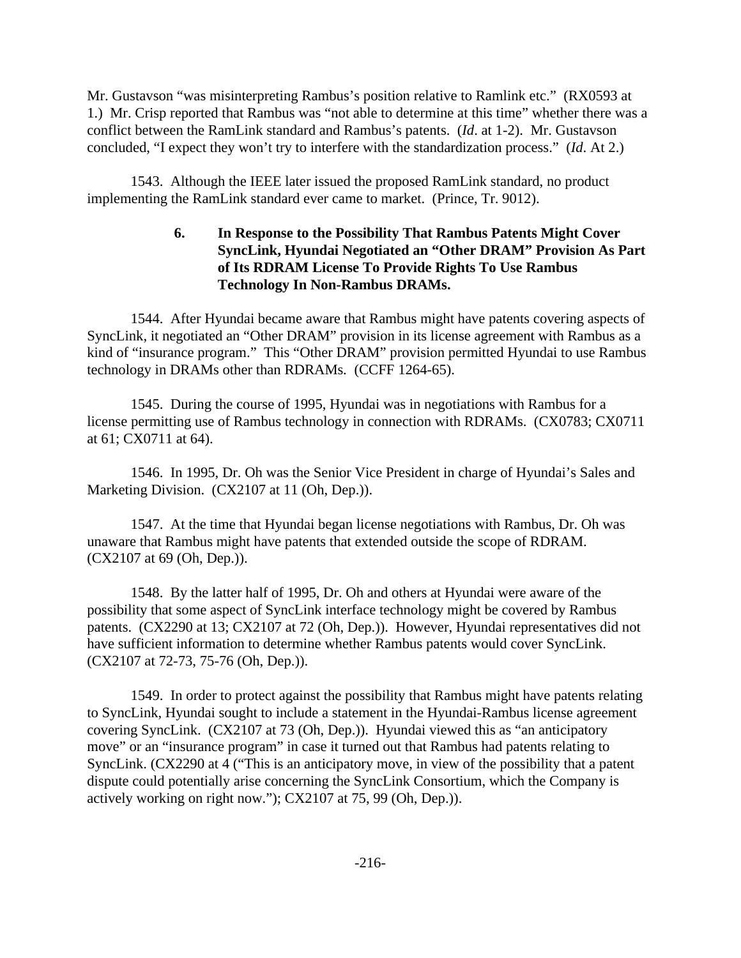Mr. Gustavson "was misinterpreting Rambus's position relative to Ramlink etc." (RX0593 at 1.) Mr. Crisp reported that Rambus was "not able to determine at this time" whether there was a conflict between the RamLink standard and Rambus's patents. (*Id*. at 1-2). Mr. Gustavson concluded, "I expect they won't try to interfere with the standardization process." (*Id*. At 2.)

1543. Although the IEEE later issued the proposed RamLink standard, no product implementing the RamLink standard ever came to market. (Prince, Tr. 9012).

# **6. In Response to the Possibility That Rambus Patents Might Cover SyncLink, Hyundai Negotiated an "Other DRAM" Provision As Part of Its RDRAM License To Provide Rights To Use Rambus Technology In Non-Rambus DRAMs.**

1544. After Hyundai became aware that Rambus might have patents covering aspects of SyncLink, it negotiated an "Other DRAM" provision in its license agreement with Rambus as a kind of "insurance program." This "Other DRAM" provision permitted Hyundai to use Rambus technology in DRAMs other than RDRAMs*.* (CCFF 1264-65).

1545. During the course of 1995, Hyundai was in negotiations with Rambus for a license permitting use of Rambus technology in connection with RDRAMs. (CX0783; CX0711 at 61; CX0711 at 64).

1546. In 1995, Dr. Oh was the Senior Vice President in charge of Hyundai's Sales and Marketing Division. (CX2107 at 11 (Oh, Dep.)).

1547. At the time that Hyundai began license negotiations with Rambus, Dr. Oh was unaware that Rambus might have patents that extended outside the scope of RDRAM. (CX2107 at 69 (Oh, Dep.)).

1548. By the latter half of 1995, Dr. Oh and others at Hyundai were aware of the possibility that some aspect of SyncLink interface technology might be covered by Rambus patents. (CX2290 at 13; CX2107 at 72 (Oh, Dep.)). However, Hyundai representatives did not have sufficient information to determine whether Rambus patents would cover SyncLink. (CX2107 at 72-73, 75-76 (Oh, Dep.)).

1549. In order to protect against the possibility that Rambus might have patents relating to SyncLink, Hyundai sought to include a statement in the Hyundai-Rambus license agreement covering SyncLink. (CX2107 at 73 (Oh, Dep.)). Hyundai viewed this as "an anticipatory move" or an "insurance program" in case it turned out that Rambus had patents relating to SyncLink. (CX2290 at 4 ("This is an anticipatory move, in view of the possibility that a patent dispute could potentially arise concerning the SyncLink Consortium, which the Company is actively working on right now."); CX2107 at 75, 99 (Oh, Dep.)).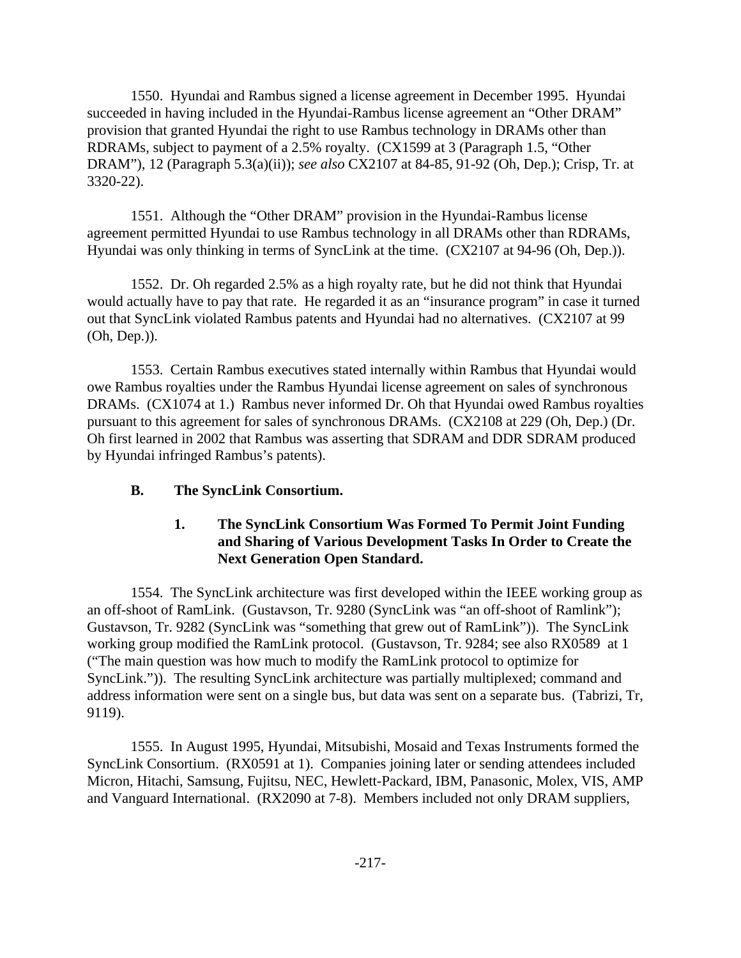1550. Hyundai and Rambus signed a license agreement in December 1995. Hyundai succeeded in having included in the Hyundai-Rambus license agreement an "Other DRAM" provision that granted Hyundai the right to use Rambus technology in DRAMs other than RDRAMs, subject to payment of a 2.5% royalty. (CX1599 at 3 (Paragraph 1.5, "Other DRAM"), 12 (Paragraph 5.3(a)(ii)); *see also* CX2107 at 84-85, 91-92 (Oh, Dep.); Crisp, Tr. at 3320-22).

1551. Although the "Other DRAM" provision in the Hyundai-Rambus license agreement permitted Hyundai to use Rambus technology in all DRAMs other than RDRAMs, Hyundai was only thinking in terms of SyncLink at the time. (CX2107 at 94-96 (Oh, Dep.)).

1552. Dr. Oh regarded 2.5% as a high royalty rate, but he did not think that Hyundai would actually have to pay that rate. He regarded it as an "insurance program" in case it turned out that SyncLink violated Rambus patents and Hyundai had no alternatives. (CX2107 at 99 (Oh, Dep.)).

1553. Certain Rambus executives stated internally within Rambus that Hyundai would owe Rambus royalties under the Rambus Hyundai license agreement on sales of synchronous DRAMs. (CX1074 at 1.) Rambus never informed Dr. Oh that Hyundai owed Rambus royalties pursuant to this agreement for sales of synchronous DRAMs. (CX2108 at 229 (Oh, Dep.) (Dr. Oh first learned in 2002 that Rambus was asserting that SDRAM and DDR SDRAM produced by Hyundai infringed Rambus's patents).

### **B. The SyncLink Consortium.**

# **1. The SyncLink Consortium Was Formed To Permit Joint Funding and Sharing of Various Development Tasks In Order to Create the Next Generation Open Standard.**

1554. The SyncLink architecture was first developed within the IEEE working group as an off-shoot of RamLink. (Gustavson, Tr. 9280 (SyncLink was "an off-shoot of Ramlink"); Gustavson, Tr. 9282 (SyncLink was "something that grew out of RamLink")). The SyncLink working group modified the RamLink protocol. (Gustavson, Tr. 9284; see also RX0589 at 1 ("The main question was how much to modify the RamLink protocol to optimize for SyncLink.")). The resulting SyncLink architecture was partially multiplexed; command and address information were sent on a single bus, but data was sent on a separate bus. (Tabrizi, Tr, 9119).

1555. In August 1995, Hyundai, Mitsubishi, Mosaid and Texas Instruments formed the SyncLink Consortium. (RX0591 at 1). Companies joining later or sending attendees included Micron, Hitachi, Samsung, Fujitsu, NEC, Hewlett-Packard, IBM, Panasonic, Molex, VIS, AMP and Vanguard International. (RX2090 at 7-8). Members included not only DRAM suppliers,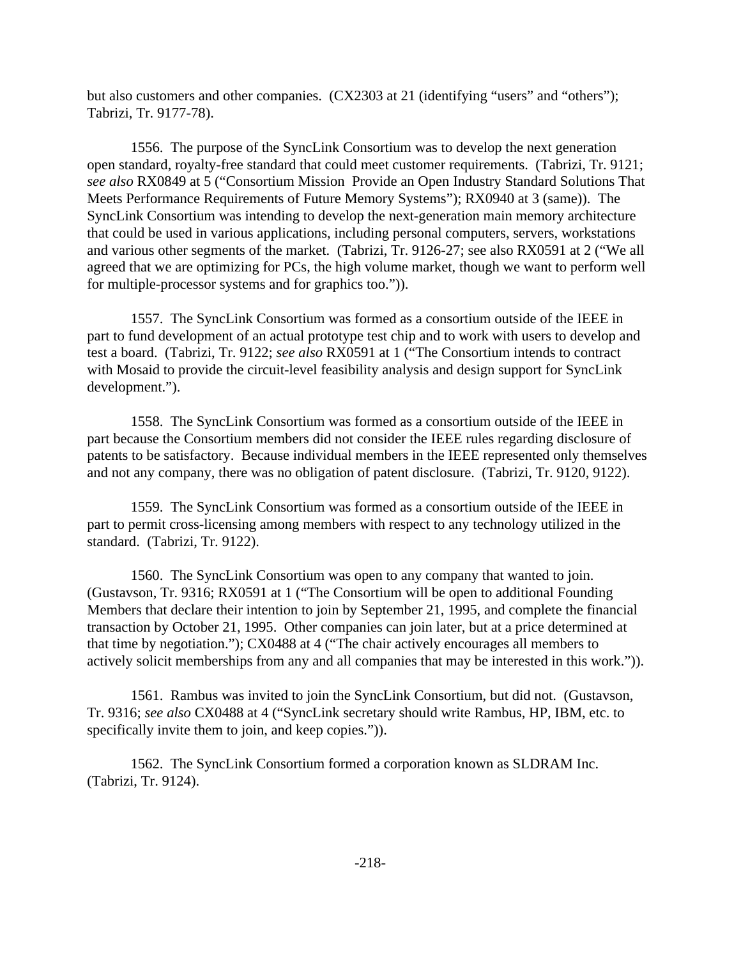but also customers and other companies. (CX2303 at 21 (identifying "users" and "others"); Tabrizi, Tr. 9177-78).

1556. The purpose of the SyncLink Consortium was to develop the next generation open standard, royalty-free standard that could meet customer requirements. (Tabrizi, Tr. 9121; *see also* RX0849 at 5 ("Consortium Mission Provide an Open Industry Standard Solutions That Meets Performance Requirements of Future Memory Systems"); RX0940 at 3 (same)). The SyncLink Consortium was intending to develop the next-generation main memory architecture that could be used in various applications, including personal computers, servers, workstations and various other segments of the market. (Tabrizi, Tr. 9126-27; see also RX0591 at 2 ("We all agreed that we are optimizing for PCs, the high volume market, though we want to perform well for multiple-processor systems and for graphics too.")).

1557. The SyncLink Consortium was formed as a consortium outside of the IEEE in part to fund development of an actual prototype test chip and to work with users to develop and test a board. (Tabrizi, Tr. 9122; *see also* RX0591 at 1 ("The Consortium intends to contract with Mosaid to provide the circuit-level feasibility analysis and design support for SyncLink development.").

1558. The SyncLink Consortium was formed as a consortium outside of the IEEE in part because the Consortium members did not consider the IEEE rules regarding disclosure of patents to be satisfactory. Because individual members in the IEEE represented only themselves and not any company, there was no obligation of patent disclosure. (Tabrizi, Tr. 9120, 9122).

1559. The SyncLink Consortium was formed as a consortium outside of the IEEE in part to permit cross-licensing among members with respect to any technology utilized in the standard. (Tabrizi, Tr. 9122).

1560. The SyncLink Consortium was open to any company that wanted to join. (Gustavson, Tr. 9316; RX0591 at 1 ("The Consortium will be open to additional Founding Members that declare their intention to join by September 21, 1995, and complete the financial transaction by October 21, 1995. Other companies can join later, but at a price determined at that time by negotiation."); CX0488 at 4 ("The chair actively encourages all members to actively solicit memberships from any and all companies that may be interested in this work.")).

1561. Rambus was invited to join the SyncLink Consortium, but did not. (Gustavson, Tr. 9316; *see also* CX0488 at 4 ("SyncLink secretary should write Rambus, HP, IBM, etc. to specifically invite them to join, and keep copies.")).

1562. The SyncLink Consortium formed a corporation known as SLDRAM Inc. (Tabrizi, Tr. 9124).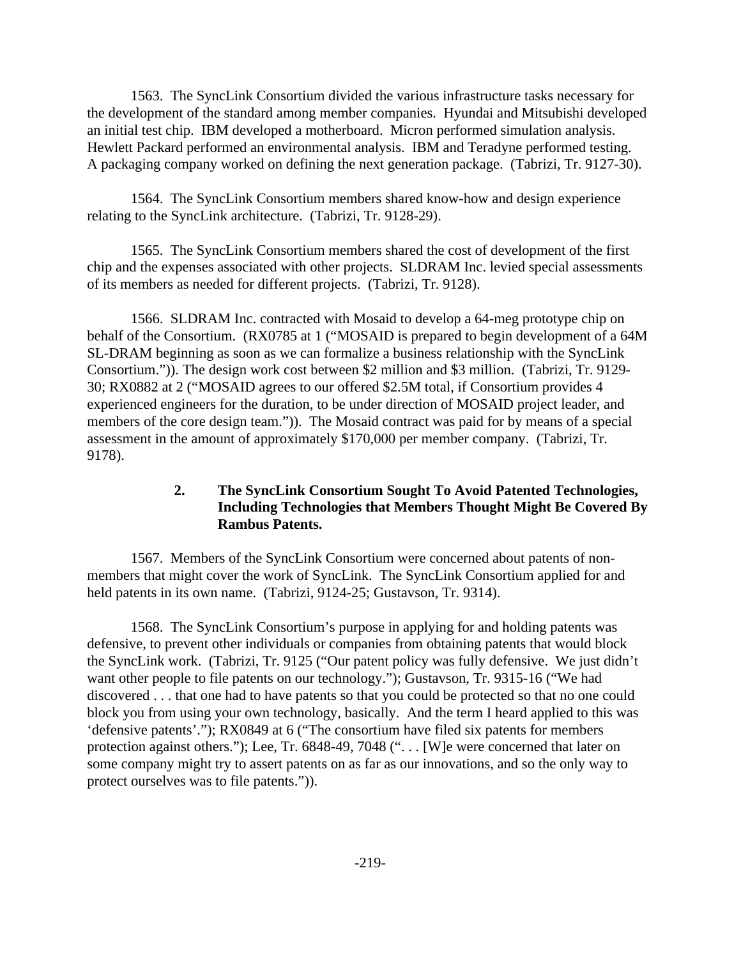1563. The SyncLink Consortium divided the various infrastructure tasks necessary for the development of the standard among member companies. Hyundai and Mitsubishi developed an initial test chip. IBM developed a motherboard. Micron performed simulation analysis. Hewlett Packard performed an environmental analysis. IBM and Teradyne performed testing. A packaging company worked on defining the next generation package. (Tabrizi, Tr. 9127-30).

1564. The SyncLink Consortium members shared know-how and design experience relating to the SyncLink architecture. (Tabrizi, Tr. 9128-29).

1565. The SyncLink Consortium members shared the cost of development of the first chip and the expenses associated with other projects. SLDRAM Inc. levied special assessments of its members as needed for different projects. (Tabrizi, Tr. 9128).

1566. SLDRAM Inc. contracted with Mosaid to develop a 64-meg prototype chip on behalf of the Consortium. (RX0785 at 1 ("MOSAID is prepared to begin development of a 64M SL-DRAM beginning as soon as we can formalize a business relationship with the SyncLink Consortium.")). The design work cost between \$2 million and \$3 million. (Tabrizi, Tr. 9129- 30; RX0882 at 2 ("MOSAID agrees to our offered \$2.5M total, if Consortium provides 4 experienced engineers for the duration, to be under direction of MOSAID project leader, and members of the core design team.")). The Mosaid contract was paid for by means of a special assessment in the amount of approximately \$170,000 per member company. (Tabrizi, Tr. 9178).

### **2. The SyncLink Consortium Sought To Avoid Patented Technologies, Including Technologies that Members Thought Might Be Covered By Rambus Patents.**

1567. Members of the SyncLink Consortium were concerned about patents of nonmembers that might cover the work of SyncLink. The SyncLink Consortium applied for and held patents in its own name. (Tabrizi, 9124-25; Gustavson, Tr. 9314).

1568. The SyncLink Consortium's purpose in applying for and holding patents was defensive, to prevent other individuals or companies from obtaining patents that would block the SyncLink work. (Tabrizi, Tr. 9125 ("Our patent policy was fully defensive. We just didn't want other people to file patents on our technology."); Gustavson, Tr. 9315-16 ("We had discovered . . . that one had to have patents so that you could be protected so that no one could block you from using your own technology, basically. And the term I heard applied to this was 'defensive patents'."); RX0849 at 6 ("The consortium have filed six patents for members protection against others."); Lee, Tr. 6848-49, 7048 ("... [W]e were concerned that later on some company might try to assert patents on as far as our innovations, and so the only way to protect ourselves was to file patents.")).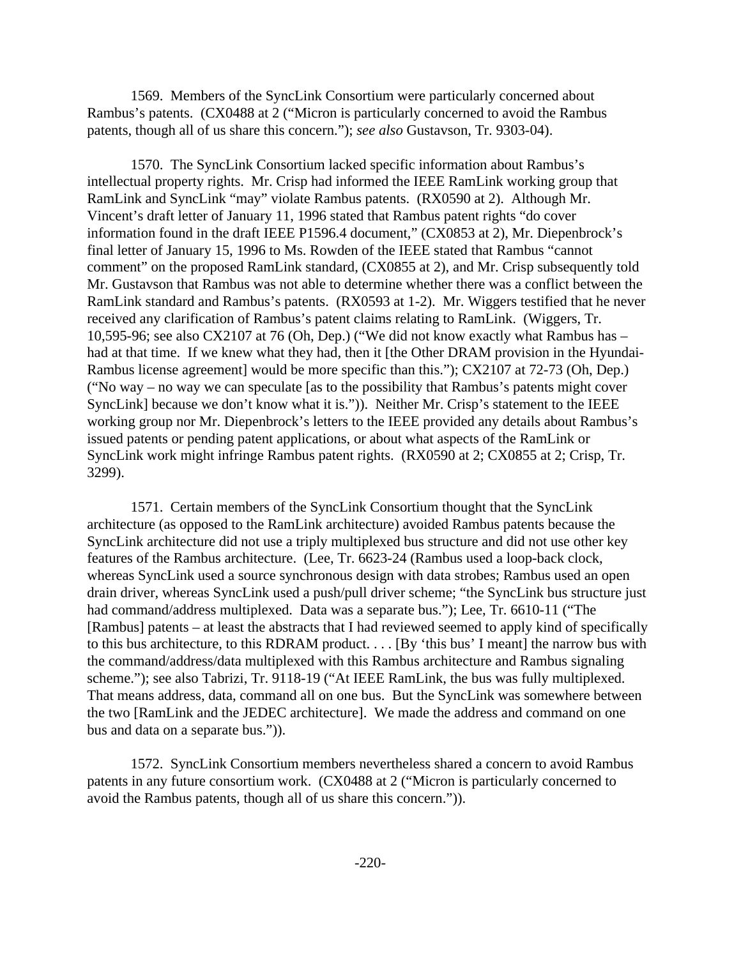1569. Members of the SyncLink Consortium were particularly concerned about Rambus's patents. (CX0488 at 2 ("Micron is particularly concerned to avoid the Rambus patents, though all of us share this concern."); *see also* Gustavson, Tr. 9303-04).

1570. The SyncLink Consortium lacked specific information about Rambus's intellectual property rights. Mr. Crisp had informed the IEEE RamLink working group that RamLink and SyncLink "may" violate Rambus patents. (RX0590 at 2). Although Mr. Vincent's draft letter of January 11, 1996 stated that Rambus patent rights "do cover information found in the draft IEEE P1596.4 document," (CX0853 at 2), Mr. Diepenbrock's final letter of January 15, 1996 to Ms. Rowden of the IEEE stated that Rambus "cannot comment" on the proposed RamLink standard, (CX0855 at 2), and Mr. Crisp subsequently told Mr. Gustavson that Rambus was not able to determine whether there was a conflict between the RamLink standard and Rambus's patents. (RX0593 at 1-2). Mr. Wiggers testified that he never received any clarification of Rambus's patent claims relating to RamLink. (Wiggers, Tr. 10,595-96; see also CX2107 at 76 (Oh, Dep.) ("We did not know exactly what Rambus has – had at that time. If we knew what they had, then it [the Other DRAM provision in the Hyundai-Rambus license agreement] would be more specific than this."); CX2107 at 72-73 (Oh, Dep.) ("No way – no way we can speculate [as to the possibility that Rambus's patents might cover SyncLink] because we don't know what it is.")). Neither Mr. Crisp's statement to the IEEE working group nor Mr. Diepenbrock's letters to the IEEE provided any details about Rambus's issued patents or pending patent applications, or about what aspects of the RamLink or SyncLink work might infringe Rambus patent rights. (RX0590 at 2; CX0855 at 2; Crisp, Tr. 3299).

1571. Certain members of the SyncLink Consortium thought that the SyncLink architecture (as opposed to the RamLink architecture) avoided Rambus patents because the SyncLink architecture did not use a triply multiplexed bus structure and did not use other key features of the Rambus architecture. (Lee, Tr. 6623-24 (Rambus used a loop-back clock, whereas SyncLink used a source synchronous design with data strobes; Rambus used an open drain driver, whereas SyncLink used a push/pull driver scheme; "the SyncLink bus structure just had command/address multiplexed. Data was a separate bus."); Lee, Tr. 6610-11 ("The [Rambus] patents – at least the abstracts that I had reviewed seemed to apply kind of specifically to this bus architecture, to this RDRAM product. . . . [By 'this bus' I meant] the narrow bus with the command/address/data multiplexed with this Rambus architecture and Rambus signaling scheme."); see also Tabrizi, Tr. 9118-19 ("At IEEE RamLink, the bus was fully multiplexed. That means address, data, command all on one bus. But the SyncLink was somewhere between the two [RamLink and the JEDEC architecture]. We made the address and command on one bus and data on a separate bus.")).

1572. SyncLink Consortium members nevertheless shared a concern to avoid Rambus patents in any future consortium work. (CX0488 at 2 ("Micron is particularly concerned to avoid the Rambus patents, though all of us share this concern.")).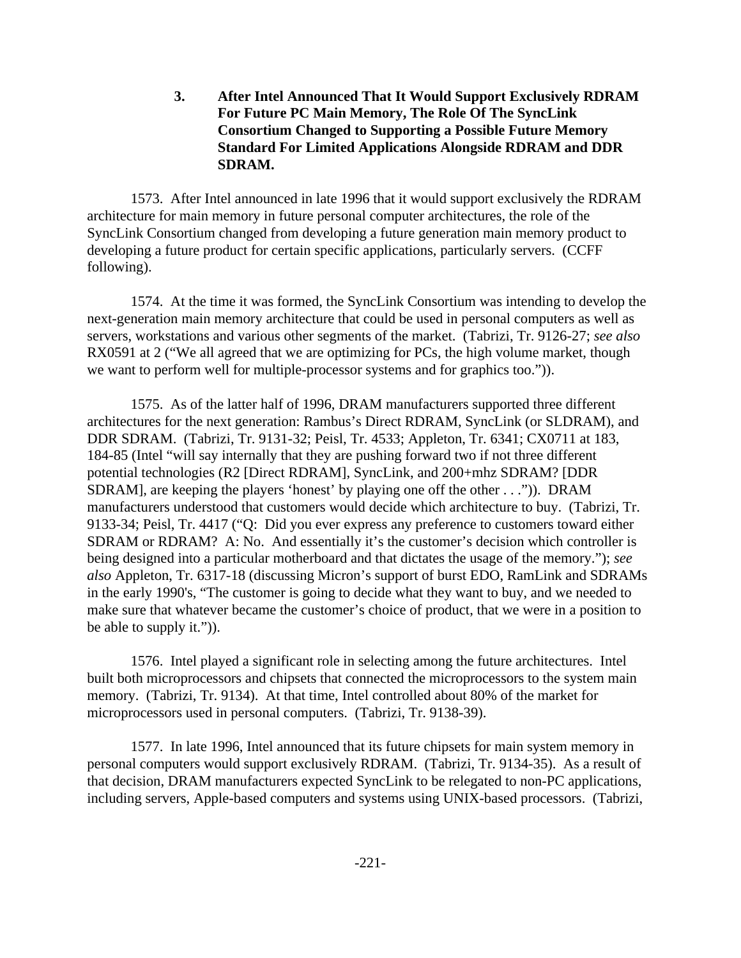**3. After Intel Announced That It Would Support Exclusively RDRAM For Future PC Main Memory, The Role Of The SyncLink Consortium Changed to Supporting a Possible Future Memory Standard For Limited Applications Alongside RDRAM and DDR SDRAM.**

1573. After Intel announced in late 1996 that it would support exclusively the RDRAM architecture for main memory in future personal computer architectures, the role of the SyncLink Consortium changed from developing a future generation main memory product to developing a future product for certain specific applications, particularly servers. (CCFF following).

1574. At the time it was formed, the SyncLink Consortium was intending to develop the next-generation main memory architecture that could be used in personal computers as well as servers, workstations and various other segments of the market. (Tabrizi, Tr. 9126-27; *see also* RX0591 at 2 ("We all agreed that we are optimizing for PCs, the high volume market, though we want to perform well for multiple-processor systems and for graphics too.")).

1575. As of the latter half of 1996, DRAM manufacturers supported three different architectures for the next generation: Rambus's Direct RDRAM, SyncLink (or SLDRAM), and DDR SDRAM. (Tabrizi, Tr. 9131-32; Peisl, Tr. 4533; Appleton, Tr. 6341; CX0711 at 183, 184-85 (Intel "will say internally that they are pushing forward two if not three different potential technologies (R2 [Direct RDRAM], SyncLink, and 200+mhz SDRAM? [DDR SDRAM], are keeping the players 'honest' by playing one off the other . . .")). DRAM manufacturers understood that customers would decide which architecture to buy. (Tabrizi, Tr. 9133-34; Peisl, Tr. 4417 ("Q: Did you ever express any preference to customers toward either SDRAM or RDRAM? A: No. And essentially it's the customer's decision which controller is being designed into a particular motherboard and that dictates the usage of the memory."); *see also* Appleton, Tr. 6317-18 (discussing Micron's support of burst EDO, RamLink and SDRAMs in the early 1990's, "The customer is going to decide what they want to buy, and we needed to make sure that whatever became the customer's choice of product, that we were in a position to be able to supply it.")).

1576. Intel played a significant role in selecting among the future architectures. Intel built both microprocessors and chipsets that connected the microprocessors to the system main memory. (Tabrizi, Tr. 9134). At that time, Intel controlled about 80% of the market for microprocessors used in personal computers. (Tabrizi, Tr. 9138-39).

1577. In late 1996, Intel announced that its future chipsets for main system memory in personal computers would support exclusively RDRAM. (Tabrizi, Tr. 9134-35). As a result of that decision, DRAM manufacturers expected SyncLink to be relegated to non-PC applications, including servers, Apple-based computers and systems using UNIX-based processors. (Tabrizi,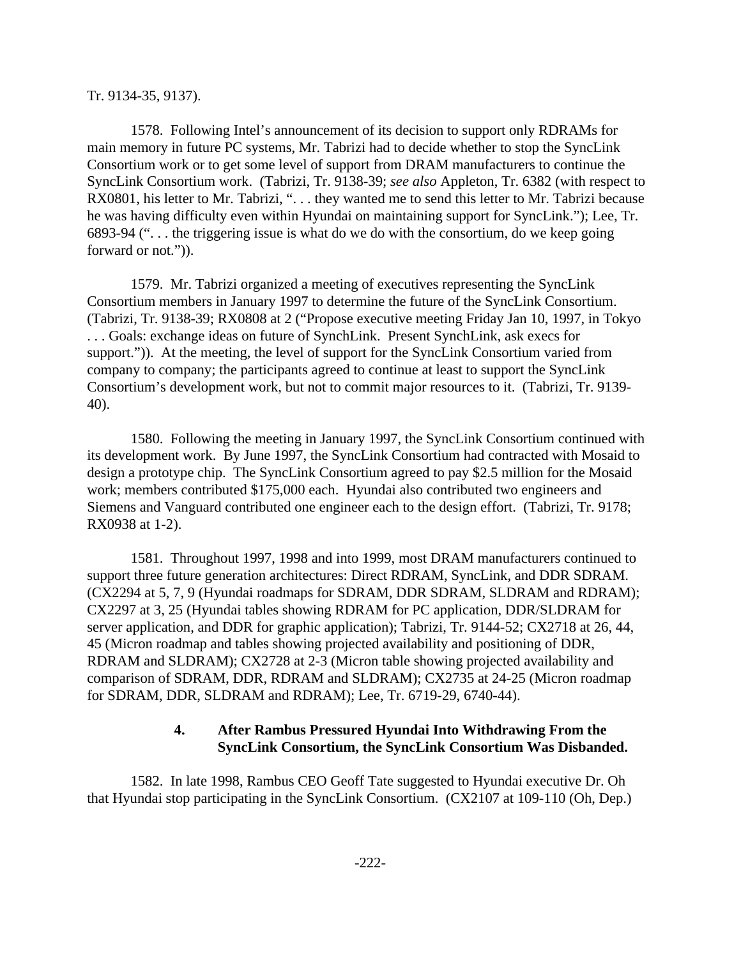#### Tr. 9134-35, 9137).

1578. Following Intel's announcement of its decision to support only RDRAMs for main memory in future PC systems, Mr. Tabrizi had to decide whether to stop the SyncLink Consortium work or to get some level of support from DRAM manufacturers to continue the SyncLink Consortium work. (Tabrizi, Tr. 9138-39; *see also* Appleton, Tr. 6382 (with respect to RX0801, his letter to Mr. Tabrizi, ". . . they wanted me to send this letter to Mr. Tabrizi because he was having difficulty even within Hyundai on maintaining support for SyncLink."); Lee, Tr. 6893-94  $(\cdot)$ ... the triggering issue is what do we do with the consortium, do we keep going forward or not.")).

1579. Mr. Tabrizi organized a meeting of executives representing the SyncLink Consortium members in January 1997 to determine the future of the SyncLink Consortium. (Tabrizi, Tr. 9138-39; RX0808 at 2 ("Propose executive meeting Friday Jan 10, 1997, in Tokyo . . . Goals: exchange ideas on future of SynchLink. Present SynchLink, ask execs for support.")). At the meeting, the level of support for the SyncLink Consortium varied from company to company; the participants agreed to continue at least to support the SyncLink Consortium's development work, but not to commit major resources to it. (Tabrizi, Tr. 9139- 40).

1580. Following the meeting in January 1997, the SyncLink Consortium continued with its development work. By June 1997, the SyncLink Consortium had contracted with Mosaid to design a prototype chip. The SyncLink Consortium agreed to pay \$2.5 million for the Mosaid work; members contributed \$175,000 each. Hyundai also contributed two engineers and Siemens and Vanguard contributed one engineer each to the design effort. (Tabrizi, Tr. 9178; RX0938 at 1-2).

1581. Throughout 1997, 1998 and into 1999, most DRAM manufacturers continued to support three future generation architectures: Direct RDRAM, SyncLink, and DDR SDRAM. (CX2294 at 5, 7, 9 (Hyundai roadmaps for SDRAM, DDR SDRAM, SLDRAM and RDRAM); CX2297 at 3, 25 (Hyundai tables showing RDRAM for PC application, DDR/SLDRAM for server application, and DDR for graphic application); Tabrizi, Tr. 9144-52; CX2718 at 26, 44, 45 (Micron roadmap and tables showing projected availability and positioning of DDR, RDRAM and SLDRAM); CX2728 at 2-3 (Micron table showing projected availability and comparison of SDRAM, DDR, RDRAM and SLDRAM); CX2735 at 24-25 (Micron roadmap for SDRAM, DDR, SLDRAM and RDRAM); Lee, Tr. 6719-29, 6740-44).

### **4. After Rambus Pressured Hyundai Into Withdrawing From the SyncLink Consortium, the SyncLink Consortium Was Disbanded.**

1582. In late 1998, Rambus CEO Geoff Tate suggested to Hyundai executive Dr. Oh that Hyundai stop participating in the SyncLink Consortium. (CX2107 at 109-110 (Oh, Dep.)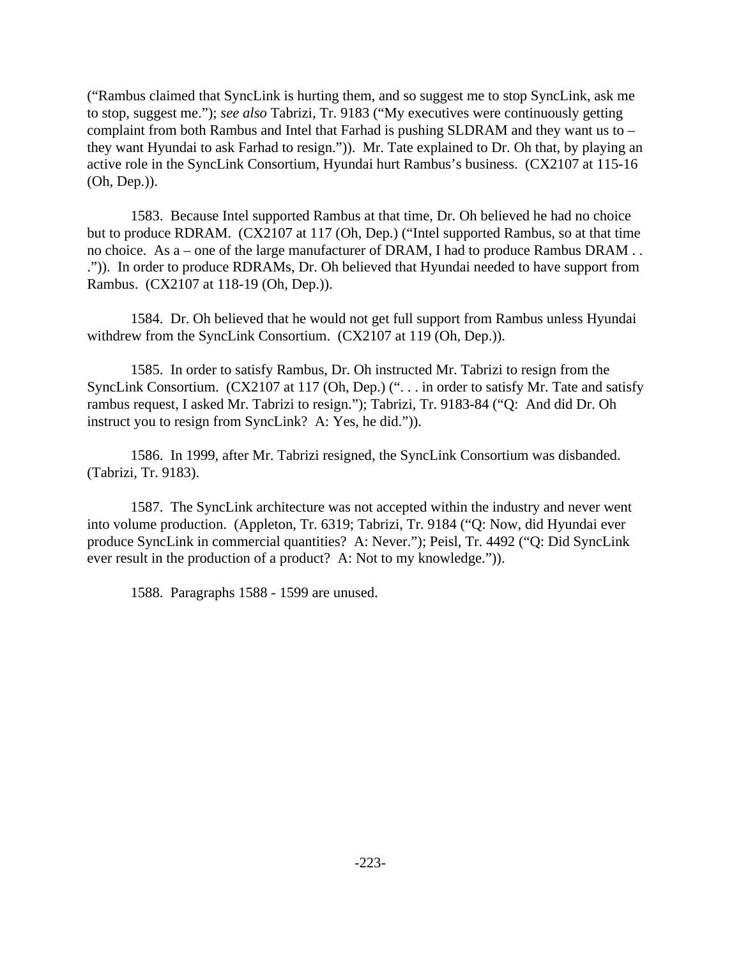("Rambus claimed that SyncLink is hurting them, and so suggest me to stop SyncLink, ask me to stop, suggest me."); *see also* Tabrizi, Tr. 9183 ("My executives were continuously getting complaint from both Rambus and Intel that Farhad is pushing SLDRAM and they want us to – they want Hyundai to ask Farhad to resign.")). Mr. Tate explained to Dr. Oh that, by playing an active role in the SyncLink Consortium, Hyundai hurt Rambus's business. (CX2107 at 115-16 (Oh, Dep.)).

1583. Because Intel supported Rambus at that time, Dr. Oh believed he had no choice but to produce RDRAM. (CX2107 at 117 (Oh, Dep.) ("Intel supported Rambus, so at that time no choice. As a – one of the large manufacturer of DRAM, I had to produce Rambus DRAM . . .")). In order to produce RDRAMs, Dr. Oh believed that Hyundai needed to have support from Rambus. (CX2107 at 118-19 (Oh, Dep.)).

1584. Dr. Oh believed that he would not get full support from Rambus unless Hyundai withdrew from the SyncLink Consortium. (CX2107 at 119 (Oh, Dep.)).

1585. In order to satisfy Rambus, Dr. Oh instructed Mr. Tabrizi to resign from the SyncLink Consortium. (CX2107 at 117 (Oh, Dep.) (". . . in order to satisfy Mr. Tate and satisfy rambus request, I asked Mr. Tabrizi to resign."); Tabrizi, Tr. 9183-84 ("Q: And did Dr. Oh instruct you to resign from SyncLink? A: Yes, he did.")).

1586. In 1999, after Mr. Tabrizi resigned, the SyncLink Consortium was disbanded. (Tabrizi, Tr. 9183).

1587. The SyncLink architecture was not accepted within the industry and never went into volume production. (Appleton, Tr. 6319; Tabrizi, Tr. 9184 ("Q: Now, did Hyundai ever produce SyncLink in commercial quantities? A: Never."); Peisl, Tr. 4492 ("Q: Did SyncLink ever result in the production of a product? A: Not to my knowledge.")).

1588. Paragraphs 1588 - 1599 are unused.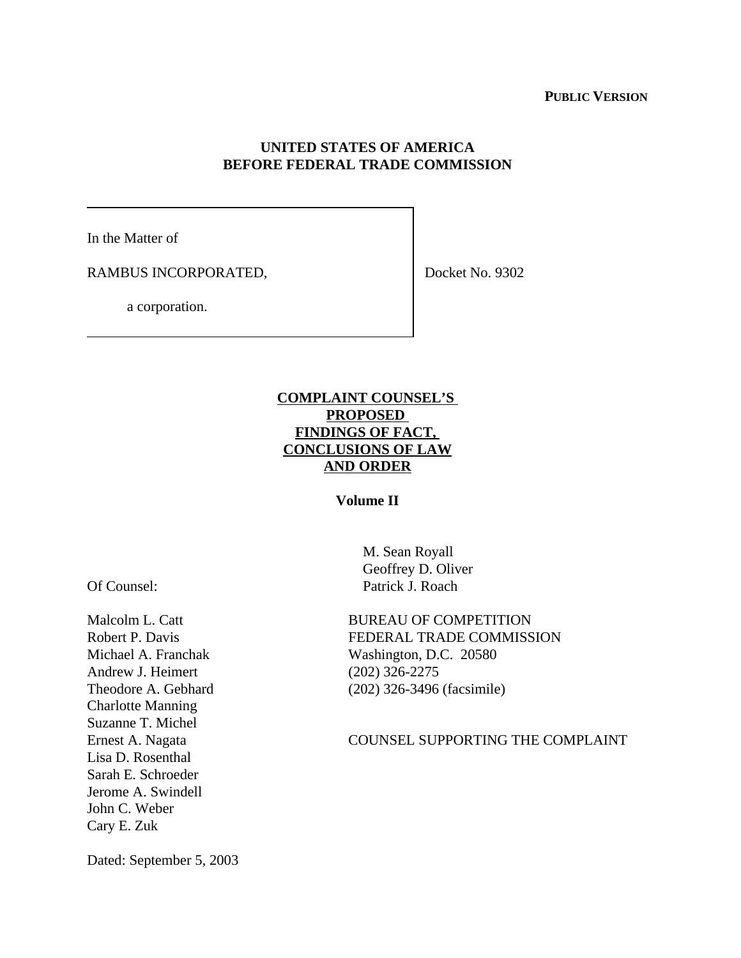### **PUBLIC VERSION**

### **UNITED STATES OF AMERICA BEFORE FEDERAL TRADE COMMISSION**

In the Matter of

RAMBUS INCORPORATED,

Docket No. 9302

a corporation.

# **COMPLAINT COUNSEL'S PROPOSED FINDINGS OF FACT, CONCLUSIONS OF LAW AND ORDER**

### **Volume II**

Of Counsel:

Malcolm L. Catt Robert P. Davis Michael A. Franchak Andrew J. Heimert Theodore A. Gebhard Charlotte Manning Suzanne T. Michel Ernest A. Nagata Lisa D. Rosenthal Sarah E. Schroeder Jerome A. Swindell John C. Weber Cary E. Zuk

 M. Sean Royall Geoffrey D. Oliver Patrick J. Roach

BUREAU OF COMPETITION FEDERAL TRADE COMMISSION Washington, D.C. 20580 (202) 326-2275 (202) 326-3496 (facsimile)

### COUNSEL SUPPORTING THE COMPLAINT

Dated: September 5, 2003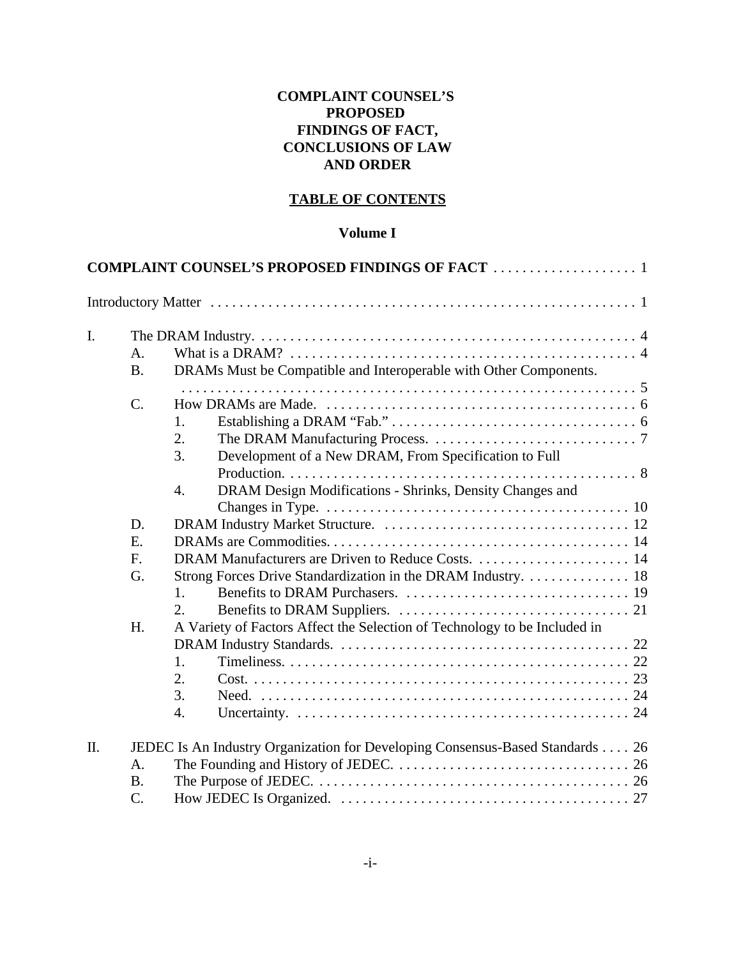# **COMPLAINT COUNSEL'S PROPOSED FINDINGS OF FACT, CONCLUSIONS OF LAW AND ORDER**

### **TABLE OF CONTENTS**

### **Volume I**

|    |                                                                                                                                        | <b>COMPLAINT COUNSEL'S PROPOSED FINDINGS OF FACT  1</b>                       |  |  |  |  |  |
|----|----------------------------------------------------------------------------------------------------------------------------------------|-------------------------------------------------------------------------------|--|--|--|--|--|
|    |                                                                                                                                        |                                                                               |  |  |  |  |  |
| I. | The DRAM Industry. $\dots \dots \dots \dots \dots \dots \dots \dots \dots \dots \dots \dots \dots \dots \dots \dots \dots \dots \dots$ |                                                                               |  |  |  |  |  |
|    | A <sub>1</sub><br>B <sub>1</sub>                                                                                                       | DRAMs Must be Compatible and Interoperable with Other Components.             |  |  |  |  |  |
|    | $\mathcal{C}$ .                                                                                                                        |                                                                               |  |  |  |  |  |
|    |                                                                                                                                        | 1.<br>2.                                                                      |  |  |  |  |  |
|    |                                                                                                                                        | 3.<br>Development of a New DRAM, From Specification to Full                   |  |  |  |  |  |
|    |                                                                                                                                        | DRAM Design Modifications - Shrinks, Density Changes and<br>$\overline{4}$ .  |  |  |  |  |  |
|    |                                                                                                                                        |                                                                               |  |  |  |  |  |
|    | D.                                                                                                                                     |                                                                               |  |  |  |  |  |
|    | E.                                                                                                                                     |                                                                               |  |  |  |  |  |
|    | F.                                                                                                                                     |                                                                               |  |  |  |  |  |
|    | G.                                                                                                                                     | Strong Forces Drive Standardization in the DRAM Industry. 18                  |  |  |  |  |  |
|    |                                                                                                                                        | 1 <sub>1</sub>                                                                |  |  |  |  |  |
|    |                                                                                                                                        | 2.                                                                            |  |  |  |  |  |
|    | H.                                                                                                                                     | A Variety of Factors Affect the Selection of Technology to be Included in     |  |  |  |  |  |
|    |                                                                                                                                        |                                                                               |  |  |  |  |  |
|    |                                                                                                                                        | 1.                                                                            |  |  |  |  |  |
|    |                                                                                                                                        | 2.                                                                            |  |  |  |  |  |
|    |                                                                                                                                        | 3.                                                                            |  |  |  |  |  |
|    |                                                                                                                                        | $\overline{4}$ .                                                              |  |  |  |  |  |
| Π. |                                                                                                                                        | JEDEC Is An Industry Organization for Developing Consensus-Based Standards 26 |  |  |  |  |  |
|    | A.                                                                                                                                     |                                                                               |  |  |  |  |  |
|    | <b>B.</b>                                                                                                                              |                                                                               |  |  |  |  |  |
|    | $\mathcal{C}$ .                                                                                                                        |                                                                               |  |  |  |  |  |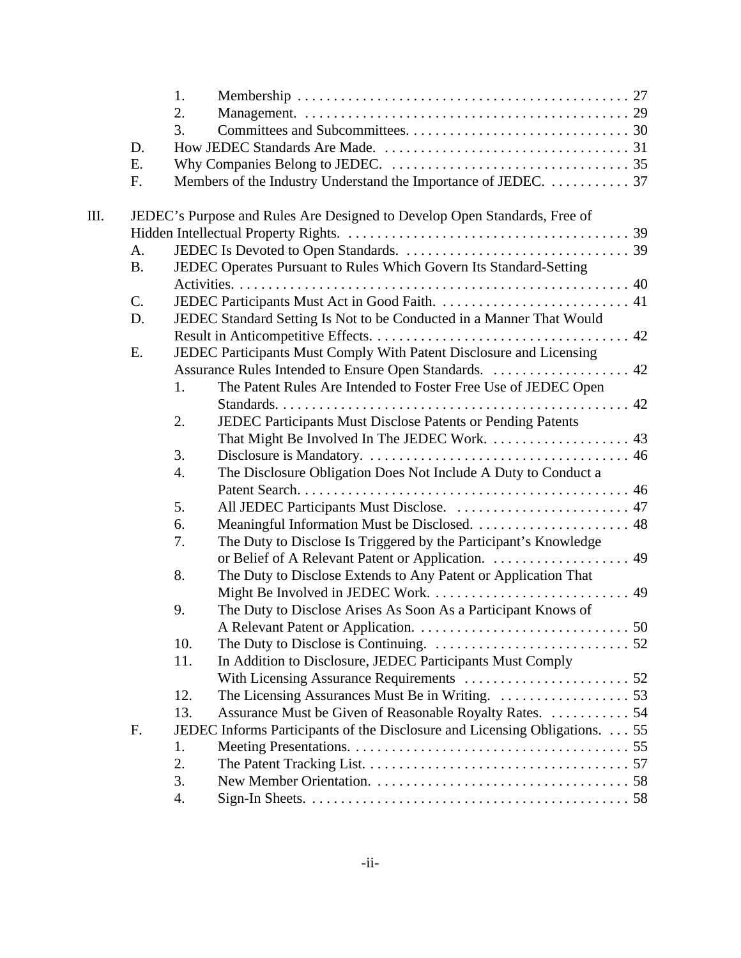|    |           | 1.  |                                                                                                      |  |
|----|-----------|-----|------------------------------------------------------------------------------------------------------|--|
|    |           | 2.  |                                                                                                      |  |
|    |           | 3.  |                                                                                                      |  |
|    | D.        |     |                                                                                                      |  |
|    | E.        |     |                                                                                                      |  |
|    | F.        |     | Members of the Industry Understand the Importance of JEDEC.  37                                      |  |
| Ш. |           |     |                                                                                                      |  |
|    |           |     | JEDEC's Purpose and Rules Are Designed to Develop Open Standards, Free of                            |  |
|    | A.        |     |                                                                                                      |  |
|    |           |     |                                                                                                      |  |
|    | <b>B.</b> |     | JEDEC Operates Pursuant to Rules Which Govern Its Standard-Setting                                   |  |
|    |           |     |                                                                                                      |  |
|    | C.        |     |                                                                                                      |  |
|    | D.        |     | JEDEC Standard Setting Is Not to be Conducted in a Manner That Would                                 |  |
|    |           |     |                                                                                                      |  |
|    | E.        |     | JEDEC Participants Must Comply With Patent Disclosure and Licensing                                  |  |
|    |           |     |                                                                                                      |  |
|    |           | 1.  | The Patent Rules Are Intended to Foster Free Use of JEDEC Open                                       |  |
|    |           |     |                                                                                                      |  |
|    |           | 2.  | JEDEC Participants Must Disclose Patents or Pending Patents                                          |  |
|    |           |     |                                                                                                      |  |
|    |           | 3.  |                                                                                                      |  |
|    |           | 4.  | The Disclosure Obligation Does Not Include A Duty to Conduct a                                       |  |
|    |           |     |                                                                                                      |  |
|    |           | 5.  | All JEDEC Participants Must Disclose.  47                                                            |  |
|    |           | 6.  |                                                                                                      |  |
|    |           | 7.  | The Duty to Disclose Is Triggered by the Participant's Knowledge                                     |  |
|    |           |     |                                                                                                      |  |
|    |           | 8.  | The Duty to Disclose Extends to Any Patent or Application That                                       |  |
|    |           |     |                                                                                                      |  |
|    |           | 9.  | The Duty to Disclose Arises As Soon As a Participant Knows of                                        |  |
|    |           |     |                                                                                                      |  |
|    |           | 10. | The Duty to Disclose is Continuing. $\dots \dots \dots \dots \dots \dots \dots \dots \dots \dots 52$ |  |
|    |           | 11. | In Addition to Disclosure, JEDEC Participants Must Comply                                            |  |
|    |           |     |                                                                                                      |  |
|    |           | 12. |                                                                                                      |  |
|    |           | 13. | Assurance Must be Given of Reasonable Royalty Rates. 54                                              |  |
|    | F.        |     | JEDEC Informs Participants of the Disclosure and Licensing Obligations. 55                           |  |
|    |           | 1.  |                                                                                                      |  |
|    |           | 2.  |                                                                                                      |  |
|    |           | 3.  |                                                                                                      |  |
|    |           | 4.  |                                                                                                      |  |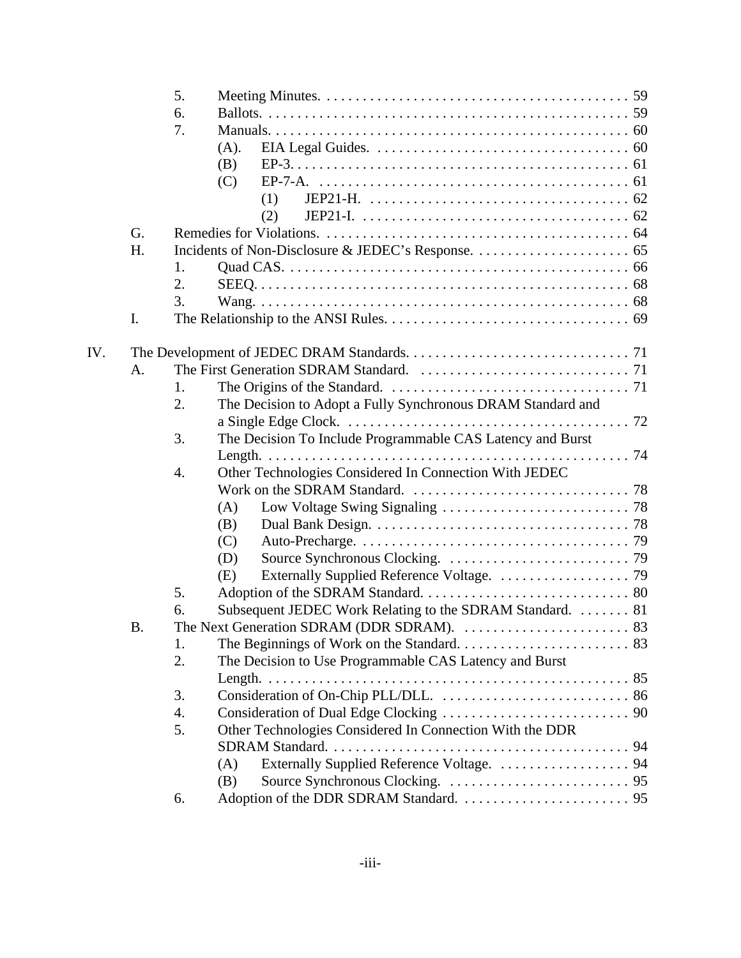|     |           | 5. |                                                             |
|-----|-----------|----|-------------------------------------------------------------|
|     |           | 6. |                                                             |
|     |           | 7. |                                                             |
|     |           |    | (A).                                                        |
|     |           |    | (B)                                                         |
|     |           |    | (C)                                                         |
|     |           |    | (1)                                                         |
|     |           |    | (2)                                                         |
|     | G.        |    |                                                             |
|     | H.        |    |                                                             |
|     |           | 1. |                                                             |
|     |           | 2. |                                                             |
|     |           | 3. |                                                             |
|     | I.        |    |                                                             |
|     |           |    |                                                             |
| IV. |           |    |                                                             |
|     | A.        |    |                                                             |
|     |           | 1. |                                                             |
|     |           | 2. | The Decision to Adopt a Fully Synchronous DRAM Standard and |
|     |           |    |                                                             |
|     |           | 3. | The Decision To Include Programmable CAS Latency and Burst  |
|     |           |    |                                                             |
|     |           | 4. | Other Technologies Considered In Connection With JEDEC      |
|     |           |    |                                                             |
|     |           |    | (A)                                                         |
|     |           |    | (B)                                                         |
|     |           |    | (C)                                                         |
|     |           |    | (D)                                                         |
|     |           |    | (E)                                                         |
|     |           | 5. |                                                             |
|     |           | 6. | Subsequent JEDEC Work Relating to the SDRAM Standard.  81   |
|     | <b>B.</b> |    |                                                             |
|     |           | 1. |                                                             |
|     |           | 2. | The Decision to Use Programmable CAS Latency and Burst      |
|     |           |    | Length. $\ldots$                                            |
|     |           |    |                                                             |
|     |           | 3. |                                                             |
|     |           | 4. |                                                             |
|     |           | 5. | Other Technologies Considered In Connection With the DDR    |
|     |           |    |                                                             |
|     |           |    | Externally Supplied Reference Voltage.  94<br>(A)           |
|     |           |    | (B)                                                         |
|     |           | 6. |                                                             |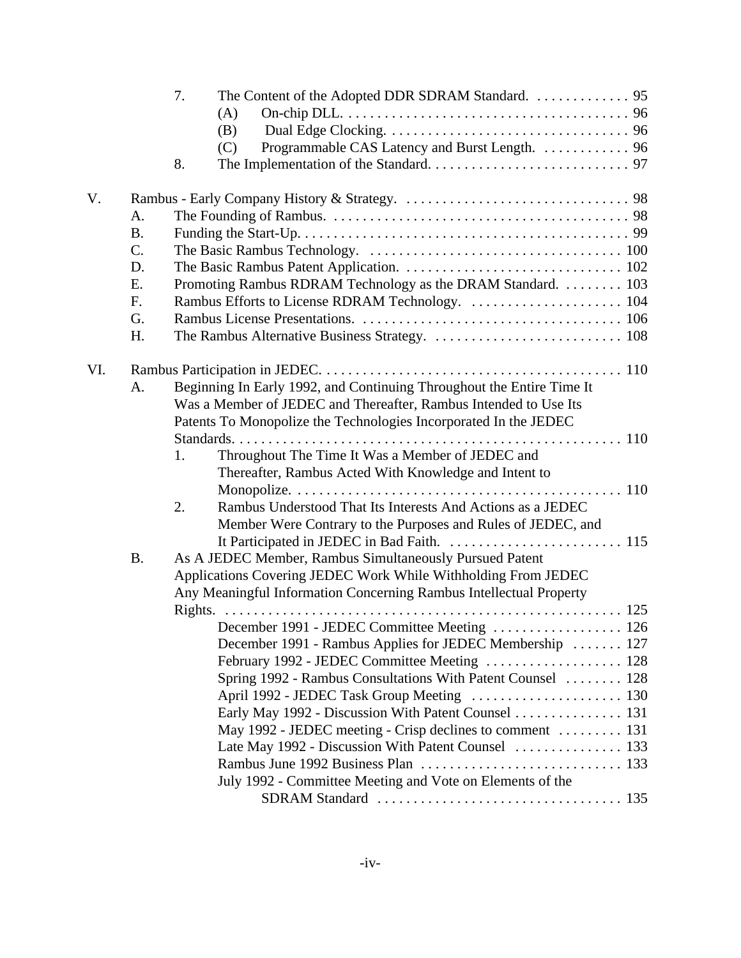|     |                 | 7.                                                                    |  |
|-----|-----------------|-----------------------------------------------------------------------|--|
|     |                 | (A)                                                                   |  |
|     |                 | (B)                                                                   |  |
|     |                 | Programmable CAS Latency and Burst Length.  96<br>(C)                 |  |
|     |                 | 8.                                                                    |  |
| V.  |                 |                                                                       |  |
|     | A.              |                                                                       |  |
|     | <b>B.</b>       |                                                                       |  |
|     | $\mathcal{C}$ . |                                                                       |  |
|     | D.              |                                                                       |  |
|     | E.              | Promoting Rambus RDRAM Technology as the DRAM Standard. 103           |  |
|     | F.              | Rambus Efforts to License RDRAM Technology.  104                      |  |
|     | G.              |                                                                       |  |
|     | H.              |                                                                       |  |
| VI. |                 |                                                                       |  |
|     | A.              | Beginning In Early 1992, and Continuing Throughout the Entire Time It |  |
|     |                 | Was a Member of JEDEC and Thereafter, Rambus Intended to Use Its      |  |
|     |                 | Patents To Monopolize the Technologies Incorporated In the JEDEC      |  |
|     |                 |                                                                       |  |
|     |                 | 1.<br>Throughout The Time It Was a Member of JEDEC and                |  |
|     |                 | Thereafter, Rambus Acted With Knowledge and Intent to                 |  |
|     |                 |                                                                       |  |
|     |                 | Rambus Understood That Its Interests And Actions as a JEDEC<br>2.     |  |
|     |                 | Member Were Contrary to the Purposes and Rules of JEDEC, and          |  |
|     |                 |                                                                       |  |
|     | <b>B.</b>       | As A JEDEC Member, Rambus Simultaneously Pursued Patent               |  |
|     |                 | Applications Covering JEDEC Work While Withholding From JEDEC         |  |
|     |                 | Any Meaningful Information Concerning Rambus Intellectual Property    |  |
|     |                 |                                                                       |  |
|     |                 | December 1991 - JEDEC Committee Meeting  126                          |  |
|     |                 | December 1991 - Rambus Applies for JEDEC Membership  127              |  |
|     |                 |                                                                       |  |
|     |                 | Spring 1992 - Rambus Consultations With Patent Counsel  128           |  |
|     |                 | April 1992 - JEDEC Task Group Meeting  130                            |  |
|     |                 | Early May 1992 - Discussion With Patent Counsel 131                   |  |
|     |                 | May 1992 - JEDEC meeting - Crisp declines to comment  131             |  |
|     |                 | Late May 1992 - Discussion With Patent Counsel  133                   |  |
|     |                 |                                                                       |  |
|     |                 | July 1992 - Committee Meeting and Vote on Elements of the             |  |
|     |                 |                                                                       |  |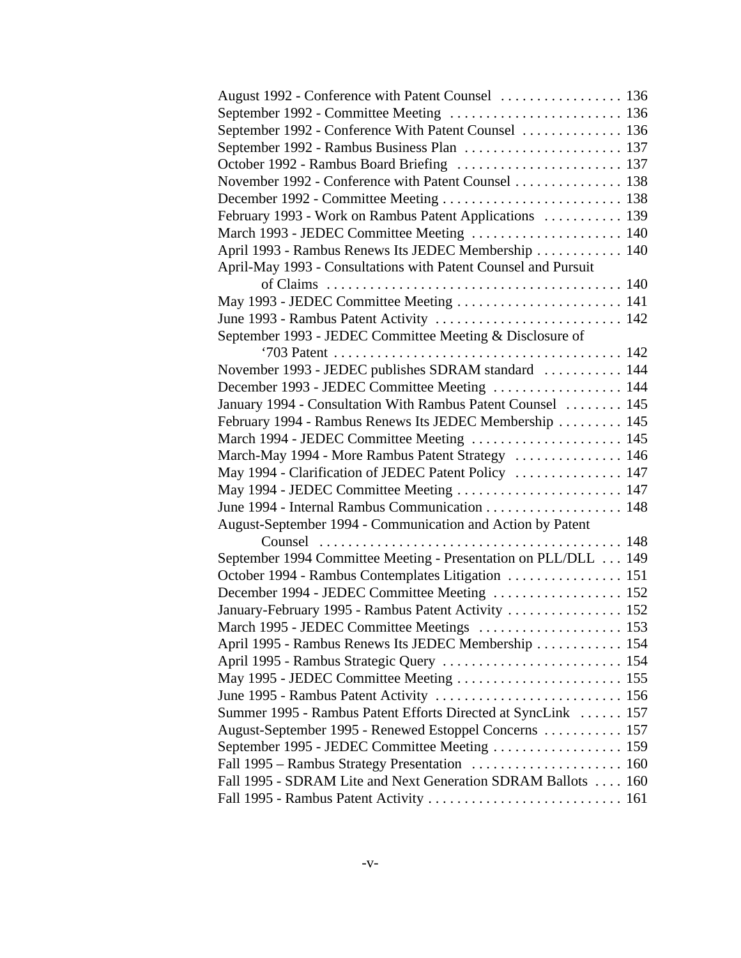| August 1992 - Conference with Patent Counsel  136               |  |
|-----------------------------------------------------------------|--|
| September 1992 - Committee Meeting  136                         |  |
| September 1992 - Conference With Patent Counsel  136            |  |
| September 1992 - Rambus Business Plan  137                      |  |
|                                                                 |  |
| November 1992 - Conference with Patent Counsel 138              |  |
|                                                                 |  |
| February 1993 - Work on Rambus Patent Applications  139         |  |
| March 1993 - JEDEC Committee Meeting  140                       |  |
| April 1993 - Rambus Renews Its JEDEC Membership  140            |  |
| April-May 1993 - Consultations with Patent Counsel and Pursuit  |  |
|                                                                 |  |
| May 1993 - JEDEC Committee Meeting  141                         |  |
|                                                                 |  |
| September 1993 - JEDEC Committee Meeting & Disclosure of        |  |
|                                                                 |  |
| November 1993 - JEDEC publishes SDRAM standard  144             |  |
| December 1993 - JEDEC Committee Meeting  144                    |  |
| January 1994 - Consultation With Rambus Patent Counsel  145     |  |
| February 1994 - Rambus Renews Its JEDEC Membership  145         |  |
| March 1994 - JEDEC Committee Meeting  145                       |  |
| March-May 1994 - More Rambus Patent Strategy  146               |  |
| May 1994 - Clarification of JEDEC Patent Policy  147            |  |
| May 1994 - JEDEC Committee Meeting  147                         |  |
|                                                                 |  |
| August-September 1994 - Communication and Action by Patent      |  |
|                                                                 |  |
| September 1994 Committee Meeting - Presentation on PLL/DLL  149 |  |
| October 1994 - Rambus Contemplates Litigation  151              |  |
| December 1994 - JEDEC Committee Meeting  152                    |  |
| January-February 1995 - Rambus Patent Activity  152             |  |
| March 1995 - JEDEC Committee Meetings  153                      |  |
| April 1995 - Rambus Renews Its JEDEC Membership  154            |  |
| April 1995 - Rambus Strategic Query  154                        |  |
|                                                                 |  |
|                                                                 |  |
| Summer 1995 - Rambus Patent Efforts Directed at SyncLink  157   |  |
| August-September 1995 - Renewed Estoppel Concerns  157          |  |
| September 1995 - JEDEC Committee Meeting  159                   |  |
|                                                                 |  |
| Fall 1995 - SDRAM Lite and Next Generation SDRAM Ballots  160   |  |
|                                                                 |  |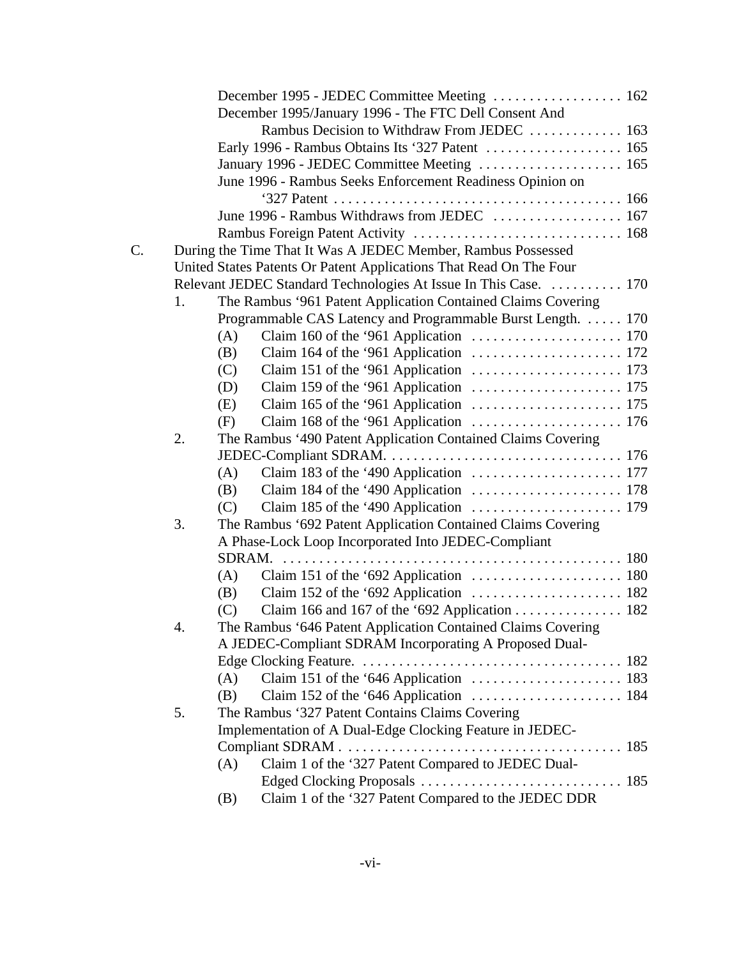|    |             | December 1995 - JEDEC Committee Meeting  162                                                         |
|----|-------------|------------------------------------------------------------------------------------------------------|
|    |             | December 1995/January 1996 - The FTC Dell Consent And                                                |
|    |             | Rambus Decision to Withdraw From JEDEC  163                                                          |
|    |             |                                                                                                      |
|    |             | January 1996 - JEDEC Committee Meeting  165                                                          |
|    |             | June 1996 - Rambus Seeks Enforcement Readiness Opinion on                                            |
|    |             |                                                                                                      |
|    |             |                                                                                                      |
|    |             |                                                                                                      |
| C. |             | During the Time That It Was A JEDEC Member, Rambus Possessed                                         |
|    |             | United States Patents Or Patent Applications That Read On The Four                                   |
|    |             | Relevant JEDEC Standard Technologies At Issue In This Case.  170                                     |
|    | 1.          | The Rambus '961 Patent Application Contained Claims Covering                                         |
|    |             | Programmable CAS Latency and Programmable Burst Length. 170                                          |
|    |             | (A)                                                                                                  |
|    |             | Claim 164 of the '961 Application $\dots \dots \dots \dots \dots \dots \dots \dots 172$<br>(B)       |
|    |             | (C)                                                                                                  |
|    |             | (D)                                                                                                  |
|    |             | (E)                                                                                                  |
|    |             | (F)                                                                                                  |
|    | 2.          | The Rambus '490 Patent Application Contained Claims Covering                                         |
|    |             |                                                                                                      |
|    |             | Claim 183 of the '490 Application $\dots \dots \dots \dots \dots \dots \dots \dots 177$<br>(A)       |
|    |             | Claim 184 of the '490 Application $\dots \dots \dots \dots \dots \dots \dots \dots 178$<br>(B)       |
|    |             | (C)                                                                                                  |
|    | 3.          | The Rambus '692 Patent Application Contained Claims Covering                                         |
|    |             | A Phase-Lock Loop Incorporated Into JEDEC-Compliant                                                  |
|    |             | $SDRAM$ .                                                                                            |
|    |             | Claim 151 of the '692 Application $\dots \dots \dots \dots \dots \dots \dots \dots \dots$ 180<br>(A) |
|    |             | Claim 152 of the '692 Application $\dots \dots \dots \dots \dots \dots \dots \dots$ 182<br>(B)       |
|    |             | Claim 166 and 167 of the '692 Application 182<br>(C)                                                 |
|    | $\mathbf 4$ | The Rambus '646 Patent Application Contained Claims Covering                                         |
|    |             | A JEDEC-Compliant SDRAM Incorporating A Proposed Dual-                                               |
|    |             |                                                                                                      |
|    |             | (A)                                                                                                  |
|    |             | (B)                                                                                                  |
|    | 5.          | The Rambus '327 Patent Contains Claims Covering                                                      |
|    |             | Implementation of A Dual-Edge Clocking Feature in JEDEC-                                             |
|    |             |                                                                                                      |
|    |             | Claim 1 of the '327 Patent Compared to JEDEC Dual-<br>(A)                                            |
|    |             |                                                                                                      |
|    |             | Claim 1 of the '327 Patent Compared to the JEDEC DDR<br>(B)                                          |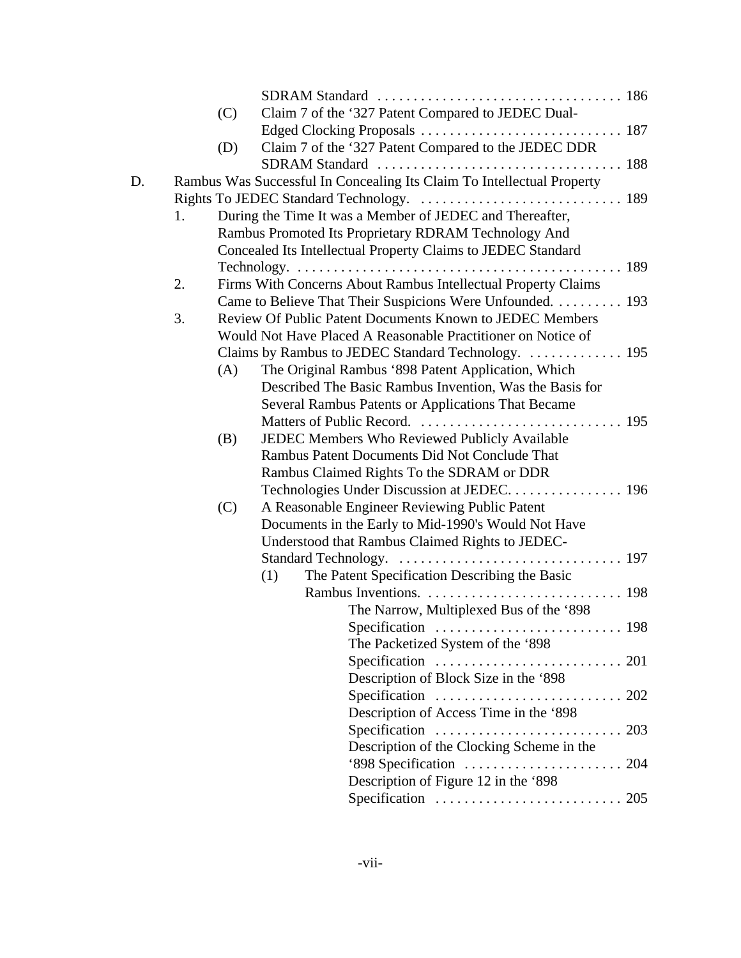|    |    | (C) | Claim 7 of the '327 Patent Compared to JEDEC Dual-                                 |
|----|----|-----|------------------------------------------------------------------------------------|
|    |    |     |                                                                                    |
|    |    | (D) | Claim 7 of the '327 Patent Compared to the JEDEC DDR                               |
|    |    |     |                                                                                    |
| D. |    |     | Rambus Was Successful In Concealing Its Claim To Intellectual Property             |
|    |    |     |                                                                                    |
|    | 1. |     | During the Time It was a Member of JEDEC and Thereafter,                           |
|    |    |     | Rambus Promoted Its Proprietary RDRAM Technology And                               |
|    |    |     | Concealed Its Intellectual Property Claims to JEDEC Standard                       |
|    |    |     |                                                                                    |
|    | 2. |     | Firms With Concerns About Rambus Intellectual Property Claims                      |
|    |    |     | Came to Believe That Their Suspicions Were Unfounded. 193                          |
|    | 3. |     | Review Of Public Patent Documents Known to JEDEC Members                           |
|    |    |     | Would Not Have Placed A Reasonable Practitioner on Notice of                       |
|    |    |     |                                                                                    |
|    |    | (A) | The Original Rambus '898 Patent Application, Which                                 |
|    |    |     | Described The Basic Rambus Invention, Was the Basis for                            |
|    |    |     | Several Rambus Patents or Applications That Became                                 |
|    |    |     |                                                                                    |
|    |    | (B) | JEDEC Members Who Reviewed Publicly Available                                      |
|    |    |     | Rambus Patent Documents Did Not Conclude That                                      |
|    |    |     | Rambus Claimed Rights To the SDRAM or DDR                                          |
|    |    |     |                                                                                    |
|    |    | (C) | A Reasonable Engineer Reviewing Public Patent                                      |
|    |    |     | Documents in the Early to Mid-1990's Would Not Have                                |
|    |    |     | Understood that Rambus Claimed Rights to JEDEC-                                    |
|    |    |     |                                                                                    |
|    |    |     | The Patent Specification Describing the Basic<br>(1)                               |
|    |    |     |                                                                                    |
|    |    |     | The Narrow, Multiplexed Bus of the '898                                            |
|    |    |     | Specification $\ldots \ldots \ldots \ldots \ldots \ldots \ldots \ldots \ldots$ 198 |
|    |    |     | The Packetized System of the '898                                                  |
|    |    |     | Specification $\ldots \ldots \ldots \ldots \ldots \ldots \ldots \ldots 201$        |
|    |    |     | Description of Block Size in the '898                                              |
|    |    |     | Specification $\ldots \ldots \ldots \ldots \ldots \ldots \ldots \ldots 202$        |
|    |    |     | Description of Access Time in the '898                                             |
|    |    |     | Specification $\ldots \ldots \ldots \ldots \ldots \ldots \ldots \ldots$ 203        |
|    |    |     | Description of the Clocking Scheme in the                                          |
|    |    |     |                                                                                    |
|    |    |     | Description of Figure 12 in the '898                                               |
|    |    |     | Specification $\ldots \ldots \ldots \ldots \ldots \ldots \ldots \ldots$ 205        |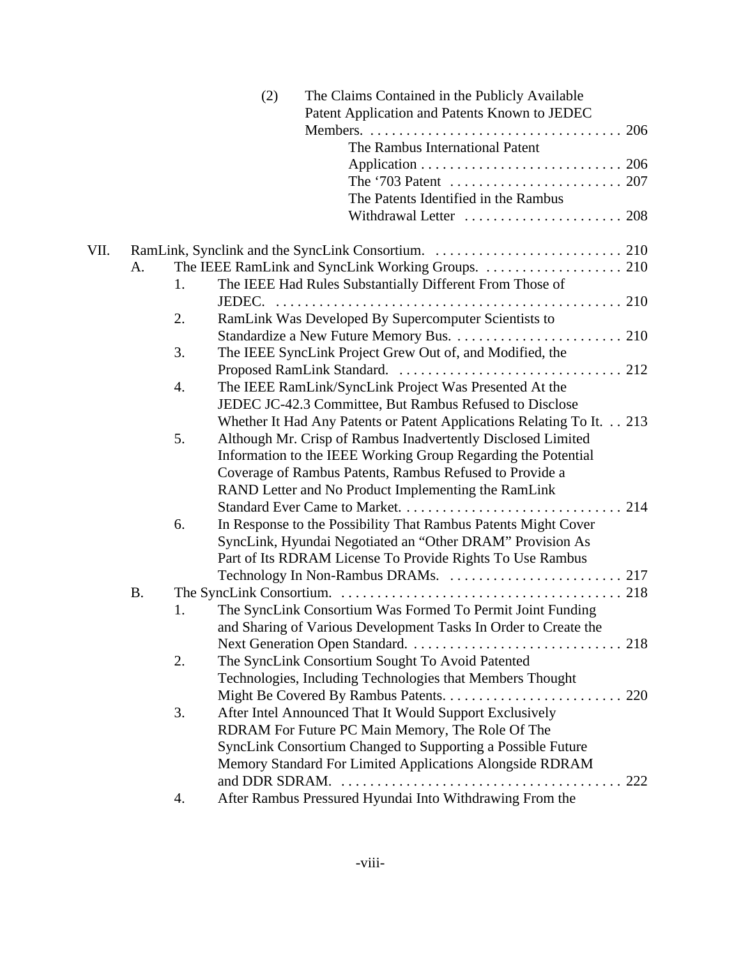|      |           |    | (2)<br>The Claims Contained in the Publicly Available<br>Patent Application and Patents Known to JEDEC |
|------|-----------|----|--------------------------------------------------------------------------------------------------------|
|      |           |    |                                                                                                        |
|      |           |    | The Rambus International Patent                                                                        |
|      |           |    |                                                                                                        |
|      |           |    |                                                                                                        |
|      |           |    | The Patents Identified in the Rambus                                                                   |
|      |           |    |                                                                                                        |
| VII. |           |    |                                                                                                        |
|      | A.        |    |                                                                                                        |
|      |           | 1. | The IEEE Had Rules Substantially Different From Those of                                               |
|      |           |    |                                                                                                        |
|      |           | 2. | RamLink Was Developed By Supercomputer Scientists to                                                   |
|      |           |    |                                                                                                        |
|      |           | 3. | The IEEE SyncLink Project Grew Out of, and Modified, the                                               |
|      |           |    |                                                                                                        |
|      |           | 4. | The IEEE RamLink/SyncLink Project Was Presented At the                                                 |
|      |           |    | JEDEC JC-42.3 Committee, But Rambus Refused to Disclose                                                |
|      |           |    | Whether It Had Any Patents or Patent Applications Relating To It. 213                                  |
|      |           | 5. | Although Mr. Crisp of Rambus Inadvertently Disclosed Limited                                           |
|      |           |    | Information to the IEEE Working Group Regarding the Potential                                          |
|      |           |    | Coverage of Rambus Patents, Rambus Refused to Provide a                                                |
|      |           |    | RAND Letter and No Product Implementing the RamLink                                                    |
|      |           |    |                                                                                                        |
|      |           | 6. | In Response to the Possibility That Rambus Patents Might Cover                                         |
|      |           |    | SyncLink, Hyundai Negotiated an "Other DRAM" Provision As                                              |
|      |           |    | Part of Its RDRAM License To Provide Rights To Use Rambus                                              |
|      |           |    |                                                                                                        |
|      | <b>B.</b> |    |                                                                                                        |
|      |           | 1. | The SyncLink Consortium Was Formed To Permit Joint Funding                                             |
|      |           |    | and Sharing of Various Development Tasks In Order to Create the                                        |
|      |           |    |                                                                                                        |
|      |           | 2. | The SyncLink Consortium Sought To Avoid Patented                                                       |
|      |           |    | Technologies, Including Technologies that Members Thought                                              |
|      |           |    |                                                                                                        |
|      |           | 3. | After Intel Announced That It Would Support Exclusively                                                |
|      |           |    | RDRAM For Future PC Main Memory, The Role Of The                                                       |
|      |           |    | SyncLink Consortium Changed to Supporting a Possible Future                                            |
|      |           |    | Memory Standard For Limited Applications Alongside RDRAM                                               |
|      |           |    | and DDR SDRAM.<br>222                                                                                  |
|      |           | 4. | After Rambus Pressured Hyundai Into Withdrawing From the                                               |
|      |           |    |                                                                                                        |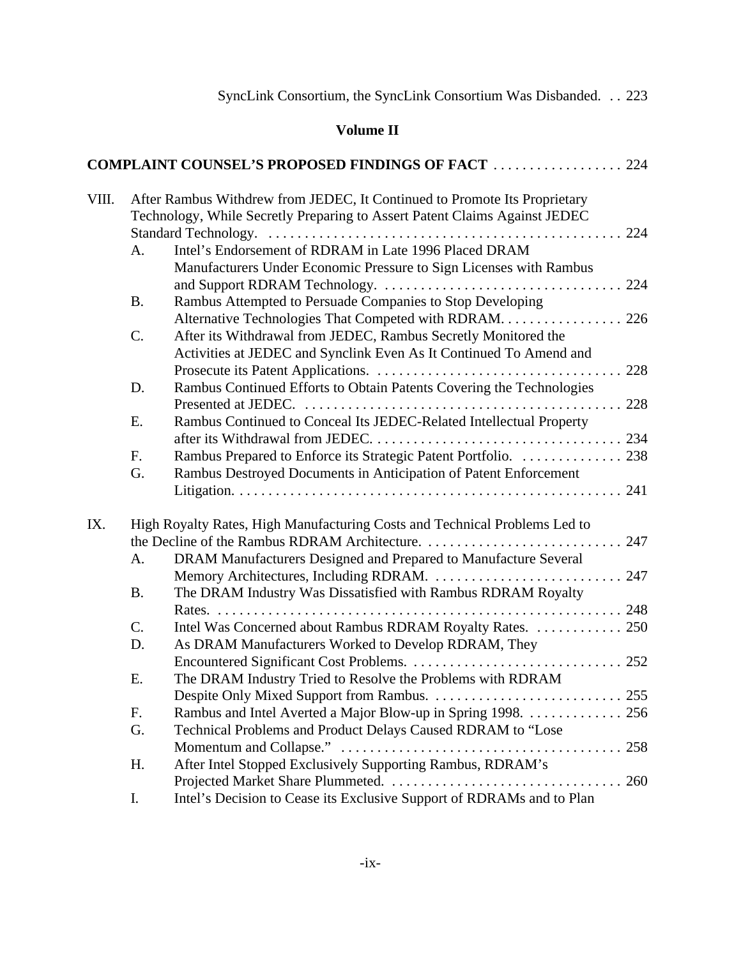# **Volume II**

|       |           | <b>COMPLAINT COUNSEL'S PROPOSED FINDINGS OF FACT  224</b>                  |
|-------|-----------|----------------------------------------------------------------------------|
| VIII. |           | After Rambus Withdrew from JEDEC, It Continued to Promote Its Proprietary  |
|       |           | Technology, While Secretly Preparing to Assert Patent Claims Against JEDEC |
|       |           |                                                                            |
|       | A.        | Intel's Endorsement of RDRAM in Late 1996 Placed DRAM                      |
|       |           | Manufacturers Under Economic Pressure to Sign Licenses with Rambus         |
|       |           |                                                                            |
|       | <b>B.</b> | Rambus Attempted to Persuade Companies to Stop Developing                  |
|       |           | Alternative Technologies That Competed with RDRAM 226                      |
|       | C.        | After its Withdrawal from JEDEC, Rambus Secretly Monitored the             |
|       |           | Activities at JEDEC and Synclink Even As It Continued To Amend and         |
|       |           |                                                                            |
|       | D.        | Rambus Continued Efforts to Obtain Patents Covering the Technologies       |
|       |           |                                                                            |
|       | Ε.        | Rambus Continued to Conceal Its JEDEC-Related Intellectual Property        |
|       |           |                                                                            |
|       | F.        | Rambus Prepared to Enforce its Strategic Patent Portfolio.  238            |
|       | G.        | Rambus Destroyed Documents in Anticipation of Patent Enforcement           |
|       |           |                                                                            |
| IX.   |           | High Royalty Rates, High Manufacturing Costs and Technical Problems Led to |
|       |           |                                                                            |
|       | A.        | DRAM Manufacturers Designed and Prepared to Manufacture Several            |
|       |           | Memory Architectures, Including RDRAM.  247                                |
|       | <b>B.</b> | The DRAM Industry Was Dissatisfied with Rambus RDRAM Royalty               |
|       |           |                                                                            |
|       | C.        | Intel Was Concerned about Rambus RDRAM Royalty Rates.  250                 |
|       | D.        | As DRAM Manufacturers Worked to Develop RDRAM, They                        |
|       |           |                                                                            |
|       | E.        | The DRAM Industry Tried to Resolve the Problems with RDRAM                 |
|       |           |                                                                            |
|       | F.        | Rambus and Intel Averted a Major Blow-up in Spring 1998. 256               |
|       | G.        | Technical Problems and Product Delays Caused RDRAM to "Lose                |
|       |           | 258                                                                        |
|       | Η.        | After Intel Stopped Exclusively Supporting Rambus, RDRAM's                 |
|       |           | 260                                                                        |
|       | I.        | Intel's Decision to Cease its Exclusive Support of RDRAMs and to Plan      |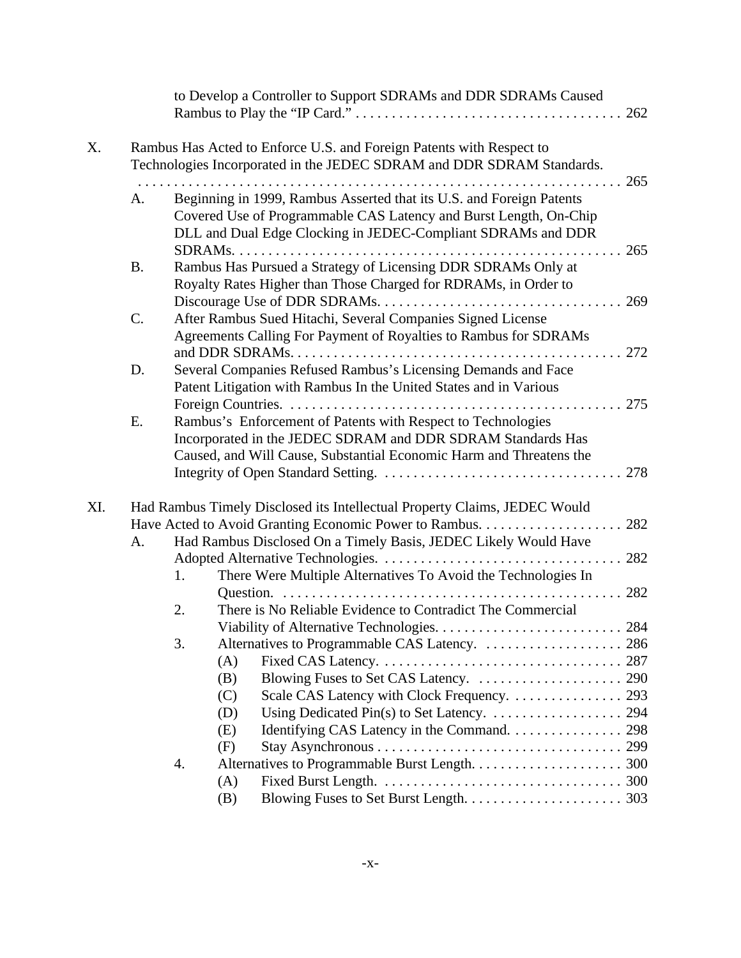|     |           |     | to Develop a Controller to Support SDRAMs and DDR SDRAMs Caused                                                                                                                                           |  |
|-----|-----------|-----|-----------------------------------------------------------------------------------------------------------------------------------------------------------------------------------------------------------|--|
| X.  |           |     | Rambus Has Acted to Enforce U.S. and Foreign Patents with Respect to<br>Technologies Incorporated in the JEDEC SDRAM and DDR SDRAM Standards.                                                             |  |
|     | A.        |     | Beginning in 1999, Rambus Asserted that its U.S. and Foreign Patents<br>Covered Use of Programmable CAS Latency and Burst Length, On-Chip<br>DLL and Dual Edge Clocking in JEDEC-Compliant SDRAMs and DDR |  |
|     | <b>B.</b> |     | Rambus Has Pursued a Strategy of Licensing DDR SDRAMs Only at<br>Royalty Rates Higher than Those Charged for RDRAMs, in Order to                                                                          |  |
|     | C.        |     | After Rambus Sued Hitachi, Several Companies Signed License<br>Agreements Calling For Payment of Royalties to Rambus for SDRAMs                                                                           |  |
|     | D.        |     | Several Companies Refused Rambus's Licensing Demands and Face<br>Patent Litigation with Rambus In the United States and in Various                                                                        |  |
|     | E.        |     | Rambus's Enforcement of Patents with Respect to Technologies<br>Incorporated in the JEDEC SDRAM and DDR SDRAM Standards Has<br>Caused, and Will Cause, Substantial Economic Harm and Threatens the        |  |
| XI. |           |     | Had Rambus Timely Disclosed its Intellectual Property Claims, JEDEC Would                                                                                                                                 |  |
|     | А.        |     | Had Rambus Disclosed On a Timely Basis, JEDEC Likely Would Have                                                                                                                                           |  |
|     |           | 1.  | There Were Multiple Alternatives To Avoid the Technologies In                                                                                                                                             |  |
|     |           | 2.  | There is No Reliable Evidence to Contradict The Commercial                                                                                                                                                |  |
|     |           |     |                                                                                                                                                                                                           |  |
|     |           | 3.  |                                                                                                                                                                                                           |  |
|     |           | (A) |                                                                                                                                                                                                           |  |
|     |           | (B) |                                                                                                                                                                                                           |  |
|     |           | (C) |                                                                                                                                                                                                           |  |
|     |           | (D) |                                                                                                                                                                                                           |  |
|     |           | (E) | Identifying CAS Latency in the Command. 298                                                                                                                                                               |  |
|     |           | (F) |                                                                                                                                                                                                           |  |
|     |           | 4.  |                                                                                                                                                                                                           |  |
|     |           | (A) |                                                                                                                                                                                                           |  |
|     |           | (B) |                                                                                                                                                                                                           |  |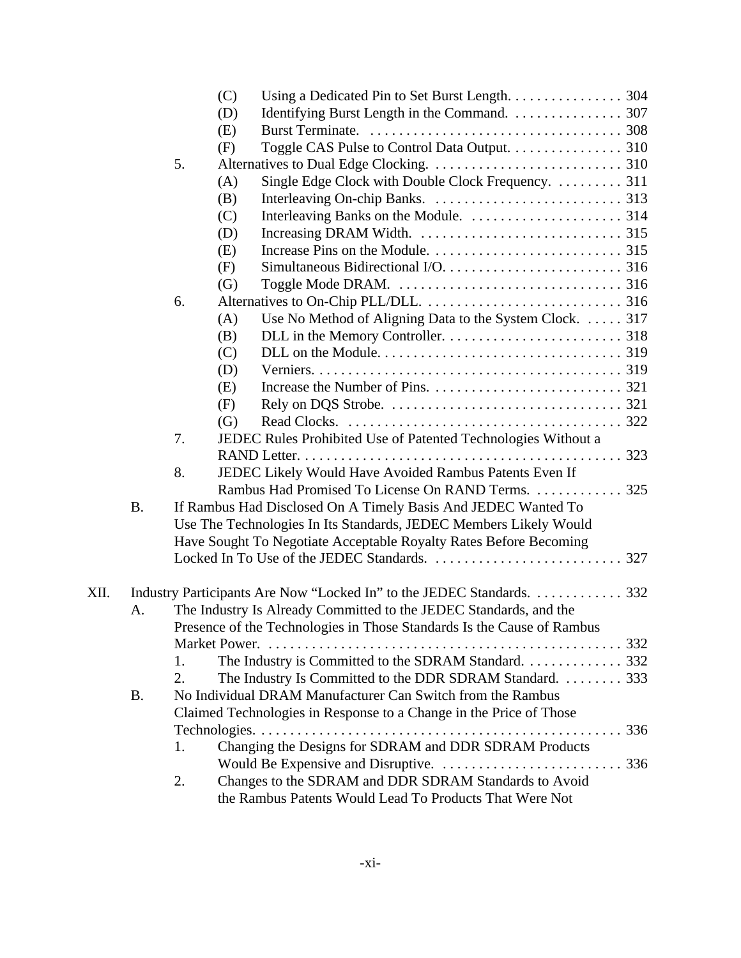|      |           |    | (C) |                                                                        |     |
|------|-----------|----|-----|------------------------------------------------------------------------|-----|
|      |           |    | (D) | Identifying Burst Length in the Command. 307                           |     |
|      |           |    | (E) |                                                                        |     |
|      |           |    | (F) | Toggle CAS Pulse to Control Data Output. 310                           |     |
|      |           | 5. |     |                                                                        |     |
|      |           |    | (A) | Single Edge Clock with Double Clock Frequency.  311                    |     |
|      |           |    | (B) |                                                                        |     |
|      |           |    | (C) |                                                                        |     |
|      |           |    | (D) |                                                                        |     |
|      |           |    | (E) |                                                                        |     |
|      |           |    | (F) |                                                                        |     |
|      |           |    | (G) |                                                                        |     |
|      |           | 6. |     |                                                                        |     |
|      |           |    | (A) | Use No Method of Aligning Data to the System Clock.  317               |     |
|      |           |    | (B) |                                                                        |     |
|      |           |    | (C) |                                                                        |     |
|      |           |    | (D) |                                                                        |     |
|      |           |    | (E) |                                                                        |     |
|      |           |    | (F) |                                                                        |     |
|      |           |    | (G) |                                                                        |     |
|      |           | 7. |     | JEDEC Rules Prohibited Use of Patented Technologies Without a          |     |
|      |           |    |     |                                                                        |     |
|      |           | 8. |     | JEDEC Likely Would Have Avoided Rambus Patents Even If                 |     |
|      |           |    |     | Rambus Had Promised To License On RAND Terms. 325                      |     |
|      | <b>B.</b> |    |     | If Rambus Had Disclosed On A Timely Basis And JEDEC Wanted To          |     |
|      |           |    |     | Use The Technologies In Its Standards, JEDEC Members Likely Would      |     |
|      |           |    |     | Have Sought To Negotiate Acceptable Royalty Rates Before Becoming      |     |
|      |           |    |     |                                                                        | 327 |
|      |           |    |     |                                                                        |     |
| XII. |           |    |     | Industry Participants Are Now "Locked In" to the JEDEC Standards. 332  |     |
|      | A.        |    |     | The Industry Is Already Committed to the JEDEC Standards, and the      |     |
|      |           |    |     | Presence of the Technologies in Those Standards Is the Cause of Rambus |     |
|      |           |    |     |                                                                        |     |
|      |           | 1. |     | The Industry is Committed to the SDRAM Standard. 332                   |     |
|      |           | 2. |     | The Industry Is Committed to the DDR SDRAM Standard. 333               |     |
|      | <b>B.</b> |    |     | No Individual DRAM Manufacturer Can Switch from the Rambus             |     |
|      |           |    |     | Claimed Technologies in Response to a Change in the Price of Those     |     |
|      |           |    |     |                                                                        |     |
|      |           | 1. |     | Changing the Designs for SDRAM and DDR SDRAM Products                  |     |
|      |           |    |     |                                                                        |     |
|      |           | 2. |     | Changes to the SDRAM and DDR SDRAM Standards to Avoid                  |     |
|      |           |    |     | the Rambus Patents Would Lead To Products That Were Not                |     |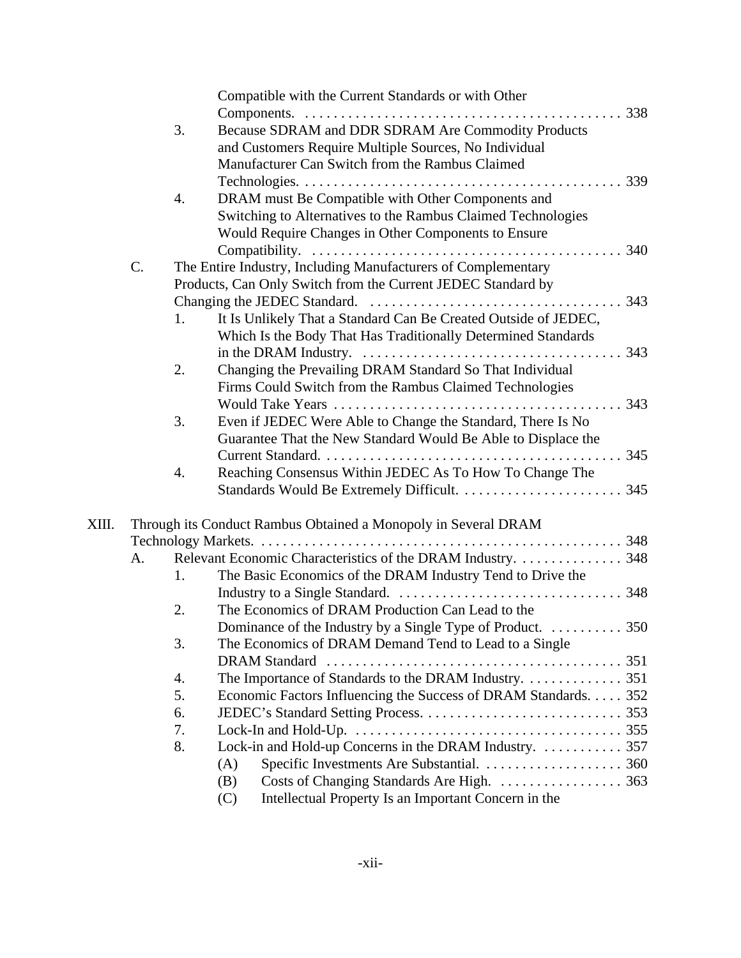|       |    |    | Compatible with the Current Standards or with Other                                                             |     |
|-------|----|----|-----------------------------------------------------------------------------------------------------------------|-----|
|       |    |    |                                                                                                                 |     |
|       |    | 3. | Because SDRAM and DDR SDRAM Are Commodity Products                                                              |     |
|       |    |    | and Customers Require Multiple Sources, No Individual                                                           |     |
|       |    |    | Manufacturer Can Switch from the Rambus Claimed                                                                 |     |
|       |    |    |                                                                                                                 |     |
|       |    | 4. | DRAM must Be Compatible with Other Components and                                                               |     |
|       |    |    | Switching to Alternatives to the Rambus Claimed Technologies                                                    |     |
|       |    |    | Would Require Changes in Other Components to Ensure                                                             |     |
|       |    |    |                                                                                                                 |     |
|       | C. |    | The Entire Industry, Including Manufacturers of Complementary                                                   |     |
|       |    |    | Products, Can Only Switch from the Current JEDEC Standard by                                                    |     |
|       |    |    |                                                                                                                 |     |
|       |    | 1. | It Is Unlikely That a Standard Can Be Created Outside of JEDEC,                                                 |     |
|       |    |    | Which Is the Body That Has Traditionally Determined Standards                                                   |     |
|       |    |    | in the DRAM Industry. $\dots \dots \dots \dots \dots \dots \dots \dots \dots \dots \dots \dots \dots \dots$ 343 |     |
|       |    | 2. | Changing the Prevailing DRAM Standard So That Individual                                                        |     |
|       |    |    |                                                                                                                 |     |
|       |    |    | Firms Could Switch from the Rambus Claimed Technologies                                                         |     |
|       |    |    |                                                                                                                 | 343 |
|       |    | 3. | Even if JEDEC Were Able to Change the Standard, There Is No                                                     |     |
|       |    |    | Guarantee That the New Standard Would Be Able to Displace the                                                   |     |
|       |    |    |                                                                                                                 |     |
|       |    | 4. | Reaching Consensus Within JEDEC As To How To Change The                                                         |     |
|       |    |    |                                                                                                                 |     |
| XIII. |    |    | Through its Conduct Rambus Obtained a Monopoly in Several DRAM                                                  |     |
|       |    |    |                                                                                                                 |     |
|       | А. |    | Relevant Economic Characteristics of the DRAM Industry. 348                                                     |     |
|       |    | 1. | The Basic Economics of the DRAM Industry Tend to Drive the                                                      |     |
|       |    |    |                                                                                                                 |     |
|       |    | 2. | The Economics of DRAM Production Can Lead to the                                                                |     |
|       |    |    | . 350<br>Dominance of the Industry by a Single Type of Product.                                                 |     |
|       |    | 3. | The Economics of DRAM Demand Tend to Lead to a Single                                                           |     |
|       |    |    | <b>DRAM</b> Standard                                                                                            |     |
|       |    | 4. | The Importance of Standards to the DRAM Industry. 351                                                           |     |
|       |    | 5. | Economic Factors Influencing the Success of DRAM Standards. 352                                                 |     |
|       |    | 6. |                                                                                                                 |     |
|       |    |    |                                                                                                                 |     |
|       |    | 7. |                                                                                                                 |     |
|       |    | 8. | Lock-in and Hold-up Concerns in the DRAM Industry.  357                                                         |     |
|       |    |    | (A)                                                                                                             |     |
|       |    |    | (B)                                                                                                             |     |
|       |    |    | Intellectual Property Is an Important Concern in the<br>(C)                                                     |     |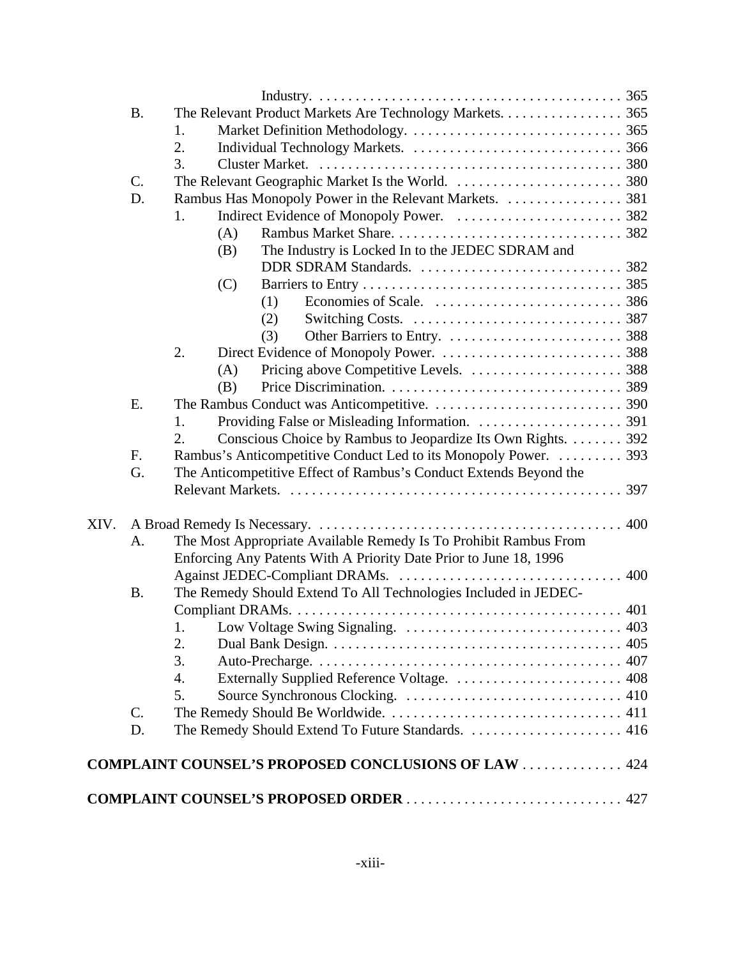|      | <b>B.</b>       | The Relevant Product Markets Are Technology Markets. 365           |     |
|------|-----------------|--------------------------------------------------------------------|-----|
|      |                 | 1.                                                                 |     |
|      |                 | 2.                                                                 |     |
|      |                 | 3.                                                                 |     |
|      | $\mathcal{C}$ . |                                                                    |     |
|      | D.              | Rambus Has Monopoly Power in the Relevant Markets. 381             |     |
|      |                 | 1.                                                                 |     |
|      |                 | (A)                                                                |     |
|      |                 | The Industry is Locked In to the JEDEC SDRAM and<br>(B)            |     |
|      |                 |                                                                    |     |
|      |                 | (C)                                                                |     |
|      |                 | (1)                                                                |     |
|      |                 | (2)                                                                |     |
|      |                 | (3)                                                                |     |
|      |                 | 2.                                                                 |     |
|      |                 | (A)                                                                |     |
|      |                 | (B)                                                                |     |
|      | E.              |                                                                    |     |
|      |                 | 1.                                                                 |     |
|      |                 | Conscious Choice by Rambus to Jeopardize Its Own Rights. 392<br>2. |     |
|      | F.              | Rambus's Anticompetitive Conduct Led to its Monopoly Power.  393   |     |
|      | G.              | The Anticompetitive Effect of Rambus's Conduct Extends Beyond the  |     |
|      |                 |                                                                    |     |
|      |                 |                                                                    |     |
| XIV. |                 |                                                                    |     |
|      | A.              | The Most Appropriate Available Remedy Is To Prohibit Rambus From   |     |
|      |                 | Enforcing Any Patents With A Priority Date Prior to June 18, 1996  |     |
|      |                 |                                                                    | 400 |
|      | <b>B.</b>       | The Remedy Should Extend To All Technologies Included in JEDEC-    |     |
|      |                 |                                                                    | 401 |
|      |                 |                                                                    | 403 |
|      |                 | 2.                                                                 |     |
|      |                 | 3.                                                                 |     |
|      |                 | 4.                                                                 |     |
|      |                 | 5.                                                                 |     |
|      | C.              |                                                                    |     |
|      | D.              |                                                                    |     |
|      |                 | <b>COMPLAINT COUNSEL'S PROPOSED CONCLUSIONS OF LAW  424</b>        |     |
|      |                 |                                                                    |     |
|      |                 | <b>COMPLAINT COUNSEL'S PROPOSED ORDER</b> 427                      |     |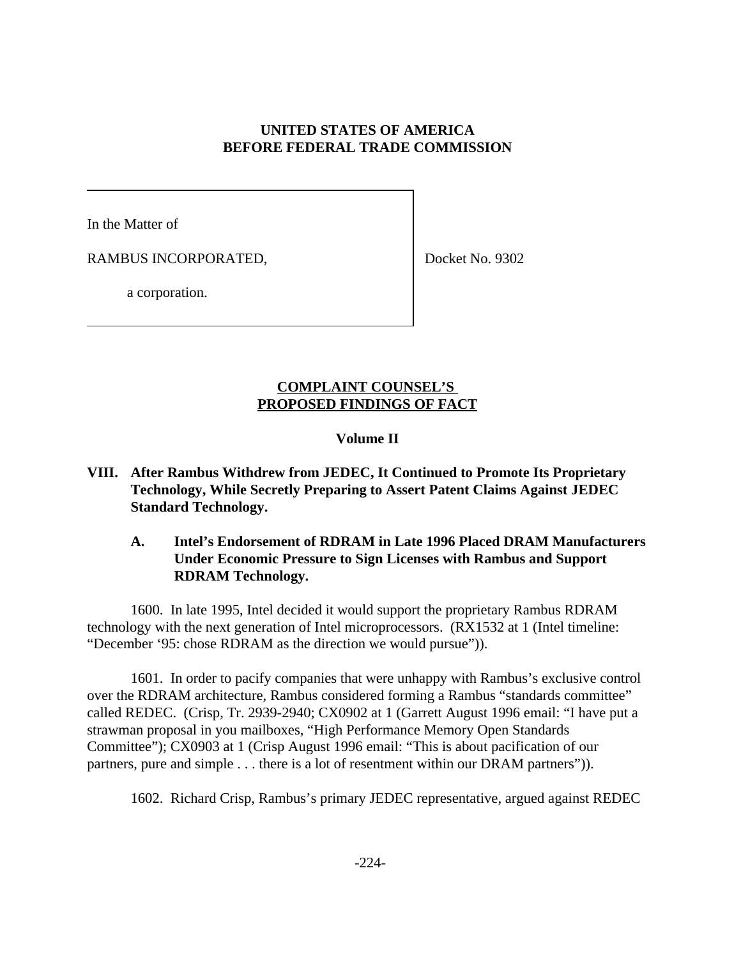### **UNITED STATES OF AMERICA BEFORE FEDERAL TRADE COMMISSION**

In the Matter of

RAMBUS INCORPORATED,

Docket No. 9302

a corporation.

### **COMPLAINT COUNSEL'S PROPOSED FINDINGS OF FACT**

### **Volume II**

- **VIII. After Rambus Withdrew from JEDEC, It Continued to Promote Its Proprietary Technology, While Secretly Preparing to Assert Patent Claims Against JEDEC Standard Technology.**
	- **A. Intel's Endorsement of RDRAM in Late 1996 Placed DRAM Manufacturers Under Economic Pressure to Sign Licenses with Rambus and Support RDRAM Technology.**

1600. In late 1995, Intel decided it would support the proprietary Rambus RDRAM technology with the next generation of Intel microprocessors. (RX1532 at 1 (Intel timeline: "December '95: chose RDRAM as the direction we would pursue")).

1601. In order to pacify companies that were unhappy with Rambus's exclusive control over the RDRAM architecture, Rambus considered forming a Rambus "standards committee" called REDEC. (Crisp, Tr. 2939-2940; CX0902 at 1 (Garrett August 1996 email: "I have put a strawman proposal in you mailboxes, "High Performance Memory Open Standards Committee"); CX0903 at 1 (Crisp August 1996 email: "This is about pacification of our partners, pure and simple . . . there is a lot of resentment within our DRAM partners")).

1602. Richard Crisp, Rambus's primary JEDEC representative, argued against REDEC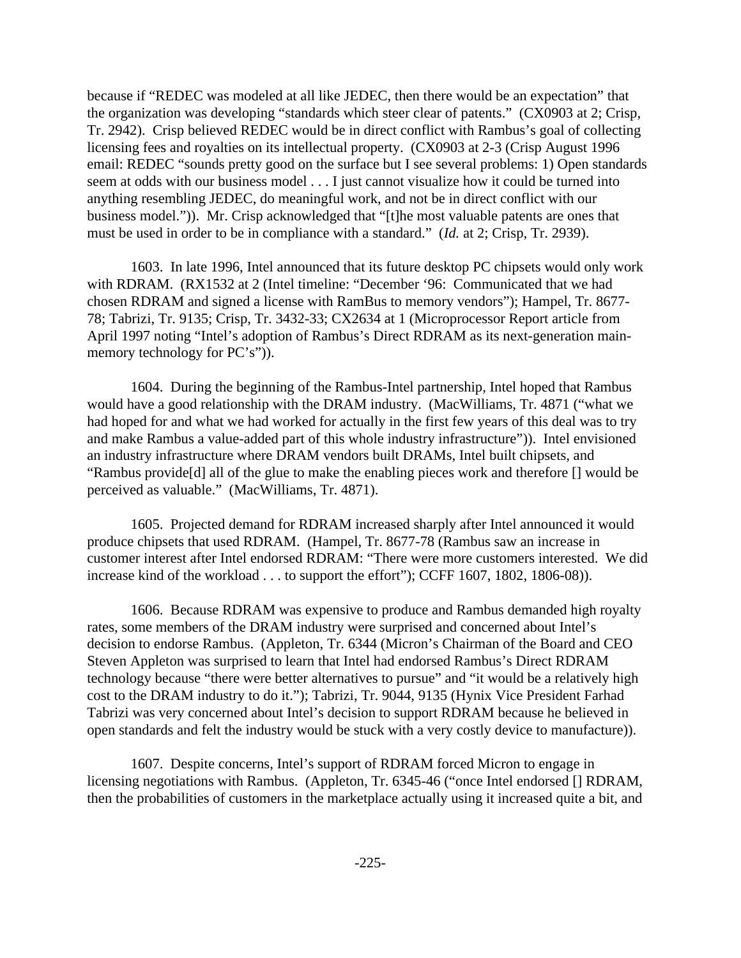because if "REDEC was modeled at all like JEDEC, then there would be an expectation" that the organization was developing "standards which steer clear of patents." (CX0903 at 2; Crisp, Tr. 2942). Crisp believed REDEC would be in direct conflict with Rambus's goal of collecting licensing fees and royalties on its intellectual property. (CX0903 at 2-3 (Crisp August 1996 email: REDEC "sounds pretty good on the surface but I see several problems: 1) Open standards seem at odds with our business model . . . I just cannot visualize how it could be turned into anything resembling JEDEC, do meaningful work, and not be in direct conflict with our business model.")). Mr. Crisp acknowledged that "[t]he most valuable patents are ones that must be used in order to be in compliance with a standard." (*Id.* at 2; Crisp, Tr. 2939).

1603. In late 1996, Intel announced that its future desktop PC chipsets would only work with RDRAM. (RX1532 at 2 (Intel timeline: "December '96: Communicated that we had chosen RDRAM and signed a license with RamBus to memory vendors"); Hampel, Tr. 8677- 78; Tabrizi, Tr. 9135; Crisp, Tr. 3432-33; CX2634 at 1 (Microprocessor Report article from April 1997 noting "Intel's adoption of Rambus's Direct RDRAM as its next-generation mainmemory technology for PC's")).

1604. During the beginning of the Rambus-Intel partnership, Intel hoped that Rambus would have a good relationship with the DRAM industry. (MacWilliams, Tr. 4871 ("what we had hoped for and what we had worked for actually in the first few years of this deal was to try and make Rambus a value-added part of this whole industry infrastructure")). Intel envisioned an industry infrastructure where DRAM vendors built DRAMs, Intel built chipsets, and "Rambus provide[d] all of the glue to make the enabling pieces work and therefore [] would be perceived as valuable." (MacWilliams, Tr. 4871).

1605. Projected demand for RDRAM increased sharply after Intel announced it would produce chipsets that used RDRAM. (Hampel, Tr. 8677-78 (Rambus saw an increase in customer interest after Intel endorsed RDRAM: "There were more customers interested. We did increase kind of the workload . . . to support the effort"); CCFF 1607, 1802, 1806-08)).

1606. Because RDRAM was expensive to produce and Rambus demanded high royalty rates, some members of the DRAM industry were surprised and concerned about Intel's decision to endorse Rambus. (Appleton, Tr. 6344 (Micron's Chairman of the Board and CEO Steven Appleton was surprised to learn that Intel had endorsed Rambus's Direct RDRAM technology because "there were better alternatives to pursue" and "it would be a relatively high cost to the DRAM industry to do it."); Tabrizi, Tr. 9044, 9135 (Hynix Vice President Farhad Tabrizi was very concerned about Intel's decision to support RDRAM because he believed in open standards and felt the industry would be stuck with a very costly device to manufacture)).

1607. Despite concerns, Intel's support of RDRAM forced Micron to engage in licensing negotiations with Rambus. (Appleton, Tr. 6345-46 ("once Intel endorsed [] RDRAM, then the probabilities of customers in the marketplace actually using it increased quite a bit, and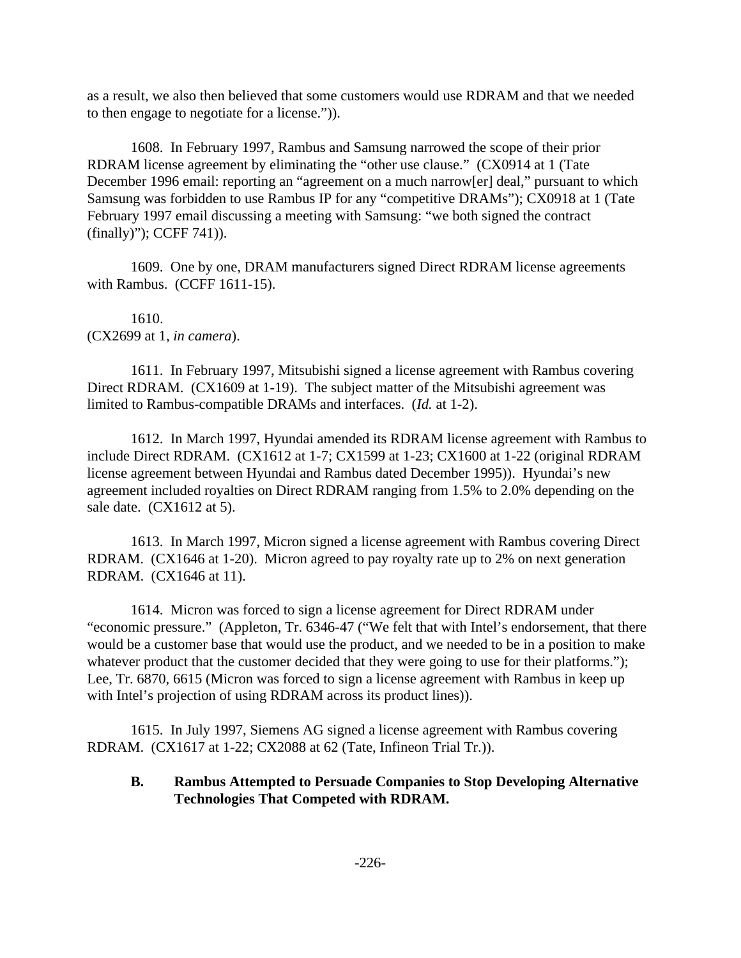as a result, we also then believed that some customers would use RDRAM and that we needed to then engage to negotiate for a license.")).

1608. In February 1997, Rambus and Samsung narrowed the scope of their prior RDRAM license agreement by eliminating the "other use clause." (CX0914 at 1 (Tate December 1996 email: reporting an "agreement on a much narrow[er] deal," pursuant to which Samsung was forbidden to use Rambus IP for any "competitive DRAMs"); CX0918 at 1 (Tate February 1997 email discussing a meeting with Samsung: "we both signed the contract (finally)"); CCFF 741)).

1609. One by one, DRAM manufacturers signed Direct RDRAM license agreements with Rambus. (CCFF 1611-15).

1610. (CX2699 at 1, *in camera*).

1611. In February 1997, Mitsubishi signed a license agreement with Rambus covering Direct RDRAM. (CX1609 at 1-19). The subject matter of the Mitsubishi agreement was limited to Rambus-compatible DRAMs and interfaces. (*Id.* at 1-2).

1612. In March 1997, Hyundai amended its RDRAM license agreement with Rambus to include Direct RDRAM. (CX1612 at 1-7; CX1599 at 1-23; CX1600 at 1-22 (original RDRAM license agreement between Hyundai and Rambus dated December 1995)). Hyundai's new agreement included royalties on Direct RDRAM ranging from 1.5% to 2.0% depending on the sale date. (CX1612 at 5).

1613. In March 1997, Micron signed a license agreement with Rambus covering Direct RDRAM. (CX1646 at 1-20). Micron agreed to pay royalty rate up to 2% on next generation RDRAM. (CX1646 at 11).

1614. Micron was forced to sign a license agreement for Direct RDRAM under "economic pressure." (Appleton, Tr. 6346-47 ("We felt that with Intel's endorsement, that there would be a customer base that would use the product, and we needed to be in a position to make whatever product that the customer decided that they were going to use for their platforms."); Lee, Tr. 6870, 6615 (Micron was forced to sign a license agreement with Rambus in keep up with Intel's projection of using RDRAM across its product lines).

1615. In July 1997, Siemens AG signed a license agreement with Rambus covering RDRAM. (CX1617 at 1-22; CX2088 at 62 (Tate, Infineon Trial Tr.)).

## **B. Rambus Attempted to Persuade Companies to Stop Developing Alternative Technologies That Competed with RDRAM.**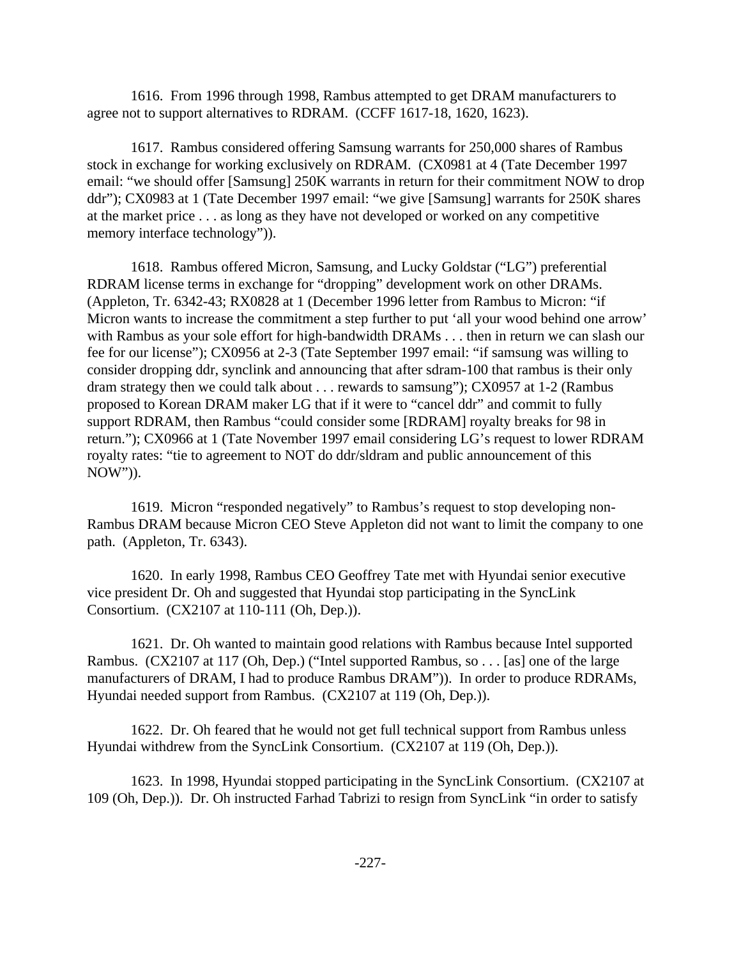1616. From 1996 through 1998, Rambus attempted to get DRAM manufacturers to agree not to support alternatives to RDRAM. (CCFF 1617-18, 1620, 1623).

1617. Rambus considered offering Samsung warrants for 250,000 shares of Rambus stock in exchange for working exclusively on RDRAM. (CX0981 at 4 (Tate December 1997 email: "we should offer [Samsung] 250K warrants in return for their commitment NOW to drop ddr"); CX0983 at 1 (Tate December 1997 email: "we give [Samsung] warrants for 250K shares at the market price . . . as long as they have not developed or worked on any competitive memory interface technology")).

1618. Rambus offered Micron, Samsung, and Lucky Goldstar ("LG") preferential RDRAM license terms in exchange for "dropping" development work on other DRAMs. (Appleton, Tr. 6342-43; RX0828 at 1 (December 1996 letter from Rambus to Micron: "if Micron wants to increase the commitment a step further to put 'all your wood behind one arrow' with Rambus as your sole effort for high-bandwidth DRAMs . . . then in return we can slash our fee for our license"); CX0956 at 2-3 (Tate September 1997 email: "if samsung was willing to consider dropping ddr, synclink and announcing that after sdram-100 that rambus is their only dram strategy then we could talk about . . . rewards to samsung"); CX0957 at 1-2 (Rambus proposed to Korean DRAM maker LG that if it were to "cancel ddr" and commit to fully support RDRAM, then Rambus "could consider some [RDRAM] royalty breaks for 98 in return."); CX0966 at 1 (Tate November 1997 email considering LG's request to lower RDRAM royalty rates: "tie to agreement to NOT do ddr/sldram and public announcement of this NOW")).

1619. Micron "responded negatively" to Rambus's request to stop developing non-Rambus DRAM because Micron CEO Steve Appleton did not want to limit the company to one path. (Appleton, Tr. 6343).

1620. In early 1998, Rambus CEO Geoffrey Tate met with Hyundai senior executive vice president Dr. Oh and suggested that Hyundai stop participating in the SyncLink Consortium. (CX2107 at 110-111 (Oh, Dep.)).

1621. Dr. Oh wanted to maintain good relations with Rambus because Intel supported Rambus. (CX2107 at 117 (Oh, Dep.) ("Intel supported Rambus, so . . . [as] one of the large manufacturers of DRAM, I had to produce Rambus DRAM")). In order to produce RDRAMs, Hyundai needed support from Rambus. (CX2107 at 119 (Oh, Dep.)).

1622. Dr. Oh feared that he would not get full technical support from Rambus unless Hyundai withdrew from the SyncLink Consortium. (CX2107 at 119 (Oh, Dep.)).

1623. In 1998, Hyundai stopped participating in the SyncLink Consortium. (CX2107 at 109 (Oh, Dep.)). Dr. Oh instructed Farhad Tabrizi to resign from SyncLink "in order to satisfy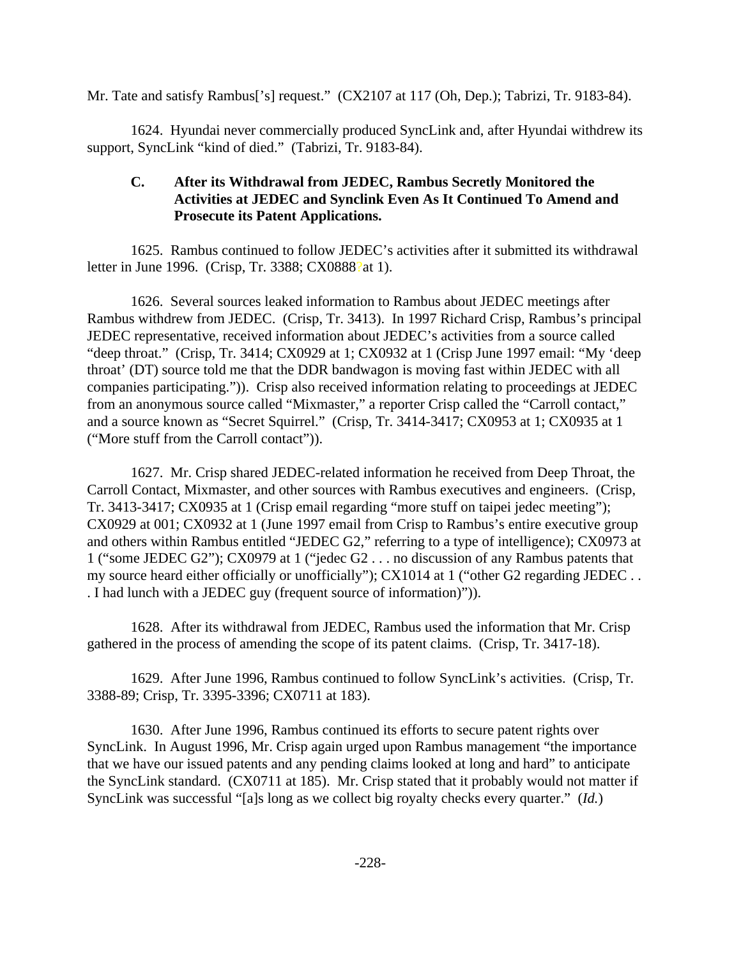Mr. Tate and satisfy Rambus['s] request." (CX2107 at 117 (Oh, Dep.); Tabrizi, Tr. 9183-84).

1624. Hyundai never commercially produced SyncLink and, after Hyundai withdrew its support, SyncLink "kind of died." (Tabrizi, Tr. 9183-84).

# **C. After its Withdrawal from JEDEC, Rambus Secretly Monitored the Activities at JEDEC and Synclink Even As It Continued To Amend and Prosecute its Patent Applications.**

1625. Rambus continued to follow JEDEC's activities after it submitted its withdrawal letter in June 1996. (Crisp, Tr. 3388; CX0888?at 1).

1626. Several sources leaked information to Rambus about JEDEC meetings after Rambus withdrew from JEDEC. (Crisp, Tr. 3413). In 1997 Richard Crisp, Rambus's principal JEDEC representative, received information about JEDEC's activities from a source called "deep throat." (Crisp, Tr. 3414; CX0929 at 1; CX0932 at 1 (Crisp June 1997 email: "My 'deep throat' (DT) source told me that the DDR bandwagon is moving fast within JEDEC with all companies participating.")). Crisp also received information relating to proceedings at JEDEC from an anonymous source called "Mixmaster," a reporter Crisp called the "Carroll contact," and a source known as "Secret Squirrel." (Crisp, Tr. 3414-3417; CX0953 at 1; CX0935 at 1 ("More stuff from the Carroll contact")).

1627. Mr. Crisp shared JEDEC-related information he received from Deep Throat, the Carroll Contact, Mixmaster, and other sources with Rambus executives and engineers. (Crisp, Tr. 3413-3417; CX0935 at 1 (Crisp email regarding "more stuff on taipei jedec meeting"); CX0929 at 001; CX0932 at 1 (June 1997 email from Crisp to Rambus's entire executive group and others within Rambus entitled "JEDEC G2," referring to a type of intelligence); CX0973 at 1 ("some JEDEC G2"); CX0979 at 1 ("jedec G2 . . . no discussion of any Rambus patents that my source heard either officially or unofficially"); CX1014 at 1 ("other G2 regarding JEDEC . . . I had lunch with a JEDEC guy (frequent source of information)")).

1628. After its withdrawal from JEDEC, Rambus used the information that Mr. Crisp gathered in the process of amending the scope of its patent claims. (Crisp, Tr. 3417-18).

1629. After June 1996, Rambus continued to follow SyncLink's activities. (Crisp, Tr. 3388-89; Crisp, Tr. 3395-3396; CX0711 at 183).

1630. After June 1996, Rambus continued its efforts to secure patent rights over SyncLink. In August 1996, Mr. Crisp again urged upon Rambus management "the importance that we have our issued patents and any pending claims looked at long and hard" to anticipate the SyncLink standard. (CX0711 at 185). Mr. Crisp stated that it probably would not matter if SyncLink was successful "[a]s long as we collect big royalty checks every quarter." (*Id.*)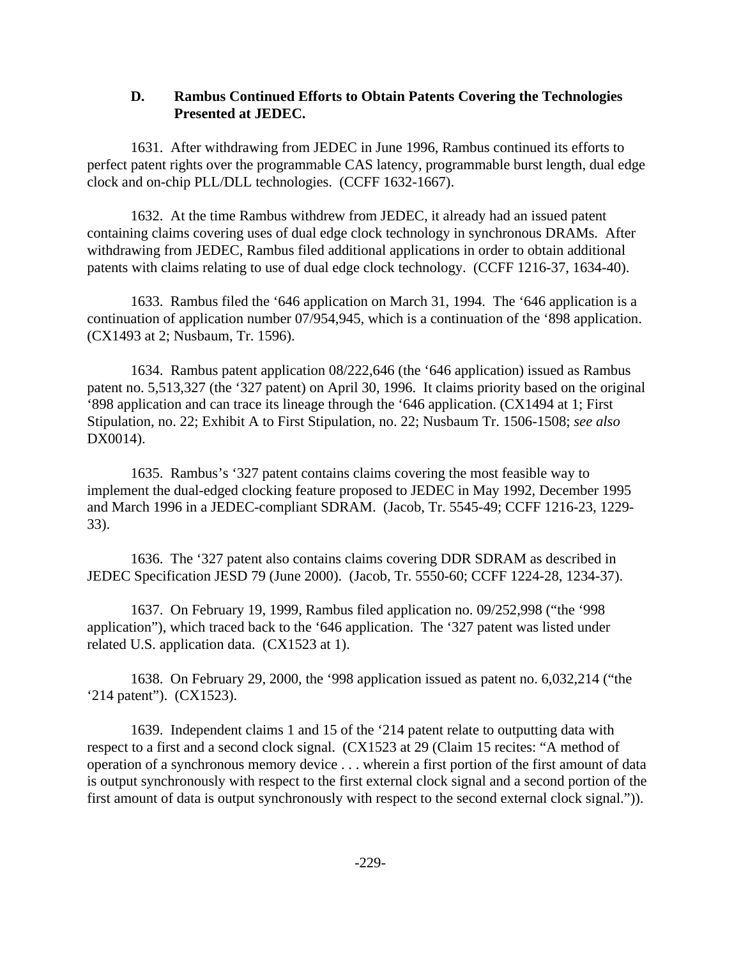### **D. Rambus Continued Efforts to Obtain Patents Covering the Technologies Presented at JEDEC.**

1631. After withdrawing from JEDEC in June 1996, Rambus continued its efforts to perfect patent rights over the programmable CAS latency, programmable burst length, dual edge clock and on-chip PLL/DLL technologies. (CCFF 1632-1667).

1632. At the time Rambus withdrew from JEDEC, it already had an issued patent containing claims covering uses of dual edge clock technology in synchronous DRAMs. After withdrawing from JEDEC, Rambus filed additional applications in order to obtain additional patents with claims relating to use of dual edge clock technology. (CCFF 1216-37, 1634-40).

1633. Rambus filed the '646 application on March 31, 1994. The '646 application is a continuation of application number 07/954,945, which is a continuation of the '898 application. (CX1493 at 2; Nusbaum, Tr. 1596).

1634. Rambus patent application 08/222,646 (the '646 application) issued as Rambus patent no. 5,513,327 (the '327 patent) on April 30, 1996. It claims priority based on the original '898 application and can trace its lineage through the '646 application. (CX1494 at 1; First Stipulation, no. 22; Exhibit A to First Stipulation, no. 22; Nusbaum Tr. 1506-1508; *see also* DX0014).

1635. Rambus's '327 patent contains claims covering the most feasible way to implement the dual-edged clocking feature proposed to JEDEC in May 1992, December 1995 and March 1996 in a JEDEC-compliant SDRAM. (Jacob, Tr. 5545-49; CCFF 1216-23, 1229- 33).

1636. The '327 patent also contains claims covering DDR SDRAM as described in JEDEC Specification JESD 79 (June 2000). (Jacob, Tr. 5550-60; CCFF 1224-28, 1234-37).

1637. On February 19, 1999, Rambus filed application no. 09/252,998 ("the '998 application"), which traced back to the '646 application. The '327 patent was listed under related U.S. application data. (CX1523 at 1).

1638. On February 29, 2000, the '998 application issued as patent no. 6,032,214 ("the '214 patent"). (CX1523).

1639. Independent claims 1 and 15 of the '214 patent relate to outputting data with respect to a first and a second clock signal. (CX1523 at 29 (Claim 15 recites: "A method of operation of a synchronous memory device . . . wherein a first portion of the first amount of data is output synchronously with respect to the first external clock signal and a second portion of the first amount of data is output synchronously with respect to the second external clock signal.")).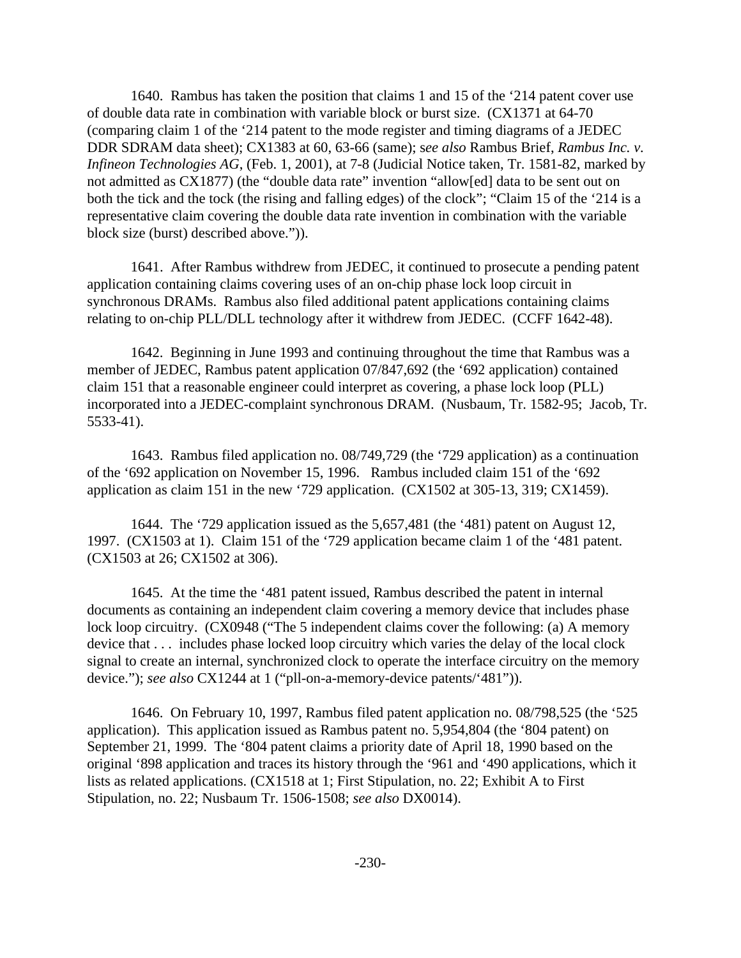1640. Rambus has taken the position that claims 1 and 15 of the '214 patent cover use of double data rate in combination with variable block or burst size. (CX1371 at 64-70 (comparing claim 1 of the '214 patent to the mode register and timing diagrams of a JEDEC DDR SDRAM data sheet); CX1383 at 60, 63-66 (same); s*ee also* Rambus Brief, *Rambus Inc. v. Infineon Technologies AG*, (Feb. 1, 2001), at 7-8 (Judicial Notice taken, Tr. 1581-82, marked by not admitted as CX1877) (the "double data rate" invention "allow[ed] data to be sent out on both the tick and the tock (the rising and falling edges) of the clock"; "Claim 15 of the '214 is a representative claim covering the double data rate invention in combination with the variable block size (burst) described above.")).

1641. After Rambus withdrew from JEDEC, it continued to prosecute a pending patent application containing claims covering uses of an on-chip phase lock loop circuit in synchronous DRAMs. Rambus also filed additional patent applications containing claims relating to on-chip PLL/DLL technology after it withdrew from JEDEC. (CCFF 1642-48).

1642. Beginning in June 1993 and continuing throughout the time that Rambus was a member of JEDEC, Rambus patent application 07/847,692 (the '692 application) contained claim 151 that a reasonable engineer could interpret as covering, a phase lock loop (PLL) incorporated into a JEDEC-complaint synchronous DRAM. (Nusbaum, Tr. 1582-95; Jacob, Tr. 5533-41).

1643. Rambus filed application no. 08/749,729 (the '729 application) as a continuation of the '692 application on November 15, 1996. Rambus included claim 151 of the '692 application as claim 151 in the new '729 application. (CX1502 at 305-13, 319; CX1459).

1644. The '729 application issued as the 5,657,481 (the '481) patent on August 12, 1997. (CX1503 at 1). Claim 151 of the '729 application became claim 1 of the '481 patent. (CX1503 at 26; CX1502 at 306).

1645. At the time the '481 patent issued, Rambus described the patent in internal documents as containing an independent claim covering a memory device that includes phase lock loop circuitry. (CX0948 ("The 5 independent claims cover the following: (a) A memory device that . . . includes phase locked loop circuitry which varies the delay of the local clock signal to create an internal, synchronized clock to operate the interface circuitry on the memory device."); *see also* CX1244 at 1 ("pll-on-a-memory-device patents/'481")).

1646. On February 10, 1997, Rambus filed patent application no. 08/798,525 (the '525 application). This application issued as Rambus patent no. 5,954,804 (the '804 patent) on September 21, 1999. The '804 patent claims a priority date of April 18, 1990 based on the original '898 application and traces its history through the '961 and '490 applications, which it lists as related applications. (CX1518 at 1; First Stipulation, no. 22; Exhibit A to First Stipulation, no. 22; Nusbaum Tr. 1506-1508; *see also* DX0014).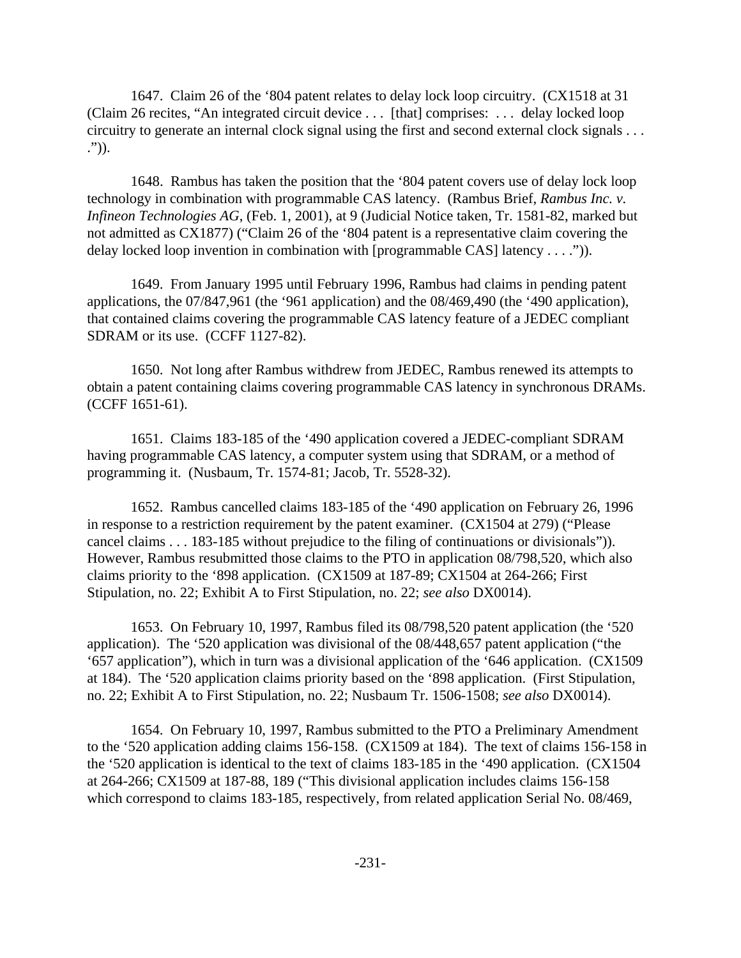1647. Claim 26 of the '804 patent relates to delay lock loop circuitry. (CX1518 at 31 (Claim 26 recites, "An integrated circuit device . . . [that] comprises: . . . delay locked loop circuitry to generate an internal clock signal using the first and second external clock signals . . . .")).

1648. Rambus has taken the position that the '804 patent covers use of delay lock loop technology in combination with programmable CAS latency. (Rambus Brief, *Rambus Inc. v. Infineon Technologies AG*, (Feb. 1, 2001), at 9 (Judicial Notice taken, Tr. 1581-82, marked but not admitted as CX1877) ("Claim 26 of the '804 patent is a representative claim covering the delay locked loop invention in combination with [programmable CAS] latency . . . .")).

1649. From January 1995 until February 1996, Rambus had claims in pending patent applications, the 07/847,961 (the '961 application) and the 08/469,490 (the '490 application), that contained claims covering the programmable CAS latency feature of a JEDEC compliant SDRAM or its use. (CCFF 1127-82).

1650. Not long after Rambus withdrew from JEDEC, Rambus renewed its attempts to obtain a patent containing claims covering programmable CAS latency in synchronous DRAMs. (CCFF 1651-61).

1651. Claims 183-185 of the '490 application covered a JEDEC-compliant SDRAM having programmable CAS latency, a computer system using that SDRAM, or a method of programming it. (Nusbaum, Tr. 1574-81; Jacob, Tr. 5528-32).

1652. Rambus cancelled claims 183-185 of the '490 application on February 26, 1996 in response to a restriction requirement by the patent examiner. (CX1504 at 279) ("Please cancel claims . . . 183-185 without prejudice to the filing of continuations or divisionals")). However, Rambus resubmitted those claims to the PTO in application 08/798,520, which also claims priority to the '898 application. (CX1509 at 187-89; CX1504 at 264-266; First Stipulation, no. 22; Exhibit A to First Stipulation, no. 22; *see also* DX0014).

1653. On February 10, 1997, Rambus filed its 08/798,520 patent application (the '520 application). The '520 application was divisional of the 08/448,657 patent application ("the '657 application"), which in turn was a divisional application of the '646 application. (CX1509 at 184). The '520 application claims priority based on the '898 application. (First Stipulation, no. 22; Exhibit A to First Stipulation, no. 22; Nusbaum Tr. 1506-1508; *see also* DX0014).

1654. On February 10, 1997, Rambus submitted to the PTO a Preliminary Amendment to the '520 application adding claims 156-158. (CX1509 at 184). The text of claims 156-158 in the '520 application is identical to the text of claims 183-185 in the '490 application. (CX1504 at 264-266; CX1509 at 187-88, 189 ("This divisional application includes claims 156-158 which correspond to claims 183-185, respectively, from related application Serial No. 08/469,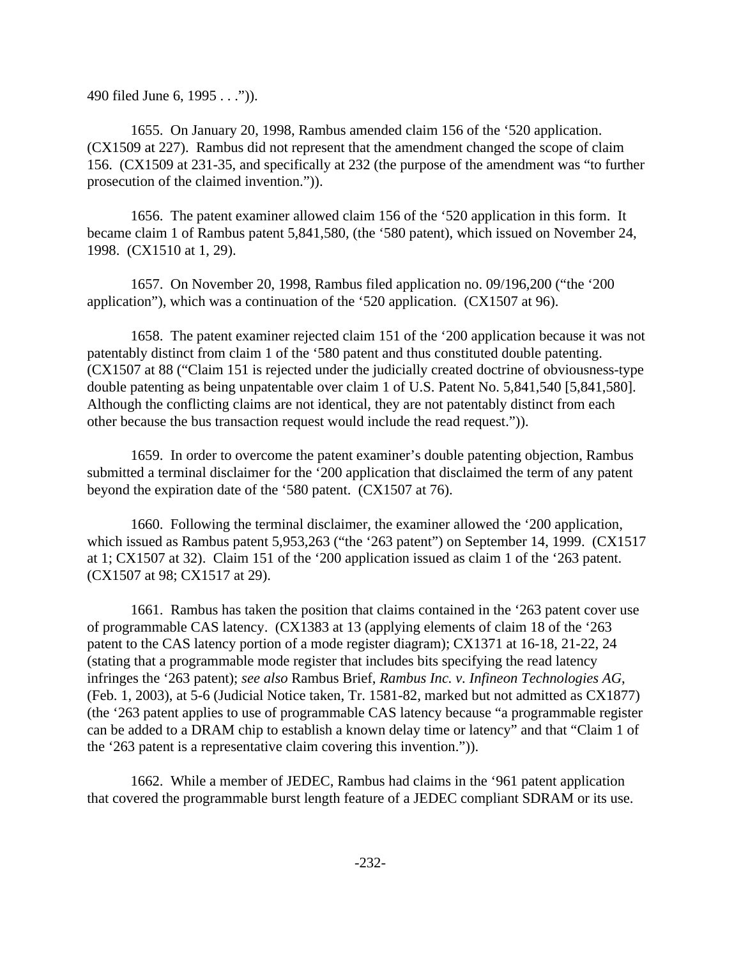490 filed June 6, 1995 . . .")).

1655. On January 20, 1998, Rambus amended claim 156 of the '520 application. (CX1509 at 227). Rambus did not represent that the amendment changed the scope of claim 156. (CX1509 at 231-35, and specifically at 232 (the purpose of the amendment was "to further prosecution of the claimed invention.")).

1656. The patent examiner allowed claim 156 of the '520 application in this form. It became claim 1 of Rambus patent 5,841,580, (the '580 patent), which issued on November 24, 1998. (CX1510 at 1, 29).

1657. On November 20, 1998, Rambus filed application no. 09/196,200 ("the '200 application"), which was a continuation of the '520 application. (CX1507 at 96).

1658. The patent examiner rejected claim 151 of the '200 application because it was not patentably distinct from claim 1 of the '580 patent and thus constituted double patenting. (CX1507 at 88 ("Claim 151 is rejected under the judicially created doctrine of obviousness-type double patenting as being unpatentable over claim 1 of U.S. Patent No. 5,841,540 [5,841,580]. Although the conflicting claims are not identical, they are not patentably distinct from each other because the bus transaction request would include the read request.")).

1659. In order to overcome the patent examiner's double patenting objection, Rambus submitted a terminal disclaimer for the '200 application that disclaimed the term of any patent beyond the expiration date of the '580 patent. (CX1507 at 76).

1660. Following the terminal disclaimer, the examiner allowed the '200 application, which issued as Rambus patent 5,953,263 ("the '263 patent") on September 14, 1999. (CX1517 at 1; CX1507 at 32). Claim 151 of the '200 application issued as claim 1 of the '263 patent. (CX1507 at 98; CX1517 at 29).

1661. Rambus has taken the position that claims contained in the '263 patent cover use of programmable CAS latency. (CX1383 at 13 (applying elements of claim 18 of the '263 patent to the CAS latency portion of a mode register diagram); CX1371 at 16-18, 21-22, 24 (stating that a programmable mode register that includes bits specifying the read latency infringes the '263 patent); *see also* Rambus Brief, *Rambus Inc. v. Infineon Technologies AG*, (Feb. 1, 2003), at 5-6 (Judicial Notice taken, Tr. 1581-82, marked but not admitted as CX1877) (the '263 patent applies to use of programmable CAS latency because "a programmable register can be added to a DRAM chip to establish a known delay time or latency" and that "Claim 1 of the '263 patent is a representative claim covering this invention.")).

1662. While a member of JEDEC, Rambus had claims in the '961 patent application that covered the programmable burst length feature of a JEDEC compliant SDRAM or its use.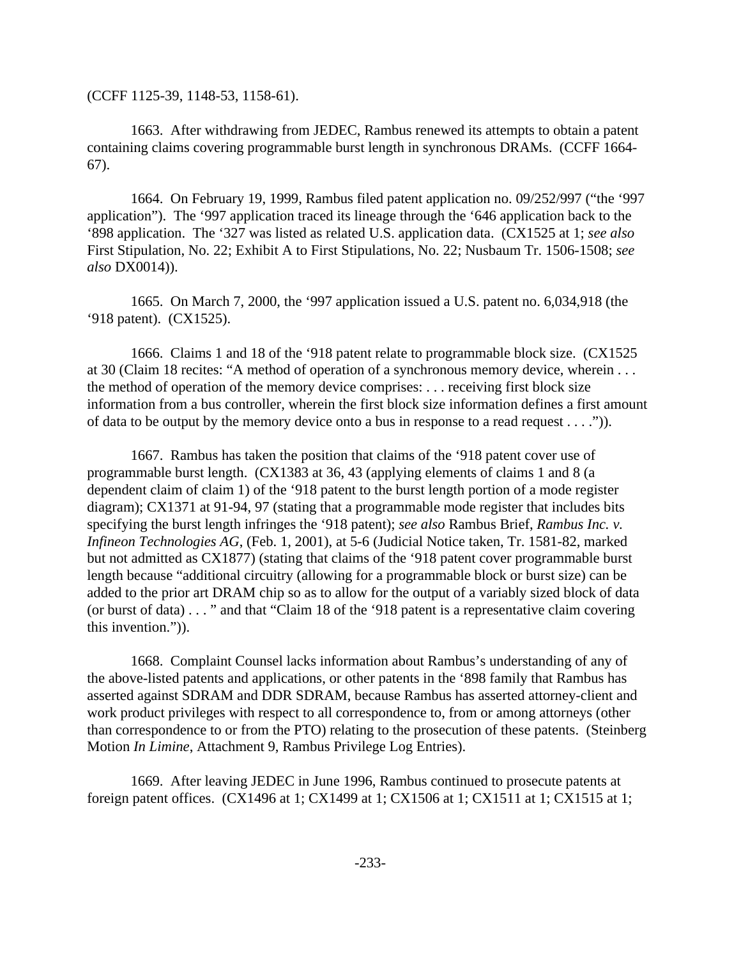(CCFF 1125-39, 1148-53, 1158-61).

1663. After withdrawing from JEDEC, Rambus renewed its attempts to obtain a patent containing claims covering programmable burst length in synchronous DRAMs. (CCFF 1664- 67).

1664. On February 19, 1999, Rambus filed patent application no. 09/252/997 ("the '997 application"). The '997 application traced its lineage through the '646 application back to the '898 application. The '327 was listed as related U.S. application data. (CX1525 at 1; *see also* First Stipulation, No. 22; Exhibit A to First Stipulations, No. 22; Nusbaum Tr. 1506-1508; *see also* DX0014)).

1665. On March 7, 2000, the '997 application issued a U.S. patent no. 6,034,918 (the '918 patent). (CX1525).

1666. Claims 1 and 18 of the '918 patent relate to programmable block size. (CX1525 at 30 (Claim 18 recites: "A method of operation of a synchronous memory device, wherein . . . the method of operation of the memory device comprises: . . . receiving first block size information from a bus controller, wherein the first block size information defines a first amount of data to be output by the memory device onto a bus in response to a read request  $\dots$ .").

1667. Rambus has taken the position that claims of the '918 patent cover use of programmable burst length. (CX1383 at 36, 43 (applying elements of claims 1 and 8 (a dependent claim of claim 1) of the '918 patent to the burst length portion of a mode register diagram); CX1371 at 91-94, 97 (stating that a programmable mode register that includes bits specifying the burst length infringes the '918 patent); *see also* Rambus Brief, *Rambus Inc. v. Infineon Technologies AG*, (Feb. 1, 2001), at 5-6 (Judicial Notice taken, Tr. 1581-82, marked but not admitted as CX1877) (stating that claims of the '918 patent cover programmable burst length because "additional circuitry (allowing for a programmable block or burst size) can be added to the prior art DRAM chip so as to allow for the output of a variably sized block of data (or burst of data) . . . " and that "Claim 18 of the '918 patent is a representative claim covering this invention.")).

1668. Complaint Counsel lacks information about Rambus's understanding of any of the above-listed patents and applications, or other patents in the '898 family that Rambus has asserted against SDRAM and DDR SDRAM, because Rambus has asserted attorney-client and work product privileges with respect to all correspondence to, from or among attorneys (other than correspondence to or from the PTO) relating to the prosecution of these patents. (Steinberg Motion *In Limine*, Attachment 9, Rambus Privilege Log Entries).

1669. After leaving JEDEC in June 1996, Rambus continued to prosecute patents at foreign patent offices. (CX1496 at 1; CX1499 at 1; CX1506 at 1; CX1511 at 1; CX1515 at 1;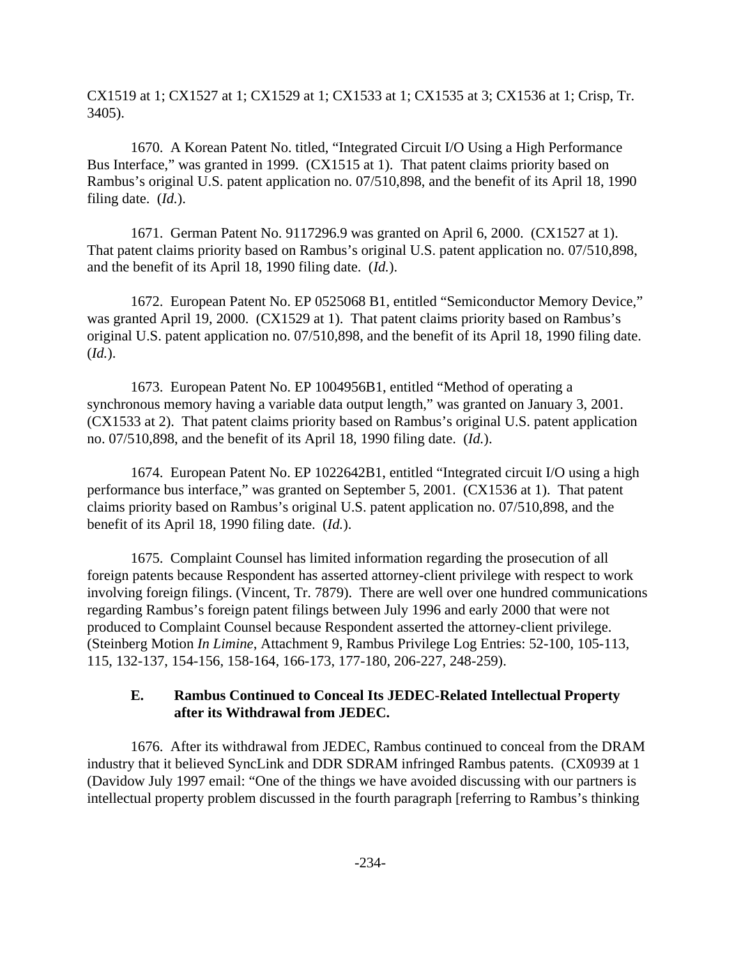CX1519 at 1; CX1527 at 1; CX1529 at 1; CX1533 at 1; CX1535 at 3; CX1536 at 1; Crisp, Tr. 3405).

1670. A Korean Patent No. titled, "Integrated Circuit I/O Using a High Performance Bus Interface," was granted in 1999. (CX1515 at 1). That patent claims priority based on Rambus's original U.S. patent application no. 07/510,898, and the benefit of its April 18, 1990 filing date. (*Id.*).

1671. German Patent No. 9117296.9 was granted on April 6, 2000. (CX1527 at 1). That patent claims priority based on Rambus's original U.S. patent application no. 07/510,898, and the benefit of its April 18, 1990 filing date. (*Id.*).

1672. European Patent No. EP 0525068 B1, entitled "Semiconductor Memory Device," was granted April 19, 2000. (CX1529 at 1). That patent claims priority based on Rambus's original U.S. patent application no. 07/510,898, and the benefit of its April 18, 1990 filing date. (*Id.*).

1673. European Patent No. EP 1004956B1, entitled "Method of operating a synchronous memory having a variable data output length," was granted on January 3, 2001. (CX1533 at 2). That patent claims priority based on Rambus's original U.S. patent application no. 07/510,898, and the benefit of its April 18, 1990 filing date. (*Id.*).

1674. European Patent No. EP 1022642B1, entitled "Integrated circuit I/O using a high performance bus interface," was granted on September 5, 2001. (CX1536 at 1). That patent claims priority based on Rambus's original U.S. patent application no. 07/510,898, and the benefit of its April 18, 1990 filing date. (*Id.*).

1675. Complaint Counsel has limited information regarding the prosecution of all foreign patents because Respondent has asserted attorney-client privilege with respect to work involving foreign filings. (Vincent, Tr. 7879). There are well over one hundred communications regarding Rambus's foreign patent filings between July 1996 and early 2000 that were not produced to Complaint Counsel because Respondent asserted the attorney-client privilege. (Steinberg Motion *In Limine*, Attachment 9, Rambus Privilege Log Entries: 52-100, 105-113, 115, 132-137, 154-156, 158-164, 166-173, 177-180, 206-227, 248-259).

## **E. Rambus Continued to Conceal Its JEDEC-Related Intellectual Property after its Withdrawal from JEDEC.**

1676. After its withdrawal from JEDEC, Rambus continued to conceal from the DRAM industry that it believed SyncLink and DDR SDRAM infringed Rambus patents. (CX0939 at 1 (Davidow July 1997 email: "One of the things we have avoided discussing with our partners is intellectual property problem discussed in the fourth paragraph [referring to Rambus's thinking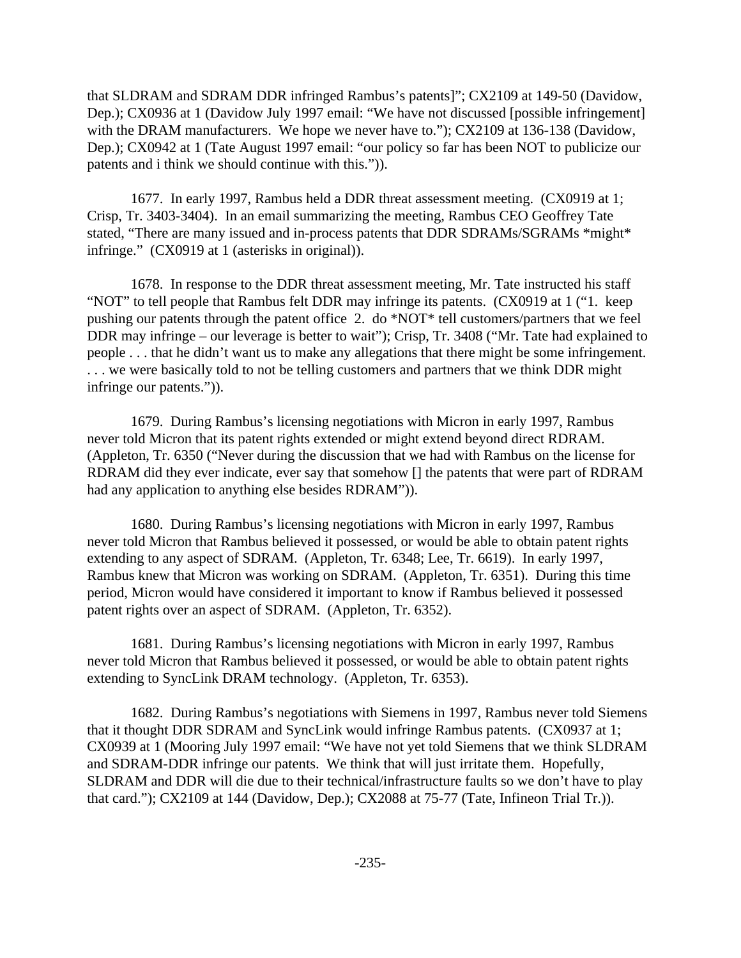that SLDRAM and SDRAM DDR infringed Rambus's patents]"; CX2109 at 149-50 (Davidow, Dep.); CX0936 at 1 (Davidow July 1997 email: "We have not discussed [possible infringement] with the DRAM manufacturers. We hope we never have to."); CX2109 at 136-138 (Davidow, Dep.); CX0942 at 1 (Tate August 1997 email: "our policy so far has been NOT to publicize our patents and i think we should continue with this.")).

1677. In early 1997, Rambus held a DDR threat assessment meeting. (CX0919 at 1; Crisp, Tr. 3403-3404). In an email summarizing the meeting, Rambus CEO Geoffrey Tate stated, "There are many issued and in-process patents that DDR SDRAMs/SGRAMs \*might\* infringe." (CX0919 at 1 (asterisks in original)).

1678. In response to the DDR threat assessment meeting, Mr. Tate instructed his staff "NOT" to tell people that Rambus felt DDR may infringe its patents. (CX0919 at 1 ("1. keep pushing our patents through the patent office 2. do \*NOT\* tell customers/partners that we feel DDR may infringe – our leverage is better to wait"); Crisp, Tr. 3408 ("Mr. Tate had explained to people . . . that he didn't want us to make any allegations that there might be some infringement. . . . we were basically told to not be telling customers and partners that we think DDR might infringe our patents.")).

1679. During Rambus's licensing negotiations with Micron in early 1997, Rambus never told Micron that its patent rights extended or might extend beyond direct RDRAM. (Appleton, Tr. 6350 ("Never during the discussion that we had with Rambus on the license for RDRAM did they ever indicate, ever say that somehow [] the patents that were part of RDRAM had any application to anything else besides RDRAM")).

1680. During Rambus's licensing negotiations with Micron in early 1997, Rambus never told Micron that Rambus believed it possessed, or would be able to obtain patent rights extending to any aspect of SDRAM. (Appleton, Tr. 6348; Lee, Tr. 6619). In early 1997, Rambus knew that Micron was working on SDRAM. (Appleton, Tr. 6351). During this time period, Micron would have considered it important to know if Rambus believed it possessed patent rights over an aspect of SDRAM. (Appleton, Tr. 6352).

1681. During Rambus's licensing negotiations with Micron in early 1997, Rambus never told Micron that Rambus believed it possessed, or would be able to obtain patent rights extending to SyncLink DRAM technology. (Appleton, Tr. 6353).

1682. During Rambus's negotiations with Siemens in 1997, Rambus never told Siemens that it thought DDR SDRAM and SyncLink would infringe Rambus patents. (CX0937 at 1; CX0939 at 1 (Mooring July 1997 email: "We have not yet told Siemens that we think SLDRAM and SDRAM-DDR infringe our patents. We think that will just irritate them. Hopefully, SLDRAM and DDR will die due to their technical/infrastructure faults so we don't have to play that card."); CX2109 at 144 (Davidow, Dep.); CX2088 at 75-77 (Tate, Infineon Trial Tr.)).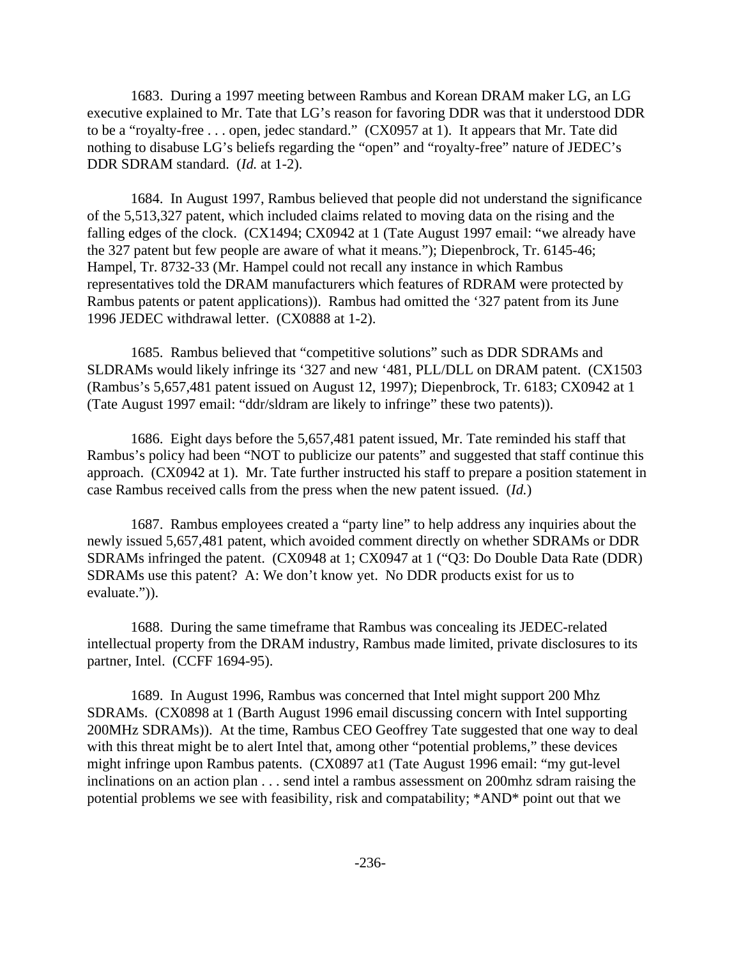1683. During a 1997 meeting between Rambus and Korean DRAM maker LG, an LG executive explained to Mr. Tate that LG's reason for favoring DDR was that it understood DDR to be a "royalty-free . . . open, jedec standard." (CX0957 at 1). It appears that Mr. Tate did nothing to disabuse LG's beliefs regarding the "open" and "royalty-free" nature of JEDEC's DDR SDRAM standard. (*Id.* at 1-2).

1684. In August 1997, Rambus believed that people did not understand the significance of the 5,513,327 patent, which included claims related to moving data on the rising and the falling edges of the clock. (CX1494; CX0942 at 1 (Tate August 1997 email: "we already have the 327 patent but few people are aware of what it means."); Diepenbrock, Tr. 6145-46; Hampel, Tr. 8732-33 (Mr. Hampel could not recall any instance in which Rambus representatives told the DRAM manufacturers which features of RDRAM were protected by Rambus patents or patent applications)). Rambus had omitted the '327 patent from its June 1996 JEDEC withdrawal letter. (CX0888 at 1-2).

1685. Rambus believed that "competitive solutions" such as DDR SDRAMs and SLDRAMs would likely infringe its '327 and new '481, PLL/DLL on DRAM patent. (CX1503 (Rambus's 5,657,481 patent issued on August 12, 1997); Diepenbrock, Tr. 6183; CX0942 at 1 (Tate August 1997 email: "ddr/sldram are likely to infringe" these two patents)).

1686. Eight days before the 5,657,481 patent issued, Mr. Tate reminded his staff that Rambus's policy had been "NOT to publicize our patents" and suggested that staff continue this approach. (CX0942 at 1). Mr. Tate further instructed his staff to prepare a position statement in case Rambus received calls from the press when the new patent issued. (*Id.*)

1687. Rambus employees created a "party line" to help address any inquiries about the newly issued 5,657,481 patent, which avoided comment directly on whether SDRAMs or DDR SDRAMs infringed the patent. (CX0948 at 1; CX0947 at 1 ("Q3: Do Double Data Rate (DDR) SDRAMs use this patent? A: We don't know yet. No DDR products exist for us to evaluate.")).

1688. During the same timeframe that Rambus was concealing its JEDEC-related intellectual property from the DRAM industry, Rambus made limited, private disclosures to its partner, Intel. (CCFF 1694-95).

1689. In August 1996, Rambus was concerned that Intel might support 200 Mhz SDRAMs. (CX0898 at 1 (Barth August 1996 email discussing concern with Intel supporting 200MHz SDRAMs)). At the time, Rambus CEO Geoffrey Tate suggested that one way to deal with this threat might be to alert Intel that, among other "potential problems," these devices might infringe upon Rambus patents. (CX0897 at1 (Tate August 1996 email: "my gut-level inclinations on an action plan . . . send intel a rambus assessment on 200mhz sdram raising the potential problems we see with feasibility, risk and compatability; \*AND\* point out that we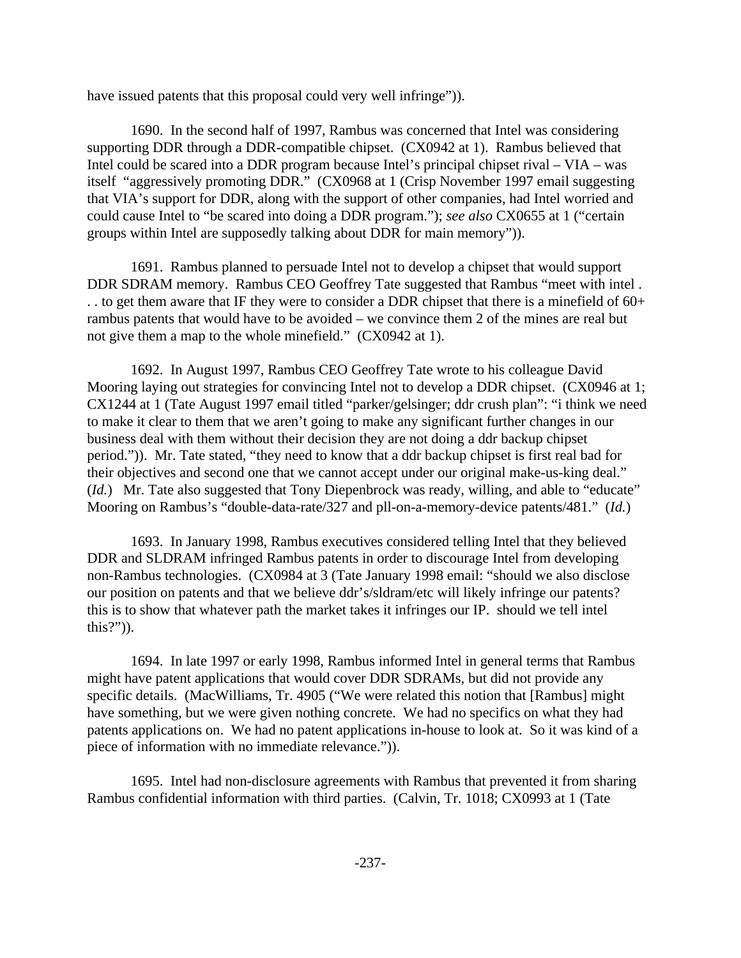have issued patents that this proposal could very well infringe")).

1690. In the second half of 1997, Rambus was concerned that Intel was considering supporting DDR through a DDR-compatible chipset. (CX0942 at 1). Rambus believed that Intel could be scared into a DDR program because Intel's principal chipset rival – VIA – was itself "aggressively promoting DDR." (CX0968 at 1 (Crisp November 1997 email suggesting that VIA's support for DDR, along with the support of other companies, had Intel worried and could cause Intel to "be scared into doing a DDR program."); *see also* CX0655 at 1 ("certain groups within Intel are supposedly talking about DDR for main memory")).

1691. Rambus planned to persuade Intel not to develop a chipset that would support DDR SDRAM memory. Rambus CEO Geoffrey Tate suggested that Rambus "meet with intel . . . to get them aware that IF they were to consider a DDR chipset that there is a minefield of 60+ rambus patents that would have to be avoided – we convince them 2 of the mines are real but not give them a map to the whole minefield." (CX0942 at 1).

1692. In August 1997, Rambus CEO Geoffrey Tate wrote to his colleague David Mooring laying out strategies for convincing Intel not to develop a DDR chipset. (CX0946 at 1; CX1244 at 1 (Tate August 1997 email titled "parker/gelsinger; ddr crush plan": "i think we need to make it clear to them that we aren't going to make any significant further changes in our business deal with them without their decision they are not doing a ddr backup chipset period.")). Mr. Tate stated, "they need to know that a ddr backup chipset is first real bad for their objectives and second one that we cannot accept under our original make-us-king deal." (*Id.*) Mr. Tate also suggested that Tony Diepenbrock was ready, willing, and able to "educate" Mooring on Rambus's "double-data-rate/327 and pll-on-a-memory-device patents/481." (*Id.*)

1693. In January 1998, Rambus executives considered telling Intel that they believed DDR and SLDRAM infringed Rambus patents in order to discourage Intel from developing non-Rambus technologies. (CX0984 at 3 (Tate January 1998 email: "should we also disclose our position on patents and that we believe ddr's/sldram/etc will likely infringe our patents? this is to show that whatever path the market takes it infringes our IP. should we tell intel this?")).

1694. In late 1997 or early 1998, Rambus informed Intel in general terms that Rambus might have patent applications that would cover DDR SDRAMs, but did not provide any specific details. (MacWilliams, Tr. 4905 ("We were related this notion that [Rambus] might have something, but we were given nothing concrete. We had no specifics on what they had patents applications on. We had no patent applications in-house to look at. So it was kind of a piece of information with no immediate relevance.")).

1695. Intel had non-disclosure agreements with Rambus that prevented it from sharing Rambus confidential information with third parties. (Calvin, Tr. 1018; CX0993 at 1 (Tate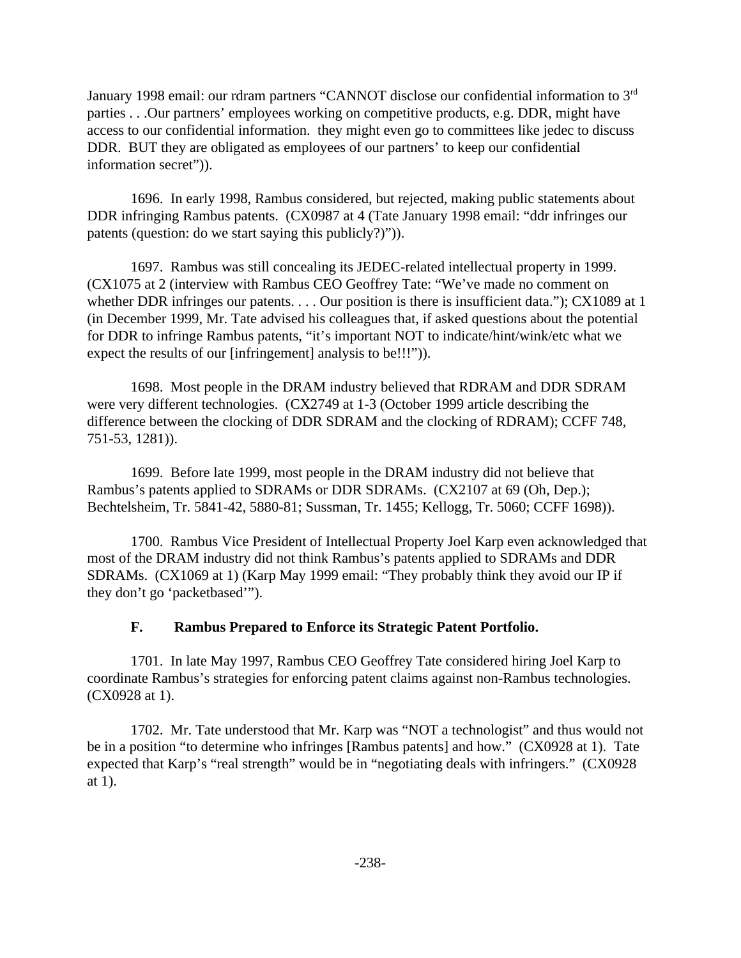January 1998 email: our rdram partners "CANNOT disclose our confidential information to 3<sup>rd</sup> parties . . .Our partners' employees working on competitive products, e.g. DDR, might have access to our confidential information. they might even go to committees like jedec to discuss DDR. BUT they are obligated as employees of our partners' to keep our confidential information secret")).

1696. In early 1998, Rambus considered, but rejected, making public statements about DDR infringing Rambus patents. (CX0987 at 4 (Tate January 1998 email: "ddr infringes our patents (question: do we start saying this publicly?)")).

1697. Rambus was still concealing its JEDEC-related intellectual property in 1999. (CX1075 at 2 (interview with Rambus CEO Geoffrey Tate: "We've made no comment on whether DDR infringes our patents. . . . Our position is there is insufficient data."); CX1089 at 1 (in December 1999, Mr. Tate advised his colleagues that, if asked questions about the potential for DDR to infringe Rambus patents, "it's important NOT to indicate/hint/wink/etc what we expect the results of our [infringement] analysis to be!!!")).

1698. Most people in the DRAM industry believed that RDRAM and DDR SDRAM were very different technologies. (CX2749 at 1-3 (October 1999 article describing the difference between the clocking of DDR SDRAM and the clocking of RDRAM); CCFF 748, 751-53, 1281)).

1699. Before late 1999, most people in the DRAM industry did not believe that Rambus's patents applied to SDRAMs or DDR SDRAMs. (CX2107 at 69 (Oh, Dep.); Bechtelsheim, Tr. 5841-42, 5880-81; Sussman, Tr. 1455; Kellogg, Tr. 5060; CCFF 1698)).

1700. Rambus Vice President of Intellectual Property Joel Karp even acknowledged that most of the DRAM industry did not think Rambus's patents applied to SDRAMs and DDR SDRAMs. (CX1069 at 1) (Karp May 1999 email: "They probably think they avoid our IP if they don't go 'packetbased'").

## **F. Rambus Prepared to Enforce its Strategic Patent Portfolio.**

1701. In late May 1997, Rambus CEO Geoffrey Tate considered hiring Joel Karp to coordinate Rambus's strategies for enforcing patent claims against non-Rambus technologies. (CX0928 at 1).

1702. Mr. Tate understood that Mr. Karp was "NOT a technologist" and thus would not be in a position "to determine who infringes [Rambus patents] and how." (CX0928 at 1). Tate expected that Karp's "real strength" would be in "negotiating deals with infringers." (CX0928 at 1).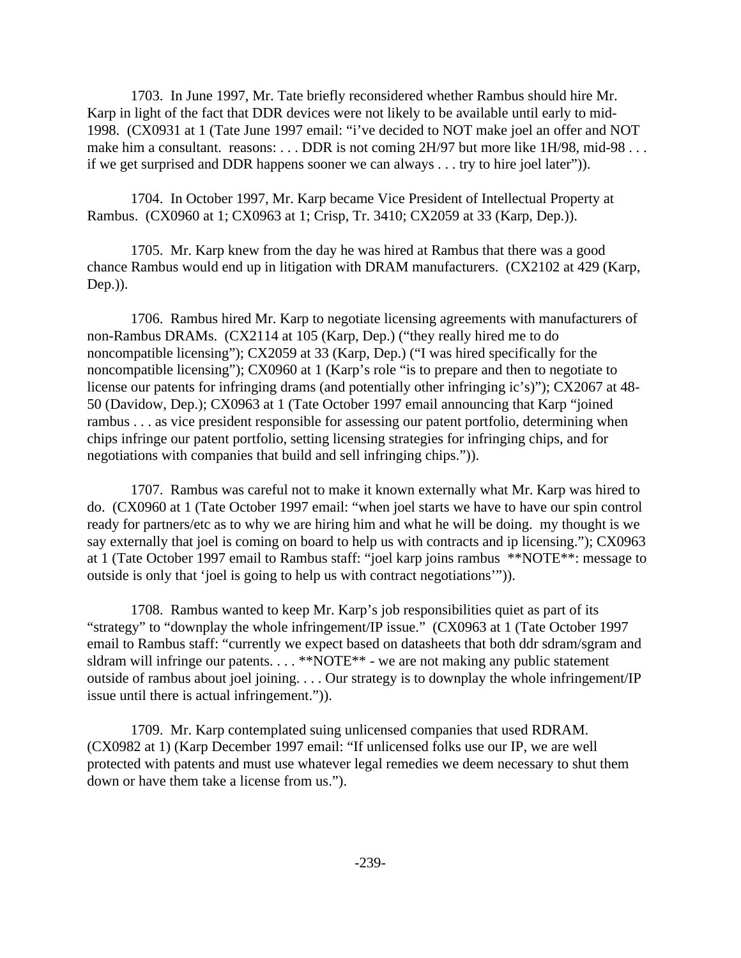1703. In June 1997, Mr. Tate briefly reconsidered whether Rambus should hire Mr. Karp in light of the fact that DDR devices were not likely to be available until early to mid-1998. (CX0931 at 1 (Tate June 1997 email: "i've decided to NOT make joel an offer and NOT make him a consultant. reasons: ... DDR is not coming 2H/97 but more like 1H/98, mid-98... if we get surprised and DDR happens sooner we can always . . . try to hire joel later")).

1704. In October 1997, Mr. Karp became Vice President of Intellectual Property at Rambus. (CX0960 at 1; CX0963 at 1; Crisp, Tr. 3410; CX2059 at 33 (Karp, Dep.)).

1705. Mr. Karp knew from the day he was hired at Rambus that there was a good chance Rambus would end up in litigation with DRAM manufacturers. (CX2102 at 429 (Karp, Dep.)).

1706. Rambus hired Mr. Karp to negotiate licensing agreements with manufacturers of non-Rambus DRAMs. (CX2114 at 105 (Karp, Dep.) ("they really hired me to do noncompatible licensing"); CX2059 at 33 (Karp, Dep.) ("I was hired specifically for the noncompatible licensing"); CX0960 at 1 (Karp's role "is to prepare and then to negotiate to license our patents for infringing drams (and potentially other infringing ic's)"); CX2067 at 48- 50 (Davidow, Dep.); CX0963 at 1 (Tate October 1997 email announcing that Karp "joined rambus . . . as vice president responsible for assessing our patent portfolio, determining when chips infringe our patent portfolio, setting licensing strategies for infringing chips, and for negotiations with companies that build and sell infringing chips.")).

1707. Rambus was careful not to make it known externally what Mr. Karp was hired to do. (CX0960 at 1 (Tate October 1997 email: "when joel starts we have to have our spin control ready for partners/etc as to why we are hiring him and what he will be doing. my thought is we say externally that joel is coming on board to help us with contracts and ip licensing."); CX0963 at 1 (Tate October 1997 email to Rambus staff: "joel karp joins rambus \*\*NOTE\*\*: message to outside is only that 'joel is going to help us with contract negotiations'")).

1708. Rambus wanted to keep Mr. Karp's job responsibilities quiet as part of its "strategy" to "downplay the whole infringement/IP issue." (CX0963 at 1 (Tate October 1997 email to Rambus staff: "currently we expect based on datasheets that both ddr sdram/sgram and sldram will infringe our patents. . . . \*\*NOTE\*\* - we are not making any public statement outside of rambus about joel joining. . . . Our strategy is to downplay the whole infringement/IP issue until there is actual infringement.")).

1709. Mr. Karp contemplated suing unlicensed companies that used RDRAM. (CX0982 at 1) (Karp December 1997 email: "If unlicensed folks use our IP, we are well protected with patents and must use whatever legal remedies we deem necessary to shut them down or have them take a license from us.").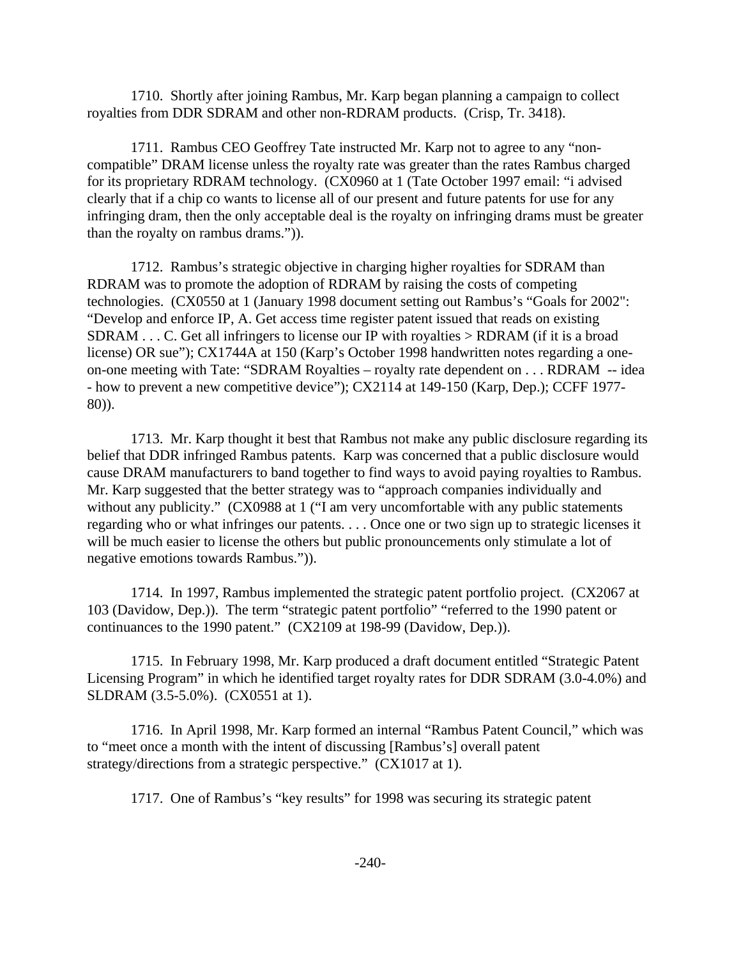1710. Shortly after joining Rambus, Mr. Karp began planning a campaign to collect royalties from DDR SDRAM and other non-RDRAM products. (Crisp, Tr. 3418).

1711. Rambus CEO Geoffrey Tate instructed Mr. Karp not to agree to any "noncompatible" DRAM license unless the royalty rate was greater than the rates Rambus charged for its proprietary RDRAM technology. (CX0960 at 1 (Tate October 1997 email: "i advised clearly that if a chip co wants to license all of our present and future patents for use for any infringing dram, then the only acceptable deal is the royalty on infringing drams must be greater than the royalty on rambus drams.")).

1712. Rambus's strategic objective in charging higher royalties for SDRAM than RDRAM was to promote the adoption of RDRAM by raising the costs of competing technologies. (CX0550 at 1 (January 1998 document setting out Rambus's "Goals for 2002": "Develop and enforce IP, A. Get access time register patent issued that reads on existing SDRAM . . . C. Get all infringers to license our IP with royalties > RDRAM (if it is a broad license) OR sue"); CX1744A at 150 (Karp's October 1998 handwritten notes regarding a oneon-one meeting with Tate: "SDRAM Royalties – royalty rate dependent on . . . RDRAM -- idea - how to prevent a new competitive device"); CX2114 at 149-150 (Karp, Dep.); CCFF 1977- 80)).

1713. Mr. Karp thought it best that Rambus not make any public disclosure regarding its belief that DDR infringed Rambus patents. Karp was concerned that a public disclosure would cause DRAM manufacturers to band together to find ways to avoid paying royalties to Rambus. Mr. Karp suggested that the better strategy was to "approach companies individually and without any publicity." (CX0988 at 1 ("I am very uncomfortable with any public statements regarding who or what infringes our patents. . . . Once one or two sign up to strategic licenses it will be much easier to license the others but public pronouncements only stimulate a lot of negative emotions towards Rambus.")).

1714. In 1997, Rambus implemented the strategic patent portfolio project. (CX2067 at 103 (Davidow, Dep.)). The term "strategic patent portfolio" "referred to the 1990 patent or continuances to the 1990 patent." (CX2109 at 198-99 (Davidow, Dep.)).

1715. In February 1998, Mr. Karp produced a draft document entitled "Strategic Patent Licensing Program" in which he identified target royalty rates for DDR SDRAM (3.0-4.0%) and SLDRAM (3.5-5.0%). (CX0551 at 1).

1716. In April 1998, Mr. Karp formed an internal "Rambus Patent Council," which was to "meet once a month with the intent of discussing [Rambus's] overall patent strategy/directions from a strategic perspective." (CX1017 at 1).

1717. One of Rambus's "key results" for 1998 was securing its strategic patent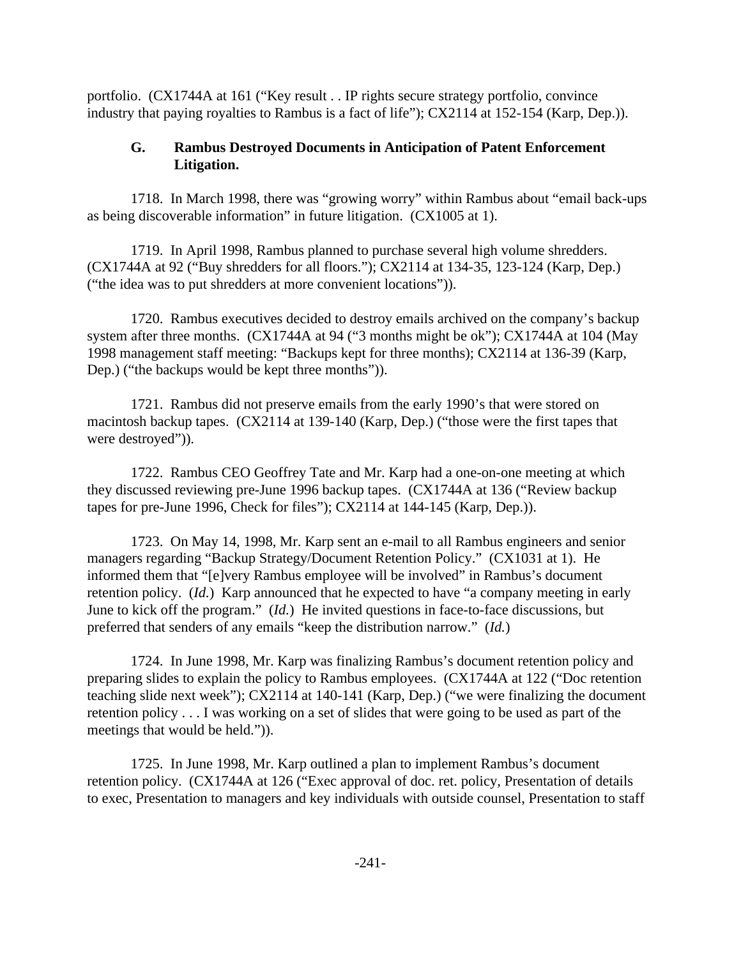portfolio. (CX1744A at 161 ("Key result . . IP rights secure strategy portfolio, convince industry that paying royalties to Rambus is a fact of life"); CX2114 at 152-154 (Karp, Dep.)).

# **G. Rambus Destroyed Documents in Anticipation of Patent Enforcement Litigation.**

1718. In March 1998, there was "growing worry" within Rambus about "email back-ups as being discoverable information" in future litigation. (CX1005 at 1).

1719. In April 1998, Rambus planned to purchase several high volume shredders. (CX1744A at 92 ("Buy shredders for all floors."); CX2114 at 134-35, 123-124 (Karp, Dep.) ("the idea was to put shredders at more convenient locations")).

1720. Rambus executives decided to destroy emails archived on the company's backup system after three months. (CX1744A at 94 ("3 months might be ok"); CX1744A at 104 (May 1998 management staff meeting: "Backups kept for three months); CX2114 at 136-39 (Karp, Dep.) ("the backups would be kept three months")).

1721. Rambus did not preserve emails from the early 1990's that were stored on macintosh backup tapes. (CX2114 at 139-140 (Karp, Dep.) ("those were the first tapes that were destroyed")).

1722. Rambus CEO Geoffrey Tate and Mr. Karp had a one-on-one meeting at which they discussed reviewing pre-June 1996 backup tapes. (CX1744A at 136 ("Review backup tapes for pre-June 1996, Check for files"); CX2114 at 144-145 (Karp, Dep.)).

1723. On May 14, 1998, Mr. Karp sent an e-mail to all Rambus engineers and senior managers regarding "Backup Strategy/Document Retention Policy." (CX1031 at 1). He informed them that "[e]very Rambus employee will be involved" in Rambus's document retention policy. (*Id.*) Karp announced that he expected to have "a company meeting in early June to kick off the program." (*Id.*) He invited questions in face-to-face discussions, but preferred that senders of any emails "keep the distribution narrow." (*Id.*)

1724. In June 1998, Mr. Karp was finalizing Rambus's document retention policy and preparing slides to explain the policy to Rambus employees. (CX1744A at 122 ("Doc retention teaching slide next week"); CX2114 at 140-141 (Karp, Dep.) ("we were finalizing the document retention policy . . . I was working on a set of slides that were going to be used as part of the meetings that would be held.")).

1725. In June 1998, Mr. Karp outlined a plan to implement Rambus's document retention policy. (CX1744A at 126 ("Exec approval of doc. ret. policy, Presentation of details to exec, Presentation to managers and key individuals with outside counsel, Presentation to staff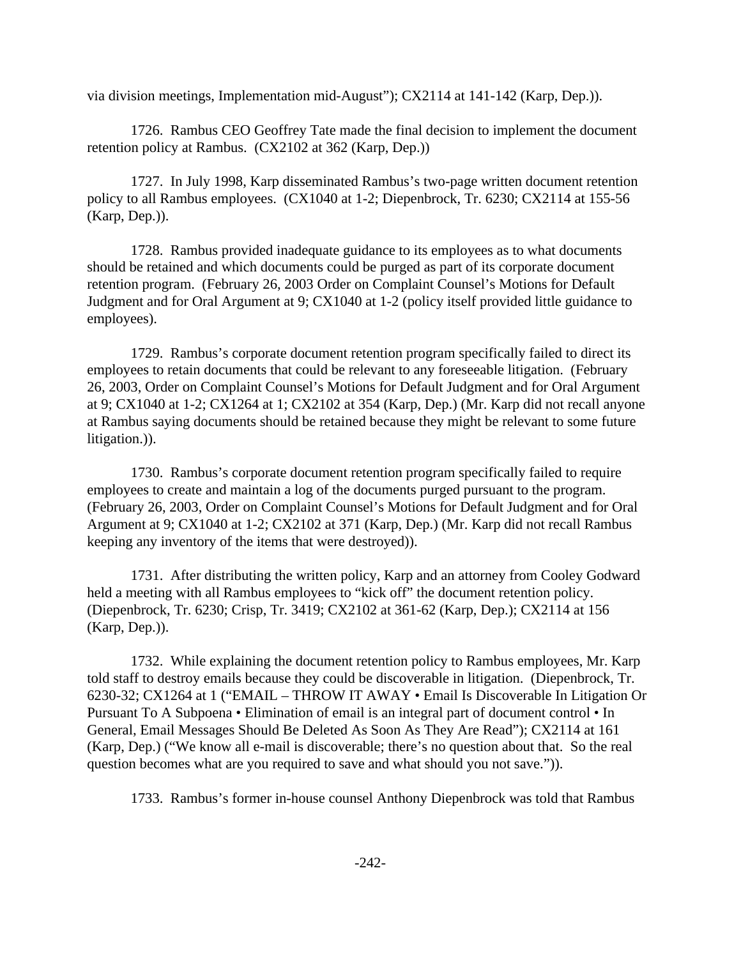via division meetings, Implementation mid-August"); CX2114 at 141-142 (Karp, Dep.)).

1726. Rambus CEO Geoffrey Tate made the final decision to implement the document retention policy at Rambus. (CX2102 at 362 (Karp, Dep.))

1727. In July 1998, Karp disseminated Rambus's two-page written document retention policy to all Rambus employees. (CX1040 at 1-2; Diepenbrock, Tr. 6230; CX2114 at 155-56 (Karp, Dep.)).

1728. Rambus provided inadequate guidance to its employees as to what documents should be retained and which documents could be purged as part of its corporate document retention program. (February 26, 2003 Order on Complaint Counsel's Motions for Default Judgment and for Oral Argument at 9; CX1040 at 1-2 (policy itself provided little guidance to employees).

1729. Rambus's corporate document retention program specifically failed to direct its employees to retain documents that could be relevant to any foreseeable litigation. (February 26, 2003, Order on Complaint Counsel's Motions for Default Judgment and for Oral Argument at 9; CX1040 at 1-2; CX1264 at 1; CX2102 at 354 (Karp, Dep.) (Mr. Karp did not recall anyone at Rambus saying documents should be retained because they might be relevant to some future litigation.)).

1730. Rambus's corporate document retention program specifically failed to require employees to create and maintain a log of the documents purged pursuant to the program. (February 26, 2003, Order on Complaint Counsel's Motions for Default Judgment and for Oral Argument at 9; CX1040 at 1-2; CX2102 at 371 (Karp, Dep.) (Mr. Karp did not recall Rambus keeping any inventory of the items that were destroyed)).

1731. After distributing the written policy, Karp and an attorney from Cooley Godward held a meeting with all Rambus employees to "kick off" the document retention policy. (Diepenbrock, Tr. 6230; Crisp, Tr. 3419; CX2102 at 361-62 (Karp, Dep.); CX2114 at 156 (Karp, Dep.)).

1732. While explaining the document retention policy to Rambus employees, Mr. Karp told staff to destroy emails because they could be discoverable in litigation. (Diepenbrock, Tr. 6230-32; CX1264 at 1 ("EMAIL – THROW IT AWAY • Email Is Discoverable In Litigation Or Pursuant To A Subpoena • Elimination of email is an integral part of document control • In General, Email Messages Should Be Deleted As Soon As They Are Read"); CX2114 at 161 (Karp, Dep.) ("We know all e-mail is discoverable; there's no question about that. So the real question becomes what are you required to save and what should you not save.")).

1733. Rambus's former in-house counsel Anthony Diepenbrock was told that Rambus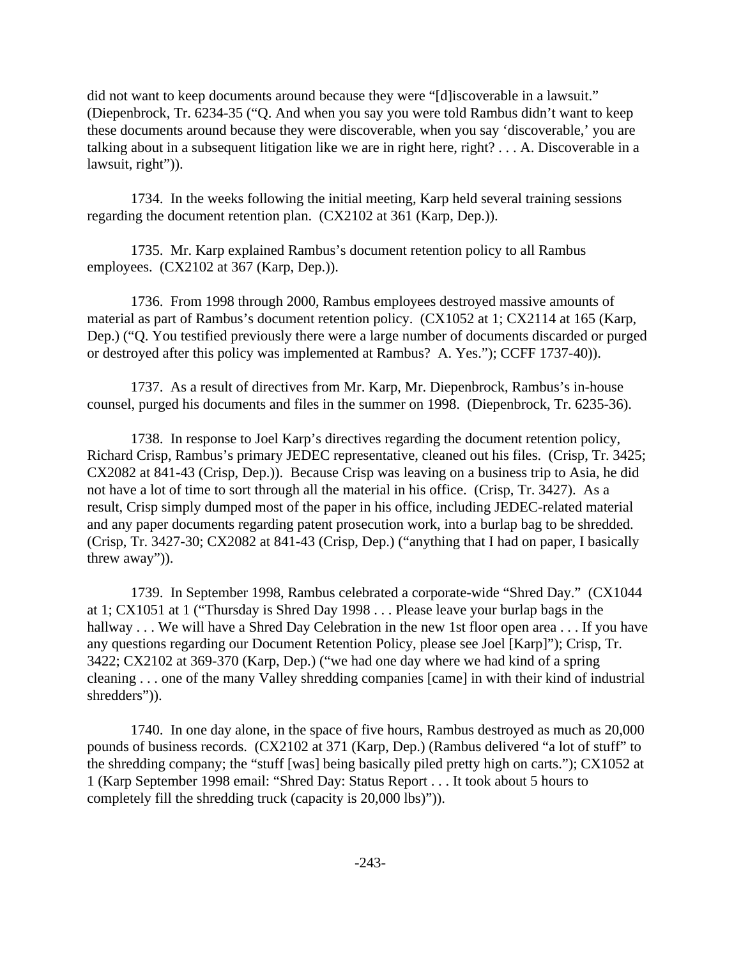did not want to keep documents around because they were "[d]iscoverable in a lawsuit." (Diepenbrock, Tr. 6234-35 ("Q. And when you say you were told Rambus didn't want to keep these documents around because they were discoverable, when you say 'discoverable,' you are talking about in a subsequent litigation like we are in right here, right? . . . A. Discoverable in a lawsuit, right")).

1734. In the weeks following the initial meeting, Karp held several training sessions regarding the document retention plan. (CX2102 at 361 (Karp, Dep.)).

1735. Mr. Karp explained Rambus's document retention policy to all Rambus employees. (CX2102 at 367 (Karp, Dep.)).

1736. From 1998 through 2000, Rambus employees destroyed massive amounts of material as part of Rambus's document retention policy. (CX1052 at 1; CX2114 at 165 (Karp, Dep.) ("Q. You testified previously there were a large number of documents discarded or purged or destroyed after this policy was implemented at Rambus? A. Yes."); CCFF 1737-40)).

1737. As a result of directives from Mr. Karp, Mr. Diepenbrock, Rambus's in-house counsel, purged his documents and files in the summer on 1998. (Diepenbrock, Tr. 6235-36).

1738. In response to Joel Karp's directives regarding the document retention policy, Richard Crisp, Rambus's primary JEDEC representative, cleaned out his files. (Crisp, Tr. 3425; CX2082 at 841-43 (Crisp, Dep.)). Because Crisp was leaving on a business trip to Asia, he did not have a lot of time to sort through all the material in his office. (Crisp, Tr. 3427). As a result, Crisp simply dumped most of the paper in his office, including JEDEC-related material and any paper documents regarding patent prosecution work, into a burlap bag to be shredded. (Crisp, Tr. 3427-30; CX2082 at 841-43 (Crisp, Dep.) ("anything that I had on paper, I basically threw away")).

1739. In September 1998, Rambus celebrated a corporate-wide "Shred Day." (CX1044 at 1; CX1051 at 1 ("Thursday is Shred Day 1998 . . . Please leave your burlap bags in the hallway . . . We will have a Shred Day Celebration in the new 1st floor open area . . . If you have any questions regarding our Document Retention Policy, please see Joel [Karp]"); Crisp, Tr. 3422; CX2102 at 369-370 (Karp, Dep.) ("we had one day where we had kind of a spring cleaning . . . one of the many Valley shredding companies [came] in with their kind of industrial shredders")).

1740. In one day alone, in the space of five hours, Rambus destroyed as much as 20,000 pounds of business records. (CX2102 at 371 (Karp, Dep.) (Rambus delivered "a lot of stuff" to the shredding company; the "stuff [was] being basically piled pretty high on carts."); CX1052 at 1 (Karp September 1998 email: "Shred Day: Status Report . . . It took about 5 hours to completely fill the shredding truck (capacity is 20,000 lbs)")).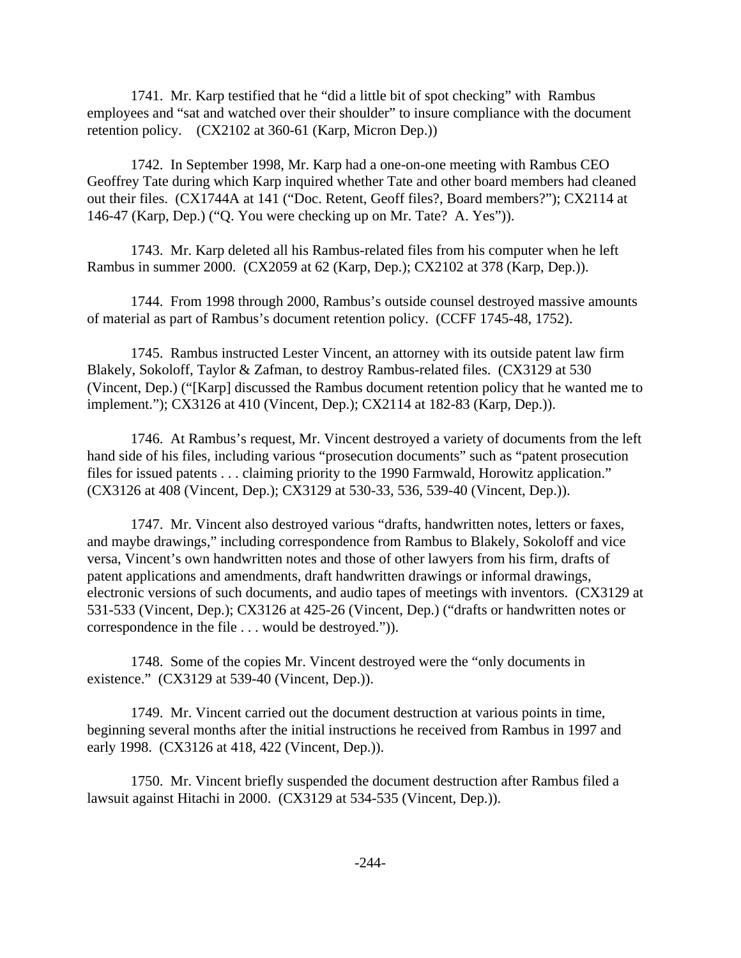1741. Mr. Karp testified that he "did a little bit of spot checking" with Rambus employees and "sat and watched over their shoulder" to insure compliance with the document retention policy. (CX2102 at 360-61 (Karp, Micron Dep.))

1742. In September 1998, Mr. Karp had a one-on-one meeting with Rambus CEO Geoffrey Tate during which Karp inquired whether Tate and other board members had cleaned out their files. (CX1744A at 141 ("Doc. Retent, Geoff files?, Board members?"); CX2114 at 146-47 (Karp, Dep.) ("Q. You were checking up on Mr. Tate? A. Yes")).

1743. Mr. Karp deleted all his Rambus-related files from his computer when he left Rambus in summer 2000. (CX2059 at 62 (Karp, Dep.); CX2102 at 378 (Karp, Dep.)).

1744. From 1998 through 2000, Rambus's outside counsel destroyed massive amounts of material as part of Rambus's document retention policy. (CCFF 1745-48, 1752).

1745. Rambus instructed Lester Vincent, an attorney with its outside patent law firm Blakely, Sokoloff, Taylor & Zafman, to destroy Rambus-related files. (CX3129 at 530 (Vincent, Dep.) ("[Karp] discussed the Rambus document retention policy that he wanted me to implement."); CX3126 at 410 (Vincent, Dep.); CX2114 at 182-83 (Karp, Dep.)).

1746. At Rambus's request, Mr. Vincent destroyed a variety of documents from the left hand side of his files, including various "prosecution documents" such as "patent prosecution files for issued patents . . . claiming priority to the 1990 Farmwald, Horowitz application." (CX3126 at 408 (Vincent, Dep.); CX3129 at 530-33, 536, 539-40 (Vincent, Dep.)).

1747. Mr. Vincent also destroyed various "drafts, handwritten notes, letters or faxes, and maybe drawings," including correspondence from Rambus to Blakely, Sokoloff and vice versa, Vincent's own handwritten notes and those of other lawyers from his firm, drafts of patent applications and amendments, draft handwritten drawings or informal drawings, electronic versions of such documents, and audio tapes of meetings with inventors. (CX3129 at 531-533 (Vincent, Dep.); CX3126 at 425-26 (Vincent, Dep.) ("drafts or handwritten notes or correspondence in the file . . . would be destroyed.")).

1748. Some of the copies Mr. Vincent destroyed were the "only documents in existence." (CX3129 at 539-40 (Vincent, Dep.)).

1749. Mr. Vincent carried out the document destruction at various points in time, beginning several months after the initial instructions he received from Rambus in 1997 and early 1998. (CX3126 at 418, 422 (Vincent, Dep.)).

1750. Mr. Vincent briefly suspended the document destruction after Rambus filed a lawsuit against Hitachi in 2000. (CX3129 at 534-535 (Vincent, Dep.)).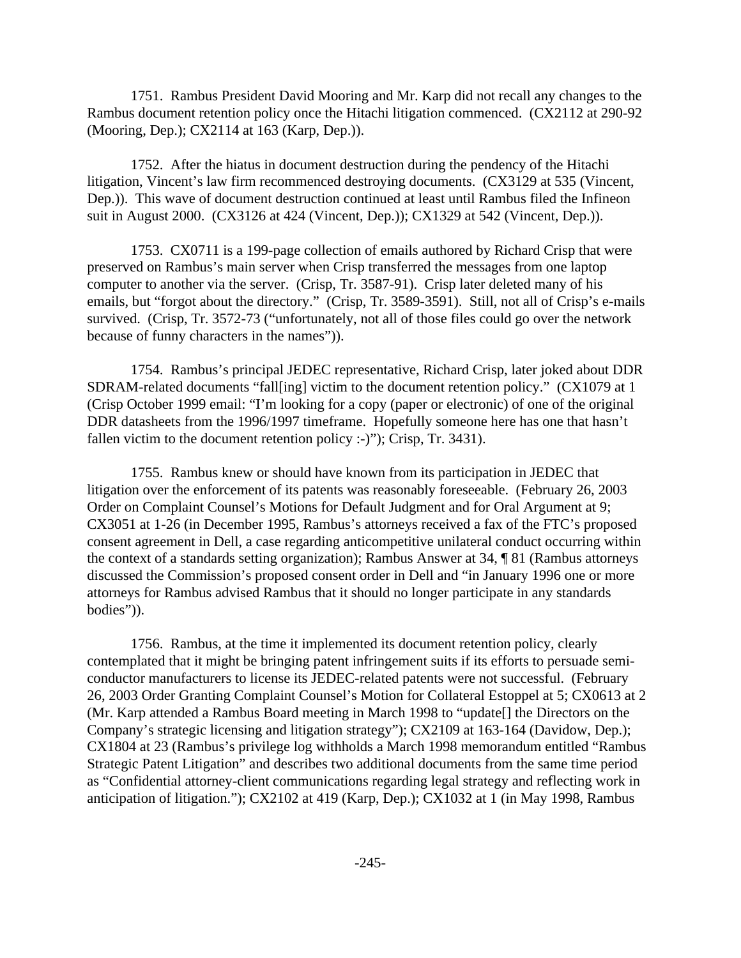1751. Rambus President David Mooring and Mr. Karp did not recall any changes to the Rambus document retention policy once the Hitachi litigation commenced. (CX2112 at 290-92 (Mooring, Dep.); CX2114 at 163 (Karp, Dep.)).

1752. After the hiatus in document destruction during the pendency of the Hitachi litigation, Vincent's law firm recommenced destroying documents. (CX3129 at 535 (Vincent, Dep.)). This wave of document destruction continued at least until Rambus filed the Infineon suit in August 2000. (CX3126 at 424 (Vincent, Dep.)); CX1329 at 542 (Vincent, Dep.)).

1753. CX0711 is a 199-page collection of emails authored by Richard Crisp that were preserved on Rambus's main server when Crisp transferred the messages from one laptop computer to another via the server. (Crisp, Tr. 3587-91). Crisp later deleted many of his emails, but "forgot about the directory." (Crisp, Tr. 3589-3591). Still, not all of Crisp's e-mails survived. (Crisp, Tr. 3572-73 ("unfortunately, not all of those files could go over the network because of funny characters in the names")).

1754. Rambus's principal JEDEC representative, Richard Crisp, later joked about DDR SDRAM-related documents "fall[ing] victim to the document retention policy." (CX1079 at 1 (Crisp October 1999 email: "I'm looking for a copy (paper or electronic) of one of the original DDR datasheets from the 1996/1997 timeframe. Hopefully someone here has one that hasn't fallen victim to the document retention policy :-)"); Crisp, Tr. 3431).

1755. Rambus knew or should have known from its participation in JEDEC that litigation over the enforcement of its patents was reasonably foreseeable. (February 26, 2003 Order on Complaint Counsel's Motions for Default Judgment and for Oral Argument at 9; CX3051 at 1-26 (in December 1995, Rambus's attorneys received a fax of the FTC's proposed consent agreement in Dell, a case regarding anticompetitive unilateral conduct occurring within the context of a standards setting organization); Rambus Answer at 34, ¶ 81 (Rambus attorneys discussed the Commission's proposed consent order in Dell and "in January 1996 one or more attorneys for Rambus advised Rambus that it should no longer participate in any standards bodies")).

1756. Rambus, at the time it implemented its document retention policy, clearly contemplated that it might be bringing patent infringement suits if its efforts to persuade semiconductor manufacturers to license its JEDEC-related patents were not successful. (February 26, 2003 Order Granting Complaint Counsel's Motion for Collateral Estoppel at 5; CX0613 at 2 (Mr. Karp attended a Rambus Board meeting in March 1998 to "update[] the Directors on the Company's strategic licensing and litigation strategy"); CX2109 at 163-164 (Davidow, Dep.); CX1804 at 23 (Rambus's privilege log withholds a March 1998 memorandum entitled "Rambus Strategic Patent Litigation" and describes two additional documents from the same time period as "Confidential attorney-client communications regarding legal strategy and reflecting work in anticipation of litigation."); CX2102 at 419 (Karp, Dep.); CX1032 at 1 (in May 1998, Rambus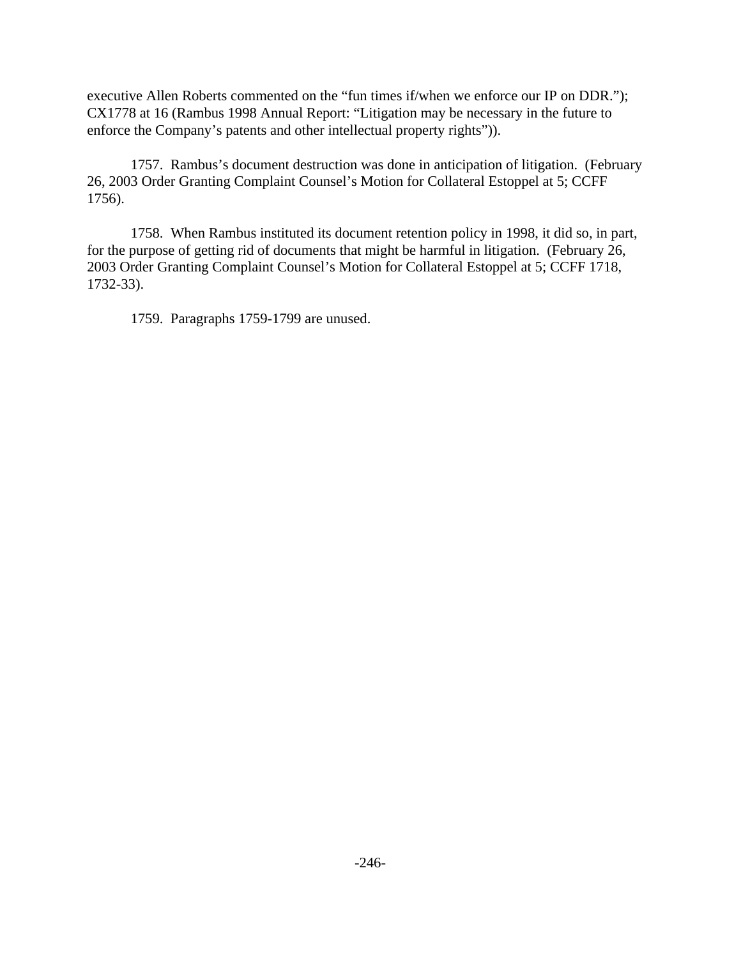executive Allen Roberts commented on the "fun times if/when we enforce our IP on DDR."); CX1778 at 16 (Rambus 1998 Annual Report: "Litigation may be necessary in the future to enforce the Company's patents and other intellectual property rights")).

1757. Rambus's document destruction was done in anticipation of litigation. (February 26, 2003 Order Granting Complaint Counsel's Motion for Collateral Estoppel at 5; CCFF 1756).

1758. When Rambus instituted its document retention policy in 1998, it did so, in part, for the purpose of getting rid of documents that might be harmful in litigation. (February 26, 2003 Order Granting Complaint Counsel's Motion for Collateral Estoppel at 5; CCFF 1718, 1732-33).

1759. Paragraphs 1759-1799 are unused.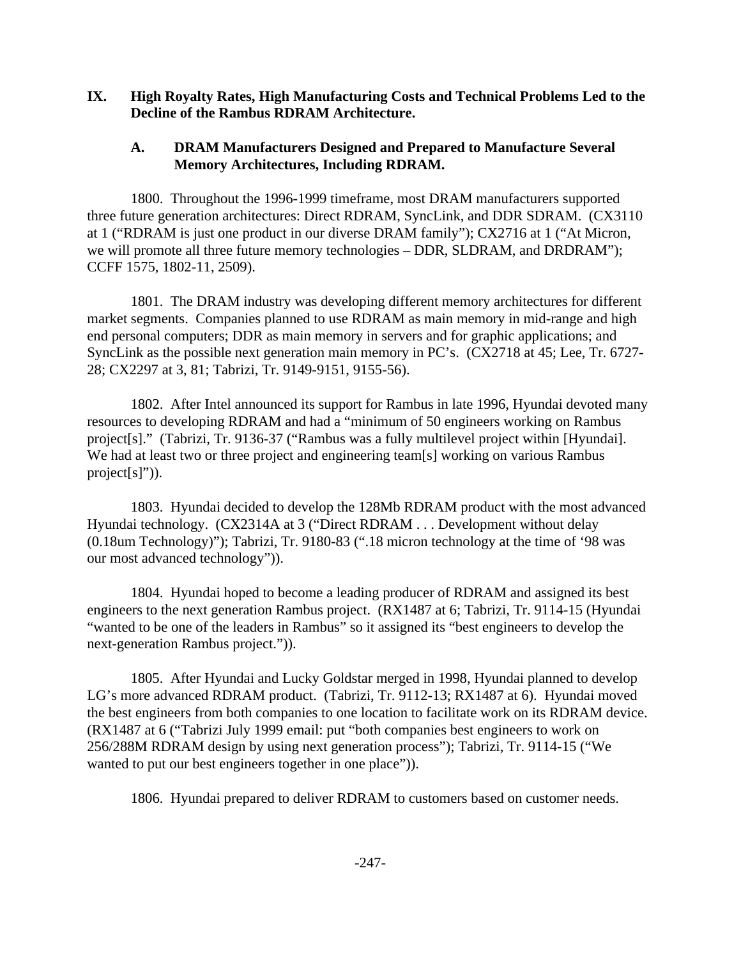### **IX. High Royalty Rates, High Manufacturing Costs and Technical Problems Led to the Decline of the Rambus RDRAM Architecture.**

## **A. DRAM Manufacturers Designed and Prepared to Manufacture Several Memory Architectures, Including RDRAM.**

1800. Throughout the 1996-1999 timeframe, most DRAM manufacturers supported three future generation architectures: Direct RDRAM, SyncLink, and DDR SDRAM. (CX3110 at 1 ("RDRAM is just one product in our diverse DRAM family"); CX2716 at 1 ("At Micron, we will promote all three future memory technologies – DDR, SLDRAM, and DRDRAM"); CCFF 1575, 1802-11, 2509).

1801. The DRAM industry was developing different memory architectures for different market segments. Companies planned to use RDRAM as main memory in mid-range and high end personal computers; DDR as main memory in servers and for graphic applications; and SyncLink as the possible next generation main memory in PC's. (CX2718 at 45; Lee, Tr. 6727- 28; CX2297 at 3, 81; Tabrizi, Tr. 9149-9151, 9155-56).

1802. After Intel announced its support for Rambus in late 1996, Hyundai devoted many resources to developing RDRAM and had a "minimum of 50 engineers working on Rambus project[s]." (Tabrizi, Tr. 9136-37 ("Rambus was a fully multilevel project within [Hyundai]. We had at least two or three project and engineering team[s] working on various Rambus project[s]")).

1803. Hyundai decided to develop the 128Mb RDRAM product with the most advanced Hyundai technology. (CX2314A at 3 ("Direct RDRAM . . . Development without delay (0.18um Technology)"); Tabrizi, Tr. 9180-83 (".18 micron technology at the time of '98 was our most advanced technology")).

1804. Hyundai hoped to become a leading producer of RDRAM and assigned its best engineers to the next generation Rambus project. (RX1487 at 6; Tabrizi, Tr. 9114-15 (Hyundai "wanted to be one of the leaders in Rambus" so it assigned its "best engineers to develop the next-generation Rambus project.")).

1805. After Hyundai and Lucky Goldstar merged in 1998, Hyundai planned to develop LG's more advanced RDRAM product. (Tabrizi, Tr. 9112-13; RX1487 at 6). Hyundai moved the best engineers from both companies to one location to facilitate work on its RDRAM device. (RX1487 at 6 ("Tabrizi July 1999 email: put "both companies best engineers to work on 256/288M RDRAM design by using next generation process"); Tabrizi, Tr. 9114-15 ("We wanted to put our best engineers together in one place")).

1806. Hyundai prepared to deliver RDRAM to customers based on customer needs.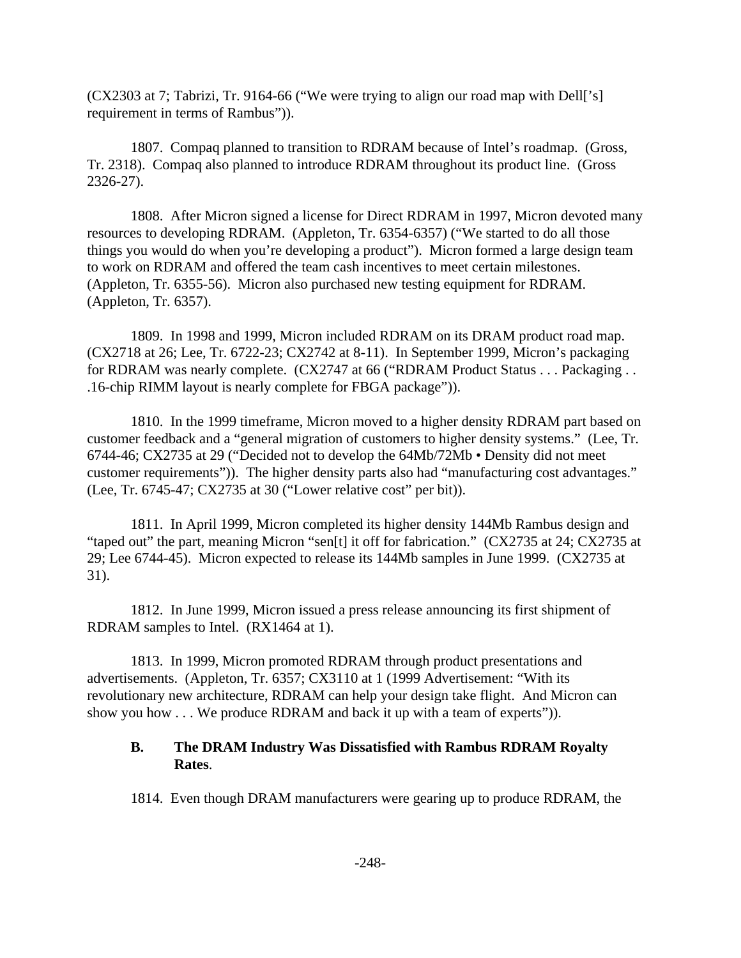(CX2303 at 7; Tabrizi, Tr. 9164-66 ("We were trying to align our road map with Dell['s] requirement in terms of Rambus")).

1807. Compaq planned to transition to RDRAM because of Intel's roadmap. (Gross, Tr. 2318). Compaq also planned to introduce RDRAM throughout its product line. (Gross 2326-27).

1808. After Micron signed a license for Direct RDRAM in 1997, Micron devoted many resources to developing RDRAM. (Appleton, Tr. 6354-6357) ("We started to do all those things you would do when you're developing a product"). Micron formed a large design team to work on RDRAM and offered the team cash incentives to meet certain milestones. (Appleton, Tr. 6355-56). Micron also purchased new testing equipment for RDRAM. (Appleton, Tr. 6357).

1809. In 1998 and 1999, Micron included RDRAM on its DRAM product road map. (CX2718 at 26; Lee, Tr. 6722-23; CX2742 at 8-11). In September 1999, Micron's packaging for RDRAM was nearly complete. (CX2747 at 66 ("RDRAM Product Status . . . Packaging . . .16-chip RIMM layout is nearly complete for FBGA package")).

1810. In the 1999 timeframe, Micron moved to a higher density RDRAM part based on customer feedback and a "general migration of customers to higher density systems." (Lee, Tr. 6744-46; CX2735 at 29 ("Decided not to develop the 64Mb/72Mb • Density did not meet customer requirements")). The higher density parts also had "manufacturing cost advantages." (Lee, Tr. 6745-47; CX2735 at 30 ("Lower relative cost" per bit)).

1811. In April 1999, Micron completed its higher density 144Mb Rambus design and "taped out" the part, meaning Micron "sen[t] it off for fabrication." (CX2735 at 24; CX2735 at 29; Lee 6744-45). Micron expected to release its 144Mb samples in June 1999. (CX2735 at 31).

1812. In June 1999, Micron issued a press release announcing its first shipment of RDRAM samples to Intel. (RX1464 at 1).

1813. In 1999, Micron promoted RDRAM through product presentations and advertisements. (Appleton, Tr. 6357; CX3110 at 1 (1999 Advertisement: "With its revolutionary new architecture, RDRAM can help your design take flight. And Micron can show you how . . . We produce RDRAM and back it up with a team of experts")).

### **B. The DRAM Industry Was Dissatisfied with Rambus RDRAM Royalty Rates**.

1814. Even though DRAM manufacturers were gearing up to produce RDRAM, the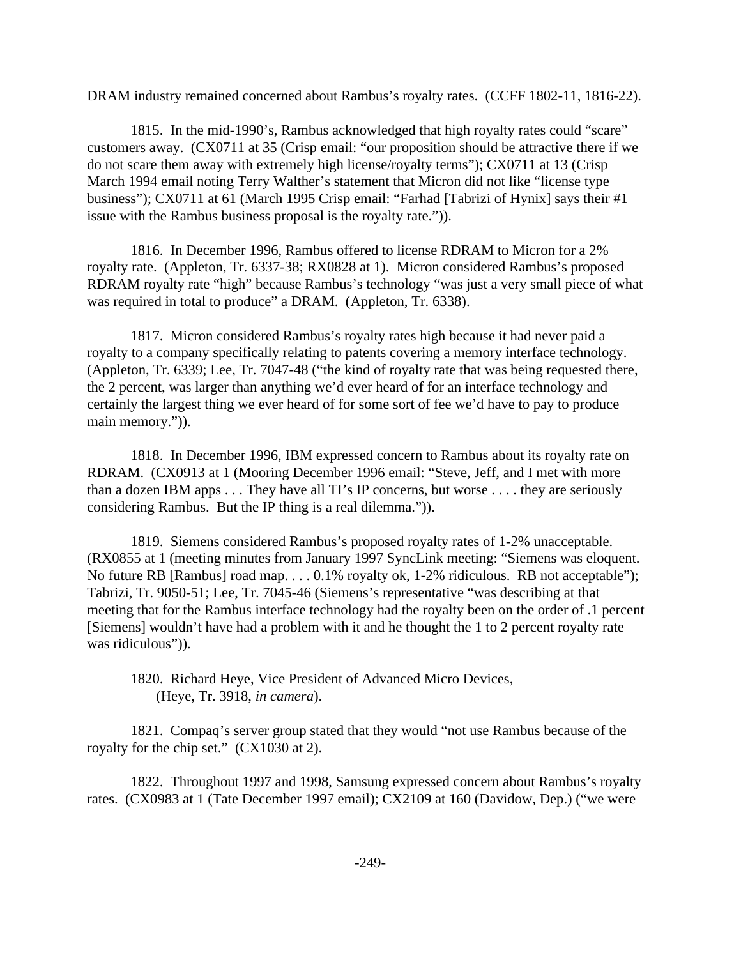DRAM industry remained concerned about Rambus's royalty rates. (CCFF 1802-11, 1816-22).

1815. In the mid-1990's, Rambus acknowledged that high royalty rates could "scare" customers away. (CX0711 at 35 (Crisp email: "our proposition should be attractive there if we do not scare them away with extremely high license/royalty terms"); CX0711 at 13 (Crisp March 1994 email noting Terry Walther's statement that Micron did not like "license type business"); CX0711 at 61 (March 1995 Crisp email: "Farhad [Tabrizi of Hynix] says their #1 issue with the Rambus business proposal is the royalty rate.")).

1816. In December 1996, Rambus offered to license RDRAM to Micron for a 2% royalty rate. (Appleton, Tr. 6337-38; RX0828 at 1). Micron considered Rambus's proposed RDRAM royalty rate "high" because Rambus's technology "was just a very small piece of what was required in total to produce" a DRAM. (Appleton, Tr. 6338).

1817. Micron considered Rambus's royalty rates high because it had never paid a royalty to a company specifically relating to patents covering a memory interface technology. (Appleton, Tr. 6339; Lee, Tr. 7047-48 ("the kind of royalty rate that was being requested there, the 2 percent, was larger than anything we'd ever heard of for an interface technology and certainly the largest thing we ever heard of for some sort of fee we'd have to pay to produce main memory.")).

1818. In December 1996, IBM expressed concern to Rambus about its royalty rate on RDRAM. (CX0913 at 1 (Mooring December 1996 email: "Steve, Jeff, and I met with more than a dozen IBM apps . . . They have all TI's IP concerns, but worse . . . . they are seriously considering Rambus. But the IP thing is a real dilemma.")).

1819. Siemens considered Rambus's proposed royalty rates of 1-2% unacceptable. (RX0855 at 1 (meeting minutes from January 1997 SyncLink meeting: "Siemens was eloquent. No future RB [Rambus] road map. . . . 0.1% royalty ok, 1-2% ridiculous. RB not acceptable"); Tabrizi, Tr. 9050-51; Lee, Tr. 7045-46 (Siemens's representative "was describing at that meeting that for the Rambus interface technology had the royalty been on the order of .1 percent [Siemens] wouldn't have had a problem with it and he thought the 1 to 2 percent royalty rate was ridiculous")).

1820. Richard Heye, Vice President of Advanced Micro Devices, (Heye, Tr. 3918, *in camera*).

1821. Compaq's server group stated that they would "not use Rambus because of the royalty for the chip set." (CX1030 at 2).

1822. Throughout 1997 and 1998, Samsung expressed concern about Rambus's royalty rates. (CX0983 at 1 (Tate December 1997 email); CX2109 at 160 (Davidow, Dep.) ("we were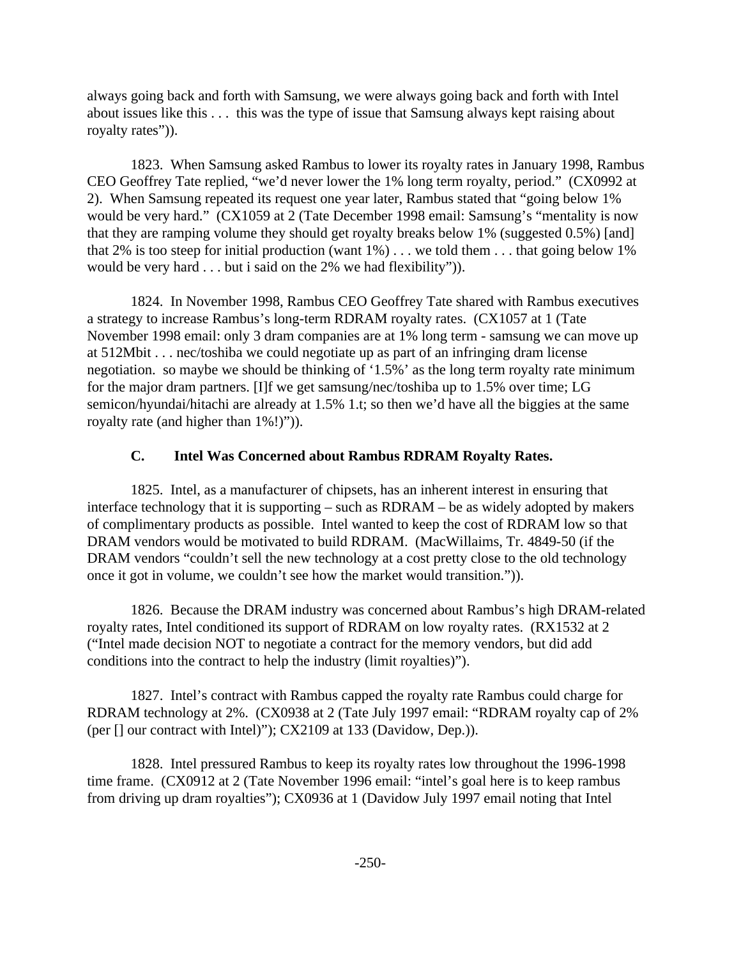always going back and forth with Samsung, we were always going back and forth with Intel about issues like this . . . this was the type of issue that Samsung always kept raising about royalty rates")).

1823. When Samsung asked Rambus to lower its royalty rates in January 1998, Rambus CEO Geoffrey Tate replied, "we'd never lower the 1% long term royalty, period." (CX0992 at 2). When Samsung repeated its request one year later, Rambus stated that "going below 1% would be very hard." (CX1059 at 2 (Tate December 1998 email: Samsung's "mentality is now that they are ramping volume they should get royalty breaks below 1% (suggested 0.5%) [and] that 2% is too steep for initial production (want  $1\%$ )... we told them ... that going below 1% would be very hard . . . but i said on the 2% we had flexibility")).

1824. In November 1998, Rambus CEO Geoffrey Tate shared with Rambus executives a strategy to increase Rambus's long-term RDRAM royalty rates. (CX1057 at 1 (Tate November 1998 email: only 3 dram companies are at 1% long term - samsung we can move up at 512Mbit . . . nec/toshiba we could negotiate up as part of an infringing dram license negotiation. so maybe we should be thinking of '1.5%' as the long term royalty rate minimum for the major dram partners. [I]f we get samsung/nec/toshiba up to 1.5% over time; LG semicon/hyundai/hitachi are already at 1.5% 1.t; so then we'd have all the biggies at the same royalty rate (and higher than  $1\%$ !)")).

# **C. Intel Was Concerned about Rambus RDRAM Royalty Rates.**

1825. Intel, as a manufacturer of chipsets, has an inherent interest in ensuring that interface technology that it is supporting – such as RDRAM – be as widely adopted by makers of complimentary products as possible. Intel wanted to keep the cost of RDRAM low so that DRAM vendors would be motivated to build RDRAM. (MacWillaims, Tr. 4849-50 (if the DRAM vendors "couldn't sell the new technology at a cost pretty close to the old technology once it got in volume, we couldn't see how the market would transition.")).

1826. Because the DRAM industry was concerned about Rambus's high DRAM-related royalty rates, Intel conditioned its support of RDRAM on low royalty rates. (RX1532 at 2 ("Intel made decision NOT to negotiate a contract for the memory vendors, but did add conditions into the contract to help the industry (limit royalties)").

1827. Intel's contract with Rambus capped the royalty rate Rambus could charge for RDRAM technology at 2%. (CX0938 at 2 (Tate July 1997 email: "RDRAM royalty cap of 2% (per [] our contract with Intel)"); CX2109 at 133 (Davidow, Dep.)).

1828. Intel pressured Rambus to keep its royalty rates low throughout the 1996-1998 time frame. (CX0912 at 2 (Tate November 1996 email: "intel's goal here is to keep rambus from driving up dram royalties"); CX0936 at 1 (Davidow July 1997 email noting that Intel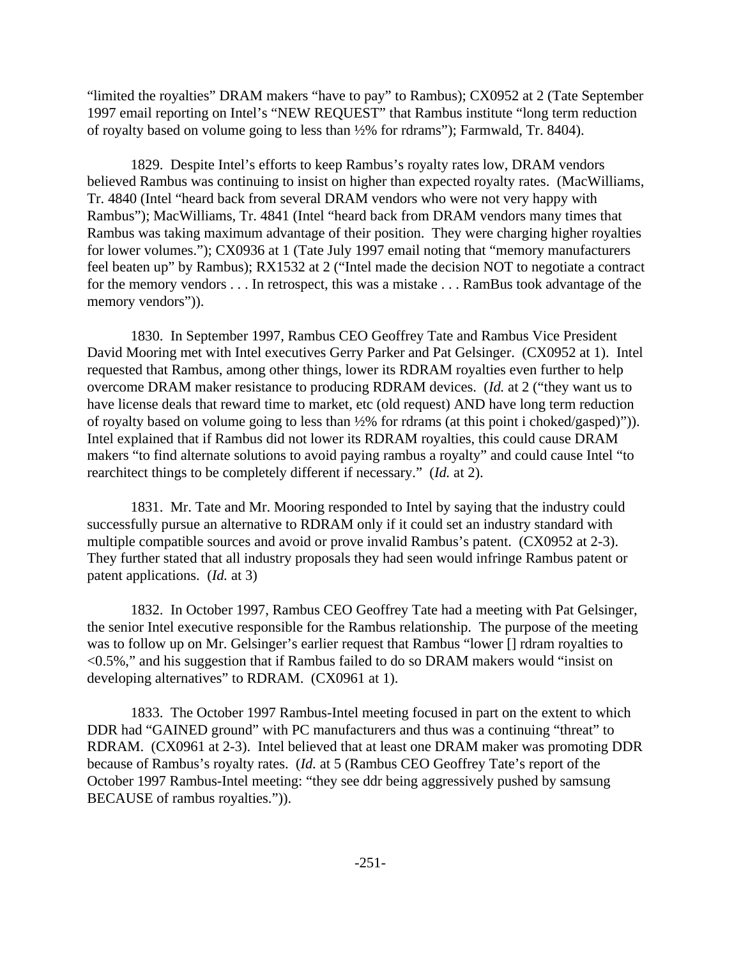"limited the royalties" DRAM makers "have to pay" to Rambus); CX0952 at 2 (Tate September 1997 email reporting on Intel's "NEW REQUEST" that Rambus institute "long term reduction of royalty based on volume going to less than ½% for rdrams"); Farmwald, Tr. 8404).

1829. Despite Intel's efforts to keep Rambus's royalty rates low, DRAM vendors believed Rambus was continuing to insist on higher than expected royalty rates. (MacWilliams, Tr. 4840 (Intel "heard back from several DRAM vendors who were not very happy with Rambus"); MacWilliams, Tr. 4841 (Intel "heard back from DRAM vendors many times that Rambus was taking maximum advantage of their position. They were charging higher royalties for lower volumes."); CX0936 at 1 (Tate July 1997 email noting that "memory manufacturers feel beaten up" by Rambus); RX1532 at 2 ("Intel made the decision NOT to negotiate a contract for the memory vendors . . . In retrospect, this was a mistake . . . RamBus took advantage of the memory vendors")).

1830. In September 1997, Rambus CEO Geoffrey Tate and Rambus Vice President David Mooring met with Intel executives Gerry Parker and Pat Gelsinger. (CX0952 at 1). Intel requested that Rambus, among other things, lower its RDRAM royalties even further to help overcome DRAM maker resistance to producing RDRAM devices. (*Id.* at 2 ("they want us to have license deals that reward time to market, etc (old request) AND have long term reduction of royalty based on volume going to less than ½% for rdrams (at this point i choked/gasped)")). Intel explained that if Rambus did not lower its RDRAM royalties, this could cause DRAM makers "to find alternate solutions to avoid paying rambus a royalty" and could cause Intel "to rearchitect things to be completely different if necessary." (*Id.* at 2).

1831. Mr. Tate and Mr. Mooring responded to Intel by saying that the industry could successfully pursue an alternative to RDRAM only if it could set an industry standard with multiple compatible sources and avoid or prove invalid Rambus's patent. (CX0952 at 2-3). They further stated that all industry proposals they had seen would infringe Rambus patent or patent applications. (*Id.* at 3)

1832. In October 1997, Rambus CEO Geoffrey Tate had a meeting with Pat Gelsinger, the senior Intel executive responsible for the Rambus relationship. The purpose of the meeting was to follow up on Mr. Gelsinger's earlier request that Rambus "lower [] rdram royalties to <0.5%," and his suggestion that if Rambus failed to do so DRAM makers would "insist on developing alternatives" to RDRAM. (CX0961 at 1).

1833. The October 1997 Rambus-Intel meeting focused in part on the extent to which DDR had "GAINED ground" with PC manufacturers and thus was a continuing "threat" to RDRAM. (CX0961 at 2-3). Intel believed that at least one DRAM maker was promoting DDR because of Rambus's royalty rates. (*Id.* at 5 (Rambus CEO Geoffrey Tate's report of the October 1997 Rambus-Intel meeting: "they see ddr being aggressively pushed by samsung BECAUSE of rambus royalties.")).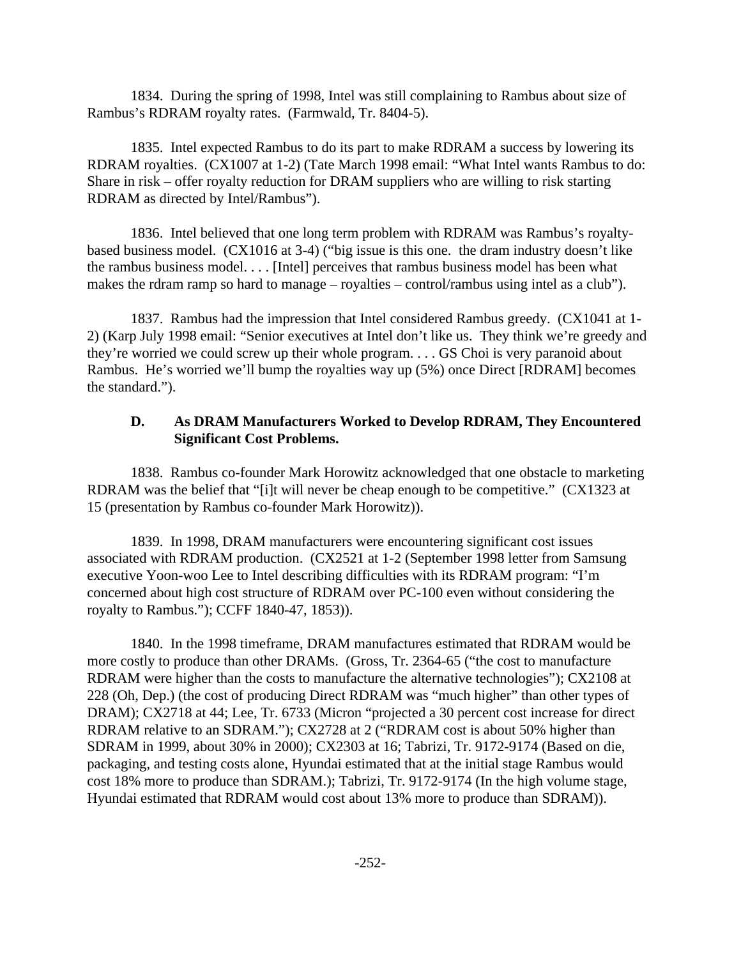1834. During the spring of 1998, Intel was still complaining to Rambus about size of Rambus's RDRAM royalty rates. (Farmwald, Tr. 8404-5).

1835. Intel expected Rambus to do its part to make RDRAM a success by lowering its RDRAM royalties. (CX1007 at 1-2) (Tate March 1998 email: "What Intel wants Rambus to do: Share in risk – offer royalty reduction for DRAM suppliers who are willing to risk starting RDRAM as directed by Intel/Rambus").

1836. Intel believed that one long term problem with RDRAM was Rambus's royaltybased business model. (CX1016 at 3-4) ("big issue is this one. the dram industry doesn't like the rambus business model. . . . [Intel] perceives that rambus business model has been what makes the rdram ramp so hard to manage – royalties – control/rambus using intel as a club").

1837. Rambus had the impression that Intel considered Rambus greedy. (CX1041 at 1- 2) (Karp July 1998 email: "Senior executives at Intel don't like us. They think we're greedy and they're worried we could screw up their whole program. . . . GS Choi is very paranoid about Rambus. He's worried we'll bump the royalties way up (5%) once Direct [RDRAM] becomes the standard.").

#### **D. As DRAM Manufacturers Worked to Develop RDRAM, They Encountered Significant Cost Problems.**

1838. Rambus co-founder Mark Horowitz acknowledged that one obstacle to marketing RDRAM was the belief that "[i]t will never be cheap enough to be competitive." (CX1323 at 15 (presentation by Rambus co-founder Mark Horowitz)).

1839. In 1998, DRAM manufacturers were encountering significant cost issues associated with RDRAM production. (CX2521 at 1-2 (September 1998 letter from Samsung executive Yoon-woo Lee to Intel describing difficulties with its RDRAM program: "I'm concerned about high cost structure of RDRAM over PC-100 even without considering the royalty to Rambus."); CCFF 1840-47, 1853)).

1840. In the 1998 timeframe, DRAM manufactures estimated that RDRAM would be more costly to produce than other DRAMs. (Gross, Tr. 2364-65 ("the cost to manufacture RDRAM were higher than the costs to manufacture the alternative technologies"); CX2108 at 228 (Oh, Dep.) (the cost of producing Direct RDRAM was "much higher" than other types of DRAM); CX2718 at 44; Lee, Tr. 6733 (Micron "projected a 30 percent cost increase for direct RDRAM relative to an SDRAM."); CX2728 at 2 ("RDRAM cost is about 50% higher than SDRAM in 1999, about 30% in 2000); CX2303 at 16; Tabrizi, Tr. 9172-9174 (Based on die, packaging, and testing costs alone, Hyundai estimated that at the initial stage Rambus would cost 18% more to produce than SDRAM.); Tabrizi, Tr. 9172-9174 (In the high volume stage, Hyundai estimated that RDRAM would cost about 13% more to produce than SDRAM)).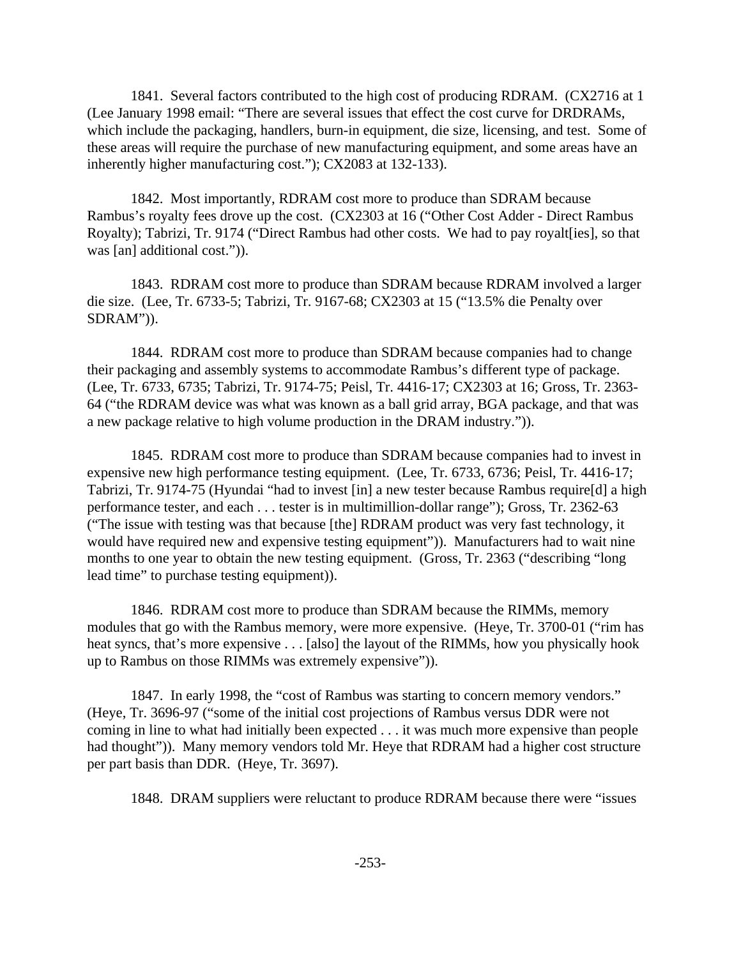1841. Several factors contributed to the high cost of producing RDRAM. (CX2716 at 1 (Lee January 1998 email: "There are several issues that effect the cost curve for DRDRAMs, which include the packaging, handlers, burn-in equipment, die size, licensing, and test. Some of these areas will require the purchase of new manufacturing equipment, and some areas have an inherently higher manufacturing cost."); CX2083 at 132-133).

1842. Most importantly, RDRAM cost more to produce than SDRAM because Rambus's royalty fees drove up the cost. (CX2303 at 16 ("Other Cost Adder - Direct Rambus Royalty); Tabrizi, Tr. 9174 ("Direct Rambus had other costs. We had to pay royalt [ies], so that was [an] additional cost.")).

1843. RDRAM cost more to produce than SDRAM because RDRAM involved a larger die size. (Lee, Tr. 6733-5; Tabrizi, Tr. 9167-68; CX2303 at 15 ("13.5% die Penalty over SDRAM")).

1844. RDRAM cost more to produce than SDRAM because companies had to change their packaging and assembly systems to accommodate Rambus's different type of package. (Lee, Tr. 6733, 6735; Tabrizi, Tr. 9174-75; Peisl, Tr. 4416-17; CX2303 at 16; Gross, Tr. 2363- 64 ("the RDRAM device was what was known as a ball grid array, BGA package, and that was a new package relative to high volume production in the DRAM industry.")).

1845. RDRAM cost more to produce than SDRAM because companies had to invest in expensive new high performance testing equipment. (Lee, Tr. 6733, 6736; Peisl, Tr. 4416-17; Tabrizi, Tr. 9174-75 (Hyundai "had to invest [in] a new tester because Rambus require[d] a high performance tester, and each . . . tester is in multimillion-dollar range"); Gross, Tr. 2362-63 ("The issue with testing was that because [the] RDRAM product was very fast technology, it would have required new and expensive testing equipment")). Manufacturers had to wait nine months to one year to obtain the new testing equipment. (Gross, Tr. 2363 ("describing "long lead time" to purchase testing equipment)).

1846. RDRAM cost more to produce than SDRAM because the RIMMs, memory modules that go with the Rambus memory, were more expensive. (Heye, Tr. 3700-01 ("rim has heat syncs, that's more expensive . . . [also] the layout of the RIMMs, how you physically hook up to Rambus on those RIMMs was extremely expensive")).

1847. In early 1998, the "cost of Rambus was starting to concern memory vendors." (Heye, Tr. 3696-97 ("some of the initial cost projections of Rambus versus DDR were not coming in line to what had initially been expected . . . it was much more expensive than people had thought")). Many memory vendors told Mr. Heye that RDRAM had a higher cost structure per part basis than DDR. (Heye, Tr. 3697).

1848. DRAM suppliers were reluctant to produce RDRAM because there were "issues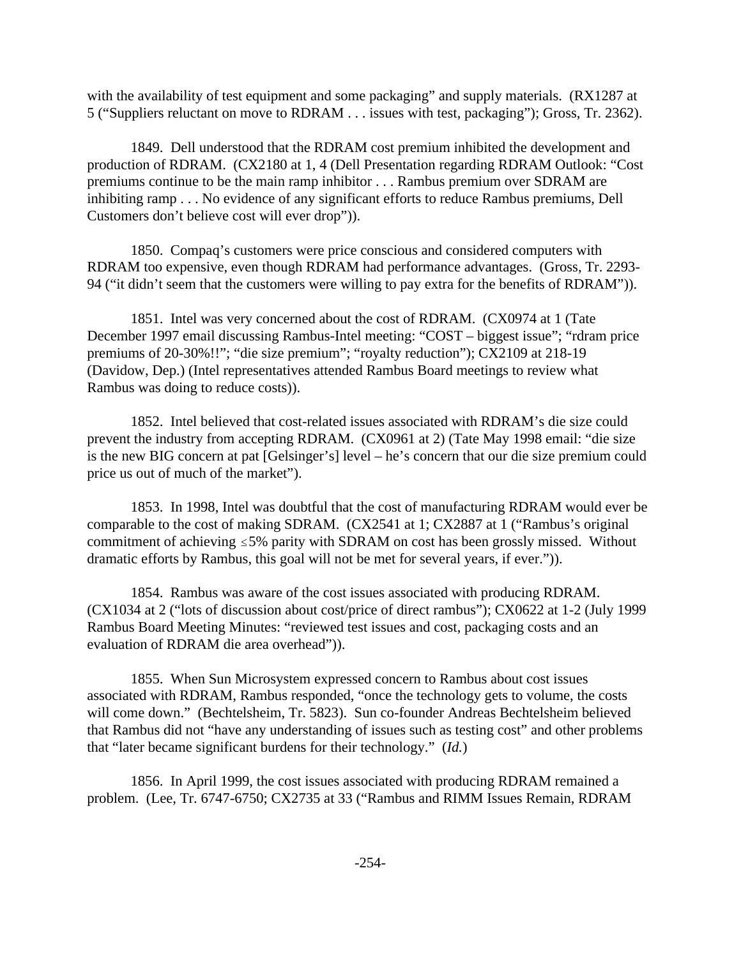with the availability of test equipment and some packaging" and supply materials. (RX1287 at 5 ("Suppliers reluctant on move to RDRAM . . . issues with test, packaging"); Gross, Tr. 2362).

1849. Dell understood that the RDRAM cost premium inhibited the development and production of RDRAM. (CX2180 at 1, 4 (Dell Presentation regarding RDRAM Outlook: "Cost premiums continue to be the main ramp inhibitor . . . Rambus premium over SDRAM are inhibiting ramp . . . No evidence of any significant efforts to reduce Rambus premiums, Dell Customers don't believe cost will ever drop")).

1850. Compaq's customers were price conscious and considered computers with RDRAM too expensive, even though RDRAM had performance advantages. (Gross, Tr. 2293- 94 ("it didn't seem that the customers were willing to pay extra for the benefits of RDRAM")).

1851. Intel was very concerned about the cost of RDRAM. (CX0974 at 1 (Tate December 1997 email discussing Rambus-Intel meeting: "COST – biggest issue"; "rdram price premiums of 20-30%!!"; "die size premium"; "royalty reduction"); CX2109 at 218-19 (Davidow, Dep.) (Intel representatives attended Rambus Board meetings to review what Rambus was doing to reduce costs)).

1852. Intel believed that cost-related issues associated with RDRAM's die size could prevent the industry from accepting RDRAM. (CX0961 at 2) (Tate May 1998 email: "die size is the new BIG concern at pat [Gelsinger's] level – he's concern that our die size premium could price us out of much of the market").

1853. In 1998, Intel was doubtful that the cost of manufacturing RDRAM would ever be comparable to the cost of making SDRAM. (CX2541 at 1; CX2887 at 1 ("Rambus's original commitment of achieving  $\leq$ 5% parity with SDRAM on cost has been grossly missed. Without dramatic efforts by Rambus, this goal will not be met for several years, if ever.")).

1854. Rambus was aware of the cost issues associated with producing RDRAM. (CX1034 at 2 ("lots of discussion about cost/price of direct rambus"); CX0622 at 1-2 (July 1999 Rambus Board Meeting Minutes: "reviewed test issues and cost, packaging costs and an evaluation of RDRAM die area overhead")).

1855. When Sun Microsystem expressed concern to Rambus about cost issues associated with RDRAM, Rambus responded, "once the technology gets to volume, the costs will come down." (Bechtelsheim, Tr. 5823). Sun co-founder Andreas Bechtelsheim believed that Rambus did not "have any understanding of issues such as testing cost" and other problems that "later became significant burdens for their technology." (*Id.*)

1856. In April 1999, the cost issues associated with producing RDRAM remained a problem. (Lee, Tr. 6747-6750; CX2735 at 33 ("Rambus and RIMM Issues Remain, RDRAM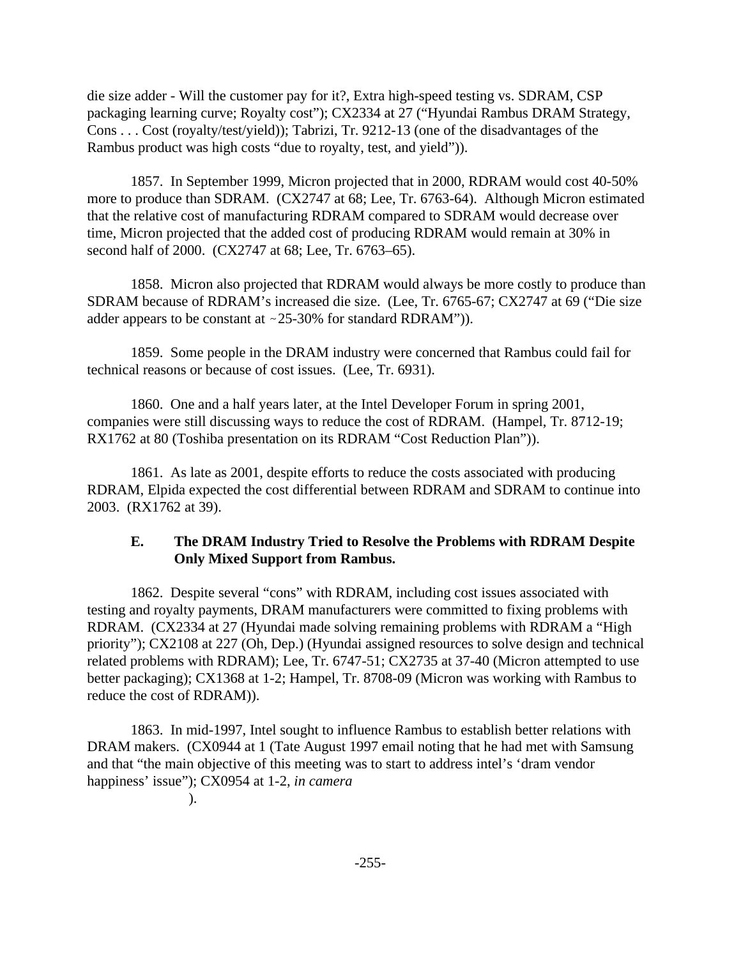die size adder - Will the customer pay for it?, Extra high-speed testing vs. SDRAM, CSP packaging learning curve; Royalty cost"); CX2334 at 27 ("Hyundai Rambus DRAM Strategy, Cons . . . Cost (royalty/test/yield)); Tabrizi, Tr. 9212-13 (one of the disadvantages of the Rambus product was high costs "due to royalty, test, and yield")).

1857. In September 1999, Micron projected that in 2000, RDRAM would cost 40-50% more to produce than SDRAM. (CX2747 at 68; Lee, Tr. 6763-64). Although Micron estimated that the relative cost of manufacturing RDRAM compared to SDRAM would decrease over time, Micron projected that the added cost of producing RDRAM would remain at 30% in second half of 2000. (CX2747 at 68; Lee, Tr. 6763–65).

1858. Micron also projected that RDRAM would always be more costly to produce than SDRAM because of RDRAM's increased die size. (Lee, Tr. 6765-67; CX2747 at 69 ("Die size adder appears to be constant at  $\sim$  25-30% for standard RDRAM")).

1859. Some people in the DRAM industry were concerned that Rambus could fail for technical reasons or because of cost issues. (Lee, Tr. 6931).

1860. One and a half years later, at the Intel Developer Forum in spring 2001, companies were still discussing ways to reduce the cost of RDRAM. (Hampel, Tr. 8712-19; RX1762 at 80 (Toshiba presentation on its RDRAM "Cost Reduction Plan")).

1861. As late as 2001, despite efforts to reduce the costs associated with producing RDRAM, Elpida expected the cost differential between RDRAM and SDRAM to continue into 2003. (RX1762 at 39).

### **E. The DRAM Industry Tried to Resolve the Problems with RDRAM Despite Only Mixed Support from Rambus.**

1862. Despite several "cons" with RDRAM, including cost issues associated with testing and royalty payments, DRAM manufacturers were committed to fixing problems with RDRAM. (CX2334 at 27 (Hyundai made solving remaining problems with RDRAM a "High priority"); CX2108 at 227 (Oh, Dep.) (Hyundai assigned resources to solve design and technical related problems with RDRAM); Lee, Tr. 6747-51; CX2735 at 37-40 (Micron attempted to use better packaging); CX1368 at 1-2; Hampel, Tr. 8708-09 (Micron was working with Rambus to reduce the cost of RDRAM)).

1863. In mid-1997, Intel sought to influence Rambus to establish better relations with DRAM makers. (CX0944 at 1 (Tate August 1997 email noting that he had met with Samsung and that "the main objective of this meeting was to start to address intel's 'dram vendor happiness' issue"); CX0954 at 1-2, *in camera* 

).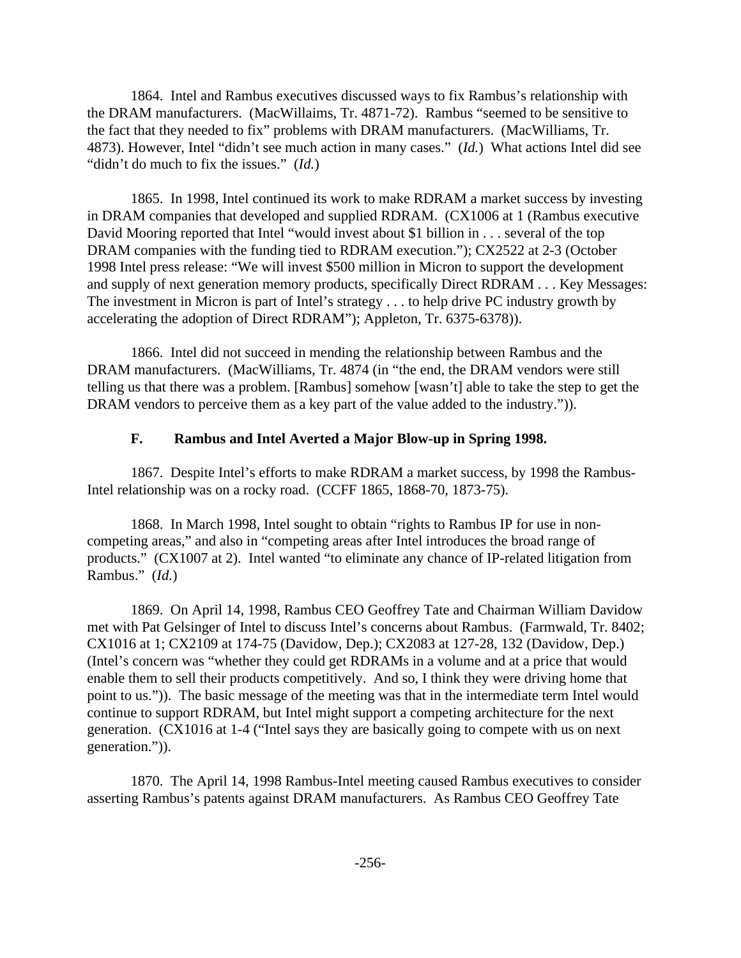1864. Intel and Rambus executives discussed ways to fix Rambus's relationship with the DRAM manufacturers. (MacWillaims, Tr. 4871-72). Rambus "seemed to be sensitive to the fact that they needed to fix" problems with DRAM manufacturers. (MacWilliams, Tr. 4873). However, Intel "didn't see much action in many cases." (*Id.*) What actions Intel did see "didn't do much to fix the issues." (*Id.*)

1865. In 1998, Intel continued its work to make RDRAM a market success by investing in DRAM companies that developed and supplied RDRAM. (CX1006 at 1 (Rambus executive David Mooring reported that Intel "would invest about \$1 billion in . . . several of the top DRAM companies with the funding tied to RDRAM execution."); CX2522 at 2-3 (October 1998 Intel press release: "We will invest \$500 million in Micron to support the development and supply of next generation memory products, specifically Direct RDRAM . . . Key Messages: The investment in Micron is part of Intel's strategy . . . to help drive PC industry growth by accelerating the adoption of Direct RDRAM"); Appleton, Tr. 6375-6378)).

1866. Intel did not succeed in mending the relationship between Rambus and the DRAM manufacturers. (MacWilliams, Tr. 4874 (in "the end, the DRAM vendors were still telling us that there was a problem. [Rambus] somehow [wasn't] able to take the step to get the DRAM vendors to perceive them as a key part of the value added to the industry.")).

#### **F. Rambus and Intel Averted a Major Blow-up in Spring 1998.**

1867. Despite Intel's efforts to make RDRAM a market success, by 1998 the Rambus-Intel relationship was on a rocky road. (CCFF 1865, 1868-70, 1873-75).

1868. In March 1998, Intel sought to obtain "rights to Rambus IP for use in noncompeting areas," and also in "competing areas after Intel introduces the broad range of products." (CX1007 at 2). Intel wanted "to eliminate any chance of IP-related litigation from Rambus." (*Id.*)

1869. On April 14, 1998, Rambus CEO Geoffrey Tate and Chairman William Davidow met with Pat Gelsinger of Intel to discuss Intel's concerns about Rambus. (Farmwald, Tr. 8402; CX1016 at 1; CX2109 at 174-75 (Davidow, Dep.); CX2083 at 127-28, 132 (Davidow, Dep.) (Intel's concern was "whether they could get RDRAMs in a volume and at a price that would enable them to sell their products competitively. And so, I think they were driving home that point to us.")). The basic message of the meeting was that in the intermediate term Intel would continue to support RDRAM, but Intel might support a competing architecture for the next generation. (CX1016 at 1-4 ("Intel says they are basically going to compete with us on next generation.")).

1870. The April 14, 1998 Rambus-Intel meeting caused Rambus executives to consider asserting Rambus's patents against DRAM manufacturers. As Rambus CEO Geoffrey Tate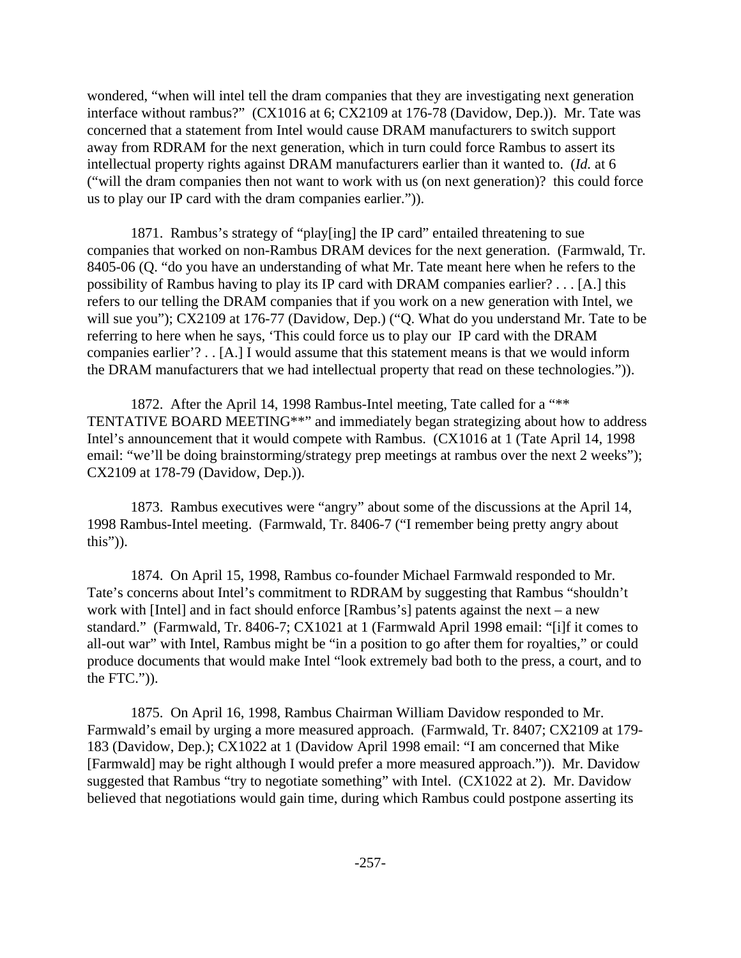wondered, "when will intel tell the dram companies that they are investigating next generation interface without rambus?" (CX1016 at 6; CX2109 at 176-78 (Davidow, Dep.)). Mr. Tate was concerned that a statement from Intel would cause DRAM manufacturers to switch support away from RDRAM for the next generation, which in turn could force Rambus to assert its intellectual property rights against DRAM manufacturers earlier than it wanted to. (*Id.* at 6 ("will the dram companies then not want to work with us (on next generation)? this could force us to play our IP card with the dram companies earlier.")).

1871. Rambus's strategy of "play[ing] the IP card" entailed threatening to sue companies that worked on non-Rambus DRAM devices for the next generation. (Farmwald, Tr. 8405-06 (Q. "do you have an understanding of what Mr. Tate meant here when he refers to the possibility of Rambus having to play its IP card with DRAM companies earlier? . . . [A.] this refers to our telling the DRAM companies that if you work on a new generation with Intel, we will sue you"); CX2109 at 176-77 (Davidow, Dep.) ("Q. What do you understand Mr. Tate to be referring to here when he says, 'This could force us to play our IP card with the DRAM companies earlier'? . . [A.] I would assume that this statement means is that we would inform the DRAM manufacturers that we had intellectual property that read on these technologies.")).

1872. After the April 14, 1998 Rambus-Intel meeting, Tate called for a "\*\* TENTATIVE BOARD MEETING\*\*" and immediately began strategizing about how to address Intel's announcement that it would compete with Rambus. (CX1016 at 1 (Tate April 14, 1998 email: "we'll be doing brainstorming/strategy prep meetings at rambus over the next 2 weeks"); CX2109 at 178-79 (Davidow, Dep.)).

1873. Rambus executives were "angry" about some of the discussions at the April 14, 1998 Rambus-Intel meeting. (Farmwald, Tr. 8406-7 ("I remember being pretty angry about this")).

1874. On April 15, 1998, Rambus co-founder Michael Farmwald responded to Mr. Tate's concerns about Intel's commitment to RDRAM by suggesting that Rambus "shouldn't work with [Intel] and in fact should enforce [Rambus's] patents against the next – a new standard." (Farmwald, Tr. 8406-7; CX1021 at 1 (Farmwald April 1998 email: "[i]f it comes to all-out war" with Intel, Rambus might be "in a position to go after them for royalties," or could produce documents that would make Intel "look extremely bad both to the press, a court, and to the FTC.")).

1875. On April 16, 1998, Rambus Chairman William Davidow responded to Mr. Farmwald's email by urging a more measured approach. (Farmwald, Tr. 8407; CX2109 at 179- 183 (Davidow, Dep.); CX1022 at 1 (Davidow April 1998 email: "I am concerned that Mike [Farmwald] may be right although I would prefer a more measured approach.")). Mr. Davidow suggested that Rambus "try to negotiate something" with Intel. (CX1022 at 2). Mr. Davidow believed that negotiations would gain time, during which Rambus could postpone asserting its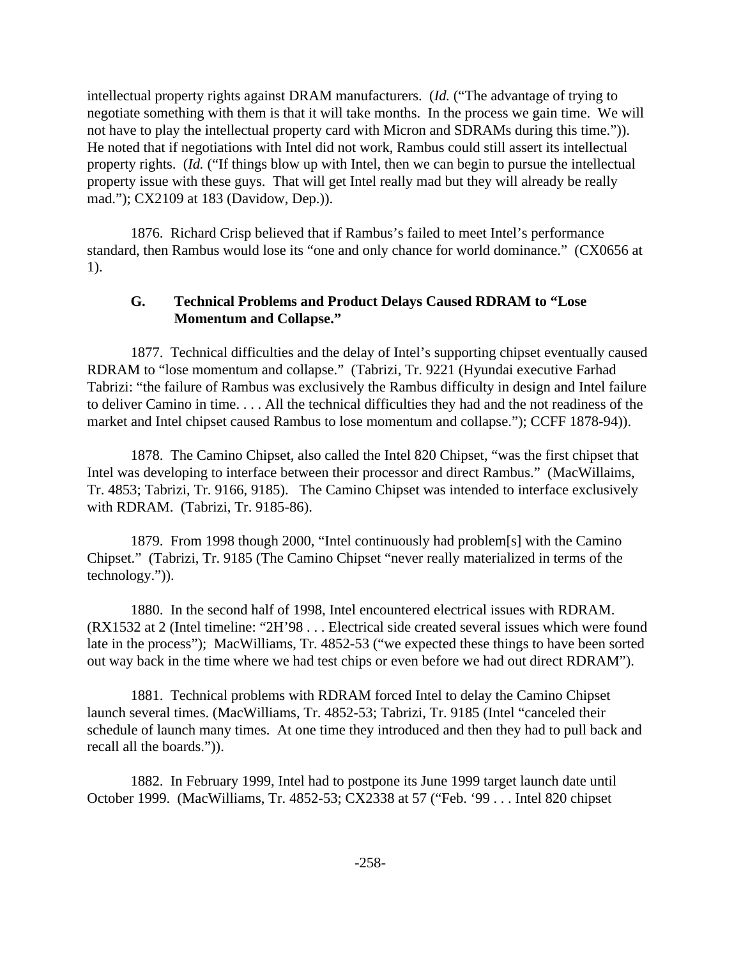intellectual property rights against DRAM manufacturers. (*Id.* ("The advantage of trying to negotiate something with them is that it will take months. In the process we gain time. We will not have to play the intellectual property card with Micron and SDRAMs during this time.")). He noted that if negotiations with Intel did not work, Rambus could still assert its intellectual property rights. (*Id.* ("If things blow up with Intel, then we can begin to pursue the intellectual property issue with these guys. That will get Intel really mad but they will already be really mad."); CX2109 at 183 (Davidow, Dep.)).

1876. Richard Crisp believed that if Rambus's failed to meet Intel's performance standard, then Rambus would lose its "one and only chance for world dominance." (CX0656 at 1).

## **G. Technical Problems and Product Delays Caused RDRAM to "Lose Momentum and Collapse."**

1877. Technical difficulties and the delay of Intel's supporting chipset eventually caused RDRAM to "lose momentum and collapse." (Tabrizi, Tr. 9221 (Hyundai executive Farhad Tabrizi: "the failure of Rambus was exclusively the Rambus difficulty in design and Intel failure to deliver Camino in time. . . . All the technical difficulties they had and the not readiness of the market and Intel chipset caused Rambus to lose momentum and collapse."); CCFF 1878-94)).

1878. The Camino Chipset, also called the Intel 820 Chipset, "was the first chipset that Intel was developing to interface between their processor and direct Rambus." (MacWillaims, Tr. 4853; Tabrizi, Tr. 9166, 9185). The Camino Chipset was intended to interface exclusively with RDRAM. (Tabrizi, Tr. 9185-86).

1879. From 1998 though 2000, "Intel continuously had problem[s] with the Camino Chipset." (Tabrizi, Tr. 9185 (The Camino Chipset "never really materialized in terms of the technology.")).

1880. In the second half of 1998, Intel encountered electrical issues with RDRAM. (RX1532 at 2 (Intel timeline: "2H'98 . . . Electrical side created several issues which were found late in the process"); MacWilliams, Tr. 4852-53 ("we expected these things to have been sorted out way back in the time where we had test chips or even before we had out direct RDRAM").

1881. Technical problems with RDRAM forced Intel to delay the Camino Chipset launch several times. (MacWilliams, Tr. 4852-53; Tabrizi, Tr. 9185 (Intel "canceled their schedule of launch many times. At one time they introduced and then they had to pull back and recall all the boards.")).

1882. In February 1999, Intel had to postpone its June 1999 target launch date until October 1999. (MacWilliams, Tr. 4852-53; CX2338 at 57 ("Feb. '99 . . . Intel 820 chipset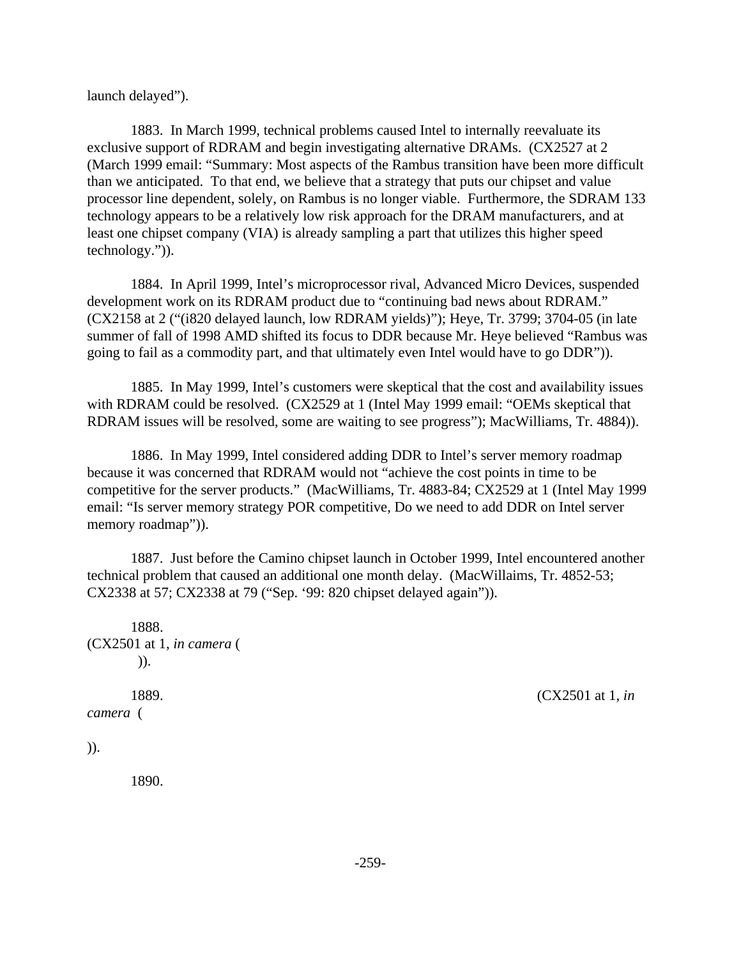launch delayed").

1883. In March 1999, technical problems caused Intel to internally reevaluate its exclusive support of RDRAM and begin investigating alternative DRAMs. (CX2527 at 2 (March 1999 email: "Summary: Most aspects of the Rambus transition have been more difficult than we anticipated. To that end, we believe that a strategy that puts our chipset and value processor line dependent, solely, on Rambus is no longer viable. Furthermore, the SDRAM 133 technology appears to be a relatively low risk approach for the DRAM manufacturers, and at least one chipset company (VIA) is already sampling a part that utilizes this higher speed technology.")).

1884. In April 1999, Intel's microprocessor rival, Advanced Micro Devices, suspended development work on its RDRAM product due to "continuing bad news about RDRAM." (CX2158 at 2 ("(i820 delayed launch, low RDRAM yields)"); Heye, Tr. 3799; 3704-05 (in late summer of fall of 1998 AMD shifted its focus to DDR because Mr. Heye believed "Rambus was going to fail as a commodity part, and that ultimately even Intel would have to go DDR")).

1885. In May 1999, Intel's customers were skeptical that the cost and availability issues with RDRAM could be resolved. (CX2529 at 1 (Intel May 1999 email: "OEMs skeptical that RDRAM issues will be resolved, some are waiting to see progress"); MacWilliams, Tr. 4884)).

1886. In May 1999, Intel considered adding DDR to Intel's server memory roadmap because it was concerned that RDRAM would not "achieve the cost points in time to be competitive for the server products." (MacWilliams, Tr. 4883-84; CX2529 at 1 (Intel May 1999 email: "Is server memory strategy POR competitive, Do we need to add DDR on Intel server memory roadmap")).

1887. Just before the Camino chipset launch in October 1999, Intel encountered another technical problem that caused an additional one month delay. (MacWillaims, Tr. 4852-53; CX2338 at 57; CX2338 at 79 ("Sep. '99: 820 chipset delayed again")).

1888. (CX2501 at 1, *in camera* ( )). 1889. (CX2501 at 1, *in*

*camera* (

)).

1890.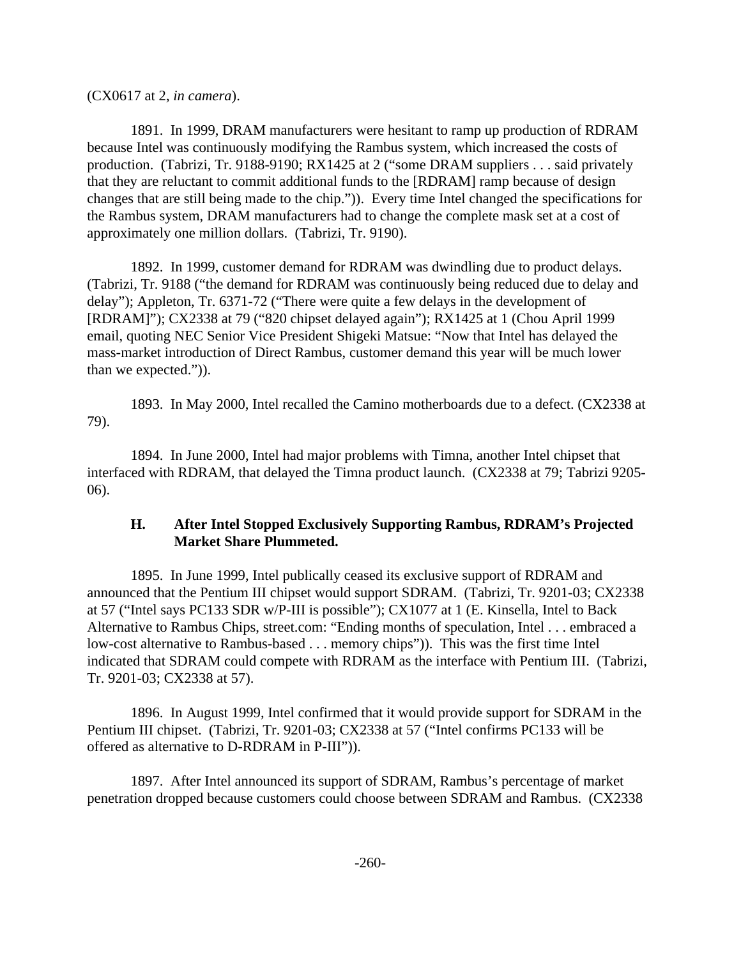(CX0617 at 2, *in camera*).

1891. In 1999, DRAM manufacturers were hesitant to ramp up production of RDRAM because Intel was continuously modifying the Rambus system, which increased the costs of production. (Tabrizi, Tr. 9188-9190; RX1425 at 2 ("some DRAM suppliers . . . said privately that they are reluctant to commit additional funds to the [RDRAM] ramp because of design changes that are still being made to the chip.")). Every time Intel changed the specifications for the Rambus system, DRAM manufacturers had to change the complete mask set at a cost of approximately one million dollars. (Tabrizi, Tr. 9190).

1892. In 1999, customer demand for RDRAM was dwindling due to product delays. (Tabrizi, Tr. 9188 ("the demand for RDRAM was continuously being reduced due to delay and delay"); Appleton, Tr. 6371-72 ("There were quite a few delays in the development of [RDRAM]"); CX2338 at 79 ("820 chipset delayed again"); RX1425 at 1 (Chou April 1999 email, quoting NEC Senior Vice President Shigeki Matsue: "Now that Intel has delayed the mass-market introduction of Direct Rambus, customer demand this year will be much lower than we expected.")).

1893. In May 2000, Intel recalled the Camino motherboards due to a defect. (CX2338 at 79).

1894. In June 2000, Intel had major problems with Timna, another Intel chipset that interfaced with RDRAM, that delayed the Timna product launch. (CX2338 at 79; Tabrizi 9205- 06).

## **H. After Intel Stopped Exclusively Supporting Rambus, RDRAM's Projected Market Share Plummeted.**

1895. In June 1999, Intel publically ceased its exclusive support of RDRAM and announced that the Pentium III chipset would support SDRAM. (Tabrizi, Tr. 9201-03; CX2338 at 57 ("Intel says PC133 SDR w/P-III is possible"); CX1077 at 1 (E. Kinsella, Intel to Back Alternative to Rambus Chips, street.com: "Ending months of speculation, Intel . . . embraced a low-cost alternative to Rambus-based . . . memory chips")). This was the first time Intel indicated that SDRAM could compete with RDRAM as the interface with Pentium III. (Tabrizi, Tr. 9201-03; CX2338 at 57).

1896. In August 1999, Intel confirmed that it would provide support for SDRAM in the Pentium III chipset. (Tabrizi, Tr. 9201-03; CX2338 at 57 ("Intel confirms PC133 will be offered as alternative to D-RDRAM in P-III")).

1897. After Intel announced its support of SDRAM, Rambus's percentage of market penetration dropped because customers could choose between SDRAM and Rambus. (CX2338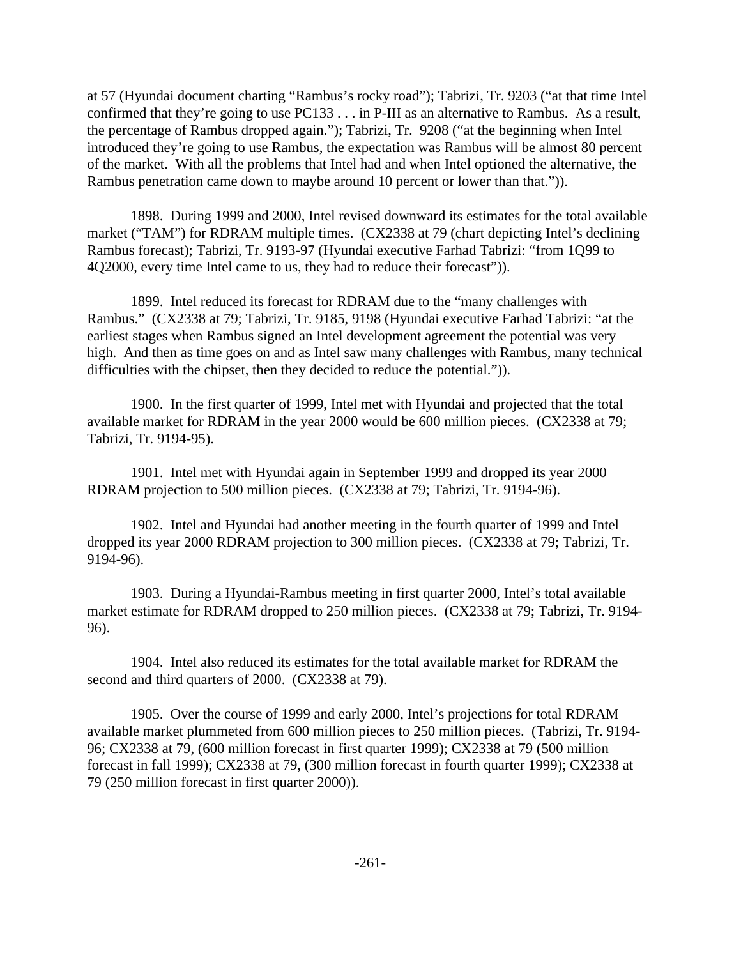at 57 (Hyundai document charting "Rambus's rocky road"); Tabrizi, Tr. 9203 ("at that time Intel confirmed that they're going to use PC133 . . . in P-III as an alternative to Rambus. As a result, the percentage of Rambus dropped again."); Tabrizi, Tr. 9208 ("at the beginning when Intel introduced they're going to use Rambus, the expectation was Rambus will be almost 80 percent of the market. With all the problems that Intel had and when Intel optioned the alternative, the Rambus penetration came down to maybe around 10 percent or lower than that.")).

1898. During 1999 and 2000, Intel revised downward its estimates for the total available market ("TAM") for RDRAM multiple times. (CX2338 at 79 (chart depicting Intel's declining Rambus forecast); Tabrizi, Tr. 9193-97 (Hyundai executive Farhad Tabrizi: "from 1Q99 to 4Q2000, every time Intel came to us, they had to reduce their forecast")).

1899. Intel reduced its forecast for RDRAM due to the "many challenges with Rambus." (CX2338 at 79; Tabrizi, Tr. 9185, 9198 (Hyundai executive Farhad Tabrizi: "at the earliest stages when Rambus signed an Intel development agreement the potential was very high. And then as time goes on and as Intel saw many challenges with Rambus, many technical difficulties with the chipset, then they decided to reduce the potential.")).

1900. In the first quarter of 1999, Intel met with Hyundai and projected that the total available market for RDRAM in the year 2000 would be 600 million pieces. (CX2338 at 79; Tabrizi, Tr. 9194-95).

1901. Intel met with Hyundai again in September 1999 and dropped its year 2000 RDRAM projection to 500 million pieces. (CX2338 at 79; Tabrizi, Tr. 9194-96).

1902. Intel and Hyundai had another meeting in the fourth quarter of 1999 and Intel dropped its year 2000 RDRAM projection to 300 million pieces. (CX2338 at 79; Tabrizi, Tr. 9194-96).

1903. During a Hyundai-Rambus meeting in first quarter 2000, Intel's total available market estimate for RDRAM dropped to 250 million pieces. (CX2338 at 79; Tabrizi, Tr. 9194- 96).

1904. Intel also reduced its estimates for the total available market for RDRAM the second and third quarters of 2000. (CX2338 at 79).

1905. Over the course of 1999 and early 2000, Intel's projections for total RDRAM available market plummeted from 600 million pieces to 250 million pieces. (Tabrizi, Tr. 9194- 96; CX2338 at 79, (600 million forecast in first quarter 1999); CX2338 at 79 (500 million forecast in fall 1999); CX2338 at 79, (300 million forecast in fourth quarter 1999); CX2338 at 79 (250 million forecast in first quarter 2000)).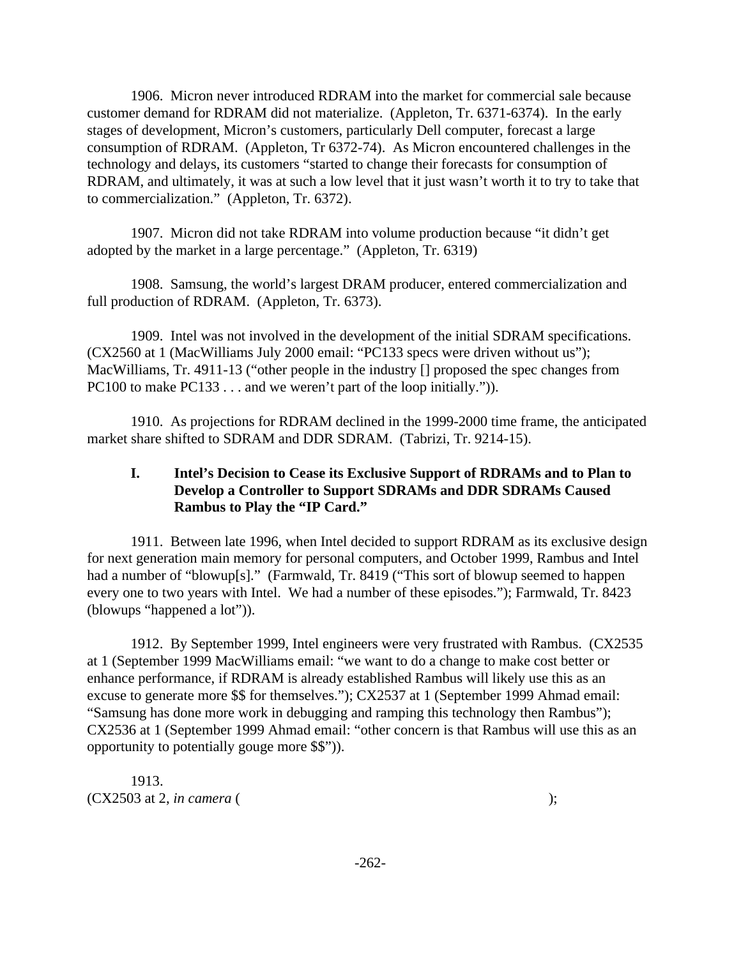1906. Micron never introduced RDRAM into the market for commercial sale because customer demand for RDRAM did not materialize. (Appleton, Tr. 6371-6374). In the early stages of development, Micron's customers, particularly Dell computer, forecast a large consumption of RDRAM. (Appleton, Tr 6372-74). As Micron encountered challenges in the technology and delays, its customers "started to change their forecasts for consumption of RDRAM, and ultimately, it was at such a low level that it just wasn't worth it to try to take that to commercialization." (Appleton, Tr. 6372).

1907. Micron did not take RDRAM into volume production because "it didn't get adopted by the market in a large percentage." (Appleton, Tr. 6319)

1908. Samsung, the world's largest DRAM producer, entered commercialization and full production of RDRAM. (Appleton, Tr. 6373).

1909. Intel was not involved in the development of the initial SDRAM specifications. (CX2560 at 1 (MacWilliams July 2000 email: "PC133 specs were driven without us"); MacWilliams, Tr. 4911-13 ("other people in the industry [] proposed the spec changes from PC100 to make PC133 . . . and we weren't part of the loop initially.")).

1910. As projections for RDRAM declined in the 1999-2000 time frame, the anticipated market share shifted to SDRAM and DDR SDRAM. (Tabrizi, Tr. 9214-15).

# **I. Intel's Decision to Cease its Exclusive Support of RDRAMs and to Plan to Develop a Controller to Support SDRAMs and DDR SDRAMs Caused Rambus to Play the "IP Card."**

1911. Between late 1996, when Intel decided to support RDRAM as its exclusive design for next generation main memory for personal computers, and October 1999, Rambus and Intel had a number of "blowup[s]." (Farmwald, Tr. 8419 ("This sort of blowup seemed to happen every one to two years with Intel. We had a number of these episodes."); Farmwald, Tr. 8423 (blowups "happened a lot")).

1912. By September 1999, Intel engineers were very frustrated with Rambus. (CX2535 at 1 (September 1999 MacWilliams email: "we want to do a change to make cost better or enhance performance, if RDRAM is already established Rambus will likely use this as an excuse to generate more \$\$ for themselves."); CX2537 at 1 (September 1999 Ahmad email: "Samsung has done more work in debugging and ramping this technology then Rambus"); CX2536 at 1 (September 1999 Ahmad email: "other concern is that Rambus will use this as an opportunity to potentially gouge more \$\$")).

1913. (CX2503 at 2, *in camera* ( );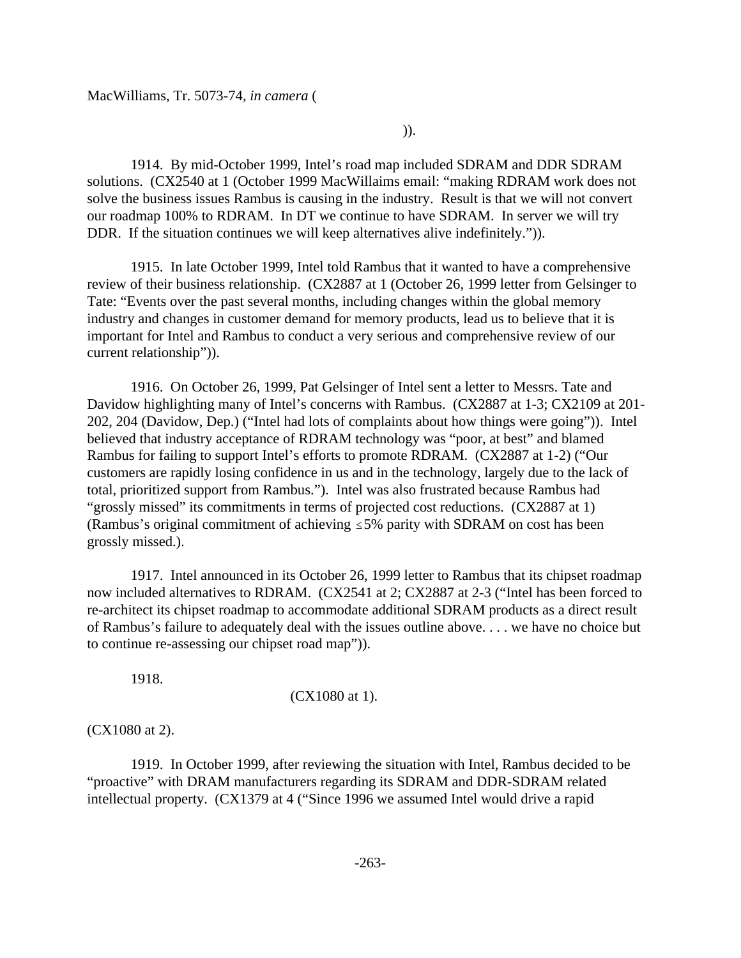$)).$ 

1914. By mid-October 1999, Intel's road map included SDRAM and DDR SDRAM solutions. (CX2540 at 1 (October 1999 MacWillaims email: "making RDRAM work does not solve the business issues Rambus is causing in the industry. Result is that we will not convert our roadmap 100% to RDRAM. In DT we continue to have SDRAM. In server we will try DDR. If the situation continues we will keep alternatives alive indefinitely.").

1915. In late October 1999, Intel told Rambus that it wanted to have a comprehensive review of their business relationship. (CX2887 at 1 (October 26, 1999 letter from Gelsinger to Tate: "Events over the past several months, including changes within the global memory industry and changes in customer demand for memory products, lead us to believe that it is important for Intel and Rambus to conduct a very serious and comprehensive review of our current relationship")).

1916. On October 26, 1999, Pat Gelsinger of Intel sent a letter to Messrs. Tate and Davidow highlighting many of Intel's concerns with Rambus. (CX2887 at 1-3; CX2109 at 201- 202, 204 (Davidow, Dep.) ("Intel had lots of complaints about how things were going")). Intel believed that industry acceptance of RDRAM technology was "poor, at best" and blamed Rambus for failing to support Intel's efforts to promote RDRAM. (CX2887 at 1-2) ("Our customers are rapidly losing confidence in us and in the technology, largely due to the lack of total, prioritized support from Rambus."). Intel was also frustrated because Rambus had "grossly missed" its commitments in terms of projected cost reductions. (CX2887 at 1) (Rambus's original commitment of achieving  $\leq$  5% parity with SDRAM on cost has been grossly missed.).

1917. Intel announced in its October 26, 1999 letter to Rambus that its chipset roadmap now included alternatives to RDRAM. (CX2541 at 2; CX2887 at 2-3 ("Intel has been forced to re-architect its chipset roadmap to accommodate additional SDRAM products as a direct result of Rambus's failure to adequately deal with the issues outline above. . . . we have no choice but to continue re-assessing our chipset road map")).

1918.

(CX1080 at 1).

(CX1080 at 2).

1919. In October 1999, after reviewing the situation with Intel, Rambus decided to be "proactive" with DRAM manufacturers regarding its SDRAM and DDR-SDRAM related intellectual property. (CX1379 at 4 ("Since 1996 we assumed Intel would drive a rapid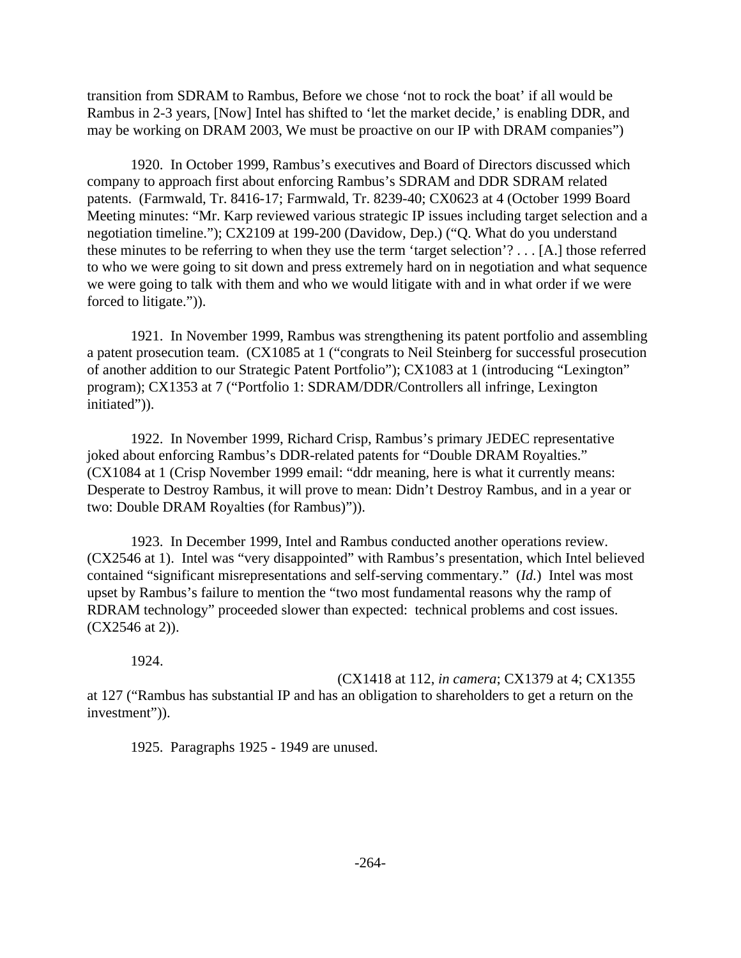transition from SDRAM to Rambus, Before we chose 'not to rock the boat' if all would be Rambus in 2-3 years, [Now] Intel has shifted to 'let the market decide,' is enabling DDR, and may be working on DRAM 2003, We must be proactive on our IP with DRAM companies")

1920. In October 1999, Rambus's executives and Board of Directors discussed which company to approach first about enforcing Rambus's SDRAM and DDR SDRAM related patents. (Farmwald, Tr. 8416-17; Farmwald, Tr. 8239-40; CX0623 at 4 (October 1999 Board Meeting minutes: "Mr. Karp reviewed various strategic IP issues including target selection and a negotiation timeline."); CX2109 at 199-200 (Davidow, Dep.) ("Q. What do you understand these minutes to be referring to when they use the term 'target selection'? . . . [A.] those referred to who we were going to sit down and press extremely hard on in negotiation and what sequence we were going to talk with them and who we would litigate with and in what order if we were forced to litigate.")).

1921. In November 1999, Rambus was strengthening its patent portfolio and assembling a patent prosecution team. (CX1085 at 1 ("congrats to Neil Steinberg for successful prosecution of another addition to our Strategic Patent Portfolio"); CX1083 at 1 (introducing "Lexington" program); CX1353 at 7 ("Portfolio 1: SDRAM/DDR/Controllers all infringe, Lexington initiated")).

1922. In November 1999, Richard Crisp, Rambus's primary JEDEC representative joked about enforcing Rambus's DDR-related patents for "Double DRAM Royalties." (CX1084 at 1 (Crisp November 1999 email: "ddr meaning, here is what it currently means: Desperate to Destroy Rambus, it will prove to mean: Didn't Destroy Rambus, and in a year or two: Double DRAM Royalties (for Rambus)")).

1923. In December 1999, Intel and Rambus conducted another operations review. (CX2546 at 1). Intel was "very disappointed" with Rambus's presentation, which Intel believed contained "significant misrepresentations and self-serving commentary." (*Id.*) Intel was most upset by Rambus's failure to mention the "two most fundamental reasons why the ramp of RDRAM technology" proceeded slower than expected: technical problems and cost issues. (CX2546 at 2)).

1924.

(CX1418 at 112, *in camera*; CX1379 at 4; CX1355

at 127 ("Rambus has substantial IP and has an obligation to shareholders to get a return on the investment")).

1925. Paragraphs 1925 - 1949 are unused.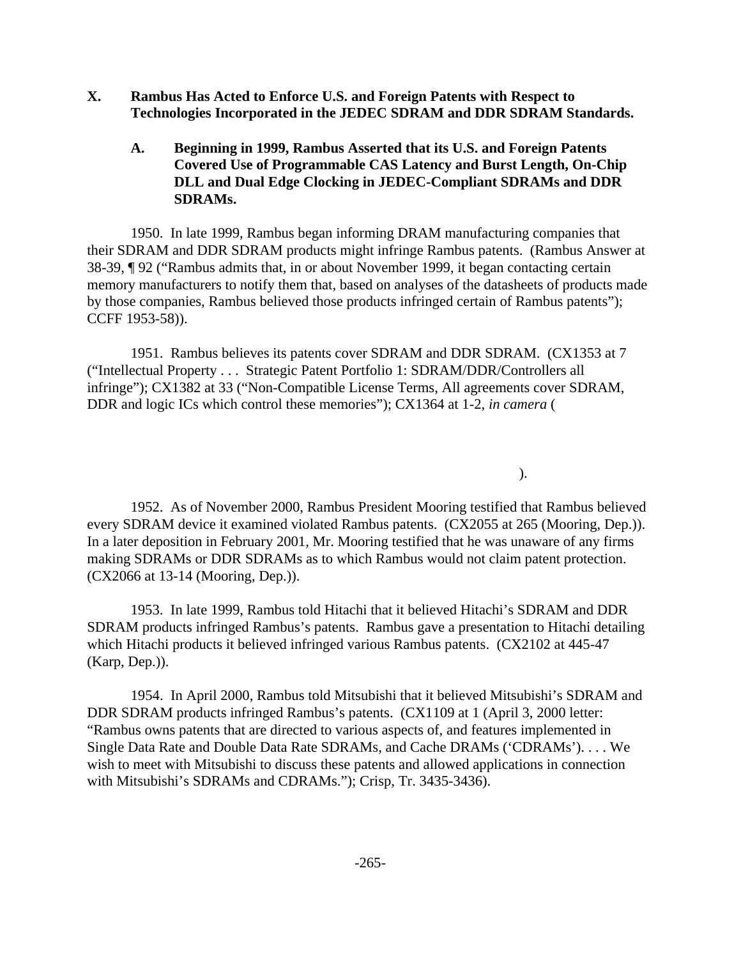- **X. Rambus Has Acted to Enforce U.S. and Foreign Patents with Respect to Technologies Incorporated in the JEDEC SDRAM and DDR SDRAM Standards.**
	- **A. Beginning in 1999, Rambus Asserted that its U.S. and Foreign Patents Covered Use of Programmable CAS Latency and Burst Length, On-Chip DLL and Dual Edge Clocking in JEDEC-Compliant SDRAMs and DDR SDRAMs.**

1950. In late 1999, Rambus began informing DRAM manufacturing companies that their SDRAM and DDR SDRAM products might infringe Rambus patents. (Rambus Answer at 38-39, ¶ 92 ("Rambus admits that, in or about November 1999, it began contacting certain memory manufacturers to notify them that, based on analyses of the datasheets of products made by those companies, Rambus believed those products infringed certain of Rambus patents"); CCFF 1953-58)).

1951. Rambus believes its patents cover SDRAM and DDR SDRAM. (CX1353 at 7 ("Intellectual Property . . . Strategic Patent Portfolio 1: SDRAM/DDR/Controllers all infringe"); CX1382 at 33 ("Non-Compatible License Terms, All agreements cover SDRAM, DDR and logic ICs which control these memories"); CX1364 at 1-2, *in camera* (

 $\,$ ).

1952. As of November 2000, Rambus President Mooring testified that Rambus believed every SDRAM device it examined violated Rambus patents. (CX2055 at 265 (Mooring, Dep.)). In a later deposition in February 2001, Mr. Mooring testified that he was unaware of any firms making SDRAMs or DDR SDRAMs as to which Rambus would not claim patent protection. (CX2066 at 13-14 (Mooring, Dep.)).

1953. In late 1999, Rambus told Hitachi that it believed Hitachi's SDRAM and DDR SDRAM products infringed Rambus's patents. Rambus gave a presentation to Hitachi detailing which Hitachi products it believed infringed various Rambus patents. (CX2102 at 445-47 (Karp, Dep.)).

1954. In April 2000, Rambus told Mitsubishi that it believed Mitsubishi's SDRAM and DDR SDRAM products infringed Rambus's patents. (CX1109 at 1 (April 3, 2000 letter: "Rambus owns patents that are directed to various aspects of, and features implemented in Single Data Rate and Double Data Rate SDRAMs, and Cache DRAMs ('CDRAMs'). . . . We wish to meet with Mitsubishi to discuss these patents and allowed applications in connection with Mitsubishi's SDRAMs and CDRAMs."); Crisp, Tr. 3435-3436).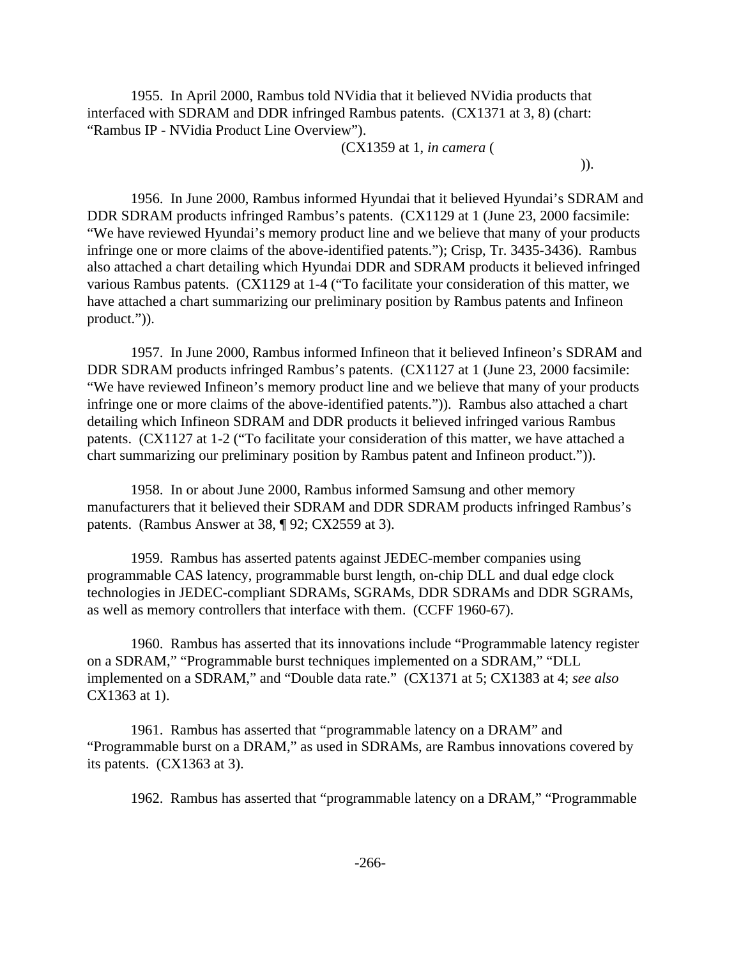1955. In April 2000, Rambus told NVidia that it believed NVidia products that interfaced with SDRAM and DDR infringed Rambus patents. (CX1371 at 3, 8) (chart: "Rambus IP - NVidia Product Line Overview").

(CX1359 at 1, *in camera* (

 $)).$ 

1956. In June 2000, Rambus informed Hyundai that it believed Hyundai's SDRAM and DDR SDRAM products infringed Rambus's patents. (CX1129 at 1 (June 23, 2000 facsimile: "We have reviewed Hyundai's memory product line and we believe that many of your products infringe one or more claims of the above-identified patents."); Crisp, Tr. 3435-3436). Rambus also attached a chart detailing which Hyundai DDR and SDRAM products it believed infringed various Rambus patents. (CX1129 at 1-4 ("To facilitate your consideration of this matter, we have attached a chart summarizing our preliminary position by Rambus patents and Infineon product.")).

1957. In June 2000, Rambus informed Infineon that it believed Infineon's SDRAM and DDR SDRAM products infringed Rambus's patents. (CX1127 at 1 (June 23, 2000 facsimile: "We have reviewed Infineon's memory product line and we believe that many of your products infringe one or more claims of the above-identified patents.")). Rambus also attached a chart detailing which Infineon SDRAM and DDR products it believed infringed various Rambus patents. (CX1127 at 1-2 ("To facilitate your consideration of this matter, we have attached a chart summarizing our preliminary position by Rambus patent and Infineon product.")).

1958. In or about June 2000, Rambus informed Samsung and other memory manufacturers that it believed their SDRAM and DDR SDRAM products infringed Rambus's patents. (Rambus Answer at 38, ¶ 92; CX2559 at 3).

1959. Rambus has asserted patents against JEDEC-member companies using programmable CAS latency, programmable burst length, on-chip DLL and dual edge clock technologies in JEDEC-compliant SDRAMs, SGRAMs, DDR SDRAMs and DDR SGRAMs, as well as memory controllers that interface with them. (CCFF 1960-67).

1960. Rambus has asserted that its innovations include "Programmable latency register on a SDRAM," "Programmable burst techniques implemented on a SDRAM," "DLL implemented on a SDRAM," and "Double data rate." (CX1371 at 5; CX1383 at 4; *see also* CX1363 at 1).

1961. Rambus has asserted that "programmable latency on a DRAM" and "Programmable burst on a DRAM," as used in SDRAMs, are Rambus innovations covered by its patents. (CX1363 at 3).

1962. Rambus has asserted that "programmable latency on a DRAM," "Programmable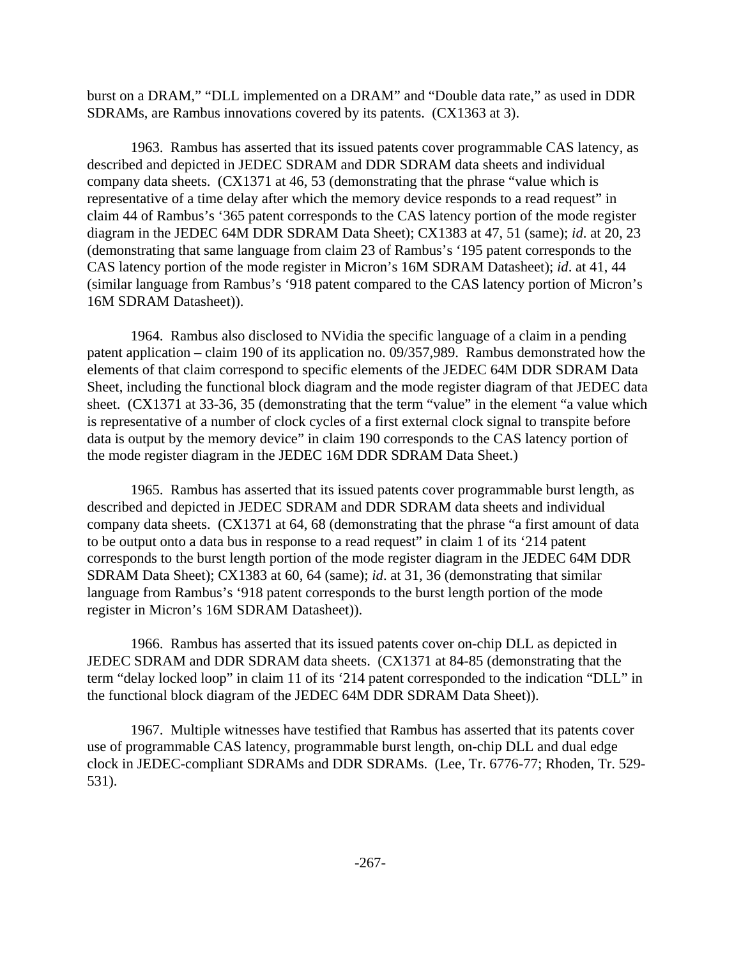burst on a DRAM," "DLL implemented on a DRAM" and "Double data rate," as used in DDR SDRAMs, are Rambus innovations covered by its patents. (CX1363 at 3).

1963. Rambus has asserted that its issued patents cover programmable CAS latency, as described and depicted in JEDEC SDRAM and DDR SDRAM data sheets and individual company data sheets. (CX1371 at 46, 53 (demonstrating that the phrase "value which is representative of a time delay after which the memory device responds to a read request" in claim 44 of Rambus's '365 patent corresponds to the CAS latency portion of the mode register diagram in the JEDEC 64M DDR SDRAM Data Sheet); CX1383 at 47, 51 (same); *id*. at 20, 23 (demonstrating that same language from claim 23 of Rambus's '195 patent corresponds to the CAS latency portion of the mode register in Micron's 16M SDRAM Datasheet); *id*. at 41, 44 (similar language from Rambus's '918 patent compared to the CAS latency portion of Micron's 16M SDRAM Datasheet)).

1964. Rambus also disclosed to NVidia the specific language of a claim in a pending patent application – claim 190 of its application no. 09/357,989. Rambus demonstrated how the elements of that claim correspond to specific elements of the JEDEC 64M DDR SDRAM Data Sheet, including the functional block diagram and the mode register diagram of that JEDEC data sheet. (CX1371 at 33-36, 35 (demonstrating that the term "value" in the element "a value which is representative of a number of clock cycles of a first external clock signal to transpite before data is output by the memory device" in claim 190 corresponds to the CAS latency portion of the mode register diagram in the JEDEC 16M DDR SDRAM Data Sheet.)

1965. Rambus has asserted that its issued patents cover programmable burst length, as described and depicted in JEDEC SDRAM and DDR SDRAM data sheets and individual company data sheets. (CX1371 at 64, 68 (demonstrating that the phrase "a first amount of data to be output onto a data bus in response to a read request" in claim 1 of its '214 patent corresponds to the burst length portion of the mode register diagram in the JEDEC 64M DDR SDRAM Data Sheet); CX1383 at 60, 64 (same); *id*. at 31, 36 (demonstrating that similar language from Rambus's '918 patent corresponds to the burst length portion of the mode register in Micron's 16M SDRAM Datasheet)).

1966. Rambus has asserted that its issued patents cover on-chip DLL as depicted in JEDEC SDRAM and DDR SDRAM data sheets. (CX1371 at 84-85 (demonstrating that the term "delay locked loop" in claim 11 of its '214 patent corresponded to the indication "DLL" in the functional block diagram of the JEDEC 64M DDR SDRAM Data Sheet)).

1967. Multiple witnesses have testified that Rambus has asserted that its patents cover use of programmable CAS latency, programmable burst length, on-chip DLL and dual edge clock in JEDEC-compliant SDRAMs and DDR SDRAMs. (Lee, Tr. 6776-77; Rhoden, Tr. 529- 531).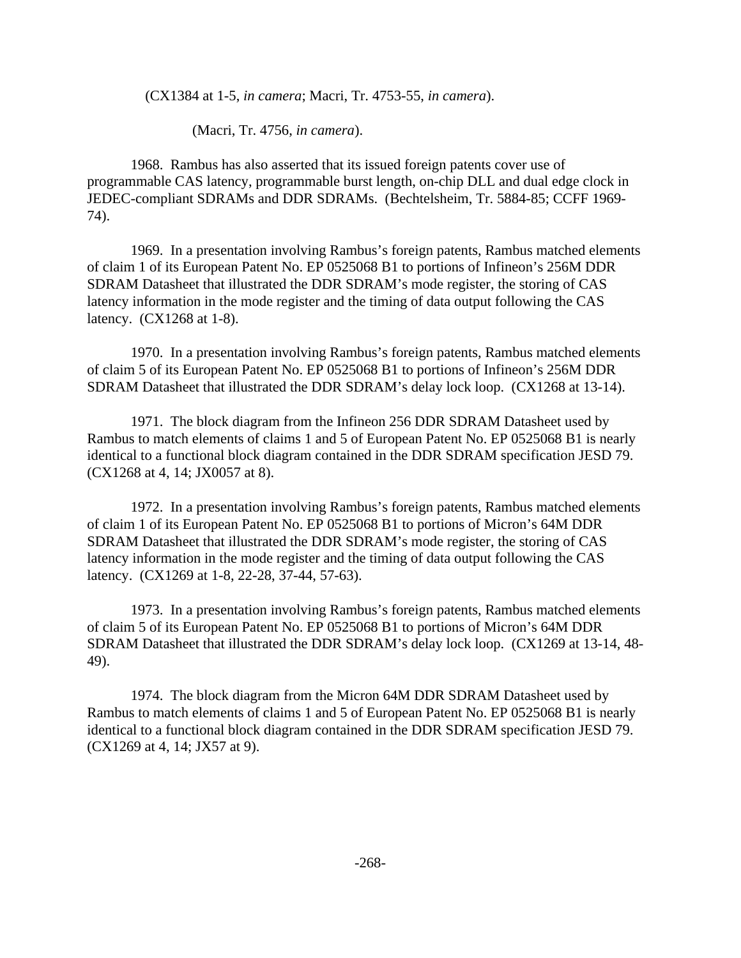(CX1384 at 1-5, *in camera*; Macri, Tr. 4753-55, *in camera*).

(Macri, Tr. 4756, *in camera*).

1968. Rambus has also asserted that its issued foreign patents cover use of programmable CAS latency, programmable burst length, on-chip DLL and dual edge clock in JEDEC-compliant SDRAMs and DDR SDRAMs. (Bechtelsheim, Tr. 5884-85; CCFF 1969- 74).

1969. In a presentation involving Rambus's foreign patents, Rambus matched elements of claim 1 of its European Patent No. EP 0525068 B1 to portions of Infineon's 256M DDR SDRAM Datasheet that illustrated the DDR SDRAM's mode register, the storing of CAS latency information in the mode register and the timing of data output following the CAS latency. (CX1268 at 1-8).

1970. In a presentation involving Rambus's foreign patents, Rambus matched elements of claim 5 of its European Patent No. EP 0525068 B1 to portions of Infineon's 256M DDR SDRAM Datasheet that illustrated the DDR SDRAM's delay lock loop. (CX1268 at 13-14).

1971. The block diagram from the Infineon 256 DDR SDRAM Datasheet used by Rambus to match elements of claims 1 and 5 of European Patent No. EP 0525068 B1 is nearly identical to a functional block diagram contained in the DDR SDRAM specification JESD 79. (CX1268 at 4, 14; JX0057 at 8).

1972. In a presentation involving Rambus's foreign patents, Rambus matched elements of claim 1 of its European Patent No. EP 0525068 B1 to portions of Micron's 64M DDR SDRAM Datasheet that illustrated the DDR SDRAM's mode register, the storing of CAS latency information in the mode register and the timing of data output following the CAS latency. (CX1269 at 1-8, 22-28, 37-44, 57-63).

1973. In a presentation involving Rambus's foreign patents, Rambus matched elements of claim 5 of its European Patent No. EP 0525068 B1 to portions of Micron's 64M DDR SDRAM Datasheet that illustrated the DDR SDRAM's delay lock loop. (CX1269 at 13-14, 48- 49).

1974. The block diagram from the Micron 64M DDR SDRAM Datasheet used by Rambus to match elements of claims 1 and 5 of European Patent No. EP 0525068 B1 is nearly identical to a functional block diagram contained in the DDR SDRAM specification JESD 79. (CX1269 at 4, 14; JX57 at 9).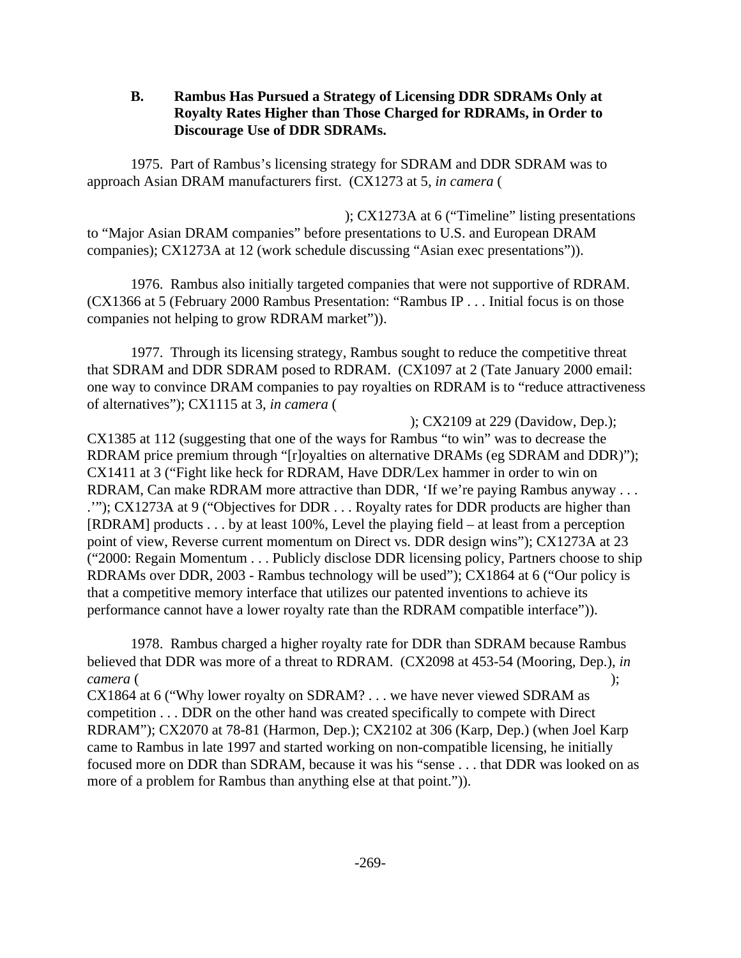## **B. Rambus Has Pursued a Strategy of Licensing DDR SDRAMs Only at Royalty Rates Higher than Those Charged for RDRAMs, in Order to Discourage Use of DDR SDRAMs.**

1975. Part of Rambus's licensing strategy for SDRAM and DDR SDRAM was to approach Asian DRAM manufacturers first. (CX1273 at 5, *in camera* (

 ); CX1273A at 6 ("Timeline" listing presentations to "Major Asian DRAM companies" before presentations to U.S. and European DRAM companies); CX1273A at 12 (work schedule discussing "Asian exec presentations")).

1976. Rambus also initially targeted companies that were not supportive of RDRAM. (CX1366 at 5 (February 2000 Rambus Presentation: "Rambus IP . . . Initial focus is on those companies not helping to grow RDRAM market")).

1977. Through its licensing strategy, Rambus sought to reduce the competitive threat that SDRAM and DDR SDRAM posed to RDRAM. (CX1097 at 2 (Tate January 2000 email: one way to convince DRAM companies to pay royalties on RDRAM is to "reduce attractiveness of alternatives"); CX1115 at 3, *in camera* (

 ); CX2109 at 229 (Davidow, Dep.); CX1385 at 112 (suggesting that one of the ways for Rambus "to win" was to decrease the RDRAM price premium through "[r]oyalties on alternative DRAMs (eg SDRAM and DDR)"); CX1411 at 3 ("Fight like heck for RDRAM, Have DDR/Lex hammer in order to win on RDRAM, Can make RDRAM more attractive than DDR, 'If we're paying Rambus anyway . . . .'"); CX1273A at 9 ("Objectives for DDR . . . Royalty rates for DDR products are higher than [RDRAM] products . . . by at least 100%, Level the playing field – at least from a perception point of view, Reverse current momentum on Direct vs. DDR design wins"); CX1273A at 23 ("2000: Regain Momentum . . . Publicly disclose DDR licensing policy, Partners choose to ship RDRAMs over DDR, 2003 - Rambus technology will be used"); CX1864 at 6 ("Our policy is that a competitive memory interface that utilizes our patented inventions to achieve its performance cannot have a lower royalty rate than the RDRAM compatible interface")).

1978. Rambus charged a higher royalty rate for DDR than SDRAM because Rambus believed that DDR was more of a threat to RDRAM. (CX2098 at 453-54 (Mooring, Dep.), *in camera* ( );

CX1864 at 6 ("Why lower royalty on SDRAM? . . . we have never viewed SDRAM as competition . . . DDR on the other hand was created specifically to compete with Direct RDRAM"); CX2070 at 78-81 (Harmon, Dep.); CX2102 at 306 (Karp, Dep.) (when Joel Karp came to Rambus in late 1997 and started working on non-compatible licensing, he initially focused more on DDR than SDRAM, because it was his "sense . . . that DDR was looked on as more of a problem for Rambus than anything else at that point.")).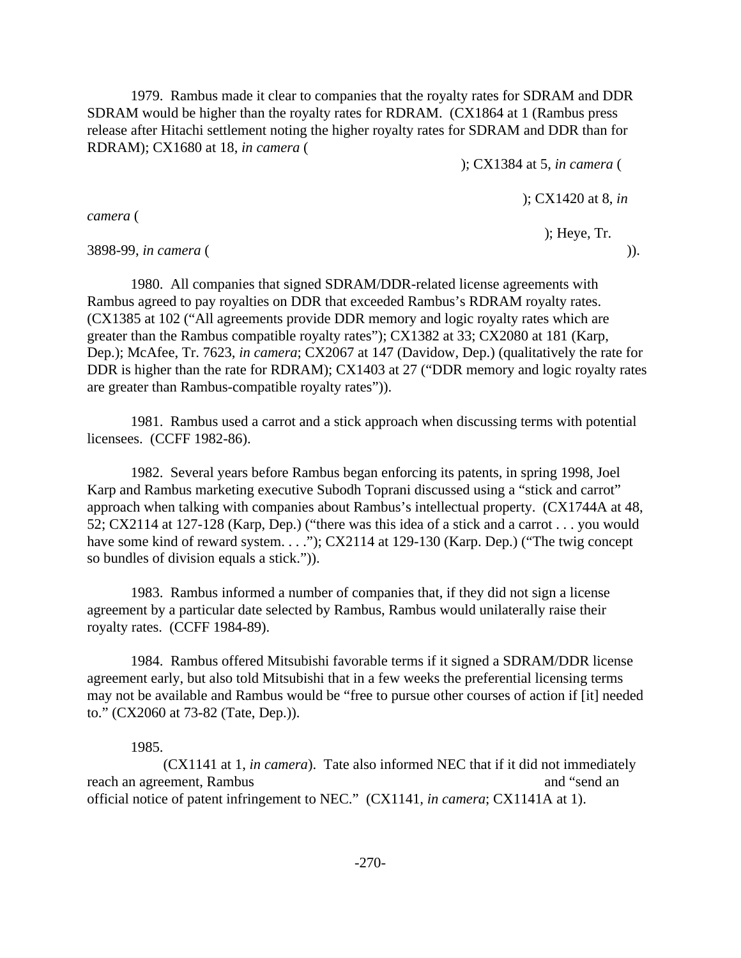1979. Rambus made it clear to companies that the royalty rates for SDRAM and DDR SDRAM would be higher than the royalty rates for RDRAM. (CX1864 at 1 (Rambus press release after Hitachi settlement noting the higher royalty rates for SDRAM and DDR than for RDRAM); CX1680 at 18, *in camera* (

); CX1384 at 5, *in camera* (

); CX1420 at 8, *in*

); Heye, Tr.

*camera* (

3898-99, *in camera* ( )).

1980. All companies that signed SDRAM/DDR-related license agreements with Rambus agreed to pay royalties on DDR that exceeded Rambus's RDRAM royalty rates. (CX1385 at 102 ("All agreements provide DDR memory and logic royalty rates which are greater than the Rambus compatible royalty rates"); CX1382 at 33; CX2080 at 181 (Karp, Dep.); McAfee, Tr. 7623, *in camera*; CX2067 at 147 (Davidow, Dep.) (qualitatively the rate for DDR is higher than the rate for RDRAM); CX1403 at 27 ("DDR memory and logic royalty rates are greater than Rambus-compatible royalty rates")).

1981. Rambus used a carrot and a stick approach when discussing terms with potential licensees. (CCFF 1982-86).

1982. Several years before Rambus began enforcing its patents, in spring 1998, Joel Karp and Rambus marketing executive Subodh Toprani discussed using a "stick and carrot" approach when talking with companies about Rambus's intellectual property. (CX1744A at 48, 52; CX2114 at 127-128 (Karp, Dep.) ("there was this idea of a stick and a carrot . . . you would have some kind of reward system. . . ."); CX2114 at 129-130 (Karp. Dep.) ("The twig concept") so bundles of division equals a stick.")).

1983. Rambus informed a number of companies that, if they did not sign a license agreement by a particular date selected by Rambus, Rambus would unilaterally raise their royalty rates. (CCFF 1984-89).

1984. Rambus offered Mitsubishi favorable terms if it signed a SDRAM/DDR license agreement early, but also told Mitsubishi that in a few weeks the preferential licensing terms may not be available and Rambus would be "free to pursue other courses of action if [it] needed to." (CX2060 at 73-82 (Tate, Dep.)).

1985.

(CX1141 at 1, *in camera*). Tate also informed NEC that if it did not immediately reach an agreement, Rambus and "send an agreement, Rambus and "send an and "send an and "send an and "send an and "send an and "send an and "send an and "send an and "send an and "send an and an and an analyze  $\alpha$  and an official notice of patent infringement to NEC." (CX1141*, in camera*; CX1141A at 1).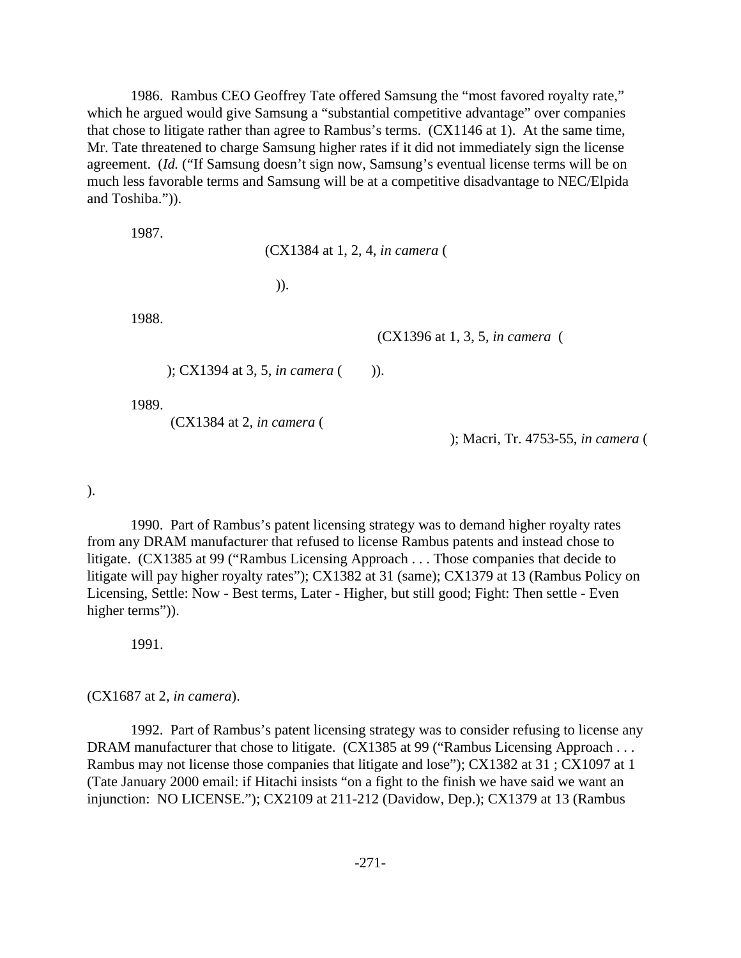1986. Rambus CEO Geoffrey Tate offered Samsung the "most favored royalty rate," which he argued would give Samsung a "substantial competitive advantage" over companies that chose to litigate rather than agree to Rambus's terms. (CX1146 at 1). At the same time, Mr. Tate threatened to charge Samsung higher rates if it did not immediately sign the license agreement. (*Id.* ("If Samsung doesn't sign now, Samsung's eventual license terms will be on much less favorable terms and Samsung will be at a competitive disadvantage to NEC/Elpida and Toshiba.")).

1987.

(CX1384 at 1, 2, 4, *in camera* (

 $)).$ 

1988.

(CX1396 at 1, 3, 5, *in camera* (

); CX1394 at 3, 5, *in camera* ()).

1989.

(CX1384 at 2, *in camera* (

); Macri, Tr. 4753-55, *in camera* (

).

1990. Part of Rambus's patent licensing strategy was to demand higher royalty rates from any DRAM manufacturer that refused to license Rambus patents and instead chose to litigate. (CX1385 at 99 ("Rambus Licensing Approach . . . Those companies that decide to litigate will pay higher royalty rates"); CX1382 at 31 (same); CX1379 at 13 (Rambus Policy on Licensing, Settle: Now - Best terms, Later - Higher, but still good; Fight: Then settle - Even higher terms")).

1991.

(CX1687 at 2, *in camera*).

1992. Part of Rambus's patent licensing strategy was to consider refusing to license any DRAM manufacturer that chose to litigate. (CX1385 at 99 ("Rambus Licensing Approach . . . Rambus may not license those companies that litigate and lose"); CX1382 at 31 ; CX1097 at 1 (Tate January 2000 email: if Hitachi insists "on a fight to the finish we have said we want an injunction: NO LICENSE."); CX2109 at 211-212 (Davidow, Dep.); CX1379 at 13 (Rambus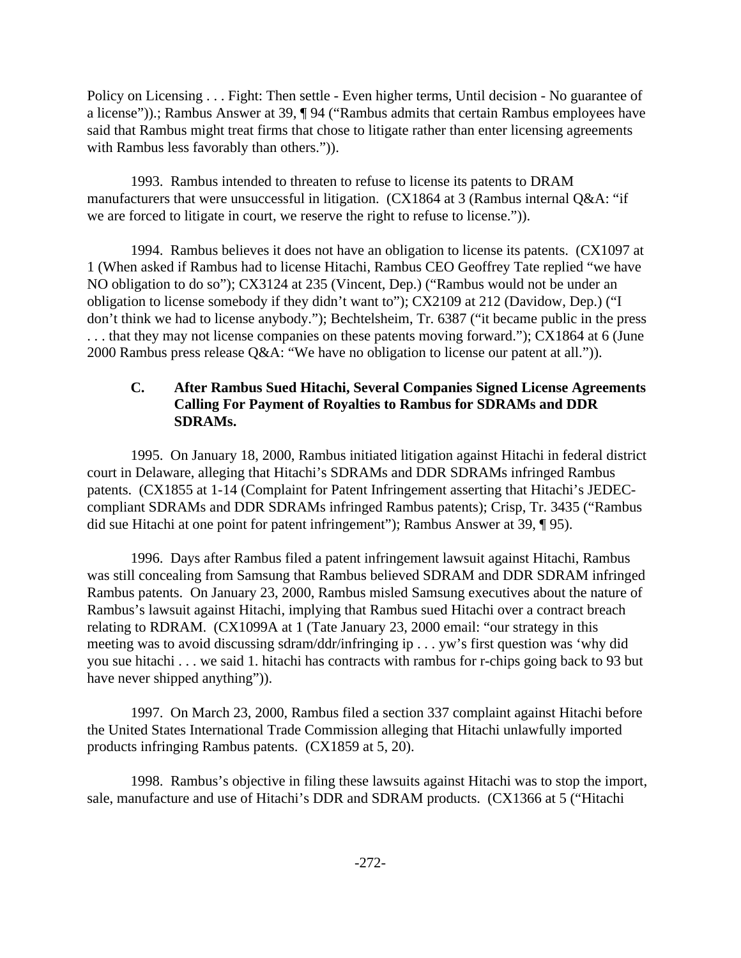Policy on Licensing . . . Fight: Then settle - Even higher terms, Until decision - No guarantee of a license")).; Rambus Answer at 39, ¶ 94 ("Rambus admits that certain Rambus employees have said that Rambus might treat firms that chose to litigate rather than enter licensing agreements with Rambus less favorably than others.")).

1993. Rambus intended to threaten to refuse to license its patents to DRAM manufacturers that were unsuccessful in litigation. (CX1864 at 3 (Rambus internal Q&A: "if we are forced to litigate in court, we reserve the right to refuse to license.")).

1994. Rambus believes it does not have an obligation to license its patents. (CX1097 at 1 (When asked if Rambus had to license Hitachi, Rambus CEO Geoffrey Tate replied "we have NO obligation to do so"); CX3124 at 235 (Vincent, Dep.) ("Rambus would not be under an obligation to license somebody if they didn't want to"); CX2109 at 212 (Davidow, Dep.) ("I don't think we had to license anybody."); Bechtelsheim, Tr. 6387 ("it became public in the press . . . that they may not license companies on these patents moving forward."); CX1864 at 6 (June 2000 Rambus press release Q&A: "We have no obligation to license our patent at all.")).

# **C. After Rambus Sued Hitachi, Several Companies Signed License Agreements Calling For Payment of Royalties to Rambus for SDRAMs and DDR SDRAMs.**

1995. On January 18, 2000, Rambus initiated litigation against Hitachi in federal district court in Delaware, alleging that Hitachi's SDRAMs and DDR SDRAMs infringed Rambus patents. (CX1855 at 1-14 (Complaint for Patent Infringement asserting that Hitachi's JEDECcompliant SDRAMs and DDR SDRAMs infringed Rambus patents); Crisp, Tr. 3435 ("Rambus did sue Hitachi at one point for patent infringement"); Rambus Answer at 39, ¶ 95).

1996. Days after Rambus filed a patent infringement lawsuit against Hitachi, Rambus was still concealing from Samsung that Rambus believed SDRAM and DDR SDRAM infringed Rambus patents. On January 23, 2000, Rambus misled Samsung executives about the nature of Rambus's lawsuit against Hitachi, implying that Rambus sued Hitachi over a contract breach relating to RDRAM. (CX1099A at 1 (Tate January 23, 2000 email: "our strategy in this meeting was to avoid discussing sdram/ddr/infringing ip . . . yw's first question was 'why did you sue hitachi . . . we said 1. hitachi has contracts with rambus for r-chips going back to 93 but have never shipped anything")).

1997. On March 23, 2000, Rambus filed a section 337 complaint against Hitachi before the United States International Trade Commission alleging that Hitachi unlawfully imported products infringing Rambus patents. (CX1859 at 5, 20).

1998. Rambus's objective in filing these lawsuits against Hitachi was to stop the import, sale, manufacture and use of Hitachi's DDR and SDRAM products. (CX1366 at 5 ("Hitachi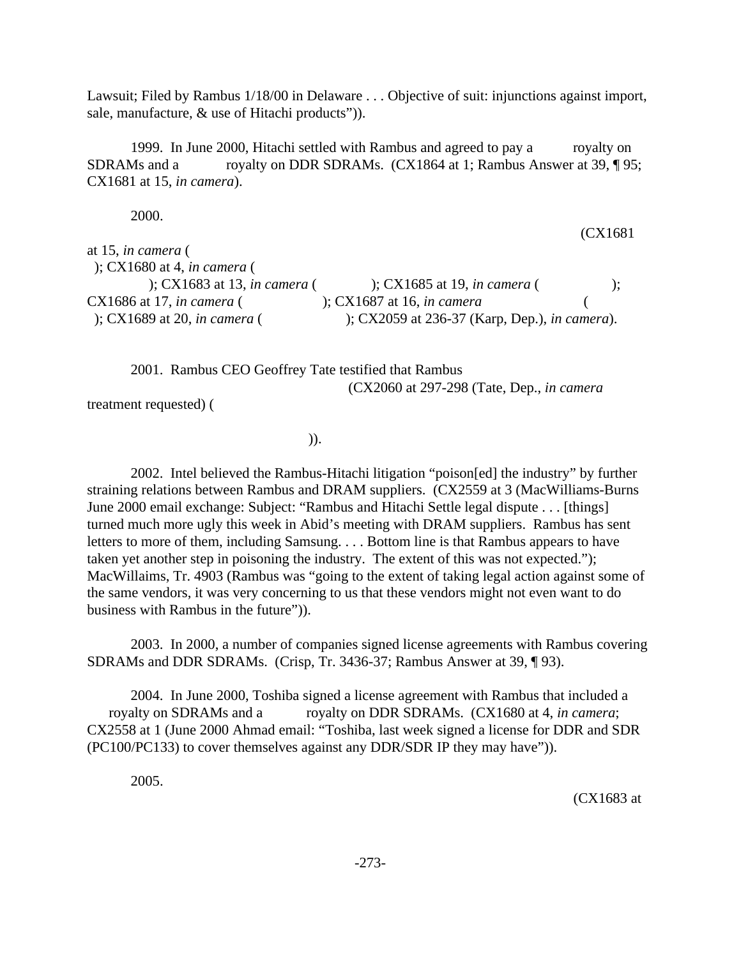Lawsuit; Filed by Rambus 1/18/00 in Delaware . . . Objective of suit: injunctions against import, sale, manufacture, & use of Hitachi products")).

1999. In June 2000, Hitachi settled with Rambus and agreed to pay a royalty on SDRAMs and a royalty on DDR SDRAMs. (CX1864 at 1; Rambus Answer at 39, ¶ 95; CX1681 at 15, *in camera*).

2000.

| at 15, in camera $($                      |                                               |              |
|-------------------------------------------|-----------------------------------------------|--------------|
|                                           |                                               |              |
| ); $CX1680$ at 4, in camera (             |                                               |              |
| $\chi$ : CX1683 at 13, <i>in camera</i> ( | ); CX1685 at 19, <i>in camera</i> (           | $\mathbf{r}$ |
| $CX1686$ at 17, in camera (               | $\chi$ : CX1687 at 16, <i>in camera</i>       |              |
| $\therefore$ CX1689 at 20, in camera (    | ); CX2059 at 236-37 (Karp, Dep.), in camera). |              |

2001. Rambus CEO Geoffrey Tate testified that Rambus (CX2060 at 297-298 (Tate, Dep., *in camera*

treatment requested) (

 $)$ ).

2002. Intel believed the Rambus-Hitachi litigation "poison[ed] the industry" by further straining relations between Rambus and DRAM suppliers. (CX2559 at 3 (MacWilliams-Burns June 2000 email exchange: Subject: "Rambus and Hitachi Settle legal dispute . . . [things] turned much more ugly this week in Abid's meeting with DRAM suppliers. Rambus has sent letters to more of them, including Samsung. . . . Bottom line is that Rambus appears to have taken yet another step in poisoning the industry. The extent of this was not expected."); MacWillaims, Tr. 4903 (Rambus was "going to the extent of taking legal action against some of the same vendors, it was very concerning to us that these vendors might not even want to do business with Rambus in the future")).

2003. In 2000, a number of companies signed license agreements with Rambus covering SDRAMs and DDR SDRAMs. (Crisp, Tr. 3436-37; Rambus Answer at 39, ¶ 93).

2004. In June 2000, Toshiba signed a license agreement with Rambus that included a royalty on SDRAMs and a royalty on DDR SDRAMs. (CX1680 at 4, *in camera*; CX2558 at 1 (June 2000 Ahmad email: "Toshiba, last week signed a license for DDR and SDR (PC100/PC133) to cover themselves against any DDR/SDR IP they may have")).

2005.

(CX1683 at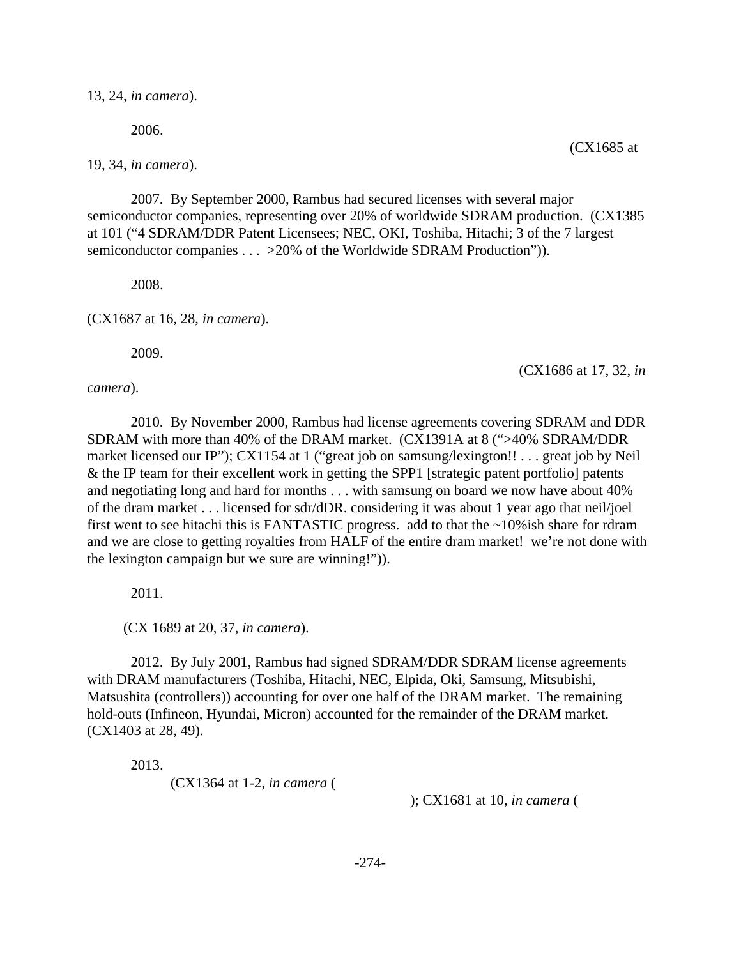13, 24, *in camera*).

2006.

19, 34, *in camera*).

2007. By September 2000, Rambus had secured licenses with several major semiconductor companies, representing over 20% of worldwide SDRAM production. (CX1385 at 101 ("4 SDRAM/DDR Patent Licensees; NEC, OKI, Toshiba, Hitachi; 3 of the 7 largest semiconductor companies . . . > 20% of the Worldwide SDRAM Production")).

2008.

(CX1687 at 16, 28, *in camera*).

2009.

(CX1686 at 17, 32, *in*

*camera*).

2010. By November 2000, Rambus had license agreements covering SDRAM and DDR SDRAM with more than 40% of the DRAM market. (CX1391A at 8 (">40% SDRAM/DDR market licensed our IP"); CX1154 at 1 ("great job on samsung/lexington!! . . . great job by Neil & the IP team for their excellent work in getting the SPP1 [strategic patent portfolio] patents and negotiating long and hard for months . . . with samsung on board we now have about 40% of the dram market . . . licensed for sdr/dDR. considering it was about 1 year ago that neil/joel first went to see hitachi this is FANTASTIC progress. add to that the ~10%ish share for rdram and we are close to getting royalties from HALF of the entire dram market! we're not done with the lexington campaign but we sure are winning!")).

2011.

(CX 1689 at 20, 37, *in camera*).

2012. By July 2001, Rambus had signed SDRAM/DDR SDRAM license agreements with DRAM manufacturers (Toshiba, Hitachi, NEC, Elpida, Oki, Samsung, Mitsubishi, Matsushita (controllers)) accounting for over one half of the DRAM market. The remaining hold-outs (Infineon, Hyundai, Micron) accounted for the remainder of the DRAM market. (CX1403 at 28, 49).

2013.

(CX1364 at 1-2, *in camera* (

); CX1681 at 10, *in camera* (

(CX1685 at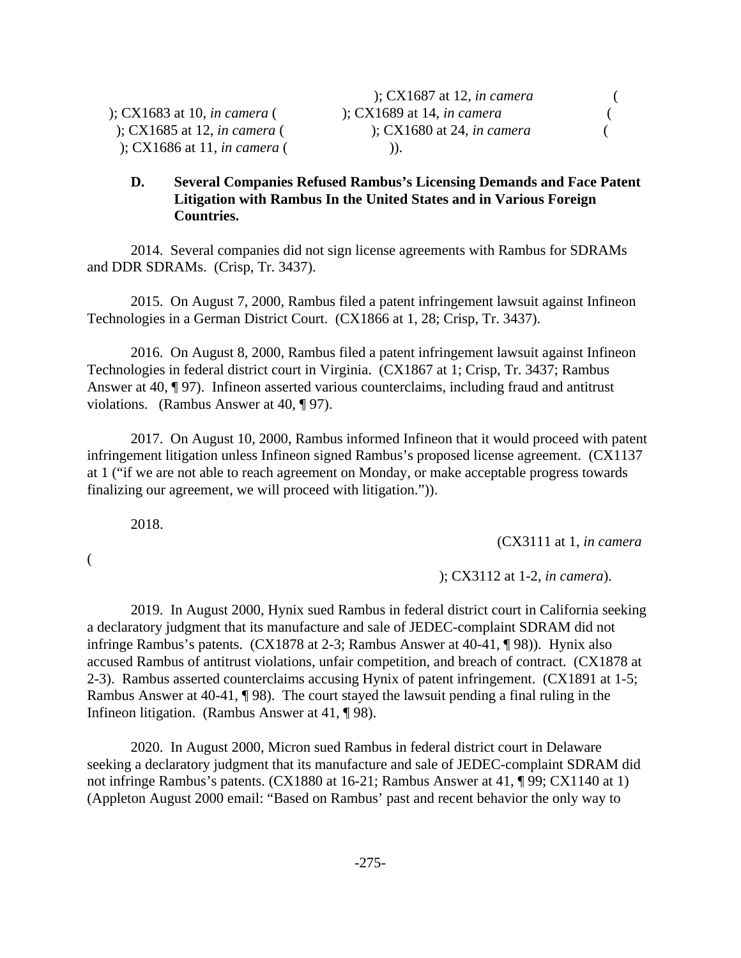); CX1686 at 11, *in camera* ( )).

## **D. Several Companies Refused Rambus's Licensing Demands and Face Patent Litigation with Rambus In the United States and in Various Foreign Countries.**

2014. Several companies did not sign license agreements with Rambus for SDRAMs and DDR SDRAMs. (Crisp, Tr. 3437).

2015. On August 7, 2000, Rambus filed a patent infringement lawsuit against Infineon Technologies in a German District Court. (CX1866 at 1, 28; Crisp, Tr. 3437).

2016. On August 8, 2000, Rambus filed a patent infringement lawsuit against Infineon Technologies in federal district court in Virginia. (CX1867 at 1; Crisp, Tr. 3437; Rambus Answer at 40, ¶ 97). Infineon asserted various counterclaims, including fraud and antitrust violations. (Rambus Answer at 40, ¶ 97).

2017. On August 10, 2000, Rambus informed Infineon that it would proceed with patent infringement litigation unless Infineon signed Rambus's proposed license agreement. (CX1137 at 1 ("if we are not able to reach agreement on Monday, or make acceptable progress towards finalizing our agreement, we will proceed with litigation.")).

2018.

(

(CX3111 at 1, *in camera*

); CX3112 at 1-2, *in camera*).

2019. In August 2000, Hynix sued Rambus in federal district court in California seeking a declaratory judgment that its manufacture and sale of JEDEC-complaint SDRAM did not infringe Rambus's patents. (CX1878 at 2-3; Rambus Answer at 40-41, ¶ 98)). Hynix also accused Rambus of antitrust violations, unfair competition, and breach of contract. (CX1878 at 2-3). Rambus asserted counterclaims accusing Hynix of patent infringement. (CX1891 at 1-5; Rambus Answer at 40-41, ¶ 98). The court stayed the lawsuit pending a final ruling in the Infineon litigation. (Rambus Answer at 41, ¶ 98).

2020. In August 2000, Micron sued Rambus in federal district court in Delaware seeking a declaratory judgment that its manufacture and sale of JEDEC-complaint SDRAM did not infringe Rambus's patents. (CX1880 at 16-21; Rambus Answer at 41, ¶ 99; CX1140 at 1) (Appleton August 2000 email: "Based on Rambus' past and recent behavior the only way to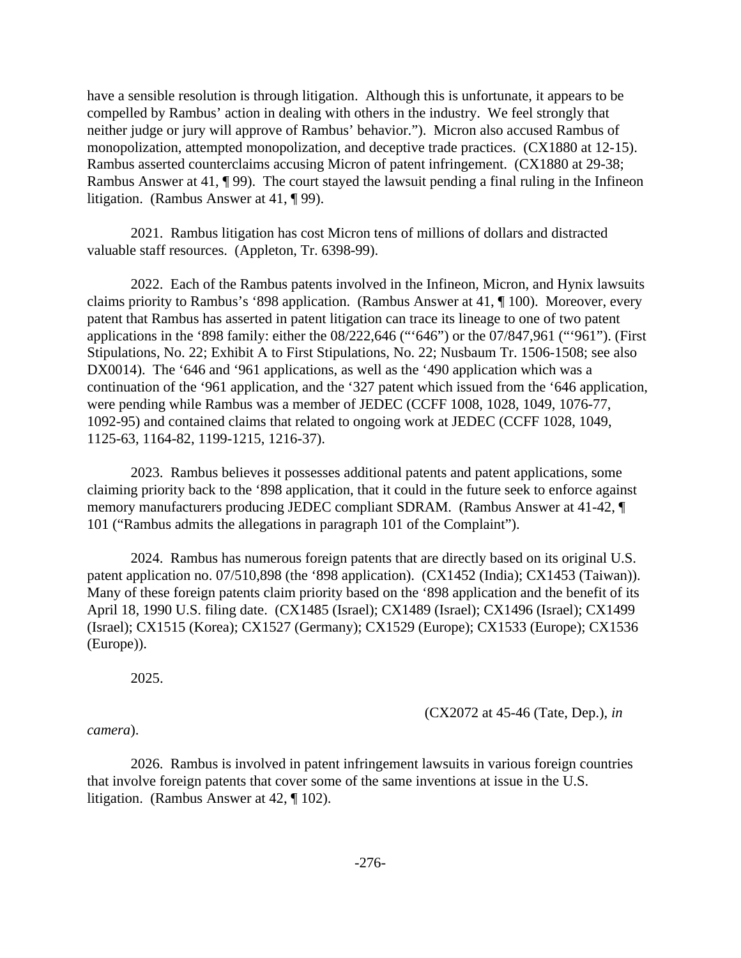have a sensible resolution is through litigation. Although this is unfortunate, it appears to be compelled by Rambus' action in dealing with others in the industry. We feel strongly that neither judge or jury will approve of Rambus' behavior."). Micron also accused Rambus of monopolization, attempted monopolization, and deceptive trade practices. (CX1880 at 12-15). Rambus asserted counterclaims accusing Micron of patent infringement. (CX1880 at 29-38; Rambus Answer at 41, ¶ 99). The court stayed the lawsuit pending a final ruling in the Infineon litigation. (Rambus Answer at 41, ¶ 99).

2021. Rambus litigation has cost Micron tens of millions of dollars and distracted valuable staff resources. (Appleton, Tr. 6398-99).

2022. Each of the Rambus patents involved in the Infineon, Micron, and Hynix lawsuits claims priority to Rambus's '898 application. (Rambus Answer at 41, ¶ 100). Moreover, every patent that Rambus has asserted in patent litigation can trace its lineage to one of two patent applications in the '898 family: either the 08/222,646 ("'646") or the 07/847,961 ("'961"). (First Stipulations, No. 22; Exhibit A to First Stipulations, No. 22; Nusbaum Tr. 1506-1508; see also DX0014). The '646 and '961 applications, as well as the '490 application which was a continuation of the '961 application, and the '327 patent which issued from the '646 application, were pending while Rambus was a member of JEDEC (CCFF 1008, 1028, 1049, 1076-77, 1092-95) and contained claims that related to ongoing work at JEDEC (CCFF 1028, 1049, 1125-63, 1164-82, 1199-1215, 1216-37).

2023. Rambus believes it possesses additional patents and patent applications, some claiming priority back to the '898 application, that it could in the future seek to enforce against memory manufacturers producing JEDEC compliant SDRAM. (Rambus Answer at 41-42, ¶ 101 ("Rambus admits the allegations in paragraph 101 of the Complaint").

2024. Rambus has numerous foreign patents that are directly based on its original U.S. patent application no. 07/510,898 (the '898 application). (CX1452 (India); CX1453 (Taiwan)). Many of these foreign patents claim priority based on the '898 application and the benefit of its April 18, 1990 U.S. filing date. (CX1485 (Israel); CX1489 (Israel); CX1496 (Israel); CX1499 (Israel); CX1515 (Korea); CX1527 (Germany); CX1529 (Europe); CX1533 (Europe); CX1536 (Europe)).

2025.

(CX2072 at 45-46 (Tate, Dep.), *in*

*camera*).

2026. Rambus is involved in patent infringement lawsuits in various foreign countries that involve foreign patents that cover some of the same inventions at issue in the U.S. litigation. (Rambus Answer at 42, ¶ 102).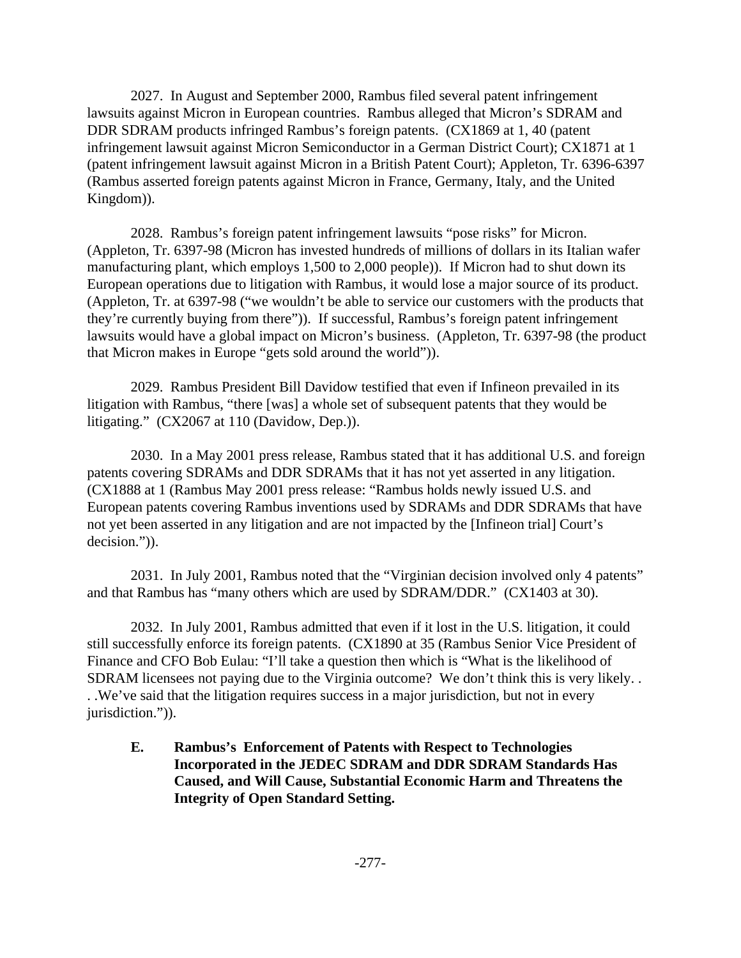2027. In August and September 2000, Rambus filed several patent infringement lawsuits against Micron in European countries. Rambus alleged that Micron's SDRAM and DDR SDRAM products infringed Rambus's foreign patents. (CX1869 at 1, 40 (patent infringement lawsuit against Micron Semiconductor in a German District Court); CX1871 at 1 (patent infringement lawsuit against Micron in a British Patent Court); Appleton, Tr. 6396-6397 (Rambus asserted foreign patents against Micron in France, Germany, Italy, and the United Kingdom)).

2028. Rambus's foreign patent infringement lawsuits "pose risks" for Micron. (Appleton, Tr. 6397-98 (Micron has invested hundreds of millions of dollars in its Italian wafer manufacturing plant, which employs 1,500 to 2,000 people)). If Micron had to shut down its European operations due to litigation with Rambus, it would lose a major source of its product. (Appleton, Tr. at 6397-98 ("we wouldn't be able to service our customers with the products that they're currently buying from there")). If successful, Rambus's foreign patent infringement lawsuits would have a global impact on Micron's business. (Appleton, Tr. 6397-98 (the product that Micron makes in Europe "gets sold around the world")).

2029. Rambus President Bill Davidow testified that even if Infineon prevailed in its litigation with Rambus, "there [was] a whole set of subsequent patents that they would be litigating." (CX2067 at 110 (Davidow, Dep.)).

2030. In a May 2001 press release, Rambus stated that it has additional U.S. and foreign patents covering SDRAMs and DDR SDRAMs that it has not yet asserted in any litigation. (CX1888 at 1 (Rambus May 2001 press release: "Rambus holds newly issued U.S. and European patents covering Rambus inventions used by SDRAMs and DDR SDRAMs that have not yet been asserted in any litigation and are not impacted by the [Infineon trial] Court's decision.")).

2031. In July 2001, Rambus noted that the "Virginian decision involved only 4 patents" and that Rambus has "many others which are used by SDRAM/DDR." (CX1403 at 30).

2032. In July 2001, Rambus admitted that even if it lost in the U.S. litigation, it could still successfully enforce its foreign patents. (CX1890 at 35 (Rambus Senior Vice President of Finance and CFO Bob Eulau: "I'll take a question then which is "What is the likelihood of SDRAM licensees not paying due to the Virginia outcome? We don't think this is very likely. . . .We've said that the litigation requires success in a major jurisdiction, but not in every jurisdiction.")).

**E. Rambus's Enforcement of Patents with Respect to Technologies Incorporated in the JEDEC SDRAM and DDR SDRAM Standards Has Caused, and Will Cause, Substantial Economic Harm and Threatens the Integrity of Open Standard Setting.**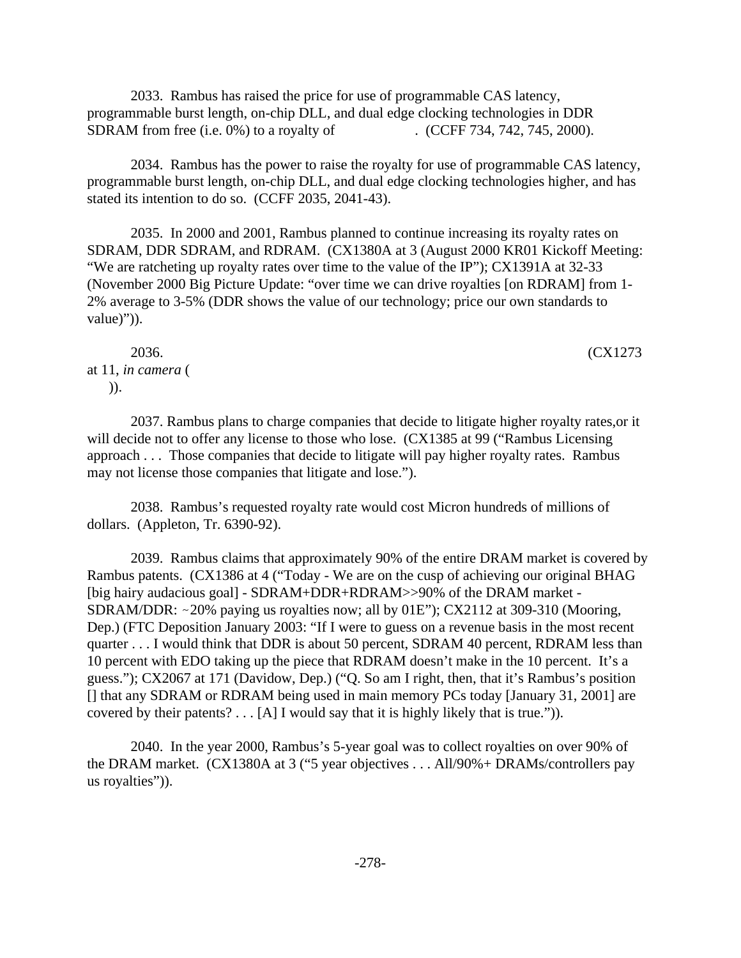2033. Rambus has raised the price for use of programmable CAS latency, programmable burst length, on-chip DLL, and dual edge clocking technologies in DDR SDRAM from free (i.e. 0%) to a royalty of . (CCFF 734, 742, 745, 2000).

2034. Rambus has the power to raise the royalty for use of programmable CAS latency, programmable burst length, on-chip DLL, and dual edge clocking technologies higher, and has stated its intention to do so. (CCFF 2035, 2041-43).

2035. In 2000 and 2001, Rambus planned to continue increasing its royalty rates on SDRAM, DDR SDRAM, and RDRAM. (CX1380A at 3 (August 2000 KR01 Kickoff Meeting: "We are ratcheting up royalty rates over time to the value of the IP"); CX1391A at 32-33 (November 2000 Big Picture Update: "over time we can drive royalties [on RDRAM] from 1- 2% average to 3-5% (DDR shows the value of our technology; price our own standards to value)")).

2036. (CX1273 at 11, *in camera* ( )).

2037. Rambus plans to charge companies that decide to litigate higher royalty rates,or it will decide not to offer any license to those who lose. (CX1385 at 99 ("Rambus Licensing approach . . . Those companies that decide to litigate will pay higher royalty rates. Rambus may not license those companies that litigate and lose.").

2038. Rambus's requested royalty rate would cost Micron hundreds of millions of dollars. (Appleton, Tr. 6390-92).

2039. Rambus claims that approximately 90% of the entire DRAM market is covered by Rambus patents. (CX1386 at 4 ("Today - We are on the cusp of achieving our original BHAG [big hairy audacious goal] - SDRAM+DDR+RDRAM>>90% of the DRAM market - SDRAM/DDR:  $\sim$ 20% paying us royalties now; all by 01E"); CX2112 at 309-310 (Mooring, Dep.) (FTC Deposition January 2003: "If I were to guess on a revenue basis in the most recent quarter . . . I would think that DDR is about 50 percent, SDRAM 40 percent, RDRAM less than 10 percent with EDO taking up the piece that RDRAM doesn't make in the 10 percent. It's a guess."); CX2067 at 171 (Davidow, Dep.) ("Q. So am I right, then, that it's Rambus's position [] that any SDRAM or RDRAM being used in main memory PCs today [January 31, 2001] are covered by their patents?  $\ldots$  [A] I would say that it is highly likely that is true.")).

2040. In the year 2000, Rambus's 5-year goal was to collect royalties on over 90% of the DRAM market. (CX1380A at 3 ("5 year objectives . . . All/90%+ DRAMs/controllers pay us royalties")).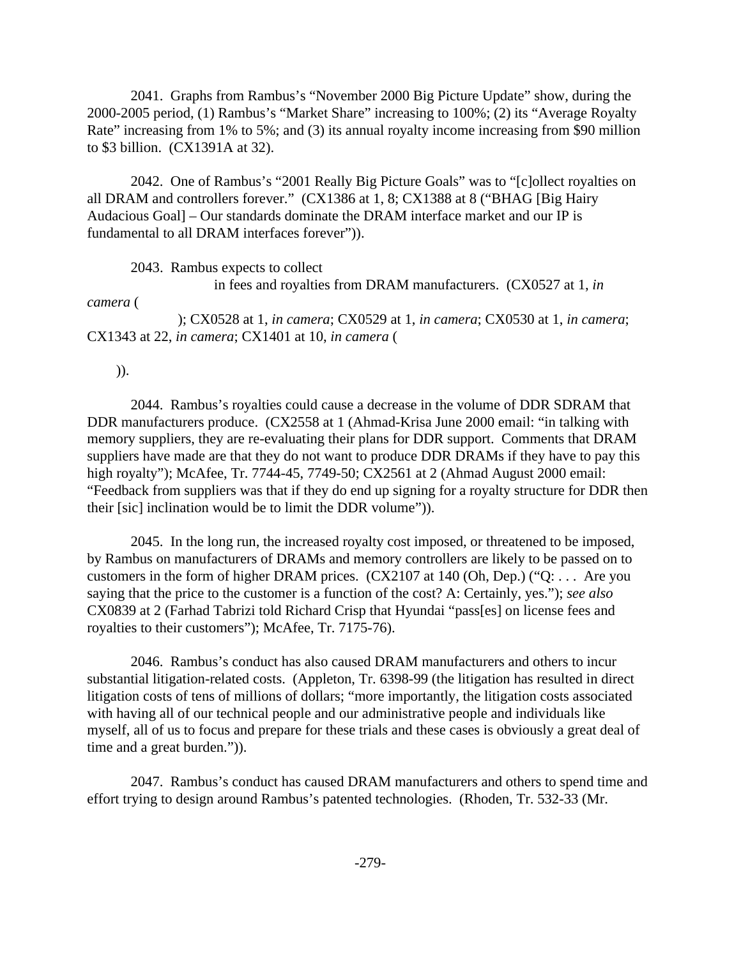2041. Graphs from Rambus's "November 2000 Big Picture Update" show, during the 2000-2005 period, (1) Rambus's "Market Share" increasing to 100%; (2) its "Average Royalty Rate" increasing from 1% to 5%; and (3) its annual royalty income increasing from \$90 million to \$3 billion. (CX1391A at 32).

2042. One of Rambus's "2001 Really Big Picture Goals" was to "[c]ollect royalties on all DRAM and controllers forever." (CX1386 at 1, 8; CX1388 at 8 ("BHAG [Big Hairy Audacious Goal] – Our standards dominate the DRAM interface market and our IP is fundamental to all DRAM interfaces forever")).

2043. Rambus expects to collect

in fees and royalties from DRAM manufacturers. (CX0527 at 1, *in*

*camera* (

 ); CX0528 at 1, *in camera*; CX0529 at 1, *in camera*; CX0530 at 1, *in camera*; CX1343 at 22, *in camera*; CX1401 at 10, *in camera* (

)).

2044. Rambus's royalties could cause a decrease in the volume of DDR SDRAM that DDR manufacturers produce. (CX2558 at 1 (Ahmad-Krisa June 2000 email: "in talking with memory suppliers, they are re-evaluating their plans for DDR support. Comments that DRAM suppliers have made are that they do not want to produce DDR DRAMs if they have to pay this high royalty"); McAfee, Tr. 7744-45, 7749-50; CX2561 at 2 (Ahmad August 2000 email: "Feedback from suppliers was that if they do end up signing for a royalty structure for DDR then their [sic] inclination would be to limit the DDR volume")).

2045. In the long run, the increased royalty cost imposed, or threatened to be imposed, by Rambus on manufacturers of DRAMs and memory controllers are likely to be passed on to customers in the form of higher DRAM prices. (CX2107 at 140 (Oh, Dep.) ("Q: . . . Are you saying that the price to the customer is a function of the cost? A: Certainly, yes."); *see also* CX0839 at 2 (Farhad Tabrizi told Richard Crisp that Hyundai "pass[es] on license fees and royalties to their customers"); McAfee, Tr. 7175-76).

2046. Rambus's conduct has also caused DRAM manufacturers and others to incur substantial litigation-related costs. (Appleton, Tr. 6398-99 (the litigation has resulted in direct litigation costs of tens of millions of dollars; "more importantly, the litigation costs associated with having all of our technical people and our administrative people and individuals like myself, all of us to focus and prepare for these trials and these cases is obviously a great deal of time and a great burden.")).

2047. Rambus's conduct has caused DRAM manufacturers and others to spend time and effort trying to design around Rambus's patented technologies. (Rhoden, Tr. 532-33 (Mr.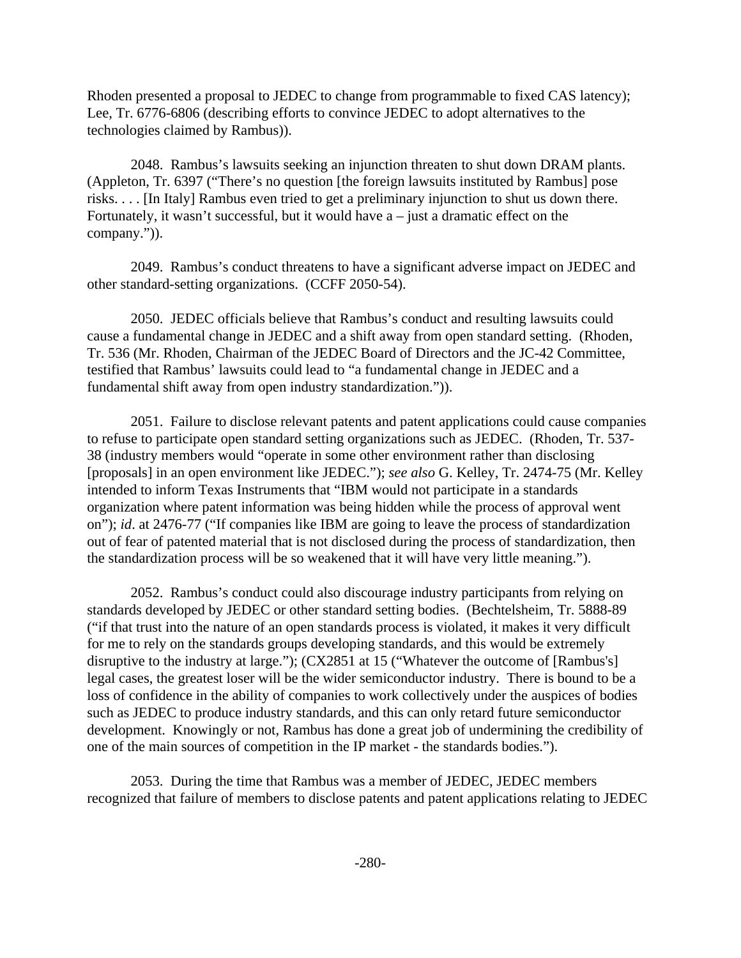Rhoden presented a proposal to JEDEC to change from programmable to fixed CAS latency); Lee, Tr. 6776-6806 (describing efforts to convince JEDEC to adopt alternatives to the technologies claimed by Rambus)).

2048. Rambus's lawsuits seeking an injunction threaten to shut down DRAM plants. (Appleton, Tr. 6397 ("There's no question [the foreign lawsuits instituted by Rambus] pose risks. . . . [In Italy] Rambus even tried to get a preliminary injunction to shut us down there. Fortunately, it wasn't successful, but it would have  $a$  – just a dramatic effect on the company.")).

2049. Rambus's conduct threatens to have a significant adverse impact on JEDEC and other standard-setting organizations. (CCFF 2050-54).

2050. JEDEC officials believe that Rambus's conduct and resulting lawsuits could cause a fundamental change in JEDEC and a shift away from open standard setting. (Rhoden, Tr. 536 (Mr. Rhoden, Chairman of the JEDEC Board of Directors and the JC-42 Committee, testified that Rambus' lawsuits could lead to "a fundamental change in JEDEC and a fundamental shift away from open industry standardization.")).

2051. Failure to disclose relevant patents and patent applications could cause companies to refuse to participate open standard setting organizations such as JEDEC. (Rhoden, Tr. 537- 38 (industry members would "operate in some other environment rather than disclosing [proposals] in an open environment like JEDEC."); *see also* G. Kelley, Tr. 2474-75 (Mr. Kelley intended to inform Texas Instruments that "IBM would not participate in a standards organization where patent information was being hidden while the process of approval went on"); *id*. at 2476-77 ("If companies like IBM are going to leave the process of standardization out of fear of patented material that is not disclosed during the process of standardization, then the standardization process will be so weakened that it will have very little meaning.").

2052. Rambus's conduct could also discourage industry participants from relying on standards developed by JEDEC or other standard setting bodies. (Bechtelsheim, Tr. 5888-89 ("if that trust into the nature of an open standards process is violated, it makes it very difficult for me to rely on the standards groups developing standards, and this would be extremely disruptive to the industry at large."); (CX2851 at 15 ("Whatever the outcome of [Rambus's] legal cases, the greatest loser will be the wider semiconductor industry. There is bound to be a loss of confidence in the ability of companies to work collectively under the auspices of bodies such as JEDEC to produce industry standards, and this can only retard future semiconductor development. Knowingly or not, Rambus has done a great job of undermining the credibility of one of the main sources of competition in the IP market - the standards bodies.").

2053. During the time that Rambus was a member of JEDEC, JEDEC members recognized that failure of members to disclose patents and patent applications relating to JEDEC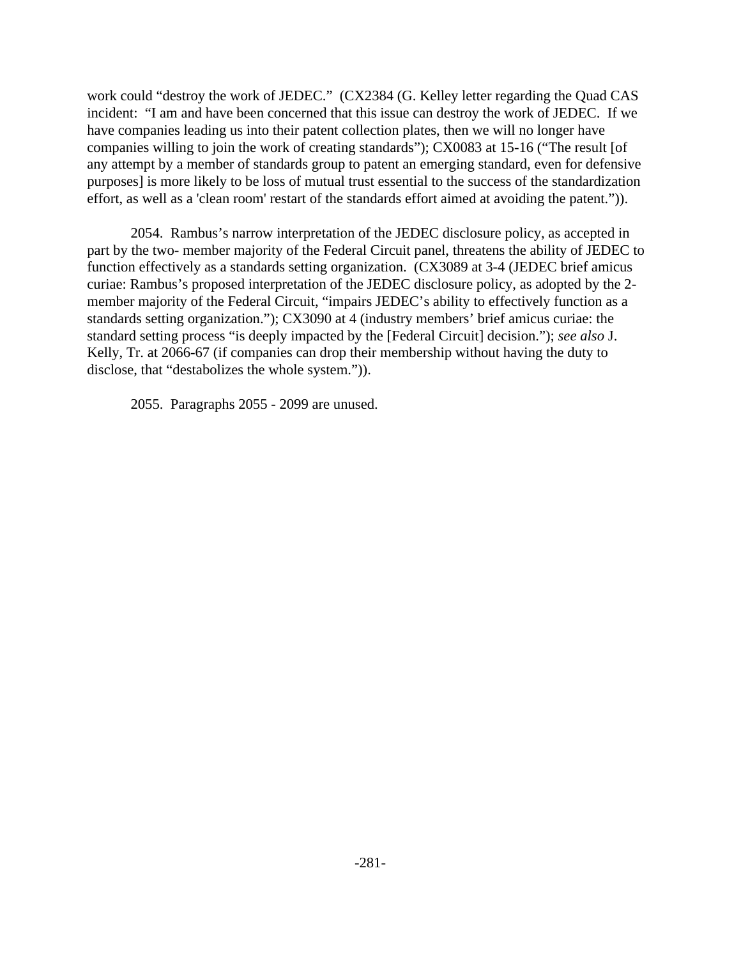work could "destroy the work of JEDEC." (CX2384 (G. Kelley letter regarding the Quad CAS incident: "I am and have been concerned that this issue can destroy the work of JEDEC. If we have companies leading us into their patent collection plates, then we will no longer have companies willing to join the work of creating standards"); CX0083 at 15-16 ("The result [of any attempt by a member of standards group to patent an emerging standard, even for defensive purposes] is more likely to be loss of mutual trust essential to the success of the standardization effort, as well as a 'clean room' restart of the standards effort aimed at avoiding the patent.")).

2054. Rambus's narrow interpretation of the JEDEC disclosure policy, as accepted in part by the two- member majority of the Federal Circuit panel, threatens the ability of JEDEC to function effectively as a standards setting organization. (CX3089 at 3-4 (JEDEC brief amicus curiae: Rambus's proposed interpretation of the JEDEC disclosure policy, as adopted by the 2 member majority of the Federal Circuit, "impairs JEDEC's ability to effectively function as a standards setting organization."); CX3090 at 4 (industry members' brief amicus curiae: the standard setting process "is deeply impacted by the [Federal Circuit] decision."); *see also* J. Kelly, Tr. at 2066-67 (if companies can drop their membership without having the duty to disclose, that "destabolizes the whole system.")).

2055. Paragraphs 2055 - 2099 are unused.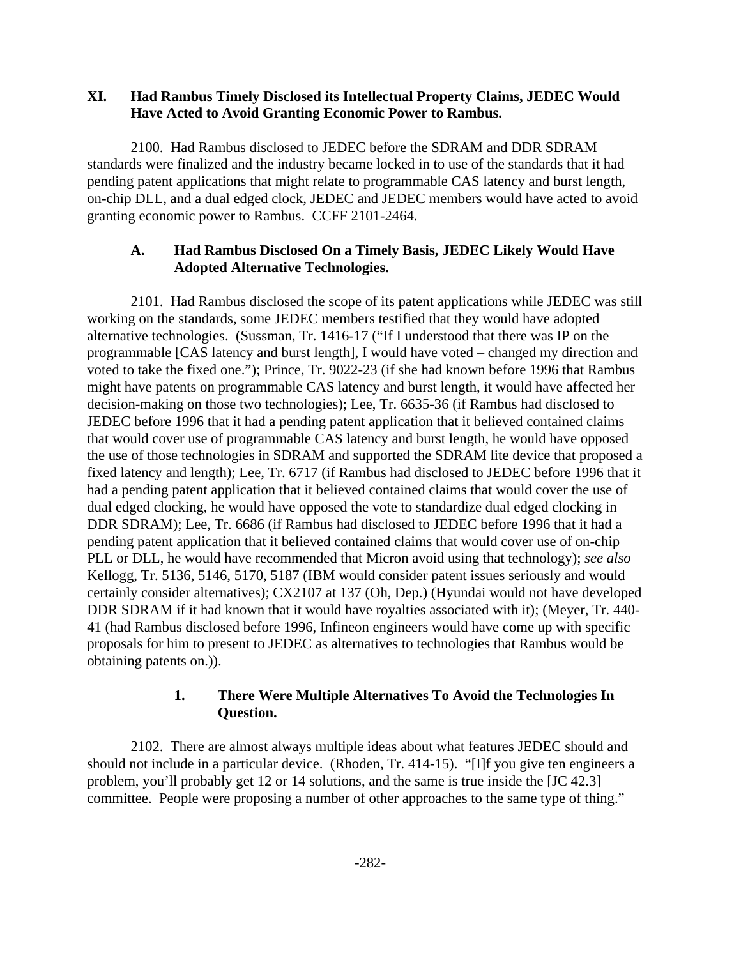#### **XI. Had Rambus Timely Disclosed its Intellectual Property Claims, JEDEC Would Have Acted to Avoid Granting Economic Power to Rambus.**

2100. Had Rambus disclosed to JEDEC before the SDRAM and DDR SDRAM standards were finalized and the industry became locked in to use of the standards that it had pending patent applications that might relate to programmable CAS latency and burst length, on-chip DLL, and a dual edged clock, JEDEC and JEDEC members would have acted to avoid granting economic power to Rambus. CCFF 2101-2464.

## **A. Had Rambus Disclosed On a Timely Basis, JEDEC Likely Would Have Adopted Alternative Technologies.**

2101. Had Rambus disclosed the scope of its patent applications while JEDEC was still working on the standards, some JEDEC members testified that they would have adopted alternative technologies. (Sussman, Tr. 1416-17 ("If I understood that there was IP on the programmable [CAS latency and burst length], I would have voted – changed my direction and voted to take the fixed one."); Prince, Tr. 9022-23 (if she had known before 1996 that Rambus might have patents on programmable CAS latency and burst length, it would have affected her decision-making on those two technologies); Lee, Tr. 6635-36 (if Rambus had disclosed to JEDEC before 1996 that it had a pending patent application that it believed contained claims that would cover use of programmable CAS latency and burst length, he would have opposed the use of those technologies in SDRAM and supported the SDRAM lite device that proposed a fixed latency and length); Lee, Tr. 6717 (if Rambus had disclosed to JEDEC before 1996 that it had a pending patent application that it believed contained claims that would cover the use of dual edged clocking, he would have opposed the vote to standardize dual edged clocking in DDR SDRAM); Lee, Tr. 6686 (if Rambus had disclosed to JEDEC before 1996 that it had a pending patent application that it believed contained claims that would cover use of on-chip PLL or DLL, he would have recommended that Micron avoid using that technology); *see also* Kellogg, Tr. 5136, 5146, 5170, 5187 (IBM would consider patent issues seriously and would certainly consider alternatives); CX2107 at 137 (Oh, Dep.) (Hyundai would not have developed DDR SDRAM if it had known that it would have royalties associated with it); (Meyer, Tr. 440- 41 (had Rambus disclosed before 1996, Infineon engineers would have come up with specific proposals for him to present to JEDEC as alternatives to technologies that Rambus would be obtaining patents on.)).

## **1. There Were Multiple Alternatives To Avoid the Technologies In Question.**

2102. There are almost always multiple ideas about what features JEDEC should and should not include in a particular device. (Rhoden, Tr. 414-15). "[I]f you give ten engineers a problem, you'll probably get 12 or 14 solutions, and the same is true inside the [JC 42.3] committee. People were proposing a number of other approaches to the same type of thing."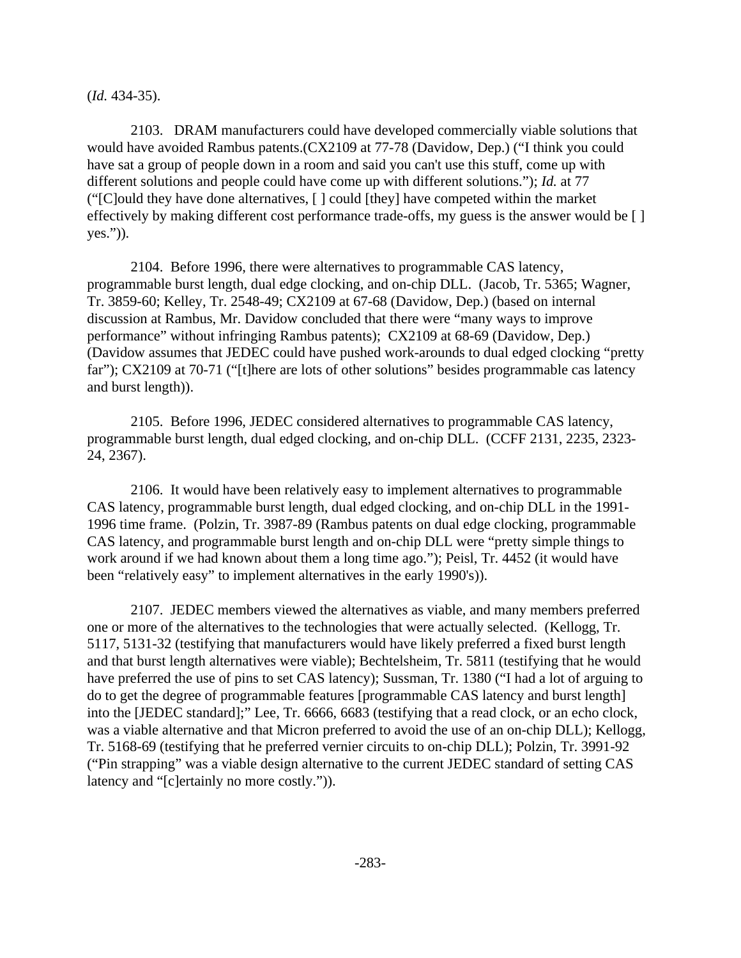(*Id.* 434-35).

2103. DRAM manufacturers could have developed commercially viable solutions that would have avoided Rambus patents.(CX2109 at 77-78 (Davidow, Dep.) ("I think you could have sat a group of people down in a room and said you can't use this stuff, come up with different solutions and people could have come up with different solutions."); *Id.* at 77 ("[C]ould they have done alternatives, [ ] could [they] have competed within the market effectively by making different cost performance trade-offs, my guess is the answer would be [ ] yes.")).

2104. Before 1996, there were alternatives to programmable CAS latency, programmable burst length, dual edge clocking, and on-chip DLL. (Jacob, Tr. 5365; Wagner, Tr. 3859-60; Kelley, Tr. 2548-49; CX2109 at 67-68 (Davidow, Dep.) (based on internal discussion at Rambus, Mr. Davidow concluded that there were "many ways to improve performance" without infringing Rambus patents); CX2109 at 68-69 (Davidow, Dep.) (Davidow assumes that JEDEC could have pushed work-arounds to dual edged clocking "pretty far"); CX2109 at 70-71 ("[t]here are lots of other solutions" besides programmable cas latency and burst length)).

2105. Before 1996, JEDEC considered alternatives to programmable CAS latency, programmable burst length, dual edged clocking, and on-chip DLL. (CCFF 2131, 2235, 2323- 24, 2367).

2106. It would have been relatively easy to implement alternatives to programmable CAS latency, programmable burst length, dual edged clocking, and on-chip DLL in the 1991- 1996 time frame. (Polzin, Tr. 3987-89 (Rambus patents on dual edge clocking, programmable CAS latency, and programmable burst length and on-chip DLL were "pretty simple things to work around if we had known about them a long time ago."); Peisl, Tr. 4452 (it would have been "relatively easy" to implement alternatives in the early 1990's)).

2107. JEDEC members viewed the alternatives as viable, and many members preferred one or more of the alternatives to the technologies that were actually selected. (Kellogg, Tr. 5117, 5131-32 (testifying that manufacturers would have likely preferred a fixed burst length and that burst length alternatives were viable); Bechtelsheim, Tr. 5811 (testifying that he would have preferred the use of pins to set CAS latency); Sussman, Tr. 1380 ("I had a lot of arguing to do to get the degree of programmable features [programmable CAS latency and burst length] into the [JEDEC standard];" Lee, Tr. 6666, 6683 (testifying that a read clock, or an echo clock, was a viable alternative and that Micron preferred to avoid the use of an on-chip DLL); Kellogg, Tr. 5168-69 (testifying that he preferred vernier circuits to on-chip DLL); Polzin, Tr. 3991-92 ("Pin strapping" was a viable design alternative to the current JEDEC standard of setting CAS latency and "[c]ertainly no more costly.")).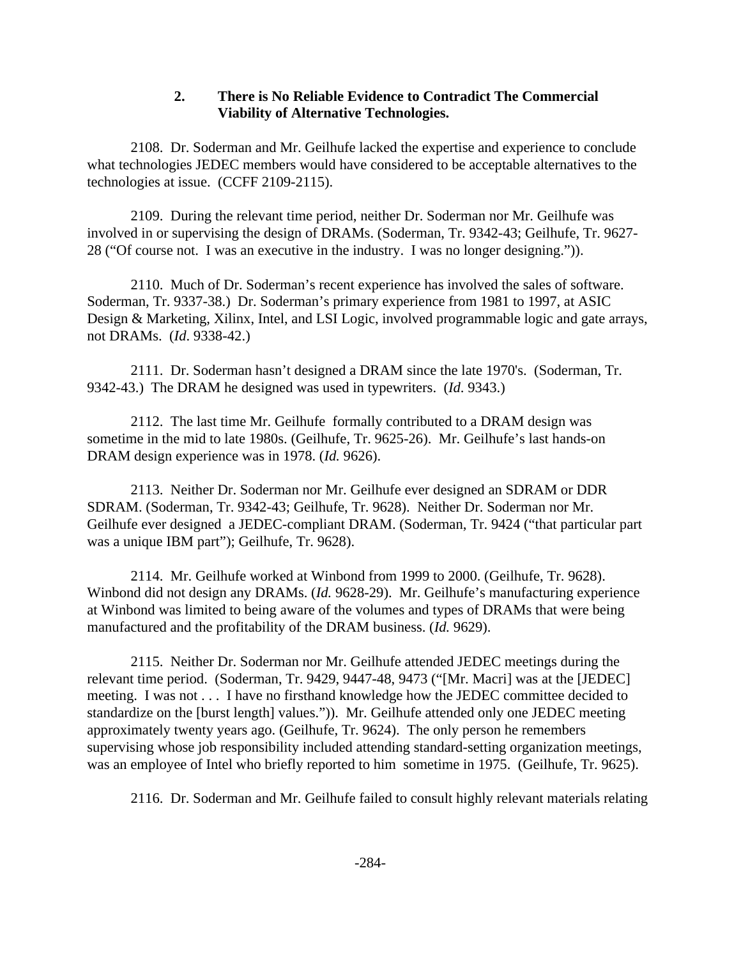## **2. There is No Reliable Evidence to Contradict The Commercial Viability of Alternative Technologies.**

2108. Dr. Soderman and Mr. Geilhufe lacked the expertise and experience to conclude what technologies JEDEC members would have considered to be acceptable alternatives to the technologies at issue. (CCFF 2109-2115).

2109. During the relevant time period, neither Dr. Soderman nor Mr. Geilhufe was involved in or supervising the design of DRAMs. (Soderman, Tr. 9342-43; Geilhufe, Tr. 9627- 28 ("Of course not. I was an executive in the industry. I was no longer designing.")).

2110. Much of Dr. Soderman's recent experience has involved the sales of software. Soderman, Tr. 9337-38.) Dr. Soderman's primary experience from 1981 to 1997, at ASIC Design & Marketing, Xilinx, Intel, and LSI Logic, involved programmable logic and gate arrays, not DRAMs. (*Id*. 9338-42.)

2111. Dr. Soderman hasn't designed a DRAM since the late 1970's. (Soderman, Tr. 9342-43.) The DRAM he designed was used in typewriters. (*Id*. 9343.)

2112. The last time Mr. Geilhufe formally contributed to a DRAM design was sometime in the mid to late 1980s. (Geilhufe, Tr. 9625-26). Mr. Geilhufe's last hands-on DRAM design experience was in 1978. (*Id.* 9626).

2113. Neither Dr. Soderman nor Mr. Geilhufe ever designed an SDRAM or DDR SDRAM. (Soderman, Tr. 9342-43; Geilhufe, Tr. 9628). Neither Dr. Soderman nor Mr. Geilhufe ever designed a JEDEC-compliant DRAM. (Soderman, Tr. 9424 ("that particular part was a unique IBM part"); Geilhufe, Tr. 9628).

2114. Mr. Geilhufe worked at Winbond from 1999 to 2000. (Geilhufe, Tr. 9628). Winbond did not design any DRAMs. (*Id.* 9628-29). Mr. Geilhufe's manufacturing experience at Winbond was limited to being aware of the volumes and types of DRAMs that were being manufactured and the profitability of the DRAM business. (*Id.* 9629).

2115. Neither Dr. Soderman nor Mr. Geilhufe attended JEDEC meetings during the relevant time period. (Soderman, Tr. 9429, 9447-48, 9473 ("[Mr. Macri] was at the [JEDEC] meeting. I was not . . . I have no firsthand knowledge how the JEDEC committee decided to standardize on the [burst length] values.")). Mr. Geilhufe attended only one JEDEC meeting approximately twenty years ago. (Geilhufe, Tr. 9624). The only person he remembers supervising whose job responsibility included attending standard-setting organization meetings, was an employee of Intel who briefly reported to him sometime in 1975. (Geilhufe, Tr. 9625).

2116. Dr. Soderman and Mr. Geilhufe failed to consult highly relevant materials relating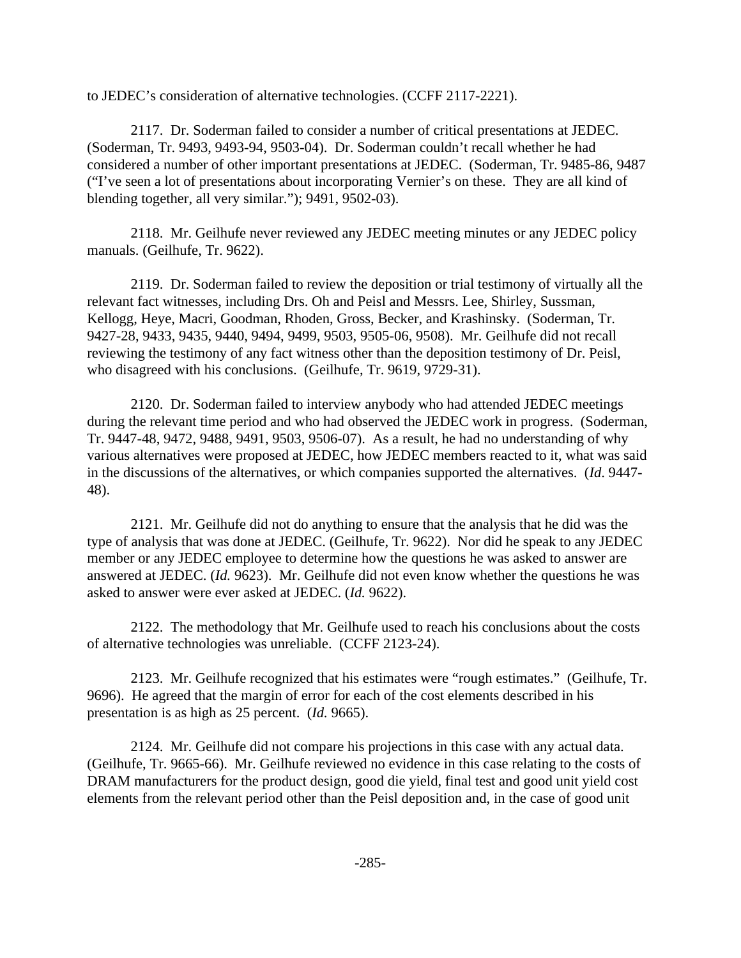to JEDEC's consideration of alternative technologies. (CCFF 2117-2221).

2117. Dr. Soderman failed to consider a number of critical presentations at JEDEC. (Soderman, Tr. 9493, 9493-94, 9503-04). Dr. Soderman couldn't recall whether he had considered a number of other important presentations at JEDEC. (Soderman, Tr. 9485-86, 9487 ("I've seen a lot of presentations about incorporating Vernier's on these. They are all kind of blending together, all very similar."); 9491, 9502-03).

2118. Mr. Geilhufe never reviewed any JEDEC meeting minutes or any JEDEC policy manuals. (Geilhufe, Tr. 9622).

2119. Dr. Soderman failed to review the deposition or trial testimony of virtually all the relevant fact witnesses, including Drs. Oh and Peisl and Messrs. Lee, Shirley, Sussman, Kellogg, Heye, Macri, Goodman, Rhoden, Gross, Becker, and Krashinsky. (Soderman, Tr. 9427-28, 9433, 9435, 9440, 9494, 9499, 9503, 9505-06, 9508). Mr. Geilhufe did not recall reviewing the testimony of any fact witness other than the deposition testimony of Dr. Peisl, who disagreed with his conclusions. (Geilhufe, Tr. 9619, 9729-31).

2120. Dr. Soderman failed to interview anybody who had attended JEDEC meetings during the relevant time period and who had observed the JEDEC work in progress. (Soderman, Tr. 9447-48, 9472, 9488, 9491, 9503, 9506-07). As a result, he had no understanding of why various alternatives were proposed at JEDEC, how JEDEC members reacted to it, what was said in the discussions of the alternatives, or which companies supported the alternatives. (*Id*. 9447- 48).

2121. Mr. Geilhufe did not do anything to ensure that the analysis that he did was the type of analysis that was done at JEDEC. (Geilhufe, Tr. 9622). Nor did he speak to any JEDEC member or any JEDEC employee to determine how the questions he was asked to answer are answered at JEDEC. (*Id.* 9623). Mr. Geilhufe did not even know whether the questions he was asked to answer were ever asked at JEDEC. (*Id.* 9622).

2122. The methodology that Mr. Geilhufe used to reach his conclusions about the costs of alternative technologies was unreliable. (CCFF 2123-24).

2123. Mr. Geilhufe recognized that his estimates were "rough estimates." (Geilhufe, Tr. 9696). He agreed that the margin of error for each of the cost elements described in his presentation is as high as 25 percent. (*Id.* 9665).

2124. Mr. Geilhufe did not compare his projections in this case with any actual data. (Geilhufe, Tr. 9665-66). Mr. Geilhufe reviewed no evidence in this case relating to the costs of DRAM manufacturers for the product design, good die yield, final test and good unit yield cost elements from the relevant period other than the Peisl deposition and, in the case of good unit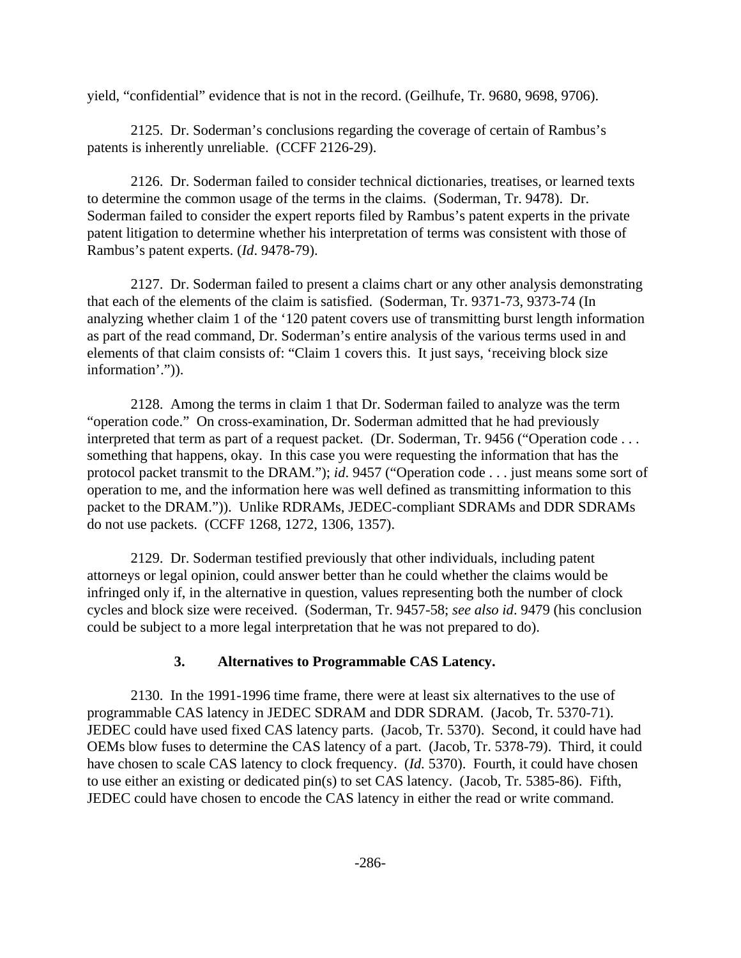yield, "confidential" evidence that is not in the record. (Geilhufe, Tr. 9680, 9698, 9706).

2125. Dr. Soderman's conclusions regarding the coverage of certain of Rambus's patents is inherently unreliable. (CCFF 2126-29).

2126. Dr. Soderman failed to consider technical dictionaries, treatises, or learned texts to determine the common usage of the terms in the claims. (Soderman, Tr. 9478). Dr. Soderman failed to consider the expert reports filed by Rambus's patent experts in the private patent litigation to determine whether his interpretation of terms was consistent with those of Rambus's patent experts. (*Id*. 9478-79).

2127. Dr. Soderman failed to present a claims chart or any other analysis demonstrating that each of the elements of the claim is satisfied. (Soderman, Tr. 9371-73, 9373-74 (In analyzing whether claim 1 of the '120 patent covers use of transmitting burst length information as part of the read command, Dr. Soderman's entire analysis of the various terms used in and elements of that claim consists of: "Claim 1 covers this. It just says, 'receiving block size information'.")).

2128. Among the terms in claim 1 that Dr. Soderman failed to analyze was the term "operation code." On cross-examination, Dr. Soderman admitted that he had previously interpreted that term as part of a request packet. (Dr. Soderman, Tr. 9456 ("Operation code . . . something that happens, okay. In this case you were requesting the information that has the protocol packet transmit to the DRAM."); *id*. 9457 ("Operation code . . . just means some sort of operation to me, and the information here was well defined as transmitting information to this packet to the DRAM.")). Unlike RDRAMs, JEDEC-compliant SDRAMs and DDR SDRAMs do not use packets. (CCFF 1268, 1272, 1306, 1357).

2129. Dr. Soderman testified previously that other individuals, including patent attorneys or legal opinion, could answer better than he could whether the claims would be infringed only if, in the alternative in question, values representing both the number of clock cycles and block size were received. (Soderman, Tr. 9457-58; *see also id*. 9479 (his conclusion could be subject to a more legal interpretation that he was not prepared to do).

#### **3. Alternatives to Programmable CAS Latency.**

2130. In the 1991-1996 time frame, there were at least six alternatives to the use of programmable CAS latency in JEDEC SDRAM and DDR SDRAM. (Jacob, Tr. 5370-71). JEDEC could have used fixed CAS latency parts. (Jacob, Tr. 5370). Second, it could have had OEMs blow fuses to determine the CAS latency of a part. (Jacob, Tr. 5378-79). Third, it could have chosen to scale CAS latency to clock frequency. (*Id.* 5370). Fourth, it could have chosen to use either an existing or dedicated pin(s) to set CAS latency. (Jacob, Tr. 5385-86). Fifth, JEDEC could have chosen to encode the CAS latency in either the read or write command.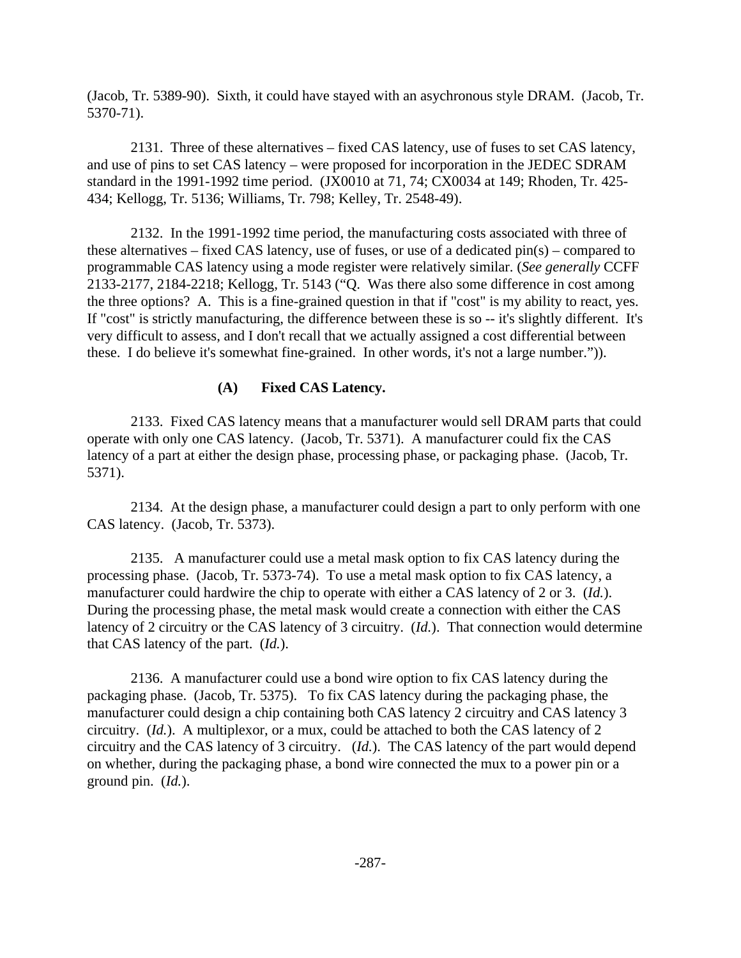(Jacob, Tr. 5389-90). Sixth, it could have stayed with an asychronous style DRAM. (Jacob, Tr. 5370-71).

2131. Three of these alternatives – fixed CAS latency, use of fuses to set CAS latency, and use of pins to set CAS latency – were proposed for incorporation in the JEDEC SDRAM standard in the 1991-1992 time period. (JX0010 at 71, 74; CX0034 at 149; Rhoden, Tr. 425- 434; Kellogg, Tr. 5136; Williams, Tr. 798; Kelley, Tr. 2548-49).

2132. In the 1991-1992 time period, the manufacturing costs associated with three of these alternatives – fixed CAS latency, use of fuses, or use of a dedicated pin(s) – compared to programmable CAS latency using a mode register were relatively similar. (*See generally* CCFF 2133-2177, 2184-2218; Kellogg, Tr. 5143 ("Q. Was there also some difference in cost among the three options? A. This is a fine-grained question in that if "cost" is my ability to react, yes. If "cost" is strictly manufacturing, the difference between these is so -- it's slightly different. It's very difficult to assess, and I don't recall that we actually assigned a cost differential between these. I do believe it's somewhat fine-grained. In other words, it's not a large number.")).

## **(A) Fixed CAS Latency.**

2133. Fixed CAS latency means that a manufacturer would sell DRAM parts that could operate with only one CAS latency. (Jacob, Tr. 5371). A manufacturer could fix the CAS latency of a part at either the design phase, processing phase, or packaging phase. (Jacob, Tr. 5371).

2134. At the design phase, a manufacturer could design a part to only perform with one CAS latency. (Jacob, Tr. 5373).

2135. A manufacturer could use a metal mask option to fix CAS latency during the processing phase. (Jacob, Tr. 5373-74). To use a metal mask option to fix CAS latency, a manufacturer could hardwire the chip to operate with either a CAS latency of 2 or 3. (*Id.*). During the processing phase, the metal mask would create a connection with either the CAS latency of 2 circuitry or the CAS latency of 3 circuitry. (*Id.*). That connection would determine that CAS latency of the part. (*Id.*).

2136. A manufacturer could use a bond wire option to fix CAS latency during the packaging phase. (Jacob, Tr. 5375). To fix CAS latency during the packaging phase, the manufacturer could design a chip containing both CAS latency 2 circuitry and CAS latency 3 circuitry. (*Id.*). A multiplexor, or a mux, could be attached to both the CAS latency of 2 circuitry and the CAS latency of 3 circuitry. (*Id.*). The CAS latency of the part would depend on whether, during the packaging phase, a bond wire connected the mux to a power pin or a ground pin. (*Id.*).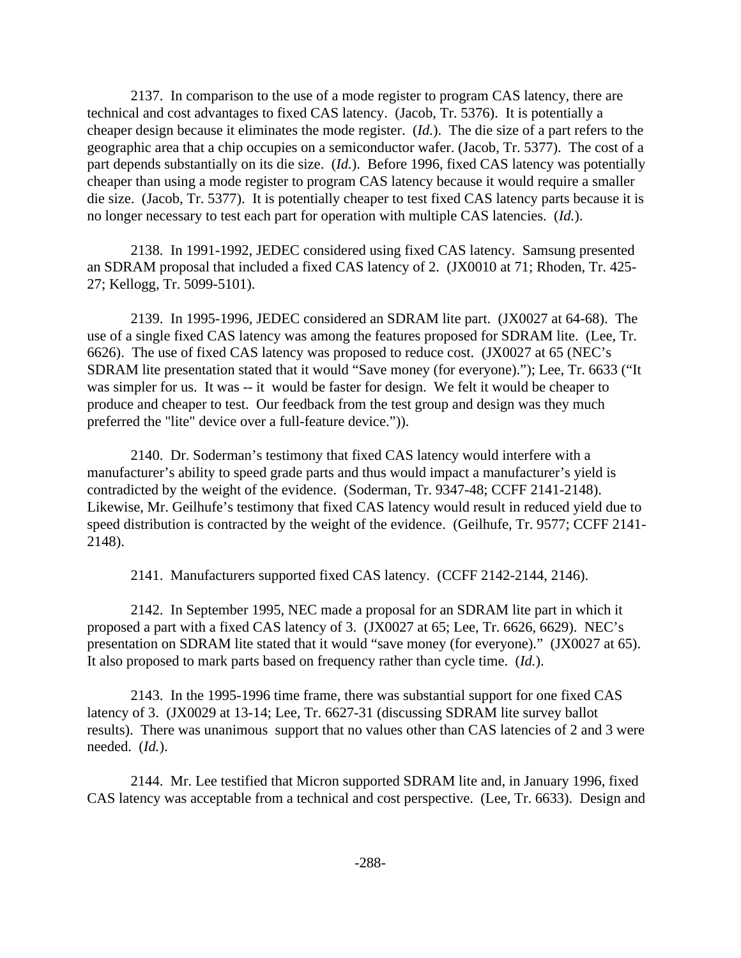2137. In comparison to the use of a mode register to program CAS latency, there are technical and cost advantages to fixed CAS latency. (Jacob, Tr. 5376). It is potentially a cheaper design because it eliminates the mode register. (*Id.*). The die size of a part refers to the geographic area that a chip occupies on a semiconductor wafer. (Jacob, Tr. 5377). The cost of a part depends substantially on its die size. (*Id.*). Before 1996, fixed CAS latency was potentially cheaper than using a mode register to program CAS latency because it would require a smaller die size. (Jacob, Tr. 5377). It is potentially cheaper to test fixed CAS latency parts because it is no longer necessary to test each part for operation with multiple CAS latencies. (*Id.*).

2138. In 1991-1992, JEDEC considered using fixed CAS latency. Samsung presented an SDRAM proposal that included a fixed CAS latency of 2. (JX0010 at 71; Rhoden, Tr. 425- 27; Kellogg, Tr. 5099-5101).

2139. In 1995-1996, JEDEC considered an SDRAM lite part. (JX0027 at 64-68). The use of a single fixed CAS latency was among the features proposed for SDRAM lite. (Lee, Tr. 6626). The use of fixed CAS latency was proposed to reduce cost. (JX0027 at 65 (NEC's SDRAM lite presentation stated that it would "Save money (for everyone)."); Lee, Tr. 6633 ("It was simpler for us. It was -- it would be faster for design. We felt it would be cheaper to produce and cheaper to test. Our feedback from the test group and design was they much preferred the "lite" device over a full-feature device.")).

2140. Dr. Soderman's testimony that fixed CAS latency would interfere with a manufacturer's ability to speed grade parts and thus would impact a manufacturer's yield is contradicted by the weight of the evidence. (Soderman, Tr. 9347-48; CCFF 2141-2148). Likewise, Mr. Geilhufe's testimony that fixed CAS latency would result in reduced yield due to speed distribution is contracted by the weight of the evidence. (Geilhufe, Tr. 9577; CCFF 2141- 2148).

2141. Manufacturers supported fixed CAS latency. (CCFF 2142-2144, 2146).

2142. In September 1995, NEC made a proposal for an SDRAM lite part in which it proposed a part with a fixed CAS latency of 3. (JX0027 at 65; Lee, Tr. 6626, 6629). NEC's presentation on SDRAM lite stated that it would "save money (for everyone)." (JX0027 at 65). It also proposed to mark parts based on frequency rather than cycle time. (*Id.*).

2143. In the 1995-1996 time frame, there was substantial support for one fixed CAS latency of 3. (JX0029 at 13-14; Lee, Tr. 6627-31 (discussing SDRAM lite survey ballot results). There was unanimous support that no values other than CAS latencies of 2 and 3 were needed. (*Id.*).

2144. Mr. Lee testified that Micron supported SDRAM lite and, in January 1996, fixed CAS latency was acceptable from a technical and cost perspective. (Lee, Tr. 6633). Design and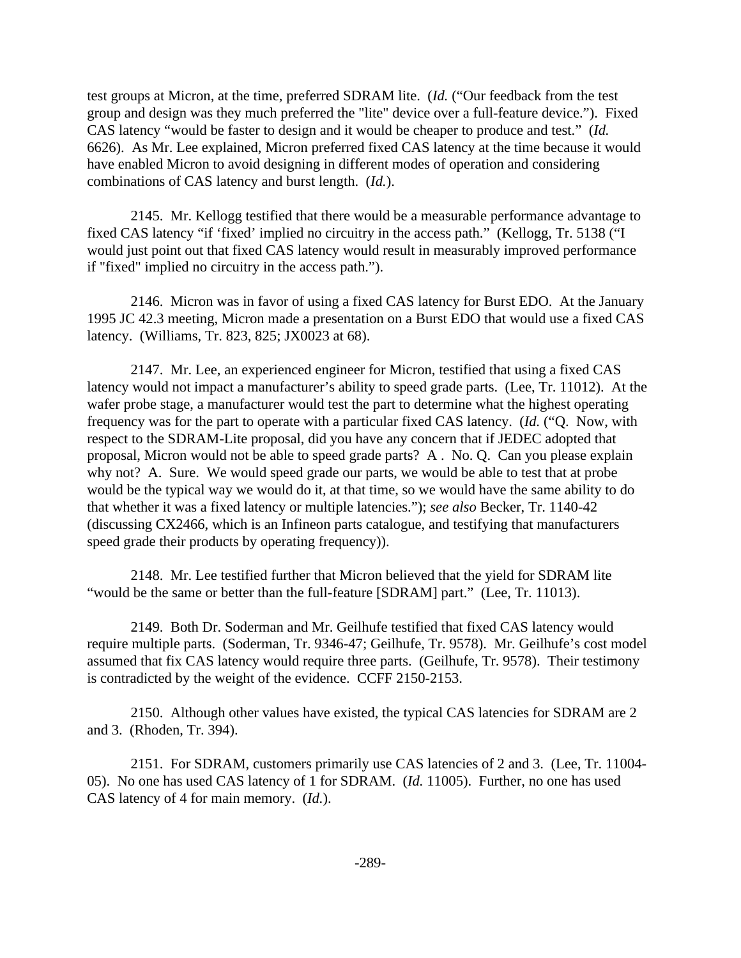test groups at Micron, at the time, preferred SDRAM lite. (*Id.* ("Our feedback from the test group and design was they much preferred the "lite" device over a full-feature device."). Fixed CAS latency "would be faster to design and it would be cheaper to produce and test." (*Id.* 6626). As Mr. Lee explained, Micron preferred fixed CAS latency at the time because it would have enabled Micron to avoid designing in different modes of operation and considering combinations of CAS latency and burst length. (*Id.*).

2145. Mr. Kellogg testified that there would be a measurable performance advantage to fixed CAS latency "if 'fixed' implied no circuitry in the access path." (Kellogg, Tr. 5138 ("I would just point out that fixed CAS latency would result in measurably improved performance if "fixed" implied no circuitry in the access path.").

2146. Micron was in favor of using a fixed CAS latency for Burst EDO. At the January 1995 JC 42.3 meeting, Micron made a presentation on a Burst EDO that would use a fixed CAS latency. (Williams, Tr. 823, 825; JX0023 at 68).

2147. Mr. Lee, an experienced engineer for Micron, testified that using a fixed CAS latency would not impact a manufacturer's ability to speed grade parts. (Lee, Tr. 11012). At the wafer probe stage, a manufacturer would test the part to determine what the highest operating frequency was for the part to operate with a particular fixed CAS latency. (*Id.* ("Q. Now, with respect to the SDRAM-Lite proposal, did you have any concern that if JEDEC adopted that proposal, Micron would not be able to speed grade parts? A . No. Q. Can you please explain why not? A. Sure. We would speed grade our parts, we would be able to test that at probe would be the typical way we would do it, at that time, so we would have the same ability to do that whether it was a fixed latency or multiple latencies."); *see also* Becker, Tr. 1140-42 (discussing CX2466, which is an Infineon parts catalogue, and testifying that manufacturers speed grade their products by operating frequency)).

2148. Mr. Lee testified further that Micron believed that the yield for SDRAM lite "would be the same or better than the full-feature [SDRAM] part." (Lee, Tr. 11013).

2149. Both Dr. Soderman and Mr. Geilhufe testified that fixed CAS latency would require multiple parts. (Soderman, Tr. 9346-47; Geilhufe, Tr. 9578). Mr. Geilhufe's cost model assumed that fix CAS latency would require three parts. (Geilhufe, Tr. 9578). Their testimony is contradicted by the weight of the evidence. CCFF 2150-2153.

2150. Although other values have existed, the typical CAS latencies for SDRAM are 2 and 3. (Rhoden, Tr. 394).

2151. For SDRAM, customers primarily use CAS latencies of 2 and 3. (Lee, Tr. 11004- 05). No one has used CAS latency of 1 for SDRAM. (*Id.* 11005). Further, no one has used CAS latency of 4 for main memory. (*Id.*).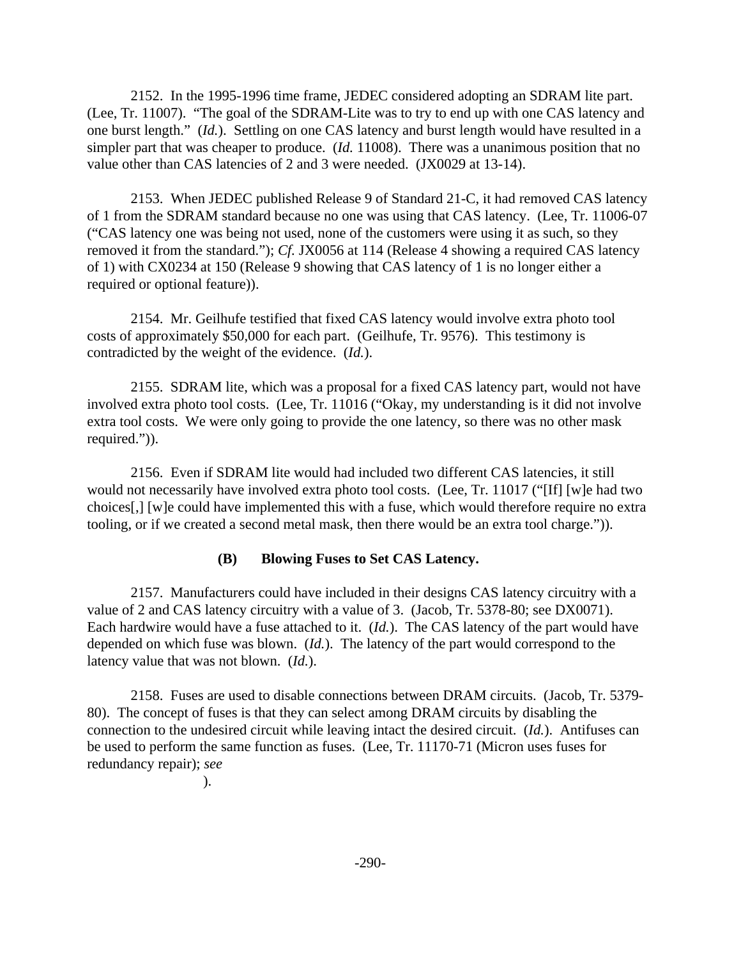2152. In the 1995-1996 time frame, JEDEC considered adopting an SDRAM lite part. (Lee, Tr. 11007). "The goal of the SDRAM-Lite was to try to end up with one CAS latency and one burst length." (*Id.*). Settling on one CAS latency and burst length would have resulted in a simpler part that was cheaper to produce. (*Id.* 11008). There was a unanimous position that no value other than CAS latencies of 2 and 3 were needed. (JX0029 at 13-14).

2153. When JEDEC published Release 9 of Standard 21-C, it had removed CAS latency of 1 from the SDRAM standard because no one was using that CAS latency. (Lee, Tr. 11006-07 ("CAS latency one was being not used, none of the customers were using it as such, so they removed it from the standard."); *Cf.* JX0056 at 114 (Release 4 showing a required CAS latency of 1) with CX0234 at 150 (Release 9 showing that CAS latency of 1 is no longer either a required or optional feature)).

2154. Mr. Geilhufe testified that fixed CAS latency would involve extra photo tool costs of approximately \$50,000 for each part. (Geilhufe, Tr. 9576). This testimony is contradicted by the weight of the evidence. (*Id.*).

2155. SDRAM lite, which was a proposal for a fixed CAS latency part, would not have involved extra photo tool costs. (Lee, Tr. 11016 ("Okay, my understanding is it did not involve extra tool costs. We were only going to provide the one latency, so there was no other mask required.")).

2156. Even if SDRAM lite would had included two different CAS latencies, it still would not necessarily have involved extra photo tool costs. (Lee, Tr. 11017 ("[If] [w]e had two choices[,] [w]e could have implemented this with a fuse, which would therefore require no extra tooling, or if we created a second metal mask, then there would be an extra tool charge.")).

#### **(B) Blowing Fuses to Set CAS Latency.**

2157. Manufacturers could have included in their designs CAS latency circuitry with a value of 2 and CAS latency circuitry with a value of 3. (Jacob, Tr. 5378-80; see DX0071). Each hardwire would have a fuse attached to it. (*Id.*). The CAS latency of the part would have depended on which fuse was blown. (*Id.*). The latency of the part would correspond to the latency value that was not blown. (*Id.*).

2158. Fuses are used to disable connections between DRAM circuits. (Jacob, Tr. 5379- 80). The concept of fuses is that they can select among DRAM circuits by disabling the connection to the undesired circuit while leaving intact the desired circuit. (*Id.*). Antifuses can be used to perform the same function as fuses. (Lee, Tr. 11170-71 (Micron uses fuses for redundancy repair); *see*

).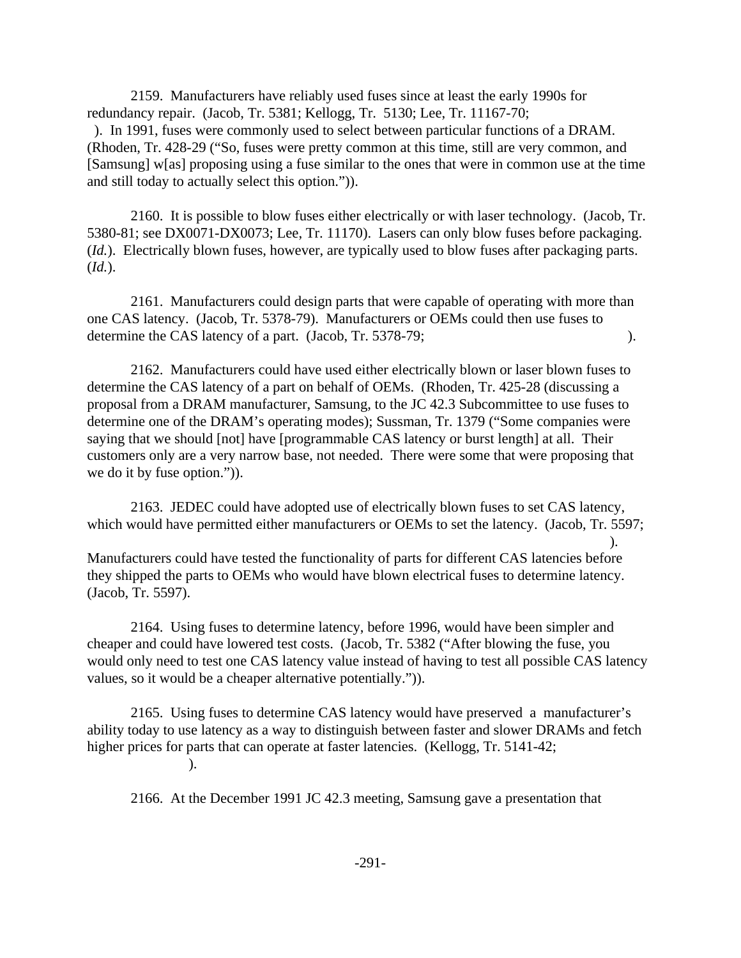2159. Manufacturers have reliably used fuses since at least the early 1990s for redundancy repair. (Jacob, Tr. 5381; Kellogg, Tr. 5130; Lee, Tr. 11167-70;

 ). In 1991, fuses were commonly used to select between particular functions of a DRAM. (Rhoden, Tr. 428-29 ("So, fuses were pretty common at this time, still are very common, and [Samsung] w[as] proposing using a fuse similar to the ones that were in common use at the time and still today to actually select this option.")).

2160. It is possible to blow fuses either electrically or with laser technology. (Jacob, Tr. 5380-81; see DX0071-DX0073; Lee, Tr. 11170). Lasers can only blow fuses before packaging. (*Id.*). Electrically blown fuses, however, are typically used to blow fuses after packaging parts. (*Id.*).

2161. Manufacturers could design parts that were capable of operating with more than one CAS latency. (Jacob, Tr. 5378-79). Manufacturers or OEMs could then use fuses to determine the CAS latency of a part. (Jacob, Tr. 5378-79; ).

2162. Manufacturers could have used either electrically blown or laser blown fuses to determine the CAS latency of a part on behalf of OEMs. (Rhoden, Tr. 425-28 (discussing a proposal from a DRAM manufacturer, Samsung, to the JC 42.3 Subcommittee to use fuses to determine one of the DRAM's operating modes); Sussman, Tr. 1379 ("Some companies were saying that we should [not] have [programmable CAS latency or burst length] at all. Their customers only are a very narrow base, not needed. There were some that were proposing that we do it by fuse option.")).

2163. JEDEC could have adopted use of electrically blown fuses to set CAS latency, which would have permitted either manufacturers or OEMs to set the latency. (Jacob, Tr. 5597;

 ). Manufacturers could have tested the functionality of parts for different CAS latencies before they shipped the parts to OEMs who would have blown electrical fuses to determine latency. (Jacob, Tr. 5597).

2164. Using fuses to determine latency, before 1996, would have been simpler and cheaper and could have lowered test costs. (Jacob, Tr. 5382 ("After blowing the fuse, you would only need to test one CAS latency value instead of having to test all possible CAS latency values, so it would be a cheaper alternative potentially.")).

2165. Using fuses to determine CAS latency would have preserved a manufacturer's ability today to use latency as a way to distinguish between faster and slower DRAMs and fetch higher prices for parts that can operate at faster latencies. (Kellogg, Tr. 5141-42; ).

2166. At the December 1991 JC 42.3 meeting, Samsung gave a presentation that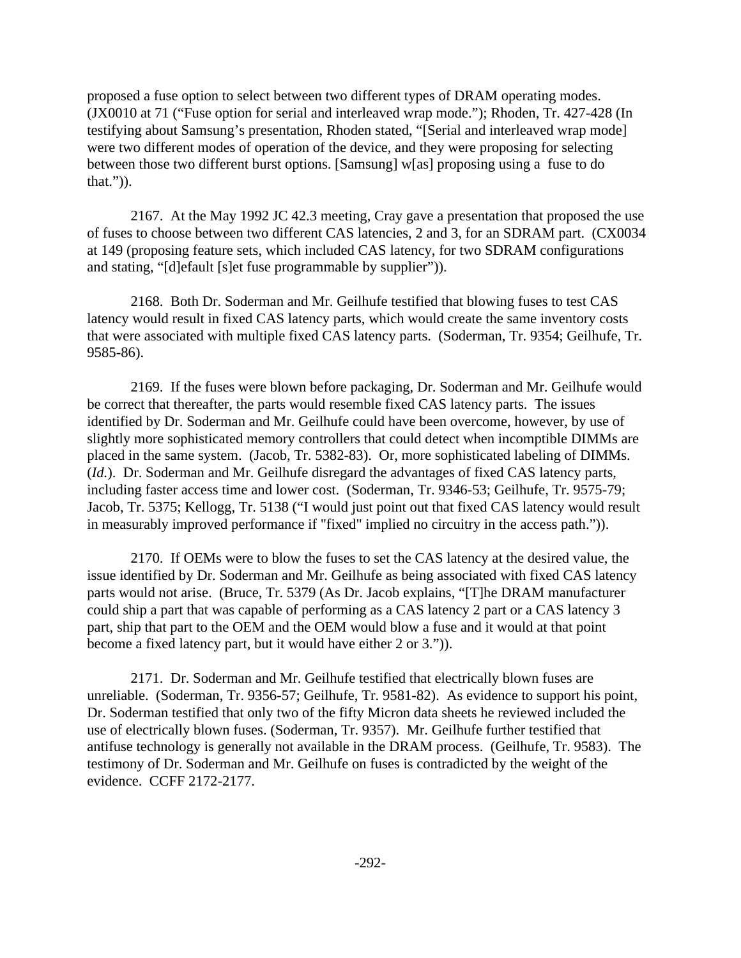proposed a fuse option to select between two different types of DRAM operating modes. (JX0010 at 71 ("Fuse option for serial and interleaved wrap mode."); Rhoden, Tr. 427-428 (In testifying about Samsung's presentation, Rhoden stated, "[Serial and interleaved wrap mode] were two different modes of operation of the device, and they were proposing for selecting between those two different burst options. [Samsung] w[as] proposing using a fuse to do that.")).

2167. At the May 1992 JC 42.3 meeting, Cray gave a presentation that proposed the use of fuses to choose between two different CAS latencies, 2 and 3, for an SDRAM part. (CX0034 at 149 (proposing feature sets, which included CAS latency, for two SDRAM configurations and stating, "[d]efault [s]et fuse programmable by supplier")).

2168. Both Dr. Soderman and Mr. Geilhufe testified that blowing fuses to test CAS latency would result in fixed CAS latency parts, which would create the same inventory costs that were associated with multiple fixed CAS latency parts. (Soderman, Tr. 9354; Geilhufe, Tr. 9585-86).

2169. If the fuses were blown before packaging, Dr. Soderman and Mr. Geilhufe would be correct that thereafter, the parts would resemble fixed CAS latency parts. The issues identified by Dr. Soderman and Mr. Geilhufe could have been overcome, however, by use of slightly more sophisticated memory controllers that could detect when incomptible DIMMs are placed in the same system. (Jacob, Tr. 5382-83). Or, more sophisticated labeling of DIMMs. (*Id.*). Dr. Soderman and Mr. Geilhufe disregard the advantages of fixed CAS latency parts, including faster access time and lower cost. (Soderman, Tr. 9346-53; Geilhufe, Tr. 9575-79; Jacob, Tr. 5375; Kellogg, Tr. 5138 ("I would just point out that fixed CAS latency would result in measurably improved performance if "fixed" implied no circuitry in the access path.")).

2170. If OEMs were to blow the fuses to set the CAS latency at the desired value, the issue identified by Dr. Soderman and Mr. Geilhufe as being associated with fixed CAS latency parts would not arise. (Bruce, Tr. 5379 (As Dr. Jacob explains, "[T]he DRAM manufacturer could ship a part that was capable of performing as a CAS latency 2 part or a CAS latency 3 part, ship that part to the OEM and the OEM would blow a fuse and it would at that point become a fixed latency part, but it would have either 2 or 3.")).

2171. Dr. Soderman and Mr. Geilhufe testified that electrically blown fuses are unreliable. (Soderman, Tr. 9356-57; Geilhufe, Tr. 9581-82). As evidence to support his point, Dr. Soderman testified that only two of the fifty Micron data sheets he reviewed included the use of electrically blown fuses. (Soderman, Tr. 9357). Mr. Geilhufe further testified that antifuse technology is generally not available in the DRAM process. (Geilhufe, Tr. 9583). The testimony of Dr. Soderman and Mr. Geilhufe on fuses is contradicted by the weight of the evidence. CCFF 2172-2177.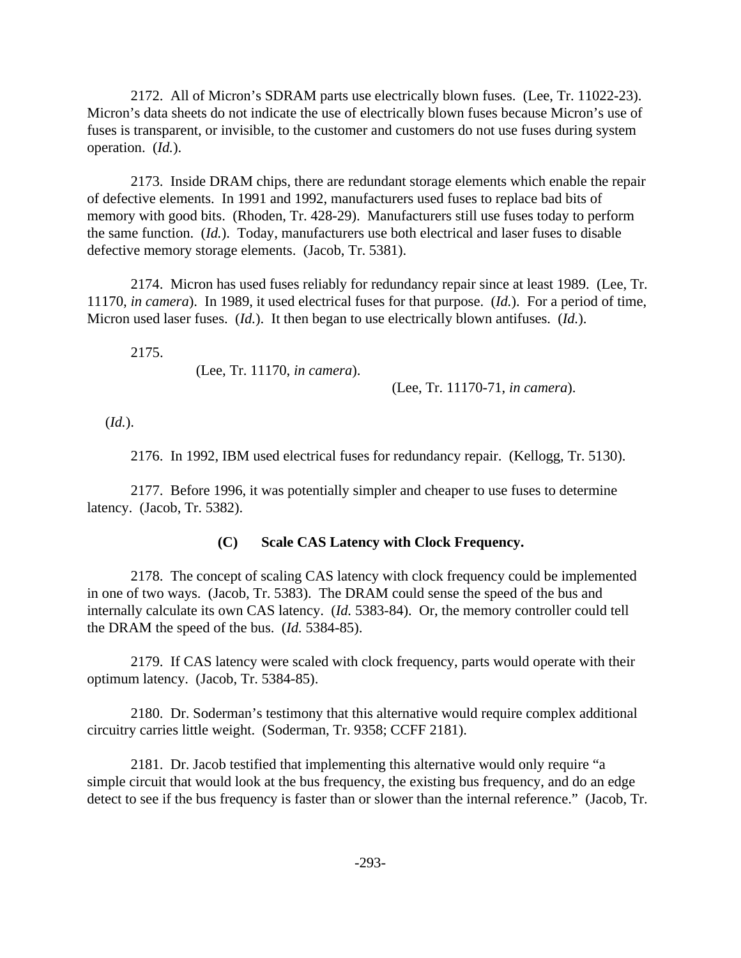2172. All of Micron's SDRAM parts use electrically blown fuses. (Lee, Tr. 11022-23). Micron's data sheets do not indicate the use of electrically blown fuses because Micron's use of fuses is transparent, or invisible, to the customer and customers do not use fuses during system operation. (*Id.*).

2173. Inside DRAM chips, there are redundant storage elements which enable the repair of defective elements. In 1991 and 1992, manufacturers used fuses to replace bad bits of memory with good bits. (Rhoden, Tr. 428-29). Manufacturers still use fuses today to perform the same function. (*Id.*). Today, manufacturers use both electrical and laser fuses to disable defective memory storage elements. (Jacob, Tr. 5381).

2174. Micron has used fuses reliably for redundancy repair since at least 1989. (Lee, Tr. 11170, *in camera*). In 1989, it used electrical fuses for that purpose. (*Id.*). For a period of time, Micron used laser fuses. (*Id.*). It then began to use electrically blown antifuses. (*Id.*).

2175.

(Lee, Tr. 11170, *in camera*).

(Lee, Tr. 11170-71, *in camera*).

(*Id.*).

2176. In 1992, IBM used electrical fuses for redundancy repair. (Kellogg, Tr. 5130).

2177. Before 1996, it was potentially simpler and cheaper to use fuses to determine latency. (Jacob, Tr. 5382).

#### **(C) Scale CAS Latency with Clock Frequency.**

2178. The concept of scaling CAS latency with clock frequency could be implemented in one of two ways. (Jacob, Tr. 5383). The DRAM could sense the speed of the bus and internally calculate its own CAS latency. (*Id.* 5383-84). Or, the memory controller could tell the DRAM the speed of the bus. (*Id.* 5384-85).

2179. If CAS latency were scaled with clock frequency, parts would operate with their optimum latency. (Jacob, Tr. 5384-85).

2180. Dr. Soderman's testimony that this alternative would require complex additional circuitry carries little weight. (Soderman, Tr. 9358; CCFF 2181).

2181. Dr. Jacob testified that implementing this alternative would only require "a simple circuit that would look at the bus frequency, the existing bus frequency, and do an edge detect to see if the bus frequency is faster than or slower than the internal reference." (Jacob, Tr.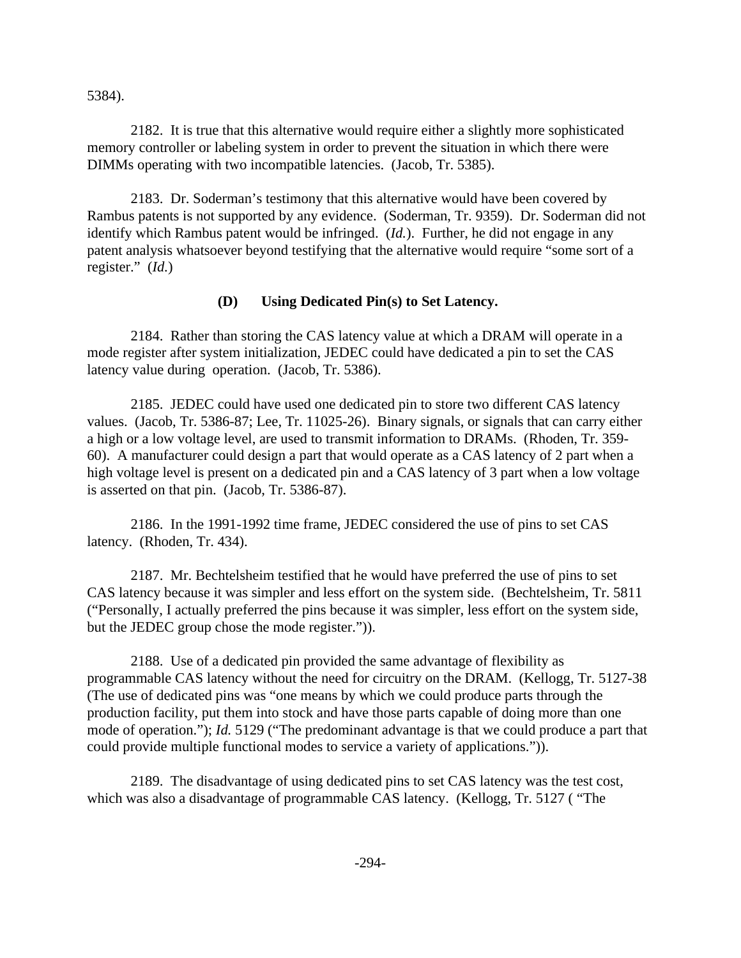5384).

2182. It is true that this alternative would require either a slightly more sophisticated memory controller or labeling system in order to prevent the situation in which there were DIMMs operating with two incompatible latencies. (Jacob, Tr. 5385).

2183. Dr. Soderman's testimony that this alternative would have been covered by Rambus patents is not supported by any evidence. (Soderman, Tr. 9359). Dr. Soderman did not identify which Rambus patent would be infringed. (*Id.*). Further, he did not engage in any patent analysis whatsoever beyond testifying that the alternative would require "some sort of a register." (*Id.*)

#### **(D) Using Dedicated Pin(s) to Set Latency.**

2184. Rather than storing the CAS latency value at which a DRAM will operate in a mode register after system initialization, JEDEC could have dedicated a pin to set the CAS latency value during operation. (Jacob, Tr. 5386).

2185. JEDEC could have used one dedicated pin to store two different CAS latency values. (Jacob, Tr. 5386-87; Lee, Tr. 11025-26). Binary signals, or signals that can carry either a high or a low voltage level, are used to transmit information to DRAMs. (Rhoden, Tr. 359- 60). A manufacturer could design a part that would operate as a CAS latency of 2 part when a high voltage level is present on a dedicated pin and a CAS latency of 3 part when a low voltage is asserted on that pin. (Jacob, Tr. 5386-87).

2186. In the 1991-1992 time frame, JEDEC considered the use of pins to set CAS latency. (Rhoden, Tr. 434).

2187. Mr. Bechtelsheim testified that he would have preferred the use of pins to set CAS latency because it was simpler and less effort on the system side. (Bechtelsheim, Tr. 5811 ("Personally, I actually preferred the pins because it was simpler, less effort on the system side, but the JEDEC group chose the mode register.")).

2188. Use of a dedicated pin provided the same advantage of flexibility as programmable CAS latency without the need for circuitry on the DRAM. (Kellogg, Tr. 5127-38 (The use of dedicated pins was "one means by which we could produce parts through the production facility, put them into stock and have those parts capable of doing more than one mode of operation."); *Id.* 5129 ("The predominant advantage is that we could produce a part that could provide multiple functional modes to service a variety of applications.")).

2189. The disadvantage of using dedicated pins to set CAS latency was the test cost, which was also a disadvantage of programmable CAS latency. (Kellogg, Tr. 5127 ( "The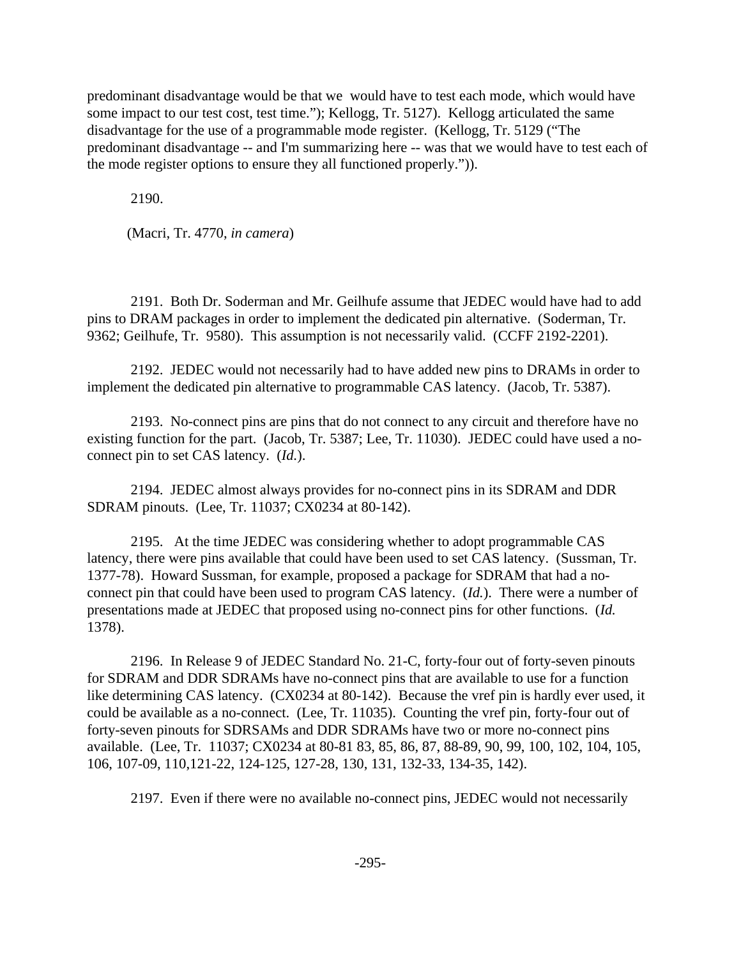predominant disadvantage would be that we would have to test each mode, which would have some impact to our test cost, test time."); Kellogg, Tr. 5127). Kellogg articulated the same disadvantage for the use of a programmable mode register. (Kellogg, Tr. 5129 ("The predominant disadvantage -- and I'm summarizing here -- was that we would have to test each of the mode register options to ensure they all functioned properly.")).

2190.

(Macri, Tr. 4770, *in camera*)

2191. Both Dr. Soderman and Mr. Geilhufe assume that JEDEC would have had to add pins to DRAM packages in order to implement the dedicated pin alternative. (Soderman, Tr. 9362; Geilhufe, Tr. 9580). This assumption is not necessarily valid. (CCFF 2192-2201).

2192. JEDEC would not necessarily had to have added new pins to DRAMs in order to implement the dedicated pin alternative to programmable CAS latency. (Jacob, Tr. 5387).

2193. No-connect pins are pins that do not connect to any circuit and therefore have no existing function for the part. (Jacob, Tr. 5387; Lee, Tr. 11030). JEDEC could have used a noconnect pin to set CAS latency. (*Id.*).

2194. JEDEC almost always provides for no-connect pins in its SDRAM and DDR SDRAM pinouts. (Lee, Tr. 11037; CX0234 at 80-142).

2195. At the time JEDEC was considering whether to adopt programmable CAS latency, there were pins available that could have been used to set CAS latency. (Sussman, Tr. 1377-78). Howard Sussman, for example, proposed a package for SDRAM that had a noconnect pin that could have been used to program CAS latency. (*Id.*). There were a number of presentations made at JEDEC that proposed using no-connect pins for other functions. (*Id.* 1378).

2196. In Release 9 of JEDEC Standard No. 21-C, forty-four out of forty-seven pinouts for SDRAM and DDR SDRAMs have no-connect pins that are available to use for a function like determining CAS latency. (CX0234 at 80-142). Because the vref pin is hardly ever used, it could be available as a no-connect. (Lee, Tr. 11035). Counting the vref pin, forty-four out of forty-seven pinouts for SDRSAMs and DDR SDRAMs have two or more no-connect pins available. (Lee, Tr. 11037; CX0234 at 80-81 83, 85, 86, 87, 88-89, 90, 99, 100, 102, 104, 105, 106, 107-09, 110,121-22, 124-125, 127-28, 130, 131, 132-33, 134-35, 142).

2197. Even if there were no available no-connect pins, JEDEC would not necessarily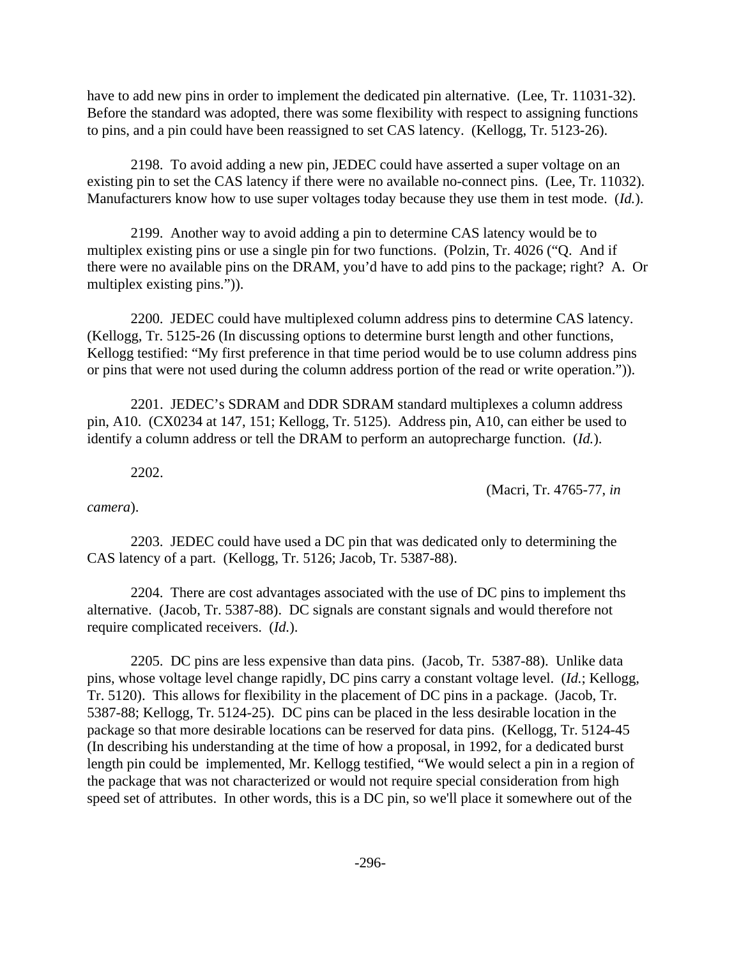have to add new pins in order to implement the dedicated pin alternative. (Lee, Tr. 11031-32). Before the standard was adopted, there was some flexibility with respect to assigning functions to pins, and a pin could have been reassigned to set CAS latency. (Kellogg, Tr. 5123-26).

2198. To avoid adding a new pin, JEDEC could have asserted a super voltage on an existing pin to set the CAS latency if there were no available no-connect pins. (Lee, Tr. 11032). Manufacturers know how to use super voltages today because they use them in test mode. (*Id.*).

2199. Another way to avoid adding a pin to determine CAS latency would be to multiplex existing pins or use a single pin for two functions. (Polzin, Tr. 4026 ("Q. And if there were no available pins on the DRAM, you'd have to add pins to the package; right? A. Or multiplex existing pins.")).

2200. JEDEC could have multiplexed column address pins to determine CAS latency. (Kellogg, Tr. 5125-26 (In discussing options to determine burst length and other functions, Kellogg testified: "My first preference in that time period would be to use column address pins or pins that were not used during the column address portion of the read or write operation.")).

2201. JEDEC's SDRAM and DDR SDRAM standard multiplexes a column address pin, A10. (CX0234 at 147, 151; Kellogg, Tr. 5125). Address pin, A10, can either be used to identify a column address or tell the DRAM to perform an autoprecharge function. (*Id.*).

2202.

(Macri, Tr. 4765-77, *in*

*camera*).

2203. JEDEC could have used a DC pin that was dedicated only to determining the CAS latency of a part. (Kellogg, Tr. 5126; Jacob, Tr. 5387-88).

2204. There are cost advantages associated with the use of DC pins to implement ths alternative. (Jacob, Tr. 5387-88). DC signals are constant signals and would therefore not require complicated receivers. (*Id.*).

2205. DC pins are less expensive than data pins. (Jacob, Tr. 5387-88). Unlike data pins, whose voltage level change rapidly, DC pins carry a constant voltage level. (*Id.*; Kellogg, Tr. 5120). This allows for flexibility in the placement of DC pins in a package. (Jacob, Tr. 5387-88; Kellogg, Tr. 5124-25). DC pins can be placed in the less desirable location in the package so that more desirable locations can be reserved for data pins. (Kellogg, Tr. 5124-45 (In describing his understanding at the time of how a proposal, in 1992, for a dedicated burst length pin could be implemented, Mr. Kellogg testified, "We would select a pin in a region of the package that was not characterized or would not require special consideration from high speed set of attributes. In other words, this is a DC pin, so we'll place it somewhere out of the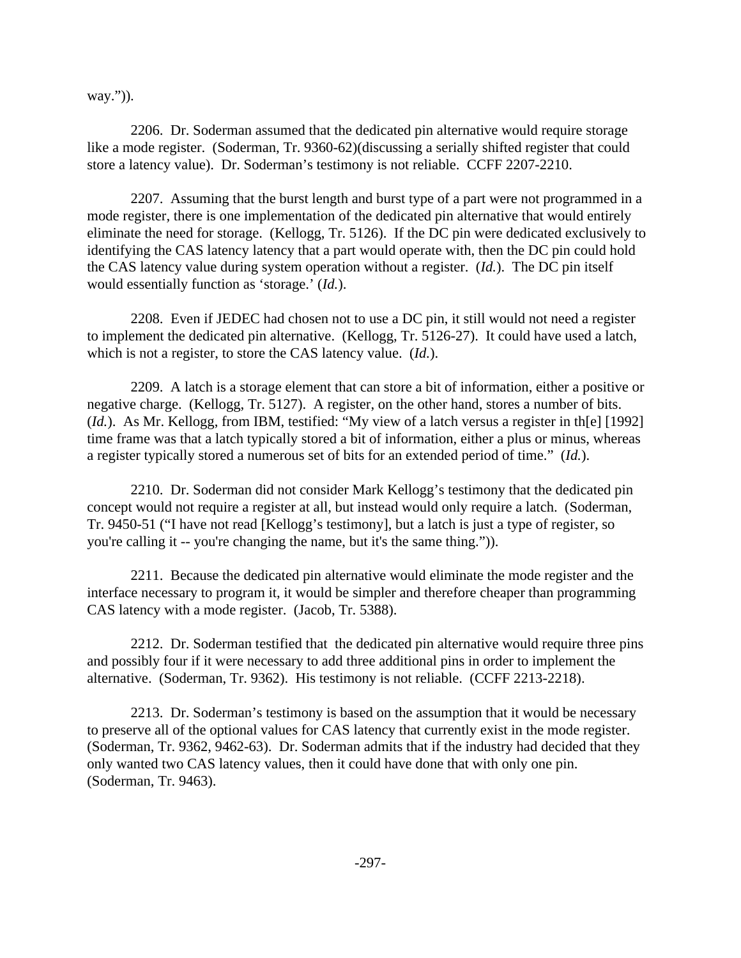way.")).

2206. Dr. Soderman assumed that the dedicated pin alternative would require storage like a mode register. (Soderman, Tr. 9360-62)(discussing a serially shifted register that could store a latency value). Dr. Soderman's testimony is not reliable. CCFF 2207-2210.

2207. Assuming that the burst length and burst type of a part were not programmed in a mode register, there is one implementation of the dedicated pin alternative that would entirely eliminate the need for storage. (Kellogg, Tr. 5126). If the DC pin were dedicated exclusively to identifying the CAS latency latency that a part would operate with, then the DC pin could hold the CAS latency value during system operation without a register. (*Id.*). The DC pin itself would essentially function as 'storage.' (*Id.*).

2208. Even if JEDEC had chosen not to use a DC pin, it still would not need a register to implement the dedicated pin alternative. (Kellogg, Tr. 5126-27). It could have used a latch, which is not a register, to store the CAS latency value. (*Id.*).

2209. A latch is a storage element that can store a bit of information, either a positive or negative charge. (Kellogg, Tr. 5127). A register, on the other hand, stores a number of bits. (*Id.*). As Mr. Kellogg, from IBM, testified: "My view of a latch versus a register in th[e] [1992] time frame was that a latch typically stored a bit of information, either a plus or minus, whereas a register typically stored a numerous set of bits for an extended period of time." (*Id.*).

2210. Dr. Soderman did not consider Mark Kellogg's testimony that the dedicated pin concept would not require a register at all, but instead would only require a latch. (Soderman, Tr. 9450-51 ("I have not read [Kellogg's testimony], but a latch is just a type of register, so you're calling it -- you're changing the name, but it's the same thing.")).

2211. Because the dedicated pin alternative would eliminate the mode register and the interface necessary to program it, it would be simpler and therefore cheaper than programming CAS latency with a mode register. (Jacob, Tr. 5388).

2212. Dr. Soderman testified that the dedicated pin alternative would require three pins and possibly four if it were necessary to add three additional pins in order to implement the alternative. (Soderman, Tr. 9362). His testimony is not reliable. (CCFF 2213-2218).

2213. Dr. Soderman's testimony is based on the assumption that it would be necessary to preserve all of the optional values for CAS latency that currently exist in the mode register. (Soderman, Tr. 9362, 9462-63). Dr. Soderman admits that if the industry had decided that they only wanted two CAS latency values, then it could have done that with only one pin. (Soderman, Tr. 9463).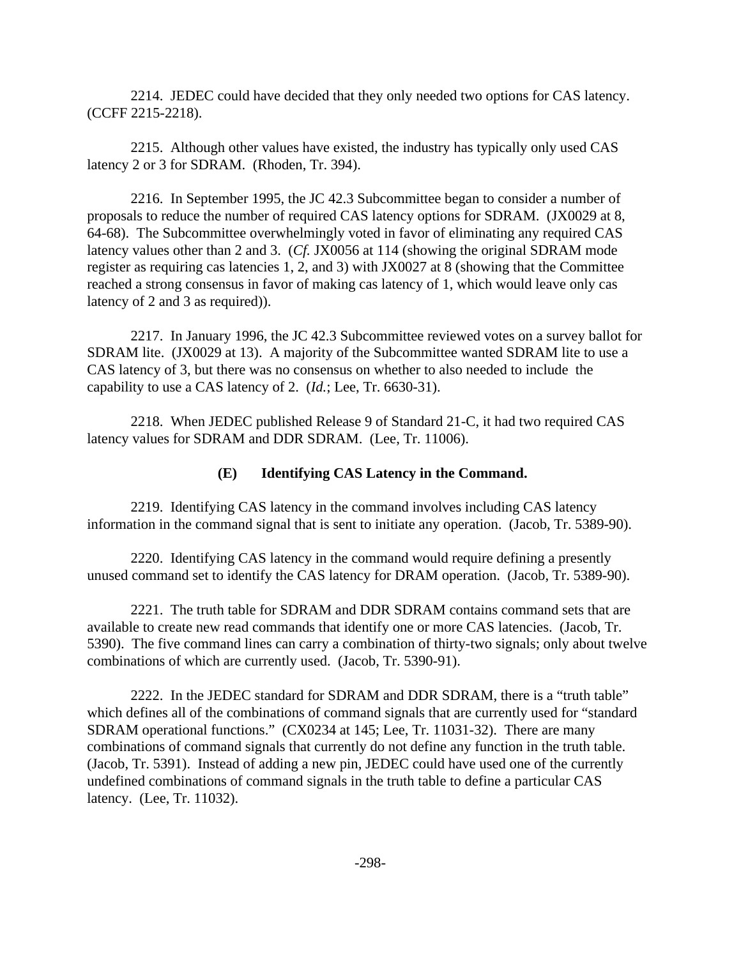2214. JEDEC could have decided that they only needed two options for CAS latency. (CCFF 2215-2218).

2215. Although other values have existed, the industry has typically only used CAS latency 2 or 3 for SDRAM. (Rhoden, Tr. 394).

2216. In September 1995, the JC 42.3 Subcommittee began to consider a number of proposals to reduce the number of required CAS latency options for SDRAM. (JX0029 at 8, 64-68). The Subcommittee overwhelmingly voted in favor of eliminating any required CAS latency values other than 2 and 3. (*Cf.* JX0056 at 114 (showing the original SDRAM mode register as requiring cas latencies 1, 2, and 3) with JX0027 at 8 (showing that the Committee reached a strong consensus in favor of making cas latency of 1, which would leave only cas latency of 2 and 3 as required)).

2217. In January 1996, the JC 42.3 Subcommittee reviewed votes on a survey ballot for SDRAM lite. (JX0029 at 13). A majority of the Subcommittee wanted SDRAM lite to use a CAS latency of 3, but there was no consensus on whether to also needed to include the capability to use a CAS latency of 2. (*Id.*; Lee, Tr. 6630-31).

2218. When JEDEC published Release 9 of Standard 21-C, it had two required CAS latency values for SDRAM and DDR SDRAM. (Lee, Tr. 11006).

## **(E) Identifying CAS Latency in the Command.**

2219. Identifying CAS latency in the command involves including CAS latency information in the command signal that is sent to initiate any operation. (Jacob, Tr. 5389-90).

2220. Identifying CAS latency in the command would require defining a presently unused command set to identify the CAS latency for DRAM operation. (Jacob, Tr. 5389-90).

2221. The truth table for SDRAM and DDR SDRAM contains command sets that are available to create new read commands that identify one or more CAS latencies. (Jacob, Tr. 5390). The five command lines can carry a combination of thirty-two signals; only about twelve combinations of which are currently used. (Jacob, Tr. 5390-91).

2222. In the JEDEC standard for SDRAM and DDR SDRAM, there is a "truth table" which defines all of the combinations of command signals that are currently used for "standard SDRAM operational functions." (CX0234 at 145; Lee, Tr. 11031-32). There are many combinations of command signals that currently do not define any function in the truth table. (Jacob, Tr. 5391). Instead of adding a new pin, JEDEC could have used one of the currently undefined combinations of command signals in the truth table to define a particular CAS latency. (Lee, Tr. 11032).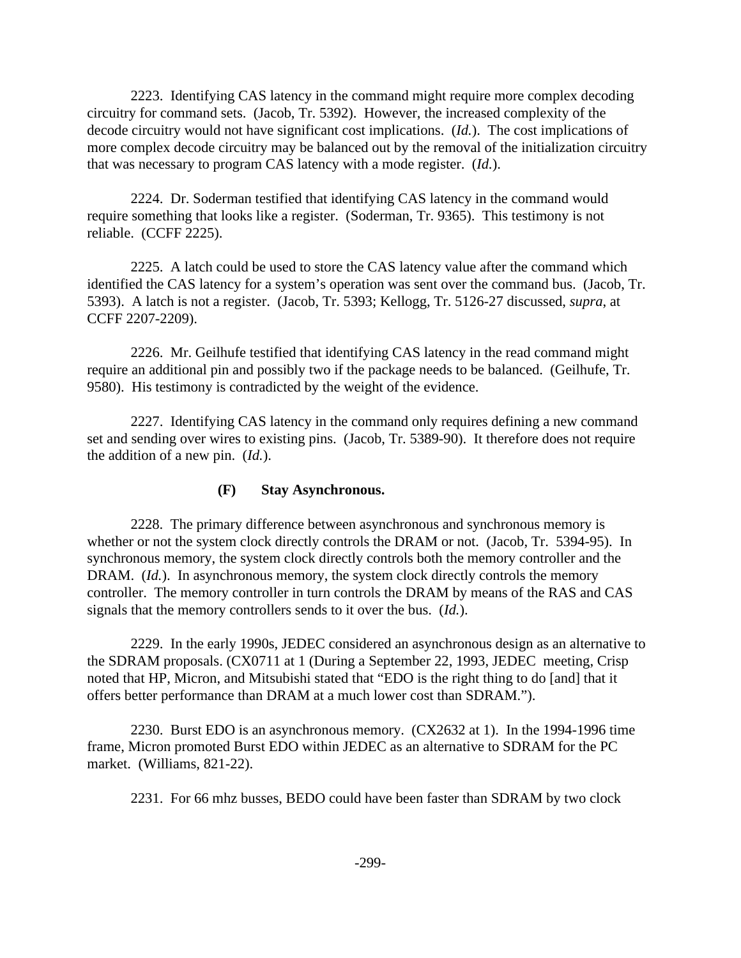2223. Identifying CAS latency in the command might require more complex decoding circuitry for command sets. (Jacob, Tr. 5392). However, the increased complexity of the decode circuitry would not have significant cost implications. (*Id.*). The cost implications of more complex decode circuitry may be balanced out by the removal of the initialization circuitry that was necessary to program CAS latency with a mode register. (*Id.*).

2224. Dr. Soderman testified that identifying CAS latency in the command would require something that looks like a register. (Soderman, Tr. 9365). This testimony is not reliable. (CCFF 2225).

2225. A latch could be used to store the CAS latency value after the command which identified the CAS latency for a system's operation was sent over the command bus. (Jacob, Tr. 5393). A latch is not a register. (Jacob, Tr. 5393; Kellogg, Tr. 5126-27 discussed, *supra*, at CCFF 2207-2209).

2226. Mr. Geilhufe testified that identifying CAS latency in the read command might require an additional pin and possibly two if the package needs to be balanced. (Geilhufe, Tr. 9580). His testimony is contradicted by the weight of the evidence.

2227. Identifying CAS latency in the command only requires defining a new command set and sending over wires to existing pins. (Jacob, Tr. 5389-90). It therefore does not require the addition of a new pin. (*Id.*).

## **(F) Stay Asynchronous.**

2228. The primary difference between asynchronous and synchronous memory is whether or not the system clock directly controls the DRAM or not. (Jacob, Tr. 5394-95). In synchronous memory, the system clock directly controls both the memory controller and the DRAM. (*Id.*). In asynchronous memory, the system clock directly controls the memory controller. The memory controller in turn controls the DRAM by means of the RAS and CAS signals that the memory controllers sends to it over the bus. (*Id.*).

2229. In the early 1990s, JEDEC considered an asynchronous design as an alternative to the SDRAM proposals. (CX0711 at 1 (During a September 22, 1993, JEDEC meeting, Crisp noted that HP, Micron, and Mitsubishi stated that "EDO is the right thing to do [and] that it offers better performance than DRAM at a much lower cost than SDRAM.").

2230. Burst EDO is an asynchronous memory. (CX2632 at 1). In the 1994-1996 time frame, Micron promoted Burst EDO within JEDEC as an alternative to SDRAM for the PC market. (Williams, 821-22).

2231. For 66 mhz busses, BEDO could have been faster than SDRAM by two clock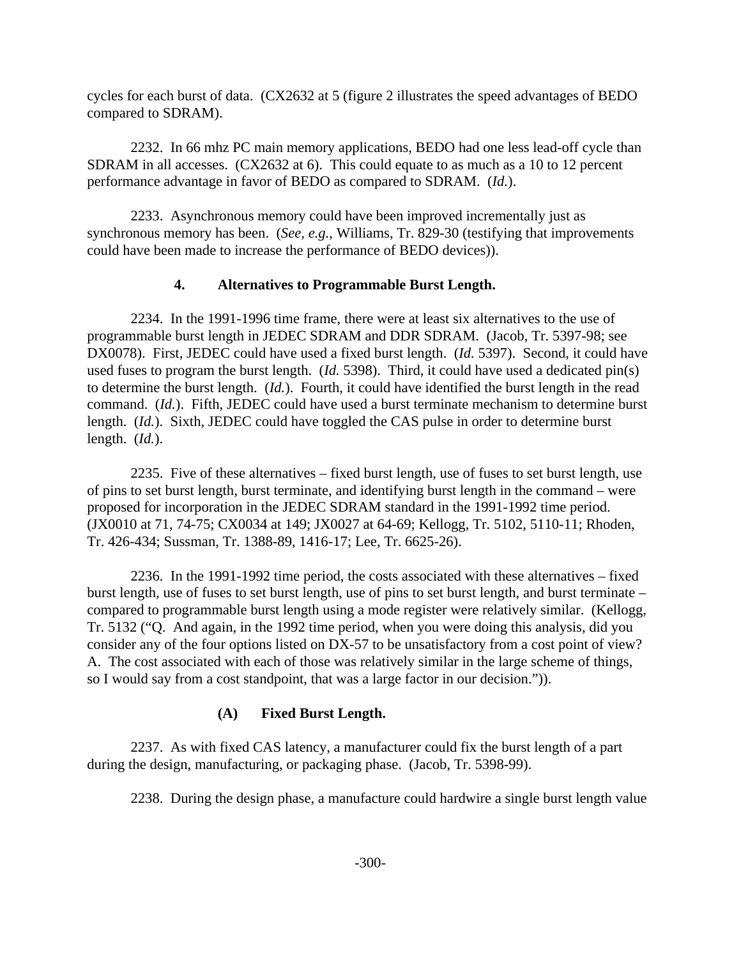cycles for each burst of data. (CX2632 at 5 (figure 2 illustrates the speed advantages of BEDO compared to SDRAM).

2232. In 66 mhz PC main memory applications, BEDO had one less lead-off cycle than SDRAM in all accesses. (CX2632 at 6). This could equate to as much as a 10 to 12 percent performance advantage in favor of BEDO as compared to SDRAM. (*Id.*).

2233. Asynchronous memory could have been improved incrementally just as synchronous memory has been. (*See, e.g.,* Williams, Tr. 829-30 (testifying that improvements could have been made to increase the performance of BEDO devices)).

## **4. Alternatives to Programmable Burst Length.**

2234. In the 1991-1996 time frame, there were at least six alternatives to the use of programmable burst length in JEDEC SDRAM and DDR SDRAM. (Jacob, Tr. 5397-98; see DX0078). First, JEDEC could have used a fixed burst length. (*Id.* 5397). Second, it could have used fuses to program the burst length. (*Id.* 5398). Third, it could have used a dedicated pin(s) to determine the burst length. (*Id.*). Fourth, it could have identified the burst length in the read command. (*Id.*). Fifth, JEDEC could have used a burst terminate mechanism to determine burst length. (*Id.*). Sixth, JEDEC could have toggled the CAS pulse in order to determine burst length. (*Id.*).

2235. Five of these alternatives – fixed burst length, use of fuses to set burst length, use of pins to set burst length, burst terminate, and identifying burst length in the command – were proposed for incorporation in the JEDEC SDRAM standard in the 1991-1992 time period. (JX0010 at 71, 74-75; CX0034 at 149; JX0027 at 64-69; Kellogg, Tr. 5102, 5110-11; Rhoden, Tr. 426-434; Sussman, Tr. 1388-89, 1416-17; Lee, Tr. 6625-26).

2236. In the 1991-1992 time period, the costs associated with these alternatives – fixed burst length, use of fuses to set burst length, use of pins to set burst length, and burst terminate – compared to programmable burst length using a mode register were relatively similar. (Kellogg, Tr. 5132 ("Q. And again, in the 1992 time period, when you were doing this analysis, did you consider any of the four options listed on DX-57 to be unsatisfactory from a cost point of view? A. The cost associated with each of those was relatively similar in the large scheme of things, so I would say from a cost standpoint, that was a large factor in our decision.")).

# **(A) Fixed Burst Length.**

2237. As with fixed CAS latency, a manufacturer could fix the burst length of a part during the design, manufacturing, or packaging phase. (Jacob, Tr. 5398-99).

2238. During the design phase, a manufacture could hardwire a single burst length value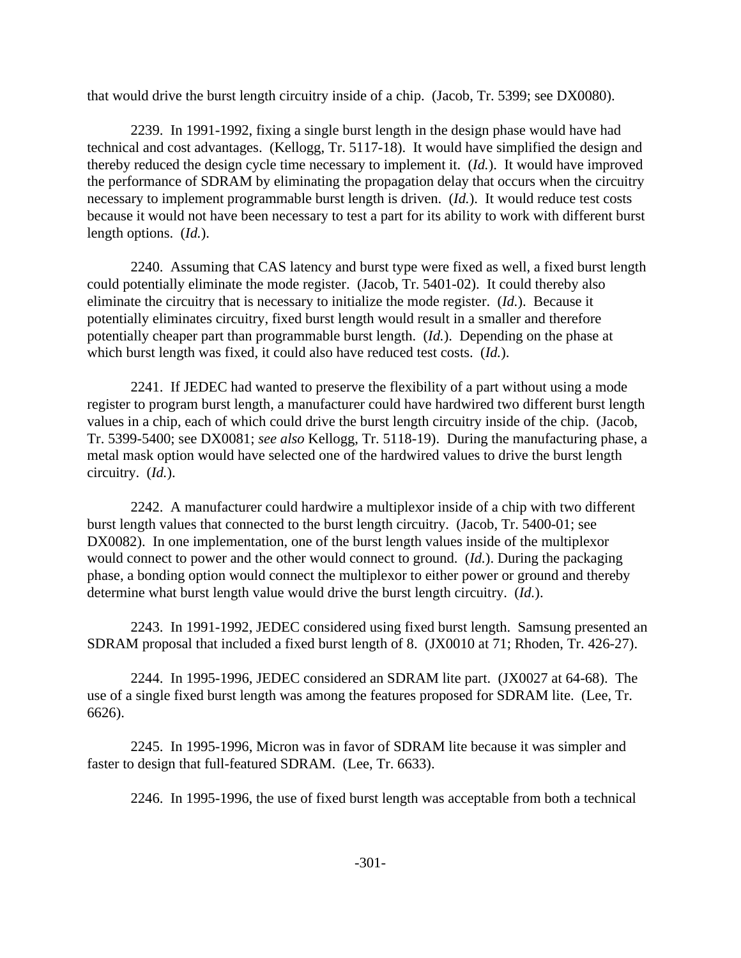that would drive the burst length circuitry inside of a chip. (Jacob, Tr. 5399; see DX0080).

2239. In 1991-1992, fixing a single burst length in the design phase would have had technical and cost advantages. (Kellogg, Tr. 5117-18). It would have simplified the design and thereby reduced the design cycle time necessary to implement it. (*Id.*). It would have improved the performance of SDRAM by eliminating the propagation delay that occurs when the circuitry necessary to implement programmable burst length is driven. (*Id.*). It would reduce test costs because it would not have been necessary to test a part for its ability to work with different burst length options. (*Id.*).

2240. Assuming that CAS latency and burst type were fixed as well, a fixed burst length could potentially eliminate the mode register. (Jacob, Tr. 5401-02). It could thereby also eliminate the circuitry that is necessary to initialize the mode register. (*Id.*). Because it potentially eliminates circuitry, fixed burst length would result in a smaller and therefore potentially cheaper part than programmable burst length. (*Id.*). Depending on the phase at which burst length was fixed, it could also have reduced test costs. (*Id.*).

2241. If JEDEC had wanted to preserve the flexibility of a part without using a mode register to program burst length, a manufacturer could have hardwired two different burst length values in a chip, each of which could drive the burst length circuitry inside of the chip. (Jacob, Tr. 5399-5400; see DX0081; *see also* Kellogg, Tr. 5118-19). During the manufacturing phase, a metal mask option would have selected one of the hardwired values to drive the burst length circuitry. (*Id.*).

2242. A manufacturer could hardwire a multiplexor inside of a chip with two different burst length values that connected to the burst length circuitry. (Jacob, Tr. 5400-01; see DX0082). In one implementation, one of the burst length values inside of the multiplexor would connect to power and the other would connect to ground. (*Id.*). During the packaging phase, a bonding option would connect the multiplexor to either power or ground and thereby determine what burst length value would drive the burst length circuitry. (*Id.*).

2243. In 1991-1992, JEDEC considered using fixed burst length. Samsung presented an SDRAM proposal that included a fixed burst length of 8. (JX0010 at 71; Rhoden, Tr. 426-27).

2244. In 1995-1996, JEDEC considered an SDRAM lite part. (JX0027 at 64-68). The use of a single fixed burst length was among the features proposed for SDRAM lite. (Lee, Tr. 6626).

2245. In 1995-1996, Micron was in favor of SDRAM lite because it was simpler and faster to design that full-featured SDRAM. (Lee, Tr. 6633).

2246. In 1995-1996, the use of fixed burst length was acceptable from both a technical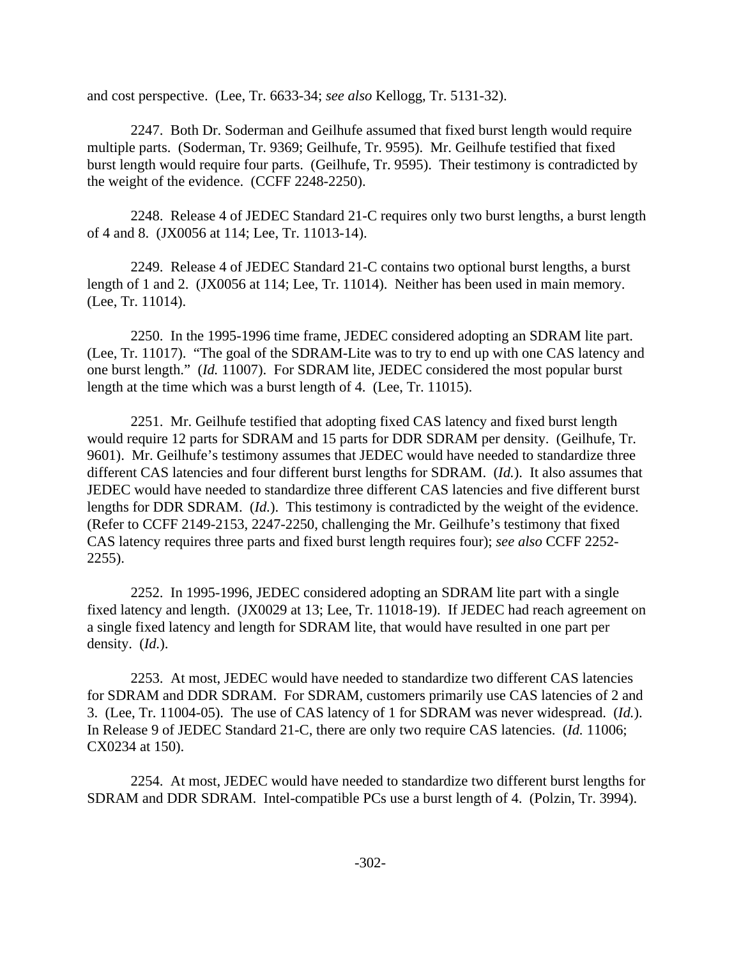and cost perspective. (Lee, Tr. 6633-34; *see also* Kellogg, Tr. 5131-32).

2247. Both Dr. Soderman and Geilhufe assumed that fixed burst length would require multiple parts. (Soderman, Tr. 9369; Geilhufe, Tr. 9595). Mr. Geilhufe testified that fixed burst length would require four parts. (Geilhufe, Tr. 9595). Their testimony is contradicted by the weight of the evidence. (CCFF 2248-2250).

2248. Release 4 of JEDEC Standard 21-C requires only two burst lengths, a burst length of 4 and 8. (JX0056 at 114; Lee, Tr. 11013-14).

2249. Release 4 of JEDEC Standard 21-C contains two optional burst lengths, a burst length of 1 and 2. (JX0056 at 114; Lee, Tr. 11014). Neither has been used in main memory. (Lee, Tr. 11014).

2250. In the 1995-1996 time frame, JEDEC considered adopting an SDRAM lite part. (Lee, Tr. 11017). "The goal of the SDRAM-Lite was to try to end up with one CAS latency and one burst length." (*Id.* 11007). For SDRAM lite, JEDEC considered the most popular burst length at the time which was a burst length of 4. (Lee, Tr. 11015).

2251. Mr. Geilhufe testified that adopting fixed CAS latency and fixed burst length would require 12 parts for SDRAM and 15 parts for DDR SDRAM per density. (Geilhufe, Tr. 9601). Mr. Geilhufe's testimony assumes that JEDEC would have needed to standardize three different CAS latencies and four different burst lengths for SDRAM. (*Id.*). It also assumes that JEDEC would have needed to standardize three different CAS latencies and five different burst lengths for DDR SDRAM. (*Id.*). This testimony is contradicted by the weight of the evidence. (Refer to CCFF 2149-2153, 2247-2250, challenging the Mr. Geilhufe's testimony that fixed CAS latency requires three parts and fixed burst length requires four); *see also* CCFF 2252- 2255).

2252. In 1995-1996, JEDEC considered adopting an SDRAM lite part with a single fixed latency and length. (JX0029 at 13; Lee, Tr. 11018-19). If JEDEC had reach agreement on a single fixed latency and length for SDRAM lite, that would have resulted in one part per density. (*Id.*).

2253. At most, JEDEC would have needed to standardize two different CAS latencies for SDRAM and DDR SDRAM. For SDRAM, customers primarily use CAS latencies of 2 and 3. (Lee, Tr. 11004-05). The use of CAS latency of 1 for SDRAM was never widespread. (*Id.*). In Release 9 of JEDEC Standard 21-C, there are only two require CAS latencies. (*Id.* 11006; CX0234 at 150).

2254. At most, JEDEC would have needed to standardize two different burst lengths for SDRAM and DDR SDRAM. Intel-compatible PCs use a burst length of 4. (Polzin, Tr. 3994).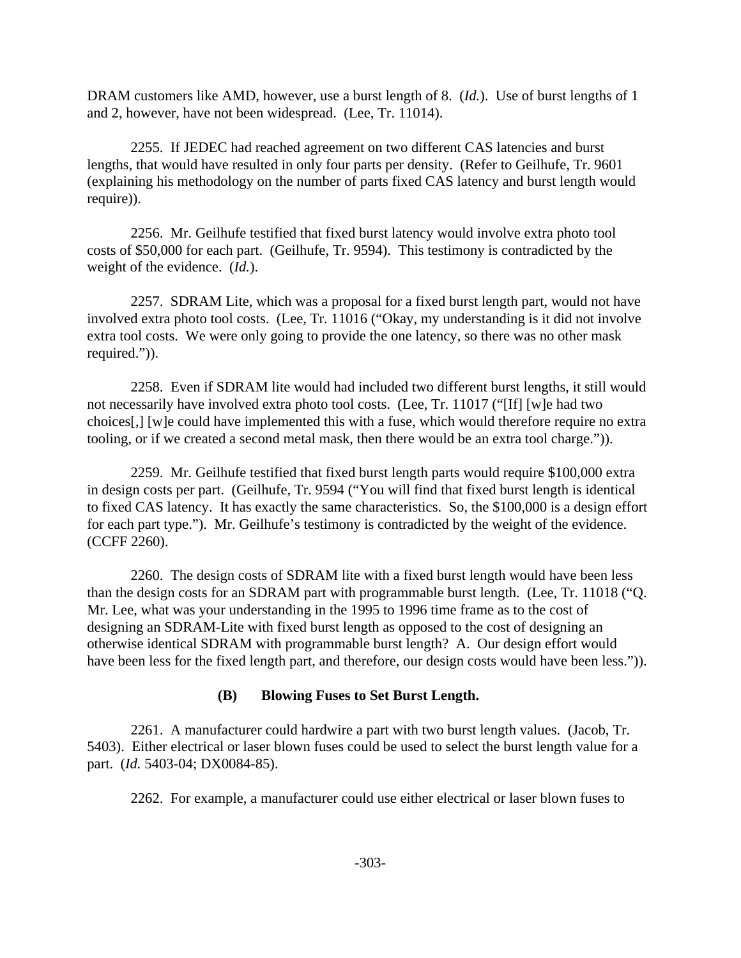DRAM customers like AMD, however, use a burst length of 8. (*Id.*). Use of burst lengths of 1 and 2, however, have not been widespread. (Lee, Tr. 11014).

2255. If JEDEC had reached agreement on two different CAS latencies and burst lengths, that would have resulted in only four parts per density. (Refer to Geilhufe, Tr. 9601 (explaining his methodology on the number of parts fixed CAS latency and burst length would require)).

2256. Mr. Geilhufe testified that fixed burst latency would involve extra photo tool costs of \$50,000 for each part. (Geilhufe, Tr. 9594). This testimony is contradicted by the weight of the evidence. (*Id.*).

2257. SDRAM Lite, which was a proposal for a fixed burst length part, would not have involved extra photo tool costs. (Lee, Tr. 11016 ("Okay, my understanding is it did not involve extra tool costs. We were only going to provide the one latency, so there was no other mask required.")).

2258. Even if SDRAM lite would had included two different burst lengths, it still would not necessarily have involved extra photo tool costs. (Lee, Tr. 11017 ("[If] [w]e had two choices[,] [w]e could have implemented this with a fuse, which would therefore require no extra tooling, or if we created a second metal mask, then there would be an extra tool charge.")).

2259. Mr. Geilhufe testified that fixed burst length parts would require \$100,000 extra in design costs per part. (Geilhufe, Tr. 9594 ("You will find that fixed burst length is identical to fixed CAS latency. It has exactly the same characteristics. So, the \$100,000 is a design effort for each part type."). Mr. Geilhufe's testimony is contradicted by the weight of the evidence. (CCFF 2260).

2260. The design costs of SDRAM lite with a fixed burst length would have been less than the design costs for an SDRAM part with programmable burst length. (Lee, Tr. 11018 ("Q. Mr. Lee, what was your understanding in the 1995 to 1996 time frame as to the cost of designing an SDRAM-Lite with fixed burst length as opposed to the cost of designing an otherwise identical SDRAM with programmable burst length? A. Our design effort would have been less for the fixed length part, and therefore, our design costs would have been less.")).

# **(B) Blowing Fuses to Set Burst Length.**

2261. A manufacturer could hardwire a part with two burst length values. (Jacob, Tr. 5403). Either electrical or laser blown fuses could be used to select the burst length value for a part. (*Id.* 5403-04; DX0084-85).

2262. For example, a manufacturer could use either electrical or laser blown fuses to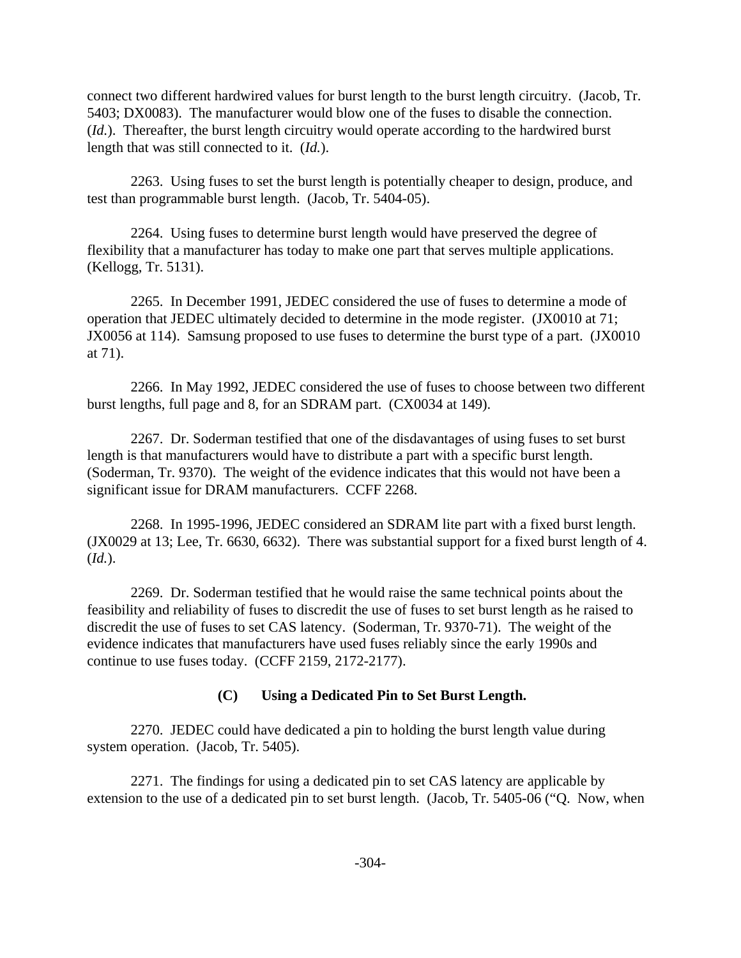connect two different hardwired values for burst length to the burst length circuitry. (Jacob, Tr. 5403; DX0083). The manufacturer would blow one of the fuses to disable the connection. (*Id.*). Thereafter, the burst length circuitry would operate according to the hardwired burst length that was still connected to it. (*Id.*).

2263. Using fuses to set the burst length is potentially cheaper to design, produce, and test than programmable burst length. (Jacob, Tr. 5404-05).

2264. Using fuses to determine burst length would have preserved the degree of flexibility that a manufacturer has today to make one part that serves multiple applications. (Kellogg, Tr. 5131).

2265. In December 1991, JEDEC considered the use of fuses to determine a mode of operation that JEDEC ultimately decided to determine in the mode register. (JX0010 at 71; JX0056 at 114). Samsung proposed to use fuses to determine the burst type of a part. (JX0010 at 71).

2266. In May 1992, JEDEC considered the use of fuses to choose between two different burst lengths, full page and 8, for an SDRAM part. (CX0034 at 149).

2267. Dr. Soderman testified that one of the disdavantages of using fuses to set burst length is that manufacturers would have to distribute a part with a specific burst length. (Soderman, Tr. 9370). The weight of the evidence indicates that this would not have been a significant issue for DRAM manufacturers. CCFF 2268.

2268. In 1995-1996, JEDEC considered an SDRAM lite part with a fixed burst length. (JX0029 at 13; Lee, Tr. 6630, 6632). There was substantial support for a fixed burst length of 4. (*Id.*).

2269. Dr. Soderman testified that he would raise the same technical points about the feasibility and reliability of fuses to discredit the use of fuses to set burst length as he raised to discredit the use of fuses to set CAS latency. (Soderman, Tr. 9370-71). The weight of the evidence indicates that manufacturers have used fuses reliably since the early 1990s and continue to use fuses today. (CCFF 2159, 2172-2177).

# **(C) Using a Dedicated Pin to Set Burst Length.**

2270. JEDEC could have dedicated a pin to holding the burst length value during system operation. (Jacob, Tr. 5405).

2271. The findings for using a dedicated pin to set CAS latency are applicable by extension to the use of a dedicated pin to set burst length. (Jacob, Tr. 5405-06 ("Q. Now, when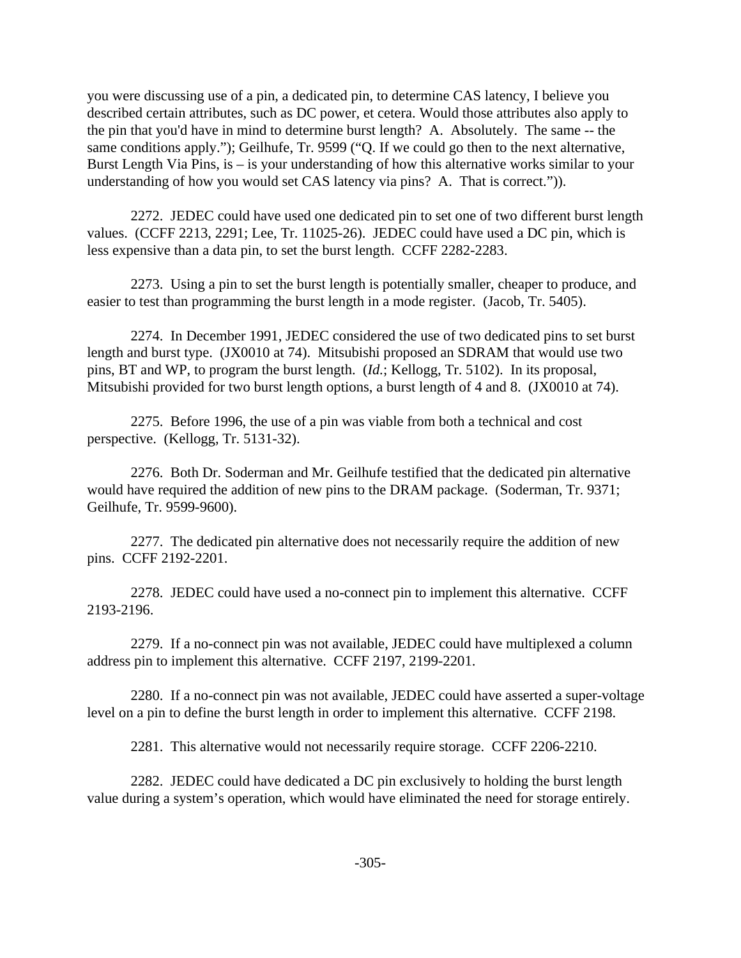you were discussing use of a pin, a dedicated pin, to determine CAS latency, I believe you described certain attributes, such as DC power, et cetera. Would those attributes also apply to the pin that you'd have in mind to determine burst length? A. Absolutely. The same -- the same conditions apply."); Geilhufe, Tr. 9599 ("Q. If we could go then to the next alternative, Burst Length Via Pins, is – is your understanding of how this alternative works similar to your understanding of how you would set CAS latency via pins? A. That is correct.")).

2272. JEDEC could have used one dedicated pin to set one of two different burst length values. (CCFF 2213, 2291; Lee, Tr. 11025-26). JEDEC could have used a DC pin, which is less expensive than a data pin, to set the burst length. CCFF 2282-2283.

2273. Using a pin to set the burst length is potentially smaller, cheaper to produce, and easier to test than programming the burst length in a mode register. (Jacob, Tr. 5405).

2274. In December 1991, JEDEC considered the use of two dedicated pins to set burst length and burst type. (JX0010 at 74). Mitsubishi proposed an SDRAM that would use two pins, BT and WP, to program the burst length. (*Id.*; Kellogg, Tr. 5102). In its proposal, Mitsubishi provided for two burst length options, a burst length of 4 and 8. (JX0010 at 74).

2275. Before 1996, the use of a pin was viable from both a technical and cost perspective. (Kellogg, Tr. 5131-32).

2276. Both Dr. Soderman and Mr. Geilhufe testified that the dedicated pin alternative would have required the addition of new pins to the DRAM package. (Soderman, Tr. 9371; Geilhufe, Tr. 9599-9600).

2277. The dedicated pin alternative does not necessarily require the addition of new pins. CCFF 2192-2201.

2278. JEDEC could have used a no-connect pin to implement this alternative. CCFF 2193-2196.

2279. If a no-connect pin was not available, JEDEC could have multiplexed a column address pin to implement this alternative. CCFF 2197, 2199-2201.

2280. If a no-connect pin was not available, JEDEC could have asserted a super-voltage level on a pin to define the burst length in order to implement this alternative. CCFF 2198.

2281. This alternative would not necessarily require storage. CCFF 2206-2210.

2282. JEDEC could have dedicated a DC pin exclusively to holding the burst length value during a system's operation, which would have eliminated the need for storage entirely.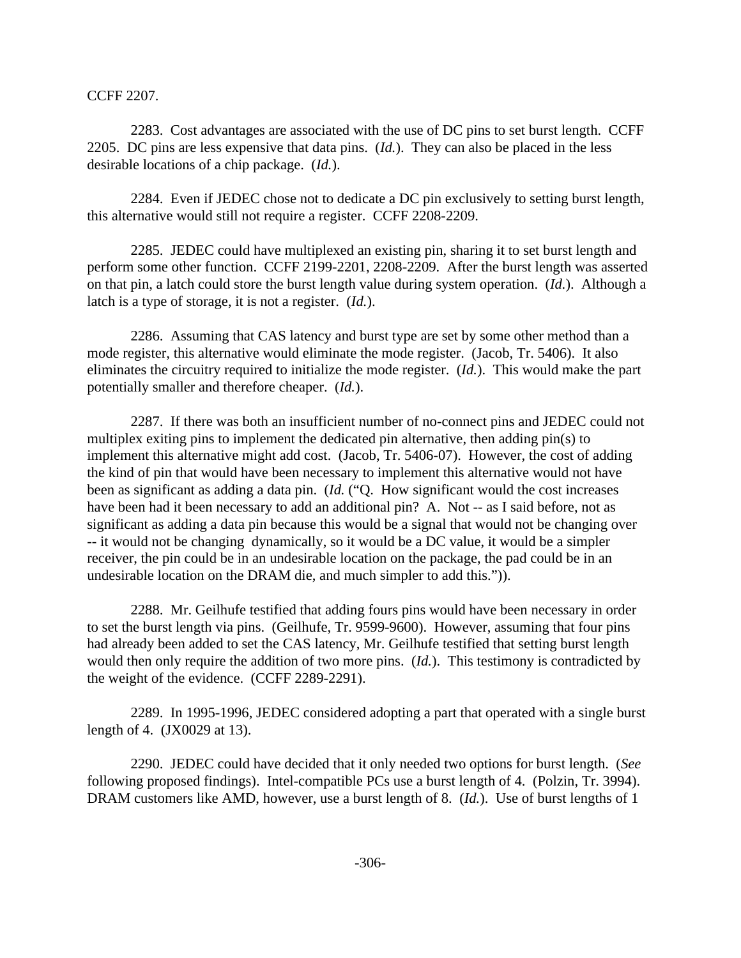CCFF 2207.

2283. Cost advantages are associated with the use of DC pins to set burst length. CCFF 2205. DC pins are less expensive that data pins. (*Id.*). They can also be placed in the less desirable locations of a chip package. (*Id.*).

2284. Even if JEDEC chose not to dedicate a DC pin exclusively to setting burst length, this alternative would still not require a register. CCFF 2208-2209.

2285. JEDEC could have multiplexed an existing pin, sharing it to set burst length and perform some other function. CCFF 2199-2201, 2208-2209. After the burst length was asserted on that pin, a latch could store the burst length value during system operation. (*Id.*). Although a latch is a type of storage, it is not a register. (*Id.*).

2286. Assuming that CAS latency and burst type are set by some other method than a mode register, this alternative would eliminate the mode register. (Jacob, Tr. 5406). It also eliminates the circuitry required to initialize the mode register. (*Id.*). This would make the part potentially smaller and therefore cheaper. (*Id.*).

2287. If there was both an insufficient number of no-connect pins and JEDEC could not multiplex exiting pins to implement the dedicated pin alternative, then adding pin(s) to implement this alternative might add cost. (Jacob, Tr. 5406-07). However, the cost of adding the kind of pin that would have been necessary to implement this alternative would not have been as significant as adding a data pin. (*Id.* ("Q. How significant would the cost increases have been had it been necessary to add an additional pin? A. Not -- as I said before, not as significant as adding a data pin because this would be a signal that would not be changing over -- it would not be changing dynamically, so it would be a DC value, it would be a simpler receiver, the pin could be in an undesirable location on the package, the pad could be in an undesirable location on the DRAM die, and much simpler to add this.")).

2288. Mr. Geilhufe testified that adding fours pins would have been necessary in order to set the burst length via pins. (Geilhufe, Tr. 9599-9600). However, assuming that four pins had already been added to set the CAS latency, Mr. Geilhufe testified that setting burst length would then only require the addition of two more pins. (*Id.*). This testimony is contradicted by the weight of the evidence. (CCFF 2289-2291).

2289. In 1995-1996, JEDEC considered adopting a part that operated with a single burst length of 4. (JX0029 at 13).

2290. JEDEC could have decided that it only needed two options for burst length. (*See* following proposed findings). Intel-compatible PCs use a burst length of 4. (Polzin, Tr. 3994). DRAM customers like AMD, however, use a burst length of 8. (*Id.*). Use of burst lengths of 1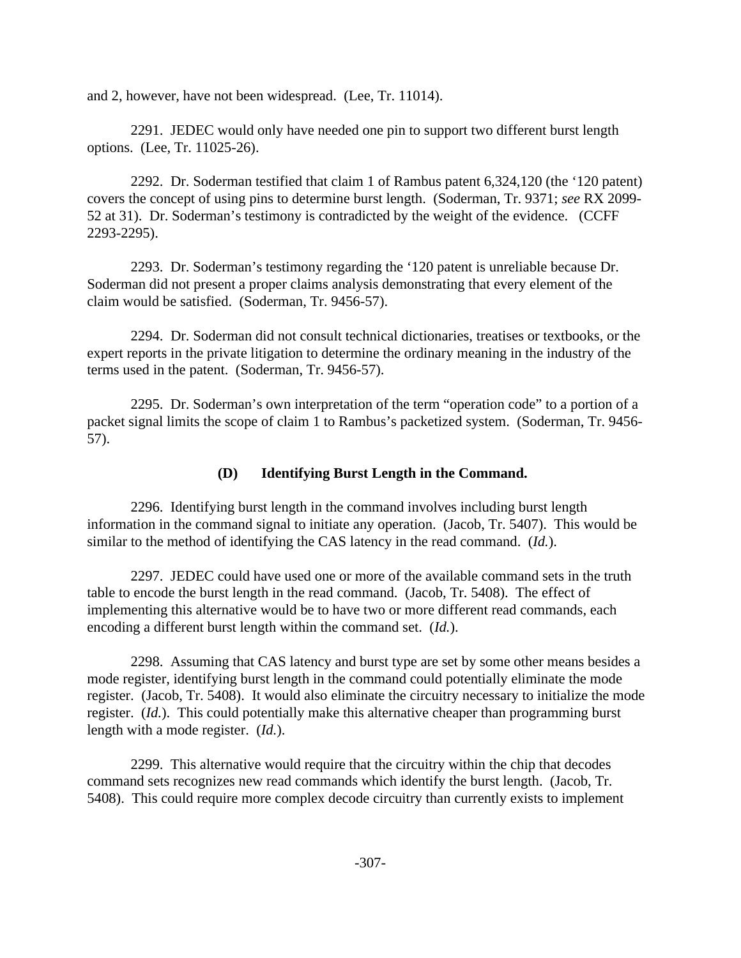and 2, however, have not been widespread. (Lee, Tr. 11014).

2291. JEDEC would only have needed one pin to support two different burst length options. (Lee, Tr. 11025-26).

2292. Dr. Soderman testified that claim 1 of Rambus patent 6,324,120 (the '120 patent) covers the concept of using pins to determine burst length. (Soderman, Tr. 9371; *see* RX 2099- 52 at 31). Dr. Soderman's testimony is contradicted by the weight of the evidence. (CCFF 2293-2295).

2293. Dr. Soderman's testimony regarding the '120 patent is unreliable because Dr. Soderman did not present a proper claims analysis demonstrating that every element of the claim would be satisfied. (Soderman, Tr. 9456-57).

2294. Dr. Soderman did not consult technical dictionaries, treatises or textbooks, or the expert reports in the private litigation to determine the ordinary meaning in the industry of the terms used in the patent. (Soderman, Tr. 9456-57).

2295. Dr. Soderman's own interpretation of the term "operation code" to a portion of a packet signal limits the scope of claim 1 to Rambus's packetized system. (Soderman, Tr. 9456- 57).

# **(D) Identifying Burst Length in the Command.**

2296. Identifying burst length in the command involves including burst length information in the command signal to initiate any operation. (Jacob, Tr. 5407). This would be similar to the method of identifying the CAS latency in the read command. (*Id.*).

2297. JEDEC could have used one or more of the available command sets in the truth table to encode the burst length in the read command. (Jacob, Tr. 5408). The effect of implementing this alternative would be to have two or more different read commands, each encoding a different burst length within the command set. (*Id.*).

2298. Assuming that CAS latency and burst type are set by some other means besides a mode register, identifying burst length in the command could potentially eliminate the mode register. (Jacob, Tr. 5408). It would also eliminate the circuitry necessary to initialize the mode register. (*Id.*). This could potentially make this alternative cheaper than programming burst length with a mode register. (*Id.*).

2299. This alternative would require that the circuitry within the chip that decodes command sets recognizes new read commands which identify the burst length. (Jacob, Tr. 5408). This could require more complex decode circuitry than currently exists to implement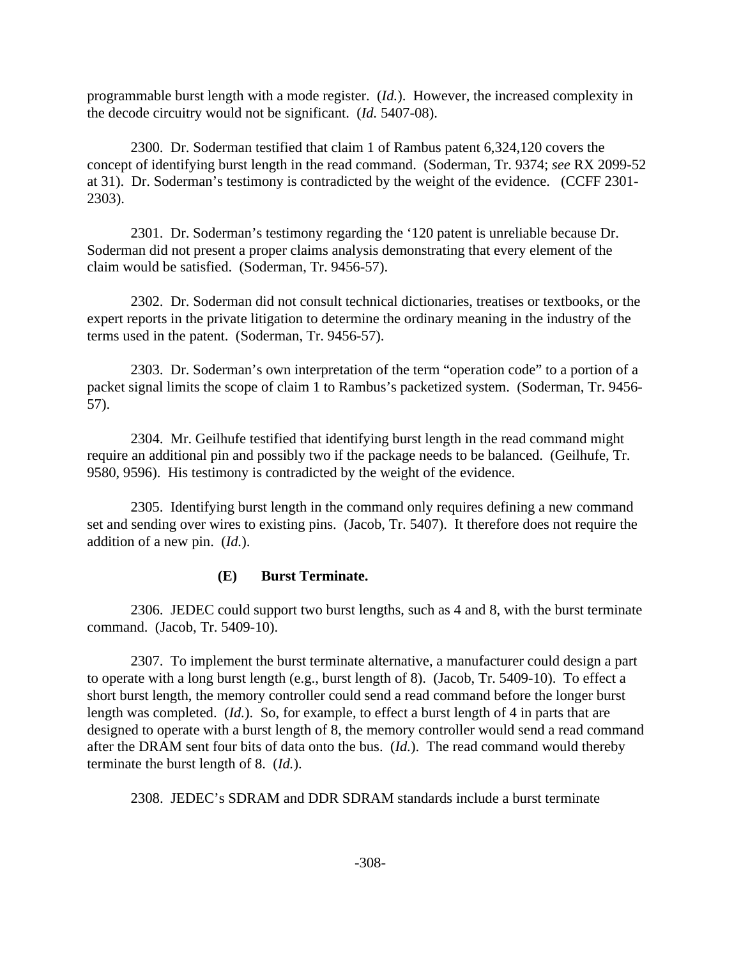programmable burst length with a mode register. (*Id.*). However, the increased complexity in the decode circuitry would not be significant. (*Id.* 5407-08).

2300. Dr. Soderman testified that claim 1 of Rambus patent 6,324,120 covers the concept of identifying burst length in the read command. (Soderman, Tr. 9374; *see* RX 2099-52 at 31). Dr. Soderman's testimony is contradicted by the weight of the evidence. (CCFF 2301- 2303).

2301. Dr. Soderman's testimony regarding the '120 patent is unreliable because Dr. Soderman did not present a proper claims analysis demonstrating that every element of the claim would be satisfied. (Soderman, Tr. 9456-57).

2302. Dr. Soderman did not consult technical dictionaries, treatises or textbooks, or the expert reports in the private litigation to determine the ordinary meaning in the industry of the terms used in the patent. (Soderman, Tr. 9456-57).

2303. Dr. Soderman's own interpretation of the term "operation code" to a portion of a packet signal limits the scope of claim 1 to Rambus's packetized system. (Soderman, Tr. 9456- 57).

2304. Mr. Geilhufe testified that identifying burst length in the read command might require an additional pin and possibly two if the package needs to be balanced. (Geilhufe, Tr. 9580, 9596). His testimony is contradicted by the weight of the evidence.

2305. Identifying burst length in the command only requires defining a new command set and sending over wires to existing pins. (Jacob, Tr. 5407). It therefore does not require the addition of a new pin. (*Id.*).

# **(E) Burst Terminate.**

2306. JEDEC could support two burst lengths, such as 4 and 8, with the burst terminate command. (Jacob, Tr. 5409-10).

2307. To implement the burst terminate alternative, a manufacturer could design a part to operate with a long burst length (e.g., burst length of 8). (Jacob, Tr. 5409-10). To effect a short burst length, the memory controller could send a read command before the longer burst length was completed. (*Id.*). So, for example, to effect a burst length of 4 in parts that are designed to operate with a burst length of 8, the memory controller would send a read command after the DRAM sent four bits of data onto the bus. (*Id.*). The read command would thereby terminate the burst length of 8. (*Id.*).

2308. JEDEC's SDRAM and DDR SDRAM standards include a burst terminate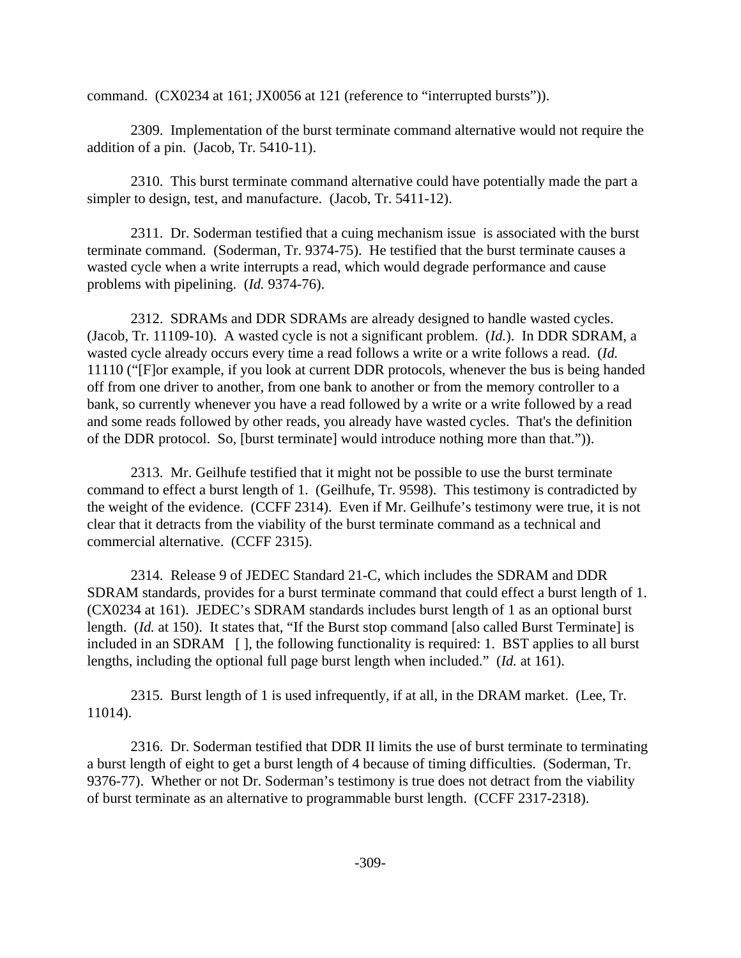command. (CX0234 at 161; JX0056 at 121 (reference to "interrupted bursts")).

2309. Implementation of the burst terminate command alternative would not require the addition of a pin. (Jacob, Tr. 5410-11).

2310. This burst terminate command alternative could have potentially made the part a simpler to design, test, and manufacture. (Jacob, Tr. 5411-12).

2311. Dr. Soderman testified that a cuing mechanism issue is associated with the burst terminate command. (Soderman, Tr. 9374-75). He testified that the burst terminate causes a wasted cycle when a write interrupts a read, which would degrade performance and cause problems with pipelining. (*Id.* 9374-76).

2312. SDRAMs and DDR SDRAMs are already designed to handle wasted cycles. (Jacob, Tr. 11109-10). A wasted cycle is not a significant problem. (*Id.*). In DDR SDRAM, a wasted cycle already occurs every time a read follows a write or a write follows a read. (*Id.* 11110 ("[F]or example, if you look at current DDR protocols, whenever the bus is being handed off from one driver to another, from one bank to another or from the memory controller to a bank, so currently whenever you have a read followed by a write or a write followed by a read and some reads followed by other reads, you already have wasted cycles. That's the definition of the DDR protocol. So, [burst terminate] would introduce nothing more than that.")).

2313. Mr. Geilhufe testified that it might not be possible to use the burst terminate command to effect a burst length of 1. (Geilhufe, Tr. 9598). This testimony is contradicted by the weight of the evidence. (CCFF 2314). Even if Mr. Geilhufe's testimony were true, it is not clear that it detracts from the viability of the burst terminate command as a technical and commercial alternative. (CCFF 2315).

2314. Release 9 of JEDEC Standard 21-C, which includes the SDRAM and DDR SDRAM standards, provides for a burst terminate command that could effect a burst length of 1. (CX0234 at 161). JEDEC's SDRAM standards includes burst length of 1 as an optional burst length. (*Id.* at 150). It states that, "If the Burst stop command [also called Burst Terminate] is included in an SDRAM [ ], the following functionality is required: 1. BST applies to all burst lengths, including the optional full page burst length when included." (*Id.* at 161).

2315. Burst length of 1 is used infrequently, if at all, in the DRAM market. (Lee, Tr. 11014).

2316. Dr. Soderman testified that DDR II limits the use of burst terminate to terminating a burst length of eight to get a burst length of 4 because of timing difficulties. (Soderman, Tr. 9376-77). Whether or not Dr. Soderman's testimony is true does not detract from the viability of burst terminate as an alternative to programmable burst length. (CCFF 2317-2318).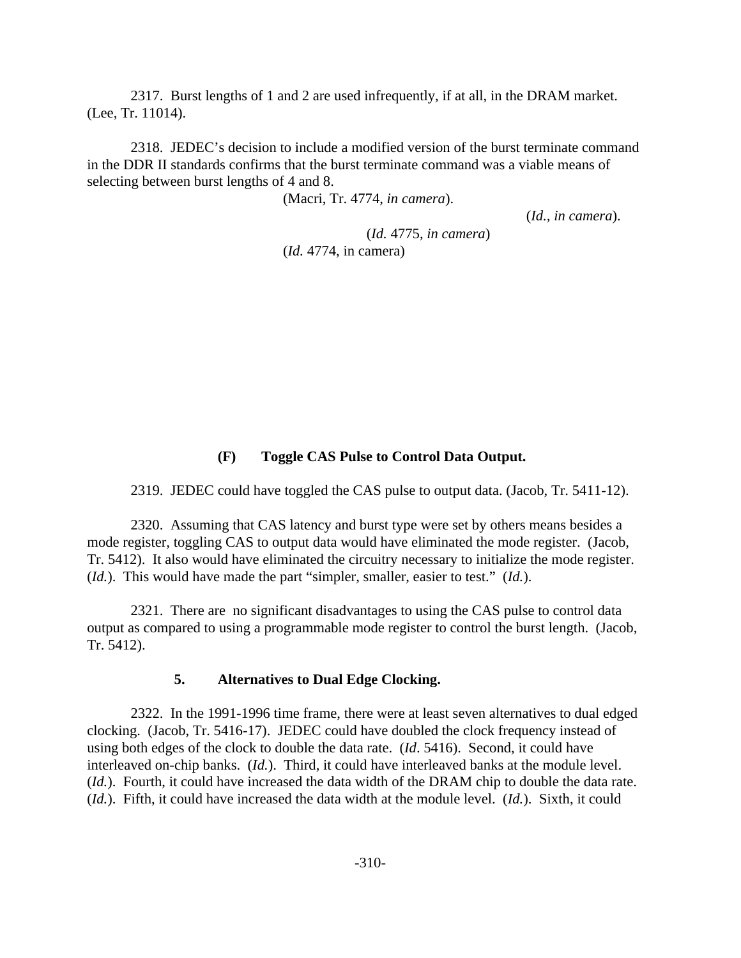2317. Burst lengths of 1 and 2 are used infrequently, if at all, in the DRAM market. (Lee, Tr. 11014).

2318. JEDEC's decision to include a modified version of the burst terminate command in the DDR II standards confirms that the burst terminate command was a viable means of selecting between burst lengths of 4 and 8.

(Macri, Tr. 4774, *in camera*).

(*Id.* 4775, *in camera*)

(*Id., in camera*).

(*Id.* 4774, in camera)

#### **(F) Toggle CAS Pulse to Control Data Output.**

2319. JEDEC could have toggled the CAS pulse to output data. (Jacob, Tr. 5411-12).

2320. Assuming that CAS latency and burst type were set by others means besides a mode register, toggling CAS to output data would have eliminated the mode register. (Jacob, Tr. 5412). It also would have eliminated the circuitry necessary to initialize the mode register. (*Id.*). This would have made the part "simpler, smaller, easier to test." (*Id.*).

2321. There are no significant disadvantages to using the CAS pulse to control data output as compared to using a programmable mode register to control the burst length. (Jacob, Tr. 5412).

#### **5. Alternatives to Dual Edge Clocking.**

2322. In the 1991-1996 time frame, there were at least seven alternatives to dual edged clocking. (Jacob, Tr. 5416-17). JEDEC could have doubled the clock frequency instead of using both edges of the clock to double the data rate. (*Id*. 5416). Second, it could have interleaved on-chip banks. (*Id.*). Third, it could have interleaved banks at the module level. (*Id.*). Fourth, it could have increased the data width of the DRAM chip to double the data rate. (*Id.*). Fifth, it could have increased the data width at the module level. (*Id.*). Sixth, it could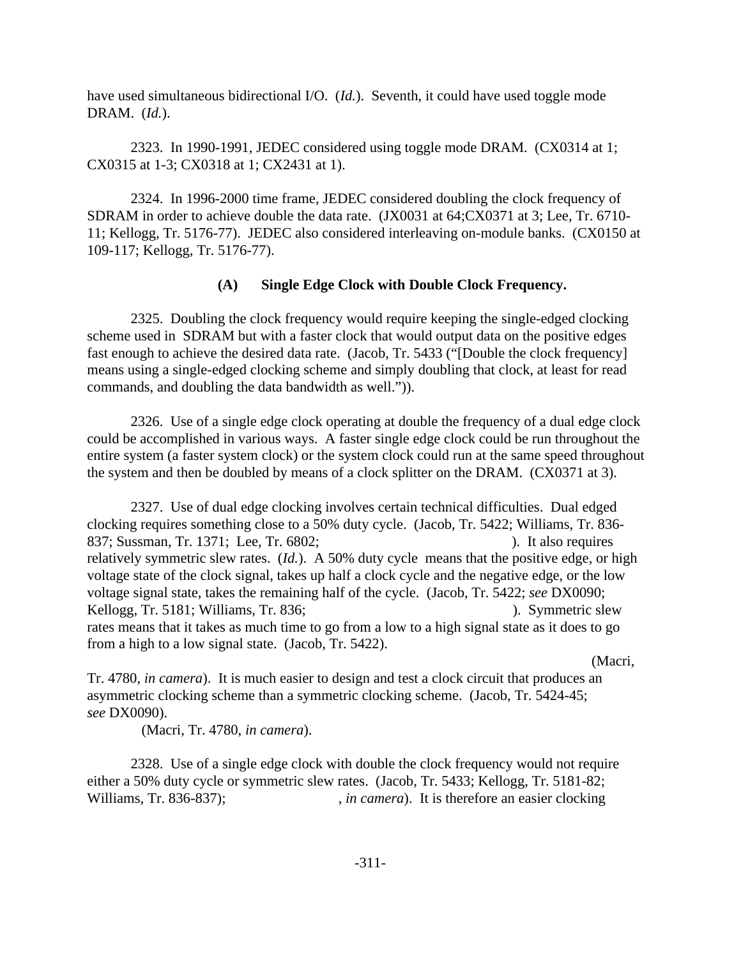have used simultaneous bidirectional I/O. (*Id.*). Seventh, it could have used toggle mode DRAM. (*Id.*).

2323. In 1990-1991, JEDEC considered using toggle mode DRAM. (CX0314 at 1; CX0315 at 1-3; CX0318 at 1; CX2431 at 1).

2324. In 1996-2000 time frame, JEDEC considered doubling the clock frequency of SDRAM in order to achieve double the data rate. (JX0031 at 64;CX0371 at 3; Lee, Tr. 6710- 11; Kellogg, Tr. 5176-77). JEDEC also considered interleaving on-module banks. (CX0150 at 109-117; Kellogg, Tr. 5176-77).

### **(A) Single Edge Clock with Double Clock Frequency.**

2325. Doubling the clock frequency would require keeping the single-edged clocking scheme used in SDRAM but with a faster clock that would output data on the positive edges fast enough to achieve the desired data rate. (Jacob, Tr. 5433 ("[Double the clock frequency] means using a single-edged clocking scheme and simply doubling that clock, at least for read commands, and doubling the data bandwidth as well.")).

2326. Use of a single edge clock operating at double the frequency of a dual edge clock could be accomplished in various ways. A faster single edge clock could be run throughout the entire system (a faster system clock) or the system clock could run at the same speed throughout the system and then be doubled by means of a clock splitter on the DRAM. (CX0371 at 3).

2327. Use of dual edge clocking involves certain technical difficulties. Dual edged clocking requires something close to a 50% duty cycle. (Jacob, Tr. 5422; Williams, Tr. 836- 837; Sussman, Tr. 1371; Lee, Tr. 6802; (a) (b) 1 (c) 1 (c) 1 (c) 1 (c) 1 (c) 1 (c) 1 (c) 1 (c) 1 (c) 1 (c) 1 (c) 1 (c) 1 (c) 1 (c) 1 (c) 1 (c) 1 (c) 1 (c) 1 (c) 1 (c) 1 (c) 1 (c) 1 (c) 1 (c) 1 (c) 1 (c) 1 (c) 1 (c) 1 (c) 1 relatively symmetric slew rates. (*Id.*). A 50% duty cycle means that the positive edge, or high voltage state of the clock signal, takes up half a clock cycle and the negative edge, or the low voltage signal state, takes the remaining half of the cycle. (Jacob, Tr. 5422; *see* DX0090; Kellogg, Tr. 5181; Williams, Tr. 836; (a) (b) Symmetric slew rates means that it takes as much time to go from a low to a high signal state as it does to go from a high to a low signal state. (Jacob, Tr. 5422).

(Macri,

Tr. 4780, *in camera*). It is much easier to design and test a clock circuit that produces an asymmetric clocking scheme than a symmetric clocking scheme. (Jacob, Tr. 5424-45; *see* DX0090).

(Macri, Tr. 4780, *in camera*).

2328. Use of a single edge clock with double the clock frequency would not require either a 50% duty cycle or symmetric slew rates. (Jacob, Tr. 5433; Kellogg, Tr. 5181-82; Williams, Tr. 836-837);  $in camera$ . It is therefore an easier clocking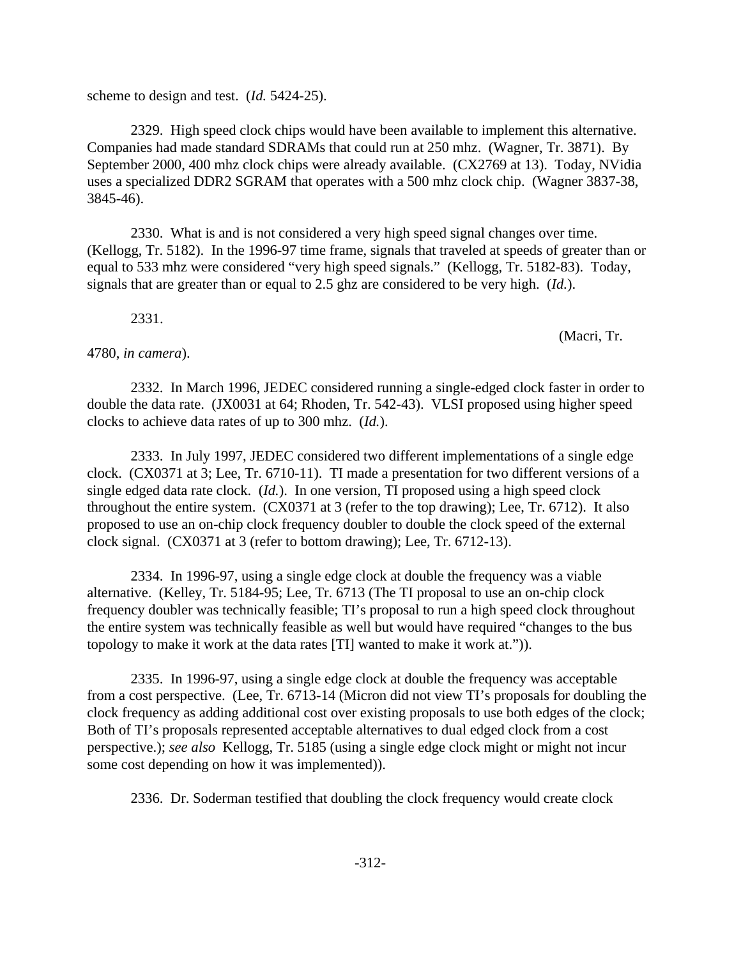scheme to design and test. (*Id.* 5424-25).

2329. High speed clock chips would have been available to implement this alternative. Companies had made standard SDRAMs that could run at 250 mhz. (Wagner, Tr. 3871). By September 2000, 400 mhz clock chips were already available. (CX2769 at 13). Today, NVidia uses a specialized DDR2 SGRAM that operates with a 500 mhz clock chip. (Wagner 3837-38, 3845-46).

2330. What is and is not considered a very high speed signal changes over time. (Kellogg, Tr. 5182). In the 1996-97 time frame, signals that traveled at speeds of greater than or equal to 533 mhz were considered "very high speed signals." (Kellogg, Tr. 5182-83). Today, signals that are greater than or equal to 2.5 ghz are considered to be very high. (*Id.*).

2331.

### 4780, *in camera*).

2332. In March 1996, JEDEC considered running a single-edged clock faster in order to double the data rate. (JX0031 at 64; Rhoden, Tr. 542-43). VLSI proposed using higher speed clocks to achieve data rates of up to 300 mhz. (*Id.*).

2333. In July 1997, JEDEC considered two different implementations of a single edge clock. (CX0371 at 3; Lee, Tr. 6710-11). TI made a presentation for two different versions of a single edged data rate clock. (*Id.*). In one version, TI proposed using a high speed clock throughout the entire system. (CX0371 at 3 (refer to the top drawing); Lee, Tr. 6712). It also proposed to use an on-chip clock frequency doubler to double the clock speed of the external clock signal. (CX0371 at 3 (refer to bottom drawing); Lee, Tr. 6712-13).

2334. In 1996-97, using a single edge clock at double the frequency was a viable alternative. (Kelley, Tr. 5184-95; Lee, Tr. 6713 (The TI proposal to use an on-chip clock frequency doubler was technically feasible; TI's proposal to run a high speed clock throughout the entire system was technically feasible as well but would have required "changes to the bus topology to make it work at the data rates [TI] wanted to make it work at.")).

2335. In 1996-97, using a single edge clock at double the frequency was acceptable from a cost perspective. (Lee, Tr. 6713-14 (Micron did not view TI's proposals for doubling the clock frequency as adding additional cost over existing proposals to use both edges of the clock; Both of TI's proposals represented acceptable alternatives to dual edged clock from a cost perspective.); *see also* Kellogg, Tr. 5185 (using a single edge clock might or might not incur some cost depending on how it was implemented)).

2336. Dr. Soderman testified that doubling the clock frequency would create clock

(Macri, Tr.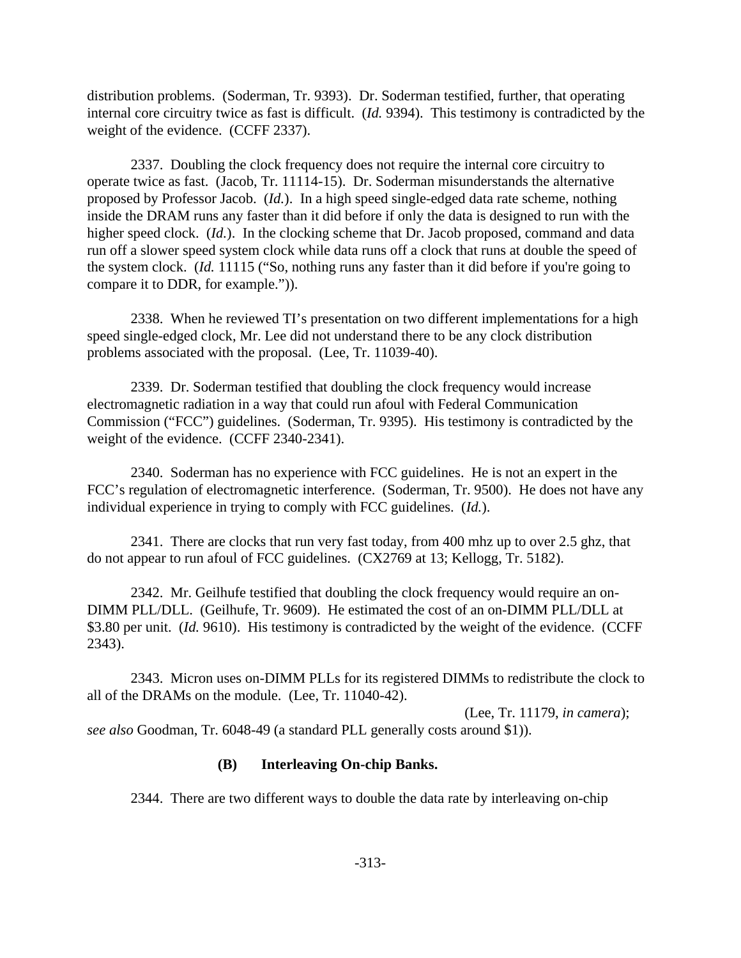distribution problems. (Soderman, Tr. 9393). Dr. Soderman testified, further, that operating internal core circuitry twice as fast is difficult. (*Id.* 9394). This testimony is contradicted by the weight of the evidence. (CCFF 2337).

2337. Doubling the clock frequency does not require the internal core circuitry to operate twice as fast. (Jacob, Tr. 11114-15). Dr. Soderman misunderstands the alternative proposed by Professor Jacob. (*Id.*). In a high speed single-edged data rate scheme, nothing inside the DRAM runs any faster than it did before if only the data is designed to run with the higher speed clock. (*Id.*). In the clocking scheme that Dr. Jacob proposed, command and data run off a slower speed system clock while data runs off a clock that runs at double the speed of the system clock. (*Id.* 11115 ("So, nothing runs any faster than it did before if you're going to compare it to DDR, for example.")).

2338. When he reviewed TI's presentation on two different implementations for a high speed single-edged clock, Mr. Lee did not understand there to be any clock distribution problems associated with the proposal. (Lee, Tr. 11039-40).

2339. Dr. Soderman testified that doubling the clock frequency would increase electromagnetic radiation in a way that could run afoul with Federal Communication Commission ("FCC") guidelines. (Soderman, Tr. 9395). His testimony is contradicted by the weight of the evidence. (CCFF 2340-2341).

2340. Soderman has no experience with FCC guidelines. He is not an expert in the FCC's regulation of electromagnetic interference. (Soderman, Tr. 9500). He does not have any individual experience in trying to comply with FCC guidelines. (*Id.*).

2341. There are clocks that run very fast today, from 400 mhz up to over 2.5 ghz, that do not appear to run afoul of FCC guidelines. (CX2769 at 13; Kellogg, Tr. 5182).

2342. Mr. Geilhufe testified that doubling the clock frequency would require an on-DIMM PLL/DLL. (Geilhufe, Tr. 9609). He estimated the cost of an on-DIMM PLL/DLL at \$3.80 per unit. (*Id.* 9610). His testimony is contradicted by the weight of the evidence. (CCFF 2343).

2343. Micron uses on-DIMM PLLs for its registered DIMMs to redistribute the clock to all of the DRAMs on the module. (Lee, Tr. 11040-42).

 (Lee, Tr. 11179, *in camera*); *see also* Goodman, Tr. 6048-49 (a standard PLL generally costs around \$1)).

## **(B) Interleaving On-chip Banks.**

2344. There are two different ways to double the data rate by interleaving on-chip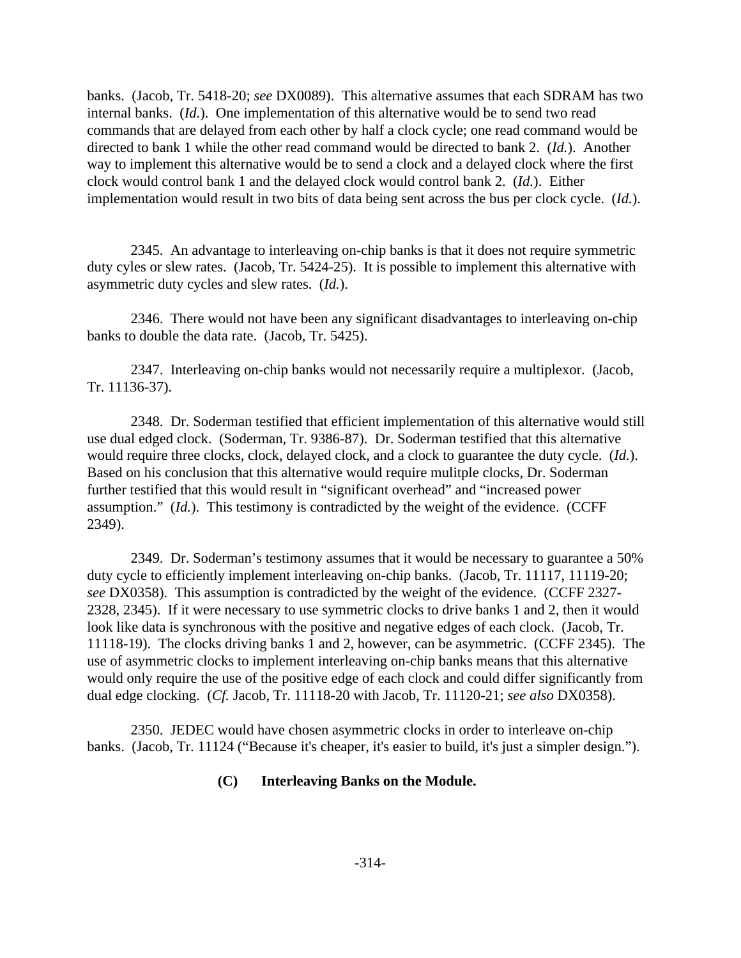banks. (Jacob, Tr. 5418-20; *see* DX0089). This alternative assumes that each SDRAM has two internal banks. (*Id.*). One implementation of this alternative would be to send two read commands that are delayed from each other by half a clock cycle; one read command would be directed to bank 1 while the other read command would be directed to bank 2. (*Id.*). Another way to implement this alternative would be to send a clock and a delayed clock where the first clock would control bank 1 and the delayed clock would control bank 2. (*Id.*). Either implementation would result in two bits of data being sent across the bus per clock cycle. (*Id.*).

2345. An advantage to interleaving on-chip banks is that it does not require symmetric duty cyles or slew rates. (Jacob, Tr. 5424-25). It is possible to implement this alternative with asymmetric duty cycles and slew rates. (*Id.*).

2346. There would not have been any significant disadvantages to interleaving on-chip banks to double the data rate. (Jacob, Tr. 5425).

2347. Interleaving on-chip banks would not necessarily require a multiplexor. (Jacob, Tr. 11136-37).

2348. Dr. Soderman testified that efficient implementation of this alternative would still use dual edged clock. (Soderman, Tr. 9386-87). Dr. Soderman testified that this alternative would require three clocks, clock, delayed clock, and a clock to guarantee the duty cycle. (*Id.*). Based on his conclusion that this alternative would require mulitple clocks, Dr. Soderman further testified that this would result in "significant overhead" and "increased power assumption." (*Id.*). This testimony is contradicted by the weight of the evidence. (CCFF 2349).

2349. Dr. Soderman's testimony assumes that it would be necessary to guarantee a 50% duty cycle to efficiently implement interleaving on-chip banks. (Jacob, Tr. 11117, 11119-20; *see* DX0358). This assumption is contradicted by the weight of the evidence. (CCFF 2327- 2328, 2345). If it were necessary to use symmetric clocks to drive banks 1 and 2, then it would look like data is synchronous with the positive and negative edges of each clock. (Jacob, Tr. 11118-19). The clocks driving banks 1 and 2, however, can be asymmetric. (CCFF 2345). The use of asymmetric clocks to implement interleaving on-chip banks means that this alternative would only require the use of the positive edge of each clock and could differ significantly from dual edge clocking. (*Cf.* Jacob, Tr. 11118-20 with Jacob, Tr. 11120-21; *see also* DX0358).

2350. JEDEC would have chosen asymmetric clocks in order to interleave on-chip banks. (Jacob, Tr. 11124 ("Because it's cheaper, it's easier to build, it's just a simpler design.").

## **(C) Interleaving Banks on the Module.**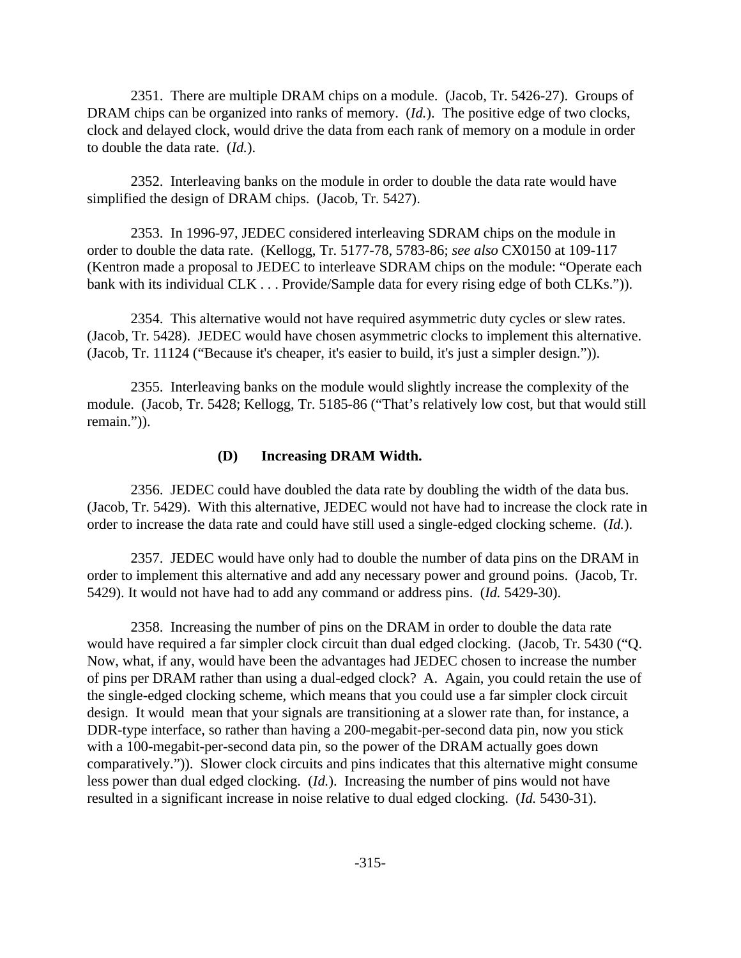2351. There are multiple DRAM chips on a module. (Jacob, Tr. 5426-27). Groups of DRAM chips can be organized into ranks of memory. (*Id.*). The positive edge of two clocks, clock and delayed clock, would drive the data from each rank of memory on a module in order to double the data rate. (*Id.*).

2352. Interleaving banks on the module in order to double the data rate would have simplified the design of DRAM chips. (Jacob, Tr. 5427).

2353. In 1996-97, JEDEC considered interleaving SDRAM chips on the module in order to double the data rate. (Kellogg, Tr. 5177-78, 5783-86; *see also* CX0150 at 109-117 (Kentron made a proposal to JEDEC to interleave SDRAM chips on the module: "Operate each bank with its individual CLK . . . Provide/Sample data for every rising edge of both CLKs.")).

2354. This alternative would not have required asymmetric duty cycles or slew rates. (Jacob, Tr. 5428). JEDEC would have chosen asymmetric clocks to implement this alternative. (Jacob, Tr. 11124 ("Because it's cheaper, it's easier to build, it's just a simpler design.")).

2355. Interleaving banks on the module would slightly increase the complexity of the module. (Jacob, Tr. 5428; Kellogg, Tr. 5185-86 ("That's relatively low cost, but that would still remain.")).

#### **(D) Increasing DRAM Width.**

2356. JEDEC could have doubled the data rate by doubling the width of the data bus. (Jacob, Tr. 5429). With this alternative, JEDEC would not have had to increase the clock rate in order to increase the data rate and could have still used a single-edged clocking scheme. (*Id.*).

2357. JEDEC would have only had to double the number of data pins on the DRAM in order to implement this alternative and add any necessary power and ground poins. (Jacob, Tr. 5429). It would not have had to add any command or address pins. (*Id.* 5429-30).

2358. Increasing the number of pins on the DRAM in order to double the data rate would have required a far simpler clock circuit than dual edged clocking. (Jacob, Tr. 5430 ("Q. Now, what, if any, would have been the advantages had JEDEC chosen to increase the number of pins per DRAM rather than using a dual-edged clock? A. Again, you could retain the use of the single-edged clocking scheme, which means that you could use a far simpler clock circuit design. It would mean that your signals are transitioning at a slower rate than, for instance, a DDR-type interface, so rather than having a 200-megabit-per-second data pin, now you stick with a 100-megabit-per-second data pin, so the power of the DRAM actually goes down comparatively.")). Slower clock circuits and pins indicates that this alternative might consume less power than dual edged clocking. (*Id.*). Increasing the number of pins would not have resulted in a significant increase in noise relative to dual edged clocking. (*Id.* 5430-31).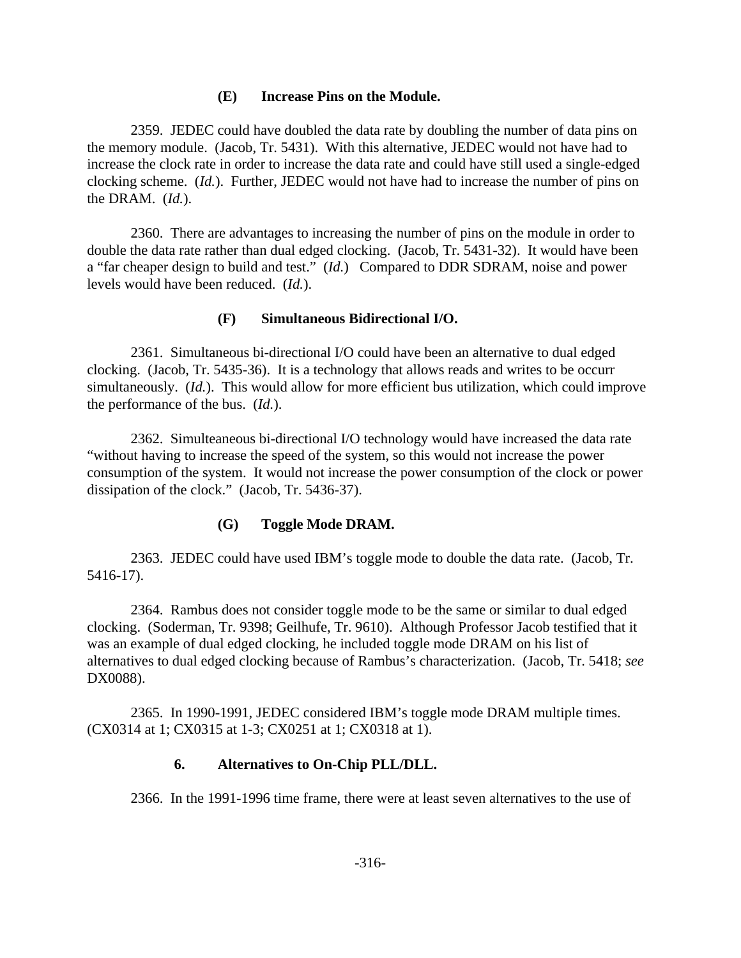### **(E) Increase Pins on the Module.**

2359. JEDEC could have doubled the data rate by doubling the number of data pins on the memory module. (Jacob, Tr. 5431). With this alternative, JEDEC would not have had to increase the clock rate in order to increase the data rate and could have still used a single-edged clocking scheme. (*Id.*). Further, JEDEC would not have had to increase the number of pins on the DRAM. (*Id.*).

2360. There are advantages to increasing the number of pins on the module in order to double the data rate rather than dual edged clocking. (Jacob, Tr. 5431-32). It would have been a "far cheaper design to build and test." (*Id.*) Compared to DDR SDRAM, noise and power levels would have been reduced. (*Id.*).

#### **(F) Simultaneous Bidirectional I/O.**

2361. Simultaneous bi-directional I/O could have been an alternative to dual edged clocking. (Jacob, Tr. 5435-36). It is a technology that allows reads and writes to be occurr simultaneously. (*Id.*). This would allow for more efficient bus utilization, which could improve the performance of the bus. (*Id.*).

2362. Simulteaneous bi-directional I/O technology would have increased the data rate "without having to increase the speed of the system, so this would not increase the power consumption of the system. It would not increase the power consumption of the clock or power dissipation of the clock." (Jacob, Tr. 5436-37).

#### **(G) Toggle Mode DRAM.**

2363. JEDEC could have used IBM's toggle mode to double the data rate. (Jacob, Tr. 5416-17).

2364. Rambus does not consider toggle mode to be the same or similar to dual edged clocking. (Soderman, Tr. 9398; Geilhufe, Tr. 9610). Although Professor Jacob testified that it was an example of dual edged clocking, he included toggle mode DRAM on his list of alternatives to dual edged clocking because of Rambus's characterization. (Jacob, Tr. 5418; *see* DX0088).

2365. In 1990-1991, JEDEC considered IBM's toggle mode DRAM multiple times. (CX0314 at 1; CX0315 at 1-3; CX0251 at 1; CX0318 at 1).

### **6. Alternatives to On-Chip PLL/DLL.**

2366. In the 1991-1996 time frame, there were at least seven alternatives to the use of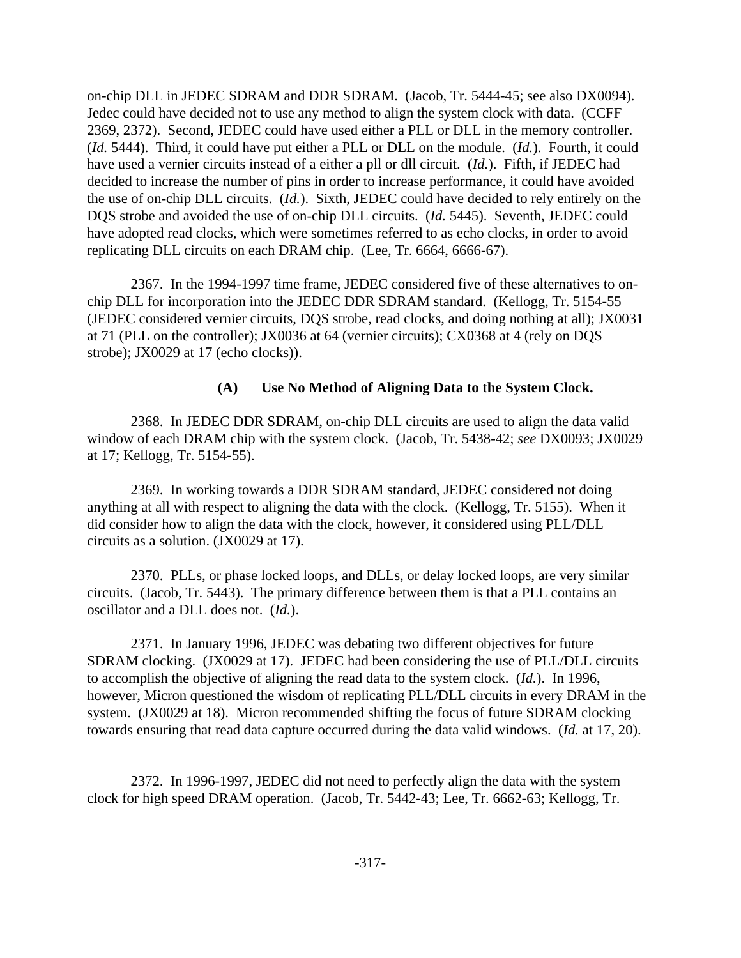on-chip DLL in JEDEC SDRAM and DDR SDRAM. (Jacob, Tr. 5444-45; see also DX0094). Jedec could have decided not to use any method to align the system clock with data. (CCFF 2369, 2372). Second, JEDEC could have used either a PLL or DLL in the memory controller. (*Id.* 5444). Third, it could have put either a PLL or DLL on the module. (*Id.*). Fourth, it could have used a vernier circuits instead of a either a pll or dll circuit. (*Id.*). Fifth, if JEDEC had decided to increase the number of pins in order to increase performance, it could have avoided the use of on-chip DLL circuits. (*Id.*). Sixth, JEDEC could have decided to rely entirely on the DQS strobe and avoided the use of on-chip DLL circuits. (*Id.* 5445). Seventh, JEDEC could have adopted read clocks, which were sometimes referred to as echo clocks, in order to avoid replicating DLL circuits on each DRAM chip. (Lee, Tr. 6664, 6666-67).

2367. In the 1994-1997 time frame, JEDEC considered five of these alternatives to onchip DLL for incorporation into the JEDEC DDR SDRAM standard. (Kellogg, Tr. 5154-55 (JEDEC considered vernier circuits, DQS strobe, read clocks, and doing nothing at all); JX0031 at 71 (PLL on the controller); JX0036 at 64 (vernier circuits); CX0368 at 4 (rely on DQS strobe); JX0029 at 17 (echo clocks)).

### **(A) Use No Method of Aligning Data to the System Clock.**

2368. In JEDEC DDR SDRAM, on-chip DLL circuits are used to align the data valid window of each DRAM chip with the system clock. (Jacob, Tr. 5438-42; *see* DX0093; JX0029 at 17; Kellogg, Tr. 5154-55).

2369. In working towards a DDR SDRAM standard, JEDEC considered not doing anything at all with respect to aligning the data with the clock. (Kellogg, Tr. 5155). When it did consider how to align the data with the clock, however, it considered using PLL/DLL circuits as a solution. (JX0029 at 17).

2370. PLLs, or phase locked loops, and DLLs, or delay locked loops, are very similar circuits. (Jacob, Tr. 5443). The primary difference between them is that a PLL contains an oscillator and a DLL does not. (*Id.*).

2371. In January 1996, JEDEC was debating two different objectives for future SDRAM clocking. (JX0029 at 17). JEDEC had been considering the use of PLL/DLL circuits to accomplish the objective of aligning the read data to the system clock. (*Id.*). In 1996, however, Micron questioned the wisdom of replicating PLL/DLL circuits in every DRAM in the system. (JX0029 at 18). Micron recommended shifting the focus of future SDRAM clocking towards ensuring that read data capture occurred during the data valid windows. (*Id.* at 17, 20).

2372. In 1996-1997, JEDEC did not need to perfectly align the data with the system clock for high speed DRAM operation. (Jacob, Tr. 5442-43; Lee, Tr. 6662-63; Kellogg, Tr.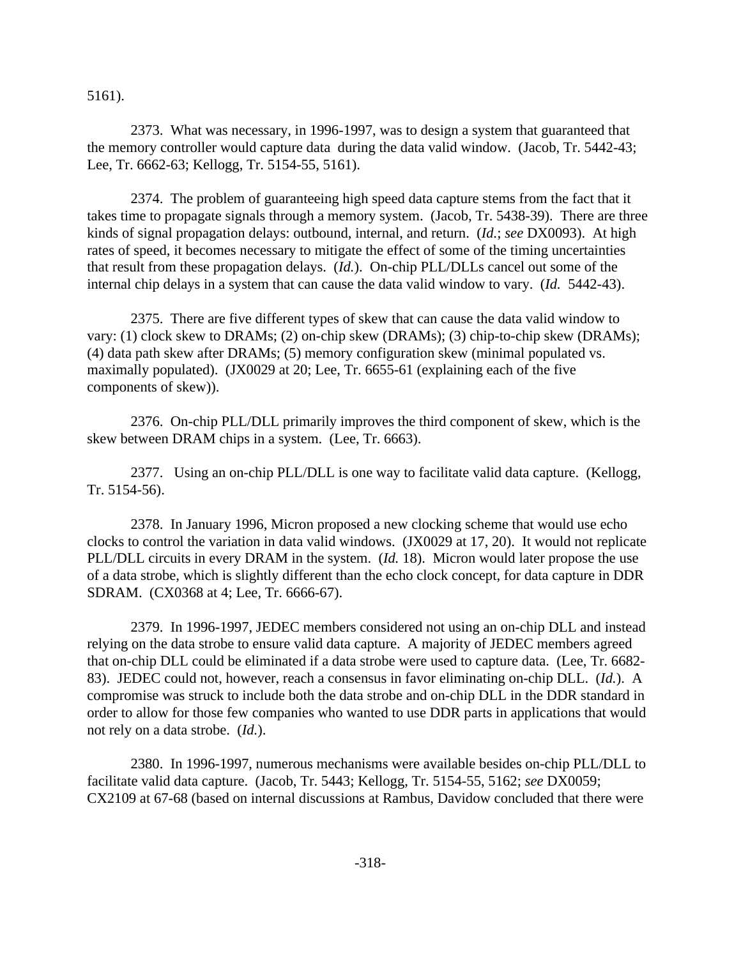5161).

2373. What was necessary, in 1996-1997, was to design a system that guaranteed that the memory controller would capture data during the data valid window. (Jacob, Tr. 5442-43; Lee, Tr. 6662-63; Kellogg, Tr. 5154-55, 5161).

2374. The problem of guaranteeing high speed data capture stems from the fact that it takes time to propagate signals through a memory system. (Jacob, Tr. 5438-39). There are three kinds of signal propagation delays: outbound, internal, and return. (*Id.*; *see* DX0093). At high rates of speed, it becomes necessary to mitigate the effect of some of the timing uncertainties that result from these propagation delays. (*Id.*). On-chip PLL/DLLs cancel out some of the internal chip delays in a system that can cause the data valid window to vary. (*Id.* 5442-43).

2375. There are five different types of skew that can cause the data valid window to vary: (1) clock skew to DRAMs; (2) on-chip skew (DRAMs); (3) chip-to-chip skew (DRAMs); (4) data path skew after DRAMs; (5) memory configuration skew (minimal populated vs. maximally populated). (JX0029 at 20; Lee, Tr. 6655-61 (explaining each of the five components of skew)).

2376. On-chip PLL/DLL primarily improves the third component of skew, which is the skew between DRAM chips in a system. (Lee, Tr. 6663).

2377. Using an on-chip PLL/DLL is one way to facilitate valid data capture. (Kellogg, Tr. 5154-56).

2378. In January 1996, Micron proposed a new clocking scheme that would use echo clocks to control the variation in data valid windows. (JX0029 at 17, 20). It would not replicate PLL/DLL circuits in every DRAM in the system. (*Id.* 18). Micron would later propose the use of a data strobe, which is slightly different than the echo clock concept, for data capture in DDR SDRAM. (CX0368 at 4; Lee, Tr. 6666-67).

2379. In 1996-1997, JEDEC members considered not using an on-chip DLL and instead relying on the data strobe to ensure valid data capture. A majority of JEDEC members agreed that on-chip DLL could be eliminated if a data strobe were used to capture data. (Lee, Tr. 6682- 83). JEDEC could not, however, reach a consensus in favor eliminating on-chip DLL. (*Id.*). A compromise was struck to include both the data strobe and on-chip DLL in the DDR standard in order to allow for those few companies who wanted to use DDR parts in applications that would not rely on a data strobe. (*Id.*).

2380. In 1996-1997, numerous mechanisms were available besides on-chip PLL/DLL to facilitate valid data capture. (Jacob, Tr. 5443; Kellogg, Tr. 5154-55, 5162; *see* DX0059; CX2109 at 67-68 (based on internal discussions at Rambus, Davidow concluded that there were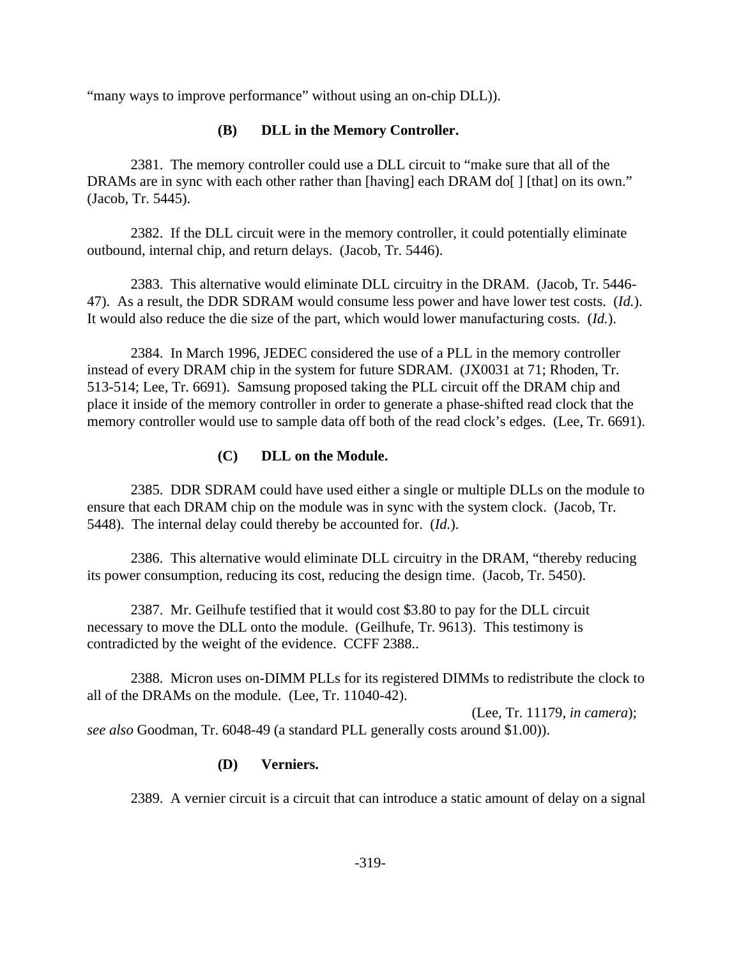"many ways to improve performance" without using an on-chip DLL).

## **(B) DLL in the Memory Controller.**

2381. The memory controller could use a DLL circuit to "make sure that all of the DRAMs are in sync with each other rather than [having] each DRAM do[] [that] on its own." (Jacob, Tr. 5445).

2382. If the DLL circuit were in the memory controller, it could potentially eliminate outbound, internal chip, and return delays. (Jacob, Tr. 5446).

2383. This alternative would eliminate DLL circuitry in the DRAM. (Jacob, Tr. 5446- 47). As a result, the DDR SDRAM would consume less power and have lower test costs. (*Id.*). It would also reduce the die size of the part, which would lower manufacturing costs. (*Id.*).

2384. In March 1996, JEDEC considered the use of a PLL in the memory controller instead of every DRAM chip in the system for future SDRAM. (JX0031 at 71; Rhoden, Tr. 513-514; Lee, Tr. 6691). Samsung proposed taking the PLL circuit off the DRAM chip and place it inside of the memory controller in order to generate a phase-shifted read clock that the memory controller would use to sample data off both of the read clock's edges. (Lee, Tr. 6691).

## **(C) DLL on the Module.**

2385. DDR SDRAM could have used either a single or multiple DLLs on the module to ensure that each DRAM chip on the module was in sync with the system clock. (Jacob, Tr. 5448). The internal delay could thereby be accounted for. (*Id.*).

2386. This alternative would eliminate DLL circuitry in the DRAM, "thereby reducing its power consumption, reducing its cost, reducing the design time. (Jacob, Tr. 5450).

2387. Mr. Geilhufe testified that it would cost \$3.80 to pay for the DLL circuit necessary to move the DLL onto the module. (Geilhufe, Tr. 9613). This testimony is contradicted by the weight of the evidence. CCFF 2388..

2388. Micron uses on-DIMM PLLs for its registered DIMMs to redistribute the clock to all of the DRAMs on the module. (Lee, Tr. 11040-42).

 (Lee, Tr. 11179, *in camera*); *see also* Goodman, Tr. 6048-49 (a standard PLL generally costs around \$1.00)).

## **(D) Verniers.**

2389. A vernier circuit is a circuit that can introduce a static amount of delay on a signal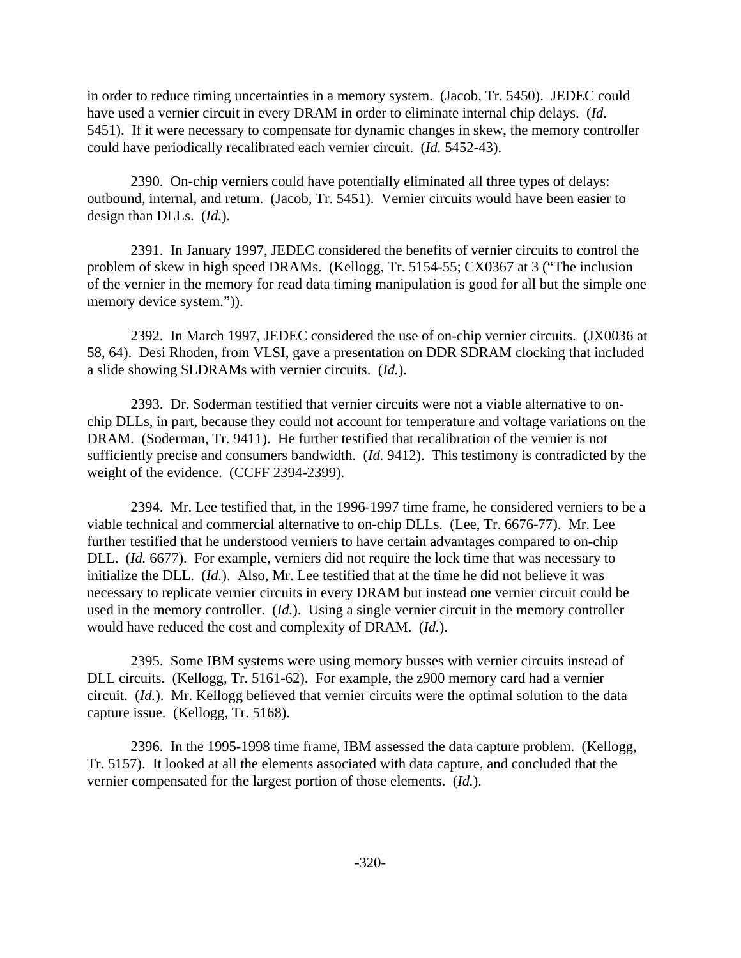in order to reduce timing uncertainties in a memory system. (Jacob, Tr. 5450). JEDEC could have used a vernier circuit in every DRAM in order to eliminate internal chip delays. (*Id.* 5451). If it were necessary to compensate for dynamic changes in skew, the memory controller could have periodically recalibrated each vernier circuit. (*Id.* 5452-43).

2390. On-chip verniers could have potentially eliminated all three types of delays: outbound, internal, and return. (Jacob, Tr. 5451). Vernier circuits would have been easier to design than DLLs. (*Id.*).

2391. In January 1997, JEDEC considered the benefits of vernier circuits to control the problem of skew in high speed DRAMs. (Kellogg, Tr. 5154-55; CX0367 at 3 ("The inclusion of the vernier in the memory for read data timing manipulation is good for all but the simple one memory device system.")).

2392. In March 1997, JEDEC considered the use of on-chip vernier circuits. (JX0036 at 58, 64). Desi Rhoden, from VLSI, gave a presentation on DDR SDRAM clocking that included a slide showing SLDRAMs with vernier circuits. (*Id.*).

2393. Dr. Soderman testified that vernier circuits were not a viable alternative to onchip DLLs, in part, because they could not account for temperature and voltage variations on the DRAM. (Soderman, Tr. 9411). He further testified that recalibration of the vernier is not sufficiently precise and consumers bandwidth. (*Id.* 9412). This testimony is contradicted by the weight of the evidence. (CCFF 2394-2399).

2394. Mr. Lee testified that, in the 1996-1997 time frame, he considered verniers to be a viable technical and commercial alternative to on-chip DLLs. (Lee, Tr. 6676-77). Mr. Lee further testified that he understood verniers to have certain advantages compared to on-chip DLL. (*Id.* 6677). For example, verniers did not require the lock time that was necessary to initialize the DLL. (*Id.*). Also, Mr. Lee testified that at the time he did not believe it was necessary to replicate vernier circuits in every DRAM but instead one vernier circuit could be used in the memory controller. (*Id.*). Using a single vernier circuit in the memory controller would have reduced the cost and complexity of DRAM. (*Id.*).

2395. Some IBM systems were using memory busses with vernier circuits instead of DLL circuits. (Kellogg, Tr. 5161-62). For example, the z900 memory card had a vernier circuit. (*Id.*). Mr. Kellogg believed that vernier circuits were the optimal solution to the data capture issue. (Kellogg, Tr. 5168).

2396. In the 1995-1998 time frame, IBM assessed the data capture problem. (Kellogg, Tr. 5157). It looked at all the elements associated with data capture, and concluded that the vernier compensated for the largest portion of those elements. (*Id.*).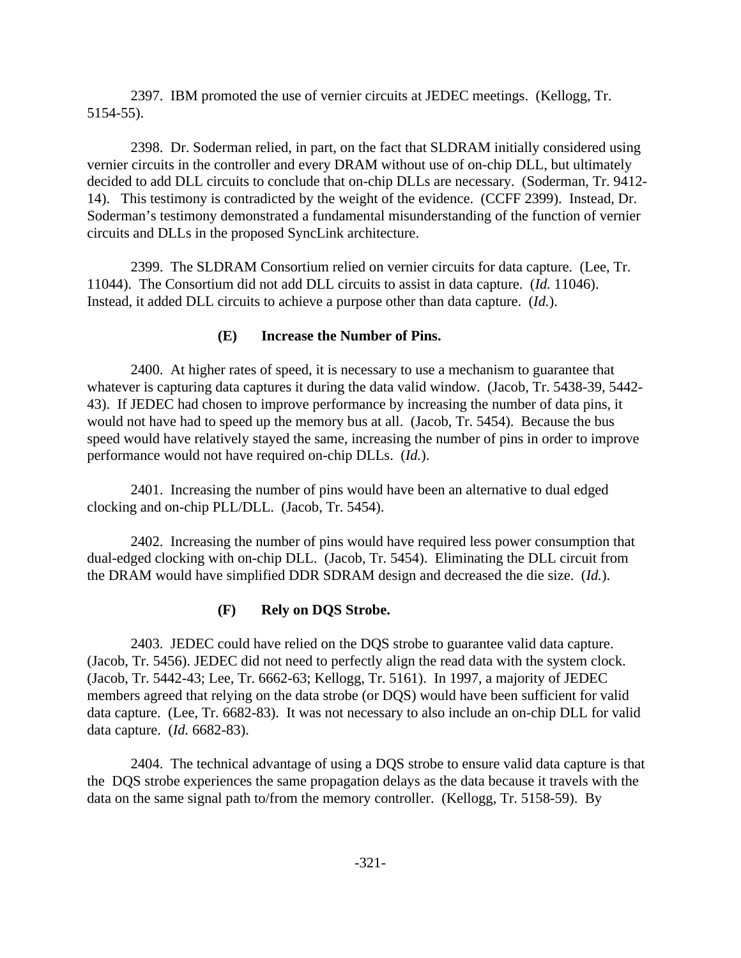2397. IBM promoted the use of vernier circuits at JEDEC meetings. (Kellogg, Tr. 5154-55).

2398. Dr. Soderman relied, in part, on the fact that SLDRAM initially considered using vernier circuits in the controller and every DRAM without use of on-chip DLL, but ultimately decided to add DLL circuits to conclude that on-chip DLLs are necessary. (Soderman, Tr. 9412- 14). This testimony is contradicted by the weight of the evidence. (CCFF 2399). Instead, Dr. Soderman's testimony demonstrated a fundamental misunderstanding of the function of vernier circuits and DLLs in the proposed SyncLink architecture.

2399. The SLDRAM Consortium relied on vernier circuits for data capture. (Lee, Tr. 11044). The Consortium did not add DLL circuits to assist in data capture. (*Id.* 11046). Instead, it added DLL circuits to achieve a purpose other than data capture. (*Id.*).

## **(E) Increase the Number of Pins.**

2400. At higher rates of speed, it is necessary to use a mechanism to guarantee that whatever is capturing data captures it during the data valid window. (Jacob, Tr. 5438-39, 5442- 43). If JEDEC had chosen to improve performance by increasing the number of data pins, it would not have had to speed up the memory bus at all. (Jacob, Tr. 5454). Because the bus speed would have relatively stayed the same, increasing the number of pins in order to improve performance would not have required on-chip DLLs. (*Id.*).

2401. Increasing the number of pins would have been an alternative to dual edged clocking and on-chip PLL/DLL. (Jacob, Tr. 5454).

2402. Increasing the number of pins would have required less power consumption that dual-edged clocking with on-chip DLL. (Jacob, Tr. 5454). Eliminating the DLL circuit from the DRAM would have simplified DDR SDRAM design and decreased the die size. (*Id.*).

# **(F) Rely on DQS Strobe.**

2403. JEDEC could have relied on the DQS strobe to guarantee valid data capture. (Jacob, Tr. 5456). JEDEC did not need to perfectly align the read data with the system clock. (Jacob, Tr. 5442-43; Lee, Tr. 6662-63; Kellogg, Tr. 5161). In 1997, a majority of JEDEC members agreed that relying on the data strobe (or DQS) would have been sufficient for valid data capture. (Lee, Tr. 6682-83). It was not necessary to also include an on-chip DLL for valid data capture. (*Id.* 6682-83).

2404. The technical advantage of using a DQS strobe to ensure valid data capture is that the DQS strobe experiences the same propagation delays as the data because it travels with the data on the same signal path to/from the memory controller. (Kellogg, Tr. 5158-59). By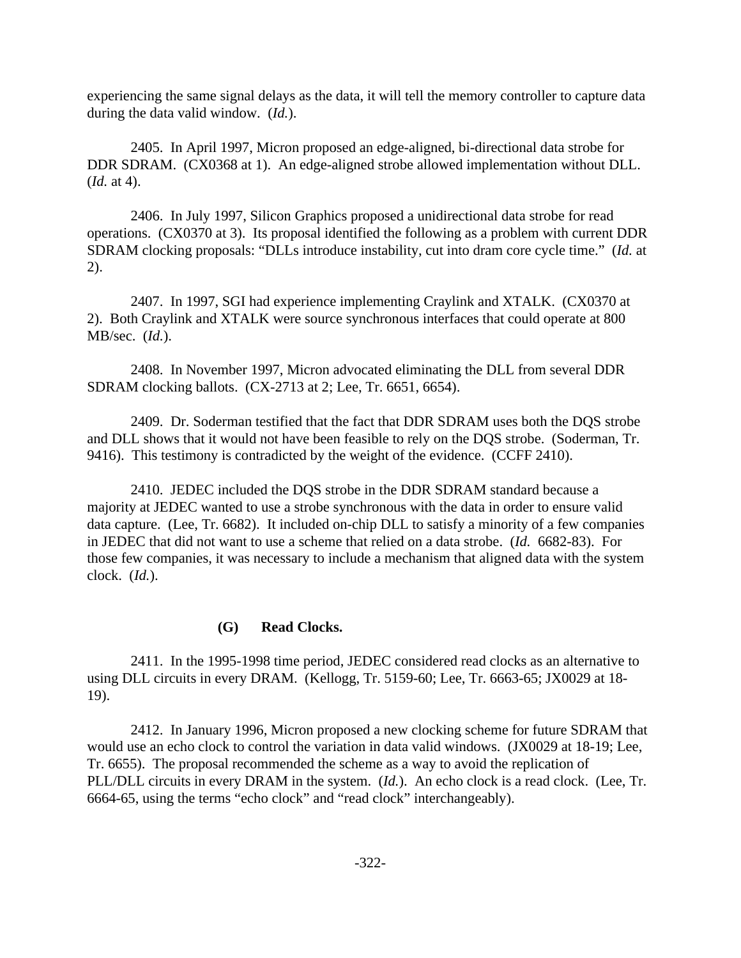experiencing the same signal delays as the data, it will tell the memory controller to capture data during the data valid window. (*Id.*).

2405. In April 1997, Micron proposed an edge-aligned, bi-directional data strobe for DDR SDRAM. (CX0368 at 1). An edge-aligned strobe allowed implementation without DLL. (*Id.* at 4).

2406. In July 1997, Silicon Graphics proposed a unidirectional data strobe for read operations. (CX0370 at 3). Its proposal identified the following as a problem with current DDR SDRAM clocking proposals: "DLLs introduce instability, cut into dram core cycle time." (*Id.* at 2).

2407. In 1997, SGI had experience implementing Craylink and XTALK. (CX0370 at 2). Both Craylink and XTALK were source synchronous interfaces that could operate at 800 MB/sec. (*Id.*).

2408. In November 1997, Micron advocated eliminating the DLL from several DDR SDRAM clocking ballots. (CX-2713 at 2; Lee, Tr. 6651, 6654).

2409. Dr. Soderman testified that the fact that DDR SDRAM uses both the DQS strobe and DLL shows that it would not have been feasible to rely on the DQS strobe. (Soderman, Tr. 9416). This testimony is contradicted by the weight of the evidence. (CCFF 2410).

2410. JEDEC included the DQS strobe in the DDR SDRAM standard because a majority at JEDEC wanted to use a strobe synchronous with the data in order to ensure valid data capture. (Lee, Tr. 6682). It included on-chip DLL to satisfy a minority of a few companies in JEDEC that did not want to use a scheme that relied on a data strobe. (*Id.* 6682-83). For those few companies, it was necessary to include a mechanism that aligned data with the system clock. (*Id.*).

## **(G) Read Clocks.**

2411. In the 1995-1998 time period, JEDEC considered read clocks as an alternative to using DLL circuits in every DRAM. (Kellogg, Tr. 5159-60; Lee, Tr. 6663-65; JX0029 at 18- 19).

2412. In January 1996, Micron proposed a new clocking scheme for future SDRAM that would use an echo clock to control the variation in data valid windows. (JX0029 at 18-19; Lee, Tr. 6655). The proposal recommended the scheme as a way to avoid the replication of PLL/DLL circuits in every DRAM in the system. (*Id.*). An echo clock is a read clock. (Lee, Tr. 6664-65, using the terms "echo clock" and "read clock" interchangeably).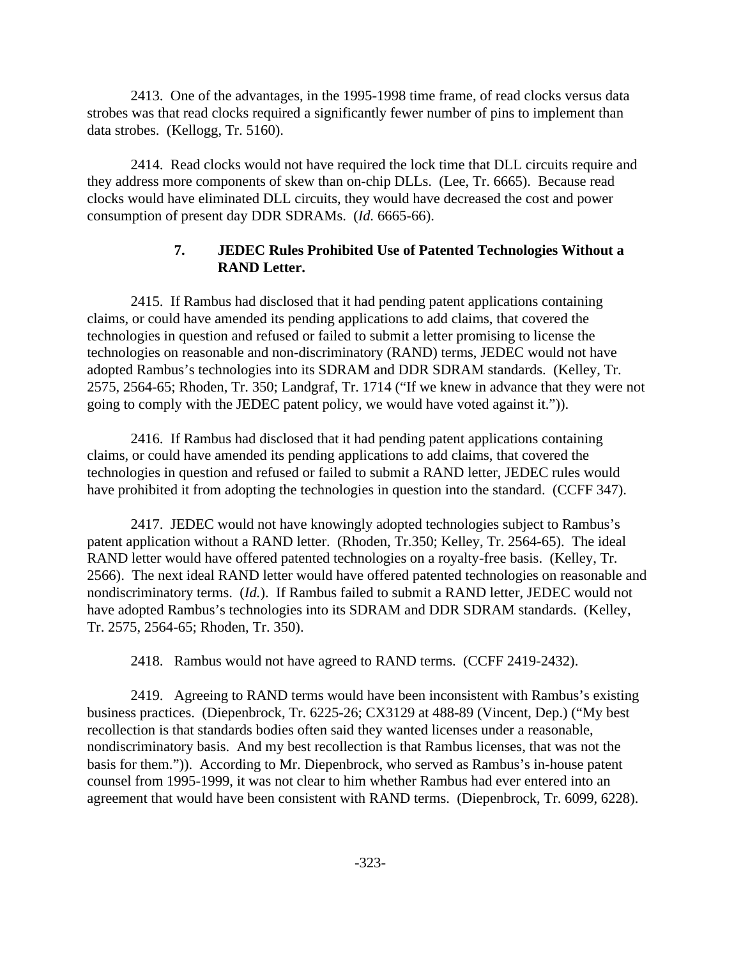2413. One of the advantages, in the 1995-1998 time frame, of read clocks versus data strobes was that read clocks required a significantly fewer number of pins to implement than data strobes. (Kellogg, Tr. 5160).

2414. Read clocks would not have required the lock time that DLL circuits require and they address more components of skew than on-chip DLLs. (Lee, Tr. 6665). Because read clocks would have eliminated DLL circuits, they would have decreased the cost and power consumption of present day DDR SDRAMs. (*Id.* 6665-66).

# **7. JEDEC Rules Prohibited Use of Patented Technologies Without a RAND Letter.**

2415. If Rambus had disclosed that it had pending patent applications containing claims, or could have amended its pending applications to add claims, that covered the technologies in question and refused or failed to submit a letter promising to license the technologies on reasonable and non-discriminatory (RAND) terms, JEDEC would not have adopted Rambus's technologies into its SDRAM and DDR SDRAM standards. (Kelley, Tr. 2575, 2564-65; Rhoden, Tr. 350; Landgraf, Tr. 1714 ("If we knew in advance that they were not going to comply with the JEDEC patent policy, we would have voted against it.")).

2416. If Rambus had disclosed that it had pending patent applications containing claims, or could have amended its pending applications to add claims, that covered the technologies in question and refused or failed to submit a RAND letter, JEDEC rules would have prohibited it from adopting the technologies in question into the standard. (CCFF 347).

2417. JEDEC would not have knowingly adopted technologies subject to Rambus's patent application without a RAND letter. (Rhoden, Tr.350; Kelley, Tr. 2564-65). The ideal RAND letter would have offered patented technologies on a royalty-free basis. (Kelley, Tr. 2566). The next ideal RAND letter would have offered patented technologies on reasonable and nondiscriminatory terms. (*Id.*). If Rambus failed to submit a RAND letter, JEDEC would not have adopted Rambus's technologies into its SDRAM and DDR SDRAM standards. (Kelley, Tr. 2575, 2564-65; Rhoden, Tr. 350).

2418. Rambus would not have agreed to RAND terms. (CCFF 2419-2432).

2419. Agreeing to RAND terms would have been inconsistent with Rambus's existing business practices. (Diepenbrock, Tr. 6225-26; CX3129 at 488-89 (Vincent, Dep.) ("My best recollection is that standards bodies often said they wanted licenses under a reasonable, nondiscriminatory basis. And my best recollection is that Rambus licenses, that was not the basis for them.")).According to Mr. Diepenbrock, who served as Rambus's in-house patent counsel from 1995-1999, it was not clear to him whether Rambus had ever entered into an agreement that would have been consistent with RAND terms. (Diepenbrock, Tr. 6099, 6228).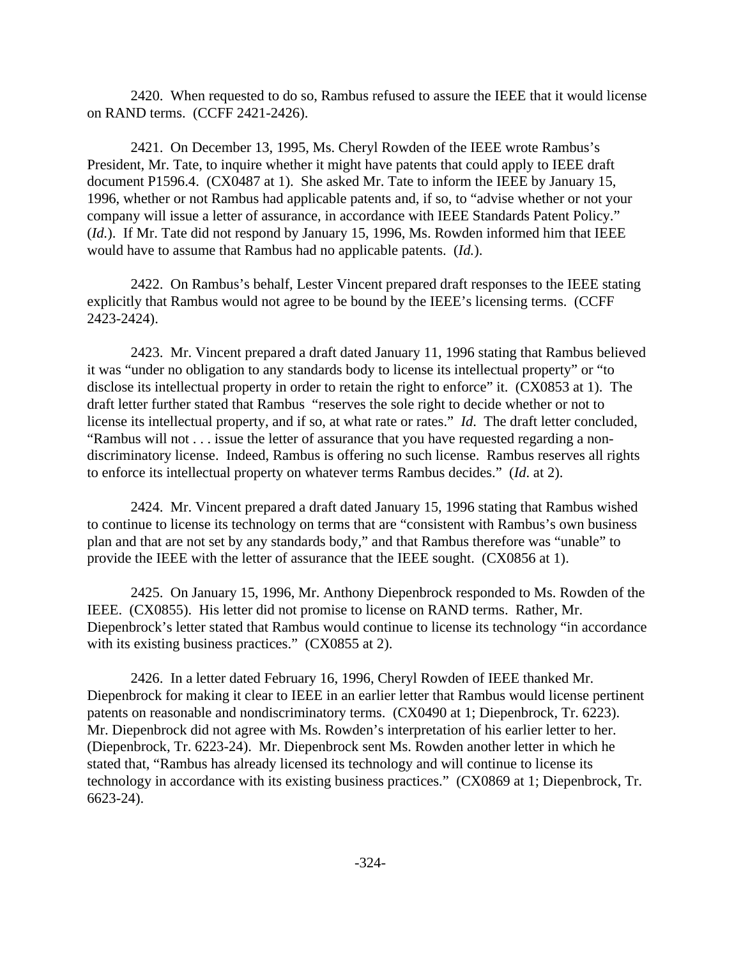2420. When requested to do so, Rambus refused to assure the IEEE that it would license on RAND terms. (CCFF 2421-2426).

2421. On December 13, 1995, Ms. Cheryl Rowden of the IEEE wrote Rambus's President, Mr. Tate, to inquire whether it might have patents that could apply to IEEE draft document P1596.4. (CX0487 at 1). She asked Mr. Tate to inform the IEEE by January 15, 1996, whether or not Rambus had applicable patents and, if so, to "advise whether or not your company will issue a letter of assurance, in accordance with IEEE Standards Patent Policy." (*Id.*). If Mr. Tate did not respond by January 15, 1996, Ms. Rowden informed him that IEEE would have to assume that Rambus had no applicable patents. (*Id.*).

2422. On Rambus's behalf, Lester Vincent prepared draft responses to the IEEE stating explicitly that Rambus would not agree to be bound by the IEEE's licensing terms. (CCFF 2423-2424).

2423. Mr. Vincent prepared a draft dated January 11, 1996 stating that Rambus believed it was "under no obligation to any standards body to license its intellectual property" or "to disclose its intellectual property in order to retain the right to enforce" it. (CX0853 at 1). The draft letter further stated that Rambus "reserves the sole right to decide whether or not to license its intellectual property, and if so, at what rate or rates." *Id*. The draft letter concluded, "Rambus will not . . . issue the letter of assurance that you have requested regarding a nondiscriminatory license. Indeed, Rambus is offering no such license. Rambus reserves all rights to enforce its intellectual property on whatever terms Rambus decides." (*Id*. at 2).

2424. Mr. Vincent prepared a draft dated January 15, 1996 stating that Rambus wished to continue to license its technology on terms that are "consistent with Rambus's own business plan and that are not set by any standards body," and that Rambus therefore was "unable" to provide the IEEE with the letter of assurance that the IEEE sought. (CX0856 at 1).

2425. On January 15, 1996, Mr. Anthony Diepenbrock responded to Ms. Rowden of the IEEE. (CX0855). His letter did not promise to license on RAND terms. Rather, Mr. Diepenbrock's letter stated that Rambus would continue to license its technology "in accordance with its existing business practices." (CX0855 at 2).

2426. In a letter dated February 16, 1996, Cheryl Rowden of IEEE thanked Mr. Diepenbrock for making it clear to IEEE in an earlier letter that Rambus would license pertinent patents on reasonable and nondiscriminatory terms. (CX0490 at 1; Diepenbrock, Tr. 6223). Mr. Diepenbrock did not agree with Ms. Rowden's interpretation of his earlier letter to her. (Diepenbrock, Tr. 6223-24). Mr. Diepenbrock sent Ms. Rowden another letter in which he stated that, "Rambus has already licensed its technology and will continue to license its technology in accordance with its existing business practices." (CX0869 at 1; Diepenbrock, Tr. 6623-24).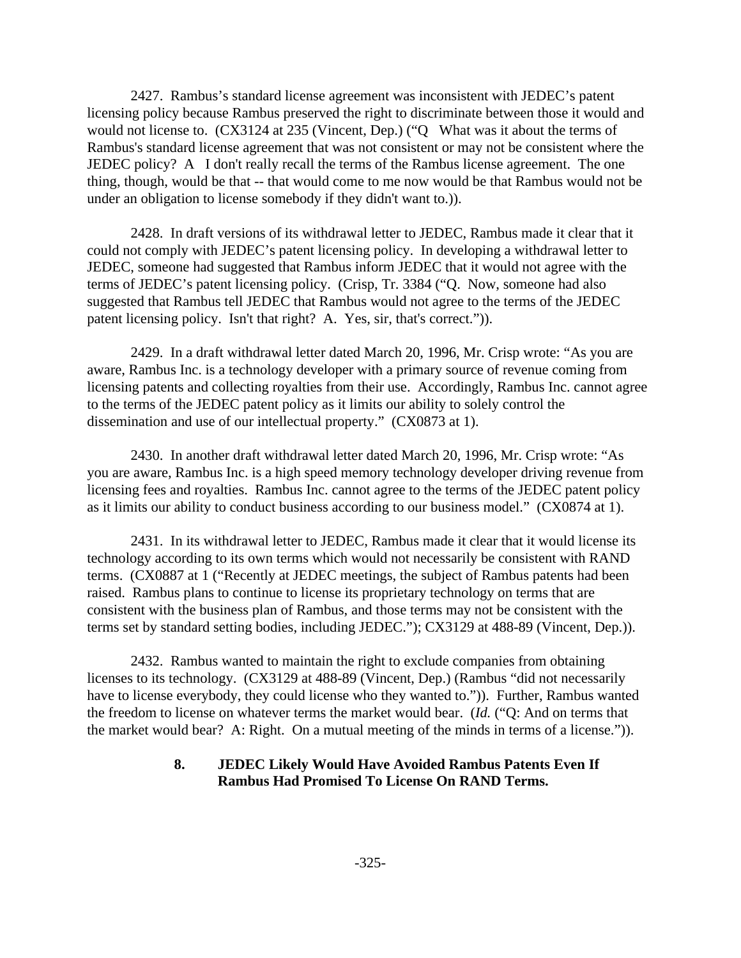2427. Rambus's standard license agreement was inconsistent with JEDEC's patent licensing policy because Rambus preserved the right to discriminate between those it would and would not license to. (CX3124 at 235 (Vincent, Dep.) ("Q What was it about the terms of Rambus's standard license agreement that was not consistent or may not be consistent where the JEDEC policy? A I don't really recall the terms of the Rambus license agreement. The one thing, though, would be that -- that would come to me now would be that Rambus would not be under an obligation to license somebody if they didn't want to.)).

2428. In draft versions of its withdrawal letter to JEDEC, Rambus made it clear that it could not comply with JEDEC's patent licensing policy. In developing a withdrawal letter to JEDEC, someone had suggested that Rambus inform JEDEC that it would not agree with the terms of JEDEC's patent licensing policy. (Crisp, Tr. 3384 ("Q. Now, someone had also suggested that Rambus tell JEDEC that Rambus would not agree to the terms of the JEDEC patent licensing policy. Isn't that right? A. Yes, sir, that's correct.")).

2429. In a draft withdrawal letter dated March 20, 1996, Mr. Crisp wrote: "As you are aware, Rambus Inc. is a technology developer with a primary source of revenue coming from licensing patents and collecting royalties from their use. Accordingly, Rambus Inc. cannot agree to the terms of the JEDEC patent policy as it limits our ability to solely control the dissemination and use of our intellectual property." (CX0873 at 1).

2430. In another draft withdrawal letter dated March 20, 1996, Mr. Crisp wrote: "As you are aware, Rambus Inc. is a high speed memory technology developer driving revenue from licensing fees and royalties. Rambus Inc. cannot agree to the terms of the JEDEC patent policy as it limits our ability to conduct business according to our business model." (CX0874 at 1).

2431. In its withdrawal letter to JEDEC, Rambus made it clear that it would license its technology according to its own terms which would not necessarily be consistent with RAND terms. (CX0887 at 1 ("Recently at JEDEC meetings, the subject of Rambus patents had been raised. Rambus plans to continue to license its proprietary technology on terms that are consistent with the business plan of Rambus, and those terms may not be consistent with the terms set by standard setting bodies, including JEDEC."); CX3129 at 488-89 (Vincent, Dep.)).

2432. Rambus wanted to maintain the right to exclude companies from obtaining licenses to its technology. (CX3129 at 488-89 (Vincent, Dep.) (Rambus "did not necessarily have to license everybody, they could license who they wanted to.")). Further, Rambus wanted the freedom to license on whatever terms the market would bear. (*Id.* ("Q: And on terms that the market would bear? A: Right. On a mutual meeting of the minds in terms of a license.")).

## **8. JEDEC Likely Would Have Avoided Rambus Patents Even If Rambus Had Promised To License On RAND Terms.**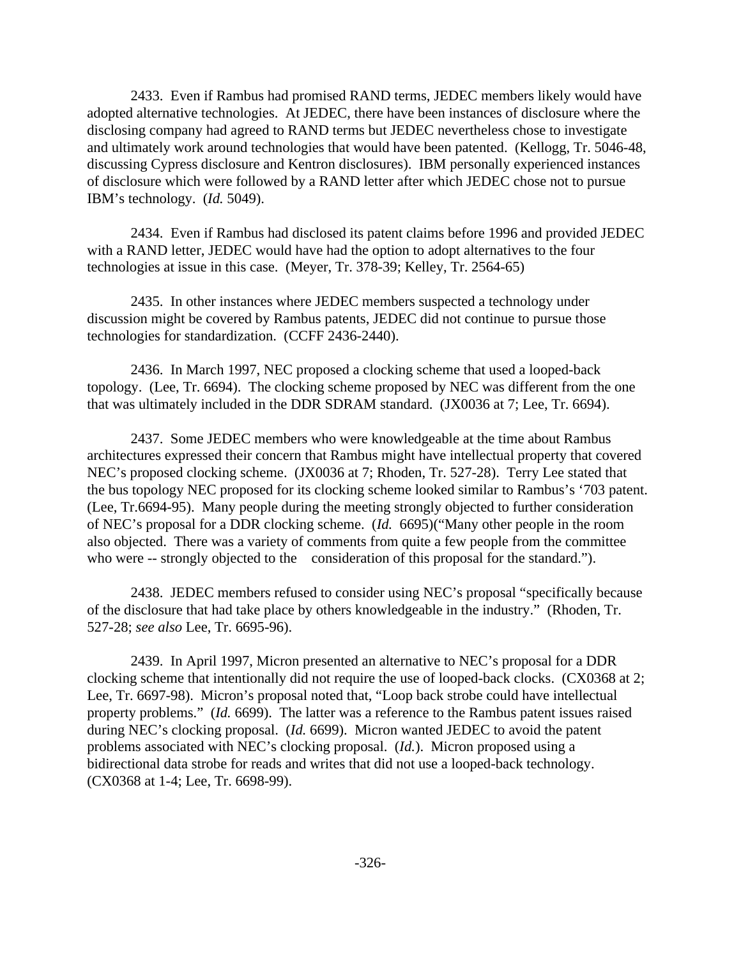2433. Even if Rambus had promised RAND terms, JEDEC members likely would have adopted alternative technologies. At JEDEC, there have been instances of disclosure where the disclosing company had agreed to RAND terms but JEDEC nevertheless chose to investigate and ultimately work around technologies that would have been patented. (Kellogg, Tr. 5046-48, discussing Cypress disclosure and Kentron disclosures). IBM personally experienced instances of disclosure which were followed by a RAND letter after which JEDEC chose not to pursue IBM's technology. (*Id.* 5049).

2434. Even if Rambus had disclosed its patent claims before 1996 and provided JEDEC with a RAND letter, JEDEC would have had the option to adopt alternatives to the four technologies at issue in this case. (Meyer, Tr. 378-39; Kelley, Tr. 2564-65)

2435. In other instances where JEDEC members suspected a technology under discussion might be covered by Rambus patents, JEDEC did not continue to pursue those technologies for standardization. (CCFF 2436-2440).

2436. In March 1997, NEC proposed a clocking scheme that used a looped-back topology. (Lee, Tr. 6694). The clocking scheme proposed by NEC was different from the one that was ultimately included in the DDR SDRAM standard. (JX0036 at 7; Lee, Tr. 6694).

2437. Some JEDEC members who were knowledgeable at the time about Rambus architectures expressed their concern that Rambus might have intellectual property that covered NEC's proposed clocking scheme. (JX0036 at 7; Rhoden, Tr. 527-28). Terry Lee stated that the bus topology NEC proposed for its clocking scheme looked similar to Rambus's '703 patent. (Lee, Tr.6694-95). Many people during the meeting strongly objected to further consideration of NEC's proposal for a DDR clocking scheme. (*Id.* 6695)("Many other people in the room also objected. There was a variety of comments from quite a few people from the committee who were -- strongly objected to the consideration of this proposal for the standard.").

2438. JEDEC members refused to consider using NEC's proposal "specifically because of the disclosure that had take place by others knowledgeable in the industry." (Rhoden, Tr. 527-28; *see also* Lee, Tr. 6695-96).

2439. In April 1997, Micron presented an alternative to NEC's proposal for a DDR clocking scheme that intentionally did not require the use of looped-back clocks. (CX0368 at 2; Lee, Tr. 6697-98). Micron's proposal noted that, "Loop back strobe could have intellectual property problems." (*Id.* 6699). The latter was a reference to the Rambus patent issues raised during NEC's clocking proposal. (*Id.* 6699). Micron wanted JEDEC to avoid the patent problems associated with NEC's clocking proposal. (*Id.*). Micron proposed using a bidirectional data strobe for reads and writes that did not use a looped-back technology. (CX0368 at 1-4; Lee, Tr. 6698-99).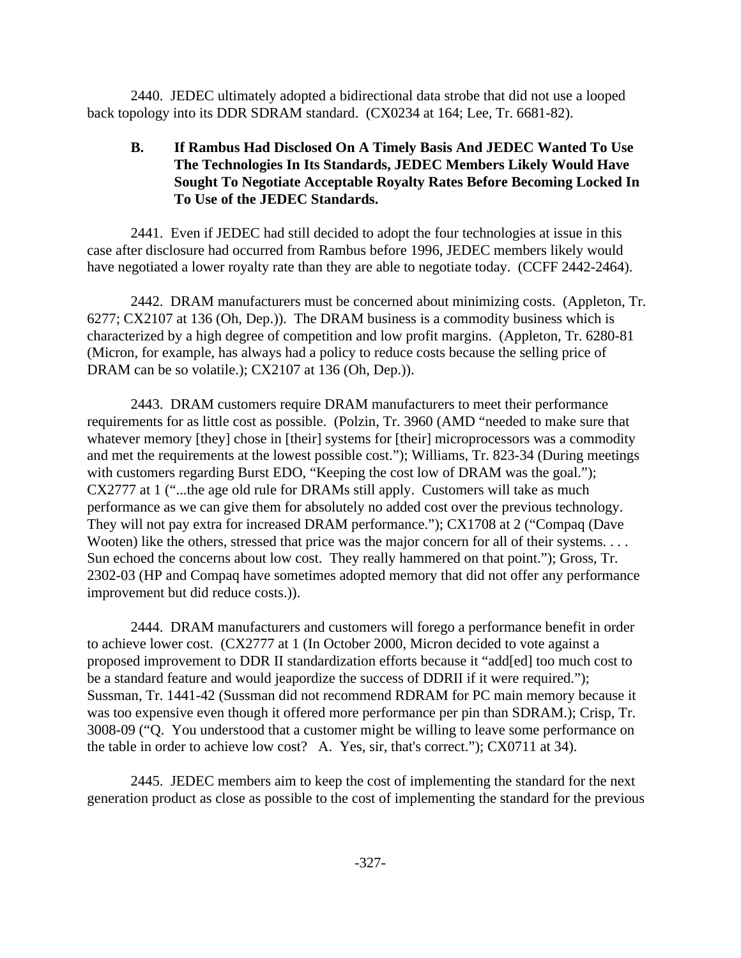2440. JEDEC ultimately adopted a bidirectional data strobe that did not use a looped back topology into its DDR SDRAM standard. (CX0234 at 164; Lee, Tr. 6681-82).

# **B. If Rambus Had Disclosed On A Timely Basis And JEDEC Wanted To Use The Technologies In Its Standards, JEDEC Members Likely Would Have Sought To Negotiate Acceptable Royalty Rates Before Becoming Locked In To Use of the JEDEC Standards.**

2441. Even if JEDEC had still decided to adopt the four technologies at issue in this case after disclosure had occurred from Rambus before 1996, JEDEC members likely would have negotiated a lower royalty rate than they are able to negotiate today. (CCFF 2442-2464).

2442. DRAM manufacturers must be concerned about minimizing costs. (Appleton, Tr. 6277; CX2107 at 136 (Oh, Dep.)). The DRAM business is a commodity business which is characterized by a high degree of competition and low profit margins. (Appleton, Tr. 6280-81 (Micron, for example, has always had a policy to reduce costs because the selling price of DRAM can be so volatile.); CX2107 at 136 (Oh, Dep.)).

2443. DRAM customers require DRAM manufacturers to meet their performance requirements for as little cost as possible. (Polzin, Tr. 3960 (AMD "needed to make sure that whatever memory [they] chose in [their] systems for [their] microprocessors was a commodity and met the requirements at the lowest possible cost."); Williams, Tr. 823-34 (During meetings with customers regarding Burst EDO, "Keeping the cost low of DRAM was the goal."); CX2777 at 1 ("...the age old rule for DRAMs still apply. Customers will take as much performance as we can give them for absolutely no added cost over the previous technology. They will not pay extra for increased DRAM performance."); CX1708 at 2 ("Compaq (Dave Wooten) like the others, stressed that price was the major concern for all of their systems. . . . Sun echoed the concerns about low cost. They really hammered on that point."); Gross, Tr. 2302-03 (HP and Compaq have sometimes adopted memory that did not offer any performance improvement but did reduce costs.)).

2444. DRAM manufacturers and customers will forego a performance benefit in order to achieve lower cost. (CX2777 at 1 (In October 2000, Micron decided to vote against a proposed improvement to DDR II standardization efforts because it "add[ed] too much cost to be a standard feature and would jeapordize the success of DDRII if it were required."); Sussman, Tr. 1441-42 (Sussman did not recommend RDRAM for PC main memory because it was too expensive even though it offered more performance per pin than SDRAM.); Crisp, Tr. 3008-09 ("Q. You understood that a customer might be willing to leave some performance on the table in order to achieve low cost? A. Yes, sir, that's correct."); CX0711 at 34).

2445. JEDEC members aim to keep the cost of implementing the standard for the next generation product as close as possible to the cost of implementing the standard for the previous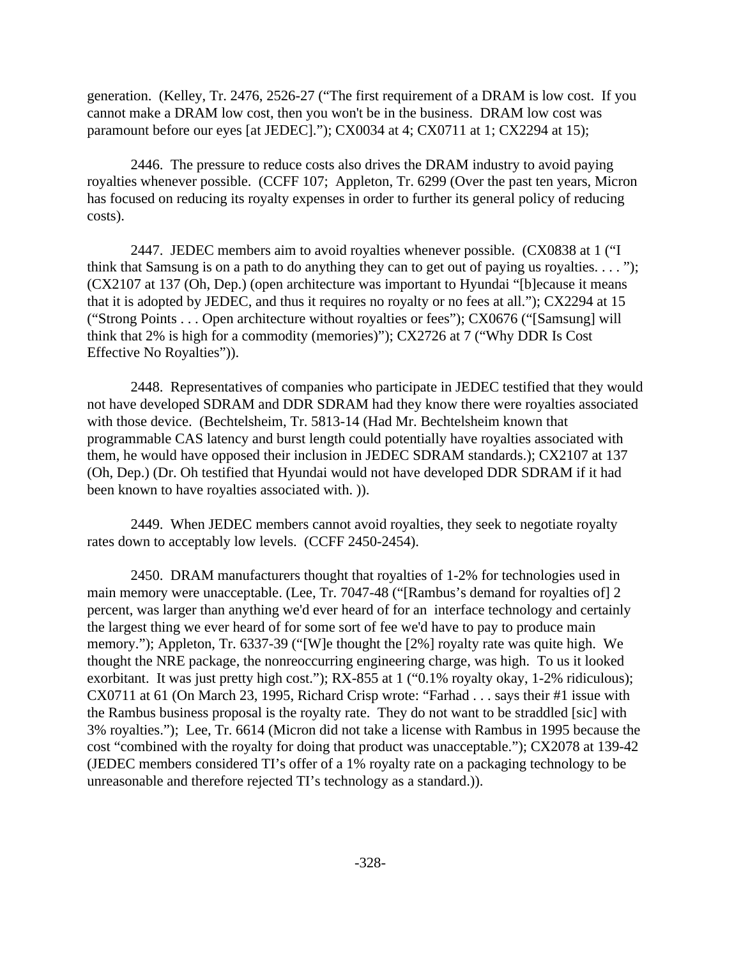generation. (Kelley, Tr. 2476, 2526-27 ("The first requirement of a DRAM is low cost. If you cannot make a DRAM low cost, then you won't be in the business. DRAM low cost was paramount before our eyes [at JEDEC]."); CX0034 at 4; CX0711 at 1; CX2294 at 15);

2446. The pressure to reduce costs also drives the DRAM industry to avoid paying royalties whenever possible. (CCFF 107; Appleton, Tr. 6299 (Over the past ten years, Micron has focused on reducing its royalty expenses in order to further its general policy of reducing costs).

2447. JEDEC members aim to avoid royalties whenever possible. (CX0838 at 1 ("I think that Samsung is on a path to do anything they can to get out of paying us royalties.  $\dots$ "); (CX2107 at 137 (Oh, Dep.) (open architecture was important to Hyundai "[b]ecause it means that it is adopted by JEDEC, and thus it requires no royalty or no fees at all."); CX2294 at 15 ("Strong Points . . . Open architecture without royalties or fees"); CX0676 ("[Samsung] will think that 2% is high for a commodity (memories)"); CX2726 at 7 ("Why DDR Is Cost Effective No Royalties")).

2448. Representatives of companies who participate in JEDEC testified that they would not have developed SDRAM and DDR SDRAM had they know there were royalties associated with those device. (Bechtelsheim, Tr. 5813-14 (Had Mr. Bechtelsheim known that programmable CAS latency and burst length could potentially have royalties associated with them, he would have opposed their inclusion in JEDEC SDRAM standards.); CX2107 at 137 (Oh, Dep.) (Dr. Oh testified that Hyundai would not have developed DDR SDRAM if it had been known to have royalties associated with. )).

2449. When JEDEC members cannot avoid royalties, they seek to negotiate royalty rates down to acceptably low levels. (CCFF 2450-2454).

2450. DRAM manufacturers thought that royalties of 1-2% for technologies used in main memory were unacceptable. (Lee, Tr. 7047-48 ("[Rambus's demand for royalties of] 2 percent, was larger than anything we'd ever heard of for an interface technology and certainly the largest thing we ever heard of for some sort of fee we'd have to pay to produce main memory."); Appleton, Tr. 6337-39 ("[W]e thought the [2%] royalty rate was quite high. We thought the NRE package, the nonreoccurring engineering charge, was high. To us it looked exorbitant. It was just pretty high cost."); RX-855 at 1 ("0.1% royalty okay, 1-2% ridiculous); CX0711 at 61 (On March 23, 1995, Richard Crisp wrote: "Farhad . . . says their #1 issue with the Rambus business proposal is the royalty rate. They do not want to be straddled [sic] with 3% royalties."); Lee, Tr. 6614 (Micron did not take a license with Rambus in 1995 because the cost "combined with the royalty for doing that product was unacceptable."); CX2078 at 139-42 (JEDEC members considered TI's offer of a 1% royalty rate on a packaging technology to be unreasonable and therefore rejected TI's technology as a standard.)).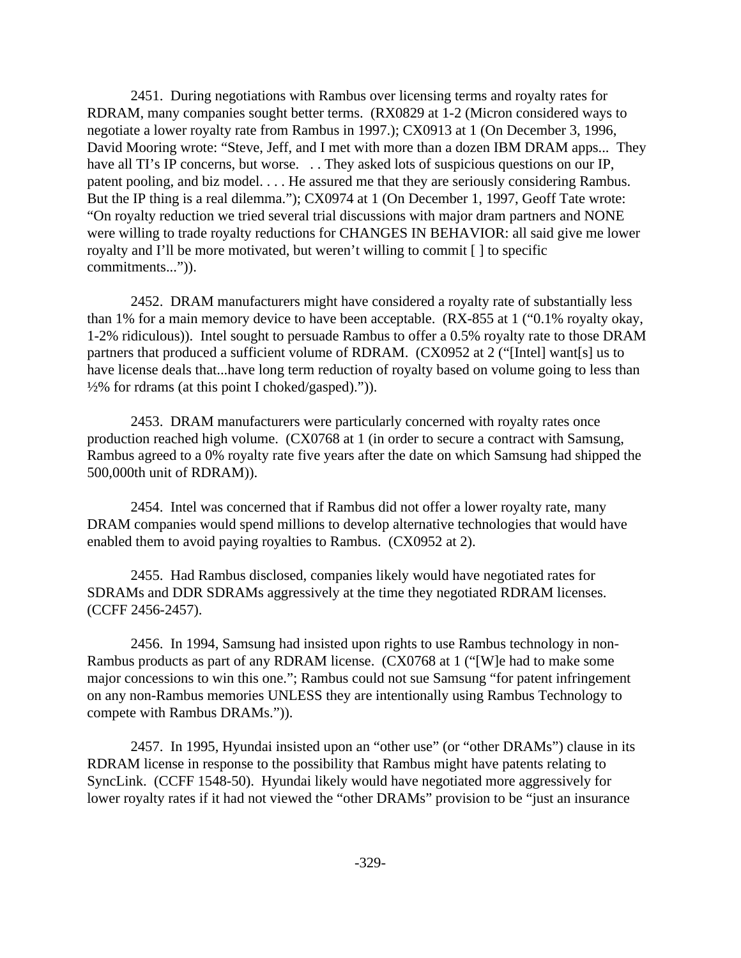2451. During negotiations with Rambus over licensing terms and royalty rates for RDRAM, many companies sought better terms. (RX0829 at 1-2 (Micron considered ways to negotiate a lower royalty rate from Rambus in 1997.); CX0913 at 1 (On December 3, 1996, David Mooring wrote: "Steve, Jeff, and I met with more than a dozen IBM DRAM apps... They have all TI's IP concerns, but worse. . . They asked lots of suspicious questions on our IP, patent pooling, and biz model. . . . He assured me that they are seriously considering Rambus. But the IP thing is a real dilemma."); CX0974 at 1 (On December 1, 1997, Geoff Tate wrote: "On royalty reduction we tried several trial discussions with major dram partners and NONE were willing to trade royalty reductions for CHANGES IN BEHAVIOR: all said give me lower royalty and I'll be more motivated, but weren't willing to commit [ ] to specific commitments...")).

2452. DRAM manufacturers might have considered a royalty rate of substantially less than 1% for a main memory device to have been acceptable. (RX-855 at 1 ("0.1% royalty okay, 1-2% ridiculous)). Intel sought to persuade Rambus to offer a 0.5% royalty rate to those DRAM partners that produced a sufficient volume of RDRAM. (CX0952 at 2 ("[Intel] want[s] us to have license deals that...have long term reduction of royalty based on volume going to less than  $\frac{1}{2}\%$  for rdrams (at this point I choked/gasped).")).

2453. DRAM manufacturers were particularly concerned with royalty rates once production reached high volume. (CX0768 at 1 (in order to secure a contract with Samsung, Rambus agreed to a 0% royalty rate five years after the date on which Samsung had shipped the 500,000th unit of RDRAM)).

2454. Intel was concerned that if Rambus did not offer a lower royalty rate, many DRAM companies would spend millions to develop alternative technologies that would have enabled them to avoid paying royalties to Rambus. (CX0952 at 2).

2455. Had Rambus disclosed, companies likely would have negotiated rates for SDRAMs and DDR SDRAMs aggressively at the time they negotiated RDRAM licenses. (CCFF 2456-2457).

2456. In 1994, Samsung had insisted upon rights to use Rambus technology in non-Rambus products as part of any RDRAM license. (CX0768 at 1 ("[W]e had to make some major concessions to win this one."; Rambus could not sue Samsung "for patent infringement on any non-Rambus memories UNLESS they are intentionally using Rambus Technology to compete with Rambus DRAMs.")).

2457. In 1995, Hyundai insisted upon an "other use" (or "other DRAMs") clause in its RDRAM license in response to the possibility that Rambus might have patents relating to SyncLink. (CCFF 1548-50). Hyundai likely would have negotiated more aggressively for lower royalty rates if it had not viewed the "other DRAMs" provision to be "just an insurance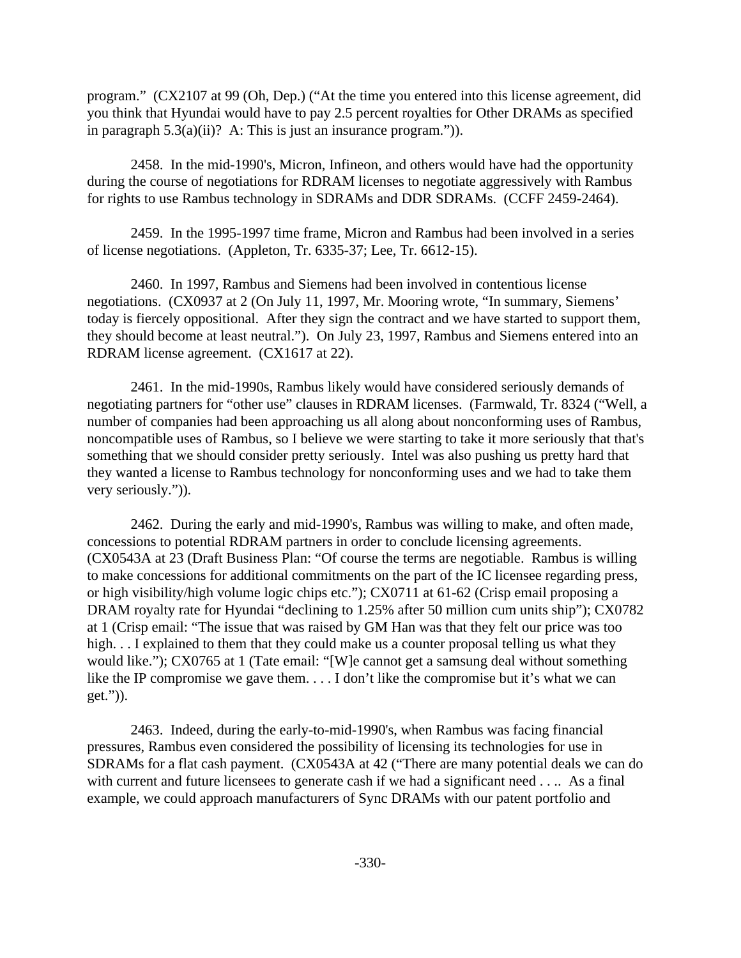program." (CX2107 at 99 (Oh, Dep.) ("At the time you entered into this license agreement, did you think that Hyundai would have to pay 2.5 percent royalties for Other DRAMs as specified in paragraph  $5.3(a)(ii)$ ? A: This is just an insurance program.").

2458. In the mid-1990's, Micron, Infineon, and others would have had the opportunity during the course of negotiations for RDRAM licenses to negotiate aggressively with Rambus for rights to use Rambus technology in SDRAMs and DDR SDRAMs. (CCFF 2459-2464).

2459. In the 1995-1997 time frame, Micron and Rambus had been involved in a series of license negotiations. (Appleton, Tr. 6335-37; Lee, Tr. 6612-15).

2460. In 1997, Rambus and Siemens had been involved in contentious license negotiations. (CX0937 at 2 (On July 11, 1997, Mr. Mooring wrote, "In summary, Siemens' today is fiercely oppositional. After they sign the contract and we have started to support them, they should become at least neutral."). On July 23, 1997, Rambus and Siemens entered into an RDRAM license agreement. (CX1617 at 22).

2461. In the mid-1990s, Rambus likely would have considered seriously demands of negotiating partners for "other use" clauses in RDRAM licenses. (Farmwald, Tr. 8324 ("Well, a number of companies had been approaching us all along about nonconforming uses of Rambus, noncompatible uses of Rambus, so I believe we were starting to take it more seriously that that's something that we should consider pretty seriously. Intel was also pushing us pretty hard that they wanted a license to Rambus technology for nonconforming uses and we had to take them very seriously.")).

2462. During the early and mid-1990's, Rambus was willing to make, and often made, concessions to potential RDRAM partners in order to conclude licensing agreements. (CX0543A at 23 (Draft Business Plan: "Of course the terms are negotiable. Rambus is willing to make concessions for additional commitments on the part of the IC licensee regarding press, or high visibility/high volume logic chips etc."); CX0711 at 61-62 (Crisp email proposing a DRAM royalty rate for Hyundai "declining to 1.25% after 50 million cum units ship"); CX0782 at 1 (Crisp email: "The issue that was raised by GM Han was that they felt our price was too high. . . I explained to them that they could make us a counter proposal telling us what they would like."); CX0765 at 1 (Tate email: "[W]e cannot get a samsung deal without something like the IP compromise we gave them. . . . I don't like the compromise but it's what we can get.")).

2463. Indeed, during the early-to-mid-1990's, when Rambus was facing financial pressures, Rambus even considered the possibility of licensing its technologies for use in SDRAMs for a flat cash payment. (CX0543A at 42 ("There are many potential deals we can do with current and future licensees to generate cash if we had a significant need . . .. As a final example, we could approach manufacturers of Sync DRAMs with our patent portfolio and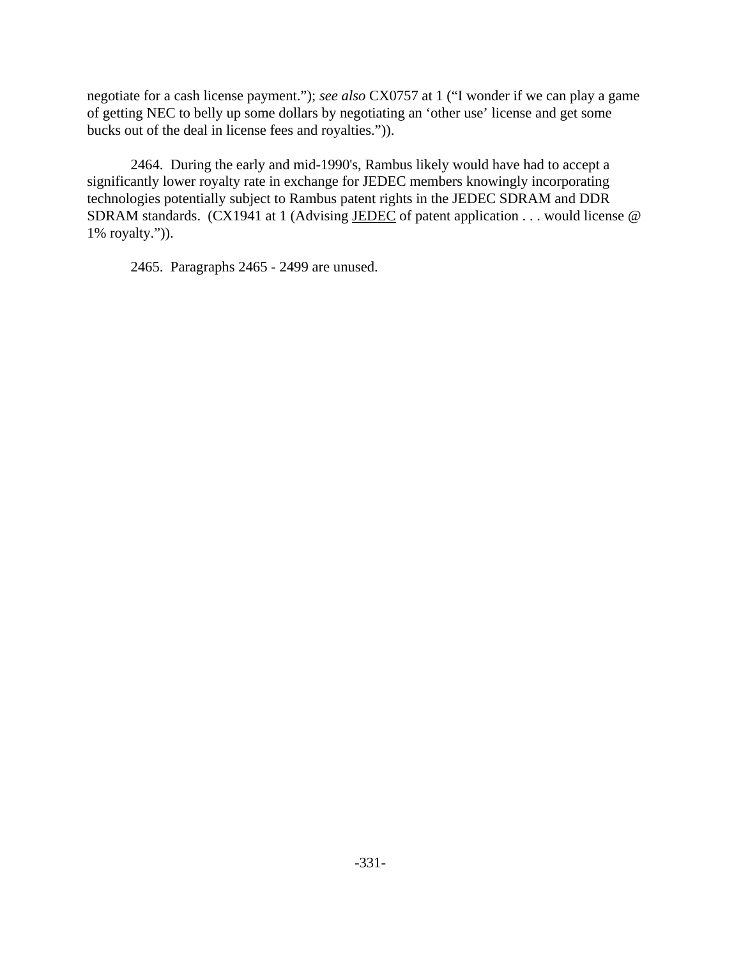negotiate for a cash license payment."); *see also* CX0757 at 1 ("I wonder if we can play a game of getting NEC to belly up some dollars by negotiating an 'other use' license and get some bucks out of the deal in license fees and royalties.")).

2464. During the early and mid-1990's, Rambus likely would have had to accept a significantly lower royalty rate in exchange for JEDEC members knowingly incorporating technologies potentially subject to Rambus patent rights in the JEDEC SDRAM and DDR SDRAM standards. (CX1941 at 1 (Advising JEDEC of patent application . . . would license @ 1% royalty.")).

2465. Paragraphs 2465 - 2499 are unused.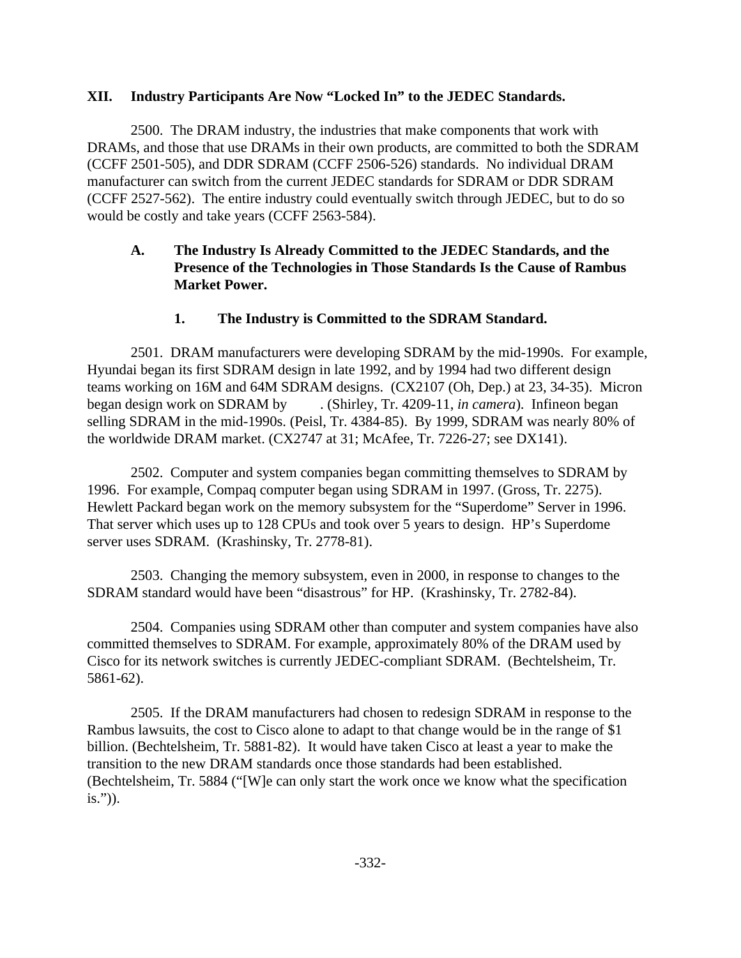## **XII. Industry Participants Are Now "Locked In" to the JEDEC Standards.**

2500. The DRAM industry, the industries that make components that work with DRAMs, and those that use DRAMs in their own products, are committed to both the SDRAM (CCFF 2501-505), and DDR SDRAM (CCFF 2506-526) standards. No individual DRAM manufacturer can switch from the current JEDEC standards for SDRAM or DDR SDRAM (CCFF 2527-562). The entire industry could eventually switch through JEDEC, but to do so would be costly and take years (CCFF 2563-584).

# **A. The Industry Is Already Committed to the JEDEC Standards, and the Presence of the Technologies in Those Standards Is the Cause of Rambus Market Power.**

## **1. The Industry is Committed to the SDRAM Standard.**

2501. DRAM manufacturers were developing SDRAM by the mid-1990s. For example, Hyundai began its first SDRAM design in late 1992, and by 1994 had two different design teams working on 16M and 64M SDRAM designs. (CX2107 (Oh, Dep.) at 23, 34-35). Micron began design work on SDRAM by . (Shirley, Tr. 4209-11, *in camera*). Infineon began selling SDRAM in the mid-1990s. (Peisl, Tr. 4384-85). By 1999, SDRAM was nearly 80% of the worldwide DRAM market. (CX2747 at 31; McAfee, Tr. 7226-27; see DX141).

2502. Computer and system companies began committing themselves to SDRAM by 1996. For example, Compaq computer began using SDRAM in 1997. (Gross, Tr. 2275). Hewlett Packard began work on the memory subsystem for the "Superdome" Server in 1996. That server which uses up to 128 CPUs and took over 5 years to design. HP's Superdome server uses SDRAM. (Krashinsky, Tr. 2778-81).

2503. Changing the memory subsystem, even in 2000, in response to changes to the SDRAM standard would have been "disastrous" for HP. (Krashinsky, Tr. 2782-84).

2504. Companies using SDRAM other than computer and system companies have also committed themselves to SDRAM. For example, approximately 80% of the DRAM used by Cisco for its network switches is currently JEDEC-compliant SDRAM. (Bechtelsheim, Tr. 5861-62).

2505. If the DRAM manufacturers had chosen to redesign SDRAM in response to the Rambus lawsuits, the cost to Cisco alone to adapt to that change would be in the range of \$1 billion. (Bechtelsheim, Tr. 5881-82). It would have taken Cisco at least a year to make the transition to the new DRAM standards once those standards had been established. (Bechtelsheim, Tr. 5884 ("[W]e can only start the work once we know what the specification is.")).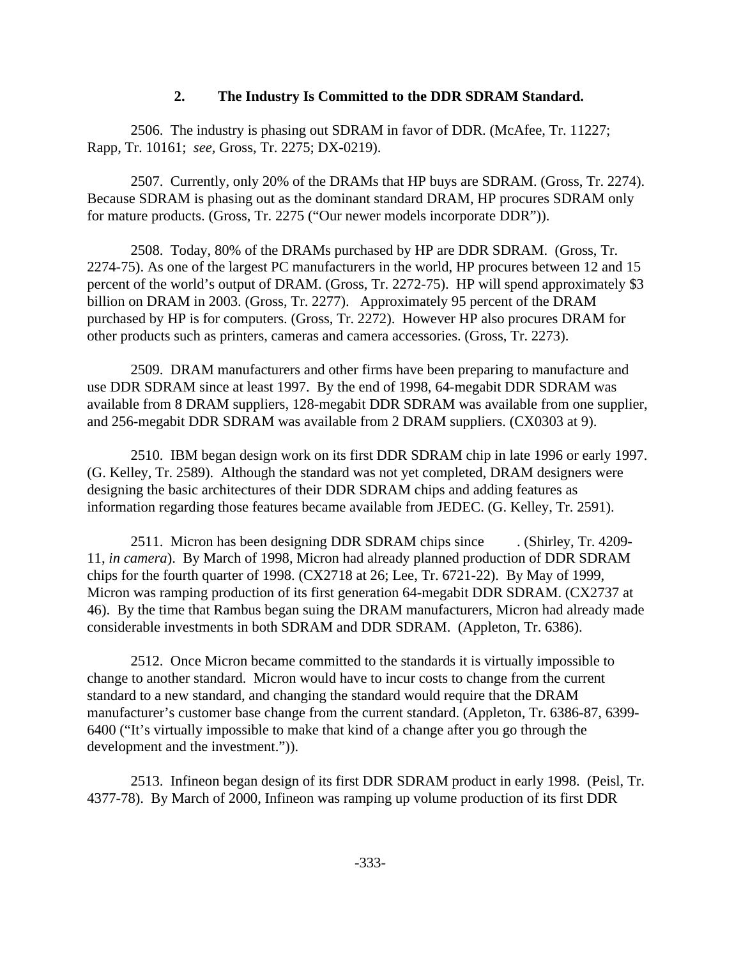#### **2. The Industry Is Committed to the DDR SDRAM Standard.**

2506. The industry is phasing out SDRAM in favor of DDR. (McAfee, Tr. 11227; Rapp, Tr. 10161; *see,* Gross, Tr. 2275; DX-0219).

2507. Currently, only 20% of the DRAMs that HP buys are SDRAM. (Gross, Tr. 2274). Because SDRAM is phasing out as the dominant standard DRAM, HP procures SDRAM only for mature products. (Gross, Tr. 2275 ("Our newer models incorporate DDR")).

2508. Today, 80% of the DRAMs purchased by HP are DDR SDRAM. (Gross, Tr. 2274-75). As one of the largest PC manufacturers in the world, HP procures between 12 and 15 percent of the world's output of DRAM. (Gross, Tr. 2272-75). HP will spend approximately \$3 billion on DRAM in 2003. (Gross, Tr. 2277). Approximately 95 percent of the DRAM purchased by HP is for computers. (Gross, Tr. 2272). However HP also procures DRAM for other products such as printers, cameras and camera accessories. (Gross, Tr. 2273).

2509. DRAM manufacturers and other firms have been preparing to manufacture and use DDR SDRAM since at least 1997. By the end of 1998, 64-megabit DDR SDRAM was available from 8 DRAM suppliers, 128-megabit DDR SDRAM was available from one supplier, and 256-megabit DDR SDRAM was available from 2 DRAM suppliers. (CX0303 at 9).

2510. IBM began design work on its first DDR SDRAM chip in late 1996 or early 1997. (G. Kelley, Tr. 2589). Although the standard was not yet completed, DRAM designers were designing the basic architectures of their DDR SDRAM chips and adding features as information regarding those features became available from JEDEC. (G. Kelley, Tr. 2591).

2511. Micron has been designing DDR SDRAM chips since . (Shirley, Tr. 4209- 11, *in camera*). By March of 1998, Micron had already planned production of DDR SDRAM chips for the fourth quarter of 1998. (CX2718 at 26; Lee, Tr. 6721-22). By May of 1999, Micron was ramping production of its first generation 64-megabit DDR SDRAM. (CX2737 at 46). By the time that Rambus began suing the DRAM manufacturers, Micron had already made considerable investments in both SDRAM and DDR SDRAM. (Appleton, Tr. 6386).

2512. Once Micron became committed to the standards it is virtually impossible to change to another standard. Micron would have to incur costs to change from the current standard to a new standard, and changing the standard would require that the DRAM manufacturer's customer base change from the current standard. (Appleton, Tr. 6386-87, 6399- 6400 ("It's virtually impossible to make that kind of a change after you go through the development and the investment.")).

2513. Infineon began design of its first DDR SDRAM product in early 1998. (Peisl, Tr. 4377-78). By March of 2000, Infineon was ramping up volume production of its first DDR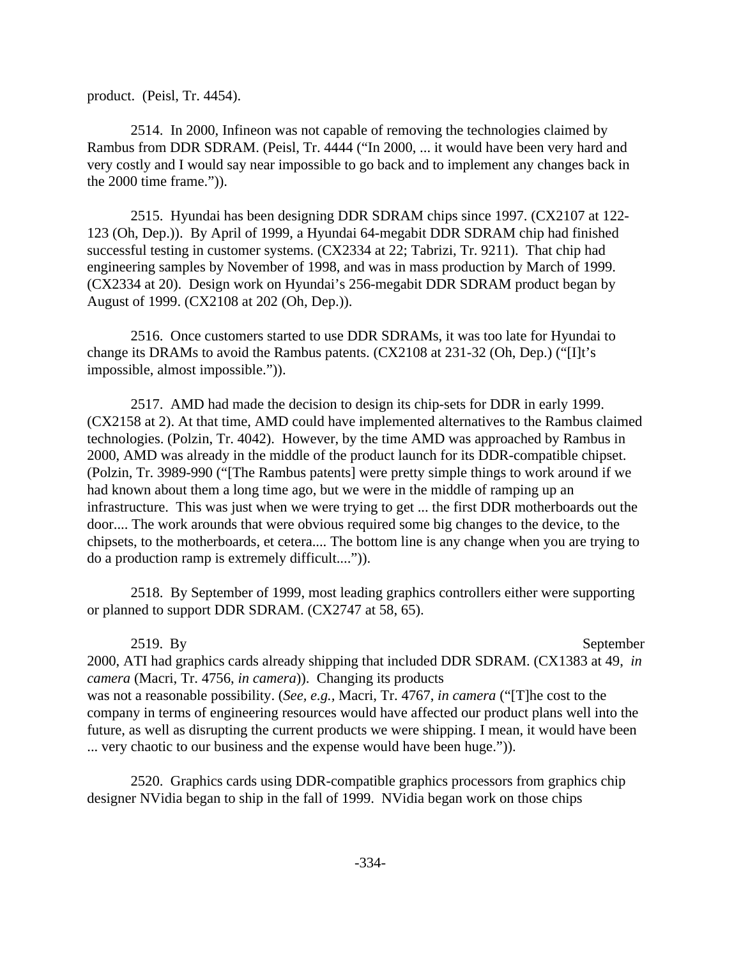product. (Peisl, Tr. 4454).

2514. In 2000, Infineon was not capable of removing the technologies claimed by Rambus from DDR SDRAM. (Peisl, Tr. 4444 ("In 2000, ... it would have been very hard and very costly and I would say near impossible to go back and to implement any changes back in the 2000 time frame.")).

2515. Hyundai has been designing DDR SDRAM chips since 1997. (CX2107 at 122- 123 (Oh, Dep.)). By April of 1999, a Hyundai 64-megabit DDR SDRAM chip had finished successful testing in customer systems. (CX2334 at 22; Tabrizi, Tr. 9211). That chip had engineering samples by November of 1998, and was in mass production by March of 1999. (CX2334 at 20). Design work on Hyundai's 256-megabit DDR SDRAM product began by August of 1999. (CX2108 at 202 (Oh, Dep.)).

2516. Once customers started to use DDR SDRAMs, it was too late for Hyundai to change its DRAMs to avoid the Rambus patents. (CX2108 at 231-32 (Oh, Dep.) ("[I]t's impossible, almost impossible.")).

2517. AMD had made the decision to design its chip-sets for DDR in early 1999. (CX2158 at 2). At that time, AMD could have implemented alternatives to the Rambus claimed technologies. (Polzin, Tr. 4042). However, by the time AMD was approached by Rambus in 2000, AMD was already in the middle of the product launch for its DDR-compatible chipset. (Polzin, Tr. 3989-990 ("[The Rambus patents] were pretty simple things to work around if we had known about them a long time ago, but we were in the middle of ramping up an infrastructure. This was just when we were trying to get ... the first DDR motherboards out the door.... The work arounds that were obvious required some big changes to the device, to the chipsets, to the motherboards, et cetera.... The bottom line is any change when you are trying to do a production ramp is extremely difficult....")).

2518. By September of 1999, most leading graphics controllers either were supporting or planned to support DDR SDRAM. (CX2747 at 58, 65).

2519. By September

2000, ATI had graphics cards already shipping that included DDR SDRAM. (CX1383 at 49, *in camera* (Macri, Tr. 4756, *in camera*)). Changing its products was not a reasonable possibility. (*See, e.g.,* Macri, Tr. 4767, *in camera* ("[T]he cost to the company in terms of engineering resources would have affected our product plans well into the future, as well as disrupting the current products we were shipping. I mean, it would have been ... very chaotic to our business and the expense would have been huge.")).

2520. Graphics cards using DDR-compatible graphics processors from graphics chip designer NVidia began to ship in the fall of 1999. NVidia began work on those chips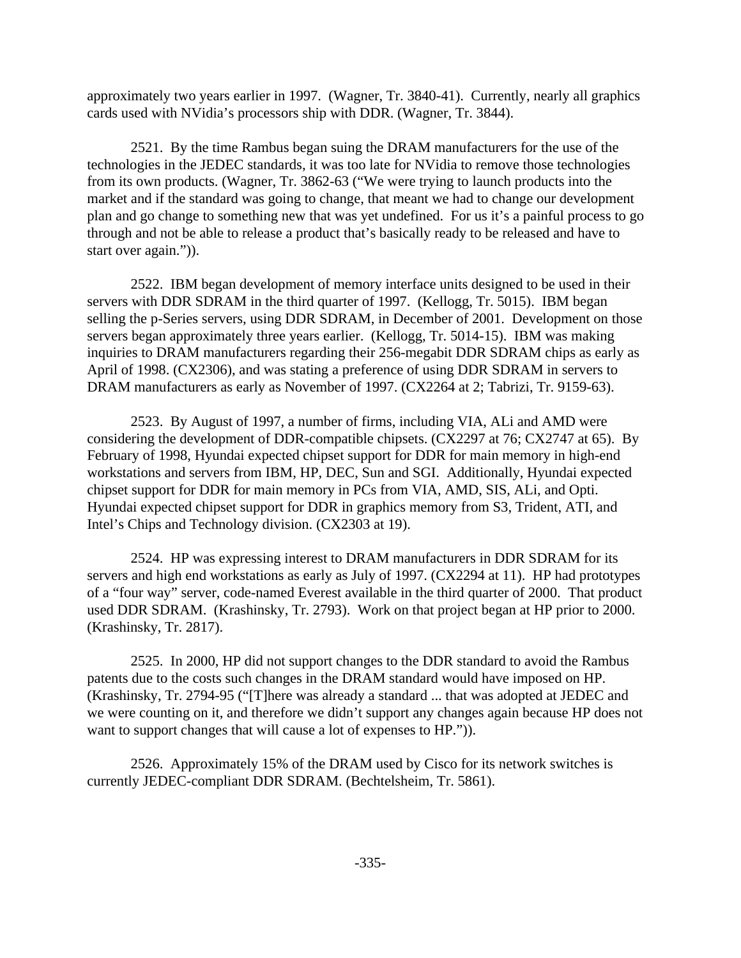approximately two years earlier in 1997. (Wagner, Tr. 3840-41). Currently, nearly all graphics cards used with NVidia's processors ship with DDR. (Wagner, Tr. 3844).

2521. By the time Rambus began suing the DRAM manufacturers for the use of the technologies in the JEDEC standards, it was too late for NVidia to remove those technologies from its own products. (Wagner, Tr. 3862-63 ("We were trying to launch products into the market and if the standard was going to change, that meant we had to change our development plan and go change to something new that was yet undefined. For us it's a painful process to go through and not be able to release a product that's basically ready to be released and have to start over again.")).

2522. IBM began development of memory interface units designed to be used in their servers with DDR SDRAM in the third quarter of 1997. (Kellogg, Tr. 5015). IBM began selling the p-Series servers, using DDR SDRAM, in December of 2001. Development on those servers began approximately three years earlier. (Kellogg, Tr. 5014-15). IBM was making inquiries to DRAM manufacturers regarding their 256-megabit DDR SDRAM chips as early as April of 1998. (CX2306), and was stating a preference of using DDR SDRAM in servers to DRAM manufacturers as early as November of 1997. (CX2264 at 2; Tabrizi, Tr. 9159-63).

2523. By August of 1997, a number of firms, including VIA, ALi and AMD were considering the development of DDR-compatible chipsets. (CX2297 at 76; CX2747 at 65). By February of 1998, Hyundai expected chipset support for DDR for main memory in high-end workstations and servers from IBM, HP, DEC, Sun and SGI. Additionally, Hyundai expected chipset support for DDR for main memory in PCs from VIA, AMD, SIS, ALi, and Opti. Hyundai expected chipset support for DDR in graphics memory from S3, Trident, ATI, and Intel's Chips and Technology division. (CX2303 at 19).

2524. HP was expressing interest to DRAM manufacturers in DDR SDRAM for its servers and high end workstations as early as July of 1997. (CX2294 at 11). HP had prototypes of a "four way" server, code-named Everest available in the third quarter of 2000. That product used DDR SDRAM. (Krashinsky, Tr. 2793). Work on that project began at HP prior to 2000. (Krashinsky, Tr. 2817).

2525. In 2000, HP did not support changes to the DDR standard to avoid the Rambus patents due to the costs such changes in the DRAM standard would have imposed on HP. (Krashinsky, Tr. 2794-95 ("[T]here was already a standard ... that was adopted at JEDEC and we were counting on it, and therefore we didn't support any changes again because HP does not want to support changes that will cause a lot of expenses to HP.")).

2526. Approximately 15% of the DRAM used by Cisco for its network switches is currently JEDEC-compliant DDR SDRAM. (Bechtelsheim, Tr. 5861).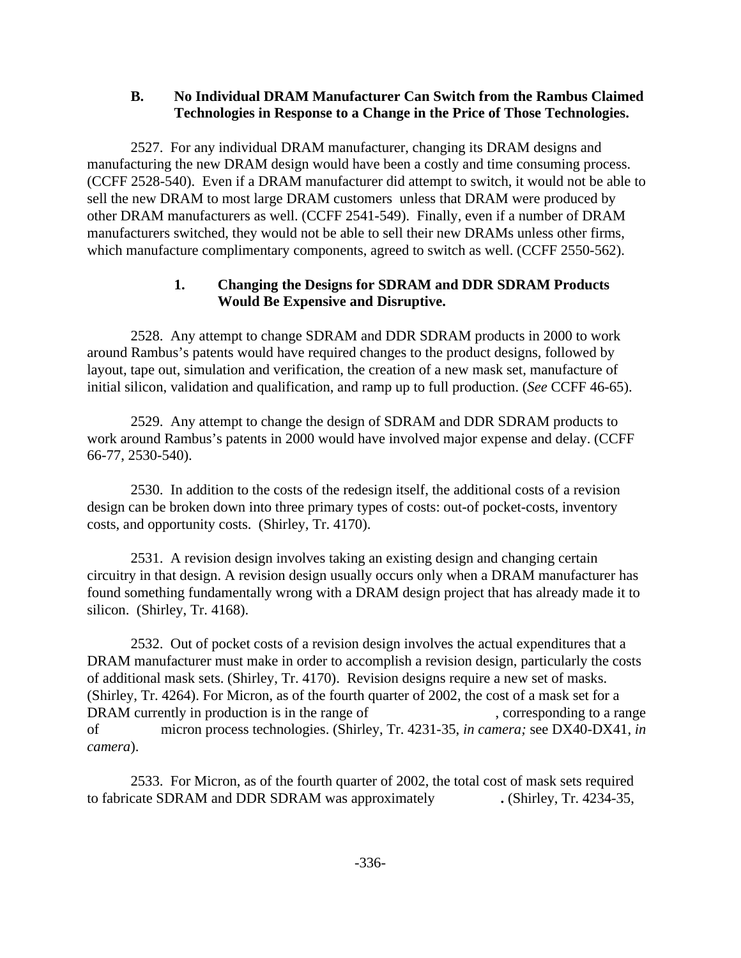#### **B. No Individual DRAM Manufacturer Can Switch from the Rambus Claimed Technologies in Response to a Change in the Price of Those Technologies.**

2527. For any individual DRAM manufacturer, changing its DRAM designs and manufacturing the new DRAM design would have been a costly and time consuming process. (CCFF 2528-540). Even if a DRAM manufacturer did attempt to switch, it would not be able to sell the new DRAM to most large DRAM customers unless that DRAM were produced by other DRAM manufacturers as well. (CCFF 2541-549). Finally, even if a number of DRAM manufacturers switched, they would not be able to sell their new DRAMs unless other firms, which manufacture complimentary components, agreed to switch as well. (CCFF 2550-562).

## **1. Changing the Designs for SDRAM and DDR SDRAM Products Would Be Expensive and Disruptive.**

2528. Any attempt to change SDRAM and DDR SDRAM products in 2000 to work around Rambus's patents would have required changes to the product designs, followed by layout, tape out, simulation and verification, the creation of a new mask set, manufacture of initial silicon, validation and qualification, and ramp up to full production. (*See* CCFF 46-65).

2529. Any attempt to change the design of SDRAM and DDR SDRAM products to work around Rambus's patents in 2000 would have involved major expense and delay. (CCFF 66-77, 2530-540).

2530. In addition to the costs of the redesign itself, the additional costs of a revision design can be broken down into three primary types of costs: out-of pocket-costs, inventory costs, and opportunity costs. (Shirley, Tr. 4170).

2531. A revision design involves taking an existing design and changing certain circuitry in that design. A revision design usually occurs only when a DRAM manufacturer has found something fundamentally wrong with a DRAM design project that has already made it to silicon. (Shirley, Tr. 4168).

2532. Out of pocket costs of a revision design involves the actual expenditures that a DRAM manufacturer must make in order to accomplish a revision design, particularly the costs of additional mask sets. (Shirley, Tr. 4170). Revision designs require a new set of masks. (Shirley, Tr. 4264). For Micron, as of the fourth quarter of 2002, the cost of a mask set for a DRAM currently in production is in the range of , corresponding to a range of micron process technologies. (Shirley, Tr. 4231-35, *in camera;* see DX40-DX41, *in camera*).

2533. For Micron, as of the fourth quarter of 2002, the total cost of mask sets required to fabricate SDRAM and DDR SDRAM was approximately **.** (Shirley, Tr. 4234-35,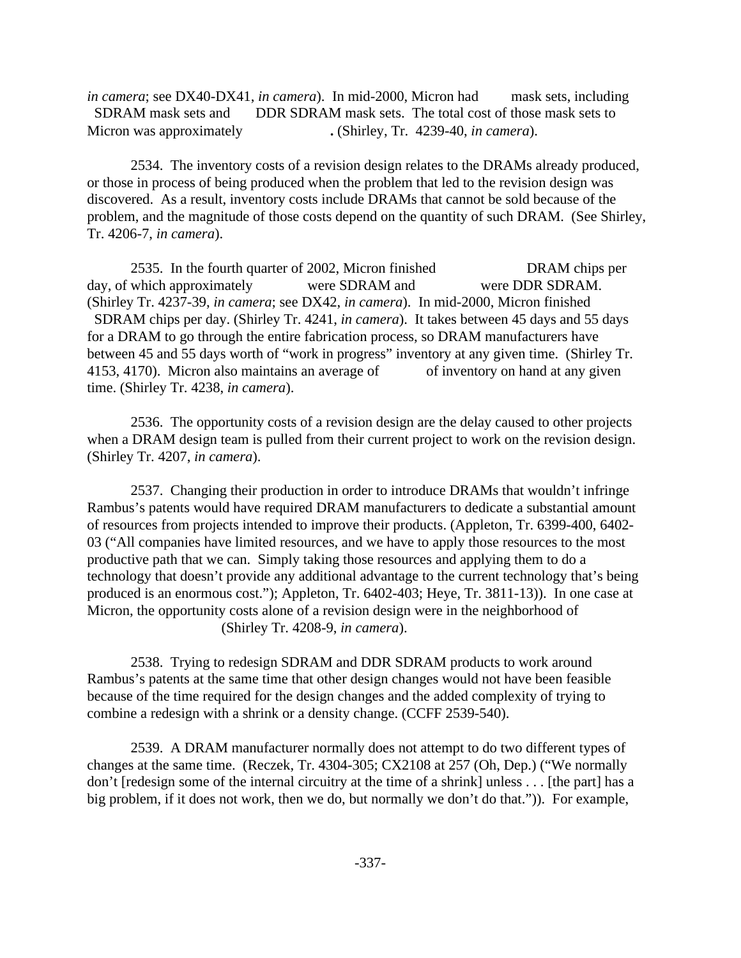*in camera*; see DX40-DX41, *in camera*). In mid-2000, Micron had mask sets, including SDRAM mask sets and DDR SDRAM mask sets. The total cost of those mask sets to Micron was approximately **.** (Shirley, Tr. 4239-40, *in camera*).

2534. The inventory costs of a revision design relates to the DRAMs already produced, or those in process of being produced when the problem that led to the revision design was discovered. As a result, inventory costs include DRAMs that cannot be sold because of the problem, and the magnitude of those costs depend on the quantity of such DRAM. (See Shirley, Tr. 4206-7, *in camera*).

2535. In the fourth quarter of 2002, Micron finished DRAM chips per day, of which approximately were SDRAM and were DDR SDRAM. (Shirley Tr. 4237-39, *in camera*; see DX42, *in camera*). In mid-2000, Micron finished SDRAM chips per day. (Shirley Tr. 4241, *in camera*). It takes between 45 days and 55 days for a DRAM to go through the entire fabrication process, so DRAM manufacturers have between 45 and 55 days worth of "work in progress" inventory at any given time. (Shirley Tr. 4153, 4170). Micron also maintains an average of of inventory on hand at any given time. (Shirley Tr. 4238, *in camera*).

2536. The opportunity costs of a revision design are the delay caused to other projects when a DRAM design team is pulled from their current project to work on the revision design. (Shirley Tr. 4207, *in camera*).

2537. Changing their production in order to introduce DRAMs that wouldn't infringe Rambus's patents would have required DRAM manufacturers to dedicate a substantial amount of resources from projects intended to improve their products. (Appleton, Tr. 6399-400, 6402- 03 ("All companies have limited resources, and we have to apply those resources to the most productive path that we can. Simply taking those resources and applying them to do a technology that doesn't provide any additional advantage to the current technology that's being produced is an enormous cost."); Appleton, Tr. 6402-403; Heye, Tr. 3811-13)). In one case at Micron, the opportunity costs alone of a revision design were in the neighborhood of (Shirley Tr. 4208-9, *in camera*).

2538. Trying to redesign SDRAM and DDR SDRAM products to work around Rambus's patents at the same time that other design changes would not have been feasible because of the time required for the design changes and the added complexity of trying to combine a redesign with a shrink or a density change. (CCFF 2539-540).

2539. A DRAM manufacturer normally does not attempt to do two different types of changes at the same time. (Reczek, Tr. 4304-305; CX2108 at 257 (Oh, Dep.) ("We normally don't [redesign some of the internal circuitry at the time of a shrink] unless . . . [the part] has a big problem, if it does not work, then we do, but normally we don't do that.")). For example,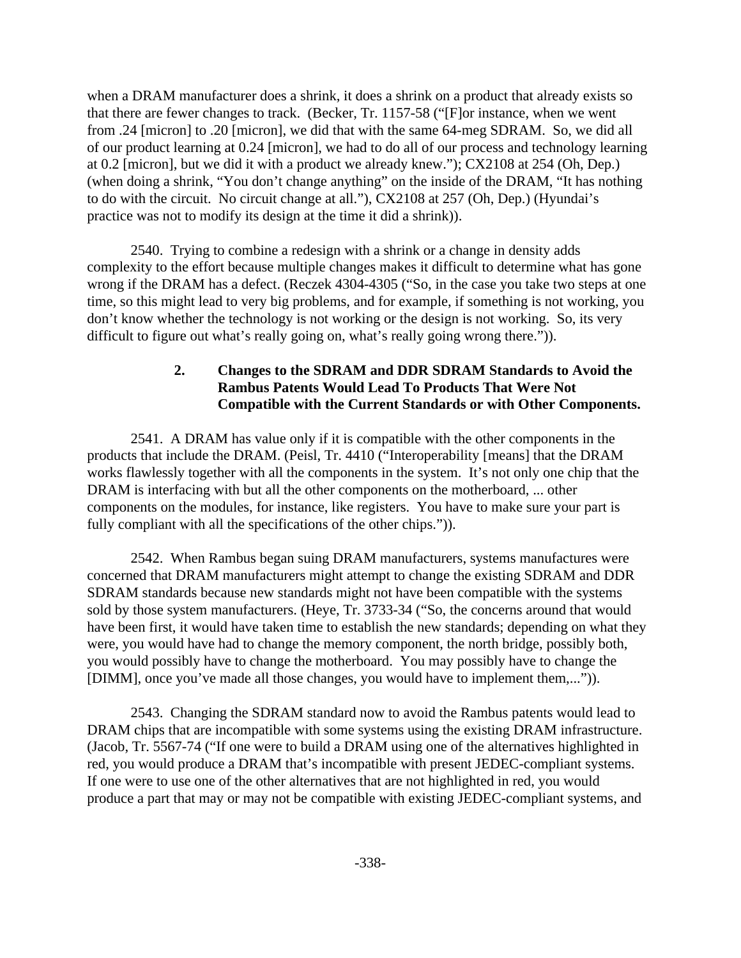when a DRAM manufacturer does a shrink, it does a shrink on a product that already exists so that there are fewer changes to track. (Becker, Tr. 1157-58 ("[F]or instance, when we went from .24 [micron] to .20 [micron], we did that with the same 64-meg SDRAM. So, we did all of our product learning at 0.24 [micron], we had to do all of our process and technology learning at 0.2 [micron], but we did it with a product we already knew."); CX2108 at 254 (Oh, Dep.) (when doing a shrink, "You don't change anything" on the inside of the DRAM, "It has nothing to do with the circuit. No circuit change at all."), CX2108 at 257 (Oh, Dep.) (Hyundai's practice was not to modify its design at the time it did a shrink)).

2540. Trying to combine a redesign with a shrink or a change in density adds complexity to the effort because multiple changes makes it difficult to determine what has gone wrong if the DRAM has a defect. (Reczek 4304-4305 ("So, in the case you take two steps at one time, so this might lead to very big problems, and for example, if something is not working, you don't know whether the technology is not working or the design is not working. So, its very difficult to figure out what's really going on, what's really going wrong there.")).

## **2. Changes to the SDRAM and DDR SDRAM Standards to Avoid the Rambus Patents Would Lead To Products That Were Not Compatible with the Current Standards or with Other Components.**

2541. A DRAM has value only if it is compatible with the other components in the products that include the DRAM. (Peisl, Tr. 4410 ("Interoperability [means] that the DRAM works flawlessly together with all the components in the system. It's not only one chip that the DRAM is interfacing with but all the other components on the motherboard, ... other components on the modules, for instance, like registers. You have to make sure your part is fully compliant with all the specifications of the other chips.")).

2542. When Rambus began suing DRAM manufacturers, systems manufactures were concerned that DRAM manufacturers might attempt to change the existing SDRAM and DDR SDRAM standards because new standards might not have been compatible with the systems sold by those system manufacturers. (Heye, Tr. 3733-34 ("So, the concerns around that would have been first, it would have taken time to establish the new standards; depending on what they were, you would have had to change the memory component, the north bridge, possibly both, you would possibly have to change the motherboard. You may possibly have to change the [DIMM], once you've made all those changes, you would have to implement them,...")).

2543. Changing the SDRAM standard now to avoid the Rambus patents would lead to DRAM chips that are incompatible with some systems using the existing DRAM infrastructure. (Jacob, Tr. 5567-74 ("If one were to build a DRAM using one of the alternatives highlighted in red, you would produce a DRAM that's incompatible with present JEDEC-compliant systems. If one were to use one of the other alternatives that are not highlighted in red, you would produce a part that may or may not be compatible with existing JEDEC-compliant systems, and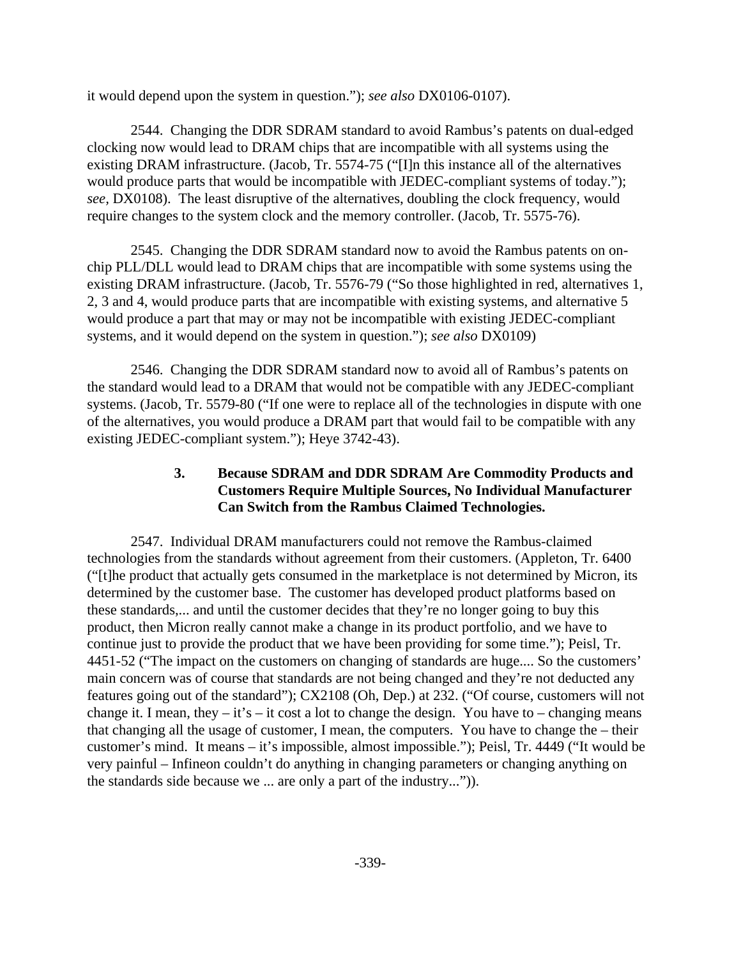it would depend upon the system in question."); *see also* DX0106-0107).

2544. Changing the DDR SDRAM standard to avoid Rambus's patents on dual-edged clocking now would lead to DRAM chips that are incompatible with all systems using the existing DRAM infrastructure. (Jacob, Tr. 5574-75 ("[I]n this instance all of the alternatives would produce parts that would be incompatible with JEDEC-compliant systems of today."); *see,* DX0108). The least disruptive of the alternatives, doubling the clock frequency, would require changes to the system clock and the memory controller. (Jacob, Tr. 5575-76).

2545. Changing the DDR SDRAM standard now to avoid the Rambus patents on onchip PLL/DLL would lead to DRAM chips that are incompatible with some systems using the existing DRAM infrastructure. (Jacob, Tr. 5576-79 ("So those highlighted in red, alternatives 1, 2, 3 and 4, would produce parts that are incompatible with existing systems, and alternative 5 would produce a part that may or may not be incompatible with existing JEDEC-compliant systems, and it would depend on the system in question."); *see also* DX0109)

2546. Changing the DDR SDRAM standard now to avoid all of Rambus's patents on the standard would lead to a DRAM that would not be compatible with any JEDEC-compliant systems. (Jacob, Tr. 5579-80 ("If one were to replace all of the technologies in dispute with one of the alternatives, you would produce a DRAM part that would fail to be compatible with any existing JEDEC-compliant system."); Heye 3742-43).

## **3. Because SDRAM and DDR SDRAM Are Commodity Products and Customers Require Multiple Sources, No Individual Manufacturer Can Switch from the Rambus Claimed Technologies.**

2547. Individual DRAM manufacturers could not remove the Rambus-claimed technologies from the standards without agreement from their customers. (Appleton, Tr. 6400 ("[t]he product that actually gets consumed in the marketplace is not determined by Micron, its determined by the customer base. The customer has developed product platforms based on these standards,... and until the customer decides that they're no longer going to buy this product, then Micron really cannot make a change in its product portfolio, and we have to continue just to provide the product that we have been providing for some time."); Peisl, Tr. 4451-52 ("The impact on the customers on changing of standards are huge.... So the customers' main concern was of course that standards are not being changed and they're not deducted any features going out of the standard"); CX2108 (Oh, Dep.) at 232. ("Of course, customers will not change it. I mean, they – it's – it cost a lot to change the design. You have to – changing means that changing all the usage of customer, I mean, the computers. You have to change the – their customer's mind. It means – it's impossible, almost impossible."); Peisl, Tr. 4449 ("It would be very painful – Infineon couldn't do anything in changing parameters or changing anything on the standards side because we ... are only a part of the industry...")).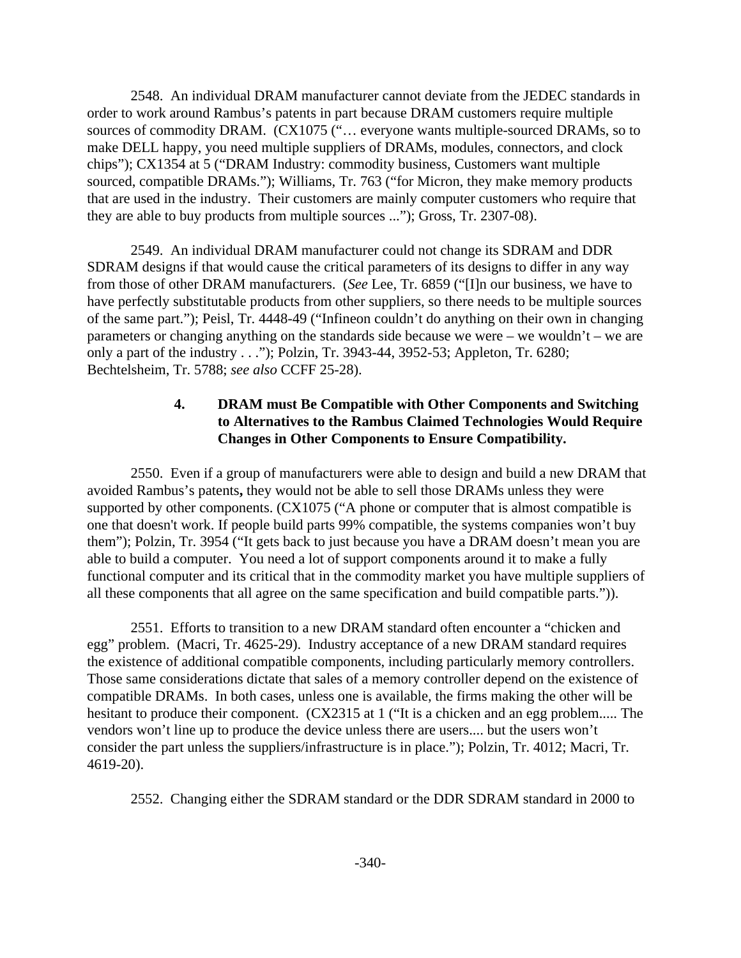2548. An individual DRAM manufacturer cannot deviate from the JEDEC standards in order to work around Rambus's patents in part because DRAM customers require multiple sources of commodity DRAM. (CX1075 ("… everyone wants multiple-sourced DRAMs, so to make DELL happy, you need multiple suppliers of DRAMs, modules, connectors, and clock chips"); CX1354 at 5 ("DRAM Industry: commodity business, Customers want multiple sourced, compatible DRAMs."); Williams, Tr. 763 ("for Micron, they make memory products that are used in the industry. Their customers are mainly computer customers who require that they are able to buy products from multiple sources ..."); Gross, Tr. 2307-08).

2549. An individual DRAM manufacturer could not change its SDRAM and DDR SDRAM designs if that would cause the critical parameters of its designs to differ in any way from those of other DRAM manufacturers. (*See* Lee, Tr. 6859 ("[I]n our business, we have to have perfectly substitutable products from other suppliers, so there needs to be multiple sources of the same part."); Peisl, Tr. 4448-49 ("Infineon couldn't do anything on their own in changing parameters or changing anything on the standards side because we were – we wouldn't – we are only a part of the industry . . ."); Polzin, Tr. 3943-44, 3952-53; Appleton, Tr. 6280; Bechtelsheim, Tr. 5788; *see also* CCFF 25-28).

## **4. DRAM must Be Compatible with Other Components and Switching to Alternatives to the Rambus Claimed Technologies Would Require Changes in Other Components to Ensure Compatibility.**

2550. Even if a group of manufacturers were able to design and build a new DRAM that avoided Rambus's patents**,** they would not be able to sell those DRAMs unless they were supported by other components. (CX1075 ("A phone or computer that is almost compatible is one that doesn't work. If people build parts 99% compatible, the systems companies won't buy them"); Polzin, Tr. 3954 ("It gets back to just because you have a DRAM doesn't mean you are able to build a computer. You need a lot of support components around it to make a fully functional computer and its critical that in the commodity market you have multiple suppliers of all these components that all agree on the same specification and build compatible parts.")).

2551. Efforts to transition to a new DRAM standard often encounter a "chicken and egg" problem. (Macri, Tr. 4625-29). Industry acceptance of a new DRAM standard requires the existence of additional compatible components, including particularly memory controllers. Those same considerations dictate that sales of a memory controller depend on the existence of compatible DRAMs. In both cases, unless one is available, the firms making the other will be hesitant to produce their component. (CX2315 at 1 ("It is a chicken and an egg problem..... The vendors won't line up to produce the device unless there are users.... but the users won't consider the part unless the suppliers/infrastructure is in place."); Polzin, Tr. 4012; Macri, Tr. 4619-20).

2552. Changing either the SDRAM standard or the DDR SDRAM standard in 2000 to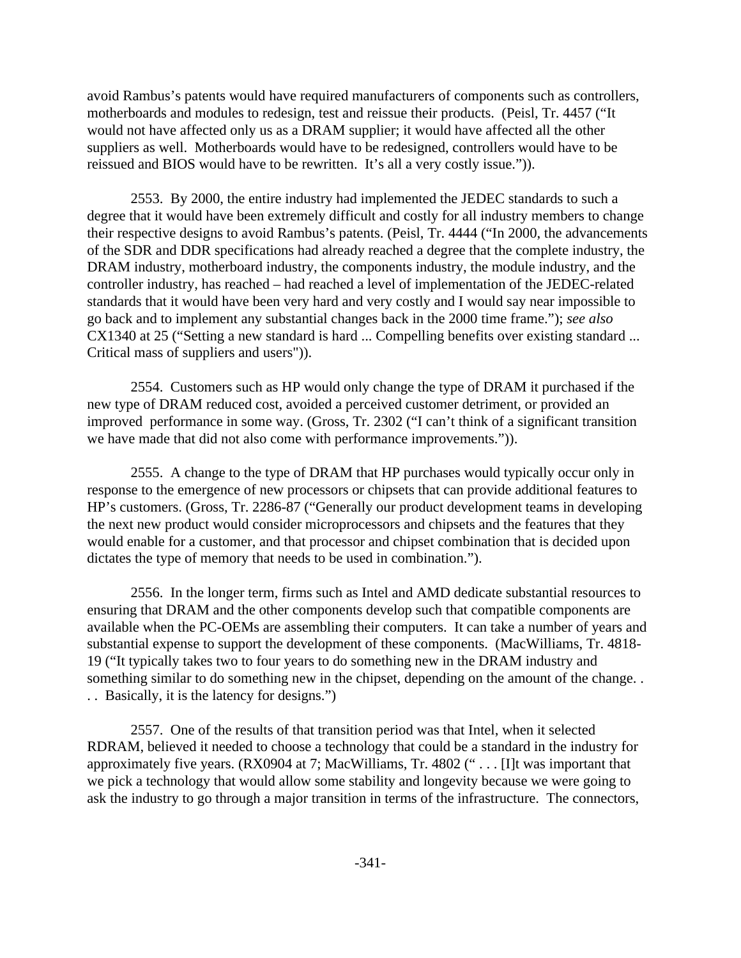avoid Rambus's patents would have required manufacturers of components such as controllers, motherboards and modules to redesign, test and reissue their products. (Peisl, Tr. 4457 ("It would not have affected only us as a DRAM supplier; it would have affected all the other suppliers as well. Motherboards would have to be redesigned, controllers would have to be reissued and BIOS would have to be rewritten. It's all a very costly issue.")).

2553. By 2000, the entire industry had implemented the JEDEC standards to such a degree that it would have been extremely difficult and costly for all industry members to change their respective designs to avoid Rambus's patents. (Peisl, Tr. 4444 ("In 2000, the advancements of the SDR and DDR specifications had already reached a degree that the complete industry, the DRAM industry, motherboard industry, the components industry, the module industry, and the controller industry, has reached – had reached a level of implementation of the JEDEC-related standards that it would have been very hard and very costly and I would say near impossible to go back and to implement any substantial changes back in the 2000 time frame."); *see also* CX1340 at 25 ("Setting a new standard is hard ... Compelling benefits over existing standard ... Critical mass of suppliers and users")).

2554. Customers such as HP would only change the type of DRAM it purchased if the new type of DRAM reduced cost, avoided a perceived customer detriment, or provided an improved performance in some way. (Gross, Tr. 2302 ("I can't think of a significant transition we have made that did not also come with performance improvements.")).

2555. A change to the type of DRAM that HP purchases would typically occur only in response to the emergence of new processors or chipsets that can provide additional features to HP's customers. (Gross, Tr. 2286-87 ("Generally our product development teams in developing the next new product would consider microprocessors and chipsets and the features that they would enable for a customer, and that processor and chipset combination that is decided upon dictates the type of memory that needs to be used in combination.").

2556. In the longer term, firms such as Intel and AMD dedicate substantial resources to ensuring that DRAM and the other components develop such that compatible components are available when the PC-OEMs are assembling their computers. It can take a number of years and substantial expense to support the development of these components. (MacWilliams, Tr. 4818- 19 ("It typically takes two to four years to do something new in the DRAM industry and something similar to do something new in the chipset, depending on the amount of the change. . . . Basically, it is the latency for designs.")

2557. One of the results of that transition period was that Intel, when it selected RDRAM, believed it needed to choose a technology that could be a standard in the industry for approximately five years. (RX0904 at 7; MacWilliams, Tr. 4802 (" . . . [I]t was important that we pick a technology that would allow some stability and longevity because we were going to ask the industry to go through a major transition in terms of the infrastructure. The connectors,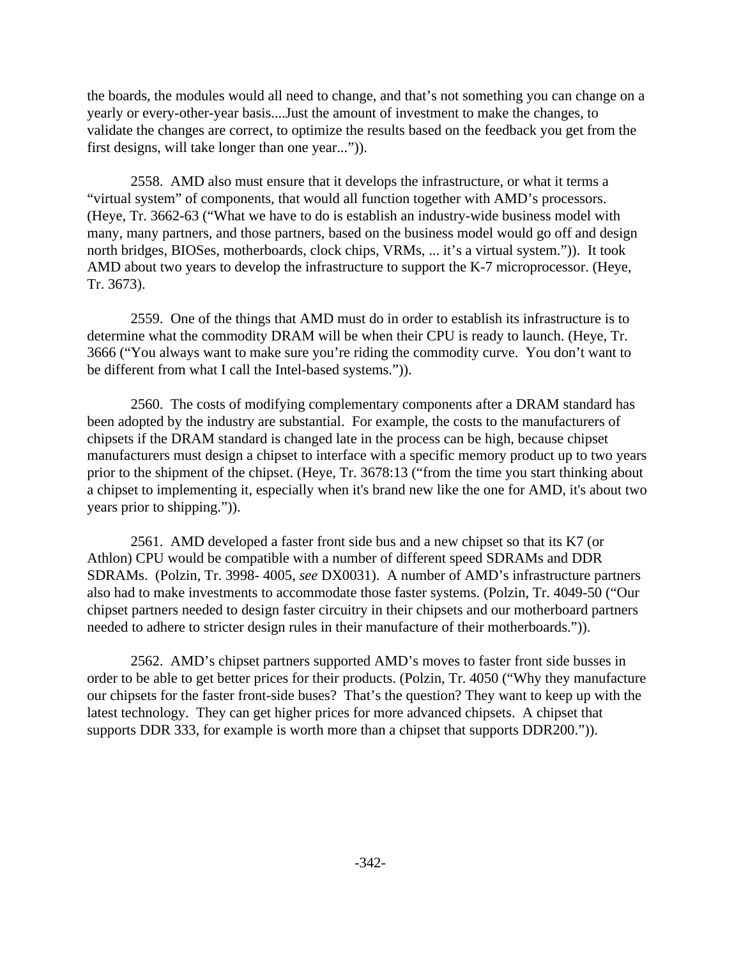the boards, the modules would all need to change, and that's not something you can change on a yearly or every-other-year basis....Just the amount of investment to make the changes, to validate the changes are correct, to optimize the results based on the feedback you get from the first designs, will take longer than one year...")).

2558. AMD also must ensure that it develops the infrastructure, or what it terms a "virtual system" of components, that would all function together with AMD's processors. (Heye, Tr. 3662-63 ("What we have to do is establish an industry-wide business model with many, many partners, and those partners, based on the business model would go off and design north bridges, BIOSes, motherboards, clock chips, VRMs, ... it's a virtual system.")). It took AMD about two years to develop the infrastructure to support the K-7 microprocessor. (Heye, Tr. 3673).

2559. One of the things that AMD must do in order to establish its infrastructure is to determine what the commodity DRAM will be when their CPU is ready to launch. (Heye, Tr. 3666 ("You always want to make sure you're riding the commodity curve. You don't want to be different from what I call the Intel-based systems.")).

2560. The costs of modifying complementary components after a DRAM standard has been adopted by the industry are substantial. For example, the costs to the manufacturers of chipsets if the DRAM standard is changed late in the process can be high, because chipset manufacturers must design a chipset to interface with a specific memory product up to two years prior to the shipment of the chipset. (Heye, Tr. 3678:13 ("from the time you start thinking about a chipset to implementing it, especially when it's brand new like the one for AMD, it's about two years prior to shipping.")).

2561. AMD developed a faster front side bus and a new chipset so that its K7 (or Athlon) CPU would be compatible with a number of different speed SDRAMs and DDR SDRAMs. (Polzin, Tr. 3998- 4005, *see* DX0031). A number of AMD's infrastructure partners also had to make investments to accommodate those faster systems. (Polzin, Tr. 4049-50 ("Our chipset partners needed to design faster circuitry in their chipsets and our motherboard partners needed to adhere to stricter design rules in their manufacture of their motherboards.")).

2562. AMD's chipset partners supported AMD's moves to faster front side busses in order to be able to get better prices for their products. (Polzin, Tr. 4050 ("Why they manufacture our chipsets for the faster front-side buses? That's the question? They want to keep up with the latest technology. They can get higher prices for more advanced chipsets. A chipset that supports DDR 333, for example is worth more than a chipset that supports DDR200.")).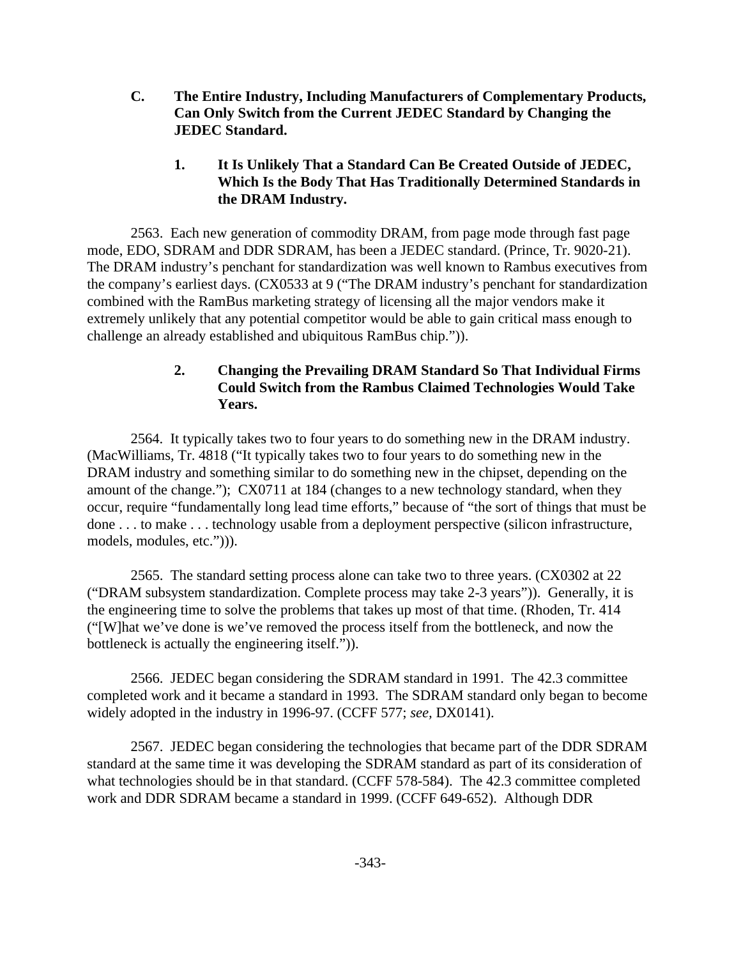**C. The Entire Industry, Including Manufacturers of Complementary Products, Can Only Switch from the Current JEDEC Standard by Changing the JEDEC Standard.** 

## **1. It Is Unlikely That a Standard Can Be Created Outside of JEDEC, Which Is the Body That Has Traditionally Determined Standards in the DRAM Industry.**

2563. Each new generation of commodity DRAM, from page mode through fast page mode, EDO, SDRAM and DDR SDRAM, has been a JEDEC standard. (Prince, Tr. 9020-21). The DRAM industry's penchant for standardization was well known to Rambus executives from the company's earliest days. (CX0533 at 9 ("The DRAM industry's penchant for standardization combined with the RamBus marketing strategy of licensing all the major vendors make it extremely unlikely that any potential competitor would be able to gain critical mass enough to challenge an already established and ubiquitous RamBus chip.")).

# **2. Changing the Prevailing DRAM Standard So That Individual Firms Could Switch from the Rambus Claimed Technologies Would Take Years.**

2564. It typically takes two to four years to do something new in the DRAM industry. (MacWilliams, Tr. 4818 ("It typically takes two to four years to do something new in the DRAM industry and something similar to do something new in the chipset, depending on the amount of the change."); CX0711 at 184 (changes to a new technology standard, when they occur, require "fundamentally long lead time efforts," because of "the sort of things that must be done . . . to make . . . technology usable from a deployment perspective (silicon infrastructure, models, modules, etc."))).

2565. The standard setting process alone can take two to three years. (CX0302 at 22 ("DRAM subsystem standardization. Complete process may take 2-3 years")). Generally, it is the engineering time to solve the problems that takes up most of that time. (Rhoden, Tr. 414 ("[W]hat we've done is we've removed the process itself from the bottleneck, and now the bottleneck is actually the engineering itself.")).

2566. JEDEC began considering the SDRAM standard in 1991. The 42.3 committee completed work and it became a standard in 1993. The SDRAM standard only began to become widely adopted in the industry in 1996-97. (CCFF 577; *see,* DX0141).

2567. JEDEC began considering the technologies that became part of the DDR SDRAM standard at the same time it was developing the SDRAM standard as part of its consideration of what technologies should be in that standard. (CCFF 578-584). The 42.3 committee completed work and DDR SDRAM became a standard in 1999. (CCFF 649-652). Although DDR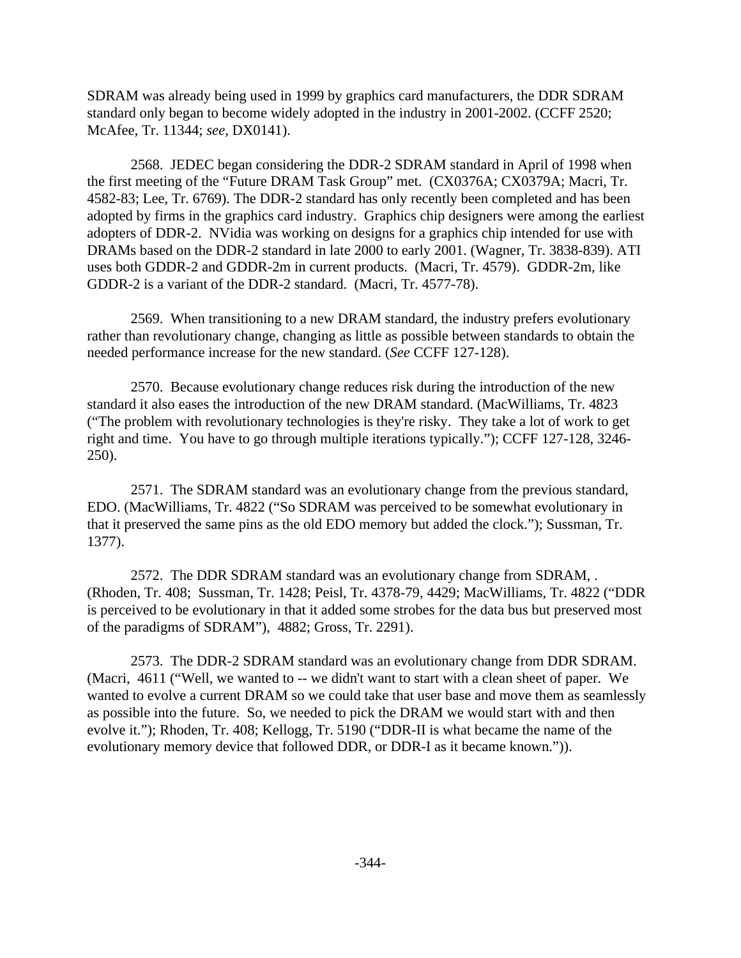SDRAM was already being used in 1999 by graphics card manufacturers, the DDR SDRAM standard only began to become widely adopted in the industry in 2001-2002. (CCFF 2520; McAfee, Tr. 11344; *see,* DX0141).

2568. JEDEC began considering the DDR-2 SDRAM standard in April of 1998 when the first meeting of the "Future DRAM Task Group" met. (CX0376A; CX0379A; Macri, Tr. 4582-83; Lee, Tr. 6769). The DDR-2 standard has only recently been completed and has been adopted by firms in the graphics card industry. Graphics chip designers were among the earliest adopters of DDR-2. NVidia was working on designs for a graphics chip intended for use with DRAMs based on the DDR-2 standard in late 2000 to early 2001. (Wagner, Tr. 3838-839). ATI uses both GDDR-2 and GDDR-2m in current products. (Macri, Tr. 4579). GDDR-2m, like GDDR-2 is a variant of the DDR-2 standard. (Macri, Tr. 4577-78).

2569. When transitioning to a new DRAM standard, the industry prefers evolutionary rather than revolutionary change, changing as little as possible between standards to obtain the needed performance increase for the new standard. (*See* CCFF 127-128).

2570. Because evolutionary change reduces risk during the introduction of the new standard it also eases the introduction of the new DRAM standard. (MacWilliams, Tr. 4823 ("The problem with revolutionary technologies is they're risky. They take a lot of work to get right and time. You have to go through multiple iterations typically."); CCFF 127-128, 3246- 250).

2571. The SDRAM standard was an evolutionary change from the previous standard, EDO. (MacWilliams, Tr. 4822 ("So SDRAM was perceived to be somewhat evolutionary in that it preserved the same pins as the old EDO memory but added the clock."); Sussman, Tr. 1377).

2572. The DDR SDRAM standard was an evolutionary change from SDRAM, . (Rhoden, Tr. 408; Sussman, Tr. 1428; Peisl, Tr. 4378-79, 4429; MacWilliams, Tr. 4822 ("DDR is perceived to be evolutionary in that it added some strobes for the data bus but preserved most of the paradigms of SDRAM"), 4882; Gross, Tr. 2291).

2573. The DDR-2 SDRAM standard was an evolutionary change from DDR SDRAM. (Macri, 4611 ("Well, we wanted to -- we didn't want to start with a clean sheet of paper. We wanted to evolve a current DRAM so we could take that user base and move them as seamlessly as possible into the future. So, we needed to pick the DRAM we would start with and then evolve it."); Rhoden, Tr. 408; Kellogg, Tr. 5190 ("DDR-II is what became the name of the evolutionary memory device that followed DDR, or DDR-I as it became known.")).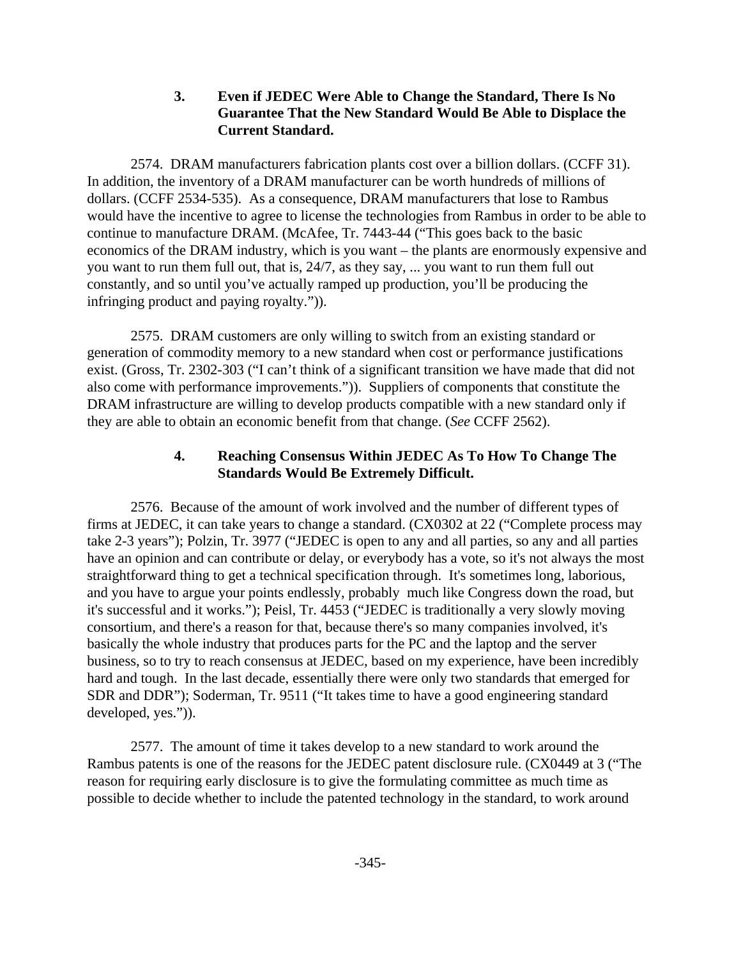### **3. Even if JEDEC Were Able to Change the Standard, There Is No Guarantee That the New Standard Would Be Able to Displace the Current Standard.**

2574. DRAM manufacturers fabrication plants cost over a billion dollars. (CCFF 31). In addition, the inventory of a DRAM manufacturer can be worth hundreds of millions of dollars. (CCFF 2534-535). As a consequence, DRAM manufacturers that lose to Rambus would have the incentive to agree to license the technologies from Rambus in order to be able to continue to manufacture DRAM. (McAfee, Tr. 7443-44 ("This goes back to the basic economics of the DRAM industry, which is you want – the plants are enormously expensive and you want to run them full out, that is, 24/7, as they say, ... you want to run them full out constantly, and so until you've actually ramped up production, you'll be producing the infringing product and paying royalty.")).

2575. DRAM customers are only willing to switch from an existing standard or generation of commodity memory to a new standard when cost or performance justifications exist. (Gross, Tr. 2302-303 ("I can't think of a significant transition we have made that did not also come with performance improvements.")). Suppliers of components that constitute the DRAM infrastructure are willing to develop products compatible with a new standard only if they are able to obtain an economic benefit from that change. (*See* CCFF 2562).

# **4. Reaching Consensus Within JEDEC As To How To Change The Standards Would Be Extremely Difficult.**

2576. Because of the amount of work involved and the number of different types of firms at JEDEC, it can take years to change a standard. (CX0302 at 22 ("Complete process may take 2-3 years"); Polzin, Tr. 3977 ("JEDEC is open to any and all parties, so any and all parties have an opinion and can contribute or delay, or everybody has a vote, so it's not always the most straightforward thing to get a technical specification through. It's sometimes long, laborious, and you have to argue your points endlessly, probably much like Congress down the road, but it's successful and it works."); Peisl, Tr. 4453 ("JEDEC is traditionally a very slowly moving consortium, and there's a reason for that, because there's so many companies involved, it's basically the whole industry that produces parts for the PC and the laptop and the server business, so to try to reach consensus at JEDEC, based on my experience, have been incredibly hard and tough. In the last decade, essentially there were only two standards that emerged for SDR and DDR"); Soderman, Tr. 9511 ("It takes time to have a good engineering standard developed, yes.")).

2577. The amount of time it takes develop to a new standard to work around the Rambus patents is one of the reasons for the JEDEC patent disclosure rule. (CX0449 at 3 ("The reason for requiring early disclosure is to give the formulating committee as much time as possible to decide whether to include the patented technology in the standard, to work around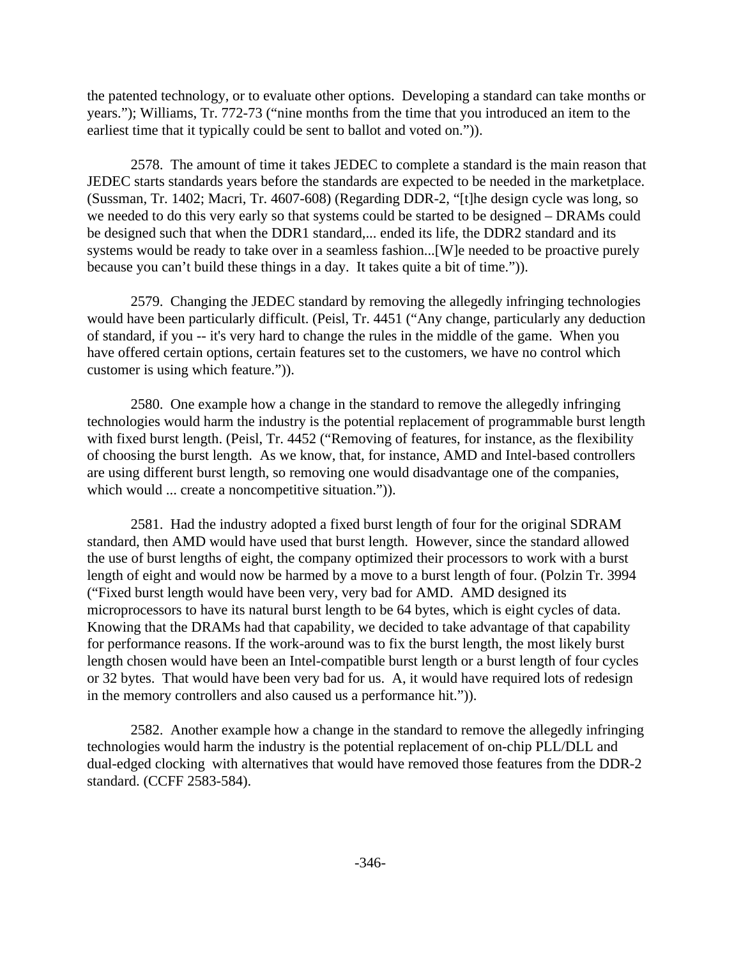the patented technology, or to evaluate other options. Developing a standard can take months or years."); Williams, Tr. 772-73 ("nine months from the time that you introduced an item to the earliest time that it typically could be sent to ballot and voted on.")).

2578. The amount of time it takes JEDEC to complete a standard is the main reason that JEDEC starts standards years before the standards are expected to be needed in the marketplace. (Sussman, Tr. 1402; Macri, Tr. 4607-608) (Regarding DDR-2, "[t]he design cycle was long, so we needed to do this very early so that systems could be started to be designed – DRAMs could be designed such that when the DDR1 standard,... ended its life, the DDR2 standard and its systems would be ready to take over in a seamless fashion...[W]e needed to be proactive purely because you can't build these things in a day. It takes quite a bit of time.")).

2579. Changing the JEDEC standard by removing the allegedly infringing technologies would have been particularly difficult. (Peisl, Tr. 4451 ("Any change, particularly any deduction of standard, if you -- it's very hard to change the rules in the middle of the game. When you have offered certain options, certain features set to the customers, we have no control which customer is using which feature.")).

2580. One example how a change in the standard to remove the allegedly infringing technologies would harm the industry is the potential replacement of programmable burst length with fixed burst length. (Peisl, Tr. 4452 ("Removing of features, for instance, as the flexibility of choosing the burst length. As we know, that, for instance, AMD and Intel-based controllers are using different burst length, so removing one would disadvantage one of the companies, which would ... create a noncompetitive situation.")).

2581. Had the industry adopted a fixed burst length of four for the original SDRAM standard, then AMD would have used that burst length. However, since the standard allowed the use of burst lengths of eight, the company optimized their processors to work with a burst length of eight and would now be harmed by a move to a burst length of four. (Polzin Tr. 3994 ("Fixed burst length would have been very, very bad for AMD. AMD designed its microprocessors to have its natural burst length to be 64 bytes, which is eight cycles of data. Knowing that the DRAMs had that capability, we decided to take advantage of that capability for performance reasons. If the work-around was to fix the burst length, the most likely burst length chosen would have been an Intel-compatible burst length or a burst length of four cycles or 32 bytes. That would have been very bad for us. A, it would have required lots of redesign in the memory controllers and also caused us a performance hit.")).

2582. Another example how a change in the standard to remove the allegedly infringing technologies would harm the industry is the potential replacement of on-chip PLL/DLL and dual-edged clocking with alternatives that would have removed those features from the DDR-2 standard. (CCFF 2583-584).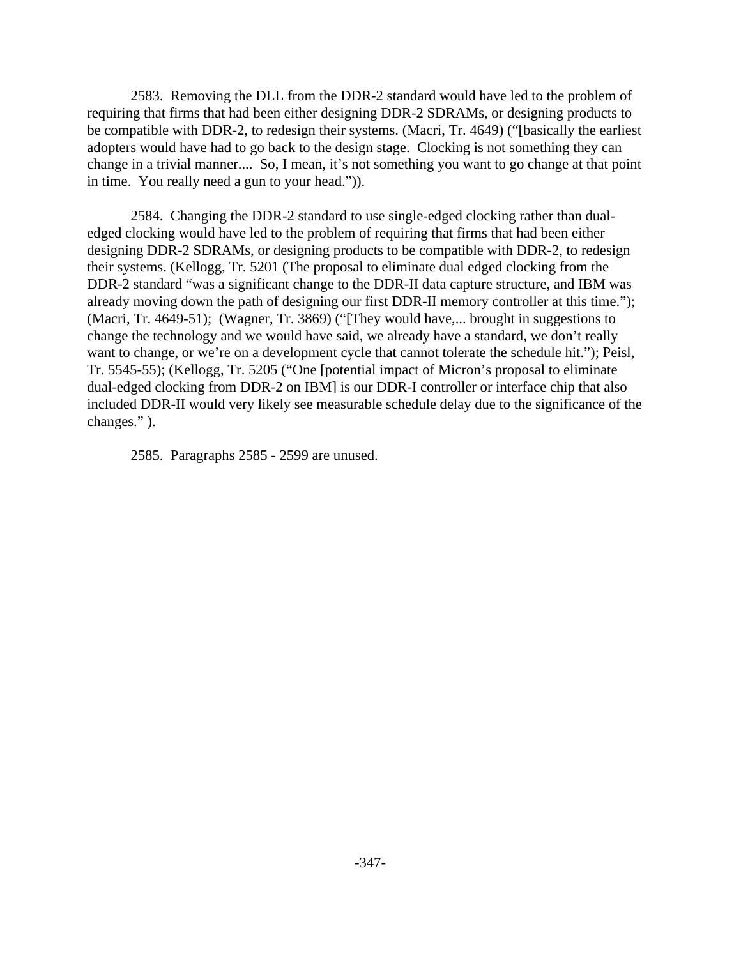2583. Removing the DLL from the DDR-2 standard would have led to the problem of requiring that firms that had been either designing DDR-2 SDRAMs, or designing products to be compatible with DDR-2, to redesign their systems. (Macri, Tr. 4649) ("[basically the earliest adopters would have had to go back to the design stage. Clocking is not something they can change in a trivial manner.... So, I mean, it's not something you want to go change at that point in time. You really need a gun to your head.")).

2584. Changing the DDR-2 standard to use single-edged clocking rather than dualedged clocking would have led to the problem of requiring that firms that had been either designing DDR-2 SDRAMs, or designing products to be compatible with DDR-2, to redesign their systems. (Kellogg, Tr. 5201 (The proposal to eliminate dual edged clocking from the DDR-2 standard "was a significant change to the DDR-II data capture structure, and IBM was already moving down the path of designing our first DDR-II memory controller at this time."); (Macri, Tr. 4649-51); (Wagner, Tr. 3869) ("[They would have,... brought in suggestions to change the technology and we would have said, we already have a standard, we don't really want to change, or we're on a development cycle that cannot tolerate the schedule hit."); Peisl, Tr. 5545-55); (Kellogg, Tr. 5205 ("One [potential impact of Micron's proposal to eliminate dual-edged clocking from DDR-2 on IBM] is our DDR-I controller or interface chip that also included DDR-II would very likely see measurable schedule delay due to the significance of the changes." ).

2585. Paragraphs 2585 - 2599 are unused.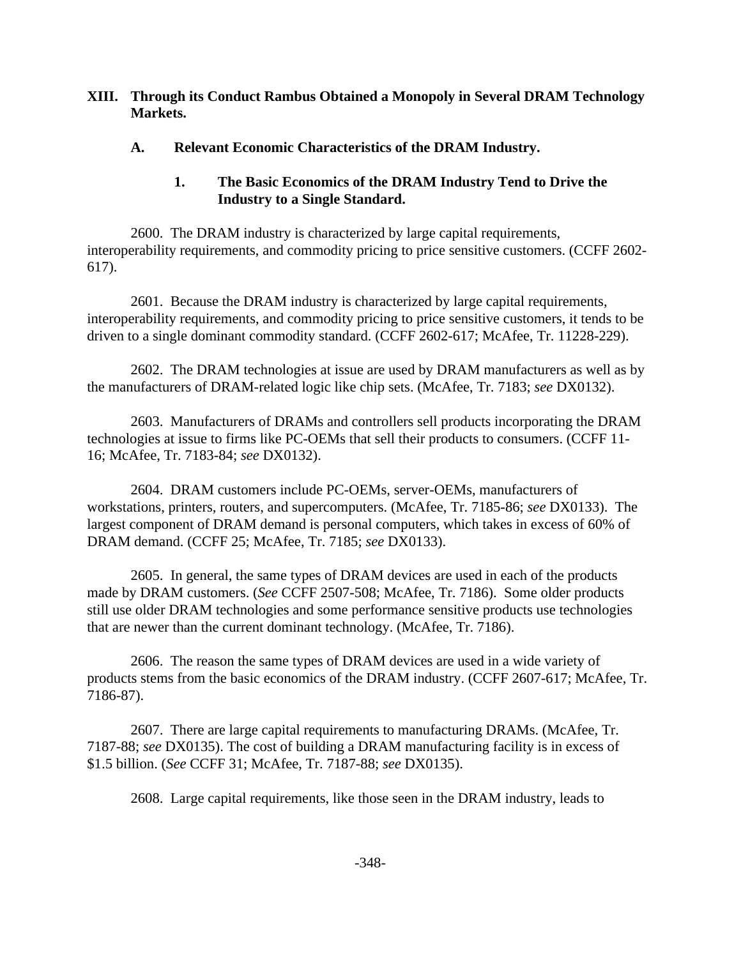#### **XIII. Through its Conduct Rambus Obtained a Monopoly in Several DRAM Technology Markets.**

#### **A. Relevant Economic Characteristics of the DRAM Industry.**

## **1. The Basic Economics of the DRAM Industry Tend to Drive the Industry to a Single Standard.**

2600. The DRAM industry is characterized by large capital requirements, interoperability requirements, and commodity pricing to price sensitive customers. (CCFF 2602- 617).

2601. Because the DRAM industry is characterized by large capital requirements, interoperability requirements, and commodity pricing to price sensitive customers, it tends to be driven to a single dominant commodity standard. (CCFF 2602-617; McAfee, Tr. 11228-229).

2602. The DRAM technologies at issue are used by DRAM manufacturers as well as by the manufacturers of DRAM-related logic like chip sets. (McAfee, Tr. 7183; *see* DX0132).

2603. Manufacturers of DRAMs and controllers sell products incorporating the DRAM technologies at issue to firms like PC-OEMs that sell their products to consumers. (CCFF 11- 16; McAfee, Tr. 7183-84; *see* DX0132).

2604. DRAM customers include PC-OEMs, server-OEMs, manufacturers of workstations, printers, routers, and supercomputers. (McAfee, Tr. 7185-86; *see* DX0133). The largest component of DRAM demand is personal computers, which takes in excess of 60% of DRAM demand. (CCFF 25; McAfee, Tr. 7185; *see* DX0133).

2605. In general, the same types of DRAM devices are used in each of the products made by DRAM customers. (*See* CCFF 2507-508; McAfee, Tr. 7186). Some older products still use older DRAM technologies and some performance sensitive products use technologies that are newer than the current dominant technology. (McAfee, Tr. 7186).

2606. The reason the same types of DRAM devices are used in a wide variety of products stems from the basic economics of the DRAM industry. (CCFF 2607-617; McAfee, Tr. 7186-87).

2607. There are large capital requirements to manufacturing DRAMs. (McAfee, Tr. 7187-88; *see* DX0135). The cost of building a DRAM manufacturing facility is in excess of \$1.5 billion. (*See* CCFF 31; McAfee, Tr. 7187-88; *see* DX0135).

2608. Large capital requirements, like those seen in the DRAM industry, leads to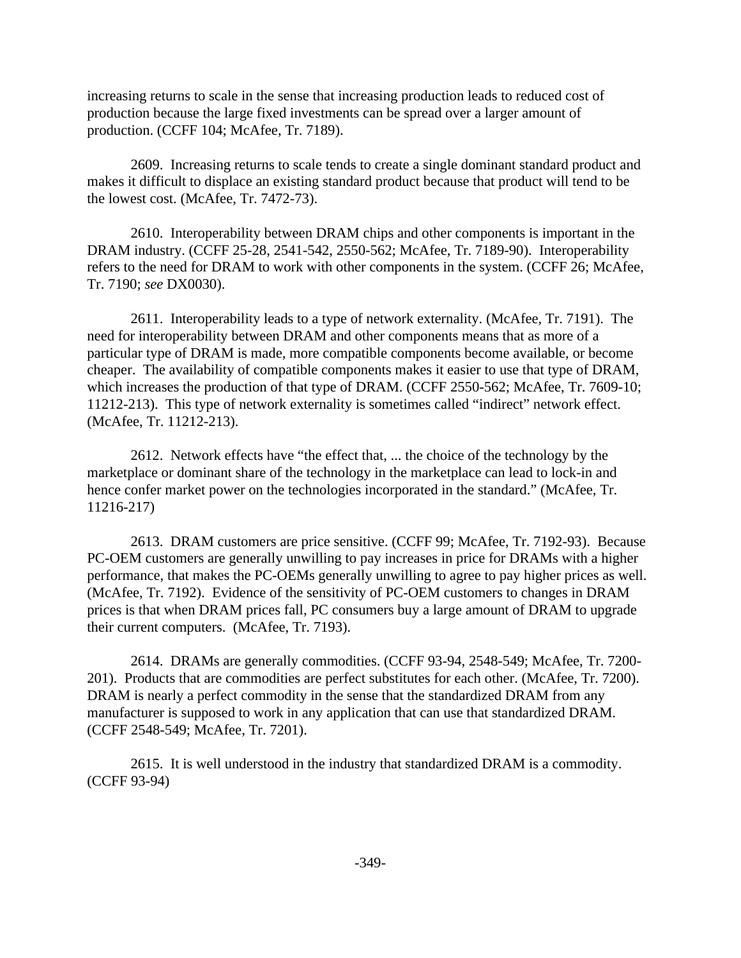increasing returns to scale in the sense that increasing production leads to reduced cost of production because the large fixed investments can be spread over a larger amount of production. (CCFF 104; McAfee, Tr. 7189).

2609. Increasing returns to scale tends to create a single dominant standard product and makes it difficult to displace an existing standard product because that product will tend to be the lowest cost. (McAfee, Tr. 7472-73).

2610. Interoperability between DRAM chips and other components is important in the DRAM industry. (CCFF 25-28, 2541-542, 2550-562; McAfee, Tr. 7189-90). Interoperability refers to the need for DRAM to work with other components in the system. (CCFF 26; McAfee, Tr. 7190; *see* DX0030).

2611. Interoperability leads to a type of network externality. (McAfee, Tr. 7191). The need for interoperability between DRAM and other components means that as more of a particular type of DRAM is made, more compatible components become available, or become cheaper. The availability of compatible components makes it easier to use that type of DRAM, which increases the production of that type of DRAM. (CCFF 2550-562; McAfee, Tr. 7609-10; 11212-213). This type of network externality is sometimes called "indirect" network effect. (McAfee, Tr. 11212-213).

2612. Network effects have "the effect that, ... the choice of the technology by the marketplace or dominant share of the technology in the marketplace can lead to lock-in and hence confer market power on the technologies incorporated in the standard." (McAfee, Tr. 11216-217)

2613. DRAM customers are price sensitive. (CCFF 99; McAfee, Tr. 7192-93). Because PC-OEM customers are generally unwilling to pay increases in price for DRAMs with a higher performance, that makes the PC-OEMs generally unwilling to agree to pay higher prices as well. (McAfee, Tr. 7192). Evidence of the sensitivity of PC-OEM customers to changes in DRAM prices is that when DRAM prices fall, PC consumers buy a large amount of DRAM to upgrade their current computers. (McAfee, Tr. 7193).

2614. DRAMs are generally commodities. (CCFF 93-94, 2548-549; McAfee, Tr. 7200- 201). Products that are commodities are perfect substitutes for each other. (McAfee, Tr. 7200). DRAM is nearly a perfect commodity in the sense that the standardized DRAM from any manufacturer is supposed to work in any application that can use that standardized DRAM. (CCFF 2548-549; McAfee, Tr. 7201).

2615. It is well understood in the industry that standardized DRAM is a commodity. (CCFF 93-94)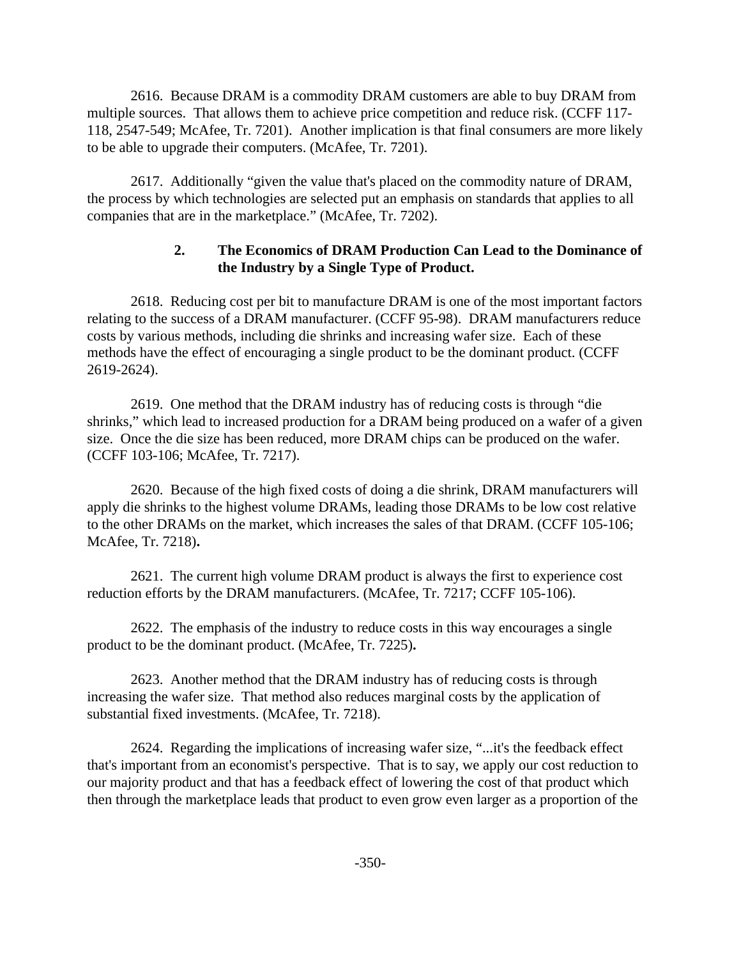2616. Because DRAM is a commodity DRAM customers are able to buy DRAM from multiple sources. That allows them to achieve price competition and reduce risk. (CCFF 117- 118, 2547-549; McAfee, Tr. 7201). Another implication is that final consumers are more likely to be able to upgrade their computers. (McAfee, Tr. 7201).

2617. Additionally "given the value that's placed on the commodity nature of DRAM, the process by which technologies are selected put an emphasis on standards that applies to all companies that are in the marketplace." (McAfee, Tr. 7202).

## **2. The Economics of DRAM Production Can Lead to the Dominance of the Industry by a Single Type of Product.**

2618. Reducing cost per bit to manufacture DRAM is one of the most important factors relating to the success of a DRAM manufacturer. (CCFF 95-98). DRAM manufacturers reduce costs by various methods, including die shrinks and increasing wafer size. Each of these methods have the effect of encouraging a single product to be the dominant product. (CCFF 2619-2624).

2619. One method that the DRAM industry has of reducing costs is through "die shrinks," which lead to increased production for a DRAM being produced on a wafer of a given size. Once the die size has been reduced, more DRAM chips can be produced on the wafer. (CCFF 103-106; McAfee, Tr. 7217).

2620. Because of the high fixed costs of doing a die shrink, DRAM manufacturers will apply die shrinks to the highest volume DRAMs, leading those DRAMs to be low cost relative to the other DRAMs on the market, which increases the sales of that DRAM. (CCFF 105-106; McAfee, Tr. 7218)**.**

2621. The current high volume DRAM product is always the first to experience cost reduction efforts by the DRAM manufacturers. (McAfee, Tr. 7217; CCFF 105-106).

2622. The emphasis of the industry to reduce costs in this way encourages a single product to be the dominant product. (McAfee, Tr. 7225)**.**

2623. Another method that the DRAM industry has of reducing costs is through increasing the wafer size. That method also reduces marginal costs by the application of substantial fixed investments. (McAfee, Tr. 7218).

2624. Regarding the implications of increasing wafer size, "...it's the feedback effect that's important from an economist's perspective. That is to say, we apply our cost reduction to our majority product and that has a feedback effect of lowering the cost of that product which then through the marketplace leads that product to even grow even larger as a proportion of the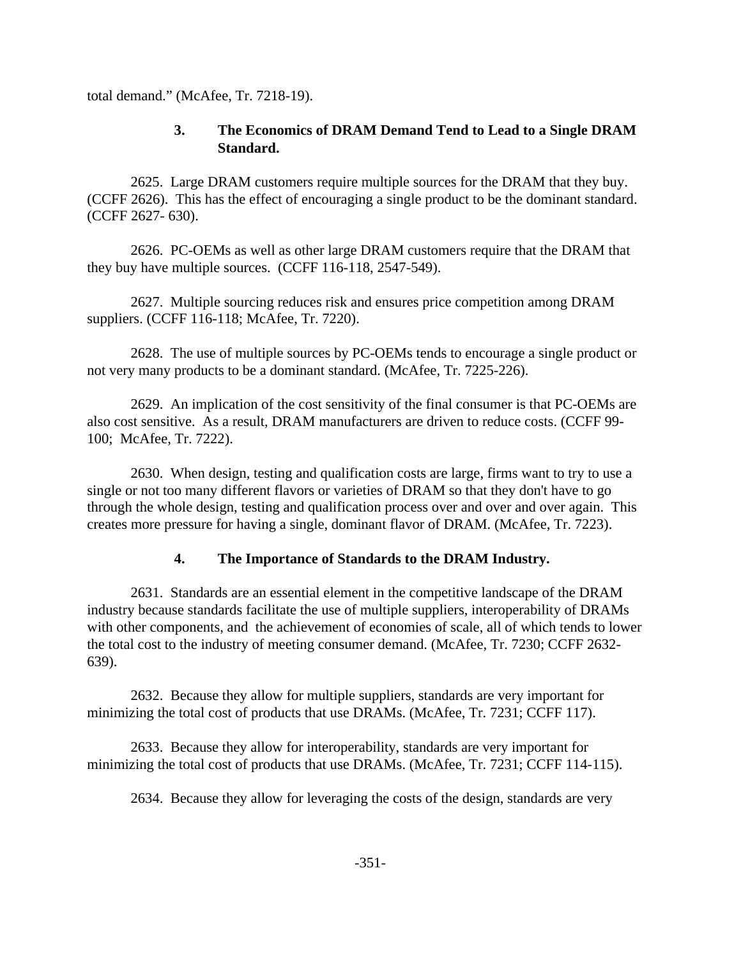total demand." (McAfee, Tr. 7218-19).

## **3. The Economics of DRAM Demand Tend to Lead to a Single DRAM Standard.**

2625. Large DRAM customers require multiple sources for the DRAM that they buy. (CCFF 2626). This has the effect of encouraging a single product to be the dominant standard. (CCFF 2627- 630).

2626. PC-OEMs as well as other large DRAM customers require that the DRAM that they buy have multiple sources. (CCFF 116-118, 2547-549).

2627. Multiple sourcing reduces risk and ensures price competition among DRAM suppliers. (CCFF 116-118; McAfee, Tr. 7220).

2628. The use of multiple sources by PC-OEMs tends to encourage a single product or not very many products to be a dominant standard. (McAfee, Tr. 7225-226).

2629. An implication of the cost sensitivity of the final consumer is that PC-OEMs are also cost sensitive. As a result, DRAM manufacturers are driven to reduce costs. (CCFF 99- 100; McAfee, Tr. 7222).

2630. When design, testing and qualification costs are large, firms want to try to use a single or not too many different flavors or varieties of DRAM so that they don't have to go through the whole design, testing and qualification process over and over and over again. This creates more pressure for having a single, dominant flavor of DRAM. (McAfee, Tr. 7223).

## **4. The Importance of Standards to the DRAM Industry.**

2631. Standards are an essential element in the competitive landscape of the DRAM industry because standards facilitate the use of multiple suppliers, interoperability of DRAMs with other components, and the achievement of economies of scale, all of which tends to lower the total cost to the industry of meeting consumer demand. (McAfee, Tr. 7230; CCFF 2632- 639).

2632. Because they allow for multiple suppliers, standards are very important for minimizing the total cost of products that use DRAMs. (McAfee, Tr. 7231; CCFF 117).

2633. Because they allow for interoperability, standards are very important for minimizing the total cost of products that use DRAMs. (McAfee, Tr. 7231; CCFF 114-115).

2634. Because they allow for leveraging the costs of the design, standards are very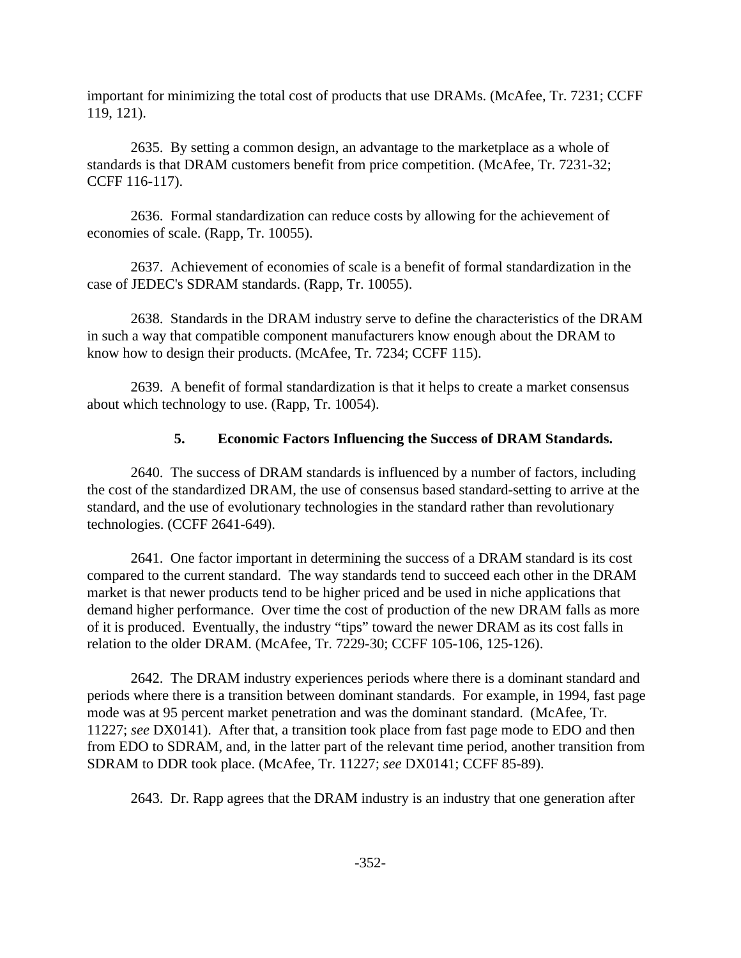important for minimizing the total cost of products that use DRAMs. (McAfee, Tr. 7231; CCFF 119, 121).

2635. By setting a common design, an advantage to the marketplace as a whole of standards is that DRAM customers benefit from price competition. (McAfee, Tr. 7231-32; CCFF 116-117).

2636. Formal standardization can reduce costs by allowing for the achievement of economies of scale. (Rapp, Tr. 10055).

2637. Achievement of economies of scale is a benefit of formal standardization in the case of JEDEC's SDRAM standards. (Rapp, Tr. 10055).

2638. Standards in the DRAM industry serve to define the characteristics of the DRAM in such a way that compatible component manufacturers know enough about the DRAM to know how to design their products. (McAfee, Tr. 7234; CCFF 115).

2639. A benefit of formal standardization is that it helps to create a market consensus about which technology to use. (Rapp, Tr. 10054).

## **5. Economic Factors Influencing the Success of DRAM Standards.**

2640. The success of DRAM standards is influenced by a number of factors, including the cost of the standardized DRAM, the use of consensus based standard-setting to arrive at the standard, and the use of evolutionary technologies in the standard rather than revolutionary technologies. (CCFF 2641-649).

2641. One factor important in determining the success of a DRAM standard is its cost compared to the current standard. The way standards tend to succeed each other in the DRAM market is that newer products tend to be higher priced and be used in niche applications that demand higher performance. Over time the cost of production of the new DRAM falls as more of it is produced. Eventually, the industry "tips" toward the newer DRAM as its cost falls in relation to the older DRAM. (McAfee, Tr. 7229-30; CCFF 105-106, 125-126).

2642. The DRAM industry experiences periods where there is a dominant standard and periods where there is a transition between dominant standards. For example, in 1994, fast page mode was at 95 percent market penetration and was the dominant standard. (McAfee, Tr. 11227; *see* DX0141). After that, a transition took place from fast page mode to EDO and then from EDO to SDRAM, and, in the latter part of the relevant time period, another transition from SDRAM to DDR took place. (McAfee, Tr. 11227; *see* DX0141; CCFF 85-89).

2643. Dr. Rapp agrees that the DRAM industry is an industry that one generation after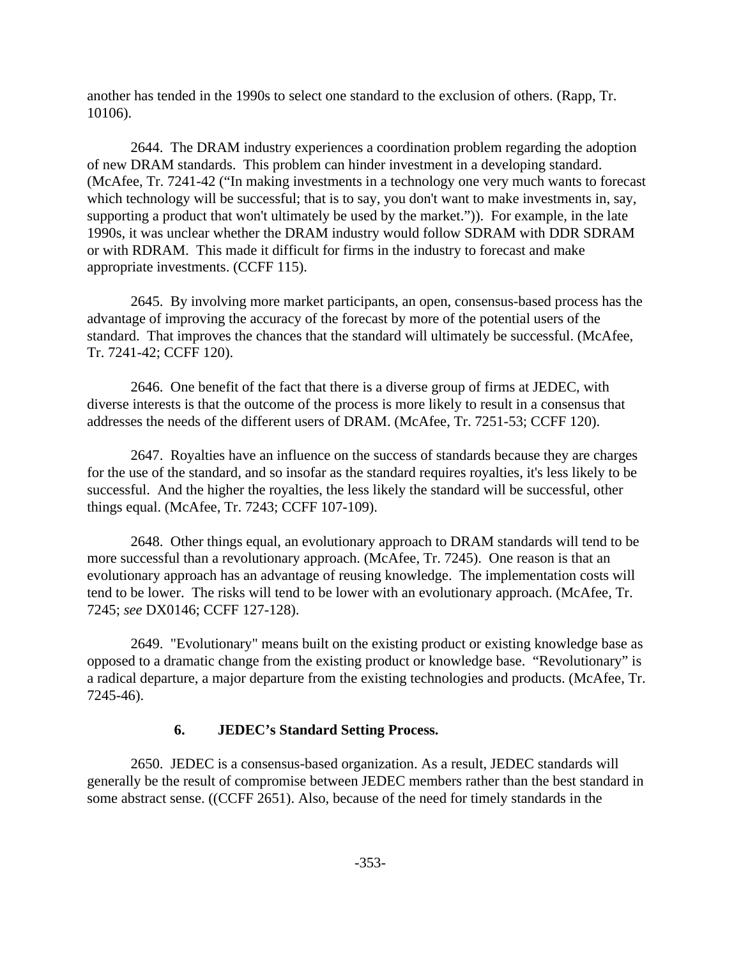another has tended in the 1990s to select one standard to the exclusion of others. (Rapp, Tr. 10106).

2644. The DRAM industry experiences a coordination problem regarding the adoption of new DRAM standards. This problem can hinder investment in a developing standard. (McAfee, Tr. 7241-42 ("In making investments in a technology one very much wants to forecast which technology will be successful; that is to say, you don't want to make investments in, say, supporting a product that won't ultimately be used by the market.")). For example, in the late 1990s, it was unclear whether the DRAM industry would follow SDRAM with DDR SDRAM or with RDRAM. This made it difficult for firms in the industry to forecast and make appropriate investments. (CCFF 115).

2645. By involving more market participants, an open, consensus-based process has the advantage of improving the accuracy of the forecast by more of the potential users of the standard. That improves the chances that the standard will ultimately be successful. (McAfee, Tr. 7241-42; CCFF 120).

2646. One benefit of the fact that there is a diverse group of firms at JEDEC, with diverse interests is that the outcome of the process is more likely to result in a consensus that addresses the needs of the different users of DRAM. (McAfee, Tr. 7251-53; CCFF 120).

2647. Royalties have an influence on the success of standards because they are charges for the use of the standard, and so insofar as the standard requires royalties, it's less likely to be successful. And the higher the royalties, the less likely the standard will be successful, other things equal. (McAfee, Tr. 7243; CCFF 107-109).

2648. Other things equal, an evolutionary approach to DRAM standards will tend to be more successful than a revolutionary approach. (McAfee, Tr. 7245). One reason is that an evolutionary approach has an advantage of reusing knowledge. The implementation costs will tend to be lower. The risks will tend to be lower with an evolutionary approach. (McAfee, Tr. 7245; *see* DX0146; CCFF 127-128).

2649. "Evolutionary" means built on the existing product or existing knowledge base as opposed to a dramatic change from the existing product or knowledge base. "Revolutionary" is a radical departure, a major departure from the existing technologies and products. (McAfee, Tr. 7245-46).

#### **6. JEDEC's Standard Setting Process.**

2650. JEDEC is a consensus-based organization. As a result, JEDEC standards will generally be the result of compromise between JEDEC members rather than the best standard in some abstract sense. ((CCFF 2651). Also, because of the need for timely standards in the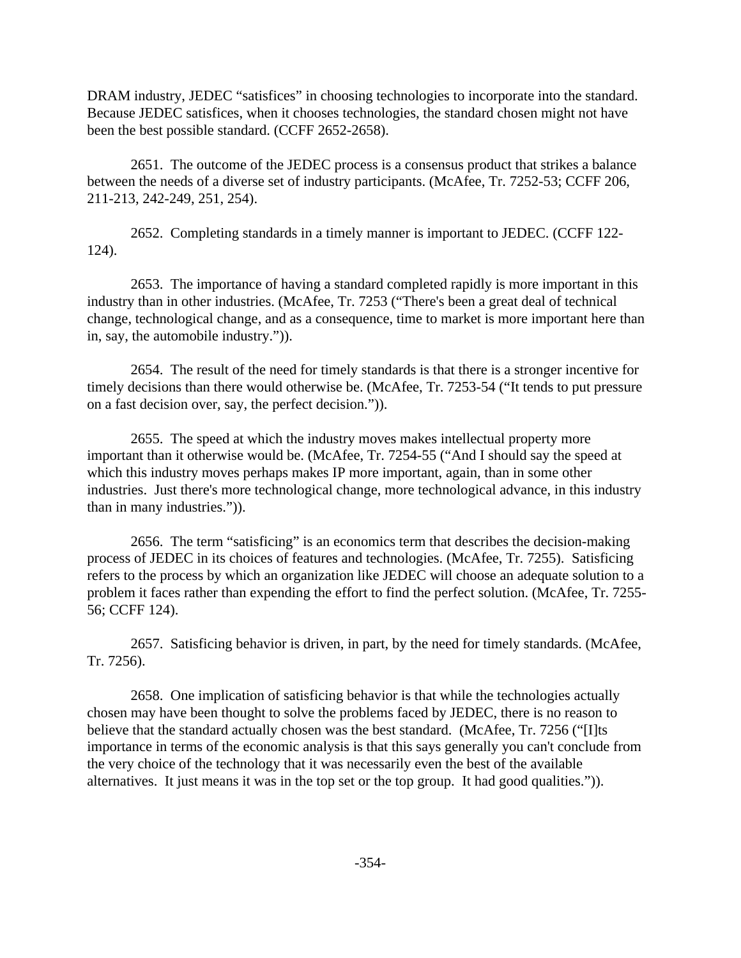DRAM industry, JEDEC "satisfices" in choosing technologies to incorporate into the standard. Because JEDEC satisfices, when it chooses technologies, the standard chosen might not have been the best possible standard. (CCFF 2652-2658).

2651. The outcome of the JEDEC process is a consensus product that strikes a balance between the needs of a diverse set of industry participants. (McAfee, Tr. 7252-53; CCFF 206, 211-213, 242-249, 251, 254).

2652. Completing standards in a timely manner is important to JEDEC. (CCFF 122- 124).

2653. The importance of having a standard completed rapidly is more important in this industry than in other industries. (McAfee, Tr. 7253 ("There's been a great deal of technical change, technological change, and as a consequence, time to market is more important here than in, say, the automobile industry.")).

2654. The result of the need for timely standards is that there is a stronger incentive for timely decisions than there would otherwise be. (McAfee, Tr. 7253-54 ("It tends to put pressure on a fast decision over, say, the perfect decision.")).

2655. The speed at which the industry moves makes intellectual property more important than it otherwise would be. (McAfee, Tr. 7254-55 ("And I should say the speed at which this industry moves perhaps makes IP more important, again, than in some other industries. Just there's more technological change, more technological advance, in this industry than in many industries.")).

2656. The term "satisficing" is an economics term that describes the decision-making process of JEDEC in its choices of features and technologies. (McAfee, Tr. 7255). Satisficing refers to the process by which an organization like JEDEC will choose an adequate solution to a problem it faces rather than expending the effort to find the perfect solution. (McAfee, Tr. 7255- 56; CCFF 124).

2657. Satisficing behavior is driven, in part, by the need for timely standards. (McAfee, Tr. 7256).

2658. One implication of satisficing behavior is that while the technologies actually chosen may have been thought to solve the problems faced by JEDEC, there is no reason to believe that the standard actually chosen was the best standard. (McAfee, Tr. 7256 ("II)ts importance in terms of the economic analysis is that this says generally you can't conclude from the very choice of the technology that it was necessarily even the best of the available alternatives. It just means it was in the top set or the top group. It had good qualities.")).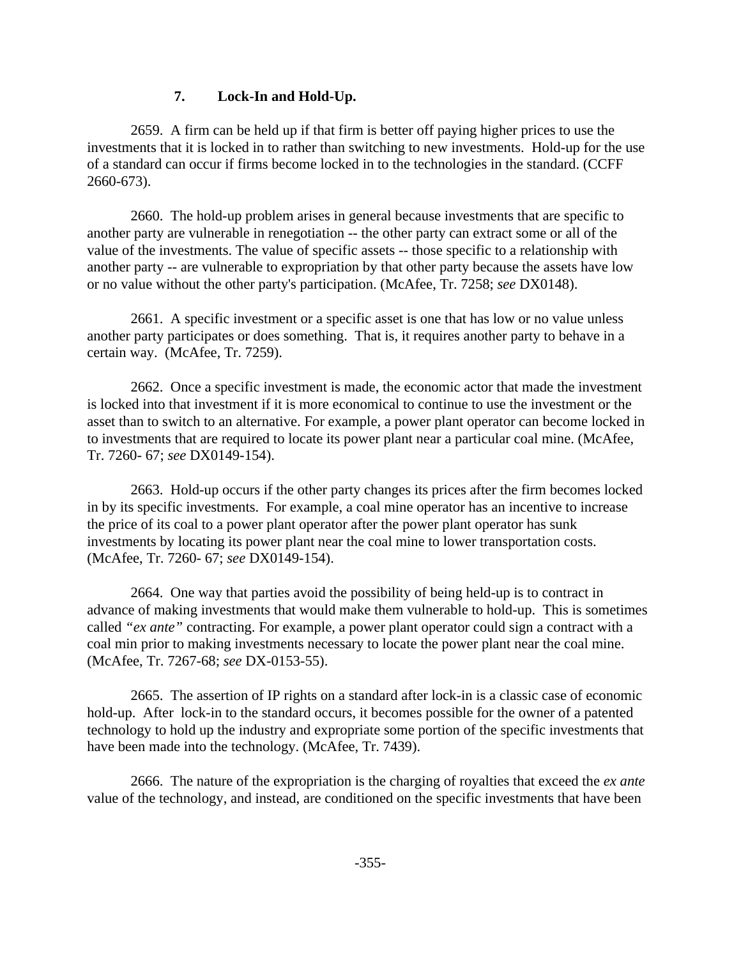#### **7. Lock-In and Hold-Up.**

2659. A firm can be held up if that firm is better off paying higher prices to use the investments that it is locked in to rather than switching to new investments. Hold-up for the use of a standard can occur if firms become locked in to the technologies in the standard. (CCFF 2660-673).

2660. The hold-up problem arises in general because investments that are specific to another party are vulnerable in renegotiation -- the other party can extract some or all of the value of the investments. The value of specific assets -- those specific to a relationship with another party -- are vulnerable to expropriation by that other party because the assets have low or no value without the other party's participation. (McAfee, Tr. 7258; *see* DX0148).

2661. A specific investment or a specific asset is one that has low or no value unless another party participates or does something. That is, it requires another party to behave in a certain way. (McAfee, Tr. 7259).

2662. Once a specific investment is made, the economic actor that made the investment is locked into that investment if it is more economical to continue to use the investment or the asset than to switch to an alternative. For example, a power plant operator can become locked in to investments that are required to locate its power plant near a particular coal mine. (McAfee, Tr. 7260- 67; *see* DX0149-154).

2663. Hold-up occurs if the other party changes its prices after the firm becomes locked in by its specific investments. For example, a coal mine operator has an incentive to increase the price of its coal to a power plant operator after the power plant operator has sunk investments by locating its power plant near the coal mine to lower transportation costs. (McAfee, Tr. 7260- 67; *see* DX0149-154).

2664. One way that parties avoid the possibility of being held-up is to contract in advance of making investments that would make them vulnerable to hold-up. This is sometimes called *"ex ante"* contracting. For example, a power plant operator could sign a contract with a coal min prior to making investments necessary to locate the power plant near the coal mine. (McAfee, Tr. 7267-68; *see* DX-0153-55).

2665. The assertion of IP rights on a standard after lock-in is a classic case of economic hold-up. After lock-in to the standard occurs, it becomes possible for the owner of a patented technology to hold up the industry and expropriate some portion of the specific investments that have been made into the technology. (McAfee, Tr. 7439).

2666. The nature of the expropriation is the charging of royalties that exceed the *ex ante* value of the technology, and instead, are conditioned on the specific investments that have been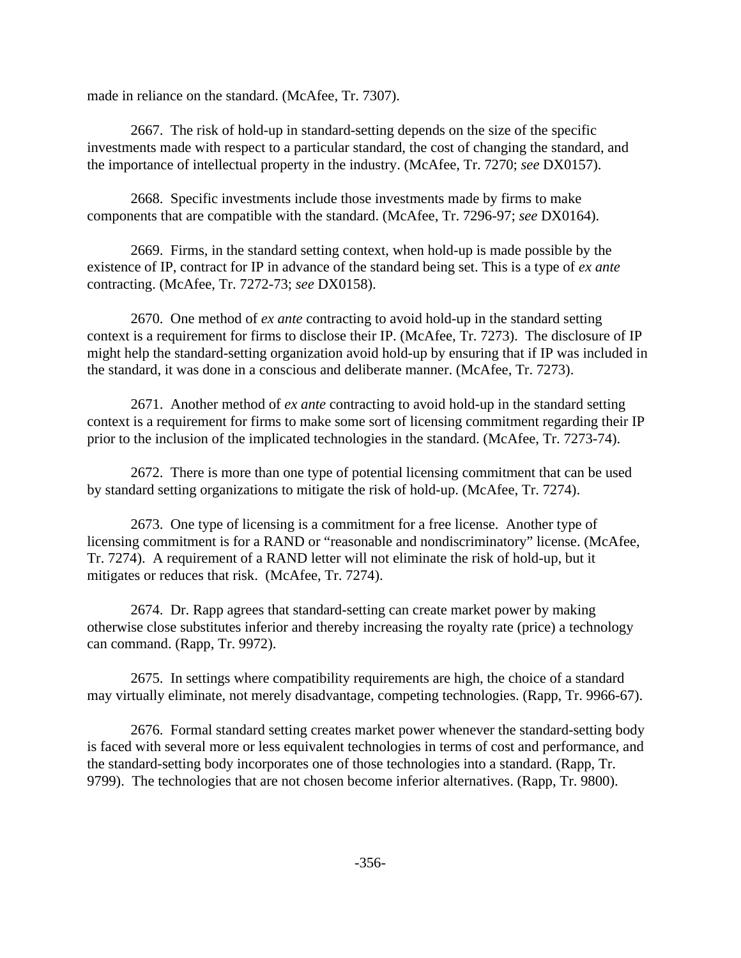made in reliance on the standard. (McAfee, Tr. 7307).

2667. The risk of hold-up in standard-setting depends on the size of the specific investments made with respect to a particular standard, the cost of changing the standard, and the importance of intellectual property in the industry. (McAfee, Tr. 7270; *see* DX0157).

2668. Specific investments include those investments made by firms to make components that are compatible with the standard. (McAfee, Tr. 7296-97; *see* DX0164).

2669. Firms, in the standard setting context, when hold-up is made possible by the existence of IP, contract for IP in advance of the standard being set. This is a type of *ex ante* contracting. (McAfee, Tr. 7272-73; *see* DX0158).

2670. One method of *ex ante* contracting to avoid hold-up in the standard setting context is a requirement for firms to disclose their IP. (McAfee, Tr. 7273). The disclosure of IP might help the standard-setting organization avoid hold-up by ensuring that if IP was included in the standard, it was done in a conscious and deliberate manner. (McAfee, Tr. 7273).

2671. Another method of *ex ante* contracting to avoid hold-up in the standard setting context is a requirement for firms to make some sort of licensing commitment regarding their IP prior to the inclusion of the implicated technologies in the standard. (McAfee, Tr. 7273-74).

2672. There is more than one type of potential licensing commitment that can be used by standard setting organizations to mitigate the risk of hold-up. (McAfee, Tr. 7274).

2673. One type of licensing is a commitment for a free license. Another type of licensing commitment is for a RAND or "reasonable and nondiscriminatory" license. (McAfee, Tr. 7274). A requirement of a RAND letter will not eliminate the risk of hold-up, but it mitigates or reduces that risk. (McAfee, Tr. 7274).

2674. Dr. Rapp agrees that standard-setting can create market power by making otherwise close substitutes inferior and thereby increasing the royalty rate (price) a technology can command. (Rapp, Tr. 9972).

2675. In settings where compatibility requirements are high, the choice of a standard may virtually eliminate, not merely disadvantage, competing technologies. (Rapp, Tr. 9966-67).

2676. Formal standard setting creates market power whenever the standard-setting body is faced with several more or less equivalent technologies in terms of cost and performance, and the standard-setting body incorporates one of those technologies into a standard. (Rapp, Tr. 9799). The technologies that are not chosen become inferior alternatives. (Rapp, Tr. 9800).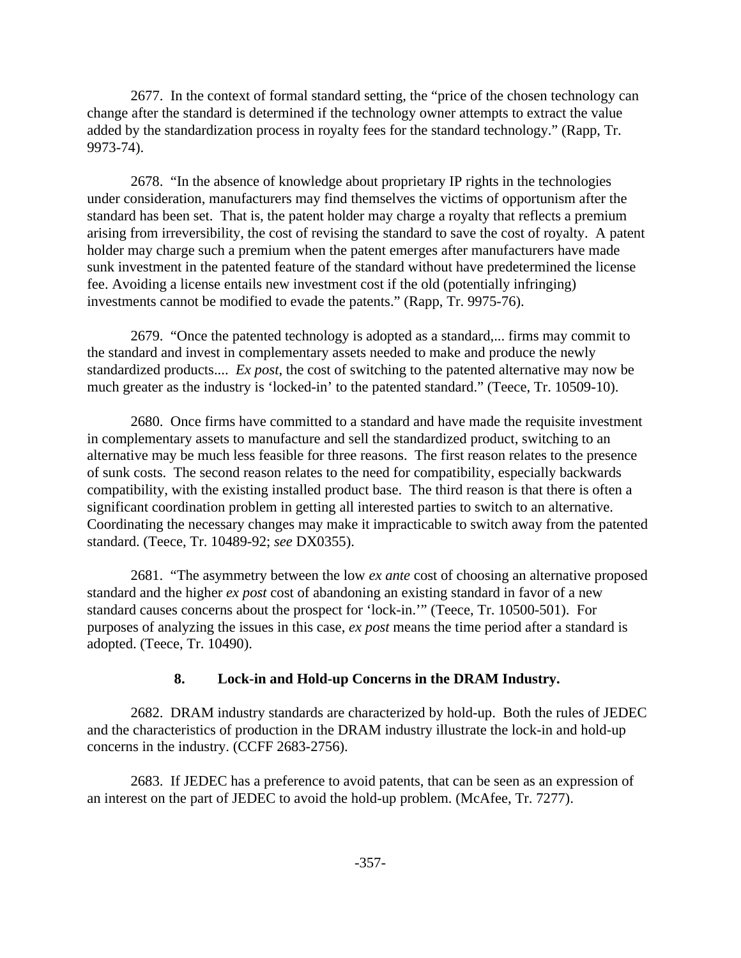2677. In the context of formal standard setting, the "price of the chosen technology can change after the standard is determined if the technology owner attempts to extract the value added by the standardization process in royalty fees for the standard technology." (Rapp, Tr. 9973-74).

2678. "In the absence of knowledge about proprietary IP rights in the technologies under consideration, manufacturers may find themselves the victims of opportunism after the standard has been set. That is, the patent holder may charge a royalty that reflects a premium arising from irreversibility, the cost of revising the standard to save the cost of royalty. A patent holder may charge such a premium when the patent emerges after manufacturers have made sunk investment in the patented feature of the standard without have predetermined the license fee. Avoiding a license entails new investment cost if the old (potentially infringing) investments cannot be modified to evade the patents." (Rapp, Tr. 9975-76).

2679. "Once the patented technology is adopted as a standard,... firms may commit to the standard and invest in complementary assets needed to make and produce the newly standardized products.... *Ex post*, the cost of switching to the patented alternative may now be much greater as the industry is 'locked-in' to the patented standard." (Teece, Tr. 10509-10).

2680. Once firms have committed to a standard and have made the requisite investment in complementary assets to manufacture and sell the standardized product, switching to an alternative may be much less feasible for three reasons. The first reason relates to the presence of sunk costs. The second reason relates to the need for compatibility, especially backwards compatibility, with the existing installed product base. The third reason is that there is often a significant coordination problem in getting all interested parties to switch to an alternative. Coordinating the necessary changes may make it impracticable to switch away from the patented standard. (Teece, Tr. 10489-92; *see* DX0355).

2681. "The asymmetry between the low *ex ante* cost of choosing an alternative proposed standard and the higher *ex post* cost of abandoning an existing standard in favor of a new standard causes concerns about the prospect for 'lock-in.'" (Teece, Tr. 10500-501). For purposes of analyzing the issues in this case, *ex post* means the time period after a standard is adopted. (Teece, Tr. 10490).

## **8. Lock-in and Hold-up Concerns in the DRAM Industry.**

2682. DRAM industry standards are characterized by hold-up. Both the rules of JEDEC and the characteristics of production in the DRAM industry illustrate the lock-in and hold-up concerns in the industry. (CCFF 2683-2756).

2683. If JEDEC has a preference to avoid patents, that can be seen as an expression of an interest on the part of JEDEC to avoid the hold-up problem. (McAfee, Tr. 7277).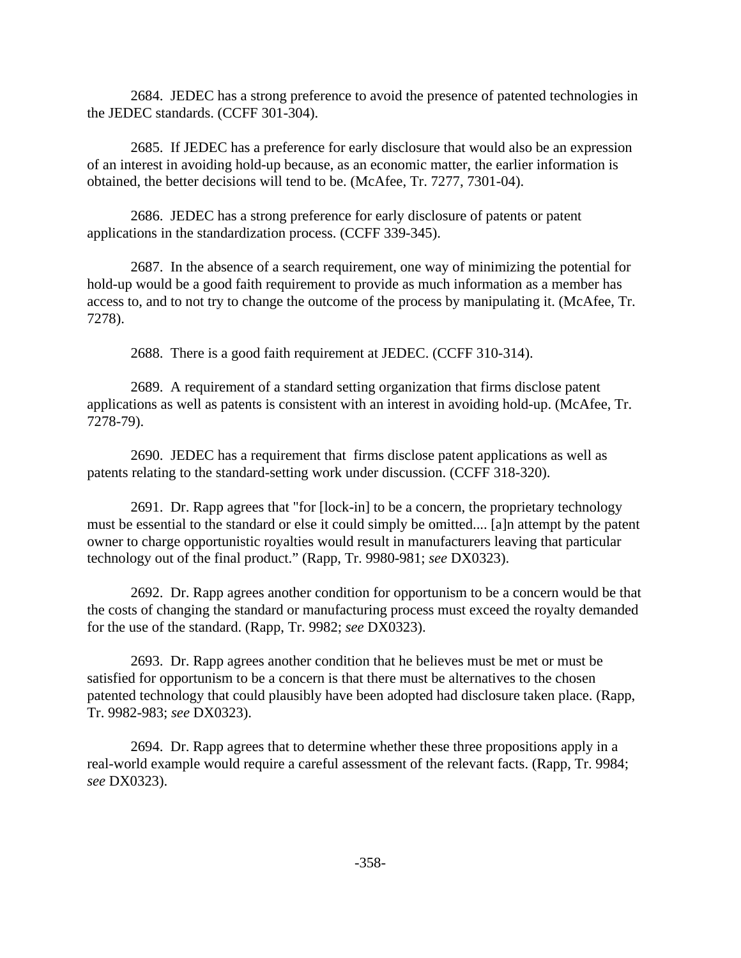2684. JEDEC has a strong preference to avoid the presence of patented technologies in the JEDEC standards. (CCFF 301-304).

2685. If JEDEC has a preference for early disclosure that would also be an expression of an interest in avoiding hold-up because, as an economic matter, the earlier information is obtained, the better decisions will tend to be. (McAfee, Tr. 7277, 7301-04).

2686. JEDEC has a strong preference for early disclosure of patents or patent applications in the standardization process. (CCFF 339-345).

2687. In the absence of a search requirement, one way of minimizing the potential for hold-up would be a good faith requirement to provide as much information as a member has access to, and to not try to change the outcome of the process by manipulating it. (McAfee, Tr. 7278).

2688. There is a good faith requirement at JEDEC. (CCFF 310-314).

2689. A requirement of a standard setting organization that firms disclose patent applications as well as patents is consistent with an interest in avoiding hold-up. (McAfee, Tr. 7278-79).

2690. JEDEC has a requirement that firms disclose patent applications as well as patents relating to the standard-setting work under discussion. (CCFF 318-320).

2691. Dr. Rapp agrees that "for [lock-in] to be a concern, the proprietary technology must be essential to the standard or else it could simply be omitted.... [a]n attempt by the patent owner to charge opportunistic royalties would result in manufacturers leaving that particular technology out of the final product." (Rapp, Tr. 9980-981; *see* DX0323).

2692. Dr. Rapp agrees another condition for opportunism to be a concern would be that the costs of changing the standard or manufacturing process must exceed the royalty demanded for the use of the standard. (Rapp, Tr. 9982; *see* DX0323).

2693. Dr. Rapp agrees another condition that he believes must be met or must be satisfied for opportunism to be a concern is that there must be alternatives to the chosen patented technology that could plausibly have been adopted had disclosure taken place. (Rapp, Tr. 9982-983; *see* DX0323).

2694. Dr. Rapp agrees that to determine whether these three propositions apply in a real-world example would require a careful assessment of the relevant facts. (Rapp, Tr. 9984; *see* DX0323).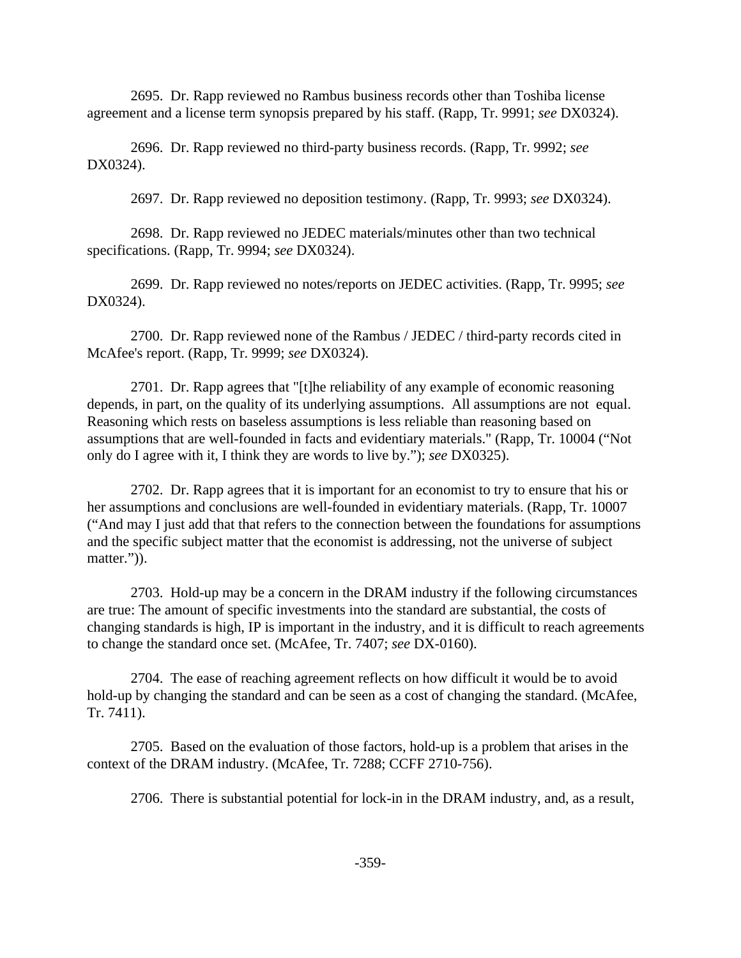2695. Dr. Rapp reviewed no Rambus business records other than Toshiba license agreement and a license term synopsis prepared by his staff. (Rapp, Tr. 9991; *see* DX0324).

2696. Dr. Rapp reviewed no third-party business records. (Rapp, Tr. 9992; *see* DX0324).

2697. Dr. Rapp reviewed no deposition testimony. (Rapp, Tr. 9993; *see* DX0324).

2698. Dr. Rapp reviewed no JEDEC materials/minutes other than two technical specifications. (Rapp, Tr. 9994; *see* DX0324).

2699. Dr. Rapp reviewed no notes/reports on JEDEC activities. (Rapp, Tr. 9995; *see* DX0324).

2700. Dr. Rapp reviewed none of the Rambus / JEDEC / third-party records cited in McAfee's report. (Rapp, Tr. 9999; *see* DX0324).

2701. Dr. Rapp agrees that "[t]he reliability of any example of economic reasoning depends, in part, on the quality of its underlying assumptions. All assumptions are not equal. Reasoning which rests on baseless assumptions is less reliable than reasoning based on assumptions that are well-founded in facts and evidentiary materials." (Rapp, Tr. 10004 ("Not only do I agree with it, I think they are words to live by."); *see* DX0325).

2702. Dr. Rapp agrees that it is important for an economist to try to ensure that his or her assumptions and conclusions are well-founded in evidentiary materials. (Rapp, Tr. 10007 ("And may I just add that that refers to the connection between the foundations for assumptions and the specific subject matter that the economist is addressing, not the universe of subject matter.")).

2703. Hold-up may be a concern in the DRAM industry if the following circumstances are true: The amount of specific investments into the standard are substantial, the costs of changing standards is high, IP is important in the industry, and it is difficult to reach agreements to change the standard once set. (McAfee, Tr. 7407; *see* DX-0160).

2704. The ease of reaching agreement reflects on how difficult it would be to avoid hold-up by changing the standard and can be seen as a cost of changing the standard. (McAfee, Tr. 7411).

2705. Based on the evaluation of those factors, hold-up is a problem that arises in the context of the DRAM industry. (McAfee, Tr. 7288; CCFF 2710-756).

2706. There is substantial potential for lock-in in the DRAM industry, and, as a result,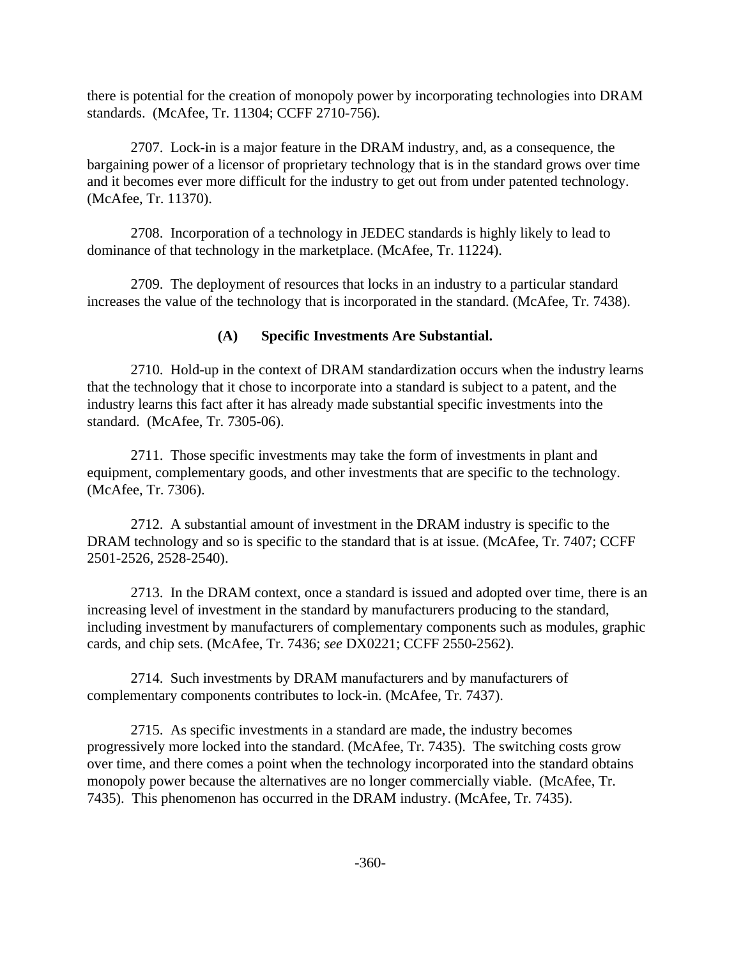there is potential for the creation of monopoly power by incorporating technologies into DRAM standards. (McAfee, Tr. 11304; CCFF 2710-756).

2707. Lock-in is a major feature in the DRAM industry, and, as a consequence, the bargaining power of a licensor of proprietary technology that is in the standard grows over time and it becomes ever more difficult for the industry to get out from under patented technology. (McAfee, Tr. 11370).

2708. Incorporation of a technology in JEDEC standards is highly likely to lead to dominance of that technology in the marketplace. (McAfee, Tr. 11224).

2709. The deployment of resources that locks in an industry to a particular standard increases the value of the technology that is incorporated in the standard. (McAfee, Tr. 7438).

## **(A) Specific Investments Are Substantial.**

2710. Hold-up in the context of DRAM standardization occurs when the industry learns that the technology that it chose to incorporate into a standard is subject to a patent, and the industry learns this fact after it has already made substantial specific investments into the standard. (McAfee, Tr. 7305-06).

2711. Those specific investments may take the form of investments in plant and equipment, complementary goods, and other investments that are specific to the technology. (McAfee, Tr. 7306).

2712. A substantial amount of investment in the DRAM industry is specific to the DRAM technology and so is specific to the standard that is at issue. (McAfee, Tr. 7407; CCFF 2501-2526, 2528-2540).

2713. In the DRAM context, once a standard is issued and adopted over time, there is an increasing level of investment in the standard by manufacturers producing to the standard, including investment by manufacturers of complementary components such as modules, graphic cards, and chip sets. (McAfee, Tr. 7436; *see* DX0221; CCFF 2550-2562).

2714. Such investments by DRAM manufacturers and by manufacturers of complementary components contributes to lock-in. (McAfee, Tr. 7437).

2715. As specific investments in a standard are made, the industry becomes progressively more locked into the standard. (McAfee, Tr. 7435). The switching costs grow over time, and there comes a point when the technology incorporated into the standard obtains monopoly power because the alternatives are no longer commercially viable. (McAfee, Tr. 7435). This phenomenon has occurred in the DRAM industry. (McAfee, Tr. 7435).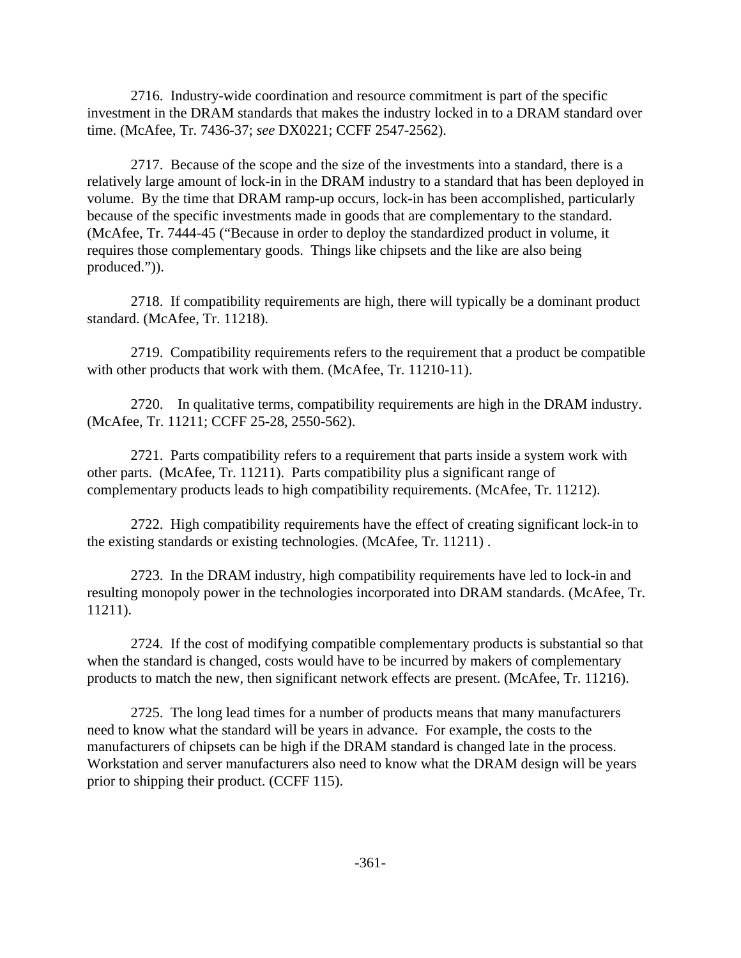2716. Industry-wide coordination and resource commitment is part of the specific investment in the DRAM standards that makes the industry locked in to a DRAM standard over time. (McAfee, Tr. 7436-37; *see* DX0221; CCFF 2547-2562).

2717. Because of the scope and the size of the investments into a standard, there is a relatively large amount of lock-in in the DRAM industry to a standard that has been deployed in volume. By the time that DRAM ramp-up occurs, lock-in has been accomplished, particularly because of the specific investments made in goods that are complementary to the standard. (McAfee, Tr. 7444-45 ("Because in order to deploy the standardized product in volume, it requires those complementary goods. Things like chipsets and the like are also being produced.")).

2718. If compatibility requirements are high, there will typically be a dominant product standard. (McAfee, Tr. 11218).

2719. Compatibility requirements refers to the requirement that a product be compatible with other products that work with them. (McAfee, Tr. 11210-11).

2720. In qualitative terms, compatibility requirements are high in the DRAM industry. (McAfee, Tr. 11211; CCFF 25-28, 2550-562).

2721. Parts compatibility refers to a requirement that parts inside a system work with other parts. (McAfee, Tr. 11211). Parts compatibility plus a significant range of complementary products leads to high compatibility requirements. (McAfee, Tr. 11212).

2722. High compatibility requirements have the effect of creating significant lock-in to the existing standards or existing technologies. (McAfee, Tr. 11211) .

2723. In the DRAM industry, high compatibility requirements have led to lock-in and resulting monopoly power in the technologies incorporated into DRAM standards. (McAfee, Tr. 11211).

2724. If the cost of modifying compatible complementary products is substantial so that when the standard is changed, costs would have to be incurred by makers of complementary products to match the new, then significant network effects are present. (McAfee, Tr. 11216).

2725. The long lead times for a number of products means that many manufacturers need to know what the standard will be years in advance. For example, the costs to the manufacturers of chipsets can be high if the DRAM standard is changed late in the process. Workstation and server manufacturers also need to know what the DRAM design will be years prior to shipping their product. (CCFF 115).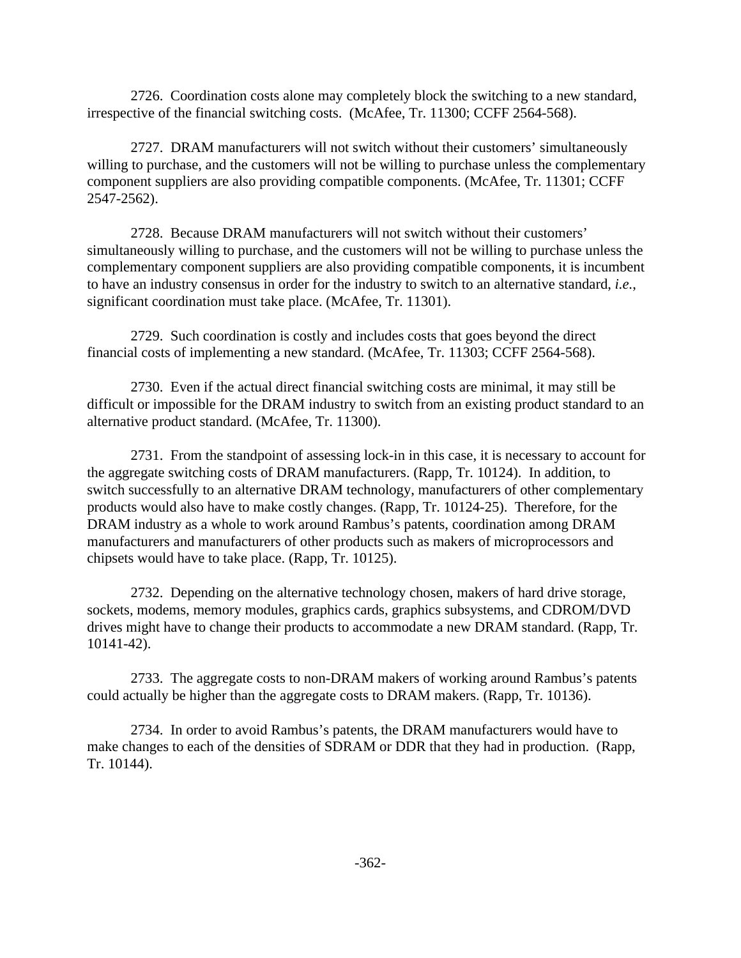2726. Coordination costs alone may completely block the switching to a new standard, irrespective of the financial switching costs. (McAfee, Tr. 11300; CCFF 2564-568).

2727. DRAM manufacturers will not switch without their customers' simultaneously willing to purchase, and the customers will not be willing to purchase unless the complementary component suppliers are also providing compatible components. (McAfee, Tr. 11301; CCFF 2547-2562).

2728. Because DRAM manufacturers will not switch without their customers' simultaneously willing to purchase, and the customers will not be willing to purchase unless the complementary component suppliers are also providing compatible components, it is incumbent to have an industry consensus in order for the industry to switch to an alternative standard, *i.e.*, significant coordination must take place. (McAfee, Tr. 11301).

2729. Such coordination is costly and includes costs that goes beyond the direct financial costs of implementing a new standard. (McAfee, Tr. 11303; CCFF 2564-568).

2730. Even if the actual direct financial switching costs are minimal, it may still be difficult or impossible for the DRAM industry to switch from an existing product standard to an alternative product standard. (McAfee, Tr. 11300).

2731. From the standpoint of assessing lock-in in this case, it is necessary to account for the aggregate switching costs of DRAM manufacturers. (Rapp, Tr. 10124). In addition, to switch successfully to an alternative DRAM technology, manufacturers of other complementary products would also have to make costly changes. (Rapp, Tr. 10124-25). Therefore, for the DRAM industry as a whole to work around Rambus's patents, coordination among DRAM manufacturers and manufacturers of other products such as makers of microprocessors and chipsets would have to take place. (Rapp, Tr. 10125).

2732. Depending on the alternative technology chosen, makers of hard drive storage, sockets, modems, memory modules, graphics cards, graphics subsystems, and CDROM/DVD drives might have to change their products to accommodate a new DRAM standard. (Rapp, Tr. 10141-42).

2733. The aggregate costs to non-DRAM makers of working around Rambus's patents could actually be higher than the aggregate costs to DRAM makers. (Rapp, Tr. 10136).

2734. In order to avoid Rambus's patents, the DRAM manufacturers would have to make changes to each of the densities of SDRAM or DDR that they had in production. (Rapp, Tr. 10144).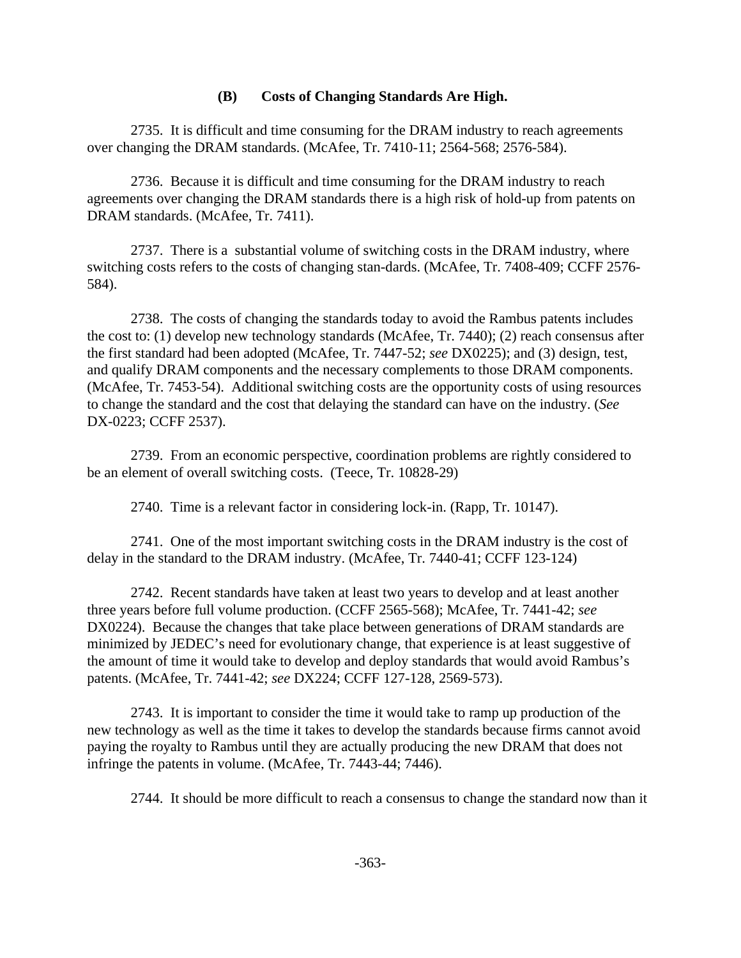#### **(B) Costs of Changing Standards Are High.**

2735. It is difficult and time consuming for the DRAM industry to reach agreements over changing the DRAM standards. (McAfee, Tr. 7410-11; 2564-568; 2576-584).

2736. Because it is difficult and time consuming for the DRAM industry to reach agreements over changing the DRAM standards there is a high risk of hold-up from patents on DRAM standards. (McAfee, Tr. 7411).

2737. There is a substantial volume of switching costs in the DRAM industry, where switching costs refers to the costs of changing stan-dards. (McAfee, Tr. 7408-409; CCFF 2576- 584).

2738. The costs of changing the standards today to avoid the Rambus patents includes the cost to: (1) develop new technology standards (McAfee, Tr. 7440); (2) reach consensus after the first standard had been adopted (McAfee, Tr. 7447-52; *see* DX0225); and (3) design, test, and qualify DRAM components and the necessary complements to those DRAM components. (McAfee, Tr. 7453-54). Additional switching costs are the opportunity costs of using resources to change the standard and the cost that delaying the standard can have on the industry. (*See* DX-0223; CCFF 2537).

2739. From an economic perspective, coordination problems are rightly considered to be an element of overall switching costs. (Teece, Tr. 10828-29)

2740. Time is a relevant factor in considering lock-in. (Rapp, Tr. 10147).

2741. One of the most important switching costs in the DRAM industry is the cost of delay in the standard to the DRAM industry. (McAfee, Tr. 7440-41; CCFF 123-124)

2742. Recent standards have taken at least two years to develop and at least another three years before full volume production. (CCFF 2565-568); McAfee, Tr. 7441-42; *see* DX0224). Because the changes that take place between generations of DRAM standards are minimized by JEDEC's need for evolutionary change, that experience is at least suggestive of the amount of time it would take to develop and deploy standards that would avoid Rambus's patents. (McAfee, Tr. 7441-42; *see* DX224; CCFF 127-128, 2569-573).

2743. It is important to consider the time it would take to ramp up production of the new technology as well as the time it takes to develop the standards because firms cannot avoid paying the royalty to Rambus until they are actually producing the new DRAM that does not infringe the patents in volume. (McAfee, Tr. 7443-44; 7446).

2744. It should be more difficult to reach a consensus to change the standard now than it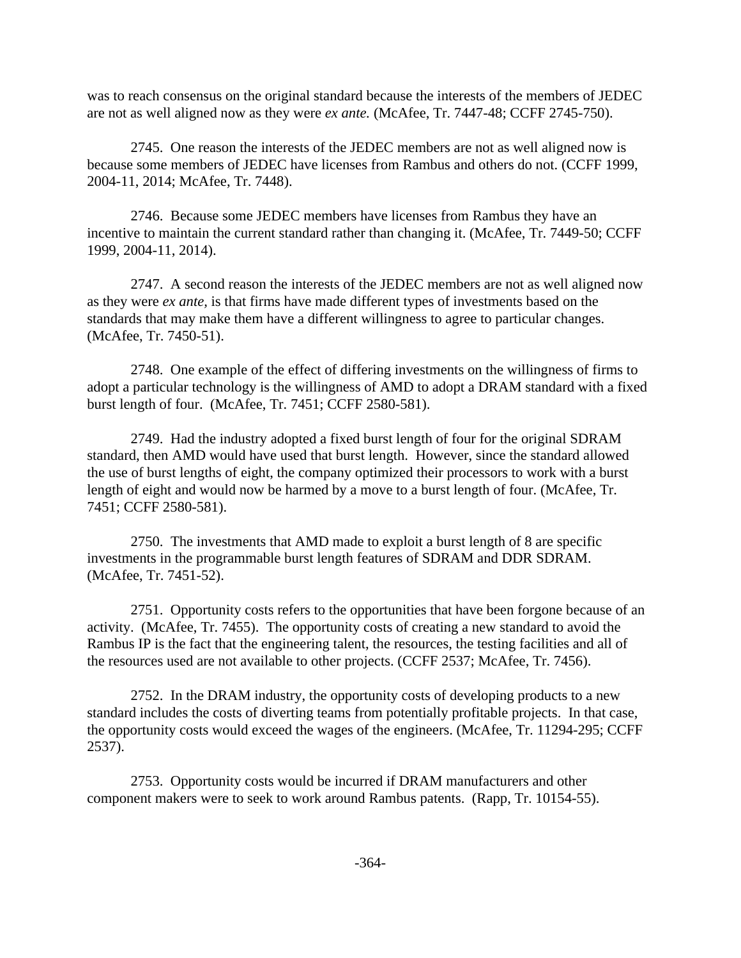was to reach consensus on the original standard because the interests of the members of JEDEC are not as well aligned now as they were *ex ante.* (McAfee, Tr. 7447-48; CCFF 2745-750).

2745. One reason the interests of the JEDEC members are not as well aligned now is because some members of JEDEC have licenses from Rambus and others do not. (CCFF 1999, 2004-11, 2014; McAfee, Tr. 7448).

2746. Because some JEDEC members have licenses from Rambus they have an incentive to maintain the current standard rather than changing it. (McAfee, Tr. 7449-50; CCFF 1999, 2004-11, 2014).

2747. A second reason the interests of the JEDEC members are not as well aligned now as they were *ex ante,* is that firms have made different types of investments based on the standards that may make them have a different willingness to agree to particular changes. (McAfee, Tr. 7450-51).

2748. One example of the effect of differing investments on the willingness of firms to adopt a particular technology is the willingness of AMD to adopt a DRAM standard with a fixed burst length of four. (McAfee, Tr. 7451; CCFF 2580-581).

2749. Had the industry adopted a fixed burst length of four for the original SDRAM standard, then AMD would have used that burst length. However, since the standard allowed the use of burst lengths of eight, the company optimized their processors to work with a burst length of eight and would now be harmed by a move to a burst length of four. (McAfee, Tr. 7451; CCFF 2580-581).

2750. The investments that AMD made to exploit a burst length of 8 are specific investments in the programmable burst length features of SDRAM and DDR SDRAM. (McAfee, Tr. 7451-52).

2751. Opportunity costs refers to the opportunities that have been forgone because of an activity. (McAfee, Tr. 7455). The opportunity costs of creating a new standard to avoid the Rambus IP is the fact that the engineering talent, the resources, the testing facilities and all of the resources used are not available to other projects. (CCFF 2537; McAfee, Tr. 7456).

2752. In the DRAM industry, the opportunity costs of developing products to a new standard includes the costs of diverting teams from potentially profitable projects. In that case, the opportunity costs would exceed the wages of the engineers. (McAfee, Tr. 11294-295; CCFF 2537).

2753. Opportunity costs would be incurred if DRAM manufacturers and other component makers were to seek to work around Rambus patents. (Rapp, Tr. 10154-55).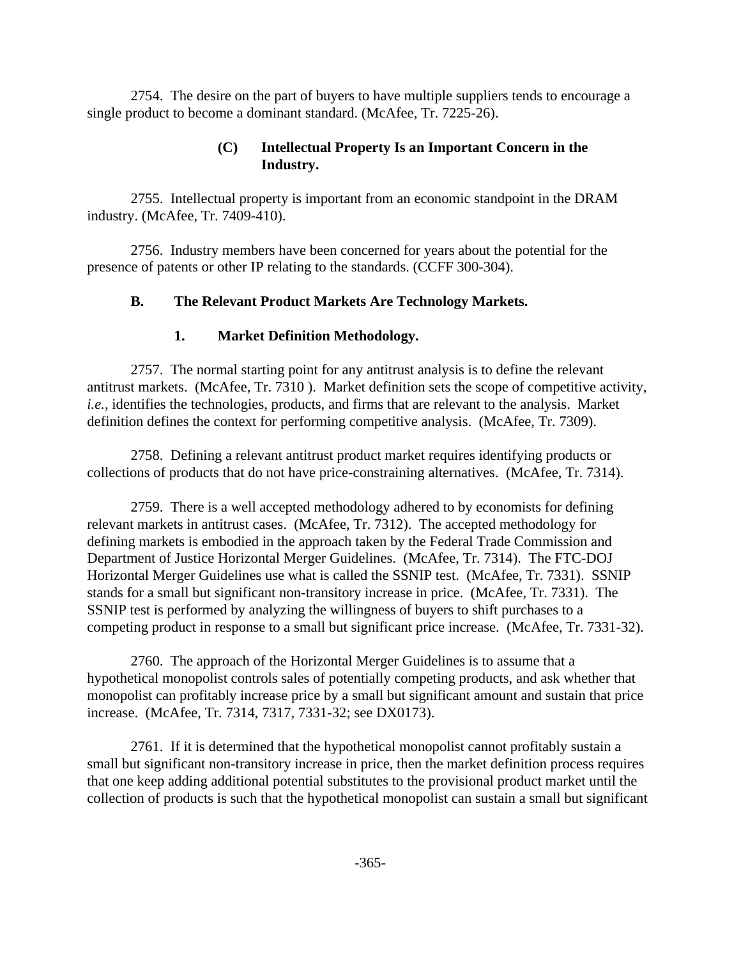2754. The desire on the part of buyers to have multiple suppliers tends to encourage a single product to become a dominant standard. (McAfee, Tr. 7225-26).

## **(C) Intellectual Property Is an Important Concern in the Industry.**

2755. Intellectual property is important from an economic standpoint in the DRAM industry. (McAfee, Tr. 7409-410).

2756. Industry members have been concerned for years about the potential for the presence of patents or other IP relating to the standards. (CCFF 300-304).

# **B. The Relevant Product Markets Are Technology Markets.**

# **1. Market Definition Methodology.**

2757. The normal starting point for any antitrust analysis is to define the relevant antitrust markets. (McAfee, Tr. 7310 ). Market definition sets the scope of competitive activity, *i.e.,* identifies the technologies, products, and firms that are relevant to the analysis. Market definition defines the context for performing competitive analysis. (McAfee, Tr. 7309).

2758. Defining a relevant antitrust product market requires identifying products or collections of products that do not have price-constraining alternatives. (McAfee, Tr. 7314).

2759. There is a well accepted methodology adhered to by economists for defining relevant markets in antitrust cases. (McAfee, Tr. 7312). The accepted methodology for defining markets is embodied in the approach taken by the Federal Trade Commission and Department of Justice Horizontal Merger Guidelines. (McAfee, Tr. 7314). The FTC-DOJ Horizontal Merger Guidelines use what is called the SSNIP test. (McAfee, Tr. 7331). SSNIP stands for a small but significant non-transitory increase in price. (McAfee, Tr. 7331). The SSNIP test is performed by analyzing the willingness of buyers to shift purchases to a competing product in response to a small but significant price increase. (McAfee, Tr. 7331-32).

2760. The approach of the Horizontal Merger Guidelines is to assume that a hypothetical monopolist controls sales of potentially competing products, and ask whether that monopolist can profitably increase price by a small but significant amount and sustain that price increase. (McAfee, Tr. 7314, 7317, 7331-32; see DX0173).

2761. If it is determined that the hypothetical monopolist cannot profitably sustain a small but significant non-transitory increase in price, then the market definition process requires that one keep adding additional potential substitutes to the provisional product market until the collection of products is such that the hypothetical monopolist can sustain a small but significant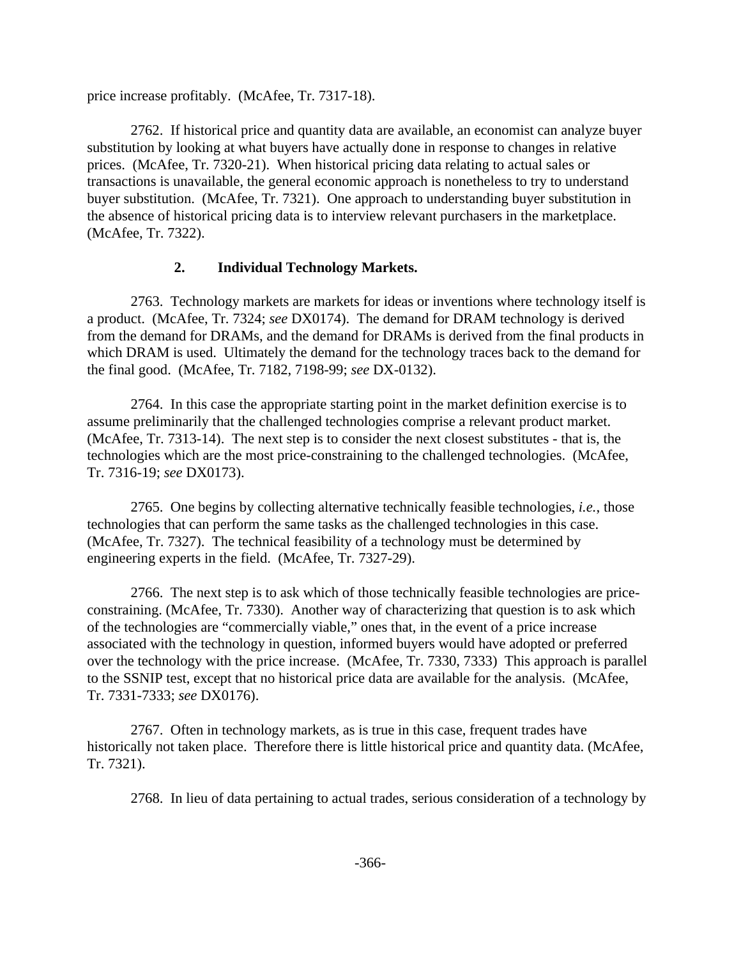price increase profitably. (McAfee, Tr. 7317-18).

2762. If historical price and quantity data are available, an economist can analyze buyer substitution by looking at what buyers have actually done in response to changes in relative prices. (McAfee, Tr. 7320-21). When historical pricing data relating to actual sales or transactions is unavailable, the general economic approach is nonetheless to try to understand buyer substitution. (McAfee, Tr. 7321). One approach to understanding buyer substitution in the absence of historical pricing data is to interview relevant purchasers in the marketplace. (McAfee, Tr. 7322).

## **2. Individual Technology Markets.**

2763. Technology markets are markets for ideas or inventions where technology itself is a product. (McAfee, Tr. 7324; *see* DX0174). The demand for DRAM technology is derived from the demand for DRAMs, and the demand for DRAMs is derived from the final products in which DRAM is used. Ultimately the demand for the technology traces back to the demand for the final good. (McAfee, Tr. 7182, 7198-99; *see* DX-0132).

2764. In this case the appropriate starting point in the market definition exercise is to assume preliminarily that the challenged technologies comprise a relevant product market. (McAfee, Tr. 7313-14). The next step is to consider the next closest substitutes - that is, the technologies which are the most price-constraining to the challenged technologies. (McAfee, Tr. 7316-19; *see* DX0173).

2765. One begins by collecting alternative technically feasible technologies, *i.e.*, those technologies that can perform the same tasks as the challenged technologies in this case. (McAfee, Tr. 7327). The technical feasibility of a technology must be determined by engineering experts in the field. (McAfee, Tr. 7327-29).

2766. The next step is to ask which of those technically feasible technologies are priceconstraining. (McAfee, Tr. 7330). Another way of characterizing that question is to ask which of the technologies are "commercially viable," ones that, in the event of a price increase associated with the technology in question, informed buyers would have adopted or preferred over the technology with the price increase. (McAfee, Tr. 7330, 7333) This approach is parallel to the SSNIP test, except that no historical price data are available for the analysis. (McAfee, Tr. 7331-7333; *see* DX0176).

2767. Often in technology markets, as is true in this case, frequent trades have historically not taken place. Therefore there is little historical price and quantity data. (McAfee, Tr. 7321).

2768. In lieu of data pertaining to actual trades, serious consideration of a technology by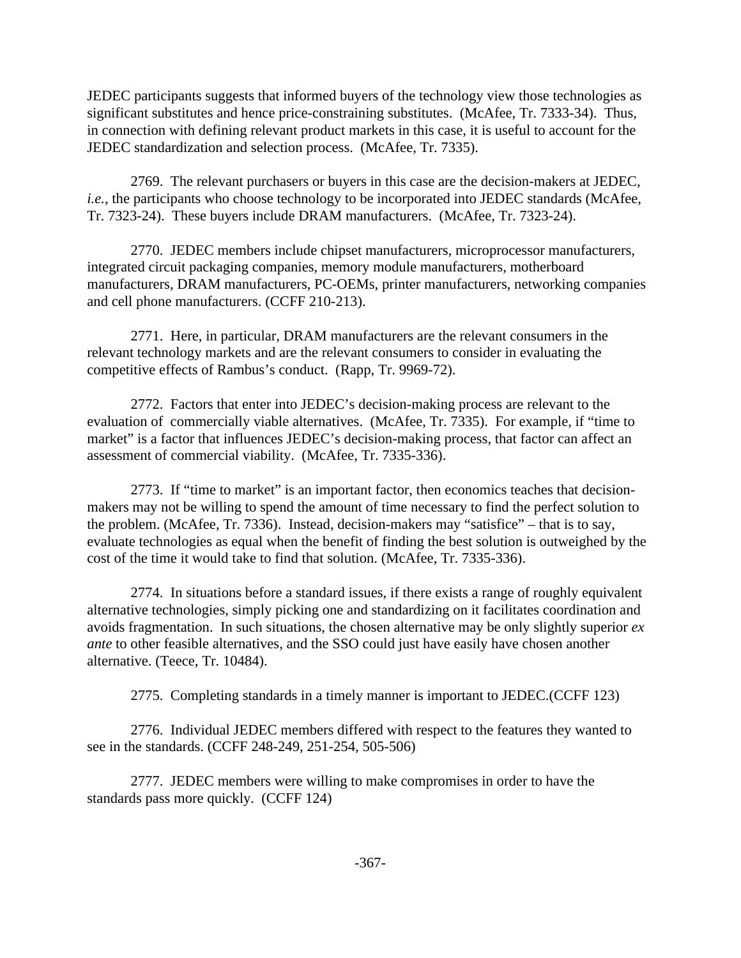JEDEC participants suggests that informed buyers of the technology view those technologies as significant substitutes and hence price-constraining substitutes. (McAfee, Tr. 7333-34). Thus, in connection with defining relevant product markets in this case, it is useful to account for the JEDEC standardization and selection process. (McAfee, Tr. 7335).

2769. The relevant purchasers or buyers in this case are the decision-makers at JEDEC, *i.e.*, the participants who choose technology to be incorporated into JEDEC standards (McAfee, Tr. 7323-24). These buyers include DRAM manufacturers. (McAfee, Tr. 7323-24).

2770. JEDEC members include chipset manufacturers, microprocessor manufacturers, integrated circuit packaging companies, memory module manufacturers, motherboard manufacturers, DRAM manufacturers, PC-OEMs, printer manufacturers, networking companies and cell phone manufacturers. (CCFF 210-213).

2771. Here, in particular, DRAM manufacturers are the relevant consumers in the relevant technology markets and are the relevant consumers to consider in evaluating the competitive effects of Rambus's conduct. (Rapp, Tr. 9969-72).

2772. Factors that enter into JEDEC's decision-making process are relevant to the evaluation of commercially viable alternatives. (McAfee, Tr. 7335). For example, if "time to market" is a factor that influences JEDEC's decision-making process, that factor can affect an assessment of commercial viability. (McAfee, Tr. 7335-336).

2773. If "time to market" is an important factor, then economics teaches that decisionmakers may not be willing to spend the amount of time necessary to find the perfect solution to the problem. (McAfee, Tr. 7336). Instead, decision-makers may "satisfice" – that is to say, evaluate technologies as equal when the benefit of finding the best solution is outweighed by the cost of the time it would take to find that solution. (McAfee, Tr. 7335-336).

2774. In situations before a standard issues, if there exists a range of roughly equivalent alternative technologies, simply picking one and standardizing on it facilitates coordination and avoids fragmentation. In such situations, the chosen alternative may be only slightly superior *ex ante* to other feasible alternatives, and the SSO could just have easily have chosen another alternative. (Teece, Tr. 10484).

2775. Completing standards in a timely manner is important to JEDEC.(CCFF 123)

2776. Individual JEDEC members differed with respect to the features they wanted to see in the standards. (CCFF 248-249, 251-254, 505-506)

2777. JEDEC members were willing to make compromises in order to have the standards pass more quickly. (CCFF 124)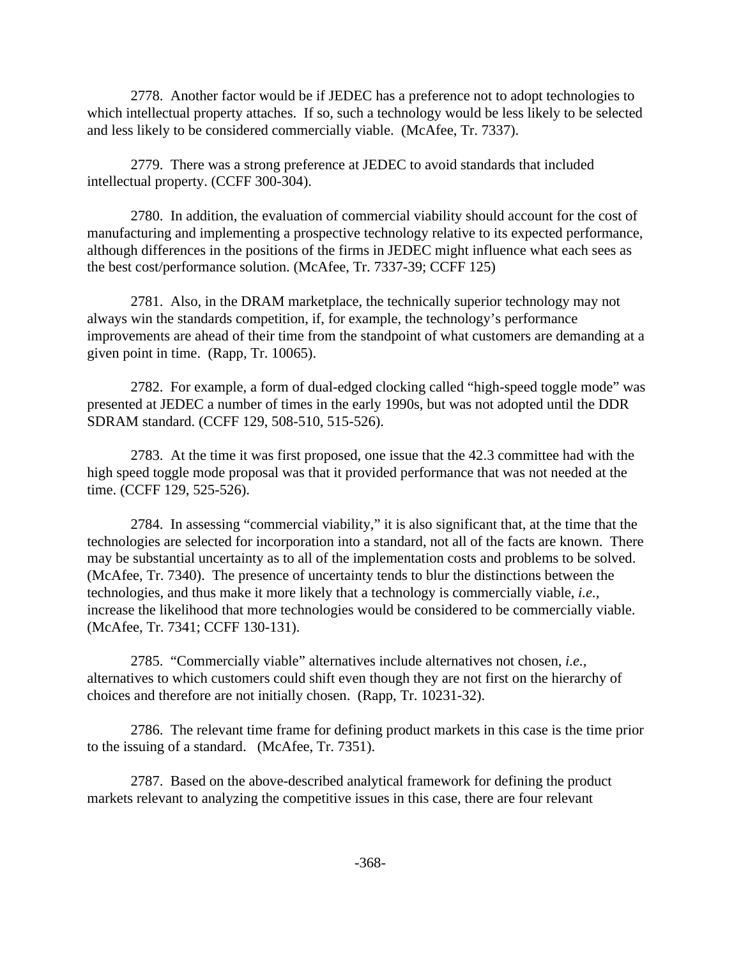2778. Another factor would be if JEDEC has a preference not to adopt technologies to which intellectual property attaches. If so, such a technology would be less likely to be selected and less likely to be considered commercially viable. (McAfee, Tr. 7337).

2779. There was a strong preference at JEDEC to avoid standards that included intellectual property. (CCFF 300-304).

2780. In addition, the evaluation of commercial viability should account for the cost of manufacturing and implementing a prospective technology relative to its expected performance, although differences in the positions of the firms in JEDEC might influence what each sees as the best cost/performance solution. (McAfee, Tr. 7337-39; CCFF 125)

2781. Also, in the DRAM marketplace, the technically superior technology may not always win the standards competition, if, for example, the technology's performance improvements are ahead of their time from the standpoint of what customers are demanding at a given point in time. (Rapp, Tr. 10065).

2782. For example, a form of dual-edged clocking called "high-speed toggle mode" was presented at JEDEC a number of times in the early 1990s, but was not adopted until the DDR SDRAM standard. (CCFF 129, 508-510, 515-526).

2783. At the time it was first proposed, one issue that the 42.3 committee had with the high speed toggle mode proposal was that it provided performance that was not needed at the time. (CCFF 129, 525-526).

2784. In assessing "commercial viability," it is also significant that, at the time that the technologies are selected for incorporation into a standard, not all of the facts are known. There may be substantial uncertainty as to all of the implementation costs and problems to be solved. (McAfee, Tr. 7340). The presence of uncertainty tends to blur the distinctions between the technologies, and thus make it more likely that a technology is commercially viable, *i.e.,* increase the likelihood that more technologies would be considered to be commercially viable. (McAfee, Tr. 7341; CCFF 130-131).

2785. "Commercially viable" alternatives include alternatives not chosen, *i.e.,* alternatives to which customers could shift even though they are not first on the hierarchy of choices and therefore are not initially chosen. (Rapp, Tr. 10231-32).

2786. The relevant time frame for defining product markets in this case is the time prior to the issuing of a standard. (McAfee, Tr. 7351).

2787. Based on the above-described analytical framework for defining the product markets relevant to analyzing the competitive issues in this case, there are four relevant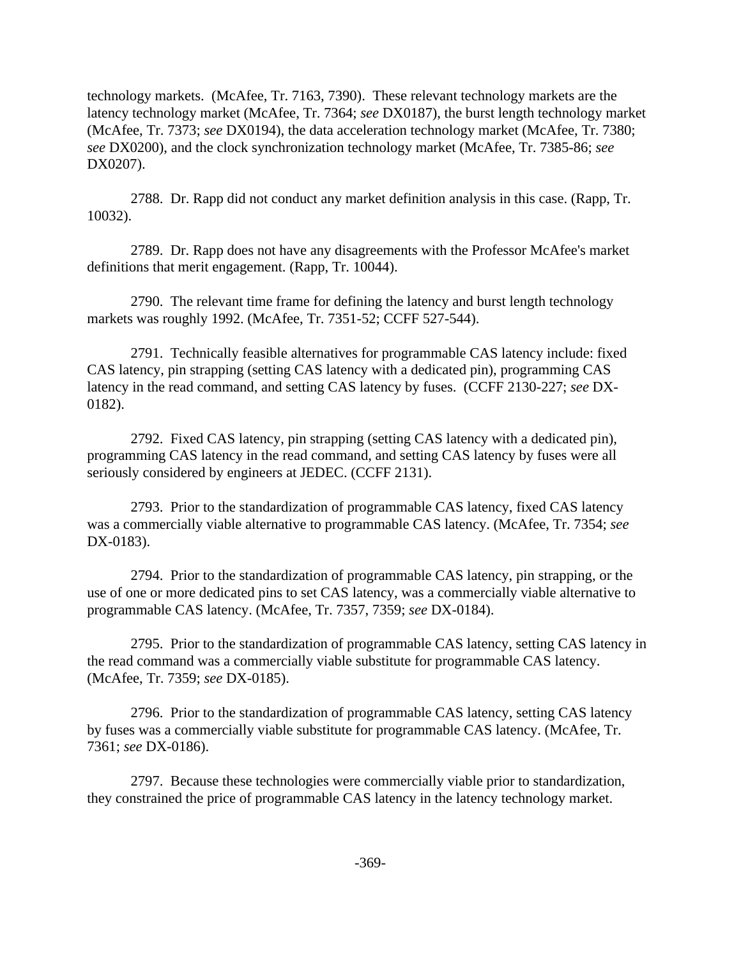technology markets. (McAfee, Tr. 7163, 7390). These relevant technology markets are the latency technology market (McAfee, Tr. 7364; *see* DX0187), the burst length technology market (McAfee, Tr. 7373; *see* DX0194), the data acceleration technology market (McAfee, Tr. 7380; *see* DX0200), and the clock synchronization technology market (McAfee, Tr. 7385-86; *see* DX0207).

2788. Dr. Rapp did not conduct any market definition analysis in this case. (Rapp, Tr. 10032).

2789. Dr. Rapp does not have any disagreements with the Professor McAfee's market definitions that merit engagement. (Rapp, Tr. 10044).

2790. The relevant time frame for defining the latency and burst length technology markets was roughly 1992. (McAfee, Tr. 7351-52; CCFF 527-544).

2791. Technically feasible alternatives for programmable CAS latency include: fixed CAS latency, pin strapping (setting CAS latency with a dedicated pin), programming CAS latency in the read command, and setting CAS latency by fuses. (CCFF 2130-227; *see* DX-0182).

2792. Fixed CAS latency, pin strapping (setting CAS latency with a dedicated pin), programming CAS latency in the read command, and setting CAS latency by fuses were all seriously considered by engineers at JEDEC. (CCFF 2131).

2793. Prior to the standardization of programmable CAS latency, fixed CAS latency was a commercially viable alternative to programmable CAS latency. (McAfee, Tr. 7354; *see* DX-0183).

2794. Prior to the standardization of programmable CAS latency, pin strapping, or the use of one or more dedicated pins to set CAS latency, was a commercially viable alternative to programmable CAS latency. (McAfee, Tr. 7357, 7359; *see* DX-0184).

2795. Prior to the standardization of programmable CAS latency, setting CAS latency in the read command was a commercially viable substitute for programmable CAS latency. (McAfee, Tr. 7359; *see* DX-0185).

2796. Prior to the standardization of programmable CAS latency, setting CAS latency by fuses was a commercially viable substitute for programmable CAS latency. (McAfee, Tr. 7361; *see* DX-0186).

2797. Because these technologies were commercially viable prior to standardization, they constrained the price of programmable CAS latency in the latency technology market.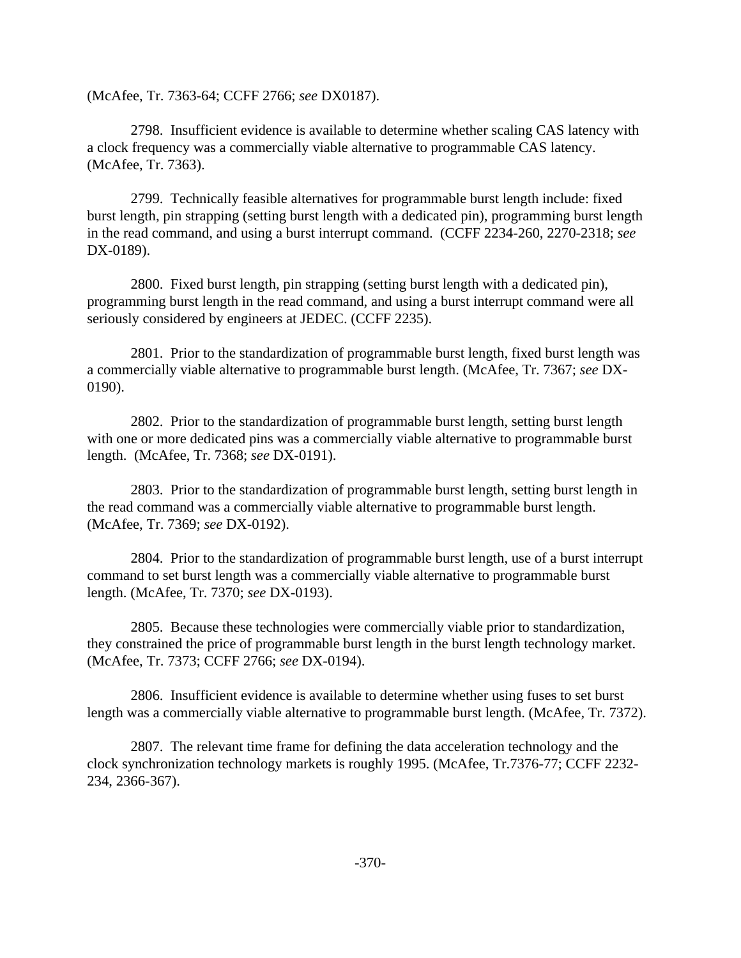(McAfee, Tr. 7363-64; CCFF 2766; *see* DX0187).

2798. Insufficient evidence is available to determine whether scaling CAS latency with a clock frequency was a commercially viable alternative to programmable CAS latency. (McAfee, Tr. 7363).

2799. Technically feasible alternatives for programmable burst length include: fixed burst length, pin strapping (setting burst length with a dedicated pin), programming burst length in the read command, and using a burst interrupt command. (CCFF 2234-260, 2270-2318; *see* DX-0189).

2800. Fixed burst length, pin strapping (setting burst length with a dedicated pin), programming burst length in the read command, and using a burst interrupt command were all seriously considered by engineers at JEDEC. (CCFF 2235).

2801. Prior to the standardization of programmable burst length, fixed burst length was a commercially viable alternative to programmable burst length. (McAfee, Tr. 7367; *see* DX-0190).

2802. Prior to the standardization of programmable burst length, setting burst length with one or more dedicated pins was a commercially viable alternative to programmable burst length. (McAfee, Tr. 7368; *see* DX-0191).

2803. Prior to the standardization of programmable burst length, setting burst length in the read command was a commercially viable alternative to programmable burst length. (McAfee, Tr. 7369; *see* DX-0192).

2804. Prior to the standardization of programmable burst length, use of a burst interrupt command to set burst length was a commercially viable alternative to programmable burst length. (McAfee, Tr. 7370; *see* DX-0193).

2805. Because these technologies were commercially viable prior to standardization, they constrained the price of programmable burst length in the burst length technology market. (McAfee, Tr. 7373; CCFF 2766; *see* DX-0194).

2806. Insufficient evidence is available to determine whether using fuses to set burst length was a commercially viable alternative to programmable burst length. (McAfee, Tr. 7372).

2807. The relevant time frame for defining the data acceleration technology and the clock synchronization technology markets is roughly 1995. (McAfee, Tr.7376-77; CCFF 2232- 234, 2366-367).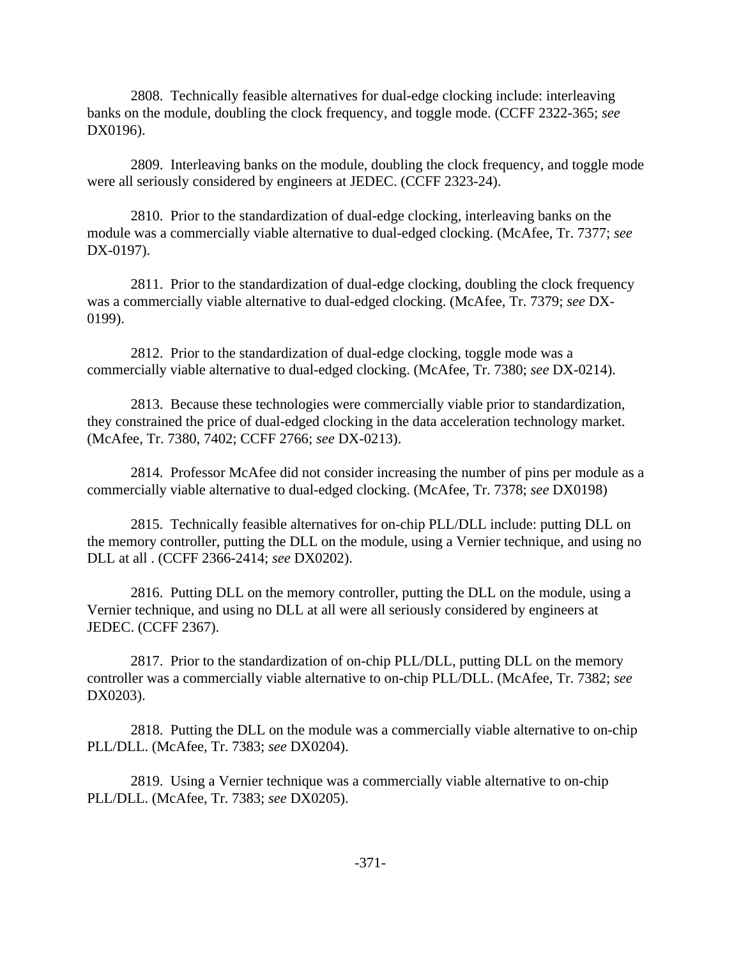2808. Technically feasible alternatives for dual-edge clocking include: interleaving banks on the module, doubling the clock frequency, and toggle mode. (CCFF 2322-365; *see* DX0196).

2809. Interleaving banks on the module, doubling the clock frequency, and toggle mode were all seriously considered by engineers at JEDEC. (CCFF 2323-24).

2810. Prior to the standardization of dual-edge clocking, interleaving banks on the module was a commercially viable alternative to dual-edged clocking. (McAfee, Tr. 7377; *see* DX-0197).

2811. Prior to the standardization of dual-edge clocking, doubling the clock frequency was a commercially viable alternative to dual-edged clocking. (McAfee, Tr. 7379; *see* DX-0199).

2812. Prior to the standardization of dual-edge clocking, toggle mode was a commercially viable alternative to dual-edged clocking. (McAfee, Tr. 7380; *see* DX-0214).

2813. Because these technologies were commercially viable prior to standardization, they constrained the price of dual-edged clocking in the data acceleration technology market. (McAfee, Tr. 7380, 7402; CCFF 2766; *see* DX-0213).

2814. Professor McAfee did not consider increasing the number of pins per module as a commercially viable alternative to dual-edged clocking. (McAfee, Tr. 7378; *see* DX0198)

2815. Technically feasible alternatives for on-chip PLL/DLL include: putting DLL on the memory controller, putting the DLL on the module, using a Vernier technique, and using no DLL at all . (CCFF 2366-2414; *see* DX0202).

2816. Putting DLL on the memory controller, putting the DLL on the module, using a Vernier technique, and using no DLL at all were all seriously considered by engineers at JEDEC. (CCFF 2367).

2817. Prior to the standardization of on-chip PLL/DLL, putting DLL on the memory controller was a commercially viable alternative to on-chip PLL/DLL. (McAfee, Tr. 7382; *see* DX0203).

2818. Putting the DLL on the module was a commercially viable alternative to on-chip PLL/DLL. (McAfee, Tr. 7383; *see* DX0204).

2819. Using a Vernier technique was a commercially viable alternative to on-chip PLL/DLL. (McAfee, Tr. 7383; *see* DX0205).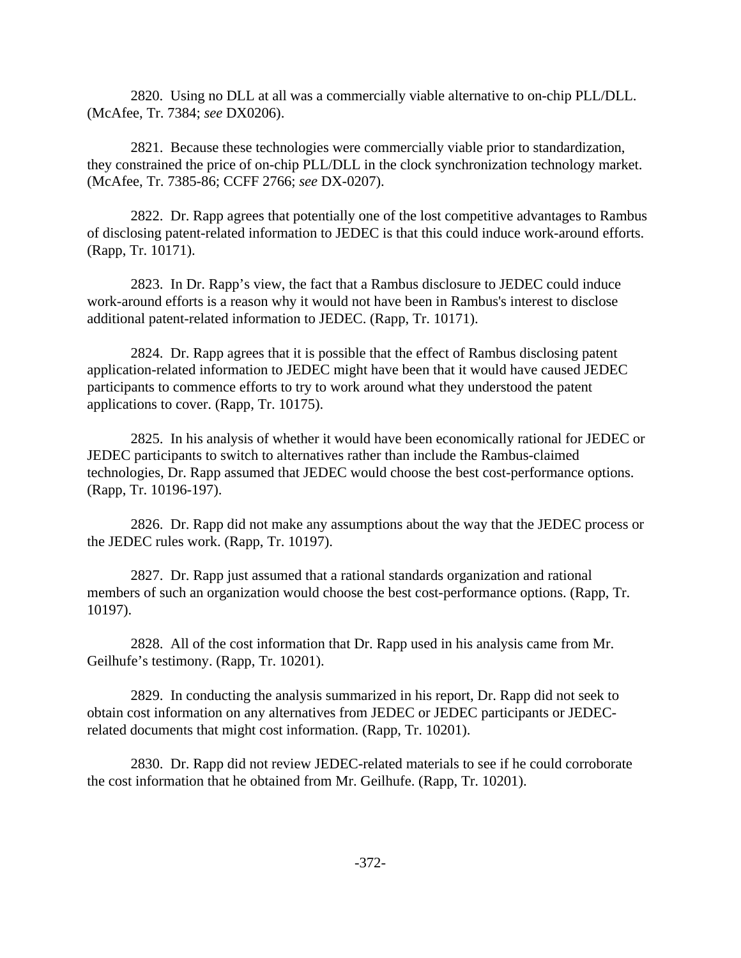2820. Using no DLL at all was a commercially viable alternative to on-chip PLL/DLL. (McAfee, Tr. 7384; *see* DX0206).

2821. Because these technologies were commercially viable prior to standardization, they constrained the price of on-chip PLL/DLL in the clock synchronization technology market. (McAfee, Tr. 7385-86; CCFF 2766; *see* DX-0207).

2822. Dr. Rapp agrees that potentially one of the lost competitive advantages to Rambus of disclosing patent-related information to JEDEC is that this could induce work-around efforts. (Rapp, Tr. 10171).

2823. In Dr. Rapp's view, the fact that a Rambus disclosure to JEDEC could induce work-around efforts is a reason why it would not have been in Rambus's interest to disclose additional patent-related information to JEDEC. (Rapp, Tr. 10171).

2824. Dr. Rapp agrees that it is possible that the effect of Rambus disclosing patent application-related information to JEDEC might have been that it would have caused JEDEC participants to commence efforts to try to work around what they understood the patent applications to cover. (Rapp, Tr. 10175).

2825. In his analysis of whether it would have been economically rational for JEDEC or JEDEC participants to switch to alternatives rather than include the Rambus-claimed technologies, Dr. Rapp assumed that JEDEC would choose the best cost-performance options. (Rapp, Tr. 10196-197).

2826. Dr. Rapp did not make any assumptions about the way that the JEDEC process or the JEDEC rules work. (Rapp, Tr. 10197).

2827. Dr. Rapp just assumed that a rational standards organization and rational members of such an organization would choose the best cost-performance options. (Rapp, Tr. 10197).

2828. All of the cost information that Dr. Rapp used in his analysis came from Mr. Geilhufe's testimony. (Rapp, Tr. 10201).

2829. In conducting the analysis summarized in his report, Dr. Rapp did not seek to obtain cost information on any alternatives from JEDEC or JEDEC participants or JEDECrelated documents that might cost information. (Rapp, Tr. 10201).

2830. Dr. Rapp did not review JEDEC-related materials to see if he could corroborate the cost information that he obtained from Mr. Geilhufe. (Rapp, Tr. 10201).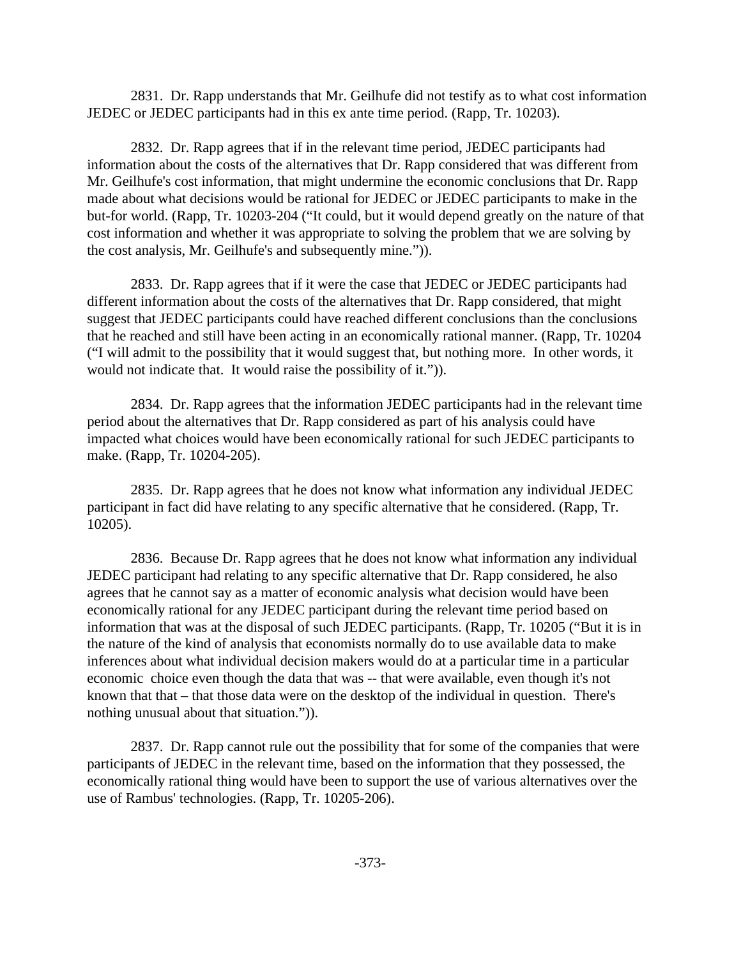2831. Dr. Rapp understands that Mr. Geilhufe did not testify as to what cost information JEDEC or JEDEC participants had in this ex ante time period. (Rapp, Tr. 10203).

2832. Dr. Rapp agrees that if in the relevant time period, JEDEC participants had information about the costs of the alternatives that Dr. Rapp considered that was different from Mr. Geilhufe's cost information, that might undermine the economic conclusions that Dr. Rapp made about what decisions would be rational for JEDEC or JEDEC participants to make in the but-for world. (Rapp, Tr. 10203-204 ("It could, but it would depend greatly on the nature of that cost information and whether it was appropriate to solving the problem that we are solving by the cost analysis, Mr. Geilhufe's and subsequently mine.")).

2833. Dr. Rapp agrees that if it were the case that JEDEC or JEDEC participants had different information about the costs of the alternatives that Dr. Rapp considered, that might suggest that JEDEC participants could have reached different conclusions than the conclusions that he reached and still have been acting in an economically rational manner. (Rapp, Tr. 10204 ("I will admit to the possibility that it would suggest that, but nothing more. In other words, it would not indicate that. It would raise the possibility of it.")).

2834. Dr. Rapp agrees that the information JEDEC participants had in the relevant time period about the alternatives that Dr. Rapp considered as part of his analysis could have impacted what choices would have been economically rational for such JEDEC participants to make. (Rapp, Tr. 10204-205).

2835. Dr. Rapp agrees that he does not know what information any individual JEDEC participant in fact did have relating to any specific alternative that he considered. (Rapp, Tr. 10205).

2836. Because Dr. Rapp agrees that he does not know what information any individual JEDEC participant had relating to any specific alternative that Dr. Rapp considered, he also agrees that he cannot say as a matter of economic analysis what decision would have been economically rational for any JEDEC participant during the relevant time period based on information that was at the disposal of such JEDEC participants. (Rapp, Tr. 10205 ("But it is in the nature of the kind of analysis that economists normally do to use available data to make inferences about what individual decision makers would do at a particular time in a particular economic choice even though the data that was -- that were available, even though it's not known that that – that those data were on the desktop of the individual in question. There's nothing unusual about that situation.")).

2837. Dr. Rapp cannot rule out the possibility that for some of the companies that were participants of JEDEC in the relevant time, based on the information that they possessed, the economically rational thing would have been to support the use of various alternatives over the use of Rambus' technologies. (Rapp, Tr. 10205-206).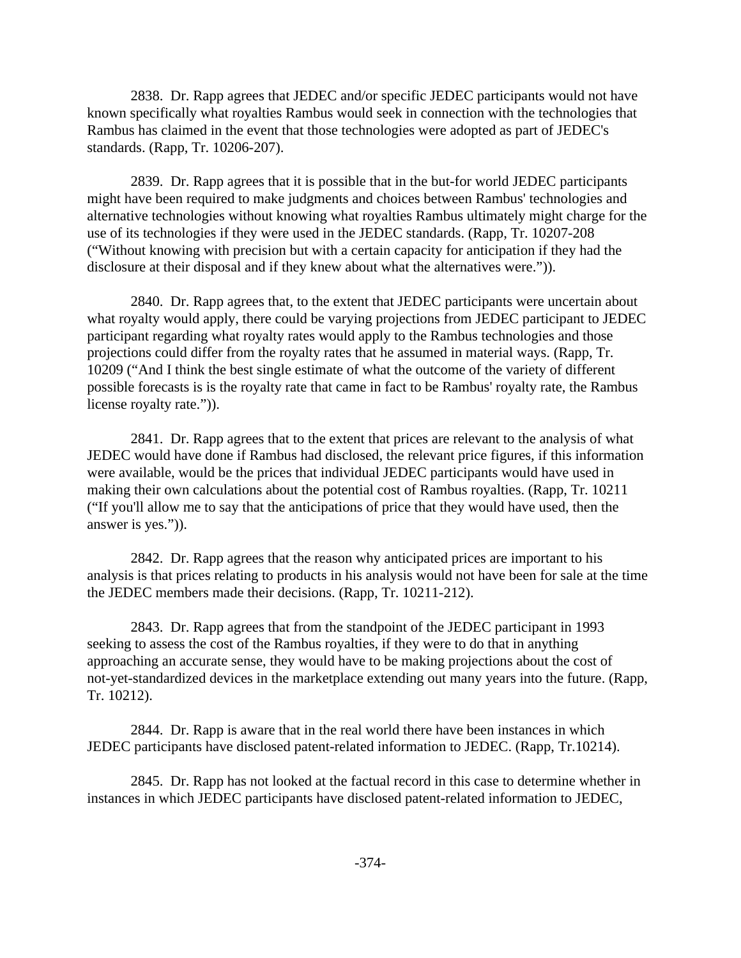2838. Dr. Rapp agrees that JEDEC and/or specific JEDEC participants would not have known specifically what royalties Rambus would seek in connection with the technologies that Rambus has claimed in the event that those technologies were adopted as part of JEDEC's standards. (Rapp, Tr. 10206-207).

2839. Dr. Rapp agrees that it is possible that in the but-for world JEDEC participants might have been required to make judgments and choices between Rambus' technologies and alternative technologies without knowing what royalties Rambus ultimately might charge for the use of its technologies if they were used in the JEDEC standards. (Rapp, Tr. 10207-208 ("Without knowing with precision but with a certain capacity for anticipation if they had the disclosure at their disposal and if they knew about what the alternatives were.")).

2840. Dr. Rapp agrees that, to the extent that JEDEC participants were uncertain about what royalty would apply, there could be varying projections from JEDEC participant to JEDEC participant regarding what royalty rates would apply to the Rambus technologies and those projections could differ from the royalty rates that he assumed in material ways. (Rapp, Tr. 10209 ("And I think the best single estimate of what the outcome of the variety of different possible forecasts is is the royalty rate that came in fact to be Rambus' royalty rate, the Rambus license royalty rate.")).

2841. Dr. Rapp agrees that to the extent that prices are relevant to the analysis of what JEDEC would have done if Rambus had disclosed, the relevant price figures, if this information were available, would be the prices that individual JEDEC participants would have used in making their own calculations about the potential cost of Rambus royalties. (Rapp, Tr. 10211 ("If you'll allow me to say that the anticipations of price that they would have used, then the answer is yes.")).

2842. Dr. Rapp agrees that the reason why anticipated prices are important to his analysis is that prices relating to products in his analysis would not have been for sale at the time the JEDEC members made their decisions. (Rapp, Tr. 10211-212).

2843. Dr. Rapp agrees that from the standpoint of the JEDEC participant in 1993 seeking to assess the cost of the Rambus royalties, if they were to do that in anything approaching an accurate sense, they would have to be making projections about the cost of not-yet-standardized devices in the marketplace extending out many years into the future. (Rapp, Tr. 10212).

2844. Dr. Rapp is aware that in the real world there have been instances in which JEDEC participants have disclosed patent-related information to JEDEC. (Rapp, Tr.10214).

2845. Dr. Rapp has not looked at the factual record in this case to determine whether in instances in which JEDEC participants have disclosed patent-related information to JEDEC,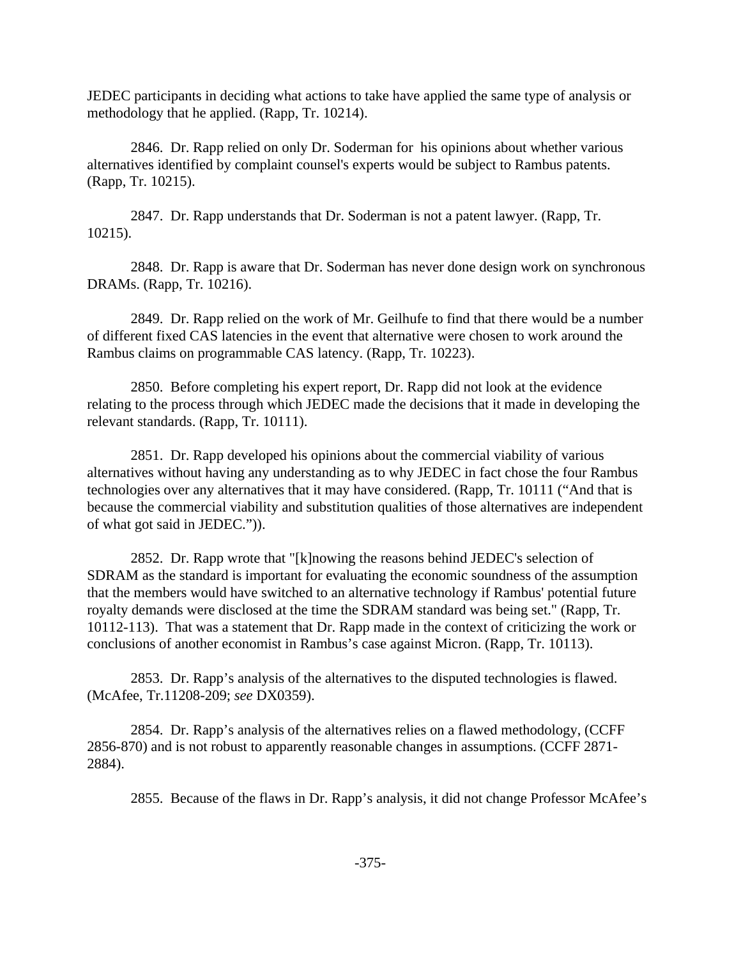JEDEC participants in deciding what actions to take have applied the same type of analysis or methodology that he applied. (Rapp, Tr. 10214).

2846. Dr. Rapp relied on only Dr. Soderman for his opinions about whether various alternatives identified by complaint counsel's experts would be subject to Rambus patents. (Rapp, Tr. 10215).

2847. Dr. Rapp understands that Dr. Soderman is not a patent lawyer. (Rapp, Tr. 10215).

2848. Dr. Rapp is aware that Dr. Soderman has never done design work on synchronous DRAMs. (Rapp, Tr. 10216).

2849. Dr. Rapp relied on the work of Mr. Geilhufe to find that there would be a number of different fixed CAS latencies in the event that alternative were chosen to work around the Rambus claims on programmable CAS latency. (Rapp, Tr. 10223).

2850. Before completing his expert report, Dr. Rapp did not look at the evidence relating to the process through which JEDEC made the decisions that it made in developing the relevant standards. (Rapp, Tr. 10111).

2851. Dr. Rapp developed his opinions about the commercial viability of various alternatives without having any understanding as to why JEDEC in fact chose the four Rambus technologies over any alternatives that it may have considered. (Rapp, Tr. 10111 ("And that is because the commercial viability and substitution qualities of those alternatives are independent of what got said in JEDEC.")).

2852. Dr. Rapp wrote that "[k]nowing the reasons behind JEDEC's selection of SDRAM as the standard is important for evaluating the economic soundness of the assumption that the members would have switched to an alternative technology if Rambus' potential future royalty demands were disclosed at the time the SDRAM standard was being set." (Rapp, Tr. 10112-113). That was a statement that Dr. Rapp made in the context of criticizing the work or conclusions of another economist in Rambus's case against Micron. (Rapp, Tr. 10113).

2853. Dr. Rapp's analysis of the alternatives to the disputed technologies is flawed. (McAfee, Tr.11208-209; *see* DX0359).

2854. Dr. Rapp's analysis of the alternatives relies on a flawed methodology, (CCFF 2856-870) and is not robust to apparently reasonable changes in assumptions. (CCFF 2871- 2884).

2855. Because of the flaws in Dr. Rapp's analysis, it did not change Professor McAfee's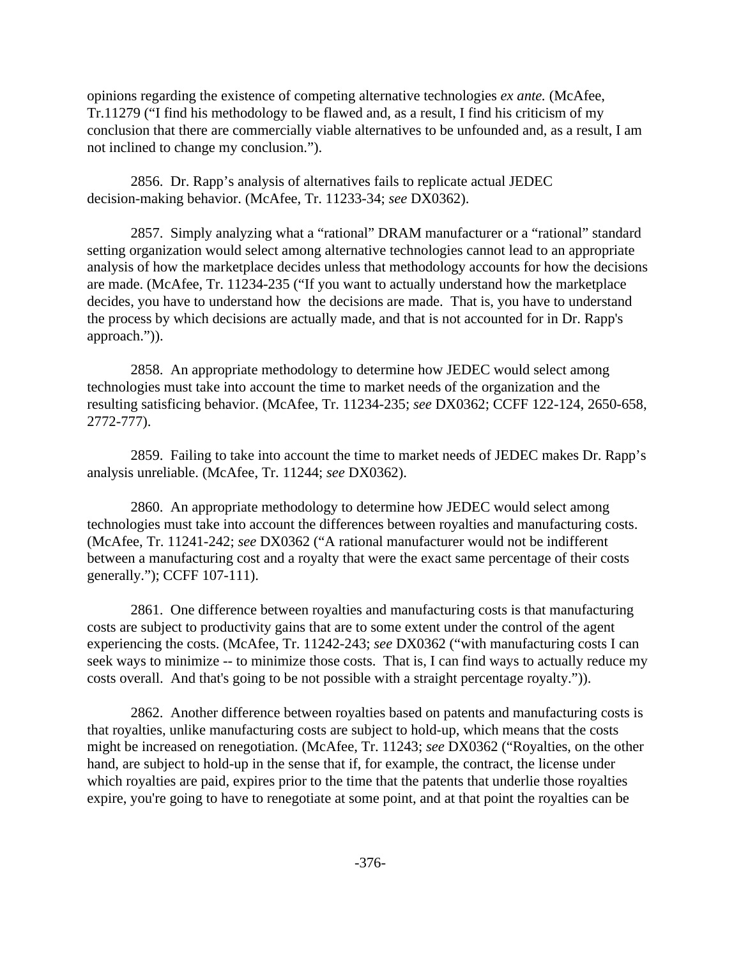opinions regarding the existence of competing alternative technologies *ex ante.* (McAfee, Tr.11279 ("I find his methodology to be flawed and, as a result, I find his criticism of my conclusion that there are commercially viable alternatives to be unfounded and, as a result, I am not inclined to change my conclusion.").

2856. Dr. Rapp's analysis of alternatives fails to replicate actual JEDEC decision-making behavior. (McAfee, Tr. 11233-34; *see* DX0362).

2857. Simply analyzing what a "rational" DRAM manufacturer or a "rational" standard setting organization would select among alternative technologies cannot lead to an appropriate analysis of how the marketplace decides unless that methodology accounts for how the decisions are made. (McAfee, Tr. 11234-235 ("If you want to actually understand how the marketplace decides, you have to understand how the decisions are made. That is, you have to understand the process by which decisions are actually made, and that is not accounted for in Dr. Rapp's approach.")).

2858. An appropriate methodology to determine how JEDEC would select among technologies must take into account the time to market needs of the organization and the resulting satisficing behavior. (McAfee, Tr. 11234-235; *see* DX0362; CCFF 122-124, 2650-658, 2772-777).

2859. Failing to take into account the time to market needs of JEDEC makes Dr. Rapp's analysis unreliable. (McAfee, Tr. 11244; *see* DX0362).

2860. An appropriate methodology to determine how JEDEC would select among technologies must take into account the differences between royalties and manufacturing costs. (McAfee, Tr. 11241-242; *see* DX0362 ("A rational manufacturer would not be indifferent between a manufacturing cost and a royalty that were the exact same percentage of their costs generally."); CCFF 107-111).

2861. One difference between royalties and manufacturing costs is that manufacturing costs are subject to productivity gains that are to some extent under the control of the agent experiencing the costs. (McAfee, Tr. 11242-243; *see* DX0362 ("with manufacturing costs I can seek ways to minimize -- to minimize those costs. That is, I can find ways to actually reduce my costs overall. And that's going to be not possible with a straight percentage royalty.")).

2862. Another difference between royalties based on patents and manufacturing costs is that royalties, unlike manufacturing costs are subject to hold-up, which means that the costs might be increased on renegotiation. (McAfee, Tr. 11243; *see* DX0362 ("Royalties, on the other hand, are subject to hold-up in the sense that if, for example, the contract, the license under which royalties are paid, expires prior to the time that the patents that underlie those royalties expire, you're going to have to renegotiate at some point, and at that point the royalties can be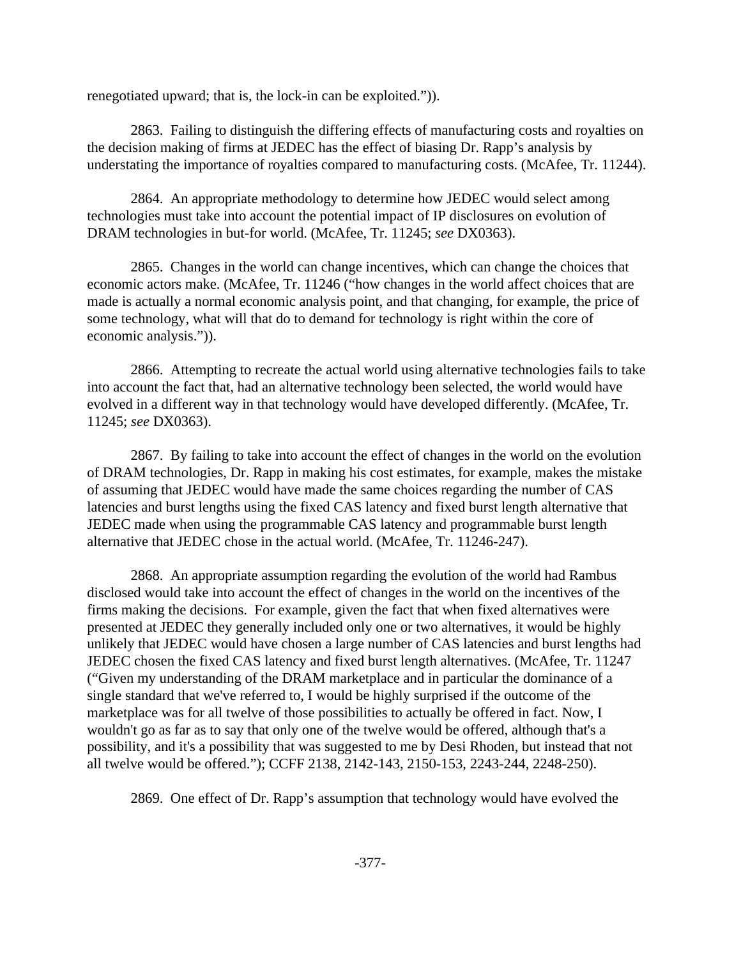renegotiated upward; that is, the lock-in can be exploited.")).

2863. Failing to distinguish the differing effects of manufacturing costs and royalties on the decision making of firms at JEDEC has the effect of biasing Dr. Rapp's analysis by understating the importance of royalties compared to manufacturing costs. (McAfee, Tr. 11244).

2864. An appropriate methodology to determine how JEDEC would select among technologies must take into account the potential impact of IP disclosures on evolution of DRAM technologies in but-for world. (McAfee, Tr. 11245; *see* DX0363).

2865. Changes in the world can change incentives, which can change the choices that economic actors make. (McAfee, Tr. 11246 ("how changes in the world affect choices that are made is actually a normal economic analysis point, and that changing, for example, the price of some technology, what will that do to demand for technology is right within the core of economic analysis.")).

2866. Attempting to recreate the actual world using alternative technologies fails to take into account the fact that, had an alternative technology been selected, the world would have evolved in a different way in that technology would have developed differently. (McAfee, Tr. 11245; *see* DX0363).

2867. By failing to take into account the effect of changes in the world on the evolution of DRAM technologies, Dr. Rapp in making his cost estimates, for example, makes the mistake of assuming that JEDEC would have made the same choices regarding the number of CAS latencies and burst lengths using the fixed CAS latency and fixed burst length alternative that JEDEC made when using the programmable CAS latency and programmable burst length alternative that JEDEC chose in the actual world. (McAfee, Tr. 11246-247).

2868. An appropriate assumption regarding the evolution of the world had Rambus disclosed would take into account the effect of changes in the world on the incentives of the firms making the decisions. For example, given the fact that when fixed alternatives were presented at JEDEC they generally included only one or two alternatives, it would be highly unlikely that JEDEC would have chosen a large number of CAS latencies and burst lengths had JEDEC chosen the fixed CAS latency and fixed burst length alternatives. (McAfee, Tr. 11247 ("Given my understanding of the DRAM marketplace and in particular the dominance of a single standard that we've referred to, I would be highly surprised if the outcome of the marketplace was for all twelve of those possibilities to actually be offered in fact. Now, I wouldn't go as far as to say that only one of the twelve would be offered, although that's a possibility, and it's a possibility that was suggested to me by Desi Rhoden, but instead that not all twelve would be offered."); CCFF 2138, 2142-143, 2150-153, 2243-244, 2248-250).

2869. One effect of Dr. Rapp's assumption that technology would have evolved the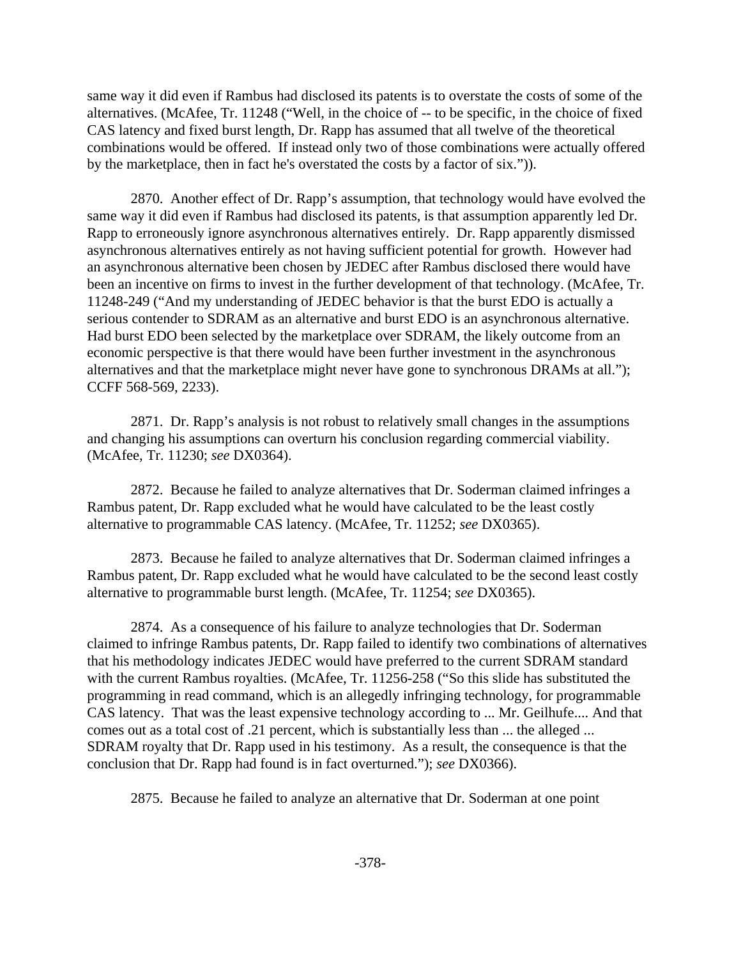same way it did even if Rambus had disclosed its patents is to overstate the costs of some of the alternatives. (McAfee, Tr. 11248 ("Well, in the choice of -- to be specific, in the choice of fixed CAS latency and fixed burst length, Dr. Rapp has assumed that all twelve of the theoretical combinations would be offered. If instead only two of those combinations were actually offered by the marketplace, then in fact he's overstated the costs by a factor of six.")).

2870. Another effect of Dr. Rapp's assumption, that technology would have evolved the same way it did even if Rambus had disclosed its patents, is that assumption apparently led Dr. Rapp to erroneously ignore asynchronous alternatives entirely. Dr. Rapp apparently dismissed asynchronous alternatives entirely as not having sufficient potential for growth. However had an asynchronous alternative been chosen by JEDEC after Rambus disclosed there would have been an incentive on firms to invest in the further development of that technology. (McAfee, Tr. 11248-249 ("And my understanding of JEDEC behavior is that the burst EDO is actually a serious contender to SDRAM as an alternative and burst EDO is an asynchronous alternative. Had burst EDO been selected by the marketplace over SDRAM, the likely outcome from an economic perspective is that there would have been further investment in the asynchronous alternatives and that the marketplace might never have gone to synchronous DRAMs at all."); CCFF 568-569, 2233).

2871. Dr. Rapp's analysis is not robust to relatively small changes in the assumptions and changing his assumptions can overturn his conclusion regarding commercial viability. (McAfee, Tr. 11230; *see* DX0364).

2872. Because he failed to analyze alternatives that Dr. Soderman claimed infringes a Rambus patent, Dr. Rapp excluded what he would have calculated to be the least costly alternative to programmable CAS latency. (McAfee, Tr. 11252; *see* DX0365).

2873. Because he failed to analyze alternatives that Dr. Soderman claimed infringes a Rambus patent, Dr. Rapp excluded what he would have calculated to be the second least costly alternative to programmable burst length. (McAfee, Tr. 11254; *see* DX0365).

2874. As a consequence of his failure to analyze technologies that Dr. Soderman claimed to infringe Rambus patents, Dr. Rapp failed to identify two combinations of alternatives that his methodology indicates JEDEC would have preferred to the current SDRAM standard with the current Rambus royalties. (McAfee, Tr. 11256-258 ("So this slide has substituted the programming in read command, which is an allegedly infringing technology, for programmable CAS latency. That was the least expensive technology according to ... Mr. Geilhufe.... And that comes out as a total cost of .21 percent, which is substantially less than ... the alleged ... SDRAM royalty that Dr. Rapp used in his testimony. As a result, the consequence is that the conclusion that Dr. Rapp had found is in fact overturned."); *see* DX0366).

2875. Because he failed to analyze an alternative that Dr. Soderman at one point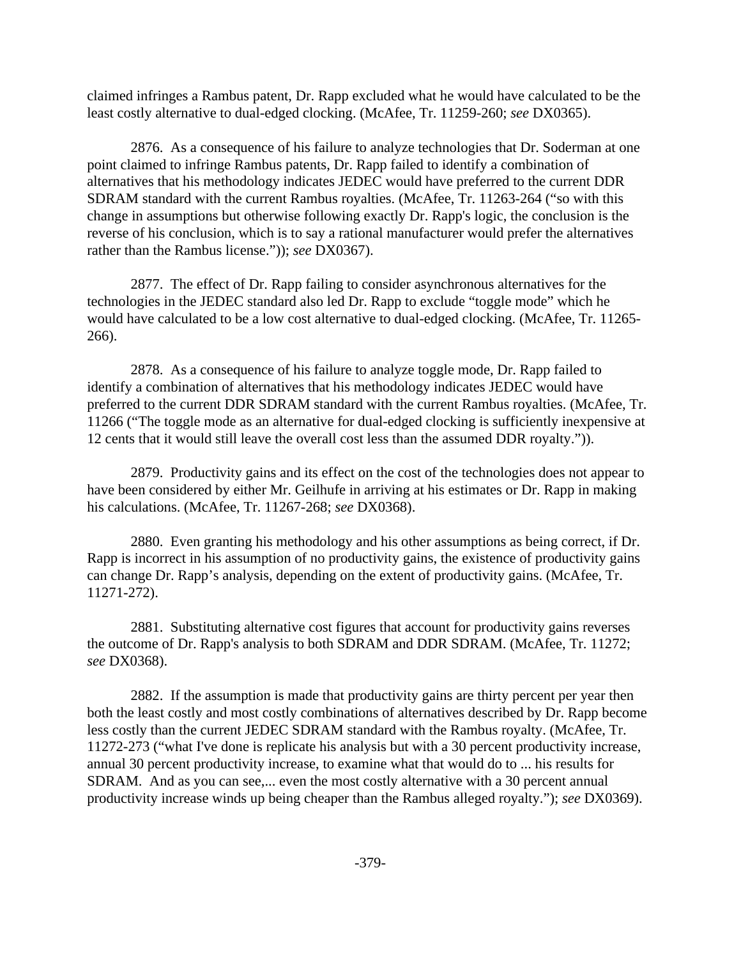claimed infringes a Rambus patent, Dr. Rapp excluded what he would have calculated to be the least costly alternative to dual-edged clocking. (McAfee, Tr. 11259-260; *see* DX0365).

2876. As a consequence of his failure to analyze technologies that Dr. Soderman at one point claimed to infringe Rambus patents, Dr. Rapp failed to identify a combination of alternatives that his methodology indicates JEDEC would have preferred to the current DDR SDRAM standard with the current Rambus royalties. (McAfee, Tr. 11263-264 ("so with this change in assumptions but otherwise following exactly Dr. Rapp's logic, the conclusion is the reverse of his conclusion, which is to say a rational manufacturer would prefer the alternatives rather than the Rambus license.")); *see* DX0367).

2877. The effect of Dr. Rapp failing to consider asynchronous alternatives for the technologies in the JEDEC standard also led Dr. Rapp to exclude "toggle mode" which he would have calculated to be a low cost alternative to dual-edged clocking. (McAfee, Tr. 11265- 266).

2878. As a consequence of his failure to analyze toggle mode, Dr. Rapp failed to identify a combination of alternatives that his methodology indicates JEDEC would have preferred to the current DDR SDRAM standard with the current Rambus royalties. (McAfee, Tr. 11266 ("The toggle mode as an alternative for dual-edged clocking is sufficiently inexpensive at 12 cents that it would still leave the overall cost less than the assumed DDR royalty.")).

2879. Productivity gains and its effect on the cost of the technologies does not appear to have been considered by either Mr. Geilhufe in arriving at his estimates or Dr. Rapp in making his calculations. (McAfee, Tr. 11267-268; *see* DX0368).

2880. Even granting his methodology and his other assumptions as being correct, if Dr. Rapp is incorrect in his assumption of no productivity gains, the existence of productivity gains can change Dr. Rapp's analysis, depending on the extent of productivity gains. (McAfee, Tr. 11271-272).

2881. Substituting alternative cost figures that account for productivity gains reverses the outcome of Dr. Rapp's analysis to both SDRAM and DDR SDRAM. (McAfee, Tr. 11272; *see* DX0368).

2882. If the assumption is made that productivity gains are thirty percent per year then both the least costly and most costly combinations of alternatives described by Dr. Rapp become less costly than the current JEDEC SDRAM standard with the Rambus royalty. (McAfee, Tr. 11272-273 ("what I've done is replicate his analysis but with a 30 percent productivity increase, annual 30 percent productivity increase, to examine what that would do to ... his results for SDRAM. And as you can see,... even the most costly alternative with a 30 percent annual productivity increase winds up being cheaper than the Rambus alleged royalty."); *see* DX0369).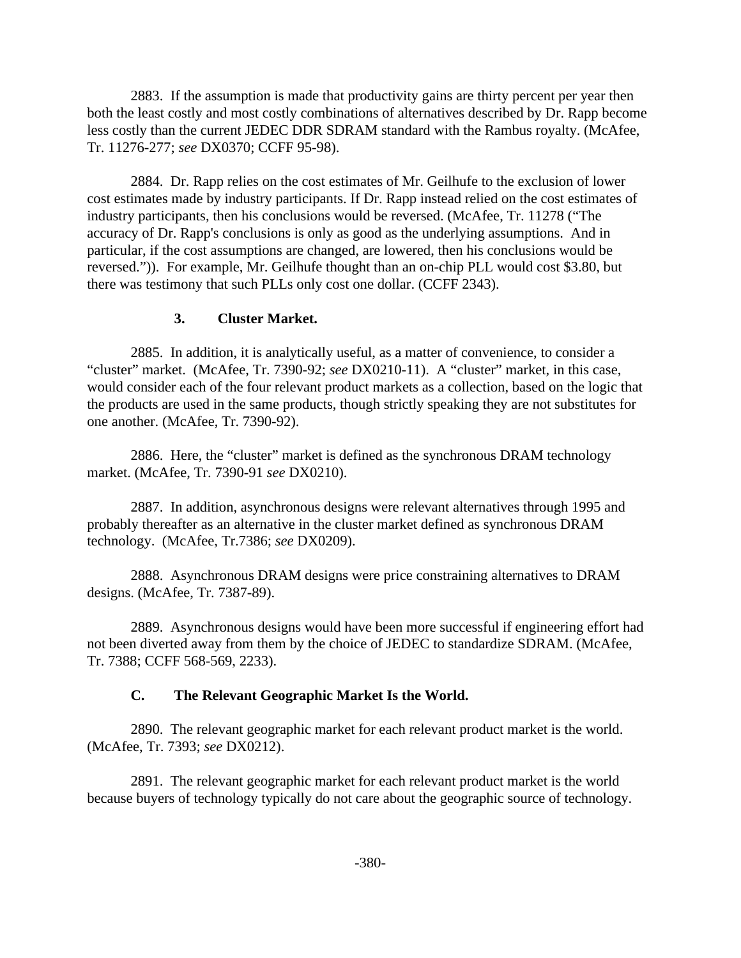2883. If the assumption is made that productivity gains are thirty percent per year then both the least costly and most costly combinations of alternatives described by Dr. Rapp become less costly than the current JEDEC DDR SDRAM standard with the Rambus royalty. (McAfee, Tr. 11276-277; *see* DX0370; CCFF 95-98).

2884. Dr. Rapp relies on the cost estimates of Mr. Geilhufe to the exclusion of lower cost estimates made by industry participants. If Dr. Rapp instead relied on the cost estimates of industry participants, then his conclusions would be reversed. (McAfee, Tr. 11278 ("The accuracy of Dr. Rapp's conclusions is only as good as the underlying assumptions. And in particular, if the cost assumptions are changed, are lowered, then his conclusions would be reversed.")). For example, Mr. Geilhufe thought than an on-chip PLL would cost \$3.80, but there was testimony that such PLLs only cost one dollar. (CCFF 2343).

### **3. Cluster Market.**

2885. In addition, it is analytically useful, as a matter of convenience, to consider a "cluster" market. (McAfee, Tr. 7390-92; *see* DX0210-11). A "cluster" market, in this case, would consider each of the four relevant product markets as a collection, based on the logic that the products are used in the same products, though strictly speaking they are not substitutes for one another. (McAfee, Tr. 7390-92).

2886. Here, the "cluster" market is defined as the synchronous DRAM technology market. (McAfee, Tr. 7390-91 *see* DX0210).

2887. In addition, asynchronous designs were relevant alternatives through 1995 and probably thereafter as an alternative in the cluster market defined as synchronous DRAM technology. (McAfee, Tr.7386; *see* DX0209).

2888. Asynchronous DRAM designs were price constraining alternatives to DRAM designs. (McAfee, Tr. 7387-89).

2889. Asynchronous designs would have been more successful if engineering effort had not been diverted away from them by the choice of JEDEC to standardize SDRAM. (McAfee, Tr. 7388; CCFF 568-569, 2233).

## **C. The Relevant Geographic Market Is the World.**

2890. The relevant geographic market for each relevant product market is the world. (McAfee, Tr. 7393; *see* DX0212).

2891. The relevant geographic market for each relevant product market is the world because buyers of technology typically do not care about the geographic source of technology.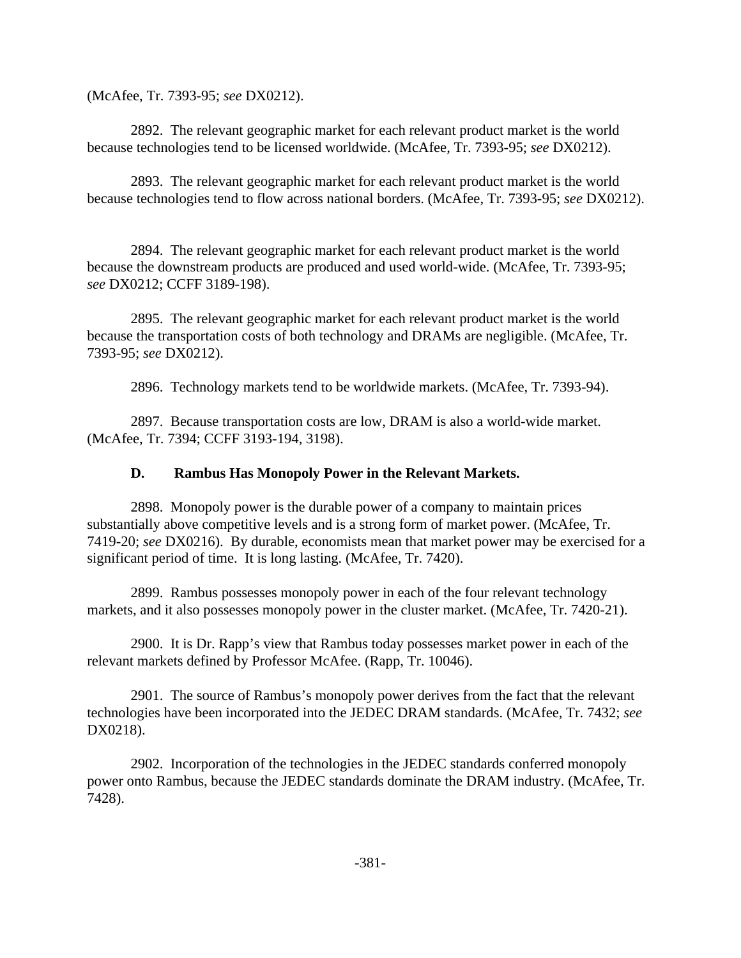(McAfee, Tr. 7393-95; *see* DX0212).

2892. The relevant geographic market for each relevant product market is the world because technologies tend to be licensed worldwide. (McAfee, Tr. 7393-95; *see* DX0212).

2893. The relevant geographic market for each relevant product market is the world because technologies tend to flow across national borders. (McAfee, Tr. 7393-95; *see* DX0212).

2894. The relevant geographic market for each relevant product market is the world because the downstream products are produced and used world-wide. (McAfee, Tr. 7393-95; *see* DX0212; CCFF 3189-198).

2895. The relevant geographic market for each relevant product market is the world because the transportation costs of both technology and DRAMs are negligible. (McAfee, Tr. 7393-95; *see* DX0212).

2896. Technology markets tend to be worldwide markets. (McAfee, Tr. 7393-94).

2897. Because transportation costs are low, DRAM is also a world-wide market. (McAfee, Tr. 7394; CCFF 3193-194, 3198).

## **D. Rambus Has Monopoly Power in the Relevant Markets.**

2898. Monopoly power is the durable power of a company to maintain prices substantially above competitive levels and is a strong form of market power. (McAfee, Tr. 7419-20; *see* DX0216). By durable, economists mean that market power may be exercised for a significant period of time. It is long lasting. (McAfee, Tr. 7420).

2899. Rambus possesses monopoly power in each of the four relevant technology markets, and it also possesses monopoly power in the cluster market. (McAfee, Tr. 7420-21).

2900. It is Dr. Rapp's view that Rambus today possesses market power in each of the relevant markets defined by Professor McAfee. (Rapp, Tr. 10046).

2901. The source of Rambus's monopoly power derives from the fact that the relevant technologies have been incorporated into the JEDEC DRAM standards. (McAfee, Tr. 7432; *see* DX0218).

2902. Incorporation of the technologies in the JEDEC standards conferred monopoly power onto Rambus, because the JEDEC standards dominate the DRAM industry. (McAfee, Tr. 7428).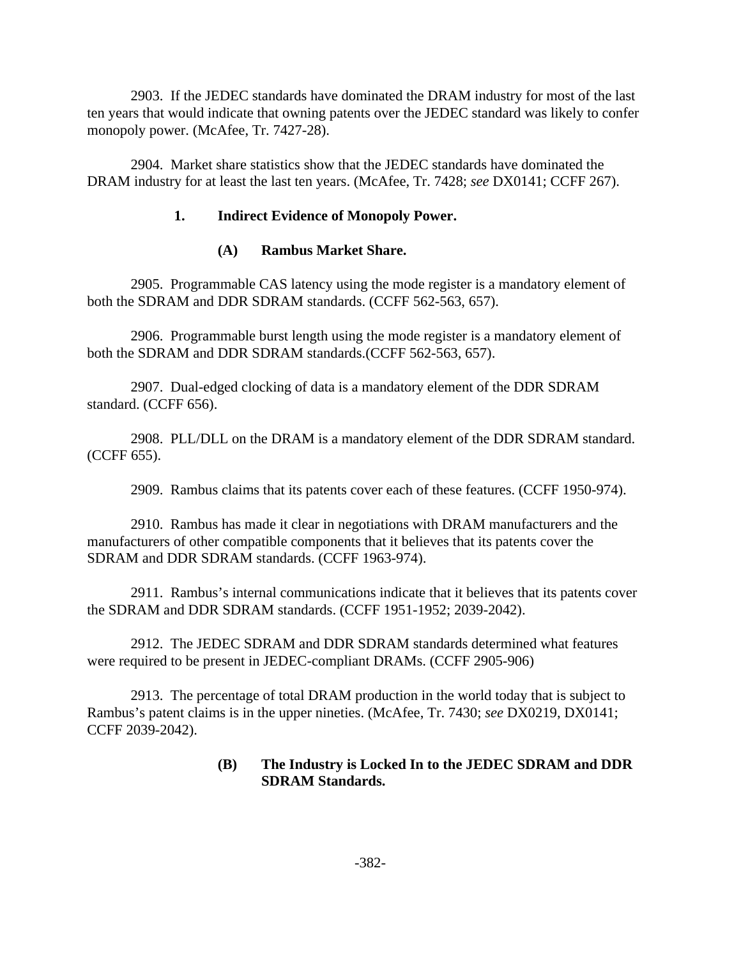2903. If the JEDEC standards have dominated the DRAM industry for most of the last ten years that would indicate that owning patents over the JEDEC standard was likely to confer monopoly power. (McAfee, Tr. 7427-28).

2904. Market share statistics show that the JEDEC standards have dominated the DRAM industry for at least the last ten years. (McAfee, Tr. 7428; *see* DX0141; CCFF 267).

## **1. Indirect Evidence of Monopoly Power.**

## **(A) Rambus Market Share.**

2905. Programmable CAS latency using the mode register is a mandatory element of both the SDRAM and DDR SDRAM standards. (CCFF 562-563, 657).

2906. Programmable burst length using the mode register is a mandatory element of both the SDRAM and DDR SDRAM standards.(CCFF 562-563, 657).

2907. Dual-edged clocking of data is a mandatory element of the DDR SDRAM standard. (CCFF 656).

2908. PLL/DLL on the DRAM is a mandatory element of the DDR SDRAM standard. (CCFF 655).

2909. Rambus claims that its patents cover each of these features. (CCFF 1950-974).

2910. Rambus has made it clear in negotiations with DRAM manufacturers and the manufacturers of other compatible components that it believes that its patents cover the SDRAM and DDR SDRAM standards. (CCFF 1963-974).

2911. Rambus's internal communications indicate that it believes that its patents cover the SDRAM and DDR SDRAM standards. (CCFF 1951-1952; 2039-2042).

2912. The JEDEC SDRAM and DDR SDRAM standards determined what features were required to be present in JEDEC-compliant DRAMs. (CCFF 2905-906)

2913. The percentage of total DRAM production in the world today that is subject to Rambus's patent claims is in the upper nineties. (McAfee, Tr. 7430; *see* DX0219, DX0141; CCFF 2039-2042).

### **(B) The Industry is Locked In to the JEDEC SDRAM and DDR SDRAM Standards.**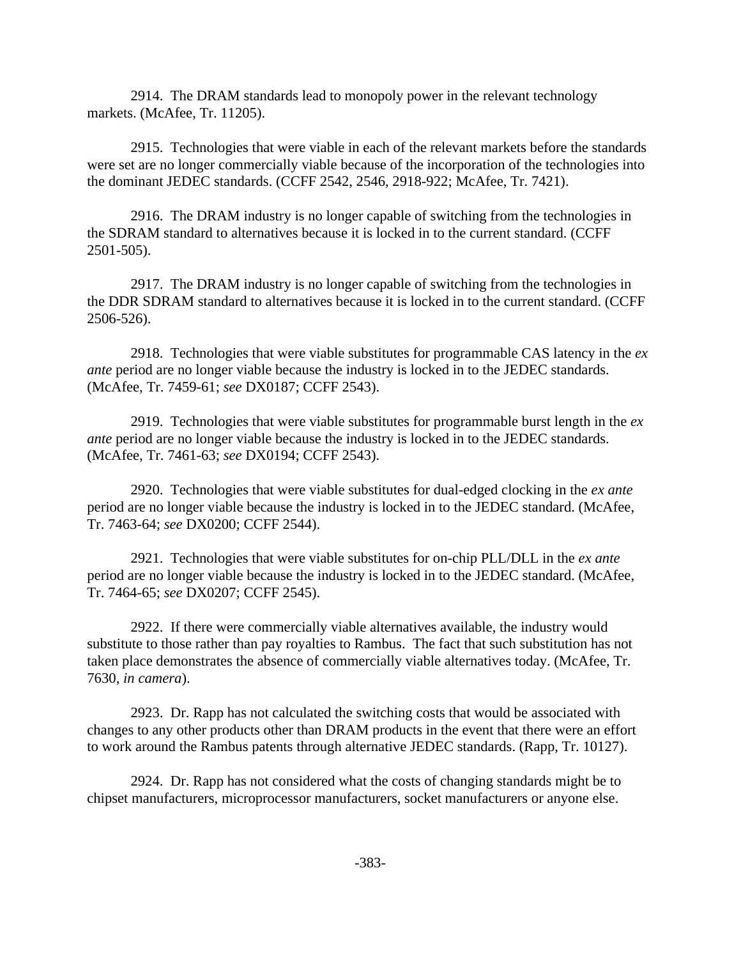2914. The DRAM standards lead to monopoly power in the relevant technology markets. (McAfee, Tr. 11205).

2915. Technologies that were viable in each of the relevant markets before the standards were set are no longer commercially viable because of the incorporation of the technologies into the dominant JEDEC standards. (CCFF 2542, 2546, 2918-922; McAfee, Tr. 7421).

2916. The DRAM industry is no longer capable of switching from the technologies in the SDRAM standard to alternatives because it is locked in to the current standard. (CCFF 2501-505).

2917. The DRAM industry is no longer capable of switching from the technologies in the DDR SDRAM standard to alternatives because it is locked in to the current standard. (CCFF 2506-526).

2918. Technologies that were viable substitutes for programmable CAS latency in the *ex ante* period are no longer viable because the industry is locked in to the JEDEC standards. (McAfee, Tr. 7459-61; *see* DX0187; CCFF 2543).

2919. Technologies that were viable substitutes for programmable burst length in the *ex ante* period are no longer viable because the industry is locked in to the JEDEC standards. (McAfee, Tr. 7461-63; *see* DX0194; CCFF 2543).

2920. Technologies that were viable substitutes for dual-edged clocking in the *ex ante* period are no longer viable because the industry is locked in to the JEDEC standard. (McAfee, Tr. 7463-64; *see* DX0200; CCFF 2544).

2921. Technologies that were viable substitutes for on-chip PLL/DLL in the *ex ante* period are no longer viable because the industry is locked in to the JEDEC standard. (McAfee, Tr. 7464-65; *see* DX0207; CCFF 2545).

2922. If there were commercially viable alternatives available, the industry would substitute to those rather than pay royalties to Rambus. The fact that such substitution has not taken place demonstrates the absence of commercially viable alternatives today. (McAfee, Tr. 7630, *in camera*).

2923. Dr. Rapp has not calculated the switching costs that would be associated with changes to any other products other than DRAM products in the event that there were an effort to work around the Rambus patents through alternative JEDEC standards. (Rapp, Tr. 10127).

2924. Dr. Rapp has not considered what the costs of changing standards might be to chipset manufacturers, microprocessor manufacturers, socket manufacturers or anyone else.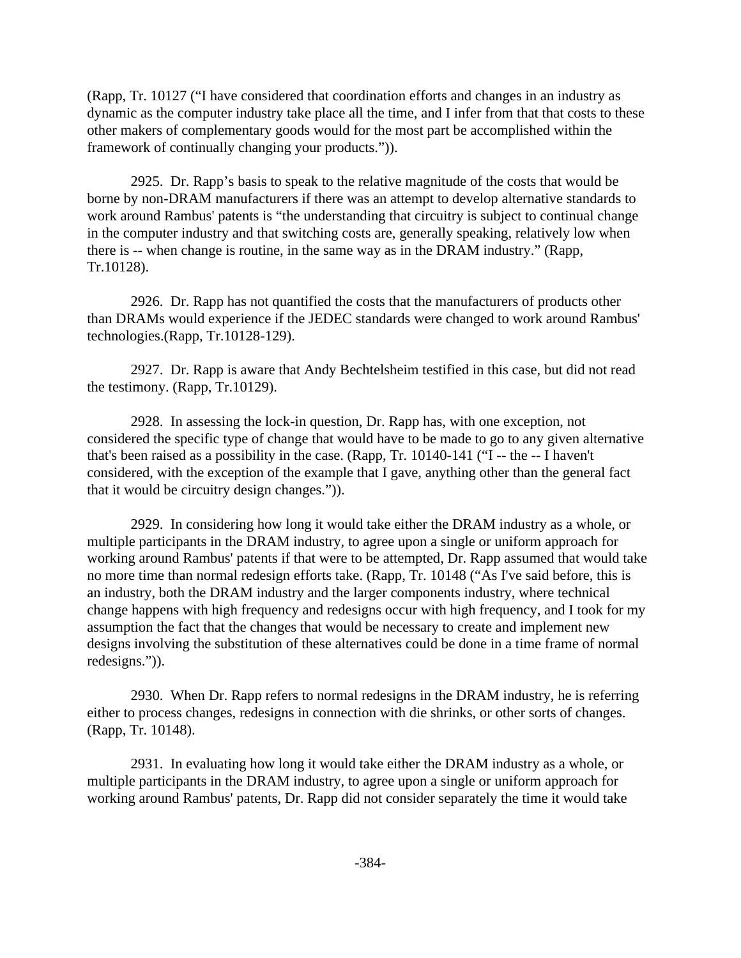(Rapp, Tr. 10127 ("I have considered that coordination efforts and changes in an industry as dynamic as the computer industry take place all the time, and I infer from that that costs to these other makers of complementary goods would for the most part be accomplished within the framework of continually changing your products.")).

2925. Dr. Rapp's basis to speak to the relative magnitude of the costs that would be borne by non-DRAM manufacturers if there was an attempt to develop alternative standards to work around Rambus' patents is "the understanding that circuitry is subject to continual change in the computer industry and that switching costs are, generally speaking, relatively low when there is -- when change is routine, in the same way as in the DRAM industry." (Rapp, Tr.10128).

2926. Dr. Rapp has not quantified the costs that the manufacturers of products other than DRAMs would experience if the JEDEC standards were changed to work around Rambus' technologies.(Rapp, Tr.10128-129).

2927. Dr. Rapp is aware that Andy Bechtelsheim testified in this case, but did not read the testimony. (Rapp, Tr.10129).

2928. In assessing the lock-in question, Dr. Rapp has, with one exception, not considered the specific type of change that would have to be made to go to any given alternative that's been raised as a possibility in the case. (Rapp, Tr. 10140-141 ("I -- the -- I haven't considered, with the exception of the example that I gave, anything other than the general fact that it would be circuitry design changes.")).

2929. In considering how long it would take either the DRAM industry as a whole, or multiple participants in the DRAM industry, to agree upon a single or uniform approach for working around Rambus' patents if that were to be attempted, Dr. Rapp assumed that would take no more time than normal redesign efforts take. (Rapp, Tr. 10148 ("As I've said before, this is an industry, both the DRAM industry and the larger components industry, where technical change happens with high frequency and redesigns occur with high frequency, and I took for my assumption the fact that the changes that would be necessary to create and implement new designs involving the substitution of these alternatives could be done in a time frame of normal redesigns.")).

2930. When Dr. Rapp refers to normal redesigns in the DRAM industry, he is referring either to process changes, redesigns in connection with die shrinks, or other sorts of changes. (Rapp, Tr. 10148).

2931. In evaluating how long it would take either the DRAM industry as a whole, or multiple participants in the DRAM industry, to agree upon a single or uniform approach for working around Rambus' patents, Dr. Rapp did not consider separately the time it would take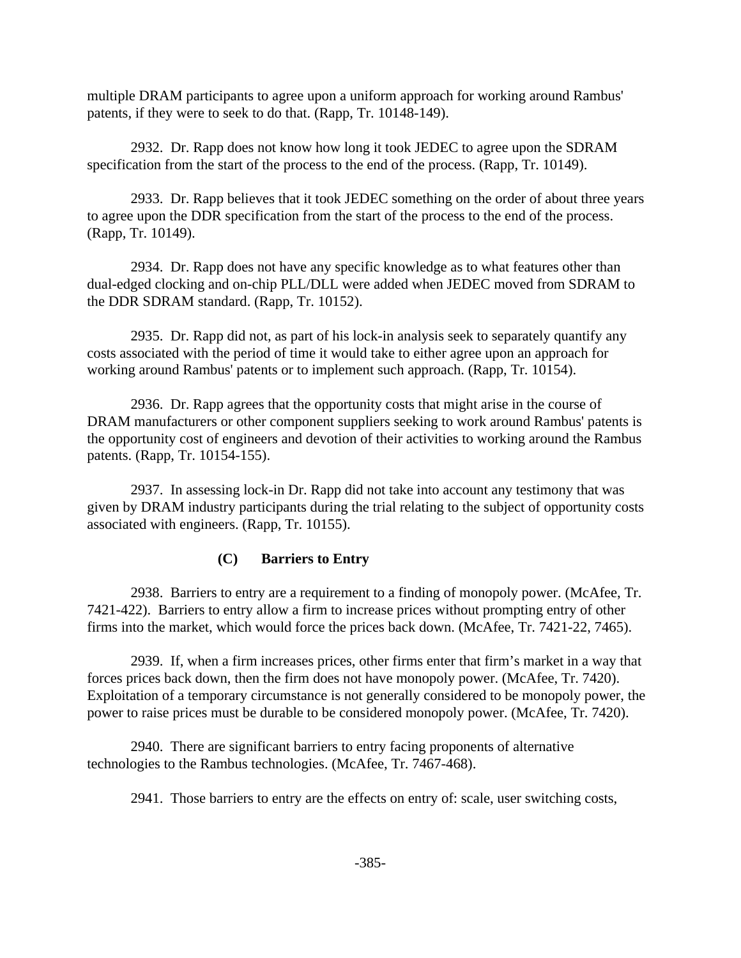multiple DRAM participants to agree upon a uniform approach for working around Rambus' patents, if they were to seek to do that. (Rapp, Tr. 10148-149).

2932. Dr. Rapp does not know how long it took JEDEC to agree upon the SDRAM specification from the start of the process to the end of the process. (Rapp, Tr. 10149).

2933. Dr. Rapp believes that it took JEDEC something on the order of about three years to agree upon the DDR specification from the start of the process to the end of the process. (Rapp, Tr. 10149).

2934. Dr. Rapp does not have any specific knowledge as to what features other than dual-edged clocking and on-chip PLL/DLL were added when JEDEC moved from SDRAM to the DDR SDRAM standard. (Rapp, Tr. 10152).

2935. Dr. Rapp did not, as part of his lock-in analysis seek to separately quantify any costs associated with the period of time it would take to either agree upon an approach for working around Rambus' patents or to implement such approach. (Rapp, Tr. 10154).

2936. Dr. Rapp agrees that the opportunity costs that might arise in the course of DRAM manufacturers or other component suppliers seeking to work around Rambus' patents is the opportunity cost of engineers and devotion of their activities to working around the Rambus patents. (Rapp, Tr. 10154-155).

2937. In assessing lock-in Dr. Rapp did not take into account any testimony that was given by DRAM industry participants during the trial relating to the subject of opportunity costs associated with engineers. (Rapp, Tr. 10155).

### **(C) Barriers to Entry**

2938. Barriers to entry are a requirement to a finding of monopoly power. (McAfee, Tr. 7421-422). Barriers to entry allow a firm to increase prices without prompting entry of other firms into the market, which would force the prices back down. (McAfee, Tr. 7421-22, 7465).

2939. If, when a firm increases prices, other firms enter that firm's market in a way that forces prices back down, then the firm does not have monopoly power. (McAfee, Tr. 7420). Exploitation of a temporary circumstance is not generally considered to be monopoly power, the power to raise prices must be durable to be considered monopoly power. (McAfee, Tr. 7420).

2940. There are significant barriers to entry facing proponents of alternative technologies to the Rambus technologies. (McAfee, Tr. 7467-468).

2941. Those barriers to entry are the effects on entry of: scale, user switching costs,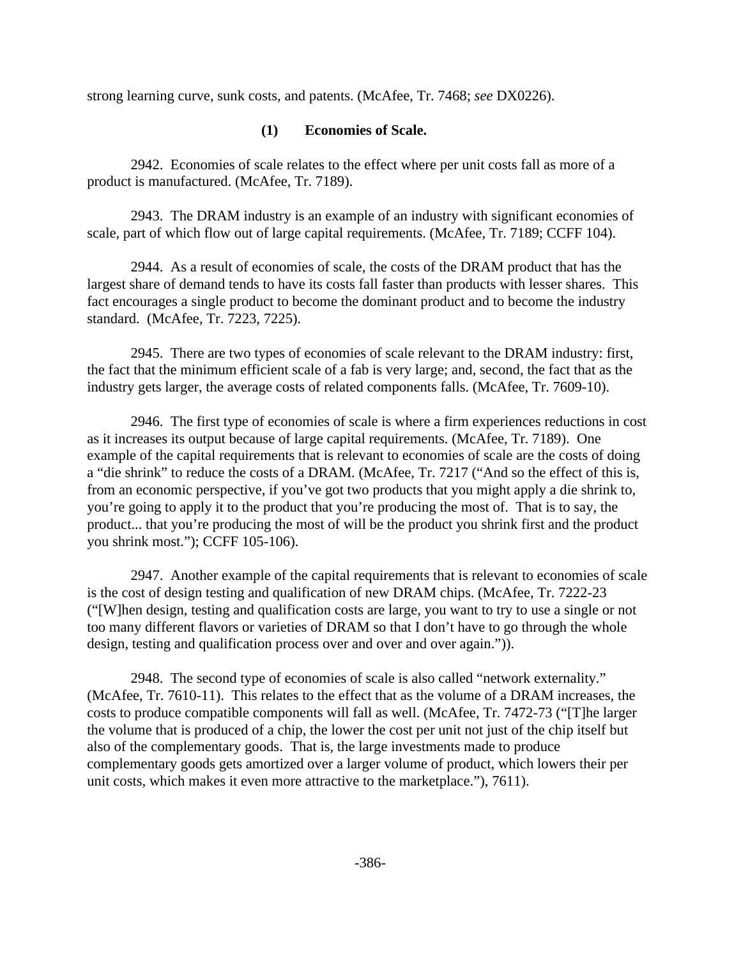strong learning curve, sunk costs, and patents. (McAfee, Tr. 7468; *see* DX0226).

## **(1) Economies of Scale.**

2942. Economies of scale relates to the effect where per unit costs fall as more of a product is manufactured. (McAfee, Tr. 7189).

2943. The DRAM industry is an example of an industry with significant economies of scale, part of which flow out of large capital requirements. (McAfee, Tr. 7189; CCFF 104).

2944. As a result of economies of scale, the costs of the DRAM product that has the largest share of demand tends to have its costs fall faster than products with lesser shares. This fact encourages a single product to become the dominant product and to become the industry standard. (McAfee, Tr. 7223, 7225).

2945. There are two types of economies of scale relevant to the DRAM industry: first, the fact that the minimum efficient scale of a fab is very large; and, second, the fact that as the industry gets larger, the average costs of related components falls. (McAfee, Tr. 7609-10).

2946. The first type of economies of scale is where a firm experiences reductions in cost as it increases its output because of large capital requirements. (McAfee, Tr. 7189). One example of the capital requirements that is relevant to economies of scale are the costs of doing a "die shrink" to reduce the costs of a DRAM. (McAfee, Tr. 7217 ("And so the effect of this is, from an economic perspective, if you've got two products that you might apply a die shrink to, you're going to apply it to the product that you're producing the most of. That is to say, the product... that you're producing the most of will be the product you shrink first and the product you shrink most."); CCFF 105-106).

2947. Another example of the capital requirements that is relevant to economies of scale is the cost of design testing and qualification of new DRAM chips. (McAfee, Tr. 7222-23 ("[W]hen design, testing and qualification costs are large, you want to try to use a single or not too many different flavors or varieties of DRAM so that I don't have to go through the whole design, testing and qualification process over and over and over again.")).

2948. The second type of economies of scale is also called "network externality." (McAfee, Tr. 7610-11). This relates to the effect that as the volume of a DRAM increases, the costs to produce compatible components will fall as well. (McAfee, Tr. 7472-73 ("[T]he larger the volume that is produced of a chip, the lower the cost per unit not just of the chip itself but also of the complementary goods. That is, the large investments made to produce complementary goods gets amortized over a larger volume of product, which lowers their per unit costs, which makes it even more attractive to the marketplace."), 7611).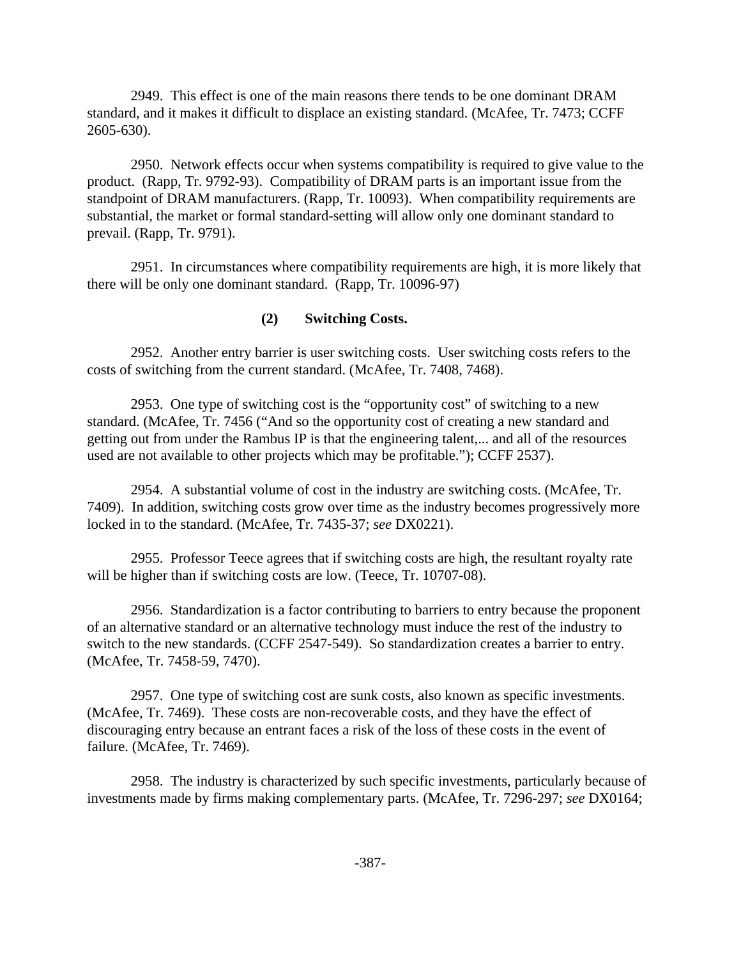2949. This effect is one of the main reasons there tends to be one dominant DRAM standard, and it makes it difficult to displace an existing standard. (McAfee, Tr. 7473; CCFF 2605-630).

2950. Network effects occur when systems compatibility is required to give value to the product. (Rapp, Tr. 9792-93). Compatibility of DRAM parts is an important issue from the standpoint of DRAM manufacturers. (Rapp, Tr. 10093). When compatibility requirements are substantial, the market or formal standard-setting will allow only one dominant standard to prevail. (Rapp, Tr. 9791).

2951. In circumstances where compatibility requirements are high, it is more likely that there will be only one dominant standard. (Rapp, Tr. 10096-97)

### **(2) Switching Costs.**

2952. Another entry barrier is user switching costs. User switching costs refers to the costs of switching from the current standard. (McAfee, Tr. 7408, 7468).

2953. One type of switching cost is the "opportunity cost" of switching to a new standard. (McAfee, Tr. 7456 ("And so the opportunity cost of creating a new standard and getting out from under the Rambus IP is that the engineering talent,... and all of the resources used are not available to other projects which may be profitable."); CCFF 2537).

2954. A substantial volume of cost in the industry are switching costs. (McAfee, Tr. 7409). In addition, switching costs grow over time as the industry becomes progressively more locked in to the standard. (McAfee, Tr. 7435-37; *see* DX0221).

2955. Professor Teece agrees that if switching costs are high, the resultant royalty rate will be higher than if switching costs are low. (Teece, Tr. 10707-08).

2956. Standardization is a factor contributing to barriers to entry because the proponent of an alternative standard or an alternative technology must induce the rest of the industry to switch to the new standards. (CCFF 2547-549). So standardization creates a barrier to entry. (McAfee, Tr. 7458-59, 7470).

2957. One type of switching cost are sunk costs, also known as specific investments. (McAfee, Tr. 7469). These costs are non-recoverable costs, and they have the effect of discouraging entry because an entrant faces a risk of the loss of these costs in the event of failure. (McAfee, Tr. 7469).

2958. The industry is characterized by such specific investments, particularly because of investments made by firms making complementary parts. (McAfee, Tr. 7296-297; *see* DX0164;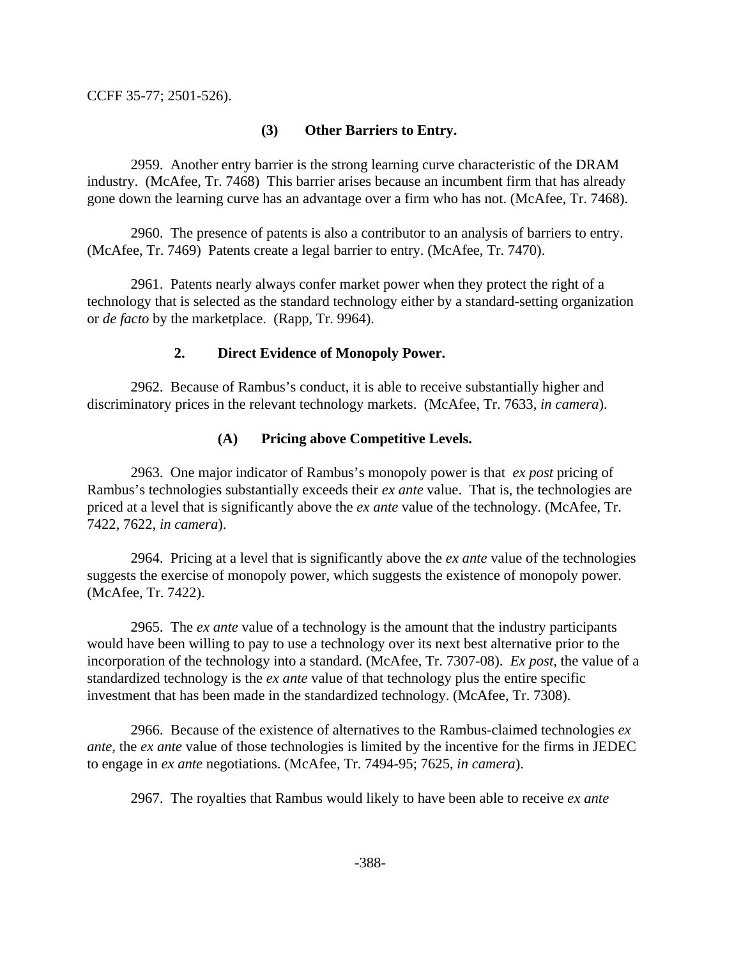CCFF 35-77; 2501-526).

### **(3) Other Barriers to Entry.**

2959. Another entry barrier is the strong learning curve characteristic of the DRAM industry. (McAfee, Tr. 7468) This barrier arises because an incumbent firm that has already gone down the learning curve has an advantage over a firm who has not. (McAfee, Tr. 7468).

2960. The presence of patents is also a contributor to an analysis of barriers to entry. (McAfee, Tr. 7469) Patents create a legal barrier to entry. (McAfee, Tr. 7470).

2961. Patents nearly always confer market power when they protect the right of a technology that is selected as the standard technology either by a standard-setting organization or *de facto* by the marketplace. (Rapp, Tr. 9964).

### **2. Direct Evidence of Monopoly Power.**

2962. Because of Rambus's conduct, it is able to receive substantially higher and discriminatory prices in the relevant technology markets. (McAfee, Tr. 7633, *in camera*).

## **(A) Pricing above Competitive Levels.**

2963. One major indicator of Rambus's monopoly power is that *ex post* pricing of Rambus's technologies substantially exceeds their *ex ante* value. That is, the technologies are priced at a level that is significantly above the *ex ante* value of the technology. (McAfee, Tr. 7422, 7622, *in camera*).

2964. Pricing at a level that is significantly above the *ex ante* value of the technologies suggests the exercise of monopoly power, which suggests the existence of monopoly power. (McAfee, Tr. 7422).

2965. The *ex ante* value of a technology is the amount that the industry participants would have been willing to pay to use a technology over its next best alternative prior to the incorporation of the technology into a standard. (McAfee, Tr. 7307-08). *Ex post*, the value of a standardized technology is the *ex ante* value of that technology plus the entire specific investment that has been made in the standardized technology. (McAfee, Tr. 7308).

2966. Because of the existence of alternatives to the Rambus-claimed technologies *ex ante,* the *ex ante* value of those technologies is limited by the incentive for the firms in JEDEC to engage in *ex ante* negotiations. (McAfee, Tr. 7494-95; 7625, *in camera*).

2967. The royalties that Rambus would likely to have been able to receive *ex ante*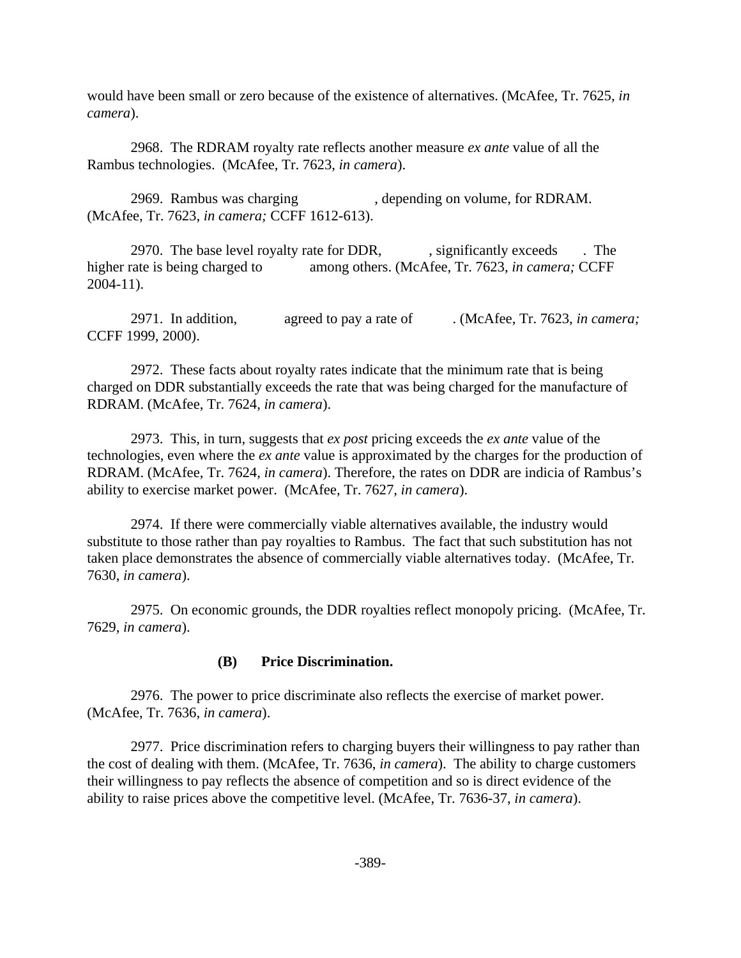would have been small or zero because of the existence of alternatives. (McAfee, Tr. 7625, *in camera*).

2968. The RDRAM royalty rate reflects another measure *ex ante* value of all the Rambus technologies. (McAfee, Tr. 7623, *in camera*).

2969. Rambus was charging , depending on volume, for RDRAM. (McAfee, Tr. 7623, *in camera;* CCFF 1612-613).

2970. The base level royalty rate for DDR, significantly exceeds . The higher rate is being charged to among others. (McAfee, Tr. 7623, *in camera*; CCFF 2004-11).

2971. In addition, agreed to pay a rate of . (McAfee, Tr. 7623, *in camera;* CCFF 1999, 2000).

2972. These facts about royalty rates indicate that the minimum rate that is being charged on DDR substantially exceeds the rate that was being charged for the manufacture of RDRAM. (McAfee, Tr. 7624, *in camera*).

2973. This, in turn, suggests that *ex post* pricing exceeds the *ex ante* value of the technologies, even where the *ex ante* value is approximated by the charges for the production of RDRAM. (McAfee, Tr. 7624, *in camera*). Therefore, the rates on DDR are indicia of Rambus's ability to exercise market power. (McAfee, Tr. 7627, *in camera*).

2974. If there were commercially viable alternatives available, the industry would substitute to those rather than pay royalties to Rambus. The fact that such substitution has not taken place demonstrates the absence of commercially viable alternatives today. (McAfee, Tr. 7630, *in camera*).

2975. On economic grounds, the DDR royalties reflect monopoly pricing. (McAfee, Tr. 7629, *in camera*).

#### **(B) Price Discrimination.**

2976. The power to price discriminate also reflects the exercise of market power. (McAfee, Tr. 7636, *in camera*).

2977. Price discrimination refers to charging buyers their willingness to pay rather than the cost of dealing with them. (McAfee, Tr. 7636, *in camera*). The ability to charge customers their willingness to pay reflects the absence of competition and so is direct evidence of the ability to raise prices above the competitive level. (McAfee, Tr. 7636-37, *in camera*).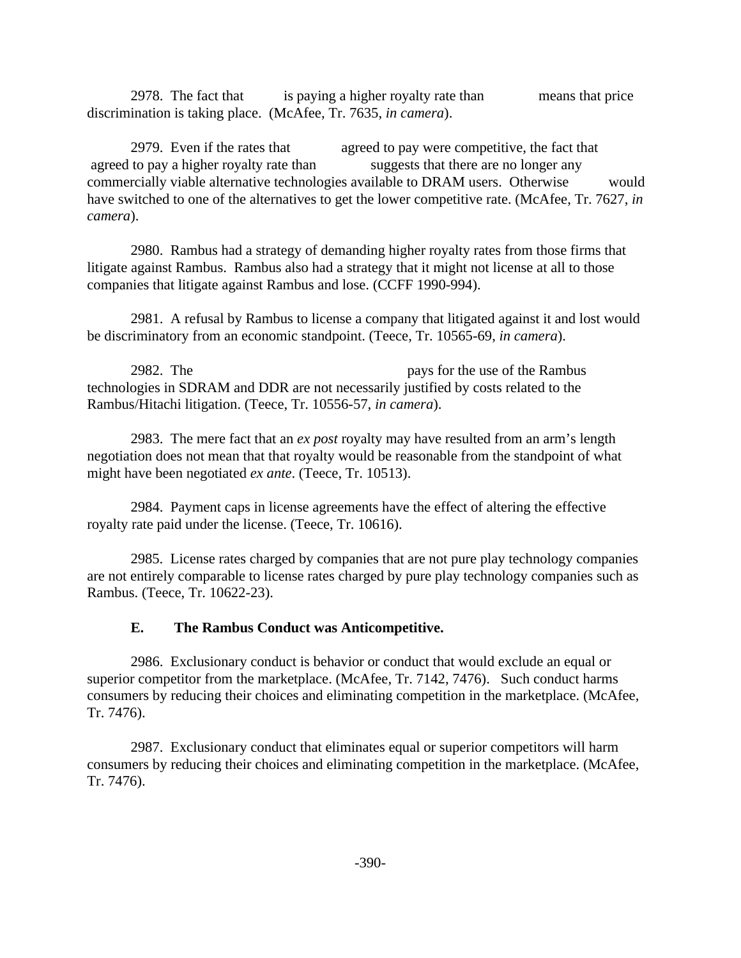2978. The fact that is paying a higher royalty rate than means that price discrimination is taking place. (McAfee, Tr. 7635, *in camera*).

2979. Even if the rates that agreed to pay were competitive, the fact that agreed to pay a higher royalty rate than suggests that there are no longer any commercially viable alternative technologies available to DRAM users. Otherwise would have switched to one of the alternatives to get the lower competitive rate. (McAfee, Tr. 7627, *in camera*).

2980. Rambus had a strategy of demanding higher royalty rates from those firms that litigate against Rambus. Rambus also had a strategy that it might not license at all to those companies that litigate against Rambus and lose. (CCFF 1990-994).

2981. A refusal by Rambus to license a company that litigated against it and lost would be discriminatory from an economic standpoint. (Teece, Tr. 10565-69, *in camera*).

2982. The pays for the use of the Rambus technologies in SDRAM and DDR are not necessarily justified by costs related to the Rambus/Hitachi litigation. (Teece, Tr. 10556-57, *in camera*).

2983. The mere fact that an *ex post* royalty may have resulted from an arm's length negotiation does not mean that that royalty would be reasonable from the standpoint of what might have been negotiated *ex ante*. (Teece, Tr. 10513).

2984. Payment caps in license agreements have the effect of altering the effective royalty rate paid under the license. (Teece, Tr. 10616).

2985. License rates charged by companies that are not pure play technology companies are not entirely comparable to license rates charged by pure play technology companies such as Rambus. (Teece, Tr. 10622-23).

## **E. The Rambus Conduct was Anticompetitive.**

2986. Exclusionary conduct is behavior or conduct that would exclude an equal or superior competitor from the marketplace. (McAfee, Tr. 7142, 7476). Such conduct harms consumers by reducing their choices and eliminating competition in the marketplace. (McAfee, Tr. 7476).

2987. Exclusionary conduct that eliminates equal or superior competitors will harm consumers by reducing their choices and eliminating competition in the marketplace. (McAfee, Tr. 7476).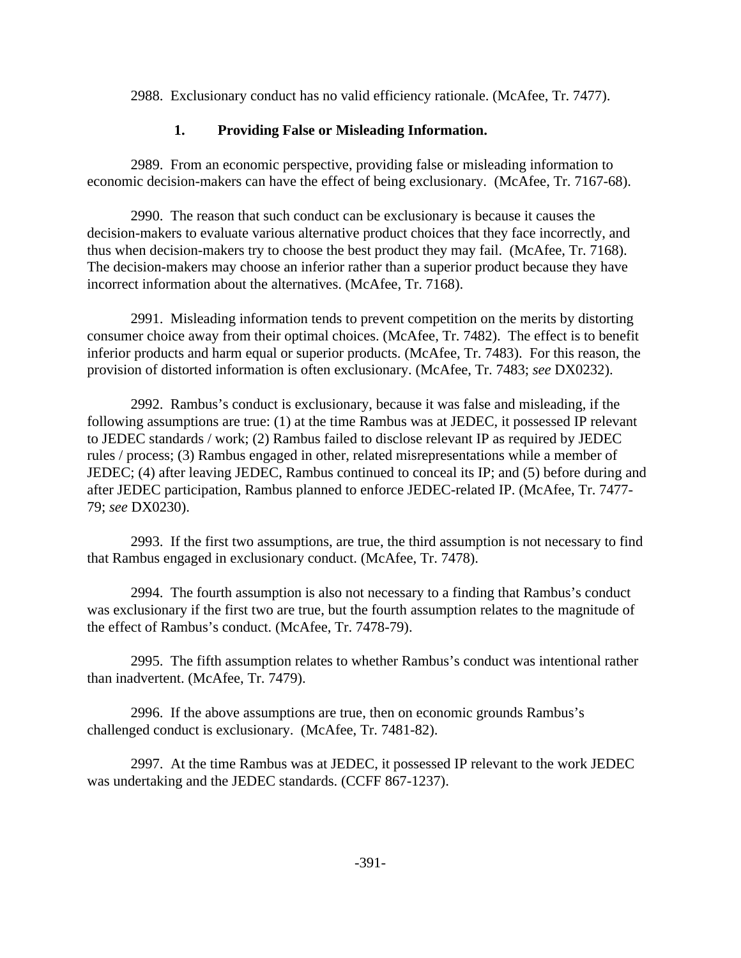2988. Exclusionary conduct has no valid efficiency rationale. (McAfee, Tr. 7477).

### **1. Providing False or Misleading Information.**

2989. From an economic perspective, providing false or misleading information to economic decision-makers can have the effect of being exclusionary. (McAfee, Tr. 7167-68).

2990. The reason that such conduct can be exclusionary is because it causes the decision-makers to evaluate various alternative product choices that they face incorrectly, and thus when decision-makers try to choose the best product they may fail. (McAfee, Tr. 7168). The decision-makers may choose an inferior rather than a superior product because they have incorrect information about the alternatives. (McAfee, Tr. 7168).

2991. Misleading information tends to prevent competition on the merits by distorting consumer choice away from their optimal choices. (McAfee, Tr. 7482). The effect is to benefit inferior products and harm equal or superior products. (McAfee, Tr. 7483). For this reason, the provision of distorted information is often exclusionary. (McAfee, Tr. 7483; *see* DX0232).

2992. Rambus's conduct is exclusionary, because it was false and misleading, if the following assumptions are true: (1) at the time Rambus was at JEDEC, it possessed IP relevant to JEDEC standards / work; (2) Rambus failed to disclose relevant IP as required by JEDEC rules / process; (3) Rambus engaged in other, related misrepresentations while a member of JEDEC; (4) after leaving JEDEC, Rambus continued to conceal its IP; and (5) before during and after JEDEC participation, Rambus planned to enforce JEDEC-related IP. (McAfee, Tr. 7477- 79; *see* DX0230).

2993. If the first two assumptions, are true, the third assumption is not necessary to find that Rambus engaged in exclusionary conduct. (McAfee, Tr. 7478).

2994. The fourth assumption is also not necessary to a finding that Rambus's conduct was exclusionary if the first two are true, but the fourth assumption relates to the magnitude of the effect of Rambus's conduct. (McAfee, Tr. 7478-79).

2995. The fifth assumption relates to whether Rambus's conduct was intentional rather than inadvertent. (McAfee, Tr. 7479).

2996. If the above assumptions are true, then on economic grounds Rambus's challenged conduct is exclusionary. (McAfee, Tr. 7481-82).

2997. At the time Rambus was at JEDEC, it possessed IP relevant to the work JEDEC was undertaking and the JEDEC standards. (CCFF 867-1237).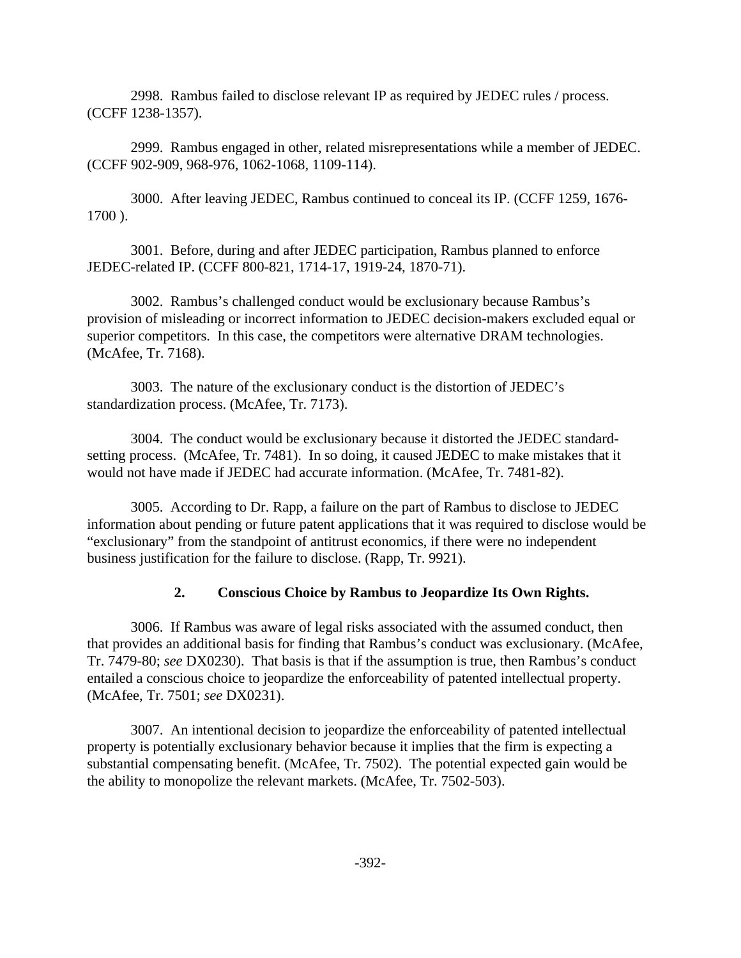2998. Rambus failed to disclose relevant IP as required by JEDEC rules / process. (CCFF 1238-1357).

2999. Rambus engaged in other, related misrepresentations while a member of JEDEC. (CCFF 902-909, 968-976, 1062-1068, 1109-114).

3000. After leaving JEDEC, Rambus continued to conceal its IP. (CCFF 1259, 1676- 1700 ).

3001. Before, during and after JEDEC participation, Rambus planned to enforce JEDEC-related IP. (CCFF 800-821, 1714-17, 1919-24, 1870-71).

3002. Rambus's challenged conduct would be exclusionary because Rambus's provision of misleading or incorrect information to JEDEC decision-makers excluded equal or superior competitors. In this case, the competitors were alternative DRAM technologies. (McAfee, Tr. 7168).

3003. The nature of the exclusionary conduct is the distortion of JEDEC's standardization process. (McAfee, Tr. 7173).

3004. The conduct would be exclusionary because it distorted the JEDEC standardsetting process. (McAfee, Tr. 7481). In so doing, it caused JEDEC to make mistakes that it would not have made if JEDEC had accurate information. (McAfee, Tr. 7481-82).

3005. According to Dr. Rapp, a failure on the part of Rambus to disclose to JEDEC information about pending or future patent applications that it was required to disclose would be "exclusionary" from the standpoint of antitrust economics, if there were no independent business justification for the failure to disclose. (Rapp, Tr. 9921).

## **2. Conscious Choice by Rambus to Jeopardize Its Own Rights.**

3006. If Rambus was aware of legal risks associated with the assumed conduct, then that provides an additional basis for finding that Rambus's conduct was exclusionary. (McAfee, Tr. 7479-80; *see* DX0230). That basis is that if the assumption is true, then Rambus's conduct entailed a conscious choice to jeopardize the enforceability of patented intellectual property. (McAfee, Tr. 7501; *see* DX0231).

3007. An intentional decision to jeopardize the enforceability of patented intellectual property is potentially exclusionary behavior because it implies that the firm is expecting a substantial compensating benefit. (McAfee, Tr. 7502). The potential expected gain would be the ability to monopolize the relevant markets. (McAfee, Tr. 7502-503).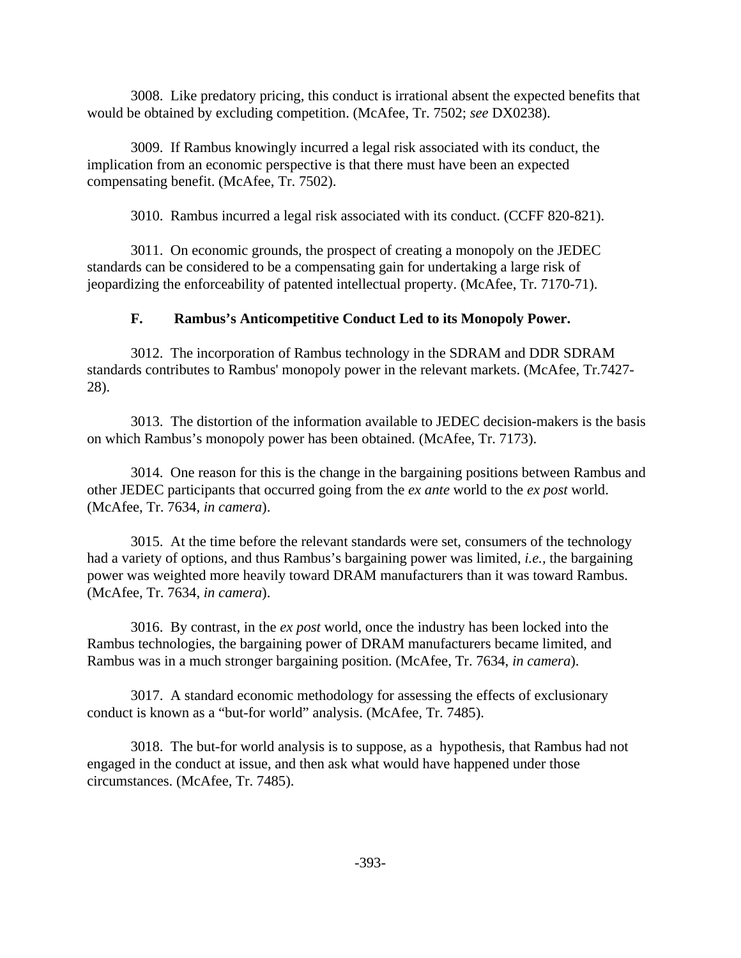3008. Like predatory pricing, this conduct is irrational absent the expected benefits that would be obtained by excluding competition. (McAfee, Tr. 7502; *see* DX0238).

3009. If Rambus knowingly incurred a legal risk associated with its conduct, the implication from an economic perspective is that there must have been an expected compensating benefit. (McAfee, Tr. 7502).

3010. Rambus incurred a legal risk associated with its conduct. (CCFF 820-821).

3011. On economic grounds, the prospect of creating a monopoly on the JEDEC standards can be considered to be a compensating gain for undertaking a large risk of jeopardizing the enforceability of patented intellectual property. (McAfee, Tr. 7170-71).

# **F. Rambus's Anticompetitive Conduct Led to its Monopoly Power.**

3012. The incorporation of Rambus technology in the SDRAM and DDR SDRAM standards contributes to Rambus' monopoly power in the relevant markets. (McAfee, Tr.7427- 28).

3013. The distortion of the information available to JEDEC decision-makers is the basis on which Rambus's monopoly power has been obtained. (McAfee, Tr. 7173).

3014. One reason for this is the change in the bargaining positions between Rambus and other JEDEC participants that occurred going from the *ex ante* world to the *ex post* world. (McAfee, Tr. 7634, *in camera*).

3015. At the time before the relevant standards were set, consumers of the technology had a variety of options, and thus Rambus's bargaining power was limited, *i.e.,* the bargaining power was weighted more heavily toward DRAM manufacturers than it was toward Rambus. (McAfee, Tr. 7634, *in camera*).

3016. By contrast, in the *ex post* world, once the industry has been locked into the Rambus technologies, the bargaining power of DRAM manufacturers became limited, and Rambus was in a much stronger bargaining position. (McAfee, Tr. 7634, *in camera*).

3017. A standard economic methodology for assessing the effects of exclusionary conduct is known as a "but-for world" analysis. (McAfee, Tr. 7485).

3018. The but-for world analysis is to suppose, as a hypothesis, that Rambus had not engaged in the conduct at issue, and then ask what would have happened under those circumstances. (McAfee, Tr. 7485).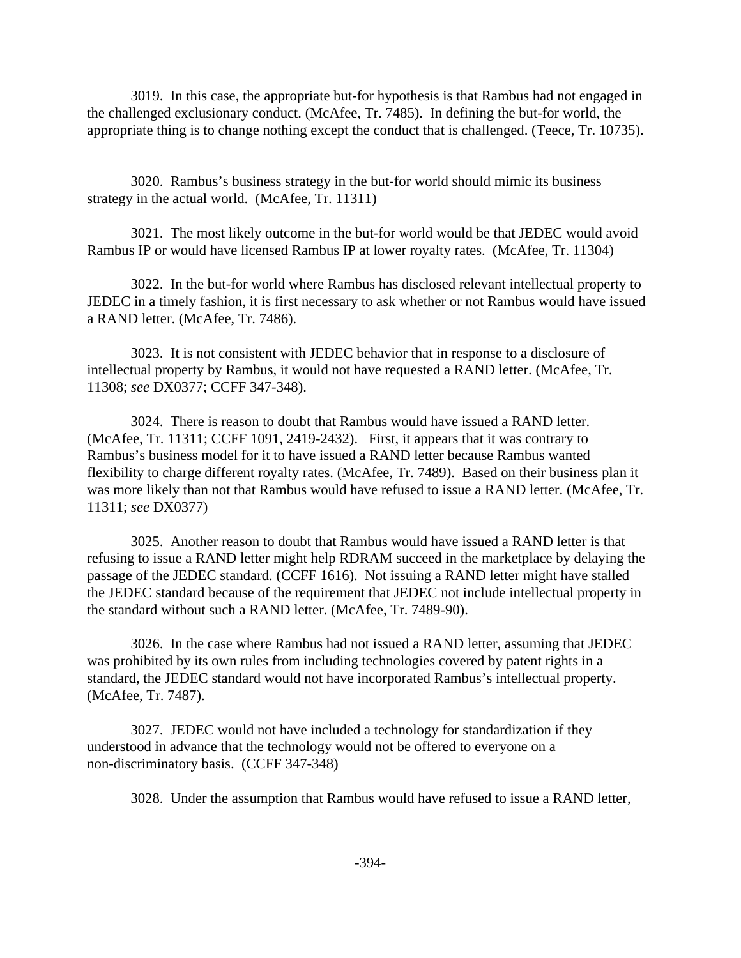3019. In this case, the appropriate but-for hypothesis is that Rambus had not engaged in the challenged exclusionary conduct. (McAfee, Tr. 7485). In defining the but-for world, the appropriate thing is to change nothing except the conduct that is challenged. (Teece, Tr. 10735).

3020. Rambus's business strategy in the but-for world should mimic its business strategy in the actual world. (McAfee, Tr. 11311)

3021. The most likely outcome in the but-for world would be that JEDEC would avoid Rambus IP or would have licensed Rambus IP at lower royalty rates. (McAfee, Tr. 11304)

3022. In the but-for world where Rambus has disclosed relevant intellectual property to JEDEC in a timely fashion, it is first necessary to ask whether or not Rambus would have issued a RAND letter. (McAfee, Tr. 7486).

3023. It is not consistent with JEDEC behavior that in response to a disclosure of intellectual property by Rambus, it would not have requested a RAND letter. (McAfee, Tr. 11308; *see* DX0377; CCFF 347-348).

3024. There is reason to doubt that Rambus would have issued a RAND letter. (McAfee, Tr. 11311; CCFF 1091, 2419-2432). First, it appears that it was contrary to Rambus's business model for it to have issued a RAND letter because Rambus wanted flexibility to charge different royalty rates. (McAfee, Tr. 7489). Based on their business plan it was more likely than not that Rambus would have refused to issue a RAND letter. (McAfee, Tr. 11311; *see* DX0377)

3025. Another reason to doubt that Rambus would have issued a RAND letter is that refusing to issue a RAND letter might help RDRAM succeed in the marketplace by delaying the passage of the JEDEC standard. (CCFF 1616). Not issuing a RAND letter might have stalled the JEDEC standard because of the requirement that JEDEC not include intellectual property in the standard without such a RAND letter. (McAfee, Tr. 7489-90).

3026. In the case where Rambus had not issued a RAND letter, assuming that JEDEC was prohibited by its own rules from including technologies covered by patent rights in a standard, the JEDEC standard would not have incorporated Rambus's intellectual property. (McAfee, Tr. 7487).

3027. JEDEC would not have included a technology for standardization if they understood in advance that the technology would not be offered to everyone on a non-discriminatory basis. (CCFF 347-348)

3028. Under the assumption that Rambus would have refused to issue a RAND letter,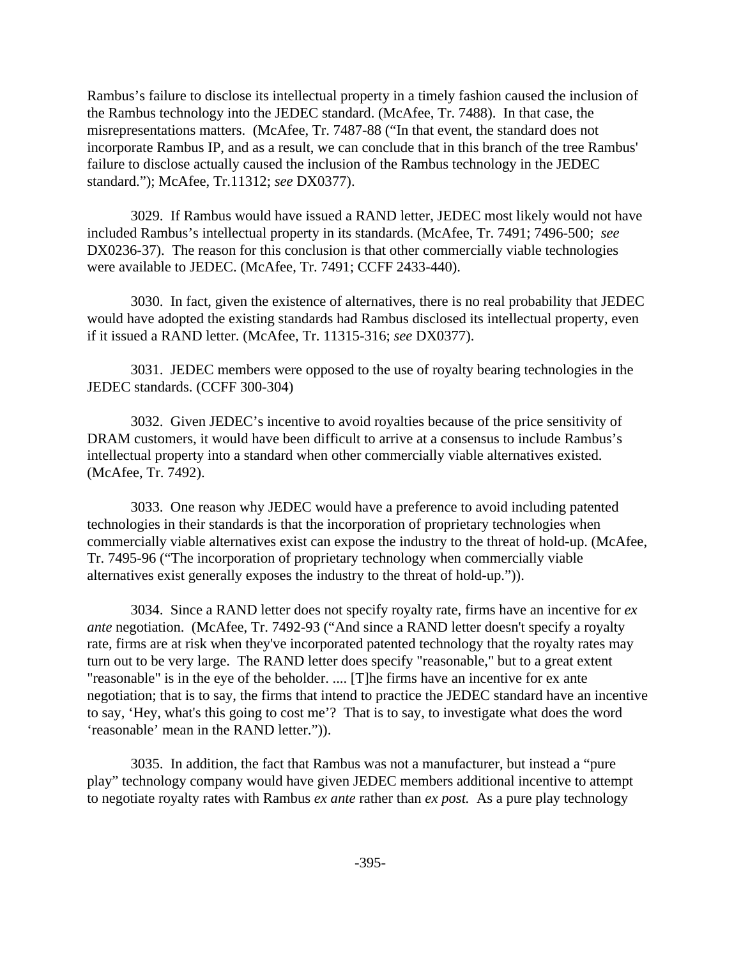Rambus's failure to disclose its intellectual property in a timely fashion caused the inclusion of the Rambus technology into the JEDEC standard. (McAfee, Tr. 7488). In that case, the misrepresentations matters. (McAfee, Tr. 7487-88 ("In that event, the standard does not incorporate Rambus IP, and as a result, we can conclude that in this branch of the tree Rambus' failure to disclose actually caused the inclusion of the Rambus technology in the JEDEC standard."); McAfee, Tr.11312; *see* DX0377).

3029. If Rambus would have issued a RAND letter, JEDEC most likely would not have included Rambus's intellectual property in its standards. (McAfee, Tr. 7491; 7496-500; *see* DX0236-37). The reason for this conclusion is that other commercially viable technologies were available to JEDEC. (McAfee, Tr. 7491; CCFF 2433-440).

3030. In fact, given the existence of alternatives, there is no real probability that JEDEC would have adopted the existing standards had Rambus disclosed its intellectual property, even if it issued a RAND letter. (McAfee, Tr. 11315-316; *see* DX0377).

3031. JEDEC members were opposed to the use of royalty bearing technologies in the JEDEC standards. (CCFF 300-304)

3032. Given JEDEC's incentive to avoid royalties because of the price sensitivity of DRAM customers, it would have been difficult to arrive at a consensus to include Rambus's intellectual property into a standard when other commercially viable alternatives existed. (McAfee, Tr. 7492).

3033. One reason why JEDEC would have a preference to avoid including patented technologies in their standards is that the incorporation of proprietary technologies when commercially viable alternatives exist can expose the industry to the threat of hold-up. (McAfee, Tr. 7495-96 ("The incorporation of proprietary technology when commercially viable alternatives exist generally exposes the industry to the threat of hold-up.")).

3034. Since a RAND letter does not specify royalty rate, firms have an incentive for *ex ante* negotiation. (McAfee, Tr. 7492-93 ("And since a RAND letter doesn't specify a royalty rate, firms are at risk when they've incorporated patented technology that the royalty rates may turn out to be very large. The RAND letter does specify "reasonable," but to a great extent "reasonable" is in the eye of the beholder. .... [T]he firms have an incentive for ex ante negotiation; that is to say, the firms that intend to practice the JEDEC standard have an incentive to say, 'Hey, what's this going to cost me'? That is to say, to investigate what does the word 'reasonable' mean in the RAND letter.")).

3035. In addition, the fact that Rambus was not a manufacturer, but instead a "pure play" technology company would have given JEDEC members additional incentive to attempt to negotiate royalty rates with Rambus *ex ante* rather than *ex post.* As a pure play technology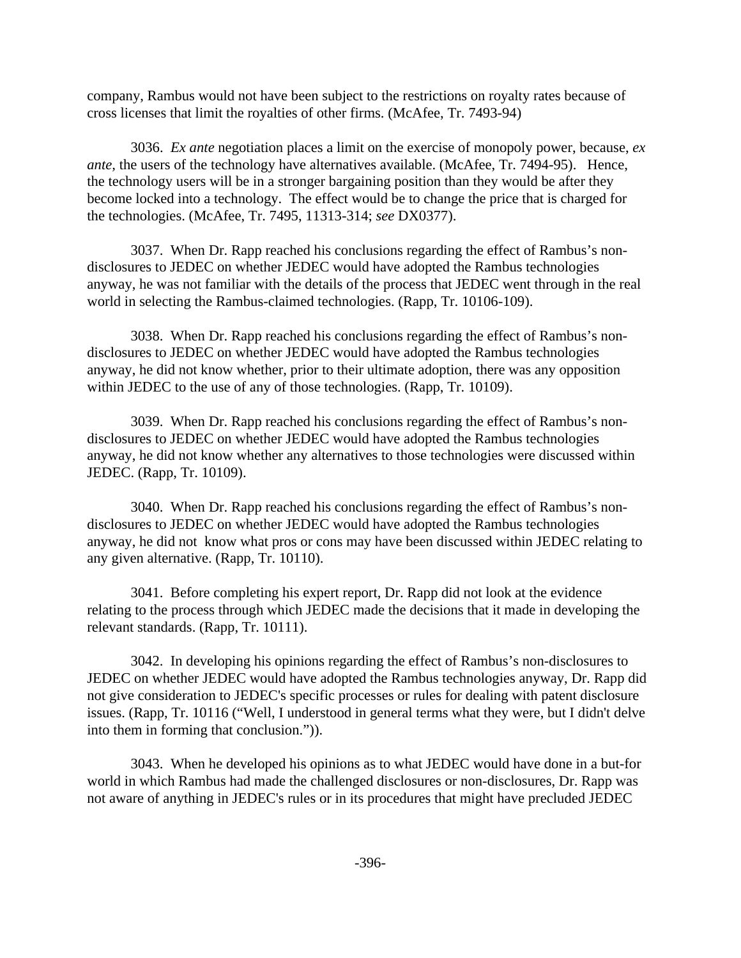company, Rambus would not have been subject to the restrictions on royalty rates because of cross licenses that limit the royalties of other firms. (McAfee, Tr. 7493-94)

3036. *Ex ante* negotiation places a limit on the exercise of monopoly power, because, *ex ante*, the users of the technology have alternatives available. (McAfee, Tr. 7494-95). Hence, the technology users will be in a stronger bargaining position than they would be after they become locked into a technology. The effect would be to change the price that is charged for the technologies. (McAfee, Tr. 7495, 11313-314; *see* DX0377).

3037. When Dr. Rapp reached his conclusions regarding the effect of Rambus's nondisclosures to JEDEC on whether JEDEC would have adopted the Rambus technologies anyway, he was not familiar with the details of the process that JEDEC went through in the real world in selecting the Rambus-claimed technologies. (Rapp, Tr. 10106-109).

3038. When Dr. Rapp reached his conclusions regarding the effect of Rambus's nondisclosures to JEDEC on whether JEDEC would have adopted the Rambus technologies anyway, he did not know whether, prior to their ultimate adoption, there was any opposition within JEDEC to the use of any of those technologies. (Rapp, Tr. 10109).

3039. When Dr. Rapp reached his conclusions regarding the effect of Rambus's nondisclosures to JEDEC on whether JEDEC would have adopted the Rambus technologies anyway, he did not know whether any alternatives to those technologies were discussed within JEDEC. (Rapp, Tr. 10109).

3040. When Dr. Rapp reached his conclusions regarding the effect of Rambus's nondisclosures to JEDEC on whether JEDEC would have adopted the Rambus technologies anyway, he did not know what pros or cons may have been discussed within JEDEC relating to any given alternative. (Rapp, Tr. 10110).

3041. Before completing his expert report, Dr. Rapp did not look at the evidence relating to the process through which JEDEC made the decisions that it made in developing the relevant standards. (Rapp, Tr. 10111).

3042. In developing his opinions regarding the effect of Rambus's non-disclosures to JEDEC on whether JEDEC would have adopted the Rambus technologies anyway, Dr. Rapp did not give consideration to JEDEC's specific processes or rules for dealing with patent disclosure issues. (Rapp, Tr. 10116 ("Well, I understood in general terms what they were, but I didn't delve into them in forming that conclusion.")).

3043. When he developed his opinions as to what JEDEC would have done in a but-for world in which Rambus had made the challenged disclosures or non-disclosures, Dr. Rapp was not aware of anything in JEDEC's rules or in its procedures that might have precluded JEDEC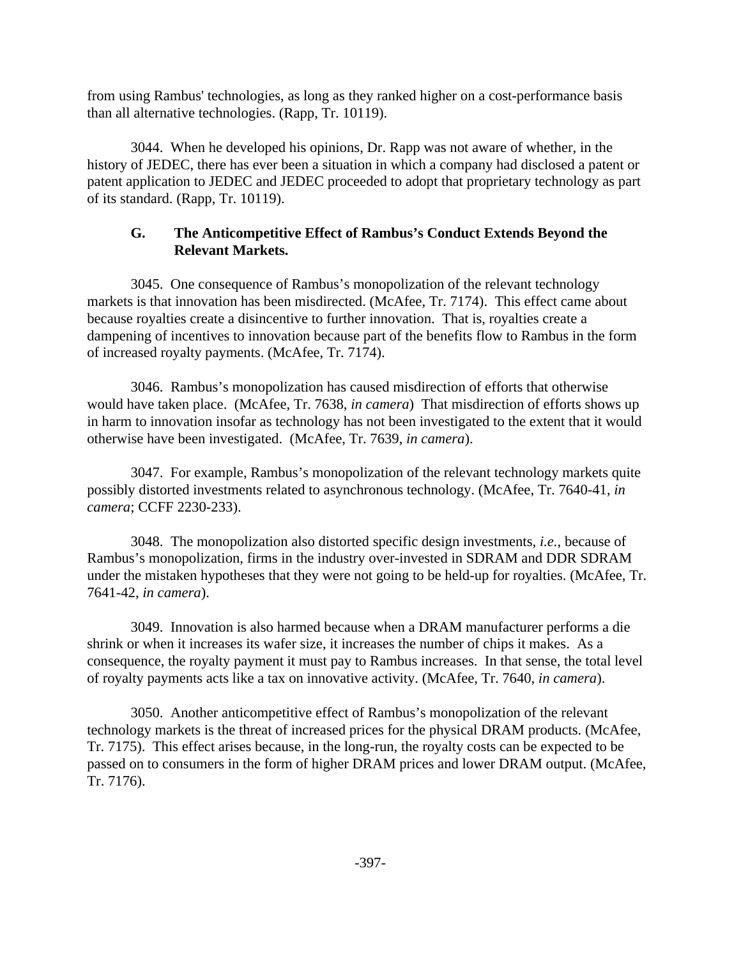from using Rambus' technologies, as long as they ranked higher on a cost-performance basis than all alternative technologies. (Rapp, Tr. 10119).

3044. When he developed his opinions, Dr. Rapp was not aware of whether, in the history of JEDEC, there has ever been a situation in which a company had disclosed a patent or patent application to JEDEC and JEDEC proceeded to adopt that proprietary technology as part of its standard. (Rapp, Tr. 10119).

# **G. The Anticompetitive Effect of Rambus's Conduct Extends Beyond the Relevant Markets.**

3045. One consequence of Rambus's monopolization of the relevant technology markets is that innovation has been misdirected. (McAfee, Tr. 7174). This effect came about because royalties create a disincentive to further innovation. That is, royalties create a dampening of incentives to innovation because part of the benefits flow to Rambus in the form of increased royalty payments. (McAfee, Tr. 7174).

3046. Rambus's monopolization has caused misdirection of efforts that otherwise would have taken place. (McAfee, Tr. 7638, *in camera*) That misdirection of efforts shows up in harm to innovation insofar as technology has not been investigated to the extent that it would otherwise have been investigated. (McAfee, Tr. 7639, *in camera*).

3047. For example, Rambus's monopolization of the relevant technology markets quite possibly distorted investments related to asynchronous technology. (McAfee, Tr. 7640-41, *in camera*; CCFF 2230-233).

3048. The monopolization also distorted specific design investments, *i.e.*, because of Rambus's monopolization, firms in the industry over-invested in SDRAM and DDR SDRAM under the mistaken hypotheses that they were not going to be held-up for royalties. (McAfee, Tr. 7641-42, *in camera*).

3049. Innovation is also harmed because when a DRAM manufacturer performs a die shrink or when it increases its wafer size, it increases the number of chips it makes. As a consequence, the royalty payment it must pay to Rambus increases. In that sense, the total level of royalty payments acts like a tax on innovative activity. (McAfee, Tr. 7640, *in camera*).

3050. Another anticompetitive effect of Rambus's monopolization of the relevant technology markets is the threat of increased prices for the physical DRAM products. (McAfee, Tr. 7175). This effect arises because, in the long-run, the royalty costs can be expected to be passed on to consumers in the form of higher DRAM prices and lower DRAM output. (McAfee, Tr. 7176).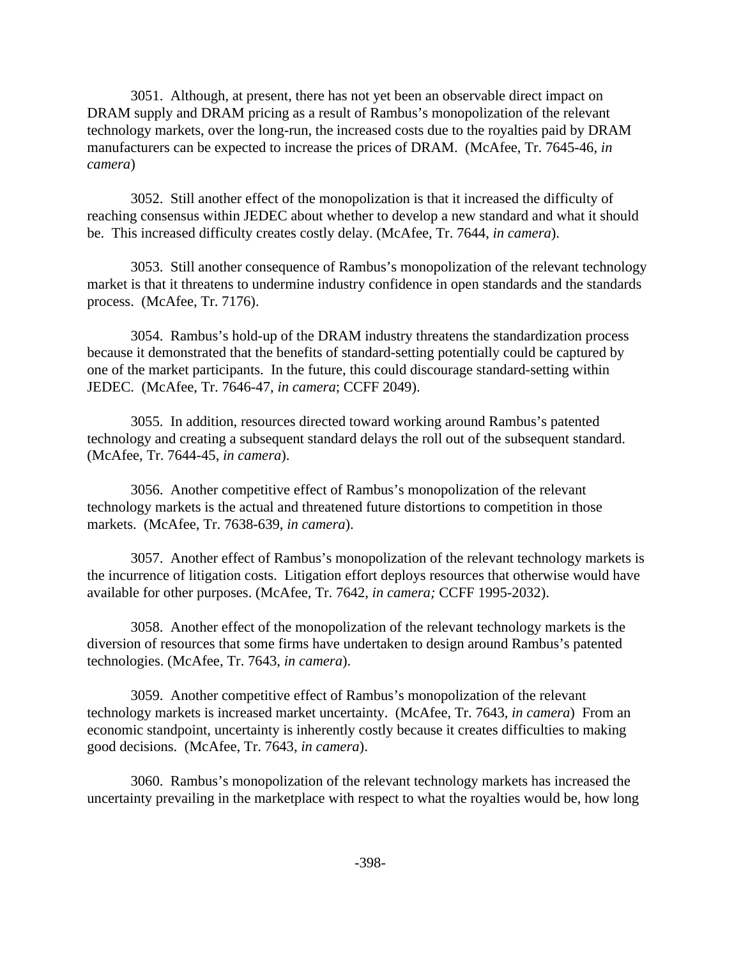3051. Although, at present, there has not yet been an observable direct impact on DRAM supply and DRAM pricing as a result of Rambus's monopolization of the relevant technology markets, over the long-run, the increased costs due to the royalties paid by DRAM manufacturers can be expected to increase the prices of DRAM. (McAfee, Tr. 7645-46, *in camera*)

3052. Still another effect of the monopolization is that it increased the difficulty of reaching consensus within JEDEC about whether to develop a new standard and what it should be. This increased difficulty creates costly delay. (McAfee, Tr. 7644, *in camera*).

3053. Still another consequence of Rambus's monopolization of the relevant technology market is that it threatens to undermine industry confidence in open standards and the standards process. (McAfee, Tr. 7176).

3054. Rambus's hold-up of the DRAM industry threatens the standardization process because it demonstrated that the benefits of standard-setting potentially could be captured by one of the market participants. In the future, this could discourage standard-setting within JEDEC. (McAfee, Tr. 7646-47, *in camera*; CCFF 2049).

3055. In addition, resources directed toward working around Rambus's patented technology and creating a subsequent standard delays the roll out of the subsequent standard. (McAfee, Tr. 7644-45, *in camera*).

3056. Another competitive effect of Rambus's monopolization of the relevant technology markets is the actual and threatened future distortions to competition in those markets. (McAfee, Tr. 7638-639, *in camera*).

3057. Another effect of Rambus's monopolization of the relevant technology markets is the incurrence of litigation costs. Litigation effort deploys resources that otherwise would have available for other purposes. (McAfee, Tr. 7642, *in camera;* CCFF 1995-2032).

3058. Another effect of the monopolization of the relevant technology markets is the diversion of resources that some firms have undertaken to design around Rambus's patented technologies. (McAfee, Tr. 7643, *in camera*).

3059. Another competitive effect of Rambus's monopolization of the relevant technology markets is increased market uncertainty. (McAfee, Tr. 7643, *in camera*) From an economic standpoint, uncertainty is inherently costly because it creates difficulties to making good decisions. (McAfee, Tr. 7643, *in camera*).

3060. Rambus's monopolization of the relevant technology markets has increased the uncertainty prevailing in the marketplace with respect to what the royalties would be, how long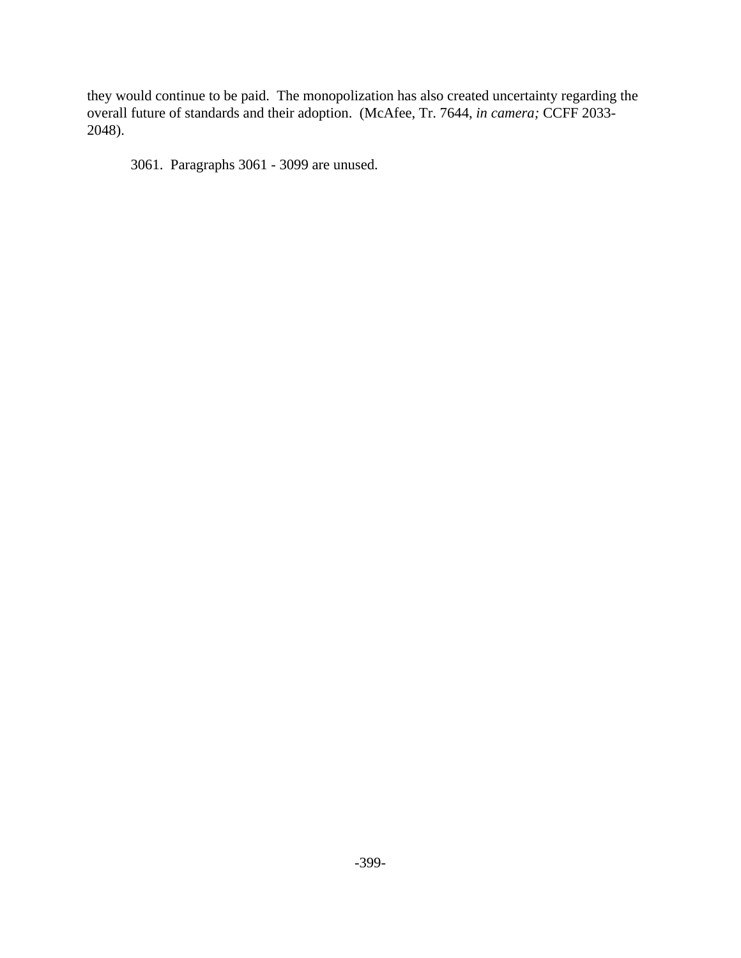they would continue to be paid. The monopolization has also created uncertainty regarding the overall future of standards and their adoption. (McAfee, Tr. 7644, *in camera;* CCFF 2033- 2048).

3061. Paragraphs 3061 - 3099 are unused.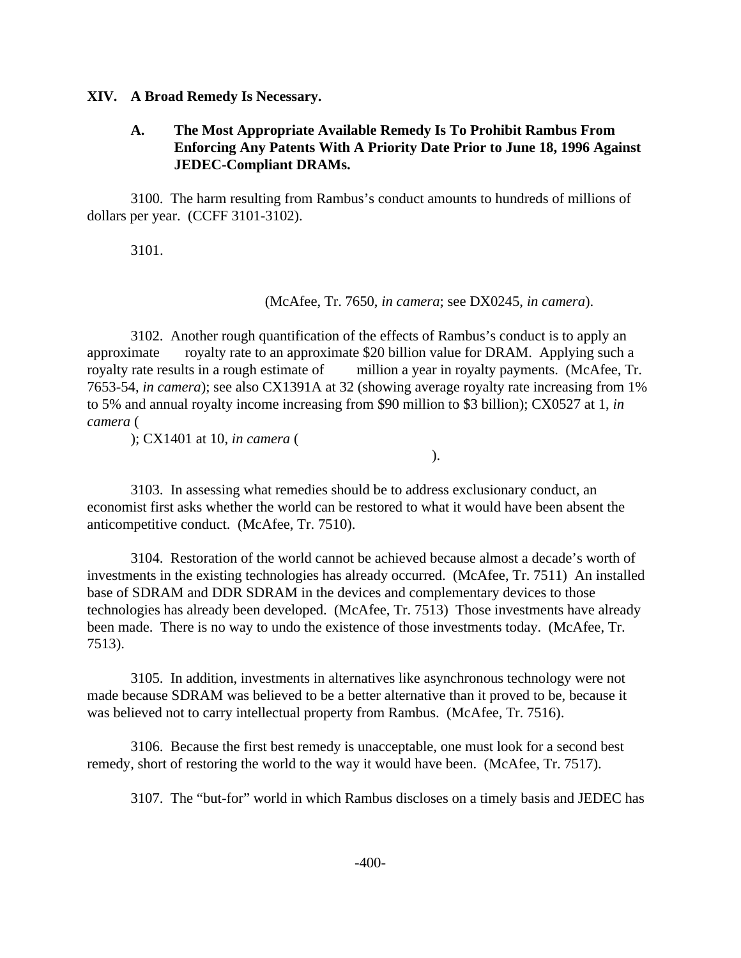#### **XIV. A Broad Remedy Is Necessary.**

### **A. The Most Appropriate Available Remedy Is To Prohibit Rambus From Enforcing Any Patents With A Priority Date Prior to June 18, 1996 Against JEDEC-Compliant DRAMs.**

3100. The harm resulting from Rambus's conduct amounts to hundreds of millions of dollars per year. (CCFF 3101-3102).

3101.

(McAfee, Tr. 7650, *in camera*; see DX0245, *in camera*).

3102. Another rough quantification of the effects of Rambus's conduct is to apply an approximate royalty rate to an approximate \$20 billion value for DRAM. Applying such a royalty rate results in a rough estimate of million a year in royalty payments. (McAfee, Tr. 7653-54, *in camera*); see also CX1391A at 32 (showing average royalty rate increasing from 1% to 5% and annual royalty income increasing from \$90 million to \$3 billion); CX0527 at 1, *in camera* (

); CX1401 at 10, *in camera* (

).

3103. In assessing what remedies should be to address exclusionary conduct, an economist first asks whether the world can be restored to what it would have been absent the anticompetitive conduct. (McAfee, Tr. 7510).

3104. Restoration of the world cannot be achieved because almost a decade's worth of investments in the existing technologies has already occurred. (McAfee, Tr. 7511) An installed base of SDRAM and DDR SDRAM in the devices and complementary devices to those technologies has already been developed. (McAfee, Tr. 7513) Those investments have already been made. There is no way to undo the existence of those investments today. (McAfee, Tr. 7513).

3105. In addition, investments in alternatives like asynchronous technology were not made because SDRAM was believed to be a better alternative than it proved to be, because it was believed not to carry intellectual property from Rambus. (McAfee, Tr. 7516).

3106. Because the first best remedy is unacceptable, one must look for a second best remedy, short of restoring the world to the way it would have been. (McAfee, Tr. 7517).

3107. The "but-for" world in which Rambus discloses on a timely basis and JEDEC has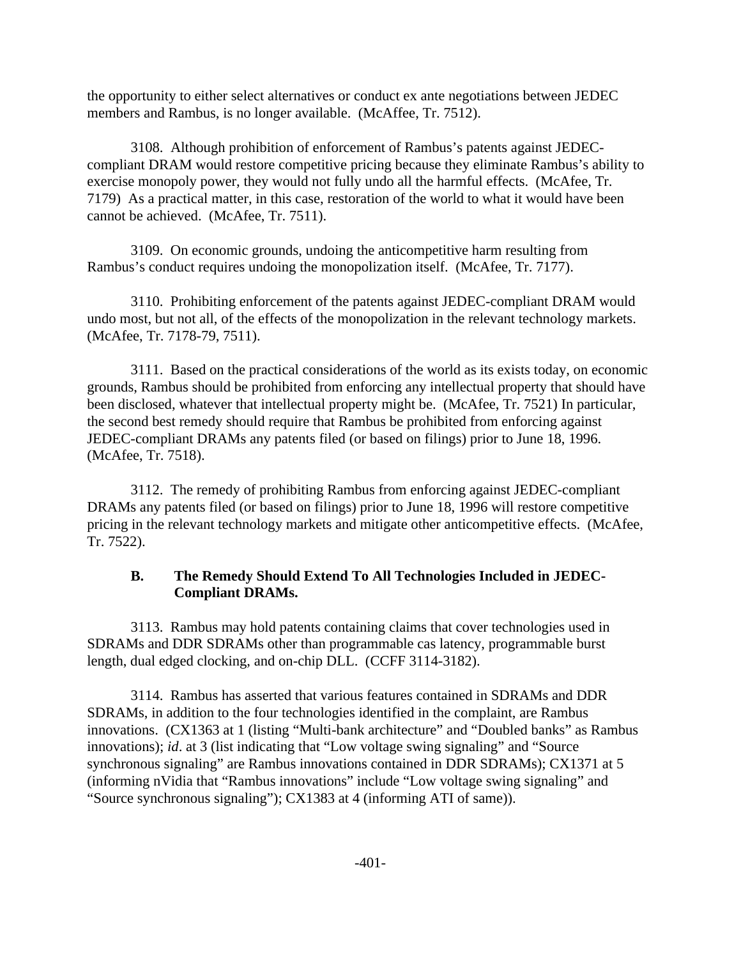the opportunity to either select alternatives or conduct ex ante negotiations between JEDEC members and Rambus, is no longer available. (McAffee, Tr. 7512).

3108. Although prohibition of enforcement of Rambus's patents against JEDECcompliant DRAM would restore competitive pricing because they eliminate Rambus's ability to exercise monopoly power, they would not fully undo all the harmful effects. (McAfee, Tr. 7179) As a practical matter, in this case, restoration of the world to what it would have been cannot be achieved. (McAfee, Tr. 7511).

3109. On economic grounds, undoing the anticompetitive harm resulting from Rambus's conduct requires undoing the monopolization itself. (McAfee, Tr. 7177).

3110. Prohibiting enforcement of the patents against JEDEC-compliant DRAM would undo most, but not all, of the effects of the monopolization in the relevant technology markets. (McAfee, Tr. 7178-79, 7511).

3111. Based on the practical considerations of the world as its exists today, on economic grounds, Rambus should be prohibited from enforcing any intellectual property that should have been disclosed, whatever that intellectual property might be. (McAfee, Tr. 7521) In particular, the second best remedy should require that Rambus be prohibited from enforcing against JEDEC-compliant DRAMs any patents filed (or based on filings) prior to June 18, 1996. (McAfee, Tr. 7518).

3112. The remedy of prohibiting Rambus from enforcing against JEDEC-compliant DRAMs any patents filed (or based on filings) prior to June 18, 1996 will restore competitive pricing in the relevant technology markets and mitigate other anticompetitive effects. (McAfee, Tr. 7522).

# **B. The Remedy Should Extend To All Technologies Included in JEDEC-Compliant DRAMs.**

3113. Rambus may hold patents containing claims that cover technologies used in SDRAMs and DDR SDRAMs other than programmable cas latency, programmable burst length, dual edged clocking, and on-chip DLL. (CCFF 3114-3182).

3114. Rambus has asserted that various features contained in SDRAMs and DDR SDRAMs, in addition to the four technologies identified in the complaint, are Rambus innovations. (CX1363 at 1 (listing "Multi-bank architecture" and "Doubled banks" as Rambus innovations); *id.* at 3 (list indicating that "Low voltage swing signaling" and "Source" synchronous signaling" are Rambus innovations contained in DDR SDRAMs); CX1371 at 5 (informing nVidia that "Rambus innovations" include "Low voltage swing signaling" and "Source synchronous signaling"); CX1383 at 4 (informing ATI of same)).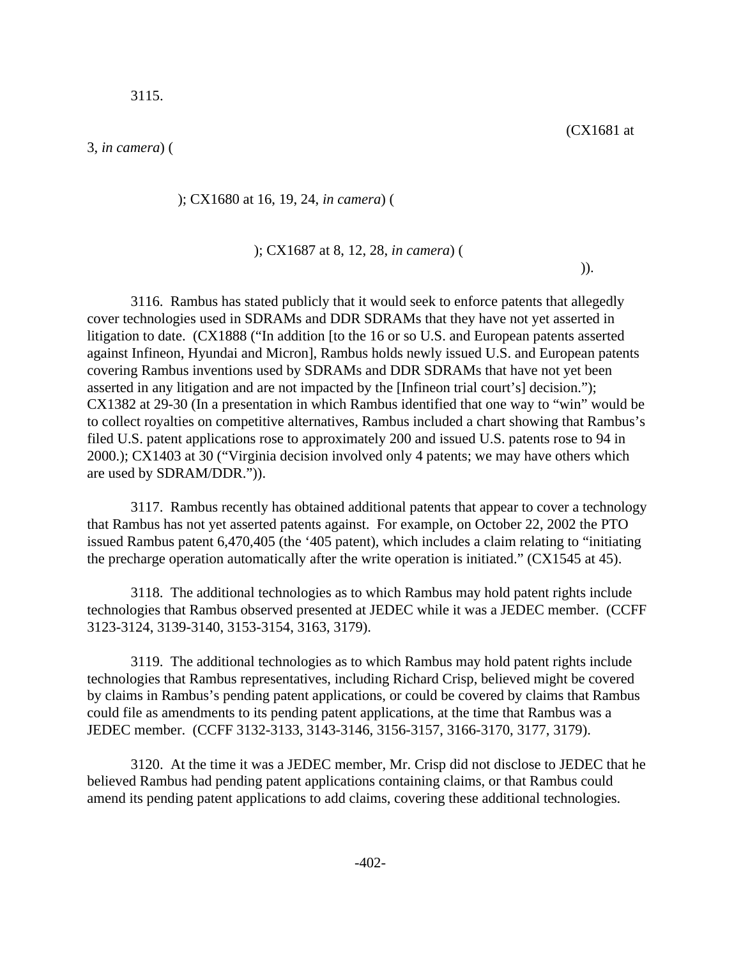); CX1680 at 16, 19, 24, *in camera*) (

#### ); CX1687 at 8, 12, 28, *in camera*) (

 $)).$ 

3116. Rambus has stated publicly that it would seek to enforce patents that allegedly cover technologies used in SDRAMs and DDR SDRAMs that they have not yet asserted in litigation to date. (CX1888 ("In addition [to the 16 or so U.S. and European patents asserted against Infineon, Hyundai and Micron], Rambus holds newly issued U.S. and European patents covering Rambus inventions used by SDRAMs and DDR SDRAMs that have not yet been asserted in any litigation and are not impacted by the [Infineon trial court's] decision."); CX1382 at 29-30 (In a presentation in which Rambus identified that one way to "win" would be to collect royalties on competitive alternatives, Rambus included a chart showing that Rambus's filed U.S. patent applications rose to approximately 200 and issued U.S. patents rose to 94 in 2000.); CX1403 at 30 ("Virginia decision involved only 4 patents; we may have others which are used by SDRAM/DDR.")).

3117. Rambus recently has obtained additional patents that appear to cover a technology that Rambus has not yet asserted patents against. For example, on October 22, 2002 the PTO issued Rambus patent 6,470,405 (the '405 patent), which includes a claim relating to "initiating the precharge operation automatically after the write operation is initiated." (CX1545 at 45).

3118. The additional technologies as to which Rambus may hold patent rights include technologies that Rambus observed presented at JEDEC while it was a JEDEC member. (CCFF 3123-3124, 3139-3140, 3153-3154, 3163, 3179).

3119. The additional technologies as to which Rambus may hold patent rights include technologies that Rambus representatives, including Richard Crisp, believed might be covered by claims in Rambus's pending patent applications, or could be covered by claims that Rambus could file as amendments to its pending patent applications, at the time that Rambus was a JEDEC member. (CCFF 3132-3133, 3143-3146, 3156-3157, 3166-3170, 3177, 3179).

3120. At the time it was a JEDEC member, Mr. Crisp did not disclose to JEDEC that he believed Rambus had pending patent applications containing claims, or that Rambus could amend its pending patent applications to add claims, covering these additional technologies.

(CX1681 at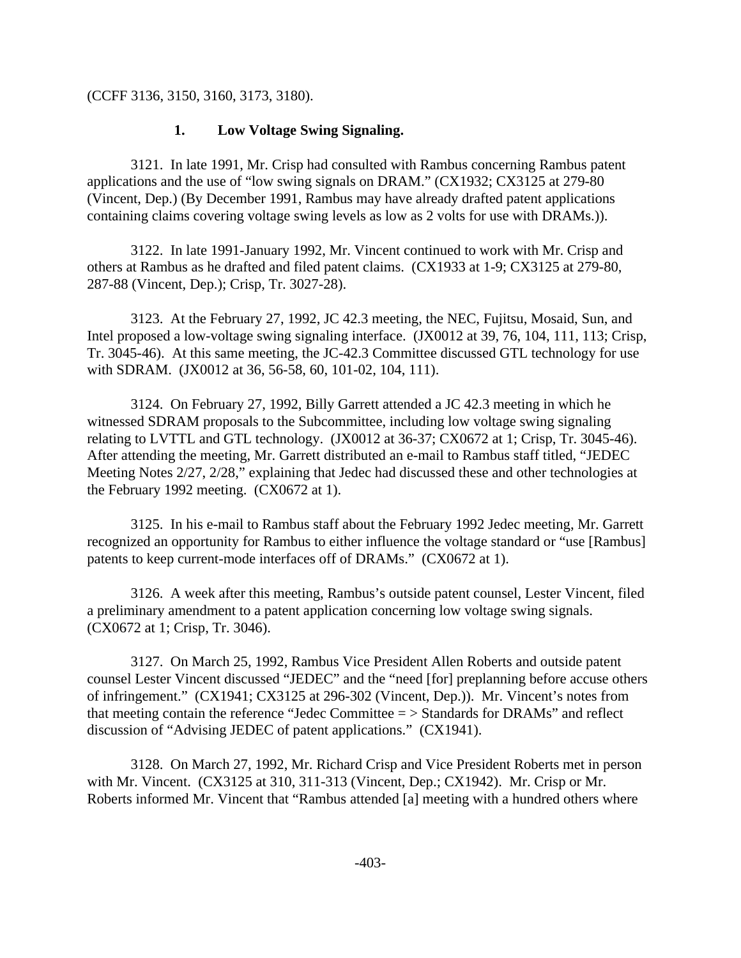(CCFF 3136, 3150, 3160, 3173, 3180).

# **1. Low Voltage Swing Signaling.**

3121. In late 1991, Mr. Crisp had consulted with Rambus concerning Rambus patent applications and the use of "low swing signals on DRAM." (CX1932; CX3125 at 279-80 (Vincent, Dep.) (By December 1991, Rambus may have already drafted patent applications containing claims covering voltage swing levels as low as 2 volts for use with DRAMs.)).

3122. In late 1991-January 1992, Mr. Vincent continued to work with Mr. Crisp and others at Rambus as he drafted and filed patent claims. (CX1933 at 1-9; CX3125 at 279-80, 287-88 (Vincent, Dep.); Crisp, Tr. 3027-28).

3123. At the February 27, 1992, JC 42.3 meeting, the NEC, Fujitsu, Mosaid, Sun, and Intel proposed a low-voltage swing signaling interface. (JX0012 at 39, 76, 104, 111, 113; Crisp, Tr. 3045-46). At this same meeting, the JC-42.3 Committee discussed GTL technology for use with SDRAM. (JX0012 at 36, 56-58, 60, 101-02, 104, 111).

3124. On February 27, 1992, Billy Garrett attended a JC 42.3 meeting in which he witnessed SDRAM proposals to the Subcommittee, including low voltage swing signaling relating to LVTTL and GTL technology. (JX0012 at 36-37; CX0672 at 1; Crisp, Tr. 3045-46). After attending the meeting, Mr. Garrett distributed an e-mail to Rambus staff titled, "JEDEC Meeting Notes 2/27, 2/28," explaining that Jedec had discussed these and other technologies at the February 1992 meeting. (CX0672 at 1).

3125. In his e-mail to Rambus staff about the February 1992 Jedec meeting, Mr. Garrett recognized an opportunity for Rambus to either influence the voltage standard or "use [Rambus] patents to keep current-mode interfaces off of DRAMs." (CX0672 at 1).

3126. A week after this meeting, Rambus's outside patent counsel, Lester Vincent, filed a preliminary amendment to a patent application concerning low voltage swing signals. (CX0672 at 1; Crisp, Tr. 3046).

3127. On March 25, 1992, Rambus Vice President Allen Roberts and outside patent counsel Lester Vincent discussed "JEDEC" and the "need [for] preplanning before accuse others of infringement." (CX1941; CX3125 at 296-302 (Vincent, Dep.)). Mr. Vincent's notes from that meeting contain the reference "Jedec Committee = > Standards for DRAMs" and reflect discussion of "Advising JEDEC of patent applications." (CX1941).

3128. On March 27, 1992, Mr. Richard Crisp and Vice President Roberts met in person with Mr. Vincent. (CX3125 at 310, 311-313 (Vincent, Dep.; CX1942). Mr. Crisp or Mr. Roberts informed Mr. Vincent that "Rambus attended [a] meeting with a hundred others where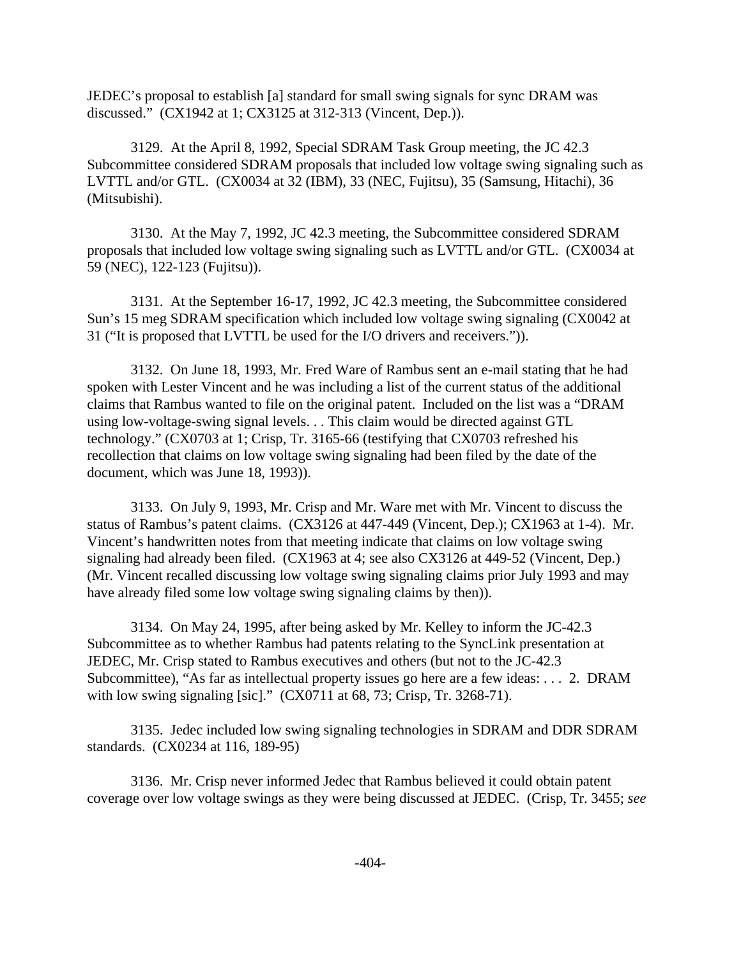JEDEC's proposal to establish [a] standard for small swing signals for sync DRAM was discussed." (CX1942 at 1; CX3125 at 312-313 (Vincent, Dep.)).

3129. At the April 8, 1992, Special SDRAM Task Group meeting, the JC 42.3 Subcommittee considered SDRAM proposals that included low voltage swing signaling such as LVTTL and/or GTL. (CX0034 at 32 (IBM), 33 (NEC, Fujitsu), 35 (Samsung, Hitachi), 36 (Mitsubishi).

3130. At the May 7, 1992, JC 42.3 meeting, the Subcommittee considered SDRAM proposals that included low voltage swing signaling such as LVTTL and/or GTL. (CX0034 at 59 (NEC), 122-123 (Fujitsu)).

3131. At the September 16-17, 1992, JC 42.3 meeting, the Subcommittee considered Sun's 15 meg SDRAM specification which included low voltage swing signaling (CX0042 at 31 ("It is proposed that LVTTL be used for the I/O drivers and receivers.")).

3132. On June 18, 1993, Mr. Fred Ware of Rambus sent an e-mail stating that he had spoken with Lester Vincent and he was including a list of the current status of the additional claims that Rambus wanted to file on the original patent. Included on the list was a "DRAM using low-voltage-swing signal levels. . . This claim would be directed against GTL technology." (CX0703 at 1; Crisp, Tr. 3165-66 (testifying that CX0703 refreshed his recollection that claims on low voltage swing signaling had been filed by the date of the document, which was June 18, 1993)).

3133. On July 9, 1993, Mr. Crisp and Mr. Ware met with Mr. Vincent to discuss the status of Rambus's patent claims. (CX3126 at 447-449 (Vincent, Dep.); CX1963 at 1-4). Mr. Vincent's handwritten notes from that meeting indicate that claims on low voltage swing signaling had already been filed. (CX1963 at 4; see also CX3126 at 449-52 (Vincent, Dep.) (Mr. Vincent recalled discussing low voltage swing signaling claims prior July 1993 and may have already filed some low voltage swing signaling claims by then)).

3134. On May 24, 1995, after being asked by Mr. Kelley to inform the JC-42.3 Subcommittee as to whether Rambus had patents relating to the SyncLink presentation at JEDEC, Mr. Crisp stated to Rambus executives and others (but not to the JC-42.3 Subcommittee), "As far as intellectual property issues go here are a few ideas: . . . 2. DRAM with low swing signaling [sic]." (CX0711 at 68, 73; Crisp, Tr. 3268-71).

3135. Jedec included low swing signaling technologies in SDRAM and DDR SDRAM standards. (CX0234 at 116, 189-95)

3136. Mr. Crisp never informed Jedec that Rambus believed it could obtain patent coverage over low voltage swings as they were being discussed at JEDEC. (Crisp, Tr. 3455; *see*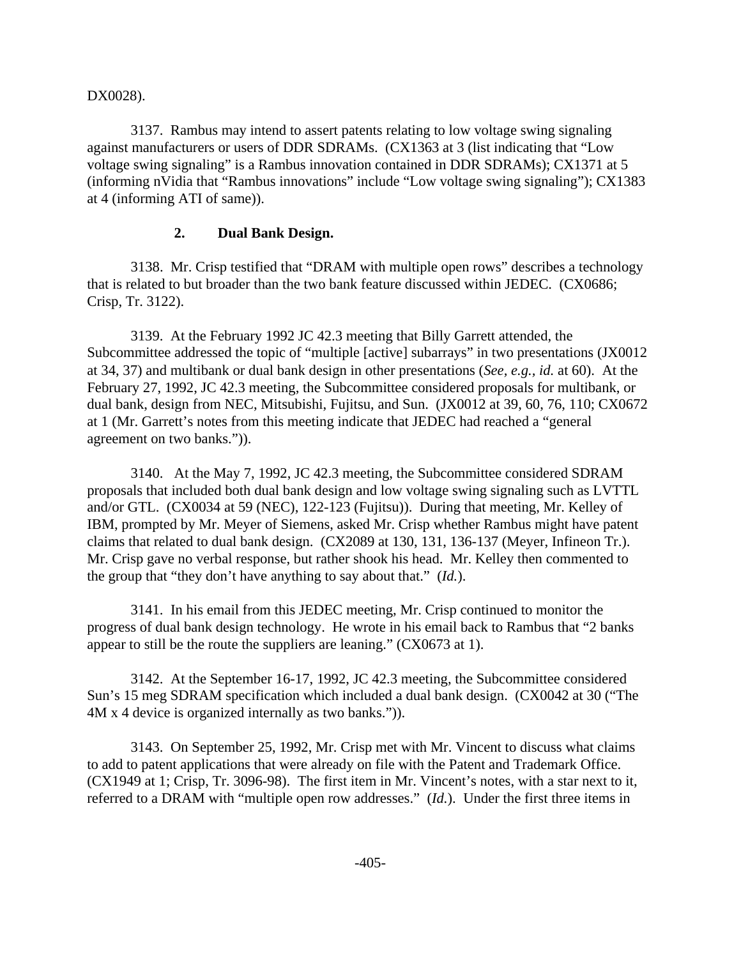DX0028).

3137. Rambus may intend to assert patents relating to low voltage swing signaling against manufacturers or users of DDR SDRAMs. (CX1363 at 3 (list indicating that "Low voltage swing signaling" is a Rambus innovation contained in DDR SDRAMs); CX1371 at 5 (informing nVidia that "Rambus innovations" include "Low voltage swing signaling"); CX1383 at 4 (informing ATI of same)).

### **2. Dual Bank Design.**

3138. Mr. Crisp testified that "DRAM with multiple open rows" describes a technology that is related to but broader than the two bank feature discussed within JEDEC. (CX0686; Crisp, Tr. 3122).

3139. At the February 1992 JC 42.3 meeting that Billy Garrett attended, the Subcommittee addressed the topic of "multiple [active] subarrays" in two presentations (JX0012 at 34, 37) and multibank or dual bank design in other presentations (*See, e.g., id.* at 60). At the February 27, 1992, JC 42.3 meeting, the Subcommittee considered proposals for multibank, or dual bank, design from NEC, Mitsubishi, Fujitsu, and Sun. (JX0012 at 39, 60, 76, 110; CX0672 at 1 (Mr. Garrett's notes from this meeting indicate that JEDEC had reached a "general agreement on two banks.")).

3140. At the May 7, 1992, JC 42.3 meeting, the Subcommittee considered SDRAM proposals that included both dual bank design and low voltage swing signaling such as LVTTL and/or GTL. (CX0034 at 59 (NEC), 122-123 (Fujitsu)). During that meeting, Mr. Kelley of IBM, prompted by Mr. Meyer of Siemens, asked Mr. Crisp whether Rambus might have patent claims that related to dual bank design. (CX2089 at 130, 131, 136-137 (Meyer, Infineon Tr.). Mr. Crisp gave no verbal response, but rather shook his head. Mr. Kelley then commented to the group that "they don't have anything to say about that." (*Id.*).

3141. In his email from this JEDEC meeting, Mr. Crisp continued to monitor the progress of dual bank design technology. He wrote in his email back to Rambus that "2 banks appear to still be the route the suppliers are leaning." (CX0673 at 1).

3142. At the September 16-17, 1992, JC 42.3 meeting, the Subcommittee considered Sun's 15 meg SDRAM specification which included a dual bank design. (CX0042 at 30 ("The 4M x 4 device is organized internally as two banks.")).

3143. On September 25, 1992, Mr. Crisp met with Mr. Vincent to discuss what claims to add to patent applications that were already on file with the Patent and Trademark Office. (CX1949 at 1; Crisp, Tr. 3096-98). The first item in Mr. Vincent's notes, with a star next to it, referred to a DRAM with "multiple open row addresses." (*Id.*). Under the first three items in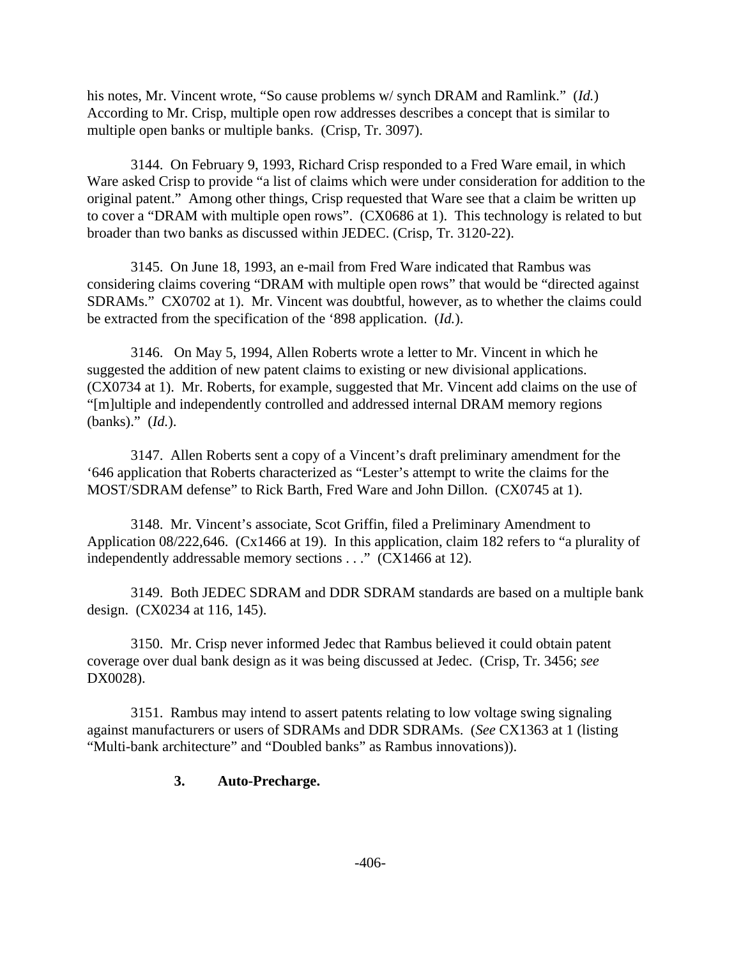his notes, Mr. Vincent wrote, "So cause problems w/ synch DRAM and Ramlink." (*Id.*) According to Mr. Crisp, multiple open row addresses describes a concept that is similar to multiple open banks or multiple banks. (Crisp, Tr. 3097).

3144. On February 9, 1993, Richard Crisp responded to a Fred Ware email, in which Ware asked Crisp to provide "a list of claims which were under consideration for addition to the original patent." Among other things, Crisp requested that Ware see that a claim be written up to cover a "DRAM with multiple open rows". (CX0686 at 1). This technology is related to but broader than two banks as discussed within JEDEC. (Crisp, Tr. 3120-22).

3145. On June 18, 1993, an e-mail from Fred Ware indicated that Rambus was considering claims covering "DRAM with multiple open rows" that would be "directed against SDRAMs." CX0702 at 1). Mr. Vincent was doubtful, however, as to whether the claims could be extracted from the specification of the '898 application. (*Id.*).

3146. On May 5, 1994, Allen Roberts wrote a letter to Mr. Vincent in which he suggested the addition of new patent claims to existing or new divisional applications. (CX0734 at 1). Mr. Roberts, for example, suggested that Mr. Vincent add claims on the use of "[m]ultiple and independently controlled and addressed internal DRAM memory regions (banks)." (*Id.*).

3147. Allen Roberts sent a copy of a Vincent's draft preliminary amendment for the '646 application that Roberts characterized as "Lester's attempt to write the claims for the MOST/SDRAM defense" to Rick Barth, Fred Ware and John Dillon. (CX0745 at 1).

3148. Mr. Vincent's associate, Scot Griffin, filed a Preliminary Amendment to Application 08/222,646. (Cx1466 at 19). In this application, claim 182 refers to "a plurality of independently addressable memory sections . . ." (CX1466 at 12).

3149. Both JEDEC SDRAM and DDR SDRAM standards are based on a multiple bank design. (CX0234 at 116, 145).

3150. Mr. Crisp never informed Jedec that Rambus believed it could obtain patent coverage over dual bank design as it was being discussed at Jedec. (Crisp, Tr. 3456; *see* DX0028).

3151. Rambus may intend to assert patents relating to low voltage swing signaling against manufacturers or users of SDRAMs and DDR SDRAMs. (*See* CX1363 at 1 (listing "Multi-bank architecture" and "Doubled banks" as Rambus innovations)).

## **3. Auto-Precharge.**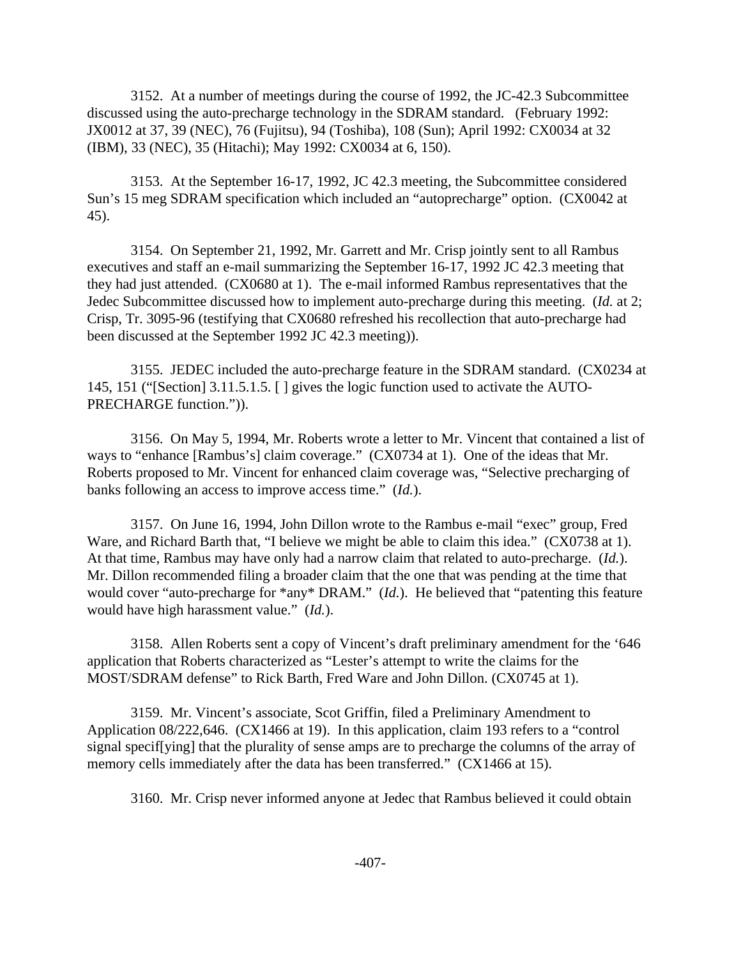3152. At a number of meetings during the course of 1992, the JC-42.3 Subcommittee discussed using the auto-precharge technology in the SDRAM standard. (February 1992: JX0012 at 37, 39 (NEC), 76 (Fujitsu), 94 (Toshiba), 108 (Sun); April 1992: CX0034 at 32 (IBM), 33 (NEC), 35 (Hitachi); May 1992: CX0034 at 6, 150).

3153. At the September 16-17, 1992, JC 42.3 meeting, the Subcommittee considered Sun's 15 meg SDRAM specification which included an "autoprecharge" option. (CX0042 at 45).

3154. On September 21, 1992, Mr. Garrett and Mr. Crisp jointly sent to all Rambus executives and staff an e-mail summarizing the September 16-17, 1992 JC 42.3 meeting that they had just attended. (CX0680 at 1). The e-mail informed Rambus representatives that the Jedec Subcommittee discussed how to implement auto-precharge during this meeting. (*Id.* at 2; Crisp, Tr. 3095-96 (testifying that CX0680 refreshed his recollection that auto-precharge had been discussed at the September 1992 JC 42.3 meeting)).

3155. JEDEC included the auto-precharge feature in the SDRAM standard. (CX0234 at 145, 151 ("[Section] 3.11.5.1.5. [ ] gives the logic function used to activate the AUTO-PRECHARGE function.")).

3156. On May 5, 1994, Mr. Roberts wrote a letter to Mr. Vincent that contained a list of ways to "enhance [Rambus's] claim coverage." (CX0734 at 1). One of the ideas that Mr. Roberts proposed to Mr. Vincent for enhanced claim coverage was, "Selective precharging of banks following an access to improve access time." (*Id.*).

3157. On June 16, 1994, John Dillon wrote to the Rambus e-mail "exec" group, Fred Ware, and Richard Barth that, "I believe we might be able to claim this idea." (CX0738 at 1). At that time, Rambus may have only had a narrow claim that related to auto-precharge. (*Id.*). Mr. Dillon recommended filing a broader claim that the one that was pending at the time that would cover "auto-precharge for \*any\* DRAM." (*Id.*). He believed that "patenting this feature would have high harassment value." (*Id.*).

3158. Allen Roberts sent a copy of Vincent's draft preliminary amendment for the '646 application that Roberts characterized as "Lester's attempt to write the claims for the MOST/SDRAM defense" to Rick Barth, Fred Ware and John Dillon. (CX0745 at 1).

3159. Mr. Vincent's associate, Scot Griffin, filed a Preliminary Amendment to Application 08/222,646. (CX1466 at 19). In this application, claim 193 refers to a "control signal specif[ying] that the plurality of sense amps are to precharge the columns of the array of memory cells immediately after the data has been transferred." (CX1466 at 15).

3160. Mr. Crisp never informed anyone at Jedec that Rambus believed it could obtain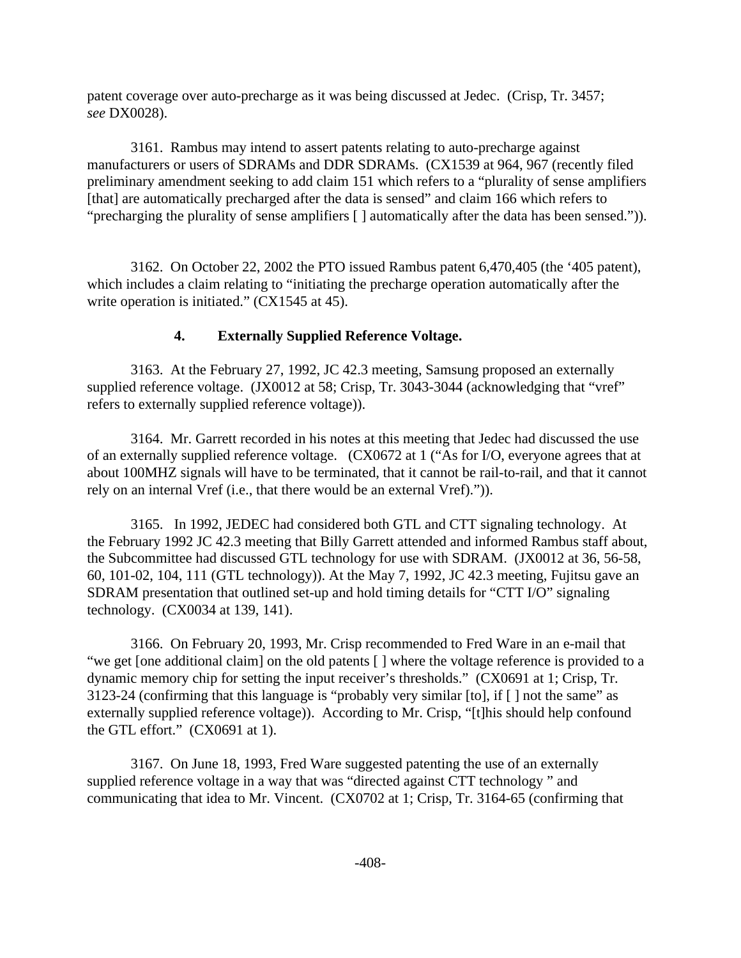patent coverage over auto-precharge as it was being discussed at Jedec. (Crisp, Tr. 3457; *see* DX0028).

3161. Rambus may intend to assert patents relating to auto-precharge against manufacturers or users of SDRAMs and DDR SDRAMs. (CX1539 at 964, 967 (recently filed preliminary amendment seeking to add claim 151 which refers to a "plurality of sense amplifiers [that] are automatically precharged after the data is sensed" and claim 166 which refers to "precharging the plurality of sense amplifiers [ ] automatically after the data has been sensed.")).

3162. On October 22, 2002 the PTO issued Rambus patent 6,470,405 (the '405 patent), which includes a claim relating to "initiating the precharge operation automatically after the write operation is initiated." (CX1545 at 45).

# **4. Externally Supplied Reference Voltage.**

3163. At the February 27, 1992, JC 42.3 meeting, Samsung proposed an externally supplied reference voltage. (JX0012 at 58; Crisp, Tr. 3043-3044 (acknowledging that "vref" refers to externally supplied reference voltage)).

3164. Mr. Garrett recorded in his notes at this meeting that Jedec had discussed the use of an externally supplied reference voltage. (CX0672 at 1 ("As for I/O, everyone agrees that at about 100MHZ signals will have to be terminated, that it cannot be rail-to-rail, and that it cannot rely on an internal Vref (i.e., that there would be an external Vref).")).

3165. In 1992, JEDEC had considered both GTL and CTT signaling technology. At the February 1992 JC 42.3 meeting that Billy Garrett attended and informed Rambus staff about, the Subcommittee had discussed GTL technology for use with SDRAM. (JX0012 at 36, 56-58, 60, 101-02, 104, 111 (GTL technology)). At the May 7, 1992, JC 42.3 meeting, Fujitsu gave an SDRAM presentation that outlined set-up and hold timing details for "CTT I/O" signaling technology. (CX0034 at 139, 141).

3166. On February 20, 1993, Mr. Crisp recommended to Fred Ware in an e-mail that "we get [one additional claim] on the old patents [ ] where the voltage reference is provided to a dynamic memory chip for setting the input receiver's thresholds." (CX0691 at 1; Crisp, Tr. 3123-24 (confirming that this language is "probably very similar [to], if [ ] not the same" as externally supplied reference voltage)). According to Mr. Crisp, "[t]his should help confound the GTL effort." (CX0691 at 1).

3167. On June 18, 1993, Fred Ware suggested patenting the use of an externally supplied reference voltage in a way that was "directed against CTT technology " and communicating that idea to Mr. Vincent. (CX0702 at 1; Crisp, Tr. 3164-65 (confirming that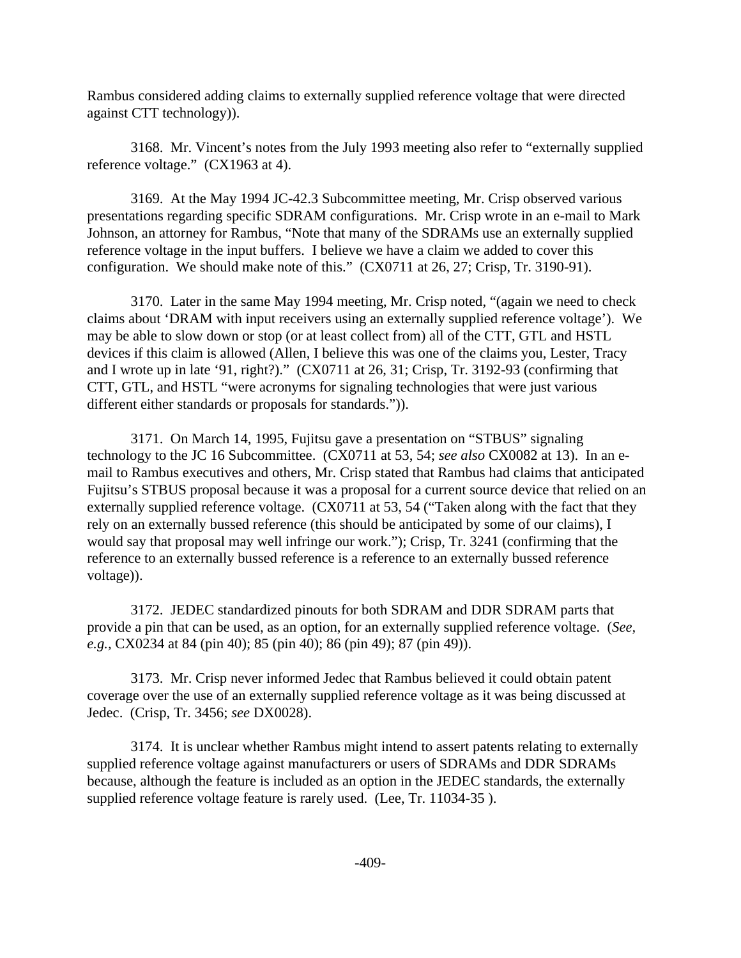Rambus considered adding claims to externally supplied reference voltage that were directed against CTT technology)).

3168. Mr. Vincent's notes from the July 1993 meeting also refer to "externally supplied reference voltage." (CX1963 at 4).

3169. At the May 1994 JC-42.3 Subcommittee meeting, Mr. Crisp observed various presentations regarding specific SDRAM configurations. Mr. Crisp wrote in an e-mail to Mark Johnson, an attorney for Rambus, "Note that many of the SDRAMs use an externally supplied reference voltage in the input buffers. I believe we have a claim we added to cover this configuration. We should make note of this." (CX0711 at 26, 27; Crisp, Tr. 3190-91).

3170. Later in the same May 1994 meeting, Mr. Crisp noted, "(again we need to check claims about 'DRAM with input receivers using an externally supplied reference voltage'). We may be able to slow down or stop (or at least collect from) all of the CTT, GTL and HSTL devices if this claim is allowed (Allen, I believe this was one of the claims you, Lester, Tracy and I wrote up in late '91, right?)." (CX0711 at 26, 31; Crisp, Tr. 3192-93 (confirming that CTT, GTL, and HSTL "were acronyms for signaling technologies that were just various different either standards or proposals for standards.")).

3171. On March 14, 1995, Fujitsu gave a presentation on "STBUS" signaling technology to the JC 16 Subcommittee. (CX0711 at 53, 54; *see also* CX0082 at 13). In an email to Rambus executives and others, Mr. Crisp stated that Rambus had claims that anticipated Fujitsu's STBUS proposal because it was a proposal for a current source device that relied on an externally supplied reference voltage. (CX0711 at 53, 54 ("Taken along with the fact that they rely on an externally bussed reference (this should be anticipated by some of our claims), I would say that proposal may well infringe our work."); Crisp, Tr. 3241 (confirming that the reference to an externally bussed reference is a reference to an externally bussed reference voltage)).

3172. JEDEC standardized pinouts for both SDRAM and DDR SDRAM parts that provide a pin that can be used, as an option, for an externally supplied reference voltage. (*See, e.g.,* CX0234 at 84 (pin 40); 85 (pin 40); 86 (pin 49); 87 (pin 49)).

3173. Mr. Crisp never informed Jedec that Rambus believed it could obtain patent coverage over the use of an externally supplied reference voltage as it was being discussed at Jedec. (Crisp, Tr. 3456; *see* DX0028).

3174. It is unclear whether Rambus might intend to assert patents relating to externally supplied reference voltage against manufacturers or users of SDRAMs and DDR SDRAMs because, although the feature is included as an option in the JEDEC standards, the externally supplied reference voltage feature is rarely used. (Lee, Tr. 11034-35).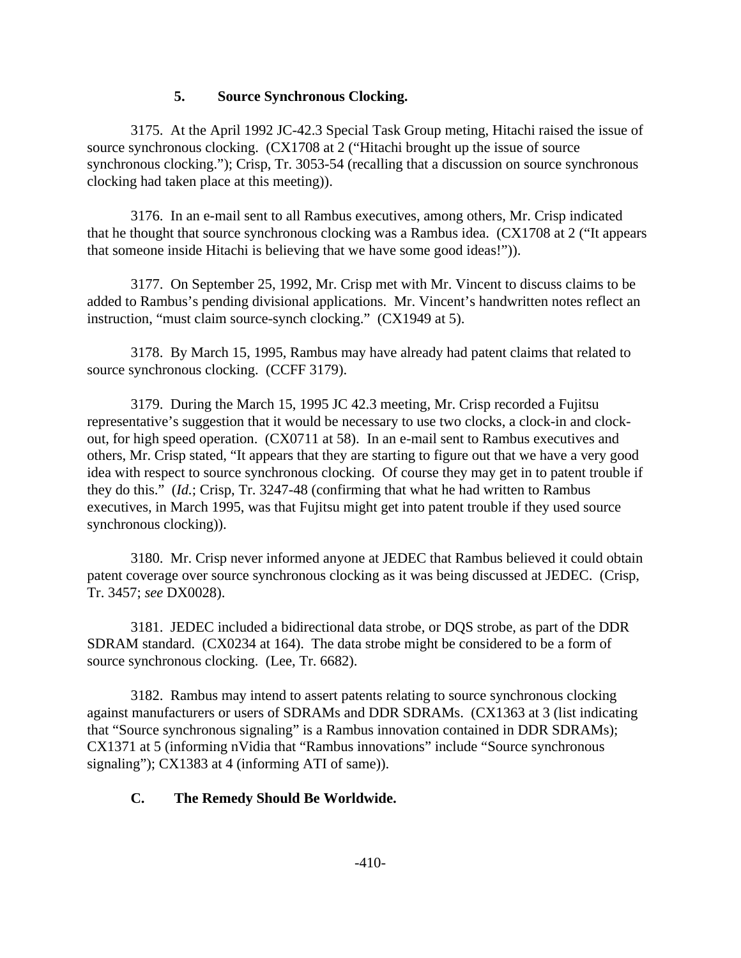### **5. Source Synchronous Clocking.**

3175. At the April 1992 JC-42.3 Special Task Group meting, Hitachi raised the issue of source synchronous clocking. (CX1708 at 2 ("Hitachi brought up the issue of source synchronous clocking."); Crisp, Tr. 3053-54 (recalling that a discussion on source synchronous clocking had taken place at this meeting)).

3176. In an e-mail sent to all Rambus executives, among others, Mr. Crisp indicated that he thought that source synchronous clocking was a Rambus idea. (CX1708 at 2 ("It appears that someone inside Hitachi is believing that we have some good ideas!")).

3177. On September 25, 1992, Mr. Crisp met with Mr. Vincent to discuss claims to be added to Rambus's pending divisional applications. Mr. Vincent's handwritten notes reflect an instruction, "must claim source-synch clocking." (CX1949 at 5).

3178. By March 15, 1995, Rambus may have already had patent claims that related to source synchronous clocking. (CCFF 3179).

3179. During the March 15, 1995 JC 42.3 meeting, Mr. Crisp recorded a Fujitsu representative's suggestion that it would be necessary to use two clocks, a clock-in and clockout, for high speed operation. (CX0711 at 58). In an e-mail sent to Rambus executives and others, Mr. Crisp stated, "It appears that they are starting to figure out that we have a very good idea with respect to source synchronous clocking. Of course they may get in to patent trouble if they do this." (*Id.*; Crisp, Tr. 3247-48 (confirming that what he had written to Rambus executives, in March 1995, was that Fujitsu might get into patent trouble if they used source synchronous clocking)).

3180. Mr. Crisp never informed anyone at JEDEC that Rambus believed it could obtain patent coverage over source synchronous clocking as it was being discussed at JEDEC. (Crisp, Tr. 3457; *see* DX0028).

3181. JEDEC included a bidirectional data strobe, or DQS strobe, as part of the DDR SDRAM standard. (CX0234 at 164). The data strobe might be considered to be a form of source synchronous clocking. (Lee, Tr. 6682).

3182. Rambus may intend to assert patents relating to source synchronous clocking against manufacturers or users of SDRAMs and DDR SDRAMs. (CX1363 at 3 (list indicating that "Source synchronous signaling" is a Rambus innovation contained in DDR SDRAMs); CX1371 at 5 (informing nVidia that "Rambus innovations" include "Source synchronous signaling"); CX1383 at 4 (informing ATI of same)).

# **C. The Remedy Should Be Worldwide.**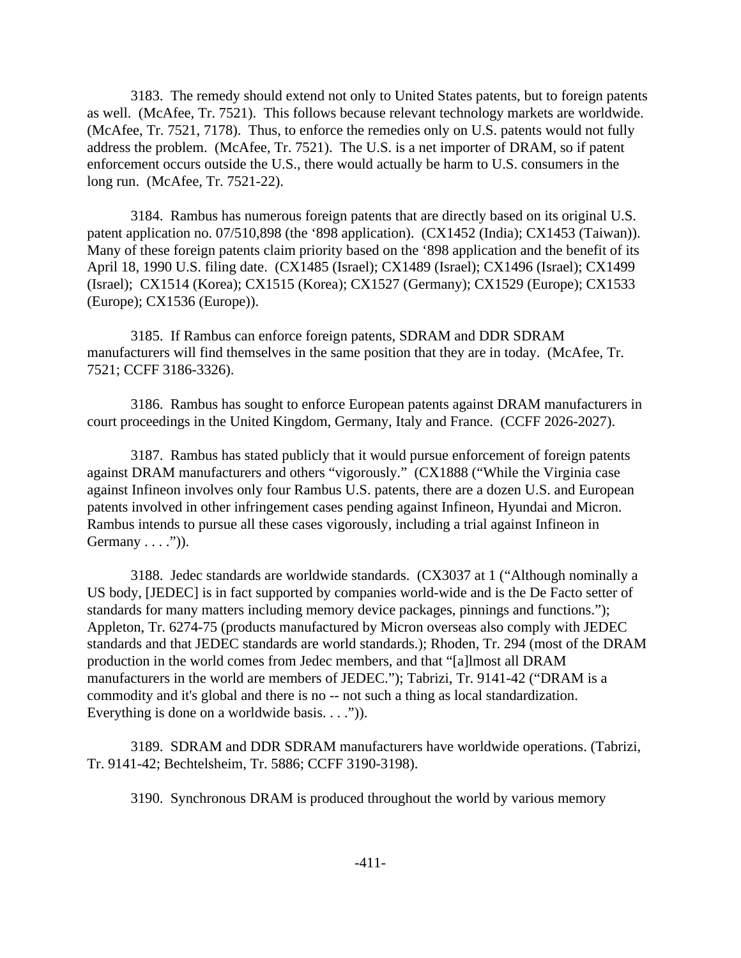3183. The remedy should extend not only to United States patents, but to foreign patents as well. (McAfee, Tr. 7521). This follows because relevant technology markets are worldwide. (McAfee, Tr. 7521, 7178). Thus, to enforce the remedies only on U.S. patents would not fully address the problem. (McAfee, Tr. 7521). The U.S. is a net importer of DRAM, so if patent enforcement occurs outside the U.S., there would actually be harm to U.S. consumers in the long run. (McAfee, Tr. 7521-22).

3184. Rambus has numerous foreign patents that are directly based on its original U.S. patent application no. 07/510,898 (the '898 application). (CX1452 (India); CX1453 (Taiwan)). Many of these foreign patents claim priority based on the '898 application and the benefit of its April 18, 1990 U.S. filing date. (CX1485 (Israel); CX1489 (Israel); CX1496 (Israel); CX1499 (Israel); CX1514 (Korea); CX1515 (Korea); CX1527 (Germany); CX1529 (Europe); CX1533 (Europe); CX1536 (Europe)).

3185. If Rambus can enforce foreign patents, SDRAM and DDR SDRAM manufacturers will find themselves in the same position that they are in today. (McAfee, Tr. 7521; CCFF 3186-3326).

3186. Rambus has sought to enforce European patents against DRAM manufacturers in court proceedings in the United Kingdom, Germany, Italy and France. (CCFF 2026-2027).

3187. Rambus has stated publicly that it would pursue enforcement of foreign patents against DRAM manufacturers and others "vigorously." (CX1888 ("While the Virginia case against Infineon involves only four Rambus U.S. patents, there are a dozen U.S. and European patents involved in other infringement cases pending against Infineon, Hyundai and Micron. Rambus intends to pursue all these cases vigorously, including a trial against Infineon in Germany  $\dots$ ")).

3188. Jedec standards are worldwide standards. (CX3037 at 1 ("Although nominally a US body, [JEDEC] is in fact supported by companies world-wide and is the De Facto setter of standards for many matters including memory device packages, pinnings and functions."); Appleton, Tr. 6274-75 (products manufactured by Micron overseas also comply with JEDEC standards and that JEDEC standards are world standards.); Rhoden, Tr. 294 (most of the DRAM production in the world comes from Jedec members, and that "[a]lmost all DRAM manufacturers in the world are members of JEDEC."); Tabrizi, Tr. 9141-42 ("DRAM is a commodity and it's global and there is no -- not such a thing as local standardization. Everything is done on a worldwide basis. . . .").

3189. SDRAM and DDR SDRAM manufacturers have worldwide operations. (Tabrizi, Tr. 9141-42; Bechtelsheim, Tr. 5886; CCFF 3190-3198).

3190. Synchronous DRAM is produced throughout the world by various memory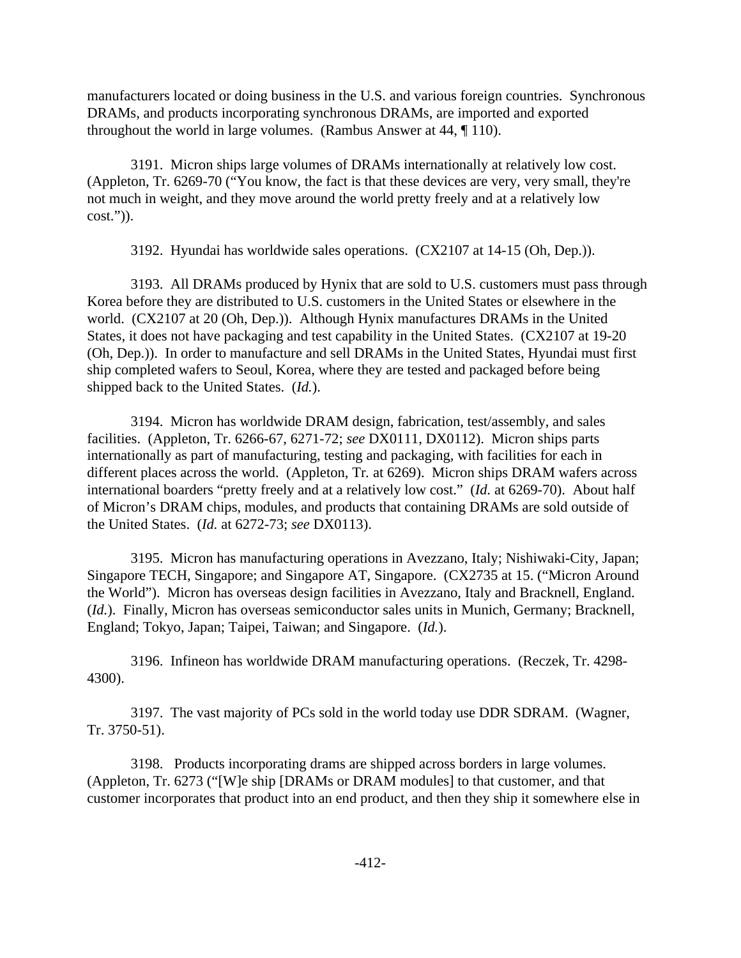manufacturers located or doing business in the U.S. and various foreign countries. Synchronous DRAMs, and products incorporating synchronous DRAMs, are imported and exported throughout the world in large volumes. (Rambus Answer at 44, ¶ 110).

3191. Micron ships large volumes of DRAMs internationally at relatively low cost. (Appleton, Tr. 6269-70 ("You know, the fact is that these devices are very, very small, they're not much in weight, and they move around the world pretty freely and at a relatively low cost.")).

3192. Hyundai has worldwide sales operations. (CX2107 at 14-15 (Oh, Dep.)).

3193. All DRAMs produced by Hynix that are sold to U.S. customers must pass through Korea before they are distributed to U.S. customers in the United States or elsewhere in the world. (CX2107 at 20 (Oh, Dep.)). Although Hynix manufactures DRAMs in the United States, it does not have packaging and test capability in the United States. (CX2107 at 19-20 (Oh, Dep.)). In order to manufacture and sell DRAMs in the United States, Hyundai must first ship completed wafers to Seoul, Korea, where they are tested and packaged before being shipped back to the United States. (*Id.*).

3194. Micron has worldwide DRAM design, fabrication, test/assembly, and sales facilities. (Appleton, Tr. 6266-67, 6271-72; *see* DX0111, DX0112). Micron ships parts internationally as part of manufacturing, testing and packaging, with facilities for each in different places across the world. (Appleton, Tr*.* at 6269). Micron ships DRAM wafers across international boarders "pretty freely and at a relatively low cost." (*Id.* at 6269-70). About half of Micron's DRAM chips, modules, and products that containing DRAMs are sold outside of the United States. (*Id.* at 6272-73; *see* DX0113).

3195. Micron has manufacturing operations in Avezzano, Italy; Nishiwaki-City, Japan; Singapore TECH, Singapore; and Singapore AT, Singapore. (CX2735 at 15. ("Micron Around the World"). Micron has overseas design facilities in Avezzano, Italy and Bracknell, England. (*Id.*). Finally, Micron has overseas semiconductor sales units in Munich, Germany; Bracknell, England; Tokyo, Japan; Taipei, Taiwan; and Singapore. (*Id.*).

3196. Infineon has worldwide DRAM manufacturing operations. (Reczek, Tr. 4298- 4300).

3197. The vast majority of PCs sold in the world today use DDR SDRAM. (Wagner, Tr. 3750-51).

3198. Products incorporating drams are shipped across borders in large volumes. (Appleton, Tr. 6273 ("[W]e ship [DRAMs or DRAM modules] to that customer, and that customer incorporates that product into an end product, and then they ship it somewhere else in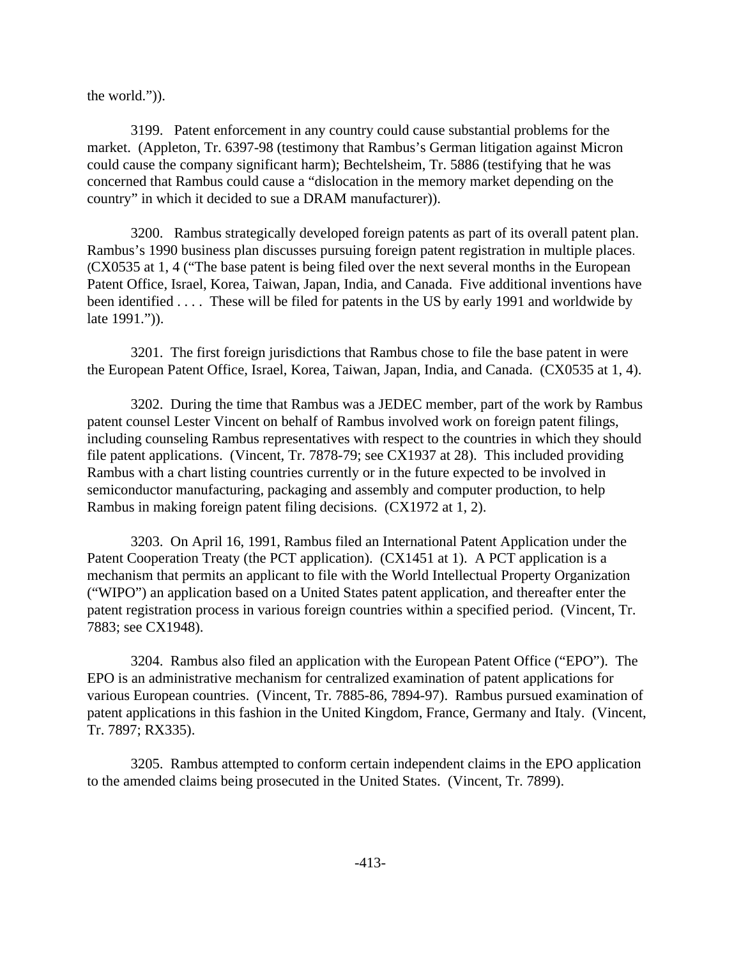the world.")).

3199. Patent enforcement in any country could cause substantial problems for the market. (Appleton, Tr. 6397-98 (testimony that Rambus's German litigation against Micron could cause the company significant harm); Bechtelsheim, Tr. 5886 (testifying that he was concerned that Rambus could cause a "dislocation in the memory market depending on the country" in which it decided to sue a DRAM manufacturer)).

3200. Rambus strategically developed foreign patents as part of its overall patent plan. Rambus's 1990 business plan discusses pursuing foreign patent registration in multiple places. (CX0535 at 1, 4 ("The base patent is being filed over the next several months in the European Patent Office, Israel, Korea, Taiwan, Japan, India, and Canada. Five additional inventions have been identified . . . . These will be filed for patents in the US by early 1991 and worldwide by late 1991.")).

3201. The first foreign jurisdictions that Rambus chose to file the base patent in were the European Patent Office, Israel, Korea, Taiwan, Japan, India, and Canada. (CX0535 at 1, 4).

3202. During the time that Rambus was a JEDEC member, part of the work by Rambus patent counsel Lester Vincent on behalf of Rambus involved work on foreign patent filings, including counseling Rambus representatives with respect to the countries in which they should file patent applications. (Vincent, Tr. 7878-79; see CX1937 at 28). This included providing Rambus with a chart listing countries currently or in the future expected to be involved in semiconductor manufacturing, packaging and assembly and computer production, to help Rambus in making foreign patent filing decisions. (CX1972 at 1, 2).

3203. On April 16, 1991, Rambus filed an International Patent Application under the Patent Cooperation Treaty (the PCT application). (CX1451 at 1). A PCT application is a mechanism that permits an applicant to file with the World Intellectual Property Organization ("WIPO") an application based on a United States patent application, and thereafter enter the patent registration process in various foreign countries within a specified period. (Vincent, Tr. 7883; see CX1948).

3204. Rambus also filed an application with the European Patent Office ("EPO"). The EPO is an administrative mechanism for centralized examination of patent applications for various European countries. (Vincent, Tr. 7885-86, 7894-97). Rambus pursued examination of patent applications in this fashion in the United Kingdom, France, Germany and Italy. (Vincent, Tr. 7897; RX335).

3205. Rambus attempted to conform certain independent claims in the EPO application to the amended claims being prosecuted in the United States. (Vincent, Tr. 7899).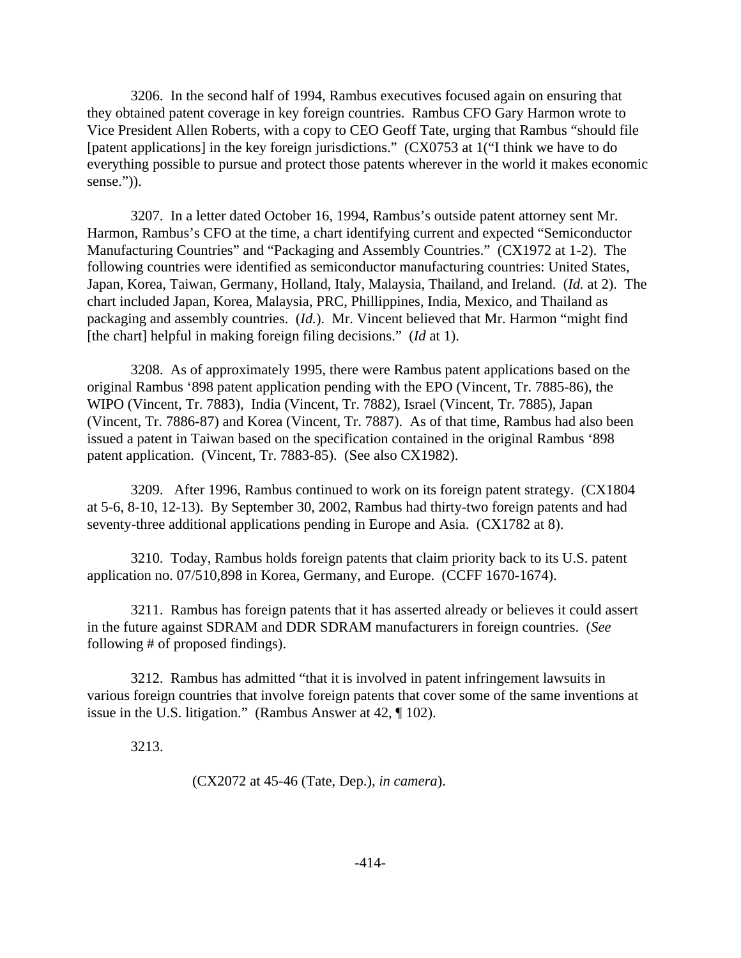3206. In the second half of 1994, Rambus executives focused again on ensuring that they obtained patent coverage in key foreign countries. Rambus CFO Gary Harmon wrote to Vice President Allen Roberts, with a copy to CEO Geoff Tate, urging that Rambus "should file [patent applications] in the key foreign jurisdictions." (CX0753 at 1("I think we have to do everything possible to pursue and protect those patents wherever in the world it makes economic sense.")).

3207. In a letter dated October 16, 1994, Rambus's outside patent attorney sent Mr. Harmon, Rambus's CFO at the time, a chart identifying current and expected "Semiconductor Manufacturing Countries" and "Packaging and Assembly Countries." (CX1972 at 1-2). The following countries were identified as semiconductor manufacturing countries: United States, Japan, Korea, Taiwan, Germany, Holland, Italy, Malaysia, Thailand, and Ireland. (*Id.* at 2). The chart included Japan, Korea, Malaysia, PRC, Phillippines, India, Mexico, and Thailand as packaging and assembly countries. (*Id.*). Mr. Vincent believed that Mr. Harmon "might find [the chart] helpful in making foreign filing decisions." (*Id* at 1).

3208. As of approximately 1995, there were Rambus patent applications based on the original Rambus '898 patent application pending with the EPO (Vincent, Tr. 7885-86), the WIPO (Vincent, Tr. 7883), India (Vincent, Tr. 7882), Israel (Vincent, Tr. 7885), Japan (Vincent, Tr. 7886-87) and Korea (Vincent, Tr. 7887). As of that time, Rambus had also been issued a patent in Taiwan based on the specification contained in the original Rambus '898 patent application. (Vincent, Tr. 7883-85). (See also CX1982).

3209. After 1996, Rambus continued to work on its foreign patent strategy. (CX1804 at 5-6, 8-10, 12-13). By September 30, 2002, Rambus had thirty-two foreign patents and had seventy-three additional applications pending in Europe and Asia. (CX1782 at 8).

3210. Today, Rambus holds foreign patents that claim priority back to its U.S. patent application no. 07/510,898 in Korea, Germany, and Europe. (CCFF 1670-1674).

3211. Rambus has foreign patents that it has asserted already or believes it could assert in the future against SDRAM and DDR SDRAM manufacturers in foreign countries. (*See* following # of proposed findings).

3212. Rambus has admitted "that it is involved in patent infringement lawsuits in various foreign countries that involve foreign patents that cover some of the same inventions at issue in the U.S. litigation." (Rambus Answer at 42, ¶ 102).

3213.

(CX2072 at 45-46 (Tate, Dep.), *in camera*).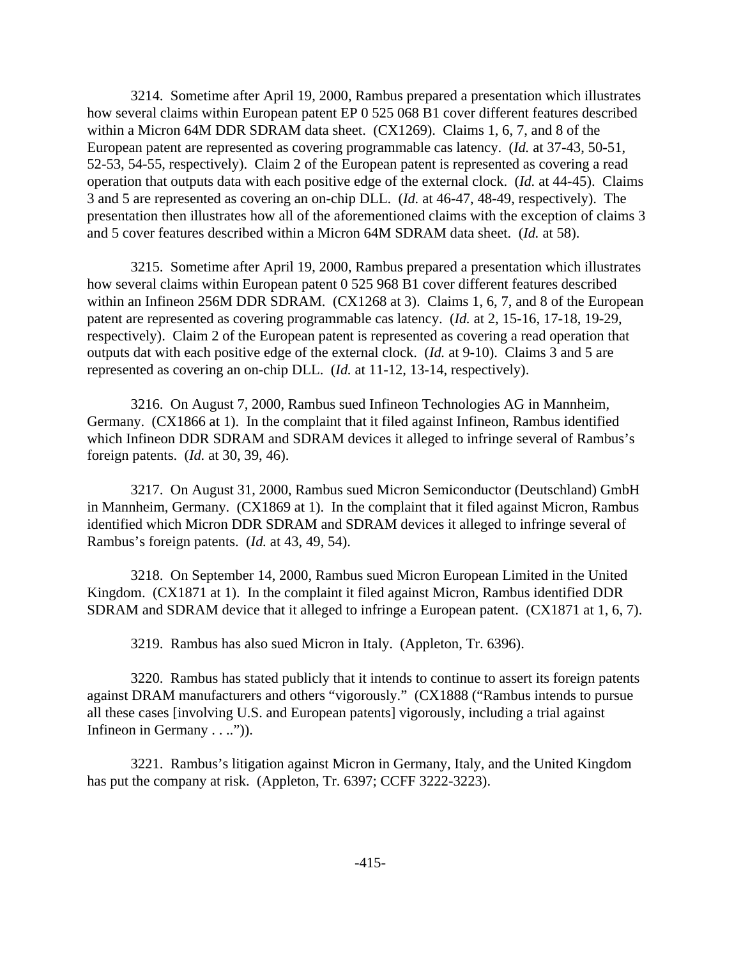3214. Sometime after April 19, 2000, Rambus prepared a presentation which illustrates how several claims within European patent EP 0 525 068 B1 cover different features described within a Micron 64M DDR SDRAM data sheet. (CX1269). Claims 1, 6, 7, and 8 of the European patent are represented as covering programmable cas latency. (*Id.* at 37-43, 50-51, 52-53, 54-55, respectively). Claim 2 of the European patent is represented as covering a read operation that outputs data with each positive edge of the external clock. (*Id.* at 44-45). Claims 3 and 5 are represented as covering an on-chip DLL. (*Id.* at 46-47, 48-49, respectively). The presentation then illustrates how all of the aforementioned claims with the exception of claims 3 and 5 cover features described within a Micron 64M SDRAM data sheet. (*Id.* at 58).

3215. Sometime after April 19, 2000, Rambus prepared a presentation which illustrates how several claims within European patent 0 525 968 B1 cover different features described within an Infineon 256M DDR SDRAM. (CX1268 at 3). Claims 1, 6, 7, and 8 of the European patent are represented as covering programmable cas latency. (*Id.* at 2, 15-16, 17-18, 19-29, respectively). Claim 2 of the European patent is represented as covering a read operation that outputs dat with each positive edge of the external clock. (*Id.* at 9-10). Claims 3 and 5 are represented as covering an on-chip DLL. (*Id.* at 11-12, 13-14, respectively).

3216. On August 7, 2000, Rambus sued Infineon Technologies AG in Mannheim, Germany. (CX1866 at 1). In the complaint that it filed against Infineon, Rambus identified which Infineon DDR SDRAM and SDRAM devices it alleged to infringe several of Rambus's foreign patents. (*Id.* at 30, 39, 46).

3217. On August 31, 2000, Rambus sued Micron Semiconductor (Deutschland) GmbH in Mannheim, Germany. (CX1869 at 1). In the complaint that it filed against Micron, Rambus identified which Micron DDR SDRAM and SDRAM devices it alleged to infringe several of Rambus's foreign patents. (*Id.* at 43, 49, 54).

3218. On September 14, 2000, Rambus sued Micron European Limited in the United Kingdom. (CX1871 at 1). In the complaint it filed against Micron, Rambus identified DDR SDRAM and SDRAM device that it alleged to infringe a European patent. (CX1871 at 1, 6, 7).

3219. Rambus has also sued Micron in Italy. (Appleton, Tr. 6396).

3220. Rambus has stated publicly that it intends to continue to assert its foreign patents against DRAM manufacturers and others "vigorously." (CX1888 ("Rambus intends to pursue all these cases [involving U.S. and European patents] vigorously, including a trial against Infineon in Germany . . ..")).

3221. Rambus's litigation against Micron in Germany, Italy, and the United Kingdom has put the company at risk. (Appleton, Tr. 6397; CCFF 3222-3223).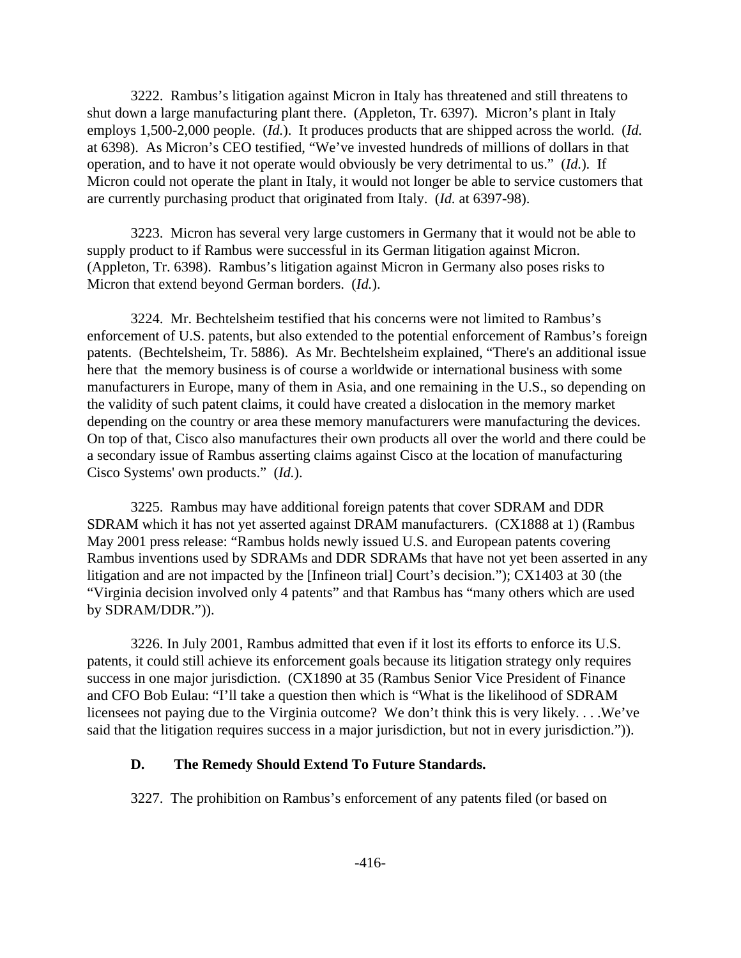3222. Rambus's litigation against Micron in Italy has threatened and still threatens to shut down a large manufacturing plant there. (Appleton, Tr. 6397). Micron's plant in Italy employs 1,500-2,000 people. (*Id.*). It produces products that are shipped across the world. (*Id.* at 6398). As Micron's CEO testified, "We've invested hundreds of millions of dollars in that operation, and to have it not operate would obviously be very detrimental to us." (*Id.*). If Micron could not operate the plant in Italy, it would not longer be able to service customers that are currently purchasing product that originated from Italy. (*Id.* at 6397-98).

3223. Micron has several very large customers in Germany that it would not be able to supply product to if Rambus were successful in its German litigation against Micron. (Appleton, Tr. 6398). Rambus's litigation against Micron in Germany also poses risks to Micron that extend beyond German borders. (*Id.*).

3224. Mr. Bechtelsheim testified that his concerns were not limited to Rambus's enforcement of U.S. patents, but also extended to the potential enforcement of Rambus's foreign patents. (Bechtelsheim, Tr. 5886). As Mr. Bechtelsheim explained, "There's an additional issue here that the memory business is of course a worldwide or international business with some manufacturers in Europe, many of them in Asia, and one remaining in the U.S., so depending on the validity of such patent claims, it could have created a dislocation in the memory market depending on the country or area these memory manufacturers were manufacturing the devices. On top of that, Cisco also manufactures their own products all over the world and there could be a secondary issue of Rambus asserting claims against Cisco at the location of manufacturing Cisco Systems' own products." (*Id.*).

3225. Rambus may have additional foreign patents that cover SDRAM and DDR SDRAM which it has not yet asserted against DRAM manufacturers. (CX1888 at 1) (Rambus May 2001 press release: "Rambus holds newly issued U.S. and European patents covering Rambus inventions used by SDRAMs and DDR SDRAMs that have not yet been asserted in any litigation and are not impacted by the [Infineon trial] Court's decision."); CX1403 at 30 (the "Virginia decision involved only 4 patents" and that Rambus has "many others which are used by SDRAM/DDR.")).

3226. In July 2001, Rambus admitted that even if it lost its efforts to enforce its U.S. patents, it could still achieve its enforcement goals because its litigation strategy only requires success in one major jurisdiction. (CX1890 at 35 (Rambus Senior Vice President of Finance and CFO Bob Eulau: "I'll take a question then which is "What is the likelihood of SDRAM licensees not paying due to the Virginia outcome? We don't think this is very likely. . . .We've said that the litigation requires success in a major jurisdiction, but not in every jurisdiction.")).

### **D. The Remedy Should Extend To Future Standards.**

3227. The prohibition on Rambus's enforcement of any patents filed (or based on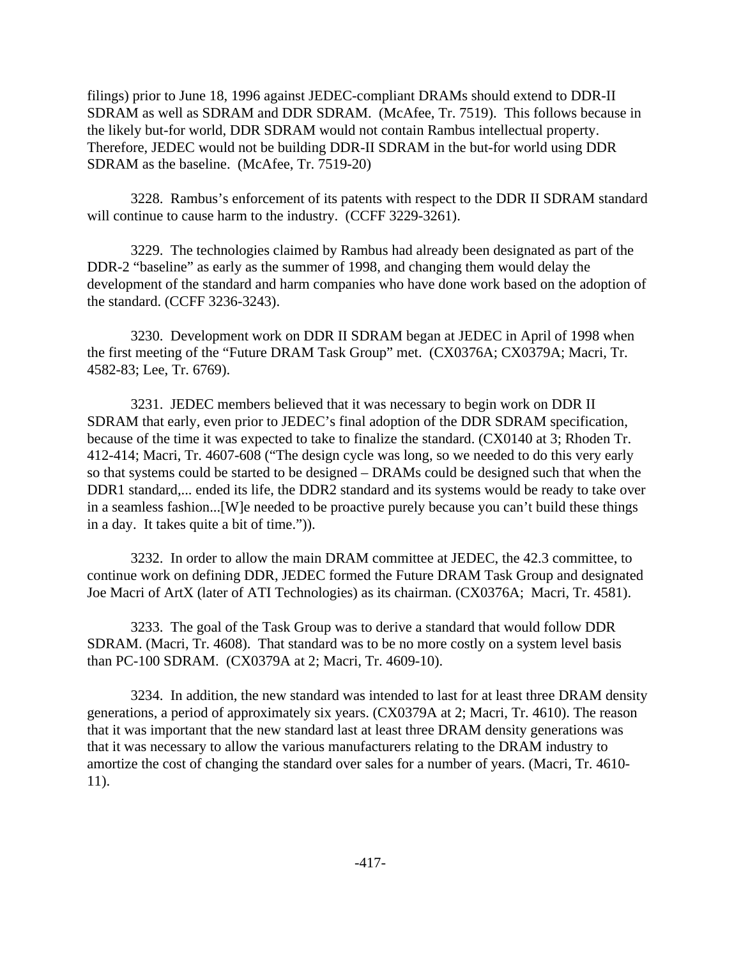filings) prior to June 18, 1996 against JEDEC-compliant DRAMs should extend to DDR-II SDRAM as well as SDRAM and DDR SDRAM. (McAfee, Tr. 7519). This follows because in the likely but-for world, DDR SDRAM would not contain Rambus intellectual property. Therefore, JEDEC would not be building DDR-II SDRAM in the but-for world using DDR SDRAM as the baseline. (McAfee, Tr. 7519-20)

3228. Rambus's enforcement of its patents with respect to the DDR II SDRAM standard will continue to cause harm to the industry. (CCFF 3229-3261).

3229. The technologies claimed by Rambus had already been designated as part of the DDR-2 "baseline" as early as the summer of 1998, and changing them would delay the development of the standard and harm companies who have done work based on the adoption of the standard. (CCFF 3236-3243).

3230. Development work on DDR II SDRAM began at JEDEC in April of 1998 when the first meeting of the "Future DRAM Task Group" met. (CX0376A; CX0379A; Macri, Tr. 4582-83; Lee, Tr. 6769).

3231. JEDEC members believed that it was necessary to begin work on DDR II SDRAM that early, even prior to JEDEC's final adoption of the DDR SDRAM specification, because of the time it was expected to take to finalize the standard. (CX0140 at 3; Rhoden Tr. 412-414; Macri, Tr. 4607-608 ("The design cycle was long, so we needed to do this very early so that systems could be started to be designed – DRAMs could be designed such that when the DDR1 standard,... ended its life, the DDR2 standard and its systems would be ready to take over in a seamless fashion...[W]e needed to be proactive purely because you can't build these things in a day. It takes quite a bit of time.")).

3232. In order to allow the main DRAM committee at JEDEC, the 42.3 committee, to continue work on defining DDR, JEDEC formed the Future DRAM Task Group and designated Joe Macri of ArtX (later of ATI Technologies) as its chairman. (CX0376A; Macri, Tr. 4581).

3233. The goal of the Task Group was to derive a standard that would follow DDR SDRAM. (Macri, Tr. 4608). That standard was to be no more costly on a system level basis than PC-100 SDRAM. (CX0379A at 2; Macri, Tr. 4609-10).

3234. In addition, the new standard was intended to last for at least three DRAM density generations, a period of approximately six years. (CX0379A at 2; Macri, Tr. 4610). The reason that it was important that the new standard last at least three DRAM density generations was that it was necessary to allow the various manufacturers relating to the DRAM industry to amortize the cost of changing the standard over sales for a number of years. (Macri, Tr. 4610- 11).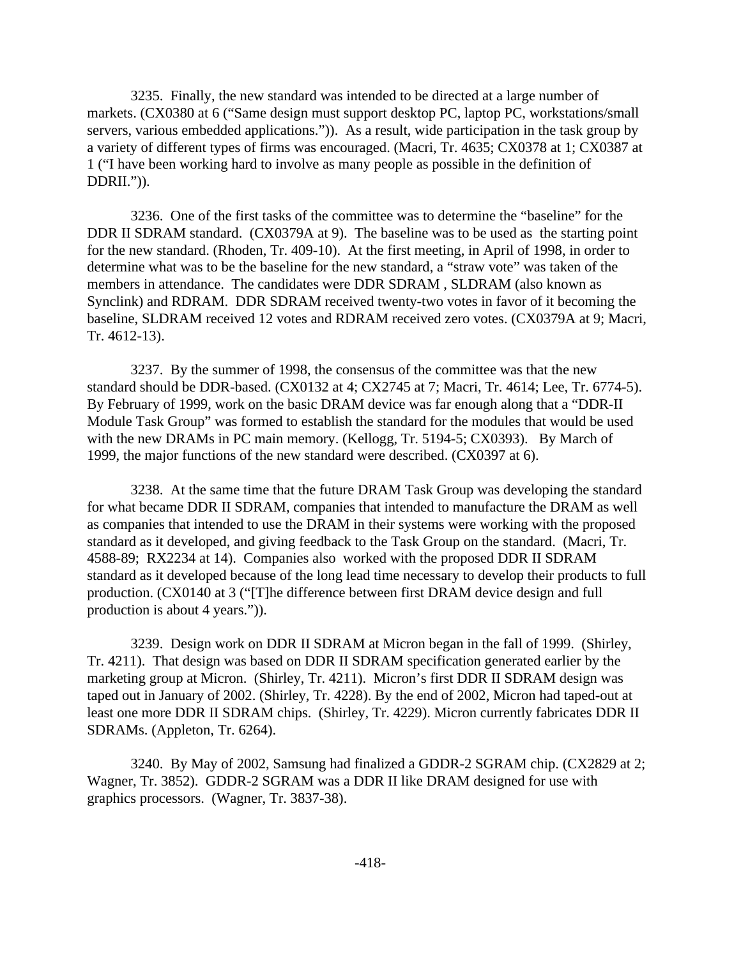3235. Finally, the new standard was intended to be directed at a large number of markets. (CX0380 at 6 ("Same design must support desktop PC, laptop PC, workstations/small servers, various embedded applications.")). As a result, wide participation in the task group by a variety of different types of firms was encouraged. (Macri, Tr. 4635; CX0378 at 1; CX0387 at 1 ("I have been working hard to involve as many people as possible in the definition of DDRII.")).

3236. One of the first tasks of the committee was to determine the "baseline" for the DDR II SDRAM standard. (CX0379A at 9). The baseline was to be used as the starting point for the new standard. (Rhoden, Tr. 409-10). At the first meeting, in April of 1998, in order to determine what was to be the baseline for the new standard, a "straw vote" was taken of the members in attendance. The candidates were DDR SDRAM , SLDRAM (also known as Synclink) and RDRAM. DDR SDRAM received twenty-two votes in favor of it becoming the baseline, SLDRAM received 12 votes and RDRAM received zero votes. (CX0379A at 9; Macri, Tr. 4612-13).

3237. By the summer of 1998, the consensus of the committee was that the new standard should be DDR-based. (CX0132 at 4; CX2745 at 7; Macri, Tr. 4614; Lee, Tr. 6774-5). By February of 1999, work on the basic DRAM device was far enough along that a "DDR-II Module Task Group" was formed to establish the standard for the modules that would be used with the new DRAMs in PC main memory. (Kellogg, Tr. 5194-5; CX0393). By March of 1999, the major functions of the new standard were described. (CX0397 at 6).

3238. At the same time that the future DRAM Task Group was developing the standard for what became DDR II SDRAM, companies that intended to manufacture the DRAM as well as companies that intended to use the DRAM in their systems were working with the proposed standard as it developed, and giving feedback to the Task Group on the standard. (Macri, Tr. 4588-89; RX2234 at 14). Companies also worked with the proposed DDR II SDRAM standard as it developed because of the long lead time necessary to develop their products to full production. (CX0140 at 3 ("[T]he difference between first DRAM device design and full production is about 4 years.")).

3239. Design work on DDR II SDRAM at Micron began in the fall of 1999. (Shirley, Tr. 4211). That design was based on DDR II SDRAM specification generated earlier by the marketing group at Micron. (Shirley, Tr. 4211). Micron's first DDR II SDRAM design was taped out in January of 2002. (Shirley, Tr. 4228). By the end of 2002, Micron had taped-out at least one more DDR II SDRAM chips. (Shirley, Tr. 4229). Micron currently fabricates DDR II SDRAMs. (Appleton, Tr. 6264).

3240. By May of 2002, Samsung had finalized a GDDR-2 SGRAM chip. (CX2829 at 2; Wagner, Tr. 3852). GDDR-2 SGRAM was a DDR II like DRAM designed for use with graphics processors. (Wagner, Tr. 3837-38).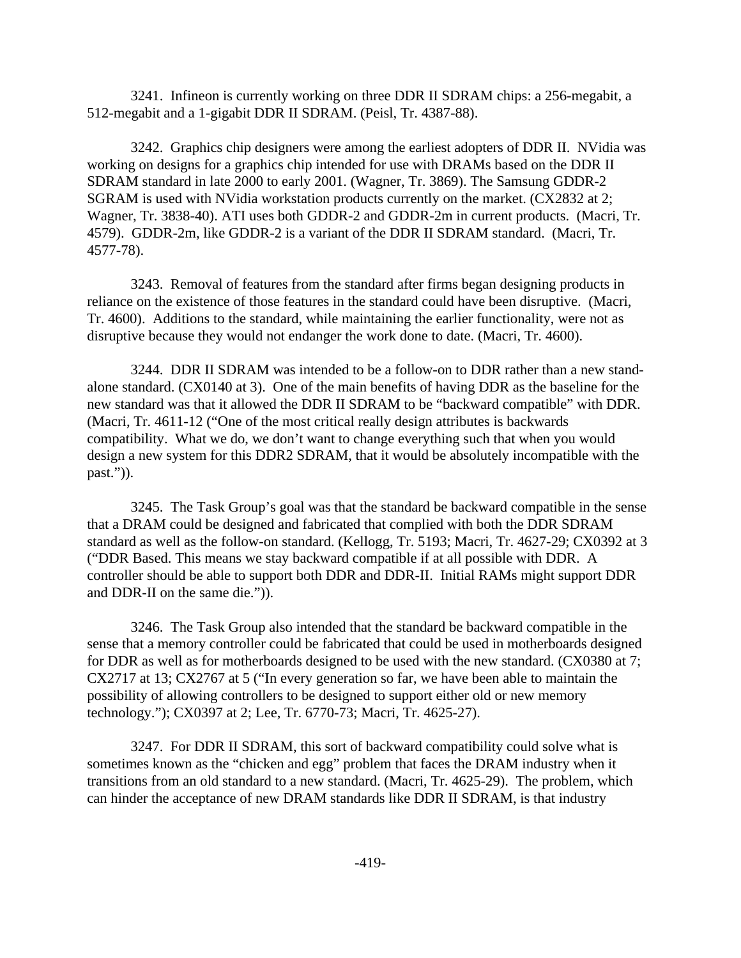3241. Infineon is currently working on three DDR II SDRAM chips: a 256-megabit, a 512-megabit and a 1-gigabit DDR II SDRAM. (Peisl, Tr. 4387-88).

3242. Graphics chip designers were among the earliest adopters of DDR II. NVidia was working on designs for a graphics chip intended for use with DRAMs based on the DDR II SDRAM standard in late 2000 to early 2001. (Wagner, Tr. 3869). The Samsung GDDR-2 SGRAM is used with NVidia workstation products currently on the market. (CX2832 at 2; Wagner, Tr. 3838-40). ATI uses both GDDR-2 and GDDR-2m in current products. (Macri, Tr. 4579). GDDR-2m, like GDDR-2 is a variant of the DDR II SDRAM standard. (Macri, Tr. 4577-78).

3243. Removal of features from the standard after firms began designing products in reliance on the existence of those features in the standard could have been disruptive. (Macri, Tr. 4600). Additions to the standard, while maintaining the earlier functionality, were not as disruptive because they would not endanger the work done to date. (Macri, Tr. 4600).

3244. DDR II SDRAM was intended to be a follow-on to DDR rather than a new standalone standard. (CX0140 at 3). One of the main benefits of having DDR as the baseline for the new standard was that it allowed the DDR II SDRAM to be "backward compatible" with DDR. (Macri, Tr. 4611-12 ("One of the most critical really design attributes is backwards compatibility. What we do, we don't want to change everything such that when you would design a new system for this DDR2 SDRAM, that it would be absolutely incompatible with the past.")).

3245. The Task Group's goal was that the standard be backward compatible in the sense that a DRAM could be designed and fabricated that complied with both the DDR SDRAM standard as well as the follow-on standard. (Kellogg, Tr. 5193; Macri, Tr. 4627-29; CX0392 at 3 ("DDR Based. This means we stay backward compatible if at all possible with DDR. A controller should be able to support both DDR and DDR-II. Initial RAMs might support DDR and DDR-II on the same die.")).

3246. The Task Group also intended that the standard be backward compatible in the sense that a memory controller could be fabricated that could be used in motherboards designed for DDR as well as for motherboards designed to be used with the new standard. (CX0380 at 7; CX2717 at 13; CX2767 at 5 ("In every generation so far, we have been able to maintain the possibility of allowing controllers to be designed to support either old or new memory technology."); CX0397 at 2; Lee, Tr. 6770-73; Macri, Tr. 4625-27).

3247. For DDR II SDRAM, this sort of backward compatibility could solve what is sometimes known as the "chicken and egg" problem that faces the DRAM industry when it transitions from an old standard to a new standard. (Macri, Tr. 4625-29). The problem, which can hinder the acceptance of new DRAM standards like DDR II SDRAM, is that industry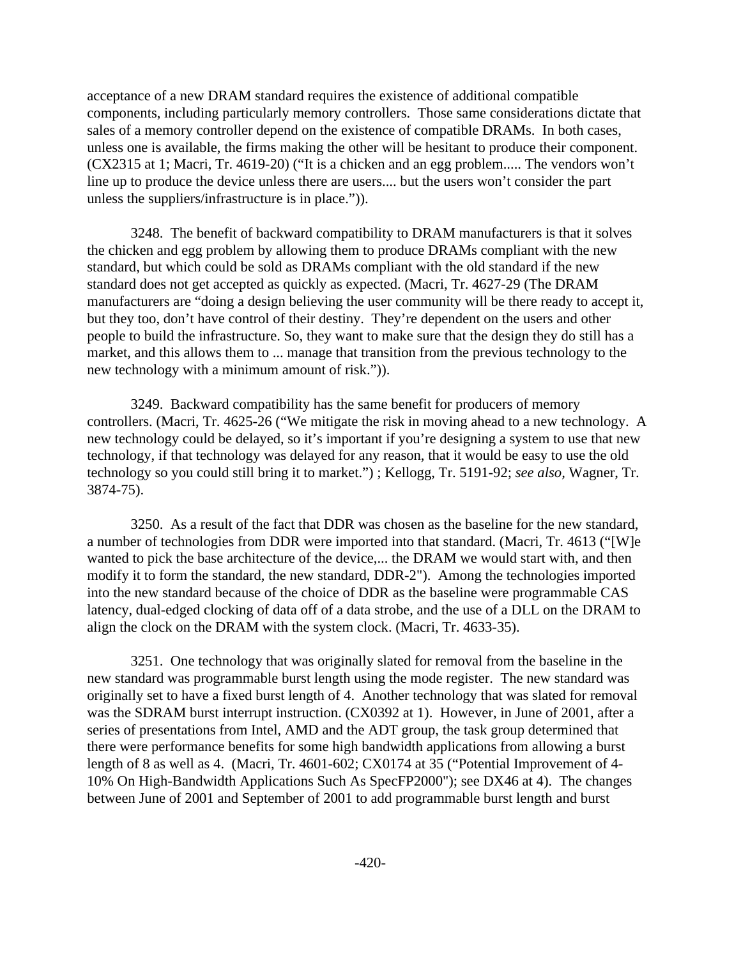acceptance of a new DRAM standard requires the existence of additional compatible components, including particularly memory controllers. Those same considerations dictate that sales of a memory controller depend on the existence of compatible DRAMs. In both cases, unless one is available, the firms making the other will be hesitant to produce their component. (CX2315 at 1; Macri, Tr. 4619-20) ("It is a chicken and an egg problem..... The vendors won't line up to produce the device unless there are users.... but the users won't consider the part unless the suppliers/infrastructure is in place.")).

3248. The benefit of backward compatibility to DRAM manufacturers is that it solves the chicken and egg problem by allowing them to produce DRAMs compliant with the new standard, but which could be sold as DRAMs compliant with the old standard if the new standard does not get accepted as quickly as expected. (Macri, Tr. 4627-29 (The DRAM manufacturers are "doing a design believing the user community will be there ready to accept it, but they too, don't have control of their destiny. They're dependent on the users and other people to build the infrastructure. So, they want to make sure that the design they do still has a market, and this allows them to ... manage that transition from the previous technology to the new technology with a minimum amount of risk.")).

3249. Backward compatibility has the same benefit for producers of memory controllers. (Macri, Tr. 4625-26 ("We mitigate the risk in moving ahead to a new technology. A new technology could be delayed, so it's important if you're designing a system to use that new technology, if that technology was delayed for any reason, that it would be easy to use the old technology so you could still bring it to market.") ; Kellogg, Tr. 5191-92; *see also,* Wagner, Tr. 3874-75).

3250. As a result of the fact that DDR was chosen as the baseline for the new standard, a number of technologies from DDR were imported into that standard. (Macri, Tr. 4613 ("[W]e wanted to pick the base architecture of the device,... the DRAM we would start with, and then modify it to form the standard, the new standard, DDR-2"). Among the technologies imported into the new standard because of the choice of DDR as the baseline were programmable CAS latency, dual-edged clocking of data off of a data strobe, and the use of a DLL on the DRAM to align the clock on the DRAM with the system clock. (Macri, Tr. 4633-35).

3251. One technology that was originally slated for removal from the baseline in the new standard was programmable burst length using the mode register. The new standard was originally set to have a fixed burst length of 4. Another technology that was slated for removal was the SDRAM burst interrupt instruction. (CX0392 at 1). However, in June of 2001, after a series of presentations from Intel, AMD and the ADT group, the task group determined that there were performance benefits for some high bandwidth applications from allowing a burst length of 8 as well as 4. (Macri, Tr. 4601-602; CX0174 at 35 ("Potential Improvement of 4- 10% On High-Bandwidth Applications Such As SpecFP2000"); see DX46 at 4). The changes between June of 2001 and September of 2001 to add programmable burst length and burst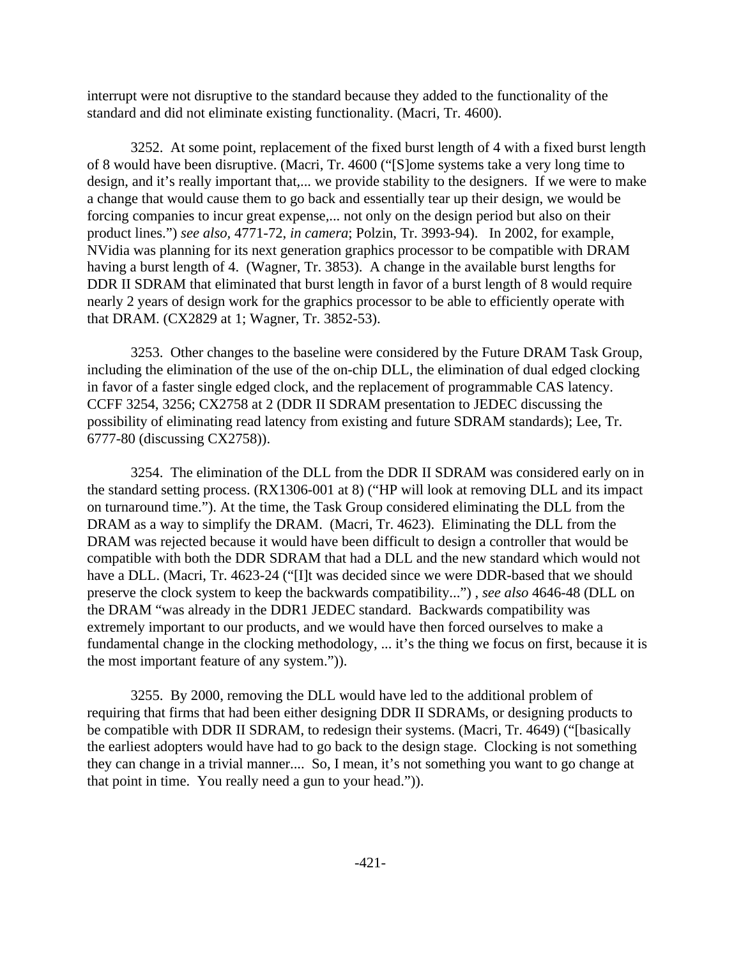interrupt were not disruptive to the standard because they added to the functionality of the standard and did not eliminate existing functionality. (Macri, Tr. 4600).

3252. At some point, replacement of the fixed burst length of 4 with a fixed burst length of 8 would have been disruptive. (Macri, Tr. 4600 ("[S]ome systems take a very long time to design, and it's really important that,... we provide stability to the designers. If we were to make a change that would cause them to go back and essentially tear up their design, we would be forcing companies to incur great expense,... not only on the design period but also on their product lines.") *see also,* 4771-72, *in camera*; Polzin, Tr. 3993-94). In 2002, for example, NVidia was planning for its next generation graphics processor to be compatible with DRAM having a burst length of 4. (Wagner, Tr. 3853). A change in the available burst lengths for DDR II SDRAM that eliminated that burst length in favor of a burst length of 8 would require nearly 2 years of design work for the graphics processor to be able to efficiently operate with that DRAM. (CX2829 at 1; Wagner, Tr. 3852-53).

3253. Other changes to the baseline were considered by the Future DRAM Task Group, including the elimination of the use of the on-chip DLL, the elimination of dual edged clocking in favor of a faster single edged clock, and the replacement of programmable CAS latency. CCFF 3254, 3256; CX2758 at 2 (DDR II SDRAM presentation to JEDEC discussing the possibility of eliminating read latency from existing and future SDRAM standards); Lee, Tr. 6777-80 (discussing CX2758)).

3254. The elimination of the DLL from the DDR II SDRAM was considered early on in the standard setting process. (RX1306-001 at 8) ("HP will look at removing DLL and its impact on turnaround time."). At the time, the Task Group considered eliminating the DLL from the DRAM as a way to simplify the DRAM. (Macri, Tr. 4623). Eliminating the DLL from the DRAM was rejected because it would have been difficult to design a controller that would be compatible with both the DDR SDRAM that had a DLL and the new standard which would not have a DLL. (Macri, Tr. 4623-24 ("[I]t was decided since we were DDR-based that we should preserve the clock system to keep the backwards compatibility...") , *see also* 4646-48 (DLL on the DRAM "was already in the DDR1 JEDEC standard. Backwards compatibility was extremely important to our products, and we would have then forced ourselves to make a fundamental change in the clocking methodology, ... it's the thing we focus on first, because it is the most important feature of any system.")).

3255. By 2000, removing the DLL would have led to the additional problem of requiring that firms that had been either designing DDR II SDRAMs, or designing products to be compatible with DDR II SDRAM, to redesign their systems. (Macri, Tr. 4649) ("[basically the earliest adopters would have had to go back to the design stage. Clocking is not something they can change in a trivial manner.... So, I mean, it's not something you want to go change at that point in time. You really need a gun to your head.")).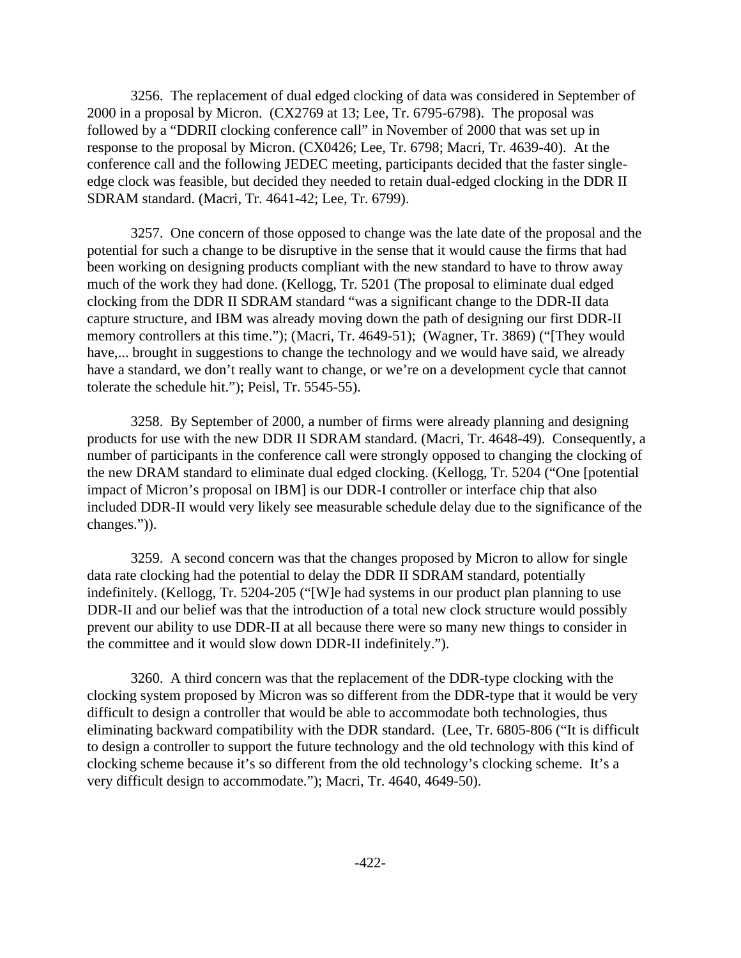3256. The replacement of dual edged clocking of data was considered in September of 2000 in a proposal by Micron. (CX2769 at 13; Lee, Tr. 6795-6798). The proposal was followed by a "DDRII clocking conference call" in November of 2000 that was set up in response to the proposal by Micron. (CX0426; Lee, Tr. 6798; Macri, Tr. 4639-40). At the conference call and the following JEDEC meeting, participants decided that the faster singleedge clock was feasible, but decided they needed to retain dual-edged clocking in the DDR II SDRAM standard. (Macri, Tr. 4641-42; Lee, Tr. 6799).

3257. One concern of those opposed to change was the late date of the proposal and the potential for such a change to be disruptive in the sense that it would cause the firms that had been working on designing products compliant with the new standard to have to throw away much of the work they had done. (Kellogg, Tr. 5201 (The proposal to eliminate dual edged clocking from the DDR II SDRAM standard "was a significant change to the DDR-II data capture structure, and IBM was already moving down the path of designing our first DDR-II memory controllers at this time."); (Macri, Tr. 4649-51); (Wagner, Tr. 3869) ("They would have,... brought in suggestions to change the technology and we would have said, we already have a standard, we don't really want to change, or we're on a development cycle that cannot tolerate the schedule hit."); Peisl, Tr. 5545-55).

3258. By September of 2000, a number of firms were already planning and designing products for use with the new DDR II SDRAM standard. (Macri, Tr. 4648-49). Consequently, a number of participants in the conference call were strongly opposed to changing the clocking of the new DRAM standard to eliminate dual edged clocking. (Kellogg, Tr. 5204 ("One [potential impact of Micron's proposal on IBM] is our DDR-I controller or interface chip that also included DDR-II would very likely see measurable schedule delay due to the significance of the changes.")).

3259. A second concern was that the changes proposed by Micron to allow for single data rate clocking had the potential to delay the DDR II SDRAM standard, potentially indefinitely. (Kellogg, Tr. 5204-205 ("[W]e had systems in our product plan planning to use DDR-II and our belief was that the introduction of a total new clock structure would possibly prevent our ability to use DDR-II at all because there were so many new things to consider in the committee and it would slow down DDR-II indefinitely.").

3260. A third concern was that the replacement of the DDR-type clocking with the clocking system proposed by Micron was so different from the DDR-type that it would be very difficult to design a controller that would be able to accommodate both technologies, thus eliminating backward compatibility with the DDR standard. (Lee, Tr. 6805-806 ("It is difficult to design a controller to support the future technology and the old technology with this kind of clocking scheme because it's so different from the old technology's clocking scheme. It's a very difficult design to accommodate."); Macri, Tr. 4640, 4649-50).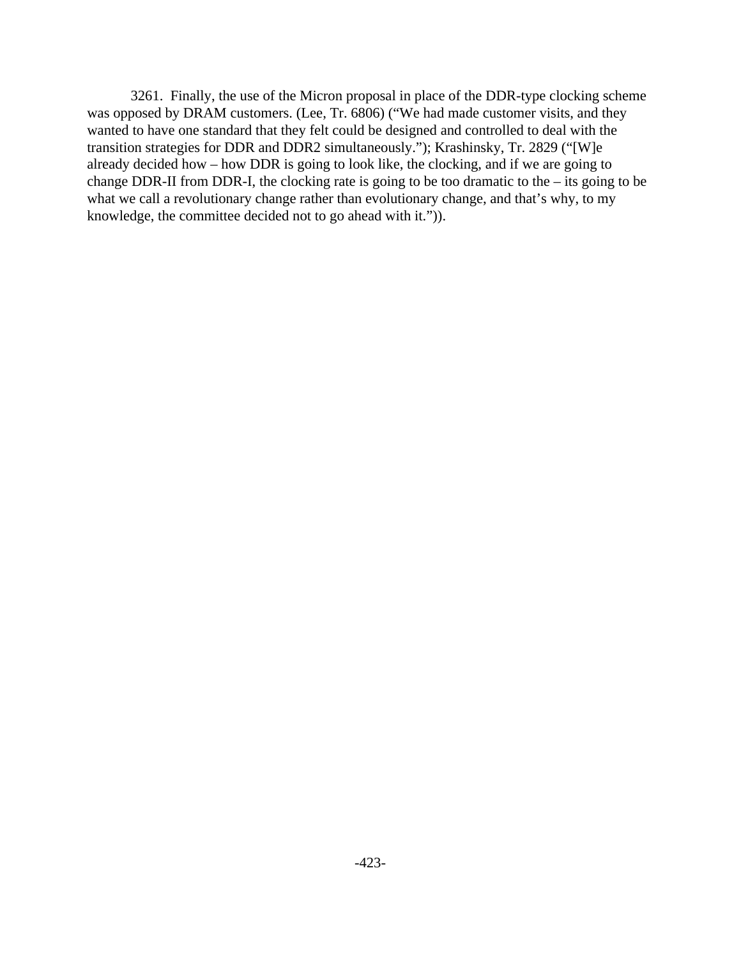3261. Finally, the use of the Micron proposal in place of the DDR-type clocking scheme was opposed by DRAM customers. (Lee, Tr. 6806) ("We had made customer visits, and they wanted to have one standard that they felt could be designed and controlled to deal with the transition strategies for DDR and DDR2 simultaneously."); Krashinsky, Tr. 2829 ("[W]e already decided how – how DDR is going to look like, the clocking, and if we are going to change DDR-II from DDR-I, the clocking rate is going to be too dramatic to the – its going to be what we call a revolutionary change rather than evolutionary change, and that's why, to my knowledge, the committee decided not to go ahead with it.")).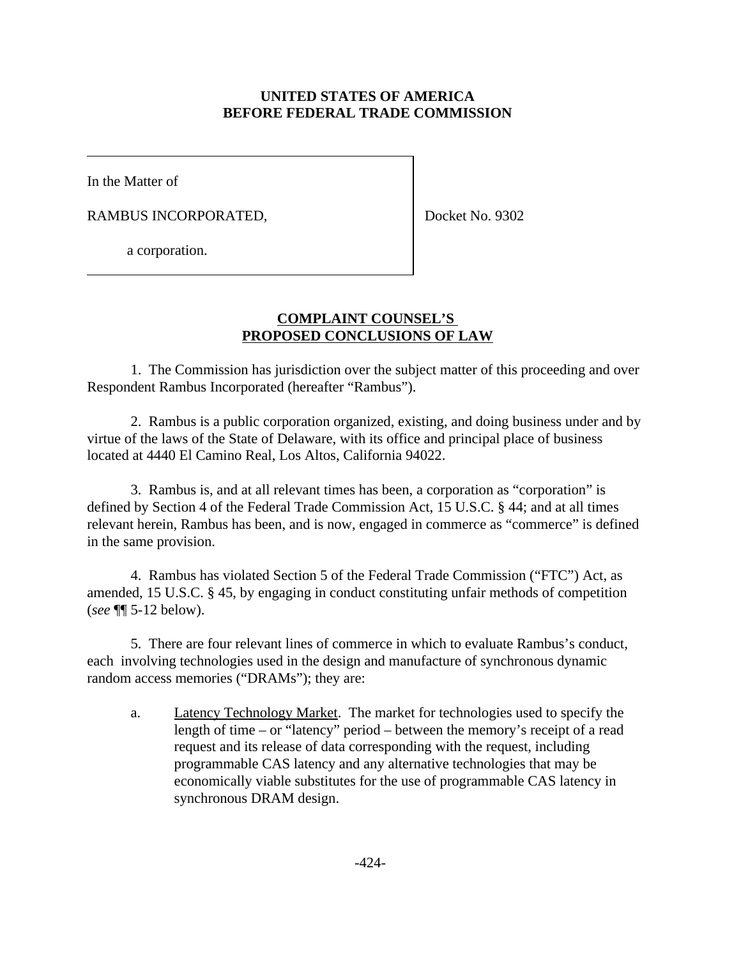## **UNITED STATES OF AMERICA BEFORE FEDERAL TRADE COMMISSION**

In the Matter of

RAMBUS INCORPORATED,

Docket No. 9302

a corporation.

## **COMPLAINT COUNSEL'S PROPOSED CONCLUSIONS OF LAW**

1. The Commission has jurisdiction over the subject matter of this proceeding and over Respondent Rambus Incorporated (hereafter "Rambus").

2. Rambus is a public corporation organized, existing, and doing business under and by virtue of the laws of the State of Delaware, with its office and principal place of business located at 4440 El Camino Real, Los Altos, California 94022.

3. Rambus is, and at all relevant times has been, a corporation as "corporation" is defined by Section 4 of the Federal Trade Commission Act, 15 U.S.C. § 44; and at all times relevant herein, Rambus has been, and is now, engaged in commerce as "commerce" is defined in the same provision.

4. Rambus has violated Section 5 of the Federal Trade Commission ("FTC") Act, as amended, 15 U.S.C. § 45, by engaging in conduct constituting unfair methods of competition (*see* ¶¶ 5-12 below).

5. There are four relevant lines of commerce in which to evaluate Rambus's conduct, each involving technologies used in the design and manufacture of synchronous dynamic random access memories ("DRAMs"); they are:

a. Latency Technology Market. The market for technologies used to specify the length of time – or "latency" period – between the memory's receipt of a read request and its release of data corresponding with the request, including programmable CAS latency and any alternative technologies that may be economically viable substitutes for the use of programmable CAS latency in synchronous DRAM design.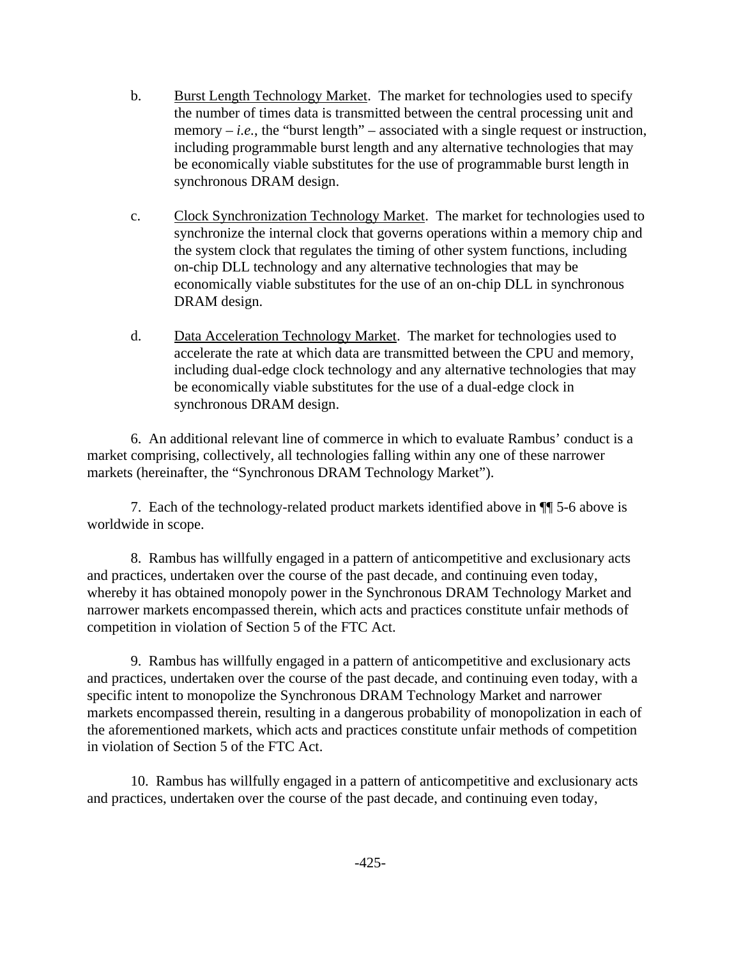- b. Burst Length Technology Market. The market for technologies used to specify the number of times data is transmitted between the central processing unit and memory  $-i.e.,$  the "burst length" – associated with a single request or instruction, including programmable burst length and any alternative technologies that may be economically viable substitutes for the use of programmable burst length in synchronous DRAM design.
- c. Clock Synchronization Technology Market. The market for technologies used to synchronize the internal clock that governs operations within a memory chip and the system clock that regulates the timing of other system functions, including on-chip DLL technology and any alternative technologies that may be economically viable substitutes for the use of an on-chip DLL in synchronous DRAM design.
- d. Data Acceleration Technology Market. The market for technologies used to accelerate the rate at which data are transmitted between the CPU and memory, including dual-edge clock technology and any alternative technologies that may be economically viable substitutes for the use of a dual-edge clock in synchronous DRAM design.

6. An additional relevant line of commerce in which to evaluate Rambus' conduct is a market comprising, collectively, all technologies falling within any one of these narrower markets (hereinafter, the "Synchronous DRAM Technology Market").

7. Each of the technology-related product markets identified above in ¶¶ 5-6 above is worldwide in scope.

8. Rambus has willfully engaged in a pattern of anticompetitive and exclusionary acts and practices, undertaken over the course of the past decade, and continuing even today, whereby it has obtained monopoly power in the Synchronous DRAM Technology Market and narrower markets encompassed therein, which acts and practices constitute unfair methods of competition in violation of Section 5 of the FTC Act.

9. Rambus has willfully engaged in a pattern of anticompetitive and exclusionary acts and practices, undertaken over the course of the past decade, and continuing even today, with a specific intent to monopolize the Synchronous DRAM Technology Market and narrower markets encompassed therein, resulting in a dangerous probability of monopolization in each of the aforementioned markets, which acts and practices constitute unfair methods of competition in violation of Section 5 of the FTC Act.

10. Rambus has willfully engaged in a pattern of anticompetitive and exclusionary acts and practices, undertaken over the course of the past decade, and continuing even today,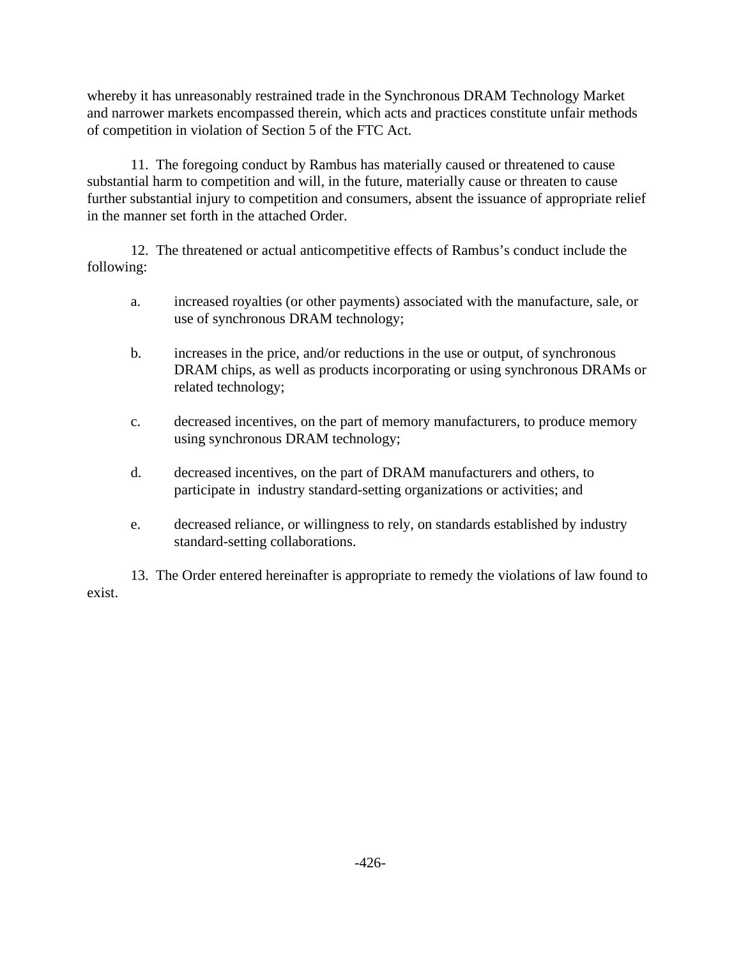whereby it has unreasonably restrained trade in the Synchronous DRAM Technology Market and narrower markets encompassed therein, which acts and practices constitute unfair methods of competition in violation of Section 5 of the FTC Act.

11. The foregoing conduct by Rambus has materially caused or threatened to cause substantial harm to competition and will, in the future, materially cause or threaten to cause further substantial injury to competition and consumers, absent the issuance of appropriate relief in the manner set forth in the attached Order.

12. The threatened or actual anticompetitive effects of Rambus's conduct include the following:

- a. increased royalties (or other payments) associated with the manufacture, sale, or use of synchronous DRAM technology;
- b. increases in the price, and/or reductions in the use or output, of synchronous DRAM chips, as well as products incorporating or using synchronous DRAMs or related technology;
- c. decreased incentives, on the part of memory manufacturers, to produce memory using synchronous DRAM technology;
- d. decreased incentives, on the part of DRAM manufacturers and others, to participate in industry standard-setting organizations or activities; and
- e. decreased reliance, or willingness to rely, on standards established by industry standard-setting collaborations.

13. The Order entered hereinafter is appropriate to remedy the violations of law found to exist.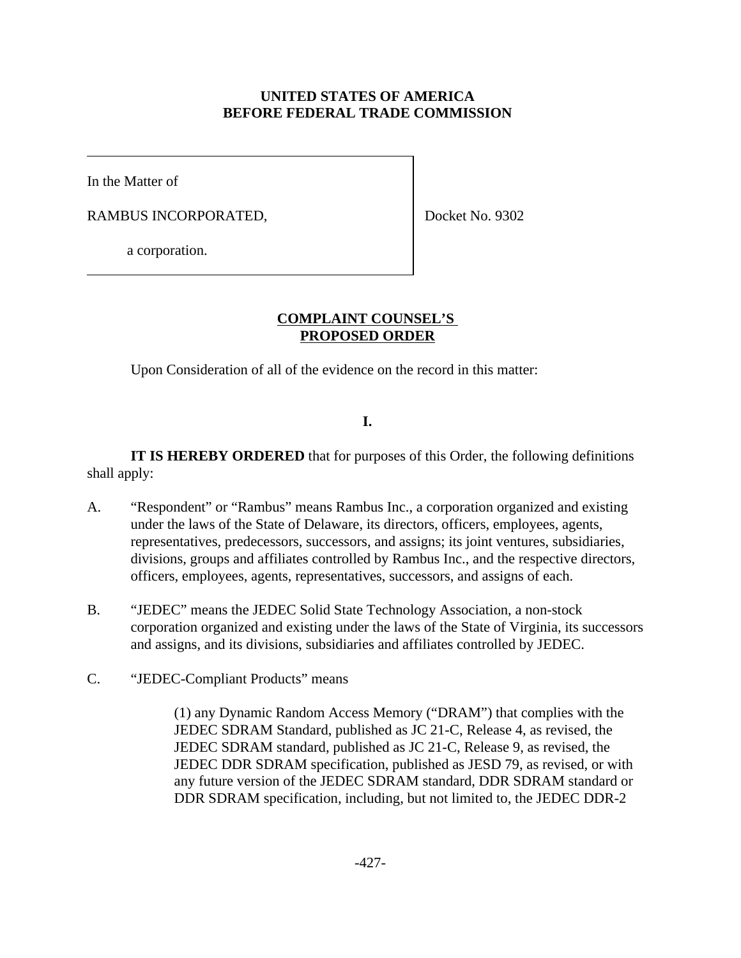## **UNITED STATES OF AMERICA BEFORE FEDERAL TRADE COMMISSION**

In the Matter of

RAMBUS INCORPORATED,

Docket No. 9302

a corporation.

### **COMPLAINT COUNSEL'S PROPOSED ORDER**

Upon Consideration of all of the evidence on the record in this matter:

## **I.**

**IT IS HEREBY ORDERED** that for purposes of this Order, the following definitions shall apply:

- A. "Respondent" or "Rambus" means Rambus Inc., a corporation organized and existing under the laws of the State of Delaware, its directors, officers, employees, agents, representatives, predecessors, successors, and assigns; its joint ventures, subsidiaries, divisions, groups and affiliates controlled by Rambus Inc., and the respective directors, officers, employees, agents, representatives, successors, and assigns of each.
- B. "JEDEC" means the JEDEC Solid State Technology Association, a non-stock corporation organized and existing under the laws of the State of Virginia, its successors and assigns, and its divisions, subsidiaries and affiliates controlled by JEDEC.
- C. "JEDEC-Compliant Products" means

(1) any Dynamic Random Access Memory ("DRAM") that complies with the JEDEC SDRAM Standard, published as JC 21-C, Release 4, as revised, the JEDEC SDRAM standard, published as JC 21-C, Release 9, as revised, the JEDEC DDR SDRAM specification, published as JESD 79, as revised, or with any future version of the JEDEC SDRAM standard, DDR SDRAM standard or DDR SDRAM specification, including, but not limited to, the JEDEC DDR-2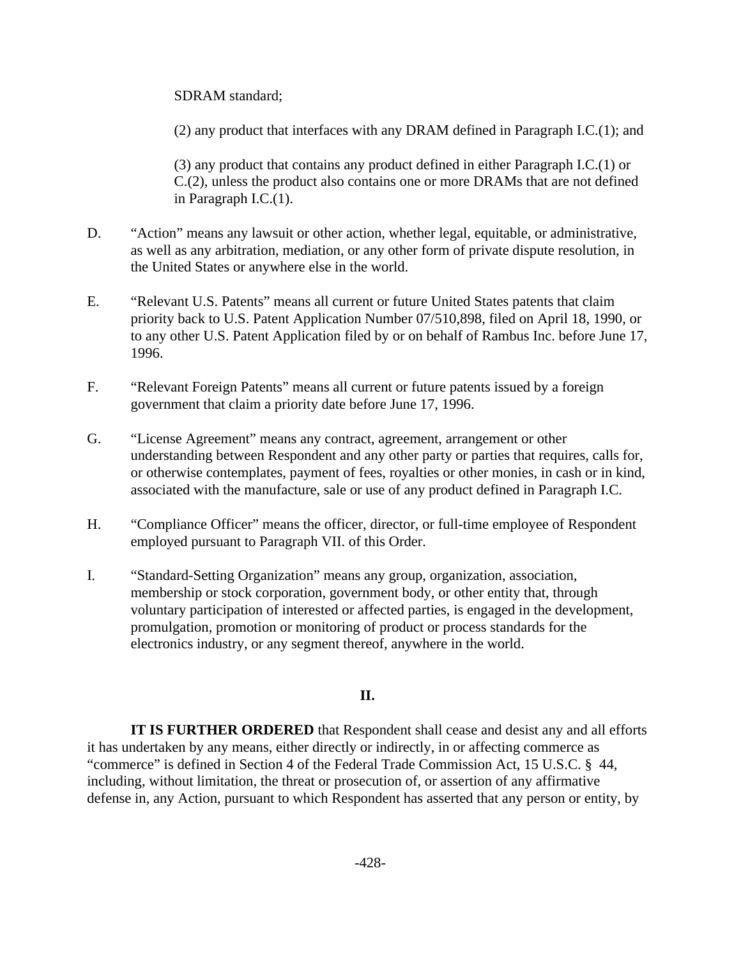SDRAM standard;

(2) any product that interfaces with any DRAM defined in Paragraph I.C.(1); and

(3) any product that contains any product defined in either Paragraph I.C.(1) or C.(2), unless the product also contains one or more DRAMs that are not defined in Paragraph I.C.(1).

- D. "Action" means any lawsuit or other action, whether legal, equitable, or administrative, as well as any arbitration, mediation, or any other form of private dispute resolution, in the United States or anywhere else in the world.
- E. "Relevant U.S. Patents" means all current or future United States patents that claim priority back to U.S. Patent Application Number 07/510,898, filed on April 18, 1990, or to any other U.S. Patent Application filed by or on behalf of Rambus Inc. before June 17, 1996.
- F. "Relevant Foreign Patents" means all current or future patents issued by a foreign government that claim a priority date before June 17, 1996.
- G. "License Agreement" means any contract, agreement, arrangement or other understanding between Respondent and any other party or parties that requires, calls for, or otherwise contemplates, payment of fees, royalties or other monies, in cash or in kind, associated with the manufacture, sale or use of any product defined in Paragraph I.C.
- H. "Compliance Officer" means the officer, director, or full-time employee of Respondent employed pursuant to Paragraph VII. of this Order.
- I. "Standard-Setting Organization" means any group, organization, association, membership or stock corporation, government body, or other entity that, through voluntary participation of interested or affected parties, is engaged in the development, promulgation, promotion or monitoring of product or process standards for the electronics industry, or any segment thereof, anywhere in the world.

## **II.**

**IT IS FURTHER ORDERED** that Respondent shall cease and desist any and all efforts it has undertaken by any means, either directly or indirectly, in or affecting commerce as "commerce" is defined in Section 4 of the Federal Trade Commission Act, 15 U.S.C. § 44, including, without limitation, the threat or prosecution of, or assertion of any affirmative defense in, any Action, pursuant to which Respondent has asserted that any person or entity, by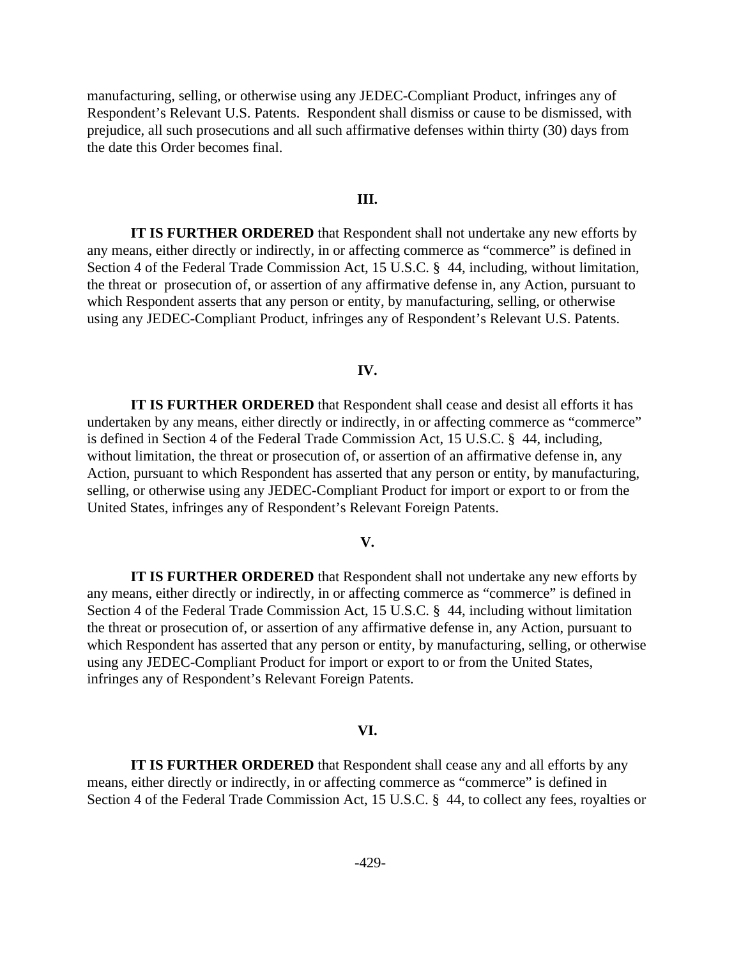manufacturing, selling, or otherwise using any JEDEC-Compliant Product, infringes any of Respondent's Relevant U.S. Patents. Respondent shall dismiss or cause to be dismissed, with prejudice, all such prosecutions and all such affirmative defenses within thirty (30) days from the date this Order becomes final.

### **III.**

**IT IS FURTHER ORDERED** that Respondent shall not undertake any new efforts by any means, either directly or indirectly, in or affecting commerce as "commerce" is defined in Section 4 of the Federal Trade Commission Act, 15 U.S.C. § 44, including, without limitation, the threat or prosecution of, or assertion of any affirmative defense in, any Action, pursuant to which Respondent asserts that any person or entity, by manufacturing, selling, or otherwise using any JEDEC-Compliant Product, infringes any of Respondent's Relevant U.S. Patents.

#### **IV.**

**IT IS FURTHER ORDERED** that Respondent shall cease and desist all efforts it has undertaken by any means, either directly or indirectly, in or affecting commerce as "commerce" is defined in Section 4 of the Federal Trade Commission Act, 15 U.S.C. § 44, including, without limitation, the threat or prosecution of, or assertion of an affirmative defense in, any Action, pursuant to which Respondent has asserted that any person or entity, by manufacturing, selling, or otherwise using any JEDEC-Compliant Product for import or export to or from the United States, infringes any of Respondent's Relevant Foreign Patents.

### **V.**

**IT IS FURTHER ORDERED** that Respondent shall not undertake any new efforts by any means, either directly or indirectly, in or affecting commerce as "commerce" is defined in Section 4 of the Federal Trade Commission Act, 15 U.S.C. § 44, including without limitation the threat or prosecution of, or assertion of any affirmative defense in, any Action, pursuant to which Respondent has asserted that any person or entity, by manufacturing, selling, or otherwise using any JEDEC-Compliant Product for import or export to or from the United States, infringes any of Respondent's Relevant Foreign Patents.

#### **VI.**

**IT IS FURTHER ORDERED** that Respondent shall cease any and all efforts by any means, either directly or indirectly, in or affecting commerce as "commerce" is defined in Section 4 of the Federal Trade Commission Act, 15 U.S.C. § 44, to collect any fees, royalties or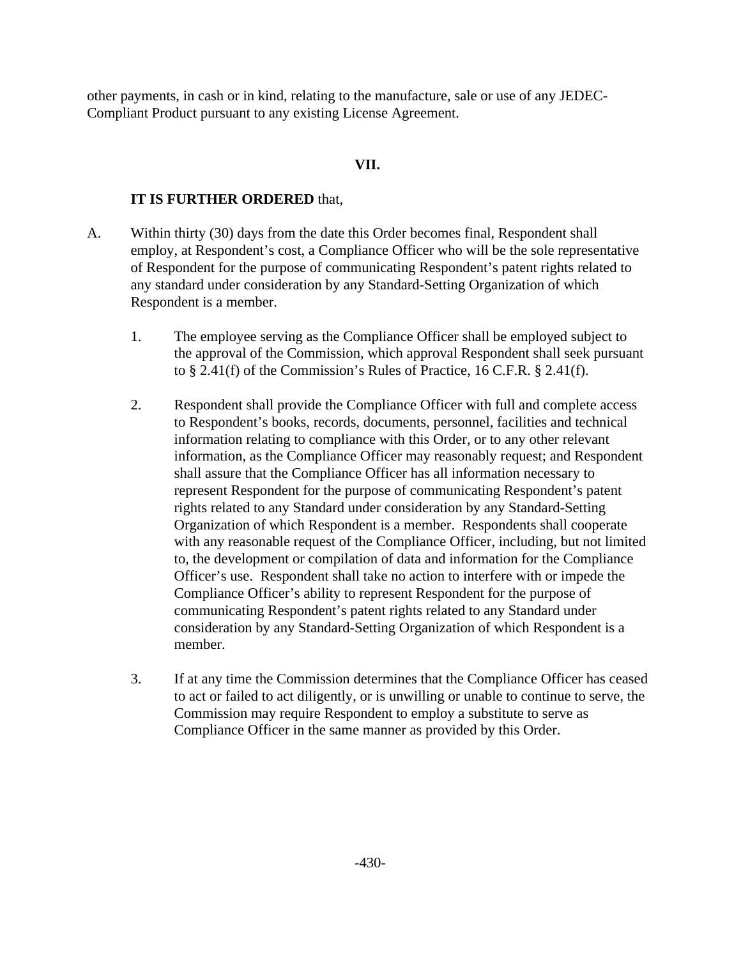other payments, in cash or in kind, relating to the manufacture, sale or use of any JEDEC-Compliant Product pursuant to any existing License Agreement.

## **VII.**

### **IT IS FURTHER ORDERED** that,

- A. Within thirty (30) days from the date this Order becomes final, Respondent shall employ, at Respondent's cost, a Compliance Officer who will be the sole representative of Respondent for the purpose of communicating Respondent's patent rights related to any standard under consideration by any Standard-Setting Organization of which Respondent is a member.
	- 1. The employee serving as the Compliance Officer shall be employed subject to the approval of the Commission, which approval Respondent shall seek pursuant to  $\S$  2.41(f) of the Commission's Rules of Practice, 16 C.F.R.  $\S$  2.41(f).
	- 2. Respondent shall provide the Compliance Officer with full and complete access to Respondent's books, records, documents, personnel, facilities and technical information relating to compliance with this Order, or to any other relevant information, as the Compliance Officer may reasonably request; and Respondent shall assure that the Compliance Officer has all information necessary to represent Respondent for the purpose of communicating Respondent's patent rights related to any Standard under consideration by any Standard-Setting Organization of which Respondent is a member. Respondents shall cooperate with any reasonable request of the Compliance Officer, including, but not limited to, the development or compilation of data and information for the Compliance Officer's use. Respondent shall take no action to interfere with or impede the Compliance Officer's ability to represent Respondent for the purpose of communicating Respondent's patent rights related to any Standard under consideration by any Standard-Setting Organization of which Respondent is a member.
	- 3. If at any time the Commission determines that the Compliance Officer has ceased to act or failed to act diligently, or is unwilling or unable to continue to serve, the Commission may require Respondent to employ a substitute to serve as Compliance Officer in the same manner as provided by this Order.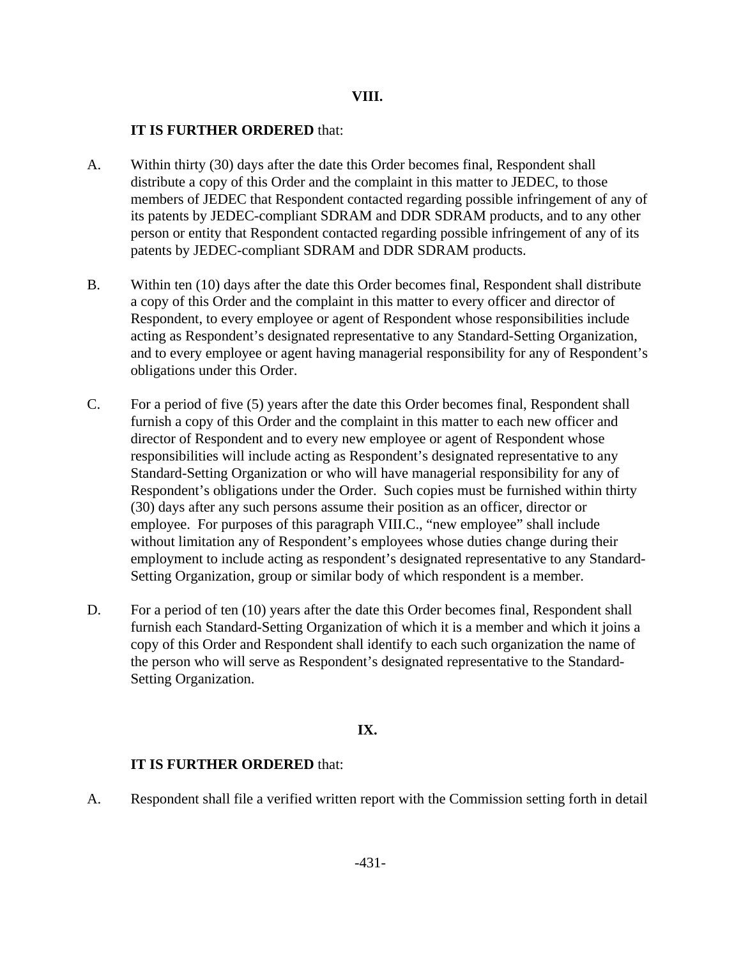### **VIII.**

### **IT IS FURTHER ORDERED** that:

- A. Within thirty (30) days after the date this Order becomes final, Respondent shall distribute a copy of this Order and the complaint in this matter to JEDEC, to those members of JEDEC that Respondent contacted regarding possible infringement of any of its patents by JEDEC-compliant SDRAM and DDR SDRAM products, and to any other person or entity that Respondent contacted regarding possible infringement of any of its patents by JEDEC-compliant SDRAM and DDR SDRAM products.
- B. Within ten (10) days after the date this Order becomes final, Respondent shall distribute a copy of this Order and the complaint in this matter to every officer and director of Respondent, to every employee or agent of Respondent whose responsibilities include acting as Respondent's designated representative to any Standard-Setting Organization, and to every employee or agent having managerial responsibility for any of Respondent's obligations under this Order.
- C. For a period of five (5) years after the date this Order becomes final, Respondent shall furnish a copy of this Order and the complaint in this matter to each new officer and director of Respondent and to every new employee or agent of Respondent whose responsibilities will include acting as Respondent's designated representative to any Standard-Setting Organization or who will have managerial responsibility for any of Respondent's obligations under the Order. Such copies must be furnished within thirty (30) days after any such persons assume their position as an officer, director or employee. For purposes of this paragraph VIII.C., "new employee" shall include without limitation any of Respondent's employees whose duties change during their employment to include acting as respondent's designated representative to any Standard-Setting Organization, group or similar body of which respondent is a member.
- D. For a period of ten (10) years after the date this Order becomes final, Respondent shall furnish each Standard-Setting Organization of which it is a member and which it joins a copy of this Order and Respondent shall identify to each such organization the name of the person who will serve as Respondent's designated representative to the Standard-Setting Organization.

## **IX.**

### **IT IS FURTHER ORDERED** that:

A. Respondent shall file a verified written report with the Commission setting forth in detail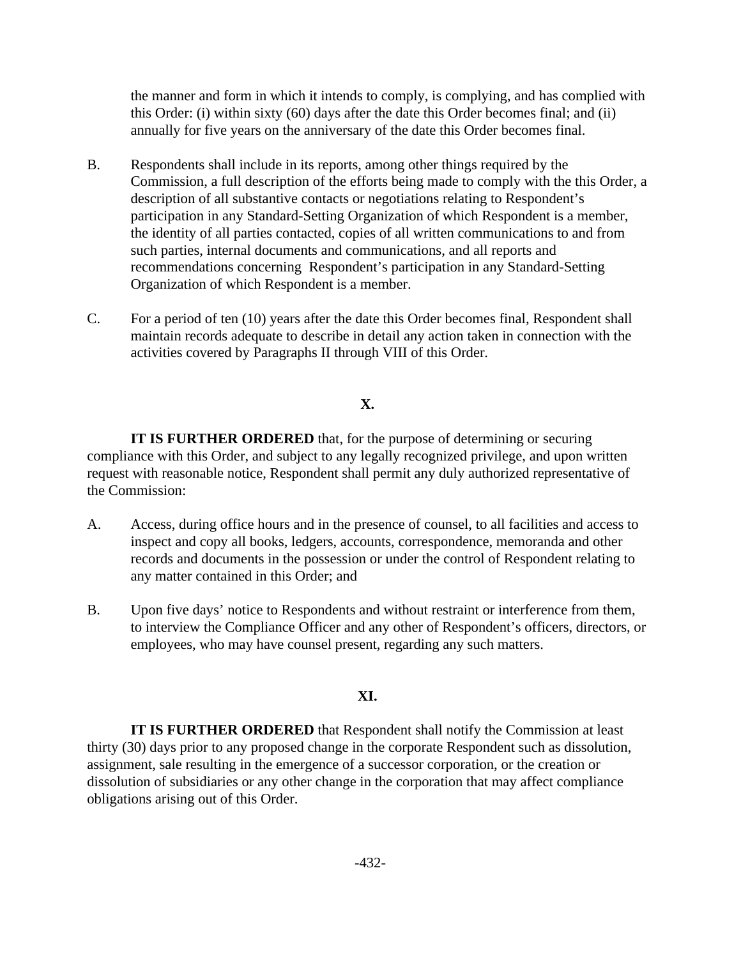the manner and form in which it intends to comply, is complying, and has complied with this Order: (i) within sixty (60) days after the date this Order becomes final; and (ii) annually for five years on the anniversary of the date this Order becomes final.

- B. Respondents shall include in its reports, among other things required by the Commission, a full description of the efforts being made to comply with the this Order, a description of all substantive contacts or negotiations relating to Respondent's participation in any Standard-Setting Organization of which Respondent is a member, the identity of all parties contacted, copies of all written communications to and from such parties, internal documents and communications, and all reports and recommendations concerning Respondent's participation in any Standard-Setting Organization of which Respondent is a member.
- C. For a period of ten (10) years after the date this Order becomes final, Respondent shall maintain records adequate to describe in detail any action taken in connection with the activities covered by Paragraphs II through VIII of this Order.

### **X.**

**IT IS FURTHER ORDERED** that, for the purpose of determining or securing compliance with this Order, and subject to any legally recognized privilege, and upon written request with reasonable notice, Respondent shall permit any duly authorized representative of the Commission:

- A. Access, during office hours and in the presence of counsel, to all facilities and access to inspect and copy all books, ledgers, accounts, correspondence, memoranda and other records and documents in the possession or under the control of Respondent relating to any matter contained in this Order; and
- B. Upon five days' notice to Respondents and without restraint or interference from them, to interview the Compliance Officer and any other of Respondent's officers, directors, or employees, who may have counsel present, regarding any such matters.

### **XI.**

**IT IS FURTHER ORDERED** that Respondent shall notify the Commission at least thirty (30) days prior to any proposed change in the corporate Respondent such as dissolution, assignment, sale resulting in the emergence of a successor corporation, or the creation or dissolution of subsidiaries or any other change in the corporation that may affect compliance obligations arising out of this Order.